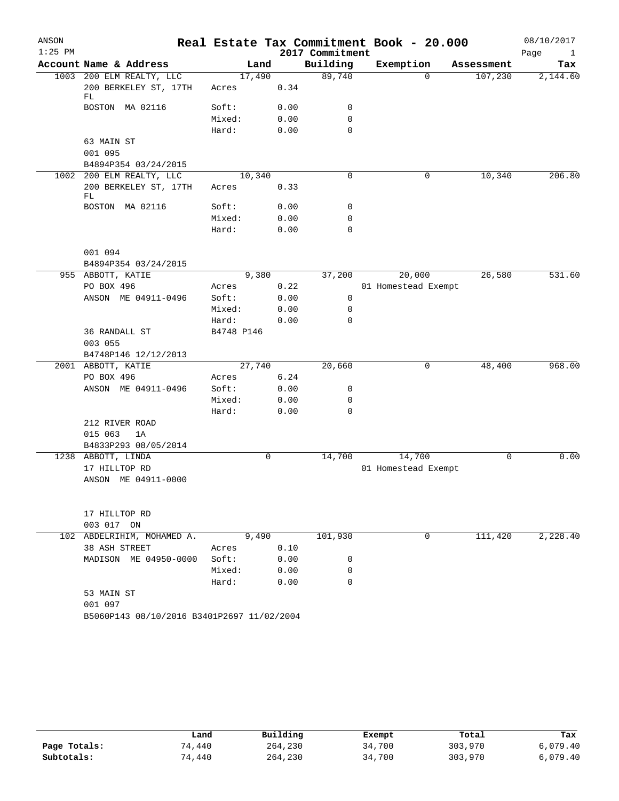| Account Name & Address<br>Building<br>Exemption<br>Land<br>Tax<br>Assessment<br>200 ELM REALTY, LLC<br>89,740<br>17,490<br>107,230<br>2,144.60<br>1003<br>$\Omega$<br>200 BERKELEY ST, 17TH<br>0.34<br>Acres<br>FL<br>BOSTON MA 02116<br>Soft:<br>0.00<br>0<br>Mixed:<br>0.00<br>0<br>$\mathbf 0$<br>Hard:<br>0.00<br>63 MAIN ST<br>001 095<br>B4894P354 03/24/2015<br>10,340<br>$\mathbf 0$<br>10,340<br>206.80<br>1002 200 ELM REALTY, LLC<br>0<br>200 BERKELEY ST, 17TH<br>0.33<br>Acres<br>FL<br>BOSTON MA 02116<br>Soft:<br>0.00<br>0<br>Mixed:<br>0.00<br>0<br>Hard:<br>0.00<br>0<br>001 094<br>B4894P354 03/24/2015<br>9,380<br>37,200<br>20,000<br>26,580<br>531.60<br>955 ABBOTT, KATIE<br>PO BOX 496<br>0.22<br>01 Homestead Exempt<br>Acres<br>ANSON ME 04911-0496<br>Soft:<br>0.00<br>0<br>Mixed:<br>0.00<br>0<br>Hard:<br>0.00<br>0<br>36 RANDALL ST<br>B4748 P146<br>003 055<br>B4748P146 12/12/2013<br>968.00<br>2001 ABBOTT, KATIE<br>20,660<br>27,740<br>0<br>48,400<br>PO BOX 496<br>6.24<br>Acres<br>ANSON ME 04911-0496<br>Soft:<br>0.00<br>0<br>Mixed:<br>0.00<br>0<br>$\mathbf 0$<br>Hard:<br>0.00<br>212 RIVER ROAD<br>015 063<br>1A<br>B4833P293 08/05/2014<br>0.00<br>0<br>14,700<br>14,700<br>$\mathbf 0$<br>1238 ABBOTT, LINDA<br>17 HILLTOP RD<br>01 Homestead Exempt<br>ANSON ME 04911-0000<br>17 HILLTOP RD<br>003 017 ON<br>102 ABDELRIHIM, MOHAMED A.<br>9,490<br>101,930<br>111,420<br>2,228.40<br>$\mathbf{0}$<br>38 ASH STREET<br>0.10<br>Acres<br>MADISON ME 04950-0000<br>Soft:<br>0.00<br>0<br>Mixed:<br>0.00<br>0<br>Hard:<br>0.00<br>0<br>53 MAIN ST<br>001 097<br>B5060P143 08/10/2016 B3401P2697 11/02/2004 | ANSON<br>$1:25$ PM |  | 2017 Commitment | Real Estate Tax Commitment Book - 20.000 | 08/10/2017<br>Page<br>$\mathbf{1}$ |
|-------------------------------------------------------------------------------------------------------------------------------------------------------------------------------------------------------------------------------------------------------------------------------------------------------------------------------------------------------------------------------------------------------------------------------------------------------------------------------------------------------------------------------------------------------------------------------------------------------------------------------------------------------------------------------------------------------------------------------------------------------------------------------------------------------------------------------------------------------------------------------------------------------------------------------------------------------------------------------------------------------------------------------------------------------------------------------------------------------------------------------------------------------------------------------------------------------------------------------------------------------------------------------------------------------------------------------------------------------------------------------------------------------------------------------------------------------------------------------------------------------------------------------------------------------------------------------------------------------------------------------------------------------|--------------------|--|-----------------|------------------------------------------|------------------------------------|
|                                                                                                                                                                                                                                                                                                                                                                                                                                                                                                                                                                                                                                                                                                                                                                                                                                                                                                                                                                                                                                                                                                                                                                                                                                                                                                                                                                                                                                                                                                                                                                                                                                                       |                    |  |                 |                                          |                                    |
|                                                                                                                                                                                                                                                                                                                                                                                                                                                                                                                                                                                                                                                                                                                                                                                                                                                                                                                                                                                                                                                                                                                                                                                                                                                                                                                                                                                                                                                                                                                                                                                                                                                       |                    |  |                 |                                          |                                    |
|                                                                                                                                                                                                                                                                                                                                                                                                                                                                                                                                                                                                                                                                                                                                                                                                                                                                                                                                                                                                                                                                                                                                                                                                                                                                                                                                                                                                                                                                                                                                                                                                                                                       |                    |  |                 |                                          |                                    |
|                                                                                                                                                                                                                                                                                                                                                                                                                                                                                                                                                                                                                                                                                                                                                                                                                                                                                                                                                                                                                                                                                                                                                                                                                                                                                                                                                                                                                                                                                                                                                                                                                                                       |                    |  |                 |                                          |                                    |
|                                                                                                                                                                                                                                                                                                                                                                                                                                                                                                                                                                                                                                                                                                                                                                                                                                                                                                                                                                                                                                                                                                                                                                                                                                                                                                                                                                                                                                                                                                                                                                                                                                                       |                    |  |                 |                                          |                                    |
|                                                                                                                                                                                                                                                                                                                                                                                                                                                                                                                                                                                                                                                                                                                                                                                                                                                                                                                                                                                                                                                                                                                                                                                                                                                                                                                                                                                                                                                                                                                                                                                                                                                       |                    |  |                 |                                          |                                    |
|                                                                                                                                                                                                                                                                                                                                                                                                                                                                                                                                                                                                                                                                                                                                                                                                                                                                                                                                                                                                                                                                                                                                                                                                                                                                                                                                                                                                                                                                                                                                                                                                                                                       |                    |  |                 |                                          |                                    |
|                                                                                                                                                                                                                                                                                                                                                                                                                                                                                                                                                                                                                                                                                                                                                                                                                                                                                                                                                                                                                                                                                                                                                                                                                                                                                                                                                                                                                                                                                                                                                                                                                                                       |                    |  |                 |                                          |                                    |
|                                                                                                                                                                                                                                                                                                                                                                                                                                                                                                                                                                                                                                                                                                                                                                                                                                                                                                                                                                                                                                                                                                                                                                                                                                                                                                                                                                                                                                                                                                                                                                                                                                                       |                    |  |                 |                                          |                                    |
|                                                                                                                                                                                                                                                                                                                                                                                                                                                                                                                                                                                                                                                                                                                                                                                                                                                                                                                                                                                                                                                                                                                                                                                                                                                                                                                                                                                                                                                                                                                                                                                                                                                       |                    |  |                 |                                          |                                    |
|                                                                                                                                                                                                                                                                                                                                                                                                                                                                                                                                                                                                                                                                                                                                                                                                                                                                                                                                                                                                                                                                                                                                                                                                                                                                                                                                                                                                                                                                                                                                                                                                                                                       |                    |  |                 |                                          |                                    |
|                                                                                                                                                                                                                                                                                                                                                                                                                                                                                                                                                                                                                                                                                                                                                                                                                                                                                                                                                                                                                                                                                                                                                                                                                                                                                                                                                                                                                                                                                                                                                                                                                                                       |                    |  |                 |                                          |                                    |
|                                                                                                                                                                                                                                                                                                                                                                                                                                                                                                                                                                                                                                                                                                                                                                                                                                                                                                                                                                                                                                                                                                                                                                                                                                                                                                                                                                                                                                                                                                                                                                                                                                                       |                    |  |                 |                                          |                                    |
|                                                                                                                                                                                                                                                                                                                                                                                                                                                                                                                                                                                                                                                                                                                                                                                                                                                                                                                                                                                                                                                                                                                                                                                                                                                                                                                                                                                                                                                                                                                                                                                                                                                       |                    |  |                 |                                          |                                    |
|                                                                                                                                                                                                                                                                                                                                                                                                                                                                                                                                                                                                                                                                                                                                                                                                                                                                                                                                                                                                                                                                                                                                                                                                                                                                                                                                                                                                                                                                                                                                                                                                                                                       |                    |  |                 |                                          |                                    |
|                                                                                                                                                                                                                                                                                                                                                                                                                                                                                                                                                                                                                                                                                                                                                                                                                                                                                                                                                                                                                                                                                                                                                                                                                                                                                                                                                                                                                                                                                                                                                                                                                                                       |                    |  |                 |                                          |                                    |
|                                                                                                                                                                                                                                                                                                                                                                                                                                                                                                                                                                                                                                                                                                                                                                                                                                                                                                                                                                                                                                                                                                                                                                                                                                                                                                                                                                                                                                                                                                                                                                                                                                                       |                    |  |                 |                                          |                                    |
|                                                                                                                                                                                                                                                                                                                                                                                                                                                                                                                                                                                                                                                                                                                                                                                                                                                                                                                                                                                                                                                                                                                                                                                                                                                                                                                                                                                                                                                                                                                                                                                                                                                       |                    |  |                 |                                          |                                    |
|                                                                                                                                                                                                                                                                                                                                                                                                                                                                                                                                                                                                                                                                                                                                                                                                                                                                                                                                                                                                                                                                                                                                                                                                                                                                                                                                                                                                                                                                                                                                                                                                                                                       |                    |  |                 |                                          |                                    |
|                                                                                                                                                                                                                                                                                                                                                                                                                                                                                                                                                                                                                                                                                                                                                                                                                                                                                                                                                                                                                                                                                                                                                                                                                                                                                                                                                                                                                                                                                                                                                                                                                                                       |                    |  |                 |                                          |                                    |
|                                                                                                                                                                                                                                                                                                                                                                                                                                                                                                                                                                                                                                                                                                                                                                                                                                                                                                                                                                                                                                                                                                                                                                                                                                                                                                                                                                                                                                                                                                                                                                                                                                                       |                    |  |                 |                                          |                                    |
|                                                                                                                                                                                                                                                                                                                                                                                                                                                                                                                                                                                                                                                                                                                                                                                                                                                                                                                                                                                                                                                                                                                                                                                                                                                                                                                                                                                                                                                                                                                                                                                                                                                       |                    |  |                 |                                          |                                    |
|                                                                                                                                                                                                                                                                                                                                                                                                                                                                                                                                                                                                                                                                                                                                                                                                                                                                                                                                                                                                                                                                                                                                                                                                                                                                                                                                                                                                                                                                                                                                                                                                                                                       |                    |  |                 |                                          |                                    |
|                                                                                                                                                                                                                                                                                                                                                                                                                                                                                                                                                                                                                                                                                                                                                                                                                                                                                                                                                                                                                                                                                                                                                                                                                                                                                                                                                                                                                                                                                                                                                                                                                                                       |                    |  |                 |                                          |                                    |
|                                                                                                                                                                                                                                                                                                                                                                                                                                                                                                                                                                                                                                                                                                                                                                                                                                                                                                                                                                                                                                                                                                                                                                                                                                                                                                                                                                                                                                                                                                                                                                                                                                                       |                    |  |                 |                                          |                                    |
|                                                                                                                                                                                                                                                                                                                                                                                                                                                                                                                                                                                                                                                                                                                                                                                                                                                                                                                                                                                                                                                                                                                                                                                                                                                                                                                                                                                                                                                                                                                                                                                                                                                       |                    |  |                 |                                          |                                    |
|                                                                                                                                                                                                                                                                                                                                                                                                                                                                                                                                                                                                                                                                                                                                                                                                                                                                                                                                                                                                                                                                                                                                                                                                                                                                                                                                                                                                                                                                                                                                                                                                                                                       |                    |  |                 |                                          |                                    |
|                                                                                                                                                                                                                                                                                                                                                                                                                                                                                                                                                                                                                                                                                                                                                                                                                                                                                                                                                                                                                                                                                                                                                                                                                                                                                                                                                                                                                                                                                                                                                                                                                                                       |                    |  |                 |                                          |                                    |
|                                                                                                                                                                                                                                                                                                                                                                                                                                                                                                                                                                                                                                                                                                                                                                                                                                                                                                                                                                                                                                                                                                                                                                                                                                                                                                                                                                                                                                                                                                                                                                                                                                                       |                    |  |                 |                                          |                                    |
|                                                                                                                                                                                                                                                                                                                                                                                                                                                                                                                                                                                                                                                                                                                                                                                                                                                                                                                                                                                                                                                                                                                                                                                                                                                                                                                                                                                                                                                                                                                                                                                                                                                       |                    |  |                 |                                          |                                    |
|                                                                                                                                                                                                                                                                                                                                                                                                                                                                                                                                                                                                                                                                                                                                                                                                                                                                                                                                                                                                                                                                                                                                                                                                                                                                                                                                                                                                                                                                                                                                                                                                                                                       |                    |  |                 |                                          |                                    |
|                                                                                                                                                                                                                                                                                                                                                                                                                                                                                                                                                                                                                                                                                                                                                                                                                                                                                                                                                                                                                                                                                                                                                                                                                                                                                                                                                                                                                                                                                                                                                                                                                                                       |                    |  |                 |                                          |                                    |
|                                                                                                                                                                                                                                                                                                                                                                                                                                                                                                                                                                                                                                                                                                                                                                                                                                                                                                                                                                                                                                                                                                                                                                                                                                                                                                                                                                                                                                                                                                                                                                                                                                                       |                    |  |                 |                                          |                                    |
|                                                                                                                                                                                                                                                                                                                                                                                                                                                                                                                                                                                                                                                                                                                                                                                                                                                                                                                                                                                                                                                                                                                                                                                                                                                                                                                                                                                                                                                                                                                                                                                                                                                       |                    |  |                 |                                          |                                    |
|                                                                                                                                                                                                                                                                                                                                                                                                                                                                                                                                                                                                                                                                                                                                                                                                                                                                                                                                                                                                                                                                                                                                                                                                                                                                                                                                                                                                                                                                                                                                                                                                                                                       |                    |  |                 |                                          |                                    |
|                                                                                                                                                                                                                                                                                                                                                                                                                                                                                                                                                                                                                                                                                                                                                                                                                                                                                                                                                                                                                                                                                                                                                                                                                                                                                                                                                                                                                                                                                                                                                                                                                                                       |                    |  |                 |                                          |                                    |
|                                                                                                                                                                                                                                                                                                                                                                                                                                                                                                                                                                                                                                                                                                                                                                                                                                                                                                                                                                                                                                                                                                                                                                                                                                                                                                                                                                                                                                                                                                                                                                                                                                                       |                    |  |                 |                                          |                                    |
|                                                                                                                                                                                                                                                                                                                                                                                                                                                                                                                                                                                                                                                                                                                                                                                                                                                                                                                                                                                                                                                                                                                                                                                                                                                                                                                                                                                                                                                                                                                                                                                                                                                       |                    |  |                 |                                          |                                    |
|                                                                                                                                                                                                                                                                                                                                                                                                                                                                                                                                                                                                                                                                                                                                                                                                                                                                                                                                                                                                                                                                                                                                                                                                                                                                                                                                                                                                                                                                                                                                                                                                                                                       |                    |  |                 |                                          |                                    |
|                                                                                                                                                                                                                                                                                                                                                                                                                                                                                                                                                                                                                                                                                                                                                                                                                                                                                                                                                                                                                                                                                                                                                                                                                                                                                                                                                                                                                                                                                                                                                                                                                                                       |                    |  |                 |                                          |                                    |
|                                                                                                                                                                                                                                                                                                                                                                                                                                                                                                                                                                                                                                                                                                                                                                                                                                                                                                                                                                                                                                                                                                                                                                                                                                                                                                                                                                                                                                                                                                                                                                                                                                                       |                    |  |                 |                                          |                                    |
|                                                                                                                                                                                                                                                                                                                                                                                                                                                                                                                                                                                                                                                                                                                                                                                                                                                                                                                                                                                                                                                                                                                                                                                                                                                                                                                                                                                                                                                                                                                                                                                                                                                       |                    |  |                 |                                          |                                    |
|                                                                                                                                                                                                                                                                                                                                                                                                                                                                                                                                                                                                                                                                                                                                                                                                                                                                                                                                                                                                                                                                                                                                                                                                                                                                                                                                                                                                                                                                                                                                                                                                                                                       |                    |  |                 |                                          |                                    |
|                                                                                                                                                                                                                                                                                                                                                                                                                                                                                                                                                                                                                                                                                                                                                                                                                                                                                                                                                                                                                                                                                                                                                                                                                                                                                                                                                                                                                                                                                                                                                                                                                                                       |                    |  |                 |                                          |                                    |
|                                                                                                                                                                                                                                                                                                                                                                                                                                                                                                                                                                                                                                                                                                                                                                                                                                                                                                                                                                                                                                                                                                                                                                                                                                                                                                                                                                                                                                                                                                                                                                                                                                                       |                    |  |                 |                                          |                                    |

|              | Land   | Building | Exempt | Total   | Tax      |
|--------------|--------|----------|--------|---------|----------|
| Page Totals: | 74,440 | 264,230  | 34,700 | 303,970 | 6,079.40 |
| Subtotals:   | 74,440 | 264,230  | 34,700 | 303,970 | 6,079.40 |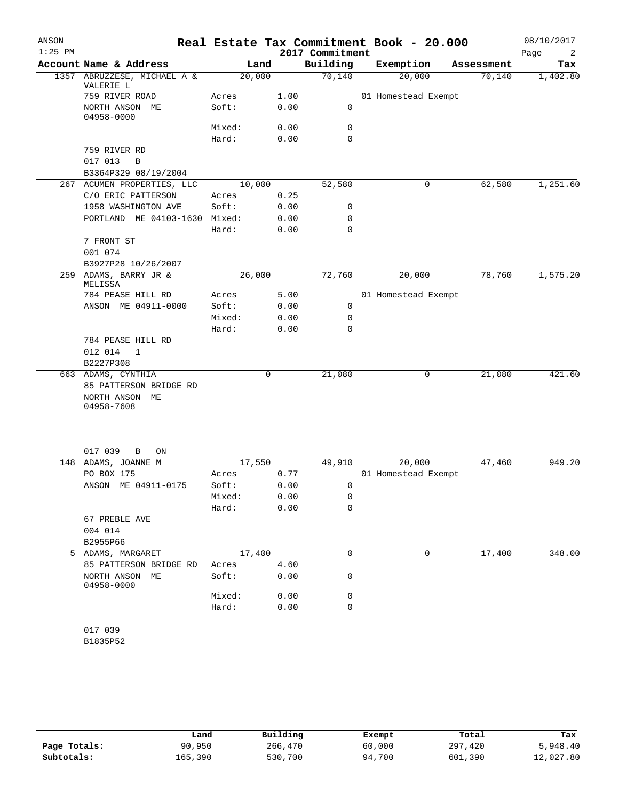| ANSON<br>$1:25$ PM |                                          |                 |              | 2017 Commitment | Real Estate Tax Commitment Book - 20.000 |            | 08/10/2017<br>Page<br>2 |
|--------------------|------------------------------------------|-----------------|--------------|-----------------|------------------------------------------|------------|-------------------------|
|                    | Account Name & Address                   |                 | Land         | Building        | Exemption                                | Assessment | Tax                     |
|                    | 1357 ABRUZZESE, MICHAEL A &<br>VALERIE L |                 | 20,000       | 70,140          | 20,000                                   | 70,140     | 1,402.80                |
|                    | 759 RIVER ROAD                           | Acres           | 1.00         |                 | 01 Homestead Exempt                      |            |                         |
|                    | NORTH ANSON ME<br>04958-0000             | Soft:           | 0.00         | 0               |                                          |            |                         |
|                    |                                          | Mixed:          | 0.00         | 0               |                                          |            |                         |
|                    |                                          | Hard:           | 0.00         | 0               |                                          |            |                         |
|                    | 759 RIVER RD                             |                 |              |                 |                                          |            |                         |
|                    | 017 013<br>$\mathbf B$                   |                 |              |                 |                                          |            |                         |
|                    | B3364P329 08/19/2004                     |                 |              |                 |                                          |            |                         |
|                    | 267 ACUMEN PROPERTIES, LLC               |                 | 10,000       | 52,580          | 0                                        | 62,580     | 1,251.60                |
|                    | C/O ERIC PATTERSON                       | Acres           | 0.25         |                 |                                          |            |                         |
|                    | 1958 WASHINGTON AVE                      | Soft:           | 0.00         | 0               |                                          |            |                         |
|                    | PORTLAND ME 04103-1630 Mixed:            |                 | 0.00         | 0               |                                          |            |                         |
|                    |                                          | Hard:           | 0.00         | 0               |                                          |            |                         |
|                    | 7 FRONT ST                               |                 |              |                 |                                          |            |                         |
|                    | 001 074                                  |                 |              |                 |                                          |            |                         |
|                    | B3927P28 10/26/2007                      |                 |              |                 |                                          |            |                         |
| 259                | ADAMS, BARRY JR &<br>MELISSA             |                 | 26,000       | 72,760          | 20,000                                   | 78,760     | 1,575.20                |
|                    | 784 PEASE HILL RD                        | Acres           | 5.00         |                 | 01 Homestead Exempt                      |            |                         |
|                    | ANSON ME 04911-0000                      | Soft:           | 0.00         | $\mathbf 0$     |                                          |            |                         |
|                    |                                          | Mixed:          | 0.00         | 0               |                                          |            |                         |
|                    |                                          | Hard:           | 0.00         | $\mathbf 0$     |                                          |            |                         |
|                    | 784 PEASE HILL RD                        |                 |              |                 |                                          |            |                         |
|                    | 012 014<br>1                             |                 |              |                 |                                          |            |                         |
|                    | B2227P308                                |                 |              |                 |                                          |            |                         |
|                    | 663 ADAMS, CYNTHIA                       |                 | 0            | 21,080          | 0                                        | 21,080     | 421.60                  |
|                    | 85 PATTERSON BRIDGE RD                   |                 |              |                 |                                          |            |                         |
|                    | NORTH ANSON ME                           |                 |              |                 |                                          |            |                         |
|                    | 04958-7608                               |                 |              |                 |                                          |            |                         |
|                    |                                          |                 |              |                 |                                          |            |                         |
|                    | 017 039<br>ON<br>B                       |                 |              |                 |                                          |            |                         |
| 148                | ADAMS, JOANNE M                          |                 | 17,550       | 49,910          | 20,000                                   | 47,460     | 949.20                  |
|                    | PO BOX 175                               | Acres           | 0.77         |                 | 01 Homestead Exempt                      |            |                         |
|                    | ANSON ME 04911-0175                      | Soft:           | 0.00         | 0               |                                          |            |                         |
|                    |                                          | Mixed:<br>Hard: | 0.00<br>0.00 | 0<br>0          |                                          |            |                         |
|                    | 67 PREBLE AVE                            |                 |              |                 |                                          |            |                         |
|                    | 004 014                                  |                 |              |                 |                                          |            |                         |
|                    | B2955P66                                 |                 |              |                 |                                          |            |                         |
| 5                  | ADAMS, MARGARET                          |                 | 17,400       | 0               | 0                                        | 17,400     | 348.00                  |
|                    | 85 PATTERSON BRIDGE RD                   | Acres           | 4.60         |                 |                                          |            |                         |
|                    | NORTH ANSON ME<br>04958-0000             | Soft:           | 0.00         | 0               |                                          |            |                         |
|                    |                                          | Mixed:          | 0.00         | 0               |                                          |            |                         |
|                    |                                          | Hard:           | 0.00         | 0               |                                          |            |                         |
|                    | 017 039                                  |                 |              |                 |                                          |            |                         |
|                    | B1835P52                                 |                 |              |                 |                                          |            |                         |
|                    |                                          |                 |              |                 |                                          |            |                         |

|              | Land    | Building | Exempt | Total   | Tax       |
|--------------|---------|----------|--------|---------|-----------|
| Page Totals: | 90,950  | 266,470  | 60,000 | 297,420 | 5,948.40  |
| Subtotals:   | 165,390 | 530,700  | 94,700 | 601,390 | 12,027.80 |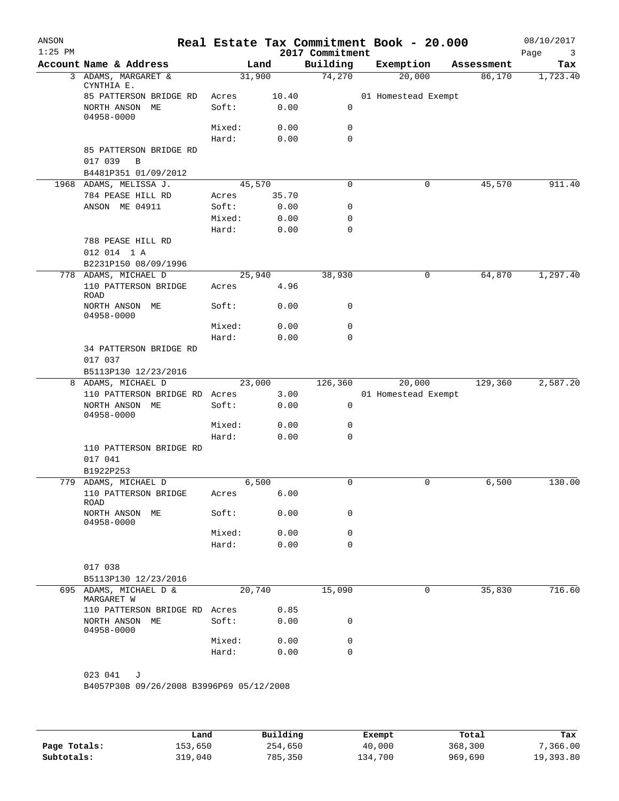| ANSON<br>$1:25$ PM |                                          |                |        | 2017 Commitment | Real Estate Tax Commitment Book - 20.000 |            | 08/10/2017<br>Page<br>3 |
|--------------------|------------------------------------------|----------------|--------|-----------------|------------------------------------------|------------|-------------------------|
|                    | Account Name & Address                   |                | Land   | Building        | Exemption                                | Assessment | Tax                     |
|                    | 3 ADAMS, MARGARET &                      |                | 31,900 | 74,270          | 20,000                                   | 86,170     | 1,723.40                |
|                    | CYNTHIA E.                               |                |        |                 |                                          |            |                         |
|                    | 85 PATTERSON BRIDGE RD                   | Acres          | 10.40  | 0               | 01 Homestead Exempt                      |            |                         |
|                    | NORTH ANSON ME<br>04958-0000             | Soft:          | 0.00   |                 |                                          |            |                         |
|                    |                                          | Mixed:         | 0.00   | 0               |                                          |            |                         |
|                    |                                          | Hard:          | 0.00   | $\mathbf 0$     |                                          |            |                         |
|                    | 85 PATTERSON BRIDGE RD<br>017 039<br>B   |                |        |                 |                                          |            |                         |
|                    | B4481P351 01/09/2012                     |                |        |                 |                                          |            |                         |
|                    | 1968 ADAMS, MELISSA J.                   |                | 45,570 | $\mathbf 0$     | 0                                        | 45,570     | 911.40                  |
|                    | 784 PEASE HILL RD                        | Acres          | 35.70  |                 |                                          |            |                         |
|                    | ANSON ME 04911                           | Soft:          | 0.00   | 0               |                                          |            |                         |
|                    |                                          | Mixed:         | 0.00   | 0               |                                          |            |                         |
|                    |                                          | Hard:          | 0.00   | $\mathbf 0$     |                                          |            |                         |
|                    | 788 PEASE HILL RD                        |                |        |                 |                                          |            |                         |
|                    | 012 014 1 A                              |                |        |                 |                                          |            |                         |
|                    | B2231P150 08/09/1996                     |                |        |                 |                                          |            |                         |
|                    | 778 ADAMS, MICHAEL D                     |                | 25,940 | 38,930          | 0                                        | 64,870     | 1,297.40                |
|                    | 110 PATTERSON BRIDGE                     | Acres          | 4.96   |                 |                                          |            |                         |
|                    | <b>ROAD</b><br>NORTH ANSON ME            | Soft:          | 0.00   | 0               |                                          |            |                         |
|                    | 04958-0000                               |                |        |                 |                                          |            |                         |
|                    |                                          | Mixed:         | 0.00   | 0               |                                          |            |                         |
|                    |                                          | Hard:          | 0.00   | $\mathbf 0$     |                                          |            |                         |
|                    | 34 PATTERSON BRIDGE RD                   |                |        |                 |                                          |            |                         |
|                    | 017 037                                  |                |        |                 |                                          |            |                         |
|                    | B5113P130 12/23/2016                     |                |        |                 |                                          |            |                         |
|                    | 8 ADAMS, MICHAEL D                       |                | 23,000 | 126,360         | 20,000                                   | 129,360    | 2,587.20                |
|                    | 110 PATTERSON BRIDGE RD Acres            |                | 3.00   |                 | 01 Homestead Exempt                      |            |                         |
|                    | NORTH ANSON ME<br>04958-0000             | Soft:          | 0.00   | 0               |                                          |            |                         |
|                    |                                          | Mixed:         | 0.00   | 0               |                                          |            |                         |
|                    |                                          | Hard:          | 0.00   | 0               |                                          |            |                         |
|                    | 110 PATTERSON BRIDGE RD                  |                |        |                 |                                          |            |                         |
|                    | 017 041                                  |                |        |                 |                                          |            |                         |
|                    | B1922P253                                |                |        |                 |                                          |            |                         |
| 779                | ADAMS, MICHAEL D                         |                | 6,500  | 0               | 0                                        | 6,500      | 130.00                  |
|                    | 110 PATTERSON BRIDGE                     |                | 6.00   |                 |                                          |            |                         |
|                    | ROAD                                     | Acres<br>Soft: | 0.00   | 0               |                                          |            |                         |
|                    | NORTH ANSON ME<br>04958-0000             |                |        |                 |                                          |            |                         |
|                    |                                          | Mixed:         | 0.00   | 0               |                                          |            |                         |
|                    |                                          | Hard:          | 0.00   | 0               |                                          |            |                         |
|                    |                                          |                |        |                 |                                          |            |                         |
|                    | 017 038                                  |                |        |                 |                                          |            |                         |
|                    | B5113P130 12/23/2016                     |                |        |                 |                                          |            |                         |
|                    | 695 ADAMS, MICHAEL D &<br>MARGARET W     |                | 20,740 | 15,090          | 0                                        | 35,830     | 716.60                  |
|                    | 110 PATTERSON BRIDGE RD Acres            |                | 0.85   |                 |                                          |            |                         |
|                    | NORTH ANSON ME<br>04958-0000             | Soft:          | 0.00   | 0               |                                          |            |                         |
|                    |                                          | Mixed:         | 0.00   | 0               |                                          |            |                         |
|                    |                                          | Hard:          | 0.00   | $\mathbf 0$     |                                          |            |                         |
|                    | 023 041<br>J                             |                |        |                 |                                          |            |                         |
|                    | B4057P308 09/26/2008 B3996P69 05/12/2008 |                |        |                 |                                          |            |                         |
|                    |                                          |                |        |                 |                                          |            |                         |
|                    |                                          |                |        |                 |                                          |            |                         |
|                    |                                          |                |        |                 |                                          |            |                         |

|              | Land    | Building | Exempt  | Total   | Tax       |
|--------------|---------|----------|---------|---------|-----------|
| Page Totals: | 153,650 | 254,650  | 40,000  | 368,300 | 7,366.00  |
| Subtotals:   | 319,040 | 785,350  | 134,700 | 969,690 | 19,393.80 |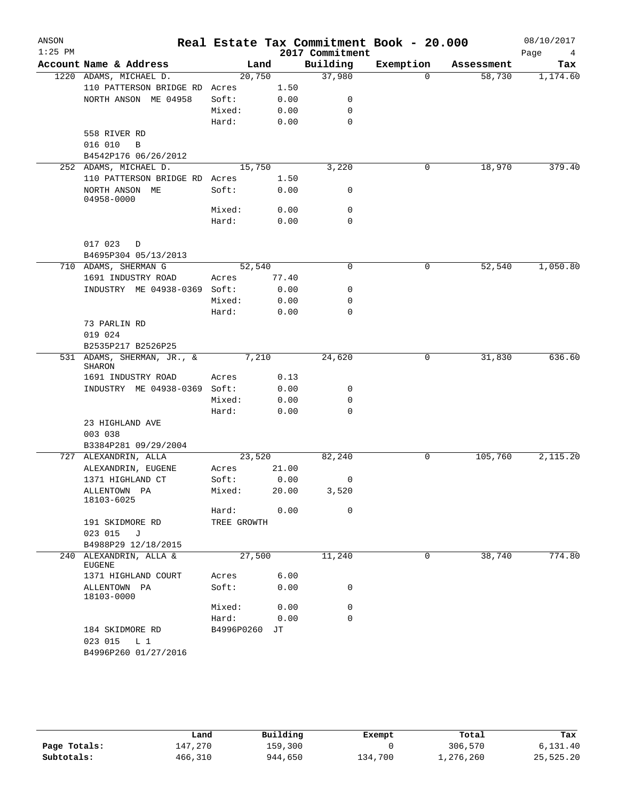| ANSON<br>$1:25$ PM |                                                        |             |       | 2017 Commitment | Real Estate Tax Commitment Book - 20.000 |            | 08/10/2017<br>Page<br>4 |
|--------------------|--------------------------------------------------------|-------------|-------|-----------------|------------------------------------------|------------|-------------------------|
|                    | Account Name & Address                                 |             | Land  | Building        | Exemption                                | Assessment | Tax                     |
|                    | 1220 ADAMS, MICHAEL D.                                 | 20,750      |       | 37,980          | 0                                        | 58,730     | 1,174.60                |
|                    | 110 PATTERSON BRIDGE RD Acres                          |             | 1.50  |                 |                                          |            |                         |
|                    | NORTH ANSON ME 04958                                   | Soft:       | 0.00  | 0               |                                          |            |                         |
|                    |                                                        | Mixed:      | 0.00  | 0               |                                          |            |                         |
|                    |                                                        | Hard:       | 0.00  | 0               |                                          |            |                         |
|                    | 558 RIVER RD                                           |             |       |                 |                                          |            |                         |
|                    | 016 010<br>B                                           |             |       |                 |                                          |            |                         |
|                    | B4542P176 06/26/2012                                   |             |       |                 |                                          |            |                         |
|                    | 252 ADAMS, MICHAEL D.                                  | 15,750      |       | 3,220           | 0                                        | 18,970     | 379.40                  |
|                    | 110 PATTERSON BRIDGE RD Acres                          |             | 1.50  |                 |                                          |            |                         |
|                    | NORTH ANSON ME<br>04958-0000                           | Soft:       | 0.00  | 0               |                                          |            |                         |
|                    |                                                        | Mixed:      | 0.00  | 0               |                                          |            |                         |
|                    |                                                        | Hard:       | 0.00  | 0               |                                          |            |                         |
|                    | 017 023<br>D                                           |             |       |                 |                                          |            |                         |
|                    | B4695P304 05/13/2013                                   |             |       |                 |                                          |            |                         |
|                    | 710 ADAMS, SHERMAN G                                   | 52,540      |       | $\mathbf 0$     | 0                                        | 52,540     | 1,050.80                |
|                    | 1691 INDUSTRY ROAD                                     | Acres       | 77.40 |                 |                                          |            |                         |
|                    | INDUSTRY ME 04938-0369                                 | Soft:       | 0.00  | 0               |                                          |            |                         |
|                    |                                                        | Mixed:      | 0.00  | 0               |                                          |            |                         |
|                    |                                                        | Hard:       | 0.00  | $\mathbf 0$     |                                          |            |                         |
|                    | 73 PARLIN RD                                           |             |       |                 |                                          |            |                         |
|                    | 019 024                                                |             |       |                 |                                          |            |                         |
|                    | B2535P217 B2526P25                                     |             |       |                 |                                          |            |                         |
|                    | 531 ADAMS, SHERMAN, JR., &<br><b>SHARON</b>            |             | 7,210 | 24,620          | 0                                        | 31,830     | 636.60                  |
|                    | 1691 INDUSTRY ROAD                                     | Acres       | 0.13  |                 |                                          |            |                         |
|                    | INDUSTRY ME 04938-0369 Soft:                           |             | 0.00  | 0               |                                          |            |                         |
|                    |                                                        | Mixed:      | 0.00  | 0               |                                          |            |                         |
|                    |                                                        | Hard:       | 0.00  | 0               |                                          |            |                         |
|                    | 23 HIGHLAND AVE                                        |             |       |                 |                                          |            |                         |
|                    | 003 038                                                |             |       |                 |                                          |            |                         |
|                    | B3384P281 09/29/2004                                   |             |       |                 |                                          |            |                         |
|                    | 727 ALEXANDRIN, ALLA                                   | 23,520      |       | 82,240          | 0                                        | 105,760    | 2,115.20                |
|                    | ALEXANDRIN, EUGENE                                     | Acres       | 21.00 |                 |                                          |            |                         |
|                    | 1371 HIGHLAND CT                                       | Soft:       | 0.00  | 0               |                                          |            |                         |
|                    | ALLENTOWN PA<br>18103-6025                             | Mixed:      | 20.00 | 3,520           |                                          |            |                         |
|                    |                                                        | Hard:       | 0.00  | 0               |                                          |            |                         |
|                    | 191 SKIDMORE RD                                        | TREE GROWTH |       |                 |                                          |            |                         |
|                    | 023 015 J                                              |             |       |                 |                                          |            |                         |
|                    | B4988P29 12/18/2015                                    |             |       |                 |                                          |            |                         |
|                    | 240 ALEXANDRIN, ALLA &<br>EUGENE                       | 27,500      |       | 11,240          | 0                                        | 38,740     | 774.80                  |
|                    | 1371 HIGHLAND COURT                                    | Acres       | 6.00  |                 |                                          |            |                         |
|                    | ALLENTOWN PA<br>18103-0000                             | Soft:       | 0.00  | 0               |                                          |            |                         |
|                    |                                                        | Mixed:      | 0.00  | 0               |                                          |            |                         |
|                    |                                                        | Hard:       | 0.00  | 0               |                                          |            |                         |
|                    | 184 SKIDMORE RD<br>023 015 L 1<br>B4996P260 01/27/2016 | B4996P0260  | JТ    |                 |                                          |            |                         |

|              | Land    | Building | Exempt  | Total     | Tax       |
|--------------|---------|----------|---------|-----------|-----------|
| Page Totals: | 147,270 | 159,300  |         | 306,570   | 6,131.40  |
| Subtotals:   | 466,310 | 944,650  | 134,700 | 1,276,260 | 25,525.20 |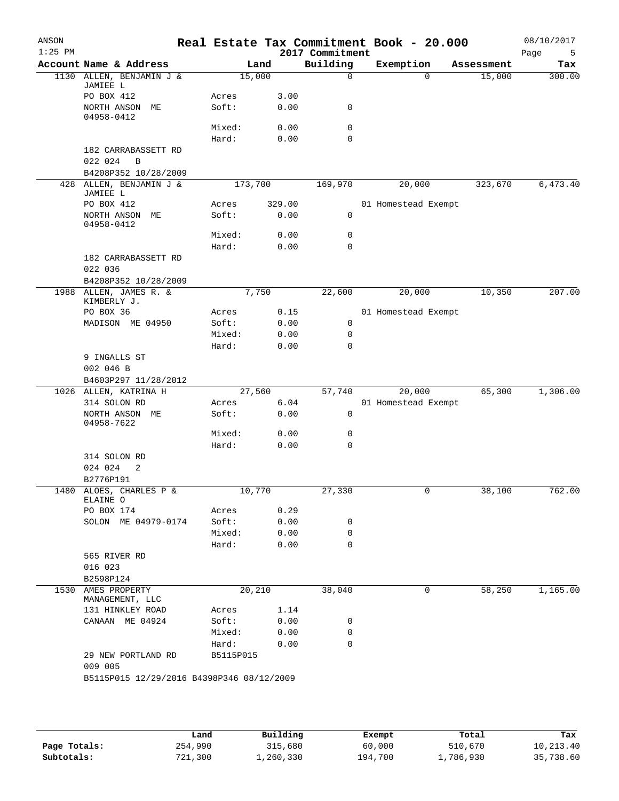| ANSON<br>$1:25$ PM |                                           |                |         |              | Real Estate Tax Commitment Book - 20.000<br>2017 Commitment |                     |                |            | 08/10/2017<br>Page<br>5 |
|--------------------|-------------------------------------------|----------------|---------|--------------|-------------------------------------------------------------|---------------------|----------------|------------|-------------------------|
|                    | Account Name & Address                    |                | Land    |              | Building                                                    | Exemption           |                | Assessment | Tax                     |
|                    | 1130 ALLEN, BENJAMIN J &<br>JAMIEE L      |                | 15,000  |              | $\mathbf 0$                                                 |                     | $\Omega$       | 15,000     | 300.00                  |
|                    | PO BOX 412<br>NORTH ANSON ME              | Acres<br>Soft: |         | 3.00<br>0.00 | 0                                                           |                     |                |            |                         |
|                    | 04958-0412                                | Mixed:         |         | 0.00         | 0                                                           |                     |                |            |                         |
|                    |                                           | Hard:          |         | 0.00         | $\mathbf 0$                                                 |                     |                |            |                         |
|                    | 182 CARRABASSETT RD<br>022 024<br>B       |                |         |              |                                                             |                     |                |            |                         |
|                    | B4208P352 10/28/2009                      |                |         |              |                                                             |                     |                |            |                         |
| 428                | ALLEN, BENJAMIN J &<br>JAMIEE L           |                | 173,700 |              | 169,970                                                     |                     | 20,000         | 323,670    | 6,473.40                |
|                    | PO BOX 412                                | Acres          |         | 329.00       |                                                             | 01 Homestead Exempt |                |            |                         |
|                    | NORTH ANSON ME<br>04958-0412              | Soft:          |         | 0.00         | 0                                                           |                     |                |            |                         |
|                    |                                           | Mixed:         |         | 0.00         | 0                                                           |                     |                |            |                         |
|                    |                                           | Hard:          |         | 0.00         | $\mathbf 0$                                                 |                     |                |            |                         |
|                    | 182 CARRABASSETT RD<br>022 036            |                |         |              |                                                             |                     |                |            |                         |
|                    | B4208P352 10/28/2009                      |                |         |              |                                                             |                     |                |            |                         |
|                    | 1988 ALLEN, JAMES R. &<br>KIMBERLY J.     |                | 7,750   |              | 22,600                                                      |                     | 20,000         | 10,350     | 207.00                  |
|                    | PO BOX 36                                 | Acres          |         | 0.15         |                                                             | 01 Homestead Exempt |                |            |                         |
|                    | MADISON ME 04950                          | Soft:          |         | 0.00         | 0                                                           |                     |                |            |                         |
|                    |                                           | Mixed:         |         | 0.00         | 0                                                           |                     |                |            |                         |
|                    |                                           | Hard:          |         | 0.00         | 0                                                           |                     |                |            |                         |
|                    | 9 INGALLS ST<br>002 046 B                 |                |         |              |                                                             |                     |                |            |                         |
|                    | B4603P297 11/28/2012                      |                |         |              |                                                             |                     |                |            |                         |
|                    | 1026 ALLEN, KATRINA H                     |                | 27,560  |              | 57,740                                                      |                     | 20,000         | 65,300     | 1,306.00                |
|                    | 314 SOLON RD                              | Acres          |         | 6.04         |                                                             | 01 Homestead Exempt |                |            |                         |
|                    | NORTH ANSON ME<br>04958-7622              | Soft:          |         | 0.00         | 0                                                           |                     |                |            |                         |
|                    |                                           | Mixed:         |         | 0.00         | 0                                                           |                     |                |            |                         |
|                    |                                           | Hard:          |         | 0.00         | 0                                                           |                     |                |            |                         |
|                    | 314 SOLON RD<br>024 024<br>2              |                |         |              |                                                             |                     |                |            |                         |
|                    | B2776P191                                 |                |         |              |                                                             |                     |                |            |                         |
|                    | 1480 ALOES, CHARLES P &<br>ELAINE O       | 10,770         |         |              | 27,330                                                      |                     | $\overline{0}$ | 38,100     | 762.00                  |
|                    | PO BOX 174                                | Acres          |         | 0.29         |                                                             |                     |                |            |                         |
|                    | SOLON ME 04979-0174                       | Soft:          |         | 0.00         | 0                                                           |                     |                |            |                         |
|                    |                                           | Mixed:         |         | 0.00         | 0                                                           |                     |                |            |                         |
|                    |                                           | Hard:          |         | 0.00         | 0                                                           |                     |                |            |                         |
|                    | 565 RIVER RD                              |                |         |              |                                                             |                     |                |            |                         |
|                    | 016 023                                   |                |         |              |                                                             |                     |                |            |                         |
|                    | B2598P124                                 |                |         |              |                                                             |                     |                |            |                         |
|                    | 1530 AMES PROPERTY<br>MANAGEMENT, LLC     |                | 20,210  |              | 38,040                                                      |                     | 0              | 58,250     | 1,165.00                |
|                    | 131 HINKLEY ROAD                          | Acres          |         | 1.14         |                                                             |                     |                |            |                         |
|                    | CANAAN ME 04924                           | Soft:          |         | 0.00         | 0                                                           |                     |                |            |                         |
|                    |                                           | Mixed:         |         | 0.00         | 0                                                           |                     |                |            |                         |
|                    |                                           | Hard:          |         | 0.00         | 0                                                           |                     |                |            |                         |
|                    | 29 NEW PORTLAND RD<br>009 005             | B5115P015      |         |              |                                                             |                     |                |            |                         |
|                    | B5115P015 12/29/2016 B4398P346 08/12/2009 |                |         |              |                                                             |                     |                |            |                         |
|                    |                                           |                |         |              |                                                             |                     |                |            |                         |
|                    |                                           |                |         |              |                                                             |                     |                |            |                         |

|              | Land    | Building    | Exempt  | Total     | Tax       |
|--------------|---------|-------------|---------|-----------|-----------|
| Page Totals: | 254,990 | 315,680     | 60,000  | 510,670   | 10,213.40 |
| Subtotals:   | 721,300 | ., 260, 330 | 194,700 | 1,786,930 | 35,738.60 |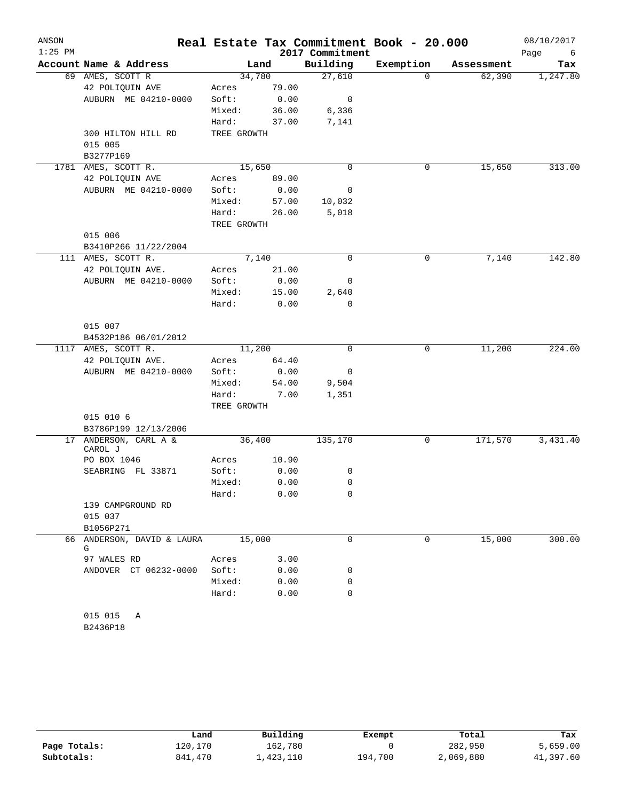| ANSON     |                                 |                      |        |                 | Real Estate Tax Commitment Book - 20.000 |            | 08/10/2017 |
|-----------|---------------------------------|----------------------|--------|-----------------|------------------------------------------|------------|------------|
| $1:25$ PM |                                 |                      |        | 2017 Commitment |                                          |            | Page<br>6  |
|           | Account Name & Address          |                      | Land   | Building        | Exemption                                | Assessment | Tax        |
|           | 69 AMES, SCOTT R                |                      | 34,780 | 27,610          | $\Omega$                                 | 62,390     | 1,247.80   |
|           | 42 POLIQUIN AVE                 | Acres                | 79.00  |                 |                                          |            |            |
|           | AUBURN ME 04210-0000            | Soft:                | 0.00   | 0               |                                          |            |            |
|           |                                 | Mixed:               | 36.00  | 6,336           |                                          |            |            |
|           | 300 HILTON HILL RD              | Hard:<br>TREE GROWTH | 37.00  | 7,141           |                                          |            |            |
|           | 015 005                         |                      |        |                 |                                          |            |            |
|           | B3277P169                       |                      |        |                 |                                          |            |            |
|           | 1781 AMES, SCOTT R.             |                      | 15,650 | $\mathbf 0$     | 0                                        | 15,650     | 313.00     |
|           | 42 POLIQUIN AVE                 | Acres                | 89.00  |                 |                                          |            |            |
|           | AUBURN ME 04210-0000            | Soft:                | 0.00   | 0               |                                          |            |            |
|           |                                 | Mixed:               | 57.00  | 10,032          |                                          |            |            |
|           |                                 | Hard:                | 26.00  | 5,018           |                                          |            |            |
|           |                                 | TREE GROWTH          |        |                 |                                          |            |            |
|           | 015 006                         |                      |        |                 |                                          |            |            |
|           | B3410P266 11/22/2004            |                      |        |                 |                                          |            |            |
|           | 111 AMES, SCOTT R.              |                      | 7,140  | 0               | 0                                        | 7,140      | 142.80     |
|           | 42 POLIQUIN AVE.                | Acres                | 21.00  |                 |                                          |            |            |
|           | AUBURN ME 04210-0000            | Soft:                | 0.00   | 0               |                                          |            |            |
|           |                                 | Mixed:               | 15.00  | 2,640           |                                          |            |            |
|           |                                 | Hard:                | 0.00   | 0               |                                          |            |            |
|           | 015 007                         |                      |        |                 |                                          |            |            |
|           | B4532P186 06/01/2012            |                      |        |                 |                                          |            |            |
| 1117      | AMES, SCOTT R.                  |                      | 11,200 | $\mathbf 0$     | 0                                        | 11,200     | 224.00     |
|           | 42 POLIQUIN AVE.                | Acres                | 64.40  |                 |                                          |            |            |
|           | AUBURN ME 04210-0000            | Soft:                | 0.00   | 0               |                                          |            |            |
|           |                                 | Mixed:               | 54.00  | 9,504           |                                          |            |            |
|           |                                 | Hard:                | 7.00   | 1,351           |                                          |            |            |
|           |                                 | TREE GROWTH          |        |                 |                                          |            |            |
|           | 015 010 6                       |                      |        |                 |                                          |            |            |
|           | B3786P199 12/13/2006            |                      |        |                 |                                          |            |            |
| 17        | ANDERSON, CARL A &<br>CAROL J   |                      | 36,400 | 135,170         | 0                                        | 171,570    | 3,431.40   |
|           | PO BOX 1046                     | Acres                | 10.90  |                 |                                          |            |            |
|           | SEABRING FL 33871               | Soft:                | 0.00   | 0               |                                          |            |            |
|           |                                 | Mixed:               | 0.00   | 0               |                                          |            |            |
|           |                                 | Hard:                | 0.00   | 0               |                                          |            |            |
|           | 139 CAMPGROUND RD               |                      |        |                 |                                          |            |            |
|           | 015 037                         |                      |        |                 |                                          |            |            |
|           | B1056P271                       |                      |        |                 |                                          |            |            |
|           | 66 ANDERSON, DAVID & LAURA<br>G |                      | 15,000 | $\Omega$        | $\Omega$                                 | 15,000     | 300.00     |
|           | 97 WALES RD                     | Acres                | 3.00   |                 |                                          |            |            |
|           | ANDOVER CT 06232-0000           | Soft:                | 0.00   | 0               |                                          |            |            |
|           |                                 | Mixed:               | 0.00   | 0               |                                          |            |            |
|           |                                 | Hard:                | 0.00   | 0               |                                          |            |            |
|           |                                 |                      |        |                 |                                          |            |            |
|           | 015 015<br>Α                    |                      |        |                 |                                          |            |            |

B2436P18

|              | Land    | Building  | Exempt  | Total     | Tax       |
|--------------|---------|-----------|---------|-----------|-----------|
| Page Totals: | 120,170 | 162,780   |         | 282,950   | 5,659.00  |
| Subtotals:   | 841,470 | 1,423,110 | 194,700 | 2,069,880 | 41,397.60 |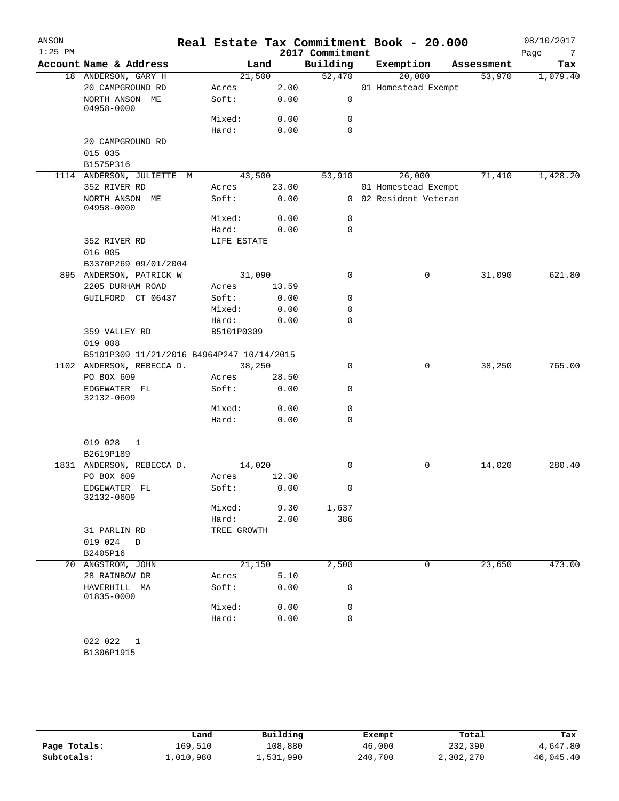| ANSON     |                                           |             |       |                 | Real Estate Tax Commitment Book - 20.000 |            | 08/10/2017             |
|-----------|-------------------------------------------|-------------|-------|-----------------|------------------------------------------|------------|------------------------|
| $1:25$ PM |                                           |             |       | 2017 Commitment |                                          |            | Page<br>$\overline{7}$ |
|           | Account Name & Address                    |             | Land  | Building        | Exemption                                | Assessment | Tax                    |
|           | 18 ANDERSON, GARY H                       | 21,500      |       | 52,470          | 20,000                                   | 53,970     | 1,079.40               |
|           | 20 CAMPGROUND RD                          | Acres       | 2.00  |                 | 01 Homestead Exempt                      |            |                        |
|           | NORTH ANSON ME<br>04958-0000              | Soft:       | 0.00  | 0               |                                          |            |                        |
|           |                                           | Mixed:      | 0.00  | 0               |                                          |            |                        |
|           |                                           | Hard:       | 0.00  | $\Omega$        |                                          |            |                        |
|           | 20 CAMPGROUND RD<br>015 035               |             |       |                 |                                          |            |                        |
|           | B1575P316                                 |             |       |                 |                                          |            |                        |
|           | 1114 ANDERSON, JULIETTE M                 | 43,500      |       | 53,910          | 26,000                                   | 71,410     | 1,428.20               |
|           | 352 RIVER RD                              | Acres       | 23.00 |                 | 01 Homestead Exempt                      |            |                        |
|           | NORTH ANSON ME<br>04958-0000              | Soft:       | 0.00  |                 | 0 02 Resident Veteran                    |            |                        |
|           |                                           | Mixed:      | 0.00  | 0               |                                          |            |                        |
|           |                                           | Hard:       | 0.00  | 0               |                                          |            |                        |
|           | 352 RIVER RD                              | LIFE ESTATE |       |                 |                                          |            |                        |
|           | 016 005                                   |             |       |                 |                                          |            |                        |
|           | B3370P269 09/01/2004                      |             |       |                 |                                          |            |                        |
|           | 895 ANDERSON, PATRICK W                   | 31,090      |       | $\mathbf 0$     | $\mathsf{O}$                             | 31,090     | 621.80                 |
|           | 2205 DURHAM ROAD                          | Acres       | 13.59 |                 |                                          |            |                        |
|           | GUILFORD CT 06437                         | Soft:       | 0.00  | 0               |                                          |            |                        |
|           |                                           | Mixed:      | 0.00  | 0               |                                          |            |                        |
|           |                                           | Hard:       | 0.00  | $\Omega$        |                                          |            |                        |
|           | 359 VALLEY RD<br>019 008                  | B5101P0309  |       |                 |                                          |            |                        |
|           | B5101P309 11/21/2016 B4964P247 10/14/2015 |             |       |                 |                                          |            |                        |
|           | 1102 ANDERSON, REBECCA D.                 | 38,250      |       | 0               | 0                                        | 38,250     | 765.00                 |
|           | PO BOX 609                                | Acres       | 28.50 |                 |                                          |            |                        |
|           | EDGEWATER FL<br>32132-0609                | Soft:       | 0.00  | 0               |                                          |            |                        |
|           |                                           | Mixed:      | 0.00  | 0               |                                          |            |                        |
|           |                                           | Hard:       | 0.00  | 0               |                                          |            |                        |
|           | 019 028<br>$\mathbf{1}$                   |             |       |                 |                                          |            |                        |
|           | B2619P189<br>1831 ANDERSON, REBECCA D.    | 14,020      |       | $\Omega$        | 0                                        | 14,020     | 280.40                 |
|           | PO BOX 609                                | Acres       | 12.30 |                 |                                          |            |                        |
|           | EDGEWATER FL                              | Soft: 0.00  |       | 0               |                                          |            |                        |
|           | 32132-0609                                | Mixed:      | 9.30  | 1,637           |                                          |            |                        |
|           |                                           | Hard:       |       | 386             |                                          |            |                        |
|           | 31 PARLIN RD                              | TREE GROWTH | 2.00  |                 |                                          |            |                        |
|           | 019 024<br>D                              |             |       |                 |                                          |            |                        |
|           | B2405P16                                  |             |       |                 |                                          |            |                        |
|           | 20 ANGSTROM, JOHN                         | 21,150      |       | 2,500           | 0                                        | 23,650     | 473.00                 |
|           | 28 RAINBOW DR                             | Acres       | 5.10  |                 |                                          |            |                        |
|           | HAVERHILL MA<br>01835-0000                | Soft:       | 0.00  | 0               |                                          |            |                        |
|           |                                           | Mixed:      | 0.00  | 0               |                                          |            |                        |
|           |                                           | Hard:       | 0.00  | 0               |                                          |            |                        |
|           |                                           |             |       |                 |                                          |            |                        |
|           | 022 022 1<br>B1306P1915                   |             |       |                 |                                          |            |                        |
|           |                                           |             |       |                 |                                          |            |                        |

|              | Land      | Building  | Exempt  | Total     | Tax       |
|--------------|-----------|-----------|---------|-----------|-----------|
| Page Totals: | 169,510   | 108,880   | 46,000  | 232,390   | 4,647.80  |
| Subtotals:   | 1,010,980 | 1,531,990 | 240,700 | 2,302,270 | 46,045.40 |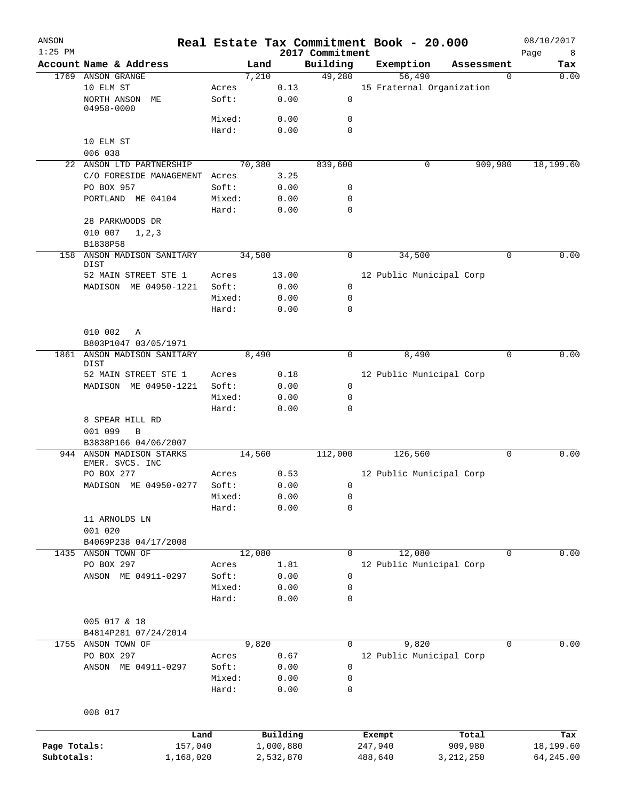| ANSON<br>$1:25$ PM |                                       |                 |              | Real Estate Tax Commitment Book - 20.000<br>2017 Commitment |         |                           |             | 08/10/2017<br>8<br>Page |
|--------------------|---------------------------------------|-----------------|--------------|-------------------------------------------------------------|---------|---------------------------|-------------|-------------------------|
|                    | Account Name & Address                |                 | Land         | Building                                                    |         | Exemption                 | Assessment  | Tax                     |
| 1769               | ANSON GRANGE                          |                 | 7,210        | 49,280                                                      |         | 56,490                    | $\Omega$    | 0.00                    |
|                    | 10 ELM ST<br>NORTH ANSON<br>МE        | Acres<br>Soft:  | 0.13<br>0.00 | $\mathsf{O}$                                                |         | 15 Fraternal Organization |             |                         |
|                    | 04958-0000                            |                 |              |                                                             |         |                           |             |                         |
|                    |                                       | Mixed:<br>Hard: | 0.00<br>0.00 | 0<br>$\mathbf 0$                                            |         |                           |             |                         |
|                    | 10 ELM ST                             |                 |              |                                                             |         |                           |             |                         |
|                    | 006 038                               |                 |              |                                                             |         |                           |             |                         |
|                    | 22 ANSON LTD PARTNERSHIP              |                 | 70,380       | 839,600                                                     |         | 0                         | 909,980     | 18,199.60               |
|                    | C/O FORESIDE MANAGEMENT Acres         |                 | 3.25         |                                                             |         |                           |             |                         |
|                    | PO BOX 957                            | Soft:           | 0.00         | 0                                                           |         |                           |             |                         |
|                    | PORTLAND ME 04104                     | Mixed:          | 0.00         | 0                                                           |         |                           |             |                         |
|                    |                                       | Hard:           | 0.00         | $\mathbf 0$                                                 |         |                           |             |                         |
|                    | 28 PARKWOODS DR                       |                 |              |                                                             |         |                           |             |                         |
|                    | 010 007<br>1, 2, 3                    |                 |              |                                                             |         |                           |             |                         |
|                    | B1838P58                              |                 |              |                                                             |         |                           |             |                         |
| 158                | ANSON MADISON SANITARY                |                 | 34,500       | 0                                                           |         | 34,500                    | 0           | 0.00                    |
|                    | <b>DIST</b>                           |                 |              |                                                             |         |                           |             |                         |
|                    | 52 MAIN STREET STE 1                  | Acres           | 13.00        |                                                             |         | 12 Public Municipal Corp  |             |                         |
|                    | MADISON ME 04950-1221                 | Soft:           | 0.00         | 0                                                           |         |                           |             |                         |
|                    |                                       | Mixed:          | 0.00         | 0                                                           |         |                           |             |                         |
|                    |                                       | Hard:           | 0.00         | 0                                                           |         |                           |             |                         |
|                    |                                       |                 |              |                                                             |         |                           |             |                         |
|                    | 010 002<br>Α                          |                 |              |                                                             |         |                           |             |                         |
|                    | B803P1047 03/05/1971                  |                 |              |                                                             |         |                           |             |                         |
| 1861               | ANSON MADISON SANITARY<br>DIST        |                 | 8,490        | 0                                                           |         | 8,490                     | $\mathbf 0$ | 0.00                    |
|                    | 52 MAIN STREET STE 1                  | Acres           | 0.18         |                                                             |         | 12 Public Municipal Corp  |             |                         |
|                    | MADISON ME 04950-1221                 | Soft:           | 0.00         | 0                                                           |         |                           |             |                         |
|                    |                                       | Mixed:          | 0.00         | 0                                                           |         |                           |             |                         |
|                    |                                       | Hard:           | 0.00         | 0                                                           |         |                           |             |                         |
|                    | 8 SPEAR HILL RD                       |                 |              |                                                             |         |                           |             |                         |
|                    | 001 099<br>B                          |                 |              |                                                             |         |                           |             |                         |
|                    | B3838P166 04/06/2007                  |                 |              |                                                             |         |                           |             |                         |
|                    | 944 ANSON MADISON STARKS              |                 | 14,560       | 112,000                                                     |         | 126,560                   | $\Omega$    | 0.00                    |
|                    | EMER. SVCS. INC                       |                 |              |                                                             |         |                           |             |                         |
|                    | PO BOX 277                            | Acres           | 0.53         |                                                             |         | 12 Public Municipal Corp  |             |                         |
|                    | MADISON ME 04950-0277                 | Soft:           | 0.00         | 0                                                           |         |                           |             |                         |
|                    |                                       | Mixed:          | 0.00         | 0                                                           |         |                           |             |                         |
|                    |                                       | Hard:           | 0.00         | 0                                                           |         |                           |             |                         |
|                    | 11 ARNOLDS LN                         |                 |              |                                                             |         |                           |             |                         |
|                    | 001 020                               |                 |              |                                                             |         |                           |             |                         |
|                    | B4069P238 04/17/2008                  |                 |              |                                                             |         |                           |             |                         |
| 1435               | ANSON TOWN OF                         |                 | 12,080       | 0                                                           |         | 12,080                    | 0           | 0.00                    |
|                    | PO BOX 297                            | Acres           | 1.81         |                                                             |         | 12 Public Municipal Corp  |             |                         |
|                    | ANSON ME 04911-0297                   | Soft:           | 0.00         | 0                                                           |         |                           |             |                         |
|                    |                                       | Mixed:          | 0.00         | 0                                                           |         |                           |             |                         |
|                    |                                       | Hard:           | 0.00         | 0                                                           |         |                           |             |                         |
|                    |                                       |                 |              |                                                             |         |                           |             |                         |
|                    | 005 017 & 18                          |                 |              |                                                             |         |                           |             |                         |
| 1755               | B4814P281 07/24/2014<br>ANSON TOWN OF |                 | 9,820        | 0                                                           |         | 9,820                     | 0           | 0.00                    |
|                    | PO BOX 297                            | Acres           | 0.67         |                                                             |         | 12 Public Municipal Corp  |             |                         |
|                    | ANSON ME 04911-0297                   | Soft:           | 0.00         | 0                                                           |         |                           |             |                         |
|                    |                                       | Mixed:          | 0.00         | 0                                                           |         |                           |             |                         |
|                    |                                       | Hard:           | 0.00         | 0                                                           |         |                           |             |                         |
|                    |                                       |                 |              |                                                             |         |                           |             |                         |
|                    | 008 017                               |                 |              |                                                             |         |                           |             |                         |
|                    |                                       |                 |              |                                                             |         |                           |             |                         |
|                    |                                       | Land            | Building     |                                                             | Exempt  |                           | Total       | Tax                     |
| Page Totals:       |                                       | 157,040         | 1,000,880    |                                                             | 247,940 |                           | 909,980     | 18,199.60               |
| Subtotals:         | 1,168,020                             |                 | 2,532,870    |                                                             | 488,640 |                           | 3, 212, 250 | 64,245.00               |
|                    |                                       |                 |              |                                                             |         |                           |             |                         |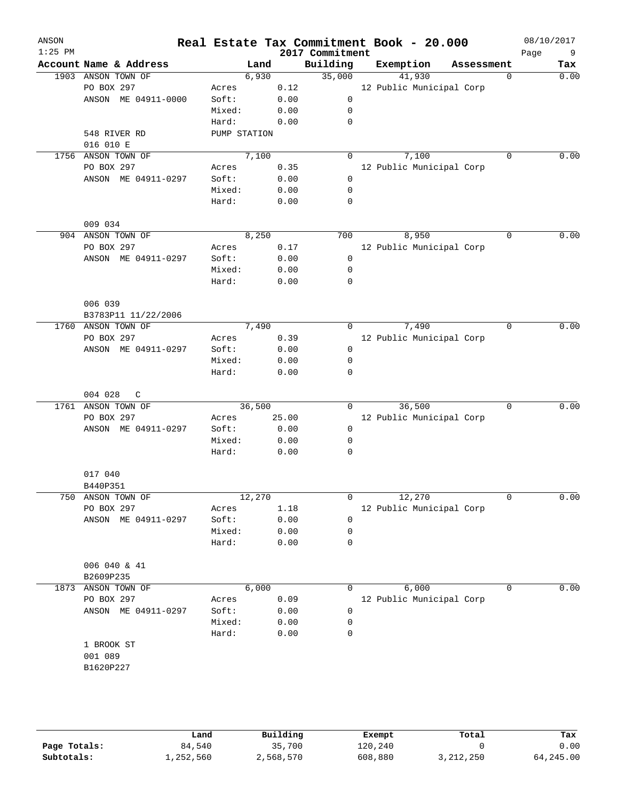| ANSON<br>$1:25$ PM |                        |        |              |       | 2017 Commitment | Real Estate Tax Commitment Book - 20.000 |             | 08/10/2017<br>9<br>Page |
|--------------------|------------------------|--------|--------------|-------|-----------------|------------------------------------------|-------------|-------------------------|
|                    | Account Name & Address |        | Land         |       | Building        | Exemption                                | Assessment  | Tax                     |
|                    | 1903 ANSON TOWN OF     |        | 6,930        |       | 35,000          | 41,930                                   | $\Omega$    | 0.00                    |
|                    | PO BOX 297             | Acres  |              | 0.12  |                 | 12 Public Municipal Corp                 |             |                         |
|                    | ANSON ME 04911-0000    | Soft:  |              | 0.00  | $\mathbf 0$     |                                          |             |                         |
|                    |                        | Mixed: |              | 0.00  | 0               |                                          |             |                         |
|                    |                        | Hard:  |              | 0.00  | 0               |                                          |             |                         |
|                    | 548 RIVER RD           |        | PUMP STATION |       |                 |                                          |             |                         |
|                    | 016 010 E              |        |              |       |                 |                                          |             |                         |
|                    | 1756 ANSON TOWN OF     |        | 7,100        |       | 0               | 7,100                                    | $\Omega$    | 0.00                    |
|                    | PO BOX 297             | Acres  |              | 0.35  |                 | 12 Public Municipal Corp                 |             |                         |
|                    | ANSON ME 04911-0297    | Soft:  |              | 0.00  | 0               |                                          |             |                         |
|                    |                        | Mixed: |              | 0.00  | 0               |                                          |             |                         |
|                    |                        | Hard:  |              | 0.00  | 0               |                                          |             |                         |
|                    |                        |        |              |       |                 |                                          |             |                         |
|                    | 009 034                |        |              |       |                 |                                          |             |                         |
|                    | 904 ANSON TOWN OF      |        | 8,250        |       | 700             | 8,950                                    | $\Omega$    | 0.00                    |
|                    | PO BOX 297             | Acres  |              | 0.17  |                 | 12 Public Municipal Corp                 |             |                         |
|                    | ANSON ME 04911-0297    | Soft:  |              | 0.00  | $\mathbf 0$     |                                          |             |                         |
|                    |                        | Mixed: |              | 0.00  | 0               |                                          |             |                         |
|                    |                        | Hard:  |              | 0.00  | 0               |                                          |             |                         |
|                    |                        |        |              |       |                 |                                          |             |                         |
|                    | 006 039                |        |              |       |                 |                                          |             |                         |
|                    | B3783P11 11/22/2006    |        |              |       |                 |                                          |             |                         |
|                    | 1760 ANSON TOWN OF     |        | 7,490        |       | 0               | 7,490                                    | 0           | 0.00                    |
|                    | PO BOX 297             | Acres  |              | 0.39  |                 | 12 Public Municipal Corp                 |             |                         |
|                    | ANSON ME 04911-0297    | Soft:  |              | 0.00  | 0               |                                          |             |                         |
|                    |                        | Mixed: |              | 0.00  | 0               |                                          |             |                         |
|                    |                        | Hard:  |              | 0.00  | 0               |                                          |             |                         |
|                    | 004 028<br>C           |        |              |       |                 |                                          |             |                         |
|                    | 1761 ANSON TOWN OF     |        | 36,500       |       | $\Omega$        | 36,500                                   | $\Omega$    | 0.00                    |
|                    | PO BOX 297             | Acres  |              | 25.00 |                 | 12 Public Municipal Corp                 |             |                         |
|                    | ANSON ME 04911-0297    | Soft:  |              | 0.00  | 0               |                                          |             |                         |
|                    |                        | Mixed: |              | 0.00  | 0               |                                          |             |                         |
|                    |                        | Hard:  |              | 0.00  | $\mathbf 0$     |                                          |             |                         |
|                    |                        |        |              |       |                 |                                          |             |                         |
|                    | 017 040                |        |              |       |                 |                                          |             |                         |
|                    | B440P351               |        |              |       |                 |                                          |             |                         |
| 750                | ANSON TOWN OF          |        | 12,270       |       | 0               | 12,270                                   | $\mathbf 0$ | 0.00                    |
|                    | PO BOX 297             | Acres  |              | 1.18  |                 | 12 Public Municipal Corp                 |             |                         |
|                    | ANSON ME 04911-0297    | Soft:  |              | 0.00  | 0               |                                          |             |                         |
|                    |                        | Mixed: |              | 0.00  | 0               |                                          |             |                         |
|                    |                        | Hard:  |              | 0.00  | 0               |                                          |             |                         |
|                    |                        |        |              |       |                 |                                          |             |                         |
|                    | 006 040 & 41           |        |              |       |                 |                                          |             |                         |
|                    | B2609P235              |        |              |       |                 |                                          |             |                         |
| 1873               | ANSON TOWN OF          |        | 6,000        |       | 0               | 6,000                                    | 0           | 0.00                    |
|                    | PO BOX 297             | Acres  |              | 0.09  |                 | 12 Public Municipal Corp                 |             |                         |
|                    | ANSON ME 04911-0297    | Soft:  |              | 0.00  | 0               |                                          |             |                         |
|                    |                        | Mixed: |              | 0.00  | 0               |                                          |             |                         |
|                    |                        | Hard:  |              | 0.00  | 0               |                                          |             |                         |
|                    | 1 BROOK ST             |        |              |       |                 |                                          |             |                         |
|                    | 001 089                |        |              |       |                 |                                          |             |                         |
|                    | B1620P227              |        |              |       |                 |                                          |             |                         |
|                    |                        |        |              |       |                 |                                          |             |                         |
|                    |                        |        |              |       |                 |                                          |             |                         |

|              | Land      | Building  | Exempt  | Total     | Tax       |
|--------------|-----------|-----------|---------|-----------|-----------|
| Page Totals: | 84,540    | 35,700    | 120,240 |           | 0.00      |
| Subtotals:   | 1,252,560 | 2,568,570 | 608,880 | 3,212,250 | 64,245.00 |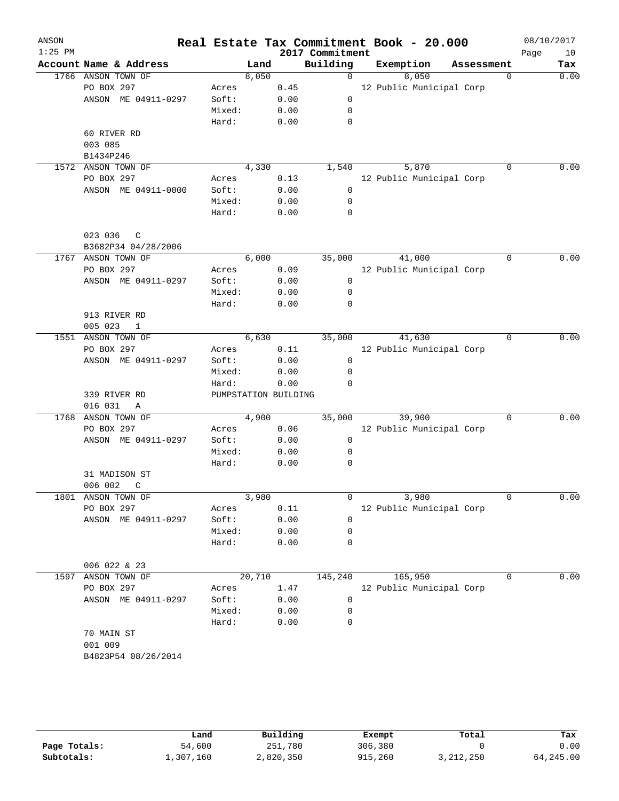| ANSON<br>$1:25$ PM |                         |                      |        |      | 2017 Commitment | Real Estate Tax Commitment Book - 20.000 |            |             | 08/10/2017<br>Page | 10   |
|--------------------|-------------------------|----------------------|--------|------|-----------------|------------------------------------------|------------|-------------|--------------------|------|
|                    | Account Name & Address  |                      | Land   |      | Building        | Exemption                                | Assessment |             |                    | Tax  |
|                    | 1766 ANSON TOWN OF      |                      | 8,050  |      | $\Omega$        | 8,050                                    |            | $\Omega$    |                    | 0.00 |
|                    | PO BOX 297              | Acres                |        | 0.45 |                 | 12 Public Municipal Corp                 |            |             |                    |      |
|                    | ANSON ME 04911-0297     | Soft:                |        | 0.00 | $\mathbf 0$     |                                          |            |             |                    |      |
|                    |                         | Mixed:               |        | 0.00 | $\mathbf 0$     |                                          |            |             |                    |      |
|                    |                         | Hard:                |        | 0.00 | $\mathbf 0$     |                                          |            |             |                    |      |
|                    | 60 RIVER RD             |                      |        |      |                 |                                          |            |             |                    |      |
|                    | 003 085                 |                      |        |      |                 |                                          |            |             |                    |      |
|                    | B1434P246               |                      |        |      |                 |                                          |            |             |                    |      |
|                    | 1572 ANSON TOWN OF      |                      | 4,330  |      | 1,540           | 5,870                                    |            | 0           |                    | 0.00 |
|                    | PO BOX 297              | Acres                |        | 0.13 |                 | 12 Public Municipal Corp                 |            |             |                    |      |
|                    | ANSON ME 04911-0000     | Soft:                |        | 0.00 | 0               |                                          |            |             |                    |      |
|                    |                         | Mixed:               |        | 0.00 | 0               |                                          |            |             |                    |      |
|                    |                         | Hard:                |        | 0.00 | $\mathbf 0$     |                                          |            |             |                    |      |
|                    |                         |                      |        |      |                 |                                          |            |             |                    |      |
|                    | 023 036<br>C            |                      |        |      |                 |                                          |            |             |                    |      |
|                    | B3682P34 04/28/2006     |                      |        |      |                 |                                          |            |             |                    |      |
|                    | 1767 ANSON TOWN OF      |                      | 6,000  |      | 35,000          | 41,000                                   |            | 0           |                    | 0.00 |
|                    | PO BOX 297              | Acres                |        | 0.09 |                 | 12 Public Municipal Corp                 |            |             |                    |      |
|                    | ANSON ME 04911-0297     | Soft:                |        | 0.00 | $\overline{0}$  |                                          |            |             |                    |      |
|                    |                         | Mixed:               |        | 0.00 | $\mathbf 0$     |                                          |            |             |                    |      |
|                    |                         | Hard:                |        | 0.00 | $\mathbf 0$     |                                          |            |             |                    |      |
|                    | 913 RIVER RD            |                      |        |      |                 |                                          |            |             |                    |      |
|                    | 005 023<br>1            |                      |        |      |                 |                                          |            |             |                    |      |
| 1551               | ANSON TOWN OF           |                      | 6,630  |      | 35,000          | 41,630                                   |            | 0           |                    | 0.00 |
|                    | PO BOX 297              | Acres                |        | 0.11 |                 | 12 Public Municipal Corp                 |            |             |                    |      |
|                    | ANSON ME 04911-0297     | Soft:                |        | 0.00 | $\mathsf{O}$    |                                          |            |             |                    |      |
|                    |                         | Mixed:               |        | 0.00 | $\mathbf 0$     |                                          |            |             |                    |      |
|                    |                         | Hard:                |        | 0.00 | $\mathbf 0$     |                                          |            |             |                    |      |
|                    | 339 RIVER RD            | PUMPSTATION BUILDING |        |      |                 |                                          |            |             |                    |      |
|                    | 016 031<br>$\mathbb{A}$ |                      |        |      |                 |                                          |            |             |                    |      |
|                    | 1768 ANSON TOWN OF      |                      | 4,900  |      | 35,000          | 39,900                                   |            | $\Omega$    |                    | 0.00 |
|                    | PO BOX 297              | Acres                |        | 0.06 |                 | 12 Public Municipal Corp                 |            |             |                    |      |
|                    | ANSON ME 04911-0297     | Soft:                |        | 0.00 | $\mathbf 0$     |                                          |            |             |                    |      |
|                    |                         | Mixed:               |        | 0.00 | $\mathbf 0$     |                                          |            |             |                    |      |
|                    |                         | Hard:                |        | 0.00 | 0               |                                          |            |             |                    |      |
|                    | 31 MADISON ST           |                      |        |      |                 |                                          |            |             |                    |      |
|                    | 006 002<br>C            |                      |        |      |                 |                                          |            |             |                    |      |
|                    | 1801 ANSON TOWN OF      |                      | 3,980  |      | 0               | 3,980                                    |            | $\mathbf 0$ |                    | 0.00 |
|                    | PO BOX 297              | Acres                |        | 0.11 |                 | 12 Public Municipal Corp                 |            |             |                    |      |
|                    | ANSON ME 04911-0297     | Soft:                |        | 0.00 | 0               |                                          |            |             |                    |      |
|                    |                         | Mixed:               |        | 0.00 | 0               |                                          |            |             |                    |      |
|                    |                         | Hard:                |        | 0.00 | 0               |                                          |            |             |                    |      |
|                    |                         |                      |        |      |                 |                                          |            |             |                    |      |
|                    | 006 022 & 23            |                      |        |      |                 |                                          |            |             |                    |      |
| 1597               | ANSON TOWN OF           |                      | 20,710 |      | 145,240         | 165,950                                  |            | 0           |                    | 0.00 |
|                    | PO BOX 297              | Acres                |        | 1.47 |                 | 12 Public Municipal Corp                 |            |             |                    |      |
|                    | ANSON ME 04911-0297     | Soft:                |        | 0.00 | 0               |                                          |            |             |                    |      |
|                    |                         | Mixed:               |        | 0.00 | 0               |                                          |            |             |                    |      |
|                    |                         | Hard:                |        | 0.00 | 0               |                                          |            |             |                    |      |
|                    | 70 MAIN ST              |                      |        |      |                 |                                          |            |             |                    |      |
|                    | 001 009                 |                      |        |      |                 |                                          |            |             |                    |      |
|                    | B4823P54 08/26/2014     |                      |        |      |                 |                                          |            |             |                    |      |
|                    |                         |                      |        |      |                 |                                          |            |             |                    |      |
|                    |                         |                      |        |      |                 |                                          |            |             |                    |      |

|              | Land      | Building  | Exempt  | Total     | Tax       |
|--------------|-----------|-----------|---------|-----------|-----------|
| Page Totals: | 54,600    | 251,780   | 306,380 |           | 0.00      |
| Subtotals:   | 1,307,160 | 2,820,350 | 915,260 | 3,212,250 | 64,245.00 |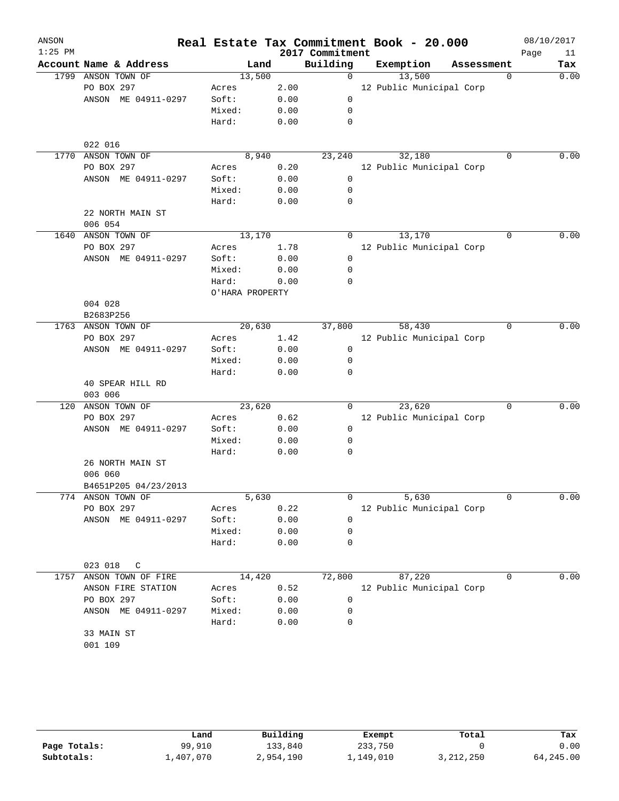| ANSON     |                        |        |                 |      |                 | Real Estate Tax Commitment Book - 20.000 |            |          | 08/10/2017 |      |
|-----------|------------------------|--------|-----------------|------|-----------------|------------------------------------------|------------|----------|------------|------|
| $1:25$ PM |                        |        |                 |      | 2017 Commitment |                                          |            |          | Page       | 11   |
|           | Account Name & Address |        | Land            |      | Building        | Exemption                                | Assessment |          |            | Tax  |
|           | 1799 ANSON TOWN OF     |        | 13,500          |      | $\Omega$        | 13,500                                   |            | $\Omega$ |            | 0.00 |
|           | PO BOX 297             | Acres  |                 | 2.00 |                 | 12 Public Municipal Corp                 |            |          |            |      |
|           | ANSON ME 04911-0297    | Soft:  |                 | 0.00 | $\mathbf 0$     |                                          |            |          |            |      |
|           |                        | Mixed: |                 | 0.00 | $\mathbf 0$     |                                          |            |          |            |      |
|           |                        | Hard:  |                 | 0.00 | $\mathbf 0$     |                                          |            |          |            |      |
|           | 022 016                |        |                 |      |                 |                                          |            |          |            |      |
|           | 1770 ANSON TOWN OF     |        | 8,940           |      | 23,240          | 32,180                                   |            | 0        |            | 0.00 |
|           | PO BOX 297             | Acres  |                 | 0.20 |                 | 12 Public Municipal Corp                 |            |          |            |      |
|           | ANSON ME 04911-0297    | Soft:  |                 | 0.00 | $\mathbf 0$     |                                          |            |          |            |      |
|           |                        | Mixed: |                 | 0.00 | 0               |                                          |            |          |            |      |
|           |                        | Hard:  |                 | 0.00 | $\mathbf 0$     |                                          |            |          |            |      |
|           | 22 NORTH MAIN ST       |        |                 |      |                 |                                          |            |          |            |      |
|           | 006 054                |        |                 |      |                 |                                          |            |          |            |      |
|           | 1640 ANSON TOWN OF     |        | 13,170          |      | $\Omega$        | 13,170                                   |            | $\Omega$ |            | 0.00 |
|           | PO BOX 297             | Acres  |                 | 1.78 |                 | 12 Public Municipal Corp                 |            |          |            |      |
|           | ANSON ME 04911-0297    | Soft:  |                 | 0.00 | $\mathbf 0$     |                                          |            |          |            |      |
|           |                        | Mixed: |                 | 0.00 | $\mathbf 0$     |                                          |            |          |            |      |
|           |                        | Hard:  |                 | 0.00 | $\mathbf 0$     |                                          |            |          |            |      |
|           |                        |        | O'HARA PROPERTY |      |                 |                                          |            |          |            |      |
|           | 004 028                |        |                 |      |                 |                                          |            |          |            |      |
|           | B2683P256              |        |                 |      |                 |                                          |            |          |            |      |
|           | 1763 ANSON TOWN OF     |        | 20,630          |      | 37,800          | 58,430                                   |            | 0        |            | 0.00 |
|           | PO BOX 297             | Acres  |                 | 1.42 |                 | 12 Public Municipal Corp                 |            |          |            |      |
|           | ANSON ME 04911-0297    | Soft:  |                 | 0.00 | $\mathsf 0$     |                                          |            |          |            |      |
|           |                        | Mixed: |                 | 0.00 | 0               |                                          |            |          |            |      |
|           |                        | Hard:  |                 | 0.00 | $\mathbf 0$     |                                          |            |          |            |      |
|           | 40 SPEAR HILL RD       |        |                 |      |                 |                                          |            |          |            |      |
|           | 003 006                |        |                 |      |                 |                                          |            |          |            |      |
|           | 120 ANSON TOWN OF      |        | 23,620          |      | 0               | 23,620                                   |            | $\Omega$ |            | 0.00 |
|           | PO BOX 297             | Acres  |                 | 0.62 |                 | 12 Public Municipal Corp                 |            |          |            |      |
|           | ANSON ME 04911-0297    | Soft:  |                 | 0.00 | 0               |                                          |            |          |            |      |
|           |                        | Mixed: |                 | 0.00 | 0               |                                          |            |          |            |      |
|           |                        | Hard:  |                 | 0.00 | $\mathbf 0$     |                                          |            |          |            |      |
|           | 26 NORTH MAIN ST       |        |                 |      |                 |                                          |            |          |            |      |
|           | 006 060                |        |                 |      |                 |                                          |            |          |            |      |
|           | B4651P205 04/23/2013   |        |                 |      |                 |                                          |            |          |            |      |
|           | 774 ANSON TOWN OF      |        | 5,630           |      | 0               | 5,630                                    |            | 0        |            | 0.00 |
|           | PO BOX 297             | Acres  |                 | 0.22 |                 | 12 Public Municipal Corp                 |            |          |            |      |
|           | ANSON ME 04911-0297    | Soft:  |                 | 0.00 | 0               |                                          |            |          |            |      |
|           |                        | Mixed: |                 | 0.00 | 0               |                                          |            |          |            |      |
|           |                        | Hard:  |                 | 0.00 | 0               |                                          |            |          |            |      |
|           | 023 018<br>C           |        |                 |      |                 |                                          |            |          |            |      |
| 1757      | ANSON TOWN OF FIRE     |        | 14,420          |      | 72,800          | 87,220                                   |            | 0        |            | 0.00 |
|           | ANSON FIRE STATION     | Acres  |                 | 0.52 |                 | 12 Public Municipal Corp                 |            |          |            |      |
|           | PO BOX 297             | Soft:  |                 | 0.00 | 0               |                                          |            |          |            |      |
|           | ANSON ME 04911-0297    | Mixed: |                 | 0.00 | 0               |                                          |            |          |            |      |
|           |                        | Hard:  |                 | 0.00 | 0               |                                          |            |          |            |      |
|           | 33 MAIN ST             |        |                 |      |                 |                                          |            |          |            |      |
|           | 001 109                |        |                 |      |                 |                                          |            |          |            |      |
|           |                        |        |                 |      |                 |                                          |            |          |            |      |

|              | Land      | Building  | Exempt    | Total       | Tax       |
|--------------|-----------|-----------|-----------|-------------|-----------|
| Page Totals: | 99,910    | 133,840   | 233,750   |             | 0.00      |
| Subtotals:   | ⊥,407,070 | 2,954,190 | 1,149,010 | 3, 212, 250 | 64,245.00 |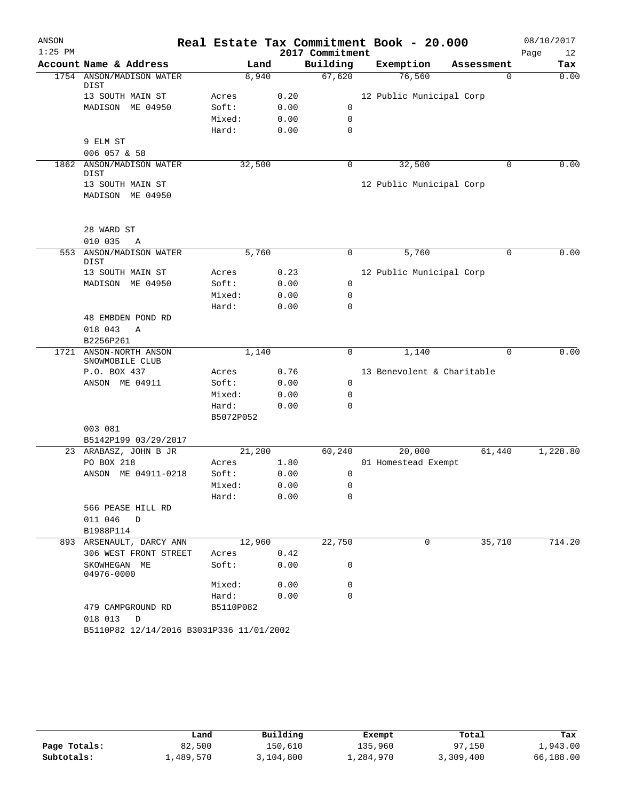| ANSON     |                                           |           |        |      |                 | Real Estate Tax Commitment Book - 20.000 |            | 08/10/2017 |        |
|-----------|-------------------------------------------|-----------|--------|------|-----------------|------------------------------------------|------------|------------|--------|
| $1:25$ PM |                                           |           |        |      | 2017 Commitment |                                          |            | Page       | 12     |
|           | Account Name & Address                    |           | Land   |      | Building        | Exemption                                | Assessment |            | Tax    |
|           | 1754 ANSON/MADISON WATER<br>DIST          |           | 8,940  |      | 67,620          | 76,560                                   | 0          |            | 0.00   |
|           | 13 SOUTH MAIN ST                          | Acres     |        | 0.20 |                 | 12 Public Municipal Corp                 |            |            |        |
|           | MADISON ME 04950                          | Soft:     |        | 0.00 | 0               |                                          |            |            |        |
|           |                                           | Mixed:    |        | 0.00 | $\mathbf 0$     |                                          |            |            |        |
|           |                                           | Hard:     |        | 0.00 | $\mathbf 0$     |                                          |            |            |        |
|           | 9 ELM ST                                  |           |        |      |                 |                                          |            |            |        |
|           | 006 057 & 58                              |           |        |      |                 |                                          |            |            |        |
| 1862      | ANSON/MADISON WATER                       |           | 32,500 |      | $\mathbf 0$     | 32,500                                   | 0          |            | 0.00   |
|           | DIST                                      |           |        |      |                 |                                          |            |            |        |
|           | 13 SOUTH MAIN ST                          |           |        |      |                 | 12 Public Municipal Corp                 |            |            |        |
|           | MADISON ME 04950                          |           |        |      |                 |                                          |            |            |        |
|           | 28 WARD ST                                |           |        |      |                 |                                          |            |            |        |
|           | 010 035<br>Α                              |           |        |      |                 |                                          |            |            |        |
| 553       | ANSON/MADISON WATER<br>DIST               |           | 5,760  |      | 0               | 5,760                                    | 0          |            | 0.00   |
|           | 13 SOUTH MAIN ST                          | Acres     |        | 0.23 |                 | 12 Public Municipal Corp                 |            |            |        |
|           | MADISON ME 04950                          | Soft:     |        | 0.00 | 0               |                                          |            |            |        |
|           |                                           | Mixed:    |        | 0.00 | 0               |                                          |            |            |        |
|           |                                           | Hard:     |        | 0.00 | $\mathbf 0$     |                                          |            |            |        |
|           | 48 EMBDEN POND RD                         |           |        |      |                 |                                          |            |            |        |
|           | 018 043<br>Α                              |           |        |      |                 |                                          |            |            |        |
|           | B2256P261                                 |           |        |      |                 |                                          |            |            |        |
|           | 1721 ANSON-NORTH ANSON<br>SNOWMOBILE CLUB |           | 1,140  |      | 0               | 1,140                                    | 0          |            | 0.00   |
|           | P.O. BOX 437                              | Acres     |        | 0.76 |                 | 13 Benevolent & Charitable               |            |            |        |
|           | ANSON ME 04911                            | Soft:     |        | 0.00 | $\mathbf 0$     |                                          |            |            |        |
|           |                                           | Mixed:    |        | 0.00 | 0               |                                          |            |            |        |
|           |                                           | Hard:     |        | 0.00 | 0               |                                          |            |            |        |
|           |                                           | B5072P052 |        |      |                 |                                          |            |            |        |
|           | 003 081                                   |           |        |      |                 |                                          |            |            |        |
|           | B5142P199 03/29/2017                      |           |        |      |                 |                                          |            |            |        |
|           | 23 ARABASZ, JOHN B JR                     |           | 21,200 |      | 60,240          | 20,000                                   | 61,440     | 1,228.80   |        |
|           | PO BOX 218                                | Acres     |        | 1.80 |                 | 01 Homestead Exempt                      |            |            |        |
|           | ME 04911-0218<br>ANSON                    | Soft:     |        | 0.00 | 0               |                                          |            |            |        |
|           |                                           | Mixed:    |        | 0.00 | 0               |                                          |            |            |        |
|           |                                           | Hard:     |        | 0.00 | 0               |                                          |            |            |        |
|           | 566 PEASE HILL RD                         |           |        |      |                 |                                          |            |            |        |
|           | 011 046 D                                 |           |        |      |                 |                                          |            |            |        |
|           | B1988P114                                 |           |        |      |                 |                                          |            |            |        |
|           | 893 ARSENAULT, DARCY ANN                  |           | 12,960 |      | 22,750          | $\mathbf 0$                              | 35,710     |            | 714.20 |
|           | 306 WEST FRONT STREET                     | Acres     |        | 0.42 |                 |                                          |            |            |        |
|           | SKOWHEGAN ME<br>04976-0000                | Soft:     |        | 0.00 | 0               |                                          |            |            |        |
|           |                                           | Mixed:    |        | 0.00 | $\mathbf 0$     |                                          |            |            |        |
|           |                                           | Hard:     |        | 0.00 | $\Omega$        |                                          |            |            |        |
|           | 479 CAMPGROUND RD<br>018 013<br>D         | B5110P082 |        |      |                 |                                          |            |            |        |
|           | B5110P82 12/14/2016 B3031P336 11/01/2002  |           |        |      |                 |                                          |            |            |        |

|              | Land      | Building  | Exempt    | Total     | Tax       |
|--------------|-----------|-----------|-----------|-----------|-----------|
| Page Totals: | 82,500    | 150,610   | 135,960   | 97,150    | 1,943.00  |
| Subtotals:   | 1,489,570 | 3,104,800 | ⊥,284,970 | 3,309,400 | 66,188.00 |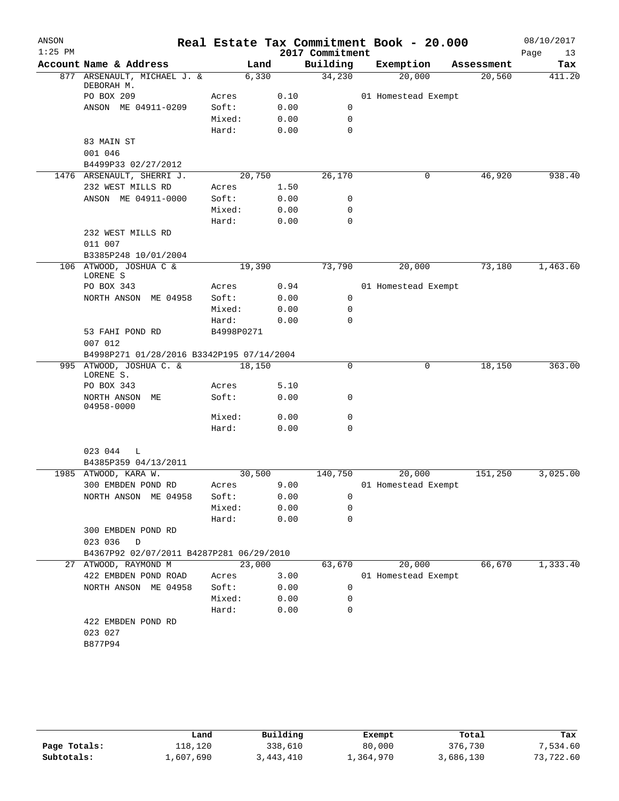| ANSON     |                                                                      |                 |        |              |                 | Real Estate Tax Commitment Book - 20.000 |            |      | 08/10/2017 |
|-----------|----------------------------------------------------------------------|-----------------|--------|--------------|-----------------|------------------------------------------|------------|------|------------|
| $1:25$ PM |                                                                      |                 |        |              | 2017 Commitment |                                          |            | Page | 13         |
|           | Account Name & Address                                               |                 | Land   |              | Building        | Exemption                                | Assessment |      | Tax        |
|           | 877 ARSENAULT, MICHAEL J. &<br>DEBORAH M.                            |                 | 6,330  |              | 34,230          | 20,000                                   | 20,560     |      | 411.20     |
|           | PO BOX 209                                                           | Acres           |        | 0.10         |                 | 01 Homestead Exempt                      |            |      |            |
|           | ANSON ME 04911-0209                                                  | Soft:           |        | 0.00         | 0               |                                          |            |      |            |
|           |                                                                      | Mixed:          |        | 0.00         | $\mathsf{O}$    |                                          |            |      |            |
|           |                                                                      | Hard:           |        | 0.00         | 0               |                                          |            |      |            |
|           | 83 MAIN ST                                                           |                 |        |              |                 |                                          |            |      |            |
|           | 001 046                                                              |                 |        |              |                 |                                          |            |      |            |
|           | B4499P33 02/27/2012                                                  |                 |        |              |                 |                                          |            |      |            |
|           | 1476 ARSENAULT, SHERRI J.                                            |                 | 20,750 |              | 26,170          | 0                                        | 46,920     |      | 938.40     |
|           | 232 WEST MILLS RD                                                    | Acres           |        | 1.50         |                 |                                          |            |      |            |
|           | ANSON ME 04911-0000                                                  | Soft:           |        | 0.00         | 0               |                                          |            |      |            |
|           |                                                                      | Mixed:          |        | 0.00         | 0               |                                          |            |      |            |
|           |                                                                      | Hard:           |        | 0.00         | $\mathbf 0$     |                                          |            |      |            |
|           | 232 WEST MILLS RD<br>011 007                                         |                 |        |              |                 |                                          |            |      |            |
|           | B3385P248 10/01/2004                                                 |                 |        |              |                 |                                          |            |      |            |
|           | 106 ATWOOD, JOSHUA C &<br>LORENE S                                   |                 | 19,390 |              | 73,790          | 20,000                                   | 73,180     |      | 1,463.60   |
|           | PO BOX 343                                                           | Acres           |        | 0.94         |                 | 01 Homestead Exempt                      |            |      |            |
|           | NORTH ANSON ME 04958                                                 | Soft:           |        | 0.00         | 0               |                                          |            |      |            |
|           |                                                                      | Mixed:          |        | 0.00         | 0               |                                          |            |      |            |
|           |                                                                      | Hard:           |        | 0.00         | $\mathbf 0$     |                                          |            |      |            |
|           | 53 FAHI POND RD<br>007 012                                           | B4998P0271      |        |              |                 |                                          |            |      |            |
|           | B4998P271 01/28/2016 B3342P195 07/14/2004<br>995 ATWOOD, JOSHUA C. & |                 | 18,150 |              | $\mathbf 0$     | 0                                        | 18,150     |      | 363.00     |
|           | LORENE S.                                                            |                 |        |              |                 |                                          |            |      |            |
|           | PO BOX 343                                                           | Acres           |        | 5.10         |                 |                                          |            |      |            |
|           | NORTH ANSON ME<br>04958-0000                                         | Soft:           |        | 0.00         | 0               |                                          |            |      |            |
|           |                                                                      | Mixed:          |        | 0.00         | 0               |                                          |            |      |            |
|           |                                                                      | Hard:           |        | 0.00         | 0               |                                          |            |      |            |
|           | 023 044<br>L                                                         |                 |        |              |                 |                                          |            |      |            |
|           | B4385P359 04/13/2011<br>1985 ATWOOD, KARA W.                         |                 | 30,500 |              |                 |                                          |            |      |            |
|           | 300 EMBDEN POND RD                                                   |                 |        |              | 140,750         | 20,000                                   | 151,250    |      | 3,025.00   |
|           |                                                                      | Acres           |        | 9.00         |                 | 01 Homestead Exempt                      |            |      |            |
|           | NORTH ANSON ME 04958                                                 | Soft:<br>Mixed: |        | 0.00<br>0.00 | 0<br>0          |                                          |            |      |            |
|           |                                                                      | Hard:           |        | 0.00         | 0               |                                          |            |      |            |
|           | 300 EMBDEN POND RD                                                   |                 |        |              |                 |                                          |            |      |            |
|           | 023 036<br>D                                                         |                 |        |              |                 |                                          |            |      |            |
|           | B4367P92 02/07/2011 B4287P281 06/29/2010                             |                 |        |              |                 |                                          |            |      |            |
|           | 27 ATWOOD, RAYMOND M                                                 |                 | 23,000 |              | 63,670          | 20,000                                   | 66,670     |      | 1,333.40   |
|           | 422 EMBDEN POND ROAD                                                 | Acres           |        | 3.00         |                 | 01 Homestead Exempt                      |            |      |            |
|           | NORTH ANSON ME 04958                                                 | Soft:           |        | 0.00         | 0               |                                          |            |      |            |
|           |                                                                      | Mixed:          |        | 0.00         | 0               |                                          |            |      |            |
|           |                                                                      | Hard:           |        | 0.00         | 0               |                                          |            |      |            |
|           | 422 EMBDEN POND RD                                                   |                 |        |              |                 |                                          |            |      |            |
|           | 023 027                                                              |                 |        |              |                 |                                          |            |      |            |
|           | B877P94                                                              |                 |        |              |                 |                                          |            |      |            |
|           |                                                                      |                 |        |              |                 |                                          |            |      |            |
|           |                                                                      |                 |        |              |                 |                                          |            |      |            |

|              | Land      | Building  | Exempt    | Total     | Tax       |
|--------------|-----------|-----------|-----------|-----------|-----------|
| Page Totals: | 118,120   | 338,610   | 80,000    | 376,730   | 7,534.60  |
| Subtotals:   | 1,607,690 | 3,443,410 | 1,364,970 | 3,686,130 | 73,722.60 |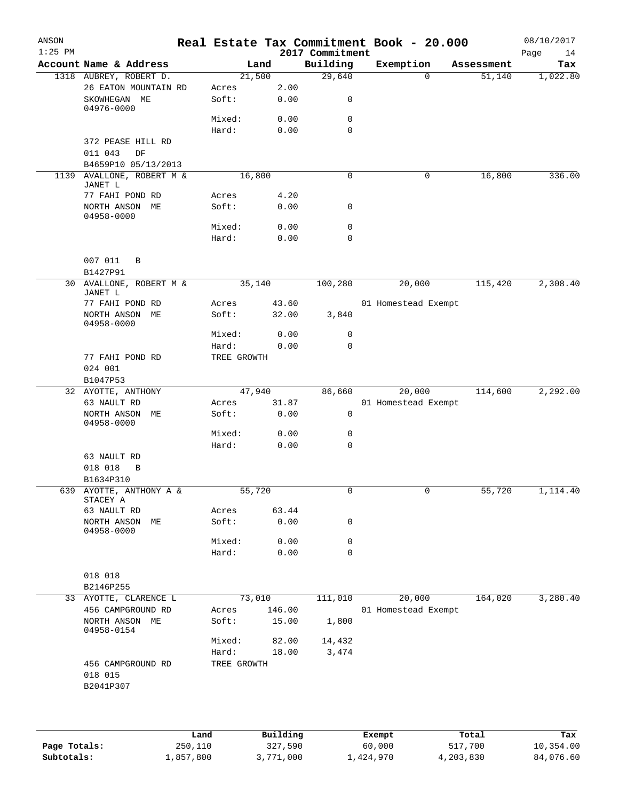| ANSON<br>$1:25$ PM |                                                   |                |                 | 2017 Commitment | Real Estate Tax Commitment Book - 20.000 |   |            | 08/10/2017<br>Page<br>14 |
|--------------------|---------------------------------------------------|----------------|-----------------|-----------------|------------------------------------------|---|------------|--------------------------|
|                    | Account Name & Address                            |                | Land            | Building        | Exemption                                |   | Assessment | Tax                      |
|                    | 1318 AUBREY, ROBERT D.                            |                | 21,500          | 29,640          |                                          | 0 | 51,140     | 1,022.80                 |
|                    | 26 EATON MOUNTAIN RD                              | Acres          | 2.00            |                 |                                          |   |            |                          |
|                    | SKOWHEGAN ME<br>04976-0000                        | Soft:          | 0.00            | 0               |                                          |   |            |                          |
|                    |                                                   | Mixed:         | 0.00            | 0               |                                          |   |            |                          |
|                    |                                                   | Hard:          | 0.00            | $\mathbf 0$     |                                          |   |            |                          |
|                    | 372 PEASE HILL RD                                 |                |                 |                 |                                          |   |            |                          |
|                    | 011 043<br>DF                                     |                |                 |                 |                                          |   |            |                          |
|                    | B4659P10 05/13/2013                               |                |                 |                 |                                          |   |            |                          |
|                    | 1139 AVALLONE, ROBERT M &                         |                | 16,800          | 0               |                                          | 0 | 16,800     | 336.00                   |
|                    | JANET L                                           |                |                 |                 |                                          |   |            |                          |
|                    | 77 FAHI POND RD                                   | Acres          | 4.20            |                 |                                          |   |            |                          |
|                    | NORTH ANSON ME<br>04958-0000                      | Soft:          | 0.00            | 0               |                                          |   |            |                          |
|                    |                                                   | Mixed:         | 0.00            | 0               |                                          |   |            |                          |
|                    |                                                   | Hard:          | 0.00            | 0               |                                          |   |            |                          |
|                    |                                                   |                |                 |                 |                                          |   |            |                          |
|                    | 007 011<br>B<br>B1427P91                          |                |                 |                 |                                          |   |            |                          |
|                    | 30 AVALLONE, ROBERT M &<br>JANET L                |                | 35,140          | 100,280         | 20,000                                   |   | 115,420    | 2,308.40                 |
|                    | 77 FAHI POND RD                                   | Acres          | 43.60           |                 | 01 Homestead Exempt                      |   |            |                          |
|                    | NORTH ANSON ME                                    | Soft:          | 32.00           | 3,840           |                                          |   |            |                          |
|                    | 04958-0000                                        |                |                 |                 |                                          |   |            |                          |
|                    |                                                   | Mixed:         | 0.00            | 0               |                                          |   |            |                          |
|                    |                                                   | Hard:          | 0.00            | 0               |                                          |   |            |                          |
|                    | 77 FAHI POND RD                                   | TREE GROWTH    |                 |                 |                                          |   |            |                          |
|                    | 024 001                                           |                |                 |                 |                                          |   |            |                          |
|                    | B1047P53                                          |                |                 |                 |                                          |   |            |                          |
|                    | 32 AYOTTE, ANTHONY                                |                | 47,940          | 86,660          | 20,000                                   |   | 114,600    | 2,292.00                 |
|                    | 63 NAULT RD                                       | Acres          | 31.87           |                 | 01 Homestead Exempt                      |   |            |                          |
|                    | NORTH ANSON ME<br>04958-0000                      | Soft:          | 0.00            | 0               |                                          |   |            |                          |
|                    |                                                   | Mixed:         | 0.00            | 0               |                                          |   |            |                          |
|                    |                                                   | Hard:          | 0.00            | 0               |                                          |   |            |                          |
|                    | 63 NAULT RD                                       |                |                 |                 |                                          |   |            |                          |
|                    | 018 018<br>B                                      |                |                 |                 |                                          |   |            |                          |
|                    | B1634P310                                         |                |                 |                 |                                          |   |            |                          |
|                    | 639 AYOTTE, ANTHONY A &<br>STACEY A               |                | 55,720          | 0               |                                          | 0 | 55,720     | 1,114.40                 |
|                    | 63 NAULT RD                                       | Acres          | 63.44           |                 |                                          |   |            |                          |
|                    | NORTH ANSON ME<br>04958-0000                      | Soft:          | 0.00            | $\mathsf{O}$    |                                          |   |            |                          |
|                    |                                                   | Mixed:         | 0.00            | 0               |                                          |   |            |                          |
|                    |                                                   | Hard:          | 0.00            | $\mathbf 0$     |                                          |   |            |                          |
|                    |                                                   |                |                 |                 |                                          |   |            |                          |
|                    | 018 018                                           |                |                 |                 |                                          |   |            |                          |
|                    | B2146P255                                         |                |                 |                 |                                          |   |            |                          |
|                    | 33 AYOTTE, CLARENCE L                             |                | 73,010          | 111,010         | 20,000                                   |   | 164,020    | 3,280.40                 |
|                    | 456 CAMPGROUND RD<br>NORTH ANSON ME<br>04958-0154 | Acres<br>Soft: | 146.00<br>15.00 | 1,800           | 01 Homestead Exempt                      |   |            |                          |
|                    |                                                   | Mixed:         | 82.00           | 14,432          |                                          |   |            |                          |
|                    |                                                   | Hard:          | 18.00           | 3,474           |                                          |   |            |                          |
|                    | 456 CAMPGROUND RD<br>018 015<br>B2041P307         | TREE GROWTH    |                 |                 |                                          |   |            |                          |
|                    |                                                   |                |                 |                 |                                          |   |            |                          |
|                    |                                                   |                |                 |                 |                                          |   |            |                          |

|              | Land      | Building  | Exempt    | Total     | Tax       |
|--------------|-----------|-----------|-----------|-----------|-----------|
| Page Totals: | 250,110   | 327,590   | 60,000    | 517,700   | 10,354.00 |
| Subtotals:   | 1,857,800 | 3,771,000 | 1,424,970 | 4,203,830 | 84,076.60 |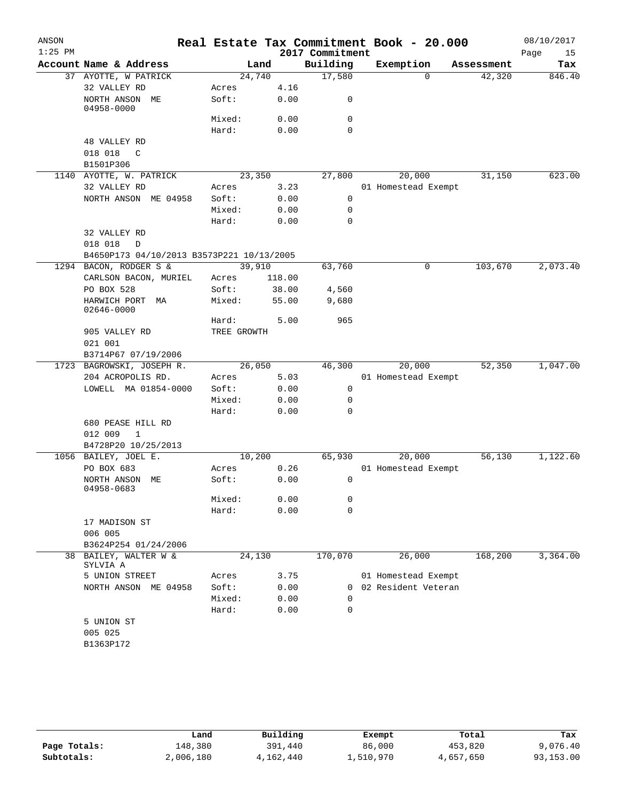| ANSON     |                                                           |             |        |                 | Real Estate Tax Commitment Book - 20.000 |            | 08/10/2017 |
|-----------|-----------------------------------------------------------|-------------|--------|-----------------|------------------------------------------|------------|------------|
| $1:25$ PM |                                                           |             |        | 2017 Commitment |                                          |            | Page<br>15 |
|           | Account Name & Address                                    |             | Land   | Building        | Exemption                                | Assessment | Tax        |
|           | 37 AYOTTE, W PATRICK                                      | 24,740      |        | 17,580          | $\Omega$                                 | 42,320     | 846.40     |
|           | 32 VALLEY RD                                              | Acres       | 4.16   |                 |                                          |            |            |
|           | NORTH ANSON ME<br>04958-0000                              | Soft:       | 0.00   | 0               |                                          |            |            |
|           |                                                           | Mixed:      | 0.00   | 0               |                                          |            |            |
|           |                                                           | Hard:       | 0.00   | $\mathbf 0$     |                                          |            |            |
|           | 48 VALLEY RD                                              |             |        |                 |                                          |            |            |
|           | 018 018<br>C                                              |             |        |                 |                                          |            |            |
|           | B1501P306                                                 |             |        |                 |                                          |            |            |
|           | 1140 AYOTTE, W. PATRICK                                   | 23,350      |        | 27,800          | 20,000                                   | 31,150     | 623.00     |
|           | 32 VALLEY RD                                              | Acres       | 3.23   |                 | 01 Homestead Exempt                      |            |            |
|           | NORTH ANSON ME 04958                                      | Soft:       | 0.00   | 0               |                                          |            |            |
|           |                                                           | Mixed:      | 0.00   | $\mathbf 0$     |                                          |            |            |
|           |                                                           | Hard:       | 0.00   | $\mathbf 0$     |                                          |            |            |
|           | 32 VALLEY RD                                              |             |        |                 |                                          |            |            |
|           | 018 018<br>D<br>B4650P173 04/10/2013 B3573P221 10/13/2005 |             |        |                 |                                          |            |            |
|           | 1294 BACON, RODGER S &                                    | 39,910      |        | 63,760          | 0                                        | 103,670    | 2,073.40   |
|           | CARLSON BACON, MURIEL                                     | Acres       | 118.00 |                 |                                          |            |            |
|           | PO BOX 528                                                | Soft:       | 38.00  | 4,560           |                                          |            |            |
|           | HARWICH PORT<br>MA                                        | Mixed:      | 55.00  | 9,680           |                                          |            |            |
|           | 02646-0000                                                |             |        |                 |                                          |            |            |
|           |                                                           | Hard:       | 5.00   | 965             |                                          |            |            |
|           | 905 VALLEY RD                                             | TREE GROWTH |        |                 |                                          |            |            |
|           | 021 001                                                   |             |        |                 |                                          |            |            |
|           | B3714P67 07/19/2006                                       |             |        |                 |                                          |            |            |
|           | 1723 BAGROWSKI, JOSEPH R.                                 | 26,050      |        | 46,300          | 20,000                                   | 52,350     | 1,047.00   |
|           | 204 ACROPOLIS RD.                                         | Acres       | 5.03   |                 | 01 Homestead Exempt                      |            |            |
|           | LOWELL MA 01854-0000                                      | Soft:       | 0.00   | 0               |                                          |            |            |
|           |                                                           | Mixed:      | 0.00   | 0               |                                          |            |            |
|           |                                                           | Hard:       | 0.00   | 0               |                                          |            |            |
|           | 680 PEASE HILL RD<br>012 009<br>$\mathbf{1}$              |             |        |                 |                                          |            |            |
|           | B4728P20 10/25/2013                                       |             |        |                 |                                          |            |            |
|           | 1056 BAILEY, JOEL E.                                      | 10,200      |        | 65,930          | 20,000                                   | 56,130     | 1,122.60   |
|           | PO BOX 683                                                | Acres       | 0.26   |                 | 01 Homestead Exempt                      |            |            |
|           | NORTH ANSON ME<br>04958-0683                              | Soft:       | 0.00   | 0               |                                          |            |            |
|           |                                                           | Mixed:      | 0.00   | 0               |                                          |            |            |
|           |                                                           | Hard:       | 0.00   | 0               |                                          |            |            |
|           | 17 MADISON ST                                             |             |        |                 |                                          |            |            |
|           | 006 005                                                   |             |        |                 |                                          |            |            |
|           | B3624P254 01/24/2006                                      |             |        |                 |                                          |            |            |
| 38        | BAILEY, WALTER W &<br>SYLVIA A                            | 24,130      |        | 170,070         | 26,000                                   | 168,200    | 3,364.00   |
|           | 5 UNION STREET                                            | Acres       | 3.75   |                 | 01 Homestead Exempt                      |            |            |
|           | NORTH ANSON ME 04958                                      | Soft:       | 0.00   | $\Omega$        | 02 Resident Veteran                      |            |            |
|           |                                                           | Mixed:      | 0.00   | 0               |                                          |            |            |
|           |                                                           | Hard:       | 0.00   | 0               |                                          |            |            |
|           | 5 UNION ST                                                |             |        |                 |                                          |            |            |
|           | 005 025                                                   |             |        |                 |                                          |            |            |
|           | B1363P172                                                 |             |        |                 |                                          |            |            |
|           |                                                           |             |        |                 |                                          |            |            |

|              | Land      | Building  | Exempt    | Total     | Tax       |
|--------------|-----------|-----------|-----------|-----------|-----------|
| Page Totals: | 148,380   | 391,440   | 86,000    | 453,820   | 9,076.40  |
| Subtotals:   | 2,006,180 | 4,162,440 | 1,510,970 | 4,657,650 | 93,153.00 |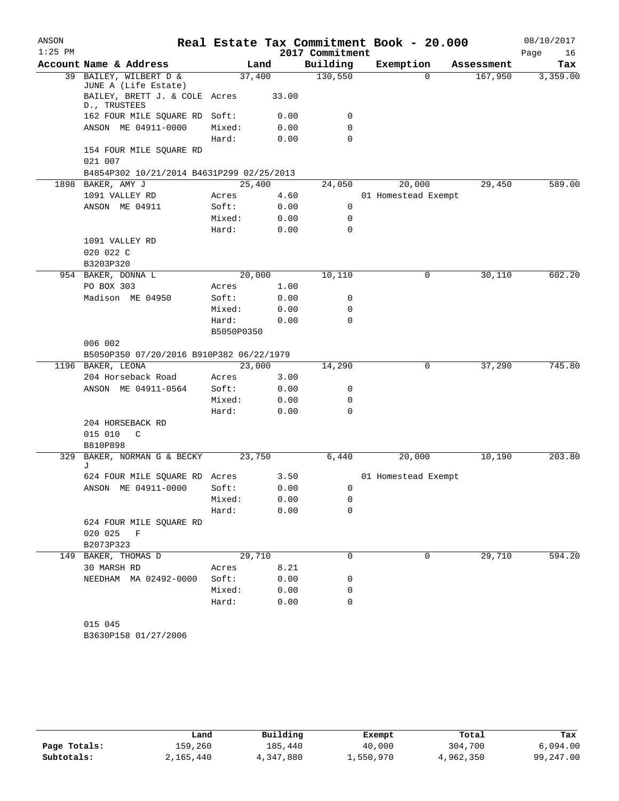| ANSON     |                                               |            |       |                 | Real Estate Tax Commitment Book - 20.000 |            | 08/10/2017 |
|-----------|-----------------------------------------------|------------|-------|-----------------|------------------------------------------|------------|------------|
| $1:25$ PM |                                               |            |       | 2017 Commitment |                                          |            | Page<br>16 |
|           | Account Name & Address                        | Land       |       | Building        | Exemption                                | Assessment | Tax        |
| 39        | BAILEY, WILBERT D &<br>JUNE A (Life Estate)   | 37,400     |       | 130,550         | 0                                        | 167,950    | 3,359.00   |
|           | BAILEY, BRETT J. & COLE Acres<br>D., TRUSTEES |            | 33.00 |                 |                                          |            |            |
|           | 162 FOUR MILE SQUARE RD                       | Soft:      | 0.00  | 0               |                                          |            |            |
|           | ANSON ME 04911-0000                           | Mixed:     | 0.00  | $\mathbf 0$     |                                          |            |            |
|           |                                               | Hard:      | 0.00  | $\mathbf 0$     |                                          |            |            |
|           | 154 FOUR MILE SQUARE RD                       |            |       |                 |                                          |            |            |
|           | 021 007                                       |            |       |                 |                                          |            |            |
|           | B4854P302 10/21/2014 B4631P299 02/25/2013     |            |       |                 |                                          |            |            |
|           | 1898 BAKER, AMY J                             | 25,400     |       | 24,050          | 20,000                                   | 29,450     | 589.00     |
|           | 1091 VALLEY RD                                | Acres      | 4.60  |                 | 01 Homestead Exempt                      |            |            |
|           | ANSON ME 04911                                | Soft:      | 0.00  | 0               |                                          |            |            |
|           |                                               | Mixed:     | 0.00  | 0               |                                          |            |            |
|           |                                               | Hard:      | 0.00  | $\mathbf 0$     |                                          |            |            |
|           | 1091 VALLEY RD                                |            |       |                 |                                          |            |            |
|           | 020 022 C                                     |            |       |                 |                                          |            |            |
|           | B3203P320                                     |            |       |                 |                                          |            |            |
|           | 954 BAKER, DONNA L                            | 20,000     |       | 10,110          | 0                                        | 30,110     | 602.20     |
|           | PO BOX 303                                    | Acres      | 1.00  |                 |                                          |            |            |
|           | Madison ME 04950                              | Soft:      | 0.00  | 0               |                                          |            |            |
|           |                                               | Mixed:     | 0.00  | 0               |                                          |            |            |
|           |                                               | Hard:      | 0.00  | $\Omega$        |                                          |            |            |
|           |                                               | B5050P0350 |       |                 |                                          |            |            |
|           | 006 002                                       |            |       |                 |                                          |            |            |
|           | B5050P350 07/20/2016 B910P382 06/22/1979      |            |       |                 |                                          |            |            |
|           | 1196 BAKER, LEONA                             | 23,000     |       | 14,290          | 0                                        | 37,290     | 745.80     |
|           | 204 Horseback Road                            | Acres      | 3.00  |                 |                                          |            |            |
|           | ANSON ME 04911-0564                           | Soft:      | 0.00  | 0               |                                          |            |            |
|           |                                               | Mixed:     | 0.00  | 0               |                                          |            |            |
|           |                                               | Hard:      | 0.00  | $\mathbf 0$     |                                          |            |            |
|           | 204 HORSEBACK RD                              |            |       |                 |                                          |            |            |
|           | 015 010<br>C                                  |            |       |                 |                                          |            |            |
|           | B810P898                                      |            |       |                 |                                          |            |            |
| 329       | BAKER, NORMAN G & BECKY<br>J                  | 23,750     |       | 6,440           | 20,000                                   | 10,190     | 203.80     |
|           | 624 FOUR MILE SQUARE RD Acres                 |            | 3.50  |                 | 01 Homestead Exempt                      |            |            |
|           | ANSON ME 04911-0000                           | Soft:      | 0.00  | 0               |                                          |            |            |
|           |                                               | Mixed:     | 0.00  | 0               |                                          |            |            |
|           |                                               | Hard:      | 0.00  | 0               |                                          |            |            |
|           | 624 FOUR MILE SQUARE RD                       |            |       |                 |                                          |            |            |
|           | 020 025 F                                     |            |       |                 |                                          |            |            |
|           | B2073P323                                     |            |       |                 |                                          |            |            |
| 149       | BAKER, THOMAS D                               | 29,710     |       | $\mathbf 0$     | 0                                        | 29,710     | 594.20     |
|           | 30 MARSH RD                                   | Acres      | 8.21  |                 |                                          |            |            |
|           | NEEDHAM MA 02492-0000                         | Soft:      | 0.00  | 0               |                                          |            |            |
|           |                                               | Mixed:     | 0.00  | 0               |                                          |            |            |
|           |                                               | Hard:      | 0.00  | 0               |                                          |            |            |
|           |                                               |            |       |                 |                                          |            |            |
|           | 015 045                                       |            |       |                 |                                          |            |            |

B3630P158 01/27/2006

|              | Land      | Building  | Exempt    | Total     | Tax       |
|--------------|-----------|-----------|-----------|-----------|-----------|
| Page Totals: | 159,260   | 185,440   | 40,000    | 304,700   | 6.094.00  |
| Subtotals:   | 2,165,440 | 4,347,880 | 1,550,970 | 4,962,350 | 99,247.00 |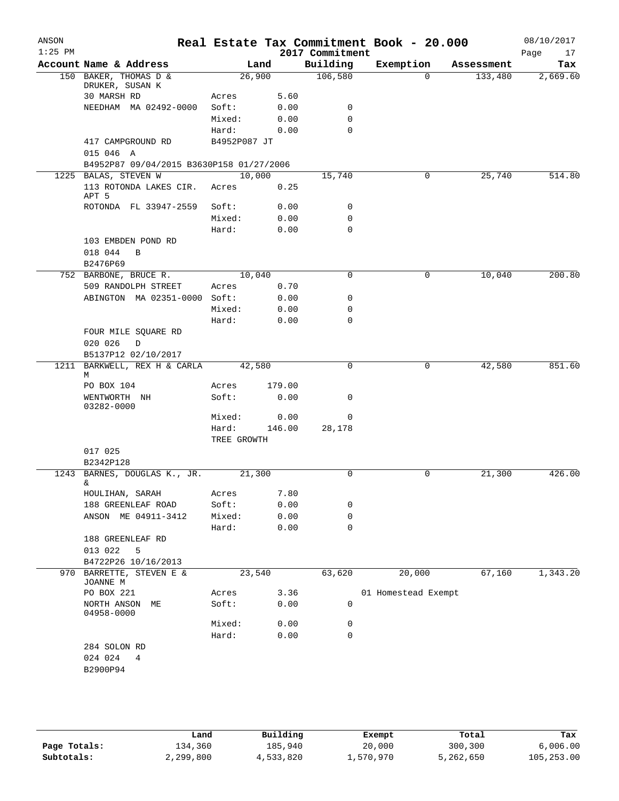| ANSON<br>$1:25$ PM |                                                                  |              |        | 2017 Commitment | Real Estate Tax Commitment Book - 20.000 |            | 08/10/2017<br>17<br>Page |
|--------------------|------------------------------------------------------------------|--------------|--------|-----------------|------------------------------------------|------------|--------------------------|
|                    | Account Name & Address                                           |              | Land   | Building        | Exemption                                | Assessment | Tax                      |
|                    | 150 BAKER, THOMAS D &                                            | 26,900       |        | 106,580         | $\Omega$                                 | 133,480    | 2,669.60                 |
|                    | DRUKER, SUSAN K                                                  |              |        |                 |                                          |            |                          |
|                    | 30 MARSH RD                                                      | Acres        | 5.60   |                 |                                          |            |                          |
|                    | NEEDHAM MA 02492-0000                                            | Soft:        | 0.00   | 0               |                                          |            |                          |
|                    |                                                                  | Mixed:       | 0.00   | 0               |                                          |            |                          |
|                    |                                                                  | Hard:        | 0.00   | $\Omega$        |                                          |            |                          |
|                    | 417 CAMPGROUND RD                                                | B4952P087 JT |        |                 |                                          |            |                          |
|                    | 015 046 A                                                        |              |        |                 |                                          |            |                          |
|                    | B4952P87 09/04/2015 B3630P158 01/27/2006<br>1225 BALAS, STEVEN W | 10,000       |        | 15,740          | 0                                        | 25,740     | 514.80                   |
|                    | 113 ROTONDA LAKES CIR.                                           | Acres        | 0.25   |                 |                                          |            |                          |
|                    | APT 5                                                            |              |        |                 |                                          |            |                          |
|                    | ROTONDA FL 33947-2559                                            | Soft:        | 0.00   | 0               |                                          |            |                          |
|                    |                                                                  | Mixed:       | 0.00   | 0               |                                          |            |                          |
|                    |                                                                  | Hard:        | 0.00   | 0               |                                          |            |                          |
|                    | 103 EMBDEN POND RD                                               |              |        |                 |                                          |            |                          |
|                    | 018 044<br>B                                                     |              |        |                 |                                          |            |                          |
|                    | B2476P69                                                         |              |        |                 |                                          |            |                          |
|                    | 752 BARBONE, BRUCE R.                                            | 10,040       |        | $\mathbf 0$     | 0                                        | 10,040     | 200.80                   |
|                    | 509 RANDOLPH STREET                                              | Acres        | 0.70   |                 |                                          |            |                          |
|                    | ABINGTON MA 02351-0000 Soft:                                     |              | 0.00   | 0               |                                          |            |                          |
|                    |                                                                  | Mixed:       | 0.00   | 0               |                                          |            |                          |
|                    |                                                                  | Hard:        | 0.00   | 0               |                                          |            |                          |
|                    | FOUR MILE SQUARE RD                                              |              |        |                 |                                          |            |                          |
|                    | 020 026<br>D                                                     |              |        |                 |                                          |            |                          |
|                    | B5137P12 02/10/2017                                              |              |        | 0               |                                          |            |                          |
| 1211               | BARKWELL, REX H & CARLA<br>М                                     | 42,580       |        |                 | 0                                        | 42,580     | 851.60                   |
|                    | PO BOX 104                                                       | Acres        | 179.00 |                 |                                          |            |                          |
|                    | WENTWORTH NH                                                     | Soft:        | 0.00   | 0               |                                          |            |                          |
|                    | 03282-0000                                                       | Mixed:       | 0.00   | 0               |                                          |            |                          |
|                    |                                                                  | Hard:        | 146.00 | 28,178          |                                          |            |                          |
|                    |                                                                  | TREE GROWTH  |        |                 |                                          |            |                          |
|                    | 017 025                                                          |              |        |                 |                                          |            |                          |
|                    | B2342P128                                                        |              |        |                 |                                          |            |                          |
|                    | 1243 BARNES, DOUGLAS K., JR.                                     | 21,300       |        | 0               | 0                                        | 21,300     | 426.00                   |
|                    | &.                                                               |              |        |                 |                                          |            |                          |
|                    | HOULIHAN, SARAH                                                  | Acres        | 7.80   |                 |                                          |            |                          |
|                    | 188 GREENLEAF ROAD                                               | Soft:        | 0.00   | 0               |                                          |            |                          |
|                    | ANSON ME 04911-3412                                              | Mixed:       | 0.00   | 0               |                                          |            |                          |
|                    |                                                                  | Hard:        | 0.00   | $\mathbf 0$     |                                          |            |                          |
|                    | 188 GREENLEAF RD                                                 |              |        |                 |                                          |            |                          |
|                    | 013 022<br>5                                                     |              |        |                 |                                          |            |                          |
| 970                | B4722P26 10/16/2013<br>BARRETTE, STEVEN E &                      | 23,540       |        | 63,620          | 20,000                                   | 67,160     | 1,343.20                 |
|                    | JOANNE M                                                         |              |        |                 |                                          |            |                          |
|                    | PO BOX 221                                                       | Acres        | 3.36   |                 | 01 Homestead Exempt                      |            |                          |
|                    | NORTH ANSON<br>МE                                                | Soft:        | 0.00   | 0               |                                          |            |                          |
|                    | 04958-0000                                                       |              |        |                 |                                          |            |                          |
|                    |                                                                  | Mixed:       | 0.00   | 0               |                                          |            |                          |
|                    |                                                                  | Hard:        | 0.00   | 0               |                                          |            |                          |
|                    | 284 SOLON RD                                                     |              |        |                 |                                          |            |                          |
|                    | 024 024<br>4<br>B2900P94                                         |              |        |                 |                                          |            |                          |
|                    |                                                                  |              |        |                 |                                          |            |                          |
|                    |                                                                  |              |        |                 |                                          |            |                          |

|              | Land      | Building  | Exempt    | Total     | Tax        |
|--------------|-----------|-----------|-----------|-----------|------------|
| Page Totals: | 134,360   | 185,940   | 20,000    | 300,300   | 6,006.00   |
| Subtotals:   | 2,299,800 | 4,533,820 | 1,570,970 | 5,262,650 | 105,253.00 |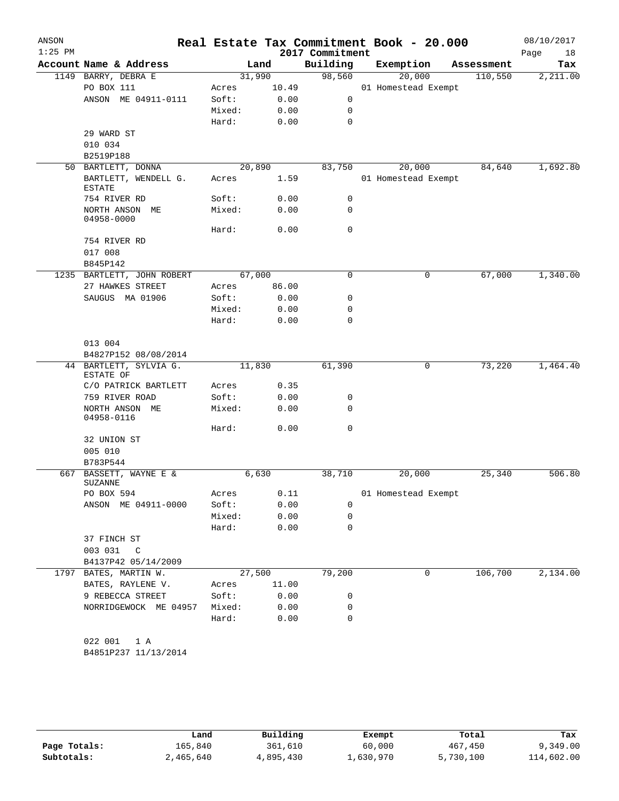| ANSON<br>$1:25$ PM |                                      |        |        |       | 2017 Commitment | Real Estate Tax Commitment Book - 20.000 |            | 08/10/2017        |
|--------------------|--------------------------------------|--------|--------|-------|-----------------|------------------------------------------|------------|-------------------|
|                    | Account Name & Address               |        | Land   |       | Building        | Exemption                                | Assessment | Page<br>18<br>Tax |
|                    | 1149 BARRY, DEBRA E                  |        | 31,990 |       | 98,560          | 20,000                                   | 110,550    | 2,211.00          |
|                    | PO BOX 111                           | Acres  |        | 10.49 |                 | 01 Homestead Exempt                      |            |                   |
|                    | ANSON ME 04911-0111                  | Soft:  |        | 0.00  | $\mathbf 0$     |                                          |            |                   |
|                    |                                      | Mixed: |        | 0.00  | 0               |                                          |            |                   |
|                    |                                      | Hard:  |        | 0.00  | 0               |                                          |            |                   |
|                    | 29 WARD ST                           |        |        |       |                 |                                          |            |                   |
|                    | 010 034                              |        |        |       |                 |                                          |            |                   |
|                    | B2519P188                            |        |        |       |                 |                                          |            |                   |
|                    | 50 BARTLETT, DONNA                   |        | 20,890 |       | 83,750          | 20,000                                   | 84,640     | 1,692.80          |
|                    | BARTLETT, WENDELL G.                 | Acres  |        | 1.59  |                 | 01 Homestead Exempt                      |            |                   |
|                    | <b>ESTATE</b>                        |        |        |       |                 |                                          |            |                   |
|                    | 754 RIVER RD                         | Soft:  |        | 0.00  | 0               |                                          |            |                   |
|                    | NORTH ANSON ME<br>04958-0000         | Mixed: |        | 0.00  | 0               |                                          |            |                   |
|                    |                                      | Hard:  |        | 0.00  | 0               |                                          |            |                   |
|                    | 754 RIVER RD                         |        |        |       |                 |                                          |            |                   |
|                    | 017 008                              |        |        |       |                 |                                          |            |                   |
|                    | B845P142                             |        |        |       |                 |                                          |            |                   |
|                    | 1235 BARTLETT, JOHN ROBERT           |        | 67,000 |       | 0               | 0                                        | 67,000     | 1,340.00          |
|                    | 27 HAWKES STREET                     | Acres  |        | 86.00 |                 |                                          |            |                   |
|                    | SAUGUS MA 01906                      | Soft:  |        | 0.00  | 0               |                                          |            |                   |
|                    |                                      | Mixed: |        | 0.00  | 0               |                                          |            |                   |
|                    |                                      | Hard:  |        | 0.00  | 0               |                                          |            |                   |
|                    | 013 004                              |        |        |       |                 |                                          |            |                   |
|                    | B4827P152 08/08/2014                 |        |        |       |                 |                                          |            |                   |
|                    | 44 BARTLETT, SYLVIA G.               |        | 11,830 |       | 61,390          | 0                                        | 73,220     | 1,464.40          |
|                    | ESTATE OF                            |        |        |       |                 |                                          |            |                   |
|                    | C/O PATRICK BARTLETT                 | Acres  |        | 0.35  |                 |                                          |            |                   |
|                    | 759 RIVER ROAD                       | Soft:  |        | 0.00  | 0               |                                          |            |                   |
|                    | NORTH ANSON ME<br>04958-0116         | Mixed: |        | 0.00  | $\Omega$        |                                          |            |                   |
|                    |                                      | Hard:  |        | 0.00  | $\mathbf 0$     |                                          |            |                   |
|                    | 32 UNION ST                          |        |        |       |                 |                                          |            |                   |
|                    | 005 010                              |        |        |       |                 |                                          |            |                   |
|                    | B783P544                             |        |        |       |                 |                                          |            |                   |
| 667                | BASSETT, WAYNE E &<br><b>SUZANNE</b> |        | 6,630  |       | 38,710          | 20,000                                   | 25,340     | 506.80            |
|                    | PO BOX 594                           | Acres  |        | 0.11  |                 | 01 Homestead Exempt                      |            |                   |
|                    | ANSON ME 04911-0000                  | Soft:  |        | 0.00  | 0               |                                          |            |                   |
|                    |                                      | Mixed: |        | 0.00  | 0               |                                          |            |                   |
|                    |                                      | Hard:  |        | 0.00  | 0               |                                          |            |                   |
|                    | 37 FINCH ST                          |        |        |       |                 |                                          |            |                   |
|                    | 003 031<br>C                         |        |        |       |                 |                                          |            |                   |
|                    | B4137P42 05/14/2009                  |        |        |       |                 |                                          |            |                   |
|                    | 1797 BATES, MARTIN W.                |        | 27,500 |       | 79,200          | 0                                        | 106,700    | 2,134.00          |
|                    | BATES, RAYLENE V.                    | Acres  |        | 11.00 |                 |                                          |            |                   |
|                    | 9 REBECCA STREET                     | Soft:  |        | 0.00  | 0               |                                          |            |                   |
|                    | NORRIDGEWOCK ME 04957                | Mixed: |        | 0.00  | 0               |                                          |            |                   |
|                    |                                      | Hard:  |        | 0.00  | 0               |                                          |            |                   |
|                    | 022 001<br>1 A                       |        |        |       |                 |                                          |            |                   |
|                    | B4851P237 11/13/2014                 |        |        |       |                 |                                          |            |                   |

|              | Land      | Building  | Exempt    | Total     | Tax        |
|--------------|-----------|-----------|-----------|-----------|------------|
| Page Totals: | 165.840   | 361,610   | 60,000    | 467,450   | 9,349.00   |
| Subtotals:   | 2,465,640 | 4,895,430 | ⊥,630,970 | 5,730,100 | 114,602.00 |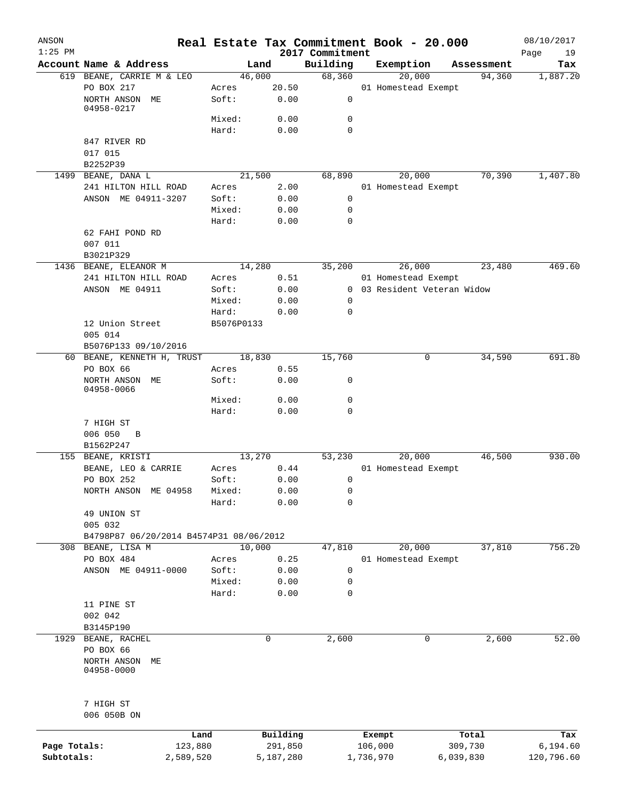| ANSON<br>$1:25$ PM |                                         |            |                     | 2017 Commitment | Real Estate Tax Commitment Book - 20.000 |                  | 08/10/2017<br>Page<br>19 |
|--------------------|-----------------------------------------|------------|---------------------|-----------------|------------------------------------------|------------------|--------------------------|
|                    | Account Name & Address                  |            | Land                | Building        | Exemption                                | Assessment       | Tax                      |
|                    | 619 BEANE, CARRIE M & LEO               |            | 46,000              | 68,360          | 20,000                                   | 94,360           | 1,887.20                 |
|                    | PO BOX 217                              | Acres      | 20.50               |                 | 01 Homestead Exempt                      |                  |                          |
|                    | NORTH ANSON ME<br>04958-0217            | Soft:      | 0.00                | 0               |                                          |                  |                          |
|                    |                                         | Mixed:     | 0.00                | $\mathbf 0$     |                                          |                  |                          |
|                    |                                         | Hard:      | 0.00                | $\mathbf 0$     |                                          |                  |                          |
|                    | 847 RIVER RD                            |            |                     |                 |                                          |                  |                          |
|                    | 017 015                                 |            |                     |                 |                                          |                  |                          |
|                    | B2252P39                                |            |                     |                 |                                          |                  |                          |
|                    | 1499 BEANE, DANA L                      |            | 21,500              | 68,890          | 20,000                                   | 70,390           | 1,407.80                 |
|                    | 241 HILTON HILL ROAD                    | Acres      | 2.00                |                 | 01 Homestead Exempt                      |                  |                          |
|                    | ANSON ME 04911-3207                     | Soft:      | 0.00                | 0               |                                          |                  |                          |
|                    |                                         | Mixed:     | 0.00                | $\mathbf 0$     |                                          |                  |                          |
|                    |                                         | Hard:      | 0.00                | $\mathbf 0$     |                                          |                  |                          |
|                    | 62 FAHI POND RD                         |            |                     |                 |                                          |                  |                          |
|                    | 007 011                                 |            |                     |                 |                                          |                  |                          |
|                    | B3021P329                               |            |                     |                 |                                          |                  |                          |
|                    | 1436 BEANE, ELEANOR M                   |            | 14,280              | 35,200          | 26,000                                   | 23,480           | 469.60                   |
|                    | 241 HILTON HILL ROAD                    | Acres      | 0.51                |                 | 01 Homestead Exempt                      |                  |                          |
|                    | ANSON ME 04911                          | Soft:      | 0.00                |                 | 0 03 Resident Veteran Widow              |                  |                          |
|                    |                                         | Mixed:     | 0.00                | $\mathbf 0$     |                                          |                  |                          |
|                    |                                         | Hard:      | 0.00                | $\mathbf 0$     |                                          |                  |                          |
|                    | 12 Union Street                         | B5076P0133 |                     |                 |                                          |                  |                          |
|                    | 005 014                                 |            |                     |                 |                                          |                  |                          |
|                    | B5076P133 09/10/2016                    |            |                     |                 |                                          |                  |                          |
|                    | 60 BEANE, KENNETH H, TRUST              |            | 18,830              | 15,760          | 0                                        | 34,590           | 691.80                   |
|                    | PO BOX 66                               | Acres      | 0.55                |                 |                                          |                  |                          |
|                    | NORTH ANSON ME<br>04958-0066            | Soft:      | 0.00                | 0               |                                          |                  |                          |
|                    |                                         | Mixed:     | 0.00                | 0               |                                          |                  |                          |
|                    |                                         | Hard:      | 0.00                | $\mathbf 0$     |                                          |                  |                          |
|                    | 7 HIGH ST                               |            |                     |                 |                                          |                  |                          |
|                    | 006 050<br>$\overline{B}$               |            |                     |                 |                                          |                  |                          |
|                    | B1562P247                               |            |                     |                 |                                          |                  |                          |
|                    | 155 BEANE, KRISTI                       |            | 13,270              | 53,230          | 20,000                                   | 46,500           | 930.00                   |
|                    | BEANE, LEO & CARRIE                     | Acres      | 0.44                |                 | 01 Homestead Exempt                      |                  |                          |
|                    | PO BOX 252                              | Soft:      | 0.00                | 0               |                                          |                  |                          |
|                    | NORTH ANSON ME 04958                    | Mixed:     | 0.00                | $\mathbf 0$     |                                          |                  |                          |
|                    |                                         | Hard:      | 0.00                | 0               |                                          |                  |                          |
|                    | 49 UNION ST                             |            |                     |                 |                                          |                  |                          |
|                    | 005 032                                 |            |                     |                 |                                          |                  |                          |
|                    | B4798P87 06/20/2014 B4574P31 08/06/2012 |            |                     |                 |                                          |                  |                          |
|                    | 308 BEANE, LISA M                       |            | 10,000              | 47,810          | 20,000                                   | 37,810           | 756.20                   |
|                    | PO BOX 484                              | Acres      | 0.25                |                 | 01 Homestead Exempt                      |                  |                          |
|                    | ANSON ME 04911-0000                     | Soft:      | 0.00                | 0               |                                          |                  |                          |
|                    |                                         | Mixed:     | 0.00                | $\mathbf 0$     |                                          |                  |                          |
|                    |                                         | Hard:      | 0.00                | $\mathbf 0$     |                                          |                  |                          |
|                    | 11 PINE ST                              |            |                     |                 |                                          |                  |                          |
|                    | 002 042                                 |            |                     |                 |                                          |                  |                          |
| 1929               | B3145P190<br>BEANE, RACHEL              |            | 0                   | 2,600           | 0                                        | 2,600            | 52.00                    |
|                    | PO BOX 66                               |            |                     |                 |                                          |                  |                          |
|                    | NORTH ANSON<br>MЕ                       |            |                     |                 |                                          |                  |                          |
|                    | 04958-0000                              |            |                     |                 |                                          |                  |                          |
|                    | 7 HIGH ST                               |            |                     |                 |                                          |                  |                          |
|                    | 006 050B ON                             |            |                     |                 |                                          |                  |                          |
| Page Totals:       | Land<br>123,880                         |            | Building<br>291,850 |                 | Exempt<br>106,000                        | Total<br>309,730 | Tax<br>6,194.60          |
| Subtotals:         | 2,589,520                               |            | 5,187,280           |                 | 1,736,970                                | 6,039,830        | 120,796.60               |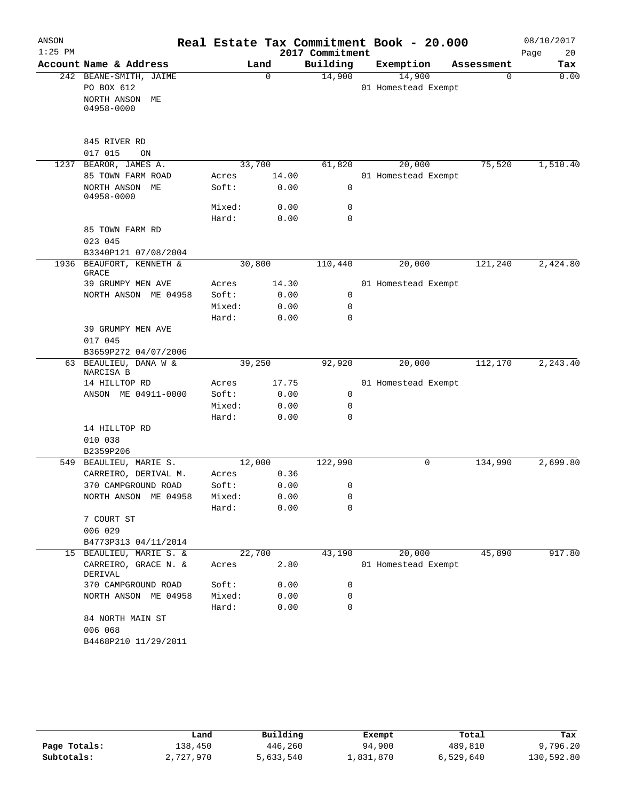| ANSON     |                                              |        |          |                 | Real Estate Tax Commitment Book - 20.000 |            | 08/10/2017 |
|-----------|----------------------------------------------|--------|----------|-----------------|------------------------------------------|------------|------------|
| $1:25$ PM |                                              |        |          | 2017 Commitment |                                          |            | Page<br>20 |
|           | Account Name & Address                       |        | Land     | Building        | Exemption                                | Assessment | Tax        |
|           | 242 BEANE-SMITH, JAIME                       |        | $\Omega$ | 14,900          | 14,900                                   | $\Omega$   | 0.00       |
|           | PO BOX 612                                   |        |          |                 | 01 Homestead Exempt                      |            |            |
|           | NORTH ANSON ME                               |        |          |                 |                                          |            |            |
|           | 04958-0000                                   |        |          |                 |                                          |            |            |
|           |                                              |        |          |                 |                                          |            |            |
|           | 845 RIVER RD                                 |        |          |                 |                                          |            |            |
|           | 017 015<br>ON                                |        |          |                 |                                          |            |            |
| 1237      | BEAROR, JAMES A.                             | 33,700 |          | 61,820          | 20,000                                   | 75,520     | 1,510.40   |
|           | 85 TOWN FARM ROAD                            | Acres  | 14.00    |                 | 01 Homestead Exempt                      |            |            |
|           | NORTH ANSON ME<br>04958-0000                 | Soft:  | 0.00     | 0               |                                          |            |            |
|           |                                              | Mixed: | 0.00     | 0               |                                          |            |            |
|           |                                              | Hard:  | 0.00     | $\Omega$        |                                          |            |            |
|           | 85 TOWN FARM RD                              |        |          |                 |                                          |            |            |
|           | 023 045                                      |        |          |                 |                                          |            |            |
|           | B3340P121 07/08/2004                         |        |          |                 |                                          |            |            |
|           | 1936 BEAUFORT, KENNETH &<br>GRACE            | 30,800 |          | 110,440         | 20,000                                   | 121,240    | 2,424.80   |
|           | 39 GRUMPY MEN AVE                            | Acres  | 14.30    |                 | 01 Homestead Exempt                      |            |            |
|           | NORTH ANSON ME 04958                         | Soft:  | 0.00     | $\mathbf 0$     |                                          |            |            |
|           |                                              | Mixed: | 0.00     | $\mathbf 0$     |                                          |            |            |
|           |                                              | Hard:  | 0.00     | $\Omega$        |                                          |            |            |
|           | 39 GRUMPY MEN AVE<br>017 045                 |        |          |                 |                                          |            |            |
|           | B3659P272 04/07/2006                         |        |          |                 |                                          |            |            |
|           | 63 BEAULIEU, DANA W &<br>NARCISA B           | 39,250 |          | 92,920          | 20,000                                   | 112,170    | 2, 243.40  |
|           | 14 HILLTOP RD                                | Acres  | 17.75    |                 | 01 Homestead Exempt                      |            |            |
|           | ANSON ME 04911-0000                          | Soft:  | 0.00     | 0               |                                          |            |            |
|           |                                              | Mixed: | 0.00     | $\mathbf 0$     |                                          |            |            |
|           |                                              | Hard:  | 0.00     | 0               |                                          |            |            |
|           | 14 HILLTOP RD                                |        |          |                 |                                          |            |            |
|           | 010 038                                      |        |          |                 |                                          |            |            |
|           | B2359P206                                    |        |          |                 |                                          |            |            |
| 549       | BEAULIEU, MARIE S.                           | 12,000 |          | 122,990         | 0                                        | 134,990    | 2,699.80   |
|           | CARREIRO, DERIVAL M.                         | Acres  | 0.36     |                 |                                          |            |            |
|           | 370 CAMPGROUND ROAD                          | Soft:  | 0.00     | 0               |                                          |            |            |
|           | NORTH ANSON<br>ME 04958                      | Mixed: | 0.00     | 0               |                                          |            |            |
|           |                                              | Hard:  | 0.00     | 0               |                                          |            |            |
|           | 7 COURT ST                                   |        |          |                 |                                          |            |            |
|           | 006 029                                      |        |          |                 |                                          |            |            |
| 15        | B4773P313 04/11/2014<br>BEAULIEU, MARIE S. & | 22,700 |          | 43,190          | 20,000                                   | 45,890     | 917.80     |
|           | CARREIRO, GRACE N. &                         | Acres  | 2.80     |                 | 01 Homestead Exempt                      |            |            |
|           | DERIVAL                                      |        |          |                 |                                          |            |            |
|           | 370 CAMPGROUND ROAD                          | Soft:  | 0.00     | 0               |                                          |            |            |
|           | NORTH ANSON ME 04958                         | Mixed: | 0.00     | 0               |                                          |            |            |
|           |                                              | Hard:  | 0.00     | 0               |                                          |            |            |
|           | 84 NORTH MAIN ST                             |        |          |                 |                                          |            |            |
|           | 006 068                                      |        |          |                 |                                          |            |            |
|           | B4468P210 11/29/2011                         |        |          |                 |                                          |            |            |
|           |                                              |        |          |                 |                                          |            |            |

|              | Land      | Building  | Exempt    | Total     | Tax        |  |
|--------------|-----------|-----------|-----------|-----------|------------|--|
| Page Totals: | 138,450   | 446,260   | 94,900    | 489,810   | 9,796.20   |  |
| Subtotals:   | 2,727,970 | 5,633,540 | ⊥,831,870 | 6,529,640 | 130,592.80 |  |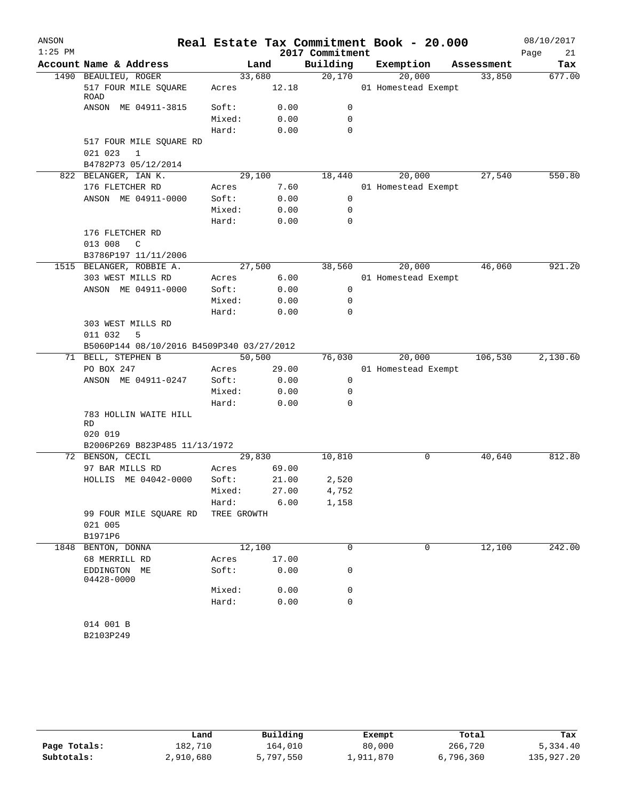| ANSON<br>$1:25$ PM |                                           |             |        | 2017 Commitment | Real Estate Tax Commitment Book - 20.000 |            | 08/10/2017<br>Page<br>21 |
|--------------------|-------------------------------------------|-------------|--------|-----------------|------------------------------------------|------------|--------------------------|
|                    | Account Name & Address                    |             | Land   | Building        | Exemption                                | Assessment | Tax                      |
|                    | 1490 BEAULIEU, ROGER                      |             | 33,680 | 20,170          | 20,000                                   | 33,850     | 677.00                   |
|                    | 517 FOUR MILE SQUARE<br>ROAD              | Acres       | 12.18  |                 | 01 Homestead Exempt                      |            |                          |
|                    | ANSON ME 04911-3815                       | Soft:       | 0.00   | 0               |                                          |            |                          |
|                    |                                           | Mixed:      | 0.00   | 0               |                                          |            |                          |
|                    |                                           | Hard:       | 0.00   | $\Omega$        |                                          |            |                          |
|                    | 517 FOUR MILE SQUARE RD                   |             |        |                 |                                          |            |                          |
|                    | 021 023<br>1                              |             |        |                 |                                          |            |                          |
|                    | B4782P73 05/12/2014                       |             |        |                 |                                          |            |                          |
|                    | 822 BELANGER, IAN K.                      |             | 29,100 | 18,440          | 20,000                                   | 27,540     | 550.80                   |
|                    | 176 FLETCHER RD                           | Acres       | 7.60   |                 | 01 Homestead Exempt                      |            |                          |
|                    | ANSON ME 04911-0000                       | Soft:       | 0.00   | 0               |                                          |            |                          |
|                    |                                           | Mixed:      | 0.00   | 0               |                                          |            |                          |
|                    |                                           | Hard:       | 0.00   | 0               |                                          |            |                          |
|                    | 176 FLETCHER RD                           |             |        |                 |                                          |            |                          |
|                    | 013 008<br>C                              |             |        |                 |                                          |            |                          |
|                    | B3786P197 11/11/2006                      |             |        |                 |                                          |            |                          |
|                    | 1515 BELANGER, ROBBIE A.                  |             | 27,500 | 38,560          | 20,000                                   | 46,060     | 921.20                   |
|                    | 303 WEST MILLS RD                         | Acres       | 6.00   |                 | 01 Homestead Exempt                      |            |                          |
|                    | ANSON ME 04911-0000                       | Soft:       | 0.00   | 0               |                                          |            |                          |
|                    |                                           | Mixed:      | 0.00   | 0               |                                          |            |                          |
|                    |                                           | Hard:       | 0.00   | $\Omega$        |                                          |            |                          |
|                    | 303 WEST MILLS RD<br>011 032<br>5         |             |        |                 |                                          |            |                          |
|                    | B5060P144 08/10/2016 B4509P340 03/27/2012 |             |        |                 |                                          |            |                          |
|                    | 71 BELL, STEPHEN B                        | 50,500      |        | 76,030          | 20,000                                   | 106,530    | 2,130.60                 |
|                    | PO BOX 247                                | Acres       | 29.00  |                 | 01 Homestead Exempt                      |            |                          |
|                    | ANSON ME 04911-0247                       | Soft:       | 0.00   | 0               |                                          |            |                          |
|                    |                                           | Mixed:      | 0.00   | 0               |                                          |            |                          |
|                    |                                           | Hard:       | 0.00   | 0               |                                          |            |                          |
|                    | 783 HOLLIN WAITE HILL<br>RD<br>020 019    |             |        |                 |                                          |            |                          |
|                    | B2006P269 B823P485 11/13/1972             |             |        |                 |                                          |            |                          |
|                    | 72 BENSON, CECIL                          | 29, 830     |        | 10,810          | 0                                        | 40,640     | 812.80                   |
|                    | 97 BAR MILLS RD                           | Acres       | 69.00  |                 |                                          |            |                          |
|                    | HOLLIS ME 04042-0000                      | Soft:       | 21.00  | 2,520           |                                          |            |                          |
|                    |                                           | Mixed:      | 27.00  | 4,752           |                                          |            |                          |
|                    |                                           | Hard:       | 6.00   | 1,158           |                                          |            |                          |
|                    | 99 FOUR MILE SQUARE RD                    | TREE GROWTH |        |                 |                                          |            |                          |
|                    | 021 005<br>B1971P6                        |             |        |                 |                                          |            |                          |
| 1848               | BENTON, DONNA                             | 12,100      |        | $\Omega$        | 0                                        | 12,100     | 242.00                   |
|                    | 68 MERRILL RD                             | Acres       | 17.00  |                 |                                          |            |                          |
|                    | EDDINGTON ME<br>04428-0000                | Soft:       | 0.00   | 0               |                                          |            |                          |
|                    |                                           | Mixed:      | 0.00   | 0               |                                          |            |                          |
|                    |                                           | Hard:       | 0.00   | $\mathbf 0$     |                                          |            |                          |
|                    | 014 001 B                                 |             |        |                 |                                          |            |                          |
|                    | B2103P249                                 |             |        |                 |                                          |            |                          |
|                    |                                           |             |        |                 |                                          |            |                          |

|              | Land      | Building  | Exempt    | Total     | Tax        |
|--------------|-----------|-----------|-----------|-----------|------------|
| Page Totals: | 182,710   | 164,010   | 80,000    | 266,720   | 5,334.40   |
| Subtotals:   | 2,910,680 | 5,797,550 | 1,911,870 | 6,796,360 | 135,927.20 |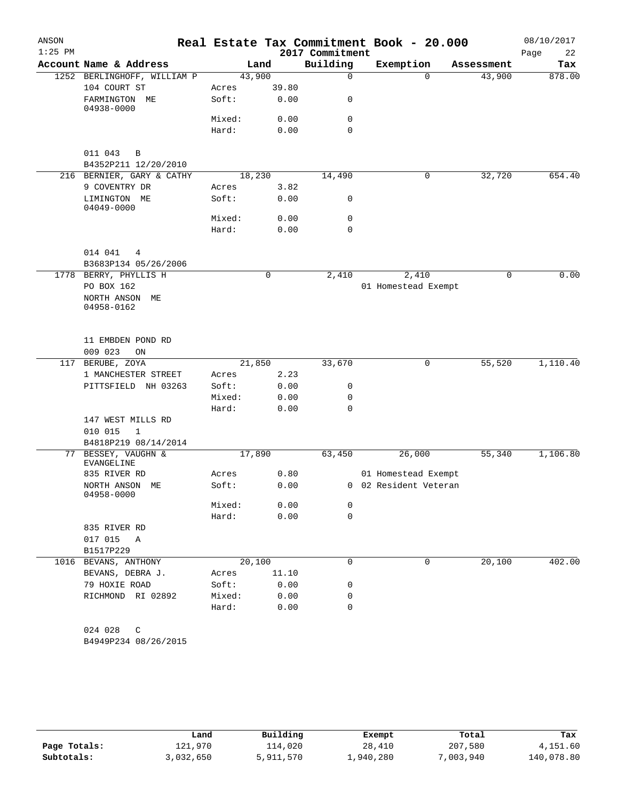| ANSON     |                                               |        |       |                 | Real Estate Tax Commitment Book - 20.000 |            | 08/10/2017 |
|-----------|-----------------------------------------------|--------|-------|-----------------|------------------------------------------|------------|------------|
| $1:25$ PM |                                               |        |       | 2017 Commitment |                                          |            | Page<br>22 |
|           | Account Name & Address                        |        | Land  | Building        | Exemption                                | Assessment | Tax        |
|           | 1252 BERLINGHOFF, WILLIAM P                   | 43,900 |       | $\mathbf 0$     | $\Omega$                                 | 43,900     | 878.00     |
|           | 104 COURT ST                                  | Acres  | 39.80 |                 |                                          |            |            |
|           | FARMINGTON ME<br>04938-0000                   | Soft:  | 0.00  | 0               |                                          |            |            |
|           |                                               | Mixed: | 0.00  | $\mathbf 0$     |                                          |            |            |
|           |                                               | Hard:  | 0.00  | $\mathbf 0$     |                                          |            |            |
|           | 011 043<br>B<br>B4352P211 12/20/2010          |        |       |                 |                                          |            |            |
|           | 216 BERNIER, GARY & CATHY                     | 18,230 |       | 14,490          | 0                                        | 32,720     | 654.40     |
|           | 9 COVENTRY DR                                 | Acres  | 3.82  |                 |                                          |            |            |
|           | LIMINGTON ME<br>04049-0000                    | Soft:  | 0.00  | 0               |                                          |            |            |
|           |                                               | Mixed: | 0.00  | 0               |                                          |            |            |
|           |                                               | Hard:  | 0.00  | $\mathbf 0$     |                                          |            |            |
|           | 014 041<br>4                                  |        |       |                 |                                          |            |            |
|           | B3683P134 05/26/2006<br>1778 BERRY, PHYLLIS H |        |       |                 |                                          |            | 0.00       |
|           | PO BOX 162                                    |        | 0     | 2,410           | 2,410                                    | 0          |            |
|           | NORTH ANSON ME<br>04958-0162                  |        |       |                 | 01 Homestead Exempt                      |            |            |
|           | 11 EMBDEN POND RD<br>009 023<br>ON            |        |       |                 |                                          |            |            |
| 117       | BERUBE, ZOYA                                  | 21,850 |       | 33,670          | 0                                        | 55,520     | 1,110.40   |
|           | 1 MANCHESTER STREET                           | Acres  | 2.23  |                 |                                          |            |            |
|           | PITTSFIELD NH 03263                           | Soft:  | 0.00  | 0               |                                          |            |            |
|           |                                               | Mixed: | 0.00  | 0               |                                          |            |            |
|           |                                               | Hard:  | 0.00  | 0               |                                          |            |            |
|           | 147 WEST MILLS RD                             |        |       |                 |                                          |            |            |
|           | 010 015<br>$\mathbf 1$                        |        |       |                 |                                          |            |            |
|           | B4818P219 08/14/2014                          |        |       |                 |                                          |            |            |
|           | 77 BESSEY, VAUGHN &<br>EVANGELINE             | 17,890 |       | 63,450          | 26,000                                   | 55,340     | 1,106.80   |
|           | 835 RIVER RD                                  | Acres  | 0.80  |                 | 01 Homestead Exempt                      |            |            |
|           | NORTH ANSON ME<br>04958-0000                  | Soft:  | 0.00  |                 | 0 02 Resident Veteran                    |            |            |
|           |                                               | Mixed: | 0.00  | 0               |                                          |            |            |
|           |                                               | Hard:  | 0.00  | $\mathbf 0$     |                                          |            |            |
|           | 835 RIVER RD                                  |        |       |                 |                                          |            |            |
|           | 017 015 A                                     |        |       |                 |                                          |            |            |
|           | B1517P229                                     |        |       |                 |                                          |            |            |
|           | 1016 BEVANS, ANTHONY                          | 20,100 |       | 0               | 0                                        | 20,100     | 402.00     |
|           | BEVANS, DEBRA J.                              | Acres  | 11.10 |                 |                                          |            |            |
|           | 79 HOXIE ROAD                                 | Soft:  | 0.00  | 0               |                                          |            |            |
|           | RICHMOND RI 02892                             | Mixed: | 0.00  | 0               |                                          |            |            |
|           |                                               | Hard:  | 0.00  | $\Omega$        |                                          |            |            |
|           | 024 028<br>C                                  |        |       |                 |                                          |            |            |
|           | B4949P234 08/26/2015                          |        |       |                 |                                          |            |            |

|              | Land      | Building  | Exempt    | Total     | Tax        |
|--------------|-----------|-----------|-----------|-----------|------------|
| Page Totals: | 121,970   | 114,020   | 28,410    | 207,580   | 4,151.60   |
| Subtotals:   | 3,032,650 | 5,911,570 | 1,940,280 | 7,003,940 | 140,078.80 |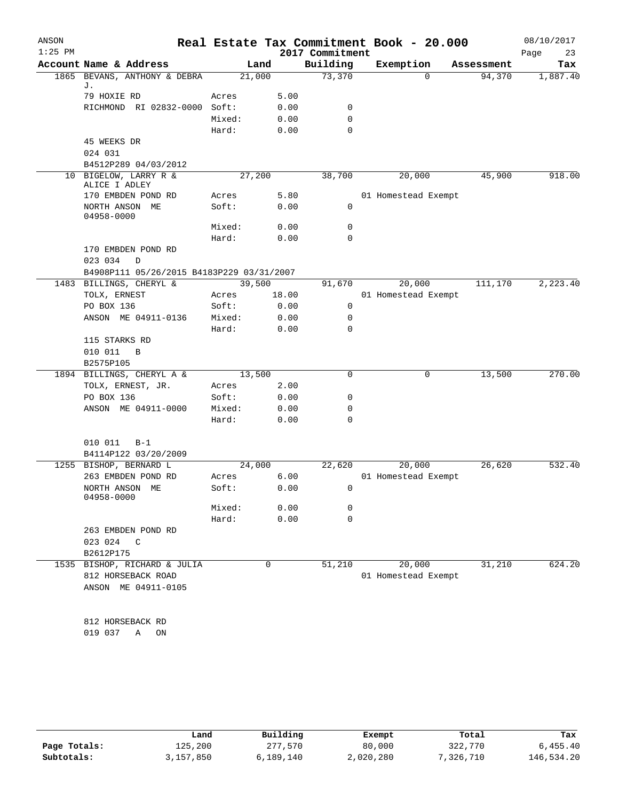| ANSON     |                                           |        |       |                 | Real Estate Tax Commitment Book - 20.000 |            | 08/10/2017 |
|-----------|-------------------------------------------|--------|-------|-----------------|------------------------------------------|------------|------------|
| $1:25$ PM |                                           |        |       | 2017 Commitment |                                          |            | Page<br>23 |
|           | Account Name & Address                    |        | Land  | Building        | Exemption                                | Assessment | Tax        |
|           | 1865 BEVANS, ANTHONY & DEBRA              | 21,000 |       | 73,370          | $\Omega$                                 | 94,370     | 1,887.40   |
|           | J.<br>79 HOXIE RD                         | Acres  | 5.00  |                 |                                          |            |            |
|           | RICHMOND RI 02832-0000 Soft:              |        | 0.00  | 0               |                                          |            |            |
|           |                                           | Mixed: | 0.00  | 0               |                                          |            |            |
|           |                                           | Hard:  | 0.00  | 0               |                                          |            |            |
|           | 45 WEEKS DR                               |        |       |                 |                                          |            |            |
|           | 024 031                                   |        |       |                 |                                          |            |            |
|           | B4512P289 04/03/2012                      |        |       |                 |                                          |            |            |
|           | 10 BIGELOW, LARRY R &<br>ALICE I ADLEY    | 27,200 |       | 38,700          | 20,000                                   | 45,900     | 918.00     |
|           | 170 EMBDEN POND RD                        | Acres  | 5.80  |                 | 01 Homestead Exempt                      |            |            |
|           | NORTH ANSON ME<br>04958-0000              | Soft:  | 0.00  | 0               |                                          |            |            |
|           |                                           | Mixed: | 0.00  | 0               |                                          |            |            |
|           |                                           | Hard:  | 0.00  | $\Omega$        |                                          |            |            |
|           | 170 EMBDEN POND RD                        |        |       |                 |                                          |            |            |
|           | 023 034<br>$\mathbf D$                    |        |       |                 |                                          |            |            |
|           | B4908P111 05/26/2015 B4183P229 03/31/2007 |        |       |                 |                                          |            |            |
|           | 1483 BILLINGS, CHERYL &                   | 39,500 |       | 91,670          | 20,000                                   | 111,170    | 2,223.40   |
|           | TOLX, ERNEST                              | Acres  | 18.00 |                 | 01 Homestead Exempt                      |            |            |
|           | PO BOX 136                                | Soft:  | 0.00  | 0               |                                          |            |            |
|           | ANSON ME 04911-0136                       | Mixed: | 0.00  | 0               |                                          |            |            |
|           |                                           | Hard:  | 0.00  | 0               |                                          |            |            |
|           | 115 STARKS RD                             |        |       |                 |                                          |            |            |
|           | 010 011<br>$\overline{B}$                 |        |       |                 |                                          |            |            |
|           | B2575P105<br>1894 BILLINGS, CHERYL A &    | 13,500 |       | 0               | 0                                        | 13,500     | 270.00     |
|           | TOLX, ERNEST, JR.                         | Acres  | 2.00  |                 |                                          |            |            |
|           | PO BOX 136                                | Soft:  | 0.00  | 0               |                                          |            |            |
|           | ANSON ME 04911-0000                       | Mixed: | 0.00  | 0               |                                          |            |            |
|           |                                           | Hard:  | 0.00  | 0               |                                          |            |            |
|           |                                           |        |       |                 |                                          |            |            |
|           | 010 011<br>$B-1$                          |        |       |                 |                                          |            |            |
|           | B4114P122 03/20/2009                      |        |       |                 |                                          |            |            |
|           | 1255 BISHOP, BERNARD L                    | 24,000 |       | 22,620          | 20,000                                   | 26,620     | 532.40     |
|           | 263 EMBDEN POND RD                        | Acres  | 6.00  |                 | 01 Homestead Exempt                      |            |            |
|           | NORTH ANSON ME<br>04958-0000              | Soft:  | 0.00  | $\mathbf{0}$    |                                          |            |            |
|           |                                           | Mixed: | 0.00  | 0               |                                          |            |            |
|           |                                           | Hard:  | 0.00  | 0               |                                          |            |            |
|           | 263 EMBDEN POND RD                        |        |       |                 |                                          |            |            |
|           | 023 024 C                                 |        |       |                 |                                          |            |            |
|           | B2612P175                                 |        |       |                 |                                          |            |            |
|           | 1535 BISHOP, RICHARD & JULIA              |        | 0     | 51,210          | 20,000                                   | 31,210     | 624.20     |
|           | 812 HORSEBACK ROAD<br>ANSON ME 04911-0105 |        |       |                 | 01 Homestead Exempt                      |            |            |
|           |                                           |        |       |                 |                                          |            |            |
|           |                                           |        |       |                 |                                          |            |            |
|           | 812 HORSEBACK RD                          |        |       |                 |                                          |            |            |
|           | 019 037<br>A<br>ON                        |        |       |                 |                                          |            |            |
|           |                                           |        |       |                 |                                          |            |            |

|              | Land      | Building  | Exempt    | Total     | Tax        |
|--------------|-----------|-----------|-----------|-----------|------------|
| Page Totals: | 125,200   | 277,570   | 80,000    | 322,770   | 6,455.40   |
| Subtotals:   | 3,157,850 | 6,189,140 | 2,020,280 | 7,326,710 | 146,534.20 |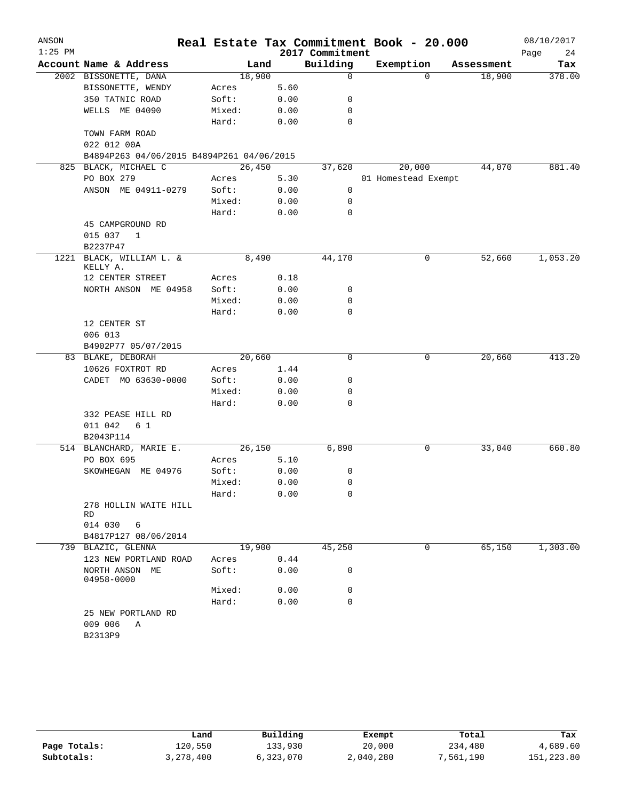| ANSON<br>$1:25$ PM |                                                                   |        |       | 2017 Commitment | Real Estate Tax Commitment Book - 20.000 |            | 08/10/2017<br>Page<br>24 |
|--------------------|-------------------------------------------------------------------|--------|-------|-----------------|------------------------------------------|------------|--------------------------|
|                    | Account Name & Address                                            |        | Land  | Building        | Exemption                                | Assessment | Tax                      |
|                    | 2002 BISSONETTE, DANA                                             | 18,900 |       | 0               | $\Omega$                                 | 18,900     | 378.00                   |
|                    | BISSONETTE, WENDY                                                 | Acres  | 5.60  |                 |                                          |            |                          |
|                    | 350 TATNIC ROAD                                                   | Soft:  | 0.00  | 0               |                                          |            |                          |
|                    | WELLS ME 04090                                                    | Mixed: | 0.00  | 0               |                                          |            |                          |
|                    |                                                                   | Hard:  | 0.00  | $\mathbf 0$     |                                          |            |                          |
|                    | TOWN FARM ROAD                                                    |        |       |                 |                                          |            |                          |
|                    | 022 012 00A                                                       |        |       |                 |                                          |            |                          |
|                    | B4894P263 04/06/2015 B4894P261 04/06/2015<br>825 BLACK, MICHAEL C | 26,450 |       | 37,620          | 20,000                                   | 44,070     | 881.40                   |
|                    | PO BOX 279                                                        | Acres  | 5.30  |                 | 01 Homestead Exempt                      |            |                          |
|                    | ANSON ME 04911-0279                                               | Soft:  | 0.00  | 0               |                                          |            |                          |
|                    |                                                                   | Mixed: | 0.00  | 0               |                                          |            |                          |
|                    |                                                                   | Hard:  | 0.00  | $\mathbf 0$     |                                          |            |                          |
|                    | 45 CAMPGROUND RD                                                  |        |       |                 |                                          |            |                          |
|                    | 015 037<br>1                                                      |        |       |                 |                                          |            |                          |
|                    | B2237P47                                                          |        |       |                 |                                          |            |                          |
| 1221               | BLACK, WILLIAM L. &                                               |        | 8,490 | 44,170          | 0                                        | 52,660     | 1,053.20                 |
|                    | KELLY A.                                                          |        |       |                 |                                          |            |                          |
|                    | 12 CENTER STREET                                                  | Acres  | 0.18  |                 |                                          |            |                          |
|                    | NORTH ANSON ME 04958                                              | Soft:  | 0.00  | 0               |                                          |            |                          |
|                    |                                                                   | Mixed: | 0.00  | 0               |                                          |            |                          |
|                    |                                                                   | Hard:  | 0.00  | 0               |                                          |            |                          |
|                    | 12 CENTER ST                                                      |        |       |                 |                                          |            |                          |
|                    | 006 013<br>B4902P77 05/07/2015                                    |        |       |                 |                                          |            |                          |
|                    | 83 BLAKE, DEBORAH                                                 | 20,660 |       | 0               | 0                                        | 20,660     | 413.20                   |
|                    | 10626 FOXTROT RD                                                  | Acres  | 1.44  |                 |                                          |            |                          |
|                    | CADET MO 63630-0000                                               | Soft:  | 0.00  | 0               |                                          |            |                          |
|                    |                                                                   | Mixed: | 0.00  | 0               |                                          |            |                          |
|                    |                                                                   | Hard:  | 0.00  | 0               |                                          |            |                          |
|                    | 332 PEASE HILL RD                                                 |        |       |                 |                                          |            |                          |
|                    | 011 042<br>61                                                     |        |       |                 |                                          |            |                          |
|                    | B2043P114                                                         |        |       |                 |                                          |            |                          |
|                    | 514 BLANCHARD, MARIE E.                                           | 26,150 |       | 6,890           | 0                                        | 33,040     | 660.80                   |
|                    | PO BOX 695                                                        | Acres  | 5.10  |                 |                                          |            |                          |
|                    | SKOWHEGAN<br>ME 04976                                             | Soft:  | 0.00  | 0               |                                          |            |                          |
|                    |                                                                   | Mixed: | 0.00  | 0               |                                          |            |                          |
|                    |                                                                   | Hard:  | 0.00  | 0               |                                          |            |                          |
|                    | 278 HOLLIN WAITE HILL<br>RD                                       |        |       |                 |                                          |            |                          |
|                    | 014 030<br>6                                                      |        |       |                 |                                          |            |                          |
|                    | B4817P127 08/06/2014                                              |        |       |                 |                                          |            |                          |
|                    | 739 BLAZIC, GLENNA                                                | 19,900 |       | 45,250          | $\mathbf 0$                              | 65,150     | 1,303.00                 |
|                    | 123 NEW PORTLAND ROAD                                             | Acres  | 0.44  |                 |                                          |            |                          |
|                    | NORTH ANSON ME<br>04958-0000                                      | Soft:  | 0.00  | 0               |                                          |            |                          |
|                    |                                                                   | Mixed: | 0.00  | 0               |                                          |            |                          |
|                    |                                                                   | Hard:  | 0.00  | $\mathbf 0$     |                                          |            |                          |
|                    | 25 NEW PORTLAND RD                                                |        |       |                 |                                          |            |                          |
|                    | 009 006<br>Α                                                      |        |       |                 |                                          |            |                          |
|                    | B2313P9                                                           |        |       |                 |                                          |            |                          |
|                    |                                                                   |        |       |                 |                                          |            |                          |

|              | Land      | Building  | Exempt    | Total     | Tax          |
|--------------|-----------|-----------|-----------|-----------|--------------|
| Page Totals: | 120,550   | 133,930   | 20,000    | 234,480   | 4,689.60     |
| Subtotals:   | 3,278,400 | 6,323,070 | 2,040,280 | 1,561,190 | 151, 223, 80 |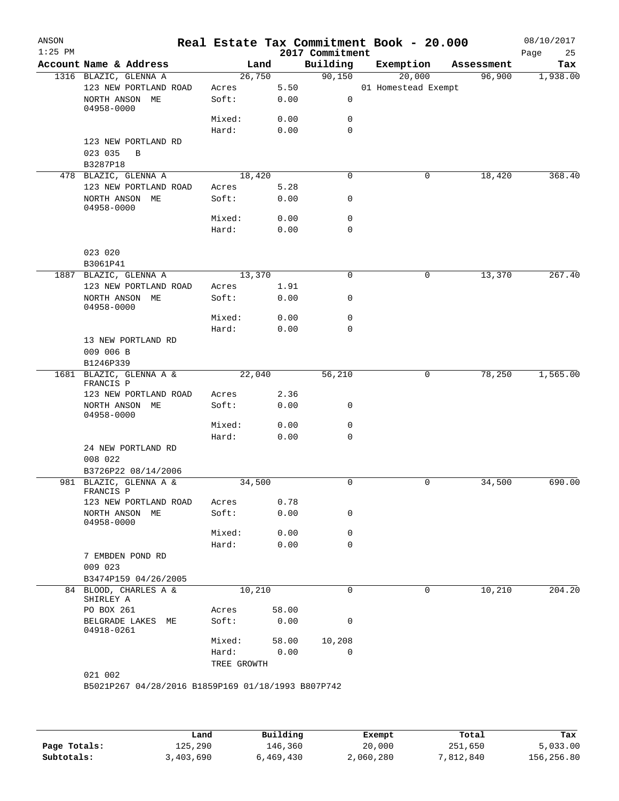| ANSON<br>$1:25$ PM |                                                       |                |               | 2017 Commitment | Real Estate Tax Commitment Book - 20.000 |   |            | 08/10/2017<br>25<br>Page |
|--------------------|-------------------------------------------------------|----------------|---------------|-----------------|------------------------------------------|---|------------|--------------------------|
|                    | Account Name & Address                                |                | Land          | Building        | Exemption                                |   | Assessment | Tax                      |
|                    | 1316 BLAZIC, GLENNA A                                 | 26,750         |               | 90,150          | 20,000                                   |   | 96,900     | 1,938.00                 |
|                    | 123 NEW PORTLAND ROAD<br>NORTH ANSON ME               | Acres<br>Soft: | 5.50<br>0.00  | $\mathsf{O}$    | 01 Homestead Exempt                      |   |            |                          |
|                    | 04958-0000                                            | Mixed:         | 0.00          | 0               |                                          |   |            |                          |
|                    |                                                       | Hard:          | 0.00          | $\mathbf 0$     |                                          |   |            |                          |
|                    | 123 NEW PORTLAND RD<br>023 035<br>B<br>B3287P18       |                |               |                 |                                          |   |            |                          |
|                    | 478 BLAZIC, GLENNA A                                  | 18,420         |               | 0               |                                          | 0 | 18,420     | 368.40                   |
|                    | 123 NEW PORTLAND ROAD                                 | Acres          | 5.28          |                 |                                          |   |            |                          |
|                    | NORTH ANSON ME<br>04958-0000                          | Soft:          | 0.00          | 0               |                                          |   |            |                          |
|                    |                                                       | Mixed:         | 0.00          | 0               |                                          |   |            |                          |
|                    |                                                       | Hard:          | 0.00          | $\mathbf 0$     |                                          |   |            |                          |
|                    | 023 020<br>B3061P41                                   |                |               |                 |                                          |   |            |                          |
|                    | 1887 BLAZIC, GLENNA A                                 | 13,370         |               | $\mathbf 0$     |                                          | 0 | 13,370     | 267.40                   |
|                    | 123 NEW PORTLAND ROAD                                 | Acres          | 1.91          |                 |                                          |   |            |                          |
|                    | NORTH ANSON ME<br>04958-0000                          | Soft:          | 0.00          | 0               |                                          |   |            |                          |
|                    |                                                       | Mixed:         | 0.00          | 0               |                                          |   |            |                          |
|                    |                                                       | Hard:          | 0.00          | 0               |                                          |   |            |                          |
|                    | 13 NEW PORTLAND RD<br>009 006 B<br>B1246P339          |                |               |                 |                                          |   |            |                          |
|                    | 1681 BLAZIC, GLENNA A &<br>FRANCIS P                  | 22,040         |               | 56,210          |                                          | 0 | 78,250     | 1,565.00                 |
|                    | 123 NEW PORTLAND ROAD                                 | Acres          | 2.36          |                 |                                          |   |            |                          |
|                    | NORTH ANSON ME<br>04958-0000                          | Soft:          | 0.00          | 0               |                                          |   |            |                          |
|                    |                                                       | Mixed:         | 0.00          | 0               |                                          |   |            |                          |
|                    | 24 NEW PORTLAND RD                                    | Hard:          | 0.00          | 0               |                                          |   |            |                          |
|                    | 008 022<br>B3726P22 08/14/2006                        |                |               |                 |                                          |   |            |                          |
|                    | 981 BLAZIC, GLENNA A &                                | 34,500         |               | 0               |                                          | 0 | 34,500     | 690.00                   |
|                    | FRANCIS P                                             |                |               |                 |                                          |   |            |                          |
|                    | 123 NEW PORTLAND ROAD<br>NORTH ANSON ME<br>04958-0000 | Acres<br>Soft: | 0.78<br>0.00  | 0               |                                          |   |            |                          |
|                    |                                                       | Mixed:         | 0.00          | 0               |                                          |   |            |                          |
|                    |                                                       | Hard:          | 0.00          | $\mathbf 0$     |                                          |   |            |                          |
|                    | 7 EMBDEN POND RD<br>009 023                           |                |               |                 |                                          |   |            |                          |
|                    | B3474P159 04/26/2005                                  |                |               |                 |                                          |   |            |                          |
|                    | 84 BLOOD, CHARLES A &<br>SHIRLEY A                    | 10,210         |               | 0               |                                          | 0 | 10,210     | 204.20                   |
|                    | PO BOX 261<br>BELGRADE LAKES ME                       | Acres<br>Soft: | 58.00<br>0.00 | $\mathbf 0$     |                                          |   |            |                          |
|                    | 04918-0261                                            | Mixed:         | 58.00         | 10,208          |                                          |   |            |                          |
|                    |                                                       | Hard:          | 0.00          | 0               |                                          |   |            |                          |
|                    |                                                       | TREE GROWTH    |               |                 |                                          |   |            |                          |
|                    | 021 002                                               |                |               |                 |                                          |   |            |                          |
|                    | B5021P267 04/28/2016 B1859P169 01/18/1993 B807P742    |                |               |                 |                                          |   |            |                          |

|              | Land      | Building  | Exempt    | Total     | Tax        |
|--------------|-----------|-----------|-----------|-----------|------------|
| Page Totals: | 125,290   | 146,360   | 20,000    | 251,650   | 5,033.00   |
| Subtotals:   | 3,403,690 | 6,469,430 | 2,060,280 | 7,812,840 | 156,256.80 |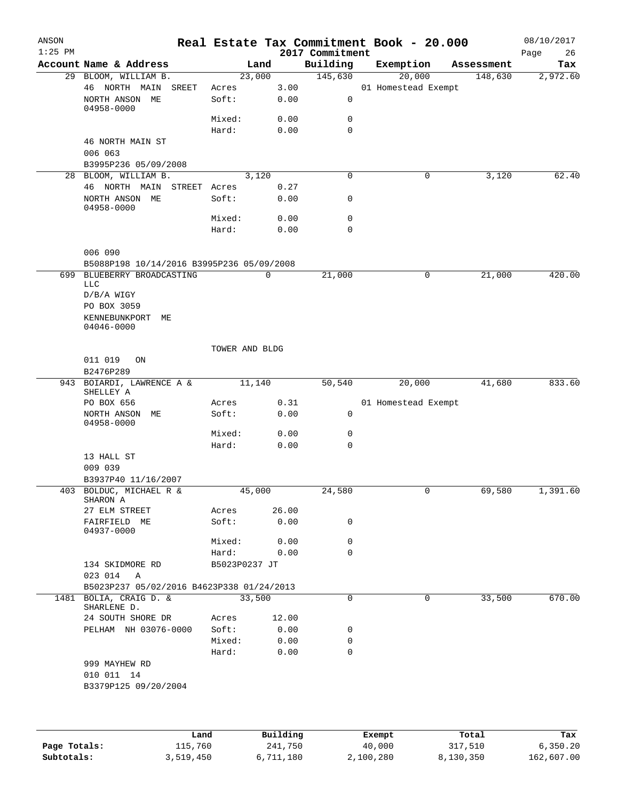| ANSON<br>$1:25$ PM |                                           |              |                |             |              | 2017 Commitment | Real Estate Tax Commitment Book - 20.000 |                |            | 08/10/2017<br>26<br>Page |
|--------------------|-------------------------------------------|--------------|----------------|-------------|--------------|-----------------|------------------------------------------|----------------|------------|--------------------------|
|                    | Account Name & Address                    |              |                | Land        |              | Building        | Exemption                                |                | Assessment | Tax                      |
|                    | 29 BLOOM, WILLIAM B.                      |              | 23,000         |             |              | 145,630         | 20,000                                   |                | 148,630    | 2,972.60                 |
|                    | 46 NORTH MAIN<br>NORTH ANSON ME           | SREET        | Acres<br>Soft: |             | 3.00<br>0.00 | 0               | 01 Homestead Exempt                      |                |            |                          |
|                    | $04958 - 0000$                            |              | Mixed:         |             | 0.00         | $\mathbf 0$     |                                          |                |            |                          |
|                    |                                           |              | Hard:          |             | 0.00         | 0               |                                          |                |            |                          |
|                    | 46 NORTH MAIN ST<br>006 063               |              |                |             |              |                 |                                          |                |            |                          |
|                    | B3995P236 05/09/2008                      |              |                |             |              |                 |                                          |                |            |                          |
|                    | 28 BLOOM, WILLIAM B.                      |              |                | 3,120       |              | $\mathbf 0$     | 0                                        |                | 3,120      | 62.40                    |
|                    | 46 NORTH MAIN                             | STREET Acres |                | 0.27        |              |                 |                                          |                |            |                          |
|                    | NORTH ANSON ME<br>04958-0000              |              | Soft:          | 0.00        |              | 0               |                                          |                |            |                          |
|                    |                                           |              | Mixed:         | 0.00        |              | $\mathbf 0$     |                                          |                |            |                          |
|                    |                                           |              | Hard:          | 0.00        |              | $\mathbf 0$     |                                          |                |            |                          |
|                    | 006 090                                   |              |                |             |              |                 |                                          |                |            |                          |
|                    | B5088P198 10/14/2016 B3995P236 05/09/2008 |              |                |             |              |                 |                                          |                |            |                          |
|                    | 699 BLUEBERRY BROADCASTING                |              |                | $\mathbf 0$ |              | 21,000          | 0                                        |                | 21,000     | 420.00                   |
|                    | LLC<br>$D/B/A$ WIGY                       |              |                |             |              |                 |                                          |                |            |                          |
|                    | PO BOX 3059                               |              |                |             |              |                 |                                          |                |            |                          |
|                    | KENNEBUNKPORT<br>ME                       |              |                |             |              |                 |                                          |                |            |                          |
|                    | 04046-0000                                |              |                |             |              |                 |                                          |                |            |                          |
|                    |                                           |              | TOWER AND BLDG |             |              |                 |                                          |                |            |                          |
|                    | 011 019<br>ON<br>B2476P289                |              |                |             |              |                 |                                          |                |            |                          |
|                    | 943 BOIARDI, LAWRENCE A &                 |              | 11,140         |             |              | 50,540          | 20,000                                   |                | 41,680     | 833.60                   |
|                    | SHELLEY A<br>PO BOX 656                   |              | Acres          |             | 0.31         |                 | 01 Homestead Exempt                      |                |            |                          |
|                    | NORTH ANSON ME                            |              | Soft:          | 0.00        |              | 0               |                                          |                |            |                          |
|                    | 04958-0000                                |              | Mixed:         | 0.00        |              | 0               |                                          |                |            |                          |
|                    |                                           |              | Hard:          | 0.00        |              | $\mathbf 0$     |                                          |                |            |                          |
|                    | 13 HALL ST                                |              |                |             |              |                 |                                          |                |            |                          |
|                    | 009 039                                   |              |                |             |              |                 |                                          |                |            |                          |
|                    | B3937P40 11/16/2007                       |              |                |             |              |                 |                                          |                |            |                          |
|                    | 403 BOLDUC, MICHAEL R &<br>SHARON A       |              | 45,000         |             |              | 24,580          |                                          | $\overline{0}$ | 69,580     | 1,391.60                 |
|                    | 27 ELM STREET                             |              | Acres          | 26.00       |              |                 |                                          |                |            |                          |
|                    | FAIRFIELD ME<br>04937-0000                |              | Soft:          | 0.00        |              | 0               |                                          |                |            |                          |
|                    |                                           |              | Mixed: 0.00    |             |              | 0               |                                          |                |            |                          |
|                    |                                           |              | Hard: 0.00     |             |              | 0               |                                          |                |            |                          |
|                    | 134 SKIDMORE RD                           |              | B5023P0237 JT  |             |              |                 |                                          |                |            |                          |
|                    | 023 014 A                                 |              |                |             |              |                 |                                          |                |            |                          |
|                    | B5023P237 05/02/2016 B4623P338 01/24/2013 |              |                |             |              |                 |                                          |                |            |                          |
|                    | 1481 BOLIA, CRAIG D. &<br>SHARLENE D.     |              | 33,500         |             |              | $\Omega$        | 0                                        |                | 33,500     | 670.00                   |
|                    | 24 SOUTH SHORE DR                         |              | Acres          | 12.00       |              |                 |                                          |                |            |                          |
|                    | PELHAM NH 03076-0000                      |              | Soft:          | 0.00        |              | 0               |                                          |                |            |                          |
|                    |                                           |              | Mixed:         | 0.00        |              | 0               |                                          |                |            |                          |
|                    |                                           |              | Hard:          |             | 0.00         | 0               |                                          |                |            |                          |
|                    | 999 MAYHEW RD                             |              |                |             |              |                 |                                          |                |            |                          |
|                    | 010 011 14<br>B3379P125 09/20/2004        |              |                |             |              |                 |                                          |                |            |                          |
|                    |                                           |              |                |             |              |                 |                                          |                |            |                          |
|                    |                                           |              |                |             |              |                 |                                          |                |            |                          |

|              | Land      | Building  | Exempt    | Total     | Tax        |
|--------------|-----------|-----------|-----------|-----------|------------|
| Page Totals: | 115,760   | 241,750   | 40,000    | 317,510   | 6,350.20   |
| Subtotals:   | 3,519,450 | 6,711,180 | 2,100,280 | 8,130,350 | 162,607.00 |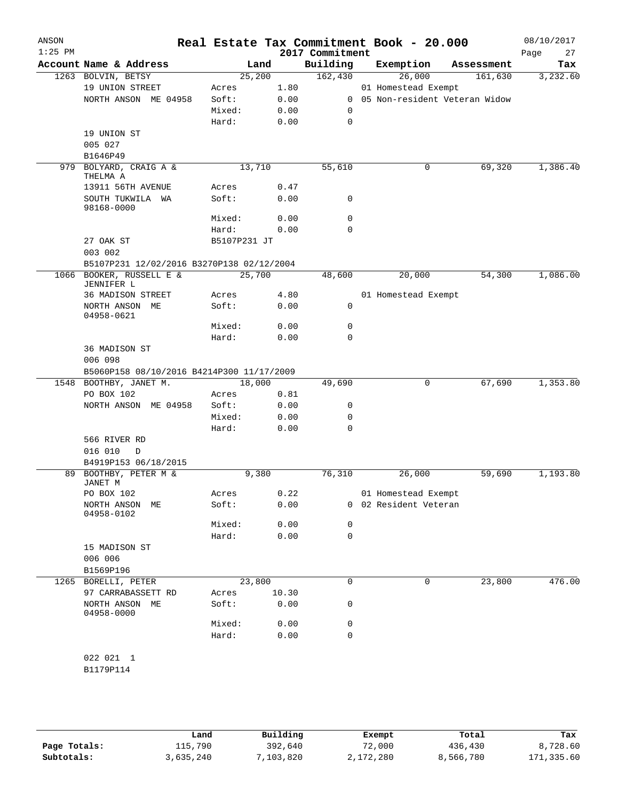| ANSON<br>$1:25$ PM |                                           |                 |              | 2017 Commitment | Real Estate Tax Commitment Book - 20.000 |                               | 08/10/2017<br>27<br>Page |
|--------------------|-------------------------------------------|-----------------|--------------|-----------------|------------------------------------------|-------------------------------|--------------------------|
|                    | Account Name & Address                    | Land            |              | Building        | Exemption                                | Assessment                    | Tax                      |
|                    | 1263 BOLVIN, BETSY                        | 25,200          |              | 162,430         | 26,000                                   | 161,630                       | 3,232.60                 |
|                    | 19 UNION STREET                           | Acres           | 1.80         |                 | 01 Homestead Exempt                      |                               |                          |
|                    | NORTH ANSON ME 04958                      | Soft:           | 0.00         | $\overline{0}$  |                                          | 05 Non-resident Veteran Widow |                          |
|                    |                                           | Mixed:          | 0.00         | 0               |                                          |                               |                          |
|                    |                                           | Hard:           | 0.00         | $\mathbf 0$     |                                          |                               |                          |
|                    | 19 UNION ST                               |                 |              |                 |                                          |                               |                          |
|                    | 005 027<br>B1646P49                       |                 |              |                 |                                          |                               |                          |
| 979                | BOLYARD, CRAIG A &                        | 13,710          |              | 55,610          | 0                                        | 69,320                        | 1,386.40                 |
|                    | THELMA A                                  |                 |              |                 |                                          |                               |                          |
|                    | 13911 56TH AVENUE                         | Acres           | 0.47         |                 |                                          |                               |                          |
|                    | SOUTH TUKWILA WA<br>98168-0000            | Soft:           | 0.00         | 0               |                                          |                               |                          |
|                    |                                           | Mixed:          | 0.00         | 0               |                                          |                               |                          |
|                    |                                           | Hard:           | 0.00         | $\Omega$        |                                          |                               |                          |
|                    | 27 OAK ST                                 | B5107P231 JT    |              |                 |                                          |                               |                          |
|                    | 003 002                                   |                 |              |                 |                                          |                               |                          |
|                    | B5107P231 12/02/2016 B3270P138 02/12/2004 |                 |              |                 |                                          |                               |                          |
| 1066               | BOOKER, RUSSELL E &<br>JENNIFER L         | 25,700          |              | 48,600          | 20,000                                   | 54,300                        | 1,086.00                 |
|                    | <b>36 MADISON STREET</b>                  | Acres           | 4.80         |                 | 01 Homestead Exempt                      |                               |                          |
|                    | NORTH ANSON ME<br>04958-0621              | Soft:           | 0.00         | 0               |                                          |                               |                          |
|                    |                                           | Mixed:          | 0.00         | 0               |                                          |                               |                          |
|                    |                                           | Hard:           | 0.00         | 0               |                                          |                               |                          |
|                    | 36 MADISON ST                             |                 |              |                 |                                          |                               |                          |
|                    | 006 098                                   |                 |              |                 |                                          |                               |                          |
|                    | B5060P158 08/10/2016 B4214P300 11/17/2009 |                 |              |                 |                                          |                               |                          |
|                    | 1548 BOOTHBY, JANET M.                    | 18,000          |              | 49,690          | 0                                        | 67,690                        | 1,353.80                 |
|                    | PO BOX 102                                | Acres           | 0.81         |                 |                                          |                               |                          |
|                    | NORTH ANSON ME 04958                      | Soft:           | 0.00         | 0<br>0          |                                          |                               |                          |
|                    |                                           | Mixed:<br>Hard: | 0.00<br>0.00 | $\mathbf 0$     |                                          |                               |                          |
|                    | 566 RIVER RD                              |                 |              |                 |                                          |                               |                          |
|                    | 016 010<br>D                              |                 |              |                 |                                          |                               |                          |
|                    | B4919P153 06/18/2015                      |                 |              |                 |                                          |                               |                          |
|                    | 89 BOOTHBY, PETER M &                     | 9,380           |              | 76,310          | 26,000                                   | 59,690                        | 1,193.80                 |
|                    | JANET M                                   |                 |              |                 |                                          |                               |                          |
|                    | PO BOX 102                                | Acres           | 0.22         |                 | 01 Homestead Exempt                      |                               |                          |
|                    | NORTH ANSON ME                            | Soft:           | 0.00         |                 | 0 02 Resident Veteran                    |                               |                          |
|                    | 04958-0102                                | Mixed:          | 0.00         | 0               |                                          |                               |                          |
|                    |                                           | Hard:           | 0.00         | 0               |                                          |                               |                          |
|                    | 15 MADISON ST                             |                 |              |                 |                                          |                               |                          |
|                    | 006 006                                   |                 |              |                 |                                          |                               |                          |
|                    | B1569P196                                 |                 |              |                 |                                          |                               |                          |
|                    | 1265 BORELLI, PETER                       | 23,800          |              | 0               | 0                                        | 23,800                        | 476.00                   |
|                    | 97 CARRABASSETT RD                        | Acres           | 10.30        |                 |                                          |                               |                          |
|                    | NORTH ANSON ME<br>04958-0000              | Soft:           | 0.00         | 0               |                                          |                               |                          |
|                    |                                           | Mixed:          | 0.00         | 0               |                                          |                               |                          |
|                    |                                           | Hard:           | 0.00         | 0               |                                          |                               |                          |
|                    |                                           |                 |              |                 |                                          |                               |                          |
|                    | 022 021 1                                 |                 |              |                 |                                          |                               |                          |
|                    | B1179P114                                 |                 |              |                 |                                          |                               |                          |
|                    |                                           |                 |              |                 |                                          |                               |                          |

|              | Land      | Building  | Exempt    | Total     | Tax        |
|--------------|-----------|-----------|-----------|-----------|------------|
| Page Totals: | 115,790   | 392,640   | 72,000    | 436,430   | 8,728.60   |
| Subtotals:   | 3,635,240 | 7,103,820 | 2,172,280 | 8,566,780 | 171,335.60 |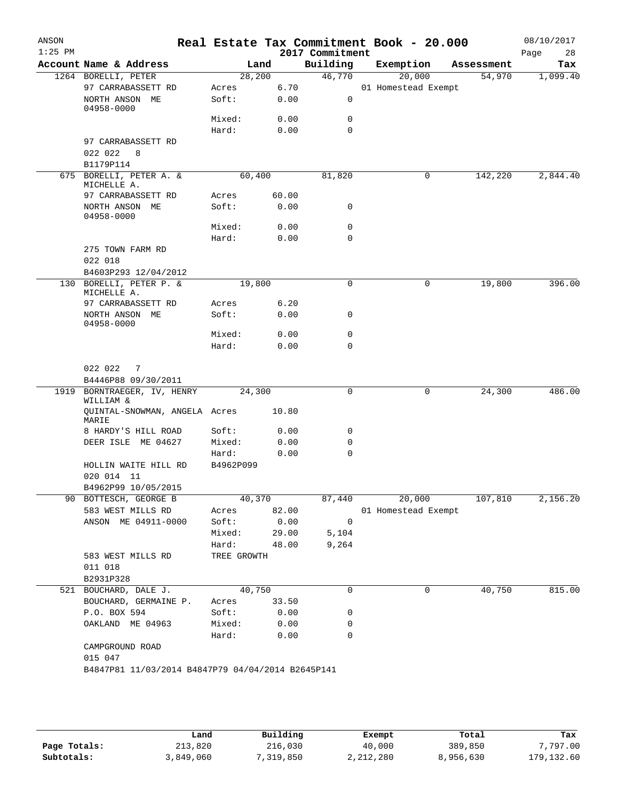| Account Name & Address<br>1264 BORELLI, PETER<br>97 CARRABASSETT RD<br>NORTH ANSON ME<br>04958-0000<br>97 CARRABASSETT RD<br>022 022<br>8<br>B1179P114<br>675 BORELLI, PETER A. & | 28,200<br>Acres<br>Soft:<br>Mixed:<br>Hard:                                                                                                                                                                                                                                         | Land<br>6.70<br>0.00<br>0.00<br>0.00                                            | Building<br>46,770<br>0<br>$\mathbf 0$                      |                                                                                                                                                                 | Exemption<br>20,000<br>01 Homestead Exempt | Assessment<br>54,970 | Tax                                                |
|-----------------------------------------------------------------------------------------------------------------------------------------------------------------------------------|-------------------------------------------------------------------------------------------------------------------------------------------------------------------------------------------------------------------------------------------------------------------------------------|---------------------------------------------------------------------------------|-------------------------------------------------------------|-----------------------------------------------------------------------------------------------------------------------------------------------------------------|--------------------------------------------|----------------------|----------------------------------------------------|
|                                                                                                                                                                                   |                                                                                                                                                                                                                                                                                     |                                                                                 |                                                             |                                                                                                                                                                 |                                            |                      | 1,099.40                                           |
|                                                                                                                                                                                   |                                                                                                                                                                                                                                                                                     |                                                                                 |                                                             |                                                                                                                                                                 |                                            |                      |                                                    |
|                                                                                                                                                                                   |                                                                                                                                                                                                                                                                                     |                                                                                 |                                                             |                                                                                                                                                                 |                                            |                      |                                                    |
|                                                                                                                                                                                   |                                                                                                                                                                                                                                                                                     |                                                                                 |                                                             |                                                                                                                                                                 |                                            |                      |                                                    |
|                                                                                                                                                                                   |                                                                                                                                                                                                                                                                                     |                                                                                 |                                                             |                                                                                                                                                                 |                                            |                      |                                                    |
|                                                                                                                                                                                   |                                                                                                                                                                                                                                                                                     |                                                                                 | $\Omega$                                                    |                                                                                                                                                                 |                                            |                      |                                                    |
|                                                                                                                                                                                   |                                                                                                                                                                                                                                                                                     |                                                                                 |                                                             |                                                                                                                                                                 |                                            |                      |                                                    |
|                                                                                                                                                                                   |                                                                                                                                                                                                                                                                                     |                                                                                 |                                                             |                                                                                                                                                                 |                                            |                      |                                                    |
|                                                                                                                                                                                   | 60,400                                                                                                                                                                                                                                                                              |                                                                                 | 81,820                                                      |                                                                                                                                                                 | 0                                          | 142,220              | 2,844.40                                           |
| MICHELLE A.                                                                                                                                                                       |                                                                                                                                                                                                                                                                                     |                                                                                 |                                                             |                                                                                                                                                                 |                                            |                      |                                                    |
| 97 CARRABASSETT RD                                                                                                                                                                | Acres                                                                                                                                                                                                                                                                               | 60.00                                                                           |                                                             |                                                                                                                                                                 |                                            |                      |                                                    |
| NORTH ANSON ME<br>04958-0000                                                                                                                                                      | Soft:                                                                                                                                                                                                                                                                               | 0.00                                                                            | 0                                                           |                                                                                                                                                                 |                                            |                      |                                                    |
|                                                                                                                                                                                   | Mixed:                                                                                                                                                                                                                                                                              | 0.00                                                                            | 0                                                           |                                                                                                                                                                 |                                            |                      |                                                    |
|                                                                                                                                                                                   | Hard:                                                                                                                                                                                                                                                                               | 0.00                                                                            | 0                                                           |                                                                                                                                                                 |                                            |                      |                                                    |
| 275 TOWN FARM RD                                                                                                                                                                  |                                                                                                                                                                                                                                                                                     |                                                                                 |                                                             |                                                                                                                                                                 |                                            |                      |                                                    |
|                                                                                                                                                                                   |                                                                                                                                                                                                                                                                                     |                                                                                 |                                                             |                                                                                                                                                                 |                                            |                      |                                                    |
|                                                                                                                                                                                   |                                                                                                                                                                                                                                                                                     |                                                                                 |                                                             |                                                                                                                                                                 |                                            |                      | 396.00                                             |
| MICHELLE A.                                                                                                                                                                       |                                                                                                                                                                                                                                                                                     |                                                                                 |                                                             |                                                                                                                                                                 |                                            |                      |                                                    |
| 97 CARRABASSETT RD                                                                                                                                                                | Acres                                                                                                                                                                                                                                                                               | 6.20                                                                            |                                                             |                                                                                                                                                                 |                                            |                      |                                                    |
| NORTH ANSON ME<br>04958-0000                                                                                                                                                      | Soft:                                                                                                                                                                                                                                                                               | 0.00                                                                            | 0                                                           |                                                                                                                                                                 |                                            |                      |                                                    |
|                                                                                                                                                                                   | Mixed:                                                                                                                                                                                                                                                                              | 0.00                                                                            | 0                                                           |                                                                                                                                                                 |                                            |                      |                                                    |
|                                                                                                                                                                                   | Hard:                                                                                                                                                                                                                                                                               | 0.00                                                                            | 0                                                           |                                                                                                                                                                 |                                            |                      |                                                    |
| 022 022<br>7                                                                                                                                                                      |                                                                                                                                                                                                                                                                                     |                                                                                 |                                                             |                                                                                                                                                                 |                                            |                      |                                                    |
| BORNTRAEGER, IV, HENRY                                                                                                                                                            |                                                                                                                                                                                                                                                                                     |                                                                                 | 0                                                           |                                                                                                                                                                 | 0                                          | 24,300               | 486.00                                             |
| WILLIAM &                                                                                                                                                                         |                                                                                                                                                                                                                                                                                     |                                                                                 |                                                             |                                                                                                                                                                 |                                            |                      |                                                    |
| MARIE                                                                                                                                                                             |                                                                                                                                                                                                                                                                                     |                                                                                 |                                                             |                                                                                                                                                                 |                                            |                      |                                                    |
| 8 HARDY'S HILL ROAD                                                                                                                                                               | Soft:                                                                                                                                                                                                                                                                               | 0.00                                                                            | 0                                                           |                                                                                                                                                                 |                                            |                      |                                                    |
|                                                                                                                                                                                   |                                                                                                                                                                                                                                                                                     |                                                                                 |                                                             |                                                                                                                                                                 |                                            |                      |                                                    |
|                                                                                                                                                                                   |                                                                                                                                                                                                                                                                                     |                                                                                 |                                                             |                                                                                                                                                                 |                                            |                      |                                                    |
|                                                                                                                                                                                   |                                                                                                                                                                                                                                                                                     |                                                                                 |                                                             |                                                                                                                                                                 |                                            |                      |                                                    |
|                                                                                                                                                                                   |                                                                                                                                                                                                                                                                                     |                                                                                 |                                                             |                                                                                                                                                                 |                                            |                      |                                                    |
| 90 BOTTESCH, GEORGE B                                                                                                                                                             |                                                                                                                                                                                                                                                                                     |                                                                                 | 87,440                                                      |                                                                                                                                                                 | 20,000                                     |                      | 2,156.20                                           |
| 583 WEST MILLS RD                                                                                                                                                                 | Acres                                                                                                                                                                                                                                                                               |                                                                                 |                                                             |                                                                                                                                                                 |                                            |                      |                                                    |
| ANSON ME 04911-0000                                                                                                                                                               | Soft:                                                                                                                                                                                                                                                                               |                                                                                 | $\overline{\phantom{0}}$                                    |                                                                                                                                                                 |                                            |                      |                                                    |
|                                                                                                                                                                                   | Mixed:                                                                                                                                                                                                                                                                              |                                                                                 | 5,104                                                       |                                                                                                                                                                 |                                            |                      |                                                    |
|                                                                                                                                                                                   | Hard:                                                                                                                                                                                                                                                                               |                                                                                 | 9,264                                                       |                                                                                                                                                                 |                                            |                      |                                                    |
|                                                                                                                                                                                   |                                                                                                                                                                                                                                                                                     |                                                                                 |                                                             |                                                                                                                                                                 |                                            |                      |                                                    |
|                                                                                                                                                                                   |                                                                                                                                                                                                                                                                                     |                                                                                 |                                                             |                                                                                                                                                                 |                                            |                      |                                                    |
|                                                                                                                                                                                   |                                                                                                                                                                                                                                                                                     |                                                                                 |                                                             |                                                                                                                                                                 |                                            |                      | 815.00                                             |
|                                                                                                                                                                                   |                                                                                                                                                                                                                                                                                     |                                                                                 |                                                             |                                                                                                                                                                 |                                            |                      |                                                    |
|                                                                                                                                                                                   |                                                                                                                                                                                                                                                                                     |                                                                                 |                                                             |                                                                                                                                                                 |                                            |                      |                                                    |
| OAKLAND ME 04963                                                                                                                                                                  | Mixed:                                                                                                                                                                                                                                                                              |                                                                                 | 0                                                           |                                                                                                                                                                 |                                            |                      |                                                    |
|                                                                                                                                                                                   | Hard:                                                                                                                                                                                                                                                                               |                                                                                 | $\mathbf 0$                                                 |                                                                                                                                                                 |                                            |                      |                                                    |
| CAMPGROUND ROAD                                                                                                                                                                   |                                                                                                                                                                                                                                                                                     |                                                                                 |                                                             |                                                                                                                                                                 |                                            |                      |                                                    |
| 015 047                                                                                                                                                                           |                                                                                                                                                                                                                                                                                     |                                                                                 |                                                             |                                                                                                                                                                 |                                            |                      |                                                    |
|                                                                                                                                                                                   | 022 018<br>B4603P293 12/04/2012<br>130 BORELLI, PETER P. &<br>B4446P88 09/30/2011<br>DEER ISLE ME 04627<br>HOLLIN WAITE HILL RD<br>020 014 11<br>B4962P99 10/05/2015<br>583 WEST MILLS RD<br>011 018<br>B2931P328<br>521 BOUCHARD, DALE J.<br>BOUCHARD, GERMAINE P.<br>P.O. BOX 594 | QUINTAL-SNOWMAN, ANGELA Acres<br>Mixed:<br>Hard:<br>B4962P099<br>Acres<br>Soft: | 19,800<br>24,300<br>0.00<br>40,370<br>TREE GROWTH<br>40,750 | 0<br>10.80<br>0.00<br>0<br>0<br>82.00<br>0.00<br>29.00<br>48.00<br>0<br>33.50<br>0.00<br>0<br>0.00<br>0.00<br>B4847P81 11/03/2014 B4847P79 04/04/2014 B2645P141 |                                            | 0<br>0               | 19,800<br>107,810<br>01 Homestead Exempt<br>40,750 |

|              | Land      | Building | Exempt    | Total     | Tax        |
|--------------|-----------|----------|-----------|-----------|------------|
| Page Totals: | 213,820   | 216,030  | 40,000    | 389,850   | 7,797.00   |
| Subtotals:   | 3,849,060 | ,319,850 | 2,212,280 | 8,956,630 | 179,132.60 |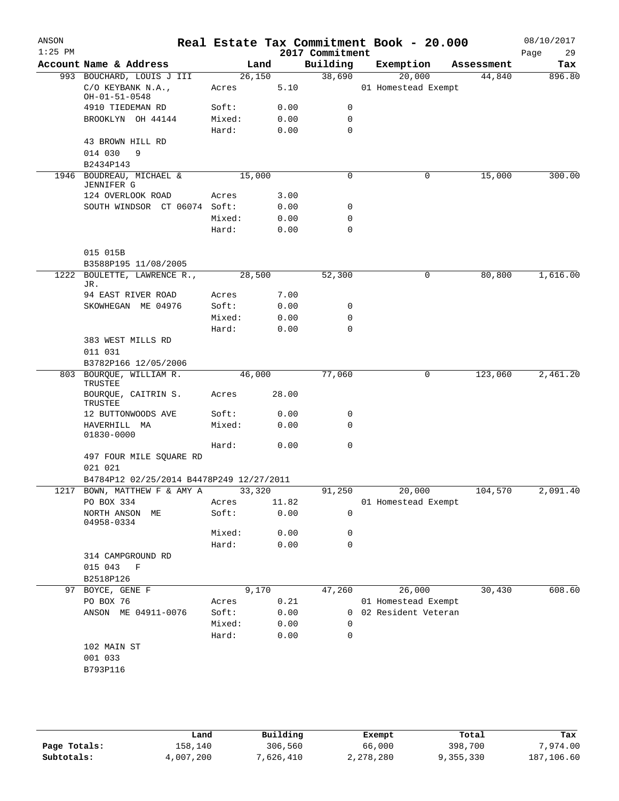| ANSON<br>$1:25$ PM |                                                                                 |                 |              | 2017 Commitment | Real Estate Tax Commitment Book - 20.000 |            | 08/10/2017<br>29<br>Page |
|--------------------|---------------------------------------------------------------------------------|-----------------|--------------|-----------------|------------------------------------------|------------|--------------------------|
|                    | Account Name & Address                                                          | Land            |              | Building        | Exemption                                | Assessment | Tax                      |
|                    | 993 BOUCHARD, LOUIS J III                                                       | 26,150          |              | 38,690          | 20,000                                   | 44,840     | 896.80                   |
|                    | C/O KEYBANK N.A.,<br>OH-01-51-0548                                              | Acres           | 5.10         |                 | 01 Homestead Exempt                      |            |                          |
|                    | 4910 TIEDEMAN RD                                                                | Soft:           | 0.00         | 0               |                                          |            |                          |
|                    | BROOKLYN OH 44144                                                               | Mixed:          | 0.00         | 0               |                                          |            |                          |
|                    |                                                                                 | Hard:           | 0.00         | 0               |                                          |            |                          |
|                    | 43 BROWN HILL RD<br>014 030<br>9                                                |                 |              |                 |                                          |            |                          |
|                    | B2434P143                                                                       |                 |              |                 |                                          |            |                          |
|                    | 1946 BOUDREAU, MICHAEL &<br><b>JENNIFER G</b>                                   | 15,000          |              | 0               | 0                                        | 15,000     | 300.00                   |
|                    | 124 OVERLOOK ROAD                                                               | Acres           | 3.00         |                 |                                          |            |                          |
|                    | SOUTH WINDSOR CT 06074 Soft:                                                    |                 | 0.00         | 0               |                                          |            |                          |
|                    |                                                                                 | Mixed:<br>Hard: | 0.00<br>0.00 | 0<br>0          |                                          |            |                          |
|                    | 015 015B                                                                        |                 |              |                 |                                          |            |                          |
|                    | B3588P195 11/08/2005                                                            |                 |              |                 |                                          |            |                          |
| 1222               | BOULETTE, LAWRENCE R.,<br>JR.                                                   | 28,500          |              | 52,300          | 0                                        | 80,800     | 1,616.00                 |
|                    | 94 EAST RIVER ROAD                                                              | Acres           | 7.00         |                 |                                          |            |                          |
|                    | SKOWHEGAN ME 04976                                                              | Soft:           | 0.00         | 0               |                                          |            |                          |
|                    |                                                                                 | Mixed:          | 0.00         | 0               |                                          |            |                          |
|                    |                                                                                 | Hard:           | 0.00         | 0               |                                          |            |                          |
|                    | 383 WEST MILLS RD                                                               |                 |              |                 |                                          |            |                          |
|                    | 011 031                                                                         |                 |              |                 |                                          |            |                          |
|                    | B3782P166 12/05/2006                                                            |                 |              |                 |                                          |            |                          |
|                    | 803 BOURQUE, WILLIAM R.<br>TRUSTEE                                              | 46,000          |              | 77,060          | $\mathbf 0$                              | 123,060    | 2,461.20                 |
|                    | BOURQUE, CAITRIN S.<br>TRUSTEE                                                  | Acres           | 28.00        |                 |                                          |            |                          |
|                    | 12 BUTTONWOODS AVE                                                              | Soft:           | 0.00         | 0<br>0          |                                          |            |                          |
|                    | HAVERHILL MA<br>01830-0000                                                      | Mixed:<br>Hard: | 0.00<br>0.00 | 0               |                                          |            |                          |
|                    | 497 FOUR MILE SQUARE RD                                                         |                 |              |                 |                                          |            |                          |
|                    | 021 021                                                                         |                 |              |                 |                                          |            |                          |
|                    | B4784P12 02/25/2014 B4478P249 12/27/2011<br>1217 BOWN, MATTHEW F & AMY A 33,320 |                 |              | 91,250          | 20,000                                   | 104,570    | 2,091.40                 |
|                    | PO BOX 334                                                                      | Acres           | 11.82        |                 | 01 Homestead Exempt                      |            |                          |
|                    | NORTH ANSON ME<br>04958-0334                                                    | Soft:           | 0.00         | $\mathbf 0$     |                                          |            |                          |
|                    |                                                                                 | Mixed:          | 0.00         | 0               |                                          |            |                          |
|                    |                                                                                 | Hard:           | 0.00         | 0               |                                          |            |                          |
|                    | 314 CAMPGROUND RD                                                               |                 |              |                 |                                          |            |                          |
|                    | 015 043 F                                                                       |                 |              |                 |                                          |            |                          |
|                    | B2518P126                                                                       |                 |              |                 |                                          |            |                          |
|                    | 97 BOYCE, GENE F                                                                | 9,170           |              | 47,260          | 26,000                                   | 30,430     | 608.60                   |
|                    | PO BOX 76                                                                       | Acres           | 0.21         |                 | 01 Homestead Exempt                      |            |                          |
|                    | ANSON ME 04911-0076                                                             | Soft:           | 0.00         |                 | 0 02 Resident Veteran                    |            |                          |
|                    |                                                                                 | Mixed:          | 0.00         | 0               |                                          |            |                          |
|                    |                                                                                 | Hard:           | 0.00         | 0               |                                          |            |                          |
|                    | 102 MAIN ST                                                                     |                 |              |                 |                                          |            |                          |
|                    | 001 033                                                                         |                 |              |                 |                                          |            |                          |
|                    | B793P116                                                                        |                 |              |                 |                                          |            |                          |
|                    |                                                                                 |                 |              |                 |                                          |            |                          |

|              | Land      | Building  | Exempt    | Total     | Tax        |  |
|--------------|-----------|-----------|-----------|-----------|------------|--|
| Page Totals: | 158,140   | 306,560   | 66,000    | 398,700   | 7,974.00   |  |
| Subtotals:   | 4,007,200 | 7,626,410 | 2,278,280 | 9,355,330 | 187,106.60 |  |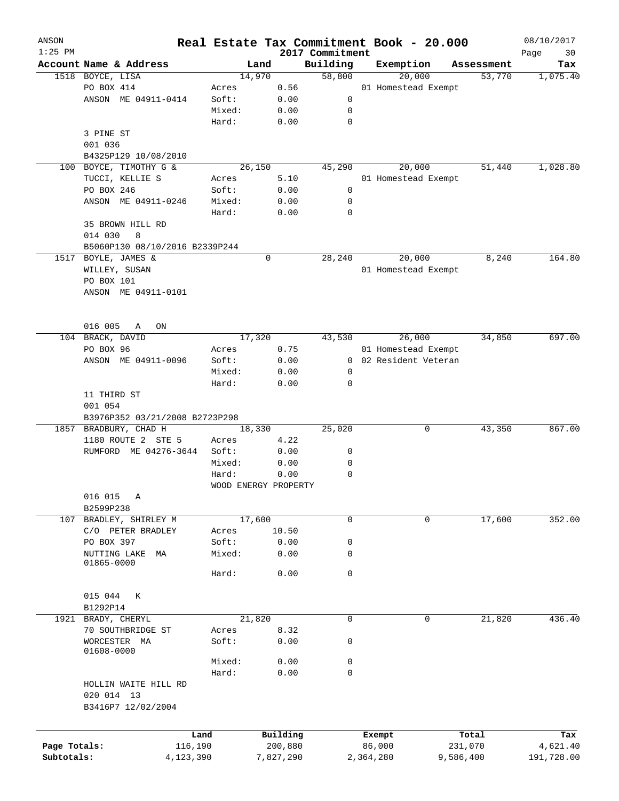| ANSON<br>$1:25$ PM |                                |        |                      | 2017 Commitment |           | Real Estate Tax Commitment Book - 20.000 |            | 08/10/2017<br>Page<br>30 |
|--------------------|--------------------------------|--------|----------------------|-----------------|-----------|------------------------------------------|------------|--------------------------|
|                    | Account Name & Address         |        | Land                 | Building        |           | Exemption                                | Assessment | Tax                      |
|                    | 1518 BOYCE, LISA               |        | 14,970               | 58,800          |           | 20,000                                   | 53,770     | 1,075.40                 |
|                    | PO BOX 414                     | Acres  | 0.56                 |                 |           | 01 Homestead Exempt                      |            |                          |
|                    | ANSON ME 04911-0414            | Soft:  | 0.00                 | 0               |           |                                          |            |                          |
|                    |                                | Mixed: | 0.00                 | 0               |           |                                          |            |                          |
|                    |                                | Hard:  | 0.00                 | 0               |           |                                          |            |                          |
|                    | 3 PINE ST                      |        |                      |                 |           |                                          |            |                          |
|                    | 001 036                        |        |                      |                 |           |                                          |            |                          |
|                    | B4325P129 10/08/2010           |        |                      |                 |           |                                          |            |                          |
| 100                | BOYCE, TIMOTHY G &             |        | 26,150               | 45,290          |           | 20,000                                   | 51,440     | 1,028.80                 |
|                    | TUCCI, KELLIE S                | Acres  | 5.10                 |                 |           | 01 Homestead Exempt                      |            |                          |
|                    | PO BOX 246                     | Soft:  | 0.00                 | 0               |           |                                          |            |                          |
|                    | ANSON ME 04911-0246            | Mixed: | 0.00                 | 0               |           |                                          |            |                          |
|                    |                                | Hard:  | 0.00                 | 0               |           |                                          |            |                          |
|                    | 35 BROWN HILL RD               |        |                      |                 |           |                                          |            |                          |
|                    | 014 030<br>8                   |        |                      |                 |           |                                          |            |                          |
|                    | B5060P130 08/10/2016 B2339P244 |        |                      |                 |           |                                          |            |                          |
| 1517               | BOYLE, JAMES &                 |        | 0                    | 28,240          |           | 20,000                                   | 8,240      | 164.80                   |
|                    | WILLEY, SUSAN                  |        |                      |                 |           | 01 Homestead Exempt                      |            |                          |
|                    | PO BOX 101                     |        |                      |                 |           |                                          |            |                          |
|                    | ANSON ME 04911-0101            |        |                      |                 |           |                                          |            |                          |
|                    |                                |        |                      |                 |           |                                          |            |                          |
|                    |                                |        |                      |                 |           |                                          |            |                          |
|                    | 016 005<br>Α<br>ON             |        |                      |                 |           |                                          |            |                          |
|                    | 104 BRACK, DAVID               |        | 17,320               | 43,530          |           | 26,000                                   | 34,850     | 697.00                   |
|                    | PO BOX 96                      | Acres  | 0.75                 |                 |           | 01 Homestead Exempt                      |            |                          |
|                    | ANSON ME 04911-0096            | Soft:  | 0.00                 |                 |           | 0 02 Resident Veteran                    |            |                          |
|                    |                                | Mixed: | 0.00                 | 0               |           |                                          |            |                          |
|                    |                                | Hard:  | 0.00                 | 0               |           |                                          |            |                          |
|                    | 11 THIRD ST                    |        |                      |                 |           |                                          |            |                          |
|                    | 001 054                        |        |                      |                 |           |                                          |            |                          |
|                    | B3976P352 03/21/2008 B2723P298 |        |                      |                 |           |                                          |            |                          |
| 1857               | BRADBURY, CHAD H               |        | 18,330               | 25,020          |           | 0                                        | 43,350     | 867.00                   |
|                    | 1180 ROUTE 2 STE 5             | Acres  | 4.22                 |                 |           |                                          |            |                          |
|                    | RUMFORD ME 04276-3644          | Soft:  | 0.00                 | 0               |           |                                          |            |                          |
|                    |                                | Mixed: | 0.00                 | 0               |           |                                          |            |                          |
|                    |                                | Hard:  | 0.00                 | 0               |           |                                          |            |                          |
|                    |                                |        | WOOD ENERGY PROPERTY |                 |           |                                          |            |                          |
|                    | 016 015<br>Α                   |        |                      |                 |           |                                          |            |                          |
|                    | B2599P238                      |        |                      |                 |           |                                          |            |                          |
|                    | 107 BRADLEY, SHIRLEY M         |        | 17,600               | $\mathbf 0$     |           | $\mathbf 0$                              | 17,600     | 352.00                   |
|                    | C/O PETER BRADLEY              | Acres  | 10.50                |                 |           |                                          |            |                          |
|                    | PO BOX 397                     | Soft:  | 0.00                 | 0               |           |                                          |            |                          |
|                    | NUTTING LAKE<br>МA             | Mixed: | 0.00                 | 0               |           |                                          |            |                          |
|                    | 01865-0000                     |        |                      |                 |           |                                          |            |                          |
|                    |                                | Hard:  | 0.00                 | 0               |           |                                          |            |                          |
|                    |                                |        |                      |                 |           |                                          |            |                          |
|                    | 015 044<br>К                   |        |                      |                 |           |                                          |            |                          |
|                    | B1292P14                       |        |                      |                 |           |                                          |            |                          |
|                    | 1921 BRADY, CHERYL             |        | 21,820               | $\mathbf 0$     |           | 0                                        | 21,820     | 436.40                   |
|                    | 70 SOUTHBRIDGE ST              | Acres  | 8.32                 |                 |           |                                          |            |                          |
|                    | WORCESTER MA                   | Soft:  | 0.00                 | 0               |           |                                          |            |                          |
|                    | 01608-0000                     | Mixed: | 0.00                 | 0               |           |                                          |            |                          |
|                    |                                | Hard:  | 0.00                 | 0               |           |                                          |            |                          |
|                    | HOLLIN WAITE HILL RD           |        |                      |                 |           |                                          |            |                          |
|                    | 020 014 13                     |        |                      |                 |           |                                          |            |                          |
|                    | B3416P7 12/02/2004             |        |                      |                 |           |                                          |            |                          |
|                    |                                |        |                      |                 |           |                                          |            |                          |
|                    |                                |        |                      |                 |           |                                          |            |                          |
|                    |                                | Land   | Building             |                 |           | Exempt                                   | Total      | Tax                      |
| Page Totals:       | 116,190                        |        | 200,880              |                 |           | 86,000                                   | 231,070    | 4,621.40                 |
| Subtotals:         | 4,123,390                      |        | 7,827,290            |                 | 2,364,280 |                                          | 9,586,400  | 191,728.00               |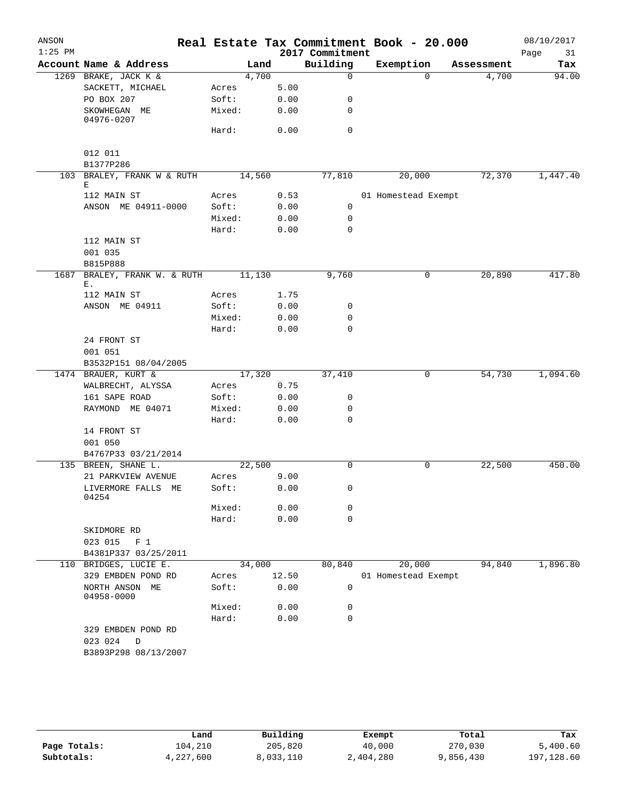| ANSON     |                                         |        |       |                 | Real Estate Tax Commitment Book - 20.000 |            | 08/10/2017 |
|-----------|-----------------------------------------|--------|-------|-----------------|------------------------------------------|------------|------------|
| $1:25$ PM |                                         |        |       | 2017 Commitment |                                          |            | Page<br>31 |
|           | Account Name & Address                  | Land   |       | Building        | Exemption                                | Assessment | Tax        |
|           | 1269 BRAKE, JACK K &                    | 4,700  |       | $\mathbf 0$     | $\Omega$                                 | 4,700      | 94.00      |
|           | SACKETT, MICHAEL                        | Acres  | 5.00  |                 |                                          |            |            |
|           | PO BOX 207                              | Soft:  | 0.00  | 0               |                                          |            |            |
|           | SKOWHEGAN ME<br>04976-0207              | Mixed: | 0.00  | 0               |                                          |            |            |
|           |                                         | Hard:  | 0.00  | 0               |                                          |            |            |
|           | 012 011                                 |        |       |                 |                                          |            |            |
|           | B1377P286                               |        |       |                 |                                          |            |            |
|           | 103 BRALEY, FRANK W & RUTH<br>Е         | 14,560 |       | 77,810          | 20,000                                   | 72,370     | 1,447.40   |
|           | 112 MAIN ST                             | Acres  | 0.53  |                 | 01 Homestead Exempt                      |            |            |
|           | ANSON ME 04911-0000                     | Soft:  | 0.00  | 0               |                                          |            |            |
|           |                                         | Mixed: | 0.00  | 0               |                                          |            |            |
|           |                                         | Hard:  | 0.00  | 0               |                                          |            |            |
|           | 112 MAIN ST                             |        |       |                 |                                          |            |            |
|           | 001 035                                 |        |       |                 |                                          |            |            |
|           | B815P888                                |        |       |                 |                                          |            |            |
| 1687      | BRALEY, FRANK W. & RUTH                 | 11,130 |       | 9,760           | 0                                        | 20,890     | 417.80     |
|           | Е.                                      |        |       |                 |                                          |            |            |
|           | 112 MAIN ST                             | Acres  | 1.75  |                 |                                          |            |            |
|           | ANSON ME 04911                          | Soft:  | 0.00  | 0               |                                          |            |            |
|           |                                         | Mixed: | 0.00  | 0               |                                          |            |            |
|           |                                         | Hard:  | 0.00  | $\mathbf 0$     |                                          |            |            |
|           | 24 FRONT ST                             |        |       |                 |                                          |            |            |
|           | 001 051                                 |        |       |                 |                                          |            |            |
|           | B3532P151 08/04/2005                    |        |       |                 |                                          |            |            |
|           | 1474 BRAUER, KURT &                     | 17,320 |       | 37,410          | 0                                        | 54,730     | 1,094.60   |
|           | WALBRECHT, ALYSSA                       | Acres  | 0.75  |                 |                                          |            |            |
|           | 161 SAPE ROAD                           | Soft:  | 0.00  | 0               |                                          |            |            |
|           | RAYMOND ME 04071                        | Mixed: | 0.00  | 0               |                                          |            |            |
|           |                                         | Hard:  | 0.00  | 0               |                                          |            |            |
|           | 14 FRONT ST                             |        |       |                 |                                          |            |            |
|           | 001 050                                 |        |       |                 |                                          |            |            |
|           | B4767P33 03/21/2014                     |        |       |                 |                                          |            |            |
|           | 135 BREEN, SHANE L.                     | 22,500 |       | $\Omega$        | 0                                        | 22,500     | 450.00     |
|           | 21 PARKVIEW AVENUE                      | Acres  | 9.00  |                 |                                          |            |            |
|           | LIVERMORE FALLS ME<br>04254             | Soft:  | 0.00  | $\mathbf{0}$    |                                          |            |            |
|           |                                         | Mixed: | 0.00  | 0               |                                          |            |            |
|           |                                         | Hard:  | 0.00  | $\mathbf 0$     |                                          |            |            |
|           | SKIDMORE RD                             |        |       |                 |                                          |            |            |
|           | 023 015 F 1                             |        |       |                 |                                          |            |            |
|           | B4381P337 03/25/2011                    |        |       |                 |                                          |            |            |
|           | 110 BRIDGES, LUCIE E.                   | 34,000 |       | 80,840          | 20,000                                   | 94,840     | 1,896.80   |
|           | 329 EMBDEN POND RD                      | Acres  | 12.50 |                 | 01 Homestead Exempt                      |            |            |
|           | NORTH ANSON ME<br>04958-0000            | Soft:  | 0.00  | 0               |                                          |            |            |
|           |                                         | Mixed: | 0.00  | 0               |                                          |            |            |
|           |                                         | Hard:  | 0.00  | 0               |                                          |            |            |
|           | 329 EMBDEN POND RD<br>023 024<br>$\Box$ |        |       |                 |                                          |            |            |
|           | B3893P298 08/13/2007                    |        |       |                 |                                          |            |            |
|           |                                         |        |       |                 |                                          |            |            |
|           |                                         |        |       |                 |                                          |            |            |

|              | Land      | Building  |           | Total     | Tax        |
|--------------|-----------|-----------|-----------|-----------|------------|
|              |           |           | Exempt    |           |            |
| Page Totals: | 104,210   | 205,820   | 40,000    | 270,030   | 5,400.60   |
| Subtotals:   | 4,227,600 | 8,033,110 | 2,404,280 | 9,856,430 | 197,128.60 |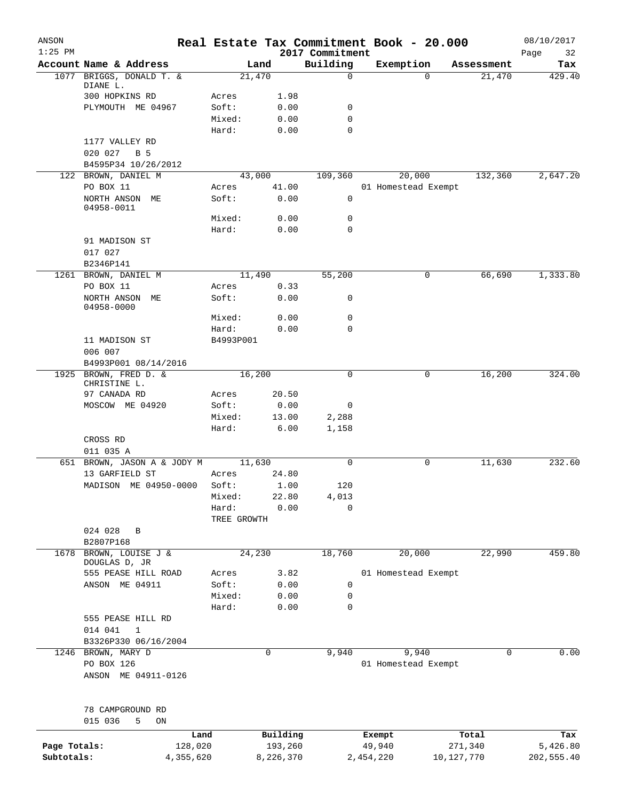| ANSON<br>$1:25$ PM |                                          |                 |              | 2017 Commitment | Real Estate Tax Commitment Book - 20.000 |            |            | 08/10/2017<br>Page<br>32 |
|--------------------|------------------------------------------|-----------------|--------------|-----------------|------------------------------------------|------------|------------|--------------------------|
|                    | Account Name & Address                   |                 | Land         | Building        | Exemption                                |            | Assessment | Tax                      |
|                    | 1077 BRIGGS, DONALD T. &                 | 21,470          |              | $\mathbf 0$     |                                          | $\Omega$   | 21,470     | 429.40                   |
|                    | DIANE L.                                 |                 |              |                 |                                          |            |            |                          |
|                    | 300 HOPKINS RD<br>PLYMOUTH ME 04967      | Acres<br>Soft:  | 1.98<br>0.00 | 0               |                                          |            |            |                          |
|                    |                                          | Mixed:          | 0.00         | $\mathbf 0$     |                                          |            |            |                          |
|                    |                                          | Hard:           | 0.00         | $\mathbf 0$     |                                          |            |            |                          |
|                    | 1177 VALLEY RD                           |                 |              |                 |                                          |            |            |                          |
|                    | 020 027<br>B 5                           |                 |              |                 |                                          |            |            |                          |
|                    | B4595P34 10/26/2012                      |                 |              |                 |                                          |            |            |                          |
|                    | 122 BROWN, DANIEL M                      | 43,000          |              | 109,360         | 20,000                                   |            | 132,360    | 2,647.20                 |
|                    | PO BOX 11                                | Acres           | 41.00        |                 | 01 Homestead Exempt                      |            |            |                          |
|                    | NORTH ANSON ME                           | Soft:           | 0.00         | 0               |                                          |            |            |                          |
|                    | 04958-0011                               | Mixed:          | 0.00         | 0               |                                          |            |            |                          |
|                    |                                          | Hard:           | 0.00         | $\mathbf 0$     |                                          |            |            |                          |
|                    | 91 MADISON ST                            |                 |              |                 |                                          |            |            |                          |
|                    | 017 027                                  |                 |              |                 |                                          |            |            |                          |
|                    | B2346P141                                |                 |              |                 |                                          |            |            |                          |
| 1261               | BROWN, DANIEL M                          | 11,490          |              | 55,200          |                                          | 0          | 66,690     | 1,333.80                 |
|                    | PO BOX 11                                | Acres           | 0.33         |                 |                                          |            |            |                          |
|                    | NORTH ANSON ME                           | Soft:           | 0.00         | 0               |                                          |            |            |                          |
|                    | 04958-0000                               |                 |              |                 |                                          |            |            |                          |
|                    |                                          | Mixed:<br>Hard: | 0.00<br>0.00 | 0<br>0          |                                          |            |            |                          |
|                    | 11 MADISON ST                            | B4993P001       |              |                 |                                          |            |            |                          |
|                    | 006 007                                  |                 |              |                 |                                          |            |            |                          |
|                    | B4993P001 08/14/2016                     |                 |              |                 |                                          |            |            |                          |
|                    | 1925 BROWN, FRED D. &                    | 16,200          |              | 0               |                                          | 0          | 16,200     | 324.00                   |
|                    | CHRISTINE L.                             |                 |              |                 |                                          |            |            |                          |
|                    | 97 CANADA RD                             | Acres           | 20.50        |                 |                                          |            |            |                          |
|                    | MOSCOW ME 04920                          | Soft:           | 0.00         | 0               |                                          |            |            |                          |
|                    |                                          | Mixed:          | 13.00        | 2,288           |                                          |            |            |                          |
|                    |                                          | Hard:           | 6.00         | 1,158           |                                          |            |            |                          |
|                    | CROSS RD                                 |                 |              |                 |                                          |            |            |                          |
|                    | 011 035 A<br>651 BROWN, JASON A & JODY M | 11,630          |              | 0               |                                          | 0          | 11,630     | 232.60                   |
|                    | 13 GARFIELD ST                           | Acres           | 24.80        |                 |                                          |            |            |                          |
|                    | MADISON ME 04950-0000                    | Soft:           | 1.00         | 120             |                                          |            |            |                          |
|                    |                                          | Mixed:          | 22.80        | 4,013           |                                          |            |            |                          |
|                    |                                          | Hard:           | 0.00         | $\mathbf 0$     |                                          |            |            |                          |
|                    |                                          | TREE GROWTH     |              |                 |                                          |            |            |                          |
|                    | 024 028<br>B                             |                 |              |                 |                                          |            |            |                          |
|                    | B2807P168                                |                 |              |                 |                                          |            |            |                          |
| 1678               | BROWN, LOUISE J &                        | 24,230          |              | 18,760          | 20,000                                   |            | 22,990     | 459.80                   |
|                    | DOUGLAS D, JR<br>555 PEASE HILL ROAD     | Acres           | 3.82         |                 | 01 Homestead Exempt                      |            |            |                          |
|                    | ANSON ME 04911                           | Soft:           | 0.00         | 0               |                                          |            |            |                          |
|                    |                                          | Mixed:          | 0.00         | 0               |                                          |            |            |                          |
|                    |                                          | Hard:           | 0.00         | 0               |                                          |            |            |                          |
|                    | 555 PEASE HILL RD                        |                 |              |                 |                                          |            |            |                          |
|                    | 014 041<br>$\mathbf{1}$                  |                 |              |                 |                                          |            |            |                          |
|                    | B3326P330 06/16/2004                     |                 |              |                 |                                          |            |            |                          |
| 1246               | BROWN, MARY D                            |                 | $\mathbf 0$  | 9,940           | 9,940                                    |            | 0          | 0.00                     |
|                    | PO BOX 126                               |                 |              |                 | 01 Homestead Exempt                      |            |            |                          |
|                    | ANSON ME 04911-0126                      |                 |              |                 |                                          |            |            |                          |
|                    |                                          |                 |              |                 |                                          |            |            |                          |
|                    | 78 CAMPGROUND RD                         |                 |              |                 |                                          |            |            |                          |
|                    | 015 036<br>5<br>ON                       |                 |              |                 |                                          |            |            |                          |
|                    | Land                                     |                 | Building     |                 | Exempt                                   |            | Total      | Tax                      |
| Page Totals:       | 128,020                                  |                 | 193,260      |                 | 49,940                                   |            | 271,340    | 5,426.80                 |
| Subtotals:         | 4,355,620                                |                 | 8,226,370    |                 | 2,454,220                                | 10,127,770 |            | 202,555.40               |
|                    |                                          |                 |              |                 |                                          |            |            |                          |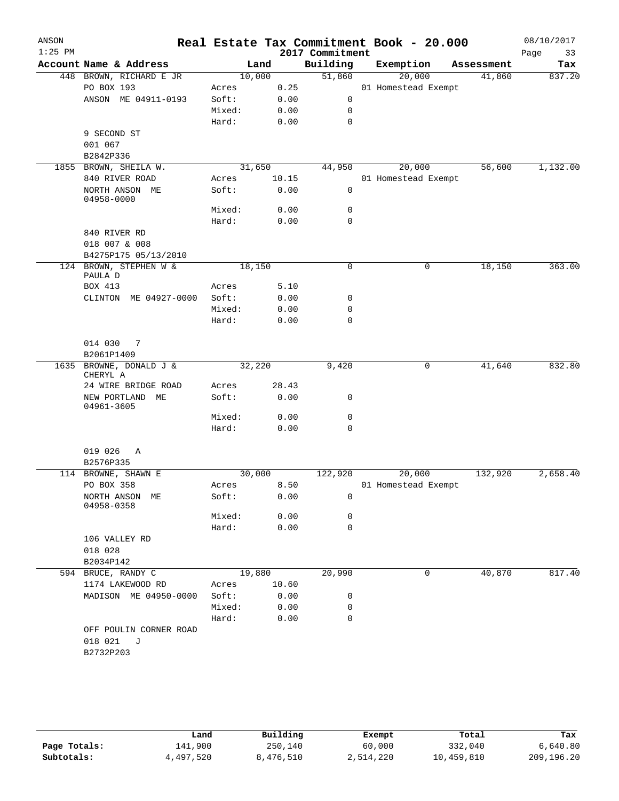| ANSON<br>$1:25$ PM |                                |        |       | 2017 Commitment | Real Estate Tax Commitment Book - 20.000 |            | 08/10/2017<br>Page<br>33 |
|--------------------|--------------------------------|--------|-------|-----------------|------------------------------------------|------------|--------------------------|
|                    | Account Name & Address         | Land   |       | Building        | Exemption                                | Assessment | Tax                      |
|                    | 448 BROWN, RICHARD E JR        | 10,000 |       | 51,860          | 20,000                                   | 41,860     | 837.20                   |
|                    | PO BOX 193                     | Acres  | 0.25  |                 | 01 Homestead Exempt                      |            |                          |
|                    | ANSON ME 04911-0193            | Soft:  | 0.00  | 0               |                                          |            |                          |
|                    |                                | Mixed: | 0.00  | 0               |                                          |            |                          |
|                    |                                | Hard:  | 0.00  | $\mathbf 0$     |                                          |            |                          |
|                    | 9 SECOND ST                    |        |       |                 |                                          |            |                          |
|                    | 001 067                        |        |       |                 |                                          |            |                          |
|                    | B2842P336                      |        |       |                 |                                          |            |                          |
|                    | 1855 BROWN, SHEILA W.          | 31,650 |       | 44,950          | 20,000                                   | 56,600     | 1,132.00                 |
|                    | 840 RIVER ROAD                 | Acres  | 10.15 |                 | 01 Homestead Exempt                      |            |                          |
|                    | NORTH ANSON ME<br>04958-0000   | Soft:  | 0.00  | 0               |                                          |            |                          |
|                    |                                | Mixed: | 0.00  | 0               |                                          |            |                          |
|                    |                                | Hard:  | 0.00  | $\mathbf 0$     |                                          |            |                          |
|                    | 840 RIVER RD                   |        |       |                 |                                          |            |                          |
|                    | 018 007 & 008                  |        |       |                 |                                          |            |                          |
|                    | B4275P175 05/13/2010           |        |       |                 |                                          |            |                          |
|                    | 124 BROWN, STEPHEN W &         | 18,150 |       | 0               | 0                                        | 18,150     | 363.00                   |
|                    | PAULA D                        |        |       |                 |                                          |            |                          |
|                    | BOX 413                        | Acres  | 5.10  |                 |                                          |            |                          |
|                    | CLINTON ME 04927-0000          | Soft:  | 0.00  | 0               |                                          |            |                          |
|                    |                                | Mixed: | 0.00  | 0               |                                          |            |                          |
|                    |                                | Hard:  | 0.00  | $\mathbf 0$     |                                          |            |                          |
|                    |                                |        |       |                 |                                          |            |                          |
|                    | 014 030<br>$\overline{7}$      |        |       |                 |                                          |            |                          |
|                    | B2061P1409                     |        |       |                 |                                          |            |                          |
| 1635               | BROWNE, DONALD J &<br>CHERYL A | 32,220 |       | 9,420           | 0                                        | 41,640     | 832.80                   |
|                    | 24 WIRE BRIDGE ROAD            | Acres  | 28.43 |                 |                                          |            |                          |
|                    | NEW PORTLAND ME<br>04961-3605  | Soft:  | 0.00  | 0               |                                          |            |                          |
|                    |                                | Mixed: | 0.00  | 0               |                                          |            |                          |
|                    |                                | Hard:  | 0.00  | $\mathbf 0$     |                                          |            |                          |
|                    | 019 026<br>Α                   |        |       |                 |                                          |            |                          |
|                    | B2576P335                      |        |       |                 |                                          |            |                          |
|                    | 114 BROWNE, SHAWN E            | 30,000 |       | 122,920         | 20,000                                   | 132,920    | 2,658.40                 |
|                    | PO BOX 358                     | Acres  | 8.50  |                 | 01 Homestead Exempt                      |            |                          |
|                    | NORTH ANSON ME<br>04958-0358   | Soft:  | 0.00  | 0               |                                          |            |                          |
|                    |                                | Mixed: | 0.00  | 0               |                                          |            |                          |
|                    |                                | Hard:  | 0.00  | $\mathbf 0$     |                                          |            |                          |
|                    | 106 VALLEY RD                  |        |       |                 |                                          |            |                          |
|                    | 018 028                        |        |       |                 |                                          |            |                          |
|                    | B2034P142                      |        |       |                 |                                          |            |                          |
|                    | 594 BRUCE, RANDY C             | 19,880 |       | 20,990          | 0                                        | 40,870     | 817.40                   |
|                    | 1174 LAKEWOOD RD               | Acres  | 10.60 |                 |                                          |            |                          |
|                    | MADISON ME 04950-0000          | Soft:  | 0.00  | 0               |                                          |            |                          |
|                    |                                | Mixed: | 0.00  | 0               |                                          |            |                          |
|                    |                                | Hard:  | 0.00  | $\mathbf 0$     |                                          |            |                          |
|                    | OFF POULIN CORNER ROAD         |        |       |                 |                                          |            |                          |
|                    | 018 021<br>J                   |        |       |                 |                                          |            |                          |
|                    | B2732P203                      |        |       |                 |                                          |            |                          |
|                    |                                |        |       |                 |                                          |            |                          |

|              | Land      | Building  | Exempt    | Total      | Tax        |
|--------------|-----------|-----------|-----------|------------|------------|
| Page Totals: | 141,900   | 250,140   | 60,000    | 332,040    | 6,640.80   |
| Subtotals:   | 4,497,520 | 8,476,510 | 2,514,220 | 10,459,810 | 209,196.20 |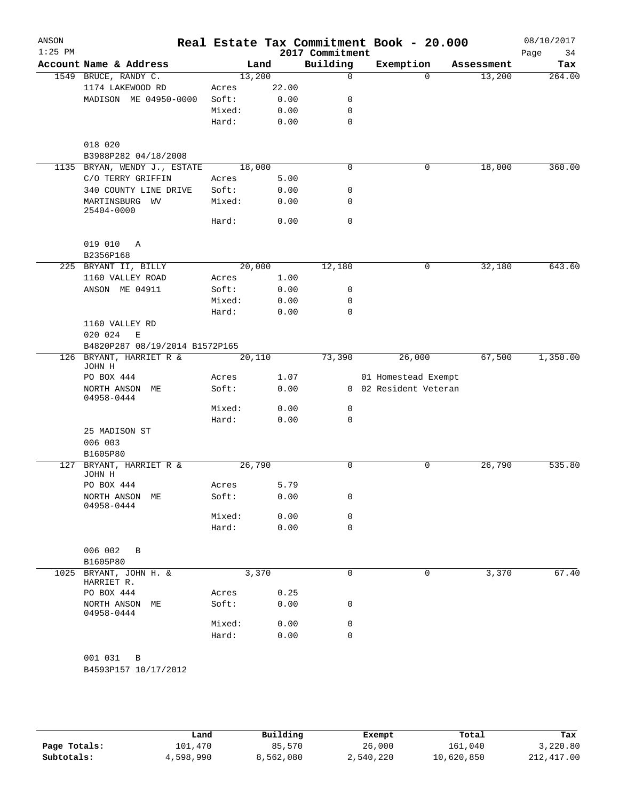| ANSON<br>$1:25$ PM |                                            |                |              | 2017 Commitment | Real Estate Tax Commitment Book - 20.000 |            | 08/10/2017<br>34<br>Page |
|--------------------|--------------------------------------------|----------------|--------------|-----------------|------------------------------------------|------------|--------------------------|
|                    | Account Name & Address                     |                | Land         | Building        | Exemption                                | Assessment | Tax                      |
|                    | 1549 BRUCE, RANDY C.                       | 13,200         |              | $\mathbf 0$     | $\Omega$                                 | 13,200     | 264.00                   |
|                    | 1174 LAKEWOOD RD                           | Acres          | 22.00        |                 |                                          |            |                          |
|                    | MADISON ME 04950-0000                      | Soft:          | 0.00         | 0               |                                          |            |                          |
|                    |                                            | Mixed:         | 0.00         | 0               |                                          |            |                          |
|                    |                                            | Hard:          | 0.00         | $\mathbf 0$     |                                          |            |                          |
|                    |                                            |                |              |                 |                                          |            |                          |
|                    | 018 020                                    |                |              |                 |                                          |            |                          |
|                    | B3988P282 04/18/2008                       |                |              |                 |                                          |            |                          |
|                    | 1135 BRYAN, WENDY J., ESTATE               | 18,000         |              | $\mathbf 0$     | 0                                        | 18,000     | 360.00                   |
|                    | C/O TERRY GRIFFIN<br>340 COUNTY LINE DRIVE | Acres<br>Soft: | 5.00<br>0.00 | 0               |                                          |            |                          |
|                    | MARTINSBURG WV                             | Mixed:         | 0.00         | $\mathbf 0$     |                                          |            |                          |
|                    | 25404-0000                                 | Hard:          | 0.00         | $\mathbf 0$     |                                          |            |                          |
|                    | 019 010<br>$\mathbb{A}$                    |                |              |                 |                                          |            |                          |
|                    | B2356P168                                  |                |              |                 |                                          |            |                          |
|                    | 225 BRYANT II, BILLY                       | 20,000         |              | 12,180          | 0                                        | 32,180     | 643.60                   |
|                    | 1160 VALLEY ROAD                           | Acres          | 1.00         |                 |                                          |            |                          |
|                    | ANSON ME 04911                             | Soft:          | 0.00         | 0               |                                          |            |                          |
|                    |                                            | Mixed:         | 0.00         | $\mathbf 0$     |                                          |            |                          |
|                    |                                            | Hard:          | 0.00         | $\mathbf 0$     |                                          |            |                          |
|                    | 1160 VALLEY RD                             |                |              |                 |                                          |            |                          |
|                    | 020 024<br>E                               |                |              |                 |                                          |            |                          |
|                    | B4820P287 08/19/2014 B1572P165             |                |              |                 |                                          |            |                          |
|                    | 126 BRYANT, HARRIET R &                    | 20,110         |              | 73,390          | 26,000                                   | 67,500     | 1,350.00                 |
|                    | JOHN H<br>PO BOX 444                       | Acres          | 1.07         |                 | 01 Homestead Exempt                      |            |                          |
|                    | NORTH ANSON ME                             | Soft:          | 0.00         |                 | 0 02 Resident Veteran                    |            |                          |
|                    | 04958-0444                                 |                |              |                 |                                          |            |                          |
|                    |                                            | Mixed:         | 0.00         | 0               |                                          |            |                          |
|                    |                                            | Hard:          | 0.00         | $\mathbf 0$     |                                          |            |                          |
|                    | 25 MADISON ST                              |                |              |                 |                                          |            |                          |
|                    | 006 003                                    |                |              |                 |                                          |            |                          |
|                    | B1605P80                                   |                |              |                 |                                          |            |                          |
| 127                | BRYANT, HARRIET R &<br>JOHN H              | 26,790         |              | $\mathbf 0$     | 0                                        | 26,790     | 535.80                   |
|                    | PO BOX 444                                 | Acres          | 5.79         |                 |                                          |            |                          |
|                    | NORTH ANSON ME                             | Soft:          | 0.00         | $\mathbf 0$     |                                          |            |                          |
|                    | 04958-0444                                 |                |              |                 |                                          |            |                          |
|                    |                                            | Mixed:         | 0.00         | 0               |                                          |            |                          |
|                    |                                            | Hard:          | 0.00         | $\mathbf 0$     |                                          |            |                          |
|                    |                                            |                |              |                 |                                          |            |                          |
|                    | 006 002<br>B                               |                |              |                 |                                          |            |                          |
|                    | B1605P80<br>1025 BRYANT, JOHN H. &         | 3,370          |              | $\mathbf 0$     |                                          |            |                          |
|                    | HARRIET R.                                 |                |              |                 | 0                                        | 3,370      | 67.40                    |
|                    | PO BOX 444                                 | Acres          | 0.25         |                 |                                          |            |                          |
|                    | NORTH ANSON ME<br>04958-0444               | Soft:          | 0.00         | 0               |                                          |            |                          |
|                    |                                            | Mixed:         | 0.00         | $\mathbf 0$     |                                          |            |                          |
|                    |                                            | Hard:          | 0.00         | $\mathbf 0$     |                                          |            |                          |
|                    |                                            |                |              |                 |                                          |            |                          |
|                    | 001 031<br>В                               |                |              |                 |                                          |            |                          |
|                    | B4593P157 10/17/2012                       |                |              |                 |                                          |            |                          |
|                    |                                            |                |              |                 |                                          |            |                          |

|              | Land      | Building  | Exempt    | Total      | Tax        |
|--------------|-----------|-----------|-----------|------------|------------|
| Page Totals: | 101,470   | 85,570    | 26,000    | 161,040    | 3,220.80   |
| Subtotals:   | 4,598,990 | 8,562,080 | 2,540,220 | 10,620,850 | 212,417.00 |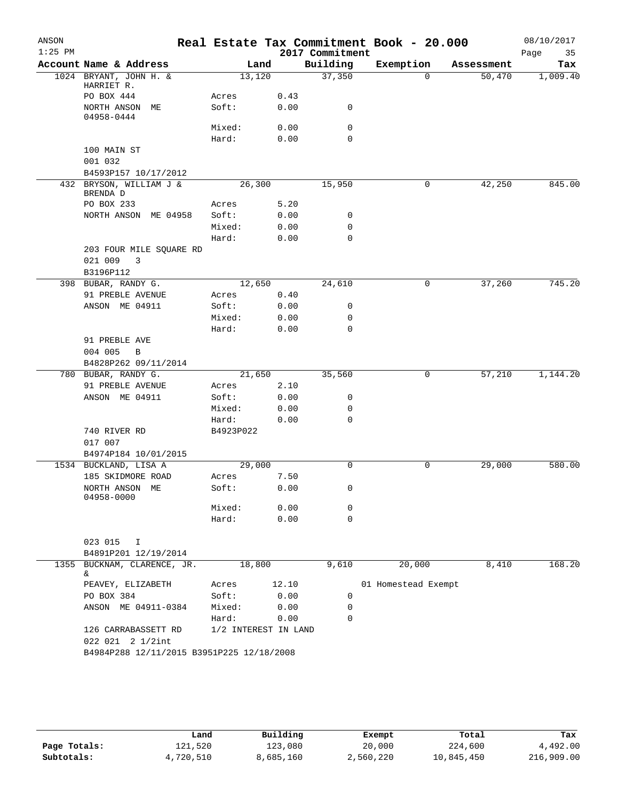| ANSON     |                                           |                      |       |                 | Real Estate Tax Commitment Book - 20.000 |            | 08/10/2017 |
|-----------|-------------------------------------------|----------------------|-------|-----------------|------------------------------------------|------------|------------|
| $1:25$ PM |                                           |                      |       | 2017 Commitment |                                          |            | Page<br>35 |
|           | Account Name & Address                    | Land                 |       | Building        | Exemption                                | Assessment | Tax        |
|           | 1024 BRYANT, JOHN H. &<br>HARRIET R.      | 13,120               |       | 37,350          | $\Omega$                                 | 50,470     | 1,009.40   |
|           | PO BOX 444                                | Acres                | 0.43  |                 |                                          |            |            |
|           | NORTH ANSON ME<br>04958-0444              | Soft:                | 0.00  | 0               |                                          |            |            |
|           |                                           | Mixed:               | 0.00  | $\mathbf 0$     |                                          |            |            |
|           |                                           | Hard:                | 0.00  | $\mathbf 0$     |                                          |            |            |
|           | 100 MAIN ST                               |                      |       |                 |                                          |            |            |
|           | 001 032                                   |                      |       |                 |                                          |            |            |
|           | B4593P157 10/17/2012                      |                      |       |                 |                                          |            |            |
|           | 432 BRYSON, WILLIAM J &                   | 26,300               |       | 15,950          | 0                                        | 42,250     | 845.00     |
|           | BRENDA D<br>PO BOX 233                    |                      | 5.20  |                 |                                          |            |            |
|           | NORTH ANSON ME 04958                      | Acres<br>Soft:       | 0.00  | 0               |                                          |            |            |
|           |                                           | Mixed:               | 0.00  | $\mathbf 0$     |                                          |            |            |
|           |                                           | Hard:                | 0.00  | 0               |                                          |            |            |
|           | 203 FOUR MILE SQUARE RD                   |                      |       |                 |                                          |            |            |
|           | 021 009<br>3                              |                      |       |                 |                                          |            |            |
|           | B3196P112                                 |                      |       |                 |                                          |            |            |
|           | 398 BUBAR, RANDY G.                       | 12,650               |       | 24,610          | 0                                        | 37,260     | 745.20     |
|           | 91 PREBLE AVENUE                          | Acres                | 0.40  |                 |                                          |            |            |
|           | ANSON ME 04911                            | Soft:                | 0.00  | 0               |                                          |            |            |
|           |                                           | Mixed:               | 0.00  | $\mathbf 0$     |                                          |            |            |
|           |                                           | Hard:                | 0.00  | 0               |                                          |            |            |
|           | 91 PREBLE AVE                             |                      |       |                 |                                          |            |            |
|           | 004 005<br>B                              |                      |       |                 |                                          |            |            |
|           | B4828P262 09/11/2014                      |                      |       |                 |                                          |            |            |
|           | 780 BUBAR, RANDY G.                       | 21,650               |       | 35,560          | 0                                        | 57,210     | 1,144.20   |
|           | 91 PREBLE AVENUE                          | Acres                | 2.10  |                 |                                          |            |            |
|           | ANSON ME 04911                            | Soft:                | 0.00  | 0               |                                          |            |            |
|           |                                           | Mixed:               | 0.00  | $\mathbf 0$     |                                          |            |            |
|           |                                           | Hard:                | 0.00  | 0               |                                          |            |            |
|           | 740 RIVER RD                              | B4923P022            |       |                 |                                          |            |            |
|           | 017 007                                   |                      |       |                 |                                          |            |            |
|           | B4974P184 10/01/2015                      |                      |       |                 |                                          |            |            |
|           | 1534 BUCKLAND, LISA A                     | 29,000               |       | $\Omega$        | 0                                        | 29,000     | 580.00     |
|           | 185 SKIDMORE ROAD                         | Acres                | 7.50  |                 |                                          |            |            |
|           | NORTH ANSON ME<br>04958-0000              | Soft:                | 0.00  | 0               |                                          |            |            |
|           |                                           | Mixed:               | 0.00  | 0               |                                          |            |            |
|           |                                           | Hard:                | 0.00  | $\mathbf 0$     |                                          |            |            |
|           | 023 015<br>I<br>B4891P201 12/19/2014      |                      |       |                 |                                          |            |            |
| 1355      | BUCKNAM, CLARENCE, JR.                    | 18,800               |       | 9,610           | 20,000                                   | 8,410      | 168.20     |
|           | &.<br>PEAVEY, ELIZABETH                   | Acres                | 12.10 |                 | 01 Homestead Exempt                      |            |            |
|           | PO BOX 384                                | Soft:                | 0.00  | 0               |                                          |            |            |
|           | ANSON ME 04911-0384                       | Mixed:               | 0.00  | 0               |                                          |            |            |
|           |                                           | Hard:                | 0.00  | 0               |                                          |            |            |
|           | 126 CARRABASSETT RD                       | 1/2 INTEREST IN LAND |       |                 |                                          |            |            |
|           | 022 021 2 1/2int                          |                      |       |                 |                                          |            |            |
|           | B4984P288 12/11/2015 B3951P225 12/18/2008 |                      |       |                 |                                          |            |            |

|              | Land      | Building  | Exempt    | Total      | Tax        |
|--------------|-----------|-----------|-----------|------------|------------|
| Page Totals: | 121,520   | 123,080   | 20,000    | 224,600    | 4,492.00   |
| Subtotals:   | 4,720,510 | 8,685,160 | 2,560,220 | 10,845,450 | 216,909.00 |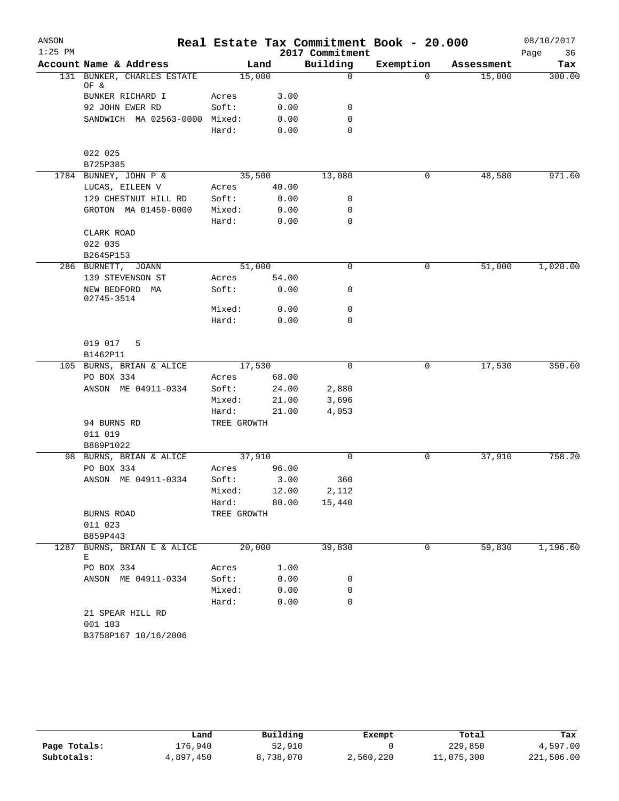| ANSON     |                                    |             |       |                 | Real Estate Tax Commitment Book - 20.000 |            | 08/10/2017 |
|-----------|------------------------------------|-------------|-------|-----------------|------------------------------------------|------------|------------|
| $1:25$ PM |                                    |             |       | 2017 Commitment |                                          |            | Page<br>36 |
|           | Account Name & Address             |             | Land  | Building        | Exemption                                | Assessment | Tax        |
|           | 131 BUNKER, CHARLES ESTATE<br>OF & | 15,000      |       | $\mathbf 0$     | $\Omega$                                 | 15,000     | 300.00     |
|           | BUNKER RICHARD I                   | Acres       | 3.00  |                 |                                          |            |            |
|           | 92 JOHN EWER RD                    | Soft:       | 0.00  | 0               |                                          |            |            |
|           | SANDWICH MA 02563-0000 Mixed:      |             | 0.00  | 0               |                                          |            |            |
|           |                                    | Hard:       | 0.00  | 0               |                                          |            |            |
|           | 022 025                            |             |       |                 |                                          |            |            |
|           | B725P385                           |             |       |                 |                                          |            |            |
|           | 1784 BUNNEY, JOHN P &              | 35,500      |       | 13,080          | 0                                        | 48,580     | 971.60     |
|           | LUCAS, EILEEN V                    | Acres       | 40.00 |                 |                                          |            |            |
|           | 129 CHESTNUT HILL RD               | Soft:       | 0.00  | 0               |                                          |            |            |
|           | GROTON MA 01450-0000               | Mixed:      | 0.00  | 0               |                                          |            |            |
|           |                                    | Hard:       | 0.00  | $\mathbf 0$     |                                          |            |            |
|           | CLARK ROAD                         |             |       |                 |                                          |            |            |
|           | 022 035                            |             |       |                 |                                          |            |            |
|           | B2645P153                          |             |       |                 |                                          |            |            |
|           | 286 BURNETT, JOANN                 | 51,000      |       | 0               | 0                                        | 51,000     | 1,020.00   |
|           | 139 STEVENSON ST                   | Acres       | 54.00 |                 |                                          |            |            |
|           | NEW BEDFORD MA<br>02745-3514       | Soft:       | 0.00  | 0               |                                          |            |            |
|           |                                    | Mixed:      | 0.00  | 0               |                                          |            |            |
|           |                                    | Hard:       | 0.00  | 0               |                                          |            |            |
|           | 019 017<br>5<br>B1462P11           |             |       |                 |                                          |            |            |
|           | 105 BURNS, BRIAN & ALICE           | 17,530      |       | 0               | 0                                        | 17,530     | 350.60     |
|           | PO BOX 334                         | Acres       | 68.00 |                 |                                          |            |            |
|           | ANSON ME 04911-0334                | Soft:       | 24.00 | 2,880           |                                          |            |            |
|           |                                    | Mixed:      | 21.00 | 3,696           |                                          |            |            |
|           |                                    | Hard:       | 21.00 | 4,053           |                                          |            |            |
|           | 94 BURNS RD                        | TREE GROWTH |       |                 |                                          |            |            |
|           | 011 019                            |             |       |                 |                                          |            |            |
|           | B889P1022                          |             |       |                 |                                          |            |            |
|           | 98 BURNS, BRIAN & ALICE            | 37,910      |       | $\Omega$        | 0                                        | 37,910     | 758.20     |
|           | PO BOX 334                         | Acres       | 96.00 |                 |                                          |            |            |
|           | ANSON ME 04911-0334                | Soft:       | 3.00  | 360             |                                          |            |            |
|           |                                    | Mixed:      | 12.00 | 2,112           |                                          |            |            |
|           |                                    | Hard:       | 80.00 | 15,440          |                                          |            |            |
|           | BURNS ROAD                         | TREE GROWTH |       |                 |                                          |            |            |
|           | 011 023                            |             |       |                 |                                          |            |            |
|           | B859P443                           |             |       |                 |                                          |            |            |
| 1287      | BURNS, BRIAN E & ALICE<br>Е        | 20,000      |       | 39,830          | $\mathbf 0$                              | 59,830     | 1,196.60   |
|           | PO BOX 334                         | Acres       | 1.00  |                 |                                          |            |            |
|           | ANSON ME 04911-0334                | Soft:       | 0.00  | 0               |                                          |            |            |
|           |                                    | Mixed:      | 0.00  | 0               |                                          |            |            |
|           |                                    | Hard:       | 0.00  | 0               |                                          |            |            |
|           | 21 SPEAR HILL RD                   |             |       |                 |                                          |            |            |
|           | 001 103                            |             |       |                 |                                          |            |            |
|           | B3758P167 10/16/2006               |             |       |                 |                                          |            |            |

|              | Land      | Building  |           | Total      | Tax        |
|--------------|-----------|-----------|-----------|------------|------------|
|              |           |           | Exempt    |            |            |
| Page Totals: | 176,940   | 52,910    |           | 229,850    | 4,597.00   |
| Subtotals:   | 4,897,450 | 8,738,070 | 2,560,220 | 11,075,300 | 221,506.00 |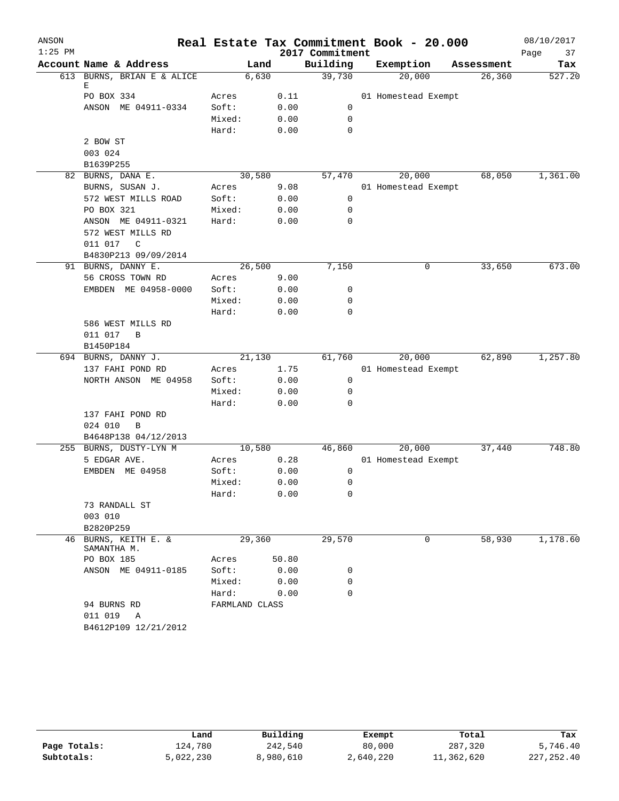| ANSON     |                                     |                |        |       |                 | Real Estate Tax Commitment Book - 20.000 |            | 08/10/2017 |
|-----------|-------------------------------------|----------------|--------|-------|-----------------|------------------------------------------|------------|------------|
| $1:25$ PM |                                     |                |        |       | 2017 Commitment |                                          |            | 37<br>Page |
|           | Account Name & Address              |                | Land   |       | Building        | Exemption                                | Assessment | Tax        |
|           | 613 BURNS, BRIAN E & ALICE          |                | 6,630  |       | 39,730          | 20,000                                   | 26,360     | 527.20     |
|           | Е<br>PO BOX 334                     | Acres          |        | 0.11  |                 | 01 Homestead Exempt                      |            |            |
|           | ANSON ME 04911-0334                 | Soft:          |        | 0.00  | 0               |                                          |            |            |
|           |                                     | Mixed:         |        | 0.00  | 0               |                                          |            |            |
|           |                                     | Hard:          |        | 0.00  | 0               |                                          |            |            |
|           | 2 BOW ST                            |                |        |       |                 |                                          |            |            |
|           | 003 024                             |                |        |       |                 |                                          |            |            |
|           | B1639P255                           |                |        |       |                 |                                          |            |            |
|           | 82 BURNS, DANA E.                   |                | 30,580 |       | 57,470          | 20,000                                   | 68,050     | 1,361.00   |
|           | BURNS, SUSAN J.                     | Acres          |        | 9.08  |                 | 01 Homestead Exempt                      |            |            |
|           | 572 WEST MILLS ROAD                 | Soft:          |        | 0.00  | 0               |                                          |            |            |
|           | PO BOX 321                          | Mixed:         |        | 0.00  | $\mathbf 0$     |                                          |            |            |
|           | ANSON ME 04911-0321                 | Hard:          |        | 0.00  | 0               |                                          |            |            |
|           | 572 WEST MILLS RD                   |                |        |       |                 |                                          |            |            |
|           | 011 017<br>$\mathsf{C}$             |                |        |       |                 |                                          |            |            |
|           | B4830P213 09/09/2014                |                |        |       |                 |                                          |            |            |
|           | 91 BURNS, DANNY E.                  |                | 26,500 |       | 7,150           | 0                                        | 33,650     | 673.00     |
|           | 56 CROSS TOWN RD                    | Acres          |        | 9.00  |                 |                                          |            |            |
|           | EMBDEN ME 04958-0000                | Soft:          |        | 0.00  | 0               |                                          |            |            |
|           |                                     | Mixed:         |        | 0.00  | $\mathbf 0$     |                                          |            |            |
|           |                                     | Hard:          |        | 0.00  | 0               |                                          |            |            |
|           | 586 WEST MILLS RD                   |                |        |       |                 |                                          |            |            |
|           | 011 017<br>B                        |                |        |       |                 |                                          |            |            |
|           | B1450P184                           |                |        |       |                 |                                          |            |            |
|           | 694 BURNS, DANNY J.                 |                | 21,130 |       | 61,760          | 20,000                                   | 62,890     | 1,257.80   |
|           | 137 FAHI POND RD                    | Acres          |        | 1.75  |                 | 01 Homestead Exempt                      |            |            |
|           | NORTH ANSON ME 04958                | Soft:          |        | 0.00  | 0               |                                          |            |            |
|           |                                     | Mixed:         |        | 0.00  | 0               |                                          |            |            |
|           |                                     | Hard:          |        | 0.00  | 0               |                                          |            |            |
|           | 137 FAHI POND RD                    |                |        |       |                 |                                          |            |            |
|           | 024 010<br>B                        |                |        |       |                 |                                          |            |            |
|           | B4648P138 04/12/2013                |                |        |       |                 |                                          |            |            |
|           | 255 BURNS, DUSTY-LYN M              |                | 10,580 |       | 46,860          | 20,000                                   | 37,440     | 748.80     |
|           | 5 EDGAR AVE.                        | Acres          |        | 0.28  |                 | 01 Homestead Exempt                      |            |            |
|           | EMBDEN ME 04958                     | Soft:          |        | 0.00  | 0               |                                          |            |            |
|           |                                     | Mixed:         |        | 0.00  | 0               |                                          |            |            |
|           |                                     | Hard:          |        | 0.00  | 0               |                                          |            |            |
|           | 73 RANDALL ST                       |                |        |       |                 |                                          |            |            |
|           | 003 010                             |                |        |       |                 |                                          |            |            |
|           | B2820P259                           |                |        |       |                 |                                          |            |            |
|           | 46 BURNS, KEITH E. &<br>SAMANTHA M. |                | 29,360 |       | 29,570          | 0                                        | 58,930     | 1,178.60   |
|           | PO BOX 185                          | Acres          |        | 50.80 |                 |                                          |            |            |
|           | ANSON ME 04911-0185                 | Soft:          |        | 0.00  | 0               |                                          |            |            |
|           |                                     | Mixed:         |        | 0.00  | 0               |                                          |            |            |
|           |                                     | Hard:          |        | 0.00  | $\Omega$        |                                          |            |            |
|           | 94 BURNS RD                         | FARMLAND CLASS |        |       |                 |                                          |            |            |
|           | 011 019<br>Α                        |                |        |       |                 |                                          |            |            |
|           | B4612P109 12/21/2012                |                |        |       |                 |                                          |            |            |

|              | Land      | Building  | Exempt    | Total      | Tax          |
|--------------|-----------|-----------|-----------|------------|--------------|
| Page Totals: | 124,780   | 242,540   | 80,000    | 287,320    | 5,746.40     |
| Subtotals:   | 5,022,230 | 8,980,610 | 2,640,220 | 11,362,620 | 227, 252, 40 |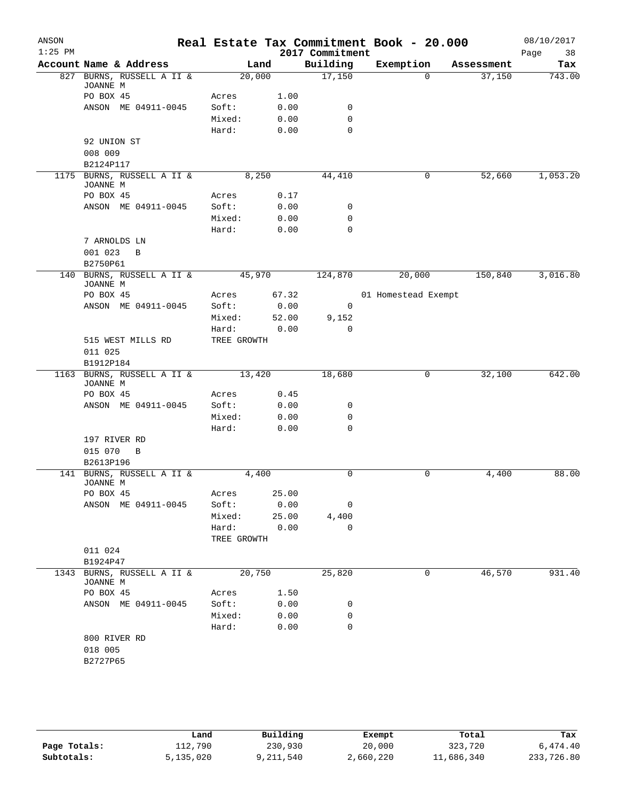| ANSON<br>$1:25$ PM |                                        |             |        | 2017 Commitment | Real Estate Tax Commitment Book - 20.000 |            | 08/10/2017<br>38<br>Page |
|--------------------|----------------------------------------|-------------|--------|-----------------|------------------------------------------|------------|--------------------------|
|                    | Account Name & Address                 |             | Land   | Building        | Exemption                                | Assessment | Tax                      |
|                    | 827 BURNS, RUSSELL A II &<br>JOANNE M  |             | 20,000 | 17,150          | $\Omega$                                 | 37,150     | 743.00                   |
|                    | PO BOX 45                              | Acres       | 1.00   |                 |                                          |            |                          |
|                    | ANSON ME 04911-0045                    | Soft:       | 0.00   | 0               |                                          |            |                          |
|                    |                                        | Mixed:      | 0.00   | 0               |                                          |            |                          |
|                    |                                        | Hard:       | 0.00   | $\mathbf 0$     |                                          |            |                          |
|                    | 92 UNION ST<br>008 009                 |             |        |                 |                                          |            |                          |
|                    | B2124P117                              |             |        |                 |                                          |            |                          |
|                    | 1175 BURNS, RUSSELL A II &<br>JOANNE M |             | 8,250  | 44,410          | 0                                        | 52,660     | 1,053.20                 |
|                    | PO BOX 45                              | Acres       | 0.17   |                 |                                          |            |                          |
|                    | ANSON ME 04911-0045                    | Soft:       | 0.00   | 0               |                                          |            |                          |
|                    |                                        | Mixed:      | 0.00   | 0               |                                          |            |                          |
|                    |                                        | Hard:       | 0.00   | $\mathbf 0$     |                                          |            |                          |
|                    | 7 ARNOLDS LN<br>001 023<br>$\mathbf B$ |             |        |                 |                                          |            |                          |
|                    | B2750P61<br>140 BURNS, RUSSELL A II &  |             | 45,970 | 124,870         | 20,000                                   | 150,840    | 3,016.80                 |
|                    | JOANNE M                               |             |        |                 |                                          |            |                          |
|                    | PO BOX 45                              | Acres       | 67.32  |                 | 01 Homestead Exempt                      |            |                          |
|                    | ANSON ME 04911-0045                    | Soft:       | 0.00   | 0               |                                          |            |                          |
|                    |                                        | Mixed:      | 52.00  | 9,152           |                                          |            |                          |
|                    |                                        | Hard:       | 0.00   | 0               |                                          |            |                          |
|                    | 515 WEST MILLS RD                      | TREE GROWTH |        |                 |                                          |            |                          |
|                    | 011 025<br>B1912P184                   |             |        |                 |                                          |            |                          |
|                    | 1163 BURNS, RUSSELL A II &<br>JOANNE M |             | 13,420 | 18,680          | 0                                        | 32,100     | 642.00                   |
|                    | PO BOX 45                              | Acres       | 0.45   |                 |                                          |            |                          |
|                    | ANSON ME 04911-0045                    | Soft:       | 0.00   | 0               |                                          |            |                          |
|                    |                                        | Mixed:      | 0.00   | 0               |                                          |            |                          |
|                    |                                        | Hard:       | 0.00   | $\mathbf 0$     |                                          |            |                          |
|                    | 197 RIVER RD                           |             |        |                 |                                          |            |                          |
|                    | 015 070<br>B                           |             |        |                 |                                          |            |                          |
|                    | B2613P196                              |             |        |                 |                                          |            |                          |
|                    | 141 BURNS, RUSSELL A II &<br>JOANNE M  |             | 4,400  | 0               | 0                                        | 4,400      | 88.00                    |
|                    | PO BOX 45                              | Acres       | 25.00  |                 |                                          |            |                          |
|                    | ANSON ME 04911-0045                    | Soft:       | 0.00   | 0               |                                          |            |                          |
|                    |                                        | Mixed:      | 25.00  | 4,400           |                                          |            |                          |
|                    |                                        | Hard:       | 0.00   | 0               |                                          |            |                          |
|                    |                                        | TREE GROWTH |        |                 |                                          |            |                          |
|                    | 011 024<br>B1924P47                    |             |        |                 |                                          |            |                          |
| 1343               | BURNS, RUSSELL A II &<br>JOANNE M      |             | 20,750 | 25,820          | 0                                        | 46,570     | 931.40                   |
|                    | PO BOX 45                              | Acres       | 1.50   |                 |                                          |            |                          |
|                    | ANSON ME 04911-0045                    | Soft:       | 0.00   | 0               |                                          |            |                          |
|                    |                                        | Mixed:      | 0.00   | 0               |                                          |            |                          |
|                    |                                        | Hard:       | 0.00   | 0               |                                          |            |                          |
|                    | 800 RIVER RD                           |             |        |                 |                                          |            |                          |
|                    | 018 005                                |             |        |                 |                                          |            |                          |
|                    | B2727P65                               |             |        |                 |                                          |            |                          |
|                    |                                        |             |        |                 |                                          |            |                          |
|                    |                                        |             |        |                 |                                          |            |                          |
|                    |                                        |             |        |                 |                                          |            |                          |
|                    |                                        |             |        |                 |                                          |            |                          |

|              | Land      | Building  | Exempt    | Total      | Tax        |
|--------------|-----------|-----------|-----------|------------|------------|
| Page Totals: | 112,790   | 230,930   | 20,000    | 323,720    | 6,474.40   |
| Subtotals:   | 5,135,020 | 9,211,540 | 2,660,220 | 11,686,340 | 233,726.80 |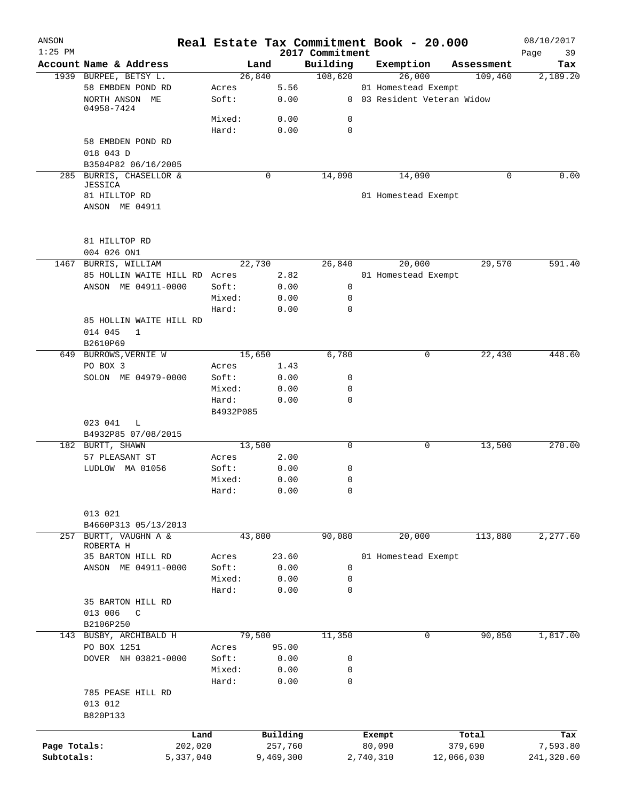| ANSON<br>$1:25$ PM |                               |           |           | 2017 Commitment | Real Estate Tax Commitment Book - 20.000 |            | 08/10/2017<br>39<br>Page |
|--------------------|-------------------------------|-----------|-----------|-----------------|------------------------------------------|------------|--------------------------|
|                    | Account Name & Address        |           | Land      | Building        | Exemption                                | Assessment | Tax                      |
|                    | 1939 BURPEE, BETSY L.         | 26,840    |           | 108,620         | 26,000                                   | 109,460    | 2,189.20                 |
|                    | 58 EMBDEN POND RD             | Acres     | 5.56      |                 | 01 Homestead Exempt                      |            |                          |
|                    | NORTH ANSON ME                | Soft:     | 0.00      |                 | 0 03 Resident Veteran Widow              |            |                          |
|                    | 04958-7424                    |           |           |                 |                                          |            |                          |
|                    |                               | Mixed:    | 0.00      | 0               |                                          |            |                          |
|                    |                               | Hard:     | 0.00      | 0               |                                          |            |                          |
|                    | 58 EMBDEN POND RD             |           |           |                 |                                          |            |                          |
|                    | 018 043 D                     |           |           |                 |                                          |            |                          |
|                    | B3504P82 06/16/2005           |           |           |                 |                                          |            |                          |
|                    | 285 BURRIS, CHASELLOR &       |           | 0         | 14,090          | 14,090                                   | 0          | 0.00                     |
|                    | JESSICA                       |           |           |                 |                                          |            |                          |
|                    | 81 HILLTOP RD                 |           |           |                 | 01 Homestead Exempt                      |            |                          |
|                    | ANSON ME 04911                |           |           |                 |                                          |            |                          |
|                    | 81 HILLTOP RD                 |           |           |                 |                                          |            |                          |
|                    | 004 026 ON1                   |           |           |                 |                                          |            |                          |
|                    | BURRIS, WILLIAM               | 22,730    |           | 26,840          | 20,000                                   | 29,570     | 591.40                   |
| 1467               |                               |           |           |                 |                                          |            |                          |
|                    | 85 HOLLIN WAITE HILL RD Acres |           | 2.82      |                 | 01 Homestead Exempt                      |            |                          |
|                    | ANSON ME 04911-0000           | Soft:     | 0.00      | 0               |                                          |            |                          |
|                    |                               | Mixed:    | 0.00      | 0               |                                          |            |                          |
|                    |                               | Hard:     | 0.00      | $\Omega$        |                                          |            |                          |
|                    | 85 HOLLIN WAITE HILL RD       |           |           |                 |                                          |            |                          |
|                    | 014 045<br>$\mathbf{1}$       |           |           |                 |                                          |            |                          |
|                    | B2610P69                      |           |           |                 |                                          |            |                          |
|                    | 649 BURROWS, VERNIE W         | 15,650    |           | 6,780           | 0                                        | 22,430     | 448.60                   |
|                    | PO BOX 3                      | Acres     | 1.43      |                 |                                          |            |                          |
|                    | SOLON ME 04979-0000           | Soft:     | 0.00      | 0               |                                          |            |                          |
|                    |                               | Mixed:    | 0.00      | 0               |                                          |            |                          |
|                    |                               | Hard:     | 0.00      | 0               |                                          |            |                          |
|                    |                               | B4932P085 |           |                 |                                          |            |                          |
|                    | 023 041<br>L                  |           |           |                 |                                          |            |                          |
|                    | B4932P85 07/08/2015           |           |           |                 |                                          |            |                          |
|                    | 182 BURTT, SHAWN              | 13,500    |           | 0               | 0                                        | 13,500     | 270.00                   |
|                    | 57 PLEASANT ST                | Acres     | 2.00      |                 |                                          |            |                          |
|                    | LUDLOW MA 01056               | Soft:     | 0.00      | 0               |                                          |            |                          |
|                    |                               | Mixed:    | 0.00      | 0               |                                          |            |                          |
|                    |                               | Hard:     | 0.00      | 0               |                                          |            |                          |
|                    | 013 021                       |           |           |                 |                                          |            |                          |
|                    | B4660P313 05/13/2013          |           |           |                 |                                          |            |                          |
| 257                | BURTT, VAUGHN A &             | 43,800    |           | 90,080          | 20,000                                   | 113,880    | 2,277.60                 |
|                    | ROBERTA H                     |           |           |                 |                                          |            |                          |
|                    | 35 BARTON HILL RD             | Acres     | 23.60     |                 | 01 Homestead Exempt                      |            |                          |
|                    | ANSON ME 04911-0000           | Soft:     | 0.00      | 0               |                                          |            |                          |
|                    |                               | Mixed:    | 0.00      | 0               |                                          |            |                          |
|                    |                               | Hard:     | 0.00      | 0               |                                          |            |                          |
|                    | 35 BARTON HILL RD             |           |           |                 |                                          |            |                          |
|                    | 013 006<br>C                  |           |           |                 |                                          |            |                          |
|                    | B2106P250                     |           |           |                 |                                          |            |                          |
|                    | 143 BUSBY, ARCHIBALD H        | 79,500    |           | 11,350          | 0                                        | 90,850     | 1,817.00                 |
|                    | PO BOX 1251                   | Acres     | 95.00     |                 |                                          |            |                          |
|                    | DOVER NH 03821-0000           | Soft:     | 0.00      | 0               |                                          |            |                          |
|                    |                               | Mixed:    | 0.00      | 0               |                                          |            |                          |
|                    |                               | Hard:     | 0.00      | $\mathbf 0$     |                                          |            |                          |
|                    | 785 PEASE HILL RD             |           |           |                 |                                          |            |                          |
|                    | 013 012                       |           |           |                 |                                          |            |                          |
|                    | B820P133                      |           |           |                 |                                          |            |                          |
|                    | Land                          |           | Building  |                 | Exempt                                   | Total      | Tax                      |
| Page Totals:       | 202,020                       |           | 257,760   |                 | 80,090                                   | 379,690    | 7,593.80                 |
| Subtotals:         | 5,337,040                     |           | 9,469,300 |                 | 2,740,310                                | 12,066,030 | 241,320.60               |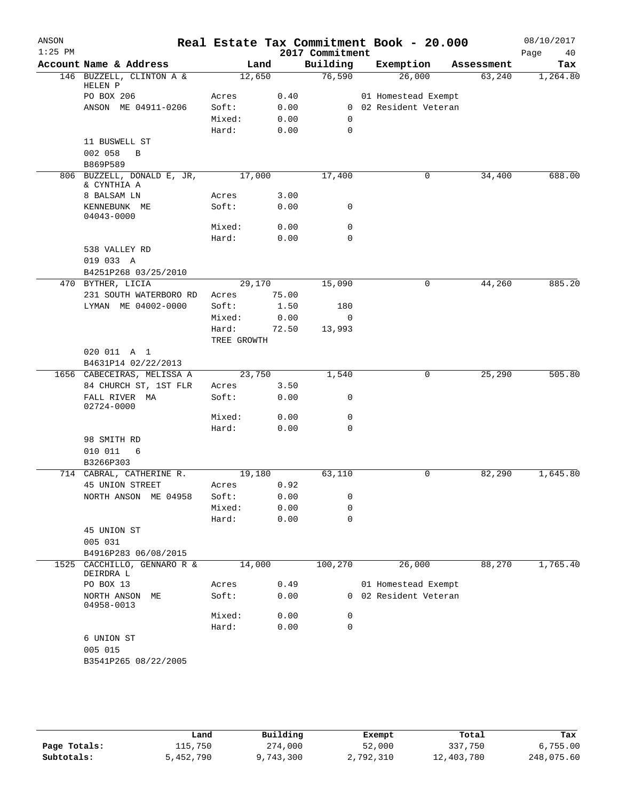| ANSON<br>$1:25$ PM |                                                     |                 |              | 2017 Commitment | Real Estate Tax Commitment Book - 20.000     |            | 08/10/2017<br>Page<br>40 |
|--------------------|-----------------------------------------------------|-----------------|--------------|-----------------|----------------------------------------------|------------|--------------------------|
|                    | Account Name & Address                              |                 | Land         | Building        | Exemption                                    | Assessment | Tax                      |
|                    | 146 BUZZELL, CLINTON A &                            | 12,650          |              | 76,590          | 26,000                                       | 63,240     | 1,264.80                 |
|                    | HELEN P                                             |                 |              |                 |                                              |            |                          |
|                    | PO BOX 206                                          | Acres           | 0.40         |                 | 01 Homestead Exempt<br>0 02 Resident Veteran |            |                          |
|                    | ANSON ME 04911-0206                                 | Soft:<br>Mixed: | 0.00<br>0.00 | $\mathbf 0$     |                                              |            |                          |
|                    |                                                     | Hard:           | 0.00         | $\mathbf 0$     |                                              |            |                          |
|                    | 11 BUSWELL ST                                       |                 |              |                 |                                              |            |                          |
|                    | 002 058<br>B                                        |                 |              |                 |                                              |            |                          |
|                    | B869P589                                            |                 |              |                 |                                              |            |                          |
|                    | 806 BUZZELL, DONALD E, JR,                          | 17,000          |              | 17,400          | 0                                            | 34,400     | 688.00                   |
|                    | & CYNTHIA A                                         |                 |              |                 |                                              |            |                          |
|                    | 8 BALSAM LN                                         | Acres           | 3.00         |                 |                                              |            |                          |
|                    | KENNEBUNK ME<br>04043-0000                          | Soft:           | 0.00         | 0               |                                              |            |                          |
|                    |                                                     | Mixed:          | 0.00         | $\mathbf 0$     |                                              |            |                          |
|                    |                                                     | Hard:           | 0.00         | $\mathbf 0$     |                                              |            |                          |
|                    | 538 VALLEY RD                                       |                 |              |                 |                                              |            |                          |
|                    | 019 033 A                                           |                 |              |                 |                                              |            |                          |
|                    | B4251P268 03/25/2010                                |                 |              |                 |                                              |            |                          |
|                    | 470 BYTHER, LICIA                                   | 29,170          |              | 15,090          | 0                                            | 44,260     | 885.20                   |
|                    | 231 SOUTH WATERBORO RD                              | Acres           | 75.00        |                 |                                              |            |                          |
|                    | LYMAN ME 04002-0000                                 | Soft:           | 1.50         | 180             |                                              |            |                          |
|                    |                                                     | Mixed:          | 0.00         | 0               |                                              |            |                          |
|                    |                                                     | Hard:           | 72.50        | 13,993          |                                              |            |                          |
|                    |                                                     | TREE GROWTH     |              |                 |                                              |            |                          |
|                    | 020 011 A 1                                         |                 |              |                 |                                              |            |                          |
|                    | B4631P14 02/22/2013                                 |                 |              |                 | 0                                            |            | 505.80                   |
|                    | 1656 CABECEIRAS, MELISSA A<br>84 CHURCH ST, 1ST FLR | 23,750<br>Acres | 3.50         | 1,540           |                                              | 25,290     |                          |
|                    | FALL RIVER MA                                       | Soft:           | 0.00         | 0               |                                              |            |                          |
|                    | 02724-0000                                          |                 |              |                 |                                              |            |                          |
|                    |                                                     | Mixed:          | 0.00         | 0               |                                              |            |                          |
|                    |                                                     | Hard:           | 0.00         | $\mathbf 0$     |                                              |            |                          |
|                    | 98 SMITH RD                                         |                 |              |                 |                                              |            |                          |
|                    | 010 011<br>6                                        |                 |              |                 |                                              |            |                          |
|                    | B3266P303                                           |                 |              |                 |                                              |            |                          |
|                    | 714 CABRAL, CATHERINE R.                            | 19,180          |              | 63,110          | 0                                            | 82,290     | 1,645.80                 |
|                    | 45 UNION STREET                                     | Acres           | 0.92         |                 |                                              |            |                          |
|                    | NORTH ANSON ME 04958                                | Soft:           | 0.00         | 0               |                                              |            |                          |
|                    |                                                     | Mixed:          | 0.00         | 0               |                                              |            |                          |
|                    |                                                     | Hard:           | 0.00         | 0               |                                              |            |                          |
|                    | 45 UNION ST                                         |                 |              |                 |                                              |            |                          |
|                    | 005 031                                             |                 |              |                 |                                              |            |                          |
| 1525               | B4916P283 06/08/2015<br>CACCHILLO, GENNARO R &      | 14,000          |              | 100,270         | 26,000                                       | 88,270     | 1,765.40                 |
|                    | DEIRDRA L                                           |                 |              |                 |                                              |            |                          |
|                    | PO BOX 13                                           | Acres           | 0.49         |                 | 01 Homestead Exempt                          |            |                          |
|                    | NORTH ANSON<br>MЕ<br>04958-0013                     | Soft:           | 0.00         |                 | 0 02 Resident Veteran                        |            |                          |
|                    |                                                     | Mixed:          | 0.00         | 0               |                                              |            |                          |
|                    |                                                     | Hard:           | 0.00         | $\mathbf 0$     |                                              |            |                          |
|                    | 6 UNION ST                                          |                 |              |                 |                                              |            |                          |
|                    | 005 015                                             |                 |              |                 |                                              |            |                          |
|                    | B3541P265 08/22/2005                                |                 |              |                 |                                              |            |                          |
|                    |                                                     |                 |              |                 |                                              |            |                          |
|                    |                                                     |                 |              |                 |                                              |            |                          |

|              | Land      | Building  | Exempt    | Total      | Tax        |
|--------------|-----------|-----------|-----------|------------|------------|
| Page Totals: | 115,750   | 274,000   | 52,000    | 337,750    | 6,755.00   |
| Subtotals:   | 5,452,790 | 9,743,300 | 2,792,310 | 12,403,780 | 248,075.60 |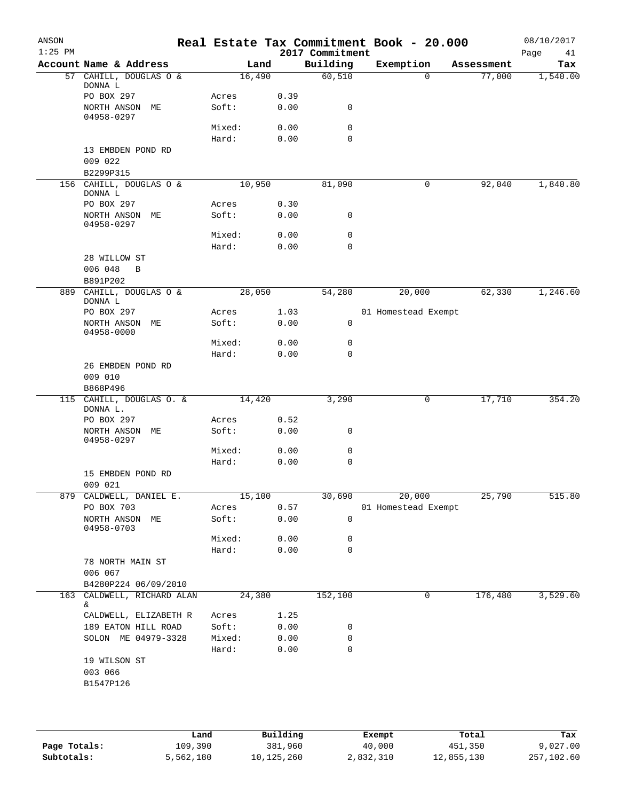| ANSON     |                                      |                |        |              |                 | Real Estate Tax Commitment Book - 20.000 |            | 08/10/2017 |
|-----------|--------------------------------------|----------------|--------|--------------|-----------------|------------------------------------------|------------|------------|
| $1:25$ PM |                                      |                |        |              | 2017 Commitment |                                          |            | Page<br>41 |
|           | Account Name & Address               |                | Land   |              | Building        | Exemption                                | Assessment | Tax        |
| 57        | CAHILL, DOUGLAS O &<br>DONNA L       |                | 16,490 |              | 60,510          | $\mathbf 0$                              | 77,000     | 1,540.00   |
|           | PO BOX 297<br>NORTH ANSON ME         | Acres<br>Soft: |        | 0.39<br>0.00 | 0               |                                          |            |            |
|           | 04958-0297                           |                |        |              |                 |                                          |            |            |
|           |                                      | Mixed:         |        | 0.00         | 0               |                                          |            |            |
|           |                                      | Hard:          |        | 0.00         | 0               |                                          |            |            |
|           | 13 EMBDEN POND RD<br>009 022         |                |        |              |                 |                                          |            |            |
|           | B2299P315<br>156 CAHILL, DOUGLAS O & |                | 10,950 |              | 81,090          | 0                                        | 92,040     | 1,840.80   |
|           | DONNA L                              |                |        |              |                 |                                          |            |            |
|           | PO BOX 297<br>NORTH ANSON ME         | Acres<br>Soft: |        | 0.30<br>0.00 | 0               |                                          |            |            |
|           | 04958-0297                           |                |        |              |                 |                                          |            |            |
|           |                                      | Mixed:         |        | 0.00         | 0               |                                          |            |            |
|           | 28 WILLOW ST                         | Hard:          |        | 0.00         | 0               |                                          |            |            |
|           | 006 048<br>B                         |                |        |              |                 |                                          |            |            |
|           | B891P202                             |                |        |              |                 |                                          |            |            |
|           | 889 CAHILL, DOUGLAS O &              |                | 28,050 |              | 54,280          | 20,000                                   | 62,330     | 1,246.60   |
|           | DONNA L                              |                |        |              |                 |                                          |            |            |
|           | PO BOX 297                           | Acres          |        | 1.03         |                 | 01 Homestead Exempt                      |            |            |
|           | NORTH ANSON ME<br>04958-0000         | Soft:          |        | 0.00         | 0               |                                          |            |            |
|           |                                      | Mixed:         |        | 0.00         | 0               |                                          |            |            |
|           |                                      | Hard:          |        | 0.00         | $\mathbf 0$     |                                          |            |            |
|           | 26 EMBDEN POND RD                    |                |        |              |                 |                                          |            |            |
|           | 009 010                              |                |        |              |                 |                                          |            |            |
|           | B868P496                             |                |        |              |                 |                                          |            |            |
|           | 115 CAHILL, DOUGLAS O. &<br>DONNA L. |                | 14,420 |              | 3,290           | 0                                        | 17,710     | 354.20     |
|           | PO BOX 297                           | Acres          |        | 0.52         |                 |                                          |            |            |
|           | NORTH ANSON ME<br>04958-0297         | Soft:          |        | 0.00         | 0               |                                          |            |            |
|           |                                      | Mixed:         |        | 0.00         | 0               |                                          |            |            |
|           |                                      | Hard:          |        | 0.00         | 0               |                                          |            |            |
|           | 15 EMBDEN POND RD                    |                |        |              |                 |                                          |            |            |
|           | 009 021                              |                |        |              |                 |                                          |            |            |
|           | 879 CALDWELL, DANIEL E.              |                | 15,100 |              | 30,690          | 20,000                                   | 25,790     | 515.80     |
|           | PO BOX 703                           | Acres          |        | 0.57         |                 | 01 Homestead Exempt                      |            |            |
|           | NORTH ANSON ME<br>04958-0703         | Soft:          |        | 0.00         | 0               |                                          |            |            |
|           |                                      | Mixed:         |        | 0.00         | 0               |                                          |            |            |
|           |                                      | Hard:          |        | 0.00         | $\mathbf 0$     |                                          |            |            |
|           | 78 NORTH MAIN ST                     |                |        |              |                 |                                          |            |            |
|           | 006 067                              |                |        |              |                 |                                          |            |            |
|           | B4280P224 06/09/2010                 |                |        |              |                 |                                          |            |            |
| 163       | CALDWELL, RICHARD ALAN<br>&.         |                | 24,380 |              | 152,100         | 0                                        | 176,480    | 3,529.60   |
|           | CALDWELL, ELIZABETH R                | Acres          |        | 1.25         |                 |                                          |            |            |
|           | 189 EATON HILL ROAD                  | Soft:          |        | 0.00         | 0               |                                          |            |            |
|           | SOLON ME 04979-3328                  | Mixed:         |        | 0.00         | 0               |                                          |            |            |
|           |                                      | Hard:          |        | 0.00         | 0               |                                          |            |            |
|           | 19 WILSON ST                         |                |        |              |                 |                                          |            |            |
|           | 003 066                              |                |        |              |                 |                                          |            |            |
|           | B1547P126                            |                |        |              |                 |                                          |            |            |
|           |                                      |                |        |              |                 |                                          |            |            |
|           |                                      |                |        |              |                 |                                          |            |            |
|           |                                      |                |        |              |                 |                                          |            |            |
|           |                                      |                |        |              |                 |                                          |            |            |

|              | Land      | Building   | Exempt    | Total      | Tax        |
|--------------|-----------|------------|-----------|------------|------------|
| Page Totals: | 109,390   | 381,960    | 40,000    | 451,350    | 9,027.00   |
| Subtotals:   | 5,562,180 | 10,125,260 | 2,832,310 | 12,855,130 | 257,102.60 |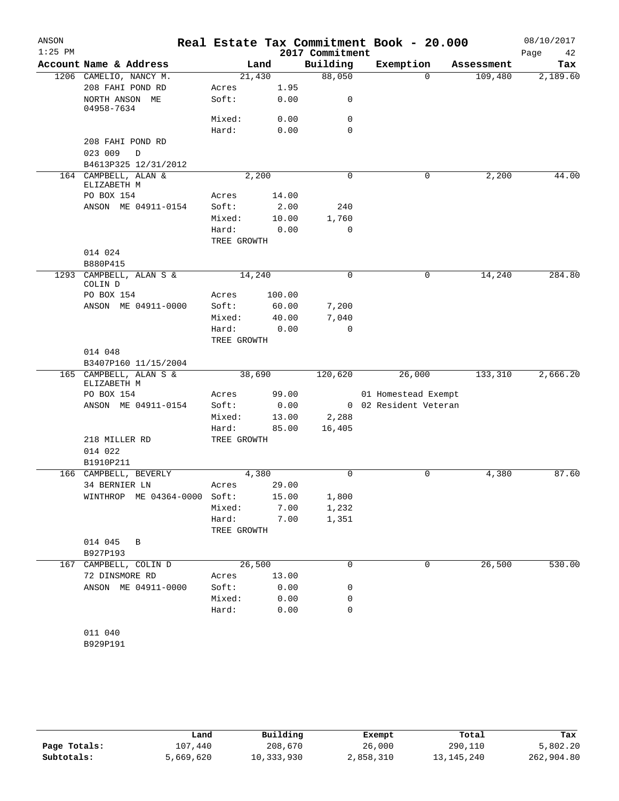| Real Estate Tax Commitment Book - 20.000<br>$1:25$ PM<br>2017 Commitment<br>Building<br>Account Name & Address<br>Exemption<br>Land<br>Assessment<br>88,050<br>21,430<br>109,480<br>1206 CAMELIO, NANCY M.<br>$\Omega$<br>208 FAHI POND RD<br>Acres<br>1.95<br>Soft:<br>NORTH ANSON ME<br>0.00<br>0<br>04958-7634<br>Mixed:<br>0.00<br>$\mathbf 0$<br>$\mathbf 0$<br>Hard:<br>0.00<br>208 FAHI POND RD | Page<br>42<br>Tax |
|--------------------------------------------------------------------------------------------------------------------------------------------------------------------------------------------------------------------------------------------------------------------------------------------------------------------------------------------------------------------------------------------------------|-------------------|
|                                                                                                                                                                                                                                                                                                                                                                                                        | 2,189.60          |
|                                                                                                                                                                                                                                                                                                                                                                                                        |                   |
|                                                                                                                                                                                                                                                                                                                                                                                                        |                   |
|                                                                                                                                                                                                                                                                                                                                                                                                        |                   |
|                                                                                                                                                                                                                                                                                                                                                                                                        |                   |
|                                                                                                                                                                                                                                                                                                                                                                                                        |                   |
|                                                                                                                                                                                                                                                                                                                                                                                                        |                   |
|                                                                                                                                                                                                                                                                                                                                                                                                        |                   |
| 023 009<br>$\mathbb D$                                                                                                                                                                                                                                                                                                                                                                                 |                   |
| B4613P325 12/31/2012                                                                                                                                                                                                                                                                                                                                                                                   |                   |
| 164 CAMPBELL, ALAN &<br>$\Omega$<br>2,200<br>0<br>ELIZABETH M                                                                                                                                                                                                                                                                                                                                          | 2,200<br>44.00    |
| PO BOX 154<br>Acres<br>14.00                                                                                                                                                                                                                                                                                                                                                                           |                   |
| ANSON ME 04911-0154<br>Soft:<br>2.00<br>240                                                                                                                                                                                                                                                                                                                                                            |                   |
| 1,760<br>Mixed:<br>10.00                                                                                                                                                                                                                                                                                                                                                                               |                   |
| $\mathbf 0$<br>Hard:<br>0.00                                                                                                                                                                                                                                                                                                                                                                           |                   |
| TREE GROWTH                                                                                                                                                                                                                                                                                                                                                                                            |                   |
| 014 024                                                                                                                                                                                                                                                                                                                                                                                                |                   |
| B880P415                                                                                                                                                                                                                                                                                                                                                                                               |                   |
| 1293 CAMPBELL, ALAN S &<br>14,240<br>$\mathbf 0$<br>14,240<br>0<br>COLIN D                                                                                                                                                                                                                                                                                                                             | 284.80            |
| PO BOX 154<br>100.00<br>Acres                                                                                                                                                                                                                                                                                                                                                                          |                   |
| ANSON ME 04911-0000<br>Soft:<br>60.00<br>7,200                                                                                                                                                                                                                                                                                                                                                         |                   |
| Mixed:<br>40.00<br>7,040                                                                                                                                                                                                                                                                                                                                                                               |                   |
| Hard:<br>0.00<br>0                                                                                                                                                                                                                                                                                                                                                                                     |                   |
| TREE GROWTH                                                                                                                                                                                                                                                                                                                                                                                            |                   |
| 014 048                                                                                                                                                                                                                                                                                                                                                                                                |                   |
| B3407P160 11/15/2004                                                                                                                                                                                                                                                                                                                                                                                   |                   |
| 38,690<br>120,620<br>26,000<br>133,310<br>165 CAMPBELL, ALAN S &                                                                                                                                                                                                                                                                                                                                       | 2,666.20          |
| ELIZABETH M                                                                                                                                                                                                                                                                                                                                                                                            |                   |
| PO BOX 154<br>99.00<br>01 Homestead Exempt<br>Acres                                                                                                                                                                                                                                                                                                                                                    |                   |
| ANSON ME 04911-0154<br>0 02 Resident Veteran<br>Soft:<br>0.00                                                                                                                                                                                                                                                                                                                                          |                   |
| Mixed:<br>2,288<br>13.00                                                                                                                                                                                                                                                                                                                                                                               |                   |
| Hard:<br>85.00<br>16,405                                                                                                                                                                                                                                                                                                                                                                               |                   |
| 218 MILLER RD<br>TREE GROWTH<br>014 022                                                                                                                                                                                                                                                                                                                                                                |                   |
| B1910P211                                                                                                                                                                                                                                                                                                                                                                                              |                   |
| 4,380<br>$\mathbf 0$<br>166 CAMPBELL, BEVERLY<br>0                                                                                                                                                                                                                                                                                                                                                     | 4,380<br>87.60    |
| 34 BERNIER LN<br>29.00<br>Acres                                                                                                                                                                                                                                                                                                                                                                        |                   |
| WINTHROP ME 04364-0000 Soft:<br>15.00<br>1,800                                                                                                                                                                                                                                                                                                                                                         |                   |
| Mixed:<br>7.00<br>1,232                                                                                                                                                                                                                                                                                                                                                                                |                   |
| Hard:<br>7.00<br>1,351                                                                                                                                                                                                                                                                                                                                                                                 |                   |
| TREE GROWTH                                                                                                                                                                                                                                                                                                                                                                                            |                   |
| 014 045<br>В                                                                                                                                                                                                                                                                                                                                                                                           |                   |
| B927P193                                                                                                                                                                                                                                                                                                                                                                                               |                   |
| 26,500<br>26,500<br>0<br>0<br>167 CAMPBELL, COLIN D                                                                                                                                                                                                                                                                                                                                                    | 530.00            |
| 72 DINSMORE RD<br>13.00<br>Acres                                                                                                                                                                                                                                                                                                                                                                       |                   |
| ANSON ME 04911-0000<br>Soft:<br>0.00<br>0                                                                                                                                                                                                                                                                                                                                                              |                   |
| 0.00<br>0<br>Mixed:                                                                                                                                                                                                                                                                                                                                                                                    |                   |
| Hard:<br>0.00<br>0                                                                                                                                                                                                                                                                                                                                                                                     |                   |
|                                                                                                                                                                                                                                                                                                                                                                                                        |                   |
| 011 040                                                                                                                                                                                                                                                                                                                                                                                                |                   |
| B929P191                                                                                                                                                                                                                                                                                                                                                                                               |                   |

|              | Land      | Building   | Exempt    | Total        | Tax        |
|--------------|-----------|------------|-----------|--------------|------------|
| Page Totals: | 107.440   | 208,670    | 26,000    | 290,110      | 5,802.20   |
| Subtotals:   | 5,669,620 | 10,333,930 | 2,858,310 | 13, 145, 240 | 262,904.80 |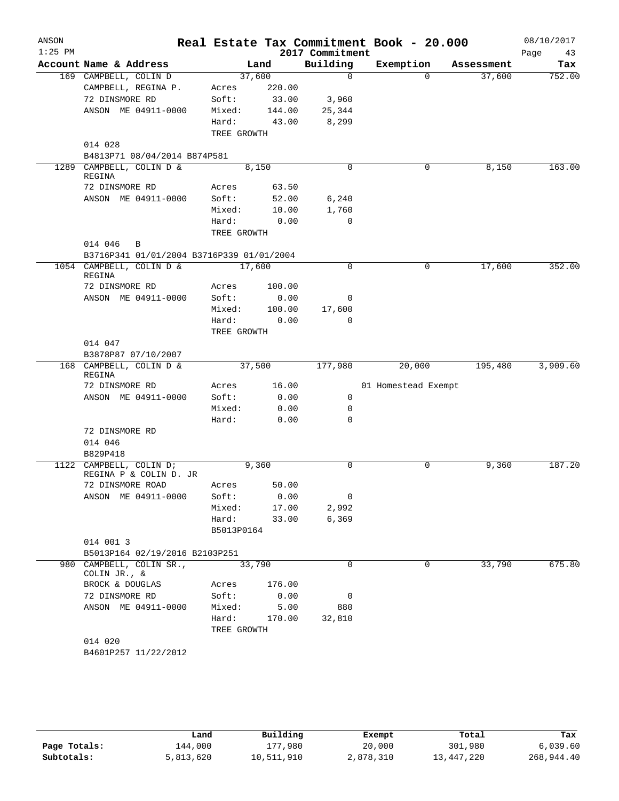| ANSON<br>$1:25$ PM |                                              |             |        | 2017 Commitment | Real Estate Tax Commitment Book - 20.000 |            | 08/10/2017<br>Page<br>43 |
|--------------------|----------------------------------------------|-------------|--------|-----------------|------------------------------------------|------------|--------------------------|
|                    | Account Name & Address                       |             | Land   | Building        | Exemption                                | Assessment | Tax                      |
|                    | 169 CAMPBELL, COLIN D                        | 37,600      |        | $\mathbf 0$     | $\Omega$                                 | 37,600     | 752.00                   |
|                    | CAMPBELL, REGINA P.                          | Acres       | 220.00 |                 |                                          |            |                          |
|                    | 72 DINSMORE RD                               | Soft:       | 33.00  | 3,960           |                                          |            |                          |
|                    | ANSON ME 04911-0000                          | Mixed:      | 144.00 | 25,344          |                                          |            |                          |
|                    |                                              | Hard:       | 43.00  | 8,299           |                                          |            |                          |
|                    |                                              | TREE GROWTH |        |                 |                                          |            |                          |
|                    | 014 028                                      |             |        |                 |                                          |            |                          |
|                    | B4813P71 08/04/2014 B874P581                 |             |        |                 |                                          |            |                          |
| 1289               | CAMPBELL, COLIN D &<br>REGINA                | 8,150       |        | $\Omega$        | 0                                        | 8,150      | 163.00                   |
|                    | 72 DINSMORE RD                               | Acres       | 63.50  |                 |                                          |            |                          |
|                    | ANSON ME 04911-0000                          | Soft:       | 52.00  | 6,240           |                                          |            |                          |
|                    |                                              | Mixed:      | 10.00  | 1,760           |                                          |            |                          |
|                    |                                              | Hard:       | 0.00   | $\mathbf 0$     |                                          |            |                          |
|                    |                                              | TREE GROWTH |        |                 |                                          |            |                          |
|                    | 014 046<br>B                                 |             |        |                 |                                          |            |                          |
|                    | B3716P341 01/01/2004 B3716P339 01/01/2004    |             |        |                 |                                          |            |                          |
|                    | 1054 CAMPBELL, COLIN D &<br>REGINA           | 17,600      |        | 0               | 0                                        | 17,600     | 352.00                   |
|                    | 72 DINSMORE RD                               | Acres       | 100.00 |                 |                                          |            |                          |
|                    | ANSON ME 04911-0000                          | Soft:       | 0.00   | 0               |                                          |            |                          |
|                    |                                              | Mixed:      | 100.00 | 17,600          |                                          |            |                          |
|                    |                                              | Hard:       | 0.00   | $\mathbf 0$     |                                          |            |                          |
|                    |                                              | TREE GROWTH |        |                 |                                          |            |                          |
|                    | 014 047                                      |             |        |                 |                                          |            |                          |
|                    | B3878P87 07/10/2007                          |             |        |                 |                                          |            |                          |
|                    | 168 CAMPBELL, COLIN D &<br>REGINA            | 37,500      |        | 177,980         | 20,000                                   | 195,480    | 3,909.60                 |
|                    | 72 DINSMORE RD                               | Acres       | 16.00  |                 | 01 Homestead Exempt                      |            |                          |
|                    | ANSON ME 04911-0000                          | Soft:       | 0.00   | 0               |                                          |            |                          |
|                    |                                              | Mixed:      | 0.00   | 0               |                                          |            |                          |
|                    |                                              | Hard:       | 0.00   | $\Omega$        |                                          |            |                          |
|                    | 72 DINSMORE RD                               |             |        |                 |                                          |            |                          |
|                    | 014 046                                      |             |        |                 |                                          |            |                          |
|                    | B829P418                                     |             |        |                 |                                          |            |                          |
| 1122               | CAMPBELL, COLIN D;<br>REGINA P & COLIN D. JR | 9,360       |        | 0               | 0                                        | 9,360      | 187.20                   |
|                    | 72 DINSMORE ROAD                             | Acres       | 50.00  |                 |                                          |            |                          |
|                    | ANSON ME 04911-0000                          | Soft:       | 0.00   | 0               |                                          |            |                          |
|                    |                                              | Mixed:      | 17.00  | 2,992           |                                          |            |                          |
|                    |                                              | Hard:       | 33.00  | 6,369           |                                          |            |                          |
|                    |                                              | B5013P0164  |        |                 |                                          |            |                          |
|                    | 014 001 3                                    |             |        |                 |                                          |            |                          |
|                    | B5013P164 02/19/2016 B2103P251               |             |        |                 |                                          |            |                          |
|                    | 980 CAMPBELL, COLIN SR.,<br>COLIN JR., &     | 33,790      |        | 0               | 0                                        | 33,790     | 675.80                   |
|                    | BROCK & DOUGLAS                              | Acres       | 176.00 |                 |                                          |            |                          |
|                    | 72 DINSMORE RD                               | Soft:       | 0.00   | 0               |                                          |            |                          |
|                    | ANSON ME 04911-0000                          | Mixed:      | 5.00   | 880             |                                          |            |                          |
|                    |                                              | Hard:       | 170.00 | 32,810          |                                          |            |                          |
|                    |                                              | TREE GROWTH |        |                 |                                          |            |                          |
|                    | 014 020                                      |             |        |                 |                                          |            |                          |
|                    | B4601P257 11/22/2012                         |             |        |                 |                                          |            |                          |
|                    |                                              |             |        |                 |                                          |            |                          |

|              | Land      | Building   | Exempt    | Total      | Tax        |
|--------------|-----------|------------|-----------|------------|------------|
| Page Totals: | 144,000   | 177,980    | 20,000    | 301,980    | 6,039.60   |
| Subtotals:   | 5,813,620 | 10,511,910 | 2,878,310 | 13,447,220 | 268,944.40 |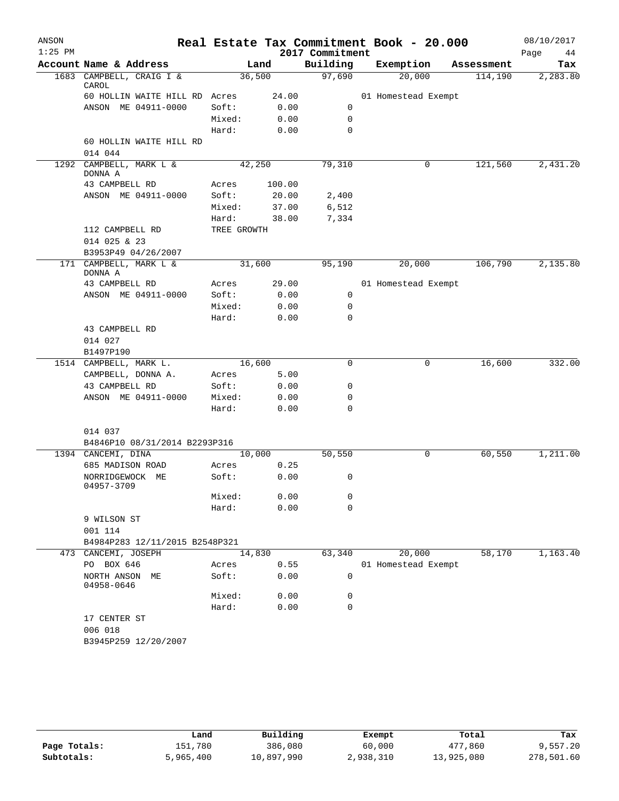| ANSON<br>$1:25$ PM |                                        |             |        | 2017 Commitment | Real Estate Tax Commitment Book - 20.000 |            | 08/10/2017<br>Page<br>44 |
|--------------------|----------------------------------------|-------------|--------|-----------------|------------------------------------------|------------|--------------------------|
|                    | Account Name & Address                 |             | Land   | Building        | Exemption                                | Assessment | Tax                      |
|                    | 1683 CAMPBELL, CRAIG I &               | 36,500      |        | 97,690          | 20,000                                   | 114,190    | 2,283.80                 |
|                    | CAROL<br>60 HOLLIN WAITE HILL RD Acres |             | 24.00  |                 | 01 Homestead Exempt                      |            |                          |
|                    | ANSON ME 04911-0000                    | Soft:       | 0.00   | 0               |                                          |            |                          |
|                    |                                        | Mixed:      | 0.00   | $\mathbf 0$     |                                          |            |                          |
|                    |                                        | Hard:       | 0.00   | 0               |                                          |            |                          |
|                    | 60 HOLLIN WAITE HILL RD                |             |        |                 |                                          |            |                          |
|                    | 014 044                                |             |        |                 |                                          |            |                          |
|                    | 1292 CAMPBELL, MARK L &<br>DONNA A     | 42,250      |        | 79,310          | 0                                        | 121,560    | 2,431.20                 |
|                    | 43 CAMPBELL RD                         | Acres       | 100.00 |                 |                                          |            |                          |
|                    | ANSON ME 04911-0000                    | Soft:       | 20.00  | 2,400           |                                          |            |                          |
|                    |                                        | Mixed:      | 37.00  | 6,512           |                                          |            |                          |
|                    |                                        | Hard:       | 38.00  | 7,334           |                                          |            |                          |
|                    | 112 CAMPBELL RD                        | TREE GROWTH |        |                 |                                          |            |                          |
|                    | 014 025 & 23                           |             |        |                 |                                          |            |                          |
|                    | B3953P49 04/26/2007                    |             |        |                 |                                          |            |                          |
|                    | 171 CAMPBELL, MARK L &<br>DONNA A      | 31,600      |        | 95,190          | 20,000                                   | 106,790    | 2,135.80                 |
|                    | 43 CAMPBELL RD                         | Acres       | 29.00  |                 | 01 Homestead Exempt                      |            |                          |
|                    | ANSON ME 04911-0000                    | Soft:       | 0.00   | $\mathbf 0$     |                                          |            |                          |
|                    |                                        | Mixed:      | 0.00   | 0               |                                          |            |                          |
|                    |                                        | Hard:       | 0.00   | $\mathbf 0$     |                                          |            |                          |
|                    | 43 CAMPBELL RD                         |             |        |                 |                                          |            |                          |
|                    | 014 027                                |             |        |                 |                                          |            |                          |
|                    | B1497P190<br>1514 CAMPBELL, MARK L.    | 16,600      |        | 0               | 0                                        | 16,600     | 332.00                   |
|                    | CAMPBELL, DONNA A.                     | Acres       | 5.00   |                 |                                          |            |                          |
|                    | 43 CAMPBELL RD                         | Soft:       | 0.00   | 0               |                                          |            |                          |
|                    | ANSON ME 04911-0000                    | Mixed:      | 0.00   | 0               |                                          |            |                          |
|                    |                                        | Hard:       | 0.00   | 0               |                                          |            |                          |
|                    |                                        |             |        |                 |                                          |            |                          |
|                    | 014 037                                |             |        |                 |                                          |            |                          |
|                    | B4846P10 08/31/2014 B2293P316          |             |        |                 |                                          |            |                          |
|                    | 1394 CANCEMI, DINA                     | 10,000      |        | 50,550          | 0                                        | 60,550     | 1,211.00                 |
|                    | 685 MADISON ROAD                       | Acres       | 0.25   |                 |                                          |            |                          |
|                    | NORRIDGEWOCK ME<br>04957-3709          | Soft:       | 0.00   | 0               |                                          |            |                          |
|                    |                                        | Mixed:      | 0.00   | 0               |                                          |            |                          |
|                    |                                        | Hard:       | 0.00   | 0               |                                          |            |                          |
|                    | 9 WILSON ST                            |             |        |                 |                                          |            |                          |
|                    | 001 114                                |             |        |                 |                                          |            |                          |
|                    | B4984P283 12/11/2015 B2548P321         |             |        |                 |                                          |            |                          |
|                    | 473 CANCEMI, JOSEPH                    | 14,830      |        | 63,340          | 20,000                                   | 58,170     | 1,163.40                 |
|                    | PO BOX 646                             | Acres       | 0.55   |                 | 01 Homestead Exempt                      |            |                          |
|                    | NORTH ANSON ME<br>04958-0646           | Soft:       | 0.00   | 0               |                                          |            |                          |
|                    |                                        | Mixed:      | 0.00   | 0               |                                          |            |                          |
|                    |                                        | Hard:       | 0.00   | 0               |                                          |            |                          |
|                    | 17 CENTER ST                           |             |        |                 |                                          |            |                          |
|                    | 006 018                                |             |        |                 |                                          |            |                          |
|                    | B3945P259 12/20/2007                   |             |        |                 |                                          |            |                          |
|                    |                                        |             |        |                 |                                          |            |                          |
|                    |                                        |             |        |                 |                                          |            |                          |

|              | Land      | Building   | Exempt    | Total      | Tax        |
|--------------|-----------|------------|-----------|------------|------------|
| Page Totals: | 151,780   | 386,080    | 60,000    | 477,860    | 9,557.20   |
| Subtotals:   | 5,965,400 | 10,897,990 | 2,938,310 | 13,925,080 | 278,501.60 |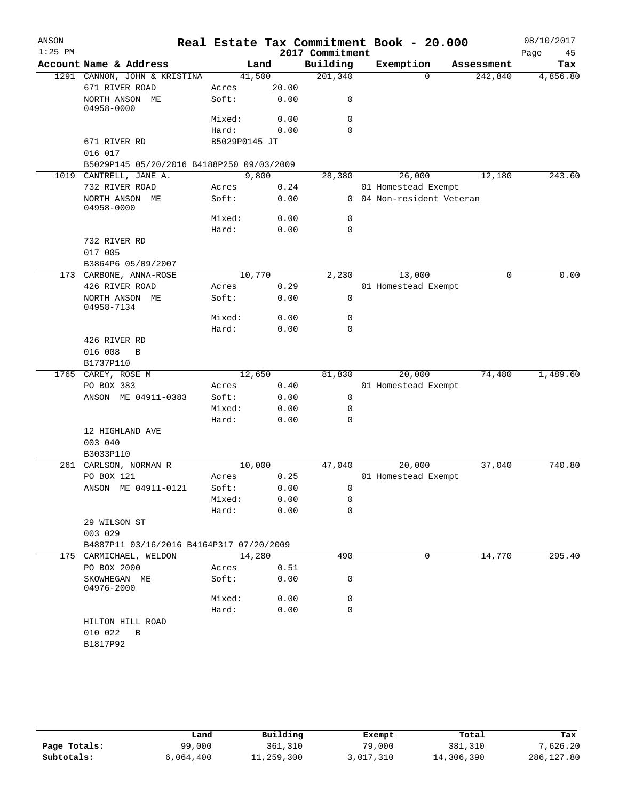| ANSON     |                                           |               |       |                 | Real Estate Tax Commitment Book - 20.000 |            | 08/10/2017 |
|-----------|-------------------------------------------|---------------|-------|-----------------|------------------------------------------|------------|------------|
| $1:25$ PM |                                           |               |       | 2017 Commitment |                                          |            | 45<br>Page |
|           | Account Name & Address                    | Land          |       | Building        | Exemption                                | Assessment | Tax        |
|           | 1291 CANNON, JOHN & KRISTINA              | 41,500        |       | 201,340         | $\Omega$                                 | 242,840    | 4,856.80   |
|           | 671 RIVER ROAD                            | Acres         | 20.00 |                 |                                          |            |            |
|           | NORTH ANSON ME<br>04958-0000              | Soft:         | 0.00  | 0               |                                          |            |            |
|           |                                           | Mixed:        | 0.00  | 0               |                                          |            |            |
|           |                                           | Hard:         | 0.00  | $\Omega$        |                                          |            |            |
|           | 671 RIVER RD                              | B5029P0145 JT |       |                 |                                          |            |            |
|           | 016 017                                   |               |       |                 |                                          |            |            |
|           | B5029P145 05/20/2016 B4188P250 09/03/2009 |               |       |                 |                                          |            |            |
|           | 1019 CANTRELL, JANE A.                    | 9,800         |       | 28,380          | 26,000                                   | 12,180     | 243.60     |
|           | 732 RIVER ROAD                            | Acres         | 0.24  |                 | 01 Homestead Exempt                      |            |            |
|           | NORTH ANSON ME<br>04958-0000              | Soft:         | 0.00  |                 | 0 04 Non-resident Veteran                |            |            |
|           |                                           | Mixed:        | 0.00  | 0               |                                          |            |            |
|           |                                           | Hard:         | 0.00  | $\mathbf 0$     |                                          |            |            |
|           | 732 RIVER RD                              |               |       |                 |                                          |            |            |
|           | 017 005                                   |               |       |                 |                                          |            |            |
|           | B3864P6 05/09/2007                        |               |       |                 |                                          |            |            |
|           | 173 CARBONE, ANNA-ROSE                    | 10,770        |       | 2,230           | 13,000                                   | $\Omega$   | 0.00       |
|           | 426 RIVER ROAD                            | Acres         | 0.29  |                 | 01 Homestead Exempt                      |            |            |
|           | NORTH ANSON ME<br>04958-7134              | Soft:         | 0.00  | 0               |                                          |            |            |
|           |                                           | Mixed:        | 0.00  | 0               |                                          |            |            |
|           |                                           | Hard:         | 0.00  | 0               |                                          |            |            |
|           | 426 RIVER RD                              |               |       |                 |                                          |            |            |
|           | 016 008<br>B                              |               |       |                 |                                          |            |            |
|           | B1737P110                                 |               |       |                 |                                          |            |            |
|           | 1765 CAREY, ROSE M                        | 12,650        |       | 81,830          | 20,000                                   | 74,480     | 1,489.60   |
|           | PO BOX 383                                | Acres         | 0.40  |                 | 01 Homestead Exempt                      |            |            |
|           | ANSON ME 04911-0383                       | Soft:         | 0.00  | 0               |                                          |            |            |
|           |                                           | Mixed:        | 0.00  | 0               |                                          |            |            |
|           |                                           | Hard:         | 0.00  | $\Omega$        |                                          |            |            |
|           | 12 HIGHLAND AVE<br>003 040                |               |       |                 |                                          |            |            |
|           | B3033P110                                 |               |       |                 |                                          |            |            |
|           | 261 CARLSON, NORMAN R                     | 10,000        |       | 47,040          | 20,000                                   | 37,040     | 740.80     |
|           | PO BOX 121                                | Acres         | 0.25  |                 | 01 Homestead Exempt                      |            |            |
|           | ANSON ME 04911-0121                       | Soft:         | 0.00  | $\overline{0}$  |                                          |            |            |
|           |                                           | Mixed:        | 0.00  | 0               |                                          |            |            |
|           |                                           | Hard:         | 0.00  | 0               |                                          |            |            |
|           | 29 WILSON ST                              |               |       |                 |                                          |            |            |
|           | 003 029                                   |               |       |                 |                                          |            |            |
|           | B4887P11 03/16/2016 B4164P317 07/20/2009  |               |       |                 |                                          |            |            |
|           | 175 CARMICHAEL, WELDON                    | 14,280        |       | 490             | 0                                        | 14,770     | 295.40     |
|           | PO BOX 2000                               | Acres         | 0.51  |                 |                                          |            |            |
|           | SKOWHEGAN ME<br>04976-2000                | Soft:         | 0.00  | 0               |                                          |            |            |
|           |                                           | Mixed:        | 0.00  | 0               |                                          |            |            |
|           |                                           | Hard:         | 0.00  | 0               |                                          |            |            |
|           | HILTON HILL ROAD                          |               |       |                 |                                          |            |            |
|           | 010 022<br>B                              |               |       |                 |                                          |            |            |
|           | B1817P92                                  |               |       |                 |                                          |            |            |
|           |                                           |               |       |                 |                                          |            |            |

|              | Land      | Building   | Exempt    | Total      | Tax        |
|--------------|-----------|------------|-----------|------------|------------|
| Page Totals: | 99,000    | 361,310    | 79,000    | 381,310    | 7,626.20   |
| Subtotals:   | 6,064,400 | 11,259,300 | 3,017,310 | 14,306,390 | 286,127.80 |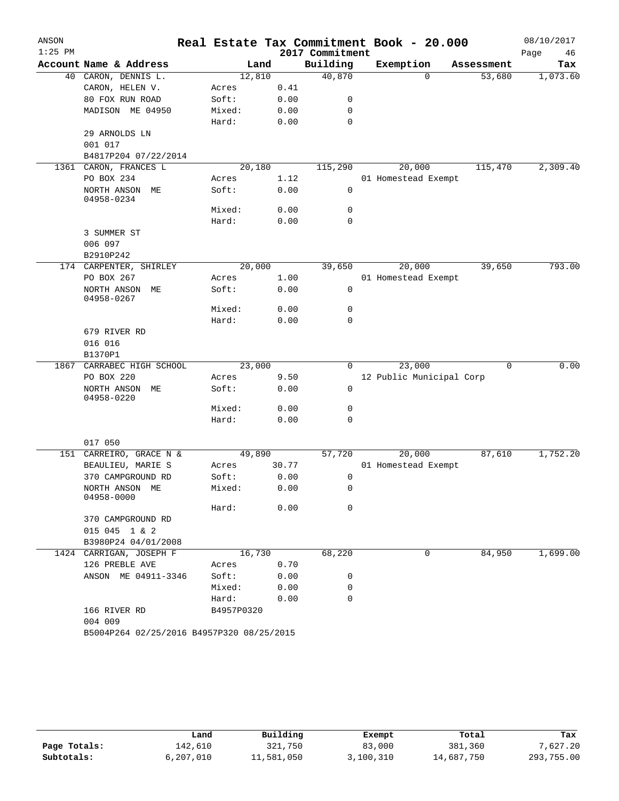| ANSON     |                                           |            |       |                 | Real Estate Tax Commitment Book - 20.000 |            | 08/10/2017 |
|-----------|-------------------------------------------|------------|-------|-----------------|------------------------------------------|------------|------------|
| $1:25$ PM |                                           |            |       | 2017 Commitment |                                          |            | Page<br>46 |
|           | Account Name & Address                    |            | Land  | Building        | Exemption                                | Assessment | Tax        |
|           | 40 CARON, DENNIS L.                       | 12,810     |       | 40,870          | $\Omega$                                 | 53,680     | 1,073.60   |
|           | CARON, HELEN V.                           | Acres      | 0.41  |                 |                                          |            |            |
|           | 80 FOX RUN ROAD                           | Soft:      | 0.00  | 0               |                                          |            |            |
|           | MADISON ME 04950                          | Mixed:     | 0.00  | 0               |                                          |            |            |
|           |                                           | Hard:      | 0.00  | 0               |                                          |            |            |
|           | 29 ARNOLDS LN                             |            |       |                 |                                          |            |            |
|           | 001 017                                   |            |       |                 |                                          |            |            |
|           | B4817P204 07/22/2014                      |            |       |                 |                                          |            |            |
| 1361      | CARON, FRANCES L                          | 20,180     |       | 115,290         | 20,000                                   | 115,470    | 2,309.40   |
|           | PO BOX 234                                | Acres      | 1.12  |                 | 01 Homestead Exempt                      |            |            |
|           | NORTH ANSON ME<br>04958-0234              | Soft:      | 0.00  | 0               |                                          |            |            |
|           |                                           | Mixed:     | 0.00  | 0               |                                          |            |            |
|           |                                           | Hard:      | 0.00  | $\mathbf 0$     |                                          |            |            |
|           | 3 SUMMER ST                               |            |       |                 |                                          |            |            |
|           | 006 097                                   |            |       |                 |                                          |            |            |
|           | B2910P242                                 |            |       |                 |                                          |            |            |
|           | 174 CARPENTER, SHIRLEY                    | 20,000     |       | 39,650          | 20,000                                   | 39,650     | 793.00     |
|           | PO BOX 267                                | Acres      | 1.00  |                 | 01 Homestead Exempt                      |            |            |
|           | NORTH ANSON ME<br>04958-0267              | Soft:      | 0.00  | 0               |                                          |            |            |
|           |                                           | Mixed:     | 0.00  | 0               |                                          |            |            |
|           |                                           | Hard:      | 0.00  | 0               |                                          |            |            |
|           | 679 RIVER RD                              |            |       |                 |                                          |            |            |
|           | 016 016<br>B1370P1                        |            |       |                 |                                          |            |            |
| 1867      | CARRABEC HIGH SCHOOL                      | 23,000     |       | 0               | 23,000                                   | 0          | 0.00       |
|           | PO BOX 220                                | Acres      | 9.50  |                 | 12 Public Municipal Corp                 |            |            |
|           | NORTH ANSON ME<br>04958-0220              | Soft:      | 0.00  | 0               |                                          |            |            |
|           |                                           | Mixed:     | 0.00  | 0               |                                          |            |            |
|           |                                           | Hard:      | 0.00  | 0               |                                          |            |            |
|           |                                           |            |       |                 |                                          |            |            |
|           | 017 050                                   |            |       |                 |                                          |            |            |
|           | 151 CARREIRO, GRACE N &                   | 49,890     |       | 57,720          | 20,000                                   | 87,610     | 1,752.20   |
|           | BEAULIEU, MARIE S                         | Acres      | 30.77 |                 | 01 Homestead Exempt                      |            |            |
|           | 370 CAMPGROUND RD                         | Soft:      | 0.00  | 0               |                                          |            |            |
|           | NORTH ANSON ME<br>04958-0000              | Mixed:     | 0.00  | 0               |                                          |            |            |
|           |                                           | Hard:      | 0.00  | 0               |                                          |            |            |
|           | 370 CAMPGROUND RD                         |            |       |                 |                                          |            |            |
|           | 015 045 1 & 2                             |            |       |                 |                                          |            |            |
|           | B3980P24 04/01/2008                       |            |       |                 |                                          |            |            |
|           | 1424 CARRIGAN, JOSEPH F                   | 16,730     |       | 68,220          | 0                                        | 84,950     | 1,699.00   |
|           | 126 PREBLE AVE                            | Acres      | 0.70  |                 |                                          |            |            |
|           | ANSON ME 04911-3346                       | Soft:      | 0.00  | 0               |                                          |            |            |
|           |                                           | Mixed:     | 0.00  | 0               |                                          |            |            |
|           |                                           | Hard:      | 0.00  | $\Omega$        |                                          |            |            |
|           | 166 RIVER RD                              | B4957P0320 |       |                 |                                          |            |            |
|           | 004 009                                   |            |       |                 |                                          |            |            |
|           | B5004P264 02/25/2016 B4957P320 08/25/2015 |            |       |                 |                                          |            |            |

|              | Land      | Building   | Exempt    | Total      | Tax        |
|--------------|-----------|------------|-----------|------------|------------|
| Page Totals: | 142,610   | 321,750    | 83,000    | 381,360    | 7,627.20   |
| Subtotals:   | 6,207,010 | 11,581,050 | 3,100,310 | 14,687,750 | 293,755.00 |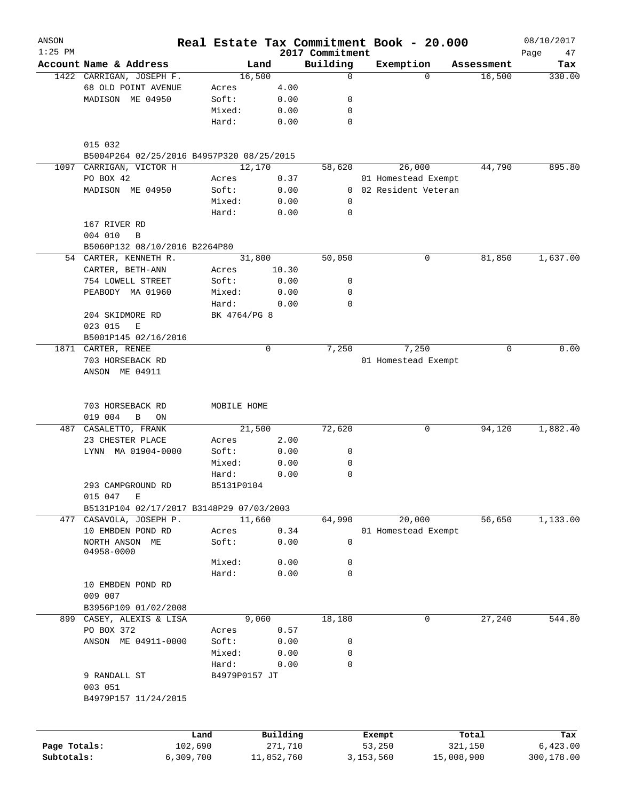| ANSON<br>$1:25$ PM |                                                                     | Real Estate Tax Commitment Book - 20.000 |            | 2017 Commitment |                       |            |            | 08/10/2017<br>Page<br>47 |
|--------------------|---------------------------------------------------------------------|------------------------------------------|------------|-----------------|-----------------------|------------|------------|--------------------------|
|                    | Account Name & Address                                              | Land                                     |            | Building        | Exemption             |            | Assessment | Tax                      |
|                    | 1422 CARRIGAN, JOSEPH F.                                            | 16,500                                   |            | $\mathbf 0$     |                       | $\Omega$   | 16,500     | 330.00                   |
|                    | 68 OLD POINT AVENUE                                                 | Acres                                    | 4.00       |                 |                       |            |            |                          |
|                    | MADISON ME 04950                                                    | Soft:                                    | 0.00       | 0               |                       |            |            |                          |
|                    |                                                                     | Mixed:                                   | 0.00       | 0               |                       |            |            |                          |
|                    |                                                                     | Hard:                                    | 0.00       | 0               |                       |            |            |                          |
|                    |                                                                     |                                          |            |                 |                       |            |            |                          |
|                    | 015 032                                                             |                                          |            |                 |                       |            |            |                          |
|                    | B5004P264 02/25/2016 B4957P320 08/25/2015                           |                                          |            |                 |                       |            |            |                          |
| 1097               | CARRIGAN, VICTOR H                                                  | 12,170                                   |            | 58,620          |                       | 26,000     | 44,790     | 895.80                   |
|                    | PO BOX 42                                                           | Acres                                    | 0.37       |                 | 01 Homestead Exempt   |            |            |                          |
|                    | MADISON ME 04950                                                    | Soft:                                    | 0.00       |                 | 0 02 Resident Veteran |            |            |                          |
|                    |                                                                     | Mixed:                                   | 0.00       | 0               |                       |            |            |                          |
|                    |                                                                     | Hard:                                    | 0.00       | 0               |                       |            |            |                          |
|                    | 167 RIVER RD                                                        |                                          |            |                 |                       |            |            |                          |
|                    | 004 010<br>B                                                        |                                          |            |                 |                       |            |            |                          |
|                    | B5060P132 08/10/2016 B2264P80                                       |                                          |            |                 |                       |            |            |                          |
|                    | 54 CARTER, KENNETH R.                                               | 31,800                                   |            | 50,050          |                       | 0          | 81,850     | 1,637.00                 |
|                    | CARTER, BETH-ANN                                                    | Acres                                    | 10.30      |                 |                       |            |            |                          |
|                    | 754 LOWELL STREET                                                   | Soft:                                    | 0.00       | 0               |                       |            |            |                          |
|                    | PEABODY MA 01960                                                    | Mixed:                                   | 0.00       | 0               |                       |            |            |                          |
|                    |                                                                     | Hard:                                    | 0.00       | $\mathbf 0$     |                       |            |            |                          |
|                    | 204 SKIDMORE RD                                                     | BK 4764/PG 8                             |            |                 |                       |            |            |                          |
|                    | 023 015<br>E                                                        |                                          |            |                 |                       |            |            |                          |
|                    | B5001P145 02/16/2016                                                |                                          |            |                 |                       |            |            |                          |
|                    | 1871 CARTER, RENEE                                                  |                                          | 0          | 7,250           |                       | 7,250      | 0          | 0.00                     |
|                    |                                                                     |                                          |            |                 |                       |            |            |                          |
|                    | 703 HORSEBACK RD                                                    |                                          |            |                 | 01 Homestead Exempt   |            |            |                          |
|                    | ANSON ME 04911                                                      |                                          |            |                 |                       |            |            |                          |
|                    |                                                                     |                                          |            |                 |                       |            |            |                          |
|                    | 703 HORSEBACK RD                                                    | MOBILE HOME                              |            |                 |                       |            |            |                          |
|                    | 019 004<br>B<br>ON                                                  |                                          |            |                 |                       |            |            |                          |
| 487                | CASALETTO, FRANK                                                    | 21,500                                   |            | 72,620          |                       | 0          | 94,120     | 1,882.40                 |
|                    | 23 CHESTER PLACE                                                    | Acres                                    | 2.00       |                 |                       |            |            |                          |
|                    | LYNN MA 01904-0000                                                  | Soft:                                    | 0.00       | 0               |                       |            |            |                          |
|                    |                                                                     | Mixed:                                   | 0.00       | 0               |                       |            |            |                          |
|                    |                                                                     | Hard:                                    |            | 0               |                       |            |            |                          |
|                    |                                                                     |                                          | 0.00       |                 |                       |            |            |                          |
|                    | 293 CAMPGROUND RD                                                   | B5131P0104                               |            |                 |                       |            |            |                          |
|                    | 015 047<br>Е                                                        |                                          |            |                 |                       |            |            |                          |
|                    | B5131P104 02/17/2017 B3148P29 07/03/2003<br>477 CASAVOLA, JOSEPH P. | 11,660                                   |            | 64,990          |                       | 20,000     | 56,650     | 1,133.00                 |
|                    | 10 EMBDEN POND RD                                                   |                                          | 0.34       |                 | 01 Homestead Exempt   |            |            |                          |
|                    |                                                                     | Acres<br>Soft:                           |            | $\mathsf{O}$    |                       |            |            |                          |
|                    | NORTH ANSON ME<br>04958-0000                                        |                                          | 0.00       |                 |                       |            |            |                          |
|                    |                                                                     | Mixed:                                   | 0.00       | 0               |                       |            |            |                          |
|                    |                                                                     | Hard:                                    | 0.00       | 0               |                       |            |            |                          |
|                    | 10 EMBDEN POND RD                                                   |                                          |            |                 |                       |            |            |                          |
|                    | 009 007                                                             |                                          |            |                 |                       |            |            |                          |
|                    | B3956P109 01/02/2008                                                |                                          |            |                 |                       |            |            |                          |
|                    |                                                                     |                                          |            |                 |                       |            |            |                          |
|                    | 899 CASEY, ALEXIS & LISA                                            | 9,060                                    |            | 18,180          |                       | 0          | 27,240     | 544.80                   |
|                    | PO BOX 372                                                          | Acres                                    | 0.57       |                 |                       |            |            |                          |
|                    | ANSON ME 04911-0000                                                 | Soft:                                    | 0.00       | 0               |                       |            |            |                          |
|                    |                                                                     | Mixed:                                   | 0.00       | 0               |                       |            |            |                          |
|                    |                                                                     | Hard:                                    | 0.00       | $\mathbf 0$     |                       |            |            |                          |
|                    | 9 RANDALL ST                                                        | B4979P0157 JT                            |            |                 |                       |            |            |                          |
|                    | 003 051                                                             |                                          |            |                 |                       |            |            |                          |
|                    | B4979P157 11/24/2015                                                |                                          |            |                 |                       |            |            |                          |
|                    |                                                                     |                                          |            |                 |                       |            |            |                          |
|                    |                                                                     |                                          |            |                 |                       |            |            |                          |
|                    |                                                                     | Land                                     | Building   |                 | Exempt                |            | Total      | Tax                      |
| Page Totals:       | 102,690                                                             |                                          | 271,710    |                 | 53,250                |            | 321,150    | 6,423.00                 |
| Subtotals:         | 6,309,700                                                           |                                          | 11,852,760 |                 | 3,153,560             | 15,008,900 |            | 300,178.00               |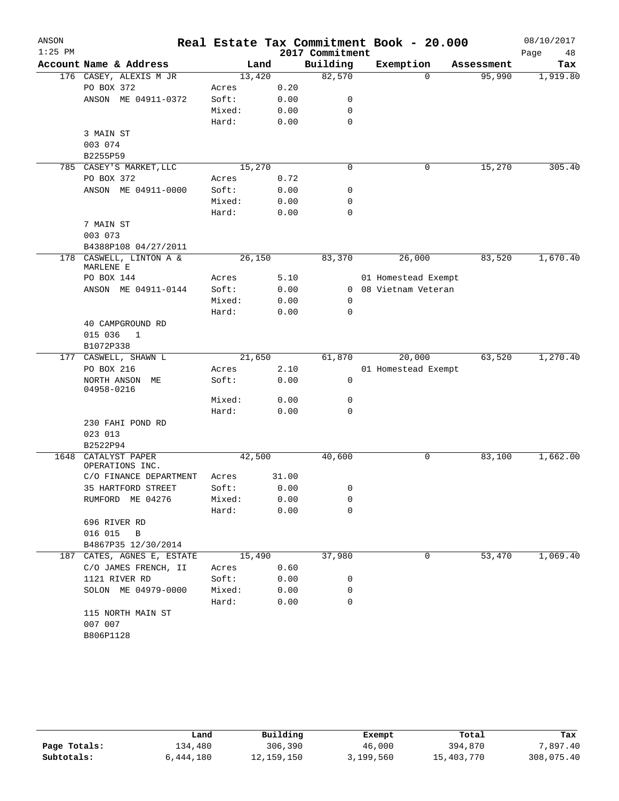| ANSON     |                                       |                |        |              |                 | Real Estate Tax Commitment Book - 20.000 |            | 08/10/2017 |
|-----------|---------------------------------------|----------------|--------|--------------|-----------------|------------------------------------------|------------|------------|
| $1:25$ PM |                                       |                |        |              | 2017 Commitment |                                          |            | Page<br>48 |
|           | Account Name & Address                |                | Land   |              | Building        | Exemption                                | Assessment | Tax        |
|           | 176 CASEY, ALEXIS M JR                |                | 13,420 |              | 82,570          | $\Omega$                                 | 95,990     | 1,919.80   |
|           | PO BOX 372                            | Acres          |        | 0.20         |                 |                                          |            |            |
|           | ANSON ME 04911-0372                   | Soft:          |        | 0.00         | 0               |                                          |            |            |
|           |                                       | Mixed:         |        | 0.00         | 0               |                                          |            |            |
|           |                                       | Hard:          |        | 0.00         | 0               |                                          |            |            |
|           | 3 MAIN ST                             |                |        |              |                 |                                          |            |            |
|           | 003 074                               |                |        |              |                 |                                          |            |            |
|           | B2255P59                              |                |        |              | $\mathbf 0$     |                                          | 15,270     |            |
|           | 785 CASEY'S MARKET, LLC<br>PO BOX 372 |                | 15,270 |              |                 | 0                                        |            | 305.40     |
|           | ANSON ME 04911-0000                   | Acres<br>Soft: |        | 0.72<br>0.00 | 0               |                                          |            |            |
|           |                                       | Mixed:         |        | 0.00         | 0               |                                          |            |            |
|           |                                       | Hard:          |        | 0.00         | 0               |                                          |            |            |
|           | 7 MAIN ST                             |                |        |              |                 |                                          |            |            |
|           | 003 073                               |                |        |              |                 |                                          |            |            |
|           | B4388P108 04/27/2011                  |                |        |              |                 |                                          |            |            |
| 178       | CASWELL, LINTON A &                   |                | 26,150 |              | 83,370          | 26,000                                   | 83,520     | 1,670.40   |
|           | MARLENE E                             |                |        |              |                 |                                          |            |            |
|           | PO BOX 144                            | Acres          |        | 5.10         |                 | 01 Homestead Exempt                      |            |            |
|           | ANSON ME 04911-0144                   | Soft:          |        | 0.00         |                 | 0 08 Vietnam Veteran                     |            |            |
|           |                                       | Mixed:         |        | 0.00         | 0               |                                          |            |            |
|           |                                       | Hard:          |        | 0.00         | 0               |                                          |            |            |
|           | 40 CAMPGROUND RD                      |                |        |              |                 |                                          |            |            |
|           | 015 036<br>1                          |                |        |              |                 |                                          |            |            |
|           | B1072P338                             |                |        |              |                 |                                          |            |            |
|           | 177 CASWELL, SHAWN L                  |                | 21,650 |              | 61,870          | 20,000                                   | 63,520     | 1,270.40   |
|           | PO BOX 216                            | Acres          |        | 2.10         |                 | 01 Homestead Exempt                      |            |            |
|           | NORTH ANSON<br>МE                     | Soft:          |        | 0.00         | $\mathbf 0$     |                                          |            |            |
|           | 04958-0216                            |                |        |              |                 |                                          |            |            |
|           |                                       | Mixed:         |        | 0.00         | 0               |                                          |            |            |
|           |                                       | Hard:          |        | 0.00         | 0               |                                          |            |            |
|           | 230 FAHI POND RD                      |                |        |              |                 |                                          |            |            |
|           | 023 013                               |                |        |              |                 |                                          |            |            |
| 1648      | B2522P94                              |                | 42,500 |              | 40,600          |                                          | 83,100     | 1,662.00   |
|           | CATALYST PAPER<br>OPERATIONS INC.     |                |        |              |                 | 0                                        |            |            |
|           | C/O FINANCE DEPARTMENT                | Acres          |        | 31.00        |                 |                                          |            |            |
|           | 35 HARTFORD STREET                    | Soft:          |        | 0.00         | 0               |                                          |            |            |
|           | RUMFORD ME 04276                      | Mixed:         |        | 0.00         | 0               |                                          |            |            |
|           |                                       | Hard:          |        | 0.00         | $\mathbf 0$     |                                          |            |            |
|           | 696 RIVER RD                          |                |        |              |                 |                                          |            |            |
|           | 016 015<br>$\overline{B}$             |                |        |              |                 |                                          |            |            |
|           | B4867P35 12/30/2014                   |                |        |              |                 |                                          |            |            |
| 187       | CATES, AGNES E, ESTATE                |                | 15,490 |              | 37,980          | 0                                        | 53,470     | 1,069.40   |
|           | C/O JAMES FRENCH, II                  | Acres          |        | 0.60         |                 |                                          |            |            |
|           | 1121 RIVER RD                         | Soft:          |        | 0.00         | 0               |                                          |            |            |
|           | SOLON ME 04979-0000                   | Mixed:         |        | 0.00         | 0               |                                          |            |            |
|           |                                       | Hard:          |        | 0.00         | 0               |                                          |            |            |
|           | 115 NORTH MAIN ST                     |                |        |              |                 |                                          |            |            |
|           | 007 007                               |                |        |              |                 |                                          |            |            |
|           | B806P1128                             |                |        |              |                 |                                          |            |            |
|           |                                       |                |        |              |                 |                                          |            |            |

|              | Land      | Building   | Exempt    | Total      | Tax        |
|--------------|-----------|------------|-----------|------------|------------|
| Page Totals: | l34,480   | 306,390    | 46,000    | 394,870    | 7,897.40   |
| Subtotals:   | 6,444,180 | 12,159,150 | 3,199,560 | 15,403,770 | 308,075.40 |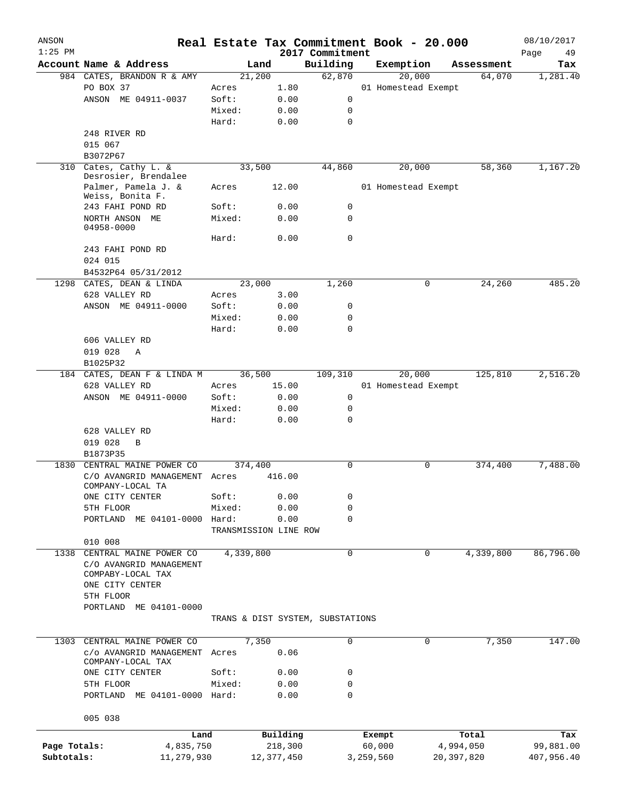| ANSON<br>$1:25$ PM |                               |            |           | Real Estate Tax Commitment Book - 20.000 | 2017 Commitment |           |                     |              | 08/10/2017<br>Page<br>49 |
|--------------------|-------------------------------|------------|-----------|------------------------------------------|-----------------|-----------|---------------------|--------------|--------------------------|
|                    | Account Name & Address        |            |           | Land                                     | Building        |           | Exemption           | Assessment   | Tax                      |
|                    | 984 CATES, BRANDON R & AMY    |            |           | 21,200                                   | 62,870          |           | 20,000              | 64,070       | 1,281.40                 |
|                    | PO BOX 37                     |            | Acres     | 1.80                                     |                 |           | 01 Homestead Exempt |              |                          |
|                    | ANSON ME 04911-0037           |            | Soft:     | 0.00                                     | 0               |           |                     |              |                          |
|                    |                               |            | Mixed:    | 0.00                                     | 0               |           |                     |              |                          |
|                    |                               |            | Hard:     | 0.00                                     | $\mathbf 0$     |           |                     |              |                          |
|                    | 248 RIVER RD                  |            |           |                                          |                 |           |                     |              |                          |
|                    | 015 067                       |            |           |                                          |                 |           |                     |              |                          |
|                    | B3072P67                      |            |           |                                          |                 |           |                     |              |                          |
| 310                | Cates, Cathy L. &             |            |           | 33,500                                   | 44,860          |           | 20,000              | 58,360       | 1,167.20                 |
|                    | Desrosier, Brendalee          |            |           |                                          |                 |           |                     |              |                          |
|                    | Palmer, Pamela J. &           |            | Acres     | 12.00                                    |                 |           | 01 Homestead Exempt |              |                          |
|                    | Weiss, Bonita F.              |            |           |                                          |                 |           |                     |              |                          |
|                    | 243 FAHI POND RD              |            | Soft:     | 0.00                                     | 0               |           |                     |              |                          |
|                    | NORTH ANSON ME                |            | Mixed:    | 0.00                                     | 0               |           |                     |              |                          |
|                    | 04958-0000                    |            |           |                                          |                 |           |                     |              |                          |
|                    |                               |            | Hard:     | 0.00                                     | $\mathbf 0$     |           |                     |              |                          |
|                    | 243 FAHI POND RD              |            |           |                                          |                 |           |                     |              |                          |
|                    | 024 015                       |            |           |                                          |                 |           |                     |              |                          |
|                    | B4532P64 05/31/2012           |            |           |                                          |                 |           |                     |              |                          |
|                    | 1298 CATES, DEAN & LINDA      |            |           | 23,000                                   | 1,260           |           | 0                   | 24,260       | 485.20                   |
|                    | 628 VALLEY RD                 |            | Acres     | 3.00                                     |                 |           |                     |              |                          |
|                    | ANSON ME 04911-0000           |            | Soft:     | 0.00                                     | 0               |           |                     |              |                          |
|                    |                               |            | Mixed:    | 0.00                                     | $\mathbf 0$     |           |                     |              |                          |
|                    |                               |            | Hard:     | 0.00                                     | $\mathbf 0$     |           |                     |              |                          |
|                    | 606 VALLEY RD                 |            |           |                                          |                 |           |                     |              |                          |
|                    | 019 028<br>Α                  |            |           |                                          |                 |           |                     |              |                          |
|                    | B1025P32                      |            |           |                                          |                 |           |                     |              |                          |
|                    | 184 CATES, DEAN F & LINDA M   |            |           | 36,500                                   | 109,310         |           | 20,000              | 125,810      | 2,516.20                 |
|                    | 628 VALLEY RD                 |            | Acres     | 15.00                                    |                 |           | 01 Homestead Exempt |              |                          |
|                    | ANSON ME 04911-0000           |            | Soft:     | 0.00                                     | 0               |           |                     |              |                          |
|                    |                               |            | Mixed:    | 0.00                                     | 0               |           |                     |              |                          |
|                    |                               |            | Hard:     | 0.00                                     | 0               |           |                     |              |                          |
|                    | 628 VALLEY RD                 |            |           |                                          |                 |           |                     |              |                          |
|                    | 019 028<br>B                  |            |           |                                          |                 |           |                     |              |                          |
|                    | B1873P35                      |            |           |                                          |                 |           |                     |              |                          |
| 1830               | CENTRAL MAINE POWER CO        |            |           | 374,400                                  | $\mathbf 0$     |           | 0                   | 374,400      | 7,488.00                 |
|                    | C/O AVANGRID MANAGEMENT Acres |            |           | 416.00                                   |                 |           |                     |              |                          |
|                    | COMPANY-LOCAL TA              |            |           |                                          |                 |           |                     |              |                          |
|                    | ONE CITY CENTER               |            | Soft:     | 0.00                                     | 0               |           |                     |              |                          |
|                    | 5TH FLOOR                     |            | Mixed:    | 0.00                                     | $\mathbf 0$     |           |                     |              |                          |
|                    | PORTLAND ME 04101-0000 Hard:  |            |           | 0.00                                     | 0               |           |                     |              |                          |
|                    |                               |            |           | TRANSMISSION LINE ROW                    |                 |           |                     |              |                          |
|                    | 010 008                       |            |           |                                          |                 |           |                     |              |                          |
| 1338               | CENTRAL MAINE POWER CO        |            | 4,339,800 |                                          | 0               |           | 0                   | 4,339,800    | 86,796.00                |
|                    | C/O AVANGRID MANAGEMENT       |            |           |                                          |                 |           |                     |              |                          |
|                    | COMPABY-LOCAL TAX             |            |           |                                          |                 |           |                     |              |                          |
|                    | ONE CITY CENTER               |            |           |                                          |                 |           |                     |              |                          |
|                    | 5TH FLOOR                     |            |           |                                          |                 |           |                     |              |                          |
|                    | PORTLAND ME 04101-0000        |            |           |                                          |                 |           |                     |              |                          |
|                    |                               |            |           | TRANS & DIST SYSTEM, SUBSTATIONS         |                 |           |                     |              |                          |
|                    |                               |            |           |                                          |                 |           |                     |              |                          |
| 1303               | CENTRAL MAINE POWER CO        |            |           | 7,350                                    | $\mathbf 0$     |           | 0                   | 7,350        | 147.00                   |
|                    | c/o AVANGRID MANAGEMENT Acres |            |           | 0.06                                     |                 |           |                     |              |                          |
|                    | COMPANY-LOCAL TAX             |            |           |                                          |                 |           |                     |              |                          |
|                    | ONE CITY CENTER               |            | Soft:     | 0.00                                     | 0               |           |                     |              |                          |
|                    | 5TH FLOOR                     |            | Mixed:    | 0.00                                     | 0               |           |                     |              |                          |
|                    | PORTLAND ME 04101-0000 Hard:  |            |           | 0.00                                     | 0               |           |                     |              |                          |
|                    |                               |            |           |                                          |                 |           |                     |              |                          |
|                    | 005 038                       |            |           |                                          |                 |           |                     |              |                          |
|                    |                               | Land       |           | Building                                 |                 | Exempt    |                     | Total        | Tax                      |
| Page Totals:       |                               | 4,835,750  |           | 218,300                                  |                 | 60,000    |                     | 4,994,050    | 99,881.00                |
| Subtotals:         |                               | 11,279,930 |           | 12,377,450                               |                 | 3,259,560 |                     | 20, 397, 820 | 407,956.40               |
|                    |                               |            |           |                                          |                 |           |                     |              |                          |
|                    |                               |            |           |                                          |                 |           |                     |              |                          |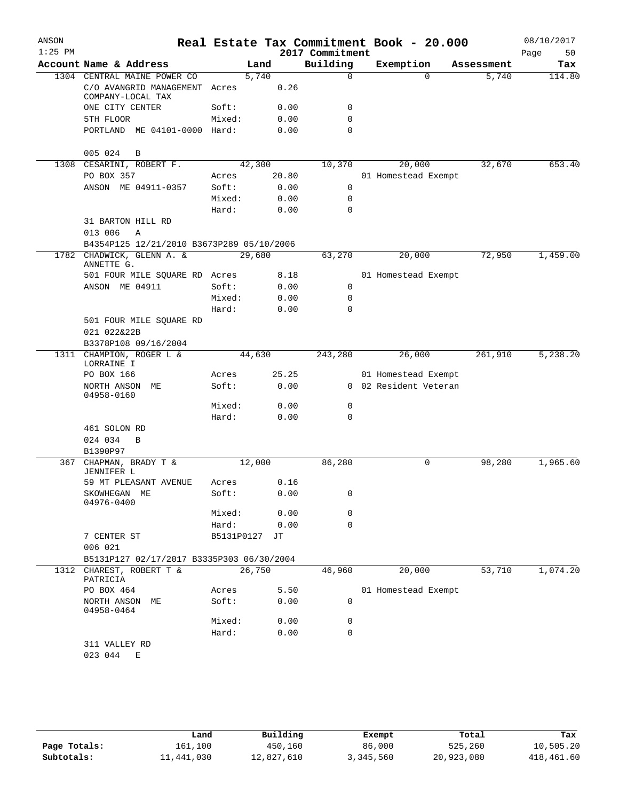| ANSON     |                                                    |            |        |       |                 | Real Estate Tax Commitment Book - 20.000 |            | 08/10/2017 |
|-----------|----------------------------------------------------|------------|--------|-------|-----------------|------------------------------------------|------------|------------|
| $1:25$ PM |                                                    |            |        |       | 2017 Commitment |                                          |            | 50<br>Page |
|           | Account Name & Address                             |            | Land   |       | Building        | Exemption                                | Assessment | Tax        |
|           | 1304 CENTRAL MAINE POWER CO                        |            | 5,740  |       | $\mathbf 0$     | $\Omega$                                 | 5,740      | 114.80     |
|           | C/O AVANGRID MANAGEMENT Acres<br>COMPANY-LOCAL TAX |            |        | 0.26  |                 |                                          |            |            |
|           | ONE CITY CENTER                                    | Soft:      |        | 0.00  | 0               |                                          |            |            |
|           | 5TH FLOOR                                          | Mixed:     |        | 0.00  | 0               |                                          |            |            |
|           | PORTLAND ME 04101-0000 Hard:                       |            |        | 0.00  | 0               |                                          |            |            |
|           | 005 024<br>В                                       |            |        |       |                 |                                          |            |            |
| 1308      | CESARINI, ROBERT F.                                |            | 42,300 |       | 10,370          | 20,000                                   | 32,670     | 653.40     |
|           | PO BOX 357                                         | Acres      |        | 20.80 |                 | 01 Homestead Exempt                      |            |            |
|           | ANSON ME 04911-0357                                | Soft:      |        | 0.00  | 0               |                                          |            |            |
|           |                                                    | Mixed:     |        | 0.00  | $\mathbf 0$     |                                          |            |            |
|           |                                                    | Hard:      |        | 0.00  | $\Omega$        |                                          |            |            |
|           | 31 BARTON HILL RD                                  |            |        |       |                 |                                          |            |            |
|           | 013 006<br>Α                                       |            |        |       |                 |                                          |            |            |
|           | B4354P125 12/21/2010 B3673P289 05/10/2006          |            |        |       |                 |                                          |            |            |
|           | 1782 CHADWICK, GLENN A. &<br>ANNETTE G.            |            | 29,680 |       | 63,270          | 20,000                                   | 72,950     | 1,459.00   |
|           | 501 FOUR MILE SQUARE RD Acres                      |            |        | 8.18  |                 | 01 Homestead Exempt                      |            |            |
|           | ANSON ME 04911                                     | Soft:      |        | 0.00  | 0               |                                          |            |            |
|           |                                                    | Mixed:     |        | 0.00  | 0               |                                          |            |            |
|           |                                                    | Hard:      |        | 0.00  | 0               |                                          |            |            |
|           | 501 FOUR MILE SQUARE RD                            |            |        |       |                 |                                          |            |            |
|           | 021 022&22B                                        |            |        |       |                 |                                          |            |            |
|           | B3378P108 09/16/2004                               |            |        |       |                 |                                          |            |            |
| 1311      | CHAMPION, ROGER L &<br>LORRAINE I                  |            | 44,630 |       | 243,280         | 26,000                                   | 261,910    | 5,238.20   |
|           | PO BOX 166                                         | Acres      |        | 25.25 |                 | 01 Homestead Exempt                      |            |            |
|           | NORTH ANSON ME<br>04958-0160                       | Soft:      |        | 0.00  |                 | 0 02 Resident Veteran                    |            |            |
|           |                                                    | Mixed:     |        | 0.00  | 0               |                                          |            |            |
|           |                                                    | Hard:      |        | 0.00  | 0               |                                          |            |            |
|           | 461 SOLON RD                                       |            |        |       |                 |                                          |            |            |
|           | 024 034<br>B                                       |            |        |       |                 |                                          |            |            |
|           | B1390P97                                           |            |        |       |                 |                                          |            |            |
| 367       | CHAPMAN, BRADY T &<br>JENNIFER L                   |            | 12,000 |       | 86,280          | 0                                        | 98,280     | 1,965.60   |
|           | 59 MT PLEASANT AVENUE                              | Acres      |        | 0.16  |                 |                                          |            |            |
|           | SKOWHEGAN ME<br>04976-0400                         | Soft:      |        | 0.00  | 0               |                                          |            |            |
|           |                                                    | Mixed:     |        | 0.00  | 0               |                                          |            |            |
|           |                                                    | Hard:      |        | 0.00  | $\mathbf 0$     |                                          |            |            |
|           | 7 CENTER ST                                        | B5131P0127 |        | JТ    |                 |                                          |            |            |
|           | 006 021                                            |            |        |       |                 |                                          |            |            |
|           | B5131P127 02/17/2017 B3335P303 06/30/2004          |            |        |       |                 |                                          |            |            |
|           | 1312 CHAREST, ROBERT T &<br>PATRICIA               |            | 26,750 |       | 46,960          | 20,000                                   | 53,710     | 1,074.20   |
|           | PO BOX 464                                         | Acres      |        | 5.50  |                 | 01 Homestead Exempt                      |            |            |
|           | NORTH ANSON ME<br>04958-0464                       | Soft:      |        | 0.00  | 0               |                                          |            |            |
|           |                                                    | Mixed:     |        | 0.00  | 0               |                                          |            |            |
|           |                                                    | Hard:      |        | 0.00  | 0               |                                          |            |            |
|           | 311 VALLEY RD                                      |            |        |       |                 |                                          |            |            |
|           | 023 044<br>Е                                       |            |        |       |                 |                                          |            |            |

|              | Land       | Building   | Exempt    | Total      | Tax        |
|--------------|------------|------------|-----------|------------|------------|
| Page Totals: | 161,100    | 450,160    | 86,000    | 525,260    | 10,505.20  |
| Subtotals:   | 11,441,030 | 12,827,610 | 3,345,560 | 20,923,080 | 418,461.60 |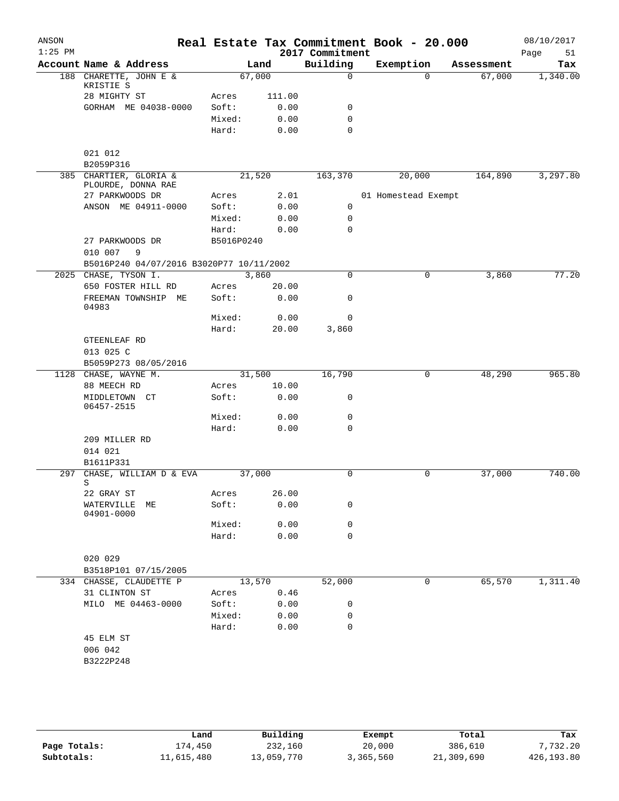| ANSON     |                                          |            |        |                             | Real Estate Tax Commitment Book - 20.000 |            | 08/10/2017        |
|-----------|------------------------------------------|------------|--------|-----------------------------|------------------------------------------|------------|-------------------|
| $1:25$ PM | Account Name & Address                   |            | Land   | 2017 Commitment<br>Building | Exemption                                | Assessment | Page<br>51<br>Tax |
|           | 188 CHARETTE, JOHN E &                   |            | 67,000 | $\Omega$                    | $\Omega$                                 | 67,000     | 1,340.00          |
|           | KRISTIE S<br>28 MIGHTY ST                | Acres      | 111.00 |                             |                                          |            |                   |
|           | GORHAM ME 04038-0000                     | Soft:      | 0.00   | 0                           |                                          |            |                   |
|           |                                          | Mixed:     | 0.00   | $\mathbf 0$                 |                                          |            |                   |
|           |                                          | Hard:      | 0.00   | $\mathbf 0$                 |                                          |            |                   |
|           | 021 012<br>B2059P316                     |            |        |                             |                                          |            |                   |
|           | 385 CHARTIER, GLORIA &                   |            | 21,520 | 163,370                     | 20,000                                   | 164,890    | 3,297.80          |
|           | PLOURDE, DONNA RAE                       |            |        |                             |                                          |            |                   |
|           | 27 PARKWOODS DR                          | Acres      | 2.01   |                             | 01 Homestead Exempt                      |            |                   |
|           | ANSON ME 04911-0000                      | Soft:      | 0.00   | 0                           |                                          |            |                   |
|           |                                          | Mixed:     | 0.00   | 0                           |                                          |            |                   |
|           |                                          | Hard:      | 0.00   | $\mathbf 0$                 |                                          |            |                   |
|           | 27 PARKWOODS DR<br>010 007<br>- 9        | B5016P0240 |        |                             |                                          |            |                   |
|           | B5016P240 04/07/2016 B3020P77 10/11/2002 |            |        |                             |                                          |            |                   |
| 2025      | CHASE, TYSON I.                          |            | 3,860  | $\mathbf 0$                 | $\mathbf 0$                              | 3,860      | 77.20             |
|           | 650 FOSTER HILL RD                       | Acres      | 20.00  |                             |                                          |            |                   |
|           | FREEMAN TOWNSHIP ME<br>04983             | Soft:      | 0.00   | 0                           |                                          |            |                   |
|           |                                          | Mixed:     | 0.00   | 0                           |                                          |            |                   |
|           |                                          | Hard:      | 20.00  | 3,860                       |                                          |            |                   |
|           | GTEENLEAF RD                             |            |        |                             |                                          |            |                   |
|           | 013 025 C                                |            |        |                             |                                          |            |                   |
|           | B5059P273 08/05/2016                     |            |        |                             |                                          |            |                   |
|           | 1128 CHASE, WAYNE M.                     |            | 31,500 | 16,790                      | 0                                        | 48,290     | 965.80            |
|           | 88 MEECH RD                              | Acres      | 10.00  |                             |                                          |            |                   |
|           | MIDDLETOWN CT<br>06457-2515              | Soft:      | 0.00   | 0                           |                                          |            |                   |
|           |                                          | Mixed:     | 0.00   | 0                           |                                          |            |                   |
|           |                                          | Hard:      | 0.00   | $\mathbf 0$                 |                                          |            |                   |
|           | 209 MILLER RD                            |            |        |                             |                                          |            |                   |
|           | 014 021                                  |            |        |                             |                                          |            |                   |
|           | B1611P331                                |            |        |                             |                                          |            |                   |
| 297       | CHASE, WILLIAM D & EVA<br>S              |            | 37,000 | 0                           | 0                                        | 37,000     | 740.00            |
|           | 22 GRAY ST                               | Acres      | 26.00  |                             |                                          |            |                   |
|           | WATERVILLE<br>МE<br>04901-0000           | Soft:      | 0.00   | 0                           |                                          |            |                   |
|           |                                          | Mixed:     | 0.00   | 0                           |                                          |            |                   |
|           |                                          | Hard:      | 0.00   | $\mathbf 0$                 |                                          |            |                   |
|           | 020 029                                  |            |        |                             |                                          |            |                   |
|           | B3518P101 07/15/2005                     |            |        |                             |                                          |            |                   |
|           | 334 CHASSE, CLAUDETTE P                  |            | 13,570 | 52,000                      | 0                                        | 65,570     | 1,311.40          |
|           | 31 CLINTON ST                            | Acres      | 0.46   |                             |                                          |            |                   |
|           | MILO ME 04463-0000                       | Soft:      | 0.00   | 0                           |                                          |            |                   |
|           |                                          | Mixed:     | 0.00   | 0                           |                                          |            |                   |
|           |                                          | Hard:      | 0.00   | 0                           |                                          |            |                   |
|           | 45 ELM ST                                |            |        |                             |                                          |            |                   |
|           | 006 042                                  |            |        |                             |                                          |            |                   |
|           | B3222P248                                |            |        |                             |                                          |            |                   |
|           |                                          |            |        |                             |                                          |            |                   |
|           |                                          |            |        |                             |                                          |            |                   |
|           |                                          |            |        |                             |                                          |            |                   |

|              | Land       | Building   | Exempt    | Total      | Tax        |
|--------------|------------|------------|-----------|------------|------------|
| Page Totals: | L74,450    | 232,160    | 20,000    | 386,610    | 7,732.20   |
| Subtotals:   | 11,615,480 | 13,059,770 | 3,365,560 | 21,309,690 | 426,193.80 |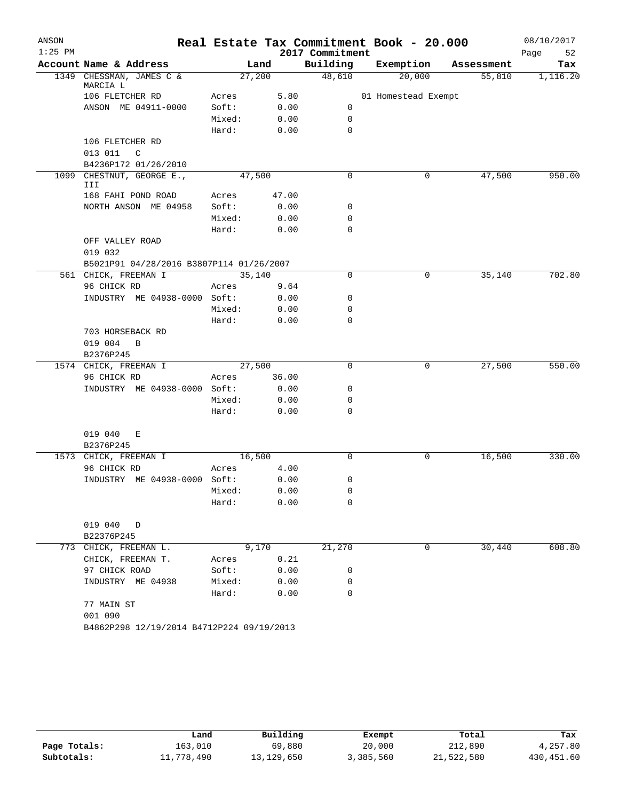| ANSON     |                                           |        |        |                 | Real Estate Tax Commitment Book - 20.000 |            | 08/10/2017 |
|-----------|-------------------------------------------|--------|--------|-----------------|------------------------------------------|------------|------------|
| $1:25$ PM |                                           |        |        | 2017 Commitment |                                          |            | Page<br>52 |
|           | Account Name & Address                    |        | Land   | Building        | Exemption                                | Assessment | Tax        |
|           | 1349 CHESSMAN, JAMES C &<br>MARCIA L      |        | 27,200 | 48,610          | 20,000                                   | 55,810     | 1,116.20   |
|           | 106 FLETCHER RD                           | Acres  | 5.80   |                 | 01 Homestead Exempt                      |            |            |
|           | ANSON ME 04911-0000                       | Soft:  | 0.00   | 0               |                                          |            |            |
|           |                                           | Mixed: | 0.00   | 0               |                                          |            |            |
|           |                                           | Hard:  | 0.00   | 0               |                                          |            |            |
|           | 106 FLETCHER RD                           |        |        |                 |                                          |            |            |
|           | 013 011<br>C                              |        |        |                 |                                          |            |            |
|           | B4236P172 01/26/2010                      |        |        |                 |                                          |            |            |
|           | 1099 CHESTNUT, GEORGE E.,<br>III          |        | 47,500 | 0               | 0                                        | 47,500     | 950.00     |
|           | 168 FAHI POND ROAD                        | Acres  | 47.00  |                 |                                          |            |            |
|           | NORTH ANSON ME 04958                      | Soft:  | 0.00   | 0               |                                          |            |            |
|           |                                           | Mixed: | 0.00   | 0               |                                          |            |            |
|           |                                           | Hard:  | 0.00   | 0               |                                          |            |            |
|           | OFF VALLEY ROAD                           |        |        |                 |                                          |            |            |
|           | 019 032                                   |        |        |                 |                                          |            |            |
|           | B5021P91 04/28/2016 B3807P114 01/26/2007  |        |        |                 |                                          |            |            |
|           | 561 CHICK, FREEMAN I                      |        | 35,140 | 0               | 0                                        | 35,140     | 702.80     |
|           | 96 CHICK RD                               | Acres  | 9.64   |                 |                                          |            |            |
|           | INDUSTRY ME 04938-0000 Soft:              |        | 0.00   | 0               |                                          |            |            |
|           |                                           | Mixed: | 0.00   | 0               |                                          |            |            |
|           |                                           | Hard:  | 0.00   | $\mathbf 0$     |                                          |            |            |
|           | 703 HORSEBACK RD                          |        |        |                 |                                          |            |            |
|           | 019 004<br>B                              |        |        |                 |                                          |            |            |
|           | B2376P245<br>1574 CHICK, FREEMAN I        |        | 27,500 | 0               | 0                                        | 27,500     | 550.00     |
|           | 96 CHICK RD                               | Acres  | 36.00  |                 |                                          |            |            |
|           | INDUSTRY ME 04938-0000 Soft:              |        | 0.00   | 0               |                                          |            |            |
|           |                                           | Mixed: | 0.00   | 0               |                                          |            |            |
|           |                                           | Hard:  | 0.00   | 0               |                                          |            |            |
|           |                                           |        |        |                 |                                          |            |            |
|           | 019 040<br>Е                              |        |        |                 |                                          |            |            |
|           | B2376P245                                 |        |        |                 |                                          |            |            |
|           | 1573 CHICK, FREEMAN I                     |        | 16,500 | 0               | 0                                        | 16,500     | 330.00     |
|           | 96 CHICK RD                               | Acres  | 4.00   |                 |                                          |            |            |
|           | INDUSTRY ME 04938-0000 Soft:              |        | 0.00   | 0               |                                          |            |            |
|           |                                           | Mixed: | 0.00   | 0               |                                          |            |            |
|           |                                           | Hard:  | 0.00   | 0               |                                          |            |            |
|           | 019 040 D                                 |        |        |                 |                                          |            |            |
|           | B22376P245                                |        |        |                 |                                          |            |            |
|           | 773 CHICK, FREEMAN L.                     |        | 9,170  | 21,270          | 0                                        | 30,440     | 608.80     |
|           | CHICK, FREEMAN T.                         | Acres  | 0.21   |                 |                                          |            |            |
|           | 97 CHICK ROAD                             | Soft:  | 0.00   | 0               |                                          |            |            |
|           | INDUSTRY ME 04938                         | Mixed: | 0.00   | 0               |                                          |            |            |
|           |                                           | Hard:  | 0.00   | 0               |                                          |            |            |
|           | 77 MAIN ST                                |        |        |                 |                                          |            |            |
|           | 001 090                                   |        |        |                 |                                          |            |            |
|           | B4862P298 12/19/2014 B4712P224 09/19/2013 |        |        |                 |                                          |            |            |

|              | Land       | Building   | Exempt    | Total      | Tax        |
|--------------|------------|------------|-----------|------------|------------|
| Page Totals: | 163,010    | 69,880     | 20,000    | 212,890    | 4,257.80   |
| Subtotals:   | 11,778,490 | 13,129,650 | 3,385,560 | 21,522,580 | 430,451.60 |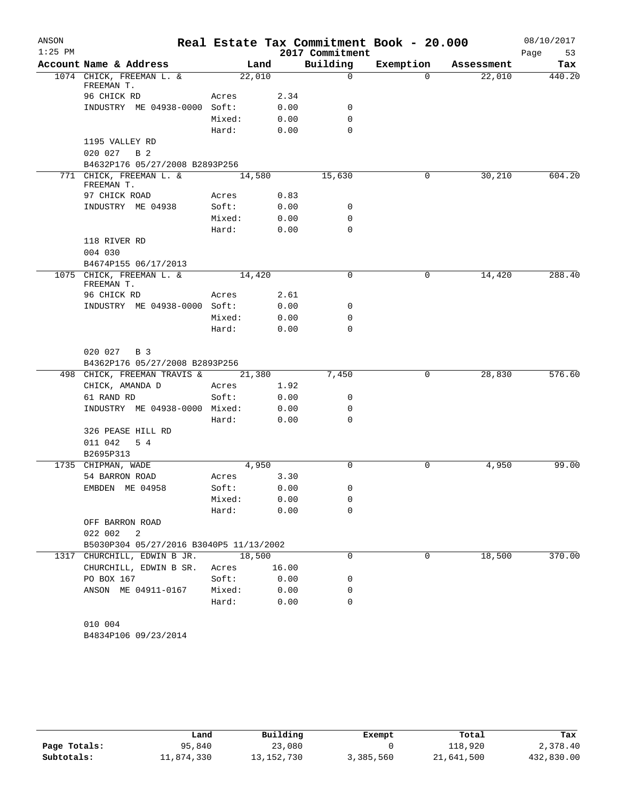| ANSON     |                                               |        |       |                 | Real Estate Tax Commitment Book - 20.000 |            | 08/10/2017 |
|-----------|-----------------------------------------------|--------|-------|-----------------|------------------------------------------|------------|------------|
| $1:25$ PM |                                               |        |       | 2017 Commitment |                                          |            | Page<br>53 |
|           | Account Name & Address                        | Land   |       | Building        | Exemption                                | Assessment | Tax        |
|           | 1074 CHICK, FREEMAN L. &                      | 22,010 |       | $\mathbf 0$     | $\Omega$                                 | 22,010     | 440.20     |
|           | FREEMAN T.<br>96 CHICK RD                     | Acres  | 2.34  |                 |                                          |            |            |
|           | INDUSTRY ME 04938-0000 Soft:                  |        | 0.00  | 0               |                                          |            |            |
|           |                                               | Mixed: | 0.00  | 0               |                                          |            |            |
|           |                                               | Hard:  | 0.00  | $\Omega$        |                                          |            |            |
|           | 1195 VALLEY RD                                |        |       |                 |                                          |            |            |
|           | 020 027<br>B 2                                |        |       |                 |                                          |            |            |
|           | B4632P176 05/27/2008 B2893P256                |        |       |                 |                                          |            |            |
|           | 771 CHICK, FREEMAN L. &                       | 14,580 |       | 15,630          | 0                                        | 30,210     | 604.20     |
|           | FREEMAN T.                                    |        |       |                 |                                          |            |            |
|           | 97 CHICK ROAD                                 | Acres  | 0.83  |                 |                                          |            |            |
|           | INDUSTRY ME 04938                             | Soft:  | 0.00  | 0               |                                          |            |            |
|           |                                               | Mixed: | 0.00  | 0               |                                          |            |            |
|           |                                               | Hard:  | 0.00  | $\mathbf 0$     |                                          |            |            |
|           | 118 RIVER RD                                  |        |       |                 |                                          |            |            |
|           | 004 030                                       |        |       |                 |                                          |            |            |
|           | B4674P155 06/17/2013                          |        |       |                 |                                          |            |            |
|           | 1075 CHICK, FREEMAN L. &<br>FREEMAN T.        | 14,420 |       | 0               | 0                                        | 14,420     | 288.40     |
|           | 96 CHICK RD                                   | Acres  | 2.61  |                 |                                          |            |            |
|           | INDUSTRY ME 04938-0000 Soft:                  |        | 0.00  | 0               |                                          |            |            |
|           |                                               | Mixed: | 0.00  | 0               |                                          |            |            |
|           |                                               | Hard:  | 0.00  | 0               |                                          |            |            |
|           | 020 027 B 3<br>B4362P176 05/27/2008 B2893P256 |        |       |                 |                                          |            |            |
|           | 498 CHICK, FREEMAN TRAVIS &                   | 21,380 |       | 7,450           | 0                                        | 28,830     | 576.60     |
|           | CHICK, AMANDA D                               | Acres  | 1.92  |                 |                                          |            |            |
|           | 61 RAND RD                                    | Soft:  | 0.00  | 0               |                                          |            |            |
|           | INDUSTRY ME 04938-0000 Mixed:                 |        | 0.00  | 0               |                                          |            |            |
|           |                                               | Hard:  | 0.00  | 0               |                                          |            |            |
|           | 326 PEASE HILL RD                             |        |       |                 |                                          |            |            |
|           | 011 042<br>5 4                                |        |       |                 |                                          |            |            |
|           | B2695P313                                     |        |       |                 |                                          |            |            |
|           | 1735 CHIPMAN, WADE                            | 4,950  |       | $\mathbf 0$     | 0                                        | 4,950      | 99.00      |
|           | 54 BARRON ROAD                                | Acres  | 3.30  |                 |                                          |            |            |
|           | EMBDEN ME 04958                               | Soft:  | 0.00  | 0               |                                          |            |            |
|           |                                               | Mixed: | 0.00  | 0               |                                          |            |            |
|           |                                               | Hard:  | 0.00  | 0               |                                          |            |            |
|           | OFF BARRON ROAD                               |        |       |                 |                                          |            |            |
|           | 022 002<br>2                                  |        |       |                 |                                          |            |            |
|           | B5030P304 05/27/2016 B3040P5 11/13/2002       |        |       |                 |                                          |            |            |
|           | 1317 CHURCHILL, EDWIN B JR.                   | 18,500 |       | $\mathbf 0$     | 0                                        | 18,500     | 370.00     |
|           | CHURCHILL, EDWIN B SR.                        | Acres  | 16.00 |                 |                                          |            |            |
|           | PO BOX 167                                    | Soft:  | 0.00  | 0               |                                          |            |            |
|           | ANSON ME 04911-0167                           | Mixed: | 0.00  | 0               |                                          |            |            |
|           |                                               | Hard:  | 0.00  | 0               |                                          |            |            |
|           |                                               |        |       |                 |                                          |            |            |
|           | 010 004                                       |        |       |                 |                                          |            |            |
|           | B4834P106 09/23/2014                          |        |       |                 |                                          |            |            |

|              | Land       | Building   | Exempt    | Total      | Tax        |
|--------------|------------|------------|-----------|------------|------------|
| Page Totals: | 95,840     | 23,080     |           | 118,920    | 2,378.40   |
| Subtotals:   | 11,874,330 | 13,152,730 | 3,385,560 | 21,641,500 | 432,830.00 |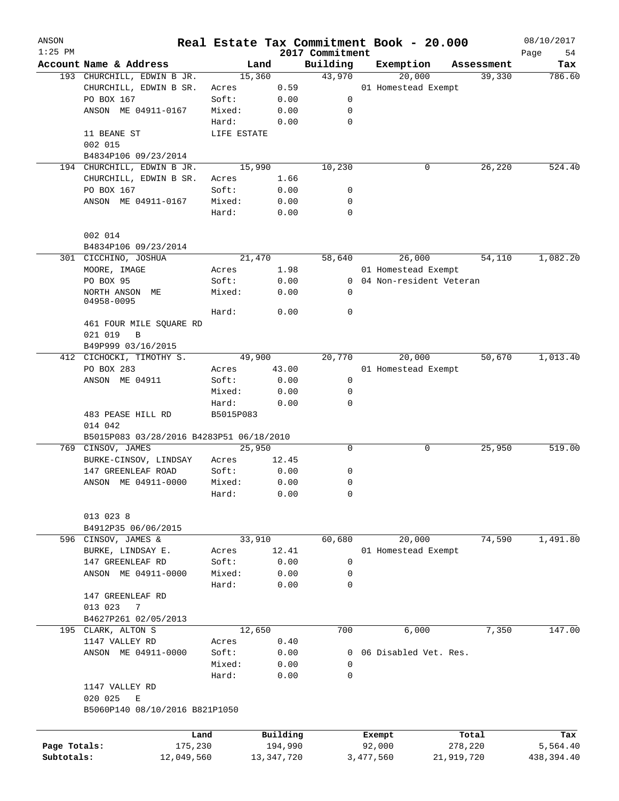| ANSON<br>$1:25$ PM |                                                | Real Estate Tax Commitment Book - 20.000 |              | 2017 Commitment |           |                           |            |            | 08/10/2017<br>Page<br>54 |
|--------------------|------------------------------------------------|------------------------------------------|--------------|-----------------|-----------|---------------------------|------------|------------|--------------------------|
|                    | Account Name & Address                         |                                          | Land         | Building        |           | Exemption                 |            | Assessment | Tax                      |
|                    | 193 CHURCHILL, EDWIN B JR.                     |                                          | 15,360       | 43,970          |           | 20,000                    |            | 39,330     | 786.60                   |
|                    | CHURCHILL, EDWIN B SR.                         | Acres                                    | 0.59         |                 |           | 01 Homestead Exempt       |            |            |                          |
|                    | PO BOX 167                                     | Soft:                                    | 0.00         | 0               |           |                           |            |            |                          |
|                    | ANSON ME 04911-0167                            | Mixed:                                   | 0.00         | 0               |           |                           |            |            |                          |
|                    |                                                | Hard:                                    | 0.00         | 0               |           |                           |            |            |                          |
|                    | 11 BEANE ST                                    | LIFE ESTATE                              |              |                 |           |                           |            |            |                          |
|                    | 002 015                                        |                                          |              |                 |           |                           |            |            |                          |
|                    | B4834P106 09/23/2014                           |                                          |              |                 |           |                           |            |            |                          |
|                    | 194 CHURCHILL, EDWIN B JR.                     |                                          | 15,990       | 10,230          |           | 0                         |            | 26,220     | 524.40                   |
|                    | CHURCHILL, EDWIN B SR.                         | Acres                                    | 1.66         |                 |           |                           |            |            |                          |
|                    | PO BOX 167                                     | Soft:                                    | 0.00         | 0               |           |                           |            |            |                          |
|                    | ANSON ME 04911-0167                            | Mixed:                                   | 0.00         | 0               |           |                           |            |            |                          |
|                    |                                                | Hard:                                    | 0.00         | 0               |           |                           |            |            |                          |
|                    |                                                |                                          |              |                 |           |                           |            |            |                          |
|                    | 002 014                                        |                                          |              |                 |           |                           |            |            |                          |
|                    | B4834P106 09/23/2014                           |                                          |              |                 |           |                           |            |            |                          |
|                    | 301 CICCHINO, JOSHUA                           |                                          | 21,470       | 58,640          |           | 26,000                    |            | 54,110     | 1,082.20                 |
|                    | MOORE, IMAGE                                   | Acres                                    | 1.98         |                 |           | 01 Homestead Exempt       |            |            |                          |
|                    |                                                |                                          |              |                 |           |                           |            |            |                          |
|                    | PO BOX 95                                      | Soft:<br>Mixed:                          | 0.00         |                 |           | 0 04 Non-resident Veteran |            |            |                          |
|                    | NORTH ANSON ME<br>04958-0095                   |                                          | 0.00         | 0               |           |                           |            |            |                          |
|                    |                                                | Hard:                                    | 0.00         | 0               |           |                           |            |            |                          |
|                    | 461 FOUR MILE SQUARE RD                        |                                          |              |                 |           |                           |            |            |                          |
|                    | 021 019<br>B                                   |                                          |              |                 |           |                           |            |            |                          |
|                    |                                                |                                          |              |                 |           |                           |            |            |                          |
|                    | B49P999 03/16/2015<br>412 CICHOCKI, TIMOTHY S. |                                          | 49,900       | 20,770          |           | 20,000                    |            | 50,670     | 1,013.40                 |
|                    | PO BOX 283                                     |                                          |              |                 |           |                           |            |            |                          |
|                    |                                                | Acres                                    | 43.00        |                 |           | 01 Homestead Exempt       |            |            |                          |
|                    | ANSON ME 04911                                 | Soft:                                    | 0.00         | 0               |           |                           |            |            |                          |
|                    |                                                | Mixed:                                   | 0.00         | 0               |           |                           |            |            |                          |
|                    |                                                | Hard:                                    | 0.00         | 0               |           |                           |            |            |                          |
|                    | 483 PEASE HILL RD                              | B5015P083                                |              |                 |           |                           |            |            |                          |
|                    | 014 042                                        |                                          |              |                 |           |                           |            |            |                          |
|                    | B5015P083 03/28/2016 B4283P51 06/18/2010       |                                          |              |                 |           |                           |            |            |                          |
|                    | 769 CINSOV, JAMES                              |                                          | 25,950       | 0               |           | 0                         |            | 25,950     | 519.00                   |
|                    | BURKE-CINSOV, LINDSAY                          | Acres                                    | 12.45        |                 |           |                           |            |            |                          |
|                    | 147 GREENLEAF ROAD                             | Soft:                                    | 0.00         | 0               |           |                           |            |            |                          |
|                    | ANSON ME 04911-0000                            | Mixed:                                   | 0.00         | 0               |           |                           |            |            |                          |
|                    |                                                | Hard:                                    | 0.00         | 0               |           |                           |            |            |                          |
|                    |                                                |                                          |              |                 |           |                           |            |            |                          |
|                    | 013 023 8                                      |                                          |              |                 |           |                           |            |            |                          |
|                    | B4912P35 06/06/2015                            |                                          |              |                 |           |                           |            |            |                          |
|                    | 596 CINSOV, JAMES &                            |                                          | 33,910       | 60,680          |           | 20,000                    |            | 74,590     | 1,491.80                 |
|                    | BURKE, LINDSAY E.                              | Acres                                    | 12.41        |                 |           | 01 Homestead Exempt       |            |            |                          |
|                    | 147 GREENLEAF RD                               | Soft:                                    | 0.00         | 0               |           |                           |            |            |                          |
|                    | ANSON ME 04911-0000                            | Mixed:                                   | 0.00         | 0               |           |                           |            |            |                          |
|                    |                                                | Hard:                                    | 0.00         | 0               |           |                           |            |            |                          |
|                    | 147 GREENLEAF RD                               |                                          |              |                 |           |                           |            |            |                          |
|                    | 013 023<br>7                                   |                                          |              |                 |           |                           |            |            |                          |
|                    | B4627P261 02/05/2013                           |                                          |              |                 |           |                           |            |            |                          |
|                    | 195 CLARK, ALTON S                             |                                          | 12,650       | 700             |           | 6,000                     |            | 7,350      | 147.00                   |
|                    | 1147 VALLEY RD                                 | Acres                                    | 0.40         |                 |           |                           |            |            |                          |
|                    | ANSON ME 04911-0000                            | Soft:                                    | 0.00         |                 |           | 0 06 Disabled Vet. Res.   |            |            |                          |
|                    |                                                | Mixed:                                   | 0.00         | 0               |           |                           |            |            |                          |
|                    |                                                | Hard:                                    | 0.00         | 0               |           |                           |            |            |                          |
|                    | 1147 VALLEY RD                                 |                                          |              |                 |           |                           |            |            |                          |
|                    | 020 025<br>Е                                   |                                          |              |                 |           |                           |            |            |                          |
|                    | B5060P140 08/10/2016 B821P1050                 |                                          |              |                 |           |                           |            |            |                          |
|                    |                                                |                                          |              |                 |           |                           |            |            |                          |
|                    |                                                | Land                                     | Building     |                 | Exempt    |                           | Total      |            | Tax                      |
| Page Totals:       |                                                | 175,230                                  | 194,990      |                 | 92,000    |                           | 278,220    |            | 5,564.40                 |
| Subtotals:         | 12,049,560                                     |                                          | 13, 347, 720 |                 | 3,477,560 |                           | 21,919,720 |            | 438,394.40               |
|                    |                                                |                                          |              |                 |           |                           |            |            |                          |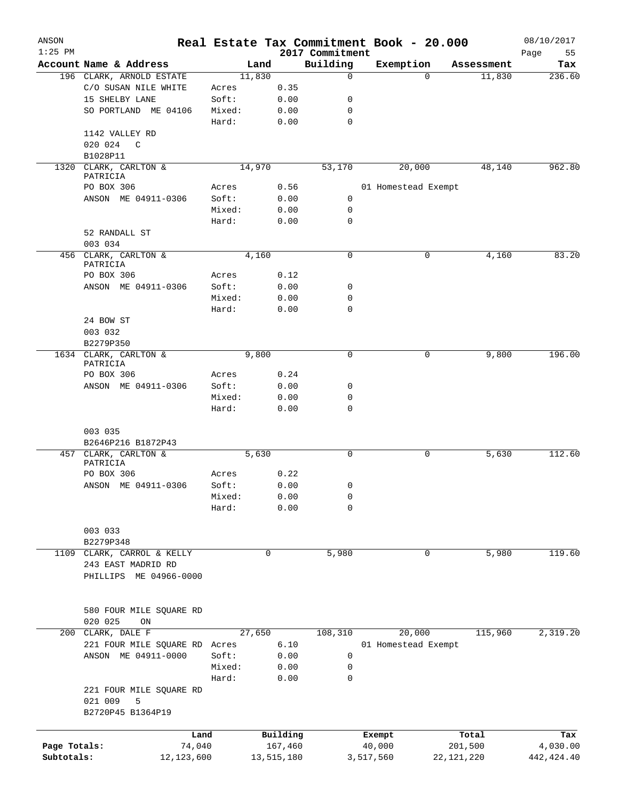| ANSON<br>$1:25$ PM |                               |        |            | 2017 Commitment | Real Estate Tax Commitment Book - 20.000 |              | 08/10/2017<br>Page<br>55 |
|--------------------|-------------------------------|--------|------------|-----------------|------------------------------------------|--------------|--------------------------|
|                    | Account Name & Address        | Land   |            | Building        | Exemption                                | Assessment   | Tax                      |
|                    | 196 CLARK, ARNOLD ESTATE      | 11,830 |            | $\mathbf 0$     | $\Omega$                                 | 11,830       | 236.60                   |
|                    | C/O SUSAN NILE WHITE          | Acres  | 0.35       |                 |                                          |              |                          |
|                    | 15 SHELBY LANE                | Soft:  | 0.00       | 0               |                                          |              |                          |
|                    | SO PORTLAND ME 04106          | Mixed: | 0.00       | 0               |                                          |              |                          |
|                    |                               | Hard:  | 0.00       | $\mathbf 0$     |                                          |              |                          |
|                    | 1142 VALLEY RD                |        |            |                 |                                          |              |                          |
|                    | 020 024<br>C                  |        |            |                 |                                          |              |                          |
|                    | B1028P11                      |        |            |                 |                                          |              |                          |
| 1320               | CLARK, CARLTON &              | 14,970 |            | 53,170          | 20,000                                   | 48,140       | 962.80                   |
|                    | PATRICIA                      |        |            |                 |                                          |              |                          |
|                    | PO BOX 306                    | Acres  | 0.56       |                 | 01 Homestead Exempt                      |              |                          |
|                    | ANSON ME 04911-0306           | Soft:  | 0.00       | 0               |                                          |              |                          |
|                    |                               | Mixed: | 0.00       | 0               |                                          |              |                          |
|                    |                               | Hard:  | 0.00       | $\mathbf 0$     |                                          |              |                          |
|                    | 52 RANDALL ST                 |        |            |                 |                                          |              |                          |
|                    | 003 034                       |        |            |                 |                                          |              |                          |
|                    | 456 CLARK, CARLTON &          | 4,160  |            | 0               | 0                                        | 4,160        | 83.20                    |
|                    | PATRICIA                      |        |            |                 |                                          |              |                          |
|                    | PO BOX 306                    | Acres  | 0.12       |                 |                                          |              |                          |
|                    | ANSON ME 04911-0306           | Soft:  | 0.00       | 0               |                                          |              |                          |
|                    |                               | Mixed: | 0.00       | 0               |                                          |              |                          |
|                    |                               | Hard:  | 0.00       | $\mathbf 0$     |                                          |              |                          |
|                    | 24 BOW ST                     |        |            |                 |                                          |              |                          |
|                    | 003 032                       |        |            |                 |                                          |              |                          |
|                    | B2279P350                     |        |            |                 |                                          |              |                          |
| 1634               | CLARK, CARLTON &              | 9,800  |            | 0               | 0                                        | 9,800        | 196.00                   |
|                    | PATRICIA                      |        |            |                 |                                          |              |                          |
|                    | PO BOX 306                    | Acres  | 0.24       |                 |                                          |              |                          |
|                    | ANSON ME 04911-0306           | Soft:  | 0.00       | 0               |                                          |              |                          |
|                    |                               | Mixed: | 0.00       | 0               |                                          |              |                          |
|                    |                               | Hard:  | 0.00       | 0               |                                          |              |                          |
|                    |                               |        |            |                 |                                          |              |                          |
|                    | 003 035                       |        |            |                 |                                          |              |                          |
|                    | B2646P216 B1872P43            |        |            |                 |                                          |              |                          |
| 457                | CLARK, CARLTON &              | 5,630  |            | 0               | 0                                        | 5,630        | 112.60                   |
|                    | PATRICIA                      |        |            |                 |                                          |              |                          |
|                    | PO BOX 306                    | Acres  | 0.22       |                 |                                          |              |                          |
|                    | ANSON ME 04911-0306           | Soft:  | 0.00       | 0               |                                          |              |                          |
|                    |                               | Mixed: | 0.00       | 0               |                                          |              |                          |
|                    |                               | Hard:  | 0.00       | $\mathbf 0$     |                                          |              |                          |
|                    |                               |        |            |                 |                                          |              |                          |
|                    | 003 033                       |        |            |                 |                                          |              |                          |
|                    | B2279P348                     |        |            |                 |                                          |              |                          |
|                    | 1109 CLARK, CARROL & KELLY    |        | 0          |                 | 0                                        |              | 119.60                   |
|                    |                               |        |            | 5,980           |                                          | 5,980        |                          |
|                    | 243 EAST MADRID RD            |        |            |                 |                                          |              |                          |
|                    | PHILLIPS ME 04966-0000        |        |            |                 |                                          |              |                          |
|                    |                               |        |            |                 |                                          |              |                          |
|                    |                               |        |            |                 |                                          |              |                          |
|                    | 580 FOUR MILE SQUARE RD       |        |            |                 |                                          |              |                          |
|                    | 020 025<br>ON                 |        |            |                 |                                          |              |                          |
|                    | 200 CLARK, DALE F             | 27,650 |            | 108,310         | 20,000                                   | 115,960      | 2,319.20                 |
|                    | 221 FOUR MILE SQUARE RD Acres |        | 6.10       |                 | 01 Homestead Exempt                      |              |                          |
|                    | ANSON ME 04911-0000           | Soft:  | 0.00       | 0               |                                          |              |                          |
|                    |                               | Mixed: | 0.00       | 0               |                                          |              |                          |
|                    |                               | Hard:  | 0.00       | $\mathbf 0$     |                                          |              |                          |
|                    | 221 FOUR MILE SQUARE RD       |        |            |                 |                                          |              |                          |
|                    | 021 009<br>5                  |        |            |                 |                                          |              |                          |
|                    | B2720P45 B1364P19             |        |            |                 |                                          |              |                          |
|                    |                               |        |            |                 |                                          |              |                          |
|                    | Land                          |        | Building   |                 | Exempt                                   | Total        | Tax                      |
| Page Totals:       | 74,040                        |        | 167,460    |                 | 40,000                                   | 201,500      | 4,030.00                 |
| Subtotals:         | 12, 123, 600                  |        | 13,515,180 |                 | 3,517,560                                | 22, 121, 220 | 442, 424.40              |
|                    |                               |        |            |                 |                                          |              |                          |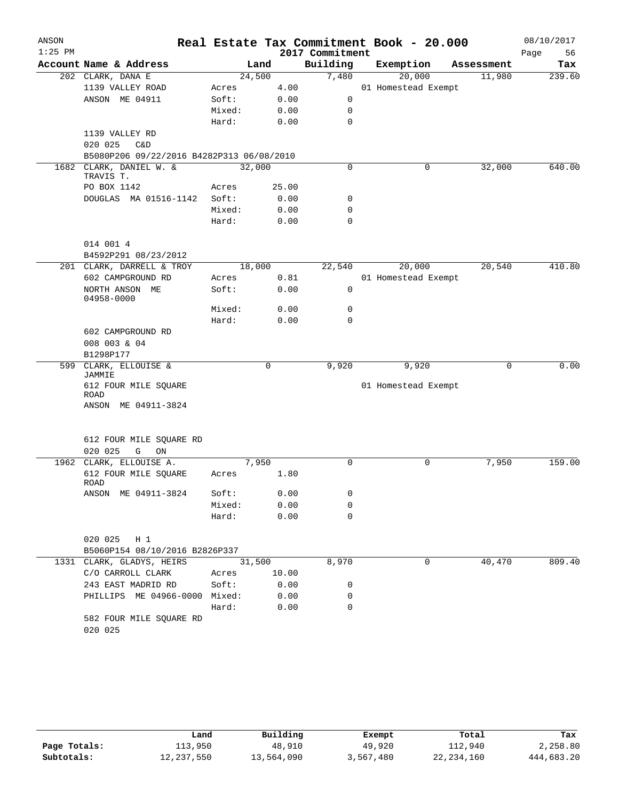| Building<br>Exemption<br>Account Name & Address<br>Land<br>Assessment<br>Tax<br>7,480<br>20,000<br>202 CLARK, DANA E<br>24,500<br>11,980<br>1139 VALLEY ROAD<br>4.00<br>01 Homestead Exempt<br>Acres<br>ANSON ME 04911<br>Soft:<br>0.00<br>0<br>Mixed:<br>0.00<br>0<br>$\mathbf 0$<br>Hard:<br>0.00<br>1139 VALLEY RD<br>020 025<br>C&D<br>B5080P206 09/22/2016 B4282P313 06/08/2010<br>1682 CLARK, DANIEL W. &<br>32,000<br>$\mathbf 0$<br>32,000<br>0<br>TRAVIS T.<br>PO BOX 1142<br>Acres<br>25.00<br>DOUGLAS MA 01516-1142<br>Soft:<br>0.00<br>0<br>0.00<br>$\mathbf 0$<br>Mixed:<br>$\mathbf 0$<br>Hard:<br>0.00<br>014 001 4<br>B4592P291 08/23/2012<br>18,000<br>22,540<br>20,000<br>20,540<br>201 CLARK, DARRELL & TROY<br>602 CAMPGROUND RD<br>0.81<br>01 Homestead Exempt<br>Acres<br>$\mathbf 0$<br>NORTH ANSON ME<br>Soft:<br>0.00<br>04958-0000<br>Mixed:<br>0<br>0.00<br>Hard:<br>0.00<br>$\Omega$<br>602 CAMPGROUND RD<br>008 003 & 04<br>B1298P177<br>599 CLARK, ELLOUISE &<br>9,920<br>0<br>9,920<br>0<br>JAMMIE<br>612 FOUR MILE SQUARE<br>01 Homestead Exempt<br>ROAD<br>ANSON ME 04911-3824<br>612 FOUR MILE SQUARE RD<br>020 025<br>G<br>ON<br>7,950<br>$\mathbf 0$<br>1962 CLARK, ELLOUISE A.<br>0<br>7,950<br>1.80<br>612 FOUR MILE SQUARE<br>Acres<br>ROAD<br>ANSON ME 04911-3824<br>Soft:<br>0.00<br>0<br>Mixed:<br>0.00<br>0<br>Hard:<br>0.00<br>0<br>020 025 H 1<br>B5060P154 08/10/2016 B2826P337<br>31,500<br>8,970<br>40,470<br>1331 CLARK, GLADYS, HEIRS<br>0<br>C/O CARROLL CLARK<br>10.00<br>Acres<br>243 EAST MADRID RD<br>Soft:<br>0.00<br>0<br>PHILLIPS ME 04966-0000 Mixed:<br>0.00<br>0<br>Hard:<br>0.00<br>0<br>582 FOUR MILE SQUARE RD<br>020 025 | ANSON<br>$1:25$ PM |  |  | 2017 Commitment | Real Estate Tax Commitment Book - 20.000 | 08/10/2017<br>Page<br>56 |
|-------------------------------------------------------------------------------------------------------------------------------------------------------------------------------------------------------------------------------------------------------------------------------------------------------------------------------------------------------------------------------------------------------------------------------------------------------------------------------------------------------------------------------------------------------------------------------------------------------------------------------------------------------------------------------------------------------------------------------------------------------------------------------------------------------------------------------------------------------------------------------------------------------------------------------------------------------------------------------------------------------------------------------------------------------------------------------------------------------------------------------------------------------------------------------------------------------------------------------------------------------------------------------------------------------------------------------------------------------------------------------------------------------------------------------------------------------------------------------------------------------------------------------------------------------------------------------------------------------------------------------------------------------------------------------------------|--------------------|--|--|-----------------|------------------------------------------|--------------------------|
| 239.60                                                                                                                                                                                                                                                                                                                                                                                                                                                                                                                                                                                                                                                                                                                                                                                                                                                                                                                                                                                                                                                                                                                                                                                                                                                                                                                                                                                                                                                                                                                                                                                                                                                                                    |                    |  |  |                 |                                          |                          |
|                                                                                                                                                                                                                                                                                                                                                                                                                                                                                                                                                                                                                                                                                                                                                                                                                                                                                                                                                                                                                                                                                                                                                                                                                                                                                                                                                                                                                                                                                                                                                                                                                                                                                           |                    |  |  |                 |                                          |                          |
| 640.00<br>410.80<br>0.00<br>159.00                                                                                                                                                                                                                                                                                                                                                                                                                                                                                                                                                                                                                                                                                                                                                                                                                                                                                                                                                                                                                                                                                                                                                                                                                                                                                                                                                                                                                                                                                                                                                                                                                                                        |                    |  |  |                 |                                          |                          |
|                                                                                                                                                                                                                                                                                                                                                                                                                                                                                                                                                                                                                                                                                                                                                                                                                                                                                                                                                                                                                                                                                                                                                                                                                                                                                                                                                                                                                                                                                                                                                                                                                                                                                           |                    |  |  |                 |                                          |                          |
|                                                                                                                                                                                                                                                                                                                                                                                                                                                                                                                                                                                                                                                                                                                                                                                                                                                                                                                                                                                                                                                                                                                                                                                                                                                                                                                                                                                                                                                                                                                                                                                                                                                                                           |                    |  |  |                 |                                          |                          |
|                                                                                                                                                                                                                                                                                                                                                                                                                                                                                                                                                                                                                                                                                                                                                                                                                                                                                                                                                                                                                                                                                                                                                                                                                                                                                                                                                                                                                                                                                                                                                                                                                                                                                           |                    |  |  |                 |                                          |                          |
|                                                                                                                                                                                                                                                                                                                                                                                                                                                                                                                                                                                                                                                                                                                                                                                                                                                                                                                                                                                                                                                                                                                                                                                                                                                                                                                                                                                                                                                                                                                                                                                                                                                                                           |                    |  |  |                 |                                          |                          |
|                                                                                                                                                                                                                                                                                                                                                                                                                                                                                                                                                                                                                                                                                                                                                                                                                                                                                                                                                                                                                                                                                                                                                                                                                                                                                                                                                                                                                                                                                                                                                                                                                                                                                           |                    |  |  |                 |                                          |                          |
|                                                                                                                                                                                                                                                                                                                                                                                                                                                                                                                                                                                                                                                                                                                                                                                                                                                                                                                                                                                                                                                                                                                                                                                                                                                                                                                                                                                                                                                                                                                                                                                                                                                                                           |                    |  |  |                 |                                          |                          |
|                                                                                                                                                                                                                                                                                                                                                                                                                                                                                                                                                                                                                                                                                                                                                                                                                                                                                                                                                                                                                                                                                                                                                                                                                                                                                                                                                                                                                                                                                                                                                                                                                                                                                           |                    |  |  |                 |                                          |                          |
|                                                                                                                                                                                                                                                                                                                                                                                                                                                                                                                                                                                                                                                                                                                                                                                                                                                                                                                                                                                                                                                                                                                                                                                                                                                                                                                                                                                                                                                                                                                                                                                                                                                                                           |                    |  |  |                 |                                          |                          |
|                                                                                                                                                                                                                                                                                                                                                                                                                                                                                                                                                                                                                                                                                                                                                                                                                                                                                                                                                                                                                                                                                                                                                                                                                                                                                                                                                                                                                                                                                                                                                                                                                                                                                           |                    |  |  |                 |                                          |                          |
|                                                                                                                                                                                                                                                                                                                                                                                                                                                                                                                                                                                                                                                                                                                                                                                                                                                                                                                                                                                                                                                                                                                                                                                                                                                                                                                                                                                                                                                                                                                                                                                                                                                                                           |                    |  |  |                 |                                          |                          |
|                                                                                                                                                                                                                                                                                                                                                                                                                                                                                                                                                                                                                                                                                                                                                                                                                                                                                                                                                                                                                                                                                                                                                                                                                                                                                                                                                                                                                                                                                                                                                                                                                                                                                           |                    |  |  |                 |                                          |                          |
|                                                                                                                                                                                                                                                                                                                                                                                                                                                                                                                                                                                                                                                                                                                                                                                                                                                                                                                                                                                                                                                                                                                                                                                                                                                                                                                                                                                                                                                                                                                                                                                                                                                                                           |                    |  |  |                 |                                          |                          |
|                                                                                                                                                                                                                                                                                                                                                                                                                                                                                                                                                                                                                                                                                                                                                                                                                                                                                                                                                                                                                                                                                                                                                                                                                                                                                                                                                                                                                                                                                                                                                                                                                                                                                           |                    |  |  |                 |                                          |                          |
|                                                                                                                                                                                                                                                                                                                                                                                                                                                                                                                                                                                                                                                                                                                                                                                                                                                                                                                                                                                                                                                                                                                                                                                                                                                                                                                                                                                                                                                                                                                                                                                                                                                                                           |                    |  |  |                 |                                          |                          |
|                                                                                                                                                                                                                                                                                                                                                                                                                                                                                                                                                                                                                                                                                                                                                                                                                                                                                                                                                                                                                                                                                                                                                                                                                                                                                                                                                                                                                                                                                                                                                                                                                                                                                           |                    |  |  |                 |                                          |                          |
|                                                                                                                                                                                                                                                                                                                                                                                                                                                                                                                                                                                                                                                                                                                                                                                                                                                                                                                                                                                                                                                                                                                                                                                                                                                                                                                                                                                                                                                                                                                                                                                                                                                                                           |                    |  |  |                 |                                          |                          |
|                                                                                                                                                                                                                                                                                                                                                                                                                                                                                                                                                                                                                                                                                                                                                                                                                                                                                                                                                                                                                                                                                                                                                                                                                                                                                                                                                                                                                                                                                                                                                                                                                                                                                           |                    |  |  |                 |                                          |                          |
|                                                                                                                                                                                                                                                                                                                                                                                                                                                                                                                                                                                                                                                                                                                                                                                                                                                                                                                                                                                                                                                                                                                                                                                                                                                                                                                                                                                                                                                                                                                                                                                                                                                                                           |                    |  |  |                 |                                          |                          |
|                                                                                                                                                                                                                                                                                                                                                                                                                                                                                                                                                                                                                                                                                                                                                                                                                                                                                                                                                                                                                                                                                                                                                                                                                                                                                                                                                                                                                                                                                                                                                                                                                                                                                           |                    |  |  |                 |                                          |                          |
|                                                                                                                                                                                                                                                                                                                                                                                                                                                                                                                                                                                                                                                                                                                                                                                                                                                                                                                                                                                                                                                                                                                                                                                                                                                                                                                                                                                                                                                                                                                                                                                                                                                                                           |                    |  |  |                 |                                          |                          |
|                                                                                                                                                                                                                                                                                                                                                                                                                                                                                                                                                                                                                                                                                                                                                                                                                                                                                                                                                                                                                                                                                                                                                                                                                                                                                                                                                                                                                                                                                                                                                                                                                                                                                           |                    |  |  |                 |                                          |                          |
|                                                                                                                                                                                                                                                                                                                                                                                                                                                                                                                                                                                                                                                                                                                                                                                                                                                                                                                                                                                                                                                                                                                                                                                                                                                                                                                                                                                                                                                                                                                                                                                                                                                                                           |                    |  |  |                 |                                          |                          |
|                                                                                                                                                                                                                                                                                                                                                                                                                                                                                                                                                                                                                                                                                                                                                                                                                                                                                                                                                                                                                                                                                                                                                                                                                                                                                                                                                                                                                                                                                                                                                                                                                                                                                           |                    |  |  |                 |                                          |                          |
|                                                                                                                                                                                                                                                                                                                                                                                                                                                                                                                                                                                                                                                                                                                                                                                                                                                                                                                                                                                                                                                                                                                                                                                                                                                                                                                                                                                                                                                                                                                                                                                                                                                                                           |                    |  |  |                 |                                          |                          |
|                                                                                                                                                                                                                                                                                                                                                                                                                                                                                                                                                                                                                                                                                                                                                                                                                                                                                                                                                                                                                                                                                                                                                                                                                                                                                                                                                                                                                                                                                                                                                                                                                                                                                           |                    |  |  |                 |                                          |                          |
|                                                                                                                                                                                                                                                                                                                                                                                                                                                                                                                                                                                                                                                                                                                                                                                                                                                                                                                                                                                                                                                                                                                                                                                                                                                                                                                                                                                                                                                                                                                                                                                                                                                                                           |                    |  |  |                 |                                          |                          |
|                                                                                                                                                                                                                                                                                                                                                                                                                                                                                                                                                                                                                                                                                                                                                                                                                                                                                                                                                                                                                                                                                                                                                                                                                                                                                                                                                                                                                                                                                                                                                                                                                                                                                           |                    |  |  |                 |                                          |                          |
|                                                                                                                                                                                                                                                                                                                                                                                                                                                                                                                                                                                                                                                                                                                                                                                                                                                                                                                                                                                                                                                                                                                                                                                                                                                                                                                                                                                                                                                                                                                                                                                                                                                                                           |                    |  |  |                 |                                          |                          |
| 809.40                                                                                                                                                                                                                                                                                                                                                                                                                                                                                                                                                                                                                                                                                                                                                                                                                                                                                                                                                                                                                                                                                                                                                                                                                                                                                                                                                                                                                                                                                                                                                                                                                                                                                    |                    |  |  |                 |                                          |                          |
|                                                                                                                                                                                                                                                                                                                                                                                                                                                                                                                                                                                                                                                                                                                                                                                                                                                                                                                                                                                                                                                                                                                                                                                                                                                                                                                                                                                                                                                                                                                                                                                                                                                                                           |                    |  |  |                 |                                          |                          |
|                                                                                                                                                                                                                                                                                                                                                                                                                                                                                                                                                                                                                                                                                                                                                                                                                                                                                                                                                                                                                                                                                                                                                                                                                                                                                                                                                                                                                                                                                                                                                                                                                                                                                           |                    |  |  |                 |                                          |                          |
|                                                                                                                                                                                                                                                                                                                                                                                                                                                                                                                                                                                                                                                                                                                                                                                                                                                                                                                                                                                                                                                                                                                                                                                                                                                                                                                                                                                                                                                                                                                                                                                                                                                                                           |                    |  |  |                 |                                          |                          |
|                                                                                                                                                                                                                                                                                                                                                                                                                                                                                                                                                                                                                                                                                                                                                                                                                                                                                                                                                                                                                                                                                                                                                                                                                                                                                                                                                                                                                                                                                                                                                                                                                                                                                           |                    |  |  |                 |                                          |                          |
|                                                                                                                                                                                                                                                                                                                                                                                                                                                                                                                                                                                                                                                                                                                                                                                                                                                                                                                                                                                                                                                                                                                                                                                                                                                                                                                                                                                                                                                                                                                                                                                                                                                                                           |                    |  |  |                 |                                          |                          |
|                                                                                                                                                                                                                                                                                                                                                                                                                                                                                                                                                                                                                                                                                                                                                                                                                                                                                                                                                                                                                                                                                                                                                                                                                                                                                                                                                                                                                                                                                                                                                                                                                                                                                           |                    |  |  |                 |                                          |                          |
|                                                                                                                                                                                                                                                                                                                                                                                                                                                                                                                                                                                                                                                                                                                                                                                                                                                                                                                                                                                                                                                                                                                                                                                                                                                                                                                                                                                                                                                                                                                                                                                                                                                                                           |                    |  |  |                 |                                          |                          |
|                                                                                                                                                                                                                                                                                                                                                                                                                                                                                                                                                                                                                                                                                                                                                                                                                                                                                                                                                                                                                                                                                                                                                                                                                                                                                                                                                                                                                                                                                                                                                                                                                                                                                           |                    |  |  |                 |                                          |                          |
|                                                                                                                                                                                                                                                                                                                                                                                                                                                                                                                                                                                                                                                                                                                                                                                                                                                                                                                                                                                                                                                                                                                                                                                                                                                                                                                                                                                                                                                                                                                                                                                                                                                                                           |                    |  |  |                 |                                          |                          |
|                                                                                                                                                                                                                                                                                                                                                                                                                                                                                                                                                                                                                                                                                                                                                                                                                                                                                                                                                                                                                                                                                                                                                                                                                                                                                                                                                                                                                                                                                                                                                                                                                                                                                           |                    |  |  |                 |                                          |                          |
|                                                                                                                                                                                                                                                                                                                                                                                                                                                                                                                                                                                                                                                                                                                                                                                                                                                                                                                                                                                                                                                                                                                                                                                                                                                                                                                                                                                                                                                                                                                                                                                                                                                                                           |                    |  |  |                 |                                          |                          |
|                                                                                                                                                                                                                                                                                                                                                                                                                                                                                                                                                                                                                                                                                                                                                                                                                                                                                                                                                                                                                                                                                                                                                                                                                                                                                                                                                                                                                                                                                                                                                                                                                                                                                           |                    |  |  |                 |                                          |                          |
|                                                                                                                                                                                                                                                                                                                                                                                                                                                                                                                                                                                                                                                                                                                                                                                                                                                                                                                                                                                                                                                                                                                                                                                                                                                                                                                                                                                                                                                                                                                                                                                                                                                                                           |                    |  |  |                 |                                          |                          |
|                                                                                                                                                                                                                                                                                                                                                                                                                                                                                                                                                                                                                                                                                                                                                                                                                                                                                                                                                                                                                                                                                                                                                                                                                                                                                                                                                                                                                                                                                                                                                                                                                                                                                           |                    |  |  |                 |                                          |                          |

|              | Land       | Building   | Exempt    | Total        | Tax        |
|--------------|------------|------------|-----------|--------------|------------|
| Page Totals: | 113,950    | 48,910     | 49,920    | 112,940      | 2,258.80   |
| Subtotals:   | 12,237,550 | 13,564,090 | 3,567,480 | 22, 234, 160 | 444,683.20 |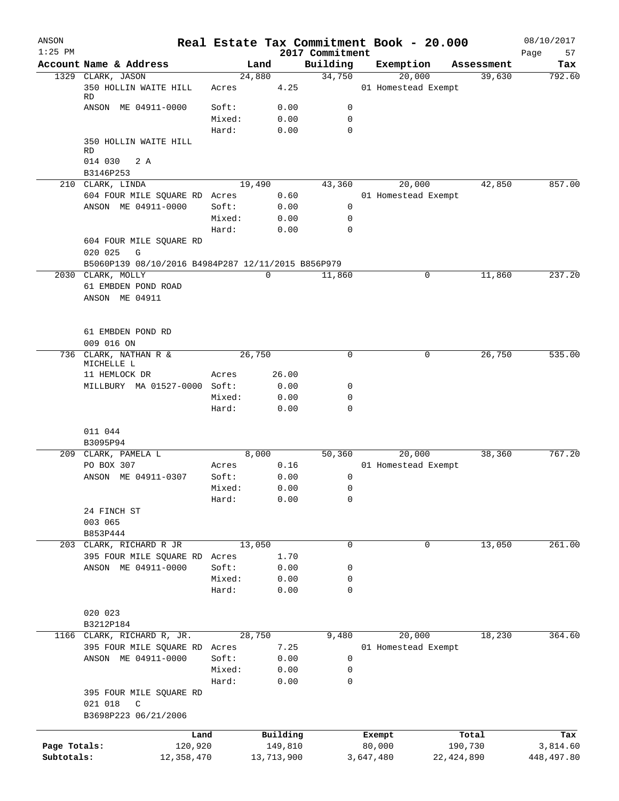| ANSON<br>$1:25$ PM |                                                    |        |             |            | 2017 Commitment | Real Estate Tax Commitment Book - 20.000 |              | 08/10/2017<br>57<br>Page |
|--------------------|----------------------------------------------------|--------|-------------|------------|-----------------|------------------------------------------|--------------|--------------------------|
|                    | Account Name & Address                             |        | Land        |            | Building        | Exemption                                | Assessment   | Tax                      |
|                    | 1329 CLARK, JASON                                  |        | 24,880      |            | 34,750          | 20,000                                   | 39,630       | 792.60                   |
|                    | 350 HOLLIN WAITE HILL<br>RD                        | Acres  |             | 4.25       |                 | 01 Homestead Exempt                      |              |                          |
|                    | ANSON ME 04911-0000                                | Soft:  |             | 0.00       | 0               |                                          |              |                          |
|                    |                                                    | Mixed: |             | 0.00       | $\mathbf 0$     |                                          |              |                          |
|                    |                                                    | Hard:  |             | 0.00       | 0               |                                          |              |                          |
|                    | 350 HOLLIN WAITE HILL<br><b>RD</b>                 |        |             |            |                 |                                          |              |                          |
|                    | 014 030<br>2 A<br>B3146P253                        |        |             |            |                 |                                          |              |                          |
|                    | 210 CLARK, LINDA                                   |        | 19,490      |            | 43,360          | 20,000                                   | 42,850       | 857.00                   |
|                    | 604 FOUR MILE SQUARE RD Acres                      |        |             | 0.60       |                 | 01 Homestead Exempt                      |              |                          |
|                    | ANSON ME 04911-0000                                | Soft:  |             | 0.00       | 0               |                                          |              |                          |
|                    |                                                    | Mixed: |             | 0.00       | 0               |                                          |              |                          |
|                    |                                                    | Hard:  |             | 0.00       | $\mathbf 0$     |                                          |              |                          |
|                    | 604 FOUR MILE SQUARE RD<br>020 025<br>G            |        |             |            |                 |                                          |              |                          |
|                    | B5060P139 08/10/2016 B4984P287 12/11/2015 B856P979 |        |             |            |                 |                                          |              |                          |
| 2030               | CLARK, MOLLY                                       |        | $\mathbf 0$ |            | 11,860          | 0                                        | 11,860       | 237.20                   |
|                    | 61 EMBDEN POND ROAD<br>ANSON ME 04911              |        |             |            |                 |                                          |              |                          |
|                    | 61 EMBDEN POND RD                                  |        |             |            |                 |                                          |              |                          |
|                    | 009 016 ON                                         |        |             |            |                 |                                          |              |                          |
| 736                | CLARK, NATHAN R &<br>MICHELLE L                    |        | 26,750      |            | $\mathbf 0$     | 0                                        | 26,750       | 535.00                   |
|                    | 11 HEMLOCK DR                                      | Acres  |             | 26.00      |                 |                                          |              |                          |
|                    | MILLBURY MA 01527-0000 Soft:                       |        |             | 0.00       | 0               |                                          |              |                          |
|                    |                                                    | Mixed: |             | 0.00       | 0               |                                          |              |                          |
|                    |                                                    | Hard:  |             | 0.00       | $\mathbf 0$     |                                          |              |                          |
|                    | 011 044<br>B3095P94                                |        |             |            |                 |                                          |              |                          |
|                    | 209 CLARK, PAMELA L                                |        | 8,000       |            | 50,360          | 20,000                                   | 38,360       | 767.20                   |
|                    | PO BOX 307                                         | Acres  |             | 0.16       |                 | 01 Homestead Exempt                      |              |                          |
|                    | ANSON ME 04911-0307                                | Soft:  |             | 0.00       | 0               |                                          |              |                          |
|                    |                                                    | Mixed: |             | 0.00       | 0               |                                          |              |                          |
|                    |                                                    | Hard:  |             | 0.00       | $\mathbf 0$     |                                          |              |                          |
|                    | 24 FINCH ST                                        |        |             |            |                 |                                          |              |                          |
|                    | 003 065                                            |        |             |            |                 |                                          |              |                          |
|                    | B853P444                                           |        |             |            |                 |                                          |              |                          |
|                    | 203 CLARK, RICHARD R JR                            |        | 13,050      |            | $\mathbf 0$     | 0                                        | 13,050       | 261.00                   |
|                    | 395 FOUR MILE SQUARE RD                            | Acres  |             | 1.70       |                 |                                          |              |                          |
|                    | ANSON ME 04911-0000                                | Soft:  |             | 0.00       | 0               |                                          |              |                          |
|                    |                                                    | Mixed: |             | 0.00       | 0               |                                          |              |                          |
|                    |                                                    | Hard:  |             | 0.00       | 0               |                                          |              |                          |
|                    | 020 023                                            |        |             |            |                 |                                          |              |                          |
|                    | B3212P184                                          |        |             |            |                 |                                          |              |                          |
|                    | 1166 CLARK, RICHARD R, JR.                         |        | 28,750      |            | 9,480           | 20,000                                   | 18,230       | 364.60                   |
|                    | 395 FOUR MILE SQUARE RD                            | Acres  |             | 7.25       |                 | 01 Homestead Exempt                      |              |                          |
|                    | ANSON ME 04911-0000                                | Soft:  |             | 0.00       | 0               |                                          |              |                          |
|                    |                                                    | Mixed: |             | 0.00       | 0               |                                          |              |                          |
|                    |                                                    | Hard:  |             | 0.00       | $\mathbf 0$     |                                          |              |                          |
|                    | 395 FOUR MILE SQUARE RD<br>021 018<br>$\mathsf{C}$ |        |             |            |                 |                                          |              |                          |
|                    | B3698P223 06/21/2006                               |        |             |            |                 |                                          |              |                          |
|                    | Land                                               |        |             | Building   |                 | Exempt                                   | Total        | Tax                      |
| Page Totals:       | 120,920                                            |        |             | 149,810    |                 | 80,000                                   | 190,730      | 3,814.60                 |
| Subtotals:         | 12,358,470                                         |        |             | 13,713,900 |                 | 3,647,480                                | 22, 424, 890 | 448, 497.80              |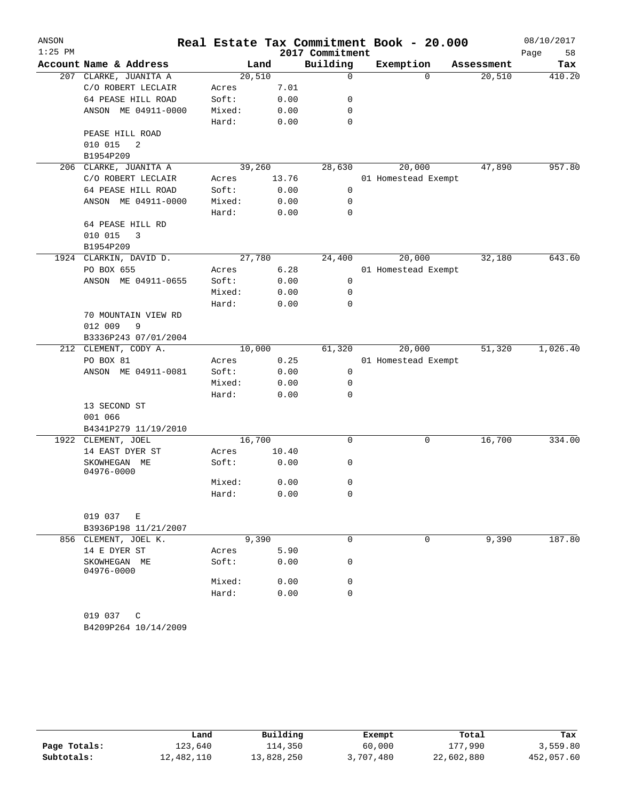| ANSON<br>$1:25$ PM |                                   |        |       | 2017 Commitment | Real Estate Tax Commitment Book - 20.000 |            | 08/10/2017<br>Page<br>58 |
|--------------------|-----------------------------------|--------|-------|-----------------|------------------------------------------|------------|--------------------------|
|                    | Account Name & Address            |        | Land  | Building        | Exemption                                | Assessment | Tax                      |
|                    | 207 CLARKE, JUANITA A             | 20,510 |       | 0               | $\Omega$                                 | 20,510     | 410.20                   |
|                    | C/O ROBERT LECLAIR                | Acres  | 7.01  |                 |                                          |            |                          |
|                    | 64 PEASE HILL ROAD                | Soft:  | 0.00  | 0               |                                          |            |                          |
|                    | ANSON ME 04911-0000               | Mixed: | 0.00  | $\mathbf 0$     |                                          |            |                          |
|                    |                                   | Hard:  | 0.00  | 0               |                                          |            |                          |
|                    | PEASE HILL ROAD                   |        |       |                 |                                          |            |                          |
|                    | 2<br>010 015                      |        |       |                 |                                          |            |                          |
|                    | B1954P209                         |        |       |                 |                                          |            |                          |
| 206                | CLARKE, JUANITA A                 | 39,260 |       | 28,630          | 20,000                                   | 47,890     | 957.80                   |
|                    | C/O ROBERT LECLAIR                | Acres  | 13.76 |                 | 01 Homestead Exempt                      |            |                          |
|                    | 64 PEASE HILL ROAD                | Soft:  | 0.00  | 0               |                                          |            |                          |
|                    | ANSON ME 04911-0000               | Mixed: | 0.00  | 0               |                                          |            |                          |
|                    |                                   | Hard:  | 0.00  | 0               |                                          |            |                          |
|                    | 64 PEASE HILL RD                  |        |       |                 |                                          |            |                          |
|                    | 010 015<br>3                      |        |       |                 |                                          |            |                          |
|                    | B1954P209                         |        |       |                 |                                          |            |                          |
|                    | 1924 CLARKIN, DAVID D.            | 27,780 |       | 24,400          | 20,000                                   | 32,180     | 643.60                   |
|                    | PO BOX 655                        | Acres  | 6.28  |                 | 01 Homestead Exempt                      |            |                          |
|                    | ANSON ME 04911-0655               | Soft:  | 0.00  | 0               |                                          |            |                          |
|                    |                                   | Mixed: | 0.00  | 0               |                                          |            |                          |
|                    |                                   | Hard:  | 0.00  | 0               |                                          |            |                          |
|                    | 70 MOUNTAIN VIEW RD               |        |       |                 |                                          |            |                          |
|                    | 9<br>012 009                      |        |       |                 |                                          |            |                          |
|                    | B3336P243 07/01/2004              |        |       |                 |                                          |            |                          |
|                    | 212 CLEMENT, CODY A.              | 10,000 |       | 61,320          | 20,000                                   | 51,320     | 1,026.40                 |
|                    | PO BOX 81                         | Acres  | 0.25  |                 | 01 Homestead Exempt                      |            |                          |
|                    | ANSON ME 04911-0081               | Soft:  | 0.00  | 0               |                                          |            |                          |
|                    |                                   | Mixed: | 0.00  | 0               |                                          |            |                          |
|                    |                                   | Hard:  | 0.00  | 0               |                                          |            |                          |
|                    | 13 SECOND ST                      |        |       |                 |                                          |            |                          |
|                    | 001 066                           |        |       |                 |                                          |            |                          |
|                    | B4341P279 11/19/2010              |        |       |                 |                                          |            |                          |
|                    | 1922 CLEMENT, JOEL                | 16,700 |       | 0               | 0                                        | 16,700     | 334.00                   |
|                    | 14 EAST DYER ST                   | Acres  | 10.40 |                 |                                          |            |                          |
|                    | SKOWHEGAN ME<br>04976-0000        | Soft:  | 0.00  | 0               |                                          |            |                          |
|                    |                                   | Mixed: | 0.00  | 0               |                                          |            |                          |
|                    |                                   | Hard:  | 0.00  | 0               |                                          |            |                          |
|                    | 019 037 E<br>B3936P198 11/21/2007 |        |       |                 |                                          |            |                          |
|                    | 856 CLEMENT, JOEL K.              |        | 9,390 | 0               | $\Omega$                                 | 9,390      | 187.80                   |
|                    | 14 E DYER ST                      | Acres  | 5.90  |                 |                                          |            |                          |
|                    | SKOWHEGAN ME<br>04976-0000        | Soft:  | 0.00  | 0               |                                          |            |                          |
|                    |                                   | Mixed: | 0.00  | 0               |                                          |            |                          |
|                    |                                   | Hard:  | 0.00  | 0               |                                          |            |                          |
|                    | 019 037 C<br>B4209P264 10/14/2009 |        |       |                 |                                          |            |                          |

|              | Land       | Building   | Exempt    | Total      | Tax        |
|--------------|------------|------------|-----------|------------|------------|
| Page Totals: | 123,640    | 114,350    | 60,000    | 177,990    | 3,559.80   |
| Subtotals:   | 12,482,110 | 13,828,250 | 3,707,480 | 22,602,880 | 452,057.60 |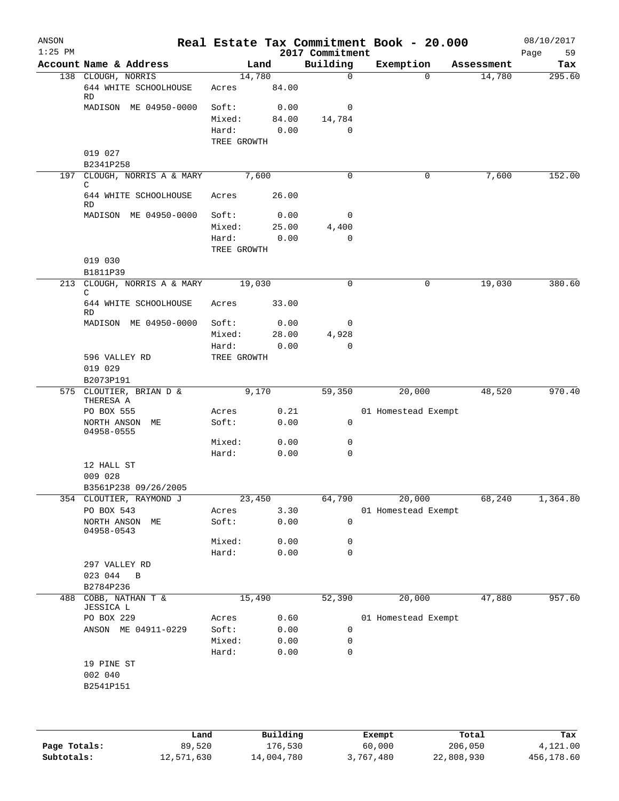| ANSON<br>$1:25$ PM |                                                   |                 |                 | 2017 Commitment | Real Estate Tax Commitment Book - 20.000 |                       | 08/10/2017<br>59<br>Page |
|--------------------|---------------------------------------------------|-----------------|-----------------|-----------------|------------------------------------------|-----------------------|--------------------------|
|                    | Account Name & Address                            |                 | Land            | Building        | Exemption                                | Assessment            | Tax                      |
|                    | 138 CLOUGH, NORRIS<br>644 WHITE SCHOOLHOUSE<br>RD | Acres           | 14,780<br>84.00 | 0               |                                          | 14,780<br>$\Omega$    | 295.60                   |
|                    | MADISON ME 04950-0000                             | Soft:           | 0.00            | 0               |                                          |                       |                          |
|                    |                                                   | Mixed:          | 84.00           | 14,784          |                                          |                       |                          |
|                    |                                                   | Hard:           | 0.00            | 0               |                                          |                       |                          |
|                    |                                                   | TREE GROWTH     |                 |                 |                                          |                       |                          |
|                    | 019 027<br>B2341P258                              |                 |                 |                 |                                          |                       |                          |
|                    | 197 CLOUGH, NORRIS A & MARY                       |                 | 7,600           | $\Omega$        |                                          | 0<br>7,600            | 152.00                   |
|                    | C<br>644 WHITE SCHOOLHOUSE                        | Acres           | 26.00           |                 |                                          |                       |                          |
|                    | RD                                                |                 |                 |                 |                                          |                       |                          |
|                    | MADISON ME 04950-0000                             | Soft:<br>Mixed: | 0.00<br>25.00   | 0<br>4,400      |                                          |                       |                          |
|                    |                                                   | Hard:           | 0.00            | 0               |                                          |                       |                          |
|                    |                                                   | TREE GROWTH     |                 |                 |                                          |                       |                          |
|                    | 019 030<br>B1811P39                               |                 |                 |                 |                                          |                       |                          |
|                    | 213 CLOUGH, NORRIS A & MARY                       |                 | 19,030          | $\Omega$        |                                          | $\mathbf 0$<br>19,030 | 380.60                   |
|                    | C<br>644 WHITE SCHOOLHOUSE<br>RD                  | Acres           | 33.00           |                 |                                          |                       |                          |
|                    | MADISON ME 04950-0000                             | Soft:           | 0.00            | 0               |                                          |                       |                          |
|                    |                                                   | Mixed:          | 28.00           | 4,928           |                                          |                       |                          |
|                    |                                                   | Hard:           | 0.00            | 0               |                                          |                       |                          |
|                    | 596 VALLEY RD                                     | TREE GROWTH     |                 |                 |                                          |                       |                          |
|                    | 019 029                                           |                 |                 |                 |                                          |                       |                          |
|                    | B2073P191<br>575 CLOUTIER, BRIAN D &              |                 | 9,170           | 59,350          | 20,000                                   | 48,520                | 970.40                   |
|                    | THERESA A                                         |                 |                 |                 |                                          |                       |                          |
|                    | PO BOX 555                                        | Acres           | 0.21            |                 | 01 Homestead Exempt                      |                       |                          |
|                    | NORTH ANSON ME<br>04958-0555                      | Soft:           | 0.00            | 0               |                                          |                       |                          |
|                    |                                                   | Mixed:          | 0.00            | 0               |                                          |                       |                          |
|                    |                                                   | Hard:           | 0.00            | 0               |                                          |                       |                          |
|                    | 12 HALL ST<br>009 028                             |                 |                 |                 |                                          |                       |                          |
|                    | B3561P238 09/26/2005                              |                 |                 |                 |                                          |                       |                          |
|                    | 354 CLOUTIER, RAYMOND J                           |                 | 23,450          | 64,790          | 20,000                                   | 68,240                | 1,364.80                 |
|                    | PO BOX 543<br>NORTH ANSON ME                      | Acres<br>Soft:  | 3.30<br>0.00    | $\mathbf 0$     | 01 Homestead Exempt                      |                       |                          |
|                    | 04958-0543                                        |                 |                 |                 |                                          |                       |                          |
|                    |                                                   | Mixed:          | 0.00            | 0               |                                          |                       |                          |
|                    |                                                   | Hard:           | 0.00            | 0               |                                          |                       |                          |
|                    | 297 VALLEY RD                                     |                 |                 |                 |                                          |                       |                          |
|                    | 023 044<br>$\overline{B}$<br>B2784P236            |                 |                 |                 |                                          |                       |                          |
| 488                | COBB, NATHAN T &                                  |                 | 15,490          | 52,390          | 20,000                                   | 47,880                | 957.60                   |
|                    | JESSICA L                                         |                 |                 |                 |                                          |                       |                          |
|                    | PO BOX 229                                        | Acres           | 0.60            |                 | 01 Homestead Exempt                      |                       |                          |
|                    | ANSON ME 04911-0229                               | Soft:<br>Mixed: | 0.00<br>0.00    | 0<br>0          |                                          |                       |                          |
|                    |                                                   | Hard:           | 0.00            | 0               |                                          |                       |                          |
|                    | 19 PINE ST                                        |                 |                 |                 |                                          |                       |                          |
|                    | 002 040                                           |                 |                 |                 |                                          |                       |                          |
|                    | B2541P151                                         |                 |                 |                 |                                          |                       |                          |
|                    |                                                   |                 |                 |                 |                                          |                       |                          |
|                    |                                                   |                 |                 |                 |                                          |                       |                          |
|                    |                                                   |                 |                 |                 |                                          |                       |                          |

|              | Land       | Building   | Exempt    | Total      | Tax        |
|--------------|------------|------------|-----------|------------|------------|
| Page Totals: | 89,520     | 176,530    | 60,000    | 206,050    | 4,121.00   |
| Subtotals:   | 12,571,630 | 14,004,780 | 3,767,480 | 22,808,930 | 456,178.60 |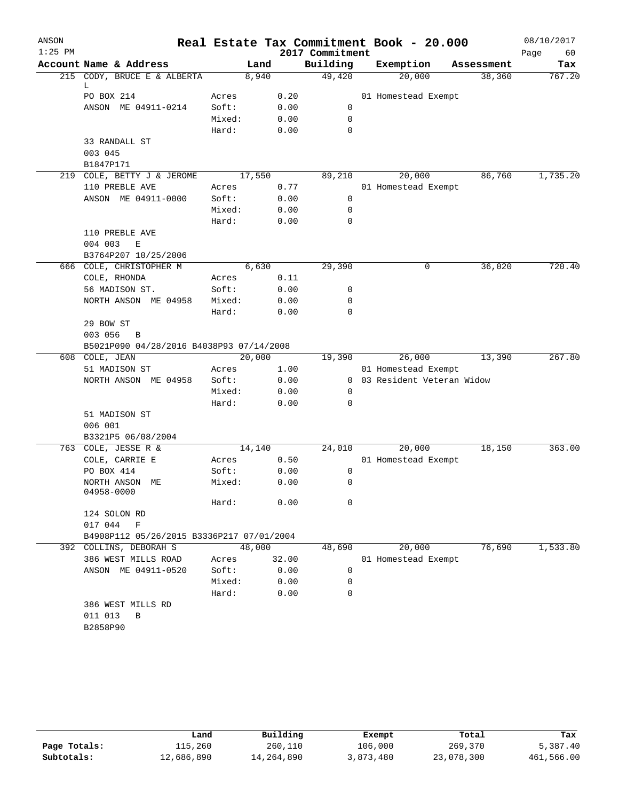| ANSON     |                                           |                 |       |                 | Real Estate Tax Commitment Book - 20.000 |            | 08/10/2017 |
|-----------|-------------------------------------------|-----------------|-------|-----------------|------------------------------------------|------------|------------|
| $1:25$ PM |                                           |                 |       | 2017 Commitment |                                          |            | Page<br>60 |
|           | Account Name & Address                    | Land            |       | Building        | Exemption                                | Assessment | Tax        |
|           | 215 CODY, BRUCE E & ALBERTA               | 8,940           |       | 49,420          | 20,000                                   | 38,360     | 767.20     |
|           | L<br>PO BOX 214                           | Acres           | 0.20  |                 | 01 Homestead Exempt                      |            |            |
|           | ANSON ME 04911-0214                       | Soft:           | 0.00  | 0               |                                          |            |            |
|           |                                           | Mixed:          | 0.00  | 0               |                                          |            |            |
|           |                                           | Hard:           | 0.00  | 0               |                                          |            |            |
|           | 33 RANDALL ST                             |                 |       |                 |                                          |            |            |
|           | 003 045                                   |                 |       |                 |                                          |            |            |
|           | B1847P171                                 |                 |       |                 |                                          |            |            |
|           | 219 COLE, BETTY J & JEROME                | 17,550          |       | 89,210          | 20,000                                   | 86,760     | 1,735.20   |
|           | 110 PREBLE AVE                            | Acres           | 0.77  |                 | 01 Homestead Exempt                      |            |            |
|           | ANSON ME 04911-0000                       | Soft:           | 0.00  | $\mathbf 0$     |                                          |            |            |
|           |                                           | Mixed:          | 0.00  | $\mathbf 0$     |                                          |            |            |
|           |                                           | Hard:           | 0.00  | 0               |                                          |            |            |
|           | 110 PREBLE AVE                            |                 |       |                 |                                          |            |            |
|           | 004 003<br>Е                              |                 |       |                 |                                          |            |            |
|           | B3764P207 10/25/2006                      |                 |       |                 |                                          |            |            |
|           | 666 COLE, CHRISTOPHER M                   | 6,630           |       | 29,390          | 0                                        | 36,020     | 720.40     |
|           | COLE, RHONDA                              | Acres           | 0.11  |                 |                                          |            |            |
|           | 56 MADISON ST.                            | Soft:           | 0.00  | 0               |                                          |            |            |
|           | NORTH ANSON ME 04958                      | Mixed:          | 0.00  | 0               |                                          |            |            |
|           |                                           | Hard:           | 0.00  | 0               |                                          |            |            |
|           | 29 BOW ST                                 |                 |       |                 |                                          |            |            |
|           | 003 056<br>B                              |                 |       |                 |                                          |            |            |
|           | B5021P090 04/28/2016 B4038P93 07/14/2008  |                 |       |                 |                                          |            |            |
|           | 608 COLE, JEAN                            | 20,000          |       | 19,390          | 26,000                                   | 13,390     | 267.80     |
|           | 51 MADISON ST                             | Acres           | 1.00  |                 | 01 Homestead Exempt                      |            |            |
|           | NORTH ANSON ME 04958                      | Soft:           | 0.00  |                 | 0 03 Resident Veteran Widow              |            |            |
|           |                                           | Mixed:          | 0.00  | $\mathbf 0$     |                                          |            |            |
|           |                                           | Hard:           | 0.00  | 0               |                                          |            |            |
|           | 51 MADISON ST                             |                 |       |                 |                                          |            |            |
|           | 006 001                                   |                 |       |                 |                                          |            |            |
|           | B3321P5 06/08/2004                        |                 |       |                 |                                          |            |            |
|           | 763 COLE, JESSE R &<br>COLE, CARRIE E     | 14,140<br>Acres | 0.50  | 24,010          | 20,000<br>01 Homestead Exempt            | 18,150     | 363.00     |
|           | PO BOX 414                                | Soft:           | 0.00  | 0               |                                          |            |            |
|           | NORTH ANSON ME                            | Mixed:          | 0.00  | 0               |                                          |            |            |
|           | 04958-0000                                |                 |       |                 |                                          |            |            |
|           |                                           | Hard:           | 0.00  | 0               |                                          |            |            |
|           | 124 SOLON RD                              |                 |       |                 |                                          |            |            |
|           | 017 044<br>$\mathbf F$                    |                 |       |                 |                                          |            |            |
|           | B4908P112 05/26/2015 B3336P217 07/01/2004 |                 |       |                 |                                          |            |            |
|           | 392 COLLINS, DEBORAH S                    | 48,000          |       | 48,690          | 20,000                                   | 76,690     | 1,533.80   |
|           | 386 WEST MILLS ROAD                       | Acres           | 32.00 |                 | 01 Homestead Exempt                      |            |            |
|           | ANSON ME 04911-0520                       | Soft:           | 0.00  | 0               |                                          |            |            |
|           |                                           | Mixed:          | 0.00  | 0               |                                          |            |            |
|           |                                           | Hard:           | 0.00  | $\mathbf 0$     |                                          |            |            |
|           | 386 WEST MILLS RD                         |                 |       |                 |                                          |            |            |
|           | 011 013<br>В                              |                 |       |                 |                                          |            |            |
|           | B2858P90                                  |                 |       |                 |                                          |            |            |
|           |                                           |                 |       |                 |                                          |            |            |

|              | Land       | Building   | Exempt    | Total      | Tax        |  |
|--------------|------------|------------|-----------|------------|------------|--|
| Page Totals: | 115,260    | 260,110    | 106,000   | 269,370    | 5,387.40   |  |
| Subtotals:   | 12,686,890 | 14,264,890 | 3,873,480 | 23,078,300 | 461,566.00 |  |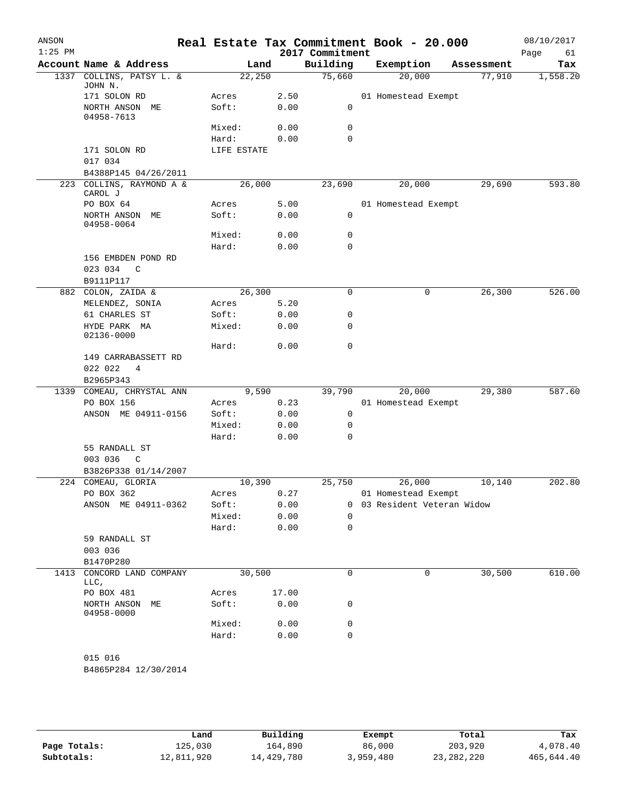| ANSON<br>$1:25$ PM |                                                  |                |               | 2017 Commitment | Real Estate Tax Commitment Book - 20.000 |            | 08/10/2017<br>Page<br>61 |
|--------------------|--------------------------------------------------|----------------|---------------|-----------------|------------------------------------------|------------|--------------------------|
|                    | Account Name & Address                           | Land           |               | Building        | Exemption                                | Assessment | Tax                      |
| 1337               | COLLINS, PATSY L. &<br>JOHN N.                   | 22,250         |               | 75,660          | 20,000                                   | 77,910     | 1,558.20                 |
|                    | 171 SOLON RD                                     | Acres          | 2.50          |                 | 01 Homestead Exempt                      |            |                          |
|                    | NORTH ANSON ME<br>04958-7613                     | Soft:          | 0.00          | 0               |                                          |            |                          |
|                    |                                                  | Mixed:         | 0.00          | 0               |                                          |            |                          |
|                    |                                                  | Hard:          | 0.00          | 0               |                                          |            |                          |
|                    | 171 SOLON RD<br>017 034                          | LIFE ESTATE    |               |                 |                                          |            |                          |
|                    | B4388P145 04/26/2011                             |                |               |                 |                                          |            |                          |
|                    | 223 COLLINS, RAYMOND A &<br>CAROL J              | 26,000         |               | 23,690          | 20,000                                   | 29,690     | 593.80                   |
|                    | PO BOX 64                                        | Acres          | 5.00          |                 | 01 Homestead Exempt                      |            |                          |
|                    | NORTH ANSON ME<br>04958-0064                     | Soft:          | 0.00          | 0               |                                          |            |                          |
|                    |                                                  | Mixed:         | 0.00          | 0               |                                          |            |                          |
|                    |                                                  | Hard:          | 0.00          | $\mathbf 0$     |                                          |            |                          |
|                    | 156 EMBDEN POND RD<br>023 034<br>$\mathsf{C}$    |                |               |                 |                                          |            |                          |
|                    | B9111P117                                        |                |               |                 |                                          |            |                          |
|                    | 882 COLON, ZAIDA &                               | 26,300         |               | 0               | 0                                        | 26,300     | 526.00                   |
|                    | MELENDEZ, SONIA                                  | Acres          | 5.20          |                 |                                          |            |                          |
|                    | 61 CHARLES ST                                    | Soft:          | 0.00          | 0<br>0          |                                          |            |                          |
|                    | HYDE PARK MA<br>02136-0000                       | Mixed:         | 0.00          |                 |                                          |            |                          |
|                    |                                                  | Hard:          | 0.00          | 0               |                                          |            |                          |
|                    | 149 CARRABASSETT RD<br>022 022<br>4<br>B2965P343 |                |               |                 |                                          |            |                          |
| 1339               | COMEAU, CHRYSTAL ANN                             | 9,590          |               | 39,790          | 20,000                                   | 29,380     | 587.60                   |
|                    | PO BOX 156                                       | Acres          | 0.23          |                 | 01 Homestead Exempt                      |            |                          |
|                    | ANSON ME 04911-0156                              | Soft:          | 0.00          | 0               |                                          |            |                          |
|                    |                                                  | Mixed:         | 0.00          | 0               |                                          |            |                          |
|                    |                                                  | Hard:          | 0.00          | $\mathbf 0$     |                                          |            |                          |
|                    | 55 RANDALL ST                                    |                |               |                 |                                          |            |                          |
|                    | 003 036<br>$\mathsf{C}$                          |                |               |                 |                                          |            |                          |
|                    | B3826P338 01/14/2007                             |                |               |                 |                                          |            |                          |
|                    | 224 COMEAU, GLORIA                               | 10,390         |               | 25,750          | 26,000                                   | 10,140     | 202.80                   |
|                    | PO BOX 362                                       | Acres          | 0.27          |                 | 01 Homestead Exempt                      |            |                          |
|                    | ANSON ME 04911-0362                              | Soft:          | 0.00          | 0               | 03 Resident Veteran Widow                |            |                          |
|                    |                                                  | Mixed:         | 0.00          | 0               |                                          |            |                          |
|                    |                                                  | Hard:          | 0.00          | 0               |                                          |            |                          |
|                    | 59 RANDALL ST<br>003 036                         |                |               |                 |                                          |            |                          |
|                    | B1470P280                                        |                |               |                 |                                          |            |                          |
| 1413               | CONCORD LAND COMPANY<br>LLC,                     | 30,500         |               | 0               | 0                                        | 30,500     | 610.00                   |
|                    | PO BOX 481<br>NORTH ANSON ME                     | Acres<br>Soft: | 17.00<br>0.00 | 0               |                                          |            |                          |
|                    | 04958-0000                                       | Mixed:         | 0.00          | 0               |                                          |            |                          |
|                    |                                                  | Hard:          | 0.00          | $\mathbf 0$     |                                          |            |                          |
|                    | 015 016                                          |                |               |                 |                                          |            |                          |
|                    | B4865P284 12/30/2014                             |                |               |                 |                                          |            |                          |

|              | Land       | Building   | Exempt    | Total        | Tax        |
|--------------|------------|------------|-----------|--------------|------------|
| Page Totals: | 125,030    | 164,890    | 86,000    | 203,920      | 4,078.40   |
| Subtotals:   | 12,811,920 | 14,429,780 | 3,959,480 | 23, 282, 220 | 465,644.40 |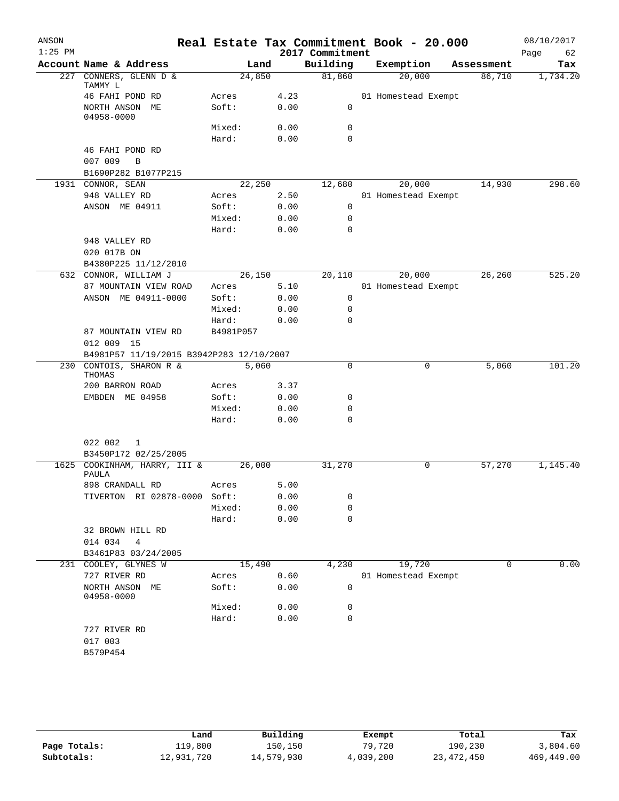| ANSON<br>$1:25$ PM |                                          |           |        | 2017 Commitment | Real Estate Tax Commitment Book - 20.000 |            | 08/10/2017<br>62<br>Page |
|--------------------|------------------------------------------|-----------|--------|-----------------|------------------------------------------|------------|--------------------------|
|                    | Account Name & Address                   |           | Land   | Building        | Exemption                                | Assessment | Tax                      |
| 227                | CONNERS, GLENN D &<br>TAMMY L            |           | 24,850 | 81,860          | 20,000                                   | 86,710     | 1,734.20                 |
|                    | 46 FAHI POND RD                          | Acres     | 4.23   |                 | 01 Homestead Exempt                      |            |                          |
|                    | NORTH ANSON ME<br>04958-0000             | Soft:     | 0.00   | 0               |                                          |            |                          |
|                    |                                          | Mixed:    | 0.00   | 0               |                                          |            |                          |
|                    |                                          | Hard:     | 0.00   | 0               |                                          |            |                          |
|                    | 46 FAHI POND RD                          |           |        |                 |                                          |            |                          |
|                    | 007 009<br>$\, {\bf B}$                  |           |        |                 |                                          |            |                          |
|                    | B1690P282 B1077P215                      |           |        |                 |                                          |            |                          |
|                    | 1931 CONNOR, SEAN                        |           | 22,250 | 12,680          | 20,000                                   | 14,930     | 298.60                   |
|                    | 948 VALLEY RD                            | Acres     | 2.50   |                 | 01 Homestead Exempt                      |            |                          |
|                    | ANSON ME 04911                           | Soft:     | 0.00   | 0               |                                          |            |                          |
|                    |                                          | Mixed:    | 0.00   | 0               |                                          |            |                          |
|                    |                                          | Hard:     | 0.00   | $\mathbf 0$     |                                          |            |                          |
|                    | 948 VALLEY RD<br>020 017B ON             |           |        |                 |                                          |            |                          |
|                    | B4380P225 11/12/2010                     |           |        |                 |                                          |            |                          |
|                    | 632 CONNOR, WILLIAM J                    |           | 26,150 | 20,110          | 20,000                                   | 26,260     | 525.20                   |
|                    | 87 MOUNTAIN VIEW ROAD                    | Acres     | 5.10   |                 | 01 Homestead Exempt                      |            |                          |
|                    | ANSON ME 04911-0000                      | Soft:     | 0.00   | 0               |                                          |            |                          |
|                    |                                          | Mixed:    | 0.00   | 0               |                                          |            |                          |
|                    |                                          | Hard:     | 0.00   | 0               |                                          |            |                          |
|                    | 87 MOUNTAIN VIEW RD<br>012 009 15        | B4981P057 |        |                 |                                          |            |                          |
|                    | B4981P57 11/19/2015 B3942P283 12/10/2007 |           |        |                 |                                          |            |                          |
| 230                | CONTOIS, SHARON R &<br>THOMAS            |           | 5,060  | $\mathbf 0$     | 0                                        | 5,060      | 101.20                   |
|                    | 200 BARRON ROAD                          | Acres     | 3.37   |                 |                                          |            |                          |
|                    | EMBDEN ME 04958                          | Soft:     | 0.00   | 0               |                                          |            |                          |
|                    |                                          | Mixed:    | 0.00   | 0               |                                          |            |                          |
|                    |                                          | Hard:     | 0.00   | 0               |                                          |            |                          |
|                    | 022 002<br>1<br>B3450P172 02/25/2005     |           |        |                 |                                          |            |                          |
| 1625               | COOKINHAM, HARRY, III &                  |           | 26,000 | 31,270          | 0                                        | 57,270     | 1,145.40                 |
|                    | <b>PAULA</b>                             |           |        |                 |                                          |            |                          |
|                    | 898 CRANDALL RD                          | Acres     | 5.00   |                 |                                          |            |                          |
|                    | TIVERTON RI 02878-0000 Soft:             |           | 0.00   | 0               |                                          |            |                          |
|                    |                                          | Mixed:    | 0.00   | 0               |                                          |            |                          |
|                    | 32 BROWN HILL RD                         | Hard:     | 0.00   | $\mathbf 0$     |                                          |            |                          |
|                    | 014 034<br>4                             |           |        |                 |                                          |            |                          |
|                    | B3461P83 03/24/2005                      |           |        |                 |                                          |            |                          |
|                    | 231 COOLEY, GLYNES W                     |           | 15,490 | 4,230           | 19,720                                   | 0          | 0.00                     |
|                    | 727 RIVER RD                             | Acres     | 0.60   |                 | 01 Homestead Exempt                      |            |                          |
|                    | NORTH ANSON ME<br>04958-0000             | Soft:     | 0.00   | 0               |                                          |            |                          |
|                    |                                          | Mixed:    | 0.00   | 0               |                                          |            |                          |
|                    |                                          | Hard:     | 0.00   | 0               |                                          |            |                          |
|                    | 727 RIVER RD                             |           |        |                 |                                          |            |                          |
|                    | 017 003                                  |           |        |                 |                                          |            |                          |
|                    | B579P454                                 |           |        |                 |                                          |            |                          |
|                    |                                          |           |        |                 |                                          |            |                          |

|              | Land       | Building   | Exempt    | Total        | Tax        |
|--------------|------------|------------|-----------|--------------|------------|
| Page Totals: | 119,800    | 150,150    | 79,720    | 190,230      | 3,804.60   |
| Subtotals:   | 12,931,720 | 14,579,930 | 4,039,200 | 23, 472, 450 | 469,449.00 |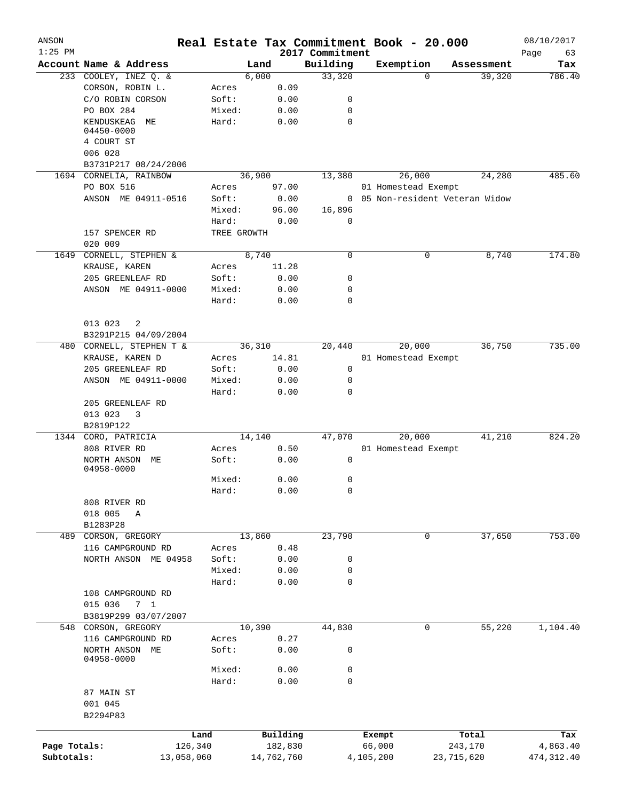| ANSON<br>$1:25$ PM |                              |             |            | 2017 Commitment | Real Estate Tax Commitment Book - 20.000 |            | 08/10/2017<br>Page<br>63 |
|--------------------|------------------------------|-------------|------------|-----------------|------------------------------------------|------------|--------------------------|
|                    | Account Name & Address       |             | Land       | Building        | Exemption                                | Assessment | Tax                      |
|                    | 233 COOLEY, INEZ Q. &        |             | 6,000      | 33,320          | $\Omega$                                 | 39,320     | 786.40                   |
|                    | CORSON, ROBIN L.             | Acres       | 0.09       |                 |                                          |            |                          |
|                    | C/O ROBIN CORSON             | Soft:       | 0.00       | 0               |                                          |            |                          |
|                    | PO BOX 284                   | Mixed:      | 0.00       | 0               |                                          |            |                          |
|                    | KENDUSKEAG ME                | Hard:       | 0.00       | 0               |                                          |            |                          |
|                    | 04450-0000<br>4 COURT ST     |             |            |                 |                                          |            |                          |
|                    | 006 028                      |             |            |                 |                                          |            |                          |
|                    | B3731P217 08/24/2006         |             |            |                 |                                          |            |                          |
|                    | 1694 CORNELIA, RAINBOW       |             | 36,900     | 13,380          | 26,000                                   | 24,280     | 485.60                   |
|                    | PO BOX 516                   | Acres       | 97.00      |                 | 01 Homestead Exempt                      |            |                          |
|                    | ANSON ME 04911-0516          | Soft:       | 0.00       |                 | 0 05 Non-resident Veteran Widow          |            |                          |
|                    |                              | Mixed:      | 96.00      | 16,896          |                                          |            |                          |
|                    |                              | Hard:       | 0.00       | 0               |                                          |            |                          |
|                    | 157 SPENCER RD               | TREE GROWTH |            |                 |                                          |            |                          |
|                    | 020 009                      |             |            |                 |                                          |            |                          |
| 1649               | CORNELL, STEPHEN &           |             | 8,740      | 0               | 0                                        | 8,740      | 174.80                   |
|                    | KRAUSE, KAREN                | Acres       | 11.28      |                 |                                          |            |                          |
|                    | 205 GREENLEAF RD             | Soft:       | 0.00       | 0               |                                          |            |                          |
|                    | ANSON ME 04911-0000          | Mixed:      | 0.00       | 0               |                                          |            |                          |
|                    |                              | Hard:       | 0.00       | 0               |                                          |            |                          |
|                    |                              |             |            |                 |                                          |            |                          |
|                    | 013 023<br>2                 |             |            |                 |                                          |            |                          |
|                    | B3291P215 04/09/2004         |             |            |                 |                                          |            |                          |
|                    | 480 CORNELL, STEPHEN T &     |             | 36,310     | 20,440          | 20,000                                   | 36,750     | 735.00                   |
|                    | KRAUSE, KAREN D              | Acres       | 14.81      |                 | 01 Homestead Exempt                      |            |                          |
|                    | 205 GREENLEAF RD             | Soft:       | 0.00       | 0               |                                          |            |                          |
|                    | ANSON ME 04911-0000          | Mixed:      | 0.00       | 0               |                                          |            |                          |
|                    |                              | Hard:       | 0.00       | 0               |                                          |            |                          |
|                    | 205 GREENLEAF RD             |             |            |                 |                                          |            |                          |
|                    | 013 023<br>3                 |             |            |                 |                                          |            |                          |
|                    | B2819P122                    |             |            |                 |                                          |            |                          |
|                    | 1344 CORO, PATRICIA          |             | 14,140     | 47,070          | 20,000                                   | 41,210     | 824.20                   |
|                    | 808 RIVER RD                 | Acres       | 0.50       |                 | 01 Homestead Exempt                      |            |                          |
|                    | NORTH ANSON ME<br>04958-0000 | Soft:       | 0.00       | 0               |                                          |            |                          |
|                    |                              | Mixed:      | 0.00       | 0               |                                          |            |                          |
|                    |                              | Hard:       | 0.00       | 0               |                                          |            |                          |
|                    | 808 RIVER RD                 |             |            |                 |                                          |            |                          |
|                    | 018 005<br>Α                 |             |            |                 |                                          |            |                          |
|                    | B1283P28                     |             |            |                 |                                          |            |                          |
| 489                | CORSON, GREGORY              |             | 13,860     | 23,790          | 0                                        | 37,650     | 753.00                   |
|                    | 116 CAMPGROUND RD            | Acres       | 0.48       |                 |                                          |            |                          |
|                    | NORTH ANSON ME 04958         | Soft:       | 0.00       | 0               |                                          |            |                          |
|                    |                              | Mixed:      | 0.00       | 0               |                                          |            |                          |
|                    |                              | Hard:       | 0.00       | 0               |                                          |            |                          |
|                    | 108 CAMPGROUND RD            |             |            |                 |                                          |            |                          |
|                    | 015 036<br>7 1               |             |            |                 |                                          |            |                          |
|                    | B3819P299 03/07/2007         |             |            |                 |                                          |            |                          |
|                    | 548 CORSON, GREGORY          |             | 10,390     | 44,830          | 0                                        | 55,220     | 1,104.40                 |
|                    | 116 CAMPGROUND RD            | Acres       | 0.27       |                 |                                          |            |                          |
|                    | NORTH ANSON ME               | Soft:       | 0.00       | 0               |                                          |            |                          |
|                    | 04958-0000                   |             |            |                 |                                          |            |                          |
|                    |                              | Mixed:      | 0.00       | 0               |                                          |            |                          |
|                    |                              | Hard:       | 0.00       | 0               |                                          |            |                          |
|                    | 87 MAIN ST                   |             |            |                 |                                          |            |                          |
|                    | 001 045                      |             |            |                 |                                          |            |                          |
|                    | B2294P83                     |             |            |                 |                                          |            |                          |
|                    |                              | Land        | Building   |                 | Exempt                                   | Total      | Tax                      |
| Page Totals:       |                              | 126,340     | 182,830    |                 | 66,000                                   | 243,170    | 4,863.40                 |
| Subtotals:         | 13,058,060                   |             | 14,762,760 |                 | 4,105,200                                | 23,715,620 | 474, 312.40              |
|                    |                              |             |            |                 |                                          |            |                          |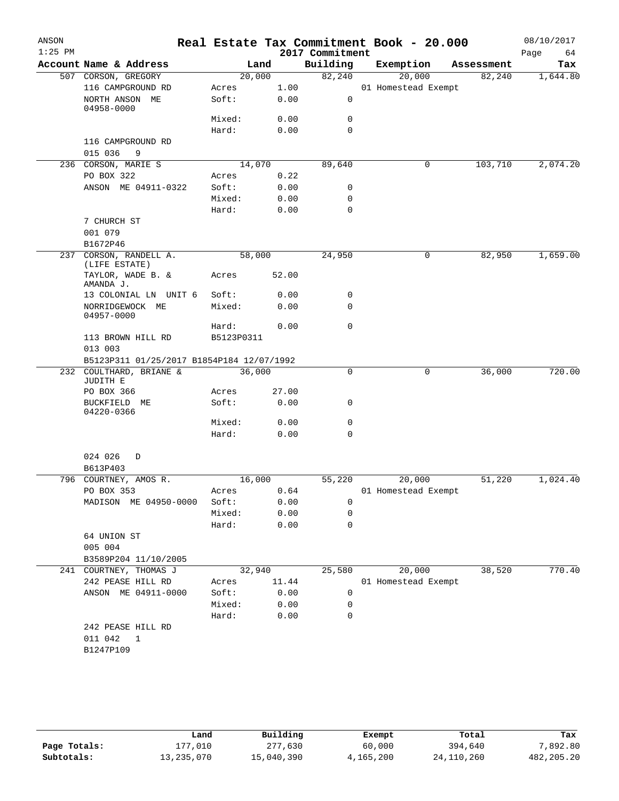| ANSON<br>$1:25$ PM |                                           |                 |              | 2017 Commitment | Real Estate Tax Commitment Book - 20.000 |            | 08/10/2017<br>Page<br>64 |
|--------------------|-------------------------------------------|-----------------|--------------|-----------------|------------------------------------------|------------|--------------------------|
|                    | Account Name & Address                    | Land            |              | Building        | Exemption                                | Assessment | Tax                      |
|                    | 507 CORSON, GREGORY                       | 20,000          |              | 82,240          | 20,000                                   | 82,240     | 1,644.80                 |
|                    | 116 CAMPGROUND RD                         | Acres           | 1.00         |                 | 01 Homestead Exempt                      |            |                          |
|                    | NORTH ANSON ME<br>04958-0000              | Soft:           | 0.00         | 0               |                                          |            |                          |
|                    |                                           | Mixed:          | 0.00         | 0               |                                          |            |                          |
|                    |                                           | Hard:           | 0.00         | $\mathbf 0$     |                                          |            |                          |
|                    | 116 CAMPGROUND RD<br>015 036<br>9         |                 |              |                 |                                          |            |                          |
|                    | 236 CORSON, MARIE S                       | 14,070          |              | 89,640          | 0                                        | 103,710    | 2,074.20                 |
|                    | PO BOX 322                                | Acres           | 0.22         |                 |                                          |            |                          |
|                    | ANSON ME 04911-0322                       | Soft:           | 0.00         | 0               |                                          |            |                          |
|                    |                                           | Mixed:          | 0.00         | 0               |                                          |            |                          |
|                    |                                           | Hard:           | 0.00         | $\mathbf 0$     |                                          |            |                          |
|                    | 7 CHURCH ST                               |                 |              |                 |                                          |            |                          |
|                    | 001 079                                   |                 |              |                 |                                          |            |                          |
|                    | B1672P46                                  |                 |              |                 |                                          |            |                          |
|                    | 237 CORSON, RANDELL A.                    | 58,000          |              | 24,950          | 0                                        | 82,950     | 1,659.00                 |
|                    | (LIFE ESTATE)                             |                 |              |                 |                                          |            |                          |
|                    | TAYLOR, WADE B. &<br>AMANDA J.            | Acres           | 52.00        |                 |                                          |            |                          |
|                    | 13 COLONIAL LN UNIT 6                     | Soft:           | 0.00         | 0               |                                          |            |                          |
|                    | NORRIDGEWOCK ME<br>04957-0000             | Mixed:          | 0.00         | $\mathbf 0$     |                                          |            |                          |
|                    |                                           | Hard:           | 0.00         | $\mathbf 0$     |                                          |            |                          |
|                    | 113 BROWN HILL RD<br>013 003              | B5123P0311      |              |                 |                                          |            |                          |
|                    | B5123P311 01/25/2017 B1854P184 12/07/1992 |                 |              |                 |                                          |            |                          |
|                    | 232 COULTHARD, BRIANE &<br>JUDITH E       | 36,000          |              | 0               | 0                                        | 36,000     | 720.00                   |
|                    | PO BOX 366                                | Acres           | 27.00        |                 |                                          |            |                          |
|                    | BUCKFIELD ME<br>04220-0366                | Soft:           | 0.00         | 0               |                                          |            |                          |
|                    |                                           | Mixed:          | 0.00         | 0               |                                          |            |                          |
|                    |                                           | Hard:           | 0.00         | $\mathbf 0$     |                                          |            |                          |
|                    | 024 026<br>D                              |                 |              |                 |                                          |            |                          |
|                    | B613P403                                  |                 |              |                 |                                          |            |                          |
|                    | 796 COURTNEY, AMOS R.                     | 16,000          |              | 55,220          | 20,000                                   | 51,220     | 1,024.40                 |
|                    | PO BOX 353                                | Acres 0.64      |              |                 | 01 Homestead Exempt                      |            |                          |
|                    | MADISON ME 04950-0000                     | Soft:<br>Mixed: | 0.00<br>0.00 | 0<br>0          |                                          |            |                          |
|                    |                                           | Hard:           | 0.00         | $\Omega$        |                                          |            |                          |
|                    | 64 UNION ST                               |                 |              |                 |                                          |            |                          |
|                    | 005 004                                   |                 |              |                 |                                          |            |                          |
|                    | B3589P204 11/10/2005                      |                 |              |                 |                                          |            |                          |
|                    | 241 COURTNEY, THOMAS J                    |                 | 32,940       | 25,580          | 20,000                                   | 38,520     | 770.40                   |
|                    | 242 PEASE HILL RD                         | Acres           | 11.44        |                 | 01 Homestead Exempt                      |            |                          |
|                    | ANSON ME 04911-0000                       | Soft:           | 0.00         | 0               |                                          |            |                          |
|                    |                                           | Mixed:          | 0.00         | 0               |                                          |            |                          |
|                    |                                           | Hard:           | 0.00         | 0               |                                          |            |                          |
|                    | 242 PEASE HILL RD                         |                 |              |                 |                                          |            |                          |
|                    | 011 042<br>$\overline{1}$                 |                 |              |                 |                                          |            |                          |
|                    | B1247P109                                 |                 |              |                 |                                          |            |                          |
|                    |                                           |                 |              |                 |                                          |            |                          |
|                    |                                           |                 |              |                 |                                          |            |                          |

|              | Land       | Building   | Exempt    | Total        | Tax        |
|--------------|------------|------------|-----------|--------------|------------|
| Page Totals: | 177.010    | 277,630    | 60,000    | 394,640      | 7,892.80   |
| Subtotals:   | 13,235,070 | 15,040,390 | 4,165,200 | 24, 110, 260 | 482,205.20 |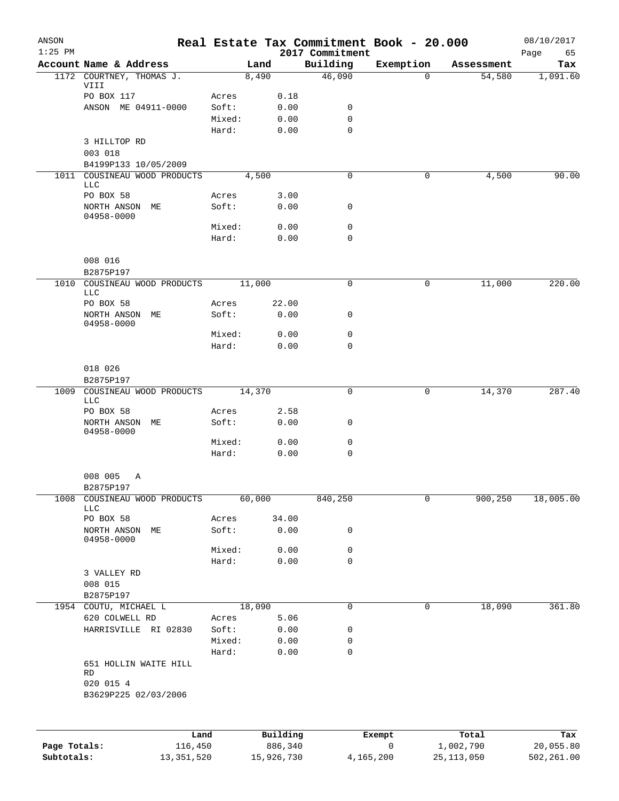| ANSON<br>$1:25$ PM |                                       |                |              | 2017 Commitment | Real Estate Tax Commitment Book - 20.000 |            | 08/10/2017<br>Page<br>65 |
|--------------------|---------------------------------------|----------------|--------------|-----------------|------------------------------------------|------------|--------------------------|
|                    | Account Name & Address                |                | Land         | Building        | Exemption                                | Assessment | Tax                      |
|                    | 1172 COURTNEY, THOMAS J.              |                | 8,490        | 46,090          | $\Omega$                                 | 54,580     | 1,091.60                 |
|                    | VIII                                  |                |              |                 |                                          |            |                          |
|                    | PO BOX 117<br>ANSON ME 04911-0000     | Acres<br>Soft: | 0.18<br>0.00 | 0               |                                          |            |                          |
|                    |                                       | Mixed:         | 0.00         | 0               |                                          |            |                          |
|                    |                                       | Hard:          | 0.00         | $\mathbf 0$     |                                          |            |                          |
|                    | 3 HILLTOP RD                          |                |              |                 |                                          |            |                          |
|                    | 003 018                               |                |              |                 |                                          |            |                          |
|                    | B4199P133 10/05/2009                  |                |              |                 |                                          |            |                          |
|                    | 1011 COUSINEAU WOOD PRODUCTS          |                | 4,500        | $\mathbf 0$     | 0                                        | 4,500      | 90.00                    |
|                    | LLC                                   |                |              |                 |                                          |            |                          |
|                    | PO BOX 58                             | Acres          | 3.00         |                 |                                          |            |                          |
|                    | NORTH ANSON ME<br>04958-0000          | Soft:          | 0.00         | 0               |                                          |            |                          |
|                    |                                       | Mixed:         | 0.00         | 0               |                                          |            |                          |
|                    |                                       | Hard:          | 0.00         | 0               |                                          |            |                          |
|                    |                                       |                |              |                 |                                          |            |                          |
|                    | 008 016                               |                |              |                 |                                          |            |                          |
|                    | B2875P197                             |                |              |                 |                                          |            |                          |
| 1010               | COUSINEAU WOOD PRODUCTS               |                | 11,000       | 0               | 0                                        | 11,000     | 220.00                   |
|                    | <b>LLC</b><br>PO BOX 58               | Acres          | 22.00        |                 |                                          |            |                          |
|                    | NORTH ANSON ME                        | Soft:          | 0.00         | 0               |                                          |            |                          |
|                    | 04958-0000                            |                |              |                 |                                          |            |                          |
|                    |                                       | Mixed:         | 0.00         | 0               |                                          |            |                          |
|                    |                                       | Hard:          | 0.00         | 0               |                                          |            |                          |
|                    |                                       |                |              |                 |                                          |            |                          |
|                    | 018 026                               |                |              |                 |                                          |            |                          |
|                    | B2875P197                             |                |              |                 |                                          |            |                          |
| 1009               | COUSINEAU WOOD PRODUCTS<br><b>LLC</b> |                | 14,370       | 0               | 0                                        | 14,370     | 287.40                   |
|                    | PO BOX 58                             | Acres          | 2.58         |                 |                                          |            |                          |
|                    | NORTH ANSON ME                        | Soft:          | 0.00         | 0               |                                          |            |                          |
|                    | 04958-0000                            |                |              |                 |                                          |            |                          |
|                    |                                       | Mixed:         | 0.00         | 0               |                                          |            |                          |
|                    |                                       | Hard:          | 0.00         | $\mathbf 0$     |                                          |            |                          |
|                    |                                       |                |              |                 |                                          |            |                          |
|                    | 008 005<br>Α                          |                |              |                 |                                          |            |                          |
| 1008               | B2875P197<br>COUSINEAU WOOD PRODUCTS  |                | 60,000       | 840,250         | 0                                        | 900,250    | 18,005.00                |
|                    | <b>LLC</b>                            |                |              |                 |                                          |            |                          |
|                    | PO BOX 58                             | Acres          | 34.00        |                 |                                          |            |                          |
|                    | NORTH ANSON ME                        | Soft:          | 0.00         | 0               |                                          |            |                          |
|                    | 04958-0000                            | Mixed:         | 0.00         | 0               |                                          |            |                          |
|                    |                                       | Hard:          | 0.00         | $\mathbf 0$     |                                          |            |                          |
|                    | 3 VALLEY RD                           |                |              |                 |                                          |            |                          |
|                    | 008 015                               |                |              |                 |                                          |            |                          |
|                    | B2875P197                             |                |              |                 |                                          |            |                          |
|                    | 1954 COUTU, MICHAEL L                 |                | 18,090       | 0               | 0                                        | 18,090     | 361.80                   |
|                    | 620 COLWELL RD                        | Acres          | 5.06         |                 |                                          |            |                          |
|                    | HARRISVILLE RI 02830                  | Soft:          | 0.00         | 0               |                                          |            |                          |
|                    |                                       | Mixed:         | 0.00         | 0               |                                          |            |                          |
|                    |                                       | Hard:          | 0.00         | 0               |                                          |            |                          |
|                    | 651 HOLLIN WAITE HILL<br>RD           |                |              |                 |                                          |            |                          |
|                    | 020 015 4                             |                |              |                 |                                          |            |                          |
|                    | B3629P225 02/03/2006                  |                |              |                 |                                          |            |                          |
|                    |                                       |                |              |                 |                                          |            |                          |
|                    |                                       |                |              |                 |                                          |            |                          |
|                    | Land                                  |                | Building     |                 | Exempt                                   | Total      | Tax                      |
| Page Totals:       | 116,450                               |                | 886,340      |                 | 0                                        | 1,002,790  | 20,055.80                |

**Subtotals:** 13,351,520 15,926,730 4,165,200 25,113,050 502,261.00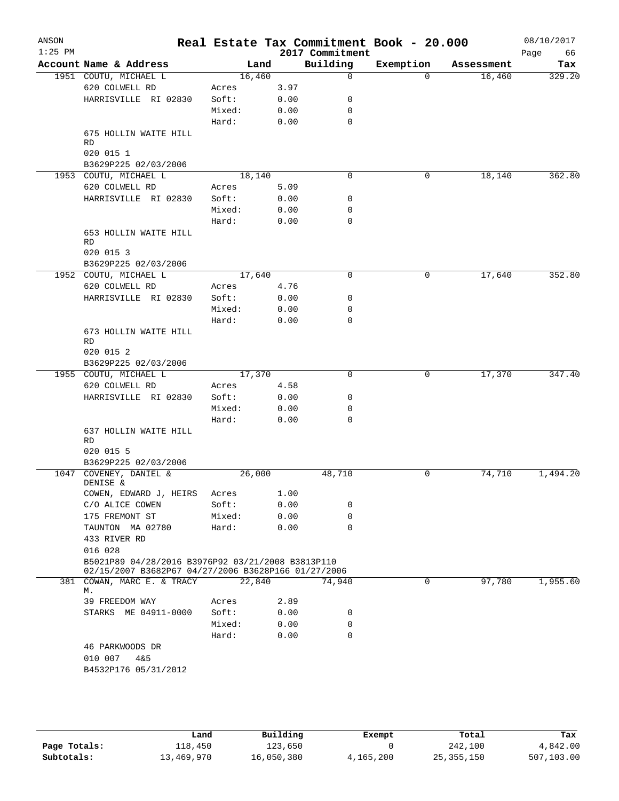| Land<br>16,460<br>Acres<br>Soft:<br>Mixed:<br>Hard: | 3.97<br>0.00<br>0.00<br>0.00 | 2017 Commitment<br>Building<br>0<br>0<br>0       | Exemption<br>$\Omega$                                                                                                             | Assessment<br>16,460 | 66<br>Page<br>Tax<br>329.20 |
|-----------------------------------------------------|------------------------------|--------------------------------------------------|-----------------------------------------------------------------------------------------------------------------------------------|----------------------|-----------------------------|
|                                                     |                              |                                                  |                                                                                                                                   |                      |                             |
|                                                     |                              |                                                  |                                                                                                                                   |                      |                             |
|                                                     |                              |                                                  |                                                                                                                                   |                      |                             |
|                                                     |                              |                                                  |                                                                                                                                   |                      |                             |
|                                                     |                              |                                                  |                                                                                                                                   |                      |                             |
|                                                     |                              | $\mathbf 0$                                      |                                                                                                                                   |                      |                             |
|                                                     |                              |                                                  |                                                                                                                                   |                      |                             |
|                                                     |                              |                                                  |                                                                                                                                   |                      |                             |
|                                                     |                              |                                                  |                                                                                                                                   |                      |                             |
|                                                     |                              | 0                                                | 0                                                                                                                                 |                      | 362.80                      |
| 18,140                                              | 5.09                         |                                                  |                                                                                                                                   | 18,140               |                             |
| Acres<br>Soft:                                      | 0.00                         | 0                                                |                                                                                                                                   |                      |                             |
|                                                     | 0.00                         | 0                                                |                                                                                                                                   |                      |                             |
| Mixed:<br>Hard:                                     |                              | 0                                                |                                                                                                                                   |                      |                             |
|                                                     | 0.00                         |                                                  |                                                                                                                                   |                      |                             |
|                                                     |                              |                                                  |                                                                                                                                   |                      |                             |
|                                                     |                              |                                                  |                                                                                                                                   |                      |                             |
|                                                     |                              |                                                  |                                                                                                                                   |                      |                             |
| 17,640                                              |                              | $\Omega$                                         | 0                                                                                                                                 | 17,640               | 352.80                      |
| Acres                                               | 4.76                         |                                                  |                                                                                                                                   |                      |                             |
| Soft:                                               | 0.00                         | 0                                                |                                                                                                                                   |                      |                             |
| Mixed:                                              | 0.00                         | 0                                                |                                                                                                                                   |                      |                             |
| Hard:                                               | 0.00                         | $\mathbf 0$                                      |                                                                                                                                   |                      |                             |
|                                                     |                              |                                                  |                                                                                                                                   |                      |                             |
|                                                     |                              |                                                  |                                                                                                                                   |                      |                             |
|                                                     |                              |                                                  |                                                                                                                                   |                      |                             |
|                                                     |                              |                                                  |                                                                                                                                   |                      |                             |
| 17,370                                              |                              | $\mathbf 0$                                      | 0                                                                                                                                 | 17,370               | 347.40                      |
| Acres                                               | 4.58                         |                                                  |                                                                                                                                   |                      |                             |
| Soft:                                               | 0.00                         | 0                                                |                                                                                                                                   |                      |                             |
| Mixed:                                              | 0.00                         | 0                                                |                                                                                                                                   |                      |                             |
| Hard:                                               | 0.00                         | 0                                                |                                                                                                                                   |                      |                             |
|                                                     |                              |                                                  |                                                                                                                                   |                      |                             |
|                                                     |                              |                                                  |                                                                                                                                   |                      |                             |
|                                                     |                              |                                                  |                                                                                                                                   |                      |                             |
|                                                     |                              |                                                  |                                                                                                                                   |                      | 1,494.20                    |
|                                                     |                              |                                                  |                                                                                                                                   |                      |                             |
| Acres                                               | 1.00                         |                                                  |                                                                                                                                   |                      |                             |
| Soft:                                               | 0.00                         | 0                                                |                                                                                                                                   |                      |                             |
| Mixed:                                              | 0.00                         | 0                                                |                                                                                                                                   |                      |                             |
| Hard:                                               | 0.00                         | 0                                                |                                                                                                                                   |                      |                             |
|                                                     |                              |                                                  |                                                                                                                                   |                      |                             |
|                                                     |                              |                                                  |                                                                                                                                   |                      |                             |
|                                                     |                              |                                                  |                                                                                                                                   |                      |                             |
|                                                     |                              |                                                  |                                                                                                                                   |                      |                             |
|                                                     |                              |                                                  |                                                                                                                                   |                      | 1,955.60                    |
| Acres                                               |                              |                                                  |                                                                                                                                   |                      |                             |
|                                                     |                              |                                                  |                                                                                                                                   |                      |                             |
|                                                     |                              | 0                                                |                                                                                                                                   |                      |                             |
|                                                     |                              | $\Omega$                                         |                                                                                                                                   |                      |                             |
|                                                     |                              |                                                  |                                                                                                                                   |                      |                             |
|                                                     |                              |                                                  |                                                                                                                                   |                      |                             |
|                                                     |                              |                                                  |                                                                                                                                   |                      |                             |
|                                                     |                              |                                                  |                                                                                                                                   |                      |                             |
|                                                     | Soft:<br>Mixed:<br>Hard:     | 26,000<br>22,840<br>2.89<br>0.00<br>0.00<br>0.00 | 48,710<br>B5021P89 04/28/2016 B3976P92 03/21/2008 B3813P110<br>02/15/2007 B3682P67 04/27/2006 B3628P166 01/27/2006<br>74,940<br>0 | 0<br>$\Omega$        | 74,710<br>97,780            |

**Page Totals:** 118,450 123,650 0 242,100 4,842.00<br>**Subtotals:** 13,469,970 16,050,380 4,165,200 25,355,150 507,103.00 **Subtotals:** 13,469,970 16,050,380 4,165,200 25,355,150 507,103.00 **Land Building Exempt Total Tax**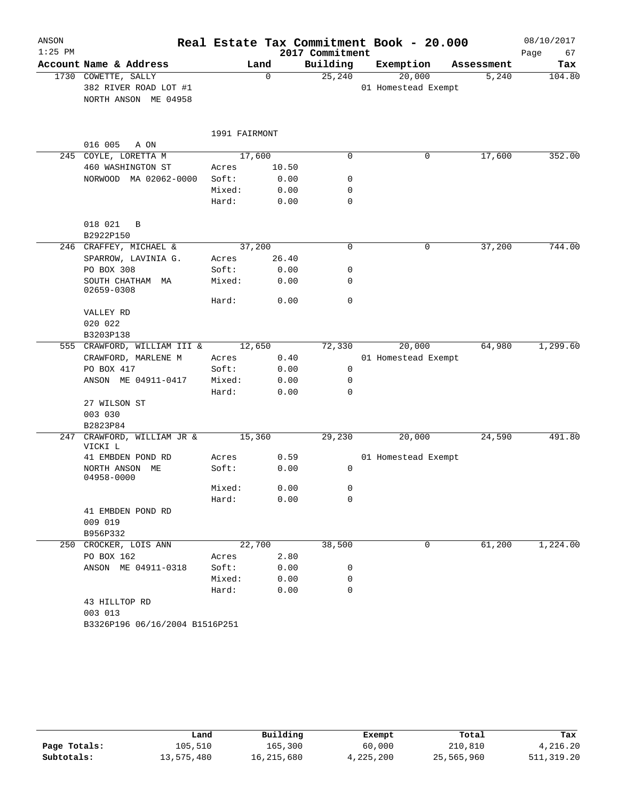| ANSON<br>$1:25$ PM |                                            |                |               | 2017 Commitment     | Real Estate Tax Commitment Book - 20.000 |                     | 08/10/2017    |
|--------------------|--------------------------------------------|----------------|---------------|---------------------|------------------------------------------|---------------------|---------------|
|                    | Account Name & Address                     |                |               |                     |                                          |                     | 67<br>Page    |
|                    | 1730 COWETTE, SALLY                        | Land           | $\Omega$      | Building<br>25, 240 | Exemption<br>20,000                      | Assessment<br>5,240 | Tax<br>104.80 |
|                    | 382 RIVER ROAD LOT #1                      |                |               |                     | 01 Homestead Exempt                      |                     |               |
|                    | NORTH ANSON ME 04958                       |                |               |                     |                                          |                     |               |
|                    |                                            |                |               |                     |                                          |                     |               |
|                    |                                            | 1991 FAIRMONT  |               |                     |                                          |                     |               |
|                    | 016 005<br>A ON                            |                |               |                     |                                          |                     |               |
|                    | 245 COYLE, LORETTA M                       | 17,600         |               | $\mathbf 0$         | 0                                        | 17,600              | 352.00        |
|                    | 460 WASHINGTON ST<br>NORWOOD MA 02062-0000 | Acres<br>Soft: | 10.50<br>0.00 | 0                   |                                          |                     |               |
|                    |                                            | Mixed:         | 0.00          | 0                   |                                          |                     |               |
|                    |                                            | Hard:          | 0.00          | $\mathbf 0$         |                                          |                     |               |
|                    |                                            |                |               |                     |                                          |                     |               |
|                    | 018 021<br>$\overline{B}$                  |                |               |                     |                                          |                     |               |
|                    | B2922P150                                  |                |               |                     |                                          |                     |               |
|                    | 246 CRAFFEY, MICHAEL &                     | 37,200         |               | 0                   | 0                                        | 37,200              | 744.00        |
|                    | SPARROW, LAVINIA G.<br>PO BOX 308          | Acres<br>Soft: | 26.40<br>0.00 | 0                   |                                          |                     |               |
|                    | SOUTH CHATHAM MA                           | Mixed:         | 0.00          | $\mathbf 0$         |                                          |                     |               |
|                    | 02659-0308                                 |                |               |                     |                                          |                     |               |
|                    |                                            | Hard:          | 0.00          | $\mathbf 0$         |                                          |                     |               |
|                    | VALLEY RD                                  |                |               |                     |                                          |                     |               |
|                    | 020 022                                    |                |               |                     |                                          |                     |               |
|                    | B3203P138                                  |                |               |                     |                                          |                     |               |
|                    | 555 CRAWFORD, WILLIAM III &                | 12,650         |               | 72,330              | 20,000                                   | 64,980              | 1,299.60      |
|                    | CRAWFORD, MARLENE M                        | Acres          | 0.40          |                     | 01 Homestead Exempt                      |                     |               |
|                    | PO BOX 417                                 | Soft:          | 0.00          | 0                   |                                          |                     |               |
|                    | ANSON ME 04911-0417                        | Mixed:         | 0.00          | $\mathbf 0$         |                                          |                     |               |
|                    |                                            | Hard:          | 0.00          | $\Omega$            |                                          |                     |               |
|                    | 27 WILSON ST                               |                |               |                     |                                          |                     |               |
|                    | 003 030                                    |                |               |                     |                                          |                     |               |
|                    | B2823P84<br>247 CRAWFORD, WILLIAM JR &     | 15,360         |               |                     |                                          |                     | 491.80        |
|                    | VICKI L                                    |                |               | 29,230              | 20,000                                   | 24,590              |               |
|                    | 41 EMBDEN POND RD                          | Acres          | 0.59          |                     | 01 Homestead Exempt                      |                     |               |
|                    | NORTH ANSON ME<br>04958-0000               | Soft:          | 0.00          | 0                   |                                          |                     |               |
|                    |                                            | Mixed:         | 0.00          | 0                   |                                          |                     |               |
|                    |                                            | Hard:          | 0.00          | 0                   |                                          |                     |               |
|                    | 41 EMBDEN POND RD                          |                |               |                     |                                          |                     |               |
|                    | 009 019                                    |                |               |                     |                                          |                     |               |
|                    | B956P332                                   |                |               |                     |                                          |                     |               |
|                    | 250 CROCKER, LOIS ANN                      |                | 22,700        | 38,500              | 0                                        | 61,200              | 1,224.00      |
|                    | PO BOX 162                                 | Acres          | 2.80          |                     |                                          |                     |               |
|                    | ANSON ME 04911-0318                        | Soft:          | 0.00          | 0                   |                                          |                     |               |
|                    |                                            | Mixed:         | 0.00          | 0                   |                                          |                     |               |
|                    |                                            | Hard:          | 0.00          | $\mathbf 0$         |                                          |                     |               |
|                    | 43 HILLTOP RD                              |                |               |                     |                                          |                     |               |
|                    | 003 013                                    |                |               |                     |                                          |                     |               |
|                    | B3326P196 06/16/2004 B1516P251             |                |               |                     |                                          |                     |               |

|              | Land       | Building     | Exempt    | Total      | Tax        |
|--------------|------------|--------------|-----------|------------|------------|
| Page Totals: | 105,510    | 165,300      | 60,000    | 210,810    | 4,216.20   |
| Subtotals:   | 13,575,480 | 16, 215, 680 | 4,225,200 | 25,565,960 | 511,319.20 |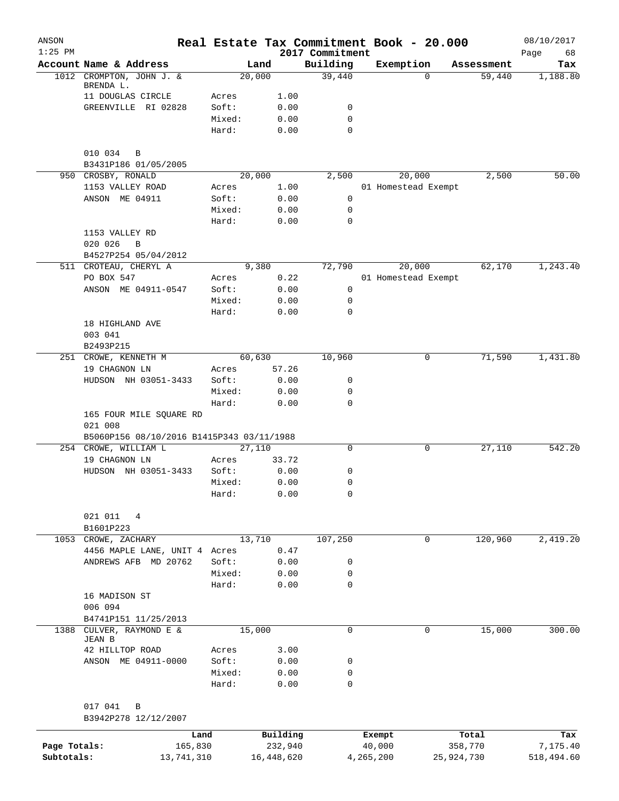| ANSON<br>$1:25$ PM |                                           | Real Estate Tax Commitment Book - 20.000 |               | 2017 Commitment  |           |                     |            | 08/10/2017<br>Page<br>68 |
|--------------------|-------------------------------------------|------------------------------------------|---------------|------------------|-----------|---------------------|------------|--------------------------|
|                    | Account Name & Address                    | Land                                     |               | Building         |           | Exemption           | Assessment | Tax                      |
| 1012               | CROMPTON, JOHN J. &                       | 20,000                                   |               | 39,440           |           | $\Omega$            | 59,440     | 1,188.80                 |
|                    | BRENDA L.                                 |                                          |               |                  |           |                     |            |                          |
|                    | 11 DOUGLAS CIRCLE                         | Acres                                    | 1.00          |                  |           |                     |            |                          |
|                    | GREENVILLE RI 02828                       | Soft:<br>Mixed:                          | 0.00<br>0.00  | 0<br>$\mathbf 0$ |           |                     |            |                          |
|                    |                                           | Hard:                                    | 0.00          | $\mathbf 0$      |           |                     |            |                          |
|                    | 010 034<br>B                              |                                          |               |                  |           |                     |            |                          |
|                    | B3431P186 01/05/2005                      |                                          |               |                  |           |                     |            |                          |
|                    | 950 CROSBY, RONALD                        | 20,000                                   |               | 2,500            |           | 20,000              | 2,500      | 50.00                    |
|                    | 1153 VALLEY ROAD                          | Acres                                    | 1.00          |                  |           | 01 Homestead Exempt |            |                          |
|                    | ANSON ME 04911                            | Soft:                                    | 0.00          | $\mathbf 0$      |           |                     |            |                          |
|                    |                                           | Mixed:                                   | 0.00          | 0<br>$\mathbf 0$ |           |                     |            |                          |
|                    | 1153 VALLEY RD                            | Hard:                                    | 0.00          |                  |           |                     |            |                          |
|                    | 020 026<br>B                              |                                          |               |                  |           |                     |            |                          |
|                    | B4527P254 05/04/2012                      |                                          |               |                  |           |                     |            |                          |
|                    | 511 CROTEAU, CHERYL A                     | 9,380                                    |               | 72,790           |           | 20,000              | 62,170     | 1,243.40                 |
|                    | PO BOX 547                                | Acres                                    | 0.22          |                  |           | 01 Homestead Exempt |            |                          |
|                    | ANSON ME 04911-0547                       | Soft:                                    | 0.00          | 0                |           |                     |            |                          |
|                    |                                           | Mixed:                                   | 0.00          | 0                |           |                     |            |                          |
|                    |                                           | Hard:                                    | 0.00          | 0                |           |                     |            |                          |
|                    | 18 HIGHLAND AVE                           |                                          |               |                  |           |                     |            |                          |
|                    | 003 041                                   |                                          |               |                  |           |                     |            |                          |
|                    | B2493P215                                 |                                          |               |                  |           |                     |            |                          |
|                    | 251 CROWE, KENNETH M                      | 60,630                                   |               | 10,960           |           | 0                   | 71,590     | 1,431.80                 |
|                    | 19 CHAGNON LN                             | Acres<br>Soft:                           | 57.26<br>0.00 | 0                |           |                     |            |                          |
|                    | HUDSON NH 03051-3433                      | Mixed:                                   | 0.00          | 0                |           |                     |            |                          |
|                    |                                           | Hard:                                    | 0.00          | 0                |           |                     |            |                          |
|                    | 165 FOUR MILE SQUARE RD<br>021 008        |                                          |               |                  |           |                     |            |                          |
|                    | B5060P156 08/10/2016 B1415P343 03/11/1988 |                                          |               |                  |           |                     |            |                          |
|                    | 254 CROWE, WILLIAM L                      | 27,110                                   |               | $\mathbf 0$      |           | 0                   | 27,110     | 542.20                   |
|                    | 19 CHAGNON LN                             | Acres                                    | 33.72         |                  |           |                     |            |                          |
|                    | HUDSON NH 03051-3433                      | Soft:                                    | 0.00          | 0                |           |                     |            |                          |
|                    |                                           | Mixed:                                   | 0.00<br>0.00  | $\mathbf 0$      |           |                     |            |                          |
|                    |                                           | Hard:                                    |               | 0                |           |                     |            |                          |
|                    | 021 011<br>4                              |                                          |               |                  |           |                     |            |                          |
|                    | B1601P223                                 |                                          |               |                  |           |                     |            |                          |
| 1053               | CROWE, ZACHARY                            | 13,710                                   |               | 107,250          |           | 0                   | 120,960    | 2,419.20                 |
|                    | 4456 MAPLE LANE, UNIT 4 Acres             |                                          | 0.47          |                  |           |                     |            |                          |
|                    | ANDREWS AFB MD 20762                      | Soft:                                    | 0.00          | 0                |           |                     |            |                          |
|                    |                                           | Mixed:                                   | 0.00          | 0                |           |                     |            |                          |
|                    |                                           | Hard:                                    | 0.00          | 0                |           |                     |            |                          |
|                    | 16 MADISON ST                             |                                          |               |                  |           |                     |            |                          |
|                    | 006 094<br>B4741P151 11/25/2013           |                                          |               |                  |           |                     |            |                          |
| 1388               | CULVER, RAYMOND E &                       | 15,000                                   |               | 0                |           | 0                   | 15,000     | 300.00                   |
|                    | JEAN B                                    |                                          |               |                  |           |                     |            |                          |
|                    | 42 HILLTOP ROAD                           | Acres                                    | 3.00          |                  |           |                     |            |                          |
|                    | ANSON ME 04911-0000                       | Soft:                                    | 0.00          | 0                |           |                     |            |                          |
|                    |                                           | Mixed:                                   | 0.00          | 0                |           |                     |            |                          |
|                    |                                           | Hard:                                    | 0.00          | 0                |           |                     |            |                          |
|                    | 017 041<br>B                              |                                          |               |                  |           |                     |            |                          |
|                    | B3942P278 12/12/2007                      |                                          |               |                  |           |                     |            |                          |
|                    |                                           | Land                                     | Building      |                  | Exempt    |                     | Total      | Tax                      |
| Page Totals:       | 165,830                                   |                                          | 232,940       |                  | 40,000    |                     | 358,770    | 7,175.40                 |
| Subtotals:         | 13,741,310                                |                                          | 16,448,620    |                  | 4,265,200 |                     | 25,924,730 | 518,494.60               |
|                    |                                           |                                          |               |                  |           |                     |            |                          |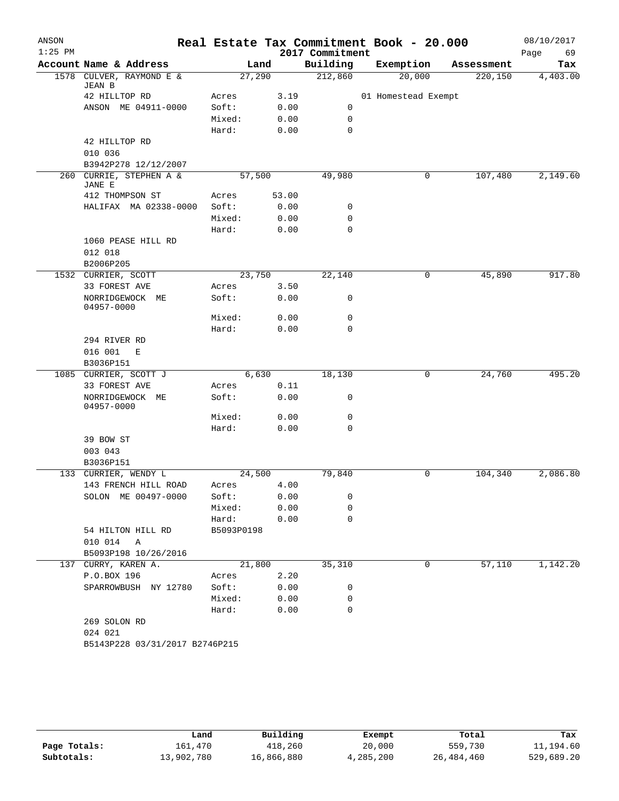| ANSON     |                                     |                |            |       | Real Estate Tax Commitment Book - 20.000 |                     |        |            | 08/10/2017 |
|-----------|-------------------------------------|----------------|------------|-------|------------------------------------------|---------------------|--------|------------|------------|
| $1:25$ PM |                                     |                |            |       | 2017 Commitment                          |                     |        |            | 69<br>Page |
|           | Account Name & Address              |                | Land       |       | Building                                 | Exemption           |        | Assessment | Tax        |
| 1578      | CULVER, RAYMOND E &<br>JEAN B       |                | 27,290     |       | 212,860                                  |                     | 20,000 | 220,150    | 4,403.00   |
|           | 42 HILLTOP RD                       | Acres          |            | 3.19  |                                          | 01 Homestead Exempt |        |            |            |
|           | ANSON ME 04911-0000                 | Soft:          |            | 0.00  | 0                                        |                     |        |            |            |
|           |                                     | Mixed:         |            | 0.00  | 0                                        |                     |        |            |            |
|           |                                     | Hard:          |            | 0.00  | $\mathbf 0$                              |                     |        |            |            |
|           | 42 HILLTOP RD                       |                |            |       |                                          |                     |        |            |            |
|           | 010 036                             |                |            |       |                                          |                     |        |            |            |
|           | B3942P278 12/12/2007                |                |            |       |                                          |                     |        |            |            |
| 260       | CURRIE, STEPHEN A &<br>JANE E       |                | 57,500     |       | 49,980                                   |                     | 0      | 107,480    | 2,149.60   |
|           | 412 THOMPSON ST                     | Acres          |            | 53.00 |                                          |                     |        |            |            |
|           | HALIFAX MA 02338-0000               | Soft:          |            | 0.00  | 0                                        |                     |        |            |            |
|           |                                     | Mixed:         |            | 0.00  | $\mathbf 0$                              |                     |        |            |            |
|           |                                     | Hard:          |            | 0.00  | $\mathbf 0$                              |                     |        |            |            |
|           | 1060 PEASE HILL RD                  |                |            |       |                                          |                     |        |            |            |
|           | 012 018                             |                |            |       |                                          |                     |        |            |            |
|           | B2006P205                           |                |            |       |                                          |                     |        |            |            |
| 1532      | CURRIER, SCOTT                      |                | 23,750     |       | 22,140                                   |                     | 0      | 45,890     | 917.80     |
|           | 33 FOREST AVE                       | Acres          |            | 3.50  |                                          |                     |        |            |            |
|           | NORRIDGEWOCK ME<br>04957-0000       | Soft:          |            | 0.00  | 0                                        |                     |        |            |            |
|           |                                     | Mixed:         |            | 0.00  | $\mathbf 0$                              |                     |        |            |            |
|           |                                     | Hard:          |            | 0.00  | $\mathbf 0$                              |                     |        |            |            |
|           | 294 RIVER RD                        |                |            |       |                                          |                     |        |            |            |
|           | 016 001<br>Е                        |                |            |       |                                          |                     |        |            |            |
|           | B3036P151                           |                |            |       |                                          |                     |        |            |            |
|           | 1085 CURRIER, SCOTT J               |                | 6,630      |       | 18,130                                   |                     | 0      | 24,760     | 495.20     |
|           | 33 FOREST AVE<br>NORRIDGEWOCK<br>МE | Acres<br>Soft: |            | 0.11  | 0                                        |                     |        |            |            |
|           | 04957-0000                          |                |            | 0.00  |                                          |                     |        |            |            |
|           |                                     | Mixed:         |            | 0.00  | 0                                        |                     |        |            |            |
|           |                                     | Hard:          |            | 0.00  | $\mathbf 0$                              |                     |        |            |            |
|           | 39 BOW ST                           |                |            |       |                                          |                     |        |            |            |
|           | 003 043                             |                |            |       |                                          |                     |        |            |            |
|           | B3036P151                           |                |            |       |                                          |                     |        |            |            |
|           | 133 CURRIER, WENDY L                |                | 24,500     |       | 79,840                                   |                     | 0      | 104,340    | 2,086.80   |
|           | 143 FRENCH HILL ROAD                | Acres          |            | 4.00  |                                          |                     |        |            |            |
|           | SOLON ME 00497-0000                 | Soft:          |            | 0.00  | 0                                        |                     |        |            |            |
|           |                                     | Mixed:         |            | 0.00  | 0                                        |                     |        |            |            |
|           |                                     | Hard:          |            | 0.00  | $\mathbf 0$                              |                     |        |            |            |
|           | 54 HILTON HILL RD                   |                | B5093P0198 |       |                                          |                     |        |            |            |
|           | 010 014 A                           |                |            |       |                                          |                     |        |            |            |
|           | B5093P198 10/26/2016                |                |            |       |                                          |                     |        |            |            |
|           | 137 CURRY, KAREN A.                 |                | 21,800     |       | 35,310                                   |                     | 0      | 57,110     | 1,142.20   |
|           | P.O.BOX 196                         | Acres          |            | 2.20  |                                          |                     |        |            |            |
|           | SPARROWBUSH NY 12780                | Soft:          |            | 0.00  | 0                                        |                     |        |            |            |
|           |                                     | Mixed:         |            | 0.00  | 0                                        |                     |        |            |            |
|           |                                     | Hard:          |            | 0.00  | $\mathbf 0$                              |                     |        |            |            |
|           | 269 SOLON RD                        |                |            |       |                                          |                     |        |            |            |
|           | 024 021                             |                |            |       |                                          |                     |        |            |            |
|           | B5143P228 03/31/2017 B2746P215      |                |            |       |                                          |                     |        |            |            |
|           |                                     |                |            |       |                                          |                     |        |            |            |

|              | Land       | Building   | Exempt    | Total      | Tax        |
|--------------|------------|------------|-----------|------------|------------|
| Page Totals: | 161.470    | 418,260    | 20,000    | 559,730    | 11,194.60  |
| Subtotals:   | 13,902,780 | 16,866,880 | 4,285,200 | 26,484,460 | 529,689.20 |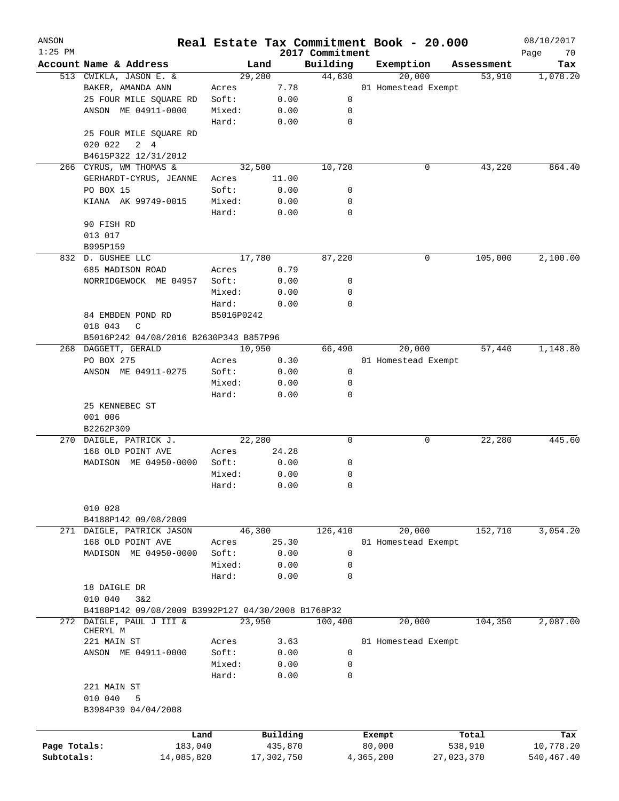| ANSON        |                                                    |                       |        |                     |                             | Real Estate Tax Commitment Book - 20.000 |                       | 08/10/2017              |
|--------------|----------------------------------------------------|-----------------------|--------|---------------------|-----------------------------|------------------------------------------|-----------------------|-------------------------|
| $1:25$ PM    | Account Name & Address                             |                       | Land   |                     | 2017 Commitment<br>Building | Exemption                                | Assessment            | Page<br>70<br>Tax       |
|              | 513 CWIKLA, JASON E. &                             |                       | 29,280 |                     | 44,630                      | 20,000                                   | 53,910                | 1,078.20                |
|              | BAKER, AMANDA ANN                                  | Acres                 |        | 7.78                |                             | 01 Homestead Exempt                      |                       |                         |
|              | 25 FOUR MILE SQUARE RD                             | Soft:                 |        | 0.00                | 0                           |                                          |                       |                         |
|              | ANSON ME 04911-0000                                | Mixed:                |        | 0.00                | 0                           |                                          |                       |                         |
|              |                                                    | Hard:                 |        | 0.00                | $\mathbf 0$                 |                                          |                       |                         |
|              | 25 FOUR MILE SQUARE RD                             |                       |        |                     |                             |                                          |                       |                         |
|              | 020 022<br>$2 \quad 4$                             |                       |        |                     |                             |                                          |                       |                         |
|              | B4615P322 12/31/2012                               |                       |        |                     |                             |                                          |                       |                         |
|              | 266 CYRUS, WM THOMAS &                             |                       | 32,500 |                     | 10,720                      | 0                                        | 43,220                | 864.40                  |
|              | GERHARDT-CYRUS, JEANNE                             | Acres                 |        | 11.00               |                             |                                          |                       |                         |
|              | PO BOX 15                                          | Soft:                 |        | 0.00                | 0                           |                                          |                       |                         |
|              | KIANA AK 99749-0015                                | Mixed:                |        | 0.00                | 0                           |                                          |                       |                         |
|              |                                                    | Hard:                 |        | 0.00                | $\mathbf 0$                 |                                          |                       |                         |
|              | 90 FISH RD                                         |                       |        |                     |                             |                                          |                       |                         |
|              | 013 017                                            |                       |        |                     |                             |                                          |                       |                         |
|              | B995P159                                           |                       |        |                     |                             |                                          |                       |                         |
|              | 832 D. GUSHEE LLC                                  |                       | 17,780 |                     | 87,220                      | 0                                        | 105,000               | 2,100.00                |
|              | 685 MADISON ROAD                                   | Acres                 |        | 0.79                |                             |                                          |                       |                         |
|              | NORRIDGEWOCK ME 04957                              | Soft:                 |        | 0.00                | 0                           |                                          |                       |                         |
|              |                                                    | Mixed:                |        | 0.00                | $\mathbf 0$                 |                                          |                       |                         |
|              |                                                    | Hard:                 |        | 0.00                | $\mathbf 0$                 |                                          |                       |                         |
|              | 84 EMBDEN POND RD                                  | B5016P0242            |        |                     |                             |                                          |                       |                         |
|              | 018 043<br>C                                       |                       |        |                     |                             |                                          |                       |                         |
|              | B5016P242 04/08/2016 B2630P343 B857P96             |                       |        |                     |                             |                                          |                       |                         |
| 268          | DAGGETT, GERALD                                    |                       | 10,950 |                     | 66,490                      | 20,000                                   | 57,440                | 1,148.80                |
|              | PO BOX 275                                         | Acres                 |        | 0.30                |                             | 01 Homestead Exempt                      |                       |                         |
|              | ANSON ME 04911-0275                                | Soft:                 |        | 0.00                | 0                           |                                          |                       |                         |
|              |                                                    | Mixed:                |        | 0.00                | 0                           |                                          |                       |                         |
|              |                                                    | Hard:                 |        | 0.00                | $\mathbf 0$                 |                                          |                       |                         |
|              | 25 KENNEBEC ST                                     |                       |        |                     |                             |                                          |                       |                         |
|              | 001 006                                            |                       |        |                     |                             |                                          |                       |                         |
|              | B2262P309                                          |                       |        |                     |                             |                                          |                       |                         |
|              | 270 DAIGLE, PATRICK J.                             |                       | 22,280 |                     | 0                           | 0                                        | 22,280                | 445.60                  |
|              | 168 OLD POINT AVE                                  | Acres                 |        | 24.28               |                             |                                          |                       |                         |
|              | MADISON ME 04950-0000                              | Soft:                 |        | 0.00                | 0                           |                                          |                       |                         |
|              |                                                    | Mixed:                |        | 0.00                | 0                           |                                          |                       |                         |
|              |                                                    | Hard:                 |        | 0.00                | 0                           |                                          |                       |                         |
|              |                                                    |                       |        |                     |                             |                                          |                       |                         |
|              | 010 028                                            |                       |        |                     |                             |                                          |                       |                         |
|              | B4188P142 09/08/2009                               |                       |        |                     |                             |                                          |                       |                         |
|              | 271 DAIGLE, PATRICK JASON                          |                       | 46,300 |                     | 126,410                     | 20,000                                   | 152,710               | 3,054.20                |
|              | 168 OLD POINT AVE                                  | Acres                 |        | 25.30               |                             | 01 Homestead Exempt                      |                       |                         |
|              | MADISON ME 04950-0000                              | Soft:                 |        | 0.00                | 0                           |                                          |                       |                         |
|              |                                                    | Mixed:                |        | 0.00                | 0                           |                                          |                       |                         |
|              |                                                    | Hard:                 |        | 0.00                | $\mathbf 0$                 |                                          |                       |                         |
|              | 18 DAIGLE DR                                       |                       |        |                     |                             |                                          |                       |                         |
|              | 010 040<br>3&2                                     |                       |        |                     |                             |                                          |                       |                         |
|              | B4188P142 09/08/2009 B3992P127 04/30/2008 B1768P32 |                       |        |                     |                             |                                          |                       |                         |
|              | 272 DAIGLE, PAUL J III &                           |                       | 23,950 |                     | 100,400                     | 20,000                                   | 104,350               | 2,087.00                |
|              | CHERYL M<br>221 MAIN ST                            | Acres                 |        | 3.63                |                             | 01 Homestead Exempt                      |                       |                         |
|              | ANSON ME 04911-0000                                | Soft:                 |        | 0.00                | $\mathbf 0$                 |                                          |                       |                         |
|              |                                                    | Mixed:                |        | 0.00                | 0                           |                                          |                       |                         |
|              |                                                    | Hard:                 |        | 0.00                | $\mathbf 0$                 |                                          |                       |                         |
|              | 221 MAIN ST                                        |                       |        |                     |                             |                                          |                       |                         |
|              | 010 040<br>5                                       |                       |        |                     |                             |                                          |                       |                         |
|              | B3984P39 04/04/2008                                |                       |        |                     |                             |                                          |                       |                         |
|              |                                                    |                       |        |                     |                             |                                          |                       |                         |
|              |                                                    |                       |        |                     |                             |                                          |                       |                         |
| Page Totals: |                                                    | Land                  |        | Building<br>435,870 |                             | Exempt<br>80,000                         | Total                 | Tax                     |
| Subtotals:   |                                                    | 183,040<br>14,085,820 |        | 17,302,750          |                             | 4,365,200                                | 538,910<br>27,023,370 | 10,778.20<br>540,467.40 |
|              |                                                    |                       |        |                     |                             |                                          |                       |                         |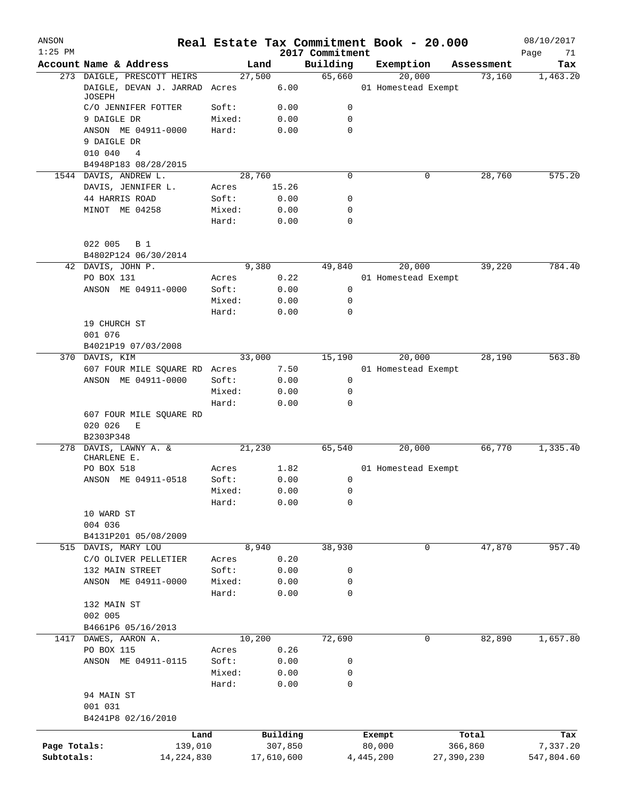| ANSON<br>$1:25$ PM |                                         |                 |            |              | 2017 Commitment | Real Estate Tax Commitment Book - 20.000 |            | 08/10/2017<br>Page<br>71 |
|--------------------|-----------------------------------------|-----------------|------------|--------------|-----------------|------------------------------------------|------------|--------------------------|
|                    | Account Name & Address                  |                 | Land       |              | Building        | Exemption                                | Assessment | Tax                      |
|                    | 273 DAIGLE, PRESCOTT HEIRS              |                 | 27,500     |              | 65,660          | 20,000                                   | 73,160     | 1,463.20                 |
|                    | DAIGLE, DEVAN J. JARRAD Acres<br>JOSEPH |                 |            | 6.00         |                 | 01 Homestead Exempt                      |            |                          |
|                    | C/O JENNIFER FOTTER                     | Soft:           |            | 0.00         | 0               |                                          |            |                          |
|                    | 9 DAIGLE DR                             | Mixed:          |            | 0.00         | 0               |                                          |            |                          |
|                    | ANSON ME 04911-0000                     | Hard:           |            | 0.00         | $\mathbf 0$     |                                          |            |                          |
|                    | 9 DAIGLE DR                             |                 |            |              |                 |                                          |            |                          |
|                    | 010 040<br>4                            |                 |            |              |                 |                                          |            |                          |
|                    | B4948P183 08/28/2015                    |                 |            |              |                 |                                          |            |                          |
|                    | 1544 DAVIS, ANDREW L.                   |                 | 28,760     |              | 0               | 0                                        | 28,760     | 575.20                   |
|                    | DAVIS, JENNIFER L.                      | Acres           |            | 15.26        |                 |                                          |            |                          |
|                    | 44 HARRIS ROAD                          | Soft:           |            | 0.00         | 0<br>0          |                                          |            |                          |
|                    | MINOT ME 04258                          | Mixed:<br>Hard: |            | 0.00<br>0.00 | 0               |                                          |            |                          |
|                    |                                         |                 |            |              |                 |                                          |            |                          |
|                    | 022 005<br>B 1                          |                 |            |              |                 |                                          |            |                          |
|                    | B4802P124 06/30/2014                    |                 |            |              |                 |                                          |            |                          |
|                    | 42 DAVIS, JOHN P.                       |                 | 9,380      |              | 49,840          | 20,000                                   | 39,220     | 784.40                   |
|                    | PO BOX 131                              | Acres           |            | 0.22         |                 | 01 Homestead Exempt                      |            |                          |
|                    | ANSON ME 04911-0000                     | Soft:           |            | 0.00         | 0               |                                          |            |                          |
|                    |                                         | Mixed:          |            | 0.00         | 0<br>0          |                                          |            |                          |
|                    | 19 CHURCH ST                            | Hard:           |            | 0.00         |                 |                                          |            |                          |
|                    | 001 076                                 |                 |            |              |                 |                                          |            |                          |
|                    | B4021P19 07/03/2008                     |                 |            |              |                 |                                          |            |                          |
|                    | 370 DAVIS, KIM                          |                 | 33,000     |              | 15,190          | 20,000                                   | 28,190     | 563.80                   |
|                    | 607 FOUR MILE SQUARE RD Acres           |                 |            | 7.50         |                 | 01 Homestead Exempt                      |            |                          |
|                    | ANSON ME 04911-0000                     | Soft:           |            | 0.00         | $\mathbf 0$     |                                          |            |                          |
|                    |                                         | Mixed:          |            | 0.00         | 0               |                                          |            |                          |
|                    |                                         | Hard:           |            | 0.00         | 0               |                                          |            |                          |
|                    | 607 FOUR MILE SQUARE RD                 |                 |            |              |                 |                                          |            |                          |
|                    | 020 026<br>Ε<br>B2303P348               |                 |            |              |                 |                                          |            |                          |
|                    | 278 DAVIS, LAWNY A. &<br>CHARLENE E.    |                 | 21,230     |              | 65,540          | 20,000                                   | 66,770     | 1,335.40                 |
|                    | PO BOX 518                              | Acres           |            | 1.82         |                 | 01 Homestead Exempt                      |            |                          |
|                    | ANSON ME 04911-0518                     | Soft:           |            | 0.00         | 0               |                                          |            |                          |
|                    |                                         | Mixed:          |            | 0.00         | 0               |                                          |            |                          |
|                    |                                         | Hard:           |            | 0.00         | 0               |                                          |            |                          |
|                    | 10 WARD ST                              |                 |            |              |                 |                                          |            |                          |
|                    | 004 036                                 |                 |            |              |                 |                                          |            |                          |
|                    | B4131P201 05/08/2009                    |                 |            |              |                 |                                          |            |                          |
| 515                | DAVIS, MARY LOU                         |                 | 8,940      |              | 38,930          | 0                                        | 47,870     | 957.40                   |
|                    | C/O OLIVER PELLETIER                    | Acres           |            | 0.20         |                 |                                          |            |                          |
|                    | 132 MAIN STREET                         | Soft:           |            | 0.00         | 0               |                                          |            |                          |
|                    | ANSON ME 04911-0000                     | Mixed:          |            | 0.00         | 0               |                                          |            |                          |
|                    |                                         | Hard:           |            | 0.00         | 0               |                                          |            |                          |
|                    | 132 MAIN ST                             |                 |            |              |                 |                                          |            |                          |
|                    | 002 005                                 |                 |            |              |                 |                                          |            |                          |
|                    | B4661P6 05/16/2013                      |                 |            |              |                 |                                          |            | 1,657.80                 |
| 1417               | DAWES, AARON A.                         |                 | 10,200     |              | 72,690          | 0                                        | 82,890     |                          |
|                    | PO BOX 115<br>ANSON ME 04911-0115       | Acres<br>Soft:  |            | 0.26<br>0.00 | 0               |                                          |            |                          |
|                    |                                         | Mixed:          |            | 0.00         | 0               |                                          |            |                          |
|                    |                                         | Hard:           |            | 0.00         | 0               |                                          |            |                          |
|                    | 94 MAIN ST                              |                 |            |              |                 |                                          |            |                          |
|                    | 001 031                                 |                 |            |              |                 |                                          |            |                          |
|                    | B4241P8 02/16/2010                      |                 |            |              |                 |                                          |            |                          |
|                    |                                         | Land            | Building   |              |                 | Exempt                                   | Total      | Tax                      |
| Page Totals:       | 139,010                                 |                 | 307,850    |              |                 | 80,000                                   | 366,860    | 7,337.20                 |
| Subtotals:         | 14, 224, 830                            |                 | 17,610,600 |              |                 | 4,445,200                                | 27,390,230 | 547,804.60               |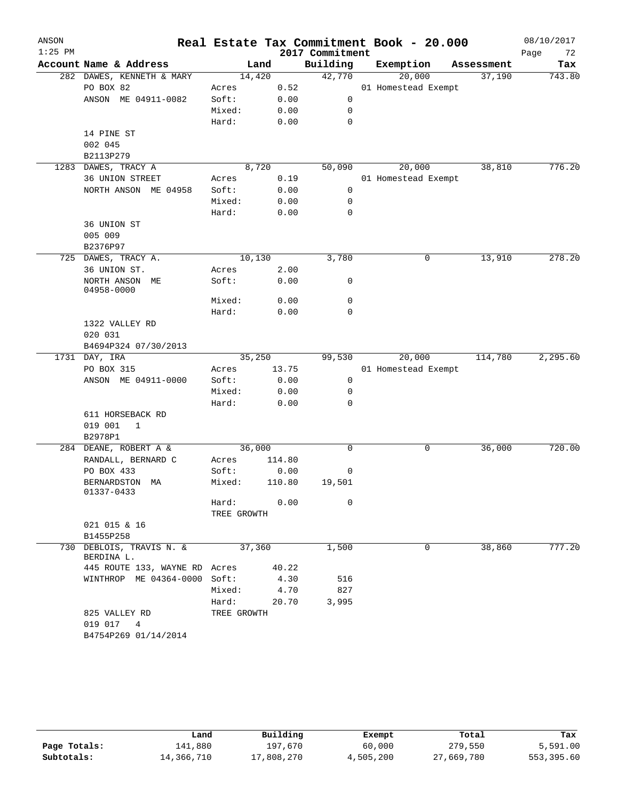| ANSON     |                                        |                      |        | Real Estate Tax Commitment Book - 20.000 |                     |            | 08/10/2017 |
|-----------|----------------------------------------|----------------------|--------|------------------------------------------|---------------------|------------|------------|
| $1:25$ PM |                                        |                      |        | 2017 Commitment                          |                     |            | 72<br>Page |
|           | Account Name & Address                 |                      | Land   | Building                                 | Exemption           | Assessment | Tax        |
|           | 282 DAWES, KENNETH & MARY              | 14,420               |        | 42,770                                   | 20,000              | 37,190     | 743.80     |
|           | PO BOX 82                              | Acres                | 0.52   |                                          | 01 Homestead Exempt |            |            |
|           | ANSON ME 04911-0082                    | Soft:                | 0.00   | 0                                        |                     |            |            |
|           |                                        | Mixed:               | 0.00   | 0                                        |                     |            |            |
|           |                                        | Hard:                | 0.00   | 0                                        |                     |            |            |
|           | 14 PINE ST<br>002 045                  |                      |        |                                          |                     |            |            |
|           | B2113P279                              |                      |        |                                          |                     |            |            |
|           | 1283 DAWES, TRACY A                    | 8,720                |        | 50,090                                   | 20,000              | 38,810     | 776.20     |
|           | 36 UNION STREET                        | Acres                | 0.19   |                                          | 01 Homestead Exempt |            |            |
|           | NORTH ANSON ME 04958                   | Soft:                | 0.00   | 0                                        |                     |            |            |
|           |                                        | Mixed:               | 0.00   | 0                                        |                     |            |            |
|           |                                        | Hard:                | 0.00   | 0                                        |                     |            |            |
|           | 36 UNION ST                            |                      |        |                                          |                     |            |            |
|           | 005 009                                |                      |        |                                          |                     |            |            |
|           | B2376P97                               |                      |        |                                          |                     |            |            |
|           | 725 DAWES, TRACY A.                    | 10,130               |        | 3,780                                    | 0                   | 13,910     | 278.20     |
|           | 36 UNION ST.                           | Acres                | 2.00   |                                          |                     |            |            |
|           | NORTH ANSON ME<br>04958-0000           | Soft:                | 0.00   | 0                                        |                     |            |            |
|           |                                        | Mixed:               | 0.00   | 0                                        |                     |            |            |
|           |                                        | Hard:                | 0.00   | 0                                        |                     |            |            |
|           | 1322 VALLEY RD                         |                      |        |                                          |                     |            |            |
|           | 020 031                                |                      |        |                                          |                     |            |            |
|           | B4694P324 07/30/2013                   |                      |        |                                          |                     |            |            |
|           | 1731 DAY, IRA                          | 35,250               |        | 99,530                                   | 20,000              | 114,780    | 2,295.60   |
|           | PO BOX 315                             | Acres                | 13.75  |                                          | 01 Homestead Exempt |            |            |
|           | ANSON ME 04911-0000                    | Soft:                | 0.00   | 0                                        |                     |            |            |
|           |                                        | Mixed:               | 0.00   | 0<br>0                                   |                     |            |            |
|           | 611 HORSEBACK RD                       | Hard:                | 0.00   |                                          |                     |            |            |
|           | 019 001<br>1                           |                      |        |                                          |                     |            |            |
|           | B2978P1                                |                      |        |                                          |                     |            |            |
|           | 284 DEANE, ROBERT A &                  | 36,000               |        | 0                                        | 0                   | 36,000     | 720.00     |
|           | RANDALL, BERNARD C                     | Acres                | 114.80 |                                          |                     |            |            |
|           | PO BOX 433                             | Soft:                | 0.00   | 0                                        |                     |            |            |
|           | BERNARDSTON MA<br>01337-0433           | Mixed:               | 110.80 | 19,501                                   |                     |            |            |
|           |                                        | Hard:<br>TREE GROWTH | 0.00   | $\mathbf 0$                              |                     |            |            |
|           | 021 015 & 16                           |                      |        |                                          |                     |            |            |
|           | B1455P258                              |                      |        |                                          |                     |            |            |
|           | 730 DEBLOIS, TRAVIS N. &<br>BERDINA L. | 37,360               |        | 1,500                                    | 0                   | 38,860     | 777.20     |
|           | 445 ROUTE 133, WAYNE RD                | Acres                | 40.22  |                                          |                     |            |            |
|           | WINTHROP ME 04364-0000                 | Soft:                | 4.30   | 516                                      |                     |            |            |
|           |                                        | Mixed:               | 4.70   | 827                                      |                     |            |            |
|           |                                        | Hard:                | 20.70  | 3,995                                    |                     |            |            |
|           | 825 VALLEY RD                          | TREE GROWTH          |        |                                          |                     |            |            |
|           | 019 017<br>$\overline{4}$              |                      |        |                                          |                     |            |            |
|           | B4754P269 01/14/2014                   |                      |        |                                          |                     |            |            |

|              | Land       | Building   | Exempt    | Total      | Tax        |
|--------------|------------|------------|-----------|------------|------------|
| Page Totals: | 141,880    | 197,670    | 60,000    | 279,550    | 5,591.00   |
| Subtotals:   | 14,366,710 | 17,808,270 | 4,505,200 | 27,669,780 | 553,395.60 |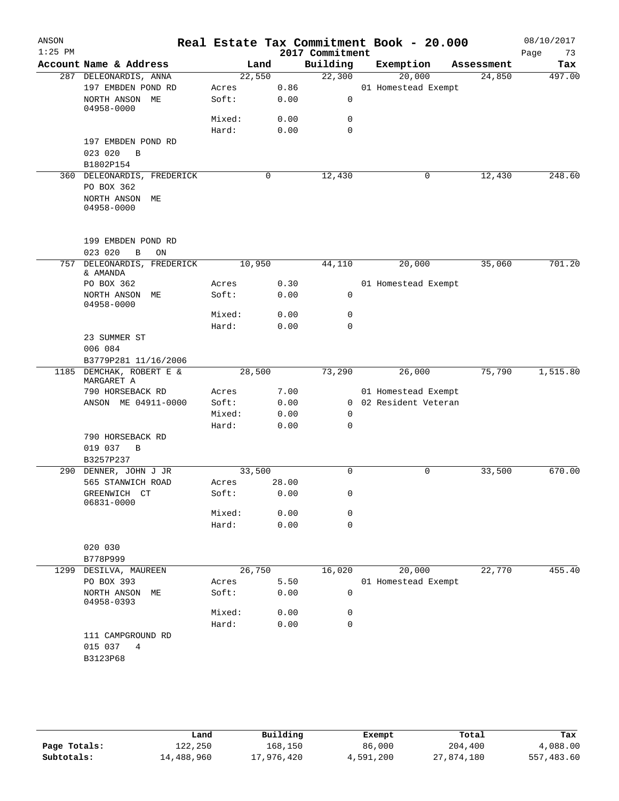| ANSON<br>$1:25$ PM |                                              |                |       | 2017 Commitment  | Real Estate Tax Commitment Book - 20.000 |            | 08/10/2017<br>73<br>Page |
|--------------------|----------------------------------------------|----------------|-------|------------------|------------------------------------------|------------|--------------------------|
|                    | Account Name & Address                       | Land           |       | Building         | Exemption                                | Assessment | Tax                      |
|                    | 287 DELEONARDIS, ANNA                        | 22,550         |       | 22,300           | 20,000                                   | 24,850     | 497.00                   |
|                    | 197 EMBDEN POND RD                           | Acres          | 0.86  |                  | 01 Homestead Exempt                      |            |                          |
|                    | NORTH ANSON ME<br>04958-0000                 | Soft:          | 0.00  | $\mathsf 0$      |                                          |            |                          |
|                    |                                              | Mixed:         | 0.00  | 0                |                                          |            |                          |
|                    |                                              | Hard:          | 0.00  | $\mathbf 0$      |                                          |            |                          |
|                    | 197 EMBDEN POND RD<br>023 020<br>B           |                |       |                  |                                          |            |                          |
|                    | B1802P154                                    |                |       |                  |                                          |            |                          |
|                    | 360 DELEONARDIS, FREDERICK                   |                | 0     | 12,430           | 0                                        | 12,430     | 248.60                   |
|                    | PO BOX 362<br>NORTH ANSON ME<br>04958-0000   |                |       |                  |                                          |            |                          |
|                    |                                              |                |       |                  |                                          |            |                          |
|                    | 199 EMBDEN POND RD                           |                |       |                  |                                          |            |                          |
| 757                | 023 020<br>B<br>ON<br>DELEONARDIS, FREDERICK | 10,950         |       | 44,110           | 20,000                                   | 35,060     | 701.20                   |
|                    | & AMANDA                                     |                |       |                  |                                          |            |                          |
|                    | PO BOX 362                                   | Acres          | 0.30  |                  | 01 Homestead Exempt                      |            |                          |
|                    | NORTH ANSON ME<br>04958-0000                 | Soft:          | 0.00  | $\mathbf 0$      |                                          |            |                          |
|                    |                                              | Mixed:         | 0.00  | 0                |                                          |            |                          |
|                    |                                              | Hard:          | 0.00  | $\mathbf 0$      |                                          |            |                          |
|                    | 23 SUMMER ST                                 |                |       |                  |                                          |            |                          |
|                    | 006 084                                      |                |       |                  |                                          |            |                          |
|                    | B3779P281 11/16/2006                         |                |       |                  |                                          |            |                          |
| 1185               | DEMCHAK, ROBERT E &<br>MARGARET A            | 28,500         |       | 73,290           | 26,000                                   | 75,790     | 1,515.80                 |
|                    | 790 HORSEBACK RD                             | Acres          | 7.00  |                  | 01 Homestead Exempt                      |            |                          |
|                    | ANSON ME 04911-0000                          | Soft:          | 0.00  |                  | 0 02 Resident Veteran                    |            |                          |
|                    |                                              | Mixed:         | 0.00  | 0                |                                          |            |                          |
|                    |                                              | Hard:          | 0.00  | 0                |                                          |            |                          |
|                    | 790 HORSEBACK RD                             |                |       |                  |                                          |            |                          |
|                    | 019 037<br>B                                 |                |       |                  |                                          |            |                          |
|                    | B3257P237                                    |                |       |                  |                                          |            |                          |
| 290                | DENNER, JOHN J JR                            | 33,500         |       | 0                | 0                                        | 33,500     | 670.00                   |
|                    | 565 STANWICH ROAD                            | Acres          | 28.00 |                  |                                          |            |                          |
|                    | GREENWICH CT<br>06831-0000                   | Soft:          | 0.00  | 0                |                                          |            |                          |
|                    |                                              | Mixed:         | 0.00  | 0                |                                          |            |                          |
|                    |                                              | Hard:          | 0.00  | $\mathbf 0$      |                                          |            |                          |
|                    |                                              |                |       |                  |                                          |            |                          |
|                    | 020 030                                      |                |       |                  |                                          |            |                          |
|                    | B778P999                                     |                |       |                  |                                          |            |                          |
|                    | 1299 DESILVA, MAUREEN                        | 26,750         |       | 16,020           | 20,000                                   | 22,770     | 455.40                   |
|                    | PO BOX 393<br>NORTH ANSON ME                 | Acres<br>Soft: | 5.50  | 0                | 01 Homestead Exempt                      |            |                          |
|                    | 04958-0393                                   |                | 0.00  |                  |                                          |            |                          |
|                    |                                              | Mixed:         | 0.00  | 0<br>$\mathbf 0$ |                                          |            |                          |
|                    |                                              | Hard:          | 0.00  |                  |                                          |            |                          |
|                    | 111 CAMPGROUND RD<br>015 037<br>4            |                |       |                  |                                          |            |                          |
|                    | B3123P68                                     |                |       |                  |                                          |            |                          |
|                    |                                              |                |       |                  |                                          |            |                          |
|                    |                                              |                |       |                  |                                          |            |                          |
|                    |                                              |                |       |                  |                                          |            |                          |

|              | Land       | Building   | Exempt    | Total      | Tax        |
|--------------|------------|------------|-----------|------------|------------|
| Page Totals: | 122,250    | 168,150    | 86,000    | 204,400    | 4,088.00   |
| Subtotals:   | 14,488,960 | 17,976,420 | 4,591,200 | 27,874,180 | 557,483.60 |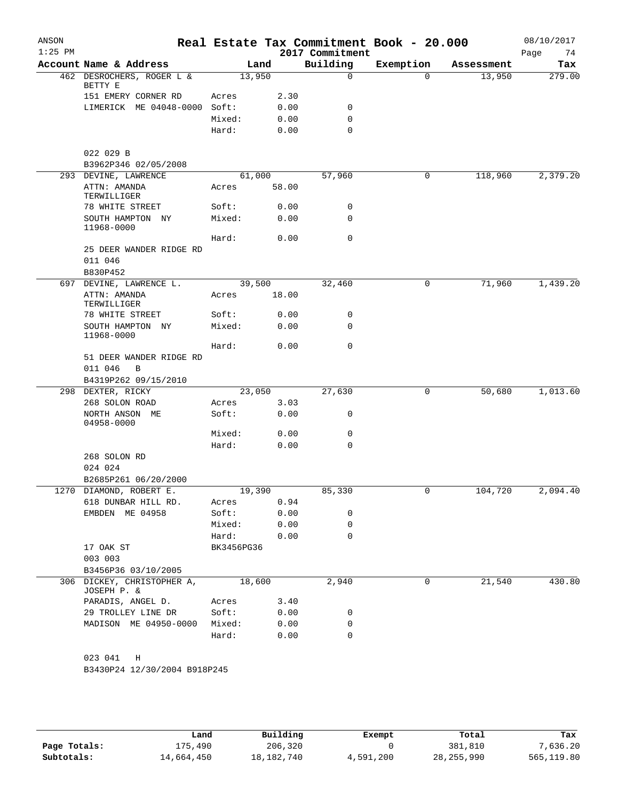| ANSON<br>$1:25$ PM |                                           |                 |              | 2017 Commitment | Real Estate Tax Commitment Book - 20.000 |            | 08/10/2017<br>74<br>Page |
|--------------------|-------------------------------------------|-----------------|--------------|-----------------|------------------------------------------|------------|--------------------------|
|                    | Account Name & Address                    |                 | Land         | Building        | Exemption                                | Assessment | Tax                      |
|                    | 462 DESROCHERS, ROGER L &<br>BETTY E      | 13,950          |              | 0               | $\Omega$                                 | 13,950     | 279.00                   |
|                    | 151 EMERY CORNER RD                       | Acres           | 2.30         |                 |                                          |            |                          |
|                    | LIMERICK ME 04048-0000 Soft:              |                 | 0.00         | 0               |                                          |            |                          |
|                    |                                           | Mixed:          | 0.00         | 0               |                                          |            |                          |
|                    |                                           | Hard:           | 0.00         | $\Omega$        |                                          |            |                          |
|                    |                                           |                 |              |                 |                                          |            |                          |
|                    | 022 029 B                                 |                 |              |                 |                                          |            |                          |
|                    | B3962P346 02/05/2008                      |                 |              |                 |                                          |            |                          |
|                    | 293 DEVINE, LAWRENCE                      | 61,000          |              | 57,960          | 0                                        | 118,960    | 2,379.20                 |
|                    | ATTN: AMANDA<br>TERWILLIGER               | Acres           | 58.00        |                 |                                          |            |                          |
|                    | 78 WHITE STREET                           | Soft:           | 0.00         | 0               |                                          |            |                          |
|                    | SOUTH HAMPTON NY<br>11968-0000            | Mixed:          | 0.00         | 0               |                                          |            |                          |
|                    |                                           | Hard:           | 0.00         | 0               |                                          |            |                          |
|                    | 25 DEER WANDER RIDGE RD                   |                 |              |                 |                                          |            |                          |
|                    | 011 046                                   |                 |              |                 |                                          |            |                          |
|                    | B830P452                                  |                 |              |                 |                                          |            |                          |
|                    | 697 DEVINE, LAWRENCE L.                   | 39,500          |              | 32,460          | 0                                        | 71,960     | 1,439.20                 |
|                    | ATTN: AMANDA<br>TERWILLIGER               | Acres           | 18.00        |                 |                                          |            |                          |
|                    | 78 WHITE STREET                           | Soft:           | 0.00         | 0               |                                          |            |                          |
|                    | SOUTH HAMPTON NY<br>11968-0000            | Mixed:          | 0.00         | 0               |                                          |            |                          |
|                    |                                           | Hard:           | 0.00         | 0               |                                          |            |                          |
|                    | 51 DEER WANDER RIDGE RD<br>011 046<br>B   |                 |              |                 |                                          |            |                          |
|                    | B4319P262 09/15/2010                      |                 |              |                 |                                          |            |                          |
|                    | 298 DEXTER, RICKY                         | 23,050          |              | 27,630          | 0                                        | 50,680     | 1,013.60                 |
|                    | 268 SOLON ROAD                            | Acres           | 3.03         |                 |                                          |            |                          |
|                    | NORTH ANSON ME<br>04958-0000              | Soft:           | 0.00         | 0               |                                          |            |                          |
|                    |                                           | Mixed:          | 0.00         | 0               |                                          |            |                          |
|                    |                                           | Hard:           | 0.00         | 0               |                                          |            |                          |
|                    | 268 SOLON RD                              |                 |              |                 |                                          |            |                          |
|                    | 024 024                                   |                 |              |                 |                                          |            |                          |
|                    | B2685P261 06/20/2000                      |                 |              |                 |                                          |            |                          |
|                    | 1270 DIAMOND, ROBERT E.                   | 19,390          |              | 85,330          |                                          | 104,720    | 2,094.40                 |
|                    | 618 DUNBAR HILL RD.<br>EMBDEN ME 04958    | Acres<br>Soft:  | 0.94<br>0.00 | 0               |                                          |            |                          |
|                    |                                           |                 |              | 0               |                                          |            |                          |
|                    |                                           | Mixed:<br>Hard: | 0.00<br>0.00 | $\Omega$        |                                          |            |                          |
|                    | 17 OAK ST                                 |                 |              |                 |                                          |            |                          |
|                    | 003 003                                   | BK3456PG36      |              |                 |                                          |            |                          |
|                    | B3456P36 03/10/2005                       |                 |              |                 |                                          |            |                          |
|                    | 306 DICKEY, CHRISTOPHER A,                | 18,600          |              | 2,940           | 0                                        | 21,540     | 430.80                   |
|                    | JOSEPH P. &                               |                 |              |                 |                                          |            |                          |
|                    | PARADIS, ANGEL D.                         | Acres           | 3.40         |                 |                                          |            |                          |
|                    | 29 TROLLEY LINE DR                        | Soft:           | 0.00         | 0               |                                          |            |                          |
|                    | MADISON ME 04950-0000 Mixed:              |                 | 0.00         | 0               |                                          |            |                          |
|                    |                                           | Hard:           | 0.00         | $\Omega$        |                                          |            |                          |
|                    | 023 041 H<br>B3430P24 12/30/2004 B918P245 |                 |              |                 |                                          |            |                          |

|              | Land       | Building     | Exempt    | Total        | Tax        |
|--------------|------------|--------------|-----------|--------------|------------|
| Page Totals: | 175,490    | 206,320      |           | 381,810      | 7,636.20   |
| Subtotals:   | 14,664,450 | 18, 182, 740 | 4,591,200 | 28, 255, 990 | 565,119.80 |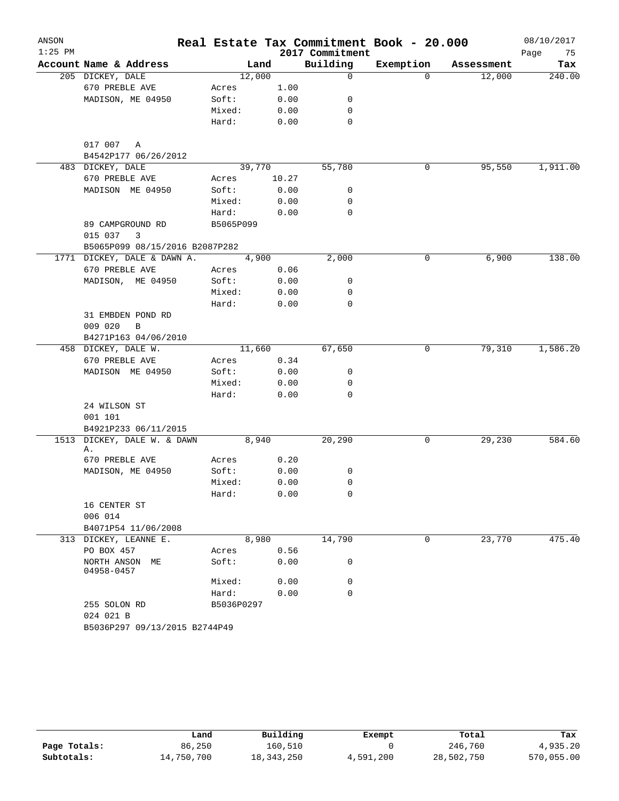| ANSON     |                                      |            |        |                 | Real Estate Tax Commitment Book - 20.000 |            | 08/10/2017 |
|-----------|--------------------------------------|------------|--------|-----------------|------------------------------------------|------------|------------|
| $1:25$ PM |                                      |            |        | 2017 Commitment |                                          |            | Page<br>75 |
|           | Account Name & Address               |            | Land   | Building        | Exemption                                | Assessment | Tax        |
|           | 205 DICKEY, DALE                     |            | 12,000 | $\mathbf 0$     | $\Omega$                                 | 12,000     | 240.00     |
|           | 670 PREBLE AVE                       | Acres      | 1.00   |                 |                                          |            |            |
|           | MADISON, ME 04950                    | Soft:      | 0.00   | 0               |                                          |            |            |
|           |                                      | Mixed:     | 0.00   | 0               |                                          |            |            |
|           |                                      | Hard:      | 0.00   | 0               |                                          |            |            |
|           | 017 007<br>Α<br>B4542P177 06/26/2012 |            |        |                 |                                          |            |            |
|           | 483 DICKEY, DALE                     |            | 39,770 | 55,780          | 0                                        | 95,550     | 1,911.00   |
|           | 670 PREBLE AVE                       | Acres      | 10.27  |                 |                                          |            |            |
|           | MADISON ME 04950                     | Soft:      | 0.00   | 0               |                                          |            |            |
|           |                                      | Mixed:     | 0.00   | 0               |                                          |            |            |
|           |                                      | Hard:      | 0.00   | 0               |                                          |            |            |
|           | 89 CAMPGROUND RD                     | B5065P099  |        |                 |                                          |            |            |
|           | 015 037<br>3                         |            |        |                 |                                          |            |            |
|           | B5065P099 08/15/2016 B2087P282       |            |        |                 |                                          |            |            |
|           | 1771 DICKEY, DALE & DAWN A.          |            | 4,900  | 2,000           | 0                                        | 6,900      | 138.00     |
|           | 670 PREBLE AVE                       | Acres      | 0.06   |                 |                                          |            |            |
|           | MADISON, ME 04950                    | Soft:      | 0.00   | 0               |                                          |            |            |
|           |                                      | Mixed:     | 0.00   | 0               |                                          |            |            |
|           |                                      | Hard:      | 0.00   | 0               |                                          |            |            |
|           | 31 EMBDEN POND RD<br>009 020<br>B    |            |        |                 |                                          |            |            |
|           | B4271P163 04/06/2010                 |            |        |                 |                                          |            |            |
|           | 458 DICKEY, DALE W.                  |            | 11,660 | 67,650          | 0                                        | 79,310     | 1,586.20   |
|           | 670 PREBLE AVE                       | Acres      | 0.34   |                 |                                          |            |            |
|           | MADISON ME 04950                     | Soft:      | 0.00   | 0               |                                          |            |            |
|           |                                      | Mixed:     | 0.00   | 0               |                                          |            |            |
|           |                                      | Hard:      | 0.00   | $\mathbf 0$     |                                          |            |            |
|           | 24 WILSON ST                         |            |        |                 |                                          |            |            |
|           | 001 101                              |            |        |                 |                                          |            |            |
|           | B4921P233 06/11/2015                 |            |        |                 |                                          |            |            |
| 1513      | DICKEY, DALE W. & DAWN               |            | 8,940  | 20,290          | 0                                        | 29,230     | 584.60     |
|           | Α.                                   |            |        |                 |                                          |            |            |
|           | 670 PREBLE AVE                       | Acres      | 0.20   |                 |                                          |            |            |
|           | MADISON, ME 04950                    | Soft:      | 0.00   | 0               |                                          |            |            |
|           |                                      | Mixed:     | 0.00   | 0               |                                          |            |            |
|           |                                      | Hard:      | 0.00   | 0               |                                          |            |            |
|           | 16 CENTER ST                         |            |        |                 |                                          |            |            |
|           | 006 014                              |            |        |                 |                                          |            |            |
|           | B4071P54 11/06/2008                  |            |        |                 |                                          |            |            |
|           | 313 DICKEY, LEANNE E.                |            | 8,980  | 14,790          | 0                                        | 23,770     | 475.40     |
|           | PO BOX 457                           | Acres      | 0.56   |                 |                                          |            |            |
|           | NORTH ANSON ME<br>04958-0457         | Soft:      | 0.00   | 0               |                                          |            |            |
|           |                                      | Mixed:     | 0.00   | 0               |                                          |            |            |
|           |                                      | Hard:      | 0.00   | $\mathbf 0$     |                                          |            |            |
|           | 255 SOLON RD                         | B5036P0297 |        |                 |                                          |            |            |
|           | 024 021 B                            |            |        |                 |                                          |            |            |
|           | B5036P297 09/13/2015 B2744P49        |            |        |                 |                                          |            |            |

|              | Land       | Building   | Exempt    | Total      | Tax        |
|--------------|------------|------------|-----------|------------|------------|
| Page Totals: | 86,250     | 160,510    |           | 246,760    | 4,935.20   |
| Subtotals:   | 14,750,700 | 18,343,250 | 4,591,200 | 28,502,750 | 570,055.00 |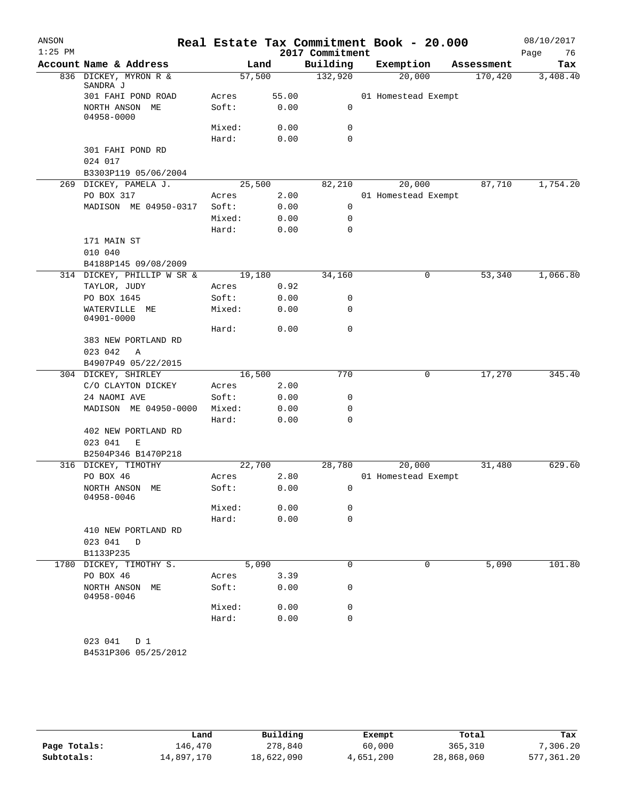| ANSON<br>$1:25$ PM |                                                    |                 |               | Real Estate Tax Commitment Book - 20.000<br>2017 Commitment |                     |            | 08/10/2017<br>76<br>Page |
|--------------------|----------------------------------------------------|-----------------|---------------|-------------------------------------------------------------|---------------------|------------|--------------------------|
|                    | Account Name & Address                             |                 | Land          | Building                                                    | Exemption           | Assessment | Tax                      |
|                    | 836 DICKEY, MYRON R &<br>SANDRA J                  | 57,500          |               | 132,920                                                     | 20,000              | 170,420    | 3,408.40                 |
|                    | 301 FAHI POND ROAD<br>NORTH ANSON ME               | Acres<br>Soft:  | 55.00<br>0.00 | 0                                                           | 01 Homestead Exempt |            |                          |
|                    | 04958-0000                                         |                 |               |                                                             |                     |            |                          |
|                    |                                                    | Mixed:<br>Hard: | 0.00<br>0.00  | 0<br>$\mathbf 0$                                            |                     |            |                          |
|                    | 301 FAHI POND RD                                   |                 |               |                                                             |                     |            |                          |
|                    | 024 017                                            |                 |               |                                                             |                     |            |                          |
|                    | B3303P119 05/06/2004                               |                 |               |                                                             |                     |            |                          |
|                    | 269 DICKEY, PAMELA J.                              | 25,500          |               | 82,210                                                      | 20,000              | 87,710     | 1,754.20                 |
|                    | PO BOX 317                                         | Acres           | 2.00          |                                                             | 01 Homestead Exempt |            |                          |
|                    | MADISON ME 04950-0317                              | Soft:           | 0.00          | 0                                                           |                     |            |                          |
|                    |                                                    | Mixed:          | 0.00          | 0                                                           |                     |            |                          |
|                    |                                                    | Hard:           | 0.00          | $\mathbf 0$                                                 |                     |            |                          |
|                    | 171 MAIN ST                                        |                 |               |                                                             |                     |            |                          |
|                    | 010 040                                            |                 |               |                                                             |                     |            |                          |
|                    | B4188P145 09/08/2009<br>314 DICKEY, PHILLIP W SR & | 19,180          |               | 34,160                                                      | 0                   | 53,340     | 1,066.80                 |
|                    | TAYLOR, JUDY                                       | Acres           | 0.92          |                                                             |                     |            |                          |
|                    | PO BOX 1645                                        | Soft:           | 0.00          | 0                                                           |                     |            |                          |
|                    | WATERVILLE ME<br>04901-0000                        | Mixed:          | 0.00          | 0                                                           |                     |            |                          |
|                    |                                                    | Hard:           | 0.00          | $\mathbf 0$                                                 |                     |            |                          |
|                    | 383 NEW PORTLAND RD                                |                 |               |                                                             |                     |            |                          |
|                    | 023 042<br>A                                       |                 |               |                                                             |                     |            |                          |
|                    | B4907P49 05/22/2015                                |                 |               |                                                             |                     |            |                          |
|                    | 304 DICKEY, SHIRLEY                                | 16,500          |               | 770                                                         | 0                   | 17,270     | 345.40                   |
|                    | C/O CLAYTON DICKEY                                 | Acres           | 2.00          |                                                             |                     |            |                          |
|                    | 24 NAOMI AVE                                       | Soft:           | 0.00          | 0                                                           |                     |            |                          |
|                    | MADISON ME 04950-0000                              | Mixed:          | 0.00          | 0                                                           |                     |            |                          |
|                    |                                                    | Hard:           | 0.00          | 0                                                           |                     |            |                          |
|                    | 402 NEW PORTLAND RD                                |                 |               |                                                             |                     |            |                          |
|                    | 023 041<br>E                                       |                 |               |                                                             |                     |            |                          |
|                    | B2504P346 B1470P218                                |                 |               |                                                             |                     |            |                          |
|                    | 316 DICKEY, TIMOTHY                                | 22,700          |               | 28,780                                                      | 20,000              | 31,480     | 629.60                   |
|                    | PO BOX 46                                          | Acres           | 2.80<br>0.00  |                                                             | 01 Homestead Exempt |            |                          |
|                    | NORTH ANSON ME<br>04958-0046                       | Soft:           |               | 0                                                           |                     |            |                          |
|                    |                                                    | Mixed:          | 0.00          | 0                                                           |                     |            |                          |
|                    |                                                    | Hard:           | 0.00          | $\mathbf 0$                                                 |                     |            |                          |
|                    | 410 NEW PORTLAND RD                                |                 |               |                                                             |                     |            |                          |
|                    | 023 041<br>$\mathbb D$                             |                 |               |                                                             |                     |            |                          |
|                    | B1133P235                                          |                 |               |                                                             |                     |            |                          |
|                    | 1780 DICKEY, TIMOTHY S.                            |                 | 5,090         | 0                                                           | 0                   | 5,090      | 101.80                   |
|                    | PO BOX 46                                          | Acres           | 3.39          |                                                             |                     |            |                          |
|                    | NORTH ANSON ME<br>04958-0046                       | Soft:           | 0.00          | 0                                                           |                     |            |                          |
|                    |                                                    | Mixed:          | 0.00          | 0                                                           |                     |            |                          |
|                    |                                                    | Hard:           | 0.00          | $\mathbf 0$                                                 |                     |            |                          |

|              | Land       | Building   | Exempt    | Total      | Tax        |
|--------------|------------|------------|-----------|------------|------------|
| Page Totals: | 146.470    | 278,840    | 60,000    | 365,310    | 7,306.20   |
| Subtotals:   | 14,897,170 | 18,622,090 | 4,651,200 | 28,868,060 | 577,361.20 |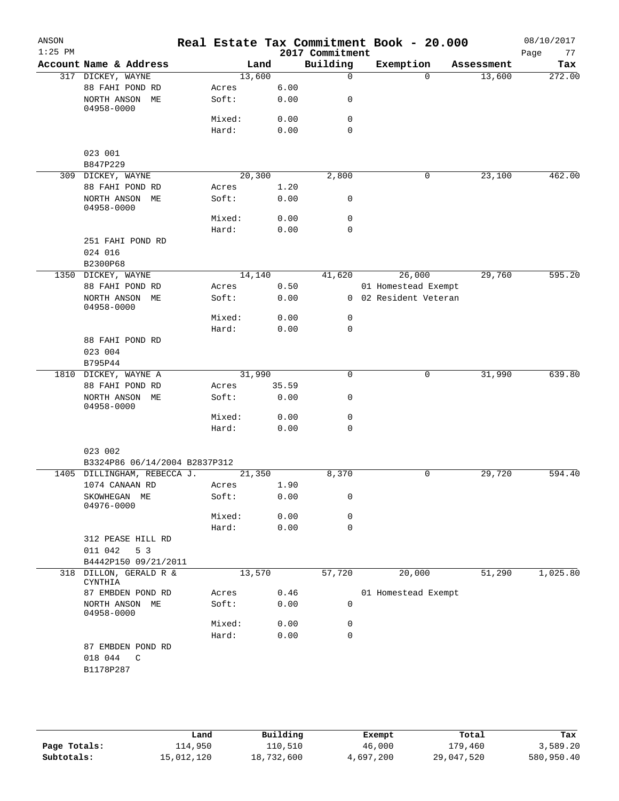| ANSON     |                                         |                |      |              |                 | Real Estate Tax Commitment Book - 20.000 |            | 08/10/2017 |
|-----------|-----------------------------------------|----------------|------|--------------|-----------------|------------------------------------------|------------|------------|
| $1:25$ PM |                                         |                |      |              | 2017 Commitment |                                          |            | Page<br>77 |
|           | Account Name & Address                  |                | Land |              | Building        | Exemption                                | Assessment | Tax        |
|           | 317 DICKEY, WAYNE                       | 13,600         |      |              | $\Omega$        | $\Omega$                                 | 13,600     | 272.00     |
|           | 88 FAHI POND RD                         | Acres          |      | 6.00<br>0.00 |                 |                                          |            |            |
|           | NORTH ANSON ME<br>04958-0000            | Soft:          |      |              | 0               |                                          |            |            |
|           |                                         | Mixed:         |      | 0.00         | $\mathbf 0$     |                                          |            |            |
|           |                                         | Hard:          |      | 0.00         | $\mathbf 0$     |                                          |            |            |
|           |                                         |                |      |              |                 |                                          |            |            |
|           | 023 001                                 |                |      |              |                 |                                          |            |            |
|           | B847P229                                |                |      |              |                 |                                          |            |            |
|           | 309 DICKEY, WAYNE                       | 20,300         |      |              | 2,800           | 0                                        | 23,100     | 462.00     |
|           | 88 FAHI POND RD<br>NORTH ANSON ME       | Acres<br>Soft: |      | 1.20<br>0.00 | 0               |                                          |            |            |
|           | 04958-0000                              | Mixed:         |      | 0.00         | 0               |                                          |            |            |
|           |                                         | Hard:          |      | 0.00         | 0               |                                          |            |            |
|           | 251 FAHI POND RD                        |                |      |              |                 |                                          |            |            |
|           | 024 016                                 |                |      |              |                 |                                          |            |            |
|           | B2300P68                                |                |      |              |                 |                                          |            |            |
| 1350      | DICKEY, WAYNE                           | 14,140         |      |              | 41,620          | 26,000                                   | 29,760     | 595.20     |
|           | 88 FAHI POND RD                         | Acres          |      | 0.50         |                 | 01 Homestead Exempt                      |            |            |
|           | NORTH ANSON ME<br>04958-0000            | Soft:          |      | 0.00         |                 | 0 02 Resident Veteran                    |            |            |
|           |                                         | Mixed:         |      | 0.00         | 0               |                                          |            |            |
|           |                                         | Hard:          |      | 0.00         | $\mathbf 0$     |                                          |            |            |
|           | 88 FAHI POND RD                         |                |      |              |                 |                                          |            |            |
|           | 023 004                                 |                |      |              |                 |                                          |            |            |
|           | B795P44                                 | 31,990         |      |              | 0               | 0                                        | 31,990     | 639.80     |
|           | 1810 DICKEY, WAYNE A<br>88 FAHI POND RD | Acres          |      | 35.59        |                 |                                          |            |            |
|           | NORTH ANSON ME                          | Soft:          |      | 0.00         | 0               |                                          |            |            |
|           | 04958-0000                              |                |      |              |                 |                                          |            |            |
|           |                                         | Mixed:         |      | 0.00         | 0               |                                          |            |            |
|           |                                         | Hard:          |      | 0.00         | $\mathbf 0$     |                                          |            |            |
|           | 023 002                                 |                |      |              |                 |                                          |            |            |
|           | B3324P86 06/14/2004 B2837P312           |                |      |              |                 |                                          |            |            |
|           | 1405 DILLINGHAM, REBECCA J.             | 21,350         |      |              | 8,370           | 0                                        | 29,720     | 594.40     |
|           | 1074 CANAAN RD                          | Acres          |      | 1.90         |                 |                                          |            |            |
|           | SKOWHEGAN ME<br>04976-0000              | Soft:          |      | 0.00         | 0               |                                          |            |            |
|           |                                         | Mixed:         |      | 0.00         | 0               |                                          |            |            |
|           |                                         | Hard:          |      | 0.00         | 0               |                                          |            |            |
|           | 312 PEASE HILL RD                       |                |      |              |                 |                                          |            |            |
|           | 011 042<br>5 3                          |                |      |              |                 |                                          |            |            |
|           | B4442P150 09/21/2011                    |                |      |              |                 |                                          |            |            |
| 318       | DILLON, GERALD R &<br>CYNTHIA           | 13,570         |      |              | 57,720          | 20,000                                   | 51,290     | 1,025.80   |
|           | 87 EMBDEN POND RD                       | Acres          |      | 0.46         |                 | 01 Homestead Exempt                      |            |            |
|           | NORTH ANSON ME<br>04958-0000            | Soft:          |      | 0.00         | 0               |                                          |            |            |
|           |                                         | Mixed:         |      | 0.00         | 0               |                                          |            |            |
|           |                                         | Hard:          |      | 0.00         | 0               |                                          |            |            |
|           | 87 EMBDEN POND RD<br>018 044<br>C       |                |      |              |                 |                                          |            |            |
|           | B1178P287                               |                |      |              |                 |                                          |            |            |
|           |                                         |                |      |              |                 |                                          |            |            |
|           |                                         |                |      |              |                 |                                          |            |            |

|              | Land       | Building   | Exempt    | Total      | Tax        |
|--------------|------------|------------|-----------|------------|------------|
| Page Totals: | 114,950    | 110,510    | 46,000    | 179,460    | 3,589.20   |
| Subtotals:   | 15,012,120 | 18,732,600 | 4,697,200 | 29,047,520 | 580,950.40 |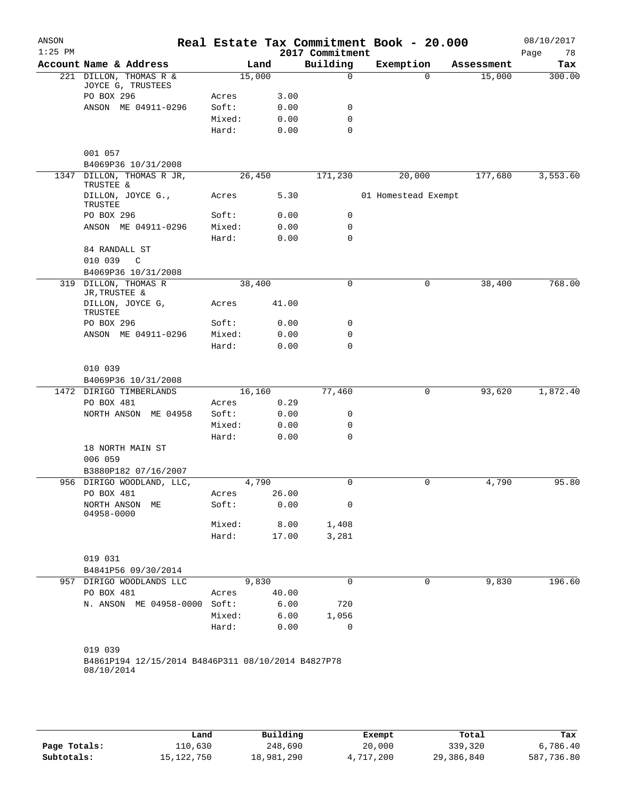| ANSON<br>$1:25$ PM |                                                    |        |       | 2017 Commitment | Real Estate Tax Commitment Book - 20.000 |            | 08/10/2017<br>78<br>Page |
|--------------------|----------------------------------------------------|--------|-------|-----------------|------------------------------------------|------------|--------------------------|
|                    | Account Name & Address                             |        | Land  | Building        | Exemption                                | Assessment | Tax                      |
|                    | 221 DILLON, THOMAS R &                             | 15,000 |       | $\mathbf 0$     | $\Omega$                                 | 15,000     | 300.00                   |
|                    | JOYCE G, TRUSTEES                                  |        |       |                 |                                          |            |                          |
|                    | PO BOX 296                                         | Acres  | 3.00  |                 |                                          |            |                          |
|                    | ANSON ME 04911-0296                                | Soft:  | 0.00  | 0               |                                          |            |                          |
|                    |                                                    | Mixed: | 0.00  | 0               |                                          |            |                          |
|                    |                                                    | Hard:  | 0.00  | 0               |                                          |            |                          |
|                    | 001 057                                            |        |       |                 |                                          |            |                          |
|                    | B4069P36 10/31/2008                                |        |       |                 |                                          |            |                          |
| 1347               | DILLON, THOMAS R JR,<br>TRUSTEE &                  | 26,450 |       | 171,230         | 20,000                                   | 177,680    | 3,553.60                 |
|                    | DILLON, JOYCE G.,<br>TRUSTEE                       | Acres  | 5.30  |                 | 01 Homestead Exempt                      |            |                          |
|                    | PO BOX 296                                         | Soft:  | 0.00  | 0               |                                          |            |                          |
|                    | ANSON ME 04911-0296                                | Mixed: | 0.00  | 0               |                                          |            |                          |
|                    |                                                    | Hard:  | 0.00  | 0               |                                          |            |                          |
|                    | 84 RANDALL ST                                      |        |       |                 |                                          |            |                          |
|                    | 010 039<br>C                                       |        |       |                 |                                          |            |                          |
|                    | B4069P36 10/31/2008                                |        |       |                 |                                          |            |                          |
| 319                | DILLON, THOMAS R<br>JR, TRUSTEE &                  | 38,400 |       | 0               | 0                                        | 38,400     | 768.00                   |
|                    | DILLON, JOYCE G,<br>TRUSTEE                        | Acres  | 41.00 |                 |                                          |            |                          |
|                    | PO BOX 296                                         | Soft:  | 0.00  | 0               |                                          |            |                          |
|                    | ANSON ME 04911-0296                                | Mixed: | 0.00  | 0               |                                          |            |                          |
|                    |                                                    | Hard:  | 0.00  | $\mathbf 0$     |                                          |            |                          |
|                    | 010 039                                            |        |       |                 |                                          |            |                          |
|                    | B4069P36 10/31/2008                                |        |       |                 |                                          |            |                          |
| 1472               | DIRIGO TIMBERLANDS                                 | 16,160 |       | 77,460          | 0                                        | 93,620     | 1,872.40                 |
|                    | PO BOX 481                                         | Acres  | 0.29  |                 |                                          |            |                          |
|                    | NORTH ANSON ME 04958                               | Soft:  | 0.00  | 0               |                                          |            |                          |
|                    |                                                    | Mixed: | 0.00  | 0               |                                          |            |                          |
|                    |                                                    | Hard:  | 0.00  | $\mathbf 0$     |                                          |            |                          |
|                    | 18 NORTH MAIN ST                                   |        |       |                 |                                          |            |                          |
|                    | 006 059                                            |        |       |                 |                                          |            |                          |
|                    | B3880P182 07/16/2007                               |        |       |                 |                                          |            |                          |
|                    | 956 DIRIGO WOODLAND, LLC,                          | 4,790  |       | 0               | 0                                        | 4,790      | 95.80                    |
|                    | PO BOX 481                                         | Acres  | 26.00 |                 |                                          |            |                          |
|                    | NORTH ANSON<br>MЕ<br>04958-0000                    | Soft:  | 0.00  | 0               |                                          |            |                          |
|                    |                                                    | Mixed: | 8.00  | 1,408           |                                          |            |                          |
|                    |                                                    | Hard:  | 17.00 | 3,281           |                                          |            |                          |
|                    | 019 031                                            |        |       |                 |                                          |            |                          |
|                    | B4841P56 09/30/2014                                |        |       |                 |                                          |            |                          |
|                    | 957 DIRIGO WOODLANDS LLC                           |        | 9,830 | $\Omega$        | 0                                        | 9,830      | 196.60                   |
|                    | PO BOX 481                                         | Acres  | 40.00 |                 |                                          |            |                          |
|                    | N. ANSON ME 04958-0000                             | Soft:  | 6.00  | 720             |                                          |            |                          |
|                    |                                                    | Mixed: | 6.00  | 1,056           |                                          |            |                          |
|                    |                                                    | Hard:  | 0.00  | 0               |                                          |            |                          |
|                    | 019 039                                            |        |       |                 |                                          |            |                          |
|                    | B4861P194 12/15/2014 B4846P311 08/10/2014 B4827P78 |        |       |                 |                                          |            |                          |
|                    | 08/10/2014                                         |        |       |                 |                                          |            |                          |

|              | Land         | Building   | Exempt    | Total      | Tax        |
|--------------|--------------|------------|-----------|------------|------------|
| Page Totals: | 110,630      | 248,690    | 20,000    | 339,320    | 6,786.40   |
| Subtotals:   | 15, 122, 750 | 18,981,290 | 4,717,200 | 29,386,840 | 587,736.80 |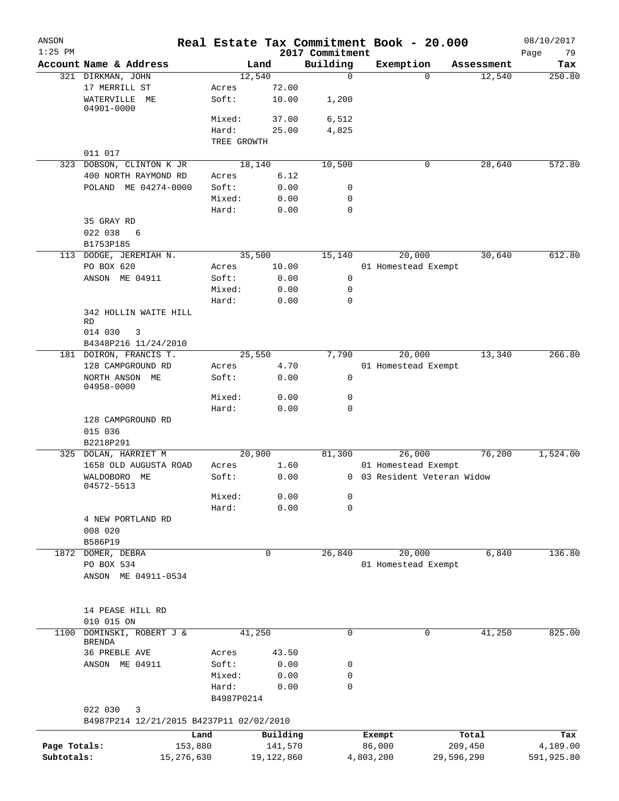| ANSON<br>$1:25$ PM |                                                          |             |            | 2017 Commitment | Real Estate Tax Commitment Book - 20.000 |            | 08/10/2017<br>Page<br>79 |
|--------------------|----------------------------------------------------------|-------------|------------|-----------------|------------------------------------------|------------|--------------------------|
|                    | Account Name & Address                                   |             | Land       | Building        | Exemption                                | Assessment | Tax                      |
|                    | 321 DIRKMAN, JOHN                                        |             | 12,540     | $\mathbf 0$     | $\Omega$                                 | 12,540     | 250.80                   |
|                    | 17 MERRILL ST                                            | Acres       | 72.00      |                 |                                          |            |                          |
|                    | WATERVILLE ME<br>04901-0000                              | Soft:       | 10.00      | 1,200           |                                          |            |                          |
|                    |                                                          | Mixed:      | 37.00      | 6,512           |                                          |            |                          |
|                    |                                                          | Hard:       | 25.00      | 4,825           |                                          |            |                          |
|                    |                                                          | TREE GROWTH |            |                 |                                          |            |                          |
|                    | 011 017                                                  |             |            |                 |                                          |            |                          |
|                    | 323 DOBSON, CLINTON K JR                                 |             | 18,140     | 10,500          | 0                                        | 28,640     | 572.80                   |
|                    | 400 NORTH RAYMOND RD                                     | Acres       | 6.12       |                 |                                          |            |                          |
|                    | POLAND ME 04274-0000                                     | Soft:       | 0.00       | 0               |                                          |            |                          |
|                    |                                                          | Mixed:      | 0.00       | $\mathbf 0$     |                                          |            |                          |
|                    |                                                          | Hard:       | 0.00       | $\mathbf 0$     |                                          |            |                          |
|                    | 35 GRAY RD                                               |             |            |                 |                                          |            |                          |
|                    | 022 038<br>6                                             |             |            |                 |                                          |            |                          |
|                    | B1753P185                                                |             |            |                 |                                          |            |                          |
|                    | 113 DODGE, JEREMIAH N.                                   |             | 35,500     | 15,140          | 20,000                                   | 30,640     | 612.80                   |
|                    | PO BOX 620                                               | Acres       | 10.00      |                 | 01 Homestead Exempt                      |            |                          |
|                    | ANSON ME 04911                                           | Soft:       | 0.00       | 0               |                                          |            |                          |
|                    |                                                          | Mixed:      | 0.00       | 0               |                                          |            |                          |
|                    |                                                          | Hard:       | 0.00       | $\mathbf 0$     |                                          |            |                          |
|                    |                                                          |             |            |                 |                                          |            |                          |
|                    | 342 HOLLIN WAITE HILL<br><b>RD</b>                       |             |            |                 |                                          |            |                          |
|                    | 014 030<br>3                                             |             |            |                 |                                          |            |                          |
|                    | B4348P216 11/24/2010                                     |             |            |                 |                                          |            |                          |
|                    | 181 DOIRON, FRANCIS T.                                   |             | 25,550     | 7,790           | 20,000                                   | 13,340     | 266.80                   |
|                    | 128 CAMPGROUND RD                                        | Acres       | 4.70       |                 | 01 Homestead Exempt                      |            |                          |
|                    | NORTH ANSON ME                                           | Soft:       | 0.00       | 0               |                                          |            |                          |
|                    | 04958-0000                                               |             |            |                 |                                          |            |                          |
|                    |                                                          | Mixed:      | 0.00       | 0               |                                          |            |                          |
|                    |                                                          | Hard:       | 0.00       | $\mathbf 0$     |                                          |            |                          |
|                    | 128 CAMPGROUND RD                                        |             |            |                 |                                          |            |                          |
|                    | 015 036                                                  |             |            |                 |                                          |            |                          |
|                    | B2218P291                                                |             |            |                 |                                          |            |                          |
|                    | 325 DOLAN, HARRIET M                                     |             | 20,900     | 81,300          | 26,000                                   | 76,200     | 1,524.00                 |
|                    | 1658 OLD AUGUSTA ROAD                                    | Acres       | 1.60       |                 | 01 Homestead Exempt                      |            |                          |
|                    | WALDOBORO<br>МE<br>04572-5513                            | Soft:       | 0.00       |                 | 0 03 Resident Veteran Widow              |            |                          |
|                    |                                                          | Mixed:      | 0.00       | 0               |                                          |            |                          |
|                    |                                                          | Hard:       | 0.00       | $\mathbf 0$     |                                          |            |                          |
|                    | 4 NEW PORTLAND RD                                        |             |            |                 |                                          |            |                          |
|                    | 008 020                                                  |             |            |                 |                                          |            |                          |
|                    | B586P19                                                  |             |            |                 |                                          |            |                          |
|                    | 1872 DOMER, DEBRA                                        |             | 0          | 26,840          | 20,000                                   | 6,840      | 136.80                   |
|                    | PO BOX 534                                               |             |            |                 | 01 Homestead Exempt                      |            |                          |
|                    | ANSON ME 04911-0534                                      |             |            |                 |                                          |            |                          |
|                    |                                                          |             |            |                 |                                          |            |                          |
|                    |                                                          |             |            |                 |                                          |            |                          |
|                    | 14 PEASE HILL RD                                         |             |            |                 |                                          |            |                          |
|                    | 010 015 ON                                               |             |            |                 |                                          |            |                          |
| 1100               | DOMINSKI, ROBERT J &                                     |             | 41,250     | 0               | 0                                        | 41,250     | 825.00                   |
|                    | <b>BRENDA</b>                                            |             |            |                 |                                          |            |                          |
|                    | 36 PREBLE AVE                                            | Acres       | 43.50      |                 |                                          |            |                          |
|                    | ANSON ME 04911                                           | Soft:       | 0.00       | 0               |                                          |            |                          |
|                    |                                                          | Mixed:      | 0.00       | 0               |                                          |            |                          |
|                    |                                                          | Hard:       | 0.00       | 0               |                                          |            |                          |
|                    |                                                          | B4987P0214  |            |                 |                                          |            |                          |
|                    | 022 030<br>3<br>B4987P214 12/21/2015 B4237P11 02/02/2010 |             |            |                 |                                          |            |                          |
|                    |                                                          |             |            |                 |                                          |            |                          |
|                    |                                                          | Land        | Building   |                 | Exempt                                   | Total      | Tax                      |
| Page Totals:       |                                                          | 153,880     | 141,570    |                 | 86,000                                   | 209,450    | 4,189.00                 |
| Subtotals:         | 15,276,630                                               |             | 19,122,860 |                 | 4,803,200<br>29,596,290                  |            | 591,925.80               |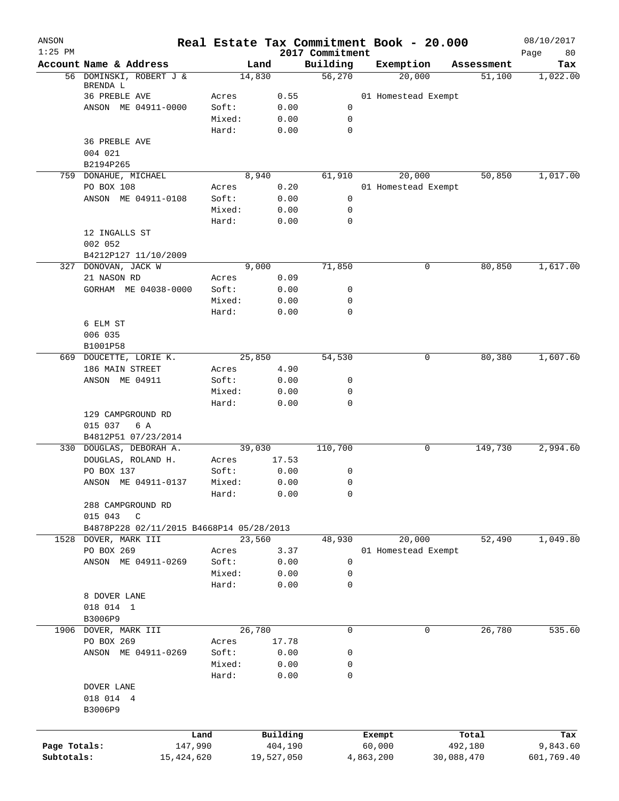| ANSON<br>$1:25$ PM |                                          |            |                 |            | 2017 Commitment  | Real Estate Tax Commitment Book - 20.000 |            | 08/10/2017<br>80<br>Page |
|--------------------|------------------------------------------|------------|-----------------|------------|------------------|------------------------------------------|------------|--------------------------|
|                    | Account Name & Address                   |            | Land            |            | Building         | Exemption                                | Assessment | Tax                      |
|                    | 56 DOMINSKI, ROBERT J &                  |            | 14,830          |            | 56,270           | 20,000                                   | 51,100     | 1,022.00                 |
|                    | BRENDA L                                 |            |                 |            |                  |                                          |            |                          |
|                    | 36 PREBLE AVE                            |            | Acres           | 0.55       |                  | 01 Homestead Exempt                      |            |                          |
|                    | ANSON ME 04911-0000                      |            | Soft:           | 0.00       | 0                |                                          |            |                          |
|                    |                                          |            | Mixed:          | 0.00       | 0                |                                          |            |                          |
|                    |                                          |            | Hard:           | 0.00       | $\mathbf 0$      |                                          |            |                          |
|                    | 36 PREBLE AVE<br>004 021                 |            |                 |            |                  |                                          |            |                          |
|                    | B2194P265                                |            |                 |            |                  |                                          |            |                          |
|                    | 759 DONAHUE, MICHAEL                     |            | 8,940           |            | 61,910           | 20,000                                   | 50,850     | 1,017.00                 |
|                    | PO BOX 108                               |            | Acres           | 0.20       |                  | 01 Homestead Exempt                      |            |                          |
|                    | ANSON ME 04911-0108                      |            | Soft:           | 0.00       | $\mathbf 0$      |                                          |            |                          |
|                    |                                          |            | Mixed:          | 0.00       | 0                |                                          |            |                          |
|                    |                                          |            | Hard:           | 0.00       | $\mathbf 0$      |                                          |            |                          |
|                    | 12 INGALLS ST                            |            |                 |            |                  |                                          |            |                          |
|                    | 002 052                                  |            |                 |            |                  |                                          |            |                          |
|                    | B4212P127 11/10/2009                     |            |                 |            |                  |                                          |            |                          |
|                    | 327 DONOVAN, JACK W                      |            | 9,000           |            | 71,850           | 0                                        | 80,850     | 1,617.00                 |
|                    | 21 NASON RD                              |            | Acres           | 0.09       |                  |                                          |            |                          |
|                    | GORHAM ME 04038-0000                     |            | Soft:           | 0.00       | 0                |                                          |            |                          |
|                    |                                          |            | Mixed:          | 0.00       | $\mathbf 0$      |                                          |            |                          |
|                    |                                          |            | Hard:           | 0.00       | 0                |                                          |            |                          |
|                    | 6 ELM ST                                 |            |                 |            |                  |                                          |            |                          |
|                    | 006 035                                  |            |                 |            |                  |                                          |            |                          |
|                    | B1001P58                                 |            |                 |            |                  |                                          |            |                          |
|                    | 669 DOUCETTE, LORIE K.                   |            | 25,850          |            | 54,530           | 0                                        | 80,380     | 1,607.60                 |
|                    | 186 MAIN STREET                          |            | Acres           | 4.90       |                  |                                          |            |                          |
|                    | ANSON ME 04911                           |            | Soft:           | 0.00       | 0                |                                          |            |                          |
|                    |                                          |            | Mixed:          | 0.00       | 0                |                                          |            |                          |
|                    |                                          |            | Hard:           | 0.00       | $\mathbf 0$      |                                          |            |                          |
|                    | 129 CAMPGROUND RD                        |            |                 |            |                  |                                          |            |                          |
|                    | 015 037<br>6 A                           |            |                 |            |                  |                                          |            |                          |
|                    | B4812P51 07/23/2014                      |            |                 |            |                  |                                          |            |                          |
|                    | 330 DOUGLAS, DEBORAH A.                  |            | 39,030          |            | 110,700          | 0                                        | 149,730    | 2,994.60                 |
|                    | DOUGLAS, ROLAND H.                       |            | Acres           | 17.53      |                  |                                          |            |                          |
|                    | PO BOX 137                               |            | Soft:           | 0.00       | 0                |                                          |            |                          |
|                    | ANSON ME 04911-0137                      |            | Mixed:          | 0.00       | 0                |                                          |            |                          |
|                    |                                          |            | Hard:           | 0.00       | 0                |                                          |            |                          |
|                    | 288 CAMPGROUND RD                        |            |                 |            |                  |                                          |            |                          |
|                    | 015 043<br>$\mathsf{C}$                  |            |                 |            |                  |                                          |            |                          |
|                    | B4878P228 02/11/2015 B4668P14 05/28/2013 |            |                 |            |                  |                                          |            |                          |
|                    | 1528 DOVER, MARK III                     |            | 23,560          |            | 48,930           | 20,000                                   | 52,490     | 1,049.80                 |
|                    | PO BOX 269                               |            | Acres           | 3.37       |                  | 01 Homestead Exempt                      |            |                          |
|                    | ANSON ME 04911-0269                      |            | Soft:           | 0.00       | $\mathbf 0$      |                                          |            |                          |
|                    |                                          |            | Mixed:<br>Hard: | 0.00       | 0<br>$\mathbf 0$ |                                          |            |                          |
|                    |                                          |            |                 | 0.00       |                  |                                          |            |                          |
|                    | 8 DOVER LANE<br>018 014 1                |            |                 |            |                  |                                          |            |                          |
|                    | B3006P9                                  |            |                 |            |                  |                                          |            |                          |
|                    | 1906 DOVER, MARK III                     |            | 26,780          |            | $\mathbf 0$      | 0                                        | 26,780     | 535.60                   |
|                    | PO BOX 269                               |            | Acres           | 17.78      |                  |                                          |            |                          |
|                    | ANSON ME 04911-0269                      |            | Soft:           | 0.00       | 0                |                                          |            |                          |
|                    |                                          |            | Mixed:          | 0.00       | 0                |                                          |            |                          |
|                    |                                          |            | Hard:           | 0.00       | 0                |                                          |            |                          |
|                    | DOVER LANE                               |            |                 |            |                  |                                          |            |                          |
|                    | 018 014 4                                |            |                 |            |                  |                                          |            |                          |
|                    | B3006P9                                  |            |                 |            |                  |                                          |            |                          |
|                    |                                          |            |                 |            |                  |                                          |            |                          |
|                    |                                          | Land       |                 | Building   |                  | Exempt                                   | Total      | Tax                      |
| Page Totals:       |                                          | 147,990    |                 | 404,190    |                  | 60,000                                   | 492,180    | 9,843.60                 |
| Subtotals:         |                                          | 15,424,620 |                 | 19,527,050 |                  | 4,863,200                                | 30,088,470 | 601,769.40               |
|                    |                                          |            |                 |            |                  |                                          |            |                          |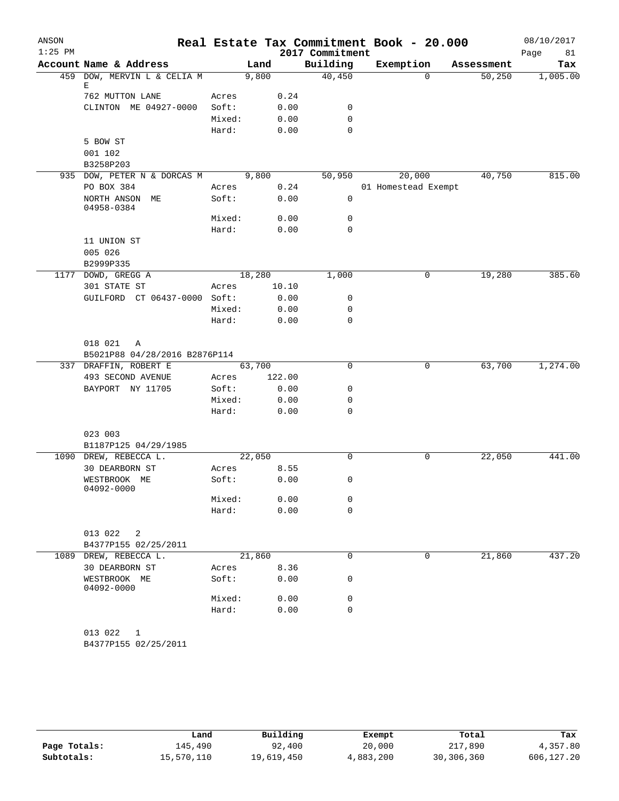| ANSON     |                               |        |        |        | Real Estate Tax Commitment Book - 20.000 |                     |          |            | 08/10/2017 |
|-----------|-------------------------------|--------|--------|--------|------------------------------------------|---------------------|----------|------------|------------|
| $1:25$ PM |                               |        |        |        | 2017 Commitment                          |                     |          |            | Page<br>81 |
|           | Account Name & Address        |        | Land   |        | Building                                 | Exemption           |          | Assessment | Tax        |
| 459       | DOW, MERVIN L & CELIA M       |        | 9,800  |        | 40,450                                   |                     | $\Omega$ | 50,250     | 1,005.00   |
|           | Е<br>762 MUTTON LANE          | Acres  |        | 0.24   |                                          |                     |          |            |            |
|           | CLINTON ME 04927-0000         | Soft:  |        | 0.00   | 0                                        |                     |          |            |            |
|           |                               | Mixed: |        | 0.00   | 0                                        |                     |          |            |            |
|           |                               | Hard:  |        | 0.00   | $\mathbf 0$                              |                     |          |            |            |
|           | 5 BOW ST                      |        |        |        |                                          |                     |          |            |            |
|           | 001 102                       |        |        |        |                                          |                     |          |            |            |
|           | B3258P203                     |        |        |        |                                          |                     |          |            |            |
|           | 935 DOW, PETER N & DORCAS M   |        | 9,800  |        | 50,950                                   |                     | 20,000   | 40,750     | 815.00     |
|           | PO BOX 384                    | Acres  |        | 0.24   |                                          | 01 Homestead Exempt |          |            |            |
|           | NORTH ANSON ME                | Soft:  |        | 0.00   | 0                                        |                     |          |            |            |
|           | 04958-0384                    |        |        |        |                                          |                     |          |            |            |
|           |                               | Mixed: |        | 0.00   | 0                                        |                     |          |            |            |
|           |                               | Hard:  |        | 0.00   | 0                                        |                     |          |            |            |
|           | 11 UNION ST                   |        |        |        |                                          |                     |          |            |            |
|           | 005 026                       |        |        |        |                                          |                     |          |            |            |
|           | B2999P335                     |        |        |        |                                          |                     |          |            |            |
|           | 1177 DOWD, GREGG A            |        | 18,280 |        | 1,000                                    |                     | 0        | 19,280     | 385.60     |
|           | 301 STATE ST                  | Acres  |        | 10.10  |                                          |                     |          |            |            |
|           | GUILFORD CT 06437-0000 Soft:  |        |        | 0.00   | 0                                        |                     |          |            |            |
|           |                               | Mixed: |        | 0.00   | 0                                        |                     |          |            |            |
|           |                               | Hard:  |        | 0.00   | 0                                        |                     |          |            |            |
|           |                               |        |        |        |                                          |                     |          |            |            |
|           | 018 021<br>A                  |        |        |        |                                          |                     |          |            |            |
|           | B5021P88 04/28/2016 B2876P114 |        |        |        |                                          |                     |          |            |            |
|           | 337 DRAFFIN, ROBERT E         |        | 63,700 |        | 0                                        |                     | 0        | 63,700     | 1,274.00   |
|           | 493 SECOND AVENUE             | Acres  |        | 122.00 |                                          |                     |          |            |            |
|           | BAYPORT NY 11705              | Soft:  |        | 0.00   | 0                                        |                     |          |            |            |
|           |                               | Mixed: |        | 0.00   | 0                                        |                     |          |            |            |
|           |                               | Hard:  |        | 0.00   | 0                                        |                     |          |            |            |
|           |                               |        |        |        |                                          |                     |          |            |            |
|           | 023 003                       |        |        |        |                                          |                     |          |            |            |
|           | B1187P125 04/29/1985          |        |        |        |                                          |                     |          |            |            |
|           | 1090 DREW, REBECCA L.         |        | 22,050 |        | 0                                        |                     | 0        | 22,050     | 441.00     |
|           | 30 DEARBORN ST                | Acres  |        | 8.55   |                                          |                     |          |            |            |
|           | WESTBROOK ME                  | Soft:  |        | 0.00   | 0                                        |                     |          |            |            |
|           | 04092-0000                    |        |        |        |                                          |                     |          |            |            |
|           |                               | Mixed: |        | 0.00   | 0                                        |                     |          |            |            |
|           |                               | Hard:  |        | 0.00   | $\mathbf 0$                              |                     |          |            |            |
|           |                               |        |        |        |                                          |                     |          |            |            |
|           | 013 022<br>2                  |        |        |        |                                          |                     |          |            |            |
|           | B4377P155 02/25/2011          |        |        |        |                                          |                     |          |            |            |
|           | 1089 DREW, REBECCA L.         |        | 21,860 |        | $\mathbf 0$                              |                     | 0        | 21,860     | 437.20     |
|           | 30 DEARBORN ST                | Acres  |        | 8.36   |                                          |                     |          |            |            |
|           | WESTBROOK ME                  | Soft:  |        | 0.00   | 0                                        |                     |          |            |            |
|           | 04092-0000                    |        |        |        |                                          |                     |          |            |            |
|           |                               | Mixed: |        | 0.00   | 0                                        |                     |          |            |            |
|           |                               | Hard:  |        | 0.00   | $\mathbf 0$                              |                     |          |            |            |
|           |                               |        |        |        |                                          |                     |          |            |            |
|           | 013 022<br>1                  |        |        |        |                                          |                     |          |            |            |
|           | B4377P155 02/25/2011          |        |        |        |                                          |                     |          |            |            |
|           |                               |        |        |        |                                          |                     |          |            |            |

|              | Land       | Building   | Exempt    | Total      | Tax        |
|--------------|------------|------------|-----------|------------|------------|
| Page Totals: | 145,490    | 92,400     | 20,000    | 217,890    | 4,357.80   |
| Subtotals:   | 15,570,110 | 19,619,450 | 4,883,200 | 30,306,360 | 606,127.20 |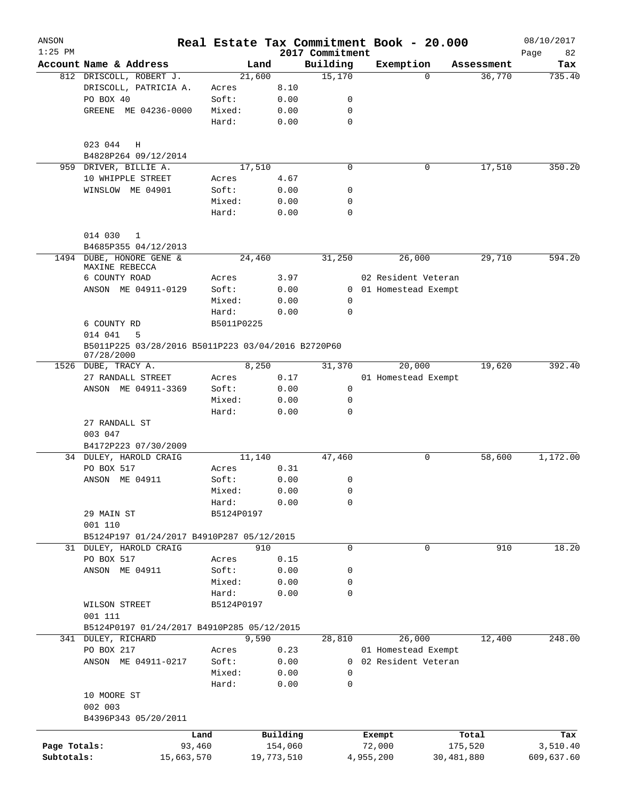| ANSON<br>$1:25$ PM |                                                                    |            |            |          | 2017 Commitment | Real Estate Tax Commitment Book - 20.000 |            | 08/10/2017<br>Page<br>82 |
|--------------------|--------------------------------------------------------------------|------------|------------|----------|-----------------|------------------------------------------|------------|--------------------------|
|                    | Account Name & Address                                             |            | Land       |          | Building        | Exemption                                | Assessment | Tax                      |
|                    | 812 DRISCOLL, ROBERT J.                                            |            | 21,600     |          | 15,170          | $\Omega$                                 | 36,770     | 735.40                   |
|                    | DRISCOLL, PATRICIA A.                                              | Acres      |            | 8.10     |                 |                                          |            |                          |
|                    | PO BOX 40                                                          | Soft:      |            | 0.00     | 0               |                                          |            |                          |
|                    | GREENE ME 04236-0000                                               | Mixed:     |            | 0.00     | 0               |                                          |            |                          |
|                    |                                                                    | Hard:      |            | 0.00     | 0               |                                          |            |                          |
|                    | 023 044<br>H                                                       |            |            |          |                 |                                          |            |                          |
|                    | B4828P264 09/12/2014                                               |            |            |          |                 |                                          |            |                          |
| 959                | DRIVER, BILLIE A.                                                  |            | 17,510     |          | $\mathbf 0$     | 0                                        | 17,510     | 350.20                   |
|                    | 10 WHIPPLE STREET                                                  | Acres      |            | 4.67     |                 |                                          |            |                          |
|                    | WINSLOW ME 04901                                                   | Soft:      |            | 0.00     | 0               |                                          |            |                          |
|                    |                                                                    | Mixed:     |            | 0.00     | 0               |                                          |            |                          |
|                    |                                                                    | Hard:      |            | 0.00     | 0               |                                          |            |                          |
|                    | 014 030<br>$\mathbf{1}$                                            |            |            |          |                 |                                          |            |                          |
|                    | B4685P355 04/12/2013                                               |            |            |          |                 |                                          |            |                          |
|                    | 1494 DUBE, HONORE GENE &<br>MAXINE REBECCA                         |            | 24,460     |          | 31,250          | 26,000                                   | 29,710     | 594.20                   |
|                    | 6 COUNTY ROAD                                                      | Acres      |            | 3.97     |                 | 02 Resident Veteran                      |            |                          |
|                    | ANSON ME 04911-0129                                                | Soft:      |            | 0.00     |                 | 0 01 Homestead Exempt                    |            |                          |
|                    |                                                                    | Mixed:     |            | 0.00     | 0               |                                          |            |                          |
|                    |                                                                    | Hard:      |            | 0.00     | $\mathbf 0$     |                                          |            |                          |
|                    | 6 COUNTY RD                                                        | B5011P0225 |            |          |                 |                                          |            |                          |
|                    | 014 041<br>5<br>B5011P225 03/28/2016 B5011P223 03/04/2016 B2720P60 |            |            |          |                 |                                          |            |                          |
|                    | 07/28/2000<br>1526 DUBE, TRACY A.                                  |            | 8,250      |          | 31,370          | 20,000                                   | 19,620     | 392.40                   |
|                    | 27 RANDALL STREET                                                  | Acres      |            | 0.17     |                 | 01 Homestead Exempt                      |            |                          |
|                    | ANSON ME 04911-3369                                                | Soft:      |            | 0.00     | 0               |                                          |            |                          |
|                    |                                                                    | Mixed:     |            | 0.00     | 0               |                                          |            |                          |
|                    |                                                                    | Hard:      |            | 0.00     | 0               |                                          |            |                          |
|                    | 27 RANDALL ST                                                      |            |            |          |                 |                                          |            |                          |
|                    | 003 047                                                            |            |            |          |                 |                                          |            |                          |
|                    |                                                                    |            |            |          |                 |                                          |            |                          |
|                    | B4172P223 07/30/2009<br>34 DULEY, HAROLD CRAIG                     |            | 11,140     |          | 47,460          | 0                                        | 58,600     | 1,172.00                 |
|                    | PO BOX 517                                                         | Acres      |            | 0.31     |                 |                                          |            |                          |
|                    | ANSON ME 04911                                                     | Soft:      |            | 0.00     |                 |                                          |            |                          |
|                    |                                                                    |            |            | 0.00     | 0               |                                          |            |                          |
|                    |                                                                    | Mixed:     |            |          | 0               |                                          |            |                          |
|                    |                                                                    | Hard:      |            | 0.00     | 0               |                                          |            |                          |
|                    | 29 MAIN ST<br>001 110                                              | B5124P0197 |            |          |                 |                                          |            |                          |
|                    | B5124P197 01/24/2017 B4910P287 05/12/2015                          |            |            |          |                 |                                          |            |                          |
|                    | 31 DULEY, HAROLD CRAIG                                             |            | 910        |          | 0               | 0                                        | 910        | 18.20                    |
|                    | PO BOX 517                                                         | Acres      |            | 0.15     |                 |                                          |            |                          |
|                    | ANSON ME 04911                                                     | Soft:      |            | 0.00     | 0               |                                          |            |                          |
|                    |                                                                    | Mixed:     |            | 0.00     | 0               |                                          |            |                          |
|                    |                                                                    | Hard:      |            | 0.00     | 0               |                                          |            |                          |
|                    | WILSON STREET                                                      | B5124P0197 |            |          |                 |                                          |            |                          |
|                    | 001 111                                                            |            |            |          |                 |                                          |            |                          |
|                    | B5124P0197 01/24/2017 B4910P285 05/12/2015                         |            |            |          |                 |                                          |            |                          |
|                    | 341 DULEY, RICHARD                                                 |            | 9,590      |          | 28,810          | 26,000                                   | 12,400     | 248.00                   |
|                    | PO BOX 217                                                         | Acres      |            | 0.23     |                 | 01 Homestead Exempt                      |            |                          |
|                    | ANSON ME 04911-0217                                                | Soft:      |            | 0.00     | 0               | 02 Resident Veteran                      |            |                          |
|                    |                                                                    | Mixed:     |            | 0.00     | 0               |                                          |            |                          |
|                    |                                                                    | Hard:      |            | 0.00     | 0               |                                          |            |                          |
|                    | 10 MOORE ST                                                        |            |            |          |                 |                                          |            |                          |
|                    | 002 003                                                            |            |            |          |                 |                                          |            |                          |
|                    | B4396P343 05/20/2011                                               |            |            |          |                 |                                          |            |                          |
|                    |                                                                    | Land       |            | Building |                 | Exempt                                   | Total      | Tax                      |
| Page Totals:       |                                                                    | 93,460     |            | 154,060  |                 | 72,000                                   | 175,520    | 3,510.40                 |
| Subtotals:         | 15,663,570                                                         |            | 19,773,510 |          |                 | 4,955,200                                | 30,481,880 | 609,637.60               |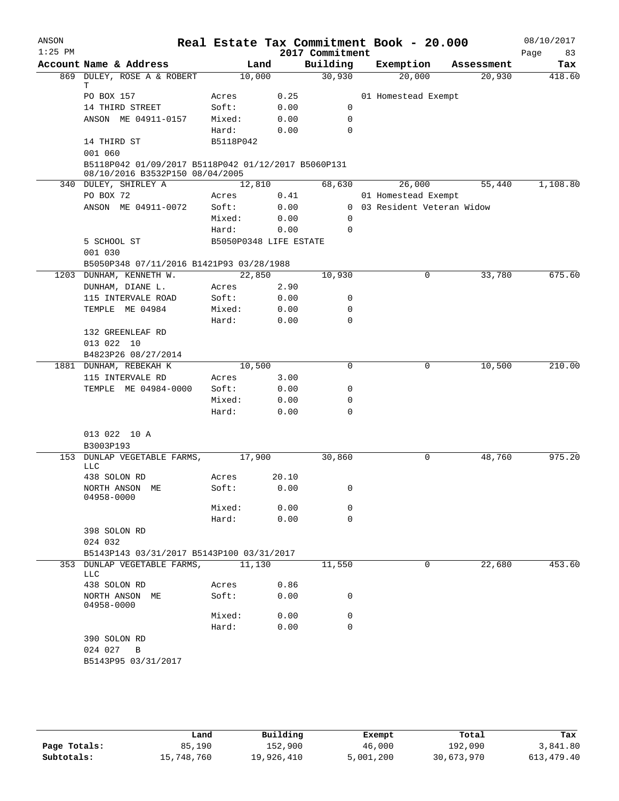| ANSON<br>$1:25$ PM |                                                                                        |                        |       | 2017 Commitment  | Real Estate Tax Commitment Book - 20.000 |            | 08/10/2017<br>Page<br>83 |
|--------------------|----------------------------------------------------------------------------------------|------------------------|-------|------------------|------------------------------------------|------------|--------------------------|
|                    | Account Name & Address                                                                 |                        | Land  | Building         | Exemption                                | Assessment | Tax                      |
| 869                | DULEY, ROSE A & ROBERT                                                                 | 10,000                 |       | 30,930           | 20,000                                   | 20,930     | 418.60                   |
|                    | т<br>PO BOX 157                                                                        | Acres                  | 0.25  |                  | 01 Homestead Exempt                      |            |                          |
|                    | 14 THIRD STREET                                                                        | Soft:                  | 0.00  | $\mathbf 0$      |                                          |            |                          |
|                    |                                                                                        |                        |       |                  |                                          |            |                          |
|                    | ANSON ME 04911-0157                                                                    | Mixed:                 | 0.00  | $\mathbf 0$      |                                          |            |                          |
|                    |                                                                                        | Hard:                  | 0.00  | $\Omega$         |                                          |            |                          |
|                    | 14 THIRD ST                                                                            | B5118P042              |       |                  |                                          |            |                          |
|                    | 001 060                                                                                |                        |       |                  |                                          |            |                          |
|                    | B5118P042 01/09/2017 B5118P042 01/12/2017 B5060P131<br>08/10/2016 B3532P150 08/04/2005 |                        |       |                  |                                          |            |                          |
|                    | 340 DULEY, SHIRLEY A                                                                   | 12,810                 |       | 68,630           | 26,000                                   | 55,440     | 1,108.80                 |
|                    | PO BOX 72                                                                              | Acres                  | 0.41  |                  | 01 Homestead Exempt                      |            |                          |
|                    | ANSON ME 04911-0072                                                                    | Soft:                  | 0.00  |                  | 0 03 Resident Veteran Widow              |            |                          |
|                    |                                                                                        | Mixed:                 | 0.00  | 0                |                                          |            |                          |
|                    |                                                                                        | Hard:                  | 0.00  | $\mathbf 0$      |                                          |            |                          |
|                    | 5 SCHOOL ST                                                                            | B5050P0348 LIFE ESTATE |       |                  |                                          |            |                          |
|                    | 001 030                                                                                |                        |       |                  |                                          |            |                          |
|                    | B5050P348 07/11/2016 B1421P93 03/28/1988                                               |                        |       |                  |                                          |            |                          |
|                    | 1203 DUNHAM, KENNETH W.                                                                | 22,850                 |       | 10,930           | 0                                        | 33,780     | 675.60                   |
|                    | DUNHAM, DIANE L.                                                                       | Acres                  | 2.90  |                  |                                          |            |                          |
|                    | 115 INTERVALE ROAD                                                                     | Soft:                  | 0.00  | 0                |                                          |            |                          |
|                    | TEMPLE ME 04984                                                                        | Mixed:                 | 0.00  | $\mathbf 0$      |                                          |            |                          |
|                    |                                                                                        | Hard:                  | 0.00  | $\Omega$         |                                          |            |                          |
|                    | 132 GREENLEAF RD                                                                       |                        |       |                  |                                          |            |                          |
|                    | 013 022 10                                                                             |                        |       |                  |                                          |            |                          |
|                    | B4823P26 08/27/2014                                                                    |                        |       |                  |                                          |            |                          |
|                    | 1881 DUNHAM, REBEKAH K                                                                 | 10,500                 |       | $\mathbf 0$      | 0                                        | 10,500     | 210.00                   |
|                    | 115 INTERVALE RD                                                                       | Acres                  | 3.00  |                  |                                          |            |                          |
|                    | TEMPLE ME 04984-0000                                                                   | Soft:                  | 0.00  | 0                |                                          |            |                          |
|                    |                                                                                        | Mixed:                 | 0.00  | $\mathbf 0$      |                                          |            |                          |
|                    |                                                                                        | Hard:                  | 0.00  | $\mathbf 0$      |                                          |            |                          |
|                    |                                                                                        |                        |       |                  |                                          |            |                          |
|                    | 013 022 10 A                                                                           |                        |       |                  |                                          |            |                          |
|                    | B3003P193                                                                              |                        |       |                  |                                          |            |                          |
|                    | 153 DUNLAP VEGETABLE FARMS,                                                            | 17,900                 |       | 30,860           | 0                                        | 48,760     | 975.20                   |
|                    | <b>LLC</b>                                                                             |                        |       |                  |                                          |            |                          |
|                    | 438 SOLON RD                                                                           | Acres                  | 20.10 |                  |                                          |            |                          |
|                    | NORTH ANSON ME<br>04958-0000                                                           | Soft:                  | 0.00  | $\Omega$         |                                          |            |                          |
|                    |                                                                                        | Mixed:                 | 0.00  | 0                |                                          |            |                          |
|                    |                                                                                        | Hard:                  | 0.00  | $\mathbf 0$      |                                          |            |                          |
|                    | 398 SOLON RD                                                                           |                        |       |                  |                                          |            |                          |
|                    | 024 032                                                                                |                        |       |                  |                                          |            |                          |
|                    | B5143P143 03/31/2017 B5143P100 03/31/2017                                              |                        |       |                  |                                          |            |                          |
|                    | 353 DUNLAP VEGETABLE FARMS,<br>LLC                                                     | 11,130                 |       | 11,550           | 0                                        | 22,680     | 453.60                   |
|                    | 438 SOLON RD                                                                           | Acres                  | 0.86  |                  |                                          |            |                          |
|                    | NORTH ANSON ME                                                                         | Soft:                  | 0.00  | 0                |                                          |            |                          |
|                    | 04958-0000                                                                             |                        |       |                  |                                          |            |                          |
|                    |                                                                                        | Mixed:                 | 0.00  | 0<br>$\mathbf 0$ |                                          |            |                          |
|                    |                                                                                        | Hard:                  | 0.00  |                  |                                          |            |                          |
|                    | 390 SOLON RD                                                                           |                        |       |                  |                                          |            |                          |
|                    | 024 027 B                                                                              |                        |       |                  |                                          |            |                          |
|                    | B5143P95 03/31/2017                                                                    |                        |       |                  |                                          |            |                          |
|                    |                                                                                        |                        |       |                  |                                          |            |                          |

|              | Land       | Building   | Exempt    | Total      | Tax        |
|--------------|------------|------------|-----------|------------|------------|
| Page Totals: | 85,190     | 152,900    | 46,000    | 192,090    | 3,841.80   |
| Subtotals:   | 15,748,760 | 19,926,410 | 5,001,200 | 30,673,970 | 613,479.40 |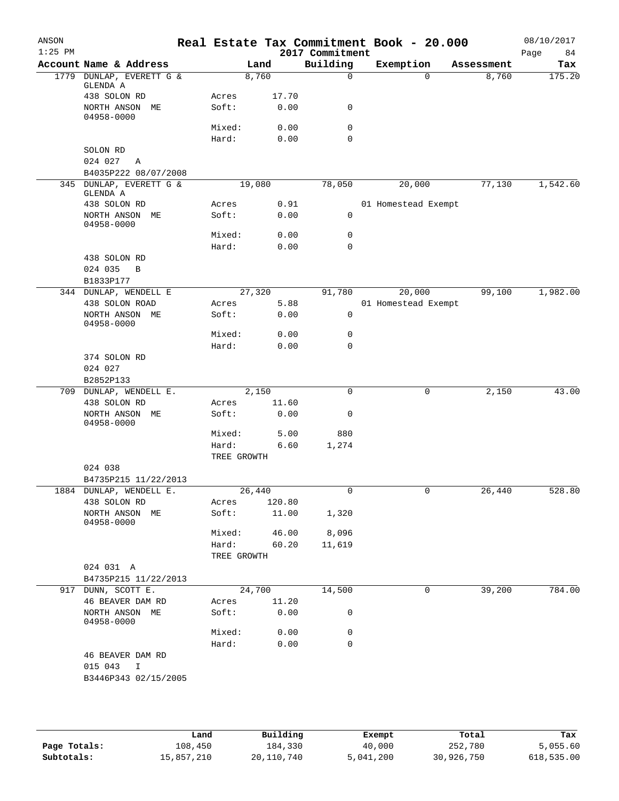| ANSON<br>$1:25$ PM |                                 |                |        | 2017 Commitment | Real Estate Tax Commitment Book - 20.000 |            |      | 08/10/2017 |
|--------------------|---------------------------------|----------------|--------|-----------------|------------------------------------------|------------|------|------------|
|                    | Account Name & Address          |                | Land   | Building        | Exemption                                | Assessment | Page | 84<br>Tax  |
|                    | 1779 DUNLAP, EVERETT G &        |                | 8,760  | $\mathbf 0$     | 0                                        | 8,760      |      | 175.20     |
|                    | GLENDA A                        |                |        |                 |                                          |            |      |            |
|                    | 438 SOLON RD<br>NORTH ANSON ME  | Acres<br>Soft: | 17.70  | 0               |                                          |            |      |            |
|                    | 04958-0000                      |                | 0.00   |                 |                                          |            |      |            |
|                    |                                 | Mixed:         | 0.00   | 0               |                                          |            |      |            |
|                    |                                 | Hard:          | 0.00   | 0               |                                          |            |      |            |
|                    | SOLON RD                        |                |        |                 |                                          |            |      |            |
|                    | 024 027<br>Α                    |                |        |                 |                                          |            |      |            |
|                    | B4035P222 08/07/2008            |                |        |                 |                                          |            |      |            |
| 345                | DUNLAP, EVERETT G &<br>GLENDA A |                | 19,080 | 78,050          | 20,000                                   | 77,130     |      | 1,542.60   |
|                    | 438 SOLON RD                    | Acres          | 0.91   |                 | 01 Homestead Exempt                      |            |      |            |
|                    | NORTH ANSON ME<br>04958-0000    | Soft:          | 0.00   | 0               |                                          |            |      |            |
|                    |                                 | Mixed:         | 0.00   | 0               |                                          |            |      |            |
|                    |                                 | Hard:          | 0.00   | 0               |                                          |            |      |            |
|                    | 438 SOLON RD                    |                |        |                 |                                          |            |      |            |
|                    | 024 035<br>B                    |                |        |                 |                                          |            |      |            |
|                    | B1833P177                       |                |        |                 |                                          |            |      |            |
|                    | 344 DUNLAP, WENDELL E           |                | 27,320 | 91,780          | 20,000                                   | 99,100     |      | 1,982.00   |
|                    | 438 SOLON ROAD                  | Acres          | 5.88   |                 | 01 Homestead Exempt                      |            |      |            |
|                    | NORTH ANSON ME<br>04958-0000    | Soft:          | 0.00   | 0               |                                          |            |      |            |
|                    |                                 | Mixed:         | 0.00   | 0               |                                          |            |      |            |
|                    |                                 | Hard:          | 0.00   | 0               |                                          |            |      |            |
|                    | 374 SOLON RD                    |                |        |                 |                                          |            |      |            |
|                    | 024 027                         |                |        |                 |                                          |            |      |            |
|                    | B2852P133                       |                |        |                 |                                          |            |      |            |
|                    | 709 DUNLAP, WENDELL E.          |                | 2,150  | $\mathbf 0$     | 0                                        | 2,150      |      | 43.00      |
|                    | 438 SOLON RD                    | Acres          | 11.60  |                 |                                          |            |      |            |
|                    | NORTH ANSON ME<br>04958-0000    | Soft:          | 0.00   | 0               |                                          |            |      |            |
|                    |                                 | Mixed:         | 5.00   | 880             |                                          |            |      |            |
|                    |                                 | Hard:          | 6.60   | 1,274           |                                          |            |      |            |
|                    |                                 | TREE GROWTH    |        |                 |                                          |            |      |            |
|                    | 024 038                         |                |        |                 |                                          |            |      |            |
|                    | B4735P215 11/22/2013            |                |        |                 |                                          |            |      |            |
|                    | 1884 DUNLAP, WENDELL E.         |                | 26,440 | 0               | U                                        | 26,440     |      | 528.80     |
|                    | 438 SOLON RD                    | Acres          | 120.80 |                 |                                          |            |      |            |
|                    | NORTH ANSON ME<br>04958-0000    | Soft:          | 11.00  | 1,320           |                                          |            |      |            |
|                    |                                 | Mixed:         | 46.00  | 8,096           |                                          |            |      |            |
|                    |                                 | Hard:          | 60.20  | 11,619          |                                          |            |      |            |
|                    |                                 | TREE GROWTH    |        |                 |                                          |            |      |            |
|                    | 024 031 A                       |                |        |                 |                                          |            |      |            |
|                    | B4735P215 11/22/2013            |                |        |                 |                                          |            |      |            |
|                    | 917 DUNN, SCOTT E.              |                | 24,700 | 14,500          | 0                                        | 39,200     |      | 784.00     |
|                    | 46 BEAVER DAM RD                | Acres          | 11.20  |                 |                                          |            |      |            |
|                    | NORTH ANSON ME<br>04958-0000    | Soft:          | 0.00   | 0               |                                          |            |      |            |
|                    |                                 | Mixed:         | 0.00   | 0               |                                          |            |      |            |
|                    |                                 | Hard:          | 0.00   | 0               |                                          |            |      |            |
|                    | 46 BEAVER DAM RD                |                |        |                 |                                          |            |      |            |
|                    | 015 043 I                       |                |        |                 |                                          |            |      |            |
|                    | B3446P343 02/15/2005            |                |        |                 |                                          |            |      |            |
|                    |                                 |                |        |                 |                                          |            |      |            |

|              | Land       | Building   | Exempt    | Total      | Tax        |
|--------------|------------|------------|-----------|------------|------------|
| Page Totals: | 108,450    | 184,330    | 40,000    | 252,780    | 5,055.60   |
| Subtotals:   | 15,857,210 | 20,110,740 | 5,041,200 | 30,926,750 | 618,535.00 |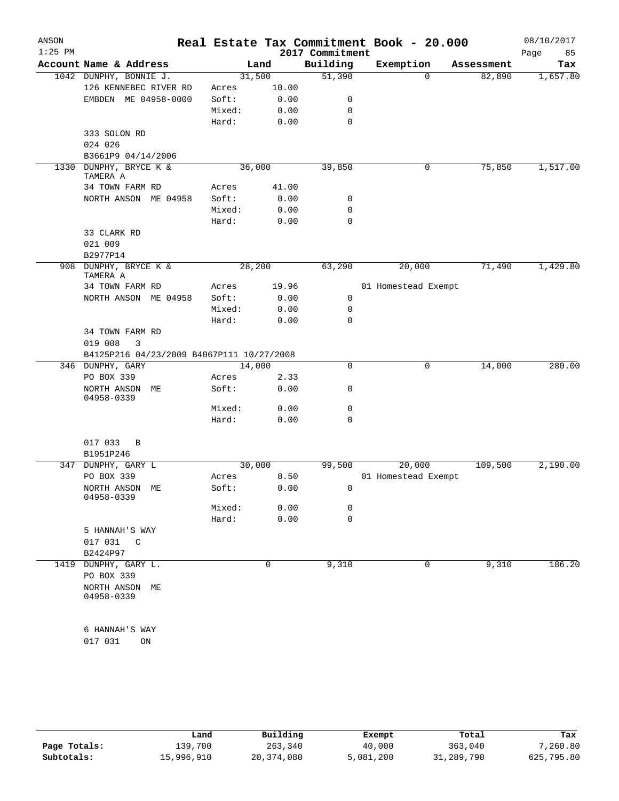| ANSON<br>$1:25$ PM |                                           |        |       | 2017 Commitment | Real Estate Tax Commitment Book - 20.000 |            | 08/10/2017<br>85<br>Page |
|--------------------|-------------------------------------------|--------|-------|-----------------|------------------------------------------|------------|--------------------------|
|                    | Account Name & Address                    |        | Land  | Building        | Exemption                                | Assessment | Tax                      |
|                    | 1042 DUNPHY, BONNIE J.                    | 31,500 |       | 51,390          | $\Omega$                                 | 82,890     | 1,657.80                 |
|                    | 126 KENNEBEC RIVER RD                     | Acres  | 10.00 |                 |                                          |            |                          |
|                    | EMBDEN ME 04958-0000                      | Soft:  | 0.00  | 0               |                                          |            |                          |
|                    |                                           | Mixed: | 0.00  | 0               |                                          |            |                          |
|                    |                                           | Hard:  | 0.00  | $\mathbf 0$     |                                          |            |                          |
|                    | 333 SOLON RD                              |        |       |                 |                                          |            |                          |
|                    | 024 026                                   |        |       |                 |                                          |            |                          |
|                    | B3661P9 04/14/2006                        |        |       |                 |                                          |            |                          |
| 1330               | DUNPHY, BRYCE K &<br>TAMERA A             | 36,000 |       | 39,850          | 0                                        | 75,850     | 1,517.00                 |
|                    | 34 TOWN FARM RD                           | Acres  | 41.00 |                 |                                          |            |                          |
|                    | NORTH ANSON ME 04958                      | Soft:  | 0.00  | 0               |                                          |            |                          |
|                    |                                           | Mixed: | 0.00  | $\mathbf 0$     |                                          |            |                          |
|                    |                                           | Hard:  | 0.00  | $\mathbf 0$     |                                          |            |                          |
|                    | 33 CLARK RD                               |        |       |                 |                                          |            |                          |
|                    | 021 009                                   |        |       |                 |                                          |            |                          |
|                    | B2977P14                                  |        |       |                 |                                          |            |                          |
|                    | 908 DUNPHY, BRYCE K &<br>TAMERA A         | 28,200 |       | 63,290          | 20,000                                   | 71,490     | 1,429.80                 |
|                    | 34 TOWN FARM RD                           | Acres  | 19.96 |                 | 01 Homestead Exempt                      |            |                          |
|                    | NORTH ANSON ME 04958                      | Soft:  | 0.00  | 0               |                                          |            |                          |
|                    |                                           | Mixed: | 0.00  | 0               |                                          |            |                          |
|                    |                                           | Hard:  | 0.00  | $\mathbf 0$     |                                          |            |                          |
|                    | 34 TOWN FARM RD                           |        |       |                 |                                          |            |                          |
|                    | 019 008<br>3                              |        |       |                 |                                          |            |                          |
|                    | B4125P216 04/23/2009 B4067P111 10/27/2008 |        |       |                 |                                          |            |                          |
|                    | 346 DUNPHY, GARY                          | 14,000 |       | 0               | 0                                        | 14,000     | 280.00                   |
|                    | PO BOX 339                                | Acres  | 2.33  |                 |                                          |            |                          |
|                    | NORTH ANSON ME<br>04958-0339              | Soft:  | 0.00  | 0               |                                          |            |                          |
|                    |                                           | Mixed: | 0.00  | 0               |                                          |            |                          |
|                    |                                           | Hard:  | 0.00  | 0               |                                          |            |                          |
|                    |                                           |        |       |                 |                                          |            |                          |
|                    | 017 033<br>B                              |        |       |                 |                                          |            |                          |
| 347                | B1951P246<br>DUNPHY, GARY L               | 30,000 |       | 99,500          | 20,000                                   | 109,500    | 2,190.00                 |
|                    | PO BOX 339                                | Acres  | 8.50  |                 | 01 Homestead Exempt                      |            |                          |
|                    | NORTH ANSON ME                            | Soft:  | 0.00  | 0               |                                          |            |                          |
|                    | 04958-0339                                |        |       |                 |                                          |            |                          |
|                    |                                           | Mixed: | 0.00  | 0               |                                          |            |                          |
|                    |                                           | Hard:  | 0.00  | $\mathbf 0$     |                                          |            |                          |
|                    | 5 HANNAH'S WAY                            |        |       |                 |                                          |            |                          |
|                    | 017 031<br>$\overline{C}$                 |        |       |                 |                                          |            |                          |
|                    | B2424P97                                  |        |       |                 |                                          |            |                          |
|                    | 1419 DUNPHY, GARY L.<br>PO BOX 339        |        | 0     | 9,310           | 0                                        | 9,310      | 186.20                   |
|                    | NORTH ANSON ME<br>04958-0339              |        |       |                 |                                          |            |                          |
|                    |                                           |        |       |                 |                                          |            |                          |
|                    | 6 HANNAH'S WAY                            |        |       |                 |                                          |            |                          |
|                    | 017 031<br>ON                             |        |       |                 |                                          |            |                          |
|                    |                                           |        |       |                 |                                          |            |                          |

|              | Land       | Building     | Exempt    | Total      | Tax        |
|--------------|------------|--------------|-----------|------------|------------|
| Page Totals: | 139,700    | 263,340      | 40,000    | 363,040    | 7,260.80   |
| Subtotals:   | 15,996,910 | 20, 374, 080 | 5,081,200 | 31,289,790 | 625,795.80 |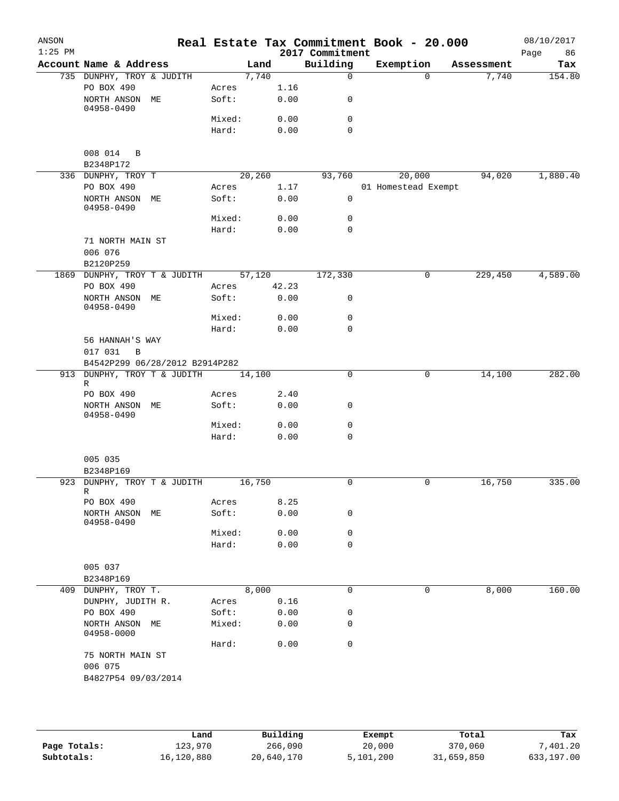| ANSON<br>$1:25$ PM |                                 |                 |        |              | 2017 Commitment  | Real Estate Tax Commitment Book - 20.000 |            | 08/10/2017<br>Page<br>86 |
|--------------------|---------------------------------|-----------------|--------|--------------|------------------|------------------------------------------|------------|--------------------------|
|                    | Account Name & Address          |                 | Land   |              | Building         | Exemption                                | Assessment | Tax                      |
|                    | 735 DUNPHY, TROY & JUDITH       |                 | 7,740  |              | $\mathbf 0$      | $\Omega$                                 | 7,740      | 154.80                   |
|                    | PO BOX 490                      | Acres           |        | 1.16         |                  |                                          |            |                          |
|                    | NORTH ANSON ME                  | Soft:           |        | 0.00         | 0                |                                          |            |                          |
|                    | 04958-0490                      | Mixed:          |        | 0.00         | 0                |                                          |            |                          |
|                    |                                 | Hard:           |        | 0.00         | $\mathbf 0$      |                                          |            |                          |
|                    |                                 |                 |        |              |                  |                                          |            |                          |
|                    | 008 014 B                       |                 |        |              |                  |                                          |            |                          |
|                    | B2348P172                       |                 |        |              |                  |                                          |            |                          |
|                    | 336 DUNPHY, TROY T              |                 | 20,260 |              | 93,760           | 20,000                                   | 94,020     | 1,880.40                 |
|                    | PO BOX 490                      | Acres           |        | 1.17         |                  | 01 Homestead Exempt                      |            |                          |
|                    | NORTH ANSON ME                  | Soft:           |        | 0.00         | $\mathsf{O}$     |                                          |            |                          |
|                    | 04958-0490                      | Mixed:          |        | 0.00         | 0                |                                          |            |                          |
|                    |                                 | Hard:           |        | 0.00         | 0                |                                          |            |                          |
|                    | 71 NORTH MAIN ST                |                 |        |              |                  |                                          |            |                          |
|                    | 006 076                         |                 |        |              |                  |                                          |            |                          |
|                    | B2120P259                       |                 |        |              |                  |                                          |            |                          |
| 1869               | DUNPHY, TROY T & JUDITH         |                 | 57,120 |              | 172,330          | 0                                        | 229,450    | 4,589.00                 |
|                    | PO BOX 490                      | Acres           |        | 42.23        |                  |                                          |            |                          |
|                    | NORTH ANSON ME                  | Soft:           |        | 0.00         | 0                |                                          |            |                          |
|                    | 04958-0490                      |                 |        |              |                  |                                          |            |                          |
|                    |                                 | Mixed:<br>Hard: |        | 0.00<br>0.00 | 0<br>$\mathbf 0$ |                                          |            |                          |
|                    | 56 HANNAH'S WAY                 |                 |        |              |                  |                                          |            |                          |
|                    | 017 031<br>B                    |                 |        |              |                  |                                          |            |                          |
|                    | B4542P299 06/28/2012 B2914P282  |                 |        |              |                  |                                          |            |                          |
|                    | 913 DUNPHY, TROY T & JUDITH     |                 | 14,100 |              | 0                | 0                                        | 14,100     | 282.00                   |
|                    | R                               |                 |        |              |                  |                                          |            |                          |
|                    | PO BOX 490                      | Acres           |        | 2.40         |                  |                                          |            |                          |
|                    | NORTH ANSON ME<br>04958-0490    | Soft:           |        | 0.00         | 0                |                                          |            |                          |
|                    |                                 | Mixed:          |        | 0.00         | 0                |                                          |            |                          |
|                    |                                 | Hard:           |        | 0.00         | $\mathbf 0$      |                                          |            |                          |
|                    |                                 |                 |        |              |                  |                                          |            |                          |
|                    | 005 035                         |                 |        |              |                  |                                          |            |                          |
|                    | B2348P169                       |                 |        |              |                  |                                          |            |                          |
|                    | 923 DUNPHY, TROY T & JUDITH     |                 | 16,750 |              | 0                | 0                                        | 16,750     | 335.00                   |
|                    | R                               |                 |        | 8.25         |                  |                                          |            |                          |
|                    | PO BOX 490<br>NORTH ANSON ME    | Acres<br>Soft:  |        | 0.00         | 0                |                                          |            |                          |
|                    | 04958-0490                      |                 |        |              |                  |                                          |            |                          |
|                    |                                 | Mixed:          |        | 0.00         | 0                |                                          |            |                          |
|                    |                                 | Hard:           |        | 0.00         | 0                |                                          |            |                          |
|                    |                                 |                 |        |              |                  |                                          |            |                          |
|                    | 005 037                         |                 |        |              |                  |                                          |            |                          |
|                    | B2348P169                       |                 |        |              |                  |                                          |            |                          |
|                    | 409 DUNPHY, TROY T.             |                 | 8,000  |              | 0                | 0                                        | 8,000      | 160.00                   |
|                    | DUNPHY, JUDITH R.<br>PO BOX 490 | Acres<br>Soft:  |        | 0.16         | 0                |                                          |            |                          |
|                    | NORTH ANSON ME                  | Mixed:          |        | 0.00<br>0.00 | 0                |                                          |            |                          |
|                    | 04958-0000                      |                 |        |              |                  |                                          |            |                          |
|                    |                                 | Hard:           |        | 0.00         | $\mathbf 0$      |                                          |            |                          |
|                    | 75 NORTH MAIN ST                |                 |        |              |                  |                                          |            |                          |
|                    | 006 075                         |                 |        |              |                  |                                          |            |                          |
|                    | B4827P54 09/03/2014             |                 |        |              |                  |                                          |            |                          |
|                    |                                 |                 |        |              |                  |                                          |            |                          |
|                    |                                 |                 |        |              |                  |                                          |            |                          |
|                    |                                 |                 |        |              |                  |                                          |            |                          |

|              | ⊥and       | Building   | Exempt    | Total      | Tax        |
|--------------|------------|------------|-----------|------------|------------|
| Page Totals: | 123,970    | 266,090    | 20,000    | 370,060    | 7,401.20   |
| Subtotals:   | 16,120,880 | 20,640,170 | 5,101,200 | 31,659,850 | 633,197.00 |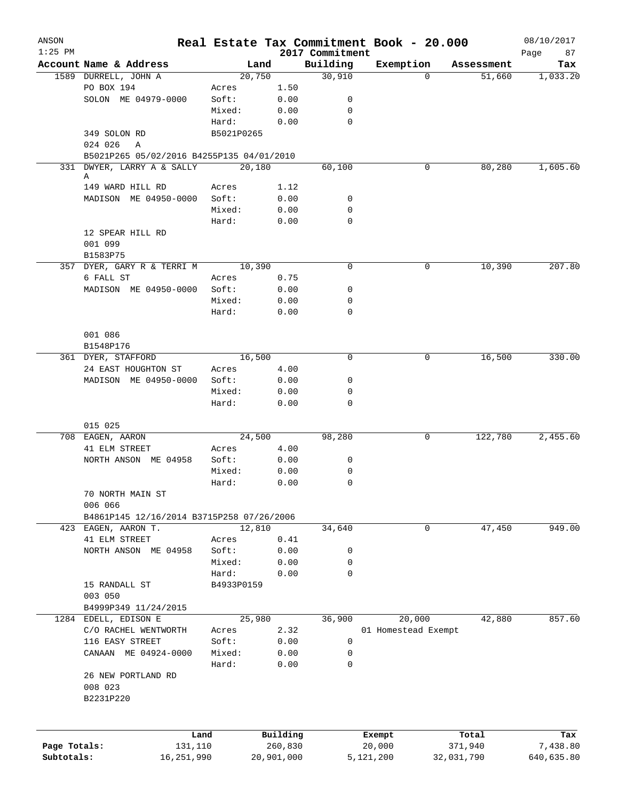| ANSON        |                                           |            |            |                             | Real Estate Tax Commitment Book - 20.000 |                  | 08/10/2017        |
|--------------|-------------------------------------------|------------|------------|-----------------------------|------------------------------------------|------------------|-------------------|
| $1:25$ PM    | Account Name & Address                    | Land       |            | 2017 Commitment<br>Building | Exemption                                | Assessment       | 87<br>Page<br>Tax |
|              | 1589 DURRELL, JOHN A                      | 20,750     |            | 30,910                      | $\Omega$                                 | 51,660           | 1,033.20          |
|              | PO BOX 194                                | Acres      | 1.50       |                             |                                          |                  |                   |
|              | SOLON ME 04979-0000                       | Soft:      | 0.00       | 0                           |                                          |                  |                   |
|              |                                           | Mixed:     | 0.00       | 0                           |                                          |                  |                   |
|              |                                           | Hard:      | 0.00       | $\mathbf 0$                 |                                          |                  |                   |
|              | 349 SOLON RD                              | B5021P0265 |            |                             |                                          |                  |                   |
|              | 024 026<br>A                              |            |            |                             |                                          |                  |                   |
|              | B5021P265 05/02/2016 B4255P135 04/01/2010 |            |            |                             |                                          |                  |                   |
|              | 331 DWYER, LARRY A & SALLY                | 20,180     |            | 60,100                      | 0                                        | 80,280           | 1,605.60          |
|              | Α                                         |            |            |                             |                                          |                  |                   |
|              | 149 WARD HILL RD                          | Acres      | 1.12       |                             |                                          |                  |                   |
|              | MADISON ME 04950-0000                     | Soft:      | 0.00       | 0                           |                                          |                  |                   |
|              |                                           | Mixed:     | 0.00       | 0                           |                                          |                  |                   |
|              |                                           | Hard:      | 0.00       | 0                           |                                          |                  |                   |
|              | 12 SPEAR HILL RD                          |            |            |                             |                                          |                  |                   |
|              | 001 099                                   |            |            |                             |                                          |                  |                   |
|              | B1583P75                                  |            |            |                             |                                          |                  |                   |
|              | 357 DYER, GARY R & TERRI M                | 10,390     |            | $\mathbf 0$                 | 0                                        | 10,390           | 207.80            |
|              | 6 FALL ST                                 | Acres      | 0.75       |                             |                                          |                  |                   |
|              | MADISON ME 04950-0000                     | Soft:      | 0.00       | 0                           |                                          |                  |                   |
|              |                                           | Mixed:     | 0.00       | 0                           |                                          |                  |                   |
|              |                                           | Hard:      | 0.00       | 0                           |                                          |                  |                   |
|              | 001 086                                   |            |            |                             |                                          |                  |                   |
|              |                                           |            |            |                             |                                          |                  |                   |
|              | B1548P176<br>361 DYER, STAFFORD           | 16,500     |            | 0                           | 0                                        | 16,500           | 330.00            |
|              | 24 EAST HOUGHTON ST                       | Acres      | 4.00       |                             |                                          |                  |                   |
|              | MADISON ME 04950-0000                     | Soft:      | 0.00       | 0                           |                                          |                  |                   |
|              |                                           | Mixed:     | 0.00       | 0                           |                                          |                  |                   |
|              |                                           | Hard:      | 0.00       | $\mathbf 0$                 |                                          |                  |                   |
|              |                                           |            |            |                             |                                          |                  |                   |
|              | 015 025                                   |            |            |                             |                                          |                  |                   |
|              | 708 EAGEN, AARON                          | 24,500     |            | 98,280                      | 0                                        | 122,780          | 2,455.60          |
|              | 41 ELM STREET                             | Acres      | 4.00       |                             |                                          |                  |                   |
|              | NORTH ANSON ME 04958                      | Soft:      | 0.00       | 0                           |                                          |                  |                   |
|              |                                           | Mixed:     | 0.00       | 0                           |                                          |                  |                   |
|              |                                           | Hard:      | 0.00       | 0                           |                                          |                  |                   |
|              | 70 NORTH MAIN ST                          |            |            |                             |                                          |                  |                   |
|              | 006 066                                   |            |            |                             |                                          |                  |                   |
|              | B4861P145 12/16/2014 B3715P258 07/26/2006 |            |            |                             |                                          |                  |                   |
|              | 423 EAGEN, AARON T.                       | 12,810     |            | 34,640                      | 0                                        | 47,450           | 949.00            |
|              | 41 ELM STREET                             | Acres      | 0.41       |                             |                                          |                  |                   |
|              | NORTH ANSON ME 04958                      | Soft:      | 0.00       | 0                           |                                          |                  |                   |
|              |                                           | Mixed:     | 0.00       | 0                           |                                          |                  |                   |
|              |                                           | Hard:      | 0.00       | 0                           |                                          |                  |                   |
|              | 15 RANDALL ST                             | B4933P0159 |            |                             |                                          |                  |                   |
|              | 003 050                                   |            |            |                             |                                          |                  |                   |
|              | B4999P349 11/24/2015                      |            |            |                             |                                          |                  |                   |
|              | 1284 EDELL, EDISON E                      | 25,980     |            | 36,900                      | 20,000                                   | 42,880           | 857.60            |
|              | C/O RACHEL WENTWORTH                      | Acres      | 2.32       |                             | 01 Homestead Exempt                      |                  |                   |
|              | 116 EASY STREET                           | Soft:      | 0.00       | 0                           |                                          |                  |                   |
|              | CANAAN ME 04924-0000                      | Mixed:     | 0.00       | 0                           |                                          |                  |                   |
|              |                                           | Hard:      | 0.00       | 0                           |                                          |                  |                   |
|              | 26 NEW PORTLAND RD                        |            |            |                             |                                          |                  |                   |
|              | 008 023                                   |            |            |                             |                                          |                  |                   |
|              | B2231P220                                 |            |            |                             |                                          |                  |                   |
|              |                                           |            |            |                             |                                          |                  |                   |
|              |                                           |            | Building   |                             |                                          |                  |                   |
| Page Totals: | Land<br>131,110                           |            | 260,830    |                             | Exempt<br>20,000                         | Total<br>371,940 | Tax<br>7,438.80   |
| Subtotals:   | 16,251,990                                |            | 20,901,000 |                             | 5,121,200                                | 32,031,790       | 640,635.80        |
|              |                                           |            |            |                             |                                          |                  |                   |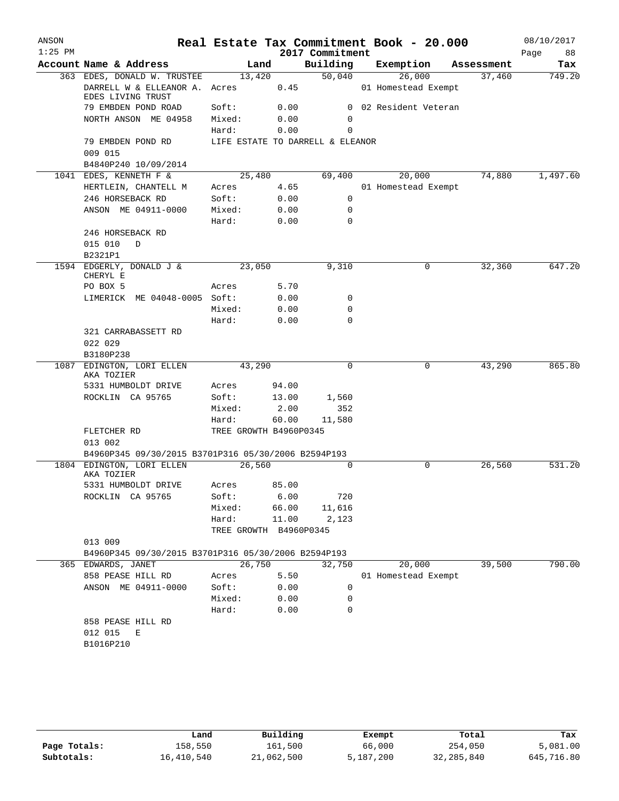| ANSON     |                                                     |                        |       |                                  | Real Estate Tax Commitment Book - 20.000 |            | 08/10/2017 |
|-----------|-----------------------------------------------------|------------------------|-------|----------------------------------|------------------------------------------|------------|------------|
| $1:25$ PM |                                                     |                        |       | 2017 Commitment                  |                                          |            | Page<br>88 |
|           | Account Name & Address                              | Land                   |       |                                  | Building Exemption                       | Assessment | Tax        |
|           | 363 EDES, DONALD W. TRUSTEE                         | 13,420                 |       | 50,040                           | 26,000                                   | 37,460     | 749.20     |
|           | DARRELL W & ELLEANOR A. Acres<br>EDES LIVING TRUST  |                        | 0.45  |                                  | 01 Homestead Exempt                      |            |            |
|           | 79 EMBDEN POND ROAD                                 | Soft:                  | 0.00  |                                  | 0 02 Resident Veteran                    |            |            |
|           | NORTH ANSON ME 04958                                | Mixed:                 | 0.00  | 0                                |                                          |            |            |
|           |                                                     | Hard:                  | 0.00  | 0                                |                                          |            |            |
|           | 79 EMBDEN POND RD<br>009 015                        |                        |       | LIFE ESTATE TO DARRELL & ELEANOR |                                          |            |            |
|           | B4840P240 10/09/2014                                |                        |       |                                  |                                          |            |            |
|           | 1041 EDES, KENNETH F &                              | 25,480                 |       | 69,400                           | 20,000                                   | 74,880     | 1,497.60   |
|           | HERTLEIN, CHANTELL M                                | Acres                  | 4.65  |                                  | 01 Homestead Exempt                      |            |            |
|           | 246 HORSEBACK RD                                    | Soft:                  | 0.00  | 0                                |                                          |            |            |
|           | ANSON ME 04911-0000                                 | Mixed:                 | 0.00  | 0                                |                                          |            |            |
|           |                                                     | Hard:                  | 0.00  | $\Omega$                         |                                          |            |            |
|           | 246 HORSEBACK RD                                    |                        |       |                                  |                                          |            |            |
|           | 015 010<br>D                                        |                        |       |                                  |                                          |            |            |
|           | B2321P1                                             |                        |       |                                  |                                          |            |            |
|           | 1594 EDGERLY, DONALD J &                            | 23,050                 |       | 9,310                            | 0                                        | 32,360     | 647.20     |
|           | CHERYL E                                            |                        |       |                                  |                                          |            |            |
|           | PO BOX 5                                            | Acres                  | 5.70  |                                  |                                          |            |            |
|           | LIMERICK ME 04048-0005 Soft:                        |                        | 0.00  | 0                                |                                          |            |            |
|           |                                                     | Mixed:                 | 0.00  | 0                                |                                          |            |            |
|           |                                                     | Hard:                  | 0.00  | 0                                |                                          |            |            |
|           | 321 CARRABASSETT RD                                 |                        |       |                                  |                                          |            |            |
|           | 022 029<br>B3180P238                                |                        |       |                                  |                                          |            |            |
| 1087      | EDINGTON, LORI ELLEN                                | 43,290                 |       | $\Omega$                         | 0                                        | 43,290     | 865.80     |
|           | AKA TOZIER                                          |                        |       |                                  |                                          |            |            |
|           | 5331 HUMBOLDT DRIVE                                 | Acres                  | 94.00 |                                  |                                          |            |            |
|           | ROCKLIN CA 95765                                    | Soft:                  | 13.00 | 1,560                            |                                          |            |            |
|           |                                                     | Mixed:                 | 2.00  | 352                              |                                          |            |            |
|           |                                                     | Hard:                  | 60.00 | 11,580                           |                                          |            |            |
|           | FLETCHER RD                                         | TREE GROWTH B4960P0345 |       |                                  |                                          |            |            |
|           | 013 002                                             |                        |       |                                  |                                          |            |            |
|           | B4960P345 09/30/2015 B3701P316 05/30/2006 B2594P193 |                        |       |                                  |                                          |            |            |
|           | 1804 EDINGTON, LORI ELLEN<br>AKA TOZIER             | 26,560                 |       | $\Omega$                         | $\Omega$                                 | 26,560     | 531.20     |
|           | 5331 HUMBOLDT DRIVE                                 | Acres                  | 85.00 |                                  |                                          |            |            |
|           | ROCKLIN CA 95765                                    | Soft:                  | 6.00  | 720                              |                                          |            |            |
|           |                                                     | Mixed:                 | 66.00 | 11,616                           |                                          |            |            |
|           |                                                     | Hard:                  | 11.00 | 2,123                            |                                          |            |            |
|           |                                                     | TREE GROWTH B4960P0345 |       |                                  |                                          |            |            |
|           | 013 009                                             |                        |       |                                  |                                          |            |            |
|           | B4960P345 09/30/2015 B3701P316 05/30/2006 B2594P193 |                        |       |                                  |                                          |            |            |
|           | 365 EDWARDS, JANET                                  | 26,750                 |       | 32,750                           | 20,000                                   | 39,500     | 790.00     |
|           | 858 PEASE HILL RD                                   | Acres                  | 5.50  |                                  | 01 Homestead Exempt                      |            |            |
|           | ANSON ME 04911-0000                                 | Soft:                  | 0.00  | 0                                |                                          |            |            |
|           |                                                     | Mixed:                 | 0.00  | 0                                |                                          |            |            |
|           |                                                     | Hard:                  | 0.00  | 0                                |                                          |            |            |
|           | 858 PEASE HILL RD                                   |                        |       |                                  |                                          |            |            |
|           | 012 015<br>Е                                        |                        |       |                                  |                                          |            |            |
|           | B1016P210                                           |                        |       |                                  |                                          |            |            |
|           |                                                     |                        |       |                                  |                                          |            |            |
|           |                                                     |                        |       |                                  |                                          |            |            |

|              | Land       | Building   | Exempt    | Total        | Tax        |
|--------------|------------|------------|-----------|--------------|------------|
| Page Totals: | 158,550    | 161,500    | 66,000    | 254,050      | 5,081.00   |
| Subtotals:   | 16,410,540 | 21,062,500 | 5,187,200 | 32, 285, 840 | 645,716.80 |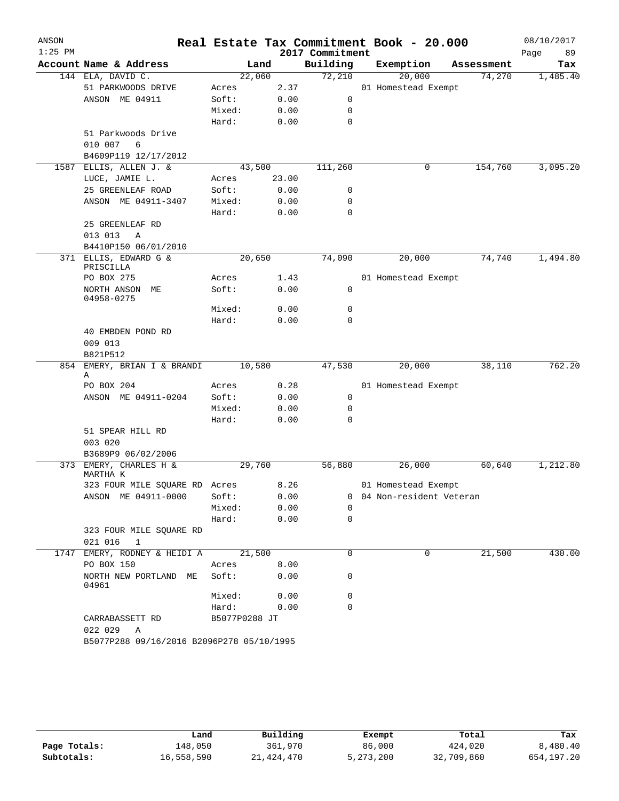| ANSON<br>$1:25$ PM |                                           |                |              | 2017 Commitment | Real Estate Tax Commitment Book - 20.000 |            | 08/10/2017<br>Page<br>89 |
|--------------------|-------------------------------------------|----------------|--------------|-----------------|------------------------------------------|------------|--------------------------|
|                    | Account Name & Address                    |                | Land         | Building        | Exemption                                | Assessment | Tax                      |
|                    | 144 ELA, DAVID C.                         | 22,060         |              | 72,210          | 20,000                                   | 74,270     | 1,485.40                 |
|                    | 51 PARKWOODS DRIVE                        | Acres          | 2.37         |                 | 01 Homestead Exempt                      |            |                          |
|                    | ANSON ME 04911                            | Soft:          | 0.00         | 0               |                                          |            |                          |
|                    |                                           | Mixed:         | 0.00         | 0               |                                          |            |                          |
|                    |                                           | Hard:          | 0.00         | $\mathbf 0$     |                                          |            |                          |
|                    | 51 Parkwoods Drive                        |                |              |                 |                                          |            |                          |
|                    | 6<br>010 007                              |                |              |                 |                                          |            |                          |
|                    | B4609P119 12/17/2012                      |                |              |                 |                                          |            |                          |
| 1587               | ELLIS, ALLEN J. &                         |                | 43,500       | 111,260         | 0                                        | 154,760    | 3,095.20                 |
|                    | LUCE, JAMIE L.                            | Acres          | 23.00        |                 |                                          |            |                          |
|                    | 25 GREENLEAF ROAD                         | Soft:          | 0.00         | 0               |                                          |            |                          |
|                    | ANSON ME 04911-3407                       | Mixed:         | 0.00         | 0               |                                          |            |                          |
|                    |                                           | Hard:          | 0.00         | 0               |                                          |            |                          |
|                    | 25 GREENLEAF RD<br>013 013                |                |              |                 |                                          |            |                          |
|                    | Α<br>B4410P150 06/01/2010                 |                |              |                 |                                          |            |                          |
|                    | 371 ELLIS, EDWARD G &                     |                | 20,650       | 74,090          | 20,000                                   | 74,740     | 1,494.80                 |
|                    | PRISCILLA                                 |                |              |                 |                                          |            |                          |
|                    | PO BOX 275                                | Acres          | 1.43         |                 | 01 Homestead Exempt                      |            |                          |
|                    | NORTH ANSON ME<br>04958-0275              | Soft:          | 0.00         | 0               |                                          |            |                          |
|                    |                                           | Mixed:         | 0.00         | 0               |                                          |            |                          |
|                    |                                           | Hard:          | 0.00         | $\Omega$        |                                          |            |                          |
|                    | 40 EMBDEN POND RD                         |                |              |                 |                                          |            |                          |
|                    | 009 013                                   |                |              |                 |                                          |            |                          |
|                    | B821P512                                  |                |              |                 |                                          |            |                          |
|                    | 854 EMERY, BRIAN I & BRANDI<br>Α          | 10,580         |              | 47,530          | 20,000                                   | 38,110     | 762.20                   |
|                    | PO BOX 204                                | Acres          | 0.28         |                 | 01 Homestead Exempt                      |            |                          |
|                    | ANSON ME 04911-0204                       | Soft:          | 0.00         | 0               |                                          |            |                          |
|                    |                                           | Mixed:         | 0.00         | 0               |                                          |            |                          |
|                    |                                           | Hard:          | 0.00         | 0               |                                          |            |                          |
|                    | 51 SPEAR HILL RD<br>003 020               |                |              |                 |                                          |            |                          |
|                    | B3689P9 06/02/2006                        |                |              |                 |                                          |            |                          |
| 373                | EMERY, CHARLES H &<br>MARTHA K            |                | 29,760       | 56,880          | 26,000                                   | 60,640     | 1,212.80                 |
|                    | 323 FOUR MILE SQUARE RD Acres             |                | 8.26         |                 | 01 Homestead Exempt                      |            |                          |
|                    | ANSON ME 04911-0000                       | Soft:          | 0.00         | 0               | 04 Non-resident Veteran                  |            |                          |
|                    |                                           | Mixed:         | 0.00         | $\Omega$        |                                          |            |                          |
|                    |                                           | Hard:          | 0.00         | 0               |                                          |            |                          |
|                    | 323 FOUR MILE SQUARE RD<br>021 016<br>1   |                |              |                 |                                          |            |                          |
| 1747               | EMERY, RODNEY & HEIDI A                   | 21,500         |              | 0               | 0                                        | 21,500     | 430.00                   |
|                    | PO BOX 150<br>NORTH NEW PORTLAND ME       | Acres<br>Soft: | 8.00<br>0.00 | 0               |                                          |            |                          |
|                    | 04961                                     | Mixed:         | 0.00         | 0               |                                          |            |                          |
|                    |                                           | Hard:          | 0.00         | 0               |                                          |            |                          |
|                    | CARRABASSETT RD                           | B5077P0288 JT  |              |                 |                                          |            |                          |
|                    | 022 029<br>Α                              |                |              |                 |                                          |            |                          |
|                    | B5077P288 09/16/2016 B2096P278 05/10/1995 |                |              |                 |                                          |            |                          |

|              | Land       | Building   | Exempt      | Total      | Tax        |
|--------------|------------|------------|-------------|------------|------------|
| Page Totals: | 148,050    | 361,970    | 86,000      | 424,020    | 8,480.40   |
| Subtotals:   | 16,558,590 | 21,424,470 | 5, 273, 200 | 32,709,860 | 654,197.20 |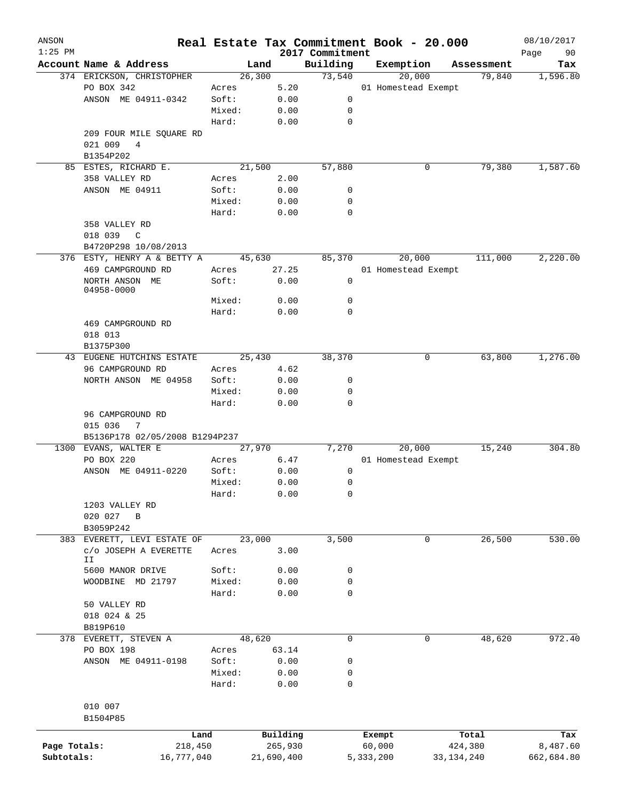| ANSON<br>$1:25$ PM |                                                        |         |            |                             |           | Real Estate Tax Commitment Book - 20.000 |            | 08/10/2017        |
|--------------------|--------------------------------------------------------|---------|------------|-----------------------------|-----------|------------------------------------------|------------|-------------------|
|                    | Account Name & Address                                 |         | Land       | 2017 Commitment<br>Building |           | Exemption                                | Assessment | 90<br>Page<br>Tax |
|                    | 374 ERICKSON, CHRISTOPHER                              | 26, 300 |            | 73,540                      |           | 20,000                                   | 79,840     | 1,596.80          |
|                    | PO BOX 342                                             | Acres   | 5.20       |                             |           | 01 Homestead Exempt                      |            |                   |
|                    | ANSON ME 04911-0342                                    | Soft:   | 0.00       | 0                           |           |                                          |            |                   |
|                    |                                                        | Mixed:  | 0.00       | 0                           |           |                                          |            |                   |
|                    |                                                        | Hard:   | 0.00       | $\mathbf 0$                 |           |                                          |            |                   |
|                    | 209 FOUR MILE SQUARE RD                                |         |            |                             |           |                                          |            |                   |
|                    | 021 009<br>4                                           |         |            |                             |           |                                          |            |                   |
|                    | B1354P202                                              |         |            |                             |           |                                          |            |                   |
|                    | 85 ESTES, RICHARD E.                                   | 21,500  |            | 57,880                      |           | 0                                        | 79,380     | 1,587.60          |
|                    | 358 VALLEY RD                                          | Acres   | 2.00       |                             |           |                                          |            |                   |
|                    | ANSON ME 04911                                         | Soft:   | 0.00       | 0                           |           |                                          |            |                   |
|                    |                                                        | Mixed:  | 0.00       | 0                           |           |                                          |            |                   |
|                    |                                                        | Hard:   | 0.00       | $\mathbf 0$                 |           |                                          |            |                   |
|                    | 358 VALLEY RD                                          |         |            |                             |           |                                          |            |                   |
|                    | 018 039                                                |         |            |                             |           |                                          |            |                   |
|                    | C                                                      |         |            |                             |           |                                          |            |                   |
|                    | B4720P298 10/08/2013                                   |         |            |                             |           |                                          |            |                   |
|                    | 376 ESTY, HENRY A & BETTY A                            | 45,630  |            | 85,370                      |           | 20,000                                   | 111,000    | 2,220.00          |
|                    | 469 CAMPGROUND RD                                      | Acres   | 27.25      |                             |           | 01 Homestead Exempt                      |            |                   |
|                    | NORTH ANSON ME<br>04958-0000                           | Soft:   | 0.00       | 0                           |           |                                          |            |                   |
|                    |                                                        | Mixed:  | 0.00       | $\mathbf 0$                 |           |                                          |            |                   |
|                    |                                                        | Hard:   | 0.00       | $\mathbf 0$                 |           |                                          |            |                   |
|                    |                                                        |         |            |                             |           |                                          |            |                   |
|                    | 469 CAMPGROUND RD                                      |         |            |                             |           |                                          |            |                   |
|                    | 018 013                                                |         |            |                             |           |                                          |            |                   |
|                    | B1375P300                                              |         |            |                             |           | 0                                        |            | 1,276.00          |
|                    | 43 EUGENE HUTCHINS ESTATE                              | 25,430  |            | 38,370                      |           |                                          | 63,800     |                   |
|                    | 96 CAMPGROUND RD                                       | Acres   | 4.62       |                             |           |                                          |            |                   |
|                    | NORTH ANSON ME 04958                                   | Soft:   | 0.00       | 0                           |           |                                          |            |                   |
|                    |                                                        | Mixed:  | 0.00       | 0                           |           |                                          |            |                   |
|                    |                                                        | Hard:   | 0.00       | $\mathbf 0$                 |           |                                          |            |                   |
|                    | 96 CAMPGROUND RD                                       |         |            |                             |           |                                          |            |                   |
|                    | 015 036<br>7                                           |         |            |                             |           |                                          |            |                   |
|                    | B5136P178 02/05/2008 B1294P237<br>1300 EVANS, WALTER E | 27,970  |            |                             |           | 20,000                                   |            | 304.80            |
|                    |                                                        |         |            | 7,270                       |           |                                          | 15,240     |                   |
|                    | PO BOX 220                                             | Acres   | 6.47       |                             |           | 01 Homestead Exempt                      |            |                   |
|                    | ANSON ME 04911-0220                                    | Soft:   | 0.00       | 0                           |           |                                          |            |                   |
|                    |                                                        | Mixed:  | 0.00       | 0                           |           |                                          |            |                   |
|                    |                                                        | Hard:   | 0.00       | 0                           |           |                                          |            |                   |
|                    | 1203 VALLEY RD                                         |         |            |                             |           |                                          |            |                   |
|                    | 020 027<br>$\mathbf B$                                 |         |            |                             |           |                                          |            |                   |
|                    | B3059P242                                              |         |            |                             |           |                                          |            |                   |
| 383                | EVERETT, LEVI ESTATE OF                                | 23,000  |            | 3,500                       |           | 0                                        | 26,500     | 530.00            |
|                    | C/O JOSEPH A EVERETTE<br>IΙ                            | Acres   | 3.00       |                             |           |                                          |            |                   |
|                    | 5600 MANOR DRIVE                                       | Soft:   | 0.00       | 0                           |           |                                          |            |                   |
|                    | WOODBINE MD 21797                                      | Mixed:  | 0.00       | 0                           |           |                                          |            |                   |
|                    |                                                        | Hard:   | 0.00       | $\mathbf 0$                 |           |                                          |            |                   |
|                    | 50 VALLEY RD                                           |         |            |                             |           |                                          |            |                   |
|                    | 018 024 & 25                                           |         |            |                             |           |                                          |            |                   |
|                    | B819P610                                               |         |            |                             |           |                                          |            |                   |
|                    | 378 EVERETT, STEVEN A                                  | 48,620  |            | $\mathsf{O}$                |           | 0                                        | 48,620     | 972.40            |
|                    | PO BOX 198                                             | Acres   | 63.14      |                             |           |                                          |            |                   |
|                    | ANSON ME 04911-0198                                    | Soft:   | 0.00       | 0                           |           |                                          |            |                   |
|                    |                                                        | Mixed:  | 0.00       | 0                           |           |                                          |            |                   |
|                    |                                                        |         |            |                             |           |                                          |            |                   |
|                    |                                                        | Hard:   | 0.00       | $\mathbf 0$                 |           |                                          |            |                   |
|                    | 010 007                                                |         |            |                             |           |                                          |            |                   |
|                    |                                                        |         |            |                             |           |                                          |            |                   |
|                    | B1504P85                                               |         |            |                             |           |                                          |            |                   |
|                    | Land                                                   |         | Building   |                             | Exempt    |                                          | Total      | Tax               |
| Page Totals:       | 218,450                                                |         | 265,930    |                             | 60,000    |                                          | 424,380    | 8,487.60          |
| Subtotals:         | 16,777,040                                             |         | 21,690,400 |                             | 5,333,200 |                                          | 33,134,240 | 662,684.80        |
|                    |                                                        |         |            |                             |           |                                          |            |                   |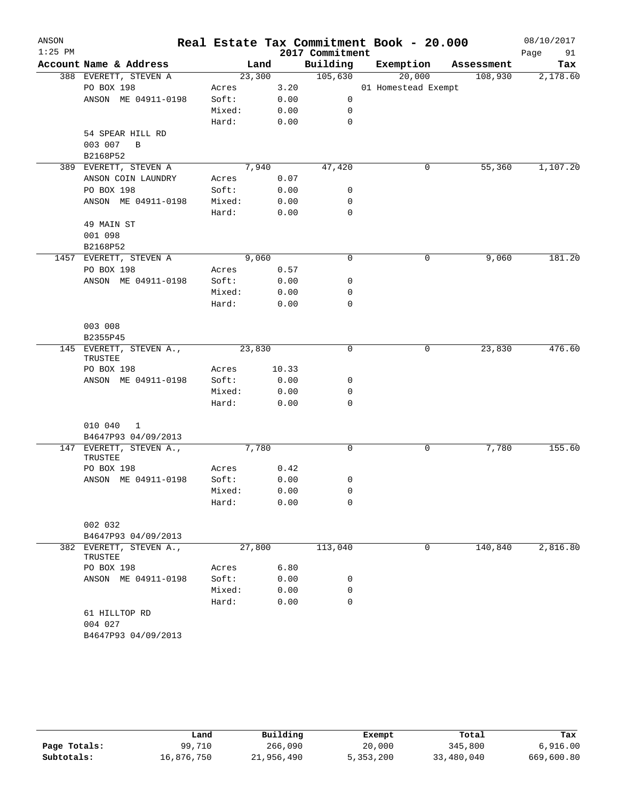| ANSON     |                                     |        |        |       |                 | Real Estate Tax Commitment Book - 20.000 |            | 08/10/2017 |
|-----------|-------------------------------------|--------|--------|-------|-----------------|------------------------------------------|------------|------------|
| $1:25$ PM |                                     |        |        |       | 2017 Commitment |                                          |            | Page<br>91 |
|           | Account Name & Address              |        | Land   |       | Building        | Exemption                                | Assessment | Tax        |
|           | 388 EVERETT, STEVEN A               |        | 23,300 |       | 105,630         | 20,000                                   | 108,930    | 2,178.60   |
|           | PO BOX 198                          | Acres  |        | 3.20  |                 | 01 Homestead Exempt                      |            |            |
|           | ANSON ME 04911-0198                 | Soft:  |        | 0.00  | 0               |                                          |            |            |
|           |                                     | Mixed: |        | 0.00  | 0               |                                          |            |            |
|           |                                     | Hard:  |        | 0.00  | 0               |                                          |            |            |
|           | 54 SPEAR HILL RD                    |        |        |       |                 |                                          |            |            |
|           | 003 007<br>B                        |        |        |       |                 |                                          |            |            |
|           | B2168P52                            |        |        |       |                 |                                          |            |            |
|           | 389 EVERETT, STEVEN A               |        | 7,940  |       | 47,420          | 0                                        | 55,360     | 1,107.20   |
|           | ANSON COIN LAUNDRY                  | Acres  |        | 0.07  |                 |                                          |            |            |
|           | PO BOX 198                          | Soft:  |        | 0.00  | 0               |                                          |            |            |
|           | ANSON ME 04911-0198                 | Mixed: |        | 0.00  | 0               |                                          |            |            |
|           |                                     | Hard:  |        | 0.00  | 0               |                                          |            |            |
|           | 49 MAIN ST                          |        |        |       |                 |                                          |            |            |
|           | 001 098                             |        |        |       |                 |                                          |            |            |
|           | B2168P52                            |        |        |       |                 |                                          |            |            |
|           | 1457 EVERETT, STEVEN A              |        | 9,060  |       | 0               | 0                                        | 9,060      | 181.20     |
|           | PO BOX 198                          | Acres  |        | 0.57  |                 |                                          |            |            |
|           | ANSON ME 04911-0198                 | Soft:  |        | 0.00  | 0               |                                          |            |            |
|           |                                     | Mixed: |        | 0.00  | 0               |                                          |            |            |
|           |                                     | Hard:  |        | 0.00  | $\mathbf 0$     |                                          |            |            |
|           |                                     |        |        |       |                 |                                          |            |            |
|           | 003 008                             |        |        |       |                 |                                          |            |            |
|           | B2355P45<br>145 EVERETT, STEVEN A., |        | 23,830 |       | 0               | 0                                        | 23,830     | 476.60     |
|           | TRUSTEE                             |        |        |       |                 |                                          |            |            |
|           | PO BOX 198                          | Acres  |        | 10.33 |                 |                                          |            |            |
|           | ANSON ME 04911-0198                 | Soft:  |        | 0.00  | 0               |                                          |            |            |
|           |                                     | Mixed: |        | 0.00  | 0               |                                          |            |            |
|           |                                     | Hard:  |        | 0.00  | 0               |                                          |            |            |
|           |                                     |        |        |       |                 |                                          |            |            |
|           | 010 040<br>1                        |        |        |       |                 |                                          |            |            |
|           | B4647P93 04/09/2013                 |        |        |       |                 |                                          |            |            |
|           | 147 EVERETT, STEVEN A.,             |        | 7,780  |       | 0               | 0                                        | 7,780      | 155.60     |
|           | TRUSTEE                             |        |        |       |                 |                                          |            |            |
|           | PO BOX 198                          | Acres  |        | 0.42  |                 |                                          |            |            |
|           | ANSON ME 04911-0198                 | Soft:  |        | 0.00  | 0               |                                          |            |            |
|           |                                     | Mixed: |        | 0.00  | 0               |                                          |            |            |
|           |                                     | Hard:  |        | 0.00  | 0               |                                          |            |            |
|           |                                     |        |        |       |                 |                                          |            |            |
|           | 002 032                             |        |        |       |                 |                                          |            |            |
|           | B4647P93 04/09/2013                 |        |        |       |                 | 0                                        |            |            |
|           | 382 EVERETT, STEVEN A.,<br>TRUSTEE  |        | 27,800 |       | 113,040         |                                          | 140,840    | 2,816.80   |
|           | PO BOX 198                          | Acres  |        | 6.80  |                 |                                          |            |            |
|           | ANSON ME 04911-0198                 | Soft:  |        | 0.00  | 0               |                                          |            |            |
|           |                                     | Mixed: |        | 0.00  | 0               |                                          |            |            |
|           |                                     | Hard:  |        | 0.00  | $\mathbf 0$     |                                          |            |            |
|           | 61 HILLTOP RD                       |        |        |       |                 |                                          |            |            |
|           | 004 027                             |        |        |       |                 |                                          |            |            |
|           | B4647P93 04/09/2013                 |        |        |       |                 |                                          |            |            |
|           |                                     |        |        |       |                 |                                          |            |            |

|              | Land       | Building   | Exempt    | Total      | Tax        |
|--------------|------------|------------|-----------|------------|------------|
| Page Totals: | 99,710     | 266,090    | 20,000    | 345,800    | 6,916.00   |
| Subtotals:   | 16,876,750 | 21,956,490 | 5,353,200 | 33,480,040 | 669,600.80 |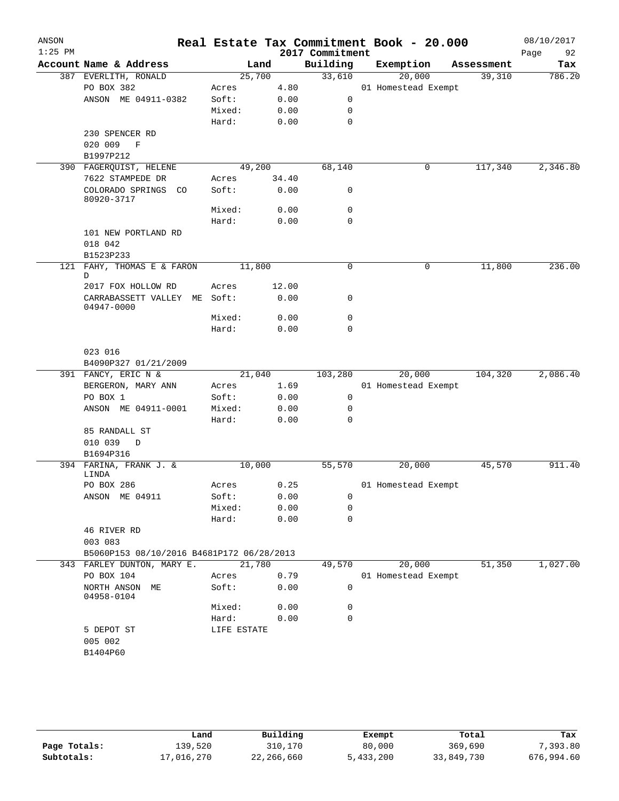| ANSON<br>$1:25$ PM |                                                      |             |       | 2017 Commitment | Real Estate Tax Commitment Book - 20.000 |            | 08/10/2017<br>Page<br>92 |
|--------------------|------------------------------------------------------|-------------|-------|-----------------|------------------------------------------|------------|--------------------------|
|                    | Account Name & Address                               | Land        |       | Building        | Exemption                                | Assessment | Tax                      |
|                    | 387 EVERLITH, RONALD                                 | 25,700      |       | 33,610          | 20,000                                   | 39,310     | 786.20                   |
|                    | PO BOX 382                                           | Acres       | 4.80  |                 | 01 Homestead Exempt                      |            |                          |
|                    | ANSON ME 04911-0382                                  | Soft:       | 0.00  | 0               |                                          |            |                          |
|                    |                                                      | Mixed:      | 0.00  | 0               |                                          |            |                          |
|                    |                                                      | Hard:       | 0.00  | 0               |                                          |            |                          |
|                    | 230 SPENCER RD                                       |             |       |                 |                                          |            |                          |
|                    | 020 009<br>$\mathbb{F}$                              |             |       |                 |                                          |            |                          |
|                    | B1997P212                                            |             |       |                 |                                          |            |                          |
|                    | 390 FAGERQUIST, HELENE                               | 49,200      |       | 68,140          | 0                                        | 117,340    | 2,346.80                 |
|                    | 7622 STAMPEDE DR                                     | Acres       | 34.40 |                 |                                          |            |                          |
|                    | COLORADO SPRINGS CO<br>80920-3717                    | Soft:       | 0.00  | 0               |                                          |            |                          |
|                    |                                                      | Mixed:      | 0.00  | 0               |                                          |            |                          |
|                    |                                                      | Hard:       | 0.00  | $\mathbf 0$     |                                          |            |                          |
|                    | 101 NEW PORTLAND RD<br>018 042<br>B1523P233          |             |       |                 |                                          |            |                          |
| 121                | FAHY, THOMAS E & FARON<br>D                          | 11,800      |       | 0               | $\mathsf{O}$                             | 11,800     | 236.00                   |
|                    | 2017 FOX HOLLOW RD                                   | Acres       | 12.00 |                 |                                          |            |                          |
|                    | CARRABASSETT VALLEY ME Soft:<br>04947-0000           |             | 0.00  | 0               |                                          |            |                          |
|                    |                                                      | Mixed:      | 0.00  | 0               |                                          |            |                          |
|                    |                                                      | Hard:       | 0.00  | 0               |                                          |            |                          |
|                    | 023 016                                              |             |       |                 |                                          |            |                          |
|                    | B4090P327 01/21/2009                                 |             |       |                 |                                          |            |                          |
|                    | 391 FANCY, ERIC N &                                  | 21,040      |       | 103,280         | 20,000                                   | 104,320    | 2,086.40                 |
|                    | BERGERON, MARY ANN                                   | Acres       | 1.69  |                 | 01 Homestead Exempt                      |            |                          |
|                    | PO BOX 1                                             | Soft:       | 0.00  | 0               |                                          |            |                          |
|                    | ANSON ME 04911-0001                                  | Mixed:      | 0.00  | 0               |                                          |            |                          |
|                    |                                                      | Hard:       | 0.00  | 0               |                                          |            |                          |
|                    | 85 RANDALL ST<br>010 039<br>$\mathbb{D}$             |             |       |                 |                                          |            |                          |
|                    | B1694P316                                            |             |       |                 |                                          |            |                          |
|                    | 394 FARINA, FRANK J. &<br>LINDA                      | 10,000      |       | 55,570          | 20,000                                   | 45,570     | 911.40                   |
|                    | PO BOX 286                                           | Acres       | 0.25  |                 | 01 Homestead Exempt                      |            |                          |
|                    | ANSON ME 04911                                       | Soft:       | 0.00  | 0               |                                          |            |                          |
|                    |                                                      | Mixed:      | 0.00  | 0               |                                          |            |                          |
|                    |                                                      | Hard:       | 0.00  | 0               |                                          |            |                          |
|                    | 46 RIVER RD                                          |             |       |                 |                                          |            |                          |
|                    | 003 083<br>B5060P153 08/10/2016 B4681P172 06/28/2013 |             |       |                 |                                          |            |                          |
|                    | 343 FARLEY DUNTON, MARY E.                           | 21,780      |       | 49,570          | 20,000                                   | 51,350     | 1,027.00                 |
|                    | PO BOX 104                                           | Acres       | 0.79  |                 | 01 Homestead Exempt                      |            |                          |
|                    | NORTH ANSON ME<br>04958-0104                         | Soft:       | 0.00  | 0               |                                          |            |                          |
|                    |                                                      | Mixed:      | 0.00  | 0               |                                          |            |                          |
|                    |                                                      | Hard:       | 0.00  | 0               |                                          |            |                          |
|                    | 5 DEPOT ST                                           | LIFE ESTATE |       |                 |                                          |            |                          |
|                    | 005 002                                              |             |       |                 |                                          |            |                          |
|                    | B1404P60                                             |             |       |                 |                                          |            |                          |
|                    |                                                      |             |       |                 |                                          |            |                          |

|              | Land       | Building   | Exempt    | Total      | Tax        |
|--------------|------------|------------|-----------|------------|------------|
| Page Totals: | 139,520    | 310,170    | 80,000    | 369,690    | 7,393.80   |
| Subtotals:   | 17,016,270 | 22,266,660 | 5,433,200 | 33,849,730 | 676,994.60 |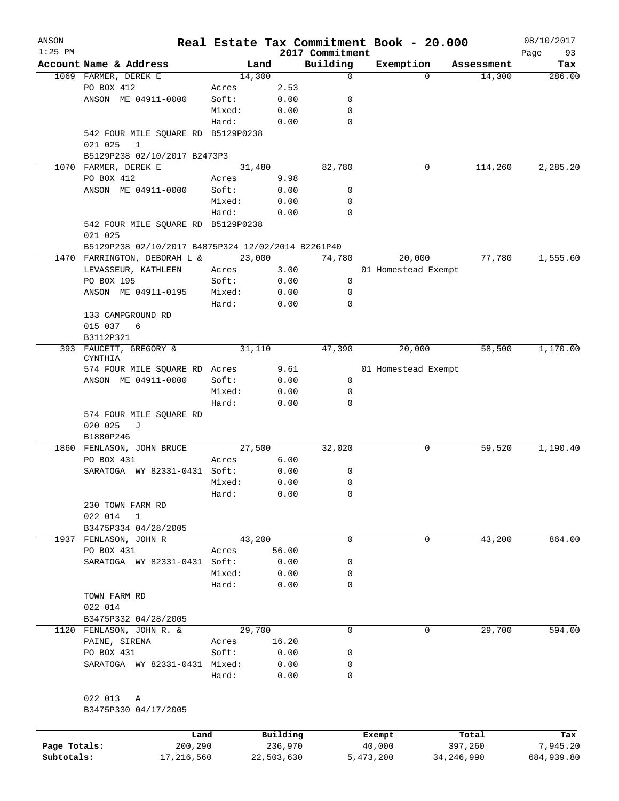| ANSON<br>$1:25$ PM |                                                               |        |                     |                             | Real Estate Tax Commitment Book - 20.000 |                  | 08/10/2017        |
|--------------------|---------------------------------------------------------------|--------|---------------------|-----------------------------|------------------------------------------|------------------|-------------------|
|                    | Account Name & Address                                        | Land   |                     | 2017 Commitment<br>Building | Exemption                                | Assessment       | Page<br>93<br>Tax |
|                    | 1069 FARMER, DEREK E                                          | 14,300 |                     | $\mathbf 0$                 | $\Omega$                                 | 14,300           | 286.00            |
|                    | PO BOX 412                                                    | Acres  | 2.53                |                             |                                          |                  |                   |
|                    | ANSON ME 04911-0000                                           | Soft:  | 0.00                | 0                           |                                          |                  |                   |
|                    |                                                               | Mixed: | 0.00                | 0                           |                                          |                  |                   |
|                    |                                                               | Hard:  | 0.00                | $\mathbf 0$                 |                                          |                  |                   |
|                    | 542 FOUR MILE SQUARE RD B5129P0238<br>$\mathbf{1}$<br>021 025 |        |                     |                             |                                          |                  |                   |
|                    | B5129P238 02/10/2017 B2473P3                                  |        |                     |                             |                                          |                  |                   |
|                    | 1070 FARMER, DEREK E                                          | 31,480 |                     | 82,780                      | 0                                        | 114,260          | 2, 285.20         |
|                    | PO BOX 412                                                    | Acres  | 9.98                |                             |                                          |                  |                   |
|                    | ANSON ME 04911-0000                                           | Soft:  | 0.00                | 0                           |                                          |                  |                   |
|                    |                                                               | Mixed: | 0.00                | 0                           |                                          |                  |                   |
|                    |                                                               | Hard:  | 0.00                | 0                           |                                          |                  |                   |
|                    | 542 FOUR MILE SQUARE RD B5129P0238<br>021 025                 |        |                     |                             |                                          |                  |                   |
|                    | B5129P238 02/10/2017 B4875P324 12/02/2014 B2261P40            |        |                     |                             |                                          |                  |                   |
|                    | 1470 FARRINGTON, DEBORAH L &                                  | 23,000 |                     | 74,780                      | 20,000                                   | 77,780           | 1,555.60          |
|                    | LEVASSEUR, KATHLEEN                                           | Acres  | 3.00                |                             | 01 Homestead Exempt                      |                  |                   |
|                    | PO BOX 195                                                    | Soft:  | 0.00                | 0                           |                                          |                  |                   |
|                    | ANSON ME 04911-0195                                           | Mixed: | 0.00                | 0                           |                                          |                  |                   |
|                    |                                                               | Hard:  | 0.00                | 0                           |                                          |                  |                   |
|                    | 133 CAMPGROUND RD<br>015 037<br>6                             |        |                     |                             |                                          |                  |                   |
|                    | B3112P321                                                     |        |                     |                             |                                          |                  |                   |
|                    | 393 FAUCETT, GREGORY &<br><b>CYNTHIA</b>                      | 31,110 |                     | 47,390                      | 20,000                                   | 58,500           | 1,170.00          |
|                    | 574 FOUR MILE SQUARE RD Acres                                 |        | 9.61                |                             | 01 Homestead Exempt                      |                  |                   |
|                    | ANSON ME 04911-0000                                           | Soft:  | 0.00                | $\mathbf 0$                 |                                          |                  |                   |
|                    |                                                               | Mixed: | 0.00                | 0                           |                                          |                  |                   |
|                    | 574 FOUR MILE SQUARE RD                                       | Hard:  | 0.00                | 0                           |                                          |                  |                   |
|                    | 020 025<br>J<br>B1880P246                                     |        |                     |                             |                                          |                  |                   |
| 1860               | FENLASON, JOHN BRUCE                                          | 27,500 |                     | 32,020                      | 0                                        | 59,520           | 1,190.40          |
|                    | PO BOX 431                                                    | Acres  | 6.00                |                             |                                          |                  |                   |
|                    | SARATOGA WY 82331-0431 Soft:                                  |        | 0.00                | 0                           |                                          |                  |                   |
|                    |                                                               | Mixed: | 0.00                | 0                           |                                          |                  |                   |
|                    |                                                               | Hard:  | 0.00                | 0                           |                                          |                  |                   |
|                    | 230 TOWN FARM RD                                              |        |                     |                             |                                          |                  |                   |
|                    | 022 014<br>$\mathbf{1}$                                       |        |                     |                             |                                          |                  |                   |
|                    | B3475P334 04/28/2005                                          |        |                     |                             |                                          |                  |                   |
|                    | 1937 FENLASON, JOHN R                                         | 43,200 |                     | $\mathbf 0$                 | 0                                        | 43,200           | 864.00            |
|                    | PO BOX 431                                                    | Acres  | 56.00               |                             |                                          |                  |                   |
|                    | SARATOGA WY 82331-0431 Soft:                                  |        | 0.00                | 0                           |                                          |                  |                   |
|                    |                                                               | Mixed: | 0.00                | 0                           |                                          |                  |                   |
|                    |                                                               | Hard:  | 0.00                | 0                           |                                          |                  |                   |
|                    | TOWN FARM RD                                                  |        |                     |                             |                                          |                  |                   |
|                    | 022 014                                                       |        |                     |                             |                                          |                  |                   |
|                    | B3475P332 04/28/2005                                          |        |                     |                             |                                          |                  |                   |
|                    | 1120 FENLASON, JOHN R. &                                      | 29,700 |                     | $\mathbf 0$                 | 0                                        | 29,700           | 594.00            |
|                    | PAINE, SIRENA                                                 | Acres  | 16.20               |                             |                                          |                  |                   |
|                    | PO BOX 431                                                    | Soft:  | 0.00                | 0                           |                                          |                  |                   |
|                    | SARATOGA WY 82331-0431 Mixed:                                 |        | 0.00                | 0                           |                                          |                  |                   |
|                    |                                                               | Hard:  | 0.00                | 0                           |                                          |                  |                   |
|                    | 022 013 A                                                     |        |                     |                             |                                          |                  |                   |
|                    | B3475P330 04/17/2005                                          |        |                     |                             |                                          |                  |                   |
|                    |                                                               |        |                     |                             |                                          |                  |                   |
| Page Totals:       | Land<br>200,290                                               |        | Building<br>236,970 |                             | Exempt<br>40,000                         | Total<br>397,260 | Tax<br>7,945.20   |

**Subtotals:** 17,216,560 22,503,630 5,473,200 34,246,990 684,939.80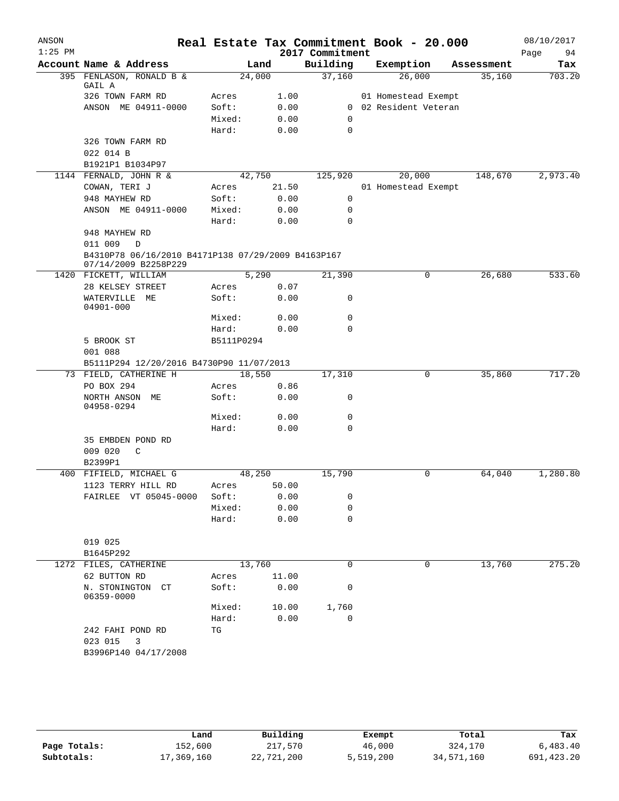| ANSON     |                                                                            |            |        |                 | Real Estate Tax Commitment Book - 20.000 |            | 08/10/2017 |
|-----------|----------------------------------------------------------------------------|------------|--------|-----------------|------------------------------------------|------------|------------|
| $1:25$ PM |                                                                            |            |        | 2017 Commitment |                                          |            | Page<br>94 |
|           | Account Name & Address                                                     |            | Land   | Building        | Exemption                                | Assessment | Tax        |
|           | 395 FENLASON, RONALD B &<br>GAIL A                                         |            | 24,000 | 37,160          | 26,000                                   | 35,160     | 703.20     |
|           | 326 TOWN FARM RD                                                           | Acres      | 1.00   |                 | 01 Homestead Exempt                      |            |            |
|           | ANSON ME 04911-0000                                                        | Soft:      | 0.00   |                 | 0 02 Resident Veteran                    |            |            |
|           |                                                                            | Mixed:     | 0.00   | 0               |                                          |            |            |
|           |                                                                            | Hard:      | 0.00   | $\mathbf 0$     |                                          |            |            |
|           | 326 TOWN FARM RD                                                           |            |        |                 |                                          |            |            |
|           | 022 014 B                                                                  |            |        |                 |                                          |            |            |
|           | B1921P1 B1034P97                                                           |            |        |                 |                                          |            |            |
|           | 1144 FERNALD, JOHN R &                                                     |            | 42,750 | 125,920         | 20,000                                   | 148,670    | 2,973.40   |
|           | COWAN, TERI J                                                              | Acres      | 21.50  |                 | 01 Homestead Exempt                      |            |            |
|           | 948 MAYHEW RD                                                              | Soft:      | 0.00   | 0               |                                          |            |            |
|           | ANSON ME 04911-0000                                                        | Mixed:     | 0.00   | 0               |                                          |            |            |
|           |                                                                            | Hard:      | 0.00   | 0               |                                          |            |            |
|           | 948 MAYHEW RD                                                              |            |        |                 |                                          |            |            |
|           | 011 009<br>D                                                               |            |        |                 |                                          |            |            |
|           | B4310P78 06/16/2010 B4171P138 07/29/2009 B4163P167<br>07/14/2009 B2258P229 |            |        |                 |                                          |            |            |
|           | 1420 FICKETT, WILLIAM                                                      |            | 5,290  | 21,390          | 0                                        | 26,680     | 533.60     |
|           | 28 KELSEY STREET                                                           | Acres      | 0.07   |                 |                                          |            |            |
|           | WATERVILLE ME<br>04901-000                                                 | Soft:      | 0.00   | 0               |                                          |            |            |
|           |                                                                            | Mixed:     | 0.00   | 0               |                                          |            |            |
|           |                                                                            | Hard:      | 0.00   | 0               |                                          |            |            |
|           | 5 BROOK ST                                                                 | B5111P0294 |        |                 |                                          |            |            |
|           | 001 088                                                                    |            |        |                 |                                          |            |            |
|           | B5111P294 12/20/2016 B4730P90 11/07/2013                                   |            |        |                 |                                          |            |            |
|           | 73 FIELD, CATHERINE H                                                      |            | 18,550 | 17,310          | 0                                        | 35,860     | 717.20     |
|           | PO BOX 294                                                                 | Acres      | 0.86   |                 |                                          |            |            |
|           | NORTH ANSON ME<br>04958-0294                                               | Soft:      | 0.00   | 0               |                                          |            |            |
|           |                                                                            | Mixed:     | 0.00   | 0               |                                          |            |            |
|           |                                                                            | Hard:      | 0.00   | 0               |                                          |            |            |
|           | 35 EMBDEN POND RD<br>009 020<br>C                                          |            |        |                 |                                          |            |            |
|           | B2399P1                                                                    |            |        |                 |                                          |            |            |
|           | 400 FIFIELD, MICHAEL G                                                     |            | 48,250 | 15,790          | 0                                        | 64,040     | 1,280.80   |
|           | 1123 TERRY HILL RD                                                         | Acres      | 50.00  |                 |                                          |            |            |
|           | FAIRLEE VT 05045-0000                                                      | Soft:      | 0.00   | 0               |                                          |            |            |
|           |                                                                            | Mixed:     | 0.00   | 0               |                                          |            |            |
|           |                                                                            | Hard:      | 0.00   | $\mathbf 0$     |                                          |            |            |
|           | 019 025<br>B1645P292                                                       |            |        |                 |                                          |            |            |
|           | 1272 FILES, CATHERINE                                                      |            | 13,760 | 0               | 0                                        | 13,760     | 275.20     |
|           | 62 BUTTON RD                                                               | Acres      | 11.00  |                 |                                          |            |            |
|           | N. STONINGTON CT<br>06359-0000                                             | Soft:      | 0.00   | 0               |                                          |            |            |
|           |                                                                            | Mixed:     | 10.00  | 1,760           |                                          |            |            |
|           |                                                                            | Hard:      | 0.00   | 0               |                                          |            |            |
|           | 242 FAHI POND RD                                                           | TG         |        |                 |                                          |            |            |
|           | 023 015<br>3                                                               |            |        |                 |                                          |            |            |
|           | B3996P140 04/17/2008                                                       |            |        |                 |                                          |            |            |
|           |                                                                            |            |        |                 |                                          |            |            |

|              | Land       | Building   | Exempt    | Total      | Tax        |
|--------------|------------|------------|-----------|------------|------------|
| Page Totals: | 152,600    | 217,570    | 46,000    | 324,170    | 6,483.40   |
| Subtotals:   | 17,369,160 | 22,721,200 | 5,519,200 | 34,571,160 | 691,423.20 |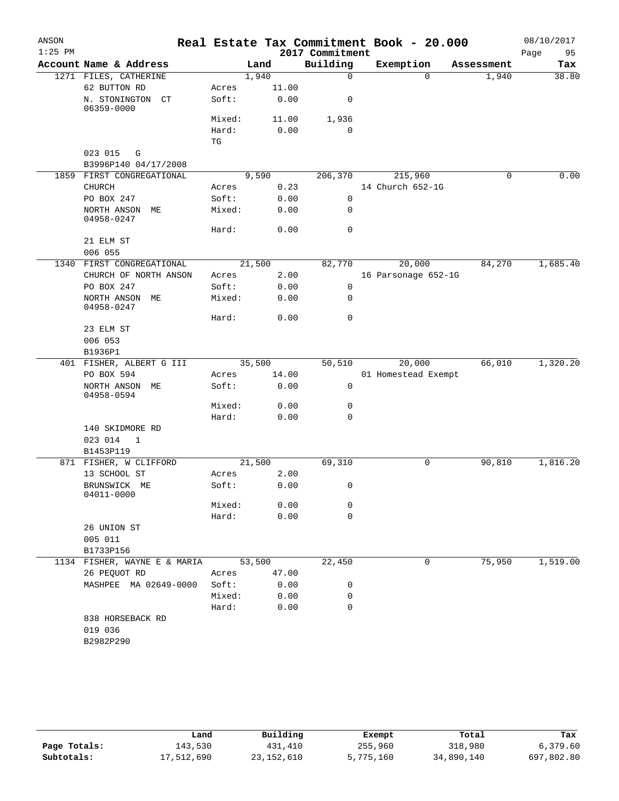| ANSON     |                                      |                              |        |       |                 | Real Estate Tax Commitment Book - 20.000 |            | 08/10/2017 |
|-----------|--------------------------------------|------------------------------|--------|-------|-----------------|------------------------------------------|------------|------------|
| $1:25$ PM |                                      |                              |        |       | 2017 Commitment |                                          |            | 95<br>Page |
|           | Account Name & Address               |                              | Land   |       | Building        | Exemption                                | Assessment | Tax        |
|           | 1271 FILES, CATHERINE                |                              | 1,940  |       | $\mathbf 0$     | $\Omega$                                 | 1,940      | 38.80      |
|           | 62 BUTTON RD                         | Acres                        |        | 11.00 |                 |                                          |            |            |
|           | N. STONINGTON CT<br>06359-0000       | Soft:                        |        | 0.00  | 0               |                                          |            |            |
|           |                                      | Mixed:                       |        | 11.00 | 1,936           |                                          |            |            |
|           |                                      | Hard:                        |        | 0.00  | 0               |                                          |            |            |
|           |                                      | $\operatorname{\mathbb{T}G}$ |        |       |                 |                                          |            |            |
|           | 023 015<br>G<br>B3996P140 04/17/2008 |                              |        |       |                 |                                          |            |            |
|           | 1859 FIRST CONGREGATIONAL            |                              | 9,590  |       | 206,370         | 215,960                                  | 0          | 0.00       |
|           | <b>CHURCH</b>                        | Acres                        |        | 0.23  |                 | 14 Church 652-1G                         |            |            |
|           | PO BOX 247                           | Soft:                        |        | 0.00  | $\mathbf 0$     |                                          |            |            |
|           | NORTH ANSON ME<br>04958-0247         | Mixed:                       |        | 0.00  | 0               |                                          |            |            |
|           |                                      | Hard:                        |        | 0.00  | 0               |                                          |            |            |
|           | 21 ELM ST                            |                              |        |       |                 |                                          |            |            |
|           | 006 055                              |                              |        |       |                 |                                          |            |            |
| 1340      | FIRST CONGREGATIONAL                 |                              | 21,500 |       | 82,770          | 20,000                                   | 84,270     | 1,685.40   |
|           | CHURCH OF NORTH ANSON                | Acres                        |        | 2.00  |                 | 16 Parsonage 652-1G                      |            |            |
|           | PO BOX 247                           | Soft:                        |        | 0.00  | 0               |                                          |            |            |
|           | NORTH ANSON ME<br>04958-0247         | Mixed:                       |        | 0.00  | 0               |                                          |            |            |
|           |                                      | Hard:                        |        | 0.00  | $\mathbf 0$     |                                          |            |            |
|           | 23 ELM ST                            |                              |        |       |                 |                                          |            |            |
|           | 006 053                              |                              |        |       |                 |                                          |            |            |
|           | B1936P1                              |                              |        |       |                 |                                          |            |            |
|           | 401 FISHER, ALBERT G III             |                              | 35,500 |       | 50,510          | 20,000                                   | 66,010     | 1,320.20   |
|           | PO BOX 594                           | Acres                        |        | 14.00 |                 | 01 Homestead Exempt                      |            |            |
|           | NORTH ANSON ME<br>04958-0594         | Soft:                        |        | 0.00  | $\mathbf 0$     |                                          |            |            |
|           |                                      | Mixed:                       |        | 0.00  | 0               |                                          |            |            |
|           |                                      | Hard:                        |        | 0.00  | 0               |                                          |            |            |
|           | 140 SKIDMORE RD                      |                              |        |       |                 |                                          |            |            |
|           | 023 014<br>1                         |                              |        |       |                 |                                          |            |            |
|           | B1453P119                            |                              |        |       |                 |                                          |            |            |
|           | 871 FISHER, W CLIFFORD               |                              | 21,500 |       | 69,310          | 0                                        | 90,810     | 1,816.20   |
|           | 13 SCHOOL ST                         | Acres                        |        | 2.00  |                 |                                          |            |            |
|           | BRUNSWICK ME<br>04011-0000           | Soft:                        |        | 0.00  | 0               |                                          |            |            |
|           |                                      | Mixed:                       |        | 0.00  | 0               |                                          |            |            |
|           |                                      | Hard:                        |        | 0.00  | $\mathbf 0$     |                                          |            |            |
|           | 26 UNION ST                          |                              |        |       |                 |                                          |            |            |
|           | 005 011                              |                              |        |       |                 |                                          |            |            |
|           | B1733P156                            |                              |        |       |                 |                                          |            |            |
|           | 1134 FISHER, WAYNE E & MARIA         |                              | 53,500 |       | 22,450          | 0                                        | 75,950     | 1,519.00   |
|           | 26 PEQUOT RD                         | Acres                        |        | 47.00 |                 |                                          |            |            |
|           | MASHPEE MA 02649-0000                | Soft:                        |        | 0.00  | 0               |                                          |            |            |
|           |                                      | Mixed:                       |        | 0.00  | 0               |                                          |            |            |
|           |                                      | Hard:                        |        | 0.00  | $\mathbf 0$     |                                          |            |            |
|           | 838 HORSEBACK RD                     |                              |        |       |                 |                                          |            |            |
|           | 019 036                              |                              |        |       |                 |                                          |            |            |
|           | B2982P290                            |                              |        |       |                 |                                          |            |            |
|           |                                      |                              |        |       |                 |                                          |            |            |

|              | Land       | Building     | Exempt    | Total      | Tax        |
|--------------|------------|--------------|-----------|------------|------------|
| Page Totals: | 143,530    | 431,410      | 255,960   | 318,980    | 6.379.60   |
| Subtotals:   | 17,512,690 | 23, 152, 610 | 5,775,160 | 34,890,140 | 697,802.80 |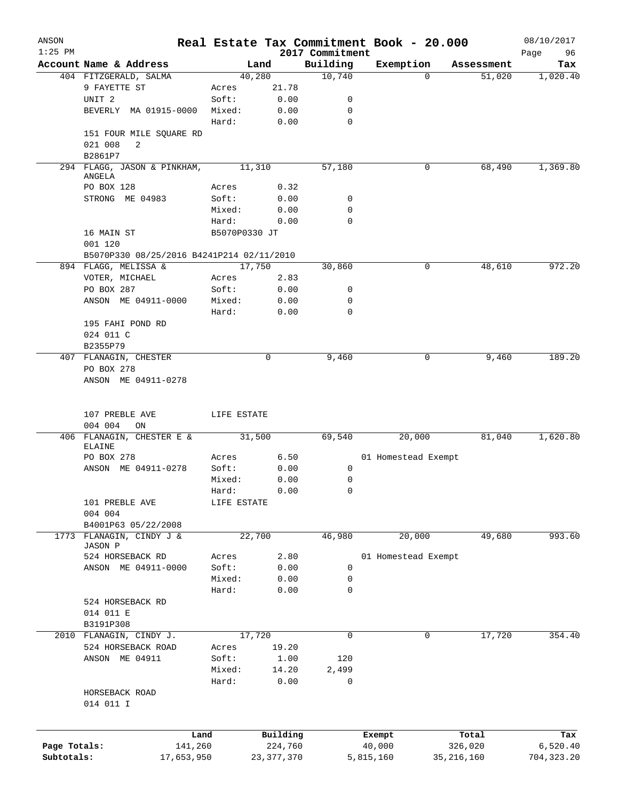| ANSON        |                                           |                        |               |                             | Real Estate Tax Commitment Book - 20.000 |              | 08/10/2017        |
|--------------|-------------------------------------------|------------------------|---------------|-----------------------------|------------------------------------------|--------------|-------------------|
| $1:25$ PM    | Account Name & Address                    | Land                   |               | 2017 Commitment<br>Building | Exemption                                | Assessment   | Page<br>96<br>Tax |
|              | 404 FITZGERALD, SALMA                     | 40,280                 |               | 10,740                      | $\mathbf{0}$                             | 51,020       | 1,020.40          |
|              | 9 FAYETTE ST                              | Acres                  | 21.78         |                             |                                          |              |                   |
|              | UNIT <sub>2</sub>                         | Soft:                  | 0.00          | 0                           |                                          |              |                   |
|              | BEVERLY MA 01915-0000                     | Mixed:                 | 0.00          | 0                           |                                          |              |                   |
|              |                                           | Hard:                  | 0.00          | 0                           |                                          |              |                   |
|              | 151 FOUR MILE SQUARE RD                   |                        |               |                             |                                          |              |                   |
|              | 021 008<br>2                              |                        |               |                             |                                          |              |                   |
|              | B2861P7                                   |                        |               |                             |                                          |              |                   |
|              | 294 FLAGG, JASON & PINKHAM,               | 11,310                 |               | 57,180                      | 0                                        | 68,490       | 1,369.80          |
|              | ANGELA                                    |                        |               |                             |                                          |              |                   |
|              | PO BOX 128                                | Acres                  | 0.32          |                             |                                          |              |                   |
|              | STRONG ME 04983                           | Soft:                  | 0.00          | 0<br>0                      |                                          |              |                   |
|              |                                           | Mixed:                 | 0.00          | 0                           |                                          |              |                   |
|              | 16 MAIN ST                                | Hard:<br>B5070P0330 JT | 0.00          |                             |                                          |              |                   |
|              | 001 120                                   |                        |               |                             |                                          |              |                   |
|              | B5070P330 08/25/2016 B4241P214 02/11/2010 |                        |               |                             |                                          |              |                   |
|              | 894 FLAGG, MELISSA &                      | 17,750                 |               | 30,860                      | 0                                        | 48,610       | 972.20            |
|              | VOTER, MICHAEL                            | Acres                  | 2.83          |                             |                                          |              |                   |
|              | PO BOX 287                                | Soft:                  | 0.00          | 0                           |                                          |              |                   |
|              | ANSON ME 04911-0000                       | Mixed:                 | 0.00          | 0                           |                                          |              |                   |
|              |                                           | Hard:                  | 0.00          | $\mathbf 0$                 |                                          |              |                   |
|              | 195 FAHI POND RD                          |                        |               |                             |                                          |              |                   |
|              | 024 011 C                                 |                        |               |                             |                                          |              |                   |
|              | B2355P79                                  |                        |               |                             |                                          |              |                   |
|              | 407 FLANAGIN, CHESTER                     |                        | $\Omega$      | 9,460                       | 0                                        | 9,460        | 189.20            |
|              | PO BOX 278                                |                        |               |                             |                                          |              |                   |
|              | ANSON ME 04911-0278                       |                        |               |                             |                                          |              |                   |
|              |                                           |                        |               |                             |                                          |              |                   |
|              | 107 PREBLE AVE                            | LIFE ESTATE            |               |                             |                                          |              |                   |
|              | 004 004<br>ON                             |                        |               |                             |                                          |              |                   |
|              | 406 FLANAGIN, CHESTER E & 31,500          |                        |               | 69,540                      | 20,000                                   | 81,040       | 1,620.80          |
|              | ELAINE<br>PO BOX 278                      | Acres                  | 6.50          |                             | 01 Homestead Exempt                      |              |                   |
|              | ANSON ME 04911-0278                       | Soft:                  | 0.00          | 0                           |                                          |              |                   |
|              |                                           | Mixed:                 | 0.00          | 0                           |                                          |              |                   |
|              |                                           | Hard:                  | 0.00          | 0                           |                                          |              |                   |
|              | 101 PREBLE AVE                            | LIFE ESTATE            |               |                             |                                          |              |                   |
|              | 004 004                                   |                        |               |                             |                                          |              |                   |
|              | B4001P63 05/22/2008                       |                        |               |                             |                                          |              |                   |
| 1773         | FLANAGIN, CINDY J &                       | 22,700                 |               | 46,980                      | 20,000                                   | 49,680       | 993.60            |
|              | JASON P                                   |                        |               |                             |                                          |              |                   |
|              | 524 HORSEBACK RD                          | Acres                  | 2.80          |                             | 01 Homestead Exempt                      |              |                   |
|              | ANSON ME 04911-0000                       | Soft:                  | 0.00          | 0                           |                                          |              |                   |
|              |                                           | Mixed:                 | 0.00          | 0                           |                                          |              |                   |
|              |                                           | Hard:                  | 0.00          | 0                           |                                          |              |                   |
|              | 524 HORSEBACK RD                          |                        |               |                             |                                          |              |                   |
|              | 014 011 E                                 |                        |               |                             |                                          |              |                   |
|              | B3191P308                                 |                        |               |                             |                                          |              |                   |
| 2010         | FLANAGIN, CINDY J.                        | 17,720                 |               | $\mathbf 0$                 | 0                                        | 17,720       | 354.40            |
|              | 524 HORSEBACK ROAD                        | Acres                  | 19.20         |                             |                                          |              |                   |
|              | ANSON ME 04911                            | Soft:<br>Mixed:        | 1.00<br>14.20 | 120<br>2,499                |                                          |              |                   |
|              |                                           | Hard:                  | 0.00          | 0                           |                                          |              |                   |
|              | HORSEBACK ROAD                            |                        |               |                             |                                          |              |                   |
|              | 014 011 I                                 |                        |               |                             |                                          |              |                   |
|              |                                           |                        |               |                             |                                          |              |                   |
|              | Land                                      |                        | Building      |                             | Exempt                                   | Total        | Tax               |
| Page Totals: | 141,260                                   |                        | 224,760       |                             | 40,000                                   | 326,020      | 6,520.40          |
| Subtotals:   | 17,653,950                                |                        | 23, 377, 370  |                             | 5,815,160                                | 35, 216, 160 | 704, 323.20       |
|              |                                           |                        |               |                             |                                          |              |                   |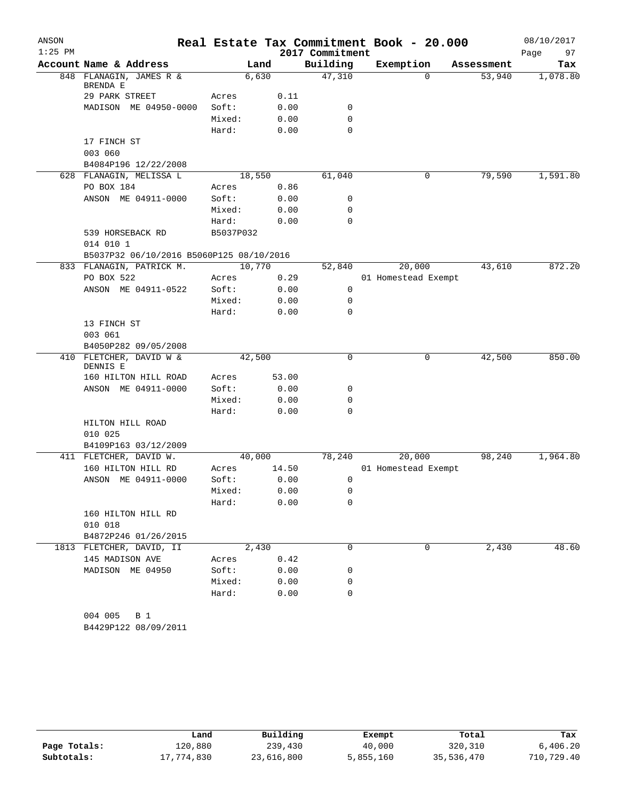| ANSON     |                                          |           |        |                 | Real Estate Tax Commitment Book - 20.000 |            | 08/10/2017 |
|-----------|------------------------------------------|-----------|--------|-----------------|------------------------------------------|------------|------------|
| $1:25$ PM |                                          |           |        | 2017 Commitment |                                          |            | 97<br>Page |
|           | Account Name & Address                   |           | Land   | Building        | Exemption                                | Assessment | Tax        |
|           | 848 FLANAGIN, JAMES R &<br>BRENDA E      |           | 6,630  | 47,310          | $\Omega$                                 | 53,940     | 1,078.80   |
|           | 29 PARK STREET                           | Acres     | 0.11   |                 |                                          |            |            |
|           | MADISON ME 04950-0000                    | Soft:     | 0.00   | 0               |                                          |            |            |
|           |                                          | Mixed:    | 0.00   | 0               |                                          |            |            |
|           |                                          | Hard:     | 0.00   | 0               |                                          |            |            |
|           | 17 FINCH ST<br>003 060                   |           |        |                 |                                          |            |            |
|           | B4084P196 12/22/2008                     |           |        |                 |                                          |            |            |
|           | 628 FLANAGIN, MELISSA L                  |           | 18,550 | 61,040          | 0                                        | 79,590     | 1,591.80   |
|           | PO BOX 184                               | Acres     | 0.86   |                 |                                          |            |            |
|           | ANSON ME 04911-0000                      | Soft:     | 0.00   | 0               |                                          |            |            |
|           |                                          | Mixed:    | 0.00   | 0               |                                          |            |            |
|           |                                          | Hard:     | 0.00   | $\mathbf 0$     |                                          |            |            |
|           | 539 HORSEBACK RD<br>014 010 1            | B5037P032 |        |                 |                                          |            |            |
|           | B5037P32 06/10/2016 B5060P125 08/10/2016 |           |        |                 |                                          |            |            |
|           | 833 FLANAGIN, PATRICK M.                 |           | 10,770 | 52,840          | 20,000                                   | 43,610     | 872.20     |
|           | PO BOX 522                               | Acres     | 0.29   |                 | 01 Homestead Exempt                      |            |            |
|           | ANSON ME 04911-0522                      | Soft:     | 0.00   | 0               |                                          |            |            |
|           |                                          | Mixed:    | 0.00   | 0               |                                          |            |            |
|           |                                          | Hard:     | 0.00   | 0               |                                          |            |            |
|           | 13 FINCH ST                              |           |        |                 |                                          |            |            |
|           | 003 061                                  |           |        |                 |                                          |            |            |
|           | B4050P282 09/05/2008                     |           |        |                 |                                          |            |            |
|           | 410 FLETCHER, DAVID W &<br>DENNIS E      |           | 42,500 | 0               | 0                                        | 42,500     | 850.00     |
|           | 160 HILTON HILL ROAD                     | Acres     | 53.00  |                 |                                          |            |            |
|           | ANSON ME 04911-0000                      | Soft:     | 0.00   | 0               |                                          |            |            |
|           |                                          | Mixed:    | 0.00   | 0               |                                          |            |            |
|           |                                          | Hard:     | 0.00   | $\mathbf 0$     |                                          |            |            |
|           | HILTON HILL ROAD                         |           |        |                 |                                          |            |            |
|           | 010 025                                  |           |        |                 |                                          |            |            |
|           | B4109P163 03/12/2009                     |           |        |                 |                                          |            |            |
|           | 411 FLETCHER, DAVID W.                   |           | 40,000 | 78,240          | 20,000                                   | 98,240     | 1,964.80   |
|           | 160 HILTON HILL RD                       | Acres     | 14.50  |                 | 01 Homestead Exempt                      |            |            |
|           | ANSON ME 04911-0000                      | Soft:     | 0.00   | 0               |                                          |            |            |
|           |                                          | Mixed:    | 0.00   | 0               |                                          |            |            |
|           |                                          | Hard:     | 0.00   | 0               |                                          |            |            |
|           | 160 HILTON HILL RD                       |           |        |                 |                                          |            |            |
|           | 010 018                                  |           |        |                 |                                          |            |            |
|           | B4872P246 01/26/2015                     |           |        |                 |                                          |            |            |
|           | 1813 FLETCHER, DAVID, II                 |           | 2,430  | $\Omega$        | 0                                        | 2,430      | 48.60      |
|           | 145 MADISON AVE                          | Acres     | 0.42   |                 |                                          |            |            |
|           | MADISON ME 04950                         | Soft:     | 0.00   | 0               |                                          |            |            |
|           |                                          | Mixed:    | 0.00   | 0               |                                          |            |            |
|           |                                          | Hard:     | 0.00   | $\mathbf 0$     |                                          |            |            |
|           | 004 005<br>B 1<br>B4429P122 08/09/2011   |           |        |                 |                                          |            |            |

|              | Land       | Building   | Exempt    | Total      | Tax        |
|--------------|------------|------------|-----------|------------|------------|
| Page Totals: | 120,880    | 239,430    | 40,000    | 320,310    | 6.406.20   |
| Subtotals:   | 17,774,830 | 23,616,800 | 5,855,160 | 35,536,470 | 710,729.40 |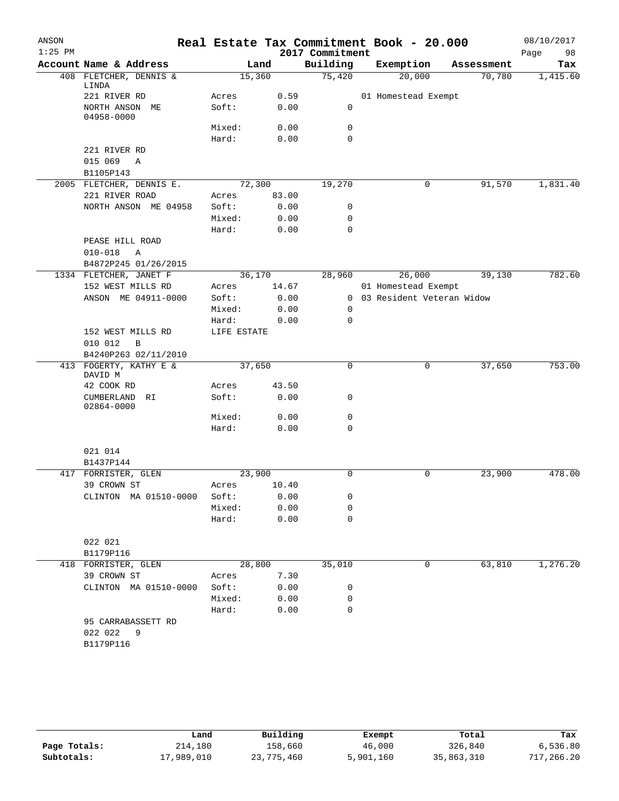| ANSON<br>$1:25$ PM |                                       |                 |              | 2017 Commitment  | Real Estate Tax Commitment Book - 20.000 |            | 08/10/2017<br>Page<br>98 |
|--------------------|---------------------------------------|-----------------|--------------|------------------|------------------------------------------|------------|--------------------------|
|                    | Account Name & Address                |                 | Land         | Building         | Exemption                                | Assessment | Tax                      |
|                    | 408 FLETCHER, DENNIS &                | 15,360          |              | 75,420           | 20,000                                   | 70,780     | 1,415.60                 |
|                    | LINDA                                 |                 |              |                  |                                          |            |                          |
|                    | 221 RIVER RD<br>NORTH ANSON ME        | Acres<br>Soft:  | 0.59<br>0.00 | 0                | 01 Homestead Exempt                      |            |                          |
|                    | 04958-0000                            |                 |              |                  |                                          |            |                          |
|                    |                                       | Mixed:          | 0.00         | $\mathbf 0$      |                                          |            |                          |
|                    |                                       | Hard:           | 0.00         | $\mathbf 0$      |                                          |            |                          |
|                    | 221 RIVER RD                          |                 |              |                  |                                          |            |                          |
|                    | 015 069<br>A                          |                 |              |                  |                                          |            |                          |
|                    | B1105P143<br>2005 FLETCHER, DENNIS E. | 72,300          |              | 19,270           | 0                                        | 91,570     | 1,831.40                 |
|                    | 221 RIVER ROAD                        | Acres           | 83.00        |                  |                                          |            |                          |
|                    | NORTH ANSON ME 04958                  | Soft:           | 0.00         | 0                |                                          |            |                          |
|                    |                                       | Mixed:          | 0.00         | 0                |                                          |            |                          |
|                    |                                       | Hard:           | 0.00         | $\mathbf 0$      |                                          |            |                          |
|                    | PEASE HILL ROAD                       |                 |              |                  |                                          |            |                          |
|                    | $010 - 018$<br>Α                      |                 |              |                  |                                          |            |                          |
|                    | B4872P245 01/26/2015                  |                 |              |                  |                                          |            |                          |
|                    | 1334 FLETCHER, JANET F                | 36,170          |              | 28,960           | 26,000                                   | 39,130     | 782.60                   |
|                    | 152 WEST MILLS RD                     | Acres           | 14.67        |                  | 01 Homestead Exempt                      |            |                          |
|                    | ANSON ME 04911-0000                   | Soft:           | 0.00         |                  | 0 03 Resident Veteran Widow              |            |                          |
|                    |                                       | Mixed:<br>Hard: | 0.00<br>0.00 | 0<br>$\mathbf 0$ |                                          |            |                          |
|                    | 152 WEST MILLS RD                     | LIFE ESTATE     |              |                  |                                          |            |                          |
|                    | 010 012<br>B                          |                 |              |                  |                                          |            |                          |
|                    | B4240P263 02/11/2010                  |                 |              |                  |                                          |            |                          |
|                    | 413 FOGERTY, KATHY E &                | 37,650          |              | $\mathbf 0$      | 0                                        | 37,650     | 753.00                   |
|                    | DAVID M<br>42 COOK RD                 | Acres           | 43.50        |                  |                                          |            |                          |
|                    | CUMBERLAND<br>RI                      | Soft:           | 0.00         | 0                |                                          |            |                          |
|                    | 02864-0000                            |                 |              |                  |                                          |            |                          |
|                    |                                       | Mixed:          | 0.00         | 0                |                                          |            |                          |
|                    |                                       | Hard:           | 0.00         | $\mathbf 0$      |                                          |            |                          |
|                    | 021 014                               |                 |              |                  |                                          |            |                          |
|                    | B1437P144                             |                 |              |                  |                                          |            |                          |
|                    | 417 FORRISTER, GLEN                   | 23,900          |              | $\mathbf 0$      | 0                                        | 23,900     | 478.00                   |
|                    | 39 CROWN ST                           | Acres           | 10.40        |                  |                                          |            |                          |
|                    | CLINTON MA 01510-0000                 | Soft:           | 0.00         | 0                |                                          |            |                          |
|                    |                                       | Mixed:          | 0.00         | 0                |                                          |            |                          |
|                    |                                       | Hard:           | 0.00         | $\mathbf 0$      |                                          |            |                          |
|                    |                                       |                 |              |                  |                                          |            |                          |
|                    | 022 021<br>B1179P116                  |                 |              |                  |                                          |            |                          |
|                    | 418 FORRISTER, GLEN                   | 28,800          |              | 35,010           | 0                                        | 63,810     | 1,276.20                 |
|                    | 39 CROWN ST                           | Acres           | 7.30         |                  |                                          |            |                          |
|                    | CLINTON MA 01510-0000                 | Soft:           | 0.00         | 0                |                                          |            |                          |
|                    |                                       | Mixed:          | 0.00         | 0                |                                          |            |                          |
|                    |                                       | Hard:           | 0.00         | $\mathbf 0$      |                                          |            |                          |
|                    | 95 CARRABASSETT RD                    |                 |              |                  |                                          |            |                          |
|                    | 022 022<br>9                          |                 |              |                  |                                          |            |                          |
|                    | B1179P116                             |                 |              |                  |                                          |            |                          |
|                    |                                       |                 |              |                  |                                          |            |                          |
|                    |                                       |                 |              |                  |                                          |            |                          |

|              | Land       | Building   | Exempt    | Total      | Tax        |
|--------------|------------|------------|-----------|------------|------------|
| Page Totals: | 214,180    | 158,660    | 46,000    | 326,840    | 6,536.80   |
| Subtotals:   | 17,989,010 | 23,775,460 | 5,901,160 | 35,863,310 | 717,266.20 |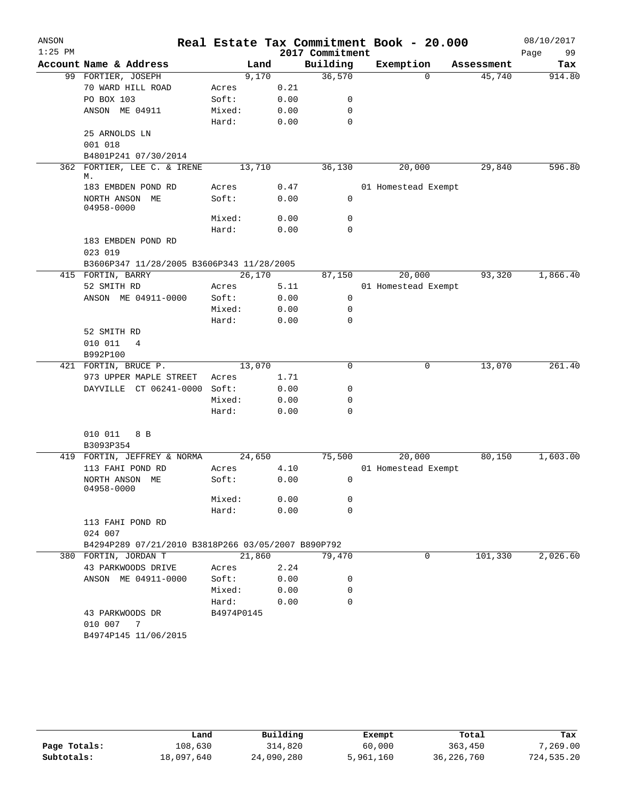| ANSON     |                                                    |            |        |      |                 | Real Estate Tax Commitment Book - 20.000 |            | 08/10/2017 |
|-----------|----------------------------------------------------|------------|--------|------|-----------------|------------------------------------------|------------|------------|
| $1:25$ PM |                                                    |            |        |      | 2017 Commitment |                                          |            | 99<br>Page |
|           | Account Name & Address                             |            | Land   |      | Building        | Exemption                                | Assessment | Tax        |
|           | 99 FORTIER, JOSEPH                                 |            | 9,170  |      | 36,570          | $\Omega$                                 | 45,740     | 914.80     |
|           | 70 WARD HILL ROAD                                  | Acres      |        | 0.21 |                 |                                          |            |            |
|           | PO BOX 103                                         | Soft:      |        | 0.00 | 0               |                                          |            |            |
|           | ANSON ME 04911                                     | Mixed:     |        | 0.00 | 0               |                                          |            |            |
|           |                                                    | Hard:      |        | 0.00 | 0               |                                          |            |            |
|           | 25 ARNOLDS LN                                      |            |        |      |                 |                                          |            |            |
|           | 001 018                                            |            |        |      |                 |                                          |            |            |
|           | B4801P241 07/30/2014                               |            |        |      |                 |                                          |            |            |
|           | 362 FORTIER, LEE C. & IRENE<br>М.                  |            | 13,710 |      | 36,130          | 20,000                                   | 29,840     | 596.80     |
|           | 183 EMBDEN POND RD                                 | Acres      |        | 0.47 |                 | 01 Homestead Exempt                      |            |            |
|           | NORTH ANSON ME                                     | Soft:      |        | 0.00 | 0               |                                          |            |            |
|           | 04958-0000                                         |            |        |      |                 |                                          |            |            |
|           |                                                    | Mixed:     |        | 0.00 | 0               |                                          |            |            |
|           |                                                    | Hard:      |        | 0.00 | $\mathbf 0$     |                                          |            |            |
|           | 183 EMBDEN POND RD                                 |            |        |      |                 |                                          |            |            |
|           | 023 019                                            |            |        |      |                 |                                          |            |            |
|           | B3606P347 11/28/2005 B3606P343 11/28/2005          |            |        |      |                 |                                          |            |            |
|           | 415 FORTIN, BARRY                                  |            | 26,170 |      | 87,150          | 20,000                                   | 93,320     | 1,866.40   |
|           | 52 SMITH RD                                        | Acres      |        | 5.11 |                 | 01 Homestead Exempt                      |            |            |
|           | ANSON ME 04911-0000                                | Soft:      |        | 0.00 | 0               |                                          |            |            |
|           |                                                    | Mixed:     |        | 0.00 | 0               |                                          |            |            |
|           |                                                    | Hard:      |        | 0.00 | $\mathbf 0$     |                                          |            |            |
|           | 52 SMITH RD                                        |            |        |      |                 |                                          |            |            |
|           | 010 011<br>4                                       |            |        |      |                 |                                          |            |            |
|           | B992P100                                           |            |        |      |                 |                                          |            |            |
|           | 421 FORTIN, BRUCE P.                               |            | 13,070 |      | 0               | 0                                        | 13,070     | 261.40     |
|           | 973 UPPER MAPLE STREET                             | Acres      |        | 1.71 |                 |                                          |            |            |
|           | DAYVILLE CT 06241-0000                             | Soft:      |        | 0.00 | 0               |                                          |            |            |
|           |                                                    | Mixed:     |        | 0.00 | 0               |                                          |            |            |
|           |                                                    | Hard:      |        | 0.00 | $\mathbf 0$     |                                          |            |            |
|           | 010 011<br>8 B                                     |            |        |      |                 |                                          |            |            |
|           | B3093P354                                          |            |        |      |                 |                                          |            |            |
|           | 419 FORTIN, JEFFREY & NORMA                        |            | 24,650 |      | 75,500          | 20,000                                   | 80,150     | 1,603.00   |
|           | 113 FAHI POND RD                                   | Acres      |        | 4.10 |                 | 01 Homestead Exempt                      |            |            |
|           | NORTH ANSON ME                                     | Soft:      |        | 0.00 | 0               |                                          |            |            |
|           | 04958-0000                                         |            |        |      |                 |                                          |            |            |
|           |                                                    | Mixed:     |        | 0.00 | 0               |                                          |            |            |
|           |                                                    | Hard:      |        | 0.00 | 0               |                                          |            |            |
|           | 113 FAHI POND RD                                   |            |        |      |                 |                                          |            |            |
|           | 024 007                                            |            |        |      |                 |                                          |            |            |
|           | B4294P289 07/21/2010 B3818P266 03/05/2007 B890P792 |            |        |      |                 |                                          |            |            |
|           | 380 FORTIN, JORDAN T                               |            | 21,860 |      | 79,470          | $\mathbf{0}$                             | 101,330    | 2,026.60   |
|           | 43 PARKWOODS DRIVE                                 | Acres      |        | 2.24 |                 |                                          |            |            |
|           | ANSON ME 04911-0000                                | Soft:      |        | 0.00 | 0               |                                          |            |            |
|           |                                                    | Mixed:     |        | 0.00 | 0               |                                          |            |            |
|           |                                                    | Hard:      |        | 0.00 | 0               |                                          |            |            |
|           | 43 PARKWOODS DR                                    | B4974P0145 |        |      |                 |                                          |            |            |
|           | 010 007 7                                          |            |        |      |                 |                                          |            |            |
|           | B4974P145 11/06/2015                               |            |        |      |                 |                                          |            |            |

|              | Land       | Building   | Exempt    | Total      | Tax        |
|--------------|------------|------------|-----------|------------|------------|
| Page Totals: | 108,630    | 314,820    | 60,000    | 363,450    | 7,269.00   |
| Subtotals:   | 18,097,640 | 24,090,280 | 5,961,160 | 36,226,760 | 724,535.20 |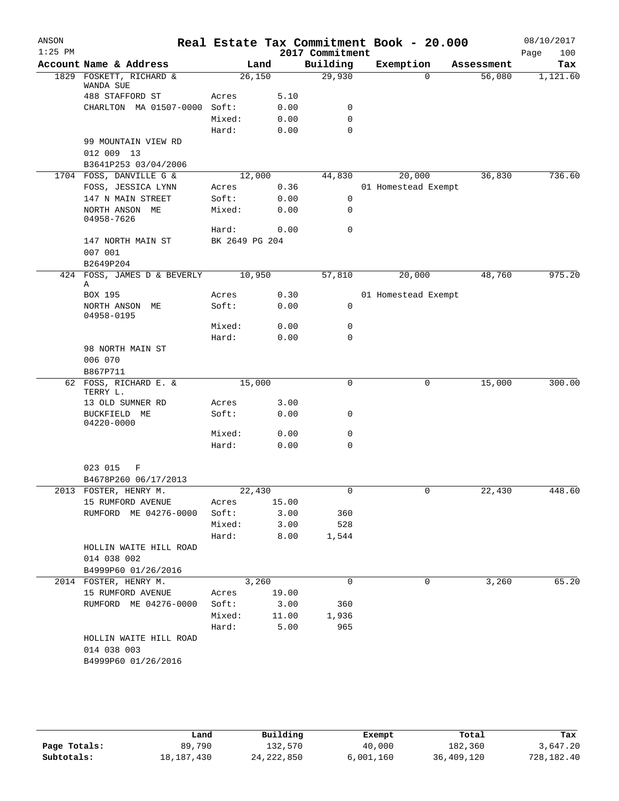| ANSON     |                                    |                |       |                    | Real Estate Tax Commitment Book - 20.000 |                                  | 08/10/2017      |
|-----------|------------------------------------|----------------|-------|--------------------|------------------------------------------|----------------------------------|-----------------|
| $1:25$ PM | Account Name & Address             |                |       | 2017 Commitment    |                                          |                                  | 100<br>Page     |
|           | 1829 FOSKETT, RICHARD &            | 26,150         | Land  | Building<br>29,930 | Exemption                                | Assessment<br>$\Omega$<br>56,080 | Tax<br>1,121.60 |
|           | WANDA SUE                          |                |       |                    |                                          |                                  |                 |
|           | 488 STAFFORD ST                    | Acres          | 5.10  |                    |                                          |                                  |                 |
|           | CHARLTON MA 01507-0000 Soft:       |                | 0.00  | 0                  |                                          |                                  |                 |
|           |                                    | Mixed:         | 0.00  | 0                  |                                          |                                  |                 |
|           |                                    | Hard:          | 0.00  | 0                  |                                          |                                  |                 |
|           | 99 MOUNTAIN VIEW RD                |                |       |                    |                                          |                                  |                 |
|           | 012 009 13                         |                |       |                    |                                          |                                  |                 |
|           | B3641P253 03/04/2006               |                |       |                    |                                          |                                  |                 |
|           | 1704 FOSS, DANVILLE G &            | 12,000         |       | 44,830             | 20,000                                   | 36,830                           | 736.60          |
|           | FOSS, JESSICA LYNN                 | Acres          | 0.36  |                    | 01 Homestead Exempt                      |                                  |                 |
|           | 147 N MAIN STREET                  | Soft:          | 0.00  | 0                  |                                          |                                  |                 |
|           | NORTH ANSON ME<br>04958-7626       | Mixed:         | 0.00  | 0                  |                                          |                                  |                 |
|           |                                    | Hard:          | 0.00  | 0                  |                                          |                                  |                 |
|           | 147 NORTH MAIN ST                  | BK 2649 PG 204 |       |                    |                                          |                                  |                 |
|           | 007 001                            |                |       |                    |                                          |                                  |                 |
|           | B2649P204                          |                |       |                    |                                          |                                  |                 |
|           | 424 FOSS, JAMES D & BEVERLY<br>Α   | 10,950         |       | 57,810             | 20,000                                   | 48,760                           | 975.20          |
|           | BOX 195                            | Acres          | 0.30  |                    | 01 Homestead Exempt                      |                                  |                 |
|           | NORTH ANSON ME<br>04958-0195       | Soft:          | 0.00  | 0                  |                                          |                                  |                 |
|           |                                    | Mixed:         | 0.00  | 0                  |                                          |                                  |                 |
|           |                                    | Hard:          | 0.00  | 0                  |                                          |                                  |                 |
|           | 98 NORTH MAIN ST                   |                |       |                    |                                          |                                  |                 |
|           | 006 070                            |                |       |                    |                                          |                                  |                 |
|           | B867P711                           |                |       |                    |                                          |                                  |                 |
|           | 62 FOSS, RICHARD E. &<br>TERRY L.  | 15,000         |       | 0                  |                                          | 15,000<br>0                      | 300.00          |
|           | 13 OLD SUMNER RD                   | Acres          | 3.00  |                    |                                          |                                  |                 |
|           | BUCKFIELD ME<br>04220-0000         | Soft:          | 0.00  | 0                  |                                          |                                  |                 |
|           |                                    | Mixed:         | 0.00  | 0                  |                                          |                                  |                 |
|           |                                    | Hard:          | 0.00  | 0                  |                                          |                                  |                 |
|           |                                    |                |       |                    |                                          |                                  |                 |
|           | 023 015<br>F                       |                |       |                    |                                          |                                  |                 |
|           | B4678P260 06/17/2013               |                |       |                    |                                          |                                  |                 |
|           | 2013 FOSTER, HENRY M.              | 22,430         |       | $\overline{0}$     |                                          | 22,430                           | 448.60          |
|           | 15 RUMFORD AVENUE                  | Acres          | 15.00 |                    |                                          |                                  |                 |
|           | RUMFORD ME 04276-0000              | Soft:          | 3.00  | 360                |                                          |                                  |                 |
|           |                                    | Mixed:         | 3.00  | 528                |                                          |                                  |                 |
|           |                                    | Hard:          | 8.00  | 1,544              |                                          |                                  |                 |
|           | HOLLIN WAITE HILL ROAD             |                |       |                    |                                          |                                  |                 |
|           | 014 038 002                        |                |       |                    |                                          |                                  |                 |
|           | B4999P60 01/26/2016                |                |       |                    |                                          |                                  |                 |
|           | 2014 FOSTER, HENRY M.              |                | 3,260 | $\mathbf 0$        |                                          | 0<br>3,260                       | 65.20           |
|           | 15 RUMFORD AVENUE                  | Acres          | 19.00 |                    |                                          |                                  |                 |
|           | RUMFORD ME 04276-0000              | Soft:          | 3.00  | 360                |                                          |                                  |                 |
|           |                                    | Mixed:         | 11.00 | 1,936              |                                          |                                  |                 |
|           |                                    | Hard:          | 5.00  | 965                |                                          |                                  |                 |
|           | HOLLIN WAITE HILL ROAD             |                |       |                    |                                          |                                  |                 |
|           | 014 038 003<br>B4999P60 01/26/2016 |                |       |                    |                                          |                                  |                 |
|           |                                    |                |       |                    |                                          |                                  |                 |
|           |                                    |                |       |                    |                                          |                                  |                 |

|              | Land         | Building     | Exempt    | Total      | Tax        |
|--------------|--------------|--------------|-----------|------------|------------|
| Page Totals: | 89,790       | 132,570      | 40,000    | 182,360    | 3,647.20   |
| Subtotals:   | 18, 187, 430 | 24, 222, 850 | 6,001,160 | 36,409,120 | 728,182.40 |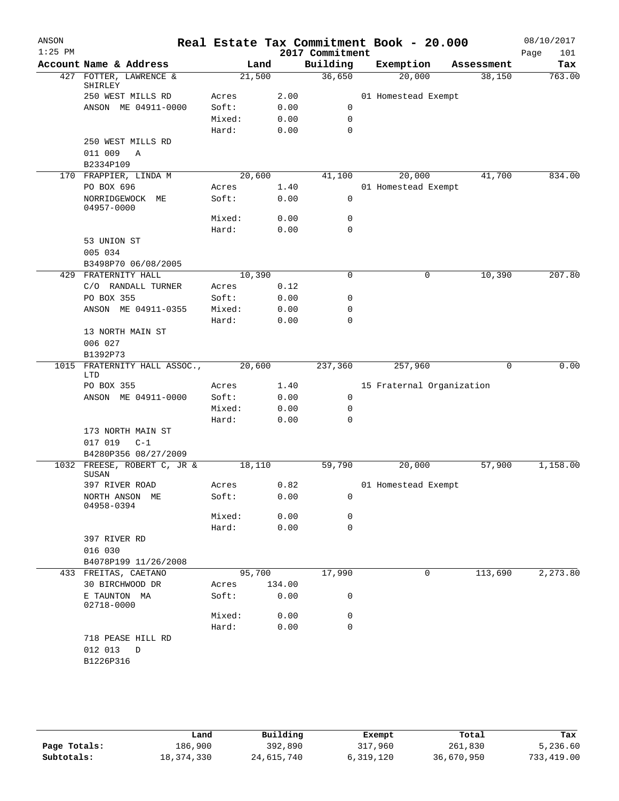| ANSON     |                                       |        |        | Real Estate Tax Commitment Book - 20.000 |                           |   |             |      | 08/10/2017 |
|-----------|---------------------------------------|--------|--------|------------------------------------------|---------------------------|---|-------------|------|------------|
| $1:25$ PM |                                       |        |        | 2017 Commitment                          |                           |   |             | Page | 101        |
|           | Account Name & Address                |        | Land   | Building                                 | Exemption                 |   | Assessment  |      | Tax        |
|           | 427 FOTTER, LAWRENCE &<br>SHIRLEY     |        | 21,500 | 36,650                                   | 20,000                    |   | 38,150      |      | 763.00     |
|           | 250 WEST MILLS RD                     | Acres  | 2.00   |                                          | 01 Homestead Exempt       |   |             |      |            |
|           | ANSON ME 04911-0000                   | Soft:  | 0.00   | 0                                        |                           |   |             |      |            |
|           |                                       | Mixed: | 0.00   | $\mathbf 0$                              |                           |   |             |      |            |
|           |                                       | Hard:  | 0.00   | $\mathbf 0$                              |                           |   |             |      |            |
|           | 250 WEST MILLS RD                     |        |        |                                          |                           |   |             |      |            |
|           | 011 009<br>$\mathbb{A}$               |        |        |                                          |                           |   |             |      |            |
|           | B2334P109                             |        | 20,600 |                                          | 20,000                    |   | 41,700      |      | 834.00     |
|           | 170 FRAPPIER, LINDA M<br>PO BOX 696   | Acres  | 1.40   | 41,100                                   | 01 Homestead Exempt       |   |             |      |            |
|           | NORRIDGEWOCK ME<br>04957-0000         | Soft:  | 0.00   | $\mathbf 0$                              |                           |   |             |      |            |
|           |                                       | Mixed: | 0.00   | 0                                        |                           |   |             |      |            |
|           |                                       | Hard:  | 0.00   | 0                                        |                           |   |             |      |            |
|           | 53 UNION ST                           |        |        |                                          |                           |   |             |      |            |
|           | 005 034                               |        |        |                                          |                           |   |             |      |            |
|           | B3498P70 06/08/2005                   |        |        |                                          |                           |   |             |      |            |
|           | 429 FRATERNITY HALL                   | 10,390 |        | $\mathbf 0$                              | 0                         |   | 10,390      |      | 207.80     |
|           | C/O RANDALL TURNER                    | Acres  | 0.12   |                                          |                           |   |             |      |            |
|           | PO BOX 355                            | Soft:  | 0.00   | 0                                        |                           |   |             |      |            |
|           | ANSON ME 04911-0355                   | Mixed: | 0.00   | 0                                        |                           |   |             |      |            |
|           |                                       | Hard:  | 0.00   | 0                                        |                           |   |             |      |            |
|           | 13 NORTH MAIN ST                      |        |        |                                          |                           |   |             |      |            |
|           | 006 027<br>B1392P73                   |        |        |                                          |                           |   |             |      |            |
| 1015      | FRATERNITY HALL ASSOC.,<br>LTD        |        | 20,600 | 237,360                                  | 257,960                   |   | $\mathbf 0$ |      | 0.00       |
|           | PO BOX 355                            | Acres  | 1.40   |                                          | 15 Fraternal Organization |   |             |      |            |
|           | ANSON ME 04911-0000                   | Soft:  | 0.00   | 0                                        |                           |   |             |      |            |
|           |                                       | Mixed: | 0.00   | 0                                        |                           |   |             |      |            |
|           |                                       | Hard:  | 0.00   | 0                                        |                           |   |             |      |            |
|           | 173 NORTH MAIN ST<br>017 019<br>$C-1$ |        |        |                                          |                           |   |             |      |            |
|           | B4280P356 08/27/2009                  |        |        |                                          |                           |   |             |      |            |
|           | 1032 FREESE, ROBERT C, JR &<br>SUSAN  |        | 18,110 | 59,790                                   | 20,000                    |   | 57,900      |      | 1,158.00   |
|           | 397 RIVER ROAD                        | Acres  | 0.82   |                                          | 01 Homestead Exempt       |   |             |      |            |
|           | NORTH ANSON ME<br>04958-0394          | Soft:  | 0.00   | 0                                        |                           |   |             |      |            |
|           |                                       | Mixed: | 0.00   | 0                                        |                           |   |             |      |            |
|           |                                       | Hard:  | 0.00   | $\mathbf 0$                              |                           |   |             |      |            |
|           | 397 RIVER RD                          |        |        |                                          |                           |   |             |      |            |
|           | 016 030                               |        |        |                                          |                           |   |             |      |            |
|           | B4078P199 11/26/2008                  |        |        |                                          |                           |   |             |      |            |
|           | 433 FREITAS, CAETANO                  |        | 95,700 | 17,990                                   |                           | 0 | 113,690     |      | 2, 273.80  |
|           | 30 BIRCHWOOD DR                       | Acres  | 134.00 |                                          |                           |   |             |      |            |
|           | E TAUNTON MA<br>02718-0000            | Soft:  | 0.00   | 0                                        |                           |   |             |      |            |
|           |                                       | Mixed: | 0.00   | 0                                        |                           |   |             |      |            |
|           |                                       | Hard:  | 0.00   | $\mathbf 0$                              |                           |   |             |      |            |
|           | 718 PEASE HILL RD<br>012 013<br>D     |        |        |                                          |                           |   |             |      |            |
|           | B1226P316                             |        |        |                                          |                           |   |             |      |            |
|           |                                       |        |        |                                          |                           |   |             |      |            |

|              | Land       | Building   | Exempt    | Total      | Tax        |
|--------------|------------|------------|-----------|------------|------------|
| Page Totals: | 186,900    | 392,890    | 317,960   | 261,830    | 5,236.60   |
| Subtotals:   | 18,374,330 | 24,615,740 | 6,319,120 | 36,670,950 | 733,419.00 |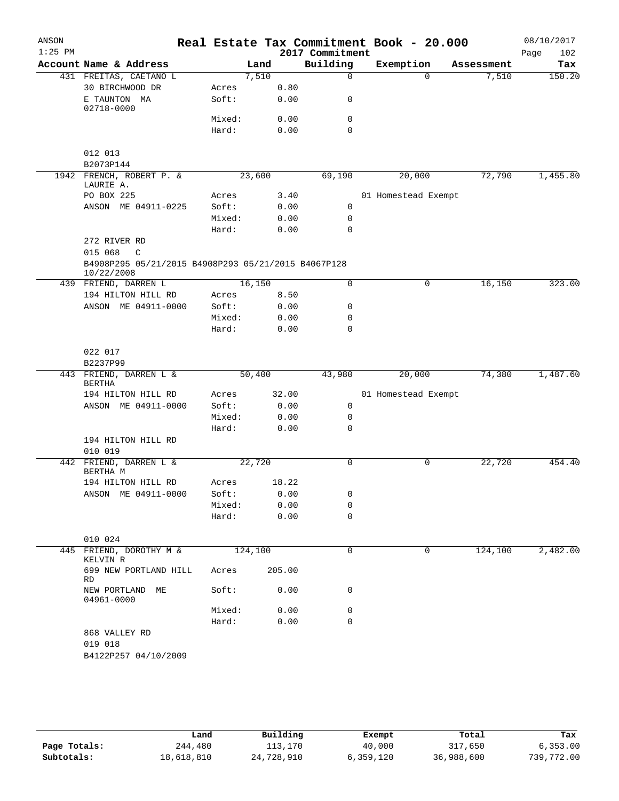| ANSON<br>$1:25$ PM |                                                                                |        |         |        | 2017 Commitment | Real Estate Tax Commitment Book - 20.000 |            | 08/10/2017<br>Page<br>102 |
|--------------------|--------------------------------------------------------------------------------|--------|---------|--------|-----------------|------------------------------------------|------------|---------------------------|
|                    | Account Name & Address                                                         |        | Land    |        | Building        | Exemption                                | Assessment | Tax                       |
|                    | 431 FREITAS, CAETANO L                                                         |        | 7,510   |        | $\Omega$        | $\Omega$                                 | 7,510      | 150.20                    |
|                    | 30 BIRCHWOOD DR                                                                | Acres  |         | 0.80   |                 |                                          |            |                           |
|                    | E TAUNTON MA<br>02718-0000                                                     | Soft:  |         | 0.00   | 0               |                                          |            |                           |
|                    |                                                                                | Mixed: |         | 0.00   | $\mathbf 0$     |                                          |            |                           |
|                    |                                                                                | Hard:  |         | 0.00   | $\Omega$        |                                          |            |                           |
|                    | 012 013                                                                        |        |         |        |                 |                                          |            |                           |
|                    | B2073P144                                                                      |        |         |        |                 |                                          |            |                           |
|                    | 1942 FRENCH, ROBERT P. &<br>LAURIE A.                                          |        | 23,600  |        | 69,190          | 20,000                                   | 72,790     | 1,455.80                  |
|                    | PO BOX 225                                                                     | Acres  |         | 3.40   |                 | 01 Homestead Exempt                      |            |                           |
|                    | ANSON ME 04911-0225                                                            | Soft:  |         | 0.00   | $\mathbf 0$     |                                          |            |                           |
|                    |                                                                                | Mixed: |         | 0.00   | 0               |                                          |            |                           |
|                    | 272 RIVER RD                                                                   | Hard:  |         | 0.00   | $\mathbf 0$     |                                          |            |                           |
|                    | 015 068<br>$\mathsf{C}$<br>B4908P295 05/21/2015 B4908P293 05/21/2015 B4067P128 |        |         |        |                 |                                          |            |                           |
|                    | 10/22/2008                                                                     |        |         |        | 0               | 0                                        |            | 323.00                    |
|                    | 439 FRIEND, DARREN L                                                           | Acres  | 16,150  | 8.50   |                 |                                          | 16,150     |                           |
|                    | 194 HILTON HILL RD<br>ANSON ME 04911-0000                                      | Soft:  |         | 0.00   | 0               |                                          |            |                           |
|                    |                                                                                | Mixed: |         | 0.00   | 0               |                                          |            |                           |
|                    |                                                                                | Hard:  |         | 0.00   | 0               |                                          |            |                           |
|                    | 022 017                                                                        |        |         |        |                 |                                          |            |                           |
|                    | B2237P99                                                                       |        |         |        |                 |                                          |            |                           |
|                    | 443 FRIEND, DARREN L &<br>BERTHA                                               |        | 50,400  |        | 43,980          | 20,000                                   | 74,380     | 1,487.60                  |
|                    | 194 HILTON HILL RD                                                             | Acres  |         | 32.00  |                 | 01 Homestead Exempt                      |            |                           |
|                    | ANSON ME 04911-0000                                                            | Soft:  |         | 0.00   | 0               |                                          |            |                           |
|                    |                                                                                | Mixed: |         | 0.00   | 0               |                                          |            |                           |
|                    |                                                                                | Hard:  |         | 0.00   | 0               |                                          |            |                           |
|                    | 194 HILTON HILL RD<br>010 019                                                  |        |         |        |                 |                                          |            |                           |
| 442                | FRIEND, DARREN L &<br>BERTHA M                                                 |        | 22,720  |        | 0               | 0                                        | 22,720     | 454.40                    |
|                    | 194 HILTON HILL RD                                                             | Acres  |         | 18.22  |                 |                                          |            |                           |
|                    | ANSON ME 04911-0000                                                            | Soft:  |         | 0.00   | 0               |                                          |            |                           |
|                    |                                                                                | Mixed: |         | 0.00   | 0               |                                          |            |                           |
|                    |                                                                                | Hard:  |         | 0.00   | 0               |                                          |            |                           |
|                    | 010 024                                                                        |        |         |        |                 |                                          |            |                           |
|                    | 445 FRIEND, DOROTHY M &<br>KELVIN R                                            |        | 124,100 |        | 0               | 0                                        | 124,100    | 2,482.00                  |
|                    | 699 NEW PORTLAND HILL<br>RD                                                    | Acres  |         | 205.00 |                 |                                          |            |                           |
|                    | NEW PORTLAND<br>МE<br>04961-0000                                               | Soft:  |         | 0.00   | 0               |                                          |            |                           |
|                    |                                                                                | Mixed: |         | 0.00   | 0               |                                          |            |                           |
|                    |                                                                                | Hard:  |         | 0.00   | $\Omega$        |                                          |            |                           |
|                    | 868 VALLEY RD<br>019 018                                                       |        |         |        |                 |                                          |            |                           |
|                    | B4122P257 04/10/2009                                                           |        |         |        |                 |                                          |            |                           |

|              | Land       | Building   | Exempt    | Total      | Tax        |
|--------------|------------|------------|-----------|------------|------------|
| Page Totals: | 244,480    | 113,170    | 40,000    | 317,650    | 6, 353.00  |
| Subtotals:   | 18,618,810 | 24,728,910 | 6,359,120 | 36,988,600 | 739,772.00 |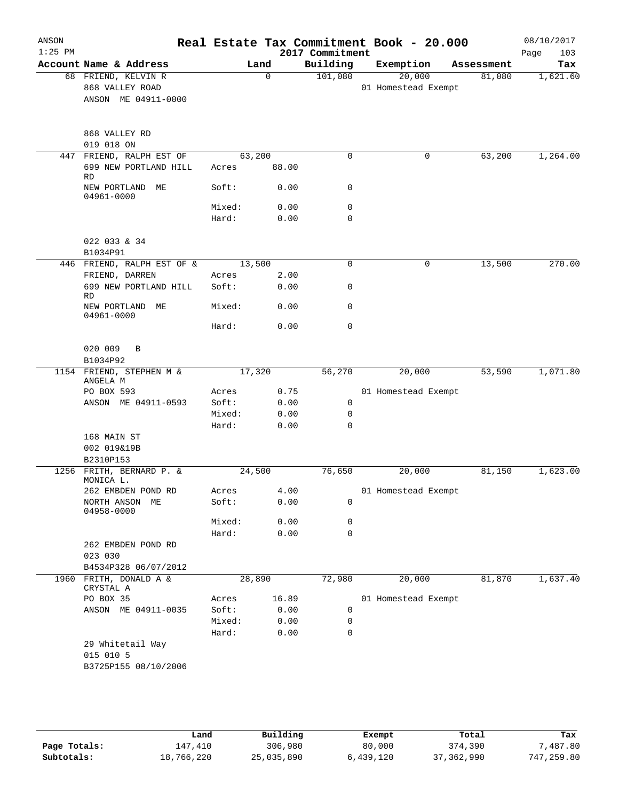| $1:25$ PM |                                                |                 |              | 2017 Commitment | Real Estate Tax Commitment Book - 20.000 |            | 08/10/2017<br>103<br>Page |
|-----------|------------------------------------------------|-----------------|--------------|-----------------|------------------------------------------|------------|---------------------------|
|           | Account Name & Address                         |                 | Land         | Building        | Exemption                                | Assessment | Tax                       |
|           | 68 FRIEND, KELVIN R<br>868 VALLEY ROAD         |                 | $\mathbf 0$  | 101,080         | 20,000<br>01 Homestead Exempt            | 81,080     | 1,621.60                  |
|           | ANSON ME 04911-0000                            |                 |              |                 |                                          |            |                           |
|           | 868 VALLEY RD<br>019 018 ON                    |                 |              |                 |                                          |            |                           |
|           | 447 FRIEND, RALPH EST OF                       |                 | 63,200       | $\mathbf 0$     | 0                                        | 63,200     | 1,264.00                  |
|           | 699 NEW PORTLAND HILL<br>RD.                   | Acres           | 88.00        |                 |                                          |            |                           |
|           | NEW PORTLAND ME<br>04961-0000                  | Soft:           | 0.00         | 0               |                                          |            |                           |
|           |                                                | Mixed:<br>Hard: | 0.00<br>0.00 | 0<br>0          |                                          |            |                           |
|           | 022 033 & 34                                   |                 |              |                 |                                          |            |                           |
|           | B1034P91                                       |                 |              |                 |                                          |            |                           |
|           | 446 FRIEND, RALPH EST OF &                     |                 | 13,500       | $\mathbf 0$     | 0                                        | 13,500     | 270.00                    |
|           | FRIEND, DARREN<br>699 NEW PORTLAND HILL        | Acres<br>Soft:  | 2.00<br>0.00 | 0               |                                          |            |                           |
|           | <b>RD</b><br>NEW PORTLAND ME                   | Mixed:          | 0.00         | $\mathbf 0$     |                                          |            |                           |
|           | 04961-0000                                     | Hard:           | 0.00         | $\mathbf 0$     |                                          |            |                           |
|           | 020 009<br>B                                   |                 |              |                 |                                          |            |                           |
|           | B1034P92                                       |                 |              |                 |                                          |            |                           |
|           | 1154 FRIEND, STEPHEN M &<br>ANGELA M           |                 | 17,320       | 56,270          | 20,000                                   | 53,590     | 1,071.80                  |
|           | PO BOX 593                                     | Acres           | 0.75         |                 | 01 Homestead Exempt                      |            |                           |
|           | ANSON ME 04911-0593                            | Soft:           | 0.00         | $\mathbf 0$     |                                          |            |                           |
|           |                                                | Mixed:          | 0.00         | 0               |                                          |            |                           |
|           | 168 MAIN ST                                    | Hard:           | 0.00         | $\mathbf 0$     |                                          |            |                           |
|           | 002 019&19B                                    |                 |              |                 |                                          |            |                           |
|           | B2310P153                                      |                 |              |                 |                                          |            |                           |
|           | 1256 FRITH, BERNARD P. &<br>MONICA L.          |                 | 24,500       | 76,650          | 20,000                                   | 81,150     | 1,623.00                  |
|           | 262 EMBDEN POND RD                             |                 | Acres 4.00   |                 | 01 Homestead Exempt                      |            |                           |
|           | NORTH ANSON ME<br>04958-0000                   | Soft:           | 0.00         | 0               |                                          |            |                           |
|           |                                                | Mixed:          | 0.00         | 0               |                                          |            |                           |
|           | 262 EMBDEN POND RD                             | Hard:           | 0.00         | $\mathbf 0$     |                                          |            |                           |
|           | 023 030                                        |                 |              |                 |                                          |            |                           |
|           | B4534P328 06/07/2012<br>1960 FRITH, DONALD A & |                 | 28,890       | 72,980          | 20,000                                   | 81,870     | 1,637.40                  |
|           | CRYSTAL A<br>PO BOX 35                         | Acres           | 16.89        |                 | 01 Homestead Exempt                      |            |                           |
|           | ANSON ME 04911-0035                            | Soft:           | 0.00         | 0               |                                          |            |                           |
|           |                                                | Mixed:          | 0.00         | 0               |                                          |            |                           |
|           |                                                | Hard:           | 0.00         | 0               |                                          |            |                           |
|           | 29 Whitetail Way<br>015 010 5                  |                 |              |                 |                                          |            |                           |
|           | B3725P155 08/10/2006                           |                 |              |                 |                                          |            |                           |

**Page Totals:** 147,410 306,980 80,000 374,390 7,487.80<br>**25,035,890** 50,000 37,362,990 747,259.80 80,000 37,362,990 747,259.80 **Subtotals:** 18,766,220 25,035,890 6,439,120 37,362,990 747,259.80 **Land Building Exempt Total Tax**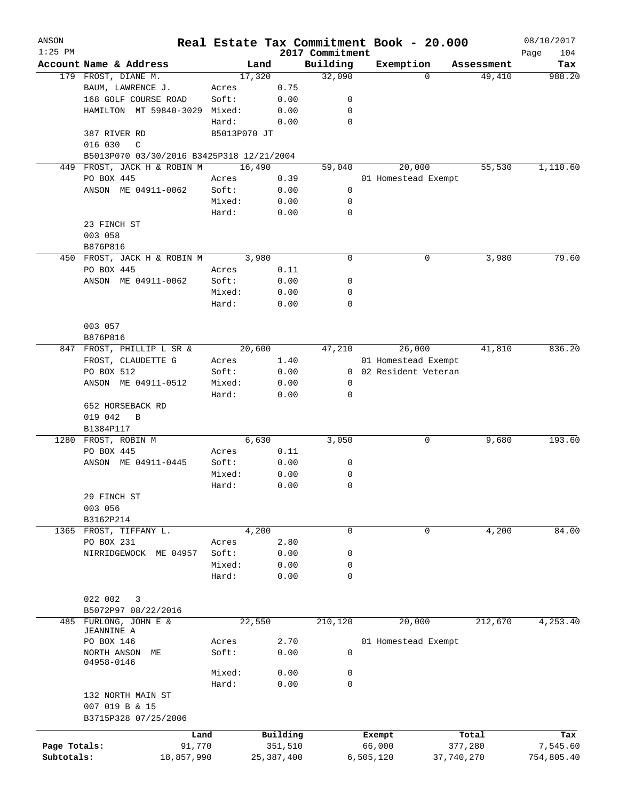| ANSON<br>$1:25$ PM |                                           |              |              | 2017 Commitment | Real Estate Tax Commitment Book - 20.000 |            | 08/10/2017<br>104 |
|--------------------|-------------------------------------------|--------------|--------------|-----------------|------------------------------------------|------------|-------------------|
|                    | Account Name & Address                    | Land         |              | Building        | Exemption                                | Assessment | Page<br>Tax       |
|                    | 179 FROST, DIANE M.                       | 17,320       |              | 32,090          | 0                                        | 49,410     | 988.20            |
|                    | BAUM, LAWRENCE J.                         | Acres        | 0.75         |                 |                                          |            |                   |
|                    | 168 GOLF COURSE ROAD                      | Soft:        | 0.00         | 0               |                                          |            |                   |
|                    | HAMILTON MT 59840-3029 Mixed:             |              | 0.00         | 0               |                                          |            |                   |
|                    |                                           | Hard:        | 0.00         | 0               |                                          |            |                   |
|                    | 387 RIVER RD                              | B5013P070 JT |              |                 |                                          |            |                   |
|                    | 016 030<br>$\mathcal{C}$                  |              |              |                 |                                          |            |                   |
|                    | B5013P070 03/30/2016 B3425P318 12/21/2004 |              |              |                 |                                          |            |                   |
| 449                | FROST, JACK H & ROBIN M                   | 16,490       |              | 59,040          | 20,000                                   | 55,530     | 1,110.60          |
|                    | PO BOX 445                                | Acres        | 0.39         |                 | 01 Homestead Exempt                      |            |                   |
|                    | ANSON ME 04911-0062                       | Soft:        | 0.00         | 0               |                                          |            |                   |
|                    |                                           | Mixed:       | 0.00         | 0               |                                          |            |                   |
|                    |                                           | Hard:        | 0.00         | 0               |                                          |            |                   |
|                    | 23 FINCH ST                               |              |              |                 |                                          |            |                   |
|                    | 003 058                                   |              |              |                 |                                          |            |                   |
|                    | B876P816                                  |              |              |                 |                                          |            |                   |
|                    | 450 FROST, JACK H & ROBIN M               | 3,980        |              | $\mathbf 0$     | 0                                        | 3,980      | 79.60             |
|                    | PO BOX 445                                | Acres        | 0.11         |                 |                                          |            |                   |
|                    | ANSON ME 04911-0062                       | Soft:        | 0.00         | 0               |                                          |            |                   |
|                    |                                           | Mixed:       | 0.00         | 0               |                                          |            |                   |
|                    |                                           | Hard:        | 0.00         | 0               |                                          |            |                   |
|                    | 003 057                                   |              |              |                 |                                          |            |                   |
|                    | B876P816                                  |              |              |                 |                                          |            |                   |
| 847                | FROST, PHILLIP L SR &                     | 20,600       |              | 47,210          | 26,000                                   | 41,810     | 836.20            |
|                    | FROST, CLAUDETTE G                        | Acres        | 1.40         |                 | 01 Homestead Exempt                      |            |                   |
|                    | PO BOX 512                                | Soft:        | 0.00         |                 | 0 02 Resident Veteran                    |            |                   |
|                    | ANSON ME 04911-0512                       | Mixed:       | 0.00         | 0               |                                          |            |                   |
|                    |                                           | Hard:        | 0.00         | 0               |                                          |            |                   |
|                    | 652 HORSEBACK RD                          |              |              |                 |                                          |            |                   |
|                    | 019 042<br>B                              |              |              |                 |                                          |            |                   |
|                    | B1384P117                                 |              |              |                 |                                          |            |                   |
| 1280               | FROST, ROBIN M                            | 6,630        |              | 3,050           | 0                                        | 9,680      | 193.60            |
|                    | PO BOX 445                                | Acres        | 0.11         |                 |                                          |            |                   |
|                    | ANSON ME 04911-0445                       | Soft:        | 0.00         | 0               |                                          |            |                   |
|                    |                                           | Mixed:       | 0.00         | 0               |                                          |            |                   |
|                    |                                           | Hard:        | 0.00         | $\mathbf 0$     |                                          |            |                   |
|                    | 29 FINCH ST                               |              |              |                 |                                          |            |                   |
|                    | 003 056                                   |              |              |                 |                                          |            |                   |
|                    | B3162P214                                 |              |              |                 |                                          |            |                   |
|                    | 1365 FROST, TIFFANY L.                    | 4,200        |              | 0               | 0                                        | 4,200      | 84.00             |
|                    | PO BOX 231                                | Acres        | 2.80         |                 |                                          |            |                   |
|                    | NIRRIDGEWOCK ME 04957                     | Soft:        | 0.00         | 0               |                                          |            |                   |
|                    |                                           | Mixed:       | 0.00         | 0               |                                          |            |                   |
|                    |                                           | Hard:        | 0.00         | 0               |                                          |            |                   |
|                    | 022 002<br>3                              |              |              |                 |                                          |            |                   |
|                    | B5072P97 08/22/2016                       |              |              |                 |                                          |            |                   |
|                    | 485 FURLONG, JOHN E &                     | 22,550       |              | 210,120         | 20,000                                   | 212,670    | 4,253.40          |
|                    | JEANNINE A                                |              |              |                 |                                          |            |                   |
|                    | PO BOX 146                                | Acres        | 2.70         |                 | 01 Homestead Exempt                      |            |                   |
|                    | NORTH ANSON<br>МE                         | Soft:        | 0.00         | 0               |                                          |            |                   |
|                    | 04958-0146                                | Mixed:       | 0.00         | 0               |                                          |            |                   |
|                    |                                           | Hard:        | 0.00         | $\mathbf 0$     |                                          |            |                   |
|                    | 132 NORTH MAIN ST                         |              |              |                 |                                          |            |                   |
|                    | 007 019 B & 15                            |              |              |                 |                                          |            |                   |
|                    | B3715P328 07/25/2006                      |              |              |                 |                                          |            |                   |
|                    | Land                                      |              | Building     |                 | Exempt                                   | Total      | Tax               |
| Page Totals:       | 91,770                                    |              | 351,510      |                 | 66,000                                   | 377,280    | 7,545.60          |
| Subtotals:         | 18,857,990                                |              | 25, 387, 400 |                 | 6,505,120                                | 37,740,270 | 754,805.40        |
|                    |                                           |              |              |                 |                                          |            |                   |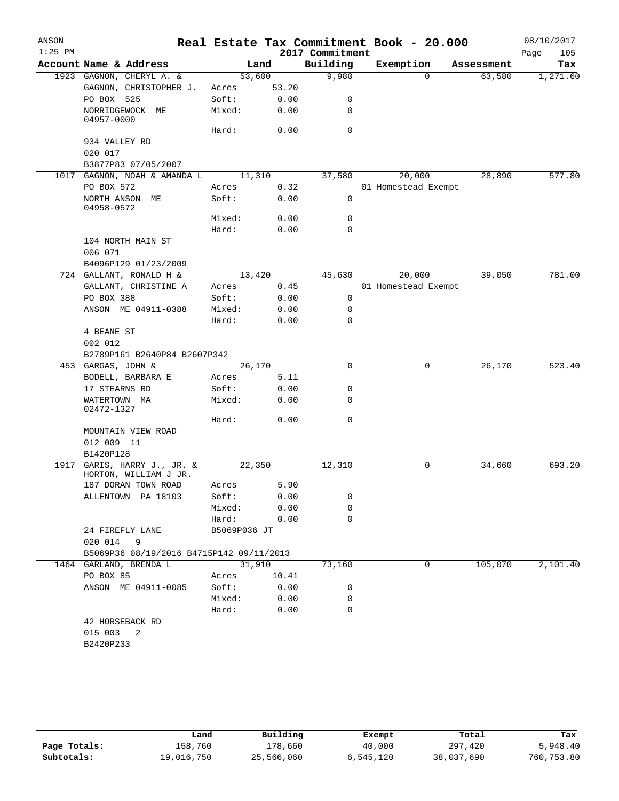| ANSON     |                                                 |              |        |                 | Real Estate Tax Commitment Book - 20.000 |            | 08/10/2017  |
|-----------|-------------------------------------------------|--------------|--------|-----------------|------------------------------------------|------------|-------------|
| $1:25$ PM |                                                 |              |        | 2017 Commitment |                                          |            | Page<br>105 |
|           | Account Name & Address                          |              | Land   | Building        | Exemption                                | Assessment | Tax         |
|           | 1923 GAGNON, CHERYL A. &                        | 53,600       |        | 9,980           | $\Omega$                                 | 63,580     | 1,271.60    |
|           | GAGNON, CHRISTOPHER J.                          | Acres        | 53.20  |                 |                                          |            |             |
|           | PO BOX 525                                      | Soft:        | 0.00   | 0               |                                          |            |             |
|           | NORRIDGEWOCK ME<br>04957-0000                   | Mixed:       | 0.00   | 0               |                                          |            |             |
|           |                                                 | Hard:        | 0.00   | $\mathbf 0$     |                                          |            |             |
|           | 934 VALLEY RD                                   |              |        |                 |                                          |            |             |
|           | 020 017                                         |              |        |                 |                                          |            |             |
|           | B3877P83 07/05/2007                             |              |        |                 |                                          |            |             |
|           | 1017 GAGNON, NOAH & AMANDA L                    |              | 11,310 | 37,580          | 20,000                                   | 28,890     | 577.80      |
|           | PO BOX 572                                      | Acres        | 0.32   |                 | 01 Homestead Exempt                      |            |             |
|           | NORTH ANSON ME                                  | Soft:        | 0.00   | $\mathbf 0$     |                                          |            |             |
|           | 04958-0572                                      | Mixed:       | 0.00   | 0               |                                          |            |             |
|           |                                                 | Hard:        | 0.00   | 0               |                                          |            |             |
|           | 104 NORTH MAIN ST                               |              |        |                 |                                          |            |             |
|           | 006 071                                         |              |        |                 |                                          |            |             |
|           | B4096P129 01/23/2009                            |              |        |                 |                                          |            |             |
|           | 724 GALLANT, RONALD H &                         | 13,420       |        | 45,630          | 20,000                                   | 39,050     | 781.00      |
|           | GALLANT, CHRISTINE A                            |              | 0.45   |                 | 01 Homestead Exempt                      |            |             |
|           |                                                 | Acres        |        |                 |                                          |            |             |
|           | PO BOX 388                                      | Soft:        | 0.00   | 0               |                                          |            |             |
|           | ANSON ME 04911-0388                             | Mixed:       | 0.00   | 0               |                                          |            |             |
|           |                                                 | Hard:        | 0.00   | 0               |                                          |            |             |
|           | 4 BEANE ST                                      |              |        |                 |                                          |            |             |
|           | 002 012                                         |              |        |                 |                                          |            |             |
|           | B2789P161 B2640P84 B2607P342                    |              |        | $\mathbf 0$     |                                          |            | 523.40      |
|           | 453 GARGAS, JOHN &                              | 26,170       |        |                 | 0                                        | 26,170     |             |
|           | BODELL, BARBARA E                               | Acres        | 5.11   |                 |                                          |            |             |
|           | 17 STEARNS RD                                   | Soft:        | 0.00   | 0               |                                          |            |             |
|           | WATERTOWN MA<br>02472-1327                      | Mixed:       | 0.00   | 0               |                                          |            |             |
|           |                                                 | Hard:        | 0.00   | 0               |                                          |            |             |
|           | MOUNTAIN VIEW ROAD                              |              |        |                 |                                          |            |             |
|           | 012 009 11                                      |              |        |                 |                                          |            |             |
|           | B1420P128                                       |              |        |                 |                                          |            |             |
| 1917      | GARIS, HARRY J., JR. &<br>HORTON, WILLIAM J JR. | 22,350       |        | 12,310          | 0                                        | 34,660     | 693.20      |
|           | 187 DORAN TOWN ROAD                             | Acres        | 5.90   |                 |                                          |            |             |
|           | ALLENTOWN PA 18103                              | Soft:        | 0.00   | 0               |                                          |            |             |
|           |                                                 | Mixed:       | 0.00   | 0               |                                          |            |             |
|           |                                                 | Hard:        | 0.00   | 0               |                                          |            |             |
|           | 24 FIREFLY LANE                                 | B5069P036 JT |        |                 |                                          |            |             |
|           | 020 014<br>9                                    |              |        |                 |                                          |            |             |
|           | B5069P36 08/19/2016 B4715P142 09/11/2013        |              |        |                 |                                          |            |             |
|           | 1464 GARLAND, BRENDA L                          | 31,910       |        | 73,160          | 0                                        | 105,070    | 2,101.40    |
|           | PO BOX 85                                       | Acres        | 10.41  |                 |                                          |            |             |
|           | ANSON ME 04911-0085                             | Soft:        | 0.00   | 0               |                                          |            |             |
|           |                                                 | Mixed:       | 0.00   | 0               |                                          |            |             |
|           |                                                 | Hard:        | 0.00   | 0               |                                          |            |             |
|           | 42 HORSEBACK RD                                 |              |        |                 |                                          |            |             |
|           | 015 003<br>$\overline{\phantom{0}}^2$           |              |        |                 |                                          |            |             |
|           | B2420P233                                       |              |        |                 |                                          |            |             |
|           |                                                 |              |        |                 |                                          |            |             |

|              | Land       | Building   | Exempt    | Total      | Tax        |
|--------------|------------|------------|-----------|------------|------------|
| Page Totals: | 158,760    | 178,660    | 40,000    | 297,420    | 5,948.40   |
| Subtotals:   | 19,016,750 | 25,566,060 | 6,545,120 | 38,037,690 | 760,753.80 |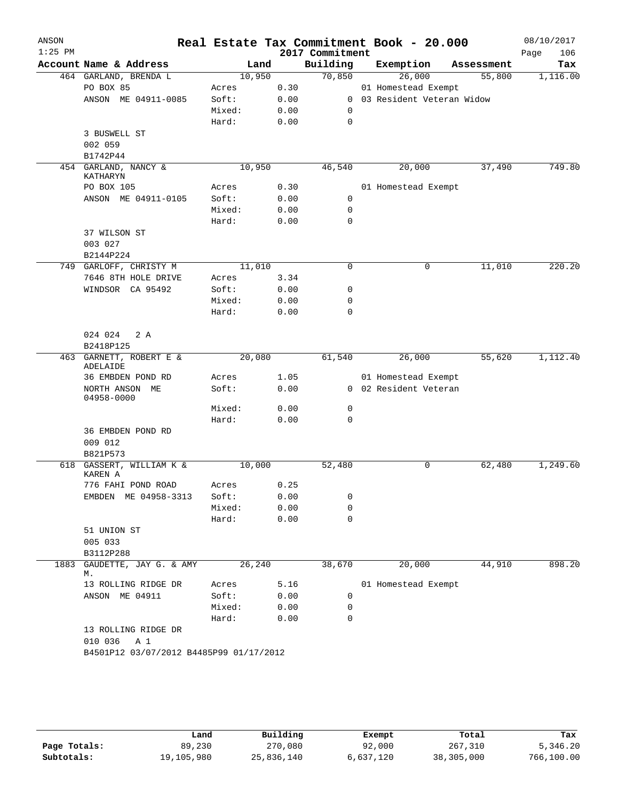| ANSON<br>$1:25$ PM |                                         |                |      |                             | Real Estate Tax Commitment Book - 20.000 |                      | 08/10/2017         |
|--------------------|-----------------------------------------|----------------|------|-----------------------------|------------------------------------------|----------------------|--------------------|
|                    | Account Name & Address                  |                |      | 2017 Commitment<br>Building |                                          |                      | Page<br>106<br>Tax |
|                    |                                         | Land<br>10,950 |      | 70,850                      | Exemption<br>26,000                      | Assessment<br>55,800 |                    |
|                    | 464 GARLAND, BRENDA L<br>PO BOX 85      | Acres          | 0.30 |                             | 01 Homestead Exempt                      |                      | 1,116.00           |
|                    | ANSON ME 04911-0085                     | Soft:          | 0.00 |                             | 0 03 Resident Veteran Widow              |                      |                    |
|                    |                                         | Mixed:         | 0.00 | $\mathbf 0$                 |                                          |                      |                    |
|                    |                                         | Hard:          | 0.00 | $\mathbf 0$                 |                                          |                      |                    |
|                    | 3 BUSWELL ST                            |                |      |                             |                                          |                      |                    |
|                    | 002 059                                 |                |      |                             |                                          |                      |                    |
|                    | B1742P44                                |                |      |                             |                                          |                      |                    |
|                    | 454 GARLAND, NANCY &                    | 10,950         |      | 46,540                      | 20,000                                   | 37,490               | 749.80             |
|                    | <b>KATHARYN</b>                         |                |      |                             |                                          |                      |                    |
|                    | PO BOX 105                              | Acres          | 0.30 |                             | 01 Homestead Exempt                      |                      |                    |
|                    | ANSON ME 04911-0105                     | Soft:          | 0.00 | 0                           |                                          |                      |                    |
|                    |                                         | Mixed:         | 0.00 | $\mathbf 0$                 |                                          |                      |                    |
|                    |                                         | Hard:          | 0.00 | $\Omega$                    |                                          |                      |                    |
|                    | 37 WILSON ST                            |                |      |                             |                                          |                      |                    |
|                    | 003 027                                 |                |      |                             |                                          |                      |                    |
|                    | B2144P224                               |                |      |                             |                                          |                      |                    |
|                    | 749 GARLOFF, CHRISTY M                  | 11,010         |      | 0                           | 0                                        | 11,010               | 220.20             |
|                    | 7646 8TH HOLE DRIVE                     | Acres          | 3.34 |                             |                                          |                      |                    |
|                    | WINDSOR CA 95492                        | Soft:          | 0.00 | 0                           |                                          |                      |                    |
|                    |                                         | Mixed:         | 0.00 | $\mathbf 0$                 |                                          |                      |                    |
|                    |                                         | Hard:          | 0.00 | $\mathbf 0$                 |                                          |                      |                    |
|                    | 2A<br>024 024<br>B2418P125              |                |      |                             |                                          |                      |                    |
|                    | 463 GARNETT, ROBERT E &                 | 20,080         |      | 61,540                      | 26,000                                   | 55,620               | 1,112.40           |
|                    | ADELAIDE                                |                |      |                             |                                          |                      |                    |
|                    | 36 EMBDEN POND RD                       | Acres          | 1.05 |                             | 01 Homestead Exempt                      |                      |                    |
|                    | NORTH ANSON ME<br>04958-0000            | Soft:          | 0.00 |                             | 0 02 Resident Veteran                    |                      |                    |
|                    |                                         | Mixed:         | 0.00 | 0                           |                                          |                      |                    |
|                    |                                         | Hard:          | 0.00 | $\mathbf 0$                 |                                          |                      |                    |
|                    | 36 EMBDEN POND RD                       |                |      |                             |                                          |                      |                    |
|                    | 009 012                                 |                |      |                             |                                          |                      |                    |
|                    | B821P573                                |                |      |                             |                                          |                      |                    |
|                    | 618 GASSERT, WILLIAM K &<br>KAREN A     | 10,000         |      | 52,480                      | 0                                        | 62,480               | 1,249.60           |
|                    | 776 FAHI POND ROAD                      | Acres          | 0.25 |                             |                                          |                      |                    |
|                    | EMBDEN ME 04958-3313                    | Soft:          | 0.00 | 0                           |                                          |                      |                    |
|                    |                                         | Mixed:         | 0.00 | 0                           |                                          |                      |                    |
|                    |                                         | Hard:          | 0.00 | $\mathbf 0$                 |                                          |                      |                    |
|                    | 51 UNION ST                             |                |      |                             |                                          |                      |                    |
|                    | 005 033                                 |                |      |                             |                                          |                      |                    |
|                    | B3112P288                               |                |      |                             |                                          |                      |                    |
| 1883               | GAUDETTE, JAY G. & AMY                  | 26,240         |      | 38,670                      | 20,000                                   | 44,910               | 898.20             |
|                    | М.                                      |                |      |                             |                                          |                      |                    |
|                    | 13 ROLLING RIDGE DR                     | Acres          | 5.16 |                             | 01 Homestead Exempt                      |                      |                    |
|                    | ANSON ME 04911                          | Soft:          | 0.00 | $\mathbf 0$                 |                                          |                      |                    |
|                    |                                         | Mixed:         | 0.00 | 0                           |                                          |                      |                    |
|                    |                                         | Hard:          | 0.00 | $\mathbf 0$                 |                                          |                      |                    |
|                    | 13 ROLLING RIDGE DR                     |                |      |                             |                                          |                      |                    |
|                    | 010 036<br>A 1                          |                |      |                             |                                          |                      |                    |
|                    | B4501P12 03/07/2012 B4485P99 01/17/2012 |                |      |                             |                                          |                      |                    |
|                    |                                         |                |      |                             |                                          |                      |                    |

|              | Land       | Building   | Exempt    | Total      | Tax        |
|--------------|------------|------------|-----------|------------|------------|
| Page Totals: | 89,230     | 270,080    | 92,000    | 267,310    | 5,346.20   |
| Subtotals:   | 19,105,980 | 25,836,140 | 6,637,120 | 38,305,000 | 766,100.00 |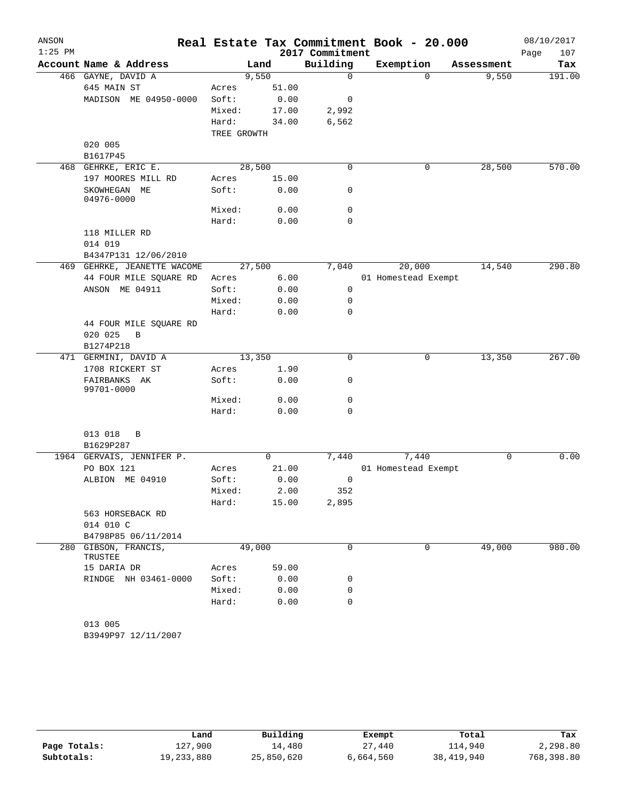| ANSON<br>$1:25$ PM |                                 |             |        | 2017 Commitment | Real Estate Tax Commitment Book - 20.000 |             | 08/10/2017<br>107<br>Page |
|--------------------|---------------------------------|-------------|--------|-----------------|------------------------------------------|-------------|---------------------------|
|                    | Account Name & Address          |             | Land   | Building        | Exemption                                | Assessment  | Tax                       |
|                    | 466 GAYNE, DAVID A              |             | 9,550  | $\mathbf 0$     | $\Omega$                                 | 9,550       | 191.00                    |
|                    | 645 MAIN ST                     | Acres       | 51.00  |                 |                                          |             |                           |
|                    | MADISON ME 04950-0000           | Soft:       | 0.00   | 0               |                                          |             |                           |
|                    |                                 | Mixed:      | 17.00  | 2,992           |                                          |             |                           |
|                    |                                 | Hard:       | 34.00  | 6,562           |                                          |             |                           |
|                    |                                 | TREE GROWTH |        |                 |                                          |             |                           |
|                    | 020 005                         |             |        |                 |                                          |             |                           |
|                    | B1617P45                        |             |        |                 |                                          |             |                           |
| 468                | GEHRKE, ERIC E.                 |             | 28,500 | $\mathbf 0$     | $\mathbf 0$                              | 28,500      | 570.00                    |
|                    | 197 MOORES MILL RD              | Acres       | 15.00  |                 |                                          |             |                           |
|                    | SKOWHEGAN ME<br>04976-0000      | Soft:       | 0.00   | 0               |                                          |             |                           |
|                    |                                 | Mixed:      | 0.00   | $\mathbf 0$     |                                          |             |                           |
|                    |                                 | Hard:       | 0.00   | $\mathbf 0$     |                                          |             |                           |
|                    | 118 MILLER RD                   |             |        |                 |                                          |             |                           |
|                    | 014 019                         |             |        |                 |                                          |             |                           |
|                    | B4347P131 12/06/2010            |             |        |                 |                                          |             |                           |
|                    | 469 GEHRKE, JEANETTE WACOME     |             | 27,500 | 7,040           | 20,000                                   | 14,540      | 290.80                    |
|                    | 44 FOUR MILE SQUARE RD          | Acres       | 6.00   |                 | 01 Homestead Exempt                      |             |                           |
|                    | ANSON ME 04911                  | Soft:       | 0.00   | 0               |                                          |             |                           |
|                    |                                 | Mixed:      | 0.00   | 0               |                                          |             |                           |
|                    |                                 | Hard:       | 0.00   | 0               |                                          |             |                           |
|                    | 44 FOUR MILE SQUARE RD          |             |        |                 |                                          |             |                           |
|                    | 020 025<br>$\mathbf B$          |             |        |                 |                                          |             |                           |
|                    | B1274P218                       |             |        |                 |                                          |             |                           |
|                    | 471 GERMINI, DAVID A            |             | 13,350 | 0               | 0                                        | 13,350      | 267.00                    |
|                    | 1708 RICKERT ST                 | Acres       | 1.90   |                 |                                          |             |                           |
|                    | FAIRBANKS AK<br>99701-0000      | Soft:       | 0.00   | 0               |                                          |             |                           |
|                    |                                 | Mixed:      | 0.00   | 0               |                                          |             |                           |
|                    |                                 | Hard:       | 0.00   | $\mathbf 0$     |                                          |             |                           |
|                    |                                 |             |        |                 |                                          |             |                           |
|                    | 013 018<br>В                    |             |        |                 |                                          |             |                           |
|                    | B1629P287                       |             |        |                 |                                          |             |                           |
|                    | 1964 GERVAIS, JENNIFER P.       |             | 0      | 7,440           | 7,440                                    | $\mathbf 0$ | 0.00                      |
|                    | PO BOX 121                      | Acres       | 21.00  |                 | 01 Homestead Exempt                      |             |                           |
|                    | ALBION ME 04910                 | Soft:       | 0.00   | 0               |                                          |             |                           |
|                    |                                 | Mixed:      | 2.00   | 352             |                                          |             |                           |
|                    |                                 | Hard:       | 15.00  | 2,895           |                                          |             |                           |
|                    | 563 HORSEBACK RD                |             |        |                 |                                          |             |                           |
|                    | 014 010 C                       |             |        |                 |                                          |             |                           |
|                    | B4798P85 06/11/2014             |             |        |                 |                                          |             |                           |
|                    | 280 GIBSON, FRANCIS,<br>TRUSTEE |             | 49,000 | 0               | 0                                        | 49,000      | 980.00                    |
|                    | 15 DARIA DR                     | Acres       | 59.00  |                 |                                          |             |                           |
|                    | RINDGE NH 03461-0000            | Soft:       | 0.00   | 0               |                                          |             |                           |
|                    |                                 | Mixed:      | 0.00   | 0               |                                          |             |                           |
|                    |                                 | Hard:       | 0.00   | 0               |                                          |             |                           |
|                    |                                 |             |        |                 |                                          |             |                           |
|                    | 013 005                         |             |        |                 |                                          |             |                           |
|                    | B3949P97 12/11/2007             |             |        |                 |                                          |             |                           |

|              | Land       | Building   | Exempt    | Total        | Tax        |
|--------------|------------|------------|-----------|--------------|------------|
| Page Totals: | 127,900    | 14,480     | 27,440    | 114,940      | 2,298.80   |
| Subtotals:   | 19,233,880 | 25,850,620 | 6,664,560 | 38, 419, 940 | 768,398.80 |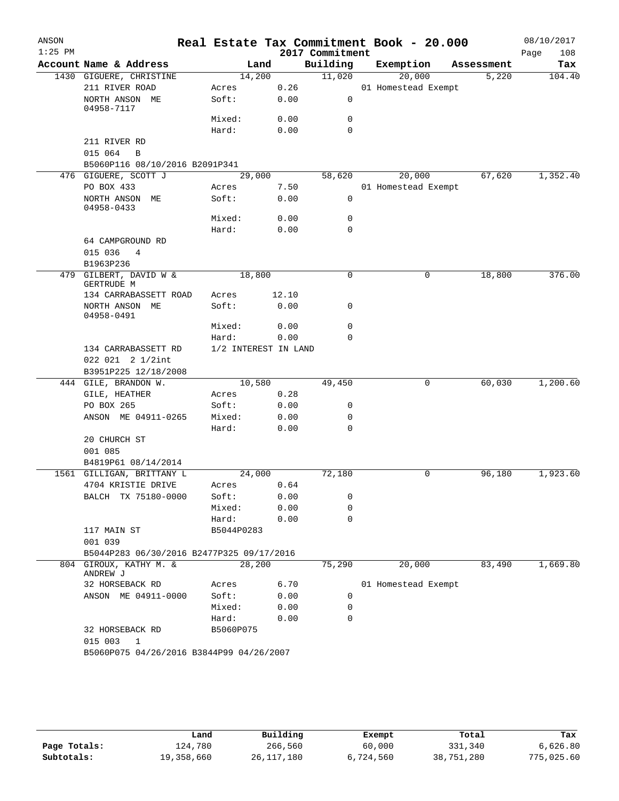| ANSON     |                                               |                      |        |       |                 | Real Estate Tax Commitment Book - 20.000 |            | 08/10/2017 |     |
|-----------|-----------------------------------------------|----------------------|--------|-------|-----------------|------------------------------------------|------------|------------|-----|
| $1:25$ PM |                                               |                      |        |       | 2017 Commitment |                                          |            | Page       | 108 |
|           | Account Name & Address                        |                      | Land   |       | Building        | Exemption                                | Assessment |            | Tax |
|           | 1430 GIGUERE, CHRISTINE                       | 14,200               |        |       | 11,020          | 20,000                                   | 5,220      | 104.40     |     |
|           | 211 RIVER ROAD                                | Acres                |        | 0.26  |                 | 01 Homestead Exempt                      |            |            |     |
|           | NORTH ANSON ME<br>04958-7117                  | Soft:                |        | 0.00  | 0               |                                          |            |            |     |
|           |                                               | Mixed:               |        | 0.00  | 0               |                                          |            |            |     |
|           |                                               | Hard:                |        | 0.00  | $\mathbf 0$     |                                          |            |            |     |
|           | 211 RIVER RD                                  |                      |        |       |                 |                                          |            |            |     |
|           | 015 064<br>$\mathbf B$                        |                      |        |       |                 |                                          |            |            |     |
|           | B5060P116 08/10/2016 B2091P341                |                      |        |       |                 |                                          |            |            |     |
|           | 476 GIGUERE, SCOTT J                          |                      | 29,000 |       | 58,620          | 20,000                                   | 67,620     | 1,352.40   |     |
|           | PO BOX 433                                    | Acres                |        | 7.50  |                 | 01 Homestead Exempt                      |            |            |     |
|           | NORTH ANSON ME<br>04958-0433                  | Soft:                |        | 0.00  | $\mathbf 0$     |                                          |            |            |     |
|           |                                               | Mixed:               |        | 0.00  | 0               |                                          |            |            |     |
|           |                                               | Hard:                |        | 0.00  | $\mathbf 0$     |                                          |            |            |     |
|           | 64 CAMPGROUND RD<br>015 036<br>4<br>B1963P236 |                      |        |       |                 |                                          |            |            |     |
| 479       | GILBERT, DAVID W &                            | 18,800               |        |       | $\mathbf 0$     | 0                                        | 18,800     | 376.00     |     |
|           | GERTRUDE M<br>134 CARRABASSETT ROAD           | Acres                |        | 12.10 |                 |                                          |            |            |     |
|           | NORTH ANSON ME<br>04958-0491                  | Soft:                |        | 0.00  | 0               |                                          |            |            |     |
|           |                                               | Mixed:               |        | 0.00  | $\mathbf 0$     |                                          |            |            |     |
|           |                                               | Hard:                |        | 0.00  | $\mathbf 0$     |                                          |            |            |     |
|           | 134 CARRABASSETT RD<br>022 021 2 1/2int       | 1/2 INTEREST IN LAND |        |       |                 |                                          |            |            |     |
|           | B3951P225 12/18/2008                          |                      | 10,580 |       |                 | 0                                        | 60,030     | 1,200.60   |     |
|           | 444 GILE, BRANDON W.<br>GILE, HEATHER         | Acres                |        | 0.28  | 49,450          |                                          |            |            |     |
|           | PO BOX 265                                    | Soft:                |        | 0.00  | 0               |                                          |            |            |     |
|           | ANSON ME 04911-0265                           | Mixed:               |        | 0.00  | 0               |                                          |            |            |     |
|           |                                               | Hard:                |        | 0.00  | 0               |                                          |            |            |     |
|           | 20 CHURCH ST                                  |                      |        |       |                 |                                          |            |            |     |
|           | 001 085                                       |                      |        |       |                 |                                          |            |            |     |
|           | B4819P61 08/14/2014                           |                      |        |       |                 |                                          |            |            |     |
|           | 1561 GILLIGAN, BRITTANY L                     | 24,000               |        |       | 72,180          | 0                                        | 96,180     | 1,923.60   |     |
|           | 4704 KRISTIE DRIVE                            | Acres                |        | 0.64  |                 |                                          |            |            |     |
|           | BALCH TX 75180-0000                           | Soft:                |        | 0.00  | 0               |                                          |            |            |     |
|           |                                               | Mixed:               |        | 0.00  | 0               |                                          |            |            |     |
|           |                                               | Hard:                |        | 0.00  | $\mathbf 0$     |                                          |            |            |     |
|           | 117 MAIN ST<br>001 039                        | B5044P0283           |        |       |                 |                                          |            |            |     |
|           | B5044P283 06/30/2016 B2477P325 09/17/2016     |                      |        |       |                 |                                          |            |            |     |
|           | 804 GIROUX, KATHY M. &<br>ANDREW J            | 28,200               |        |       | 75,290          | 20,000                                   | 83,490     | 1,669.80   |     |
|           | 32 HORSEBACK RD                               | Acres                |        | 6.70  |                 | 01 Homestead Exempt                      |            |            |     |
|           | ANSON ME 04911-0000                           | Soft:                |        | 0.00  | 0               |                                          |            |            |     |
|           |                                               | Mixed:               |        | 0.00  | 0               |                                          |            |            |     |
|           |                                               | Hard:                |        | 0.00  | 0               |                                          |            |            |     |
|           | 32 HORSEBACK RD<br>015 003<br>1               | B5060P075            |        |       |                 |                                          |            |            |     |
|           | B5060P075 04/26/2016 B3844P99 04/26/2007      |                      |        |       |                 |                                          |            |            |     |

|              | Land       | Building     | Exempt    | Total      | Tax        |
|--------------|------------|--------------|-----------|------------|------------|
| Page Totals: | 124,780    | 266,560      | 60,000    | 331,340    | 6,626.80   |
| Subtotals:   | 19,358,660 | 26, 117, 180 | 6,724,560 | 38,751,280 | 775,025.60 |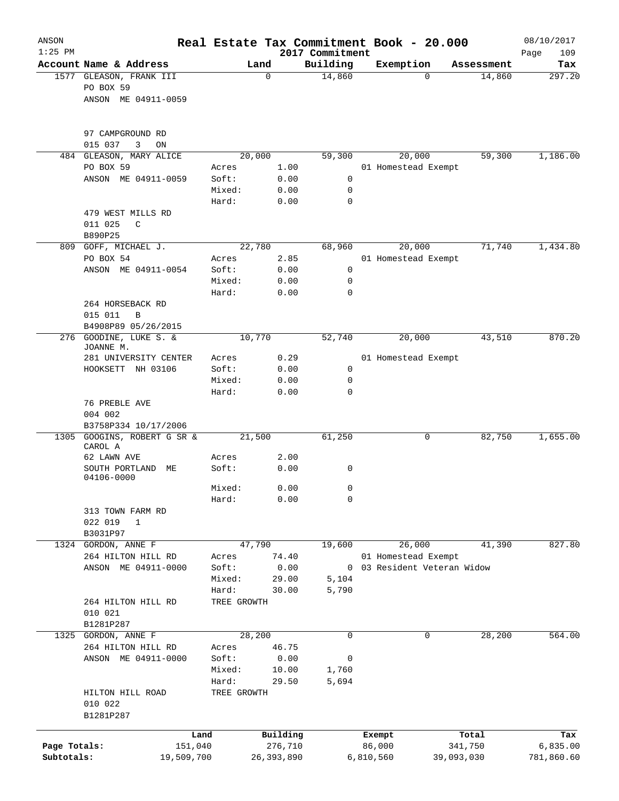| ANSON<br>$1:25$ PM         |                                                             |                 |                         | 2017 Commitment | Real Estate Tax Commitment Book - 20.000 |            | 08/10/2017<br>109<br>Page |
|----------------------------|-------------------------------------------------------------|-----------------|-------------------------|-----------------|------------------------------------------|------------|---------------------------|
|                            | Account Name & Address                                      |                 | Land                    | Building        | Exemption                                | Assessment | Tax                       |
|                            | 1577 GLEASON, FRANK III<br>PO BOX 59<br>ANSON ME 04911-0059 |                 | 0                       | 14,860          | $\Omega$                                 | 14,860     | 297.20                    |
|                            | 97 CAMPGROUND RD<br>015 037<br>3<br>ON                      |                 |                         |                 |                                          |            |                           |
|                            | 484 GLEASON, MARY ALICE                                     | 20,000          |                         | 59,300          | 20,000                                   | 59,300     | 1,186.00                  |
|                            | PO BOX 59                                                   | Acres           | 1.00                    |                 | 01 Homestead Exempt                      |            |                           |
|                            | ANSON ME 04911-0059                                         | Soft:           | 0.00                    | 0               |                                          |            |                           |
|                            |                                                             | Mixed:          | 0.00                    | 0               |                                          |            |                           |
|                            |                                                             | Hard:           | 0.00                    | 0               |                                          |            |                           |
|                            | 479 WEST MILLS RD<br>011 025<br>C<br>B890P25                |                 |                         |                 |                                          |            |                           |
|                            | 809 GOFF, MICHAEL J.                                        | 22,780          |                         | 68,960          | 20,000                                   | 71,740     | 1,434.80                  |
|                            | PO BOX 54                                                   | Acres           | 2.85                    |                 | 01 Homestead Exempt                      |            |                           |
|                            | ANSON ME 04911-0054                                         | Soft:           | 0.00                    | $\mathbf 0$     |                                          |            |                           |
|                            |                                                             | Mixed:          | 0.00                    | 0               |                                          |            |                           |
|                            |                                                             | Hard:           | 0.00                    | 0               |                                          |            |                           |
|                            | 264 HORSEBACK RD<br>015 011<br>B<br>B4908P89 05/26/2015     |                 |                         |                 |                                          |            |                           |
| 276                        | GOODINE, LUKE S. &                                          | 10,770          |                         | 52,740          | 20,000                                   | 43,510     | 870.20                    |
|                            | JOANNE M.                                                   |                 |                         |                 |                                          |            |                           |
|                            | 281 UNIVERSITY CENTER                                       | Acres           | 0.29                    |                 | 01 Homestead Exempt                      |            |                           |
|                            | HOOKSETT NH 03106                                           | Soft:           | 0.00                    | $\mathsf{O}$    |                                          |            |                           |
|                            |                                                             | Mixed:          | 0.00                    | 0               |                                          |            |                           |
|                            | 76 PREBLE AVE<br>004 002<br>B3758P334 10/17/2006            | Hard:           | 0.00                    | 0               |                                          |            |                           |
| 1305                       | GOOGINS, ROBERT G SR &                                      | 21,500          |                         | 61,250          | 0                                        | 82,750     | 1,655.00                  |
|                            | CAROL A                                                     |                 |                         |                 |                                          |            |                           |
|                            | 62 LAWN AVE<br>SOUTH PORTLAND<br>МE<br>04106-0000           | Acres<br>Soft:  | 2.00<br>0.00            | 0               |                                          |            |                           |
|                            |                                                             | Mixed:          | 0.00                    | 0               |                                          |            |                           |
|                            |                                                             | Hard:           | 0.00                    | 0               |                                          |            |                           |
|                            | 313 TOWN FARM RD                                            |                 |                         |                 |                                          |            |                           |
|                            | 022 019<br>$\mathbf 1$                                      |                 |                         |                 |                                          |            |                           |
|                            | B3031P97                                                    |                 |                         |                 |                                          |            |                           |
|                            | 1324 GORDON, ANNE F<br>264 HILTON HILL RD                   | 47,790<br>Acres | 74.40                   | 19,600          | 26,000<br>01 Homestead Exempt            | 41,390     | 827.80                    |
|                            | ANSON ME 04911-0000                                         | Soft:           | 0.00                    |                 | 0 03 Resident Veteran Widow              |            |                           |
|                            |                                                             | Mixed:          | 29.00                   | 5,104           |                                          |            |                           |
|                            |                                                             | Hard:           | 30.00                   | 5,790           |                                          |            |                           |
|                            | 264 HILTON HILL RD<br>010 021                               | TREE GROWTH     |                         |                 |                                          |            |                           |
|                            | B1281P287                                                   |                 |                         |                 |                                          |            |                           |
| 1325                       | GORDON, ANNE F                                              | 28,200          |                         | 0               | 0                                        | 28,200     | 564.00                    |
|                            | 264 HILTON HILL RD<br>ANSON ME 04911-0000                   | Acres<br>Soft:  | 46.75<br>0.00           | 0               |                                          |            |                           |
|                            |                                                             | Mixed:          | 10.00                   | 1,760           |                                          |            |                           |
|                            |                                                             | Hard:           | 29.50                   | 5,694           |                                          |            |                           |
|                            | HILTON HILL ROAD<br>010 022<br>B1281P287                    | TREE GROWTH     |                         |                 |                                          |            |                           |
|                            |                                                             |                 |                         |                 |                                          |            |                           |
|                            | Land                                                        |                 | Building                |                 | Exempt                                   | Total      | Tax                       |
| Page Totals:<br>Subtotals: | 151,040<br>19,509,700                                       |                 | 276,710<br>26, 393, 890 |                 | 86,000<br>39,093,030<br>6,810,560        | 341,750    | 6,835.00<br>781,860.60    |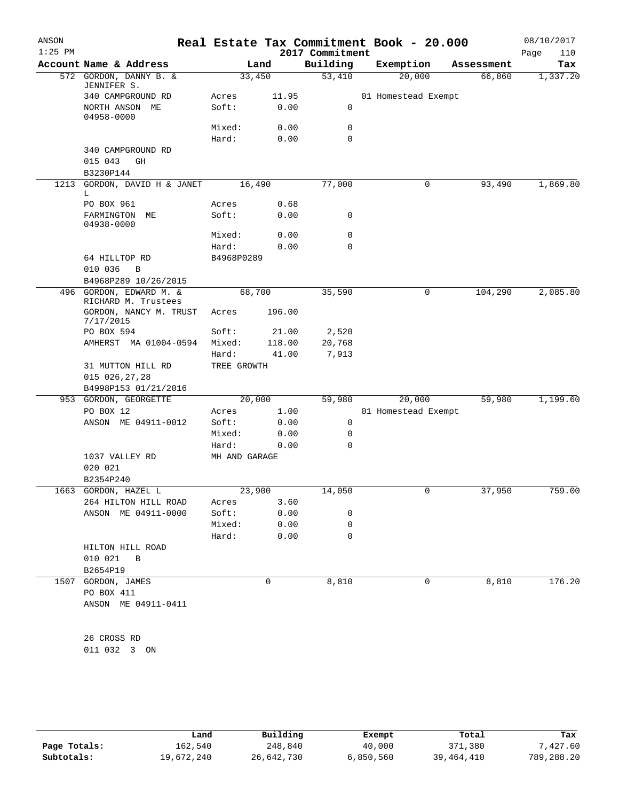| ANSON<br>$1:25$ PM |                                                 |                      |        | Real Estate Tax Commitment Book - 20.000<br>2017 Commitment |                     |   |            | 08/10/2017<br>Page<br>110 |
|--------------------|-------------------------------------------------|----------------------|--------|-------------------------------------------------------------|---------------------|---|------------|---------------------------|
|                    | Account Name & Address                          | Land                 |        | Building                                                    | Exemption           |   | Assessment | Tax                       |
|                    | 572 GORDON, DANNY B. &<br>JENNIFER S.           | 33,450               |        | 53,410                                                      | 20,000              |   | 66,860     | 1,337.20                  |
|                    | 340 CAMPGROUND RD                               | Acres                | 11.95  |                                                             | 01 Homestead Exempt |   |            |                           |
|                    | NORTH ANSON ME<br>04958-0000                    | Soft:                | 0.00   | 0                                                           |                     |   |            |                           |
|                    |                                                 | Mixed:               | 0.00   | 0                                                           |                     |   |            |                           |
|                    |                                                 | Hard:                | 0.00   | 0                                                           |                     |   |            |                           |
|                    | 340 CAMPGROUND RD<br>015 043<br>GH<br>B3230P144 |                      |        |                                                             |                     |   |            |                           |
| 1213               | GORDON, DAVID H & JANET<br>L.                   | 16,490               |        | 77,000                                                      |                     | 0 | 93,490     | 1,869.80                  |
|                    | PO BOX 961                                      | Acres                | 0.68   |                                                             |                     |   |            |                           |
|                    | FARMINGTON<br>MЕ<br>04938-0000                  | Soft:                | 0.00   | 0                                                           |                     |   |            |                           |
|                    |                                                 | Mixed:               | 0.00   | 0                                                           |                     |   |            |                           |
|                    |                                                 | Hard:                | 0.00   | 0                                                           |                     |   |            |                           |
|                    | 64 HILLTOP RD<br>010 036<br>B                   | B4968P0289           |        |                                                             |                     |   |            |                           |
|                    | B4968P289 10/26/2015                            |                      |        |                                                             |                     |   |            |                           |
|                    | 496 GORDON, EDWARD M. &<br>RICHARD M. Trustees  | 68,700               |        | 35,590                                                      |                     | 0 | 104,290    | 2,085.80                  |
|                    | GORDON, NANCY M. TRUST<br>7/17/2015             | Acres                | 196.00 |                                                             |                     |   |            |                           |
|                    | PO BOX 594                                      | Soft:                | 21.00  | 2,520                                                       |                     |   |            |                           |
|                    | AMHERST MA 01004-0594                           | Mixed:               | 118.00 | 20,768                                                      |                     |   |            |                           |
|                    | 31 MUTTON HILL RD                               | Hard:<br>TREE GROWTH | 41.00  | 7,913                                                       |                     |   |            |                           |
|                    | 015 026,27,28                                   |                      |        |                                                             |                     |   |            |                           |
|                    | B4998P153 01/21/2016<br>953 GORDON, GEORGETTE   | 20,000               |        | 59,980                                                      | 20,000              |   | 59,980     | 1,199.60                  |
|                    | PO BOX 12                                       | Acres                | 1.00   |                                                             | 01 Homestead Exempt |   |            |                           |
|                    | ANSON ME 04911-0012                             | Soft:                | 0.00   | 0                                                           |                     |   |            |                           |
|                    |                                                 | Mixed:               | 0.00   | 0                                                           |                     |   |            |                           |
|                    |                                                 | Hard:                | 0.00   | 0                                                           |                     |   |            |                           |
|                    | 1037 VALLEY RD<br>020 021<br>B2354P240          | MH AND GARAGE        |        |                                                             |                     |   |            |                           |
|                    | 1663 GORDON, HAZEL L                            | 23,900               |        | 14,050                                                      |                     |   | 37,950     | 759.00                    |
|                    | 264 HILTON HILL ROAD                            | Acres                | 3.60   |                                                             |                     |   |            |                           |
|                    | ANSON ME 04911-0000                             | Soft:                | 0.00   | $\mathbf 0$                                                 |                     |   |            |                           |
|                    |                                                 | Mixed:               | 0.00   | $\mathbf 0$                                                 |                     |   |            |                           |
|                    |                                                 | Hard:                | 0.00   | $\Omega$                                                    |                     |   |            |                           |
|                    | HILTON HILL ROAD<br>010 021 B                   |                      |        |                                                             |                     |   |            |                           |
|                    | B2654P19                                        |                      |        |                                                             |                     |   |            |                           |
|                    | 1507 GORDON, JAMES<br>PO BOX 411                |                      | 0      | 8,810                                                       |                     | 0 | 8,810      | 176.20                    |
|                    | ANSON ME 04911-0411                             |                      |        |                                                             |                     |   |            |                           |
|                    | 26 CROSS RD                                     |                      |        |                                                             |                     |   |            |                           |
|                    | 011 032 3 ON                                    |                      |        |                                                             |                     |   |            |                           |
|                    |                                                 |                      |        |                                                             |                     |   |            |                           |

|              | Land       | Building   | Exempt    | Total        | Tax        |
|--------------|------------|------------|-----------|--------------|------------|
| Page Totals: | 162,540    | 248,840    | 40,000    | 371,380      | 7,427.60   |
| Subtotals:   | 19,672,240 | 26,642,730 | 6,850,560 | 39, 464, 410 | 789,288.20 |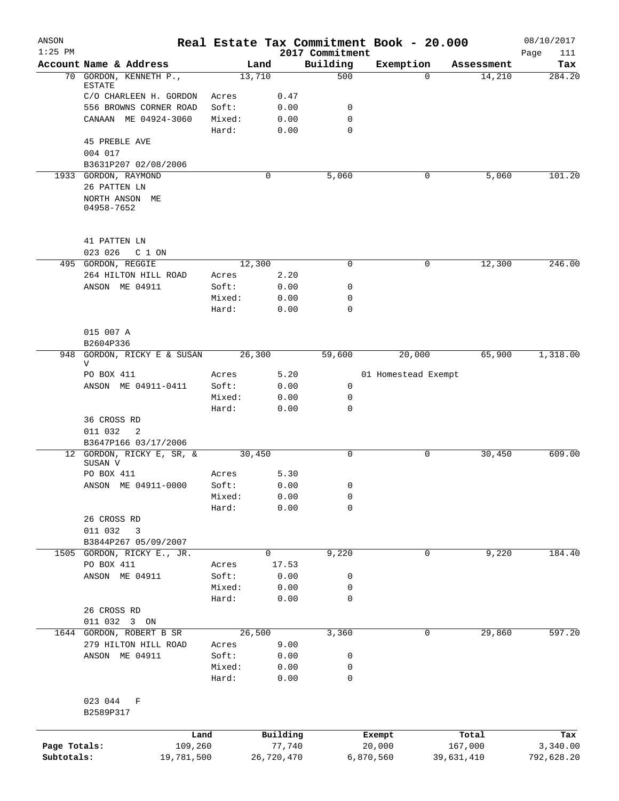| ANSON<br>$1:25$ PM |                                               |                 |                    | 2017 Commitment  | Real Estate Tax Commitment Book - 20.000 |                  | 08/10/2017         |
|--------------------|-----------------------------------------------|-----------------|--------------------|------------------|------------------------------------------|------------------|--------------------|
|                    | Account Name & Address                        |                 | Land               | Building         | Exemption                                | Assessment       | Page<br>111<br>Tax |
| 70                 | GORDON, KENNETH P.,                           | 13,710          |                    | 500              | 0                                        | 14,210           | 284.20             |
|                    | ESTATE                                        |                 |                    |                  |                                          |                  |                    |
|                    | C/O CHARLEEN H. GORDON                        | Acres           | 0.47               |                  |                                          |                  |                    |
|                    | 556 BROWNS CORNER ROAD                        | Soft:           | 0.00               | 0                |                                          |                  |                    |
|                    | CANAAN ME 04924-3060                          | Mixed:<br>Hard: | 0.00<br>0.00       | 0<br>$\mathbf 0$ |                                          |                  |                    |
|                    | <b>45 PREBLE AVE</b>                          |                 |                    |                  |                                          |                  |                    |
|                    | 004 017                                       |                 |                    |                  |                                          |                  |                    |
|                    | B3631P207 02/08/2006                          |                 |                    |                  |                                          |                  |                    |
|                    | 1933 GORDON, RAYMOND<br>26 PATTEN LN          |                 | 0                  | 5,060            | 0                                        | 5,060            | 101.20             |
|                    | NORTH ANSON ME<br>04958-7652                  |                 |                    |                  |                                          |                  |                    |
|                    |                                               |                 |                    |                  |                                          |                  |                    |
|                    | 41 PATTEN LN<br>023 026<br>C 1 ON             |                 |                    |                  |                                          |                  |                    |
| 495                | GORDON, REGGIE                                | 12,300          |                    | $\mathbf 0$      | 0                                        | 12,300           | 246.00             |
|                    | 264 HILTON HILL ROAD                          | Acres           | 2.20               |                  |                                          |                  |                    |
|                    | ANSON ME 04911                                | Soft:           | 0.00               | 0                |                                          |                  |                    |
|                    |                                               | Mixed:          | 0.00               | 0                |                                          |                  |                    |
|                    |                                               | Hard:           | 0.00               | $\mathbf 0$      |                                          |                  |                    |
|                    | 015 007 A<br>B2604P336                        |                 |                    |                  |                                          |                  |                    |
| 948                | GORDON, RICKY E & SUSAN                       | 26,300          |                    | 59,600           | 20,000                                   | 65,900           | 1,318.00           |
|                    | V                                             |                 |                    |                  |                                          |                  |                    |
|                    | PO BOX 411                                    | Acres           | 5.20               |                  | 01 Homestead Exempt                      |                  |                    |
|                    | ANSON ME 04911-0411                           | Soft:           | 0.00               | 0                |                                          |                  |                    |
|                    |                                               | Mixed:          | 0.00               | 0                |                                          |                  |                    |
|                    |                                               | Hard:           | 0.00               | 0                |                                          |                  |                    |
|                    | 36 CROSS RD                                   |                 |                    |                  |                                          |                  |                    |
|                    | 011 032<br>-2<br>B3647P166 03/17/2006         |                 |                    |                  |                                          |                  |                    |
|                    | 12 GORDON, RICKY E, SR, &                     | 30,450          |                    | 0                | 0                                        | 30,450           | 609.00             |
|                    | SUSAN V                                       |                 |                    |                  |                                          |                  |                    |
|                    | PO BOX 411                                    | Acres           | 5.30               |                  |                                          |                  |                    |
|                    | ANSON ME 04911-0000                           | Soft:           | 0.00               | 0                |                                          |                  |                    |
|                    |                                               | Mixed:          | 0.00               | 0                |                                          |                  |                    |
|                    |                                               | Hard:           | 0.00               | 0                |                                          |                  |                    |
|                    | 26 CROSS RD                                   |                 |                    |                  |                                          |                  |                    |
|                    | 011 032<br>3                                  |                 |                    |                  |                                          |                  |                    |
| 1505               | B3844P267 05/09/2007<br>GORDON, RICKY E., JR. |                 | 0                  | 9,220            | 0                                        | 9,220            | 184.40             |
|                    | PO BOX 411                                    | Acres           | 17.53              |                  |                                          |                  |                    |
|                    | ANSON ME 04911                                | Soft:           | 0.00               | 0                |                                          |                  |                    |
|                    |                                               | Mixed:          | 0.00               | 0                |                                          |                  |                    |
|                    |                                               | Hard:           | 0.00               | 0                |                                          |                  |                    |
|                    | 26 CROSS RD                                   |                 |                    |                  |                                          |                  |                    |
|                    | 011 032 3 ON                                  |                 |                    |                  |                                          |                  |                    |
| 1644               | GORDON, ROBERT B SR                           | 26,500          |                    | 3,360            | 0                                        | 29,860           | 597.20             |
|                    | 279 HILTON HILL ROAD                          | Acres           | 9.00               |                  |                                          |                  |                    |
|                    | ANSON ME 04911                                | Soft:           | 0.00               | 0                |                                          |                  |                    |
|                    |                                               | Mixed:          | 0.00               | 0                |                                          |                  |                    |
|                    |                                               | Hard:           | 0.00               | 0                |                                          |                  |                    |
|                    | 023 044<br>F                                  |                 |                    |                  |                                          |                  |                    |
|                    | B2589P317                                     |                 |                    |                  |                                          |                  |                    |
|                    |                                               |                 |                    |                  |                                          |                  |                    |
| Page Totals:       | Land<br>109,260                               |                 | Building<br>77,740 |                  | Exempt<br>20,000                         | Total<br>167,000 | Tax<br>3,340.00    |
| Subtotals:         | 19,781,500                                    |                 | 26,720,470         |                  | 6,870,560                                | 39,631,410       | 792,628.20         |
|                    |                                               |                 |                    |                  |                                          |                  |                    |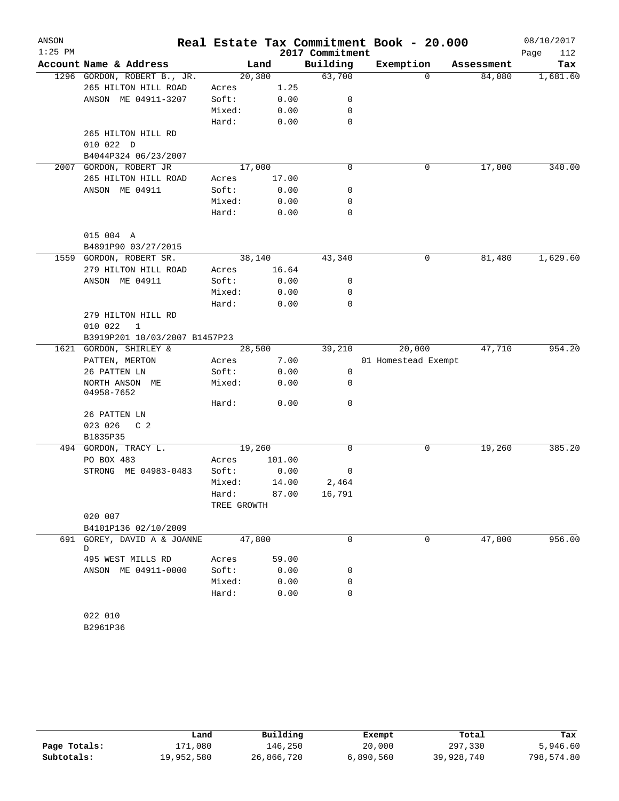| ANSON<br>$1:25$ PM |                               |             |        | 2017 Commitment | Real Estate Tax Commitment Book - 20.000 |            | 08/10/2017<br>Page<br>112 |
|--------------------|-------------------------------|-------------|--------|-----------------|------------------------------------------|------------|---------------------------|
|                    | Account Name & Address        |             | Land   | Building        | Exemption                                | Assessment | Tax                       |
|                    | 1296 GORDON, ROBERT B., JR.   |             | 20,380 | 63,700          | $\Omega$                                 | 84,080     | 1,681.60                  |
|                    | 265 HILTON HILL ROAD          | Acres       | 1.25   |                 |                                          |            |                           |
|                    | ANSON ME 04911-3207           | Soft:       | 0.00   | 0               |                                          |            |                           |
|                    |                               | Mixed:      | 0.00   | 0               |                                          |            |                           |
|                    |                               | Hard:       | 0.00   | 0               |                                          |            |                           |
|                    | 265 HILTON HILL RD            |             |        |                 |                                          |            |                           |
|                    | 010 022 D                     |             |        |                 |                                          |            |                           |
|                    | B4044P324 06/23/2007          |             |        |                 |                                          |            |                           |
| 2007               | GORDON, ROBERT JR             |             | 17,000 | $\mathbf 0$     | 0                                        | 17,000     | 340.00                    |
|                    | 265 HILTON HILL ROAD          | Acres       | 17.00  |                 |                                          |            |                           |
|                    | ANSON ME 04911                | Soft:       | 0.00   | 0               |                                          |            |                           |
|                    |                               | Mixed:      | 0.00   | 0               |                                          |            |                           |
|                    |                               | Hard:       | 0.00   | 0               |                                          |            |                           |
|                    |                               |             |        |                 |                                          |            |                           |
|                    | 015 004 A                     |             |        |                 |                                          |            |                           |
|                    | B4891P90 03/27/2015           |             |        |                 |                                          |            |                           |
|                    | 1559 GORDON, ROBERT SR.       |             | 38,140 | 43,340          | 0                                        | 81,480     | 1,629.60                  |
|                    | 279 HILTON HILL ROAD          | Acres       | 16.64  |                 |                                          |            |                           |
|                    | ANSON ME 04911                | Soft:       | 0.00   | 0               |                                          |            |                           |
|                    |                               | Mixed:      | 0.00   | 0               |                                          |            |                           |
|                    |                               | Hard:       | 0.00   | $\mathbf 0$     |                                          |            |                           |
|                    | 279 HILTON HILL RD            |             |        |                 |                                          |            |                           |
|                    | 010 022<br>$\mathbf{1}$       |             |        |                 |                                          |            |                           |
|                    | B3919P201 10/03/2007 B1457P23 |             |        |                 |                                          |            |                           |
| 1621               | GORDON, SHIRLEY &             |             | 28,500 | 39,210          | 20,000                                   | 47,710     | 954.20                    |
|                    | PATTEN, MERTON                | Acres       | 7.00   |                 | 01 Homestead Exempt                      |            |                           |
|                    | 26 PATTEN LN                  | Soft:       | 0.00   | 0               |                                          |            |                           |
|                    | NORTH ANSON ME                | Mixed:      | 0.00   | 0               |                                          |            |                           |
|                    | 04958-7652                    |             |        |                 |                                          |            |                           |
|                    |                               | Hard:       | 0.00   | 0               |                                          |            |                           |
|                    | 26 PATTEN LN                  |             |        |                 |                                          |            |                           |
|                    | 023 026<br>C <sub>2</sub>     |             |        |                 |                                          |            |                           |
|                    | B1835P35                      |             |        |                 |                                          |            |                           |
|                    | 494 GORDON, TRACY L.          |             | 19,260 | 0               | 0                                        | 19,260     | 385.20                    |
|                    | PO BOX 483                    | Acres       | 101.00 |                 |                                          |            |                           |
|                    | STRONG ME 04983-0483          | Soft:       | 0.00   | 0               |                                          |            |                           |
|                    |                               | Mixed:      | 14.00  | 2,464           |                                          |            |                           |
|                    |                               | Hard:       | 87.00  | 16,791          |                                          |            |                           |
|                    |                               | TREE GROWTH |        |                 |                                          |            |                           |
|                    | 020 007                       |             |        |                 |                                          |            |                           |
|                    | B4101P136 02/10/2009          |             |        |                 |                                          |            |                           |
|                    | 691 GOREY, DAVID A & JOANNE   |             | 47,800 | 0               | $\Omega$                                 | 47,800     | 956.00                    |
|                    | D                             |             |        |                 |                                          |            |                           |
|                    | 495 WEST MILLS RD             | Acres       | 59.00  |                 |                                          |            |                           |
|                    | ANSON ME 04911-0000           | Soft:       | 0.00   | 0               |                                          |            |                           |
|                    |                               | Mixed:      | 0.00   | 0               |                                          |            |                           |
|                    |                               | Hard:       | 0.00   | $\mathbf 0$     |                                          |            |                           |
|                    |                               |             |        |                 |                                          |            |                           |
|                    | 022 010                       |             |        |                 |                                          |            |                           |
|                    | B2961P36                      |             |        |                 |                                          |            |                           |

|              | Land       | Building   | Exempt    | Total      | Tax        |
|--------------|------------|------------|-----------|------------|------------|
| Page Totals: | 171,080    | 146.250    | 20,000    | 297,330    | 5,946.60   |
| Subtotals:   | 19,952,580 | 26,866,720 | 6,890,560 | 39,928,740 | 798,574.80 |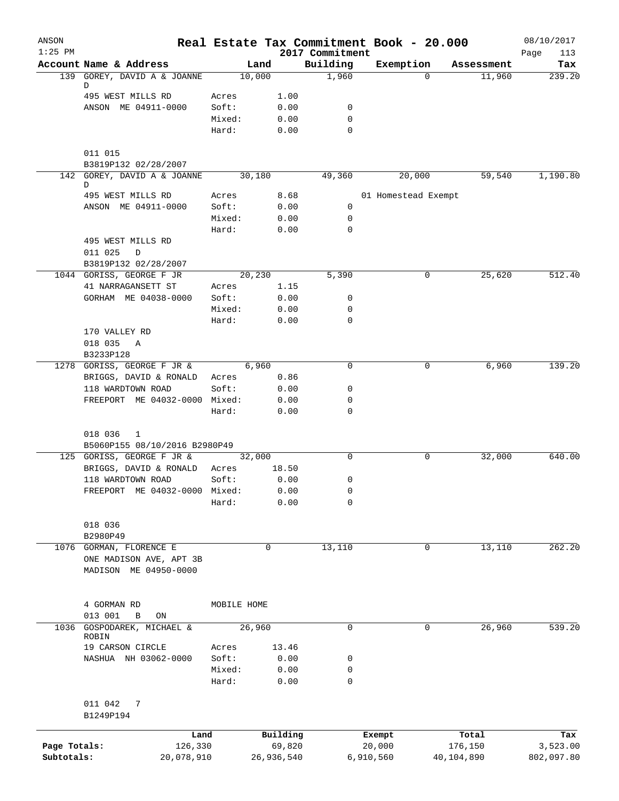| ANSON<br>$1:25$ PM |                                   |             |            | 2017 Commitment | Real Estate Tax Commitment Book - 20.000 |            | 08/10/2017<br>Page<br>113 |
|--------------------|-----------------------------------|-------------|------------|-----------------|------------------------------------------|------------|---------------------------|
|                    | Account Name & Address            | Land        |            | Building        | Exemption                                | Assessment | Tax                       |
|                    | 139 GOREY, DAVID A & JOANNE<br>D  | 10,000      |            | 1,960           | $\Omega$                                 | 11,960     | 239.20                    |
|                    | 495 WEST MILLS RD                 | Acres       | 1.00       |                 |                                          |            |                           |
|                    | ANSON ME 04911-0000               | Soft:       | 0.00       | 0               |                                          |            |                           |
|                    |                                   | Mixed:      | 0.00       | 0               |                                          |            |                           |
|                    |                                   | Hard:       | 0.00       | 0               |                                          |            |                           |
|                    | 011 015                           |             |            |                 |                                          |            |                           |
|                    | B3819P132 02/28/2007              |             |            |                 |                                          |            |                           |
|                    | 142 GOREY, DAVID A & JOANNE<br>D  | 30,180      |            | 49,360          | 20,000                                   | 59,540     | 1,190.80                  |
|                    | 495 WEST MILLS RD                 | Acres       | 8.68       |                 | 01 Homestead Exempt                      |            |                           |
|                    | ANSON ME 04911-0000               | Soft:       | 0.00       | 0               |                                          |            |                           |
|                    |                                   | Mixed:      | 0.00       | 0               |                                          |            |                           |
|                    |                                   | Hard:       | 0.00       | 0               |                                          |            |                           |
|                    | 495 WEST MILLS RD<br>011 025<br>D |             |            |                 |                                          |            |                           |
|                    | B3819P132 02/28/2007              |             |            |                 |                                          |            |                           |
|                    | 1044 GORISS, GEORGE F JR          | 20,230      |            | 5,390           | 0                                        | 25,620     | 512.40                    |
|                    | 41 NARRAGANSETT ST                | Acres       | 1.15       |                 |                                          |            |                           |
|                    | GORHAM ME 04038-0000              | Soft:       | 0.00       | 0               |                                          |            |                           |
|                    |                                   | Mixed:      | 0.00       | 0               |                                          |            |                           |
|                    |                                   | Hard:       | 0.00       | 0               |                                          |            |                           |
|                    | 170 VALLEY RD                     |             |            |                 |                                          |            |                           |
|                    | 018 035<br>A                      |             |            |                 |                                          |            |                           |
|                    | B3233P128                         |             |            |                 |                                          |            |                           |
|                    | 1278 GORISS, GEORGE F JR &        | 6,960       |            | 0               | 0                                        | 6,960      | 139.20                    |
|                    | BRIGGS, DAVID & RONALD            | Acres       | 0.86       |                 |                                          |            |                           |
|                    | 118 WARDTOWN ROAD                 | Soft:       | 0.00       | 0               |                                          |            |                           |
|                    | FREEPORT ME 04032-0000 Mixed:     |             | 0.00       | 0               |                                          |            |                           |
|                    |                                   | Hard:       | 0.00       | 0               |                                          |            |                           |
|                    | 018 036<br>1                      |             |            |                 |                                          |            |                           |
|                    | B5060P155 08/10/2016 B2980P49     |             |            |                 |                                          |            |                           |
|                    | 125 GORISS, GEORGE F JR &         | 32,000      |            | 0               | 0                                        | 32,000     | 640.00                    |
|                    | BRIGGS, DAVID & RONALD            | Acres       | 18.50      |                 |                                          |            |                           |
|                    | 118 WARDTOWN ROAD                 | Soft:       | 0.00       | 0               |                                          |            |                           |
|                    | FREEPORT ME 04032-0000 Mixed:     |             | 0.00       | 0               |                                          |            |                           |
|                    |                                   | Hard:       | 0.00       | 0               |                                          |            |                           |
|                    | 018 036                           |             |            |                 |                                          |            |                           |
|                    | B2980P49                          |             |            |                 |                                          |            |                           |
|                    | 1076 GORMAN, FLORENCE E           |             | 0          | 13,110          | 0                                        | 13,110     | 262.20                    |
|                    | ONE MADISON AVE, APT 3B           |             |            |                 |                                          |            |                           |
|                    | MADISON ME 04950-0000             |             |            |                 |                                          |            |                           |
|                    | 4 GORMAN RD                       | MOBILE HOME |            |                 |                                          |            |                           |
|                    | 013 001<br>B<br>ON                |             |            |                 |                                          |            |                           |
| 1036               | GOSPODAREK, MICHAEL &<br>ROBIN    | 26,960      |            | 0               | 0                                        | 26,960     | 539.20                    |
|                    | 19 CARSON CIRCLE                  | Acres       | 13.46      |                 |                                          |            |                           |
|                    | NASHUA NH 03062-0000              | Soft:       | 0.00       | 0               |                                          |            |                           |
|                    |                                   | Mixed:      | 0.00       | 0               |                                          |            |                           |
|                    |                                   | Hard:       | 0.00       | 0               |                                          |            |                           |
|                    | 011 042<br>7                      |             |            |                 |                                          |            |                           |
|                    | B1249P194                         |             |            |                 |                                          |            |                           |
|                    | Land                              |             | Building   |                 | Exempt                                   | Total      | Tax                       |
| Page Totals:       | 126,330                           |             | 69,820     |                 | 20,000                                   | 176,150    | 3,523.00                  |
| Subtotals:         | 20,078,910                        |             | 26,936,540 |                 | 6,910,560                                | 40,104,890 | 802,097.80                |
|                    |                                   |             |            |                 |                                          |            |                           |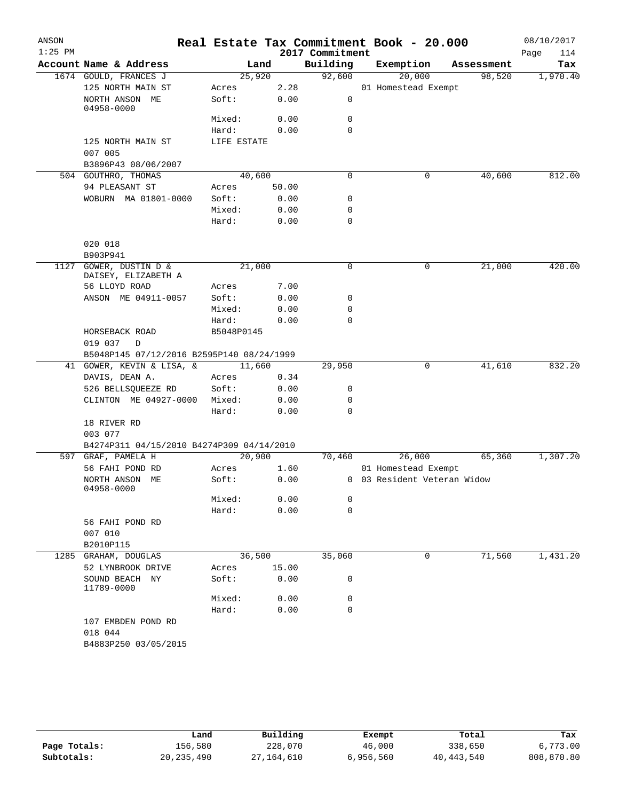| ANSON<br>$1:25$ PM |                                           |             |       | 2017 Commitment | Real Estate Tax Commitment Book - 20.000 |            | 08/10/2017<br>Page<br>114 |
|--------------------|-------------------------------------------|-------------|-------|-----------------|------------------------------------------|------------|---------------------------|
|                    | Account Name & Address                    | Land        |       | Building        | Exemption                                | Assessment | Tax                       |
|                    | 1674 GOULD, FRANCES J                     | 25,920      |       | 92,600          | 20,000                                   | 98,520     | 1,970.40                  |
|                    | 125 NORTH MAIN ST                         | Acres       | 2.28  |                 | 01 Homestead Exempt                      |            |                           |
|                    | NORTH ANSON ME<br>04958-0000              | Soft:       | 0.00  | 0               |                                          |            |                           |
|                    |                                           | Mixed:      | 0.00  | 0               |                                          |            |                           |
|                    |                                           | Hard:       | 0.00  | $\mathbf 0$     |                                          |            |                           |
|                    | 125 NORTH MAIN ST<br>007 005              | LIFE ESTATE |       |                 |                                          |            |                           |
|                    | B3896P43 08/06/2007                       |             |       |                 |                                          |            |                           |
|                    | 504 GOUTHRO, THOMAS                       | 40,600      |       | 0               | 0                                        | 40,600     | 812.00                    |
|                    | 94 PLEASANT ST                            | Acres       | 50.00 |                 |                                          |            |                           |
|                    | WOBURN MA 01801-0000                      | Soft:       | 0.00  | 0               |                                          |            |                           |
|                    |                                           | Mixed:      | 0.00  | 0               |                                          |            |                           |
|                    |                                           | Hard:       | 0.00  | $\mathbf 0$     |                                          |            |                           |
|                    | 020 018                                   |             |       |                 |                                          |            |                           |
|                    | B903P941                                  |             |       |                 |                                          |            |                           |
| 1127               | GOWER, DUSTIN D &<br>DAISEY, ELIZABETH A  | 21,000      |       | 0               | 0                                        | 21,000     | 420.00                    |
|                    | 56 LLOYD ROAD                             | Acres       | 7.00  |                 |                                          |            |                           |
|                    | ANSON ME 04911-0057                       | Soft:       | 0.00  | 0               |                                          |            |                           |
|                    |                                           | Mixed:      | 0.00  | 0               |                                          |            |                           |
|                    |                                           | Hard:       | 0.00  | $\mathbf 0$     |                                          |            |                           |
|                    | HORSEBACK ROAD<br>019 037<br>D            | B5048P0145  |       |                 |                                          |            |                           |
|                    | B5048P145 07/12/2016 B2595P140 08/24/1999 |             |       |                 |                                          |            |                           |
|                    | 41 GOWER, KEVIN & LISA, &                 | 11,660      |       | 29,950          | 0                                        | 41,610     | 832.20                    |
|                    | DAVIS, DEAN A.                            | Acres       | 0.34  |                 |                                          |            |                           |
|                    | 526 BELLSQUEEZE RD                        | Soft:       | 0.00  | 0               |                                          |            |                           |
|                    | CLINTON ME 04927-0000                     | Mixed:      | 0.00  | 0               |                                          |            |                           |
|                    |                                           | Hard:       | 0.00  | $\mathbf 0$     |                                          |            |                           |
|                    | 18 RIVER RD                               |             |       |                 |                                          |            |                           |
|                    | 003 077                                   |             |       |                 |                                          |            |                           |
|                    | B4274P311 04/15/2010 B4274P309 04/14/2010 |             |       |                 |                                          |            |                           |
| 597                | GRAF, PAMELA H                            | 20,900      |       | 70,460          | 26,000                                   | 65,360     | 1,307.20                  |
|                    | 56 FAHI POND RD                           | Acres       | 1.60  |                 | 01 Homestead Exempt                      |            |                           |
|                    | NORTH ANSON ME<br>04958-0000              | Soft:       | 0.00  |                 | 0 03 Resident Veteran Widow              |            |                           |
|                    |                                           | Mixed:      | 0.00  | 0               |                                          |            |                           |
|                    |                                           | Hard:       | 0.00  | 0               |                                          |            |                           |
|                    | 56 FAHI POND RD<br>007 010                |             |       |                 |                                          |            |                           |
|                    | B2010P115                                 |             |       |                 |                                          |            |                           |
| 1285               | GRAHAM, DOUGLAS                           | 36,500      |       | 35,060          | 0                                        | 71,560     | 1,431.20                  |
|                    | 52 LYNBROOK DRIVE                         | Acres       | 15.00 |                 |                                          |            |                           |
|                    | SOUND BEACH NY<br>11789-0000              | Soft:       | 0.00  | 0               |                                          |            |                           |
|                    |                                           | Mixed:      | 0.00  | 0               |                                          |            |                           |
|                    |                                           | Hard:       | 0.00  | 0               |                                          |            |                           |
|                    | 107 EMBDEN POND RD<br>018 044             |             |       |                 |                                          |            |                           |
|                    | B4883P250 03/05/2015                      |             |       |                 |                                          |            |                           |
|                    |                                           |             |       |                 |                                          |            |                           |

|              | Land         | Building     | Exempt    | Total        | Tax        |
|--------------|--------------|--------------|-----------|--------------|------------|
| Page Totals: | 156,580      | 228,070      | 46,000    | 338,650      | 6,773.00   |
| Subtotals:   | 20, 235, 490 | 27, 164, 610 | 6,956,560 | 40, 443, 540 | 808,870.80 |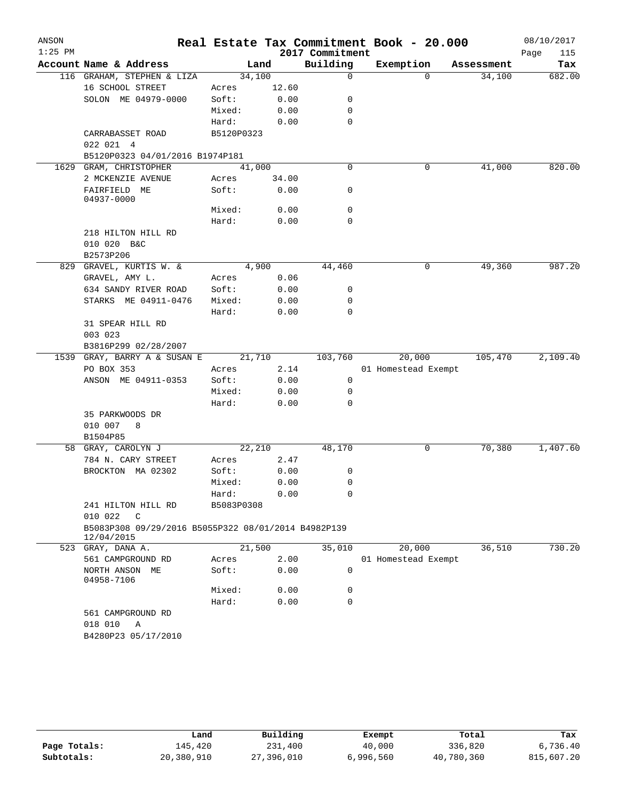| $1:25$ PM |                                                                   |                     |              | 2017 Commitment | Real Estate Tax Commitment Book - 20.000 |            | 08/10/2017<br>Page<br>115 |
|-----------|-------------------------------------------------------------------|---------------------|--------------|-----------------|------------------------------------------|------------|---------------------------|
|           | Account Name & Address                                            | Land                |              | Building        | Exemption                                | Assessment | Tax                       |
|           | 116 GRAHAM, STEPHEN & LIZA                                        | 34,100              |              | 0               | $\Omega$                                 | 34,100     | 682.00                    |
|           | 16 SCHOOL STREET                                                  | Acres               | 12.60        |                 |                                          |            |                           |
|           | SOLON ME 04979-0000                                               | Soft:               | 0.00         | 0               |                                          |            |                           |
|           |                                                                   | Mixed:              | 0.00         | 0               |                                          |            |                           |
|           |                                                                   | Hard:               | 0.00         | 0               |                                          |            |                           |
|           | CARRABASSET ROAD                                                  | B5120P0323          |              |                 |                                          |            |                           |
|           | 022 021 4                                                         |                     |              |                 |                                          |            |                           |
|           | B5120P0323 04/01/2016 B1974P181                                   |                     |              |                 |                                          |            |                           |
| 1629      | GRAM, CHRISTOPHER                                                 | 41,000              |              | $\mathbf 0$     | 0                                        | 41,000     | 820.00                    |
|           | 2 MCKENZIE AVENUE                                                 | Acres               | 34.00        |                 |                                          |            |                           |
|           | FAIRFIELD ME<br>04937-0000                                        | Soft:               | 0.00         | 0               |                                          |            |                           |
|           |                                                                   | Mixed:              | 0.00         | $\mathbf 0$     |                                          |            |                           |
|           |                                                                   | Hard:               | 0.00         | $\mathbf 0$     |                                          |            |                           |
|           | 218 HILTON HILL RD                                                |                     |              |                 |                                          |            |                           |
|           | 010 020 B&C                                                       |                     |              |                 |                                          |            |                           |
|           | B2573P206                                                         |                     |              |                 |                                          |            |                           |
|           | 829 GRAVEL, KURTIS W. &                                           | 4,900               |              | 44,460          | 0                                        | 49,360     | 987.20                    |
|           | GRAVEL, AMY L.                                                    | Acres               | 0.06         |                 |                                          |            |                           |
|           | 634 SANDY RIVER ROAD                                              | Soft:               | 0.00         | 0               |                                          |            |                           |
|           | STARKS ME 04911-0476                                              | Mixed:              | 0.00         | 0               |                                          |            |                           |
|           |                                                                   | Hard:               | 0.00         | $\Omega$        |                                          |            |                           |
|           | 31 SPEAR HILL RD                                                  |                     |              |                 |                                          |            |                           |
|           | 003 023                                                           |                     |              |                 |                                          |            |                           |
|           | B3816P299 02/28/2007                                              |                     |              |                 |                                          |            |                           |
|           | 1539 GRAY, BARRY A & SUSAN E                                      | 21,710              |              | 103,760         | 20,000                                   | 105,470    | 2,109.40                  |
|           | PO BOX 353                                                        | Acres               | 2.14         |                 | 01 Homestead Exempt                      |            |                           |
|           | ANSON ME 04911-0353                                               | Soft:               | 0.00         | 0               |                                          |            |                           |
|           |                                                                   | Mixed:              | 0.00         | 0               |                                          |            |                           |
|           |                                                                   | Hard:               | 0.00         | 0               |                                          |            |                           |
|           | 35 PARKWOODS DR                                                   |                     |              |                 |                                          |            |                           |
|           | 010 007<br>8                                                      |                     |              |                 |                                          |            |                           |
|           | B1504P85                                                          |                     |              |                 |                                          |            |                           |
|           | 58 GRAY, CAROLYN J                                                | 22,210              |              | 48,170          | 0                                        | 70,380     | 1,407.60                  |
|           | 784 N. CARY STREET                                                | Acres               | 2.47         |                 |                                          |            |                           |
|           | BROCKTON MA 02302                                                 | Soft:               | 0.00         | 0<br>0          |                                          |            |                           |
|           |                                                                   | Mixed:              | 0.00<br>0.00 | 0               |                                          |            |                           |
|           | 241 HILTON HILL RD                                                | Hard:<br>B5083P0308 |              |                 |                                          |            |                           |
|           | 010 022<br>$\mathbb{C}$                                           |                     |              |                 |                                          |            |                           |
|           | B5083P308 09/29/2016 B5055P322 08/01/2014 B4982P139<br>12/04/2015 |                     |              |                 |                                          |            |                           |
|           | 523 GRAY, DANA A.                                                 | 21,500              |              | 35,010          | 20,000                                   | 36,510     | 730.20                    |
|           | 561 CAMPGROUND RD                                                 | Acres               | 2.00         |                 | 01 Homestead Exempt                      |            |                           |
|           | NORTH ANSON ME<br>04958-7106                                      | Soft:               | 0.00         | 0               |                                          |            |                           |
|           |                                                                   | Mixed:              | 0.00         | 0               |                                          |            |                           |
|           |                                                                   | Hard:               | 0.00         | 0               |                                          |            |                           |
|           | 561 CAMPGROUND RD                                                 |                     |              |                 |                                          |            |                           |
|           | 018 010<br>Α                                                      |                     |              |                 |                                          |            |                           |
|           |                                                                   |                     |              |                 |                                          |            |                           |

|              | Land       | Building   | Exempt    | Total      | Tax        |
|--------------|------------|------------|-----------|------------|------------|
| Page Totals: | 145,420    | 231,400    | 40,000    | 336,820    | 6,736.40   |
| Subtotals:   | 20,380,910 | 27,396,010 | 6,996,560 | 40,780,360 | 815,607.20 |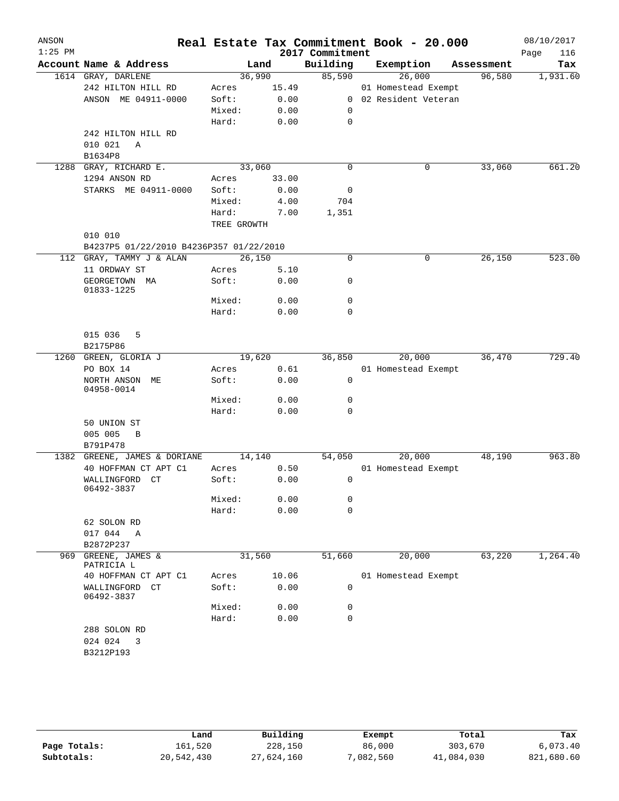| ANSON<br>$1:25$ PM |                                         |             |       | 2017 Commitment | Real Estate Tax Commitment Book - 20.000 |            | 08/10/2017<br>Page<br>116 |
|--------------------|-----------------------------------------|-------------|-------|-----------------|------------------------------------------|------------|---------------------------|
|                    | Account Name & Address                  |             | Land  | Building        | Exemption                                | Assessment | Tax                       |
|                    | 1614 GRAY, DARLENE                      | 36,990      |       | 85,590          | 26,000                                   | 96,580     | 1,931.60                  |
|                    | 242 HILTON HILL RD                      | Acres       | 15.49 |                 | 01 Homestead Exempt                      |            |                           |
|                    | ANSON ME 04911-0000                     | Soft:       | 0.00  |                 | 0 02 Resident Veteran                    |            |                           |
|                    |                                         | Mixed:      | 0.00  | 0               |                                          |            |                           |
|                    |                                         | Hard:       | 0.00  | 0               |                                          |            |                           |
|                    | 242 HILTON HILL RD                      |             |       |                 |                                          |            |                           |
|                    | 010 021<br>$\mathbb{A}$                 |             |       |                 |                                          |            |                           |
|                    | B1634P8                                 |             |       |                 |                                          |            |                           |
| 1288               | GRAY, RICHARD E.                        | 33,060      |       | $\mathbf 0$     | 0                                        | 33,060     | 661.20                    |
|                    | 1294 ANSON RD                           | Acres       | 33.00 |                 |                                          |            |                           |
|                    | STARKS ME 04911-0000                    | Soft:       | 0.00  | 0               |                                          |            |                           |
|                    |                                         | Mixed:      | 4.00  | 704             |                                          |            |                           |
|                    |                                         | Hard:       | 7.00  | 1,351           |                                          |            |                           |
|                    | 010 010                                 | TREE GROWTH |       |                 |                                          |            |                           |
|                    | B4237P5 01/22/2010 B4236P357 01/22/2010 |             |       |                 |                                          |            |                           |
|                    | 112 GRAY, TAMMY J & ALAN                | 26,150      |       | $\mathbf 0$     | 0                                        | 26,150     | 523.00                    |
|                    | 11 ORDWAY ST                            | Acres       | 5.10  |                 |                                          |            |                           |
|                    | GEORGETOWN MA                           | Soft:       | 0.00  | 0               |                                          |            |                           |
|                    | 01833-1225                              |             |       |                 |                                          |            |                           |
|                    |                                         | Mixed:      | 0.00  | 0               |                                          |            |                           |
|                    |                                         | Hard:       | 0.00  | $\mathbf 0$     |                                          |            |                           |
|                    | 015 036<br>5<br>B2175P86                |             |       |                 |                                          |            |                           |
|                    | 1260 GREEN, GLORIA J                    | 19,620      |       | 36,850          | 20,000                                   | 36,470     | 729.40                    |
|                    | PO BOX 14                               | Acres       | 0.61  |                 | 01 Homestead Exempt                      |            |                           |
|                    | NORTH ANSON ME<br>04958-0014            | Soft:       | 0.00  | $\mathbf 0$     |                                          |            |                           |
|                    |                                         | Mixed:      | 0.00  | 0               |                                          |            |                           |
|                    |                                         | Hard:       | 0.00  | 0               |                                          |            |                           |
|                    | 50 UNION ST                             |             |       |                 |                                          |            |                           |
|                    | 005 005<br>B                            |             |       |                 |                                          |            |                           |
|                    | B791P478                                |             |       |                 |                                          |            |                           |
|                    | 1382 GREENE, JAMES & DORIANE            | 14,140      |       | 54,050          | 20,000                                   | 48,190     | 963.80                    |
|                    | 40 HOFFMAN CT APT C1                    | Acres       | 0.50  |                 | 01 Homestead Exempt                      |            |                           |
|                    | WALLINGFORD CT<br>06492-3837            | Soft:       | 0.00  | 0               |                                          |            |                           |
|                    |                                         | Mixed:      | 0.00  | 0               |                                          |            |                           |
|                    |                                         | Hard:       | 0.00  | $\mathbf 0$     |                                          |            |                           |
|                    | 62 SOLON RD<br>017 044 A                |             |       |                 |                                          |            |                           |
|                    | B2872P237                               |             |       |                 |                                          |            |                           |
| 969                | GREENE, JAMES &                         | 31,560      |       | 51,660          | 20,000                                   | 63,220     | 1,264.40                  |
|                    | PATRICIA L                              |             |       |                 |                                          |            |                           |
|                    | 40 HOFFMAN CT APT C1                    | Acres       | 10.06 |                 | 01 Homestead Exempt                      |            |                           |
|                    | WALLINGFORD CT<br>06492-3837            | Soft:       | 0.00  | 0               |                                          |            |                           |
|                    |                                         | Mixed:      | 0.00  | 0               |                                          |            |                           |
|                    |                                         | Hard:       | 0.00  | $\mathbf 0$     |                                          |            |                           |
|                    | 288 SOLON RD                            |             |       |                 |                                          |            |                           |
|                    | 024 024<br>3                            |             |       |                 |                                          |            |                           |
|                    | B3212P193                               |             |       |                 |                                          |            |                           |
|                    |                                         |             |       |                 |                                          |            |                           |

|              | Land       | Building   | Exempt    | Total      | Tax        |
|--------------|------------|------------|-----------|------------|------------|
| Page Totals: | 161,520    | 228,150    | 86,000    | 303,670    | 6.073.40   |
| Subtotals:   | 20,542,430 | 27,624,160 | 7,082,560 | 41,084,030 | 821,680.60 |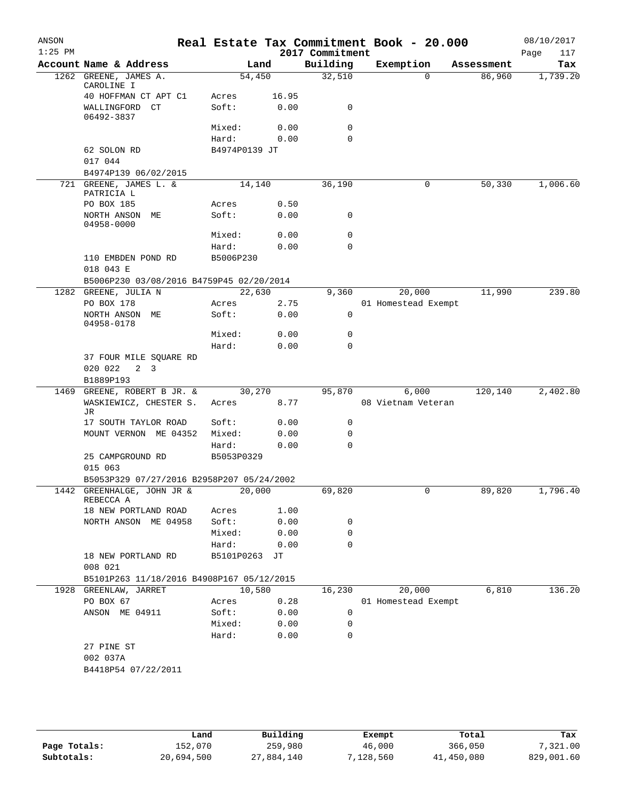| ANSON<br>$1:25$ PM |                                                     |                        |        | 2017 Commitment  | Real Estate Tax Commitment Book - 20.000 |            | 08/10/2017<br>Page<br>117 |
|--------------------|-----------------------------------------------------|------------------------|--------|------------------|------------------------------------------|------------|---------------------------|
|                    | Account Name & Address                              |                        | Land   | Building         | Exemption                                | Assessment | Tax                       |
| 1262               | GREENE, JAMES A.                                    | 54,450                 |        | 32,510           | $\Omega$                                 | 86,960     | 1,739.20                  |
|                    | CAROLINE I                                          |                        |        |                  |                                          |            |                           |
|                    | 40 HOFFMAN CT APT C1                                | Acres                  | 16.95  |                  |                                          |            |                           |
|                    | WALLINGFORD CT<br>06492-3837                        | Soft:                  | 0.00   | 0                |                                          |            |                           |
|                    |                                                     | Mixed:                 | 0.00   | 0                |                                          |            |                           |
|                    |                                                     | Hard:                  | 0.00   | 0                |                                          |            |                           |
|                    | 62 SOLON RD                                         | B4974P0139 JT          |        |                  |                                          |            |                           |
|                    | 017 044                                             |                        |        |                  |                                          |            |                           |
|                    | B4974P139 06/02/2015                                |                        |        |                  |                                          |            |                           |
|                    | 721 GREENE, JAMES L. &<br>PATRICIA L                | 14,140                 |        | 36,190           | 0                                        | 50,330     | 1,006.60                  |
|                    | PO BOX 185                                          | Acres                  | 0.50   |                  |                                          |            |                           |
|                    | NORTH ANSON ME<br>04958-0000                        | Soft:                  | 0.00   | 0                |                                          |            |                           |
|                    |                                                     | Mixed:                 | 0.00   | $\mathbf 0$      |                                          |            |                           |
|                    |                                                     | Hard:                  | 0.00   | 0                |                                          |            |                           |
|                    | 110 EMBDEN POND RD                                  | B5006P230              |        |                  |                                          |            |                           |
|                    | 018 043 E                                           |                        |        |                  |                                          |            |                           |
|                    | B5006P230 03/08/2016 B4759P45 02/20/2014            |                        |        |                  |                                          |            |                           |
|                    | 1282 GREENE, JULIA N                                | 22,630                 |        | 9,360            | 20,000                                   | 11,990     | 239.80                    |
|                    | PO BOX 178                                          | Acres                  | 2.75   |                  | 01 Homestead Exempt                      |            |                           |
|                    | NORTH ANSON ME<br>04958-0178                        | Soft:                  | 0.00   | $\mathbf 0$      |                                          |            |                           |
|                    |                                                     | Mixed:                 | 0.00   | 0                |                                          |            |                           |
|                    |                                                     | Hard:                  | 0.00   | 0                |                                          |            |                           |
|                    | 37 FOUR MILE SQUARE RD<br>020 022<br>2 <sup>3</sup> |                        |        |                  |                                          |            |                           |
|                    | B1889P193                                           |                        |        |                  |                                          |            |                           |
| 1469               | GREENE, ROBERT B JR. &                              | 30,270                 |        | 95,870           | 6,000                                    | 120,140    | 2,402.80                  |
|                    | WASKIEWICZ, CHESTER S.<br>JR                        | Acres                  | 8.77   |                  | 08 Vietnam Veteran                       |            |                           |
|                    | 17 SOUTH TAYLOR ROAD                                | Soft:                  | 0.00   | 0                |                                          |            |                           |
|                    | MOUNT VERNON ME 04352                               | Mixed:                 | 0.00   | 0                |                                          |            |                           |
|                    |                                                     | Hard:                  | 0.00   | 0                |                                          |            |                           |
|                    | 25 CAMPGROUND RD<br>015 063                         | B5053P0329             |        |                  |                                          |            |                           |
|                    | B5053P329 07/27/2016 B2958P207 05/24/2002           |                        |        |                  |                                          |            |                           |
|                    | 1442 GREENHALGE, JOHN JR &<br>REBECCA A             | $\frac{20,000}{ }$     |        | 69,820           |                                          | 89,820     | 1,796.40                  |
|                    | 18 NEW PORTLAND ROAD                                | Acres                  | 1.00   |                  |                                          |            |                           |
|                    | NORTH ANSON ME 04958                                | Soft:                  | 0.00   | 0                |                                          |            |                           |
|                    |                                                     | Mixed:                 | 0.00   | 0                |                                          |            |                           |
|                    | 18 NEW PORTLAND RD                                  | Hard:<br>B5101P0263 JT | 0.00   | $\Omega$         |                                          |            |                           |
|                    | 008 021                                             |                        |        |                  |                                          |            |                           |
|                    | B5101P263 11/18/2016 B4908P167 05/12/2015           |                        |        |                  |                                          |            |                           |
|                    | 1928 GREENLAW, JARRET                               |                        | 10,580 | 16,230           | 20,000                                   | 6,810      | 136.20                    |
|                    | PO BOX 67                                           | Acres                  | 0.28   |                  | 01 Homestead Exempt                      |            |                           |
|                    | ANSON ME 04911                                      | Soft:                  | 0.00   | 0                |                                          |            |                           |
|                    |                                                     | Mixed:                 | 0.00   | 0<br>$\mathbf 0$ |                                          |            |                           |
|                    |                                                     | Hard:                  | 0.00   |                  |                                          |            |                           |
|                    | 27 PINE ST<br>002 037A                              |                        |        |                  |                                          |            |                           |
|                    |                                                     |                        |        |                  |                                          |            |                           |
|                    | B4418P54 07/22/2011                                 |                        |        |                  |                                          |            |                           |
|                    |                                                     |                        |        |                  |                                          |            |                           |

|              | Land       | Building   | Exempt    | Total      | Tax        |
|--------------|------------|------------|-----------|------------|------------|
| Page Totals: | 152,070    | 259,980    | 46,000    | 366,050    | .321.00    |
| Subtotals:   | 20,694,500 | 27,884,140 | 7,128,560 | 41,450,080 | 829,001.60 |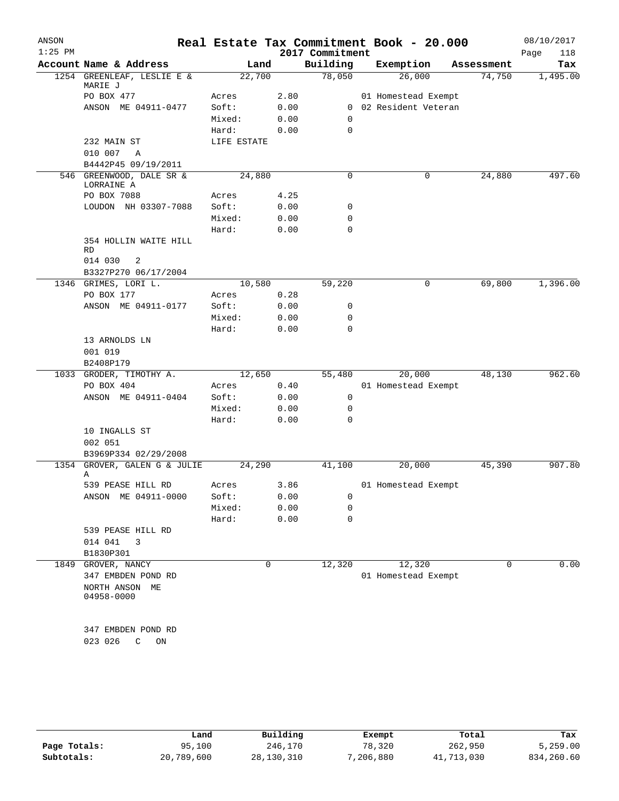| ANSON<br>$1:25$ PM |                                                    |             |      | Real Estate Tax Commitment Book - 20.000<br>2017 Commitment |                       |        |            | 08/10/2017<br>Page<br>118 |
|--------------------|----------------------------------------------------|-------------|------|-------------------------------------------------------------|-----------------------|--------|------------|---------------------------|
|                    | Account Name & Address                             | Land        |      | Building                                                    | Exemption             |        | Assessment | Tax                       |
|                    | 1254 GREENLEAF, LESLIE E &<br>MARIE J              | 22,700      |      | 78,050                                                      |                       | 26,000 | 74,750     | 1,495.00                  |
|                    | PO BOX 477                                         | Acres       | 2.80 |                                                             | 01 Homestead Exempt   |        |            |                           |
|                    | ANSON ME 04911-0477                                | Soft:       | 0.00 |                                                             | 0 02 Resident Veteran |        |            |                           |
|                    |                                                    | Mixed:      | 0.00 | 0                                                           |                       |        |            |                           |
|                    |                                                    | Hard:       | 0.00 | 0                                                           |                       |        |            |                           |
|                    | 232 MAIN ST                                        | LIFE ESTATE |      |                                                             |                       |        |            |                           |
|                    | 010 007<br>A                                       |             |      |                                                             |                       |        |            |                           |
|                    | B4442P45 09/19/2011                                |             |      |                                                             |                       |        |            |                           |
|                    | 546 GREENWOOD, DALE SR &<br>LORRAINE A             | 24,880      |      | 0                                                           |                       | 0      | 24,880     | 497.60                    |
|                    | PO BOX 7088                                        | Acres       | 4.25 |                                                             |                       |        |            |                           |
|                    | LOUDON NH 03307-7088                               | Soft:       | 0.00 | 0                                                           |                       |        |            |                           |
|                    |                                                    | Mixed:      | 0.00 | 0                                                           |                       |        |            |                           |
|                    |                                                    | Hard:       | 0.00 | $\mathbf 0$                                                 |                       |        |            |                           |
|                    | 354 HOLLIN WAITE HILL<br>RD                        |             |      |                                                             |                       |        |            |                           |
|                    | 014 030<br>2                                       |             |      |                                                             |                       |        |            |                           |
|                    | B3327P270 06/17/2004                               |             |      |                                                             |                       |        |            |                           |
|                    | 1346 GRIMES, LORI L.                               | 10,580      |      | 59,220                                                      |                       | 0      | 69,800     | 1,396.00                  |
|                    | PO BOX 177                                         | Acres       | 0.28 |                                                             |                       |        |            |                           |
|                    | ANSON ME 04911-0177                                | Soft:       | 0.00 | 0                                                           |                       |        |            |                           |
|                    |                                                    | Mixed:      | 0.00 | 0                                                           |                       |        |            |                           |
|                    |                                                    | Hard:       | 0.00 | 0                                                           |                       |        |            |                           |
|                    | 13 ARNOLDS LN                                      |             |      |                                                             |                       |        |            |                           |
|                    | 001 019                                            |             |      |                                                             |                       |        |            |                           |
|                    | B2408P179                                          |             |      |                                                             |                       |        |            |                           |
|                    | 1033 GRODER, TIMOTHY A.                            | 12,650      |      | 55,480                                                      |                       | 20,000 | 48,130     | 962.60                    |
|                    | PO BOX 404                                         | Acres       | 0.40 |                                                             | 01 Homestead Exempt   |        |            |                           |
|                    | ANSON ME 04911-0404                                | Soft:       | 0.00 | $\mathbf 0$                                                 |                       |        |            |                           |
|                    |                                                    | Mixed:      | 0.00 | 0                                                           |                       |        |            |                           |
|                    |                                                    | Hard:       | 0.00 | 0                                                           |                       |        |            |                           |
|                    | 10 INGALLS ST                                      |             |      |                                                             |                       |        |            |                           |
|                    | 002 051<br>B3969P334 02/29/2008                    |             |      |                                                             |                       |        |            |                           |
| 1354               | GROVER, GALEN G & JULIE                            | 24,290      |      | 41,100                                                      |                       | 20,000 | 45,390     | 907.80                    |
|                    | Α                                                  |             |      |                                                             |                       |        |            |                           |
|                    | 539 PEASE HILL RD                                  | Acres       | 3.86 |                                                             | 01 Homestead Exempt   |        |            |                           |
|                    | ANSON ME 04911-0000                                | Soft:       | 0.00 | 0                                                           |                       |        |            |                           |
|                    |                                                    | Mixed:      | 0.00 | $\mathbf 0$                                                 |                       |        |            |                           |
|                    |                                                    | Hard:       | 0.00 | $\mathbf 0$                                                 |                       |        |            |                           |
|                    | 539 PEASE HILL RD                                  |             |      |                                                             |                       |        |            |                           |
|                    | 014 041<br>3                                       |             |      |                                                             |                       |        |            |                           |
|                    | B1830P301                                          |             |      |                                                             |                       |        |            |                           |
| 1849               | GROVER, NANCY                                      |             | 0    | 12,320                                                      |                       | 12,320 | 0          | 0.00                      |
|                    | 347 EMBDEN POND RD<br>NORTH ANSON ME<br>04958-0000 |             |      |                                                             | 01 Homestead Exempt   |        |            |                           |
|                    | 347 EMBDEN POND RD<br>023 026<br>C<br>ON           |             |      |                                                             |                       |        |            |                           |
|                    |                                                    |             |      |                                                             |                       |        |            |                           |

|              | Land       | Building     | Exempt   | Total      | Tax        |
|--------------|------------|--------------|----------|------------|------------|
| Page Totals: | 95,100     | 246,170      | 78,320   | 262,950    | 5,259.00   |
| Subtotals:   | 20,789,600 | 28, 130, 310 | ,206,880 | 41,713,030 | 834,260.60 |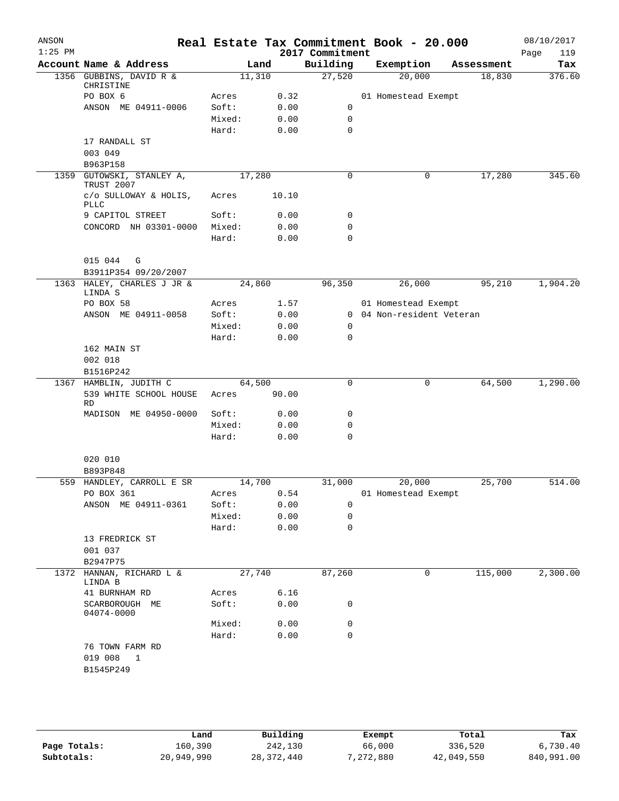| ANSON<br>$1:25$ PM |                                                    |        |       | Real Estate Tax Commitment Book - 20.000<br>2017 Commitment |                           |   |            | 08/10/2017<br>Page<br>119 |
|--------------------|----------------------------------------------------|--------|-------|-------------------------------------------------------------|---------------------------|---|------------|---------------------------|
|                    | Account Name & Address                             |        | Land  | Building                                                    | Exemption                 |   | Assessment | Tax                       |
|                    | 1356 GUBBINS, DAVID R &<br>CHRISTINE               | 11,310 |       | 27,520                                                      | 20,000                    |   | 18,830     | 376.60                    |
|                    | PO BOX 6                                           | Acres  | 0.32  |                                                             | 01 Homestead Exempt       |   |            |                           |
|                    | ANSON ME 04911-0006                                | Soft:  | 0.00  | 0                                                           |                           |   |            |                           |
|                    |                                                    | Mixed: | 0.00  | $\mathbf 0$                                                 |                           |   |            |                           |
|                    |                                                    | Hard:  | 0.00  | $\mathbf 0$                                                 |                           |   |            |                           |
|                    | 17 RANDALL ST<br>003 049                           |        |       |                                                             |                           |   |            |                           |
|                    | B963P158                                           |        |       |                                                             |                           |   |            |                           |
|                    | 1359 GUTOWSKI, STANLEY A,<br>TRUST 2007            | 17,280 |       | 0                                                           |                           | 0 | 17,280     | 345.60                    |
|                    | c/o SULLOWAY & HOLIS,<br>PLLC                      | Acres  | 10.10 |                                                             |                           |   |            |                           |
|                    | 9 CAPITOL STREET                                   | Soft:  | 0.00  | 0                                                           |                           |   |            |                           |
|                    | CONCORD NH 03301-0000                              | Mixed: | 0.00  | 0                                                           |                           |   |            |                           |
|                    |                                                    | Hard:  | 0.00  | $\mathbf 0$                                                 |                           |   |            |                           |
|                    | 015 044<br>G                                       |        |       |                                                             |                           |   |            |                           |
|                    | B3911P354 09/20/2007<br>1363 HALEY, CHARLES J JR & |        |       | 96,350                                                      | 26,000                    |   | 95,210     |                           |
|                    | LINDA S                                            | 24,860 |       |                                                             |                           |   |            | 1,904.20                  |
|                    | PO BOX 58                                          | Acres  | 1.57  |                                                             | 01 Homestead Exempt       |   |            |                           |
|                    | ANSON ME 04911-0058                                | Soft:  | 0.00  |                                                             | 0 04 Non-resident Veteran |   |            |                           |
|                    |                                                    | Mixed: | 0.00  | 0                                                           |                           |   |            |                           |
|                    |                                                    | Hard:  | 0.00  | $\mathbf 0$                                                 |                           |   |            |                           |
|                    | 162 MAIN ST<br>002 018<br>B1516P242                |        |       |                                                             |                           |   |            |                           |
|                    | 1367 HAMBLIN, JUDITH C                             | 64,500 |       | 0                                                           |                           | 0 | 64,500     | 1,290.00                  |
|                    | 539 WHITE SCHOOL HOUSE<br><b>RD</b>                | Acres  | 90.00 |                                                             |                           |   |            |                           |
|                    | MADISON ME 04950-0000                              | Soft:  | 0.00  | 0                                                           |                           |   |            |                           |
|                    |                                                    | Mixed: | 0.00  | 0                                                           |                           |   |            |                           |
|                    |                                                    | Hard:  | 0.00  | $\mathbf 0$                                                 |                           |   |            |                           |
|                    | 020 010<br>B893P848                                |        |       |                                                             |                           |   |            |                           |
|                    | 559 HANDLEY, CARROLL E SR                          | 14,700 |       | 31,000                                                      | 20,000                    |   | 25,700     | 514.00                    |
|                    | PO BOX 361                                         | Acres  | 0.54  |                                                             | 01 Homestead Exempt       |   |            |                           |
|                    | ANSON ME 04911-0361                                | Soft:  | 0.00  | 0                                                           |                           |   |            |                           |
|                    |                                                    | Mixed: | 0.00  | 0                                                           |                           |   |            |                           |
|                    |                                                    | Hard:  | 0.00  | $\mathbf 0$                                                 |                           |   |            |                           |
|                    | 13 FREDRICK ST<br>001 037                          |        |       |                                                             |                           |   |            |                           |
|                    | B2947P75                                           |        |       |                                                             |                           |   |            |                           |
|                    | 1372 HANNAN, RICHARD L &<br>LINDA B                | 27,740 |       | 87,260                                                      |                           | 0 | 115,000    | 2,300.00                  |
|                    | 41 BURNHAM RD                                      | Acres  | 6.16  |                                                             |                           |   |            |                           |
|                    | SCARBOROUGH ME<br>04074-0000                       | Soft:  | 0.00  | 0                                                           |                           |   |            |                           |
|                    |                                                    | Mixed: | 0.00  | 0                                                           |                           |   |            |                           |
|                    |                                                    | Hard:  | 0.00  | $\mathbf 0$                                                 |                           |   |            |                           |
|                    | 76 TOWN FARM RD<br>019 008<br>1<br>B1545P249       |        |       |                                                             |                           |   |            |                           |
|                    |                                                    |        |       |                                                             |                           |   |            |                           |

|              | Land       | Building     | Exempt    | Total      | Tax        |
|--------------|------------|--------------|-----------|------------|------------|
| Page Totals: | 160.390    | 242,130      | 66,000    | 336,520    | 6,730.40   |
| Subtotals:   | 20,949,990 | 28, 372, 440 | 7,272,880 | 42,049,550 | 840,991.00 |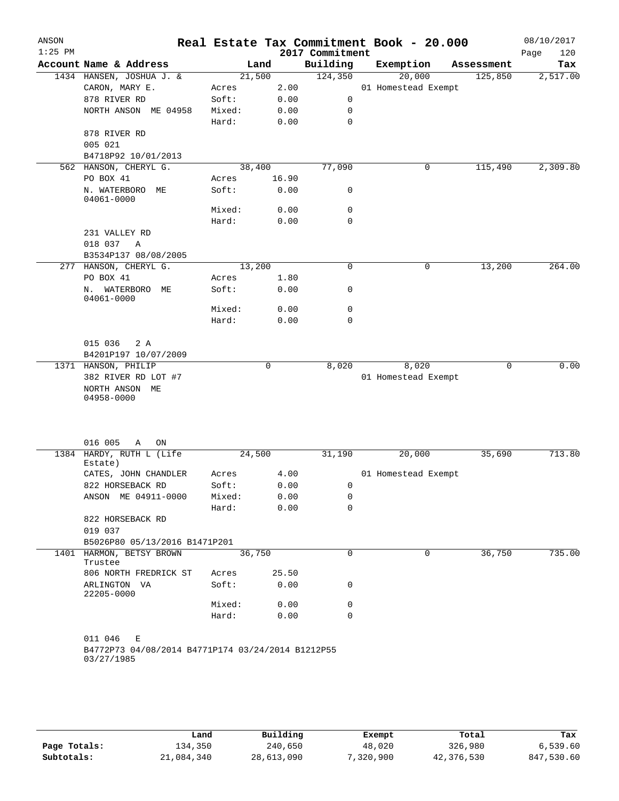| Account Name & Address<br>1434 HANSEN, JOSHUA J. &<br>CARON, MARY E.<br>878 RIVER RD<br>NORTH ANSON ME 04958<br>878 RIVER RD<br>005 021<br>B4718P92 10/01/2013<br>562 HANSON, CHERYL G.<br>PO BOX 41<br>N. WATERBORO<br>ME<br>04061-0000<br>231 VALLEY RD | Acres<br>Soft:<br>Mixed:<br>Hard:<br>Acres<br>Soft:<br>Mixed: | Land<br>21,500<br>2.00<br>0.00<br>0.00<br>0.00<br>38,400<br>16.90<br>0.00 | 2017 Commitment<br>Building<br>124,350<br>0<br>0<br>0<br>77,090 | Exemption<br>20,000<br>01 Homestead Exempt                                                                                                                   | Assessment<br>125,850 | Page<br>120<br>Tax<br>2,517.00                       |
|-----------------------------------------------------------------------------------------------------------------------------------------------------------------------------------------------------------------------------------------------------------|---------------------------------------------------------------|---------------------------------------------------------------------------|-----------------------------------------------------------------|--------------------------------------------------------------------------------------------------------------------------------------------------------------|-----------------------|------------------------------------------------------|
|                                                                                                                                                                                                                                                           |                                                               |                                                                           |                                                                 |                                                                                                                                                              |                       |                                                      |
|                                                                                                                                                                                                                                                           |                                                               |                                                                           |                                                                 |                                                                                                                                                              |                       |                                                      |
|                                                                                                                                                                                                                                                           |                                                               |                                                                           |                                                                 |                                                                                                                                                              |                       |                                                      |
|                                                                                                                                                                                                                                                           |                                                               |                                                                           |                                                                 |                                                                                                                                                              |                       |                                                      |
|                                                                                                                                                                                                                                                           |                                                               |                                                                           |                                                                 |                                                                                                                                                              |                       |                                                      |
|                                                                                                                                                                                                                                                           |                                                               |                                                                           |                                                                 |                                                                                                                                                              |                       |                                                      |
|                                                                                                                                                                                                                                                           |                                                               |                                                                           |                                                                 |                                                                                                                                                              |                       |                                                      |
|                                                                                                                                                                                                                                                           |                                                               |                                                                           |                                                                 |                                                                                                                                                              |                       |                                                      |
|                                                                                                                                                                                                                                                           |                                                               |                                                                           |                                                                 |                                                                                                                                                              |                       |                                                      |
|                                                                                                                                                                                                                                                           |                                                               |                                                                           |                                                                 | 0                                                                                                                                                            | 115,490               | 2,309.80                                             |
|                                                                                                                                                                                                                                                           |                                                               |                                                                           |                                                                 |                                                                                                                                                              |                       |                                                      |
|                                                                                                                                                                                                                                                           |                                                               |                                                                           | 0                                                               |                                                                                                                                                              |                       |                                                      |
|                                                                                                                                                                                                                                                           |                                                               | 0.00                                                                      | 0                                                               |                                                                                                                                                              |                       |                                                      |
|                                                                                                                                                                                                                                                           | Hard:                                                         | 0.00                                                                      | $\mathbf 0$                                                     |                                                                                                                                                              |                       |                                                      |
| 018 037<br>A                                                                                                                                                                                                                                              |                                                               |                                                                           |                                                                 |                                                                                                                                                              |                       |                                                      |
| B3534P137 08/08/2005                                                                                                                                                                                                                                      |                                                               |                                                                           |                                                                 |                                                                                                                                                              |                       |                                                      |
| 277 HANSON, CHERYL G.                                                                                                                                                                                                                                     |                                                               |                                                                           | 0                                                               | 0                                                                                                                                                            | 13,200                | 264.00                                               |
| PO BOX 41                                                                                                                                                                                                                                                 | Acres                                                         |                                                                           |                                                                 |                                                                                                                                                              |                       |                                                      |
| Ν.<br>WATERBORO ME<br>04061-0000                                                                                                                                                                                                                          | Soft:                                                         |                                                                           | 0                                                               |                                                                                                                                                              |                       |                                                      |
|                                                                                                                                                                                                                                                           | Mixed:                                                        |                                                                           | 0                                                               |                                                                                                                                                              |                       |                                                      |
|                                                                                                                                                                                                                                                           | Hard:                                                         |                                                                           | $\mathbf 0$                                                     |                                                                                                                                                              |                       |                                                      |
| 015 036<br>2 A<br>B4201P197 10/07/2009                                                                                                                                                                                                                    |                                                               |                                                                           |                                                                 |                                                                                                                                                              |                       |                                                      |
| 1371 HANSON, PHILIP                                                                                                                                                                                                                                       |                                                               | 0                                                                         | 8,020                                                           | 8,020                                                                                                                                                        | 0                     | 0.00                                                 |
| 382 RIVER RD LOT #7<br>NORTH ANSON ME<br>04958-0000                                                                                                                                                                                                       |                                                               |                                                                           |                                                                 |                                                                                                                                                              |                       |                                                      |
| 016 005<br>Α<br>ON                                                                                                                                                                                                                                        |                                                               |                                                                           |                                                                 |                                                                                                                                                              |                       | 713.80                                               |
| Estate)                                                                                                                                                                                                                                                   |                                                               |                                                                           |                                                                 |                                                                                                                                                              |                       |                                                      |
| CATES, JOHN CHANDLER                                                                                                                                                                                                                                      | Acres                                                         |                                                                           |                                                                 |                                                                                                                                                              |                       |                                                      |
| 822 HORSEBACK RD                                                                                                                                                                                                                                          | Soft:                                                         |                                                                           | 0                                                               |                                                                                                                                                              |                       |                                                      |
| ANSON ME 04911-0000                                                                                                                                                                                                                                       | Mixed:                                                        |                                                                           | 0                                                               |                                                                                                                                                              |                       |                                                      |
|                                                                                                                                                                                                                                                           | Hard:                                                         |                                                                           | $\mathbf 0$                                                     |                                                                                                                                                              |                       |                                                      |
| 822 HORSEBACK RD<br>019 037                                                                                                                                                                                                                               |                                                               |                                                                           |                                                                 |                                                                                                                                                              |                       |                                                      |
|                                                                                                                                                                                                                                                           |                                                               |                                                                           |                                                                 |                                                                                                                                                              |                       |                                                      |
| 1401 HARMON, BETSY BROWN<br>Trustee                                                                                                                                                                                                                       |                                                               |                                                                           | 0                                                               | 0                                                                                                                                                            | 36,750                | 735.00                                               |
| 806 NORTH FREDRICK ST                                                                                                                                                                                                                                     | Acres                                                         |                                                                           |                                                                 |                                                                                                                                                              |                       |                                                      |
| ARLINGTON VA<br>22205-0000                                                                                                                                                                                                                                | Soft:                                                         |                                                                           | 0                                                               |                                                                                                                                                              |                       |                                                      |
|                                                                                                                                                                                                                                                           | Mixed:                                                        |                                                                           | 0                                                               |                                                                                                                                                              |                       |                                                      |
|                                                                                                                                                                                                                                                           | Hard:                                                         |                                                                           | 0                                                               |                                                                                                                                                              |                       |                                                      |
| 011 046<br>Е<br>03/27/1985                                                                                                                                                                                                                                |                                                               |                                                                           |                                                                 |                                                                                                                                                              |                       |                                                      |
|                                                                                                                                                                                                                                                           | 1384 HARDY, RUTH L (Life                                      | B5026P80 05/13/2016 B1471P201                                             | 13,200<br>24,500<br>36,750                                      | 1.80<br>0.00<br>0.00<br>0.00<br>31,190<br>4.00<br>0.00<br>0.00<br>0.00<br>25.50<br>0.00<br>0.00<br>0.00<br>B4772P73 04/08/2014 B4771P174 03/24/2014 B1212P55 | 20,000                | 01 Homestead Exempt<br>35,690<br>01 Homestead Exempt |

|              | Land       | Building   | Exempt     | Total      | Tax        |
|--------------|------------|------------|------------|------------|------------|
| Page Totals: | 134,350    | 240,650    | 48,020     | 326,980    | 6.539.60   |
| Subtotals:   | 21,084,340 | 28,613,090 | 900, 320'' | 42,376,530 | 847,530.60 |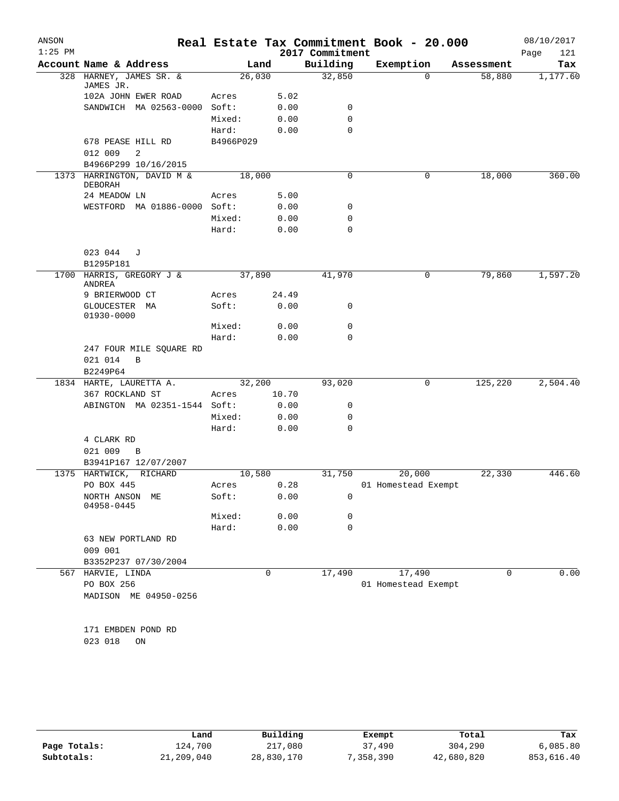| ANSON     |                                         |           |                                 |                 | Real Estate Tax Commitment Book - 20.000 |            | 08/10/2017  |
|-----------|-----------------------------------------|-----------|---------------------------------|-----------------|------------------------------------------|------------|-------------|
| $1:25$ PM |                                         |           |                                 | 2017 Commitment |                                          |            | 121<br>Page |
|           | Account Name & Address                  | Land      |                                 | Building        | Exemption                                | Assessment | Tax         |
|           | 328 HARNEY, JAMES SR. &<br>JAMES JR.    | 26,030    |                                 | 32,850          | $\Omega$                                 | 58,880     | 1,177.60    |
|           | 102A JOHN EWER ROAD                     | Acres     | 5.02                            |                 |                                          |            |             |
|           | SANDWICH MA 02563-0000                  | Soft:     | 0.00                            | 0               |                                          |            |             |
|           |                                         | Mixed:    | 0.00                            | $\mathbf 0$     |                                          |            |             |
|           |                                         | Hard:     | 0.00                            | $\mathbf 0$     |                                          |            |             |
|           | 678 PEASE HILL RD                       | B4966P029 |                                 |                 |                                          |            |             |
|           | 012 009<br>2                            |           |                                 |                 |                                          |            |             |
|           | B4966P299 10/16/2015                    |           |                                 |                 |                                          |            |             |
|           | 1373 HARRINGTON, DAVID M &<br>DEBORAH   | 18,000    |                                 | 0               | 0                                        | 18,000     | 360.00      |
|           | 24 MEADOW LN                            | Acres     | 5.00                            |                 |                                          |            |             |
|           | WESTFORD MA 01886-0000                  | Soft:     | 0.00                            | 0               |                                          |            |             |
|           |                                         | Mixed:    | 0.00                            | 0               |                                          |            |             |
|           |                                         | Hard:     | 0.00                            | $\mathbf 0$     |                                          |            |             |
|           | 023 044<br>J                            |           |                                 |                 |                                          |            |             |
|           | B1295P181                               |           |                                 |                 |                                          |            |             |
| 1700      | HARRIS, GREGORY J &<br><b>ANDREA</b>    | 37,890    |                                 | 41,970          | 0                                        | 79,860     | 1,597.20    |
|           | 9 BRIERWOOD CT                          | Acres     | 24.49                           |                 |                                          |            |             |
|           | GLOUCESTER MA<br>01930-0000             | Soft:     | 0.00                            | 0               |                                          |            |             |
|           |                                         | Mixed:    | 0.00                            | 0               |                                          |            |             |
|           |                                         | Hard:     | 0.00                            | $\Omega$        |                                          |            |             |
|           | 247 FOUR MILE SQUARE RD<br>021 014<br>B |           |                                 |                 |                                          |            |             |
|           | B2249P64                                |           |                                 |                 |                                          |            |             |
|           | 1834 HARTE, LAURETTA A.                 | 32,200    |                                 | 93,020          | 0                                        | 125,220    | 2,504.40    |
|           | 367 ROCKLAND ST                         | Acres     | 10.70                           |                 |                                          |            |             |
|           | ABINGTON MA 02351-1544 Soft:            |           | 0.00                            | 0               |                                          |            |             |
|           |                                         | Mixed:    | 0.00                            | 0               |                                          |            |             |
|           |                                         | Hard:     | 0.00                            | $\mathbf 0$     |                                          |            |             |
|           | 4 CLARK RD                              |           |                                 |                 |                                          |            |             |
|           | 021 009<br>B                            |           |                                 |                 |                                          |            |             |
|           | B3941P167 12/07/2007                    |           |                                 |                 |                                          |            |             |
|           | 1375 HARTWICK, RICHARD                  | 10,580    |                                 | 31,750          | 20,000                                   | 22,330     | 446.60      |
|           | PO BOX 445                              | Acres     | 0.28                            |                 | 01 Homestead Exempt                      |            |             |
|           | NORTH ANSON ME<br>04958-0445            | Soft:     | ${\bf 0}$ . ${\bf 0}$ ${\bf 0}$ | 0               |                                          |            |             |
|           |                                         | Mixed:    | 0.00                            | 0               |                                          |            |             |
|           |                                         | Hard:     | 0.00                            | $\mathbf 0$     |                                          |            |             |
|           | 63 NEW PORTLAND RD<br>009 001           |           |                                 |                 |                                          |            |             |
|           | B3352P237 07/30/2004                    |           |                                 |                 |                                          |            |             |
| 567       | HARVIE, LINDA                           |           | $\mathbf 0$                     | 17,490          | 17,490                                   | $\Omega$   | 0.00        |
|           | PO BOX 256                              |           |                                 |                 | 01 Homestead Exempt                      |            |             |
|           | MADISON ME 04950-0256                   |           |                                 |                 |                                          |            |             |
|           | 171 EMBDEN POND RD                      |           |                                 |                 |                                          |            |             |
|           | 023 018<br>ON                           |           |                                 |                 |                                          |            |             |
|           |                                         |           |                                 |                 |                                          |            |             |

|              | Land       | Building   | Exempt   | Total      | Tax        |
|--------------|------------|------------|----------|------------|------------|
| Page Totals: | 124,700    | 217,080    | 37,490   | 304,290    | 6,085.80   |
| Subtotals:   | 21,209,040 | 28,830,170 | ,358,390 | 42,680,820 | 853,616.40 |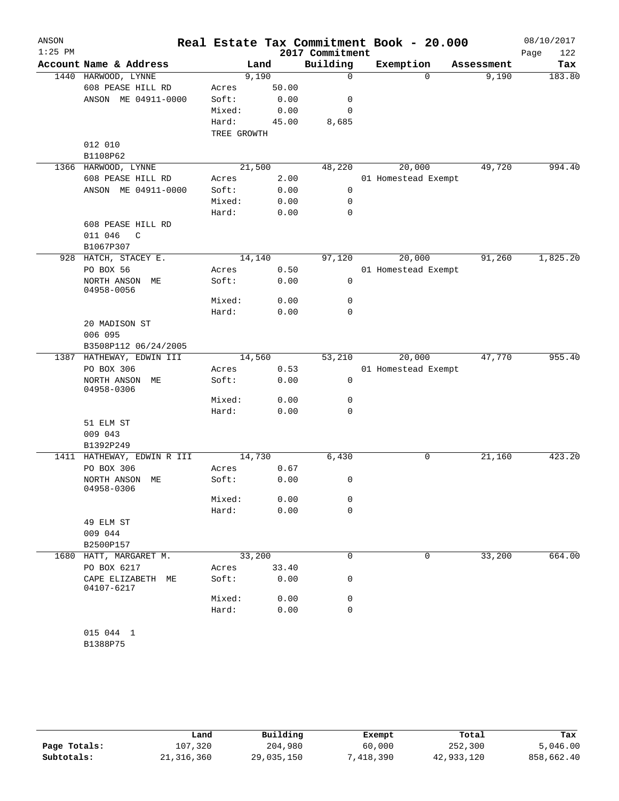| ANSON<br>$1:25$ PM |                                 |             |        | 2017 Commitment | Real Estate Tax Commitment Book - 20.000 |            | 08/10/2017<br>Page<br>122 |
|--------------------|---------------------------------|-------------|--------|-----------------|------------------------------------------|------------|---------------------------|
|                    | Account Name & Address          |             | Land   | Building        | Exemption                                | Assessment | Tax                       |
|                    | 1440 HARWOOD, LYNNE             |             | 9,190  | $\mathbf 0$     | $\Omega$                                 | 9,190      | 183.80                    |
|                    | 608 PEASE HILL RD               | Acres       | 50.00  |                 |                                          |            |                           |
|                    | ANSON ME 04911-0000             | Soft:       | 0.00   | 0               |                                          |            |                           |
|                    |                                 | Mixed:      | 0.00   | 0               |                                          |            |                           |
|                    |                                 | Hard:       | 45.00  | 8,685           |                                          |            |                           |
|                    |                                 | TREE GROWTH |        |                 |                                          |            |                           |
|                    | 012 010                         |             |        |                 |                                          |            |                           |
|                    | B1108P62                        |             |        |                 |                                          |            |                           |
|                    | 1366 HARWOOD, LYNNE             |             | 21,500 | 48,220          | 20,000                                   | 49,720     | 994.40                    |
|                    | 608 PEASE HILL RD               | Acres       | 2.00   |                 | 01 Homestead Exempt                      |            |                           |
|                    | ANSON ME 04911-0000             | Soft:       | 0.00   | 0               |                                          |            |                           |
|                    |                                 |             |        |                 |                                          |            |                           |
|                    |                                 | Mixed:      | 0.00   | 0               |                                          |            |                           |
|                    |                                 | Hard:       | 0.00   | 0               |                                          |            |                           |
|                    | 608 PEASE HILL RD               |             |        |                 |                                          |            |                           |
|                    | 011 046<br>C                    |             |        |                 |                                          |            |                           |
|                    | B1067P307                       |             |        |                 |                                          |            |                           |
|                    | 928 HATCH, STACEY E.            |             | 14,140 | 97,120          | 20,000                                   | 91,260     | 1,825.20                  |
|                    | PO BOX 56                       | Acres       | 0.50   |                 | 01 Homestead Exempt                      |            |                           |
|                    | NORTH ANSON ME<br>04958-0056    | Soft:       | 0.00   | 0               |                                          |            |                           |
|                    |                                 | Mixed:      | 0.00   | 0               |                                          |            |                           |
|                    |                                 | Hard:       | 0.00   | 0               |                                          |            |                           |
|                    | 20 MADISON ST                   |             |        |                 |                                          |            |                           |
|                    | 006 095                         |             |        |                 |                                          |            |                           |
|                    | B3508P112 06/24/2005            |             |        |                 |                                          |            |                           |
|                    | 1387 HATHEWAY, EDWIN III        |             | 14,560 | 53,210          | 20,000                                   | 47,770     | 955.40                    |
|                    | PO BOX 306                      | Acres       | 0.53   |                 | 01 Homestead Exempt                      |            |                           |
|                    | NORTH ANSON<br>MЕ<br>04958-0306 | Soft:       | 0.00   | 0               |                                          |            |                           |
|                    |                                 | Mixed:      | 0.00   | 0               |                                          |            |                           |
|                    |                                 | Hard:       | 0.00   | 0               |                                          |            |                           |
|                    | 51 ELM ST                       |             |        |                 |                                          |            |                           |
|                    | 009 043                         |             |        |                 |                                          |            |                           |
|                    | B1392P249                       |             |        |                 |                                          |            |                           |
|                    | 1411 HATHEWAY, EDWIN R III      |             | 14,730 | 6,430           | 0                                        | 21,160     | 423.20                    |
|                    | PO BOX 306                      |             | 0.67   |                 |                                          |            |                           |
|                    |                                 | Acres       |        |                 |                                          |            |                           |
|                    | NORTH ANSON ME<br>04958-0306    | Soft:       | 0.00   | 0               |                                          |            |                           |
|                    |                                 | Mixed:      | 0.00   | 0               |                                          |            |                           |
|                    |                                 | Hard:       | 0.00   | 0               |                                          |            |                           |
|                    | 49 ELM ST                       |             |        |                 |                                          |            |                           |
|                    | 009 044                         |             |        |                 |                                          |            |                           |
|                    |                                 |             |        |                 |                                          |            |                           |
|                    | B2500P157                       |             |        |                 |                                          |            |                           |
|                    | 1680 HATT, MARGARET M.          |             | 33,200 | 0               | 0                                        | 33,200     | 664.00                    |
|                    | PO BOX 6217                     | Acres       | 33.40  |                 |                                          |            |                           |
|                    | CAPE ELIZABETH ME<br>04107-6217 | Soft:       | 0.00   | 0               |                                          |            |                           |
|                    |                                 | Mixed:      | 0.00   | 0               |                                          |            |                           |
|                    |                                 | Hard:       | 0.00   | 0               |                                          |            |                           |
|                    | 015 044 1<br>B1388P75           |             |        |                 |                                          |            |                           |

|              | Land         | Building   | Exempt   | Total      | Tax        |
|--------------|--------------|------------|----------|------------|------------|
| Page Totals: | 107,320      | 204,980    | 60,000   | 252,300    | 5.046.00   |
| Subtotals:   | 21, 316, 360 | 29,035,150 | 418,390" | 42,933,120 | 858,662.40 |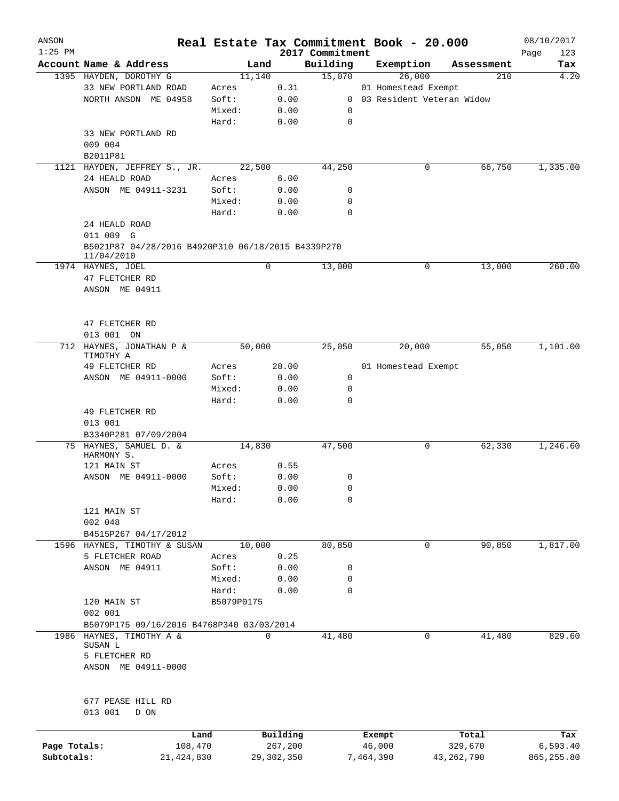| ANSON<br>$1:25$ PM |                                                                  |              |            |        |              |                             | Real Estate Tax Commitment Book - 20.000 |              | 08/10/2017         |
|--------------------|------------------------------------------------------------------|--------------|------------|--------|--------------|-----------------------------|------------------------------------------|--------------|--------------------|
|                    | Account Name & Address                                           |              |            | Land   |              | 2017 Commitment<br>Building | Exemption                                | Assessment   | Page<br>123<br>Tax |
|                    | 1395 HAYDEN, DOROTHY G                                           |              |            | 11,140 |              | 15,070                      | 26,000                                   | 210          | 4.20               |
|                    | 33 NEW PORTLAND ROAD                                             |              | Acres      |        | 0.31         |                             | 01 Homestead Exempt                      |              |                    |
|                    | NORTH ANSON ME 04958                                             |              | Soft:      |        | 0.00         |                             | 0 03 Resident Veteran Widow              |              |                    |
|                    |                                                                  |              | Mixed:     |        | 0.00         | 0                           |                                          |              |                    |
|                    |                                                                  |              | Hard:      |        | 0.00         | $\mathbf 0$                 |                                          |              |                    |
|                    | 33 NEW PORTLAND RD                                               |              |            |        |              |                             |                                          |              |                    |
|                    | 009 004                                                          |              |            |        |              |                             |                                          |              |                    |
|                    | B2011P81                                                         |              |            |        |              |                             |                                          |              |                    |
|                    | 1121 HAYDEN, JEFFREY S., JR.                                     |              |            | 22,500 |              | 44,250                      | 0                                        | 66,750       | 1,335.00           |
|                    | 24 HEALD ROAD                                                    |              | Acres      |        | 6.00         |                             |                                          |              |                    |
|                    | ANSON ME 04911-3231                                              |              | Soft:      |        | 0.00         | 0                           |                                          |              |                    |
|                    |                                                                  |              | Mixed:     |        | 0.00         | 0                           |                                          |              |                    |
|                    |                                                                  |              | Hard:      |        | 0.00         | $\mathbf 0$                 |                                          |              |                    |
|                    |                                                                  |              |            |        |              |                             |                                          |              |                    |
|                    | 24 HEALD ROAD                                                    |              |            |        |              |                             |                                          |              |                    |
|                    | 011 009 G                                                        |              |            |        |              |                             |                                          |              |                    |
|                    | B5021P87 04/28/2016 B4920P310 06/18/2015 B4339P270<br>11/04/2010 |              |            |        |              |                             |                                          |              |                    |
|                    | 1974 HAYNES, JOEL                                                |              |            | 0      |              | 13,000                      | 0                                        | 13,000       | 260.00             |
|                    | 47 FLETCHER RD                                                   |              |            |        |              |                             |                                          |              |                    |
|                    | ANSON ME 04911                                                   |              |            |        |              |                             |                                          |              |                    |
|                    |                                                                  |              |            |        |              |                             |                                          |              |                    |
|                    |                                                                  |              |            |        |              |                             |                                          |              |                    |
|                    | 47 FLETCHER RD                                                   |              |            |        |              |                             |                                          |              |                    |
|                    | 013 001 ON                                                       |              |            |        |              |                             |                                          |              |                    |
|                    | 712 HAYNES, JONATHAN P &                                         |              |            | 50,000 |              | 25,050                      | 20,000                                   | 55,050       | 1,101.00           |
|                    | TIMOTHY A                                                        |              |            |        |              |                             |                                          |              |                    |
|                    | 49 FLETCHER RD                                                   |              | Acres      |        | 28.00        |                             | 01 Homestead Exempt                      |              |                    |
|                    | ANSON ME 04911-0000                                              |              | Soft:      |        | 0.00         | 0                           |                                          |              |                    |
|                    |                                                                  |              | Mixed:     |        | 0.00         | 0                           |                                          |              |                    |
|                    |                                                                  |              | Hard:      |        | 0.00         | 0                           |                                          |              |                    |
|                    | 49 FLETCHER RD                                                   |              |            |        |              |                             |                                          |              |                    |
|                    | 013 001                                                          |              |            |        |              |                             |                                          |              |                    |
|                    | B3340P281 07/09/2004                                             |              |            |        |              |                             |                                          |              |                    |
|                    | 75 HAYNES, SAMUEL D. &                                           |              |            | 14,830 |              | 47,500                      | 0                                        | 62,330       | 1,246.60           |
|                    | HARMONY S.                                                       |              |            |        |              |                             |                                          |              |                    |
|                    | 121 MAIN ST                                                      |              | Acres      |        | 0.55         |                             |                                          |              |                    |
|                    | ANSON ME 04911-0000                                              |              | Soft:      |        | 0.00         | 0                           |                                          |              |                    |
|                    |                                                                  |              | Mixed:     |        | 0.00         | 0                           |                                          |              |                    |
|                    |                                                                  |              | Hard:      |        | 0.00         | 0                           |                                          |              |                    |
|                    | 121 MAIN ST                                                      |              |            |        |              |                             |                                          |              |                    |
|                    | 002 048                                                          |              |            |        |              |                             |                                          |              |                    |
|                    | B4515P267 04/17/2012                                             |              |            |        |              |                             |                                          |              |                    |
|                    | 1596 HAYNES, TIMOTHY & SUSAN                                     |              |            | 10,000 |              | 80,850                      | $\mathbf 0$                              | 90,850       | 1,817.00           |
|                    | 5 FLETCHER ROAD                                                  |              | Acres      |        | 0.25         |                             |                                          |              |                    |
|                    | ANSON ME 04911                                                   |              | Soft:      |        | 0.00         | 0                           |                                          |              |                    |
|                    |                                                                  |              | Mixed:     |        | 0.00         | 0                           |                                          |              |                    |
|                    |                                                                  |              | Hard:      |        | 0.00         | 0                           |                                          |              |                    |
|                    | 120 MAIN ST                                                      |              | B5079P0175 |        |              |                             |                                          |              |                    |
|                    | 002 001                                                          |              |            |        |              |                             |                                          |              |                    |
|                    | B5079P175 09/16/2016 B4768P340 03/03/2014                        |              |            |        |              |                             |                                          |              |                    |
| 1986               | HAYNES, TIMOTHY A &                                              |              |            | 0      |              | 41,480                      | 0                                        | 41,480       | 829.60             |
|                    | SUSAN L                                                          |              |            |        |              |                             |                                          |              |                    |
|                    | 5 FLETCHER RD                                                    |              |            |        |              |                             |                                          |              |                    |
|                    | ANSON ME 04911-0000                                              |              |            |        |              |                             |                                          |              |                    |
|                    |                                                                  |              |            |        |              |                             |                                          |              |                    |
|                    |                                                                  |              |            |        |              |                             |                                          |              |                    |
|                    | 677 PEASE HILL RD                                                |              |            |        |              |                             |                                          |              |                    |
|                    | 013 001<br>D ON                                                  |              |            |        |              |                             |                                          |              |                    |
|                    |                                                                  |              |            |        |              |                             |                                          |              |                    |
|                    |                                                                  | Land         |            |        | Building     |                             | Exempt                                   | Total        | Tax                |
| Page Totals:       |                                                                  | 108,470      |            |        | 267,200      |                             | 46,000                                   | 329,670      | 6,593.40           |
| Subtotals:         |                                                                  | 21, 424, 830 |            |        | 29, 302, 350 |                             | 7,464,390                                | 43, 262, 790 | 865, 255.80        |
|                    |                                                                  |              |            |        |              |                             |                                          |              |                    |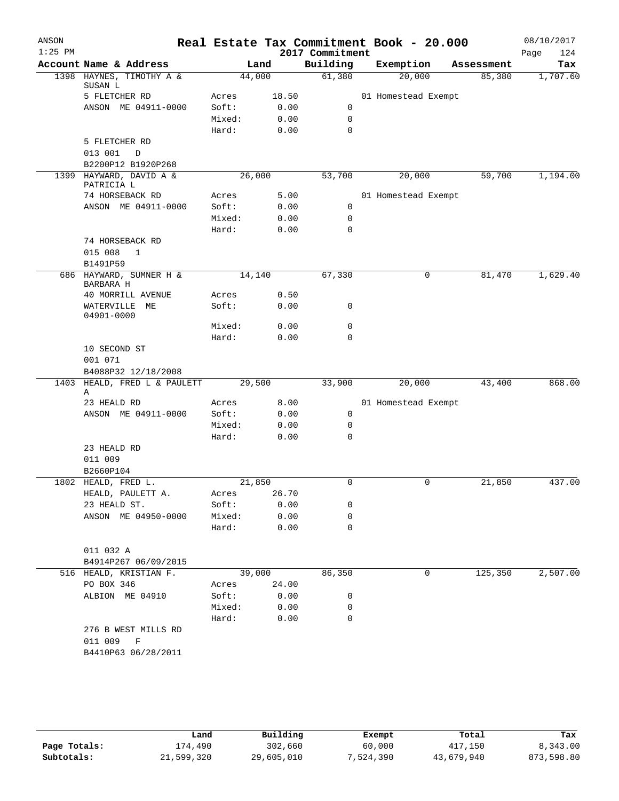| ANSON<br>$1:25$ PM |                                                |                 |              |                             | Real Estate Tax Commitment Book - 20.000 |              | 08/10/2017         |
|--------------------|------------------------------------------------|-----------------|--------------|-----------------------------|------------------------------------------|--------------|--------------------|
|                    | Account Name & Address                         |                 | Land         | 2017 Commitment<br>Building | Exemption                                | Assessment   | Page<br>124<br>Tax |
|                    | 1398 HAYNES, TIMOTHY A &<br>SUSAN L            | 44,000          |              | 61,380                      | 20,000                                   | 85,380       | 1,707.60           |
|                    | 5 FLETCHER RD                                  | Acres           | 18.50        |                             | 01 Homestead Exempt                      |              |                    |
|                    | ANSON ME 04911-0000                            | Soft:           | 0.00         | 0                           |                                          |              |                    |
|                    |                                                | Mixed:          | 0.00         | 0                           |                                          |              |                    |
|                    |                                                | Hard:           | 0.00         | $\mathbf 0$                 |                                          |              |                    |
|                    | 5 FLETCHER RD                                  |                 |              |                             |                                          |              |                    |
|                    | 013 001<br>$\mathbb D$                         |                 |              |                             |                                          |              |                    |
|                    | B2200P12 B1920P268                             |                 |              |                             |                                          |              |                    |
|                    | 1399 HAYWARD, DAVID A &                        | 26,000          |              | 53,700                      | 20,000                                   | 59,700       | 1,194.00           |
|                    | PATRICIA L                                     |                 |              |                             |                                          |              |                    |
|                    | 74 HORSEBACK RD                                | Acres           | 5.00         |                             | 01 Homestead Exempt                      |              |                    |
|                    | ANSON ME 04911-0000                            | Soft:           | 0.00         | 0                           |                                          |              |                    |
|                    |                                                | Mixed:<br>Hard: | 0.00<br>0.00 | 0<br>$\mathbf 0$            |                                          |              |                    |
|                    | 74 HORSEBACK RD                                |                 |              |                             |                                          |              |                    |
|                    | 015 008<br>$\mathbf 1$                         |                 |              |                             |                                          |              |                    |
|                    | B1491P59                                       |                 |              |                             |                                          |              |                    |
|                    | 686 HAYWARD, SUMNER H &                        | 14,140          |              | 67,330                      |                                          | 81,470<br>0  | 1,629.40           |
|                    | BARBARA H                                      |                 |              |                             |                                          |              |                    |
|                    | 40 MORRILL AVENUE                              | Acres           | 0.50         |                             |                                          |              |                    |
|                    | WATERVILLE<br>ME<br>04901-0000                 | Soft:           | 0.00         | 0                           |                                          |              |                    |
|                    |                                                | Mixed:          | 0.00         | 0                           |                                          |              |                    |
|                    |                                                | Hard:           | 0.00         | 0                           |                                          |              |                    |
|                    | 10 SECOND ST                                   |                 |              |                             |                                          |              |                    |
|                    | 001 071                                        |                 |              |                             |                                          |              |                    |
|                    | B4088P32 12/18/2008                            |                 |              |                             |                                          |              |                    |
| 1403               | HEALD, FRED L & PAULETT<br>Α                   | 29,500          |              | 33,900                      | 20,000                                   | 43,400       | 868.00             |
|                    | 23 HEALD RD                                    | Acres           | 8.00         |                             | 01 Homestead Exempt                      |              |                    |
|                    | ANSON ME 04911-0000                            | Soft:           | 0.00         | 0                           |                                          |              |                    |
|                    |                                                | Mixed:          | 0.00         | 0                           |                                          |              |                    |
|                    |                                                | Hard:           | 0.00         | 0                           |                                          |              |                    |
|                    | 23 HEALD RD                                    |                 |              |                             |                                          |              |                    |
|                    | 011 009                                        |                 |              |                             |                                          |              |                    |
|                    | B2660P104                                      |                 |              |                             |                                          |              |                    |
|                    | 1802 HEALD, FRED L.                            | 21,850          |              | 0                           | 0                                        | 21,850       | 437.00             |
|                    | HEALD, PAULETT A.                              | Acres           | 26.70        |                             |                                          |              |                    |
|                    | 23 HEALD ST.                                   | Soft:           | 0.00         | 0                           |                                          |              |                    |
|                    | ANSON ME 04950-0000                            | Mixed:          | 0.00         | 0                           |                                          |              |                    |
|                    |                                                | Hard:           | 0.00         | $\mathbf 0$                 |                                          |              |                    |
|                    |                                                |                 |              |                             |                                          |              |                    |
|                    | 011 032 A                                      |                 |              |                             |                                          |              |                    |
|                    | B4914P267 06/09/2015<br>516 HEALD, KRISTIAN F. | 39,000          |              | 86,350                      |                                          | 125,350<br>0 | 2,507.00           |
|                    | PO BOX 346                                     | Acres           | 24.00        |                             |                                          |              |                    |
|                    | ALBION ME 04910                                | Soft:           | 0.00         | 0                           |                                          |              |                    |
|                    |                                                | Mixed:          | 0.00         | 0                           |                                          |              |                    |
|                    |                                                | Hard:           | 0.00         | 0                           |                                          |              |                    |
|                    | 276 B WEST MILLS RD                            |                 |              |                             |                                          |              |                    |
|                    | 011 009<br>$\mathbf F$                         |                 |              |                             |                                          |              |                    |
|                    | B4410P63 06/28/2011                            |                 |              |                             |                                          |              |                    |
|                    |                                                |                 |              |                             |                                          |              |                    |
|                    |                                                |                 |              |                             |                                          |              |                    |
|                    |                                                |                 |              |                             |                                          |              |                    |

|              | Land       | Building   | Exempt    | Total      | Tax        |
|--------------|------------|------------|-----------|------------|------------|
| Page Totals: | 174,490    | 302,660    | 60,000    | 417,150    | 8,343.00   |
| Subtotals:   | 21,599,320 | 29,605,010 | 7,524,390 | 43,679,940 | 873,598.80 |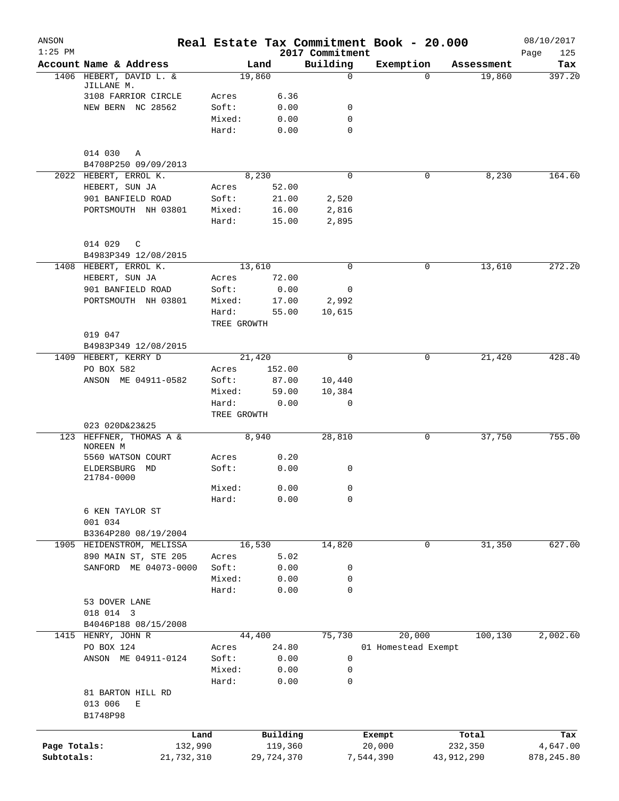| ANSON<br>$1:25$ PM |                             |                 |                |                             | Real Estate Tax Commitment Book - 20.000 |            | 08/10/2017         |
|--------------------|-----------------------------|-----------------|----------------|-----------------------------|------------------------------------------|------------|--------------------|
|                    | Account Name & Address      |                 | Land           | 2017 Commitment<br>Building | Exemption                                | Assessment | Page<br>125<br>Tax |
|                    | 1406 HEBERT, DAVID L. &     |                 | 19,860         | $\mathbf 0$                 | $\Omega$                                 | 19,860     | 397.20             |
|                    | JILLANE M.                  |                 |                |                             |                                          |            |                    |
|                    | 3108 FARRIOR CIRCLE         | Acres           | 6.36           |                             |                                          |            |                    |
|                    | NEW BERN NC 28562           | Soft:           | 0.00           | 0                           |                                          |            |                    |
|                    |                             | Mixed:          | 0.00           | 0                           |                                          |            |                    |
|                    |                             | Hard:           | 0.00           | $\mathbf 0$                 |                                          |            |                    |
|                    | 014 030<br>A                |                 |                |                             |                                          |            |                    |
|                    | B4708P250 09/09/2013        |                 |                |                             |                                          |            |                    |
|                    | 2022 HEBERT, ERROL K.       |                 | 8,230          | $\Omega$                    | 0                                        | 8,230      | 164.60             |
|                    | HEBERT, SUN JA              | Acres           | 52.00          |                             |                                          |            |                    |
|                    | 901 BANFIELD ROAD           | Soft:           | 21.00          | 2,520                       |                                          |            |                    |
|                    | PORTSMOUTH NH 03801         | Mixed:          | 16.00          | 2,816                       |                                          |            |                    |
|                    |                             | Hard:           | 15.00          | 2,895                       |                                          |            |                    |
|                    | 014 029 C                   |                 |                |                             |                                          |            |                    |
|                    | B4983P349 12/08/2015        |                 |                |                             |                                          |            |                    |
|                    | 1408 HEBERT, ERROL K.       |                 | 13,610         | $\mathbf 0$                 | 0                                        | 13,610     | 272.20             |
|                    | HEBERT, SUN JA              | Acres           | 72.00          |                             |                                          |            |                    |
|                    | 901 BANFIELD ROAD           | Soft:           | 0.00           | 0                           |                                          |            |                    |
|                    | PORTSMOUTH NH 03801         | Mixed:          | 17.00          | 2,992                       |                                          |            |                    |
|                    |                             | Hard:           | 55.00          | 10,615                      |                                          |            |                    |
|                    |                             | TREE GROWTH     |                |                             |                                          |            |                    |
|                    | 019 047                     |                 |                |                             |                                          |            |                    |
|                    | B4983P349 12/08/2015        |                 |                |                             |                                          |            |                    |
|                    | 1409 HEBERT, KERRY D        |                 | 21,420         | $\Omega$                    | 0                                        | 21,420     | 428.40             |
|                    | PO BOX 582                  | Acres           | 152.00         |                             |                                          |            |                    |
|                    | ANSON ME 04911-0582         | Soft:<br>Mixed: | 87.00<br>59.00 | 10,440<br>10,384            |                                          |            |                    |
|                    |                             | Hard:           | 0.00           | 0                           |                                          |            |                    |
|                    |                             | TREE GROWTH     |                |                             |                                          |            |                    |
|                    | 023 020D&23&25              |                 |                |                             |                                          |            |                    |
|                    | 123 HEFFNER, THOMAS A &     |                 | 8,940          | 28,810                      | 0                                        | 37,750     | 755.00             |
|                    | NOREEN M                    |                 |                |                             |                                          |            |                    |
|                    | 5560 WATSON COURT           | Acres           | 0.20           |                             |                                          |            |                    |
|                    | ELDERSBURG MD<br>21784-0000 | Soft:           | 0.00           | 0                           |                                          |            |                    |
|                    |                             | Mixed:          | 0.00           | 0                           |                                          |            |                    |
|                    |                             | Hard:           | 0.00           | 0                           |                                          |            |                    |
|                    | 6 KEN TAYLOR ST             |                 |                |                             |                                          |            |                    |
|                    | 001 034                     |                 |                |                             |                                          |            |                    |
|                    | B3364P280 08/19/2004        |                 |                |                             |                                          |            |                    |
|                    | 1905 HEIDENSTROM, MELISSA   |                 | 16,530         | 14,820                      | $\mathbf 0$                              | 31,350     | 627.00             |
|                    | 890 MAIN ST, STE 205        | Acres           | 5.02           |                             |                                          |            |                    |
|                    | SANFORD ME 04073-0000       | Soft:           | 0.00           | 0                           |                                          |            |                    |
|                    |                             | Mixed:          | 0.00           | 0                           |                                          |            |                    |
|                    |                             | Hard:           | 0.00           | 0                           |                                          |            |                    |
|                    | 53 DOVER LANE               |                 |                |                             |                                          |            |                    |
|                    | 018 014 3                   |                 |                |                             |                                          |            |                    |
|                    | B4046P188 08/15/2008        |                 |                |                             |                                          |            |                    |
|                    | 1415 HENRY, JOHN R          |                 | 44,400         | 75,730                      | 20,000                                   | 100,130    | 2,002.60           |
|                    | PO BOX 124                  | Acres           | 24.80          |                             | 01 Homestead Exempt                      |            |                    |
|                    | ANSON ME 04911-0124         | Soft:           | 0.00           | 0                           |                                          |            |                    |
|                    |                             | Mixed:          | 0.00           | 0                           |                                          |            |                    |
|                    |                             | Hard:           | 0.00           | 0                           |                                          |            |                    |
|                    | 81 BARTON HILL RD           |                 |                |                             |                                          |            |                    |
|                    | 013 006<br>E                |                 |                |                             |                                          |            |                    |
|                    | B1748P98                    |                 |                |                             |                                          |            |                    |
|                    |                             | Land            | Building       |                             | Exempt                                   | Total      | Tax                |
| Page Totals:       |                             | 132,990         | 119,360        |                             | 20,000                                   | 232,350    | 4,647.00           |
| Subtotals:         |                             | 21,732,310      | 29,724,370     |                             | 7,544,390                                | 43,912,290 | 878, 245.80        |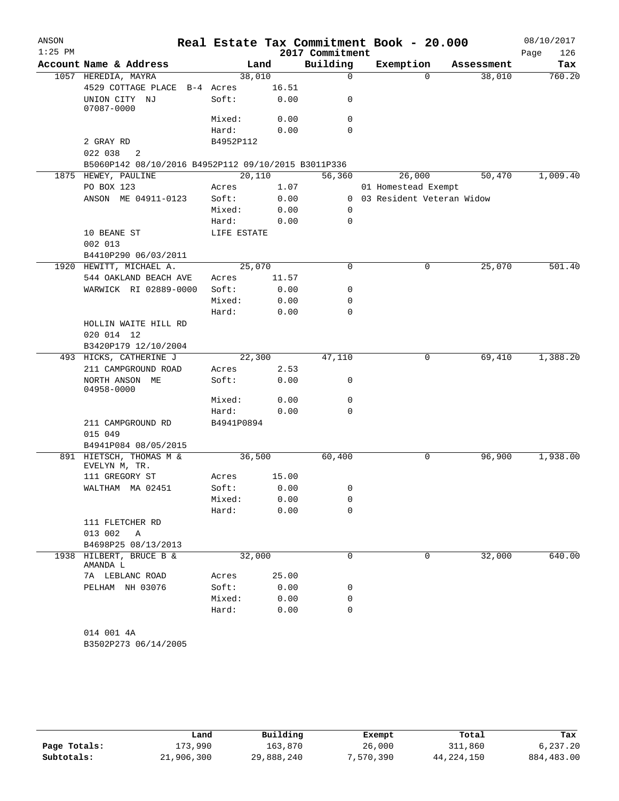| ANSON     |                                                     |             |       |                 | Real Estate Tax Commitment Book - 20.000 |            | 08/10/2017  |
|-----------|-----------------------------------------------------|-------------|-------|-----------------|------------------------------------------|------------|-------------|
| $1:25$ PM |                                                     |             |       | 2017 Commitment |                                          |            | 126<br>Page |
|           | Account Name & Address                              |             | Land  | Building        | Exemption                                | Assessment | Tax         |
|           | 1057 HEREDIA, MAYRA                                 | 38,010      |       | $\mathbf 0$     | $\Omega$                                 | 38,010     | 760.20      |
|           | 4529 COTTAGE PLACE                                  | B-4 Acres   | 16.51 |                 |                                          |            |             |
|           | UNION CITY NJ<br>07087-0000                         | Soft:       | 0.00  | 0               |                                          |            |             |
|           |                                                     | Mixed:      | 0.00  | 0               |                                          |            |             |
|           |                                                     | Hard:       | 0.00  | $\Omega$        |                                          |            |             |
|           | 2 GRAY RD                                           | B4952P112   |       |                 |                                          |            |             |
|           | 022 038<br>2                                        |             |       |                 |                                          |            |             |
|           | B5060P142 08/10/2016 B4952P112 09/10/2015 B3011P336 |             |       |                 |                                          |            |             |
|           | 1875 HEWEY, PAULINE                                 | 20,110      |       | 56,360          | 26,000                                   | 50,470     | 1,009.40    |
|           | PO BOX 123                                          | Acres       | 1.07  |                 | 01 Homestead Exempt                      |            |             |
|           | ANSON ME 04911-0123                                 | Soft:       | 0.00  |                 | 0 03 Resident Veteran Widow              |            |             |
|           |                                                     | Mixed:      | 0.00  | 0               |                                          |            |             |
|           |                                                     | Hard:       | 0.00  | 0               |                                          |            |             |
|           | 10 BEANE ST                                         | LIFE ESTATE |       |                 |                                          |            |             |
|           | 002 013                                             |             |       |                 |                                          |            |             |
|           | B4410P290 06/03/2011                                |             |       |                 |                                          |            |             |
|           | 1920 HEWITT, MICHAEL A.                             | 25,070      |       | 0               | 0                                        | 25,070     | 501.40      |
|           | 544 OAKLAND BEACH AVE                               | Acres       | 11.57 |                 |                                          |            |             |
|           | WARWICK RI 02889-0000                               | Soft:       | 0.00  | 0               |                                          |            |             |
|           |                                                     | Mixed:      | 0.00  | 0               |                                          |            |             |
|           |                                                     | Hard:       | 0.00  | 0               |                                          |            |             |
|           | HOLLIN WAITE HILL RD                                |             |       |                 |                                          |            |             |
|           | 020 014 12                                          |             |       |                 |                                          |            |             |
|           | B3420P179 12/10/2004<br>493 HICKS, CATHERINE J      | 22,300      |       | 47,110          | 0                                        | 69,410     | 1,388.20    |
|           | 211 CAMPGROUND ROAD                                 | Acres       | 2.53  |                 |                                          |            |             |
|           | NORTH ANSON ME                                      | Soft:       | 0.00  | 0               |                                          |            |             |
|           | 04958-0000                                          |             |       |                 |                                          |            |             |
|           |                                                     | Mixed:      | 0.00  | 0               |                                          |            |             |
|           |                                                     | Hard:       | 0.00  | 0               |                                          |            |             |
|           | 211 CAMPGROUND RD                                   | B4941P0894  |       |                 |                                          |            |             |
|           | 015 049                                             |             |       |                 |                                          |            |             |
|           | B4941P084 08/05/2015                                |             |       |                 |                                          |            |             |
|           | 891 HIETSCH, THOMAS M &<br>EVELYN M, TR.            | 36,500      |       | 60,400          | 0                                        | 96,900     | 1,938.00    |
|           | 111 GREGORY ST                                      | Acres       | 15.00 |                 |                                          |            |             |
|           | WALTHAM MA 02451                                    | Soft:       | 0.00  | 0               |                                          |            |             |
|           |                                                     | Mixed:      | 0.00  | 0               |                                          |            |             |
|           |                                                     | Hard:       | 0.00  | 0               |                                          |            |             |
|           | 111 FLETCHER RD                                     |             |       |                 |                                          |            |             |
|           | 013 002<br>Α                                        |             |       |                 |                                          |            |             |
|           | B4698P25 08/13/2013                                 |             |       |                 |                                          |            |             |
| 1938      | HILBERT, BRUCE B &<br>AMANDA L                      | 32,000      |       | $\mathbf 0$     | $\Omega$                                 | 32,000     | 640.00      |
|           | 7A LEBLANC ROAD                                     | Acres       | 25.00 |                 |                                          |            |             |
|           | PELHAM NH 03076                                     | Soft:       | 0.00  | 0               |                                          |            |             |
|           |                                                     | Mixed:      | 0.00  | 0               |                                          |            |             |
|           |                                                     |             |       |                 |                                          |            |             |

|              | Land       | Building   | Exempt    | Total        | Tax         |
|--------------|------------|------------|-----------|--------------|-------------|
| Page Totals: | 173,990    | 163,870    | 26,000    | 311,860      | 6.237.20    |
| Subtotals:   | 21,906,300 | 29,888,240 | 7,570,390 | 44, 224, 150 | 884, 483.00 |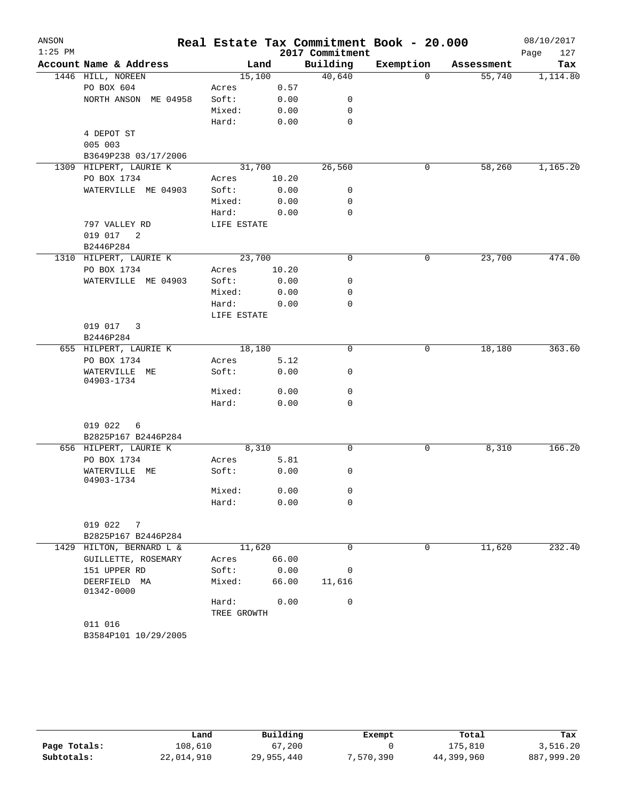| ANSON     |                                            |                 |              |                  | Real Estate Tax Commitment Book - 20.000 |            | 08/10/2017  |
|-----------|--------------------------------------------|-----------------|--------------|------------------|------------------------------------------|------------|-------------|
| $1:25$ PM |                                            |                 |              | 2017 Commitment  |                                          |            | Page<br>127 |
|           | Account Name & Address                     |                 | Land         | Building         | Exemption                                | Assessment | Tax         |
|           | 1446 HILL, NOREEN                          | 15,100          |              | 40,640           | $\Omega$                                 | 55,740     | 1,114.80    |
|           | PO BOX 604                                 | Acres           | 0.57         |                  |                                          |            |             |
|           | NORTH ANSON ME 04958                       | Soft:           | 0.00         | 0                |                                          |            |             |
|           |                                            | Mixed:          | 0.00         | 0<br>$\mathbf 0$ |                                          |            |             |
|           | 4 DEPOT ST                                 | Hard:           | 0.00         |                  |                                          |            |             |
|           | 005 003                                    |                 |              |                  |                                          |            |             |
|           | B3649P238 03/17/2006                       |                 |              |                  |                                          |            |             |
| 1309      | HILPERT, LAURIE K                          | 31,700          |              | 26,560           | 0                                        | 58,260     | 1,165.20    |
|           | PO BOX 1734                                | Acres           | 10.20        |                  |                                          |            |             |
|           | WATERVILLE ME 04903                        | Soft:           | 0.00         | 0                |                                          |            |             |
|           |                                            | Mixed:          | 0.00         | 0                |                                          |            |             |
|           |                                            | Hard:           | 0.00         | $\mathbf 0$      |                                          |            |             |
|           | 797 VALLEY RD                              | LIFE ESTATE     |              |                  |                                          |            |             |
|           | 019 017<br>2                               |                 |              |                  |                                          |            |             |
|           | B2446P284                                  |                 |              |                  |                                          |            |             |
|           | 1310 HILPERT, LAURIE K                     | 23,700          |              | 0                | 0                                        | 23,700     | 474.00      |
|           | PO BOX 1734                                | Acres           | 10.20        |                  |                                          |            |             |
|           | WATERVILLE ME 04903                        | Soft:           | 0.00         | 0<br>0           |                                          |            |             |
|           |                                            | Mixed:<br>Hard: | 0.00<br>0.00 | 0                |                                          |            |             |
|           |                                            | LIFE ESTATE     |              |                  |                                          |            |             |
|           | 019 017<br>3                               |                 |              |                  |                                          |            |             |
|           | B2446P284                                  |                 |              |                  |                                          |            |             |
|           | 655 HILPERT, LAURIE K                      | 18,180          |              | 0                | 0                                        | 18,180     | 363.60      |
|           | PO BOX 1734                                | Acres           | 5.12         |                  |                                          |            |             |
|           | WATERVILLE ME                              | Soft:           | 0.00         | 0                |                                          |            |             |
|           | 04903-1734                                 |                 |              |                  |                                          |            |             |
|           |                                            | Mixed:          | 0.00         | 0                |                                          |            |             |
|           |                                            | Hard:           | 0.00         | 0                |                                          |            |             |
|           | 019 022<br>6                               |                 |              |                  |                                          |            |             |
|           | B2825P167 B2446P284                        |                 |              |                  |                                          |            |             |
|           | 656 HILPERT, LAURIE K                      | 8,310           |              | 0                | 0                                        | 8,310      | 166.20      |
|           | PO BOX 1734                                | Acres           | 5.81         |                  |                                          |            |             |
|           | WATERVILLE<br>MЕ                           | Soft:           | 0.00         | 0                |                                          |            |             |
|           | 04903-1734                                 |                 |              |                  |                                          |            |             |
|           |                                            | Mixed:          | 0.00         | 0                |                                          |            |             |
|           |                                            | Hard:           | 0.00         | 0                |                                          |            |             |
|           |                                            |                 |              |                  |                                          |            |             |
|           | 019 022 7                                  |                 |              |                  |                                          |            |             |
| 1429      | B2825P167 B2446P284<br>HILTON, BERNARD L & | 11,620          |              | $\Omega$         | 0                                        | 11,620     | 232.40      |
|           | GUILLETTE, ROSEMARY                        | Acres           | 66.00        |                  |                                          |            |             |
|           | 151 UPPER RD                               | Soft:           | 0.00         | 0                |                                          |            |             |
|           | DEERFIELD MA                               | Mixed:          | 66.00        | 11,616           |                                          |            |             |
|           | 01342-0000                                 |                 |              |                  |                                          |            |             |
|           |                                            | Hard:           | 0.00         | 0                |                                          |            |             |
|           |                                            | TREE GROWTH     |              |                  |                                          |            |             |
|           | 011 016                                    |                 |              |                  |                                          |            |             |
|           | B3584P101 10/29/2005                       |                 |              |                  |                                          |            |             |

|              | Land       | Building   |          | Total      | Tax        |
|--------------|------------|------------|----------|------------|------------|
|              |            |            | Exempt   |            |            |
| Page Totals: | 108,610    | 67,200     |          | 175,810    | 3,516.20   |
| Subtotals:   | 22,014,910 | 29,955,440 | ,570,390 | 44,399,960 | 887,999.20 |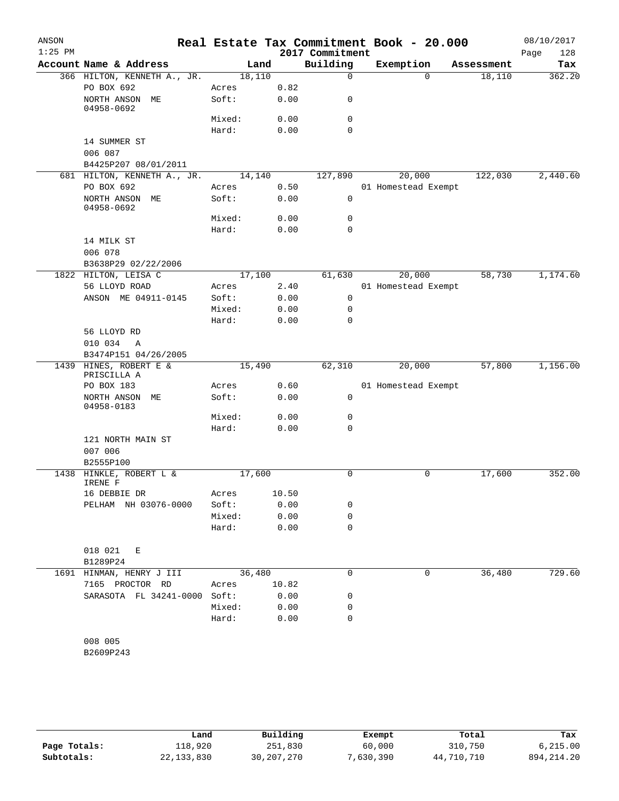| ANSON     |                                       |                 |              |                            | Real Estate Tax Commitment Book - 20.000 |            | 08/10/2017  |
|-----------|---------------------------------------|-----------------|--------------|----------------------------|------------------------------------------|------------|-------------|
| $1:25$ PM |                                       |                 |              | 2017 Commitment            |                                          |            | 128<br>Page |
|           | Account Name & Address                | Land            |              | Building                   | Exemption                                | Assessment | Tax         |
|           | 366 HILTON, KENNETH A., JR.           | 18,110          |              | $\mathbf 0$                | $\Omega$                                 | 18,110     | 362.20      |
|           | PO BOX 692<br>NORTH ANSON ME          | Acres<br>Soft:  | 0.82<br>0.00 | 0                          |                                          |            |             |
|           | 04958-0692                            | Mixed:          |              | $\mathbf 0$                |                                          |            |             |
|           |                                       | Hard:           | 0.00<br>0.00 | $\Omega$                   |                                          |            |             |
|           | 14 SUMMER ST                          |                 |              |                            |                                          |            |             |
|           | 006 087                               |                 |              |                            |                                          |            |             |
|           | B4425P207 08/01/2011                  |                 |              |                            |                                          |            |             |
|           | 681 HILTON, KENNETH A., JR.           | 14,140          |              | 127,890                    | 20,000                                   | 122,030    | 2,440.60    |
|           | PO BOX 692                            | Acres           | 0.50         |                            | 01 Homestead Exempt                      |            |             |
|           | NORTH ANSON ME<br>04958-0692          | Soft:           | 0.00         | $\mathbf 0$                |                                          |            |             |
|           |                                       | Mixed:          | 0.00         | 0                          |                                          |            |             |
|           |                                       | Hard:           | 0.00         | $\mathbf 0$                |                                          |            |             |
|           | 14 MILK ST                            |                 |              |                            |                                          |            |             |
|           | 006 078                               |                 |              |                            |                                          |            |             |
|           | B3638P29 02/22/2006                   |                 |              |                            |                                          |            |             |
|           | 1822 HILTON, LEISA C                  | 17,100          |              | 61,630                     | 20,000                                   | 58,730     | 1,174.60    |
|           | 56 LLOYD ROAD                         | Acres           | 2.40         |                            | 01 Homestead Exempt                      |            |             |
|           | ANSON ME 04911-0145                   | Soft:           | 0.00         | 0                          |                                          |            |             |
|           |                                       | Mixed:<br>Hard: | 0.00<br>0.00 | 0<br>$\mathbf 0$           |                                          |            |             |
|           | 56 LLOYD RD                           |                 |              |                            |                                          |            |             |
|           | 010 034<br>A                          |                 |              |                            |                                          |            |             |
|           | B3474P151 04/26/2005                  |                 |              |                            |                                          |            |             |
|           | 1439 HINES, ROBERT E &<br>PRISCILLA A | 15,490          |              | 62,310                     | 20,000                                   | 57,800     | 1,156.00    |
|           | PO BOX 183                            | Acres           | 0.60         |                            | 01 Homestead Exempt                      |            |             |
|           | NORTH ANSON ME<br>04958-0183          | Soft:           | 0.00         | 0                          |                                          |            |             |
|           |                                       | Mixed:          | 0.00         | 0                          |                                          |            |             |
|           |                                       | Hard:           | 0.00         | $\mathbf 0$                |                                          |            |             |
|           | 121 NORTH MAIN ST<br>007 006          |                 |              |                            |                                          |            |             |
|           | B2555P100                             |                 |              |                            |                                          |            |             |
|           | 1438 HINKLE, ROBERT L &<br>IRENE F    | 17,600          |              | 0                          | 0                                        | 17,600     | 352.00      |
|           | 16 DEBBIE DR                          | Acres           | 10.50        |                            |                                          |            |             |
|           | PELHAM NH 03076-0000                  | Soft:           | 0.00         | 0                          |                                          |            |             |
|           |                                       | Mixed:<br>Hard: | 0.00<br>0.00 | $\mathbf 0$<br>$\mathbf 0$ |                                          |            |             |
|           |                                       |                 |              |                            |                                          |            |             |
|           | 018 021<br>Ε                          |                 |              |                            |                                          |            |             |
|           | B1289P24                              |                 |              |                            |                                          |            |             |
| 1691      | HINMAN, HENRY J III                   | 36,480          |              | $\mathbf 0$                | 0                                        | 36,480     | 729.60      |
|           | 7165 PROCTOR RD                       | Acres           | 10.82        |                            |                                          |            |             |
|           | SARASOTA FL 34241-0000                | Soft:           | 0.00         | 0                          |                                          |            |             |
|           |                                       | Mixed:          | 0.00         | 0                          |                                          |            |             |
|           |                                       | Hard:           | 0.00         | $\mathbf 0$                |                                          |            |             |
|           |                                       |                 |              |                            |                                          |            |             |
|           | 008 005                               |                 |              |                            |                                          |            |             |
|           | B2609P243                             |                 |              |                            |                                          |            |             |
|           |                                       |                 |              |                            |                                          |            |             |

|              | Land         | Building     | Exempt    | Total      | Tax          |
|--------------|--------------|--------------|-----------|------------|--------------|
| Page Totals: | 118,920      | 251,830      | 60,000    | 310,750    | 6, 215.00    |
| Subtotals:   | 22, 133, 830 | 30, 207, 270 | 7,630,390 | 44,710,710 | 894, 214, 20 |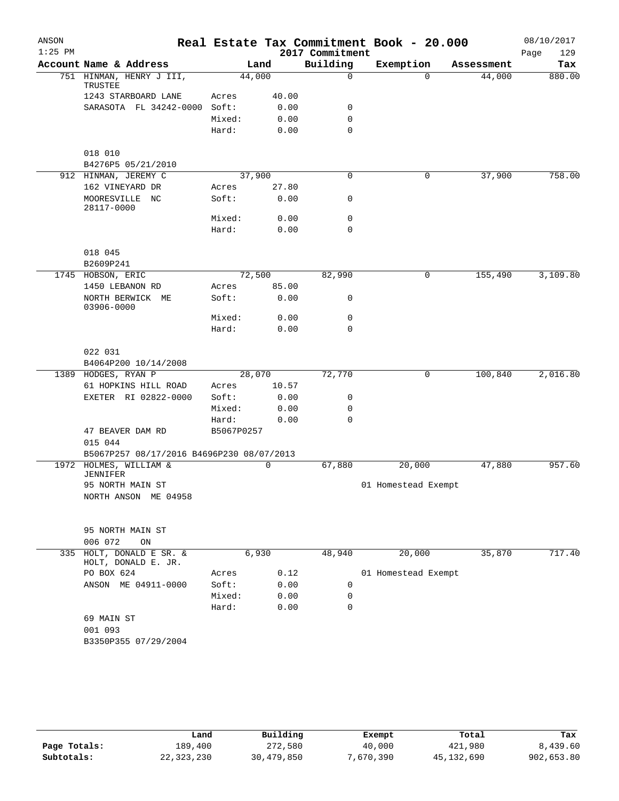| ANSON<br>$1:25$ PM |                                             |            |       | 2017 Commitment | Real Estate Tax Commitment Book - 20.000 |            | 08/10/2017<br>Page<br>129 |
|--------------------|---------------------------------------------|------------|-------|-----------------|------------------------------------------|------------|---------------------------|
|                    | Account Name & Address                      |            | Land  | Building        | Exemption                                | Assessment | Tax                       |
|                    | 751 HINMAN, HENRY J III,<br>TRUSTEE         | 44,000     |       | 0               | $\Omega$                                 | 44,000     | 880.00                    |
|                    | 1243 STARBOARD LANE                         | Acres      | 40.00 |                 |                                          |            |                           |
|                    | SARASOTA FL 34242-0000                      | Soft:      | 0.00  | 0               |                                          |            |                           |
|                    |                                             | Mixed:     | 0.00  | $\mathbf 0$     |                                          |            |                           |
|                    |                                             | Hard:      | 0.00  | 0               |                                          |            |                           |
|                    | 018 010                                     |            |       |                 |                                          |            |                           |
|                    | B4276P5 05/21/2010                          |            |       |                 |                                          |            |                           |
|                    | 912 HINMAN, JEREMY C                        | 37,900     |       | 0               | 0                                        | 37,900     | 758.00                    |
|                    | 162 VINEYARD DR                             | Acres      | 27.80 |                 |                                          |            |                           |
|                    | MOORESVILLE NC<br>28117-0000                | Soft:      | 0.00  | 0               |                                          |            |                           |
|                    |                                             | Mixed:     | 0.00  | 0               |                                          |            |                           |
|                    |                                             | Hard:      | 0.00  | $\mathbf 0$     |                                          |            |                           |
|                    | 018 045                                     |            |       |                 |                                          |            |                           |
|                    | B2609P241                                   |            |       |                 |                                          |            |                           |
|                    | 1745 HOBSON, ERIC                           | 72,500     |       | 82,990          | 0                                        | 155,490    | 3,109.80                  |
|                    | 1450 LEBANON RD                             | Acres      | 85.00 |                 |                                          |            |                           |
|                    | NORTH BERWICK ME<br>03906-0000              | Soft:      | 0.00  | 0               |                                          |            |                           |
|                    |                                             | Mixed:     | 0.00  | $\mathbf 0$     |                                          |            |                           |
|                    |                                             | Hard:      | 0.00  | 0               |                                          |            |                           |
|                    | 022 031                                     |            |       |                 |                                          |            |                           |
|                    | B4064P200 10/14/2008                        |            |       |                 |                                          |            |                           |
|                    | 1389 HODGES, RYAN P                         | 28,070     |       | 72,770          | 0                                        | 100,840    | 2,016.80                  |
|                    | 61 HOPKINS HILL ROAD                        | Acres      | 10.57 |                 |                                          |            |                           |
|                    | EXETER RI 02822-0000                        | Soft:      | 0.00  | 0               |                                          |            |                           |
|                    |                                             | Mixed:     | 0.00  | 0               |                                          |            |                           |
|                    |                                             | Hard:      | 0.00  | $\Omega$        |                                          |            |                           |
|                    | 47 BEAVER DAM RD                            | B5067P0257 |       |                 |                                          |            |                           |
|                    | 015 044                                     |            |       |                 |                                          |            |                           |
|                    | B5067P257 08/17/2016 B4696P230 08/07/2013   |            |       |                 |                                          |            |                           |
| 1972               | HOLMES, WILLIAM &                           |            | 0     | 67,880          | 20,000                                   | 47,880     | 957.60                    |
|                    | JENNIFER                                    |            |       |                 |                                          |            |                           |
|                    | 95 NORTH MAIN ST                            |            |       |                 | 01 Homestead Exempt                      |            |                           |
|                    | NORTH ANSON ME 04958                        |            |       |                 |                                          |            |                           |
|                    |                                             |            |       |                 |                                          |            |                           |
|                    | 95 NORTH MAIN ST                            |            |       |                 |                                          |            |                           |
|                    | 006 072<br>ON                               |            |       |                 |                                          |            |                           |
| 335                | HOLT, DONALD E SR. &<br>HOLT, DONALD E. JR. | 6,930      |       | 48,940          | 20,000                                   | 35,870     | 717.40                    |
|                    | PO BOX 624                                  | Acres      | 0.12  |                 | 01 Homestead Exempt                      |            |                           |
|                    | ANSON ME 04911-0000                         | Soft:      | 0.00  | 0               |                                          |            |                           |
|                    |                                             | Mixed:     | 0.00  | 0               |                                          |            |                           |
|                    |                                             | Hard:      | 0.00  | 0               |                                          |            |                           |
|                    | 69 MAIN ST                                  |            |       |                 |                                          |            |                           |
|                    | 001 093                                     |            |       |                 |                                          |            |                           |
|                    | B3350P355 07/29/2004                        |            |       |                 |                                          |            |                           |
|                    |                                             |            |       |                 |                                          |            |                           |
|                    |                                             |            |       |                 |                                          |            |                           |

|              | Land         | Building   | Exempt    | Total        | Tax        |
|--------------|--------------|------------|-----------|--------------|------------|
| Page Totals: | 189,400      | 272,580    | 40,000    | 421,980      | 8,439.60   |
| Subtotals:   | 22, 323, 230 | 30,479,850 | 7,670,390 | 45, 132, 690 | 902,653.80 |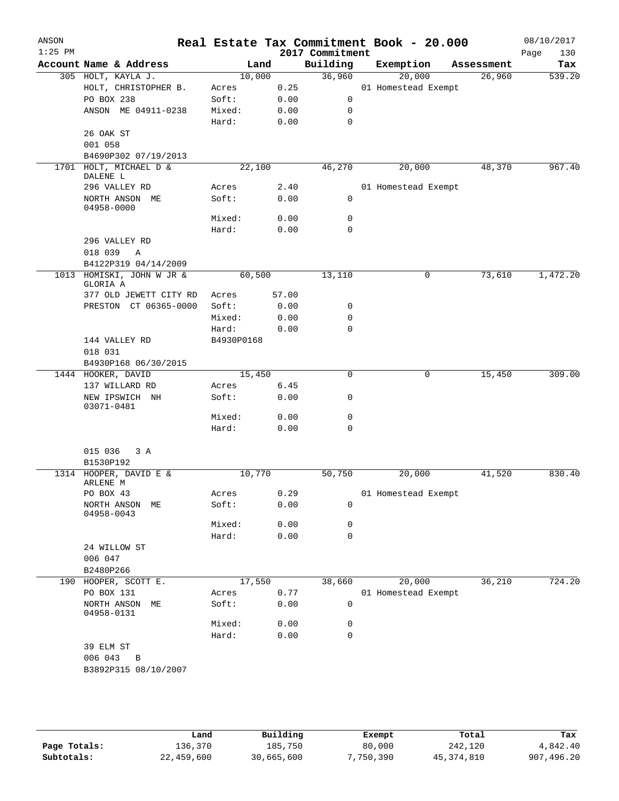| ANSON<br>$1:25$ PM |                                       |                 |              | 2017 Commitment  | Real Estate Tax Commitment Book - 20.000 |            | 08/10/2017<br>130<br>Page |
|--------------------|---------------------------------------|-----------------|--------------|------------------|------------------------------------------|------------|---------------------------|
|                    | Account Name & Address                | Land            |              | Building         | Exemption                                | Assessment | Tax                       |
|                    | 305 HOLT, KAYLA J.                    | 10,000          |              | 36,960           | 20,000                                   | 26,960     | 539.20                    |
|                    | HOLT, CHRISTOPHER B.                  | Acres           | 0.25         |                  | 01 Homestead Exempt                      |            |                           |
|                    | PO BOX 238                            | Soft:           | 0.00         | 0                |                                          |            |                           |
|                    | ANSON ME 04911-0238                   | Mixed:<br>Hard: | 0.00<br>0.00 | 0<br>$\mathbf 0$ |                                          |            |                           |
|                    | 26 OAK ST                             |                 |              |                  |                                          |            |                           |
|                    | 001 058                               |                 |              |                  |                                          |            |                           |
|                    | B4690P302 07/19/2013                  |                 |              |                  |                                          |            |                           |
| 1701               | HOLT, MICHAEL D &<br>DALENE L         | 22,100          |              | 46,270           | 20,000                                   | 48,370     | 967.40                    |
|                    | 296 VALLEY RD                         | Acres           | 2.40         |                  | 01 Homestead Exempt                      |            |                           |
|                    | NORTH ANSON ME<br>04958-0000          | Soft:           | 0.00         | $\mathbf 0$      |                                          |            |                           |
|                    |                                       | Mixed:          | 0.00         | 0                |                                          |            |                           |
|                    |                                       | Hard:           | 0.00         | $\mathbf 0$      |                                          |            |                           |
|                    | 296 VALLEY RD                         |                 |              |                  |                                          |            |                           |
|                    | 018 039<br>Α                          |                 |              |                  |                                          |            |                           |
|                    | B4122P319 04/14/2009                  |                 |              |                  |                                          |            |                           |
|                    | 1013 HOMISKI, JOHN W JR &<br>GLORIA A | 60,500          |              | 13,110           | 0                                        | 73,610     | 1,472.20                  |
|                    | 377 OLD JEWETT CITY RD                | Acres           | 57.00        |                  |                                          |            |                           |
|                    | PRESTON CT 06365-0000                 | Soft:           | 0.00         | 0                |                                          |            |                           |
|                    |                                       | Mixed:          | 0.00         | 0                |                                          |            |                           |
|                    |                                       | Hard:           | 0.00         | $\mathbf 0$      |                                          |            |                           |
|                    | 144 VALLEY RD                         | B4930P0168      |              |                  |                                          |            |                           |
|                    | 018 031                               |                 |              |                  |                                          |            |                           |
|                    | B4930P168 06/30/2015                  |                 |              |                  |                                          |            |                           |
|                    | 1444 HOOKER, DAVID                    | 15,450          |              | $\mathbf 0$      | 0                                        | 15,450     | 309.00                    |
|                    | 137 WILLARD RD                        | Acres           | 6.45         |                  |                                          |            |                           |
|                    | NEW IPSWICH NH<br>03071-0481          | Soft:           | 0.00         | 0                |                                          |            |                           |
|                    |                                       | Mixed:          | 0.00         | 0                |                                          |            |                           |
|                    |                                       | Hard:           | 0.00         | $\mathbf 0$      |                                          |            |                           |
|                    | 015 036<br>3A                         |                 |              |                  |                                          |            |                           |
|                    | B1530P192<br>1314 HOOPER, DAVID E &   | 10,770          |              | 50,750           | 20,000                                   | 41,520     | 830.40                    |
|                    | ARLENE M<br>PO BOX 43                 | Acres           | 0.29         |                  | 01 Homestead Exempt                      |            |                           |
|                    | NORTH ANSON<br>МE                     | Soft:           | 0.00         | 0                |                                          |            |                           |
|                    | 04958-0043                            | Mixed:          | 0.00         | 0                |                                          |            |                           |
|                    |                                       | Hard:           | 0.00         | 0                |                                          |            |                           |
|                    | 24 WILLOW ST                          |                 |              |                  |                                          |            |                           |
|                    | 006 047                               |                 |              |                  |                                          |            |                           |
|                    | B2480P266                             |                 |              |                  |                                          |            |                           |
|                    | 190 HOOPER, SCOTT E.                  | 17,550          |              | 38,660           | 20,000                                   | 36,210     | 724.20                    |
|                    | PO BOX 131                            | Acres           | 0.77         |                  | 01 Homestead Exempt                      |            |                           |
|                    | NORTH ANSON ME<br>04958-0131          | Soft:           | 0.00         | 0                |                                          |            |                           |
|                    |                                       | Mixed:          | 0.00         | 0                |                                          |            |                           |
|                    |                                       | Hard:           | 0.00         | $\mathbf 0$      |                                          |            |                           |
|                    | 39 ELM ST                             |                 |              |                  |                                          |            |                           |
|                    | 006 043<br>B                          |                 |              |                  |                                          |            |                           |
|                    | B3892P315 08/10/2007                  |                 |              |                  |                                          |            |                           |
|                    |                                       |                 |              |                  |                                          |            |                           |

|              | Land       | Building   | Exempt    | Total      | Tax        |
|--------------|------------|------------|-----------|------------|------------|
| Page Totals: | 136,370    | 185,750    | 80,000    | 242,120    | 4,842.40   |
| Subtotals:   | 22,459,600 | 30,665,600 | 7,750,390 | 45,374,810 | 907,496.20 |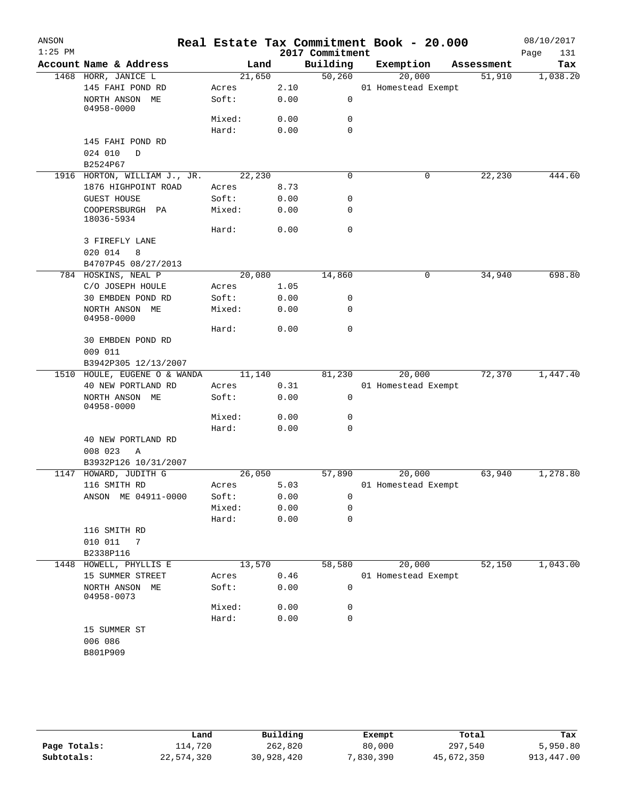| ANSON<br>$1:25$ PM |                                |        |      | 2017 Commitment | Real Estate Tax Commitment Book - 20.000 |            | 08/10/2017<br>Page<br>131 |
|--------------------|--------------------------------|--------|------|-----------------|------------------------------------------|------------|---------------------------|
|                    | Account Name & Address         | Land   |      | Building        | Exemption                                | Assessment | Tax                       |
|                    | 1468 HORR, JANICE L            | 21,650 |      | 50,260          | 20,000                                   | 51,910     | 1,038.20                  |
|                    | 145 FAHI POND RD               | Acres  | 2.10 |                 | 01 Homestead Exempt                      |            |                           |
|                    | NORTH ANSON ME<br>04958-0000   | Soft:  | 0.00 | 0               |                                          |            |                           |
|                    |                                | Mixed: | 0.00 | 0               |                                          |            |                           |
|                    |                                | Hard:  | 0.00 | $\mathbf 0$     |                                          |            |                           |
|                    | 145 FAHI POND RD               |        |      |                 |                                          |            |                           |
|                    | 024 010<br>D                   |        |      |                 |                                          |            |                           |
|                    | B2524P67                       |        |      |                 |                                          |            |                           |
|                    | 1916 HORTON, WILLIAM J., JR.   | 22,230 |      | $\mathbf 0$     | 0                                        | 22,230     | 444.60                    |
|                    | 1876 HIGHPOINT ROAD            | Acres  | 8.73 |                 |                                          |            |                           |
|                    | <b>GUEST HOUSE</b>             | Soft:  | 0.00 | 0               |                                          |            |                           |
|                    | COOPERSBURGH PA<br>18036-5934  | Mixed: | 0.00 | 0               |                                          |            |                           |
|                    |                                | Hard:  | 0.00 | $\mathbf 0$     |                                          |            |                           |
|                    | 3 FIREFLY LANE                 |        |      |                 |                                          |            |                           |
|                    | 020 014<br>8                   |        |      |                 |                                          |            |                           |
|                    | B4707P45 08/27/2013            |        |      |                 |                                          |            |                           |
|                    | 784 HOSKINS, NEAL P            | 20,080 |      | 14,860          | 0                                        | 34,940     | 698.80                    |
|                    | C/O JOSEPH HOULE               | Acres  | 1.05 |                 |                                          |            |                           |
|                    | 30 EMBDEN POND RD              | Soft:  | 0.00 | 0               |                                          |            |                           |
|                    | NORTH ANSON ME<br>04958-0000   | Mixed: | 0.00 | 0               |                                          |            |                           |
|                    |                                | Hard:  | 0.00 | $\mathbf 0$     |                                          |            |                           |
|                    | 30 EMBDEN POND RD<br>009 011   |        |      |                 |                                          |            |                           |
|                    | B3942P305 12/13/2007           |        |      |                 |                                          |            |                           |
|                    | 1510 HOULE, EUGENE O & WANDA   | 11,140 |      | 81,230          | 20,000                                   | 72,370     | 1,447.40                  |
|                    | 40 NEW PORTLAND RD             | Acres  | 0.31 |                 | 01 Homestead Exempt                      |            |                           |
|                    | NORTH ANSON ME<br>04958-0000   | Soft:  | 0.00 | $\mathbf 0$     |                                          |            |                           |
|                    |                                | Mixed: | 0.00 | 0               |                                          |            |                           |
|                    |                                | Hard:  | 0.00 | 0               |                                          |            |                           |
|                    | 40 NEW PORTLAND RD             |        |      |                 |                                          |            |                           |
|                    | 008 023<br>Α                   |        |      |                 |                                          |            |                           |
|                    | B3932P126 10/31/2007           |        |      |                 |                                          |            |                           |
| 1147               | HOWARD, JUDITH G               | 26,050 |      | 57,890          | 20,000                                   | 63,940     | 1,278.80                  |
|                    | 116 SMITH RD                   | Acres  | 5.03 |                 | 01 Homestead Exempt                      |            |                           |
|                    | ANSON ME 04911-0000            | Soft:  | 0.00 | 0               |                                          |            |                           |
|                    |                                | Mixed: | 0.00 | 0               |                                          |            |                           |
|                    |                                | Hard:  | 0.00 | 0               |                                          |            |                           |
|                    | 116 SMITH RD                   |        |      |                 |                                          |            |                           |
|                    | 010 011<br>7                   |        |      |                 |                                          |            |                           |
| 1448               | B2338P116<br>HOWELL, PHYLLIS E | 13,570 |      | 58,580          | 20,000                                   | 52,150     | 1,043.00                  |
|                    | 15 SUMMER STREET               | Acres  | 0.46 |                 | 01 Homestead Exempt                      |            |                           |
|                    | NORTH ANSON ME                 | Soft:  | 0.00 | 0               |                                          |            |                           |
|                    | 04958-0073                     |        |      |                 |                                          |            |                           |
|                    |                                | Mixed: | 0.00 | 0               |                                          |            |                           |
|                    |                                | Hard:  |      | 0               |                                          |            |                           |
|                    | 006 086                        |        |      |                 |                                          |            |                           |
|                    | 15 SUMMER ST<br>B801P909       |        | 0.00 |                 |                                          |            |                           |

|              | Land       | Building   | Exempt    | Total      | Tax        |
|--------------|------------|------------|-----------|------------|------------|
| Page Totals: | 114,720    | 262,820    | 80,000    | 297,540    | 5,950.80   |
| Subtotals:   | 22,574,320 | 30,928,420 | 7,830,390 | 45,672,350 | 913,447.00 |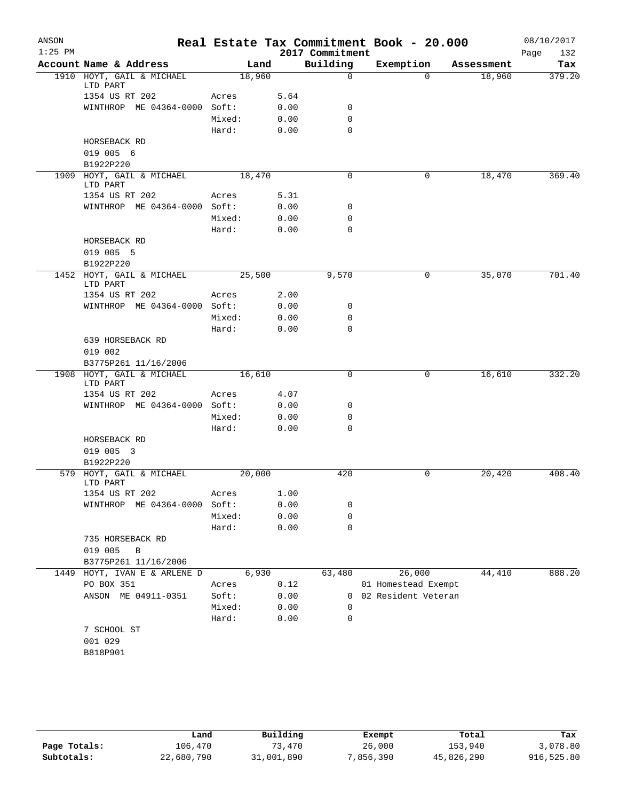| ANSON<br>$1:25$ PM |                                       |        |      | 2017 Commitment | Real Estate Tax Commitment Book - 20.000 |            | 08/10/2017<br>132<br>Page |
|--------------------|---------------------------------------|--------|------|-----------------|------------------------------------------|------------|---------------------------|
|                    | Account Name & Address                |        | Land | Building        | Exemption                                | Assessment | Tax                       |
|                    | 1910 HOYT, GAIL & MICHAEL             | 18,960 |      | $\Omega$        | $\Omega$                                 | 18,960     | 379.20                    |
|                    | LTD PART                              |        |      |                 |                                          |            |                           |
|                    | 1354 US RT 202                        | Acres  | 5.64 |                 |                                          |            |                           |
|                    | WINTHROP ME 04364-0000 Soft:          |        | 0.00 | 0               |                                          |            |                           |
|                    |                                       | Mixed: | 0.00 | $\mathbf 0$     |                                          |            |                           |
|                    |                                       | Hard:  | 0.00 | $\Omega$        |                                          |            |                           |
|                    | HORSEBACK RD                          |        |      |                 |                                          |            |                           |
|                    | 019 005 6                             |        |      |                 |                                          |            |                           |
|                    | B1922P220                             |        |      |                 |                                          |            |                           |
|                    | 1909 HOYT, GAIL & MICHAEL<br>LTD PART | 18,470 |      | $\Omega$        | 0                                        | 18,470     | 369.40                    |
|                    | 1354 US RT 202                        | Acres  | 5.31 |                 |                                          |            |                           |
|                    | WINTHROP ME 04364-0000 Soft:          |        | 0.00 | 0               |                                          |            |                           |
|                    |                                       | Mixed: | 0.00 | $\mathbf 0$     |                                          |            |                           |
|                    |                                       | Hard:  | 0.00 | $\mathbf 0$     |                                          |            |                           |
|                    | HORSEBACK RD                          |        |      |                 |                                          |            |                           |
|                    | 019 005 5                             |        |      |                 |                                          |            |                           |
|                    | B1922P220                             |        |      |                 |                                          |            |                           |
|                    | 1452 HOYT, GAIL & MICHAEL             | 25,500 |      | 9,570           | 0                                        | 35,070     | 701.40                    |
|                    | LTD PART                              |        |      |                 |                                          |            |                           |
|                    | 1354 US RT 202                        | Acres  | 2.00 |                 |                                          |            |                           |
|                    | WINTHROP ME 04364-0000 Soft:          |        | 0.00 | 0               |                                          |            |                           |
|                    |                                       | Mixed: | 0.00 | $\mathbf 0$     |                                          |            |                           |
|                    |                                       | Hard:  | 0.00 | $\mathbf 0$     |                                          |            |                           |
|                    | 639 HORSEBACK RD                      |        |      |                 |                                          |            |                           |
|                    | 019 002                               |        |      |                 |                                          |            |                           |
|                    | B3775P261 11/16/2006                  |        |      |                 |                                          |            |                           |
|                    | 1908 HOYT, GAIL & MICHAEL             | 16,610 |      | $\mathbf 0$     | 0                                        | 16,610     | 332.20                    |
|                    | LTD PART                              |        |      |                 |                                          |            |                           |
|                    | 1354 US RT 202                        | Acres  | 4.07 |                 |                                          |            |                           |
|                    | WINTHROP ME 04364-0000 Soft:          |        | 0.00 | 0               |                                          |            |                           |
|                    |                                       | Mixed: | 0.00 | $\mathbf 0$     |                                          |            |                           |
|                    |                                       | Hard:  | 0.00 | $\Omega$        |                                          |            |                           |
|                    | HORSEBACK RD                          |        |      |                 |                                          |            |                           |
|                    | 019 005 3                             |        |      |                 |                                          |            |                           |
|                    | B1922P220                             |        |      |                 |                                          |            |                           |
|                    | 579 HOYT, GAIL & MICHAEL<br>LTD PART  | 20,000 |      | 420             | 0                                        | 20,420     | 408.40                    |
|                    | 1354 US RT 202                        | Acres  | 1.00 |                 |                                          |            |                           |
|                    | WINTHROP ME 04364-0000                | Soft:  | 0.00 | 0               |                                          |            |                           |
|                    |                                       | Mixed: | 0.00 | 0               |                                          |            |                           |
|                    |                                       | Hard:  | 0.00 | $\mathbf 0$     |                                          |            |                           |
|                    | 735 HORSEBACK RD                      |        |      |                 |                                          |            |                           |
|                    | 019 005<br>B                          |        |      |                 |                                          |            |                           |
|                    | B3775P261 11/16/2006                  |        |      |                 |                                          |            |                           |
| 1449               | HOYT, IVAN E & ARLENE D               | 6,930  |      | 63,480          | 26,000                                   | 44,410     | 888.20                    |
|                    | PO BOX 351                            | Acres  | 0.12 |                 | 01 Homestead Exempt                      |            |                           |
|                    | ANSON ME 04911-0351                   | Soft:  | 0.00 |                 | 0 02 Resident Veteran                    |            |                           |
|                    |                                       | Mixed: | 0.00 | 0               |                                          |            |                           |
|                    |                                       | Hard:  | 0.00 | $\mathbf 0$     |                                          |            |                           |
|                    | 7 SCHOOL ST                           |        |      |                 |                                          |            |                           |
|                    | 001 029                               |        |      |                 |                                          |            |                           |
|                    | B818P901                              |        |      |                 |                                          |            |                           |
|                    |                                       |        |      |                 |                                          |            |                           |

|              | Land       | Building   | Exempt    | Total      | Tax        |
|--------------|------------|------------|-----------|------------|------------|
| Page Totals: | 106,470    | 73,470     | 26,000    | 153,940    | 3,078.80   |
| Subtotals:   | 22,680,790 | 31,001,890 | 7,856,390 | 45,826,290 | 916,525.80 |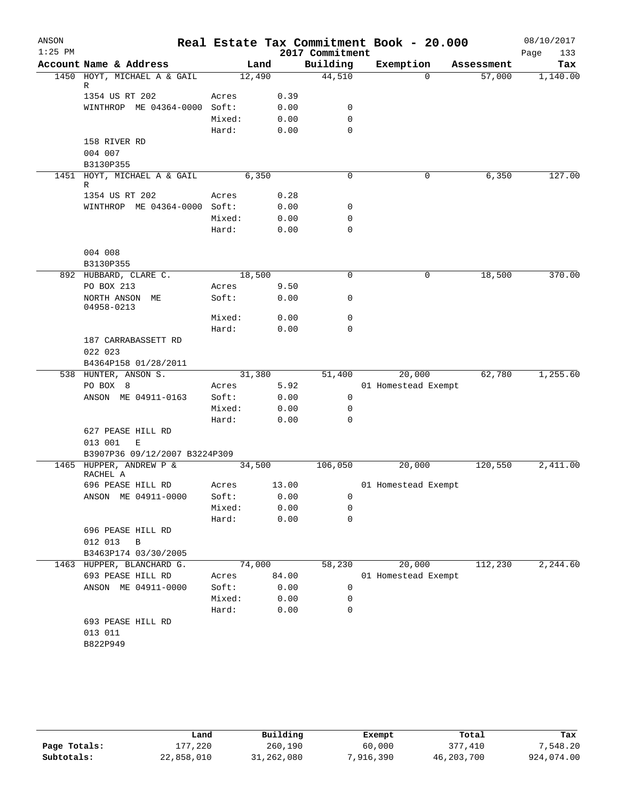| ANSON     |                                     |        |       |                 | Real Estate Tax Commitment Book - 20.000 |            | 08/10/2017  |
|-----------|-------------------------------------|--------|-------|-----------------|------------------------------------------|------------|-------------|
| $1:25$ PM |                                     |        |       | 2017 Commitment |                                          |            | Page<br>133 |
|           | Account Name & Address              | Land   |       | Building        | Exemption                                | Assessment | Tax         |
|           | 1450 HOYT, MICHAEL A & GAIL<br>R    | 12,490 |       | 44,510          | $\Omega$                                 | 57,000     | 1,140.00    |
|           | 1354 US RT 202                      | Acres  | 0.39  |                 |                                          |            |             |
|           | WINTHROP ME 04364-0000 Soft:        |        | 0.00  | 0               |                                          |            |             |
|           |                                     | Mixed: | 0.00  | $\mathbf 0$     |                                          |            |             |
|           |                                     | Hard:  | 0.00  | $\mathbf 0$     |                                          |            |             |
|           | 158 RIVER RD                        |        |       |                 |                                          |            |             |
|           | 004 007                             |        |       |                 |                                          |            |             |
|           | B3130P355                           |        |       |                 |                                          |            |             |
|           | 1451 HOYT, MICHAEL A & GAIL         | 6,350  |       | 0               | 0                                        | 6,350      | 127.00      |
|           | R                                   |        |       |                 |                                          |            |             |
|           | 1354 US RT 202                      | Acres  | 0.28  |                 |                                          |            |             |
|           | WINTHROP ME 04364-0000 Soft:        |        | 0.00  | 0               |                                          |            |             |
|           |                                     | Mixed: | 0.00  | 0               |                                          |            |             |
|           |                                     | Hard:  | 0.00  | $\mathbf 0$     |                                          |            |             |
|           | 004 008                             |        |       |                 |                                          |            |             |
|           | B3130P355                           |        |       |                 |                                          |            |             |
|           | 892 HUBBARD, CLARE C.               | 18,500 |       | $\mathbf 0$     | 0                                        | 18,500     | 370.00      |
|           | PO BOX 213                          | Acres  | 9.50  |                 |                                          |            |             |
|           | NORTH ANSON ME<br>04958-0213        | Soft:  | 0.00  | 0               |                                          |            |             |
|           |                                     | Mixed: | 0.00  | $\mathbf 0$     |                                          |            |             |
|           |                                     | Hard:  | 0.00  | 0               |                                          |            |             |
|           | 187 CARRABASSETT RD                 |        |       |                 |                                          |            |             |
|           | 022 023                             |        |       |                 |                                          |            |             |
|           | B4364P158 01/28/2011                |        |       |                 |                                          |            |             |
|           | 538 HUNTER, ANSON S.                | 31,380 |       | 51,400          | 20,000                                   | 62,780     | 1,255.60    |
|           | PO BOX 8                            | Acres  | 5.92  |                 | 01 Homestead Exempt                      |            |             |
|           | ANSON ME 04911-0163                 | Soft:  | 0.00  | 0               |                                          |            |             |
|           |                                     | Mixed: | 0.00  | 0               |                                          |            |             |
|           |                                     | Hard:  | 0.00  | 0               |                                          |            |             |
|           | 627 PEASE HILL RD                   |        |       |                 |                                          |            |             |
|           | 013 001<br>E                        |        |       |                 |                                          |            |             |
|           | B3907P36 09/12/2007 B3224P309       |        |       |                 |                                          |            |             |
|           | 1465 HUPPER, ANDREW P &<br>RACHEL A | 34,500 |       | 106,050         | 20,000                                   | 120,550    | 2,411.00    |
|           | 696 PEASE HILL RD                   | Acres  | 13.00 |                 | 01 Homestead Exempt                      |            |             |
|           | ANSON ME 04911-0000                 | Soft:  | 0.00  | 0               |                                          |            |             |
|           |                                     | Mixed: | 0.00  | 0               |                                          |            |             |
|           |                                     | Hard:  | 0.00  | 0               |                                          |            |             |
|           | 696 PEASE HILL RD                   |        |       |                 |                                          |            |             |
|           | 012 013<br>B                        |        |       |                 |                                          |            |             |
|           | B3463P174 03/30/2005                |        |       |                 |                                          |            |             |
|           | 1463 HUPPER, BLANCHARD G.           | 74,000 |       | 58,230          | 20,000                                   | 112,230    | 2,244.60    |
|           | 693 PEASE HILL RD                   | Acres  | 84.00 |                 | 01 Homestead Exempt                      |            |             |
|           | ANSON ME 04911-0000                 | Soft:  | 0.00  | 0               |                                          |            |             |
|           |                                     | Mixed: | 0.00  | 0               |                                          |            |             |
|           |                                     | Hard:  | 0.00  | 0               |                                          |            |             |
|           | 693 PEASE HILL RD                   |        |       |                 |                                          |            |             |
|           | 013 011                             |        |       |                 |                                          |            |             |
|           | B822P949                            |        |       |                 |                                          |            |             |
|           |                                     |        |       |                 |                                          |            |             |

|              | Land       | Building   | Exempt    | Total      | Tax        |
|--------------|------------|------------|-----------|------------|------------|
| Page Totals: | 177,220    | 260,190    | 60,000    | 377,410    | 7,548.20   |
| Subtotals:   | 22,858,010 | 31,262,080 | 7,916,390 | 46,203,700 | 924,074.00 |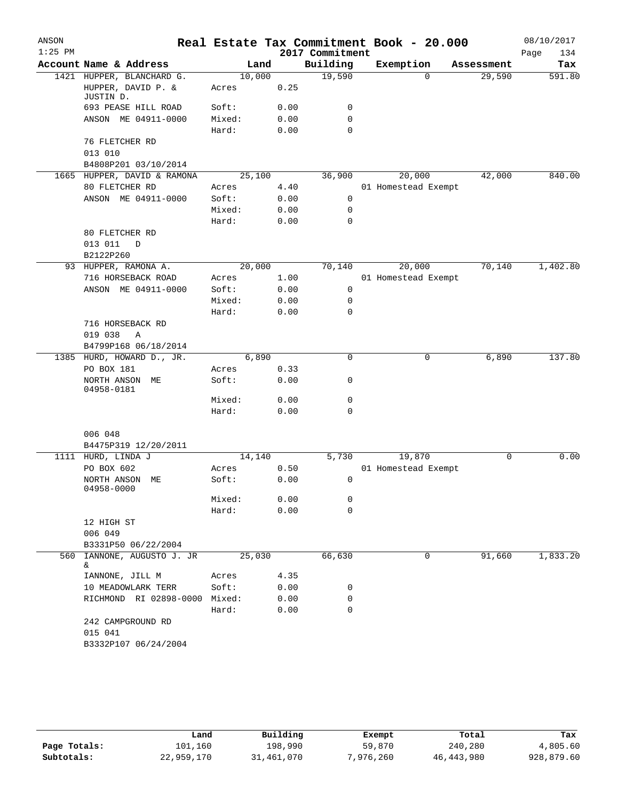| ANSON     |                                                          |        |      |                             | Real Estate Tax Commitment Book - 20.000 |            | 08/10/2017         |
|-----------|----------------------------------------------------------|--------|------|-----------------------------|------------------------------------------|------------|--------------------|
| $1:25$ PM | Account Name & Address                                   | Land   |      | 2017 Commitment<br>Building | Exemption                                | Assessment | Page<br>134<br>Tax |
|           | 1421 HUPPER, BLANCHARD G.                                | 10,000 |      | 19,590                      | $\Omega$                                 | 29,590     | 591.80             |
|           | HUPPER, DAVID P. &<br>JUSTIN D.                          | Acres  | 0.25 |                             |                                          |            |                    |
|           | 693 PEASE HILL ROAD                                      | Soft:  | 0.00 | 0                           |                                          |            |                    |
|           | ANSON ME 04911-0000                                      | Mixed: | 0.00 | 0                           |                                          |            |                    |
|           |                                                          | Hard:  | 0.00 | 0                           |                                          |            |                    |
|           | 76 FLETCHER RD<br>013 010<br>B4808P201 03/10/2014        |        |      |                             |                                          |            |                    |
|           | 1665 HUPPER, DAVID & RAMONA                              | 25,100 |      | 36,900                      | 20,000                                   | 42,000     | 840.00             |
|           | 80 FLETCHER RD                                           | Acres  | 4.40 |                             | 01 Homestead Exempt                      |            |                    |
|           | ANSON ME 04911-0000                                      | Soft:  | 0.00 | 0                           |                                          |            |                    |
|           |                                                          | Mixed: | 0.00 | 0                           |                                          |            |                    |
|           |                                                          | Hard:  | 0.00 | $\mathbf 0$                 |                                          |            |                    |
|           | 80 FLETCHER RD<br>013 011<br>D<br>B2122P260              |        |      |                             |                                          |            |                    |
|           | 93 HUPPER, RAMONA A.                                     | 20,000 |      | 70,140                      | 20,000                                   | 70,140     | 1,402.80           |
|           | 716 HORSEBACK ROAD                                       | Acres  | 1.00 |                             | 01 Homestead Exempt                      |            |                    |
|           | ANSON ME 04911-0000                                      | Soft:  | 0.00 | 0                           |                                          |            |                    |
|           |                                                          | Mixed: | 0.00 | 0                           |                                          |            |                    |
|           |                                                          | Hard:  | 0.00 | 0                           |                                          |            |                    |
|           | 716 HORSEBACK RD<br>019 038<br>Α<br>B4799P168 06/18/2014 |        |      |                             |                                          |            |                    |
|           | 1385 HURD, HOWARD D., JR.                                | 6,890  |      | $\mathbf 0$                 | 0                                        | 6,890      | 137.80             |
|           | PO BOX 181                                               | Acres  | 0.33 |                             |                                          |            |                    |
|           | NORTH ANSON ME<br>04958-0181                             | Soft:  | 0.00 | 0                           |                                          |            |                    |
|           |                                                          | Mixed: | 0.00 | 0                           |                                          |            |                    |
|           |                                                          | Hard:  | 0.00 | 0                           |                                          |            |                    |
|           | 006 048<br>B4475P319 12/20/2011                          |        |      |                             |                                          |            |                    |
|           | 1111 HURD, LINDA J                                       | 14,140 |      | 5,730                       | 19,870                                   | 0          | 0.00               |
|           | PO BOX 602                                               | Acres  | 0.50 |                             | 01 Homestead Exempt                      |            |                    |
|           | NORTH ANSON ME<br>04958-0000                             | Soft:  | 0.00 | 0                           |                                          |            |                    |
|           |                                                          | Mixed: | 0.00 | 0                           |                                          |            |                    |
|           |                                                          | Hard:  | 0.00 | 0                           |                                          |            |                    |
|           | 12 HIGH ST<br>006 049                                    |        |      |                             |                                          |            |                    |
|           | B3331P50 06/22/2004                                      |        |      |                             |                                          |            |                    |
| 560       | IANNONE, AUGUSTO J. JR<br>&                              | 25,030 |      | 66,630                      | 0                                        | 91,660     | 1,833.20           |
|           | IANNONE, JILL M                                          | Acres  | 4.35 |                             |                                          |            |                    |
|           | 10 MEADOWLARK TERR                                       | Soft:  | 0.00 | 0                           |                                          |            |                    |
|           | RICHMOND RI 02898-0000 Mixed:                            |        | 0.00 | 0                           |                                          |            |                    |
|           |                                                          | Hard:  | 0.00 | 0                           |                                          |            |                    |
|           | 242 CAMPGROUND RD<br>015 041                             |        |      |                             |                                          |            |                    |
|           | B3332P107 06/24/2004                                     |        |      |                             |                                          |            |                    |

|              | Land       | Building   | Exempt    | Total        | Tax        |
|--------------|------------|------------|-----------|--------------|------------|
| Page Totals: | 101,160    | 198,990    | 59,870    | 240,280      | 4,805.60   |
| Subtotals:   | 22,959,170 | 31,461,070 | 7,976,260 | 46, 443, 980 | 928,879.60 |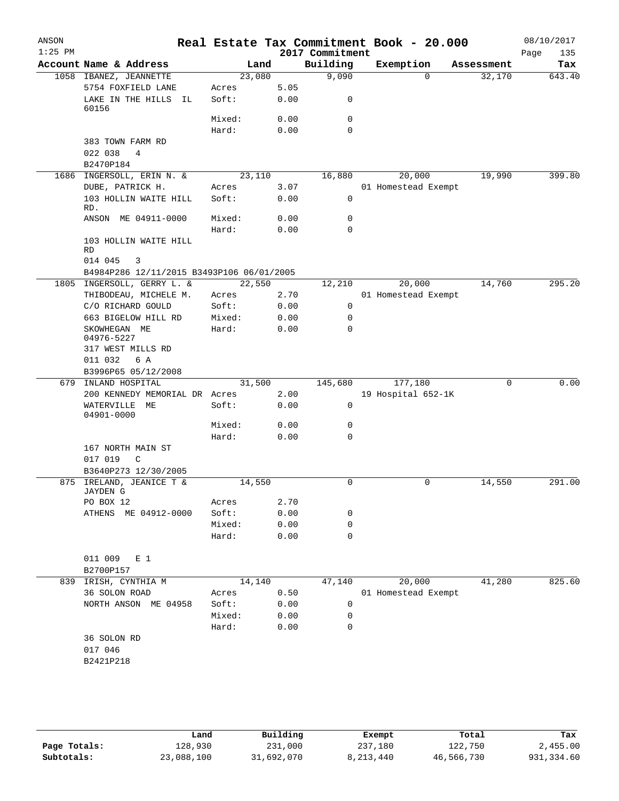| ANSON<br>$1:25$ PM |                                           |                |              | 2017 Commitment | Real Estate Tax Commitment Book - 20.000 |            | 08/10/2017<br>135<br>Page |
|--------------------|-------------------------------------------|----------------|--------------|-----------------|------------------------------------------|------------|---------------------------|
|                    | Account Name & Address                    | Land           |              | Building        | Exemption                                | Assessment | Tax                       |
|                    | 1058 IBANEZ, JEANNETTE                    | 23,080         |              | 9,090           | $\Omega$                                 | 32,170     | 643.40                    |
|                    | 5754 FOXFIELD LANE                        | Acres          | 5.05         |                 |                                          |            |                           |
|                    | LAKE IN THE HILLS<br>IL.<br>60156         | Soft:          | 0.00         | 0               |                                          |            |                           |
|                    |                                           | Mixed:         | 0.00         | 0               |                                          |            |                           |
|                    |                                           | Hard:          | 0.00         | $\mathbf 0$     |                                          |            |                           |
|                    | 383 TOWN FARM RD                          |                |              |                 |                                          |            |                           |
|                    | 022 038<br>4                              |                |              |                 |                                          |            |                           |
|                    | B2470P184                                 |                |              |                 |                                          |            |                           |
|                    | 1686 INGERSOLL, ERIN N. &                 | 23,110         |              | 16,880          | 20,000                                   | 19,990     | 399.80                    |
|                    | DUBE, PATRICK H.                          | Acres          | 3.07         |                 | 01 Homestead Exempt                      |            |                           |
|                    | 103 HOLLIN WAITE HILL<br>RD.              | Soft:          | 0.00         | 0               |                                          |            |                           |
|                    | ANSON ME 04911-0000                       | Mixed:         | 0.00         | 0               |                                          |            |                           |
|                    |                                           | Hard:          | 0.00         | $\mathbf 0$     |                                          |            |                           |
|                    | 103 HOLLIN WAITE HILL                     |                |              |                 |                                          |            |                           |
|                    | RD                                        |                |              |                 |                                          |            |                           |
|                    | 014 045<br>3                              |                |              |                 |                                          |            |                           |
|                    | B4984P286 12/11/2015 B3493P106 06/01/2005 |                |              |                 |                                          |            |                           |
|                    | 1805 INGERSOLL, GERRY L. &                | 22,550         |              | 12,210          | 20,000                                   | 14,760     | 295.20                    |
|                    | THIBODEAU, MICHELE M.                     | Acres          | 2.70         |                 | 01 Homestead Exempt                      |            |                           |
|                    | C/O RICHARD GOULD                         | Soft:          | 0.00         | 0               |                                          |            |                           |
|                    | 663 BIGELOW HILL RD                       | Mixed:         | 0.00         | 0               |                                          |            |                           |
|                    | SKOWHEGAN ME<br>04976-5227                | Hard:          | 0.00         | 0               |                                          |            |                           |
|                    | 317 WEST MILLS RD                         |                |              |                 |                                          |            |                           |
|                    | 011 032<br>6 A                            |                |              |                 |                                          |            |                           |
|                    | B3996P65 05/12/2008                       |                |              |                 |                                          |            |                           |
|                    | 679 INLAND HOSPITAL                       | 31,500         |              | 145,680         | 177,180                                  | $\Omega$   | 0.00                      |
|                    | 200 KENNEDY MEMORIAL DR Acres             |                | 2.00         |                 | 19 Hospital 652-1K                       |            |                           |
|                    | WATERVILLE<br>ME<br>04901-0000            | Soft:          | 0.00         | $\mathbf 0$     |                                          |            |                           |
|                    |                                           | Mixed:         | 0.00         | 0               |                                          |            |                           |
|                    |                                           | Hard:          | 0.00         | 0               |                                          |            |                           |
|                    | 167 NORTH MAIN ST                         |                |              |                 |                                          |            |                           |
|                    | 017 019<br>$\mathsf{C}$                   |                |              |                 |                                          |            |                           |
|                    | B3640P273 12/30/2005                      |                |              |                 |                                          |            |                           |
| 875                | IRELAND, JEANICE T &                      | 14,550         |              | 0               | 0                                        | 14,550     | 291.00                    |
|                    | JAYDEN G                                  |                |              |                 |                                          |            |                           |
|                    | PO BOX 12<br>ATHENS ME 04912-0000         | Acres<br>Soft: | 2.70<br>0.00 | 0               |                                          |            |                           |
|                    |                                           | Mixed:         | 0.00         | 0               |                                          |            |                           |
|                    |                                           | Hard:          | 0.00         | 0               |                                          |            |                           |
|                    |                                           |                |              |                 |                                          |            |                           |
|                    | 011 009<br>E <sub>1</sub>                 |                |              |                 |                                          |            |                           |
|                    | B2700P157                                 |                |              |                 |                                          |            |                           |
|                    | 839 IRISH, CYNTHIA M                      | 14,140         |              | 47,140          | 20,000                                   | 41,280     | 825.60                    |
|                    | 36 SOLON ROAD                             | Acres          | 0.50         |                 | 01 Homestead Exempt                      |            |                           |
|                    | NORTH ANSON ME 04958                      | Soft:          | 0.00         | 0               |                                          |            |                           |
|                    |                                           | Mixed:         | 0.00         | 0               |                                          |            |                           |
|                    |                                           | Hard:          | 0.00         | 0               |                                          |            |                           |
|                    | 36 SOLON RD                               |                |              |                 |                                          |            |                           |
|                    | 017 046                                   |                |              |                 |                                          |            |                           |
|                    | B2421P218                                 |                |              |                 |                                          |            |                           |
|                    |                                           |                |              |                 |                                          |            |                           |
|                    |                                           |                |              |                 |                                          |            |                           |
|                    |                                           |                |              |                 |                                          |            |                           |

|              | Land       | Building   | Exempt    | Total      | Tax        |
|--------------|------------|------------|-----------|------------|------------|
| Page Totals: | 128,930    | 231,000    | 237,180   | 122,750    | 2,455.00   |
| Subtotals:   | 23,088,100 | 31,692,070 | 8,213,440 | 46,566,730 | 931,334.60 |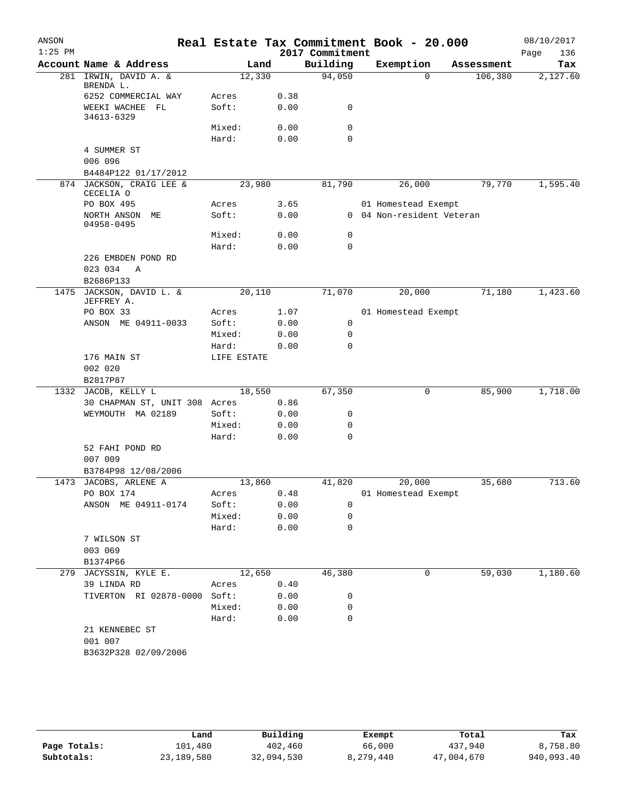| ANSON     |                                                      |                |      |                    | Real Estate Tax Commitment Book - 20.000 |                       | 08/10/2017      |
|-----------|------------------------------------------------------|----------------|------|--------------------|------------------------------------------|-----------------------|-----------------|
| $1:25$ PM |                                                      |                |      | 2017 Commitment    |                                          |                       | 136<br>Page     |
| 281       | Account Name & Address<br>IRWIN, DAVID A. &          | Land<br>12,330 |      | Building<br>94,050 | Exemption<br>$\Omega$                    | Assessment<br>106,380 | Tax<br>2,127.60 |
|           | BRENDA L.                                            |                |      |                    |                                          |                       |                 |
|           | 6252 COMMERCIAL WAY                                  | Acres          | 0.38 |                    |                                          |                       |                 |
|           | WEEKI WACHEE<br>FL<br>34613-6329                     | Soft:          | 0.00 | 0                  |                                          |                       |                 |
|           |                                                      | Mixed:         | 0.00 | 0                  |                                          |                       |                 |
|           |                                                      | Hard:          | 0.00 | $\mathbf 0$        |                                          |                       |                 |
|           | 4 SUMMER ST<br>006 096                               |                |      |                    |                                          |                       |                 |
|           | B4484P122 01/17/2012                                 |                |      |                    |                                          |                       |                 |
|           | 874 JACKSON, CRAIG LEE &<br>CECELIA O                | 23,980         |      | 81,790             | 26,000                                   | 79,770                | 1,595.40        |
|           | PO BOX 495                                           | Acres          | 3.65 |                    | 01 Homestead Exempt                      |                       |                 |
|           | NORTH ANSON ME<br>04958-0495                         | Soft:          | 0.00 |                    | 0 04 Non-resident Veteran                |                       |                 |
|           |                                                      | Mixed:         | 0.00 | 0                  |                                          |                       |                 |
|           |                                                      | Hard:          | 0.00 | $\mathbf 0$        |                                          |                       |                 |
|           | 226 EMBDEN POND RD                                   |                |      |                    |                                          |                       |                 |
|           | 023 034<br>Α<br>B2686P133                            |                |      |                    |                                          |                       |                 |
| 1475      | JACKSON, DAVID L. &<br>JEFFREY A.                    | 20,110         |      | 71,070             | 20,000                                   | 71,180                | 1,423.60        |
|           | PO BOX 33                                            | Acres          | 1.07 |                    | 01 Homestead Exempt                      |                       |                 |
|           | ANSON ME 04911-0033                                  | Soft:          | 0.00 | 0                  |                                          |                       |                 |
|           |                                                      | Mixed:         | 0.00 | 0                  |                                          |                       |                 |
|           |                                                      | Hard:          | 0.00 | $\mathbf 0$        |                                          |                       |                 |
|           | 176 MAIN ST                                          | LIFE ESTATE    |      |                    |                                          |                       |                 |
|           | 002 020                                              |                |      |                    |                                          |                       |                 |
|           | B2817P87                                             |                |      |                    |                                          |                       |                 |
|           | 1332 JACOB, KELLY L<br>30 CHAPMAN ST, UNIT 308 Acres | 18,550         | 0.86 | 67,350             | 0                                        | 85,900                | 1,718.00        |
|           | WEYMOUTH MA 02189                                    | Soft:          | 0.00 | 0                  |                                          |                       |                 |
|           |                                                      | Mixed:         | 0.00 | 0                  |                                          |                       |                 |
|           |                                                      | Hard:          | 0.00 | $\mathbf 0$        |                                          |                       |                 |
|           | 52 FAHI POND RD                                      |                |      |                    |                                          |                       |                 |
|           | 007 009                                              |                |      |                    |                                          |                       |                 |
|           | B3784P98 12/08/2006                                  |                |      |                    |                                          |                       |                 |
| 1473      | JACOBS, ARLENE A                                     | 13,860         |      | 41,820             | 20,000                                   | 35,680                | 713.60          |
|           | PO BOX 174                                           | Acres          | 0.48 |                    | 01 Homestead Exempt                      |                       |                 |
|           | ANSON ME 04911-0174                                  | Soft:          | 0.00 | $\mathbf 0$        |                                          |                       |                 |
|           |                                                      | Mixed:         | 0.00 | $\mathbf 0$        |                                          |                       |                 |
|           |                                                      | Hard:          | 0.00 | $\mathbf 0$        |                                          |                       |                 |
|           | 7 WILSON ST                                          |                |      |                    |                                          |                       |                 |
|           | 003 069                                              |                |      |                    |                                          |                       |                 |
|           | B1374P66                                             |                |      |                    |                                          |                       |                 |
| 279       | JACYSSIN, KYLE E.                                    | 12,650         |      | 46,380             | 0                                        | 59,030                | 1,180.60        |
|           | 39 LINDA RD                                          | Acres          | 0.40 |                    |                                          |                       |                 |
|           | TIVERTON RI 02878-0000 Soft:                         |                | 0.00 | 0                  |                                          |                       |                 |
|           |                                                      | Mixed:         | 0.00 | 0                  |                                          |                       |                 |
|           |                                                      | Hard:          | 0.00 | $\mathbf 0$        |                                          |                       |                 |
|           | 21 KENNEBEC ST<br>001 007                            |                |      |                    |                                          |                       |                 |
|           | B3632P328 02/09/2006                                 |                |      |                    |                                          |                       |                 |
|           |                                                      |                |      |                    |                                          |                       |                 |

|              | Land       | Building   | Exempt    | Total      | Tax        |
|--------------|------------|------------|-----------|------------|------------|
| Page Totals: | 101,480    | 402,460    | 66,000    | 437,940    | 8,758.80   |
| Subtotals:   | 23,189,580 | 32,094,530 | 8,279,440 | 47,004,670 | 940,093.40 |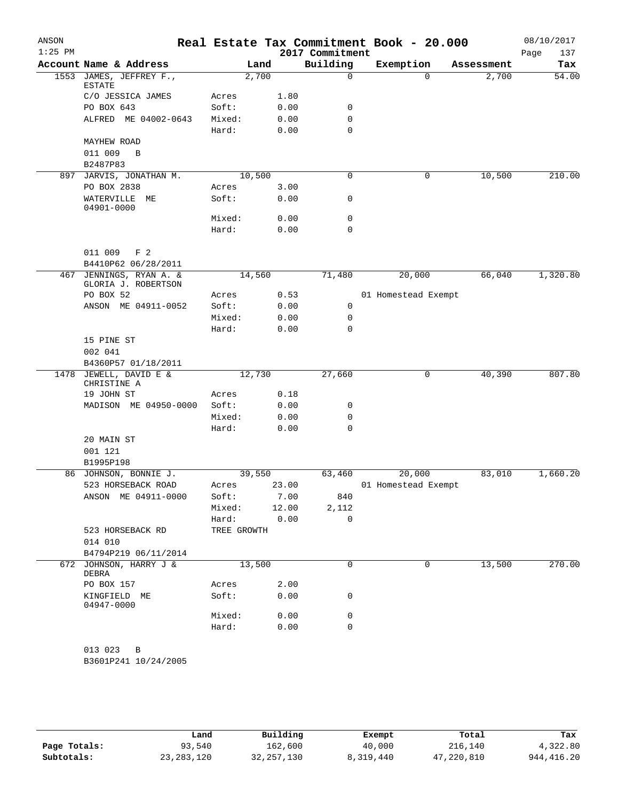| ANSON<br>$1:25$ PM |                                                  |                 |               | 2017 Commitment      | Real Estate Tax Commitment Book - 20.000 |            | 08/10/2017<br>137<br>Page |
|--------------------|--------------------------------------------------|-----------------|---------------|----------------------|------------------------------------------|------------|---------------------------|
|                    | Account Name & Address                           |                 | Land          | Building             | Exemption                                | Assessment | Tax                       |
| 1553               | JAMES, JEFFREY F.,<br>ESTATE                     |                 | 2,700         | 0                    | $\Omega$                                 | 2,700      | 54.00                     |
|                    | C/O JESSICA JAMES                                | Acres           | 1.80          |                      |                                          |            |                           |
|                    | PO BOX 643                                       | Soft:           | 0.00          | 0                    |                                          |            |                           |
|                    | ALFRED ME 04002-0643                             | Mixed:          | 0.00          | $\mathbf 0$          |                                          |            |                           |
|                    |                                                  | Hard:           | 0.00          | 0                    |                                          |            |                           |
|                    | <b>MAYHEW ROAD</b>                               |                 |               |                      |                                          |            |                           |
|                    | 011 009<br>B                                     |                 |               |                      |                                          |            |                           |
|                    | B2487P83                                         |                 |               |                      |                                          |            |                           |
|                    | 897 JARVIS, JONATHAN M.                          |                 | 10,500        | 0                    | 0                                        | 10,500     | 210.00                    |
|                    | PO BOX 2838                                      | Acres           | 3.00          |                      |                                          |            |                           |
|                    | WATERVILLE<br>ME<br>04901-0000                   | Soft:           | 0.00          | 0                    |                                          |            |                           |
|                    |                                                  | Mixed:          | 0.00          | 0                    |                                          |            |                           |
|                    |                                                  | Hard:           | 0.00          | $\mathbf 0$          |                                          |            |                           |
|                    | 011 009<br>F <sub>2</sub><br>B4410P62 06/28/2011 |                 |               |                      |                                          |            |                           |
| 467                | JENNINGS, RYAN A. &                              |                 | 14,560        | 71,480               | 20,000                                   | 66,040     | 1,320.80                  |
|                    | GLORIA J. ROBERTSON                              |                 |               |                      |                                          |            |                           |
|                    | PO BOX 52                                        | Acres           | 0.53          |                      | 01 Homestead Exempt                      |            |                           |
|                    | ANSON ME 04911-0052                              | Soft:           | 0.00          | 0                    |                                          |            |                           |
|                    |                                                  | Mixed:          | 0.00          | 0                    |                                          |            |                           |
|                    |                                                  | Hard:           | 0.00          | 0                    |                                          |            |                           |
|                    | 15 PINE ST<br>002 041                            |                 |               |                      |                                          |            |                           |
|                    | B4360P57 01/18/2011<br>1478 JEWELL, DAVID E &    |                 |               | 27,660               |                                          | 40,390     | 807.80                    |
|                    | CHRISTINE A                                      |                 | 12,730        |                      | 0                                        |            |                           |
|                    | 19 JOHN ST                                       | Acres           | 0.18          |                      |                                          |            |                           |
|                    | MADISON ME 04950-0000                            | Soft:           | 0.00          | 0                    |                                          |            |                           |
|                    |                                                  | Mixed:          | 0.00          | 0                    |                                          |            |                           |
|                    |                                                  | Hard:           | 0.00          | $\mathbf 0$          |                                          |            |                           |
|                    | 20 MAIN ST                                       |                 |               |                      |                                          |            |                           |
|                    | 001 121                                          |                 |               |                      |                                          |            |                           |
|                    | B1995P198                                        |                 |               |                      |                                          |            |                           |
|                    | 86 JOHNSON, BONNIE J.                            |                 | 39,550        | 63,460               | 20,000                                   | 83,010     | 1,660.20                  |
|                    | 523 HORSEBACK ROAD                               | Acres           | 23.00         |                      | 01 Homestead Exempt                      |            |                           |
|                    | ANSON ME 04911-0000                              | Soft:           | 7.00          | 840                  |                                          |            |                           |
|                    |                                                  | Mixed:<br>Hard: | 12.00<br>0.00 | 2,112<br>$\mathbf 0$ |                                          |            |                           |
|                    | 523 HORSEBACK RD                                 | TREE GROWTH     |               |                      |                                          |            |                           |
|                    | 014 010                                          |                 |               |                      |                                          |            |                           |
|                    | B4794P219 06/11/2014                             |                 |               |                      |                                          |            |                           |
|                    | 672 JOHNSON, HARRY J &<br>DEBRA                  |                 | 13,500        | 0                    | 0                                        | 13,500     | 270.00                    |
|                    | PO BOX 157                                       | Acres           | 2.00          |                      |                                          |            |                           |
|                    | KINGFIELD ME<br>04947-0000                       | Soft:           | 0.00          | 0                    |                                          |            |                           |
|                    |                                                  | Mixed:          | 0.00          | 0                    |                                          |            |                           |
|                    |                                                  | Hard:           | 0.00          | 0                    |                                          |            |                           |
|                    | 013 023<br>B<br>B3601P241 10/24/2005             |                 |               |                      |                                          |            |                           |

|              | Land         | Building     | Exempt    | Total      | Tax         |
|--------------|--------------|--------------|-----------|------------|-------------|
| Page Totals: | 93,540       | 162,600      | 40,000    | 216,140    | 4,322.80    |
| Subtotals:   | 23, 283, 120 | 32, 257, 130 | 8,319,440 | 47,220,810 | 944, 416.20 |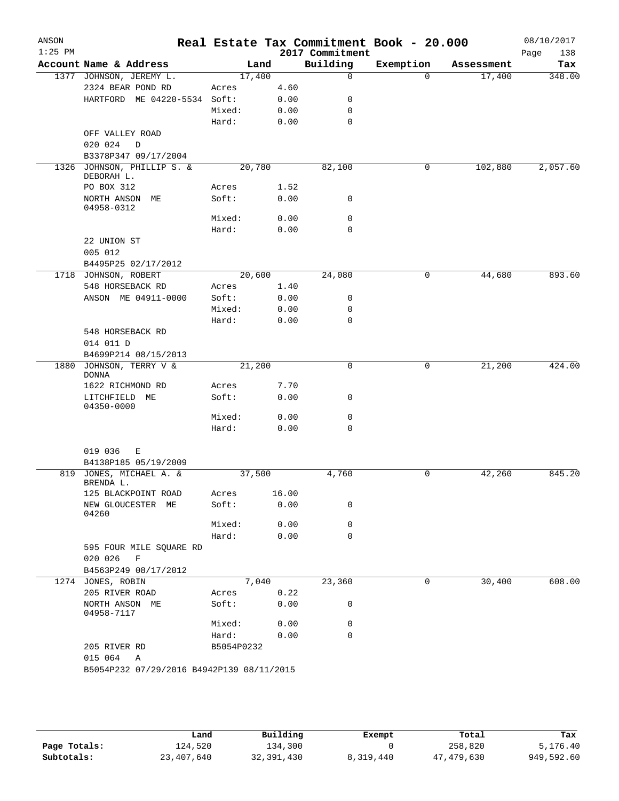| ANSON<br>$1:25$ PM |                                           |            |       | 2017 Commitment | Real Estate Tax Commitment Book - 20.000 |            | 08/10/2017<br>Page<br>138 |
|--------------------|-------------------------------------------|------------|-------|-----------------|------------------------------------------|------------|---------------------------|
|                    | Account Name & Address                    | Land       |       | Building        | Exemption                                | Assessment | Tax                       |
|                    | 1377 JOHNSON, JEREMY L.                   | 17,400     |       | $\mathbf 0$     | $\Omega$                                 | 17,400     | 348.00                    |
|                    | 2324 BEAR POND RD                         | Acres      | 4.60  |                 |                                          |            |                           |
|                    | HARTFORD ME 04220-5534 Soft:              |            | 0.00  | 0               |                                          |            |                           |
|                    |                                           | Mixed:     | 0.00  | 0               |                                          |            |                           |
|                    |                                           | Hard:      | 0.00  | 0               |                                          |            |                           |
|                    | OFF VALLEY ROAD                           |            |       |                 |                                          |            |                           |
|                    | 020 024<br>D                              |            |       |                 |                                          |            |                           |
|                    | B3378P347 09/17/2004                      |            |       |                 |                                          |            |                           |
| 1326               | JOHNSON, PHILLIP S. &<br>DEBORAH L.       | 20,780     |       | 82,100          | 0                                        | 102,880    | 2,057.60                  |
|                    | PO BOX 312                                | Acres      | 1.52  |                 |                                          |            |                           |
|                    | NORTH ANSON ME                            | Soft:      | 0.00  | 0               |                                          |            |                           |
|                    | 04958-0312                                |            |       |                 |                                          |            |                           |
|                    |                                           | Mixed:     | 0.00  | 0               |                                          |            |                           |
|                    |                                           | Hard:      | 0.00  | 0               |                                          |            |                           |
|                    | 22 UNION ST                               |            |       |                 |                                          |            |                           |
|                    | 005 012                                   |            |       |                 |                                          |            |                           |
|                    | B4495P25 02/17/2012                       |            |       |                 |                                          |            |                           |
|                    | 1718 JOHNSON, ROBERT                      | 20,600     |       | 24,080          | 0                                        | 44,680     | 893.60                    |
|                    | 548 HORSEBACK RD                          | Acres      | 1.40  |                 |                                          |            |                           |
|                    | ANSON ME 04911-0000                       | Soft:      | 0.00  | 0               |                                          |            |                           |
|                    |                                           | Mixed:     | 0.00  | 0               |                                          |            |                           |
|                    |                                           | Hard:      | 0.00  | $\Omega$        |                                          |            |                           |
|                    | 548 HORSEBACK RD                          |            |       |                 |                                          |            |                           |
|                    | 014 011 D                                 |            |       |                 |                                          |            |                           |
|                    | B4699P214 08/15/2013                      |            |       |                 |                                          |            |                           |
| 1880               | JOHNSON, TERRY V &                        | 21,200     |       | 0               | 0                                        | 21,200     | 424.00                    |
|                    | DONNA                                     |            |       |                 |                                          |            |                           |
|                    | 1622 RICHMOND RD                          | Acres      | 7.70  |                 |                                          |            |                           |
|                    | LITCHFIELD ME<br>04350-0000               | Soft:      | 0.00  | 0               |                                          |            |                           |
|                    |                                           | Mixed:     | 0.00  | 0               |                                          |            |                           |
|                    |                                           | Hard:      | 0.00  | $\mathbf 0$     |                                          |            |                           |
|                    |                                           |            |       |                 |                                          |            |                           |
|                    | 019 036<br>Е                              |            |       |                 |                                          |            |                           |
|                    | B4138P185 05/19/2009                      |            |       |                 |                                          |            |                           |
|                    | 819 JONES, MICHAEL A. &                   | 37,500     |       | 4,760           | 0                                        | 42,260     | 845.20                    |
|                    | BRENDA L.                                 |            |       |                 |                                          |            |                           |
|                    | 125 BLACKPOINT ROAD                       | Acres      | 16.00 |                 |                                          |            |                           |
|                    | NEW GLOUCESTER ME                         | Soft:      | 0.00  | 0               |                                          |            |                           |
|                    | 04260                                     | Mixed:     | 0.00  | 0               |                                          |            |                           |
|                    |                                           | Hard:      | 0.00  | 0               |                                          |            |                           |
|                    | 595 FOUR MILE SQUARE RD                   |            |       |                 |                                          |            |                           |
|                    | 020 026<br>F                              |            |       |                 |                                          |            |                           |
|                    | B4563P249 08/17/2012                      |            |       |                 |                                          |            |                           |
|                    | 1274 JONES, ROBIN                         | 7,040      |       | 23,360          | 0                                        | 30,400     | 608.00                    |
|                    | 205 RIVER ROAD                            | Acres      | 0.22  |                 |                                          |            |                           |
|                    | NORTH ANSON ME<br>04958-7117              | Soft:      | 0.00  | 0               |                                          |            |                           |
|                    |                                           | Mixed:     | 0.00  | 0               |                                          |            |                           |
|                    |                                           | Hard:      | 0.00  | $\mathbf 0$     |                                          |            |                           |
|                    | 205 RIVER RD                              | B5054P0232 |       |                 |                                          |            |                           |
|                    | 015 064<br>A                              |            |       |                 |                                          |            |                           |
|                    | B5054P232 07/29/2016 B4942P139 08/11/2015 |            |       |                 |                                          |            |                           |
|                    |                                           |            |       |                 |                                          |            |                           |

|              | Land       | Building   | Exempt    | Total      | Tax        |
|--------------|------------|------------|-----------|------------|------------|
| Page Totals: | 124,520    | 134,300    |           | 258,820    | 5,176.40   |
| Subtotals:   | 23,407,640 | 32,391,430 | 8,319,440 | 47,479,630 | 949,592.60 |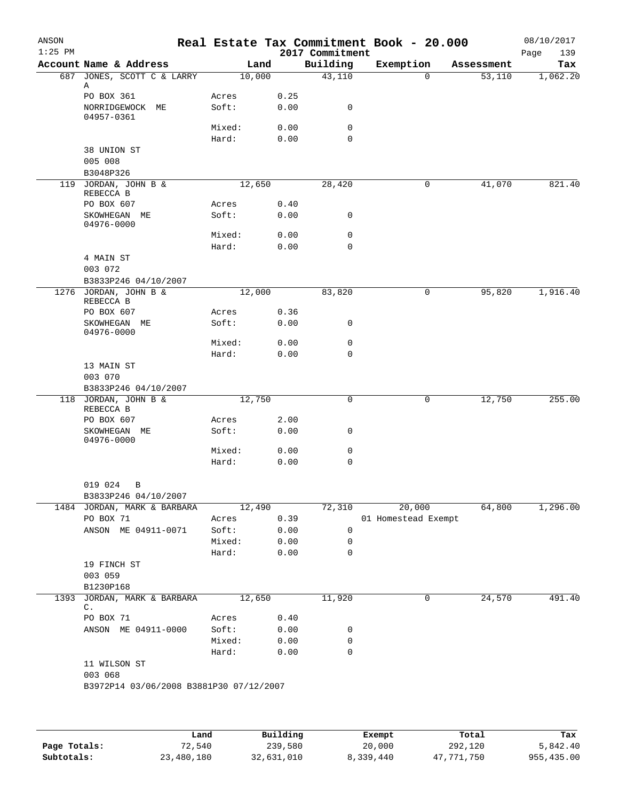| ANSON<br>$1:25$ PM |                                         |                 |        |              | 2017 Commitment             | Real Estate Tax Commitment Book - 20.000 |   |            | 08/10/2017<br>139<br>Page |
|--------------------|-----------------------------------------|-----------------|--------|--------------|-----------------------------|------------------------------------------|---|------------|---------------------------|
|                    | Account Name & Address                  |                 | Land   |              | Building                    | Exemption                                |   | Assessment | Tax                       |
| 687                | JONES, SCOTT C & LARRY                  |                 | 10,000 |              | 43,110                      | $\mathbf 0$                              |   | 53,110     | 1,062.20                  |
|                    | Α                                       |                 |        |              |                             |                                          |   |            |                           |
|                    | PO BOX 361                              | Acres           |        | 0.25         |                             |                                          |   |            |                           |
|                    | NORRIDGEWOCK ME<br>04957-0361           | Soft:           |        | 0.00         | 0                           |                                          |   |            |                           |
|                    |                                         | Mixed:          |        | 0.00         | 0                           |                                          |   |            |                           |
|                    |                                         | Hard:           |        | 0.00         | $\mathbf 0$                 |                                          |   |            |                           |
|                    | 38 UNION ST                             |                 |        |              |                             |                                          |   |            |                           |
|                    | 005 008                                 |                 |        |              |                             |                                          |   |            |                           |
|                    | B3048P326                               |                 |        |              |                             |                                          |   |            |                           |
| 119                | JORDAN, JOHN B &<br>REBECCA B           |                 | 12,650 |              | 28,420                      | 0                                        |   | 41,070     | 821.40                    |
|                    | PO BOX 607                              | Acres           |        | 0.40         |                             |                                          |   |            |                           |
|                    | SKOWHEGAN ME                            | Soft:           |        | 0.00         | 0                           |                                          |   |            |                           |
|                    | 04976-0000                              |                 |        |              |                             |                                          |   |            |                           |
|                    |                                         | Mixed:          |        | 0.00         | 0                           |                                          |   |            |                           |
|                    | 4 MAIN ST                               | Hard:           |        | 0.00         | $\mathbf 0$                 |                                          |   |            |                           |
|                    | 003 072                                 |                 |        |              |                             |                                          |   |            |                           |
|                    | B3833P246 04/10/2007                    |                 |        |              |                             |                                          |   |            |                           |
|                    | 1276 JORDAN, JOHN B &                   |                 | 12,000 |              | 83,820                      | 0                                        |   | 95,820     | 1,916.40                  |
|                    | REBECCA B                               |                 |        |              |                             |                                          |   |            |                           |
|                    | PO BOX 607                              | Acres           |        | 0.36         |                             |                                          |   |            |                           |
|                    | SKOWHEGAN ME<br>04976-0000              | Soft:           |        | 0.00         | 0                           |                                          |   |            |                           |
|                    |                                         | Mixed:          |        | 0.00         | $\mathsf{O}$                |                                          |   |            |                           |
|                    |                                         | Hard:           |        | 0.00         | $\mathbf 0$                 |                                          |   |            |                           |
|                    | 13 MAIN ST                              |                 |        |              |                             |                                          |   |            |                           |
|                    | 003 070                                 |                 |        |              |                             |                                          |   |            |                           |
|                    | B3833P246 04/10/2007                    |                 |        |              |                             |                                          |   |            |                           |
|                    | 118 JORDAN, JOHN B &<br>REBECCA B       |                 | 12,750 |              | $\mathsf{O}$                |                                          | 0 | 12,750     | 255.00                    |
|                    | PO BOX 607                              | Acres           |        | 2.00         |                             |                                          |   |            |                           |
|                    | SKOWHEGAN ME                            | Soft:           |        | 0.00         | 0                           |                                          |   |            |                           |
|                    | 04976-0000                              |                 |        |              |                             |                                          |   |            |                           |
|                    |                                         | Mixed:          |        | 0.00         | $\mathbf 0$                 |                                          |   |            |                           |
|                    |                                         | Hard:           |        | 0.00         | 0                           |                                          |   |            |                           |
|                    | 019 024<br>B                            |                 |        |              |                             |                                          |   |            |                           |
|                    | B3833P246 04/10/2007                    |                 |        |              |                             |                                          |   |            |                           |
|                    | 1484 JORDAN, MARK & BARBARA             |                 | 12,490 |              | 72,310                      | 20,000                                   |   | 64,800     | 1,296.00                  |
|                    | PO BOX 71                               | Acres           |        | 0.39         |                             | 01 Homestead Exempt                      |   |            |                           |
|                    | ANSON ME 04911-0071                     | Soft:           |        | 0.00         | 0                           |                                          |   |            |                           |
|                    |                                         | Mixed:          |        | 0.00         | 0                           |                                          |   |            |                           |
|                    |                                         | Hard:           |        | 0.00         | 0                           |                                          |   |            |                           |
|                    | 19 FINCH ST<br>003 059                  |                 |        |              |                             |                                          |   |            |                           |
|                    | B1230P168                               |                 |        |              |                             |                                          |   |            |                           |
| 1393               | JORDAN, MARK & BARBARA                  |                 | 12,650 |              | 11,920                      | 0                                        |   | 24,570     | 491.40                    |
|                    | C.                                      |                 |        |              |                             |                                          |   |            |                           |
|                    | PO BOX 71                               | Acres           |        | 0.40         |                             |                                          |   |            |                           |
|                    | ANSON ME 04911-0000                     | Soft:           |        | 0.00         | 0                           |                                          |   |            |                           |
|                    |                                         | Mixed:<br>Hard: |        | 0.00<br>0.00 | $\mathbf 0$<br>$\mathsf{O}$ |                                          |   |            |                           |
|                    | 11 WILSON ST                            |                 |        |              |                             |                                          |   |            |                           |
|                    | 003 068                                 |                 |        |              |                             |                                          |   |            |                           |
|                    | B3972P14 03/06/2008 B3881P30 07/12/2007 |                 |        |              |                             |                                          |   |            |                           |
|                    |                                         |                 |        |              |                             |                                          |   |            |                           |
|                    |                                         |                 |        |              |                             |                                          |   |            |                           |
|                    |                                         |                 |        |              |                             |                                          |   |            |                           |

|              | Land       | Building   | Exempt    | Total      | Tax        |
|--------------|------------|------------|-----------|------------|------------|
| Page Totals: | 72,540     | 239,580    | 20,000    | 292,120    | 5,842.40   |
| Subtotals:   | 23,480,180 | 32,631,010 | 8,339,440 | 47,771,750 | 955,435.00 |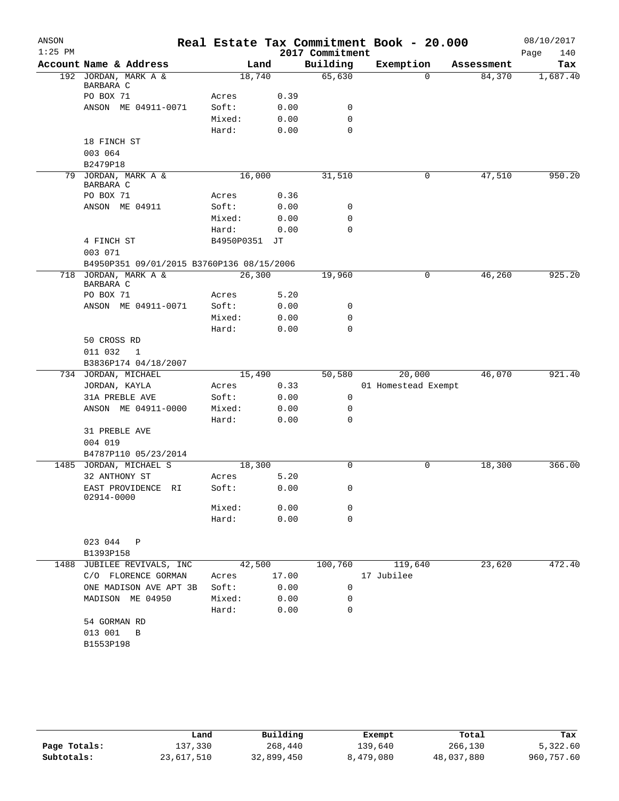| ANSON     |                                           |               |       |                 | Real Estate Tax Commitment Book - 20.000 |          |            | 08/10/2017  |
|-----------|-------------------------------------------|---------------|-------|-----------------|------------------------------------------|----------|------------|-------------|
| $1:25$ PM |                                           |               |       | 2017 Commitment |                                          |          |            | Page<br>140 |
|           | Account Name & Address                    |               | Land  | Building        | Exemption                                |          | Assessment | Tax         |
|           | 192 JORDAN, MARK A &                      | 18,740        |       | 65,630          |                                          | $\Omega$ | 84,370     | 1,687.40    |
|           | BARBARA C<br>PO BOX 71                    | Acres         | 0.39  |                 |                                          |          |            |             |
|           | ANSON ME 04911-0071                       | Soft:         | 0.00  | 0               |                                          |          |            |             |
|           |                                           | Mixed:        | 0.00  | $\mathbf 0$     |                                          |          |            |             |
|           |                                           | Hard:         | 0.00  | $\mathbf 0$     |                                          |          |            |             |
|           | 18 FINCH ST                               |               |       |                 |                                          |          |            |             |
|           | 003 064                                   |               |       |                 |                                          |          |            |             |
|           | B2479P18                                  |               |       |                 |                                          |          |            |             |
|           | 79 JORDAN, MARK A &                       | 16,000        |       | 31,510          |                                          | 0        | 47,510     | 950.20      |
|           | BARBARA C                                 |               |       |                 |                                          |          |            |             |
|           | PO BOX 71                                 | Acres         | 0.36  |                 |                                          |          |            |             |
|           | ANSON ME 04911                            | Soft:         | 0.00  | 0               |                                          |          |            |             |
|           |                                           | Mixed:        | 0.00  | 0               |                                          |          |            |             |
|           |                                           | Hard:         | 0.00  | $\mathbf 0$     |                                          |          |            |             |
|           | 4 FINCH ST                                | B4950P0351 JT |       |                 |                                          |          |            |             |
|           | 003 071                                   |               |       |                 |                                          |          |            |             |
|           | B4950P351 09/01/2015 B3760P136 08/15/2006 |               |       |                 |                                          |          |            |             |
| 718       | JORDAN, MARK A &                          | 26,300        |       | 19,960          |                                          | 0        | 46,260     | 925.20      |
|           | BARBARA C<br>PO BOX 71                    | Acres         | 5.20  |                 |                                          |          |            |             |
|           | ANSON ME 04911-0071                       | Soft:         | 0.00  | 0               |                                          |          |            |             |
|           |                                           | Mixed:        | 0.00  | 0               |                                          |          |            |             |
|           |                                           | Hard:         | 0.00  | $\mathbf 0$     |                                          |          |            |             |
|           | 50 CROSS RD                               |               |       |                 |                                          |          |            |             |
|           | 011 032<br>1                              |               |       |                 |                                          |          |            |             |
|           | B3836P174 04/18/2007                      |               |       |                 |                                          |          |            |             |
|           | 734 JORDAN, MICHAEL                       | 15,490        |       | 50,580          | 20,000                                   |          | 46,070     | 921.40      |
|           | JORDAN, KAYLA                             | Acres         | 0.33  |                 | 01 Homestead Exempt                      |          |            |             |
|           | 31A PREBLE AVE                            | Soft:         | 0.00  | $\mathsf{O}$    |                                          |          |            |             |
|           | ANSON ME 04911-0000                       | Mixed:        | 0.00  | 0               |                                          |          |            |             |
|           |                                           | Hard:         | 0.00  | 0               |                                          |          |            |             |
|           | 31 PREBLE AVE                             |               |       |                 |                                          |          |            |             |
|           | 004 019                                   |               |       |                 |                                          |          |            |             |
|           | B4787P110 05/23/2014                      |               |       |                 |                                          |          |            |             |
|           | 1485 JORDAN, MICHAEL S                    | 18,300        |       | $\Omega$        |                                          | 0        | 18,300     | 366.00      |
|           | 32 ANTHONY ST                             | Acres         | 5.20  |                 |                                          |          |            |             |
|           | EAST PROVIDENCE RI                        | Soft:         | 0.00  | 0               |                                          |          |            |             |
|           | 02914-0000                                | Mixed:        | 0.00  | 0               |                                          |          |            |             |
|           |                                           | Hard:         | 0.00  | 0               |                                          |          |            |             |
|           |                                           |               |       |                 |                                          |          |            |             |
|           | 023 044 P                                 |               |       |                 |                                          |          |            |             |
|           | B1393P158                                 |               |       |                 |                                          |          |            |             |
|           | 1488 JUBILEE REVIVALS, INC                | 42,500        |       |                 | 100,760 119,640                          |          | 23,620     | 472.40      |
|           | C/O FLORENCE GORMAN                       | Acres         | 17.00 |                 | 17 Jubilee                               |          |            |             |
|           | ONE MADISON AVE APT 3B                    | Soft:         | 0.00  | 0               |                                          |          |            |             |
|           | MADISON ME 04950                          | Mixed:        | 0.00  | 0               |                                          |          |            |             |
|           |                                           | Hard:         | 0.00  | 0               |                                          |          |            |             |
|           | 54 GORMAN RD                              |               |       |                 |                                          |          |            |             |
|           | 013 001 B                                 |               |       |                 |                                          |          |            |             |
|           | B1553P198                                 |               |       |                 |                                          |          |            |             |
|           |                                           |               |       |                 |                                          |          |            |             |
|           |                                           |               |       |                 |                                          |          |            |             |

|              | Land       | Building   | Exempt    | Total      | Tax        |
|--------------|------------|------------|-----------|------------|------------|
| Page Totals: | 137,330    | 268,440    | 139,640   | 266,130    | 5,322.60   |
| Subtotals:   | 23,617,510 | 32,899,450 | 8,479,080 | 48,037,880 | 960,757.60 |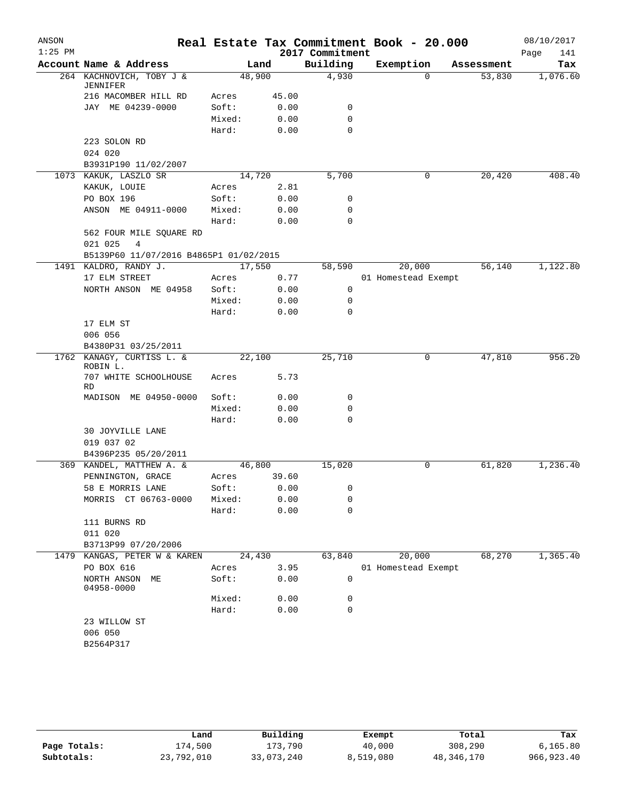| ANSON     |                                        |                 |       |                 | Real Estate Tax Commitment Book - 20.000 |            | 08/10/2017  |
|-----------|----------------------------------------|-----------------|-------|-----------------|------------------------------------------|------------|-------------|
| $1:25$ PM |                                        |                 |       | 2017 Commitment |                                          |            | Page<br>141 |
|           | Account Name & Address                 |                 | Land  | Building        | Exemption                                | Assessment | Tax         |
|           | 264 KACHNOVICH, TOBY J &<br>JENNIFER   | 48,900          |       | 4,930           | $\Omega$                                 | 53,830     | 1,076.60    |
|           | 216 MACOMBER HILL RD                   | Acres           | 45.00 |                 |                                          |            |             |
|           | JAY ME 04239-0000                      | Soft:           | 0.00  | 0               |                                          |            |             |
|           |                                        | Mixed:          | 0.00  | $\mathbf 0$     |                                          |            |             |
|           |                                        | Hard:           | 0.00  | $\Omega$        |                                          |            |             |
|           | 223 SOLON RD                           |                 |       |                 |                                          |            |             |
|           | 024 020                                |                 |       |                 |                                          |            |             |
|           | B3931P190 11/02/2007                   |                 |       |                 |                                          |            |             |
|           | 1073 KAKUK, LASZLO SR                  | 14,720          |       | 5,700           | 0                                        | 20,420     | 408.40      |
|           | KAKUK, LOUIE                           | Acres           | 2.81  |                 |                                          |            |             |
|           | PO BOX 196                             | Soft:           | 0.00  | 0               |                                          |            |             |
|           | ANSON ME 04911-0000                    | Mixed:          | 0.00  | $\mathbf 0$     |                                          |            |             |
|           |                                        | Hard:           | 0.00  | 0               |                                          |            |             |
|           | 562 FOUR MILE SQUARE RD                |                 |       |                 |                                          |            |             |
|           | 021 025<br>4                           |                 |       |                 |                                          |            |             |
|           | B5139P60 11/07/2016 B4865P1 01/02/2015 |                 |       |                 |                                          |            |             |
|           | 1491 KALDRO, RANDY J.                  | 17,550          |       | 58,590          | 20,000                                   | 56,140     | 1,122.80    |
|           | 17 ELM STREET                          | Acres           | 0.77  |                 | 01 Homestead Exempt                      |            |             |
|           | NORTH ANSON ME 04958                   | Soft:           | 0.00  | 0               |                                          |            |             |
|           |                                        | Mixed:          | 0.00  | 0               |                                          |            |             |
|           |                                        | Hard:           | 0.00  | $\Omega$        |                                          |            |             |
|           | 17 ELM ST                              |                 |       |                 |                                          |            |             |
|           | 006 056                                |                 |       |                 |                                          |            |             |
|           | B4380P31 03/25/2011                    |                 |       |                 |                                          |            |             |
|           | 1762 KANAGY, CURTISS L. &              | 22,100          |       | 25,710          | 0                                        | 47,810     | 956.20      |
|           | ROBIN L.                               |                 |       |                 |                                          |            |             |
|           | 707 WHITE SCHOOLHOUSE                  | Acres           | 5.73  |                 |                                          |            |             |
|           | RD                                     |                 |       |                 |                                          |            |             |
|           | MADISON ME 04950-0000                  | Soft:<br>Mixed: | 0.00  | 0<br>0          |                                          |            |             |
|           |                                        | Hard:           | 0.00  | $\Omega$        |                                          |            |             |
|           |                                        |                 | 0.00  |                 |                                          |            |             |
|           | 30 JOYVILLE LANE<br>019 037 02         |                 |       |                 |                                          |            |             |
|           | B4396P235 05/20/2011                   |                 |       |                 |                                          |            |             |
|           | 369 KANDEL, MATTHEW A. &               | 46,800          |       | 15,020          | 0                                        | 61,820     | 1,236.40    |
|           | PENNINGTON, GRACE                      | Acres           | 39.60 |                 |                                          |            |             |
|           | 58 E MORRIS LANE                       | Soft:           | 0.00  | $\mathbf{0}$    |                                          |            |             |
|           | MORRIS CT 06763-0000                   | Mixed:          | 0.00  | 0               |                                          |            |             |
|           |                                        | Hard:           | 0.00  | 0               |                                          |            |             |
|           | 111 BURNS RD                           |                 |       |                 |                                          |            |             |
|           | 011 020                                |                 |       |                 |                                          |            |             |
|           | B3713P99 07/20/2006                    |                 |       |                 |                                          |            |             |
|           | 1479 KANGAS, PETER W & KAREN           | 24,430          |       | 63,840          | 20,000                                   | 68,270     | 1,365.40    |
|           | PO BOX 616                             |                 | 3.95  |                 |                                          |            |             |
|           | NORTH ANSON ME                         | Acres<br>Soft:  |       | 0               | 01 Homestead Exempt                      |            |             |
|           | 04958-0000                             |                 | 0.00  |                 |                                          |            |             |
|           |                                        | Mixed:          | 0.00  | 0               |                                          |            |             |
|           |                                        | Hard:           | 0.00  | 0               |                                          |            |             |
|           | 23 WILLOW ST                           |                 |       |                 |                                          |            |             |
|           | 006 050                                |                 |       |                 |                                          |            |             |
|           | B2564P317                              |                 |       |                 |                                          |            |             |
|           |                                        |                 |       |                 |                                          |            |             |
|           |                                        |                 |       |                 |                                          |            |             |

|              | Land       | Building   | Exempt    | Total      | Tax          |
|--------------|------------|------------|-----------|------------|--------------|
| Page Totals: | 174,500    | 173,790    | 40,000    | 308,290    | 6, 165.80    |
| Subtotals:   | 23,792,010 | 33,073,240 | 8,519,080 | 48,346,170 | 966, 923, 40 |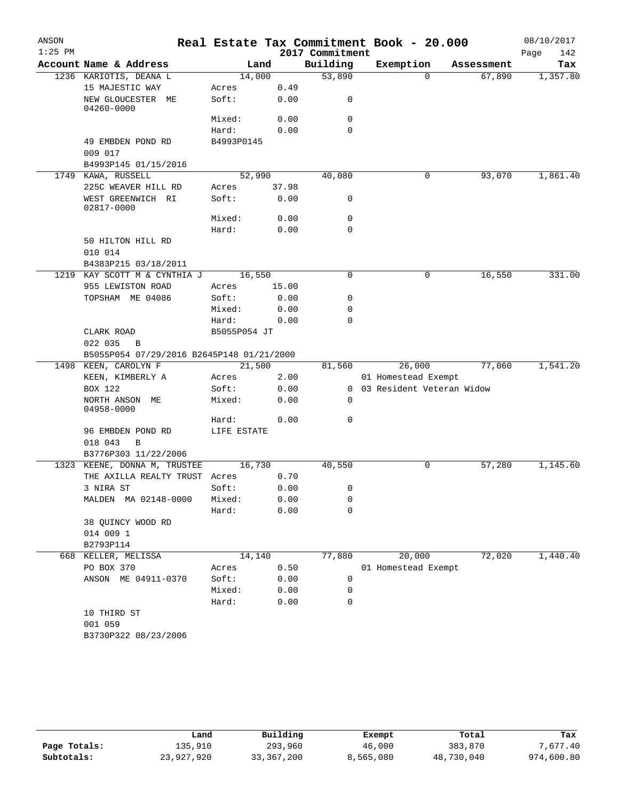| ANSON     |                                                      |              |       |                 | Real Estate Tax Commitment Book - 20.000 |            | 08/10/2017  |
|-----------|------------------------------------------------------|--------------|-------|-----------------|------------------------------------------|------------|-------------|
| $1:25$ PM |                                                      |              |       | 2017 Commitment |                                          |            | 142<br>Page |
|           | Account Name & Address                               | Land         |       | Building        | Exemption                                | Assessment | Tax         |
|           | 1236 KARIOTIS, DEANA L                               | 14,000       |       | 53,890          | $\Omega$                                 | 67,890     | 1,357.80    |
|           | 15 MAJESTIC WAY                                      | Acres        | 0.49  |                 |                                          |            |             |
|           | NEW GLOUCESTER ME<br>04260-0000                      | Soft:        | 0.00  | 0               |                                          |            |             |
|           |                                                      | Mixed:       | 0.00  | 0               |                                          |            |             |
|           |                                                      | Hard:        | 0.00  | $\Omega$        |                                          |            |             |
|           | 49 EMBDEN POND RD<br>009 017                         | B4993P0145   |       |                 |                                          |            |             |
|           | B4993P145 01/15/2016                                 |              |       |                 |                                          |            |             |
|           | 1749 KAWA, RUSSELL                                   | 52,990       |       | 40,080          | 0                                        | 93,070     | 1,861.40    |
|           | 225C WEAVER HILL RD                                  | Acres        | 37.98 |                 |                                          |            |             |
|           | WEST GREENWICH RI<br>02817-0000                      | Soft:        | 0.00  | 0               |                                          |            |             |
|           |                                                      | Mixed:       | 0.00  | 0               |                                          |            |             |
|           |                                                      | Hard:        | 0.00  | $\mathbf 0$     |                                          |            |             |
|           | 50 HILTON HILL RD<br>010 014                         |              |       |                 |                                          |            |             |
|           | B4383P215 03/18/2011                                 |              |       |                 |                                          |            |             |
| 1219      | KAY SCOTT M & CYNTHIA J                              | 16,550       |       | $\Omega$        | 0                                        | 16,550     | 331.00      |
|           | 955 LEWISTON ROAD                                    | Acres        | 15.00 |                 |                                          |            |             |
|           | TOPSHAM ME 04086                                     | Soft:        | 0.00  | 0               |                                          |            |             |
|           |                                                      | Mixed:       | 0.00  | 0               |                                          |            |             |
|           |                                                      | Hard:        | 0.00  | $\Omega$        |                                          |            |             |
|           | CLARK ROAD                                           | B5055P054 JT |       |                 |                                          |            |             |
|           | 022 035<br>$\overline{B}$                            |              |       |                 |                                          |            |             |
|           | B5055P054 07/29/2016 B2645P148 01/21/2000            |              |       |                 |                                          |            |             |
|           | 1498 KEEN, CAROLYN F                                 | 21,500       |       | 81,560          | 26,000                                   | 77,060     | 1,541.20    |
|           | KEEN, KIMBERLY A                                     | Acres        | 2.00  |                 | 01 Homestead Exempt                      |            |             |
|           | BOX 122                                              | Soft:        | 0.00  |                 | 0 03 Resident Veteran Widow              |            |             |
|           | NORTH ANSON ME<br>04958-0000                         | Mixed:       | 0.00  | 0               |                                          |            |             |
|           |                                                      | Hard:        | 0.00  | 0               |                                          |            |             |
|           | 96 EMBDEN POND RD                                    | LIFE ESTATE  |       |                 |                                          |            |             |
|           | 018 043<br>B                                         |              |       |                 |                                          |            |             |
|           | B3776P303 11/22/2006<br>1323 KEENE, DONNA M, TRUSTEE | 16,730       |       | 40,550          | 0                                        | 57,280     | 1,145.60    |
|           | THE AXILLA REALTY TRUST Acres                        |              | 0.70  |                 |                                          |            |             |
|           | 3 NIRA ST                                            | Soft:        | 0.00  | 0               |                                          |            |             |
|           | MALDEN MA 02148-0000                                 | Mixed:       | 0.00  | 0               |                                          |            |             |
|           |                                                      | Hard:        | 0.00  | 0               |                                          |            |             |
|           | 38 QUINCY WOOD RD                                    |              |       |                 |                                          |            |             |
|           | 014 009 1                                            |              |       |                 |                                          |            |             |
|           | B2793P114                                            |              |       |                 |                                          |            |             |
|           | 668 KELLER, MELISSA                                  | 14,140       |       | 77,880          | 20,000                                   | 72,020     | 1,440.40    |
|           | PO BOX 370                                           | Acres        | 0.50  |                 | 01 Homestead Exempt                      |            |             |
|           | ANSON ME 04911-0370                                  | Soft:        | 0.00  | 0               |                                          |            |             |
|           |                                                      | Mixed:       | 0.00  | 0               |                                          |            |             |
|           |                                                      | Hard:        | 0.00  | 0               |                                          |            |             |
|           | 10 THIRD ST                                          |              |       |                 |                                          |            |             |
|           | 001 059                                              |              |       |                 |                                          |            |             |
|           | B3730P322 08/23/2006                                 |              |       |                 |                                          |            |             |

|              | Land       | Building     | Exempt    | Total      | Tax        |
|--------------|------------|--------------|-----------|------------|------------|
| Page Totals: | 135,910    | 293,960      | 46,000    | 383,870    | 7,677.40   |
| Subtotals:   | 23,927,920 | 33, 367, 200 | 8,565,080 | 48,730,040 | 974,600.80 |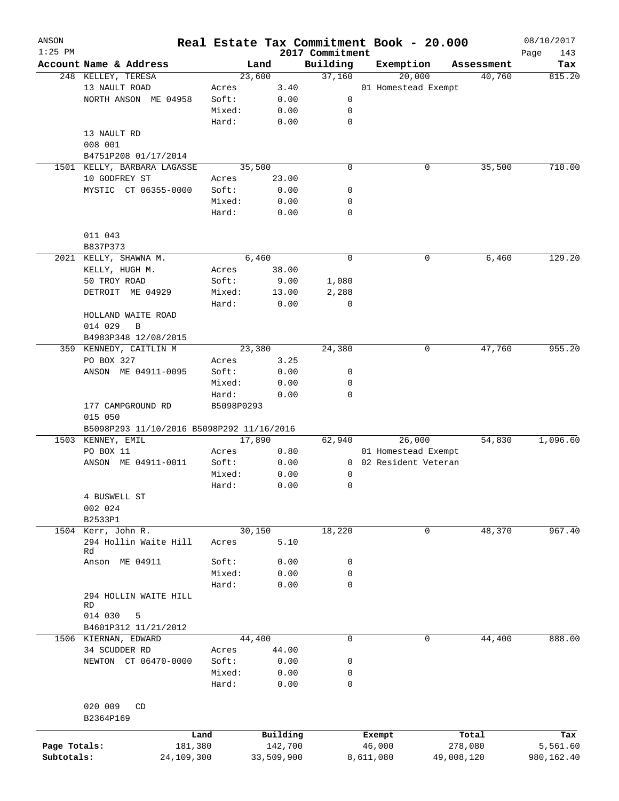| ANSON<br>$1:25$ PM |                                           |            |            |            | 2017 Commitment | Real Estate Tax Commitment Book - 20.000 |            | 08/10/2017<br>Page<br>143 |
|--------------------|-------------------------------------------|------------|------------|------------|-----------------|------------------------------------------|------------|---------------------------|
|                    | Account Name & Address                    |            |            | Land       | Building        | Exemption                                | Assessment | Tax                       |
|                    | 248 KELLEY, TERESA                        |            |            | 23,600     | 37,160          | 20,000                                   | 40,760     | 815.20                    |
|                    | 13 NAULT ROAD                             |            | Acres      | 3.40       |                 | 01 Homestead Exempt                      |            |                           |
|                    | NORTH ANSON ME 04958                      |            | Soft:      | 0.00       | 0               |                                          |            |                           |
|                    |                                           |            | Mixed:     | 0.00       | 0               |                                          |            |                           |
|                    |                                           |            | Hard:      | 0.00       | $\mathbf 0$     |                                          |            |                           |
|                    | 13 NAULT RD                               |            |            |            |                 |                                          |            |                           |
|                    | 008 001                                   |            |            |            |                 |                                          |            |                           |
|                    |                                           |            |            |            |                 |                                          |            |                           |
|                    | B4751P208 01/17/2014                      |            |            |            |                 |                                          |            |                           |
|                    | 1501 KELLY, BARBARA LAGASSE               |            |            | 35,500     | $\mathbf 0$     | 0                                        | 35,500     | 710.00                    |
|                    | 10 GODFREY ST                             |            | Acres      | 23.00      |                 |                                          |            |                           |
|                    | MYSTIC CT 06355-0000                      |            | Soft:      | 0.00       | 0               |                                          |            |                           |
|                    |                                           |            | Mixed:     | 0.00       | 0               |                                          |            |                           |
|                    |                                           |            | Hard:      | 0.00       | $\mathbf 0$     |                                          |            |                           |
|                    | 011 043                                   |            |            |            |                 |                                          |            |                           |
|                    | B837P373                                  |            |            |            |                 |                                          |            |                           |
|                    | 2021 KELLY, SHAWNA M.                     |            |            | 6,460      | $\mathbf 0$     | 0                                        | 6,460      | 129.20                    |
|                    | KELLY, HUGH M.                            |            | Acres      | 38.00      |                 |                                          |            |                           |
|                    | 50 TROY ROAD                              |            | Soft:      | 9.00       | 1,080           |                                          |            |                           |
|                    | DETROIT ME 04929                          |            | Mixed:     | 13.00      | 2,288           |                                          |            |                           |
|                    |                                           |            | Hard:      | 0.00       | 0               |                                          |            |                           |
|                    | HOLLAND WAITE ROAD                        |            |            |            |                 |                                          |            |                           |
|                    | 014 029<br>B                              |            |            |            |                 |                                          |            |                           |
|                    | B4983P348 12/08/2015                      |            |            |            |                 |                                          |            |                           |
|                    | 359 KENNEDY, CAITLIN M                    |            |            | 23,380     | 24,380          | 0                                        | 47,760     | 955.20                    |
|                    | PO BOX 327                                |            | Acres      | 3.25       |                 |                                          |            |                           |
|                    | ANSON ME 04911-0095                       |            | Soft:      | 0.00       | 0               |                                          |            |                           |
|                    |                                           |            | Mixed:     | 0.00       | 0               |                                          |            |                           |
|                    |                                           |            | Hard:      | 0.00       | $\mathbf 0$     |                                          |            |                           |
|                    | 177 CAMPGROUND RD<br>015 050              |            | B5098P0293 |            |                 |                                          |            |                           |
|                    | B5098P293 11/10/2016 B5098P292 11/16/2016 |            |            |            |                 |                                          |            |                           |
| 1503               | KENNEY, EMIL                              |            |            | 17,890     | 62,940          | 26,000                                   | 54,830     | 1,096.60                  |
|                    | PO BOX 11                                 |            | Acres      | 0.80       |                 | 01 Homestead Exempt                      |            |                           |
|                    | ANSON ME 04911-0011                       |            | Soft:      | 0.00       | $\overline{0}$  | 02 Resident Veteran                      |            |                           |
|                    |                                           |            | Mixed:     | 0.00       | 0               |                                          |            |                           |
|                    |                                           |            | Hard:      | 0.00       | $\mathbf 0$     |                                          |            |                           |
|                    | 4 BUSWELL ST                              |            |            |            |                 |                                          |            |                           |
|                    | 002 024                                   |            |            |            |                 |                                          |            |                           |
|                    | B2533P1                                   |            |            |            |                 |                                          |            |                           |
|                    | 1504 Kerr, John R.                        |            |            | 30,150     | 18,220          | 0                                        | 48,370     | 967.40                    |
|                    | 294 Hollin Waite Hill                     |            | Acres      | 5.10       |                 |                                          |            |                           |
|                    | Rd                                        |            |            |            |                 |                                          |            |                           |
|                    | Anson ME 04911                            |            | Soft:      | 0.00       | 0               |                                          |            |                           |
|                    |                                           |            | Mixed:     | 0.00       | 0               |                                          |            |                           |
|                    |                                           |            | Hard:      | 0.00       | $\mathbf 0$     |                                          |            |                           |
|                    | 294 HOLLIN WAITE HILL                     |            |            |            |                 |                                          |            |                           |
|                    | RD                                        |            |            |            |                 |                                          |            |                           |
|                    | 014 030<br>5                              |            |            |            |                 |                                          |            |                           |
|                    | B4601P312 11/21/2012                      |            |            |            |                 |                                          |            |                           |
|                    | 1506 KIERNAN, EDWARD                      |            |            | 44,400     | $\mathsf{O}$    | 0                                        | 44,400     | 888.00                    |
|                    | 34 SCUDDER RD                             |            | Acres      | 44.00      |                 |                                          |            |                           |
|                    | NEWTON CT 06470-0000                      |            | Soft:      | 0.00       | 0               |                                          |            |                           |
|                    |                                           |            | Mixed:     | 0.00       | 0               |                                          |            |                           |
|                    |                                           |            | Hard:      | 0.00       | 0               |                                          |            |                           |
|                    | 020 009<br>CD                             |            |            |            |                 |                                          |            |                           |
|                    |                                           |            |            |            |                 |                                          |            |                           |
|                    | B2364P169                                 |            |            |            |                 |                                          |            |                           |
|                    |                                           | Land       |            | Building   |                 | Exempt                                   | Total      | Tax                       |
| Page Totals:       |                                           | 181,380    |            | 142,700    |                 | 46,000                                   | 278,080    | 5,561.60                  |
| Subtotals:         |                                           | 24,109,300 |            | 33,509,900 |                 | 8,611,080                                | 49,008,120 | 980,162.40                |
|                    |                                           |            |            |            |                 |                                          |            |                           |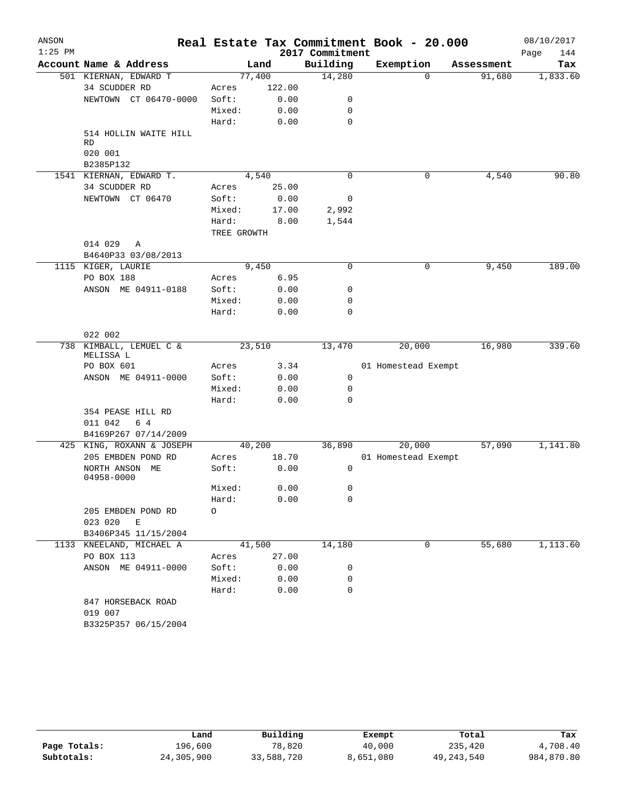| ANSON     |                                                 |             |             |                 | Real Estate Tax Commitment Book - 20.000 |            | 08/10/2017  |
|-----------|-------------------------------------------------|-------------|-------------|-----------------|------------------------------------------|------------|-------------|
| $1:25$ PM |                                                 |             |             | 2017 Commitment |                                          |            | 144<br>Page |
|           | Account Name & Address                          |             | Land        | Building        | Exemption                                | Assessment | Tax         |
|           | 501 KIERNAN, EDWARD T                           |             | 77,400      | 14,280          | $\Omega$                                 | 91,680     | 1,833.60    |
|           | 34 SCUDDER RD                                   | Acres       | 122.00      |                 |                                          |            |             |
|           | NEWTOWN CT 06470-0000                           | Soft:       | 0.00        | 0               |                                          |            |             |
|           |                                                 | Mixed:      | 0.00        | 0               |                                          |            |             |
|           |                                                 | Hard:       | 0.00        | $\mathbf 0$     |                                          |            |             |
|           | 514 HOLLIN WAITE HILL                           |             |             |                 |                                          |            |             |
|           | RD<br>020 001                                   |             |             |                 |                                          |            |             |
|           | B2385P132                                       |             |             |                 |                                          |            |             |
|           | 1541 KIERNAN, EDWARD T.                         |             | 4,540       | 0               | 0                                        | 4,540      | 90.80       |
|           | 34 SCUDDER RD                                   | Acres       | 25.00       |                 |                                          |            |             |
|           | NEWTOWN CT 06470                                | Soft:       | 0.00        | 0               |                                          |            |             |
|           |                                                 | Mixed:      | 17.00       | 2,992           |                                          |            |             |
|           |                                                 | Hard:       | 8.00        | 1,544           |                                          |            |             |
|           |                                                 | TREE GROWTH |             |                 |                                          |            |             |
|           | 014 029<br>Α                                    |             |             |                 |                                          |            |             |
|           | B4640P33 03/08/2013                             |             |             |                 |                                          |            |             |
|           | 1115 KIGER, LAURIE                              |             | 9,450       | 0               | 0                                        | 9,450      | 189.00      |
|           | PO BOX 188                                      | Acres       | 6.95        |                 |                                          |            |             |
|           | ANSON ME 04911-0188                             | Soft:       | 0.00        | 0               |                                          |            |             |
|           |                                                 | Mixed:      | 0.00        | 0               |                                          |            |             |
|           |                                                 | Hard:       | 0.00        | 0               |                                          |            |             |
|           |                                                 |             |             |                 |                                          |            |             |
|           | 022 002                                         |             |             |                 |                                          |            |             |
|           | 738 KIMBALL, LEMUEL C &<br>MELISSA L            |             | 23,510      | 13,470          | 20,000                                   | 16,980     | 339.60      |
|           | PO BOX 601                                      | Acres       | 3.34        |                 | 01 Homestead Exempt                      |            |             |
|           | ANSON ME 04911-0000                             | Soft:       | 0.00        | 0               |                                          |            |             |
|           |                                                 | Mixed:      | 0.00        | 0               |                                          |            |             |
|           |                                                 | Hard:       | 0.00        | $\mathbf 0$     |                                          |            |             |
|           | 354 PEASE HILL RD                               |             |             |                 |                                          |            |             |
|           | 6 4<br>011 042                                  |             |             |                 |                                          |            |             |
|           | B4169P267 07/14/2009                            |             | 40,200      | 36,890          | 20,000                                   | 57,090     | 1,141.80    |
|           | 425 KING, ROXANN & JOSEPH<br>205 EMBDEN POND RD | Acres       | 18.70       |                 | 01 Homestead Exempt                      |            |             |
|           | NORTH ANSON ME                                  | Soft:       | 0.00        | 0               |                                          |            |             |
|           | 04958-0000                                      |             |             |                 |                                          |            |             |
|           |                                                 | Mixed:      | 0.00        | $\sigma$        |                                          |            |             |
|           |                                                 | Hard:       | 0.00        | 0               |                                          |            |             |
|           | 205 EMBDEN POND RD                              | $\circ$     |             |                 |                                          |            |             |
|           | 023 020 E                                       |             |             |                 |                                          |            |             |
|           | B3406P345 11/15/2004                            |             |             |                 |                                          |            |             |
|           | 1133 KNEELAND, MICHAEL A                        |             | 41,500      | 14,180          | 0                                        | 55,680     | 1,113.60    |
|           | PO BOX 113                                      |             | Acres 27.00 |                 |                                          |            |             |
|           | ANSON ME 04911-0000                             | Soft:       | 0.00        | 0               |                                          |            |             |
|           |                                                 | Mixed:      | 0.00        | 0               |                                          |            |             |
|           |                                                 | Hard:       | 0.00        | 0               |                                          |            |             |
|           | 847 HORSEBACK ROAD                              |             |             |                 |                                          |            |             |
|           | 019 007                                         |             |             |                 |                                          |            |             |
|           | B3325P357 06/15/2004                            |             |             |                 |                                          |            |             |

|              | Land       | Building   | Exempt    | Total        | Tax        |
|--------------|------------|------------|-----------|--------------|------------|
| Page Totals: | 196,600    | 78,820     | 40,000    | 235,420      | 4,708.40   |
| Subtotals:   | 24,305,900 | 33,588,720 | 8,651,080 | 49, 243, 540 | 984,870.80 |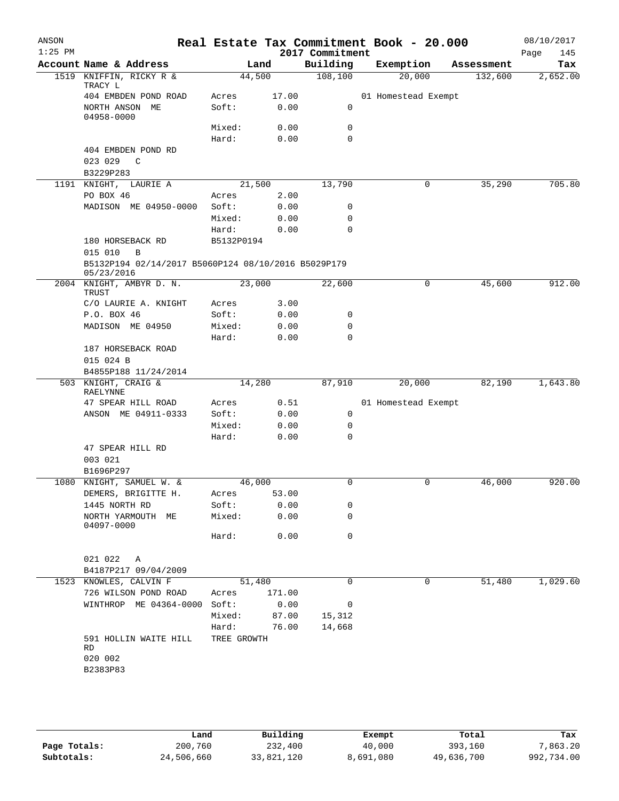| ANSON<br>$1:25$ PM |                                                                   |                |              | 2017 Commitment | Real Estate Tax Commitment Book - 20.000 |            | 08/10/2017<br>Page<br>145 |
|--------------------|-------------------------------------------------------------------|----------------|--------------|-----------------|------------------------------------------|------------|---------------------------|
|                    | Account Name & Address                                            |                | Land         | Building        | Exemption                                | Assessment | Tax                       |
| 1519               | KNIFFIN, RICKY R &<br>TRACY L                                     |                | 44,500       | 108, 100        | 20,000                                   | 132,600    | 2,652.00                  |
|                    | 404 EMBDEN POND ROAD                                              | Acres          | 17.00        |                 | 01 Homestead Exempt                      |            |                           |
|                    | NORTH ANSON ME<br>04958-0000                                      | Soft:          | 0.00         | 0               |                                          |            |                           |
|                    |                                                                   | Mixed:         | 0.00         | 0               |                                          |            |                           |
|                    |                                                                   | Hard:          | 0.00         | $\Omega$        |                                          |            |                           |
|                    | 404 EMBDEN POND RD<br>023 029<br>C                                |                |              |                 |                                          |            |                           |
|                    | B3229P283                                                         |                |              |                 |                                          |            |                           |
|                    | 1191 KNIGHT, LAURIE A                                             |                | 21,500       | 13,790          | 0                                        | 35,290     | 705.80                    |
|                    | PO BOX 46                                                         | Acres<br>Soft: | 2.00         | 0               |                                          |            |                           |
|                    | MADISON ME 04950-0000                                             | Mixed:         | 0.00         | 0               |                                          |            |                           |
|                    |                                                                   | Hard:          | 0.00<br>0.00 | $\Omega$        |                                          |            |                           |
|                    | 180 HORSEBACK RD                                                  | B5132P0194     |              |                 |                                          |            |                           |
|                    | 015 010<br>B                                                      |                |              |                 |                                          |            |                           |
|                    | B5132P194 02/14/2017 B5060P124 08/10/2016 B5029P179<br>05/23/2016 |                |              |                 |                                          |            |                           |
|                    | 2004 KNIGHT, AMBYR D. N.<br>TRUST                                 |                | 23,000       | 22,600          | 0                                        | 45,600     | 912.00                    |
|                    | C/O LAURIE A. KNIGHT                                              | Acres          | 3.00         |                 |                                          |            |                           |
|                    | P.O. BOX 46                                                       | Soft:          | 0.00         | 0               |                                          |            |                           |
|                    | MADISON ME 04950                                                  | Mixed:         | 0.00         | $\mathbf 0$     |                                          |            |                           |
|                    |                                                                   | Hard:          | 0.00         | 0               |                                          |            |                           |
|                    | 187 HORSEBACK ROAD                                                |                |              |                 |                                          |            |                           |
|                    | 015 024 B                                                         |                |              |                 |                                          |            |                           |
|                    | B4855P188 11/24/2014                                              |                |              |                 |                                          |            |                           |
|                    | 503 KNIGHT, CRAIG &<br><b>RAELYNNE</b>                            |                | 14,280       | 87,910          | 20,000                                   | 82,190     | 1,643.80                  |
|                    | 47 SPEAR HILL ROAD                                                | Acres          | 0.51         |                 | 01 Homestead Exempt                      |            |                           |
|                    | ANSON ME 04911-0333                                               | Soft:          | 0.00         | 0               |                                          |            |                           |
|                    |                                                                   | Mixed:         | 0.00         | 0               |                                          |            |                           |
|                    |                                                                   | Hard:          | 0.00         | $\mathbf 0$     |                                          |            |                           |
|                    | 47 SPEAR HILL RD                                                  |                |              |                 |                                          |            |                           |
|                    | 003 021                                                           |                |              |                 |                                          |            |                           |
|                    | B1696P297<br>1080 KNIGHT, SAMUEL W. &                             |                | 46,000       | 0               | 0                                        | 46,000     | 920.00                    |
|                    | DEMERS, BRIGITTE H.                                               | Acres          | 53.00        |                 |                                          |            |                           |
|                    | 1445 NORTH RD                                                     | Soft:          | 0.00         | 0               |                                          |            |                           |
|                    | NORTH YARMOUTH ME<br>04097-0000                                   | Mixed:         | 0.00         | 0               |                                          |            |                           |
|                    |                                                                   | Hard:          | 0.00         | 0               |                                          |            |                           |
|                    | 021 022<br>Α                                                      |                |              |                 |                                          |            |                           |
|                    | B4187P217 09/04/2009                                              |                |              |                 |                                          |            |                           |
|                    | 1523 KNOWLES, CALVIN F                                            |                | 51,480       | $\Omega$        | 0                                        | 51,480     | 1,029.60                  |
|                    | 726 WILSON POND ROAD                                              | Acres          | 171.00       |                 |                                          |            |                           |
|                    | WINTHROP ME 04364-0000                                            | Soft:          | 0.00         | 0               |                                          |            |                           |
|                    |                                                                   | Mixed:         | 87.00        | 15,312          |                                          |            |                           |
|                    |                                                                   | Hard:          | 76.00        | 14,668          |                                          |            |                           |
|                    | 591 HOLLIN WAITE HILL<br>RD                                       | TREE GROWTH    |              |                 |                                          |            |                           |
|                    | 020 002                                                           |                |              |                 |                                          |            |                           |
|                    | B2383P83                                                          |                |              |                 |                                          |            |                           |

|              | Land       | Building   | Exempt    | Total      | Tax        |
|--------------|------------|------------|-----------|------------|------------|
| Page Totals: | 200,760    | 232,400    | 40,000    | 393,160    | 7,863.20   |
| Subtotals:   | 24,506,660 | 33,821,120 | 8,691,080 | 49,636,700 | 992,734.00 |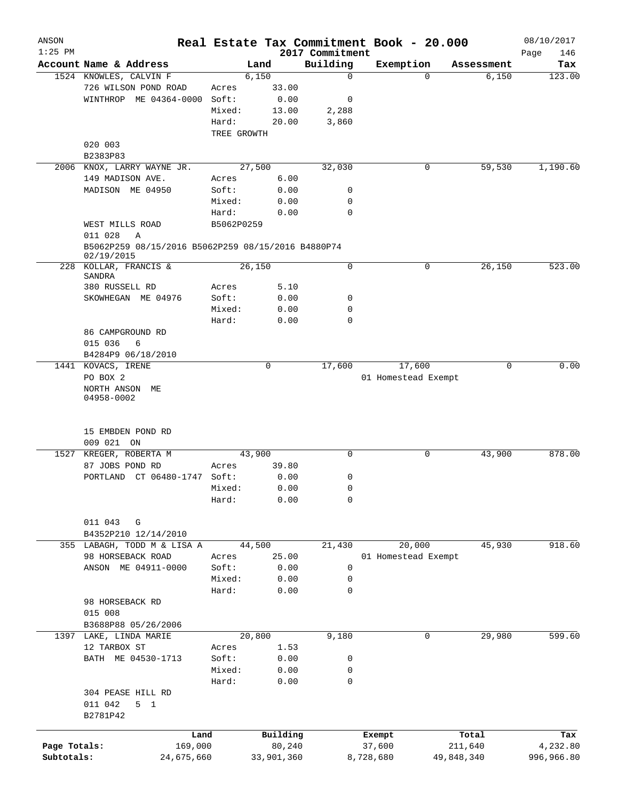| ANSON<br>$1:25$ PM |                                                                  |             |            | 2017 Commitment | Real Estate Tax Commitment Book - 20.000 |            |            | 08/10/2017<br>Page<br>146 |
|--------------------|------------------------------------------------------------------|-------------|------------|-----------------|------------------------------------------|------------|------------|---------------------------|
|                    | Account Name & Address                                           |             | Land       | Building        | Exemption                                |            | Assessment | Tax                       |
|                    | 1524 KNOWLES, CALVIN F                                           |             | 6,150      | $\mathbf 0$     |                                          | $\Omega$   | 6,150      | 123.00                    |
|                    | 726 WILSON POND ROAD                                             | Acres       | 33.00      |                 |                                          |            |            |                           |
|                    | WINTHROP ME 04364-0000                                           | Soft:       | 0.00       | 0               |                                          |            |            |                           |
|                    |                                                                  | Mixed:      | 13.00      | 2,288           |                                          |            |            |                           |
|                    |                                                                  | Hard:       | 20.00      | 3,860           |                                          |            |            |                           |
|                    |                                                                  | TREE GROWTH |            |                 |                                          |            |            |                           |
|                    | 020 003                                                          |             |            |                 |                                          |            |            |                           |
|                    | B2383P83                                                         |             |            |                 |                                          |            |            |                           |
|                    | 2006 KNOX, LARRY WAYNE JR.                                       |             | 27,500     | 32,030          |                                          | 0          | 59,530     | 1,190.60                  |
|                    | 149 MADISON AVE.                                                 | Acres       | 6.00       |                 |                                          |            |            |                           |
|                    | MADISON ME 04950                                                 | Soft:       | 0.00       | 0               |                                          |            |            |                           |
|                    |                                                                  | Mixed:      | 0.00       | 0               |                                          |            |            |                           |
|                    |                                                                  | Hard:       | 0.00       | $\mathbf 0$     |                                          |            |            |                           |
|                    | WEST MILLS ROAD                                                  | B5062P0259  |            |                 |                                          |            |            |                           |
|                    |                                                                  |             |            |                 |                                          |            |            |                           |
|                    | 011 028<br>Α                                                     |             |            |                 |                                          |            |            |                           |
|                    | B5062P259 08/15/2016 B5062P259 08/15/2016 B4880P74<br>02/19/2015 |             |            |                 |                                          |            |            |                           |
|                    | 228 KOLLAR, FRANCIS &                                            |             | 26,150     | 0               |                                          | 0          | 26,150     | 523.00                    |
|                    | SANDRA                                                           |             |            |                 |                                          |            |            |                           |
|                    | 380 RUSSELL RD                                                   | Acres       | 5.10       |                 |                                          |            |            |                           |
|                    | SKOWHEGAN ME 04976                                               | Soft:       | 0.00       | 0               |                                          |            |            |                           |
|                    |                                                                  | Mixed:      | 0.00       | 0               |                                          |            |            |                           |
|                    |                                                                  | Hard:       | 0.00       | $\Omega$        |                                          |            |            |                           |
|                    | 86 CAMPGROUND RD                                                 |             |            |                 |                                          |            |            |                           |
|                    | 015 036<br>6                                                     |             |            |                 |                                          |            |            |                           |
|                    | B4284P9 06/18/2010                                               |             |            |                 |                                          |            |            |                           |
|                    | 1441 KOVACS, IRENE                                               |             | 0          | 17,600          | 17,600                                   |            | 0          | 0.00                      |
|                    | PO BOX 2                                                         |             |            |                 | 01 Homestead Exempt                      |            |            |                           |
|                    | NORTH ANSON ME                                                   |             |            |                 |                                          |            |            |                           |
|                    | 04958-0002                                                       |             |            |                 |                                          |            |            |                           |
|                    | 15 EMBDEN POND RD                                                |             |            |                 |                                          |            |            |                           |
|                    | 009 021 ON                                                       |             |            |                 |                                          |            |            |                           |
|                    | 1527 KREGER, ROBERTA M                                           |             | 43,900     | 0               |                                          | 0          | 43,900     | 878.00                    |
|                    | 87 JOBS POND RD                                                  | Acres       | 39.80      |                 |                                          |            |            |                           |
|                    | CT 06480-1747 Soft:<br>PORTLAND                                  |             | 0.00       | 0               |                                          |            |            |                           |
|                    |                                                                  | Mixed:      | 0.00       | 0               |                                          |            |            |                           |
|                    |                                                                  | Hard:       | 0.00       | $\mathbf 0$     |                                          |            |            |                           |
|                    |                                                                  |             |            |                 |                                          |            |            |                           |
|                    | 011 043<br>G                                                     |             |            |                 |                                          |            |            |                           |
|                    | B4352P210 12/14/2010                                             |             |            |                 |                                          |            |            |                           |
|                    | 355 LABAGH, TODD M & LISA A                                      |             | 44,500     | 21,430          | 20,000                                   |            | 45,930     | 918.60                    |
|                    | 98 HORSEBACK ROAD                                                | Acres       | 25.00      |                 | 01 Homestead Exempt                      |            |            |                           |
|                    | ANSON ME 04911-0000                                              | Soft:       | 0.00       | 0               |                                          |            |            |                           |
|                    |                                                                  | Mixed:      | 0.00       | 0               |                                          |            |            |                           |
|                    |                                                                  | Hard:       | 0.00       | 0               |                                          |            |            |                           |
|                    | 98 HORSEBACK RD                                                  |             |            |                 |                                          |            |            |                           |
|                    | 015 008                                                          |             |            |                 |                                          |            |            |                           |
|                    | B3688P88 05/26/2006                                              |             |            |                 |                                          |            |            |                           |
|                    | 1397 LAKE, LINDA MARIE                                           |             | 20,800     | 9,180           |                                          | 0          | 29,980     | 599.60                    |
|                    | 12 TARBOX ST                                                     | Acres       | 1.53       |                 |                                          |            |            |                           |
|                    | BATH ME 04530-1713                                               | Soft:       | 0.00       | 0               |                                          |            |            |                           |
|                    |                                                                  | Mixed:      | 0.00       | 0               |                                          |            |            |                           |
|                    |                                                                  | Hard:       | 0.00       | $\mathbf 0$     |                                          |            |            |                           |
|                    | 304 PEASE HILL RD                                                |             |            |                 |                                          |            |            |                           |
|                    | 011 042<br>5 <sub>1</sub>                                        |             |            |                 |                                          |            |            |                           |
|                    | B2781P42                                                         |             |            |                 |                                          |            |            |                           |
|                    |                                                                  |             |            |                 |                                          |            |            |                           |
|                    |                                                                  | Land        | Building   |                 | Exempt                                   |            | Total      | Tax                       |
| Page Totals:       | 169,000                                                          |             | 80,240     |                 | 37,600                                   |            | 211,640    | 4,232.80                  |
| Subtotals:         | 24,675,660                                                       |             | 33,901,360 |                 | 8,728,680                                | 49,848,340 |            | 996,966.80                |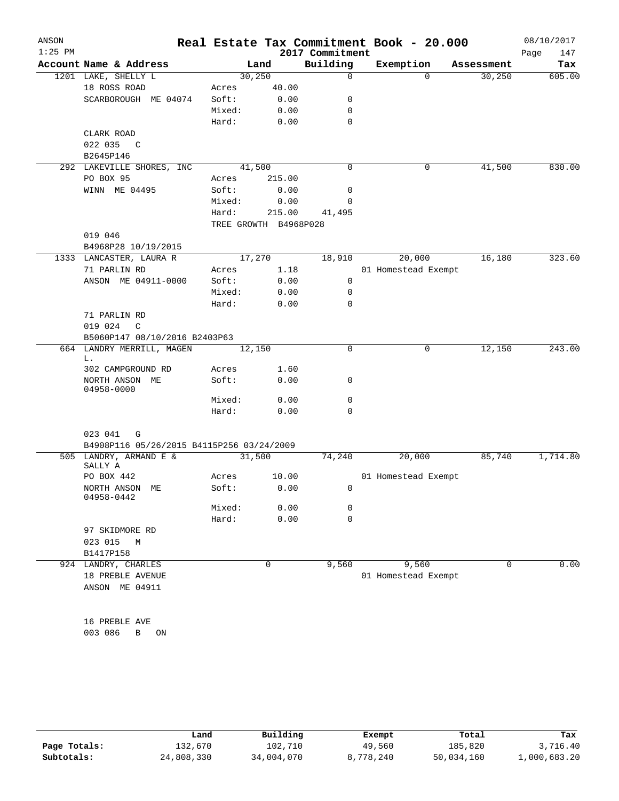| ANSON     |                                           |                       |              |                  | Real Estate Tax Commitment Book - 20.000 |            | 08/10/2017  |
|-----------|-------------------------------------------|-----------------------|--------------|------------------|------------------------------------------|------------|-------------|
| $1:25$ PM |                                           |                       |              | 2017 Commitment  |                                          |            | 147<br>Page |
|           | Account Name & Address                    |                       | Land         | Building         | Exemption                                | Assessment | Tax         |
|           | 1201 LAKE, SHELLY L                       |                       | 30, 250      | $\Omega$         | $\Omega$                                 | 30, 250    | 605.00      |
|           | 18 ROSS ROAD                              | Acres                 | 40.00        |                  |                                          |            |             |
|           | SCARBOROUGH ME 04074                      | Soft:<br>Mixed:       | 0.00<br>0.00 | 0<br>$\mathbf 0$ |                                          |            |             |
|           |                                           | Hard:                 | 0.00         | $\mathbf 0$      |                                          |            |             |
|           | CLARK ROAD                                |                       |              |                  |                                          |            |             |
|           | 022 035<br>$\mathbb{C}$                   |                       |              |                  |                                          |            |             |
|           | B2645P146                                 |                       |              |                  |                                          |            |             |
|           | 292 LAKEVILLE SHORES, INC                 |                       | 41,500       | 0                | 0                                        | 41,500     | 830.00      |
|           | PO BOX 95                                 | Acres                 | 215.00       |                  |                                          |            |             |
|           | WINN ME 04495                             | Soft:                 | 0.00         | 0                |                                          |            |             |
|           |                                           | Mixed:                | 0.00         | 0                |                                          |            |             |
|           |                                           | Hard:                 | 215.00       | 41,495           |                                          |            |             |
|           | 019 046                                   | TREE GROWTH B4968P028 |              |                  |                                          |            |             |
|           | B4968P28 10/19/2015                       |                       |              |                  |                                          |            |             |
|           | 1333 LANCASTER, LAURA R                   |                       | 17,270       | 18,910           | 20,000                                   | 16,180     | 323.60      |
|           | 71 PARLIN RD                              | Acres                 | 1.18         |                  | 01 Homestead Exempt                      |            |             |
|           | ANSON ME 04911-0000                       | Soft:                 | 0.00         | $\mathbf 0$      |                                          |            |             |
|           |                                           | Mixed:                | 0.00         | 0                |                                          |            |             |
|           |                                           | Hard:                 | 0.00         | $\mathbf 0$      |                                          |            |             |
|           | 71 PARLIN RD                              |                       |              |                  |                                          |            |             |
|           | 019 024<br>C                              |                       |              |                  |                                          |            |             |
|           | B5060P147 08/10/2016 B2403P63             |                       |              |                  |                                          |            |             |
|           | 664 LANDRY MERRILL, MAGEN<br>L.           | 12,150                |              | $\mathbf 0$      | 0                                        | 12,150     | 243.00      |
|           | 302 CAMPGROUND RD                         | Acres                 | 1.60         |                  |                                          |            |             |
|           | NORTH ANSON ME<br>04958-0000              | Soft:                 | 0.00         | 0                |                                          |            |             |
|           |                                           | Mixed:                | 0.00         | 0                |                                          |            |             |
|           |                                           | Hard:                 | 0.00         | $\mathbf 0$      |                                          |            |             |
|           |                                           |                       |              |                  |                                          |            |             |
|           | 023 041<br>G                              |                       |              |                  |                                          |            |             |
|           | B4908P116 05/26/2015 B4115P256 03/24/2009 |                       |              |                  |                                          |            |             |
|           | 505 LANDRY, ARMAND E &<br>SALLY A         |                       | 31,500       | 74,240           | 20,000                                   | 85,740     | 1,714.80    |
|           | PO BOX 442                                | Acres                 | 10.00        |                  | 01 Homestead Exempt                      |            |             |
|           | NORTH ANSON ME<br>04958-0442              | Soft:                 | 0.00         | $\circ$          |                                          |            |             |
|           |                                           | Mixed:                | 0.00         | 0                |                                          |            |             |
|           |                                           | Hard:                 | 0.00         | $\mathbf 0$      |                                          |            |             |
|           | 97 SKIDMORE RD                            |                       |              |                  |                                          |            |             |
|           | 023 015 M<br>B1417P158                    |                       |              |                  |                                          |            |             |
|           | 924 LANDRY, CHARLES                       |                       | 0            | 9,560            | 9,560                                    | 0          | 0.00        |
|           | 18 PREBLE AVENUE                          |                       |              |                  | 01 Homestead Exempt                      |            |             |
|           | ANSON ME 04911                            |                       |              |                  |                                          |            |             |
|           |                                           |                       |              |                  |                                          |            |             |
|           |                                           |                       |              |                  |                                          |            |             |
|           | 16 PREBLE AVE                             |                       |              |                  |                                          |            |             |
|           | 003 086<br>B ON                           |                       |              |                  |                                          |            |             |
|           |                                           |                       |              |                  |                                          |            |             |

|              | Land       | Building   | Exempt    | Total      | Tax          |
|--------------|------------|------------|-----------|------------|--------------|
| Page Totals: | 132,670    | 102,710    | 49,560    | 185,820    | 3,716.40     |
| Subtotals:   | 24,808,330 | 34,004,070 | 8,778,240 | 50,034,160 | 1,000,683.20 |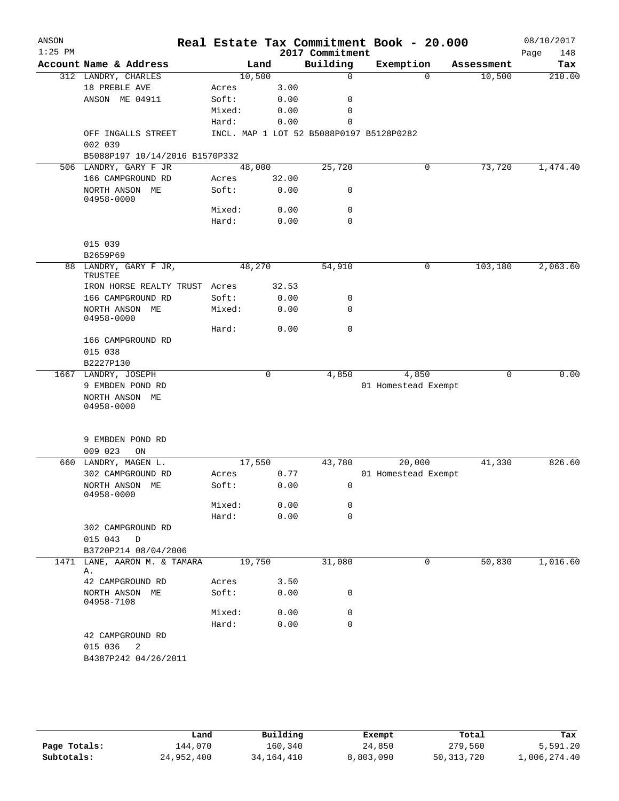| Account Name & Address<br>312 LANDRY, CHARLES<br>18 PREBLE AVE<br>ANSON ME 04911<br>OFF INGALLS STREET<br>002 039<br>B5088P197 10/14/2016 B1570P332<br>506 LANDRY, GARY F JR<br>166 CAMPGROUND RD<br>NORTH ANSON ME<br>04958-0000<br>015 039<br>B2659P69<br>88 LANDRY, GARY F JR,<br>TRUSTEE<br>IRON HORSE REALTY TRUST Acres<br>166 CAMPGROUND RD<br>NORTH ANSON ME<br>04958-0000 | 10,500<br>Acres<br>Soft:<br>Mixed:<br>Hard:<br>48,000<br>Acres<br>Soft:<br>Mixed:<br>Hard:<br>48,270<br>Soft:<br>Mixed:                   | Land<br>3.00<br>0.00<br>0.00<br>0.00<br>32.00<br>0.00<br>0.00<br>0.00<br>32.53<br>0.00 | 2017 Commitment<br>Building<br>0<br>0<br>0<br>0<br>INCL. MAP 1 LOT 52 B5088P0197 B5128P0282<br>25,720<br>0<br>0<br>$\mathbf 0$<br>54,910 | Exemption<br>$\Omega$<br>0<br>$\mathsf{O}$ | Assessment<br>10,500<br>73,720<br>103,180 | Page<br>148<br>Tax            |
|------------------------------------------------------------------------------------------------------------------------------------------------------------------------------------------------------------------------------------------------------------------------------------------------------------------------------------------------------------------------------------|-------------------------------------------------------------------------------------------------------------------------------------------|----------------------------------------------------------------------------------------|------------------------------------------------------------------------------------------------------------------------------------------|--------------------------------------------|-------------------------------------------|-------------------------------|
|                                                                                                                                                                                                                                                                                                                                                                                    |                                                                                                                                           |                                                                                        |                                                                                                                                          |                                            |                                           | 210.00                        |
|                                                                                                                                                                                                                                                                                                                                                                                    |                                                                                                                                           |                                                                                        |                                                                                                                                          |                                            |                                           |                               |
|                                                                                                                                                                                                                                                                                                                                                                                    |                                                                                                                                           |                                                                                        |                                                                                                                                          |                                            |                                           |                               |
|                                                                                                                                                                                                                                                                                                                                                                                    |                                                                                                                                           |                                                                                        |                                                                                                                                          |                                            |                                           |                               |
|                                                                                                                                                                                                                                                                                                                                                                                    |                                                                                                                                           |                                                                                        |                                                                                                                                          |                                            |                                           |                               |
|                                                                                                                                                                                                                                                                                                                                                                                    |                                                                                                                                           |                                                                                        |                                                                                                                                          |                                            |                                           | 1,474.40                      |
|                                                                                                                                                                                                                                                                                                                                                                                    |                                                                                                                                           |                                                                                        |                                                                                                                                          |                                            |                                           |                               |
|                                                                                                                                                                                                                                                                                                                                                                                    |                                                                                                                                           |                                                                                        |                                                                                                                                          |                                            |                                           |                               |
|                                                                                                                                                                                                                                                                                                                                                                                    |                                                                                                                                           |                                                                                        |                                                                                                                                          |                                            |                                           |                               |
|                                                                                                                                                                                                                                                                                                                                                                                    |                                                                                                                                           |                                                                                        |                                                                                                                                          |                                            |                                           |                               |
|                                                                                                                                                                                                                                                                                                                                                                                    |                                                                                                                                           |                                                                                        |                                                                                                                                          |                                            |                                           |                               |
|                                                                                                                                                                                                                                                                                                                                                                                    |                                                                                                                                           |                                                                                        |                                                                                                                                          |                                            |                                           |                               |
|                                                                                                                                                                                                                                                                                                                                                                                    |                                                                                                                                           |                                                                                        |                                                                                                                                          |                                            |                                           | 2,063.60                      |
|                                                                                                                                                                                                                                                                                                                                                                                    |                                                                                                                                           |                                                                                        |                                                                                                                                          |                                            |                                           |                               |
|                                                                                                                                                                                                                                                                                                                                                                                    |                                                                                                                                           |                                                                                        |                                                                                                                                          |                                            |                                           |                               |
|                                                                                                                                                                                                                                                                                                                                                                                    |                                                                                                                                           |                                                                                        |                                                                                                                                          |                                            |                                           |                               |
|                                                                                                                                                                                                                                                                                                                                                                                    |                                                                                                                                           |                                                                                        |                                                                                                                                          |                                            |                                           |                               |
|                                                                                                                                                                                                                                                                                                                                                                                    |                                                                                                                                           |                                                                                        |                                                                                                                                          |                                            |                                           |                               |
|                                                                                                                                                                                                                                                                                                                                                                                    |                                                                                                                                           | 0.00                                                                                   | 0<br>0                                                                                                                                   |                                            |                                           |                               |
|                                                                                                                                                                                                                                                                                                                                                                                    | Hard:                                                                                                                                     | 0.00                                                                                   | $\mathbf 0$                                                                                                                              |                                            |                                           |                               |
| 166 CAMPGROUND RD                                                                                                                                                                                                                                                                                                                                                                  |                                                                                                                                           |                                                                                        |                                                                                                                                          |                                            |                                           |                               |
| 015 038                                                                                                                                                                                                                                                                                                                                                                            |                                                                                                                                           |                                                                                        |                                                                                                                                          |                                            |                                           |                               |
| B2227P130                                                                                                                                                                                                                                                                                                                                                                          |                                                                                                                                           |                                                                                        |                                                                                                                                          |                                            |                                           |                               |
| 1667 LANDRY, JOSEPH                                                                                                                                                                                                                                                                                                                                                                |                                                                                                                                           | 0                                                                                      | 4,850                                                                                                                                    | 4,850                                      | 0                                         | 0.00                          |
| 9 EMBDEN POND RD                                                                                                                                                                                                                                                                                                                                                                   |                                                                                                                                           |                                                                                        |                                                                                                                                          | 01 Homestead Exempt                        |                                           |                               |
| NORTH ANSON ME                                                                                                                                                                                                                                                                                                                                                                     |                                                                                                                                           |                                                                                        |                                                                                                                                          |                                            |                                           |                               |
| 04958-0000                                                                                                                                                                                                                                                                                                                                                                         |                                                                                                                                           |                                                                                        |                                                                                                                                          |                                            |                                           |                               |
|                                                                                                                                                                                                                                                                                                                                                                                    |                                                                                                                                           |                                                                                        |                                                                                                                                          |                                            |                                           |                               |
|                                                                                                                                                                                                                                                                                                                                                                                    |                                                                                                                                           |                                                                                        |                                                                                                                                          |                                            |                                           |                               |
|                                                                                                                                                                                                                                                                                                                                                                                    |                                                                                                                                           |                                                                                        |                                                                                                                                          |                                            |                                           | 826.60                        |
|                                                                                                                                                                                                                                                                                                                                                                                    |                                                                                                                                           |                                                                                        |                                                                                                                                          |                                            |                                           |                               |
|                                                                                                                                                                                                                                                                                                                                                                                    |                                                                                                                                           |                                                                                        |                                                                                                                                          |                                            |                                           |                               |
| 04958-0000                                                                                                                                                                                                                                                                                                                                                                         |                                                                                                                                           |                                                                                        |                                                                                                                                          |                                            |                                           |                               |
|                                                                                                                                                                                                                                                                                                                                                                                    |                                                                                                                                           |                                                                                        |                                                                                                                                          |                                            |                                           |                               |
|                                                                                                                                                                                                                                                                                                                                                                                    |                                                                                                                                           |                                                                                        |                                                                                                                                          |                                            |                                           |                               |
|                                                                                                                                                                                                                                                                                                                                                                                    |                                                                                                                                           |                                                                                        |                                                                                                                                          |                                            |                                           |                               |
| 015 043<br>D                                                                                                                                                                                                                                                                                                                                                                       |                                                                                                                                           |                                                                                        |                                                                                                                                          |                                            |                                           |                               |
| B3720P214 08/04/2006                                                                                                                                                                                                                                                                                                                                                               |                                                                                                                                           |                                                                                        |                                                                                                                                          |                                            |                                           |                               |
| 1471 LANE, AARON M. & TAMARA                                                                                                                                                                                                                                                                                                                                                       |                                                                                                                                           |                                                                                        | 31,080                                                                                                                                   | 0                                          | 50,830                                    | 1,016.60                      |
| 42 CAMPGROUND RD                                                                                                                                                                                                                                                                                                                                                                   | Acres                                                                                                                                     | 3.50                                                                                   |                                                                                                                                          |                                            |                                           |                               |
| NORTH ANSON ME<br>04958-7108                                                                                                                                                                                                                                                                                                                                                       | Soft:                                                                                                                                     | 0.00                                                                                   | 0                                                                                                                                        |                                            |                                           |                               |
|                                                                                                                                                                                                                                                                                                                                                                                    | Mixed:                                                                                                                                    | 0.00                                                                                   | 0                                                                                                                                        |                                            |                                           |                               |
|                                                                                                                                                                                                                                                                                                                                                                                    | Hard:                                                                                                                                     | 0.00                                                                                   | 0                                                                                                                                        |                                            |                                           |                               |
| 42 CAMPGROUND RD                                                                                                                                                                                                                                                                                                                                                                   |                                                                                                                                           |                                                                                        |                                                                                                                                          |                                            |                                           |                               |
| 015 036<br>2                                                                                                                                                                                                                                                                                                                                                                       |                                                                                                                                           |                                                                                        |                                                                                                                                          |                                            |                                           |                               |
|                                                                                                                                                                                                                                                                                                                                                                                    |                                                                                                                                           |                                                                                        |                                                                                                                                          |                                            |                                           |                               |
|                                                                                                                                                                                                                                                                                                                                                                                    |                                                                                                                                           |                                                                                        |                                                                                                                                          |                                            |                                           |                               |
|                                                                                                                                                                                                                                                                                                                                                                                    | 9 EMBDEN POND RD<br>009 023<br>ON<br>LANDRY, MAGEN L.<br>302 CAMPGROUND RD<br>NORTH ANSON ME<br>302 CAMPGROUND RD<br>B4387P242 04/26/2011 | Acres<br>Soft:<br>Mixed:<br>Hard:                                                      | 17,550<br>0.77<br>0.00<br>0.00<br>0.00<br>19,750                                                                                         | 43,780<br>0<br>0<br>$\mathbf 0$            | 20,000                                    | 41,330<br>01 Homestead Exempt |

|              | Land       | Building     | Exempt    | Total        | Tax          |
|--------------|------------|--------------|-----------|--------------|--------------|
| Page Totals: | 144,070    | 160,340      | 24,850    | 279,560      | 5,591.20     |
| Subtotals:   | 24,952,400 | 34, 164, 410 | 8,803,090 | 50, 313, 720 | 1,006,274.40 |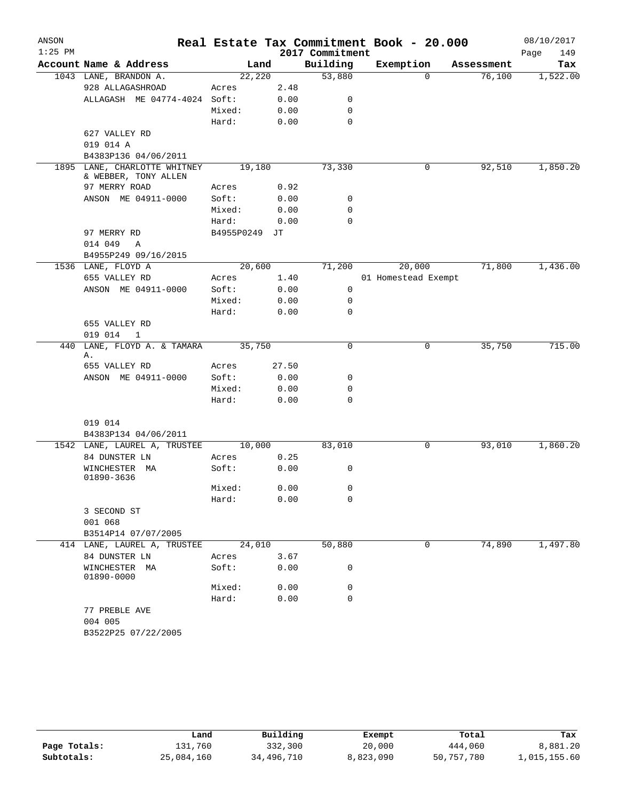| ANSON     |                                       |            |       |                 | Real Estate Tax Commitment Book - 20.000 |            | 08/10/2017  |
|-----------|---------------------------------------|------------|-------|-----------------|------------------------------------------|------------|-------------|
| $1:25$ PM |                                       |            |       | 2017 Commitment |                                          |            | Page<br>149 |
|           | Account Name & Address                | Land       |       | Building        | Exemption                                | Assessment | Tax         |
|           | 1043 LANE, BRANDON A.                 | 22,220     |       | 53,880          | $\Omega$                                 | 76,100     | 1,522.00    |
|           | 928 ALLAGASHROAD                      | Acres      | 2.48  |                 |                                          |            |             |
|           | ALLAGASH ME 04774-4024 Soft:          |            | 0.00  | 0               |                                          |            |             |
|           |                                       | Mixed:     | 0.00  | 0               |                                          |            |             |
|           |                                       | Hard:      | 0.00  | 0               |                                          |            |             |
|           | 627 VALLEY RD                         |            |       |                 |                                          |            |             |
|           | 019 014 A                             |            |       |                 |                                          |            |             |
|           | B4383P136 04/06/2011                  |            |       |                 |                                          |            |             |
| 1895      | LANE, CHARLOTTE WHITNEY               | 19,180     |       | 73,330          | 0                                        | 92,510     | 1,850.20    |
|           | & WEBBER, TONY ALLEN<br>97 MERRY ROAD |            |       |                 |                                          |            |             |
|           |                                       | Acres      | 0.92  |                 |                                          |            |             |
|           | ANSON ME 04911-0000                   | Soft:      | 0.00  | 0               |                                          |            |             |
|           |                                       | Mixed:     | 0.00  | 0               |                                          |            |             |
|           |                                       | Hard:      | 0.00  | 0               |                                          |            |             |
|           | 97 MERRY RD                           | B4955P0249 | JТ    |                 |                                          |            |             |
|           | 014 049<br>Α                          |            |       |                 |                                          |            |             |
|           | B4955P249 09/16/2015                  |            |       |                 |                                          |            |             |
|           | 1536 LANE, FLOYD A                    | 20,600     |       | 71,200          | 20,000                                   | 71,800     | 1,436.00    |
|           | 655 VALLEY RD                         | Acres      | 1.40  |                 | 01 Homestead Exempt                      |            |             |
|           | ANSON ME 04911-0000                   | Soft:      | 0.00  | 0               |                                          |            |             |
|           |                                       | Mixed:     | 0.00  | 0               |                                          |            |             |
|           |                                       | Hard:      | 0.00  | 0               |                                          |            |             |
|           | 655 VALLEY RD                         |            |       |                 |                                          |            |             |
|           | 019 014<br>$\mathbf{1}$               |            |       |                 |                                          |            |             |
| 440       | LANE, FLOYD A. & TAMARA<br>Α.         | 35,750     |       | $\mathbf 0$     | $\mathbf 0$                              | 35,750     | 715.00      |
|           | 655 VALLEY RD                         | Acres      | 27.50 |                 |                                          |            |             |
|           | ANSON ME 04911-0000                   | Soft:      | 0.00  | 0               |                                          |            |             |
|           |                                       | Mixed:     | 0.00  | 0               |                                          |            |             |
|           |                                       | Hard:      | 0.00  | 0               |                                          |            |             |
|           |                                       |            |       |                 |                                          |            |             |
|           | 019 014                               |            |       |                 |                                          |            |             |
|           | B4383P134 04/06/2011                  |            |       |                 |                                          |            |             |
|           | 1542 LANE, LAUREL A, TRUSTEE          | 10,000     |       | 83,010          | 0                                        | 93,010     | 1,860.20    |
|           | 84 DUNSTER LN                         | Acres      | 0.25  |                 |                                          |            |             |
|           | WINCHESTER MA                         | Soft:      | 0.00  | 0               |                                          |            |             |
|           | 01890-3636                            |            |       |                 |                                          |            |             |
|           |                                       | Mixed:     | 0.00  | 0               |                                          |            |             |
|           |                                       | Hard:      | 0.00  | 0               |                                          |            |             |
|           | 3 SECOND ST                           |            |       |                 |                                          |            |             |
|           | 001 068                               |            |       |                 |                                          |            |             |
|           | B3514P14 07/07/2005                   |            |       |                 |                                          |            |             |
|           | 414 LANE, LAUREL A, TRUSTEE           | 24,010     |       | 50,880          | 0                                        | 74,890     | 1,497.80    |
|           | 84 DUNSTER LN                         | Acres      | 3.67  |                 |                                          |            |             |
|           | WINCHESTER MA<br>01890-0000           | Soft:      | 0.00  | 0               |                                          |            |             |
|           |                                       | Mixed:     | 0.00  | 0               |                                          |            |             |
|           |                                       | Hard:      | 0.00  | 0               |                                          |            |             |
|           | 77 PREBLE AVE<br>004 005              |            |       |                 |                                          |            |             |
|           | B3522P25 07/22/2005                   |            |       |                 |                                          |            |             |

|              | Land       | Building   | Exempt    | Total      | Tax          |
|--------------|------------|------------|-----------|------------|--------------|
| Page Totals: | 131,760    | 332,300    | 20,000    | 444,060    | 8,881.20     |
| Subtotals:   | 25,084,160 | 34,496,710 | 8,823,090 | 50,757,780 | 1,015,155.60 |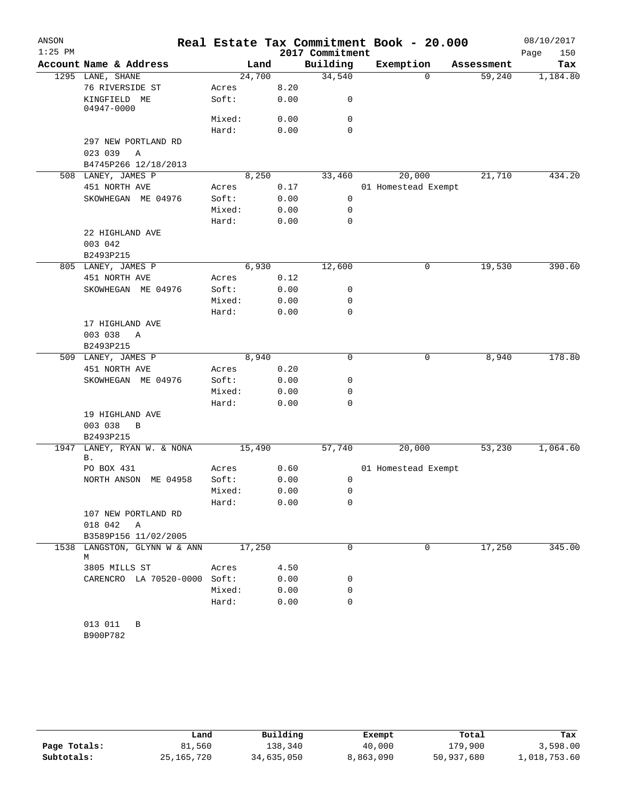| ANSON<br>$1:25$ PM |                                   |                 |              | 2017 Commitment | Real Estate Tax Commitment Book - 20.000 |                    | 08/10/2017<br>Page<br>150 |
|--------------------|-----------------------------------|-----------------|--------------|-----------------|------------------------------------------|--------------------|---------------------------|
|                    | Account Name & Address            |                 | Land         | Building        | Exemption                                | Assessment         | Tax                       |
|                    | 1295 LANE, SHANE                  |                 | 24,700       | 34,540          |                                          | 59,240<br>0        | 1,184.80                  |
|                    | 76 RIVERSIDE ST                   | Acres           | 8.20         |                 |                                          |                    |                           |
|                    | KINGFIELD ME                      | Soft:           | 0.00         | 0               |                                          |                    |                           |
|                    | 04947-0000                        |                 |              |                 |                                          |                    |                           |
|                    |                                   | Mixed:          | 0.00         | 0               |                                          |                    |                           |
|                    |                                   | Hard:           | 0.00         | $\Omega$        |                                          |                    |                           |
|                    | 297 NEW PORTLAND RD               |                 |              |                 |                                          |                    |                           |
|                    | 023 039<br>Α                      |                 |              |                 |                                          |                    |                           |
|                    | B4745P266 12/18/2013              |                 |              |                 |                                          |                    |                           |
|                    | 508 LANEY, JAMES P                |                 | 8,250        | 33,460          | 20,000                                   | 21,710             | 434.20                    |
|                    | 451 NORTH AVE                     | Acres           | 0.17         |                 | 01 Homestead Exempt                      |                    |                           |
|                    | SKOWHEGAN ME 04976                | Soft:           | 0.00         | $\mathbf 0$     |                                          |                    |                           |
|                    |                                   | Mixed:<br>Hard: | 0.00<br>0.00 | 0<br>0          |                                          |                    |                           |
|                    | 22 HIGHLAND AVE                   |                 |              |                 |                                          |                    |                           |
|                    | 003 042                           |                 |              |                 |                                          |                    |                           |
|                    | B2493P215                         |                 |              |                 |                                          |                    |                           |
|                    | 805 LANEY, JAMES P                |                 | 6,930        | 12,600          |                                          | 19,530<br>0        | 390.60                    |
|                    | 451 NORTH AVE                     | Acres           | 0.12         |                 |                                          |                    |                           |
|                    | SKOWHEGAN ME 04976                | Soft:           | 0.00         | 0               |                                          |                    |                           |
|                    |                                   | Mixed:          | 0.00         | 0               |                                          |                    |                           |
|                    |                                   | Hard:           | 0.00         | 0               |                                          |                    |                           |
|                    | 17 HIGHLAND AVE                   |                 |              |                 |                                          |                    |                           |
|                    | 003 038<br>Α                      |                 |              |                 |                                          |                    |                           |
|                    | B2493P215                         |                 |              |                 |                                          |                    |                           |
|                    | 509 LANEY, JAMES P                |                 | 8,940        | 0               |                                          | 8,940<br>0         | 178.80                    |
|                    | 451 NORTH AVE                     | Acres           | 0.20         |                 |                                          |                    |                           |
|                    | SKOWHEGAN ME 04976                | Soft:           | 0.00         | 0               |                                          |                    |                           |
|                    |                                   | Mixed:          | 0.00         | 0               |                                          |                    |                           |
|                    |                                   | Hard:           | 0.00         | 0               |                                          |                    |                           |
|                    | 19 HIGHLAND AVE                   |                 |              |                 |                                          |                    |                           |
|                    | 003 038<br>B                      |                 |              |                 |                                          |                    |                           |
|                    | B2493P215                         |                 |              |                 |                                          |                    |                           |
| 1947               | LANEY, RYAN W. & NONA<br>Β.       |                 | 15,490       | 57,740          | 20,000                                   | 53,230             | 1,064.60                  |
|                    | PO BOX 431                        | Acres           | 0.60         |                 | 01 Homestead Exempt                      |                    |                           |
|                    | NORTH ANSON ME 04958              | Soft:           | 0.00         | 0               |                                          |                    |                           |
|                    |                                   | Mixed:          | 0.00         | 0               |                                          |                    |                           |
|                    |                                   | Hard:           | 0.00         | 0               |                                          |                    |                           |
|                    | 107 NEW PORTLAND RD               |                 |              |                 |                                          |                    |                           |
|                    | 018 042 A                         |                 |              |                 |                                          |                    |                           |
|                    | B3589P156 11/02/2005              |                 |              |                 |                                          |                    |                           |
|                    | 1538 LANGSTON, GLYNN W & ANN<br>М |                 | 17,250       | $\Omega$        |                                          | 17,250<br>$\Omega$ | 345.00                    |
|                    | 3805 MILLS ST                     | Acres           | 4.50         |                 |                                          |                    |                           |
|                    | CARENCRO LA 70520-0000 Soft:      |                 | 0.00         | 0               |                                          |                    |                           |
|                    |                                   | Mixed:          | 0.00         | 0               |                                          |                    |                           |
|                    |                                   | Hard:           | 0.00         | 0               |                                          |                    |                           |
|                    | 013 011<br>B<br>B900P782          |                 |              |                 |                                          |                    |                           |

|              | Land         | Building   | Exempt    | Total      | Tax          |
|--------------|--------------|------------|-----------|------------|--------------|
| Page Totals: | 81,560       | 138,340    | 40,000    | 179,900    | 3,598.00     |
| Subtotals:   | 25, 165, 720 | 34,635,050 | 8,863,090 | 50,937,680 | 1,018,753.60 |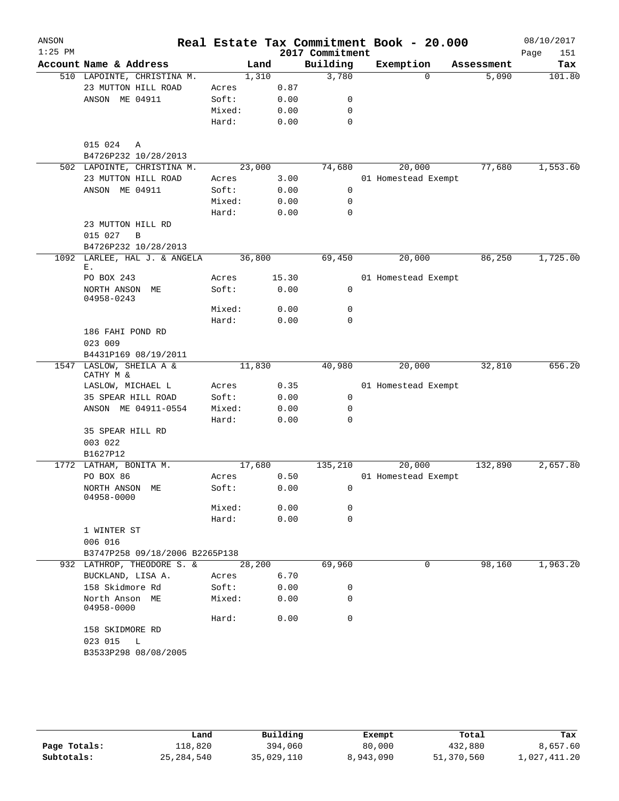| Building<br>Account Name & Address<br>Exemption<br>Land<br>Assessment<br>1,310<br>3,780<br>510 LAPOINTE, CHRISTINA M.<br>$\Omega$<br>5,090<br>23 MUTTON HILL ROAD<br>0.87<br>Acres<br>ANSON ME 04911<br>Soft:<br>0.00<br>0<br>Mixed:<br>0.00<br>0<br>Hard:<br>0.00<br>0<br>015 024<br>A<br>B4726P232 10/28/2013<br>23,000<br>74,680<br>20,000<br>77,680<br>1,553.60<br>502 LAPOINTE, CHRISTINA M.<br>23 MUTTON HILL ROAD<br>Acres<br>3.00<br>01 Homestead Exempt<br>ANSON ME 04911<br>Soft:<br>0.00<br>0<br>Mixed:<br>0.00<br>0<br>Hard:<br>0.00<br>0<br>23 MUTTON HILL RD<br>015 027<br>$\mathbf B$<br>B4726P232 10/28/2013<br>1092 LARLEE, HAL J. & ANGELA<br>36,800<br>1,725.00<br>69,450<br>20,000<br>86,250<br>Ε.<br>PO BOX 243<br>15.30<br>01 Homestead Exempt<br>Acres<br>Soft:<br>0.00<br>0<br>NORTH ANSON ME<br>04958-0243<br>Mixed:<br>0.00<br>0<br>Hard:<br>0.00<br>0<br>186 FAHI POND RD<br>023 009<br>B4431P169 08/19/2011<br>LASLOW, SHEILA A &<br>20,000<br>32,810<br>1547<br>11,830<br>40,980<br>CATHY M &<br>0.35<br>LASLOW, MICHAEL L<br>01 Homestead Exempt<br>Acres<br>35 SPEAR HILL ROAD<br>Soft:<br>0<br>0.00<br>ANSON ME 04911-0554<br>Mixed:<br>0.00<br>0<br>Hard:<br>0.00<br>0<br>35 SPEAR HILL RD<br>003 022<br>B1627P12<br>1772 LATHAM, BONITA M.<br>132,890<br>17,680<br>135,210<br>20,000<br>2,657.80<br>PO BOX 86<br>0.50<br>01 Homestead Exempt<br>Acres<br>NORTH ANSON ME<br>Soft:<br>0.00<br>$\overline{\mathbf{0}}$<br>04958-0000<br>Mixed:<br>0.00<br>0<br>Hard:<br>0.00<br>0<br>1 WINTER ST<br>006 016<br>B3747P258 09/18/2006 B2265P138<br>1,963.20<br>69,960<br>98,160<br>932 LATHROP, THEODORE S. &<br>28,200<br>0<br>BUCKLAND, LISA A.<br>6.70<br>Acres<br>158 Skidmore Rd<br>Soft:<br>0.00<br>0<br>North Anson ME<br>Mixed:<br>0<br>0.00<br>04958-0000<br>0.00<br>0<br>Hard:<br>158 SKIDMORE RD<br>023 015 L<br>B3533P298 08/08/2005 | ANSON<br>$1:25$ PM |  |  | Real Estate Tax Commitment Book - 20.000<br>2017 Commitment |  |  | 08/10/2017<br>Page<br>151 |
|-------------------------------------------------------------------------------------------------------------------------------------------------------------------------------------------------------------------------------------------------------------------------------------------------------------------------------------------------------------------------------------------------------------------------------------------------------------------------------------------------------------------------------------------------------------------------------------------------------------------------------------------------------------------------------------------------------------------------------------------------------------------------------------------------------------------------------------------------------------------------------------------------------------------------------------------------------------------------------------------------------------------------------------------------------------------------------------------------------------------------------------------------------------------------------------------------------------------------------------------------------------------------------------------------------------------------------------------------------------------------------------------------------------------------------------------------------------------------------------------------------------------------------------------------------------------------------------------------------------------------------------------------------------------------------------------------------------------------------------------------------------------------------------------------------------------------------------------------------------------------------|--------------------|--|--|-------------------------------------------------------------|--|--|---------------------------|
|                                                                                                                                                                                                                                                                                                                                                                                                                                                                                                                                                                                                                                                                                                                                                                                                                                                                                                                                                                                                                                                                                                                                                                                                                                                                                                                                                                                                                                                                                                                                                                                                                                                                                                                                                                                                                                                                               |                    |  |  |                                                             |  |  | Tax                       |
|                                                                                                                                                                                                                                                                                                                                                                                                                                                                                                                                                                                                                                                                                                                                                                                                                                                                                                                                                                                                                                                                                                                                                                                                                                                                                                                                                                                                                                                                                                                                                                                                                                                                                                                                                                                                                                                                               |                    |  |  |                                                             |  |  | 101.80                    |
|                                                                                                                                                                                                                                                                                                                                                                                                                                                                                                                                                                                                                                                                                                                                                                                                                                                                                                                                                                                                                                                                                                                                                                                                                                                                                                                                                                                                                                                                                                                                                                                                                                                                                                                                                                                                                                                                               |                    |  |  |                                                             |  |  |                           |
|                                                                                                                                                                                                                                                                                                                                                                                                                                                                                                                                                                                                                                                                                                                                                                                                                                                                                                                                                                                                                                                                                                                                                                                                                                                                                                                                                                                                                                                                                                                                                                                                                                                                                                                                                                                                                                                                               |                    |  |  |                                                             |  |  |                           |
|                                                                                                                                                                                                                                                                                                                                                                                                                                                                                                                                                                                                                                                                                                                                                                                                                                                                                                                                                                                                                                                                                                                                                                                                                                                                                                                                                                                                                                                                                                                                                                                                                                                                                                                                                                                                                                                                               |                    |  |  |                                                             |  |  |                           |
|                                                                                                                                                                                                                                                                                                                                                                                                                                                                                                                                                                                                                                                                                                                                                                                                                                                                                                                                                                                                                                                                                                                                                                                                                                                                                                                                                                                                                                                                                                                                                                                                                                                                                                                                                                                                                                                                               |                    |  |  |                                                             |  |  |                           |
|                                                                                                                                                                                                                                                                                                                                                                                                                                                                                                                                                                                                                                                                                                                                                                                                                                                                                                                                                                                                                                                                                                                                                                                                                                                                                                                                                                                                                                                                                                                                                                                                                                                                                                                                                                                                                                                                               |                    |  |  |                                                             |  |  |                           |
|                                                                                                                                                                                                                                                                                                                                                                                                                                                                                                                                                                                                                                                                                                                                                                                                                                                                                                                                                                                                                                                                                                                                                                                                                                                                                                                                                                                                                                                                                                                                                                                                                                                                                                                                                                                                                                                                               |                    |  |  |                                                             |  |  |                           |
|                                                                                                                                                                                                                                                                                                                                                                                                                                                                                                                                                                                                                                                                                                                                                                                                                                                                                                                                                                                                                                                                                                                                                                                                                                                                                                                                                                                                                                                                                                                                                                                                                                                                                                                                                                                                                                                                               |                    |  |  |                                                             |  |  |                           |
|                                                                                                                                                                                                                                                                                                                                                                                                                                                                                                                                                                                                                                                                                                                                                                                                                                                                                                                                                                                                                                                                                                                                                                                                                                                                                                                                                                                                                                                                                                                                                                                                                                                                                                                                                                                                                                                                               |                    |  |  |                                                             |  |  |                           |
|                                                                                                                                                                                                                                                                                                                                                                                                                                                                                                                                                                                                                                                                                                                                                                                                                                                                                                                                                                                                                                                                                                                                                                                                                                                                                                                                                                                                                                                                                                                                                                                                                                                                                                                                                                                                                                                                               |                    |  |  |                                                             |  |  |                           |
|                                                                                                                                                                                                                                                                                                                                                                                                                                                                                                                                                                                                                                                                                                                                                                                                                                                                                                                                                                                                                                                                                                                                                                                                                                                                                                                                                                                                                                                                                                                                                                                                                                                                                                                                                                                                                                                                               |                    |  |  |                                                             |  |  |                           |
|                                                                                                                                                                                                                                                                                                                                                                                                                                                                                                                                                                                                                                                                                                                                                                                                                                                                                                                                                                                                                                                                                                                                                                                                                                                                                                                                                                                                                                                                                                                                                                                                                                                                                                                                                                                                                                                                               |                    |  |  |                                                             |  |  |                           |
|                                                                                                                                                                                                                                                                                                                                                                                                                                                                                                                                                                                                                                                                                                                                                                                                                                                                                                                                                                                                                                                                                                                                                                                                                                                                                                                                                                                                                                                                                                                                                                                                                                                                                                                                                                                                                                                                               |                    |  |  |                                                             |  |  |                           |
|                                                                                                                                                                                                                                                                                                                                                                                                                                                                                                                                                                                                                                                                                                                                                                                                                                                                                                                                                                                                                                                                                                                                                                                                                                                                                                                                                                                                                                                                                                                                                                                                                                                                                                                                                                                                                                                                               |                    |  |  |                                                             |  |  |                           |
|                                                                                                                                                                                                                                                                                                                                                                                                                                                                                                                                                                                                                                                                                                                                                                                                                                                                                                                                                                                                                                                                                                                                                                                                                                                                                                                                                                                                                                                                                                                                                                                                                                                                                                                                                                                                                                                                               |                    |  |  |                                                             |  |  |                           |
|                                                                                                                                                                                                                                                                                                                                                                                                                                                                                                                                                                                                                                                                                                                                                                                                                                                                                                                                                                                                                                                                                                                                                                                                                                                                                                                                                                                                                                                                                                                                                                                                                                                                                                                                                                                                                                                                               |                    |  |  |                                                             |  |  |                           |
|                                                                                                                                                                                                                                                                                                                                                                                                                                                                                                                                                                                                                                                                                                                                                                                                                                                                                                                                                                                                                                                                                                                                                                                                                                                                                                                                                                                                                                                                                                                                                                                                                                                                                                                                                                                                                                                                               |                    |  |  |                                                             |  |  |                           |
|                                                                                                                                                                                                                                                                                                                                                                                                                                                                                                                                                                                                                                                                                                                                                                                                                                                                                                                                                                                                                                                                                                                                                                                                                                                                                                                                                                                                                                                                                                                                                                                                                                                                                                                                                                                                                                                                               |                    |  |  |                                                             |  |  |                           |
|                                                                                                                                                                                                                                                                                                                                                                                                                                                                                                                                                                                                                                                                                                                                                                                                                                                                                                                                                                                                                                                                                                                                                                                                                                                                                                                                                                                                                                                                                                                                                                                                                                                                                                                                                                                                                                                                               |                    |  |  |                                                             |  |  |                           |
|                                                                                                                                                                                                                                                                                                                                                                                                                                                                                                                                                                                                                                                                                                                                                                                                                                                                                                                                                                                                                                                                                                                                                                                                                                                                                                                                                                                                                                                                                                                                                                                                                                                                                                                                                                                                                                                                               |                    |  |  |                                                             |  |  |                           |
|                                                                                                                                                                                                                                                                                                                                                                                                                                                                                                                                                                                                                                                                                                                                                                                                                                                                                                                                                                                                                                                                                                                                                                                                                                                                                                                                                                                                                                                                                                                                                                                                                                                                                                                                                                                                                                                                               |                    |  |  |                                                             |  |  |                           |
|                                                                                                                                                                                                                                                                                                                                                                                                                                                                                                                                                                                                                                                                                                                                                                                                                                                                                                                                                                                                                                                                                                                                                                                                                                                                                                                                                                                                                                                                                                                                                                                                                                                                                                                                                                                                                                                                               |                    |  |  |                                                             |  |  |                           |
|                                                                                                                                                                                                                                                                                                                                                                                                                                                                                                                                                                                                                                                                                                                                                                                                                                                                                                                                                                                                                                                                                                                                                                                                                                                                                                                                                                                                                                                                                                                                                                                                                                                                                                                                                                                                                                                                               |                    |  |  |                                                             |  |  |                           |
|                                                                                                                                                                                                                                                                                                                                                                                                                                                                                                                                                                                                                                                                                                                                                                                                                                                                                                                                                                                                                                                                                                                                                                                                                                                                                                                                                                                                                                                                                                                                                                                                                                                                                                                                                                                                                                                                               |                    |  |  |                                                             |  |  |                           |
|                                                                                                                                                                                                                                                                                                                                                                                                                                                                                                                                                                                                                                                                                                                                                                                                                                                                                                                                                                                                                                                                                                                                                                                                                                                                                                                                                                                                                                                                                                                                                                                                                                                                                                                                                                                                                                                                               |                    |  |  |                                                             |  |  | 656.20                    |
|                                                                                                                                                                                                                                                                                                                                                                                                                                                                                                                                                                                                                                                                                                                                                                                                                                                                                                                                                                                                                                                                                                                                                                                                                                                                                                                                                                                                                                                                                                                                                                                                                                                                                                                                                                                                                                                                               |                    |  |  |                                                             |  |  |                           |
|                                                                                                                                                                                                                                                                                                                                                                                                                                                                                                                                                                                                                                                                                                                                                                                                                                                                                                                                                                                                                                                                                                                                                                                                                                                                                                                                                                                                                                                                                                                                                                                                                                                                                                                                                                                                                                                                               |                    |  |  |                                                             |  |  |                           |
|                                                                                                                                                                                                                                                                                                                                                                                                                                                                                                                                                                                                                                                                                                                                                                                                                                                                                                                                                                                                                                                                                                                                                                                                                                                                                                                                                                                                                                                                                                                                                                                                                                                                                                                                                                                                                                                                               |                    |  |  |                                                             |  |  |                           |
|                                                                                                                                                                                                                                                                                                                                                                                                                                                                                                                                                                                                                                                                                                                                                                                                                                                                                                                                                                                                                                                                                                                                                                                                                                                                                                                                                                                                                                                                                                                                                                                                                                                                                                                                                                                                                                                                               |                    |  |  |                                                             |  |  |                           |
|                                                                                                                                                                                                                                                                                                                                                                                                                                                                                                                                                                                                                                                                                                                                                                                                                                                                                                                                                                                                                                                                                                                                                                                                                                                                                                                                                                                                                                                                                                                                                                                                                                                                                                                                                                                                                                                                               |                    |  |  |                                                             |  |  |                           |
|                                                                                                                                                                                                                                                                                                                                                                                                                                                                                                                                                                                                                                                                                                                                                                                                                                                                                                                                                                                                                                                                                                                                                                                                                                                                                                                                                                                                                                                                                                                                                                                                                                                                                                                                                                                                                                                                               |                    |  |  |                                                             |  |  |                           |
|                                                                                                                                                                                                                                                                                                                                                                                                                                                                                                                                                                                                                                                                                                                                                                                                                                                                                                                                                                                                                                                                                                                                                                                                                                                                                                                                                                                                                                                                                                                                                                                                                                                                                                                                                                                                                                                                               |                    |  |  |                                                             |  |  |                           |
|                                                                                                                                                                                                                                                                                                                                                                                                                                                                                                                                                                                                                                                                                                                                                                                                                                                                                                                                                                                                                                                                                                                                                                                                                                                                                                                                                                                                                                                                                                                                                                                                                                                                                                                                                                                                                                                                               |                    |  |  |                                                             |  |  |                           |
|                                                                                                                                                                                                                                                                                                                                                                                                                                                                                                                                                                                                                                                                                                                                                                                                                                                                                                                                                                                                                                                                                                                                                                                                                                                                                                                                                                                                                                                                                                                                                                                                                                                                                                                                                                                                                                                                               |                    |  |  |                                                             |  |  |                           |
|                                                                                                                                                                                                                                                                                                                                                                                                                                                                                                                                                                                                                                                                                                                                                                                                                                                                                                                                                                                                                                                                                                                                                                                                                                                                                                                                                                                                                                                                                                                                                                                                                                                                                                                                                                                                                                                                               |                    |  |  |                                                             |  |  |                           |
|                                                                                                                                                                                                                                                                                                                                                                                                                                                                                                                                                                                                                                                                                                                                                                                                                                                                                                                                                                                                                                                                                                                                                                                                                                                                                                                                                                                                                                                                                                                                                                                                                                                                                                                                                                                                                                                                               |                    |  |  |                                                             |  |  |                           |
|                                                                                                                                                                                                                                                                                                                                                                                                                                                                                                                                                                                                                                                                                                                                                                                                                                                                                                                                                                                                                                                                                                                                                                                                                                                                                                                                                                                                                                                                                                                                                                                                                                                                                                                                                                                                                                                                               |                    |  |  |                                                             |  |  |                           |
|                                                                                                                                                                                                                                                                                                                                                                                                                                                                                                                                                                                                                                                                                                                                                                                                                                                                                                                                                                                                                                                                                                                                                                                                                                                                                                                                                                                                                                                                                                                                                                                                                                                                                                                                                                                                                                                                               |                    |  |  |                                                             |  |  |                           |
|                                                                                                                                                                                                                                                                                                                                                                                                                                                                                                                                                                                                                                                                                                                                                                                                                                                                                                                                                                                                                                                                                                                                                                                                                                                                                                                                                                                                                                                                                                                                                                                                                                                                                                                                                                                                                                                                               |                    |  |  |                                                             |  |  |                           |
|                                                                                                                                                                                                                                                                                                                                                                                                                                                                                                                                                                                                                                                                                                                                                                                                                                                                                                                                                                                                                                                                                                                                                                                                                                                                                                                                                                                                                                                                                                                                                                                                                                                                                                                                                                                                                                                                               |                    |  |  |                                                             |  |  |                           |
|                                                                                                                                                                                                                                                                                                                                                                                                                                                                                                                                                                                                                                                                                                                                                                                                                                                                                                                                                                                                                                                                                                                                                                                                                                                                                                                                                                                                                                                                                                                                                                                                                                                                                                                                                                                                                                                                               |                    |  |  |                                                             |  |  |                           |
|                                                                                                                                                                                                                                                                                                                                                                                                                                                                                                                                                                                                                                                                                                                                                                                                                                                                                                                                                                                                                                                                                                                                                                                                                                                                                                                                                                                                                                                                                                                                                                                                                                                                                                                                                                                                                                                                               |                    |  |  |                                                             |  |  |                           |
|                                                                                                                                                                                                                                                                                                                                                                                                                                                                                                                                                                                                                                                                                                                                                                                                                                                                                                                                                                                                                                                                                                                                                                                                                                                                                                                                                                                                                                                                                                                                                                                                                                                                                                                                                                                                                                                                               |                    |  |  |                                                             |  |  |                           |
|                                                                                                                                                                                                                                                                                                                                                                                                                                                                                                                                                                                                                                                                                                                                                                                                                                                                                                                                                                                                                                                                                                                                                                                                                                                                                                                                                                                                                                                                                                                                                                                                                                                                                                                                                                                                                                                                               |                    |  |  |                                                             |  |  |                           |
|                                                                                                                                                                                                                                                                                                                                                                                                                                                                                                                                                                                                                                                                                                                                                                                                                                                                                                                                                                                                                                                                                                                                                                                                                                                                                                                                                                                                                                                                                                                                                                                                                                                                                                                                                                                                                                                                               |                    |  |  |                                                             |  |  |                           |
|                                                                                                                                                                                                                                                                                                                                                                                                                                                                                                                                                                                                                                                                                                                                                                                                                                                                                                                                                                                                                                                                                                                                                                                                                                                                                                                                                                                                                                                                                                                                                                                                                                                                                                                                                                                                                                                                               |                    |  |  |                                                             |  |  |                           |
|                                                                                                                                                                                                                                                                                                                                                                                                                                                                                                                                                                                                                                                                                                                                                                                                                                                                                                                                                                                                                                                                                                                                                                                                                                                                                                                                                                                                                                                                                                                                                                                                                                                                                                                                                                                                                                                                               |                    |  |  |                                                             |  |  |                           |
|                                                                                                                                                                                                                                                                                                                                                                                                                                                                                                                                                                                                                                                                                                                                                                                                                                                                                                                                                                                                                                                                                                                                                                                                                                                                                                                                                                                                                                                                                                                                                                                                                                                                                                                                                                                                                                                                               |                    |  |  |                                                             |  |  |                           |
|                                                                                                                                                                                                                                                                                                                                                                                                                                                                                                                                                                                                                                                                                                                                                                                                                                                                                                                                                                                                                                                                                                                                                                                                                                                                                                                                                                                                                                                                                                                                                                                                                                                                                                                                                                                                                                                                               |                    |  |  |                                                             |  |  |                           |
|                                                                                                                                                                                                                                                                                                                                                                                                                                                                                                                                                                                                                                                                                                                                                                                                                                                                                                                                                                                                                                                                                                                                                                                                                                                                                                                                                                                                                                                                                                                                                                                                                                                                                                                                                                                                                                                                               |                    |  |  |                                                             |  |  |                           |

|              | Land         | Building   | Exempt    | Total      | Tax          |
|--------------|--------------|------------|-----------|------------|--------------|
| Page Totals: | 118,820      | 394,060    | 80,000    | 432,880    | 8,657.60     |
| Subtotals:   | 25, 284, 540 | 35,029,110 | 8,943,090 | 51,370,560 | 1,027,411.20 |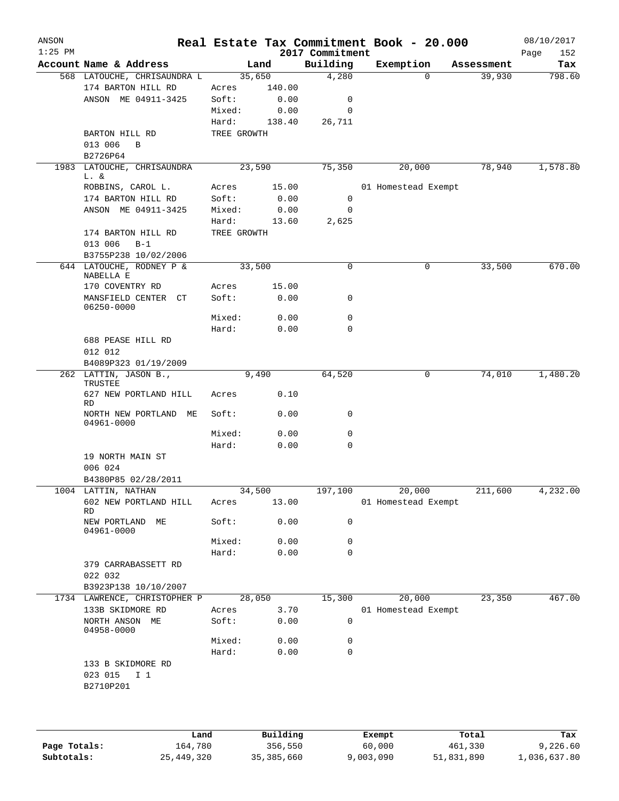| $1:25$ PM |                                               |             |        | 2017 Commitment |                     | Real Estate Tax Commitment Book - 20.000 | 152<br>Page |
|-----------|-----------------------------------------------|-------------|--------|-----------------|---------------------|------------------------------------------|-------------|
|           | Account Name & Address                        |             | Land   | Building        | Exemption           | Assessment                               | Tax         |
|           | 568 LATOUCHE, CHRISAUNDRA L                   |             | 35,650 | 4,280           | $\Omega$            | 39,930                                   | 798.60      |
|           | 174 BARTON HILL RD                            | Acres       | 140.00 |                 |                     |                                          |             |
|           | ANSON ME 04911-3425                           | Soft:       | 0.00   | 0               |                     |                                          |             |
|           |                                               | Mixed:      | 0.00   | 0               |                     |                                          |             |
|           |                                               | Hard:       | 138.40 | 26,711          |                     |                                          |             |
|           | BARTON HILL RD                                | TREE GROWTH |        |                 |                     |                                          |             |
|           | 013 006<br>B                                  |             |        |                 |                     |                                          |             |
|           | B2726P64                                      |             |        |                 |                     |                                          |             |
|           | 1983 LATOUCHE, CHRISAUNDRA                    |             | 23,590 | 75,350          | 20,000              | 78,940                                   | 1,578.80    |
|           | L. &<br>ROBBINS, CAROL L.                     | Acres       | 15.00  |                 | 01 Homestead Exempt |                                          |             |
|           | 174 BARTON HILL RD                            | Soft:       | 0.00   | 0               |                     |                                          |             |
|           | ANSON ME 04911-3425                           | Mixed:      | 0.00   | 0               |                     |                                          |             |
|           |                                               | Hard:       | 13.60  | 2,625           |                     |                                          |             |
|           | 174 BARTON HILL RD                            | TREE GROWTH |        |                 |                     |                                          |             |
|           | 013 006<br>$B-1$                              |             |        |                 |                     |                                          |             |
|           | B3755P238 10/02/2006                          |             |        |                 |                     |                                          |             |
|           | 644 LATOUCHE, RODNEY P &                      |             | 33,500 | 0               | 0                   | 33,500                                   | 670.00      |
|           | NABELLA E                                     |             |        |                 |                     |                                          |             |
|           | 170 COVENTRY RD                               | Acres       | 15.00  |                 |                     |                                          |             |
|           | MANSFIELD CENTER CT<br>06250-0000             | Soft:       | 0.00   | 0               |                     |                                          |             |
|           |                                               | Mixed:      | 0.00   | 0               |                     |                                          |             |
|           |                                               | Hard:       | 0.00   | $\mathbf 0$     |                     |                                          |             |
|           | 688 PEASE HILL RD                             |             |        |                 |                     |                                          |             |
|           | 012 012                                       |             |        |                 |                     |                                          |             |
|           | B4089P323 01/19/2009                          |             |        |                 |                     |                                          |             |
|           | 262 LATTIN, JASON B.,                         |             | 9,490  | 64,520          | 0                   | 74,010                                   | 1,480.20    |
|           | TRUSTEE                                       |             |        |                 |                     |                                          |             |
|           | 627 NEW PORTLAND HILL<br><b>RD</b>            | Acres       | 0.10   |                 |                     |                                          |             |
|           | NORTH NEW PORTLAND ME<br>04961-0000           | Soft:       | 0.00   | 0               |                     |                                          |             |
|           |                                               | Mixed:      | 0.00   | 0               |                     |                                          |             |
|           |                                               | Hard:       | 0.00   | 0               |                     |                                          |             |
|           | 19 NORTH MAIN ST                              |             |        |                 |                     |                                          |             |
|           | 006 024                                       |             |        |                 |                     |                                          |             |
|           | B4380P85 02/28/2011                           |             |        |                 |                     |                                          |             |
|           | 1004 LATTIN, NATHAN                           |             | 34,500 | 197,100         | 20,000              | 211,600                                  | 4,232.00    |
|           | 602 NEW PORTLAND HILL                         | Acres       | 13.00  |                 | 01 Homestead Exempt |                                          |             |
|           | <b>RD</b><br>NEW PORTLAND ME                  | Soft:       | 0.00   | $\mathbf 0$     |                     |                                          |             |
|           | 04961-0000                                    |             |        |                 |                     |                                          |             |
|           |                                               | Mixed:      | 0.00   | 0               |                     |                                          |             |
|           |                                               | Hard:       | 0.00   | 0               |                     |                                          |             |
|           | 379 CARRABASSETT RD                           |             |        |                 |                     |                                          |             |
|           | 022 032                                       |             |        |                 |                     |                                          |             |
|           | B3923P138 10/10/2007                          |             |        |                 |                     |                                          |             |
|           | 1734 LAWRENCE, CHRISTOPHER P                  |             | 28,050 | 15,300          | 20,000              | 23,350                                   | 467.00      |
|           | 133B SKIDMORE RD                              | Acres       | 3.70   |                 | 01 Homestead Exempt |                                          |             |
|           | NORTH ANSON ME<br>04958-0000                  | Soft:       | 0.00   | 0               |                     |                                          |             |
|           |                                               | Mixed:      | 0.00   | 0               |                     |                                          |             |
|           |                                               | Hard:       | 0.00   | $\mathbf 0$     |                     |                                          |             |
|           | 133 B SKIDMORE RD<br>023 015 I 1<br>B2710P201 |             |        |                 |                     |                                          |             |

|              | Land       | Building     | Exempt    | Total      | Tax          |
|--------------|------------|--------------|-----------|------------|--------------|
| Page Totals: | 164,780    | 356,550      | 60,000    | 461,330    | 9,226.60     |
| Subtotals:   | 25,449,320 | 35, 385, 660 | 9,003,090 | 51,831,890 | 1,036,637.80 |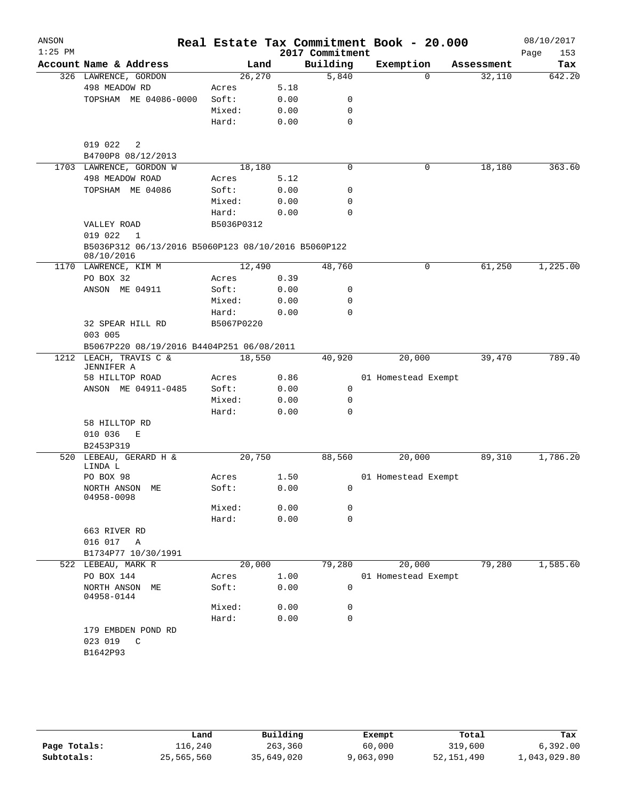| ANSON<br>$1:25$ PM |                                                                   |            |      | Real Estate Tax Commitment Book - 20.000 |                     |            | 08/10/2017         |
|--------------------|-------------------------------------------------------------------|------------|------|------------------------------------------|---------------------|------------|--------------------|
|                    | Account Name & Address                                            | Land       |      | 2017 Commitment<br>Building              | Exemption           | Assessment | Page<br>153<br>Tax |
|                    | 326 LAWRENCE, GORDON                                              | 26,270     |      | 5,840                                    | $\Omega$            | 32,110     | 642.20             |
|                    | 498 MEADOW RD                                                     | Acres      | 5.18 |                                          |                     |            |                    |
|                    | TOPSHAM ME 04086-0000                                             | Soft:      | 0.00 | 0                                        |                     |            |                    |
|                    |                                                                   | Mixed:     | 0.00 | 0                                        |                     |            |                    |
|                    |                                                                   | Hard:      | 0.00 | $\mathbf 0$                              |                     |            |                    |
|                    | 019 022<br>$\overline{\phantom{0}}^2$                             |            |      |                                          |                     |            |                    |
|                    | B4700P8 08/12/2013                                                |            |      |                                          |                     |            |                    |
|                    | 1703 LAWRENCE, GORDON W                                           | 18,180     |      | 0                                        | 0                   | 18, 180    | 363.60             |
|                    | 498 MEADOW ROAD                                                   | Acres      | 5.12 |                                          |                     |            |                    |
|                    | TOPSHAM ME 04086                                                  | Soft:      | 0.00 | 0                                        |                     |            |                    |
|                    |                                                                   | Mixed:     | 0.00 | 0                                        |                     |            |                    |
|                    |                                                                   | Hard:      | 0.00 | $\Omega$                                 |                     |            |                    |
|                    | VALLEY ROAD                                                       | B5036P0312 |      |                                          |                     |            |                    |
|                    | 019 022<br>$\mathbf{1}$                                           |            |      |                                          |                     |            |                    |
|                    | B5036P312 06/13/2016 B5060P123 08/10/2016 B5060P122<br>08/10/2016 |            |      |                                          |                     |            |                    |
|                    | 1170 LAWRENCE, KIM M                                              | 12,490     |      | 48,760                                   | 0                   | 61,250     | 1,225.00           |
|                    | PO BOX 32                                                         | Acres      | 0.39 |                                          |                     |            |                    |
|                    | ANSON ME 04911                                                    | Soft:      | 0.00 | 0                                        |                     |            |                    |
|                    |                                                                   | Mixed:     | 0.00 | $\mathbf 0$                              |                     |            |                    |
|                    |                                                                   | Hard:      | 0.00 | $\Omega$                                 |                     |            |                    |
|                    | 32 SPEAR HILL RD                                                  | B5067P0220 |      |                                          |                     |            |                    |
|                    | 003 005                                                           |            |      |                                          |                     |            |                    |
|                    | B5067P220 08/19/2016 B4404P251 06/08/2011                         |            |      |                                          |                     |            |                    |
|                    | 1212 LEACH, TRAVIS C &<br>JENNIFER A                              | 18,550     |      | 40,920                                   | 20,000              | 39,470     | 789.40             |
|                    | 58 HILLTOP ROAD                                                   | Acres      | 0.86 |                                          | 01 Homestead Exempt |            |                    |
|                    | ANSON ME 04911-0485                                               | Soft:      | 0.00 | 0                                        |                     |            |                    |
|                    |                                                                   | Mixed:     | 0.00 | 0                                        |                     |            |                    |
|                    |                                                                   | Hard:      | 0.00 | $\mathbf 0$                              |                     |            |                    |
|                    | 58 HILLTOP RD                                                     |            |      |                                          |                     |            |                    |
|                    | 010 036<br>Е                                                      |            |      |                                          |                     |            |                    |
|                    | B2453P319                                                         |            |      |                                          |                     |            |                    |
|                    | 520 LEBEAU, GERARD H &<br>LINDA L                                 | 20,750     |      | 88,560                                   | 20,000              | 89,310     | 1,786.20           |
|                    | PO BOX 98                                                         | Acres      | 1.50 |                                          | 01 Homestead Exempt |            |                    |
|                    | NORTH ANSON ME<br>04958-0098                                      | Soft:      | 0.00 | $\overline{\phantom{0}}$                 |                     |            |                    |
|                    |                                                                   | Mixed:     | 0.00 | 0                                        |                     |            |                    |
|                    |                                                                   | Hard:      | 0.00 | $\mathbf 0$                              |                     |            |                    |
|                    | 663 RIVER RD                                                      |            |      |                                          |                     |            |                    |
|                    | 016 017 A                                                         |            |      |                                          |                     |            |                    |
|                    | B1734P77 10/30/1991                                               |            |      |                                          |                     |            |                    |
|                    | 522 LEBEAU, MARK R                                                | 20,000     |      | 79,280                                   | 20,000              | 79,280     | 1,585.60           |
|                    | PO BOX 144                                                        | Acres      | 1.00 |                                          | 01 Homestead Exempt |            |                    |
|                    | NORTH ANSON ME<br>04958-0144                                      | Soft:      | 0.00 | 0                                        |                     |            |                    |
|                    |                                                                   | Mixed:     | 0.00 | 0                                        |                     |            |                    |
|                    |                                                                   | Hard:      | 0.00 | $\mathbf 0$                              |                     |            |                    |
|                    | 179 EMBDEN POND RD                                                |            |      |                                          |                     |            |                    |
|                    | 023 019 C                                                         |            |      |                                          |                     |            |                    |
|                    | B1642P93                                                          |            |      |                                          |                     |            |                    |
|                    |                                                                   |            |      |                                          |                     |            |                    |
|                    |                                                                   |            |      |                                          |                     |            |                    |

|              | Land       | Building   | Exempt    | Total        | Tax          |
|--------------|------------|------------|-----------|--------------|--------------|
| Page Totals: | 116,240    | 263,360    | 60,000    | 319,600      | 6,392,00     |
| Subtotals:   | 25,565,560 | 35,649,020 | 9,063,090 | 52, 151, 490 | 1,043,029.80 |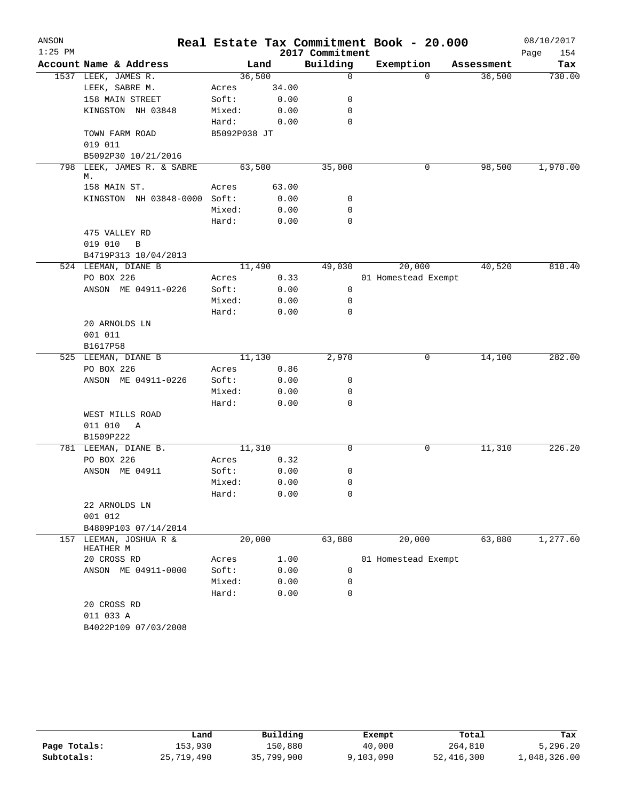| ANSON<br>$1:25$ PM |                                   |                |       | 2017 Commitment | Real Estate Tax Commitment Book - 20.000 |            | 08/10/2017<br>Page<br>154 |
|--------------------|-----------------------------------|----------------|-------|-----------------|------------------------------------------|------------|---------------------------|
|                    | Account Name & Address            |                | Land  | Building        | Exemption                                | Assessment | Tax                       |
|                    | 1537 LEEK, JAMES R.               | 36,500         |       | 0               | $\Omega$                                 | 36,500     | 730.00                    |
|                    | LEEK, SABRE M.                    | Acres          | 34.00 |                 |                                          |            |                           |
|                    | 158 MAIN STREET                   | Soft:          | 0.00  | 0               |                                          |            |                           |
|                    | KINGSTON NH 03848                 | Mixed:         | 0.00  | 0               |                                          |            |                           |
|                    |                                   | Hard:          | 0.00  | $\mathbf 0$     |                                          |            |                           |
|                    | TOWN FARM ROAD                    | B5092P038 JT   |       |                 |                                          |            |                           |
|                    | 019 011                           |                |       |                 |                                          |            |                           |
|                    | B5092P30 10/21/2016               |                |       |                 |                                          |            |                           |
| 798                | LEEK, JAMES R. & SABRE<br>М.      | 63,500         |       | 35,000          | 0                                        | 98,500     | 1,970.00                  |
|                    | 158 MAIN ST.                      | Acres          | 63.00 |                 |                                          |            |                           |
|                    | KINGSTON NH 03848-0000 Soft:      |                | 0.00  | 0               |                                          |            |                           |
|                    |                                   | Mixed:         | 0.00  | 0               |                                          |            |                           |
|                    |                                   | Hard:          | 0.00  | $\mathbf 0$     |                                          |            |                           |
|                    | 475 VALLEY RD                     |                |       |                 |                                          |            |                           |
|                    | 019 010<br>B                      |                |       |                 |                                          |            |                           |
|                    | B4719P313 10/04/2013              | 11,490         |       | 49,030          |                                          |            | 810.40                    |
|                    | 524 LEEMAN, DIANE B<br>PO BOX 226 |                | 0.33  |                 | 20,000                                   | 40,520     |                           |
|                    | ANSON ME 04911-0226               | Acres<br>Soft: | 0.00  | 0               | 01 Homestead Exempt                      |            |                           |
|                    |                                   | Mixed:         | 0.00  | 0               |                                          |            |                           |
|                    |                                   | Hard:          | 0.00  | 0               |                                          |            |                           |
|                    | 20 ARNOLDS LN                     |                |       |                 |                                          |            |                           |
|                    | 001 011                           |                |       |                 |                                          |            |                           |
|                    | B1617P58                          |                |       |                 |                                          |            |                           |
|                    | 525 LEEMAN, DIANE B               | 11,130         |       | 2,970           | 0                                        | 14,100     | 282.00                    |
|                    | PO BOX 226                        | Acres          | 0.86  |                 |                                          |            |                           |
|                    | ANSON ME 04911-0226               | Soft:          | 0.00  | 0               |                                          |            |                           |
|                    |                                   | Mixed:         | 0.00  | 0               |                                          |            |                           |
|                    |                                   | Hard:          | 0.00  | 0               |                                          |            |                           |
|                    | WEST MILLS ROAD                   |                |       |                 |                                          |            |                           |
|                    | 011 010<br>Α                      |                |       |                 |                                          |            |                           |
|                    | B1509P222                         |                |       |                 |                                          |            |                           |
|                    | 781 LEEMAN, DIANE B.              | 11,310         |       | 0               | 0                                        | 11,310     | 226.20                    |
|                    | PO BOX 226                        | Acres          | 0.32  |                 |                                          |            |                           |
|                    | ANSON ME 04911                    | Soft:          | 0.00  | 0               |                                          |            |                           |
|                    |                                   | Mixed:         | 0.00  | 0               |                                          |            |                           |
|                    |                                   | Hard:          | 0.00  | 0               |                                          |            |                           |
|                    | 22 ARNOLDS LN                     |                |       |                 |                                          |            |                           |
|                    | 001 012<br>B4809P103 07/14/2014   |                |       |                 |                                          |            |                           |
| 157                | LEEMAN, JOSHUA R &                | 20,000         |       | 63,880          | 20,000                                   | 63,880     | 1,277.60                  |
|                    | HEATHER M                         |                |       |                 |                                          |            |                           |
|                    | 20 CROSS RD                       | Acres          | 1.00  |                 | 01 Homestead Exempt                      |            |                           |
|                    | ANSON ME 04911-0000               | Soft:          | 0.00  | 0               |                                          |            |                           |
|                    |                                   | Mixed:         | 0.00  | 0               |                                          |            |                           |
|                    |                                   | Hard:          | 0.00  | 0               |                                          |            |                           |
|                    | 20 CROSS RD<br>011 033 A          |                |       |                 |                                          |            |                           |
|                    | B4022P109 07/03/2008              |                |       |                 |                                          |            |                           |
|                    |                                   |                |       |                 |                                          |            |                           |

|              | ⊥and       | Building   | Exempt    | Total      | Tax          |
|--------------|------------|------------|-----------|------------|--------------|
| Page Totals: | 153,930    | 150,880    | 40,000    | 264,810    | 5,296.20     |
| Subtotals:   | 25,719,490 | 35,799,900 | 9,103,090 | 52,416,300 | 1,048,326.00 |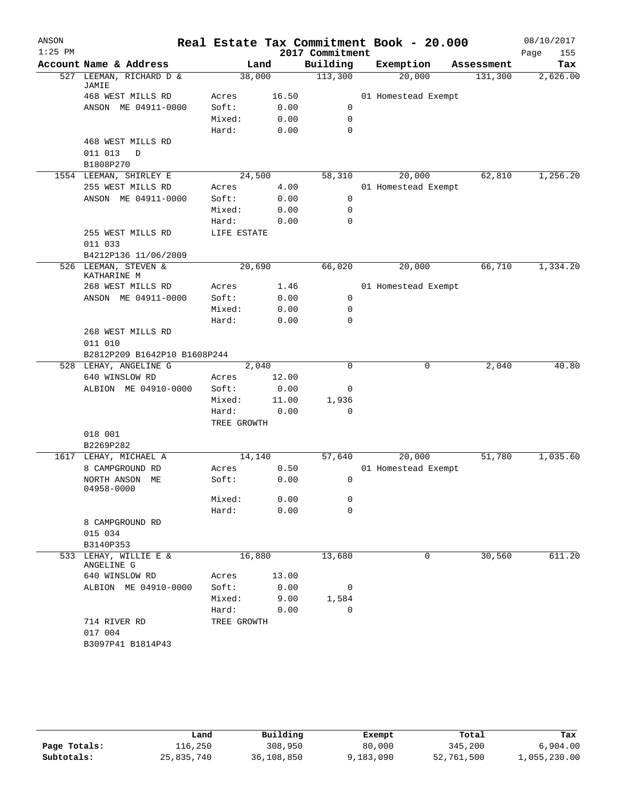| ANSON<br>$1:25$ PM |                                     |                      |       | 2017 Commitment | Real Estate Tax Commitment Book - 20.000 |            | 08/10/2017<br>Page<br>155 |
|--------------------|-------------------------------------|----------------------|-------|-----------------|------------------------------------------|------------|---------------------------|
|                    | Account Name & Address              |                      | Land  | Building        | Exemption                                | Assessment | Tax                       |
| 527                | LEEMAN, RICHARD D &<br>JAMIE        | 38,000               |       | 113,300         | 20,000                                   | 131,300    | 2,626.00                  |
|                    | 468 WEST MILLS RD                   | Acres                | 16.50 |                 | 01 Homestead Exempt                      |            |                           |
|                    | ANSON ME 04911-0000                 | Soft:                | 0.00  | 0               |                                          |            |                           |
|                    |                                     | Mixed:               | 0.00  | 0               |                                          |            |                           |
|                    |                                     | Hard:                | 0.00  | 0               |                                          |            |                           |
|                    | 468 WEST MILLS RD                   |                      |       |                 |                                          |            |                           |
|                    | 011 013<br>D                        |                      |       |                 |                                          |            |                           |
|                    | B1808P270                           |                      |       |                 |                                          |            |                           |
|                    | 1554 LEEMAN, SHIRLEY E              | 24,500               |       | 58,310          | 20,000                                   | 62,810     | 1,256.20                  |
|                    | 255 WEST MILLS RD                   | Acres                | 4.00  |                 | 01 Homestead Exempt                      |            |                           |
|                    | ANSON ME 04911-0000                 | Soft:                | 0.00  | 0               |                                          |            |                           |
|                    |                                     | Mixed:               | 0.00  | $\mathbf 0$     |                                          |            |                           |
|                    |                                     | Hard:                | 0.00  | $\mathbf 0$     |                                          |            |                           |
|                    | 255 WEST MILLS RD<br>011 033        | LIFE ESTATE          |       |                 |                                          |            |                           |
|                    | B4212P136 11/06/2009                |                      |       |                 |                                          |            |                           |
|                    | 526 LEEMAN, STEVEN &<br>KATHARINE M | 20,690               |       | 66,020          | 20,000                                   | 66,710     | 1,334.20                  |
|                    | 268 WEST MILLS RD                   | Acres                | 1.46  |                 | 01 Homestead Exempt                      |            |                           |
|                    | ANSON ME 04911-0000                 | Soft:                | 0.00  | 0               |                                          |            |                           |
|                    |                                     | Mixed:               | 0.00  | 0               |                                          |            |                           |
|                    |                                     | Hard:                | 0.00  | $\mathbf 0$     |                                          |            |                           |
|                    | 268 WEST MILLS RD<br>011 010        |                      |       |                 |                                          |            |                           |
|                    | B2812P209 B1642P10 B1608P244        |                      |       |                 |                                          |            |                           |
|                    | 528 LEHAY, ANGELINE G               |                      | 2,040 | 0               | 0                                        | 2,040      | 40.80                     |
|                    | 640 WINSLOW RD                      | Acres                | 12.00 |                 |                                          |            |                           |
|                    | ALBION ME 04910-0000                | Soft:                | 0.00  | 0               |                                          |            |                           |
|                    |                                     | Mixed:               | 11.00 | 1,936           |                                          |            |                           |
|                    |                                     | Hard:<br>TREE GROWTH | 0.00  | 0               |                                          |            |                           |
|                    | 018 001                             |                      |       |                 |                                          |            |                           |
|                    | B2269P282                           |                      |       |                 |                                          |            |                           |
| 1617               | LEHAY, MICHAEL A                    | 14,140               |       | 57,640          | 20,000                                   | 51,780     | 1,035.60                  |
|                    | 8 CAMPGROUND RD                     | Acres                | 0.50  |                 | 01 Homestead Exempt                      |            |                           |
|                    | NORTH ANSON ME<br>04958-0000        | Soft:                | 0.00  | 0               |                                          |            |                           |
|                    |                                     | Mixed:               | 0.00  | 0               |                                          |            |                           |
|                    |                                     | Hard:                | 0.00  | 0               |                                          |            |                           |
|                    | 8 CAMPGROUND RD                     |                      |       |                 |                                          |            |                           |
|                    | 015 034                             |                      |       |                 |                                          |            |                           |
|                    | B3140P353                           |                      |       |                 |                                          |            |                           |
| 533                | LEHAY, WILLIE E &<br>ANGELINE G     | 16,880               |       | 13,680          | 0                                        | 30,560     | 611.20                    |
|                    | 640 WINSLOW RD                      | Acres                | 13.00 |                 |                                          |            |                           |
|                    | ALBION ME 04910-0000                | Soft:                | 0.00  | 0               |                                          |            |                           |
|                    |                                     | Mixed:               | 9.00  | 1,584           |                                          |            |                           |
|                    |                                     | Hard:                | 0.00  | 0               |                                          |            |                           |
|                    | 714 RIVER RD<br>017 004             | TREE GROWTH          |       |                 |                                          |            |                           |
|                    | B3097P41 B1814P43                   |                      |       |                 |                                          |            |                           |

|              | Land       | Building   | Exempt    | Total      | Tax          |
|--------------|------------|------------|-----------|------------|--------------|
| Page Totals: | 116,250    | 308,950    | 80,000    | 345,200    | 6,904.00     |
| Subtotals:   | 25,835,740 | 36,108,850 | 9,183,090 | 52,761,500 | 1,055,230.00 |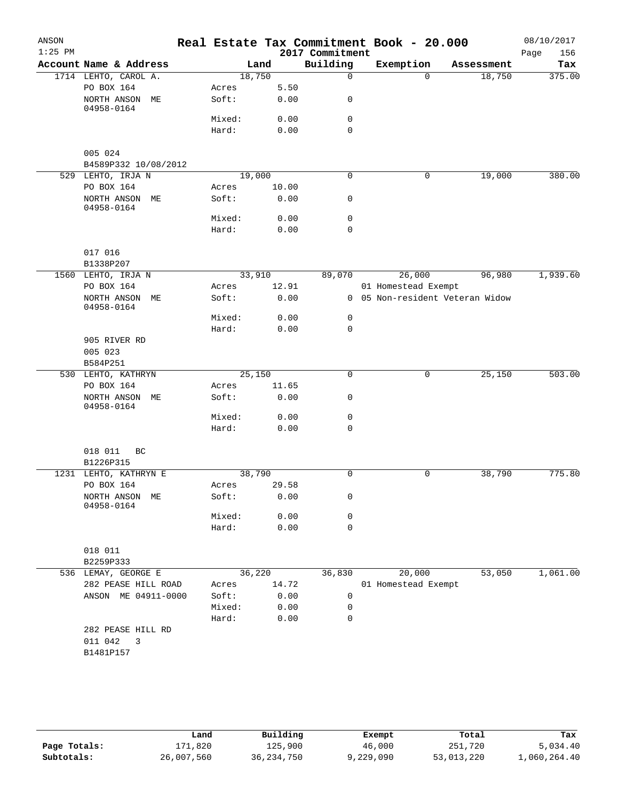|                 |                          | 2017 Commitment |                                                   | Real Estate Tax Commitment Book - 20.000 | 08/10/2017<br>Page<br>156 |
|-----------------|--------------------------|-----------------|---------------------------------------------------|------------------------------------------|---------------------------|
|                 | Land                     | Building        | Exemption                                         | Assessment                               | Tax                       |
|                 | 18,750                   | $\Omega$        | $\Omega$                                          | 18,750                                   | 375.00                    |
| Acres           | 5.50                     |                 |                                                   |                                          |                           |
| Soft:           | 0.00                     | 0               |                                                   |                                          |                           |
| Mixed:          | 0.00                     | 0               |                                                   |                                          |                           |
| Hard:           | 0.00                     | $\mathbf 0$     |                                                   |                                          |                           |
|                 |                          |                 |                                                   |                                          |                           |
|                 |                          |                 |                                                   |                                          |                           |
|                 | 19,000                   | 0               | 0                                                 | 19,000                                   | 380.00                    |
| Acres<br>Soft:  | 10.00<br>0.00            | 0               |                                                   |                                          |                           |
|                 |                          |                 |                                                   |                                          |                           |
| Mixed:<br>Hard: | 0.00<br>0.00             | 0<br>0          |                                                   |                                          |                           |
|                 |                          |                 |                                                   |                                          |                           |
|                 |                          |                 |                                                   |                                          |                           |
|                 | 33,910                   | 89,070          | 26,000                                            | 96,980                                   | 1,939.60                  |
| Acres           | 12.91                    |                 | 01 Homestead Exempt                               |                                          |                           |
| Soft:           | 0.00                     |                 |                                                   | 0 05 Non-resident Veteran Widow          |                           |
|                 |                          |                 |                                                   |                                          |                           |
| Mixed:          | 0.00                     | $\mathsf{O}$    |                                                   |                                          |                           |
| Hard:           | 0.00                     | $\mathbf 0$     |                                                   |                                          |                           |
|                 |                          |                 |                                                   |                                          |                           |
|                 |                          |                 |                                                   |                                          |                           |
|                 | 25,150                   | 0               | 0                                                 | 25,150                                   | 503.00                    |
| Acres           | 11.65                    |                 |                                                   |                                          |                           |
| Soft:           | 0.00                     | 0               |                                                   |                                          |                           |
| Mixed:          | 0.00                     | 0               |                                                   |                                          |                           |
| Hard:           | 0.00                     | $\mathbf 0$     |                                                   |                                          |                           |
|                 |                          |                 |                                                   |                                          |                           |
|                 |                          |                 |                                                   |                                          |                           |
|                 | 38,790                   | 0               | 0                                                 | 38,790                                   | 775.80                    |
| Acres<br>Soft:  | 29.58<br>0.00            | 0               |                                                   |                                          |                           |
| Mixed:          | 0.00                     | 0               |                                                   |                                          |                           |
| Hard:           | 0.00                     | $\mathbf 0$     |                                                   |                                          |                           |
|                 |                          |                 |                                                   |                                          |                           |
|                 |                          |                 |                                                   |                                          |                           |
|                 | 36,220                   | 36,830          | 20,000                                            | 53,050                                   | 1,061.00                  |
| Acres           |                          |                 |                                                   |                                          |                           |
|                 |                          |                 |                                                   |                                          |                           |
|                 |                          | 0               |                                                   |                                          |                           |
|                 |                          |                 |                                                   |                                          |                           |
|                 |                          |                 |                                                   |                                          |                           |
|                 |                          |                 |                                                   |                                          |                           |
|                 | Soft:<br>Mixed:<br>Hard: |                 | 14.72<br>0.00<br>0<br>0.00<br>0.00<br>$\mathbf 0$ |                                          | 01 Homestead Exempt       |

|              | Land       | Building     | Exempt    | Total      | Tax          |
|--------------|------------|--------------|-----------|------------|--------------|
| Page Totals: | 171,820    | 125,900      | 46,000    | 251,720    | 5,034.40     |
| Subtotals:   | 26,007,560 | 36, 234, 750 | 9,229,090 | 53,013,220 | 1,060,264.40 |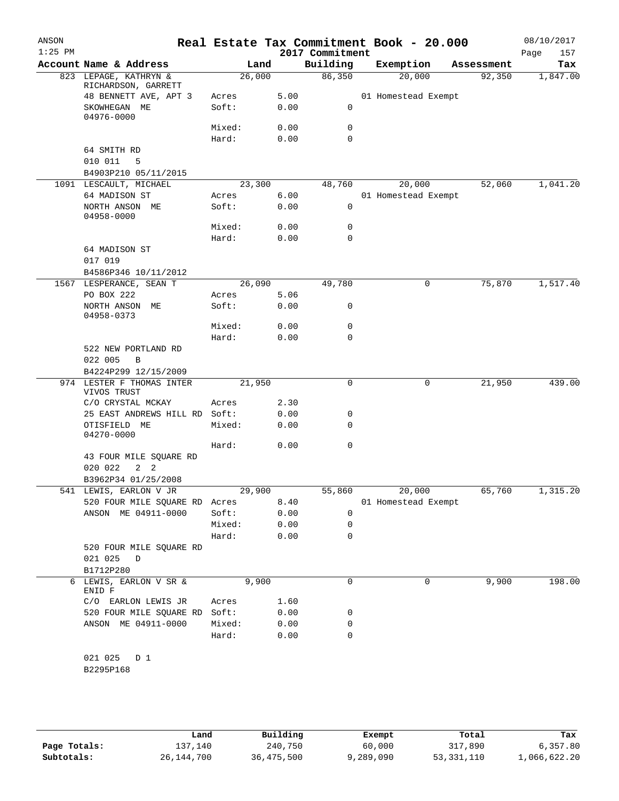| ANSON<br>$1:25$ PM |                                                       |                 |              | 2017 Commitment | Real Estate Tax Commitment Book - 20.000 |            | 08/10/2017<br>Page<br>157 |
|--------------------|-------------------------------------------------------|-----------------|--------------|-----------------|------------------------------------------|------------|---------------------------|
|                    | Account Name & Address                                | Land            |              | Building        | Exemption                                | Assessment | Tax                       |
|                    | 823 LEPAGE, KATHRYN &<br>RICHARDSON, GARRETT          | 26,000          |              | 86,350          | 20,000                                   | 92,350     | 1,847.00                  |
|                    | 48 BENNETT AVE, APT 3                                 | Acres           | 5.00         |                 | 01 Homestead Exempt                      |            |                           |
|                    | SKOWHEGAN ME<br>04976-0000                            | Soft:           | 0.00         | 0               |                                          |            |                           |
|                    |                                                       | Mixed:          | 0.00         | 0               |                                          |            |                           |
|                    |                                                       | Hard:           | 0.00         | $\Omega$        |                                          |            |                           |
|                    | 64 SMITH RD                                           |                 |              |                 |                                          |            |                           |
|                    | 010 011<br>5                                          |                 |              |                 |                                          |            |                           |
|                    | B4903P210 05/11/2015                                  |                 |              |                 |                                          |            |                           |
|                    | 1091 LESCAULT, MICHAEL<br>64 MADISON ST               | 23,300<br>Acres | 6.00         | 48,760          | 20,000<br>01 Homestead Exempt            | 52,060     | 1,041.20                  |
|                    | NORTH ANSON ME<br>04958-0000                          | Soft:           | 0.00         | 0               |                                          |            |                           |
|                    |                                                       | Mixed:          | 0.00         | 0               |                                          |            |                           |
|                    |                                                       | Hard:           | 0.00         | 0               |                                          |            |                           |
|                    | 64 MADISON ST<br>017 019                              |                 |              |                 |                                          |            |                           |
|                    | B4586P346 10/11/2012                                  |                 |              |                 |                                          |            |                           |
|                    | 1567 LESPERANCE, SEAN T                               | 26,090          |              | 49,780          | 0                                        | 75,870     | 1,517.40                  |
|                    | PO BOX 222<br>NORTH ANSON ME<br>04958-0373            | Acres<br>Soft:  | 5.06<br>0.00 | 0               |                                          |            |                           |
|                    |                                                       | Mixed:          | 0.00         | 0               |                                          |            |                           |
|                    |                                                       | Hard:           | 0.00         | 0               |                                          |            |                           |
|                    | 522 NEW PORTLAND RD<br>022 005<br>B                   |                 |              |                 |                                          |            |                           |
|                    | B4224P299 12/15/2009                                  |                 |              |                 |                                          |            |                           |
|                    | 974 LESTER F THOMAS INTER<br>VIVOS TRUST              | 21,950          |              | 0               | 0                                        | 21,950     | 439.00                    |
|                    | C/O CRYSTAL MCKAY                                     | Acres           | 2.30         |                 |                                          |            |                           |
|                    | 25 EAST ANDREWS HILL RD                               | Soft:           | 0.00         | 0               |                                          |            |                           |
|                    | OTISFIELD ME<br>04270-0000                            | Mixed:          | 0.00         | 0               |                                          |            |                           |
|                    |                                                       | Hard:           | 0.00         | 0               |                                          |            |                           |
|                    | 43 FOUR MILE SQUARE RD<br>020 022<br>$2 \quad 2$      |                 |              |                 |                                          |            |                           |
|                    | B3962P34 01/25/2008                                   |                 |              |                 |                                          |            |                           |
|                    | 541 LEWIS, EARLON V JR                                | 29,900          |              | 55,860          | 20,000                                   | 65,760     | 1,315.20                  |
|                    | 520 FOUR MILE SQUARE RD Acres                         |                 | 8.40         |                 | 01 Homestead Exempt                      |            |                           |
|                    | ANSON ME 04911-0000                                   | Soft:           | 0.00         | $\mathbf 0$     |                                          |            |                           |
|                    |                                                       | Mixed:          | 0.00         | 0               |                                          |            |                           |
|                    |                                                       | Hard:           | 0.00         | 0               |                                          |            |                           |
|                    | 520 FOUR MILE SQUARE RD<br>021 025 D                  |                 |              |                 |                                          |            |                           |
|                    | B1712P280                                             |                 |              |                 |                                          |            |                           |
| 6                  | LEWIS, EARLON V SR &<br>ENID F<br>C/O EARLON LEWIS JR | 9,900<br>Acres  | 1.60         | 0               | 0                                        | 9,900      | 198.00                    |
|                    | 520 FOUR MILE SQUARE RD Soft:                         |                 | 0.00         | 0               |                                          |            |                           |
|                    | ANSON ME 04911-0000                                   | Mixed:          | 0.00         | 0               |                                          |            |                           |
|                    |                                                       | Hard:           | 0.00         | 0               |                                          |            |                           |
|                    | 021 025 D 1<br>B2295P168                              |                 |              |                 |                                          |            |                           |
|                    |                                                       |                 |              |                 |                                          |            |                           |

|              | Land         | Building   | Exempt    | Total        | Tax          |
|--------------|--------------|------------|-----------|--------------|--------------|
| Page Totals: | 137,140      | 240,750    | 60,000    | 317,890      | 6,357.80     |
| Subtotals:   | 26, 144, 700 | 36,475,500 | 9,289,090 | 53, 331, 110 | 1,066,622.20 |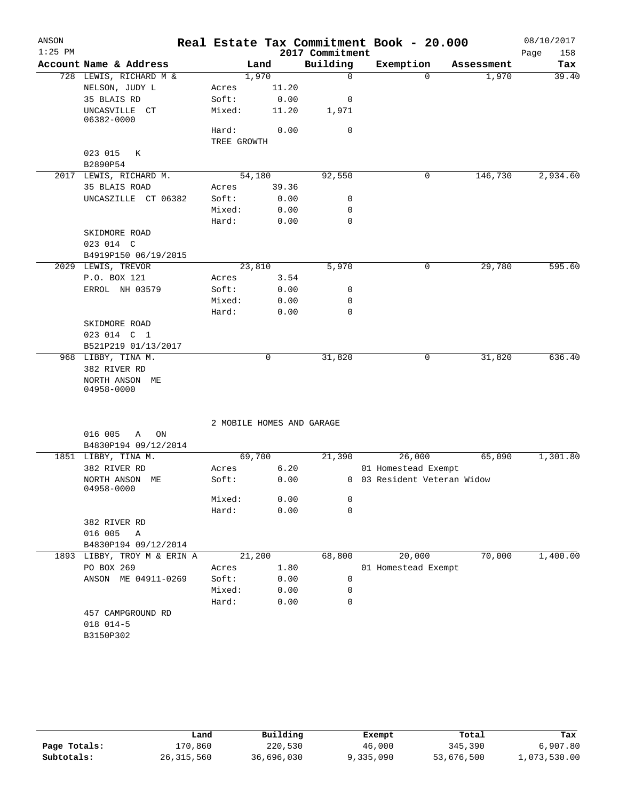| ANSON<br>$1:25$ PM |                                   |                           |       | 2017 Commitment | Real Estate Tax Commitment Book - 20.000 |            | 08/10/2017<br>Page<br>158 |
|--------------------|-----------------------------------|---------------------------|-------|-----------------|------------------------------------------|------------|---------------------------|
|                    | Account Name & Address            |                           | Land  | Building        | Exemption                                | Assessment | Tax                       |
|                    | 728 LEWIS, RICHARD M &            | 1,970                     |       | $\mathbf 0$     | 0                                        | 1,970      | 39.40                     |
|                    | NELSON, JUDY L                    | Acres                     | 11.20 |                 |                                          |            |                           |
|                    | 35 BLAIS RD                       | Soft:                     | 0.00  | 0               |                                          |            |                           |
|                    | UNCASVILLE CT<br>06382-0000       | Mixed:                    | 11.20 | 1,971           |                                          |            |                           |
|                    |                                   | Hard:                     | 0.00  | 0               |                                          |            |                           |
|                    |                                   | TREE GROWTH               |       |                 |                                          |            |                           |
|                    | 023 015<br>К                      |                           |       |                 |                                          |            |                           |
|                    | B2890P54                          |                           |       |                 |                                          |            |                           |
|                    | 2017 LEWIS, RICHARD M.            | 54,180                    |       | 92,550          | 0                                        | 146,730    | 2,934.60                  |
|                    | 35 BLAIS ROAD                     | Acres                     | 39.36 |                 |                                          |            |                           |
|                    | UNCASZILLE CT 06382               | Soft:                     | 0.00  | 0               |                                          |            |                           |
|                    |                                   | Mixed:                    | 0.00  | 0               |                                          |            |                           |
|                    |                                   | Hard:                     | 0.00  | 0               |                                          |            |                           |
|                    | SKIDMORE ROAD                     |                           |       |                 |                                          |            |                           |
|                    | 023 014 C                         |                           |       |                 |                                          |            |                           |
|                    | B4919P150 06/19/2015              |                           |       |                 |                                          |            |                           |
|                    | 2029 LEWIS, TREVOR                | 23,810                    |       | 5,970           | 0                                        | 29,780     | 595.60                    |
|                    | P.O. BOX 121                      | Acres                     | 3.54  |                 |                                          |            |                           |
|                    | ERROL NH 03579                    | Soft:                     | 0.00  | 0               |                                          |            |                           |
|                    |                                   | Mixed:                    | 0.00  | 0               |                                          |            |                           |
|                    |                                   | Hard:                     | 0.00  | $\mathbf 0$     |                                          |            |                           |
|                    | SKIDMORE ROAD                     |                           |       |                 |                                          |            |                           |
|                    | 023 014 C 1                       |                           |       |                 |                                          |            |                           |
|                    | B521P219 01/13/2017               |                           |       |                 |                                          |            |                           |
|                    | 968 LIBBY, TINA M.                |                           | 0     | 31,820          | 0                                        | 31,820     | 636.40                    |
|                    | 382 RIVER RD                      |                           |       |                 |                                          |            |                           |
|                    | NORTH ANSON ME                    |                           |       |                 |                                          |            |                           |
|                    | 04958-0000                        |                           |       |                 |                                          |            |                           |
|                    |                                   | 2 MOBILE HOMES AND GARAGE |       |                 |                                          |            |                           |
|                    | 016 005<br>ON<br>Α                |                           |       |                 |                                          |            |                           |
|                    | B4830P194 09/12/2014              |                           |       |                 |                                          |            |                           |
|                    | 1851 LIBBY, TINA M.               | 69,700                    |       | 21,390          | 26,000                                   | 65,090     | 1,301.80                  |
|                    | 382 RIVER RD                      | Acres                     | 6.20  |                 | 01 Homestead Exempt                      |            |                           |
|                    | NORTH ANSON ME                    | Soft:                     | 0.00  |                 | 0 03 Resident Veteran Widow              |            |                           |
|                    | 04958-0000                        | Mixed:                    | 0.00  | 0               |                                          |            |                           |
|                    |                                   | Hard:                     | 0.00  | 0               |                                          |            |                           |
|                    | 382 RIVER RD                      |                           |       |                 |                                          |            |                           |
|                    | 016 005<br>Α                      |                           |       |                 |                                          |            |                           |
|                    | B4830P194 09/12/2014              |                           |       |                 |                                          |            |                           |
|                    |                                   |                           |       |                 |                                          |            |                           |
|                    | 1893 LIBBY, TROY M & ERIN A       | 21,200                    |       | 68,800          | 20,000                                   | 70,000     | 1,400.00                  |
|                    | PO BOX 269<br>ANSON ME 04911-0269 | Acres                     | 1.80  |                 | 01 Homestead Exempt                      |            |                           |
|                    |                                   | Soft:                     | 0.00  | 0               |                                          |            |                           |
|                    |                                   | Mixed:                    | 0.00  | 0               |                                          |            |                           |
|                    |                                   | Hard:                     | 0.00  | 0               |                                          |            |                           |
|                    | 457 CAMPGROUND RD                 |                           |       |                 |                                          |            |                           |
|                    | 018 014-5                         |                           |       |                 |                                          |            |                           |
|                    | B3150P302                         |                           |       |                 |                                          |            |                           |
|                    |                                   |                           |       |                 |                                          |            |                           |

|              | Land         | Building   | Exempt    | Total      | Tax          |
|--------------|--------------|------------|-----------|------------|--------------|
| Page Totals: | 170.860      | 220,530    | 46,000    | 345,390    | 6,907.80     |
| Subtotals:   | 26, 315, 560 | 36,696,030 | 9,335,090 | 53,676,500 | L,073,530.00 |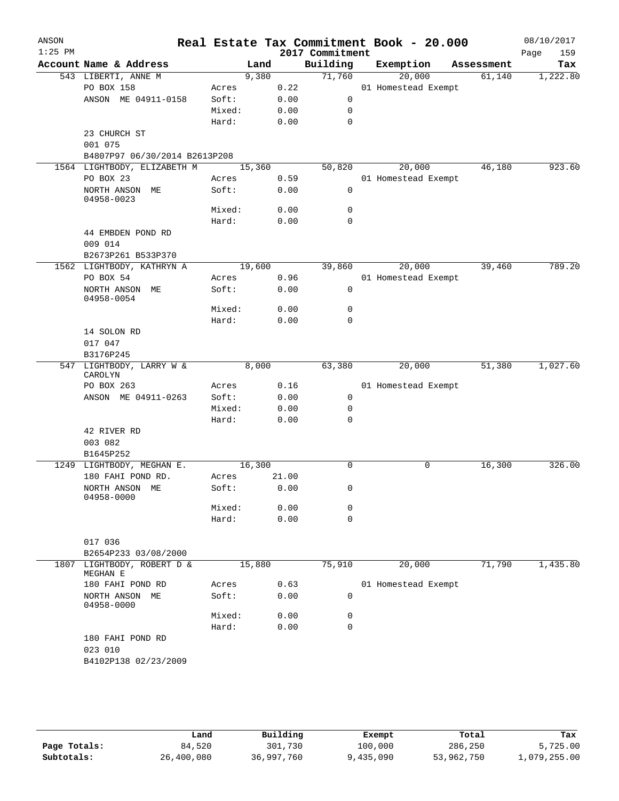| ANSON<br>$1:25$ PM |                                                    |            |        |       | 2017 Commitment | Real Estate Tax Commitment Book - 20.000 |            | 08/10/2017<br>159<br>Page |
|--------------------|----------------------------------------------------|------------|--------|-------|-----------------|------------------------------------------|------------|---------------------------|
|                    | Account Name & Address                             |            | Land   |       | Building        | Exemption                                | Assessment | Tax                       |
|                    | 543 LIBERTI, ANNE M                                |            | 9,380  |       | 71,760          | 20,000                                   | 61,140     | 1,222.80                  |
|                    | PO BOX 158                                         | Acres      |        | 0.22  |                 | 01 Homestead Exempt                      |            |                           |
|                    | ANSON ME 04911-0158                                | Soft:      |        | 0.00  | $\mathsf{O}$    |                                          |            |                           |
|                    |                                                    | Mixed:     |        | 0.00  | 0               |                                          |            |                           |
|                    |                                                    | Hard:      |        | 0.00  | 0               |                                          |            |                           |
|                    | 23 CHURCH ST                                       |            |        |       |                 |                                          |            |                           |
|                    | 001 075                                            |            |        |       |                 |                                          |            |                           |
|                    | B4807P97 06/30/2014 B2613P208                      |            |        |       |                 |                                          |            |                           |
|                    | 1564 LIGHTBODY, ELIZABETH M                        |            | 15,360 |       | 50,820          | 20,000                                   | 46,180     | 923.60                    |
|                    | PO BOX 23                                          | Acres      |        | 0.59  |                 | 01 Homestead Exempt                      |            |                           |
|                    | NORTH ANSON ME<br>04958-0023                       | Soft:      |        | 0.00  | 0               |                                          |            |                           |
|                    |                                                    | Mixed:     |        | 0.00  | 0               |                                          |            |                           |
|                    |                                                    | Hard:      |        | 0.00  | $\mathbf 0$     |                                          |            |                           |
|                    | 44 EMBDEN POND RD                                  |            |        |       |                 |                                          |            |                           |
|                    | 009 014                                            |            |        |       |                 |                                          |            |                           |
|                    | B2673P261 B533P370                                 |            |        |       |                 |                                          |            |                           |
|                    | 1562 LIGHTBODY, KATHRYN A                          |            | 19,600 |       | 39,860          | 20,000                                   | 39,460     | 789.20                    |
|                    | PO BOX 54                                          | Acres      |        | 0.96  |                 | 01 Homestead Exempt                      |            |                           |
|                    | NORTH ANSON ME                                     | Soft:      |        | 0.00  | 0               |                                          |            |                           |
|                    | 04958-0054                                         | Mixed:     |        | 0.00  | 0               |                                          |            |                           |
|                    |                                                    | Hard:      |        | 0.00  | 0               |                                          |            |                           |
|                    | 14 SOLON RD                                        |            |        |       |                 |                                          |            |                           |
|                    | 017 047                                            |            |        |       |                 |                                          |            |                           |
|                    | B3176P245                                          |            |        |       |                 |                                          |            |                           |
|                    | 547 LIGHTBODY, LARRY W &                           |            | 8,000  |       | 63,380          | 20,000                                   | 51,380     | 1,027.60                  |
|                    | CAROLYN                                            |            |        |       |                 |                                          |            |                           |
|                    | PO BOX 263                                         | Acres      |        | 0.16  |                 | 01 Homestead Exempt                      |            |                           |
|                    | ANSON ME 04911-0263                                | Soft:      |        | 0.00  | 0               |                                          |            |                           |
|                    |                                                    | Mixed:     |        | 0.00  | 0               |                                          |            |                           |
|                    | 42 RIVER RD                                        | Hard:      |        | 0.00  | 0               |                                          |            |                           |
|                    | 003 082                                            |            |        |       |                 |                                          |            |                           |
|                    | B1645P252                                          |            |        |       |                 |                                          |            |                           |
|                    | 1249 LIGHTBODY, MEGHAN E.                          |            | 16,300 |       | $\Omega$        | 0                                        | 16,300     | 326.00                    |
|                    | 180 FAHI POND RD.                                  | Acres      |        | 21.00 |                 |                                          |            |                           |
|                    | NORTH ANSON ME                                     | Soft: 0.00 |        |       | 0               |                                          |            |                           |
|                    | 04958-0000                                         |            |        |       |                 |                                          |            |                           |
|                    |                                                    | Mixed:     |        | 0.00  | 0               |                                          |            |                           |
|                    |                                                    | Hard:      |        | 0.00  | $\mathbf 0$     |                                          |            |                           |
|                    |                                                    |            |        |       |                 |                                          |            |                           |
|                    | 017 036                                            |            |        |       |                 |                                          |            |                           |
|                    | B2654P233 03/08/2000<br>1807 LIGHTBODY, ROBERT D & |            | 15,880 |       | 75,910          | 20,000                                   | 71,790     | 1,435.80                  |
|                    | MEGHAN E                                           |            |        |       |                 |                                          |            |                           |
|                    | 180 FAHI POND RD                                   | Acres      |        | 0.63  |                 | 01 Homestead Exempt                      |            |                           |
|                    | NORTH ANSON ME                                     | Soft:      |        | 0.00  | 0               |                                          |            |                           |
|                    | 04958-0000                                         |            |        |       |                 |                                          |            |                           |
|                    |                                                    | Mixed:     |        | 0.00  | 0               |                                          |            |                           |
|                    |                                                    | Hard:      |        | 0.00  | 0               |                                          |            |                           |
|                    | 180 FAHI POND RD<br>023 010                        |            |        |       |                 |                                          |            |                           |
|                    | B4102P138 02/23/2009                               |            |        |       |                 |                                          |            |                           |
|                    |                                                    |            |        |       |                 |                                          |            |                           |
|                    |                                                    |            |        |       |                 |                                          |            |                           |
|                    |                                                    |            |        |       |                 |                                          |            |                           |

|              | Land       | Building   | Exempt    | Total      | Tax          |
|--------------|------------|------------|-----------|------------|--------------|
| Page Totals: | 84,520     | 301,730    | 100,000   | 286,250    | 5,725.00     |
| Subtotals:   | 26,400,080 | 36,997,760 | 9,435,090 | 53,962,750 | 1,079,255.00 |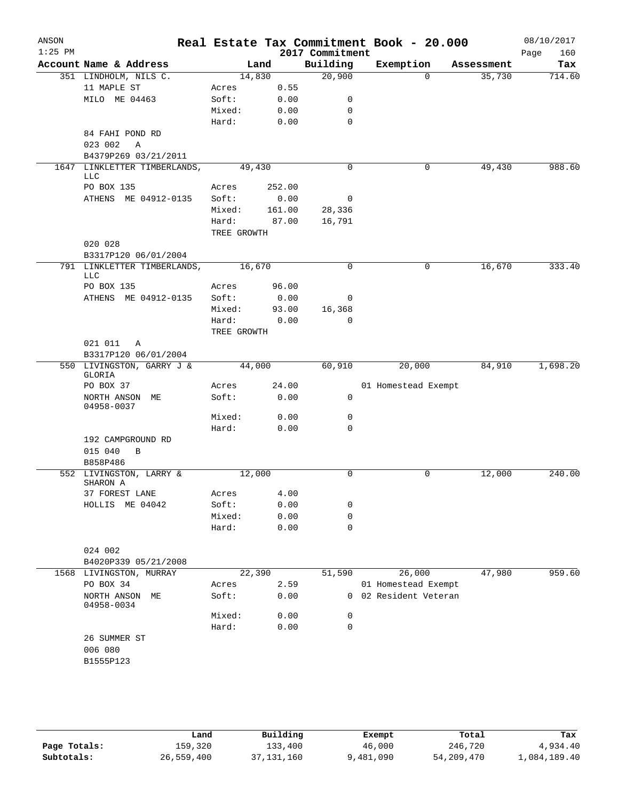| ANSON<br>$1:25$ PM |                                     |                |               | 2017 Commitment | Real Estate Tax Commitment Book - 20.000 |            | 08/10/2017<br>160<br>Page |
|--------------------|-------------------------------------|----------------|---------------|-----------------|------------------------------------------|------------|---------------------------|
|                    | Account Name & Address              |                | Land          | Building        | Exemption                                | Assessment | Tax                       |
|                    | 351 LINDHOLM, NILS C.               | 14,830         |               | 20,900          | $\Omega$                                 | 35,730     | 714.60                    |
|                    | 11 MAPLE ST                         | Acres          | 0.55          |                 |                                          |            |                           |
|                    | MILO ME 04463                       | Soft:          | 0.00          | 0               |                                          |            |                           |
|                    |                                     | Mixed:         | 0.00          | 0               |                                          |            |                           |
|                    |                                     | Hard:          | 0.00          | $\mathbf 0$     |                                          |            |                           |
|                    | 84 FAHI POND RD                     |                |               |                 |                                          |            |                           |
|                    | 023 002<br>$\overline{A}$           |                |               |                 |                                          |            |                           |
|                    | B4379P269 03/21/2011                |                |               |                 |                                          |            |                           |
|                    | 1647 LINKLETTER TIMBERLANDS,<br>LLC | 49,430         |               | $\mathbf 0$     | 0                                        | 49,430     | 988.60                    |
|                    | PO BOX 135                          | Acres          | 252.00        |                 |                                          |            |                           |
|                    | ATHENS ME 04912-0135                | Soft:          | 0.00          | 0               |                                          |            |                           |
|                    |                                     | Mixed:         | 161.00        | 28,336          |                                          |            |                           |
|                    |                                     | Hard:          | 87.00         | 16,791          |                                          |            |                           |
|                    |                                     | TREE GROWTH    |               |                 |                                          |            |                           |
|                    | 020 028                             |                |               |                 |                                          |            |                           |
|                    | B3317P120 06/01/2004                |                |               |                 |                                          |            |                           |
|                    | 791 LINKLETTER TIMBERLANDS,         | 16,670         |               | $\mathbf 0$     | 0                                        | 16, 670    | 333.40                    |
|                    | LLC<br>PO BOX 135                   |                |               |                 |                                          |            |                           |
|                    | ATHENS ME 04912-0135                | Acres<br>Soft: | 96.00<br>0.00 | 0               |                                          |            |                           |
|                    |                                     | Mixed:         | 93.00         | 16,368          |                                          |            |                           |
|                    |                                     | Hard:          | 0.00          | $\mathbf 0$     |                                          |            |                           |
|                    |                                     | TREE GROWTH    |               |                 |                                          |            |                           |
|                    | 021 011<br>A                        |                |               |                 |                                          |            |                           |
|                    | B3317P120 06/01/2004                |                |               |                 |                                          |            |                           |
|                    | 550 LIVINGSTON, GARRY J &<br>GLORIA | 44,000         |               | 60,910          | 20,000                                   | 84,910     | 1,698.20                  |
|                    | PO BOX 37                           | Acres          | 24.00         |                 | 01 Homestead Exempt                      |            |                           |
|                    | NORTH ANSON ME<br>04958-0037        | Soft:          | 0.00          | 0               |                                          |            |                           |
|                    |                                     | Mixed:         | 0.00          | 0               |                                          |            |                           |
|                    |                                     | Hard:          | 0.00          | $\mathbf 0$     |                                          |            |                           |
|                    | 192 CAMPGROUND RD                   |                |               |                 |                                          |            |                           |
|                    | 015 040<br>B                        |                |               |                 |                                          |            |                           |
|                    | B858P486                            |                |               |                 |                                          |            |                           |
|                    | 552 LIVINGSTON, LARRY &<br>SHARON A | 12,000         |               | $\mathbf 0$     | 0                                        | 12,000     | 240.00                    |
|                    | 37 FOREST LANE                      | Acres          | 4.00          |                 |                                          |            |                           |
|                    | HOLLIS ME 04042                     | Soft:          | 0.00          | 0               |                                          |            |                           |
|                    |                                     | Mixed:         | 0.00          | 0               |                                          |            |                           |
|                    |                                     | Hard:          | 0.00          | $\mathbf 0$     |                                          |            |                           |
|                    |                                     |                |               |                 |                                          |            |                           |
|                    | 024 002                             |                |               |                 |                                          |            |                           |
|                    | B4020P339 05/21/2008                |                |               |                 |                                          |            |                           |
|                    | 1568 LIVINGSTON, MURRAY             | 22,390         |               | 51,590          | 26,000                                   | 47,980     | 959.60                    |
|                    | PO BOX 34                           | Acres          | 2.59          |                 | 01 Homestead Exempt                      |            |                           |
|                    | NORTH ANSON ME<br>04958-0034        | Soft:          | 0.00          |                 | 0 02 Resident Veteran                    |            |                           |
|                    |                                     | Mixed:         | 0.00          | 0               |                                          |            |                           |
|                    |                                     | Hard:          | 0.00          | $\mathbf 0$     |                                          |            |                           |
|                    | 26 SUMMER ST<br>006 080             |                |               |                 |                                          |            |                           |
|                    | B1555P123                           |                |               |                 |                                          |            |                           |
|                    |                                     |                |               |                 |                                          |            |                           |
|                    |                                     |                |               |                 |                                          |            |                           |
|                    |                                     |                |               |                 |                                          |            |                           |

|              | Land       | Building   |           |            |              |
|--------------|------------|------------|-----------|------------|--------------|
|              |            |            | Exempt    | Total      | Tax          |
| Page Totals: | 159,320    | 133,400    | 46,000    | 246,720    | 4,934.40     |
| Subtotals:   | 26,559,400 | 37,131,160 | 9,481,090 | 54,209,470 | 1,084,189.40 |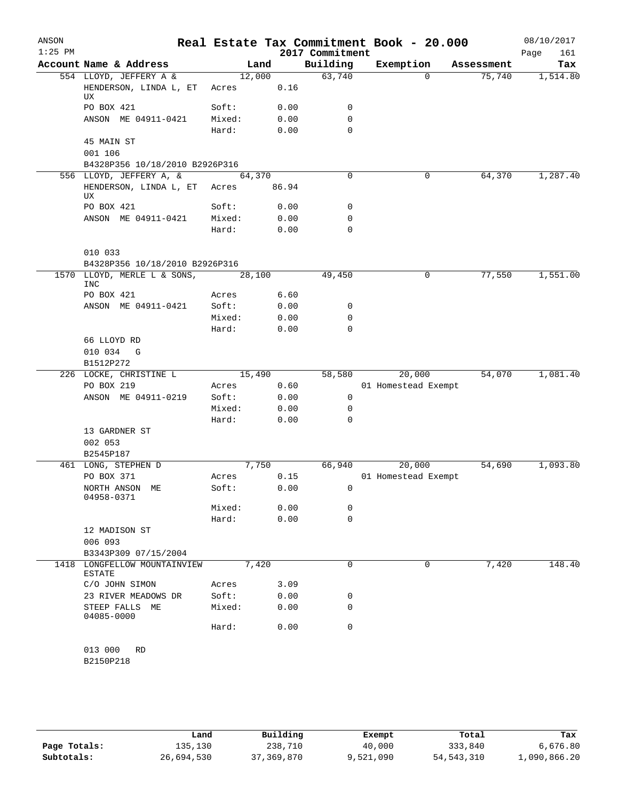| ANSON<br>$1:25$ PM |                                                               |                |               | 2017 Commitment | Real Estate Tax Commitment Book - 20.000 |            | 08/10/2017<br>161<br>Page |
|--------------------|---------------------------------------------------------------|----------------|---------------|-----------------|------------------------------------------|------------|---------------------------|
|                    | Account Name & Address                                        |                | Land          | Building        | Exemption                                | Assessment | Tax                       |
|                    | 554 LLOYD, JEFFERY A &                                        | 12,000         |               | 63,740          | $\Omega$                                 | 75,740     | 1,514.80                  |
|                    | HENDERSON, LINDA L, ET<br>UX                                  | Acres          | 0.16          |                 |                                          |            |                           |
|                    | PO BOX 421                                                    | Soft:          | 0.00          | 0               |                                          |            |                           |
|                    | ANSON ME 04911-0421                                           | Mixed:         | 0.00          | 0               |                                          |            |                           |
|                    |                                                               | Hard:          | 0.00          | $\mathbf 0$     |                                          |            |                           |
|                    | 45 MAIN ST                                                    |                |               |                 |                                          |            |                           |
|                    | 001 106                                                       |                |               |                 |                                          |            |                           |
|                    | B4328P356 10/18/2010 B2926P316                                |                |               |                 |                                          |            |                           |
|                    | 556 LLOYD, JEFFERY A, &                                       | 64,370         |               | $\Omega$        | 0                                        | 64,370     | 1,287.40                  |
|                    | HENDERSON, LINDA L, ET Acres<br>UX                            |                | 86.94         |                 |                                          |            |                           |
|                    | PO BOX 421                                                    | Soft:          | 0.00          | $\mathbf 0$     |                                          |            |                           |
|                    | ANSON ME 04911-0421                                           | Mixed:         | 0.00          | $\mathbf 0$     |                                          |            |                           |
|                    |                                                               | Hard:          | 0.00          | $\mathbf 0$     |                                          |            |                           |
|                    | 010 033                                                       |                |               |                 |                                          |            |                           |
|                    | B4328P356 10/18/2010 B2926P316<br>1570 LLOYD, MERLE L & SONS, | 28,100         |               | 49,450          |                                          | 77,550     |                           |
|                    | <b>INC</b>                                                    |                |               |                 | 0                                        |            | 1,551.00                  |
|                    | PO BOX 421<br>ANSON ME 04911-0421                             | Acres<br>Soft: | 6.60<br>0.00  | 0               |                                          |            |                           |
|                    |                                                               | Mixed:         | 0.00          | 0               |                                          |            |                           |
|                    |                                                               | Hard:          | 0.00          | $\mathbf 0$     |                                          |            |                           |
|                    | 66 LLOYD RD                                                   |                |               |                 |                                          |            |                           |
|                    | 010 034<br>G                                                  |                |               |                 |                                          |            |                           |
|                    | B1512P272                                                     |                |               |                 |                                          |            |                           |
|                    | 226 LOCKE, CHRISTINE L                                        | 15,490         |               | 58,580          | 20,000                                   | 54,070     | 1,081.40                  |
|                    | PO BOX 219                                                    | Acres          | 0.60          |                 | 01 Homestead Exempt                      |            |                           |
|                    | ANSON ME 04911-0219                                           | Soft:          | 0.00          | 0               |                                          |            |                           |
|                    |                                                               | Mixed:         | 0.00          | 0               |                                          |            |                           |
|                    |                                                               | Hard:          | 0.00          | 0               |                                          |            |                           |
|                    | 13 GARDNER ST                                                 |                |               |                 |                                          |            |                           |
|                    | 002 053                                                       |                |               |                 |                                          |            |                           |
|                    | B2545P187                                                     |                |               |                 |                                          |            |                           |
|                    | 461 LONG, STEPHEN D<br>PO BOX 371                             | Acres          | 7,750<br>0.15 | 66,940          | 20,000<br>01 Homestead Exempt            | 54,690     | 1,093.80                  |
|                    | NORTH ANSON ME                                                | Soft:          | 0.00          | 0               |                                          |            |                           |
|                    | 04958-0371                                                    |                |               |                 |                                          |            |                           |
|                    |                                                               | Mixed:         | 0.00          | 0               |                                          |            |                           |
|                    |                                                               | Hard:          | 0.00          | $\mathbf 0$     |                                          |            |                           |
|                    | 12 MADISON ST                                                 |                |               |                 |                                          |            |                           |
|                    | 006 093                                                       |                |               |                 |                                          |            |                           |
|                    | B3343P309 07/15/2004                                          |                |               |                 |                                          |            |                           |
|                    | 1418 LONGFELLOW MOUNTAINVIEW<br><b>ESTATE</b>                 | 7,420          |               | 0               | 0                                        | 7,420      | 148.40                    |
|                    | C/O JOHN SIMON                                                | Acres          | 3.09          |                 |                                          |            |                           |
|                    | 23 RIVER MEADOWS DR                                           | Soft:          | 0.00          | 0               |                                          |            |                           |
|                    | STEEP FALLS ME<br>04085-0000                                  | Mixed:         | 0.00          | $\mathbf 0$     |                                          |            |                           |
|                    |                                                               | Hard:          | 0.00          | $\mathbf 0$     |                                          |            |                           |
|                    | 013 000<br><b>RD</b>                                          |                |               |                 |                                          |            |                           |
|                    | B2150P218                                                     |                |               |                 |                                          |            |                           |
|                    |                                                               |                |               |                 |                                          |            |                           |

|              | Land       | Building   | Exempt    | Total        | Tax          |
|--------------|------------|------------|-----------|--------------|--------------|
| Page Totals: | 135,130    | 238,710    | 40,000    | 333,840      | 6,676.80     |
| Subtotals:   | 26,694,530 | 37,369,870 | 9,521,090 | 54, 543, 310 | 1,090,866.20 |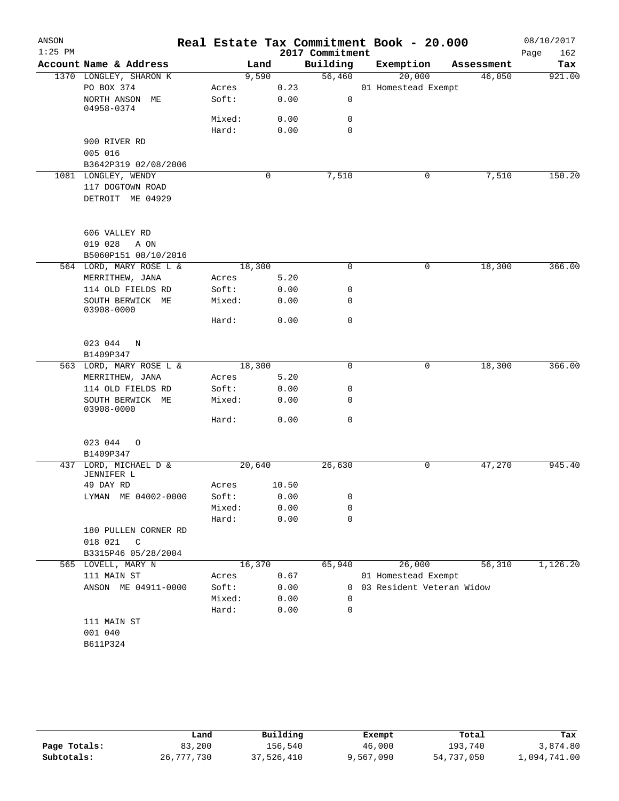| ANSON<br>$1:25$ PM |                                     |                 |        |              | 2017 Commitment  | Real Estate Tax Commitment Book - 20.000 |            | 08/10/2017         |
|--------------------|-------------------------------------|-----------------|--------|--------------|------------------|------------------------------------------|------------|--------------------|
|                    | Account Name & Address              |                 | Land   |              | Building         | Exemption                                | Assessment | 162<br>Page<br>Tax |
|                    | 1370 LONGLEY, SHARON K              |                 | 9,590  |              | 56,460           | 20,000                                   | 46,050     | 921.00             |
|                    | PO BOX 374                          | Acres           |        | 0.23         |                  | 01 Homestead Exempt                      |            |                    |
|                    | NORTH ANSON ME                      | Soft:           |        | 0.00         | 0                |                                          |            |                    |
|                    | 04958-0374                          |                 |        |              |                  |                                          |            |                    |
|                    |                                     | Mixed:<br>Hard: |        | 0.00<br>0.00 | 0<br>$\mathbf 0$ |                                          |            |                    |
|                    | 900 RIVER RD                        |                 |        |              |                  |                                          |            |                    |
|                    | 005 016                             |                 |        |              |                  |                                          |            |                    |
|                    | B3642P319 02/08/2006                |                 |        |              |                  |                                          |            |                    |
|                    | 1081 LONGLEY, WENDY                 |                 | 0      |              | 7,510            | 0                                        | 7,510      | 150.20             |
|                    | 117 DOGTOWN ROAD                    |                 |        |              |                  |                                          |            |                    |
|                    | DETROIT ME 04929                    |                 |        |              |                  |                                          |            |                    |
|                    |                                     |                 |        |              |                  |                                          |            |                    |
|                    | 606 VALLEY RD                       |                 |        |              |                  |                                          |            |                    |
|                    | 019 028<br>A ON                     |                 |        |              |                  |                                          |            |                    |
|                    | B5060P151 08/10/2016                |                 |        |              |                  |                                          |            |                    |
|                    | 564 LORD, MARY ROSE L &             |                 | 18,300 |              | $\mathbf 0$      | 0                                        | 18,300     | 366.00             |
|                    | MERRITHEW, JANA                     | Acres           |        | 5.20         |                  |                                          |            |                    |
|                    | 114 OLD FIELDS RD                   | Soft:           |        | 0.00         | $\mathbf 0$      |                                          |            |                    |
|                    | SOUTH BERWICK ME<br>03908-0000      | Mixed:          |        | 0.00         | $\mathbf 0$      |                                          |            |                    |
|                    |                                     | Hard:           |        | 0.00         | $\mathbf 0$      |                                          |            |                    |
|                    | 023 044<br>N                        |                 |        |              |                  |                                          |            |                    |
|                    | B1409P347                           |                 |        |              |                  |                                          |            |                    |
|                    | 563 LORD, MARY ROSE L &             |                 | 18,300 |              | $\mathbf 0$      | 0                                        | 18,300     | 366.00             |
|                    | MERRITHEW, JANA                     | Acres           |        | 5.20         |                  |                                          |            |                    |
|                    | 114 OLD FIELDS RD                   | Soft:           |        | 0.00         | 0                |                                          |            |                    |
|                    | SOUTH BERWICK ME<br>03908-0000      | Mixed:          |        | 0.00         | $\mathbf 0$      |                                          |            |                    |
|                    |                                     | Hard:           |        | 0.00         | $\mathbf 0$      |                                          |            |                    |
|                    | 023 044<br>$\circ$                  |                 |        |              |                  |                                          |            |                    |
|                    | B1409P347                           |                 |        |              |                  |                                          |            | 945.40             |
|                    | 437 LORD, MICHAEL D &<br>JENNIFER L |                 | 20,640 |              | 26,630           | 0                                        | 47,270     |                    |
|                    | 49 DAY RD                           | Acres           |        | 10.50        |                  |                                          |            |                    |
|                    | LYMAN ME 04002-0000                 | Soft:           |        | 0.00         | 0                |                                          |            |                    |
|                    |                                     | Mixed:          |        | 0.00         | 0                |                                          |            |                    |
|                    |                                     | Hard:           |        | 0.00         | $\mathbf 0$      |                                          |            |                    |
|                    | 180 PULLEN CORNER RD                |                 |        |              |                  |                                          |            |                    |
|                    | 018 021<br>C                        |                 |        |              |                  |                                          |            |                    |
|                    | B3315P46 05/28/2004                 |                 |        |              |                  |                                          |            |                    |
|                    | 565 LOVELL, MARY N                  |                 | 16,370 |              | 65,940           | 26,000                                   | 56,310     | 1,126.20           |
|                    | 111 MAIN ST                         | Acres           |        | 0.67         |                  | 01 Homestead Exempt                      |            |                    |
|                    | ANSON ME 04911-0000                 | Soft:<br>Mixed: |        | 0.00         | 0<br>0           | 03 Resident Veteran Widow                |            |                    |
|                    |                                     | Hard:           |        | 0.00<br>0.00 | $\mathbf 0$      |                                          |            |                    |
|                    | 111 MAIN ST                         |                 |        |              |                  |                                          |            |                    |
|                    | 001 040                             |                 |        |              |                  |                                          |            |                    |
|                    | B611P324                            |                 |        |              |                  |                                          |            |                    |
|                    |                                     |                 |        |              |                  |                                          |            |                    |
|                    |                                     |                 |        |              |                  |                                          |            |                    |

|              | Land       | Building   | Exempt    | Total      | Tax          |
|--------------|------------|------------|-----------|------------|--------------|
| Page Totals: | 83,200     | 156.540    | 46,000    | 193,740    | 3,874.80     |
| Subtotals:   | 26,777,730 | 37,526,410 | 9,567,090 | 54,737,050 | 1,094,741.00 |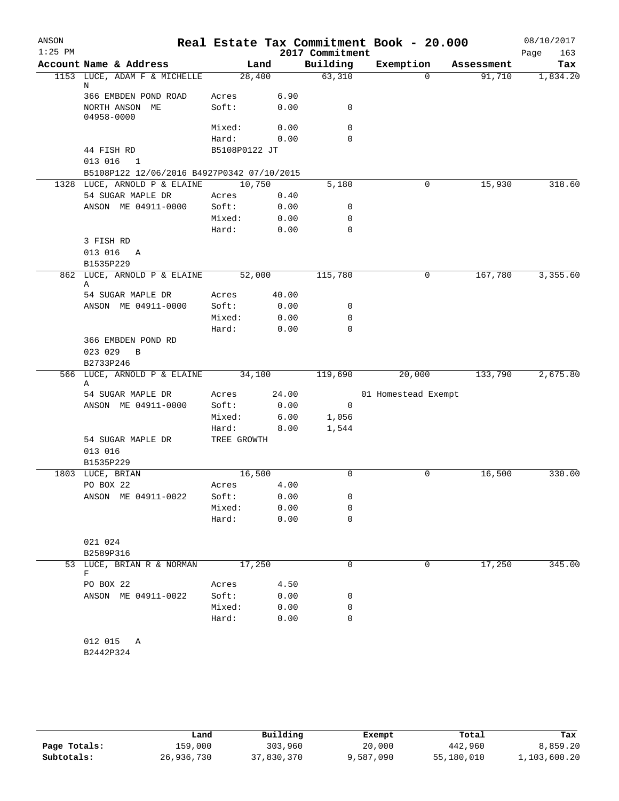| ANSON<br>$1:25$ PM |                                            |                |       | 2017 Commitment | Real Estate Tax Commitment Book - 20.000 |            | 08/10/2017<br>163<br>Page |
|--------------------|--------------------------------------------|----------------|-------|-----------------|------------------------------------------|------------|---------------------------|
|                    | Account Name & Address                     | Land           |       | Building        | Exemption                                | Assessment | Tax                       |
|                    | 1153 LUCE, ADAM F & MICHELLE               | 28,400         |       | 63,310          | $\Omega$                                 | 91,710     | 1,834.20                  |
|                    | N                                          |                |       |                 |                                          |            |                           |
|                    | 366 EMBDEN POND ROAD                       | Acres<br>Soft: | 6.90  |                 |                                          |            |                           |
|                    | NORTH ANSON ME<br>04958-0000               |                | 0.00  | 0               |                                          |            |                           |
|                    |                                            | Mixed:         | 0.00  | 0               |                                          |            |                           |
|                    |                                            | Hard:          | 0.00  | 0               |                                          |            |                           |
|                    | 44 FISH RD                                 | B5108P0122 JT  |       |                 |                                          |            |                           |
|                    | 013 016 1                                  |                |       |                 |                                          |            |                           |
|                    | B5108P122 12/06/2016 B4927P0342 07/10/2015 |                |       |                 |                                          |            |                           |
|                    | 1328 LUCE, ARNOLD P & ELAINE 10,750        |                |       | 5,180           | 0                                        | 15,930     | 318.60                    |
|                    | 54 SUGAR MAPLE DR                          | Acres          | 0.40  |                 |                                          |            |                           |
|                    | ANSON ME 04911-0000                        | Soft:          | 0.00  | 0               |                                          |            |                           |
|                    |                                            | Mixed:         | 0.00  | 0               |                                          |            |                           |
|                    |                                            | Hard:          | 0.00  | $\mathbf 0$     |                                          |            |                           |
|                    | 3 FISH RD<br>013 016 A                     |                |       |                 |                                          |            |                           |
|                    | B1535P229                                  |                |       |                 |                                          |            |                           |
|                    | 862 LUCE, ARNOLD P & ELAINE                | 52,000         |       | 115,780         | 0                                        | 167,780    | 3,355.60                  |
|                    | Α                                          |                |       |                 |                                          |            |                           |
|                    | 54 SUGAR MAPLE DR                          | Acres          | 40.00 |                 |                                          |            |                           |
|                    | ANSON ME 04911-0000                        | Soft:          | 0.00  | 0               |                                          |            |                           |
|                    |                                            | Mixed:         | 0.00  | $\mathbf 0$     |                                          |            |                           |
|                    |                                            | Hard:          | 0.00  | $\mathbf 0$     |                                          |            |                           |
|                    | 366 EMBDEN POND RD                         |                |       |                 |                                          |            |                           |
|                    | 023 029<br>$\overline{B}$                  |                |       |                 |                                          |            |                           |
|                    | B2733P246                                  |                |       |                 |                                          |            |                           |
|                    | 566 LUCE, ARNOLD P & ELAINE 34,100<br>Α    |                |       | 119,690         | 20,000                                   | 133,790    | 2,675.80                  |
|                    | 54 SUGAR MAPLE DR                          | Acres          | 24.00 |                 | 01 Homestead Exempt                      |            |                           |
|                    | ANSON ME 04911-0000                        | Soft:          | 0.00  | $\overline{0}$  |                                          |            |                           |
|                    |                                            | Mixed:         | 6.00  | 1,056           |                                          |            |                           |
|                    |                                            | Hard:          | 8.00  | 1,544           |                                          |            |                           |
|                    | 54 SUGAR MAPLE DR                          | TREE GROWTH    |       |                 |                                          |            |                           |
|                    | 013 016                                    |                |       |                 |                                          |            |                           |
|                    | B1535P229                                  |                |       |                 |                                          |            |                           |
|                    | 1803 LUCE, BRIAN                           | 16,500         |       | $\mathbf 0$     | 0                                        | 16,500     | 330.00                    |
|                    | PO BOX 22                                  | Acres          | 4.00  |                 |                                          |            |                           |
|                    | ANSON ME 04911-0022                        | Soft:          | 0.00  | 0               |                                          |            |                           |
|                    |                                            | Mixed:         | 0.00  | 0               |                                          |            |                           |
|                    |                                            | Hard:          | 0.00  | $\mathbf 0$     |                                          |            |                           |
|                    |                                            |                |       |                 |                                          |            |                           |
|                    | 021 024                                    |                |       |                 |                                          |            |                           |
|                    | B2589P316<br>53 LUCE, BRIAN R & NORMAN     | 17,250         |       | 0               | 0                                        | 17,250     | 345.00                    |
|                    | F                                          |                |       |                 |                                          |            |                           |
|                    | PO BOX 22                                  | Acres          | 4.50  |                 |                                          |            |                           |
|                    | ANSON ME 04911-0022                        | Soft:          | 0.00  | 0               |                                          |            |                           |
|                    |                                            | Mixed:         | 0.00  | 0               |                                          |            |                           |
|                    |                                            | Hard:          | 0.00  | 0               |                                          |            |                           |
|                    |                                            |                |       |                 |                                          |            |                           |
|                    | 012 015<br>Α                               |                |       |                 |                                          |            |                           |
|                    | B2442P324                                  |                |       |                 |                                          |            |                           |
|                    |                                            |                |       |                 |                                          |            |                           |
|                    |                                            |                |       |                 |                                          |            |                           |

|              | Land       | Building   | Exempt    | Total      | Tax          |
|--------------|------------|------------|-----------|------------|--------------|
| Page Totals: | 159,000    | 303,960    | 20,000    | 442,960    | 8,859.20     |
| Subtotals:   | 26,936,730 | 37,830,370 | 9,587,090 | 55,180,010 | 1,103,600.20 |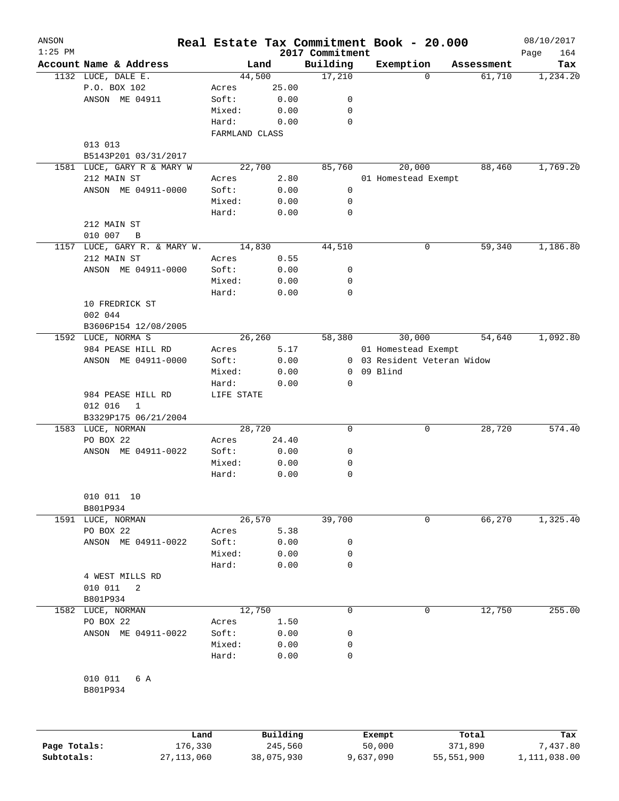| ANSON        |                            |                |            |                             | Real Estate Tax Commitment Book - 20.000 |             |            | 08/10/2017         |
|--------------|----------------------------|----------------|------------|-----------------------------|------------------------------------------|-------------|------------|--------------------|
| $1:25$ PM    | Account Name & Address     |                | Land       | 2017 Commitment<br>Building | Exemption                                |             | Assessment | 164<br>Page<br>Tax |
|              | 1132 LUCE, DALE E.         |                | 44,500     | 17,210                      |                                          | $\Omega$    | 61,710     | 1,234.20           |
|              | P.O. BOX 102               | Acres          | 25.00      |                             |                                          |             |            |                    |
|              | ANSON ME 04911             | Soft:          | 0.00       | 0                           |                                          |             |            |                    |
|              |                            | Mixed:         | 0.00       | 0                           |                                          |             |            |                    |
|              |                            | Hard:          | 0.00       | 0                           |                                          |             |            |                    |
|              |                            | FARMLAND CLASS |            |                             |                                          |             |            |                    |
|              | 013 013                    |                |            |                             |                                          |             |            |                    |
|              | B5143P201 03/31/2017       |                |            |                             |                                          |             |            |                    |
|              | 1581 LUCE, GARY R & MARY W |                | 22,700     | 85,760                      | 20,000                                   |             | 88,460     | 1,769.20           |
|              | 212 MAIN ST                | Acres          | 2.80       |                             | 01 Homestead Exempt                      |             |            |                    |
|              | ANSON ME 04911-0000        | Soft:          | 0.00       | 0                           |                                          |             |            |                    |
|              |                            | Mixed:         | 0.00       | 0                           |                                          |             |            |                    |
|              |                            | Hard:          | 0.00       | 0                           |                                          |             |            |                    |
|              | 212 MAIN ST                |                |            |                             |                                          |             |            |                    |
|              | 010 007<br>B               |                |            |                             |                                          |             |            |                    |
| 1157         | LUCE, GARY R. & MARY W.    |                | 14,830     | 44,510                      |                                          | $\mathbf 0$ | 59,340     | 1,186.80           |
|              | 212 MAIN ST                | Acres          | 0.55       |                             |                                          |             |            |                    |
|              | ANSON ME 04911-0000        | Soft:          | 0.00       | 0                           |                                          |             |            |                    |
|              |                            | Mixed:         | 0.00       | 0                           |                                          |             |            |                    |
|              |                            | Hard:          | 0.00       | $\mathbf 0$                 |                                          |             |            |                    |
|              | 10 FREDRICK ST             |                |            |                             |                                          |             |            |                    |
|              | 002 044                    |                |            |                             |                                          |             |            |                    |
|              | B3606P154 12/08/2005       |                |            |                             |                                          |             |            |                    |
|              | 1592 LUCE, NORMA S         |                | 26,260     | 58,380                      | 30,000                                   |             | 54,640     | 1,092.80           |
|              | 984 PEASE HILL RD          | Acres          | 5.17       |                             | 01 Homestead Exempt                      |             |            |                    |
|              | ANSON ME 04911-0000        | Soft:          | 0.00       |                             | 0 03 Resident Veteran Widow              |             |            |                    |
|              |                            | Mixed:         | 0.00       | 0                           | 09 Blind                                 |             |            |                    |
|              |                            | Hard:          | 0.00       | 0                           |                                          |             |            |                    |
|              | 984 PEASE HILL RD          | LIFE STATE     |            |                             |                                          |             |            |                    |
|              | 012 016<br>$\mathbf{1}$    |                |            |                             |                                          |             |            |                    |
|              | B3329P175 06/21/2004       |                |            |                             |                                          |             |            |                    |
|              | 1583 LUCE, NORMAN          |                | 28,720     | 0                           |                                          | 0           | 28,720     | 574.40             |
|              | PO BOX 22                  | Acres          | 24.40      |                             |                                          |             |            |                    |
|              | ANSON ME 04911-0022        | Soft:          | 0.00       | 0                           |                                          |             |            |                    |
|              |                            | Mixed:         | 0.00       | 0                           |                                          |             |            |                    |
|              |                            | Hard:          | 0.00       | 0                           |                                          |             |            |                    |
|              |                            |                |            |                             |                                          |             |            |                    |
|              | 010 011 10                 |                |            |                             |                                          |             |            |                    |
|              | B801P934                   |                |            |                             |                                          |             |            |                    |
| 1591         | LUCE, NORMAN               |                | 26,570     | 39,700                      |                                          | 0           | 66,270     | 1,325.40           |
|              | PO BOX 22                  | Acres          | 5.38       |                             |                                          |             |            |                    |
|              | ANSON ME 04911-0022        | Soft:          | 0.00       | 0                           |                                          |             |            |                    |
|              |                            | Mixed:         | 0.00       | 0                           |                                          |             |            |                    |
|              |                            | Hard:          | 0.00       | 0                           |                                          |             |            |                    |
|              | 4 WEST MILLS RD            |                |            |                             |                                          |             |            |                    |
|              | 010 011<br>2               |                |            |                             |                                          |             |            |                    |
|              | B801P934                   |                |            |                             |                                          |             |            |                    |
| 1582         | LUCE, NORMAN               |                | 12,750     | 0                           |                                          | 0           | 12,750     | 255.00             |
|              | PO BOX 22                  | Acres          | 1.50       |                             |                                          |             |            |                    |
|              | ANSON ME 04911-0022        | Soft:          | 0.00       | 0                           |                                          |             |            |                    |
|              |                            | Mixed:         | 0.00       | 0                           |                                          |             |            |                    |
|              |                            | Hard:          | 0.00       | 0                           |                                          |             |            |                    |
|              |                            |                |            |                             |                                          |             |            |                    |
|              | 010 011<br>6 A             |                |            |                             |                                          |             |            |                    |
|              | B801P934                   |                |            |                             |                                          |             |            |                    |
|              |                            |                |            |                             |                                          |             |            |                    |
|              |                            | Land           | Building   |                             | Exempt                                   |             | Total      | Tax                |
| Page Totals: | 176,330                    |                | 245,560    |                             | 50,000                                   |             | 371,890    | 7,437.80           |
| Subtotals:   | 27, 113, 060               |                | 38,075,930 |                             | 9,637,090                                | 55,551,900  |            | 1,111,038.00       |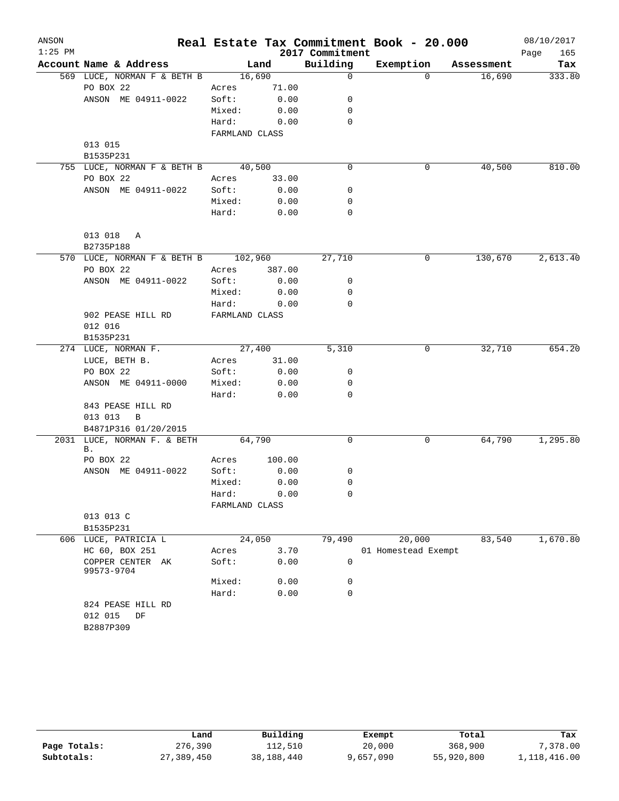| ANSON<br>$1:25$ PM |                                     |                |        | 2017 Commitment | Real Estate Tax Commitment Book - 20.000 |            | 08/10/2017<br>165<br>Page |
|--------------------|-------------------------------------|----------------|--------|-----------------|------------------------------------------|------------|---------------------------|
|                    | Account Name & Address              |                | Land   | Building        | Exemption                                | Assessment | Tax                       |
|                    | 569 LUCE, NORMAN F & BETH B         | 16,690         |        | 0               | $\Omega$                                 | 16,690     | 333.80                    |
|                    | PO BOX 22                           | Acres          | 71.00  |                 |                                          |            |                           |
|                    | ANSON ME 04911-0022                 | Soft:          | 0.00   | 0               |                                          |            |                           |
|                    |                                     | Mixed:         | 0.00   | 0               |                                          |            |                           |
|                    |                                     | Hard:          | 0.00   | $\mathbf 0$     |                                          |            |                           |
|                    |                                     | FARMLAND CLASS |        |                 |                                          |            |                           |
|                    | 013 015<br>B1535P231                |                |        |                 |                                          |            |                           |
|                    | 755 LUCE, NORMAN F & BETH B         | 40,500         |        | 0               | 0                                        | 40,500     | 810.00                    |
|                    | PO BOX 22                           | Acres          | 33.00  |                 |                                          |            |                           |
|                    | ANSON ME 04911-0022                 | Soft:          | 0.00   | 0               |                                          |            |                           |
|                    |                                     | Mixed:         | 0.00   | 0               |                                          |            |                           |
|                    |                                     | Hard:          | 0.00   | $\mathbf 0$     |                                          |            |                           |
|                    | 013 018<br>Α                        |                |        |                 |                                          |            |                           |
|                    | B2735P188                           |                |        |                 |                                          |            |                           |
|                    | 570 LUCE, NORMAN F & BETH B 102,960 |                |        | 27,710          | 0                                        | 130,670    | 2,613.40                  |
|                    | PO BOX 22                           | Acres          | 387.00 |                 |                                          |            |                           |
|                    | ANSON ME 04911-0022                 | Soft:          | 0.00   | 0               |                                          |            |                           |
|                    |                                     | Mixed:         | 0.00   | 0               |                                          |            |                           |
|                    |                                     | Hard:          | 0.00   | $\mathbf 0$     |                                          |            |                           |
|                    | 902 PEASE HILL RD                   | FARMLAND CLASS |        |                 |                                          |            |                           |
|                    | 012 016                             |                |        |                 |                                          |            |                           |
|                    | B1535P231                           |                |        |                 |                                          |            |                           |
|                    | 274 LUCE, NORMAN F.                 | 27,400         |        | 5,310           | 0                                        | 32,710     | 654.20                    |
|                    | LUCE, BETH B.                       | Acres          | 31.00  |                 |                                          |            |                           |
|                    | PO BOX 22                           | Soft:          | 0.00   | 0               |                                          |            |                           |
|                    | ANSON ME 04911-0000                 | Mixed:         | 0.00   | 0               |                                          |            |                           |
|                    |                                     | Hard:          | 0.00   | $\mathbf 0$     |                                          |            |                           |
|                    | 843 PEASE HILL RD                   |                |        |                 |                                          |            |                           |
|                    | 013 013<br>B                        |                |        |                 |                                          |            |                           |
|                    | B4871P316 01/20/2015                |                |        |                 |                                          |            |                           |
|                    | 2031 LUCE, NORMAN F. & BETH<br>В.   | 64,790         |        | 0               | 0                                        | 64,790     | 1,295.80                  |
|                    | PO BOX 22                           | Acres          | 100.00 |                 |                                          |            |                           |
|                    | ANSON ME 04911-0022                 | Soft:          | 0.00   | 0               |                                          |            |                           |
|                    |                                     | Mixed:         | 0.00   | 0               |                                          |            |                           |
|                    |                                     | Hard:          | 0.00   | 0               |                                          |            |                           |
|                    |                                     | FARMLAND CLASS |        |                 |                                          |            |                           |
|                    | 013 013 C<br>B1535P231              |                |        |                 |                                          |            |                           |
|                    | 606 LUCE, PATRICIA L                | 24,050         |        | 79,490          | 20,000                                   | 83,540     | 1,670.80                  |
|                    | HC 60, BOX 251                      | Acres          | 3.70   |                 | 01 Homestead Exempt                      |            |                           |
|                    | COPPER CENTER AK<br>99573-9704      | Soft:          | 0.00   | $\mathbf 0$     |                                          |            |                           |
|                    |                                     | Mixed:         | 0.00   | 0               |                                          |            |                           |
|                    |                                     | Hard:          | 0.00   | $\mathbf 0$     |                                          |            |                           |
|                    | 824 PEASE HILL RD                   |                |        |                 |                                          |            |                           |
|                    | 012 015<br>DF                       |                |        |                 |                                          |            |                           |
|                    | B2887P309                           |                |        |                 |                                          |            |                           |
|                    |                                     |                |        |                 |                                          |            |                           |

|              | Land       | Building   | Exempt    | Total      | Tax          |
|--------------|------------|------------|-----------|------------|--------------|
| Page Totals: | 276,390    | 112,510    | 20,000    | 368,900    | 7,378.00     |
| Subtotals:   | 27,389,450 | 38,188,440 | 9,657,090 | 55,920,800 | 1,118,416.00 |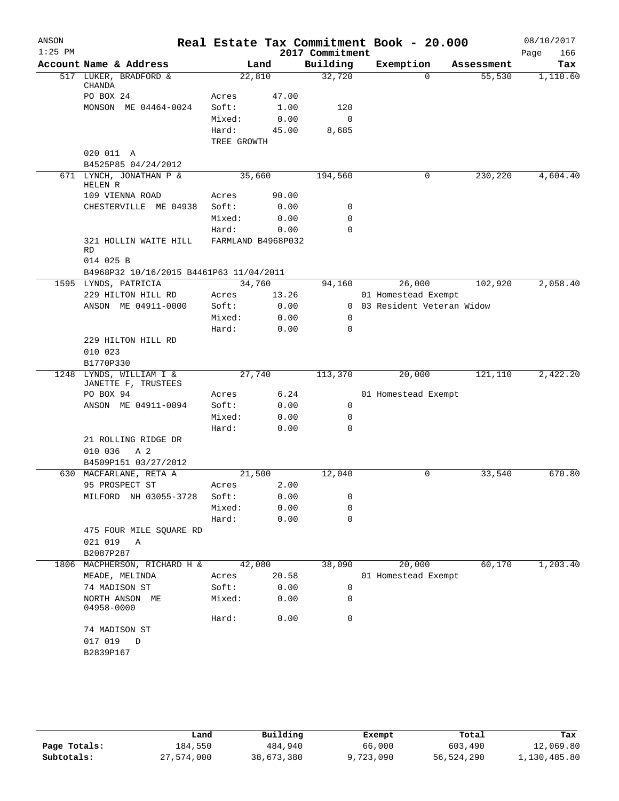| ANSON     |                                         |                    |       |                 | Real Estate Tax Commitment Book - 20.000 |            | 08/10/2017  |
|-----------|-----------------------------------------|--------------------|-------|-----------------|------------------------------------------|------------|-------------|
| $1:25$ PM |                                         |                    |       | 2017 Commitment |                                          |            | Page<br>166 |
|           | Account Name & Address                  |                    | Land  | Building        | Exemption                                | Assessment | Tax         |
|           | 517 LUKER, BRADFORD &<br><b>CHANDA</b>  | 22,810             |       | 32,720          | $\Omega$                                 | 55,530     | 1,110.60    |
|           | PO BOX 24                               | Acres              | 47.00 |                 |                                          |            |             |
|           | MONSON ME 04464-0024                    | Soft:              | 1.00  | 120             |                                          |            |             |
|           |                                         | Mixed:             | 0.00  | 0               |                                          |            |             |
|           |                                         | Hard:              | 45.00 | 8,685           |                                          |            |             |
|           |                                         | TREE GROWTH        |       |                 |                                          |            |             |
|           | 020 011 A                               |                    |       |                 |                                          |            |             |
|           | B4525P85 04/24/2012                     |                    |       |                 |                                          |            |             |
|           | 671 LYNCH, JONATHAN P &<br>HELEN R      | 35,660             |       | 194,560         | 0                                        | 230,220    | 4,604.40    |
|           | 109 VIENNA ROAD                         | Acres              | 90.00 |                 |                                          |            |             |
|           | CHESTERVILLE ME 04938                   | Soft:              | 0.00  | 0               |                                          |            |             |
|           |                                         | Mixed:             | 0.00  | $\mathbf 0$     |                                          |            |             |
|           |                                         | Hard:              | 0.00  | $\mathbf 0$     |                                          |            |             |
|           | 321 HOLLIN WAITE HILL<br><b>RD</b>      | FARMLAND B4968P032 |       |                 |                                          |            |             |
|           | 014 025 B                               |                    |       |                 |                                          |            |             |
|           | B4968P32 10/16/2015 B4461P63 11/04/2011 |                    |       |                 |                                          |            |             |
|           | 1595 LYNDS, PATRICIA                    | 34,760             |       | 94,160          | 26,000                                   | 102,920    | 2,058.40    |
|           | 229 HILTON HILL RD                      | Acres              | 13.26 |                 | 01 Homestead Exempt                      |            |             |
|           | ANSON ME 04911-0000                     | Soft:              | 0.00  |                 | 0 03 Resident Veteran Widow              |            |             |
|           |                                         | Mixed:             | 0.00  | 0               |                                          |            |             |
|           |                                         | Hard:              | 0.00  | 0               |                                          |            |             |
|           | 229 HILTON HILL RD                      |                    |       |                 |                                          |            |             |
|           | 010 023                                 |                    |       |                 |                                          |            |             |
|           | B1770P330<br>1248 LYNDS, WILLIAM I &    | 27,740             |       | 113,370         | 20,000                                   | 121,110    | 2,422.20    |
|           | JANETTE F, TRUSTEES                     |                    |       |                 |                                          |            |             |
|           | PO BOX 94                               | Acres              | 6.24  |                 | 01 Homestead Exempt                      |            |             |
|           | ANSON ME 04911-0094                     | Soft:              | 0.00  | 0               |                                          |            |             |
|           |                                         | Mixed:             | 0.00  | 0               |                                          |            |             |
|           |                                         | Hard:              | 0.00  | $\Omega$        |                                          |            |             |
|           | 21 ROLLING RIDGE DR                     |                    |       |                 |                                          |            |             |
|           | 010 036<br>A 2                          |                    |       |                 |                                          |            |             |
|           | B4509P151 03/27/2012                    |                    |       |                 |                                          |            |             |
|           | 630 MACFARLANE, RETA A                  | 21,500             |       | 12,040          | 0                                        | 33,540     | 670.80      |
|           | 95 PROSPECT ST                          | Acres              | 2.00  |                 |                                          |            |             |
|           | MILFORD NH 03055-3728                   | Soft:              | 0.00  | 0               |                                          |            |             |
|           |                                         | Mixed:             | 0.00  | 0               |                                          |            |             |
|           |                                         | Hard:              | 0.00  | 0               |                                          |            |             |
|           | 475 FOUR MILE SQUARE RD                 |                    |       |                 |                                          |            |             |
|           | 021 019<br>Α                            |                    |       |                 |                                          |            |             |
|           | B2087P287                               |                    |       |                 |                                          |            |             |
| 1806      | MACPHERSON, RICHARD H &                 | 42,080             |       | 38,090          | 20,000                                   | 60,170     | 1,203.40    |
|           | MEADE, MELINDA                          | Acres              | 20.58 |                 | 01 Homestead Exempt                      |            |             |
|           | 74 MADISON ST                           | Soft:              | 0.00  | 0               |                                          |            |             |
|           | NORTH ANSON ME<br>04958-0000            | Mixed:             | 0.00  | 0               |                                          |            |             |
|           |                                         | Hard:              | 0.00  | 0               |                                          |            |             |
|           | 74 MADISON ST                           |                    |       |                 |                                          |            |             |
|           | 017 019<br>D                            |                    |       |                 |                                          |            |             |
|           | B2839P167                               |                    |       |                 |                                          |            |             |
|           |                                         |                    |       |                 |                                          |            |             |

|              | Land       | Building   | Exempt    | Total      | Tax          |
|--------------|------------|------------|-----------|------------|--------------|
| Page Totals: | 184,550    | 484,940    | 66,000    | 603,490    | 12,069.80    |
| Subtotals:   | 27,574,000 | 38,673,380 | 9,723,090 | 56,524,290 | 1,130,485.80 |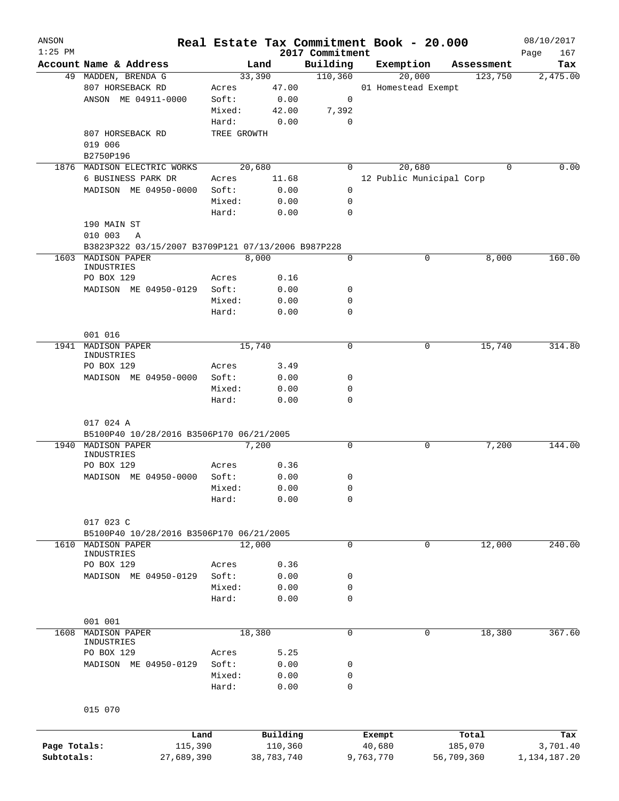| $1:25$ PM                  |                                                                                      |                |                       | 2017 Commitment | Real Estate Tax Commitment Book - 20.000 |             |                       | 08/10/2017<br>167           |
|----------------------------|--------------------------------------------------------------------------------------|----------------|-----------------------|-----------------|------------------------------------------|-------------|-----------------------|-----------------------------|
|                            | Account Name & Address                                                               |                | Land                  | Building        | Exemption                                |             | Assessment            | Page<br>Tax                 |
|                            | 49 MADDEN, BRENDA G                                                                  |                | 33,390                | 110,360         | 20,000                                   |             | 123,750               | 2,475.00                    |
|                            | 807 HORSEBACK RD                                                                     | Acres          | 47.00                 |                 | 01 Homestead Exempt                      |             |                       |                             |
|                            | ANSON ME 04911-0000                                                                  | Soft:          | 0.00                  | 0               |                                          |             |                       |                             |
|                            |                                                                                      | Mixed:         | 42.00                 | 7,392           |                                          |             |                       |                             |
|                            |                                                                                      | Hard:          | 0.00                  | 0               |                                          |             |                       |                             |
|                            | 807 HORSEBACK RD                                                                     | TREE GROWTH    |                       |                 |                                          |             |                       |                             |
|                            | 019 006                                                                              |                |                       |                 |                                          |             |                       |                             |
|                            | B2750P196                                                                            |                |                       |                 |                                          |             |                       |                             |
|                            | 1876 MADISON ELECTRIC WORKS                                                          |                | 20,680                | 0               | 20,680                                   |             | 0                     | 0.00                        |
|                            | 6 BUSINESS PARK DR                                                                   |                |                       |                 | 12 Public Municipal Corp                 |             |                       |                             |
|                            |                                                                                      | Acres<br>Soft: | 11.68                 |                 |                                          |             |                       |                             |
|                            | MADISON ME 04950-0000                                                                |                | 0.00                  | 0               |                                          |             |                       |                             |
|                            |                                                                                      | Mixed:         | 0.00                  | 0               |                                          |             |                       |                             |
|                            |                                                                                      | Hard:          | 0.00                  | 0               |                                          |             |                       |                             |
|                            | 190 MAIN ST                                                                          |                |                       |                 |                                          |             |                       |                             |
|                            | 010 003<br>Α                                                                         |                |                       |                 |                                          |             |                       |                             |
|                            | B3823P322 03/15/2007 B3709P121 07/13/2006 B987P228                                   |                |                       |                 |                                          |             |                       |                             |
| 1603                       | MADISON PAPER                                                                        |                | 8,000                 | 0               |                                          | 0           | 8,000                 | 160.00                      |
|                            | INDUSTRIES                                                                           |                |                       |                 |                                          |             |                       |                             |
|                            | PO BOX 129                                                                           | Acres          | 0.16                  |                 |                                          |             |                       |                             |
|                            | MADISON ME 04950-0129                                                                | Soft:          | 0.00                  | 0               |                                          |             |                       |                             |
|                            |                                                                                      | Mixed:         | 0.00                  | 0               |                                          |             |                       |                             |
|                            |                                                                                      | Hard:          | 0.00                  | 0               |                                          |             |                       |                             |
|                            |                                                                                      |                |                       |                 |                                          |             |                       |                             |
|                            | 001 016                                                                              |                |                       |                 |                                          |             |                       |                             |
|                            | 1941 MADISON PAPER                                                                   |                | 15,740                | 0               |                                          | 0           | 15,740                | 314.80                      |
|                            | INDUSTRIES                                                                           |                |                       |                 |                                          |             |                       |                             |
|                            | PO BOX 129                                                                           | Acres          | 3.49                  |                 |                                          |             |                       |                             |
|                            | MADISON ME 04950-0000                                                                | Soft:          | 0.00                  | 0               |                                          |             |                       |                             |
|                            |                                                                                      | Mixed:         | 0.00                  | 0               |                                          |             |                       |                             |
|                            |                                                                                      | Hard:          | 0.00                  | $\mathbf 0$     |                                          |             |                       |                             |
| 1940                       | 017 024 A<br>B5100P40 10/28/2016 B3506P170 06/21/2005<br>MADISON PAPER<br>INDUSTRIES |                | 7,200                 | $\mathbf 0$     |                                          | 0           | 7,200                 | 144.00                      |
|                            | PO BOX 129                                                                           | Acres          | 0.36                  |                 |                                          |             |                       |                             |
|                            | MADISON ME 04950-0000                                                                | Soft:          | 0.00                  | 0               |                                          |             |                       |                             |
|                            |                                                                                      | Mixed:         | 0.00                  | 0               |                                          |             |                       |                             |
|                            |                                                                                      | Hard:          | 0.00                  | $\mathbf 0$     |                                          |             |                       |                             |
|                            |                                                                                      |                |                       |                 |                                          |             |                       |                             |
|                            |                                                                                      |                |                       |                 |                                          |             |                       |                             |
|                            |                                                                                      |                |                       |                 |                                          |             |                       |                             |
|                            | 017 023 C                                                                            |                |                       |                 |                                          |             |                       |                             |
|                            | B5100P40 10/28/2016 B3506P170 06/21/2005                                             |                |                       |                 |                                          |             |                       |                             |
| 1610                       | MADISON PAPER                                                                        |                | 12,000                | $\mathbf 0$     |                                          | $\mathbf 0$ | 12,000                |                             |
|                            | INDUSTRIES                                                                           |                |                       |                 |                                          |             |                       |                             |
|                            | PO BOX 129                                                                           | Acres          | 0.36                  |                 |                                          |             |                       |                             |
|                            | MADISON ME 04950-0129                                                                | Soft:          | 0.00                  | 0               |                                          |             |                       |                             |
|                            |                                                                                      | Mixed:         | 0.00                  | 0               |                                          |             |                       |                             |
|                            |                                                                                      | Hard:          | 0.00                  | 0               |                                          |             |                       |                             |
|                            |                                                                                      |                |                       |                 |                                          |             |                       |                             |
|                            | 001 001                                                                              |                |                       |                 |                                          |             |                       |                             |
| 1608                       | MADISON PAPER                                                                        |                | 18,380                | 0               |                                          | 0           | 18,380                |                             |
|                            | INDUSTRIES                                                                           |                |                       |                 |                                          |             |                       |                             |
|                            | PO BOX 129                                                                           | Acres          | 5.25                  |                 |                                          |             |                       |                             |
|                            | MADISON ME 04950-0129                                                                | Soft:          | 0.00                  | 0               |                                          |             |                       |                             |
|                            |                                                                                      | Mixed:         | 0.00                  | 0               |                                          |             |                       |                             |
|                            |                                                                                      | Hard:          | 0.00                  | 0               |                                          |             |                       |                             |
|                            |                                                                                      |                |                       |                 |                                          |             |                       |                             |
|                            | 015 070                                                                              |                |                       |                 |                                          |             |                       |                             |
|                            |                                                                                      |                |                       |                 |                                          |             |                       | 240.00<br>367.60            |
|                            | Land                                                                                 |                | Building              |                 | Exempt                                   |             | Total                 | Tax                         |
| Page Totals:<br>Subtotals: | 115,390<br>27,689,390                                                                |                | 110,360<br>38,783,740 |                 | 40,680<br>9,763,770                      |             | 185,070<br>56,709,360 | 3,701.40<br>1, 134, 187. 20 |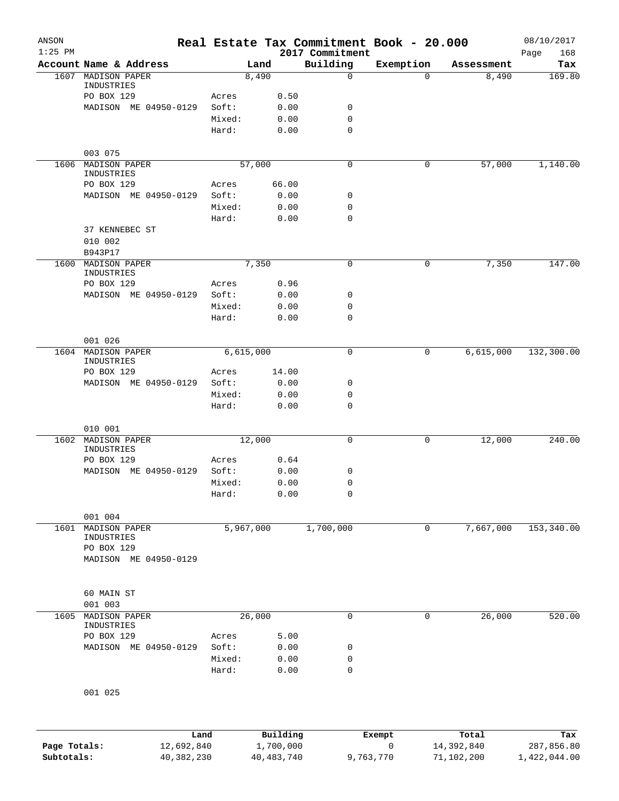| ANSON<br>$1:25$ PM |                                 |        |              | 2017 Commitment | Real Estate Tax Commitment Book - 20.000 |            | 08/10/2017<br>168<br>Page |
|--------------------|---------------------------------|--------|--------------|-----------------|------------------------------------------|------------|---------------------------|
|                    | Account Name & Address          |        | Land         | Building        | Exemption                                | Assessment | Tax                       |
| 1607               | MADISON PAPER                   |        | 8,490        | $\mathbf 0$     | $\Omega$                                 | 8,490      | 169.80                    |
|                    | INDUSTRIES<br>PO BOX 129        | Acres  | 0.50         |                 |                                          |            |                           |
|                    | MADISON ME 04950-0129           | Soft:  | 0.00         | 0               |                                          |            |                           |
|                    |                                 | Mixed: | 0.00         | $\mathbf 0$     |                                          |            |                           |
|                    |                                 | Hard:  | 0.00         | 0               |                                          |            |                           |
|                    | 003 075                         |        |              |                 |                                          |            |                           |
| 1606               | MADISON PAPER                   |        | 57,000       | $\mathbf 0$     | 0                                        | 57,000     | 1,140.00                  |
|                    | INDUSTRIES                      |        |              |                 |                                          |            |                           |
|                    | PO BOX 129                      | Acres  | 66.00        |                 |                                          |            |                           |
|                    | MADISON ME 04950-0129           | Soft:  | 0.00         | 0               |                                          |            |                           |
|                    |                                 | Mixed: | 0.00         | 0               |                                          |            |                           |
|                    |                                 | Hard:  | 0.00         | $\mathbf 0$     |                                          |            |                           |
|                    | 37 KENNEBEC ST                  |        |              |                 |                                          |            |                           |
|                    | 010 002                         |        |              |                 |                                          |            |                           |
|                    | B943P17<br><b>MADISON PAPER</b> |        |              |                 |                                          |            |                           |
| 1600               | INDUSTRIES                      |        | 7,350        | 0               | 0                                        | 7,350      | 147.00                    |
|                    | PO BOX 129                      | Acres  | 0.96         |                 |                                          |            |                           |
|                    | MADISON ME 04950-0129           | Soft:  | 0.00         | 0               |                                          |            |                           |
|                    |                                 | Mixed: | 0.00         | 0               |                                          |            |                           |
|                    |                                 | Hard:  | 0.00         | $\mathbf 0$     |                                          |            |                           |
|                    |                                 |        |              |                 |                                          |            |                           |
|                    | 001 026                         |        |              |                 |                                          |            |                           |
|                    | 1604 MADISON PAPER              |        | 6,615,000    | 0               | 0                                        | 6,615,000  | 132,300.00                |
|                    | INDUSTRIES                      |        |              |                 |                                          |            |                           |
|                    | PO BOX 129                      | Acres  | 14.00        |                 |                                          |            |                           |
|                    | MADISON ME 04950-0129           | Soft:  | 0.00         | 0               |                                          |            |                           |
|                    |                                 | Mixed: | 0.00         | 0               |                                          |            |                           |
|                    |                                 | Hard:  | 0.00         | 0               |                                          |            |                           |
|                    | 010 001                         |        |              |                 |                                          |            |                           |
| 1602               | MADISON PAPER                   |        | 12,000       | 0               | 0                                        | 12,000     | 240.00                    |
|                    | INDUSTRIES                      |        |              |                 |                                          |            |                           |
|                    | PO BOX 129                      | Acres  | 0.64         |                 |                                          |            |                           |
|                    | MADISON ME 04950-0129           | Soft:  | 0.00         | 0               |                                          |            |                           |
|                    |                                 | Mixed: | 0.00         | $\mathbf 0$     |                                          |            |                           |
|                    |                                 | Hard:  | 0.00         | 0               |                                          |            |                           |
|                    | 001 004                         |        |              |                 |                                          |            |                           |
| 1601               | <b>MADISON PAPER</b>            |        | 5,967,000    | 1,700,000       | 0                                        | 7,667,000  | 153,340.00                |
|                    | INDUSTRIES                      |        |              |                 |                                          |            |                           |
|                    | PO BOX 129                      |        |              |                 |                                          |            |                           |
|                    | MADISON ME 04950-0129           |        |              |                 |                                          |            |                           |
|                    |                                 |        |              |                 |                                          |            |                           |
|                    |                                 |        |              |                 |                                          |            |                           |
|                    | 60 MAIN ST                      |        |              |                 |                                          |            |                           |
|                    | 001 003                         |        |              |                 |                                          |            |                           |
| 1605               | MADISON PAPER<br>INDUSTRIES     |        | 26,000       | 0               | 0                                        | 26,000     | 520.00                    |
|                    | PO BOX 129                      | Acres  | 5.00         |                 |                                          |            |                           |
|                    | MADISON ME 04950-0129           | Soft:  | 0.00         | 0               |                                          |            |                           |
|                    |                                 | Mixed: | 0.00         | 0               |                                          |            |                           |
|                    |                                 | Hard:  | 0.00         | 0               |                                          |            |                           |
|                    |                                 |        |              |                 |                                          |            |                           |
|                    | 001 025                         |        |              |                 |                                          |            |                           |
|                    |                                 |        |              |                 |                                          |            |                           |
|                    |                                 | Land   | Building     |                 | Exempt                                   | Total      | Tax                       |
| Page Totals:       | 12,692,840                      |        | 1,700,000    |                 | $\mathbf 0$                              | 14,392,840 | 287,856.80                |
| Subtotals:         | 40,382,230                      |        | 40, 483, 740 |                 | 9,763,770                                | 71,102,200 | 1,422,044.00              |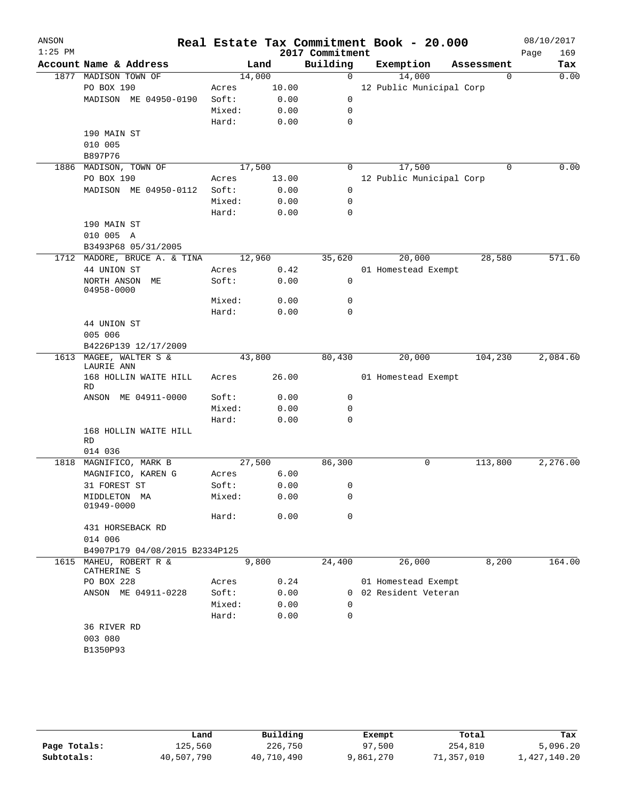| ANSON<br>$1:25$ PM |                                       |        |              | 2017 Commitment | Real Estate Tax Commitment Book - 20.000 |            | 08/10/2017<br>169<br>Page |
|--------------------|---------------------------------------|--------|--------------|-----------------|------------------------------------------|------------|---------------------------|
|                    | Account Name & Address                |        | Land         | Building        | Exemption                                | Assessment | Tax                       |
|                    | 1877 MADISON TOWN OF                  | 14,000 |              | $\mathbf 0$     | 14,000                                   | 0          | 0.00                      |
|                    | PO BOX 190                            | Acres  | 10.00        |                 | 12 Public Municipal Corp                 |            |                           |
|                    | MADISON ME 04950-0190                 | Soft:  | 0.00         | $\mathbf 0$     |                                          |            |                           |
|                    |                                       | Mixed: | 0.00         | 0               |                                          |            |                           |
|                    |                                       | Hard:  | 0.00         | $\mathbf 0$     |                                          |            |                           |
|                    | 190 MAIN ST                           |        |              |                 |                                          |            |                           |
|                    | 010 005                               |        |              |                 |                                          |            |                           |
|                    | B897P76                               |        |              |                 |                                          |            |                           |
|                    | 1886 MADISON, TOWN OF                 | 17,500 |              | 0               | 17,500                                   | $\Omega$   | 0.00                      |
|                    | PO BOX 190                            | Acres  | 13.00        |                 | 12 Public Municipal Corp                 |            |                           |
|                    | MADISON ME 04950-0112                 | Soft:  | 0.00         | $\mathbf 0$     |                                          |            |                           |
|                    |                                       | Mixed: | 0.00         | 0               |                                          |            |                           |
|                    |                                       | Hard:  | 0.00         | $\mathbf 0$     |                                          |            |                           |
|                    | 190 MAIN ST                           |        |              |                 |                                          |            |                           |
|                    | 010 005 A                             |        |              |                 |                                          |            |                           |
|                    | B3493P68 05/31/2005                   |        |              |                 |                                          |            |                           |
|                    | 1712 MADORE, BRUCE A. & TINA          | 12,960 |              | 35,620          | 20,000                                   | 28,580     | 571.60                    |
|                    | 44 UNION ST                           | Acres  | 0.42         |                 | 01 Homestead Exempt                      |            |                           |
|                    | NORTH ANSON ME                        | Soft:  | 0.00         | 0               |                                          |            |                           |
|                    | 04958-0000                            |        |              |                 |                                          |            |                           |
|                    |                                       | Mixed: | 0.00         | 0               |                                          |            |                           |
|                    |                                       | Hard:  | 0.00         | $\mathbf 0$     |                                          |            |                           |
|                    | 44 UNION ST                           |        |              |                 |                                          |            |                           |
|                    | 005 006                               |        |              |                 |                                          |            |                           |
|                    | B4226P139 12/17/2009                  |        |              |                 |                                          |            |                           |
|                    | 1613 MAGEE, WALTER S &                |        | 43,800       | 80,430          | 20,000                                   | 104,230    | 2,084.60                  |
|                    | LAURIE ANN                            |        |              |                 |                                          |            |                           |
|                    | 168 HOLLIN WAITE HILL<br>RD           | Acres  | 26.00        |                 | 01 Homestead Exempt                      |            |                           |
|                    | ANSON ME 04911-0000                   | Soft:  | 0.00         | 0               |                                          |            |                           |
|                    |                                       | Mixed: | 0.00         | 0               |                                          |            |                           |
|                    |                                       | Hard:  | 0.00         | $\mathbf 0$     |                                          |            |                           |
|                    | 168 HOLLIN WAITE HILL                 |        |              |                 |                                          |            |                           |
|                    | RD                                    |        |              |                 |                                          |            |                           |
|                    | 014 036                               |        |              |                 |                                          |            |                           |
| 1818               | MAGNIFICO, MARK B                     |        | 27,500       | 86,300          | 0                                        | 113,800    | 2,276.00                  |
|                    | MAGNIFICO, KAREN G                    | Acres  | 6.00         |                 |                                          |            |                           |
|                    | 31 FOREST ST                          | Soft:  | 0.00         | 0               |                                          |            |                           |
|                    | MIDDLETON MA                          | Mixed: | 0.00         | $\mathbf 0$     |                                          |            |                           |
|                    | 01949-0000                            |        |              |                 |                                          |            |                           |
|                    |                                       | Hard:  | 0.00         | $\mathbf 0$     |                                          |            |                           |
|                    | 431 HORSEBACK RD                      |        |              |                 |                                          |            |                           |
|                    | 014 006                               |        |              |                 |                                          |            |                           |
|                    | B4907P179 04/08/2015 B2334P125        |        |              |                 |                                          |            |                           |
|                    | 1615 MAHEU, ROBERT R &<br>CATHERINE S |        | 9,800        | 24,400          | 26,000                                   | 8,200      | 164.00                    |
|                    | PO BOX 228                            | Acres  | 0.24         |                 | 01 Homestead Exempt                      |            |                           |
|                    |                                       | Soft:  |              | $\Omega$        | 02 Resident Veteran                      |            |                           |
|                    | ANSON ME 04911-0228                   | Mixed: | 0.00<br>0.00 | $\Omega$        |                                          |            |                           |
|                    |                                       |        | 0.00         | $\mathbf 0$     |                                          |            |                           |
|                    |                                       | Hard:  |              |                 |                                          |            |                           |
|                    | 36 RIVER RD                           |        |              |                 |                                          |            |                           |
|                    | 003 080<br>B1350P93                   |        |              |                 |                                          |            |                           |
|                    |                                       |        |              |                 |                                          |            |                           |
|                    |                                       |        |              |                 |                                          |            |                           |

|              | Land       | Building   | Exempt    | Total      | Tax          |
|--------------|------------|------------|-----------|------------|--------------|
| Page Totals: | 125,560    | 226,750    | 97,500    | 254,810    | 5,096.20     |
| Subtotals:   | 40,507,790 | 40,710,490 | 9,861,270 | 71,357,010 | 1,427,140.20 |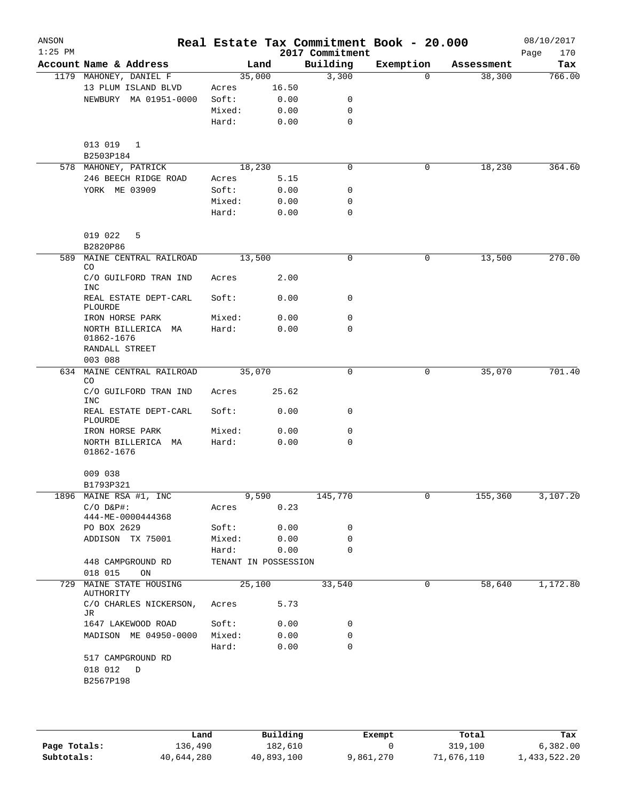| ANSON<br>$1:25$ PM |                                     |                      |        |       | Real Estate Tax Commitment Book - 20.000<br>2017 Commitment |           |            | 08/10/2017<br>170<br>Page |
|--------------------|-------------------------------------|----------------------|--------|-------|-------------------------------------------------------------|-----------|------------|---------------------------|
|                    | Account Name & Address              |                      | Land   |       | Building                                                    | Exemption | Assessment | Tax                       |
|                    | 1179 MAHONEY, DANIEL F              |                      | 35,000 |       | 3,300                                                       | $\Omega$  | 38,300     | 766.00                    |
|                    | 13 PLUM ISLAND BLVD                 | Acres                |        | 16.50 |                                                             |           |            |                           |
|                    | NEWBURY MA 01951-0000               | Soft:                |        | 0.00  | 0                                                           |           |            |                           |
|                    |                                     | Mixed:               |        | 0.00  | 0                                                           |           |            |                           |
|                    |                                     | Hard:                |        | 0.00  | $\mathbf 0$                                                 |           |            |                           |
|                    |                                     |                      |        |       |                                                             |           |            |                           |
|                    | 013 019 1                           |                      |        |       |                                                             |           |            |                           |
|                    | B2503P184                           |                      |        |       |                                                             |           |            |                           |
|                    | 578 MAHONEY, PATRICK                |                      | 18,230 |       | $\mathbf 0$                                                 | 0         | 18,230     | 364.60                    |
|                    | 246 BEECH RIDGE ROAD                | Acres                |        | 5.15  |                                                             |           |            |                           |
|                    | YORK ME 03909                       | Soft:                |        | 0.00  | 0                                                           |           |            |                           |
|                    |                                     | Mixed:               |        | 0.00  | 0                                                           |           |            |                           |
|                    |                                     | Hard:                |        | 0.00  | $\mathbf 0$                                                 |           |            |                           |
|                    |                                     |                      |        |       |                                                             |           |            |                           |
|                    | 019 022<br>5<br>B2820P86            |                      |        |       |                                                             |           |            |                           |
| 589                | MAINE CENTRAL RAILROAD              |                      | 13,500 |       | 0                                                           | 0         | 13,500     | 270.00                    |
|                    | CO                                  |                      |        |       |                                                             |           |            |                           |
|                    | C/O GUILFORD TRAN IND               | Acres                |        | 2.00  |                                                             |           |            |                           |
|                    | <b>INC</b>                          |                      |        |       |                                                             |           |            |                           |
|                    | REAL ESTATE DEPT-CARL               | Soft:                |        | 0.00  | 0                                                           |           |            |                           |
|                    | PLOURDE<br>IRON HORSE PARK          | Mixed:               |        | 0.00  | 0                                                           |           |            |                           |
|                    | NORTH BILLERICA MA                  | Hard:                |        | 0.00  | 0                                                           |           |            |                           |
|                    | 01862-1676                          |                      |        |       |                                                             |           |            |                           |
|                    | RANDALL STREET                      |                      |        |       |                                                             |           |            |                           |
|                    | 003 088                             |                      |        |       |                                                             |           |            |                           |
|                    | 634 MAINE CENTRAL RAILROAD<br>CO    |                      | 35,070 |       | 0                                                           | 0         | 35,070     | 701.40                    |
|                    | C/O GUILFORD TRAN IND<br><b>INC</b> | Acres                |        | 25.62 |                                                             |           |            |                           |
|                    | REAL ESTATE DEPT-CARL<br>PLOURDE    | Soft:                |        | 0.00  | $\mathbf 0$                                                 |           |            |                           |
|                    | IRON HORSE PARK                     | Mixed:               |        | 0.00  | 0                                                           |           |            |                           |
|                    | NORTH BILLERICA MA                  | Hard:                |        | 0.00  | 0                                                           |           |            |                           |
|                    | 01862-1676                          |                      |        |       |                                                             |           |            |                           |
|                    | 009 038                             |                      |        |       |                                                             |           |            |                           |
|                    | B1793P321                           |                      |        |       |                                                             |           |            |                           |
|                    | 1896 MAINE RSA #1, INC              |                      |        | 9,590 | 145,770                                                     | 0         | 155,360    | 3,107.20                  |
|                    | $C/O$ $D\&P$ #:                     | Acres                |        | 0.23  |                                                             |           |            |                           |
|                    | 444-ME-0000444368                   |                      |        |       |                                                             |           |            |                           |
|                    | PO BOX 2629                         | Soft:                |        | 0.00  | 0                                                           |           |            |                           |
|                    | ADDISON TX 75001                    | Mixed:               |        | 0.00  | 0                                                           |           |            |                           |
|                    |                                     | Hard:                |        | 0.00  | 0                                                           |           |            |                           |
|                    | 448 CAMPGROUND RD                   | TENANT IN POSSESSION |        |       |                                                             |           |            |                           |
|                    | 018 015<br>ON                       |                      |        |       |                                                             |           |            |                           |
| 729                | MAINE STATE HOUSING<br>AUTHORITY    |                      | 25,100 |       | 33,540                                                      | 0         | 58,640     | 1,172.80                  |
|                    | C/O CHARLES NICKERSON,              | Acres                |        | 5.73  |                                                             |           |            |                           |
|                    | JR                                  |                      |        |       |                                                             |           |            |                           |
|                    | 1647 LAKEWOOD ROAD                  | Soft:                |        | 0.00  | 0                                                           |           |            |                           |
|                    | MADISON ME 04950-0000               | Mixed:               |        | 0.00  | 0                                                           |           |            |                           |
|                    |                                     | Hard:                |        | 0.00  | 0                                                           |           |            |                           |
|                    | 517 CAMPGROUND RD                   |                      |        |       |                                                             |           |            |                           |
|                    | 018 012<br>D                        |                      |        |       |                                                             |           |            |                           |
|                    | B2567P198                           |                      |        |       |                                                             |           |            |                           |
|                    |                                     |                      |        |       |                                                             |           |            |                           |

|              | Land       | Building   | Exempt    | Total      | Tax          |
|--------------|------------|------------|-----------|------------|--------------|
| Page Totals: | 136,490    | 182,610    |           | 319,100    | 6,382.00     |
| Subtotals:   | 40,644,280 | 40,893,100 | 9,861,270 | 71,676,110 | 1,433,522.20 |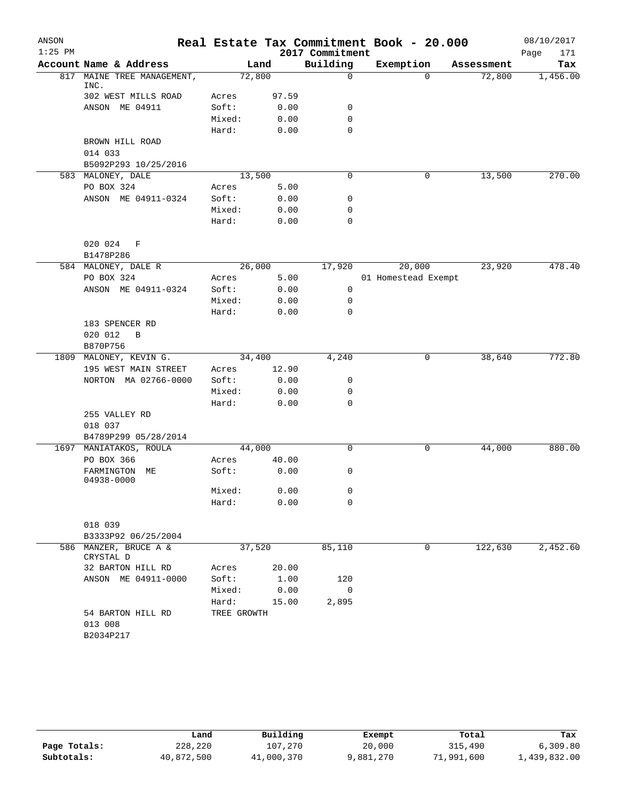| ANSON     |                                    |                 |              |                 | Real Estate Tax Commitment Book - 20.000 |            | 08/10/2017  |
|-----------|------------------------------------|-----------------|--------------|-----------------|------------------------------------------|------------|-------------|
| $1:25$ PM |                                    |                 |              | 2017 Commitment |                                          |            | Page<br>171 |
|           | Account Name & Address             |                 | Land         | Building        | Exemption                                | Assessment | Tax         |
| 817       | MAINE TREE MANAGEMENT,<br>INC.     |                 | 72,800       | $\mathbf 0$     | $\Omega$                                 | 72,800     | 1,456.00    |
|           | 302 WEST MILLS ROAD                | Acres           | 97.59        |                 |                                          |            |             |
|           | ANSON ME 04911                     | Soft:           | 0.00         | 0               |                                          |            |             |
|           |                                    | Mixed:          | 0.00         | $\mathbf 0$     |                                          |            |             |
|           |                                    | Hard:           | 0.00         | 0               |                                          |            |             |
|           | BROWN HILL ROAD                    |                 |              |                 |                                          |            |             |
|           | 014 033                            |                 |              |                 |                                          |            |             |
|           | B5092P293 10/25/2016               |                 |              |                 |                                          |            |             |
|           | 583 MALONEY, DALE                  |                 | 13,500       | 0               | 0                                        | 13,500     | 270.00      |
|           | PO BOX 324                         | Acres           | 5.00         |                 |                                          |            |             |
|           | ANSON ME 04911-0324                | Soft:           | 0.00         | 0               |                                          |            |             |
|           |                                    | Mixed:          | 0.00         | 0               |                                          |            |             |
|           |                                    | Hard:           | 0.00         | 0               |                                          |            |             |
|           | 020 024<br>F                       |                 |              |                 |                                          |            |             |
|           | B1478P286                          |                 |              |                 |                                          |            |             |
|           | 584 MALONEY, DALE R                |                 | 26,000       | 17,920          | 20,000                                   | 23,920     | 478.40      |
|           | PO BOX 324                         | Acres           | 5.00         | 0               | 01 Homestead Exempt                      |            |             |
|           | ANSON ME 04911-0324                | Soft:<br>Mixed: | 0.00<br>0.00 | $\mathbf 0$     |                                          |            |             |
|           |                                    | Hard:           | 0.00         | 0               |                                          |            |             |
|           | 183 SPENCER RD                     |                 |              |                 |                                          |            |             |
|           | 020 012<br>$\mathbf B$             |                 |              |                 |                                          |            |             |
|           | B870P756                           |                 |              |                 |                                          |            |             |
|           | 1809 MALONEY, KEVIN G.             |                 | 34,400       | 4,240           | 0                                        | 38,640     | 772.80      |
|           | 195 WEST MAIN STREET               | Acres           | 12.90        |                 |                                          |            |             |
|           | NORTON MA 02766-0000               | Soft:           | 0.00         | 0               |                                          |            |             |
|           |                                    | Mixed:          | 0.00         | 0               |                                          |            |             |
|           |                                    | Hard:           | 0.00         | 0               |                                          |            |             |
|           | 255 VALLEY RD                      |                 |              |                 |                                          |            |             |
|           | 018 037                            |                 |              |                 |                                          |            |             |
|           | B4789P299 05/28/2014               |                 |              |                 |                                          |            |             |
|           | 1697 MANIATAKOS, ROULA             |                 | 44,000       | 0               | 0                                        | 44,000     | 880.00      |
|           | PO BOX 366                         | Acres           | 40.00        |                 |                                          |            |             |
|           | FARMINGTON<br>MЕ<br>04938-0000     | Soft:           | 0.00         | 0               |                                          |            |             |
|           |                                    | Mixed:          | 0.00         | 0               |                                          |            |             |
|           |                                    | Hard:           | 0.00         | $\mathbf 0$     |                                          |            |             |
|           | 018 039                            |                 |              |                 |                                          |            |             |
|           | B3333P92 06/25/2004                |                 |              |                 |                                          |            |             |
|           | 586 MANZER, BRUCE A &<br>CRYSTAL D |                 | 37,520       | 85,110          | 0                                        | 122,630    | 2,452.60    |
|           | 32 BARTON HILL RD                  | Acres           | 20.00        |                 |                                          |            |             |
|           | ANSON ME 04911-0000                | Soft:           | 1.00         | 120             |                                          |            |             |
|           |                                    | Mixed:          | 0.00         | 0               |                                          |            |             |
|           |                                    | Hard:           | 15.00        | 2,895           |                                          |            |             |
|           | 54 BARTON HILL RD<br>013 008       | TREE GROWTH     |              |                 |                                          |            |             |
|           | B2034P217                          |                 |              |                 |                                          |            |             |

|              | ⊥and       | Building   | Exempt    | Total      | Tax          |
|--------------|------------|------------|-----------|------------|--------------|
| Page Totals: | 228,220    | 107,270    | 20,000    | 315,490    | 6,309.80     |
| Subtotals:   | 40,872,500 | 41,000,370 | 9,881,270 | 71,991,600 | 1,439,832.00 |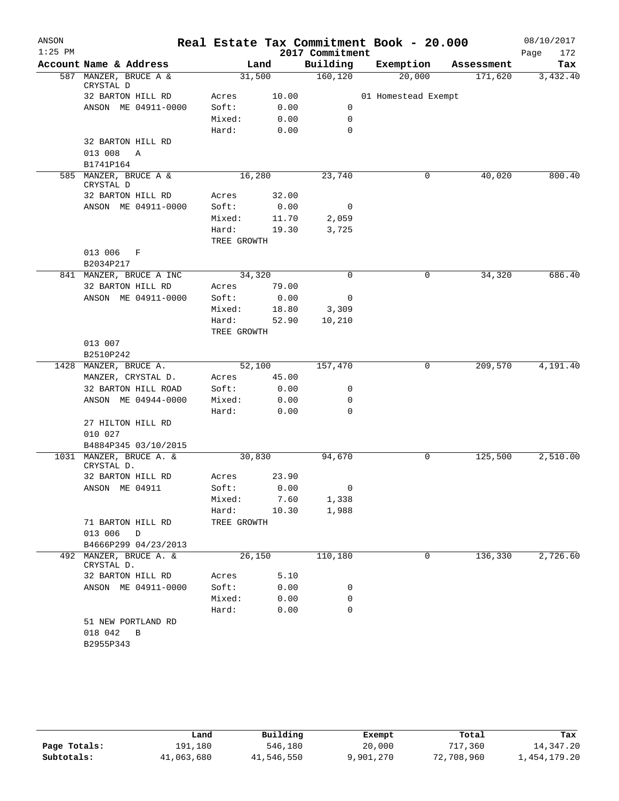| ANSON     |                                       |             |       |                 | Real Estate Tax Commitment Book - 20.000 |            | 08/10/2017  |
|-----------|---------------------------------------|-------------|-------|-----------------|------------------------------------------|------------|-------------|
| $1:25$ PM |                                       |             |       | 2017 Commitment |                                          |            | Page<br>172 |
|           | Account Name & Address                |             | Land  | Building        | Exemption                                | Assessment | Tax         |
|           | 587 MANZER, BRUCE A &<br>CRYSTAL D    | 31,500      |       | 160, 120        | 20,000                                   | 171,620    | 3,432.40    |
|           | 32 BARTON HILL RD                     | Acres       | 10.00 |                 | 01 Homestead Exempt                      |            |             |
|           | ANSON ME 04911-0000                   | Soft:       | 0.00  | 0               |                                          |            |             |
|           |                                       | Mixed:      | 0.00  | 0               |                                          |            |             |
|           |                                       | Hard:       | 0.00  | 0               |                                          |            |             |
|           | 32 BARTON HILL RD                     |             |       |                 |                                          |            |             |
|           | 013 008<br>Α                          |             |       |                 |                                          |            |             |
|           | B1741P164                             |             |       |                 |                                          |            |             |
|           | 585 MANZER, BRUCE A &<br>CRYSTAL D    | 16,280      |       | 23,740          | 0                                        | 40,020     | 800.40      |
|           | 32 BARTON HILL RD                     | Acres       | 32.00 |                 |                                          |            |             |
|           | ANSON ME 04911-0000                   | Soft:       | 0.00  | 0               |                                          |            |             |
|           |                                       | Mixed:      | 11.70 | 2,059           |                                          |            |             |
|           |                                       | Hard:       | 19.30 | 3,725           |                                          |            |             |
|           |                                       | TREE GROWTH |       |                 |                                          |            |             |
|           | 013 006<br>F<br>B2034P217             |             |       |                 |                                          |            |             |
|           | 841 MANZER, BRUCE A INC               | 34,320      |       | $\Omega$        | 0                                        | 34,320     | 686.40      |
|           | 32 BARTON HILL RD                     | Acres       | 79.00 |                 |                                          |            |             |
|           | ANSON ME 04911-0000                   | Soft:       | 0.00  | 0               |                                          |            |             |
|           |                                       | Mixed:      | 18.80 | 3,309           |                                          |            |             |
|           |                                       | Hard:       | 52.90 | 10,210          |                                          |            |             |
|           |                                       | TREE GROWTH |       |                 |                                          |            |             |
|           | 013 007                               |             |       |                 |                                          |            |             |
|           | B2510P242                             |             |       |                 |                                          |            |             |
| 1428      | MANZER, BRUCE A.                      | 52,100      |       | 157,470         | 0                                        | 209,570    | 4,191.40    |
|           | MANZER, CRYSTAL D.                    | Acres       | 45.00 |                 |                                          |            |             |
|           | 32 BARTON HILL ROAD                   | Soft:       | 0.00  | 0               |                                          |            |             |
|           | ANSON ME 04944-0000                   | Mixed:      | 0.00  | 0               |                                          |            |             |
|           |                                       | Hard:       | 0.00  | 0               |                                          |            |             |
|           | 27 HILTON HILL RD                     |             |       |                 |                                          |            |             |
|           | 010 027                               |             |       |                 |                                          |            |             |
|           | B4884P345 03/10/2015                  |             |       |                 |                                          |            |             |
|           | 1031 MANZER, BRUCE A. &<br>CRYSTAL D. | 30,830      |       | 94,670          | 0                                        | 125,500    | 2,510.00    |
|           | 32 BARTON HILL RD                     | Acres       | 23.90 |                 |                                          |            |             |
|           | ANSON ME 04911                        | Soft:       | 0.00  | $\mathbf{0}$    |                                          |            |             |
|           |                                       | Mixed:      | 7.60  | 1,338           |                                          |            |             |
|           |                                       | Hard:       | 10.30 | 1,988           |                                          |            |             |
|           | 71 BARTON HILL RD                     | TREE GROWTH |       |                 |                                          |            |             |
|           | 013 006 D                             |             |       |                 |                                          |            |             |
|           | B4666P299 04/23/2013                  |             |       |                 |                                          |            |             |
| 492       | MANZER, BRUCE A. &<br>CRYSTAL D.      | 26,150      |       | 110,180         | 0                                        | 136,330    | 2,726.60    |
|           | 32 BARTON HILL RD                     | Acres       | 5.10  |                 |                                          |            |             |
|           | ANSON ME 04911-0000                   | Soft:       | 0.00  | 0               |                                          |            |             |
|           |                                       | Mixed:      | 0.00  | 0               |                                          |            |             |
|           |                                       | Hard:       | 0.00  | 0               |                                          |            |             |
|           | 51 NEW PORTLAND RD                    |             |       |                 |                                          |            |             |
|           | 018 042<br>$\overline{B}$             |             |       |                 |                                          |            |             |
|           | B2955P343                             |             |       |                 |                                          |            |             |
|           |                                       |             |       |                 |                                          |            |             |

|              | Land       | Building   | Exempt    | Total      | Tax          |
|--------------|------------|------------|-----------|------------|--------------|
| Page Totals: | 191,180    | 546,180    | 20,000    | 717,360    | 14,347.20    |
| Subtotals:   | 41,063,680 | 41,546,550 | 9,901,270 | 72,708,960 | 1,454,179.20 |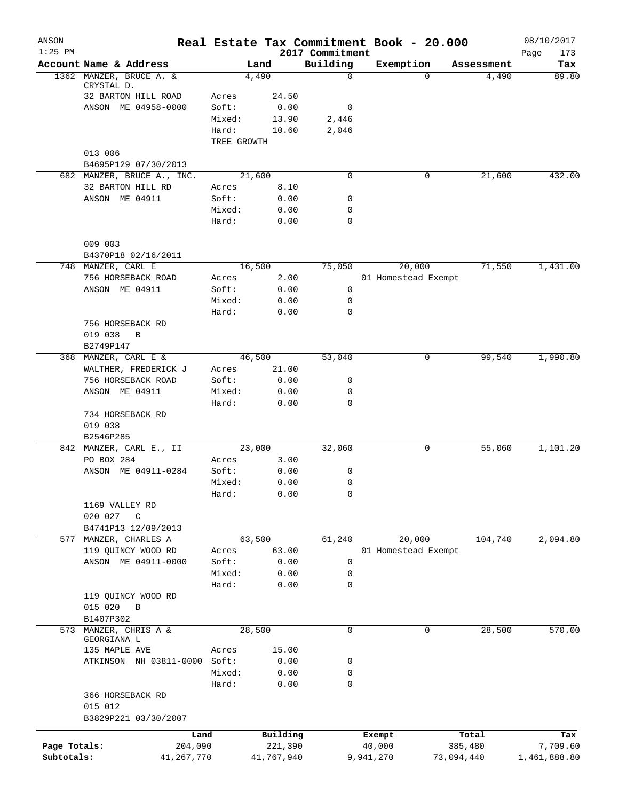| ANSON<br>$1:25$ PM |                              |                 | Real Estate Tax Commitment Book - 20.000 |                             |           |                     |            | 08/10/2017         |
|--------------------|------------------------------|-----------------|------------------------------------------|-----------------------------|-----------|---------------------|------------|--------------------|
|                    | Account Name & Address       |                 | Land                                     | 2017 Commitment<br>Building | Exemption |                     | Assessment | Page<br>173<br>Tax |
|                    | 1362 MANZER, BRUCE A. &      |                 | 4,490                                    | $\mathbf 0$                 |           | $\Omega$            | 4,490      | 89.80              |
|                    | CRYSTAL D.                   |                 |                                          |                             |           |                     |            |                    |
|                    | 32 BARTON HILL ROAD          | Acres           | 24.50                                    |                             |           |                     |            |                    |
|                    | ANSON ME 04958-0000          | Soft:           | 0.00                                     | 0                           |           |                     |            |                    |
|                    |                              | Mixed:          | 13.90                                    | 2,446                       |           |                     |            |                    |
|                    |                              | Hard:           | 10.60                                    | 2,046                       |           |                     |            |                    |
|                    | 013 006                      | TREE GROWTH     |                                          |                             |           |                     |            |                    |
|                    | B4695P129 07/30/2013         |                 |                                          |                             |           |                     |            |                    |
|                    | 682 MANZER, BRUCE A., INC.   |                 | 21,600                                   | 0                           |           | 0                   | 21,600     | 432.00             |
|                    | 32 BARTON HILL RD            | Acres           | 8.10                                     |                             |           |                     |            |                    |
|                    | ANSON ME 04911               | Soft:           | 0.00                                     | 0                           |           |                     |            |                    |
|                    |                              | Mixed:          | 0.00                                     | 0                           |           |                     |            |                    |
|                    |                              | Hard:           | 0.00                                     | $\mathbf 0$                 |           |                     |            |                    |
|                    | 009 003                      |                 |                                          |                             |           |                     |            |                    |
|                    | B4370P18 02/16/2011          |                 |                                          |                             |           |                     |            |                    |
|                    | 748 MANZER, CARL E           |                 | 16,500                                   | 75,050                      |           | 20,000              | 71,550     | 1,431.00           |
|                    | 756 HORSEBACK ROAD           | Acres           | 2.00                                     |                             |           | 01 Homestead Exempt |            |                    |
|                    | ANSON ME 04911               | Soft:           | 0.00                                     | 0                           |           |                     |            |                    |
|                    |                              | Mixed:          | 0.00                                     | 0                           |           |                     |            |                    |
|                    |                              | Hard:           | 0.00                                     | 0                           |           |                     |            |                    |
|                    | 756 HORSEBACK RD             |                 |                                          |                             |           |                     |            |                    |
|                    | 019 038<br>B                 |                 |                                          |                             |           |                     |            |                    |
|                    | B2749P147                    |                 |                                          |                             |           |                     |            |                    |
|                    | 368 MANZER, CARL E &         |                 | 46,500                                   | 53,040                      |           | 0                   | 99,540     | 1,990.80           |
|                    | WALTHER, FREDERICK J         | Acres           | 21.00                                    |                             |           |                     |            |                    |
|                    | 756 HORSEBACK ROAD           | Soft:           | 0.00                                     | 0                           |           |                     |            |                    |
|                    | ANSON ME 04911               | Mixed:          | 0.00                                     | 0                           |           |                     |            |                    |
|                    |                              | Hard:           | 0.00                                     | 0                           |           |                     |            |                    |
|                    | 734 HORSEBACK RD             |                 |                                          |                             |           |                     |            |                    |
|                    | 019 038                      |                 |                                          |                             |           |                     |            |                    |
|                    | B2546P285                    |                 |                                          |                             |           |                     |            |                    |
|                    | 842 MANZER, CARL E., II      |                 | 23,000                                   | 32,060                      |           | 0                   | 55,060     | 1,101.20           |
|                    | PO BOX 284                   | Acres           | 3.00                                     |                             |           |                     |            |                    |
|                    | ANSON ME 04911-0284          | Soft:           | 0.00                                     | 0                           |           |                     |            |                    |
|                    |                              | Mixed:          | 0.00                                     | 0                           |           |                     |            |                    |
|                    |                              | Hard:           | 0.00                                     | 0                           |           |                     |            |                    |
|                    | 1169 VALLEY RD               |                 |                                          |                             |           |                     |            |                    |
|                    | 020 027<br>C                 |                 |                                          |                             |           |                     |            |                    |
|                    | B4741P13 12/09/2013          |                 |                                          |                             |           |                     |            |                    |
|                    | 577 MANZER, CHARLES A        |                 | 63,500                                   | 61,240                      |           | 20,000              | 104,740    | 2,094.80           |
|                    | 119 QUINCY WOOD RD           | Acres           | 63.00                                    |                             |           | 01 Homestead Exempt |            |                    |
|                    | ANSON ME 04911-0000          | Soft:           | 0.00                                     | 0                           |           |                     |            |                    |
|                    |                              | Mixed:<br>Hard: | 0.00                                     | 0<br>0                      |           |                     |            |                    |
|                    | 119 QUINCY WOOD RD           |                 | 0.00                                     |                             |           |                     |            |                    |
|                    | 015 020<br>$\mathbf B$       |                 |                                          |                             |           |                     |            |                    |
|                    | B1407P302                    |                 |                                          |                             |           |                     |            |                    |
|                    | 573 MANZER, CHRIS A &        |                 | 28,500                                   | 0                           |           | 0                   | 28,500     | 570.00             |
|                    | GEORGIANA L                  |                 |                                          |                             |           |                     |            |                    |
|                    | 135 MAPLE AVE                | Acres           | 15.00                                    |                             |           |                     |            |                    |
|                    | ATKINSON NH 03811-0000 Soft: |                 | 0.00                                     | 0                           |           |                     |            |                    |
|                    |                              | Mixed:          | 0.00                                     | 0                           |           |                     |            |                    |
|                    |                              | Hard:           | 0.00                                     | $\mathbf 0$                 |           |                     |            |                    |
|                    | 366 HORSEBACK RD             |                 |                                          |                             |           |                     |            |                    |
|                    | 015 012                      |                 |                                          |                             |           |                     |            |                    |
|                    | B3829P221 03/30/2007         |                 |                                          |                             |           |                     |            |                    |
|                    | Land                         |                 | Building                                 |                             | Exempt    |                     | Total      | Tax                |
| Page Totals:       | 204,090                      |                 | 221,390                                  |                             | 40,000    |                     | 385,480    | 7,709.60           |
| Subtotals:         | 41, 267, 770                 |                 | 41,767,940                               |                             | 9,941,270 | 73,094,440          |            | 1,461,888.80       |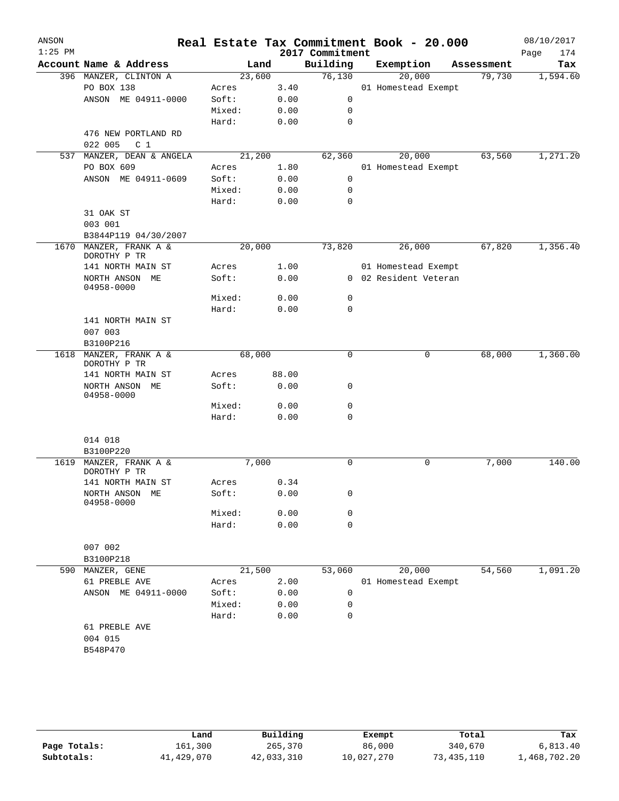|                                        |                                                                                                                                                                                                                                                                             |                                            | Real Estate Tax Commitment Book - 20.000                        |                                                                                                                                                                                                                   |                 |                                              | 08/10/2017                                                                                                                                                                                 |
|----------------------------------------|-----------------------------------------------------------------------------------------------------------------------------------------------------------------------------------------------------------------------------------------------------------------------------|--------------------------------------------|-----------------------------------------------------------------|-------------------------------------------------------------------------------------------------------------------------------------------------------------------------------------------------------------------|-----------------|----------------------------------------------|--------------------------------------------------------------------------------------------------------------------------------------------------------------------------------------------|
|                                        |                                                                                                                                                                                                                                                                             |                                            |                                                                 |                                                                                                                                                                                                                   |                 |                                              | Page<br>174<br>Tax                                                                                                                                                                         |
|                                        |                                                                                                                                                                                                                                                                             |                                            |                                                                 |                                                                                                                                                                                                                   |                 |                                              | 1,594.60                                                                                                                                                                                   |
|                                        |                                                                                                                                                                                                                                                                             |                                            |                                                                 |                                                                                                                                                                                                                   |                 |                                              |                                                                                                                                                                                            |
|                                        |                                                                                                                                                                                                                                                                             |                                            |                                                                 |                                                                                                                                                                                                                   |                 |                                              |                                                                                                                                                                                            |
|                                        |                                                                                                                                                                                                                                                                             |                                            |                                                                 |                                                                                                                                                                                                                   |                 |                                              |                                                                                                                                                                                            |
|                                        |                                                                                                                                                                                                                                                                             |                                            |                                                                 |                                                                                                                                                                                                                   |                 |                                              |                                                                                                                                                                                            |
|                                        |                                                                                                                                                                                                                                                                             |                                            |                                                                 |                                                                                                                                                                                                                   |                 |                                              |                                                                                                                                                                                            |
|                                        |                                                                                                                                                                                                                                                                             |                                            |                                                                 |                                                                                                                                                                                                                   |                 |                                              |                                                                                                                                                                                            |
|                                        |                                                                                                                                                                                                                                                                             |                                            |                                                                 |                                                                                                                                                                                                                   |                 |                                              | 1,271.20                                                                                                                                                                                   |
| PO BOX 609                             | Acres                                                                                                                                                                                                                                                                       |                                            |                                                                 |                                                                                                                                                                                                                   |                 |                                              |                                                                                                                                                                                            |
| ANSON ME 04911-0609                    | Soft:                                                                                                                                                                                                                                                                       |                                            | 0                                                               |                                                                                                                                                                                                                   |                 |                                              |                                                                                                                                                                                            |
|                                        | Mixed:                                                                                                                                                                                                                                                                      |                                            | 0                                                               |                                                                                                                                                                                                                   |                 |                                              |                                                                                                                                                                                            |
|                                        | Hard:                                                                                                                                                                                                                                                                       |                                            | 0                                                               |                                                                                                                                                                                                                   |                 |                                              |                                                                                                                                                                                            |
| 31 OAK ST                              |                                                                                                                                                                                                                                                                             |                                            |                                                                 |                                                                                                                                                                                                                   |                 |                                              |                                                                                                                                                                                            |
| 003 001                                |                                                                                                                                                                                                                                                                             |                                            |                                                                 |                                                                                                                                                                                                                   |                 |                                              |                                                                                                                                                                                            |
| B3844P119 04/30/2007                   |                                                                                                                                                                                                                                                                             |                                            |                                                                 |                                                                                                                                                                                                                   |                 |                                              |                                                                                                                                                                                            |
| 1670 MANZER, FRANK A &<br>DOROTHY P TR |                                                                                                                                                                                                                                                                             |                                            | 73,820                                                          |                                                                                                                                                                                                                   | 26,000          |                                              | 1,356.40                                                                                                                                                                                   |
| 141 NORTH MAIN ST                      | Acres                                                                                                                                                                                                                                                                       |                                            |                                                                 |                                                                                                                                                                                                                   |                 |                                              |                                                                                                                                                                                            |
| NORTH ANSON ME<br>04958-0000           | Soft:                                                                                                                                                                                                                                                                       |                                            |                                                                 |                                                                                                                                                                                                                   |                 |                                              |                                                                                                                                                                                            |
|                                        | Mixed:                                                                                                                                                                                                                                                                      | 0.00                                       | 0                                                               |                                                                                                                                                                                                                   |                 |                                              |                                                                                                                                                                                            |
|                                        | Hard:                                                                                                                                                                                                                                                                       | 0.00                                       | 0                                                               |                                                                                                                                                                                                                   |                 |                                              |                                                                                                                                                                                            |
| 141 NORTH MAIN ST                      |                                                                                                                                                                                                                                                                             |                                            |                                                                 |                                                                                                                                                                                                                   |                 |                                              |                                                                                                                                                                                            |
| 007 003                                |                                                                                                                                                                                                                                                                             |                                            |                                                                 |                                                                                                                                                                                                                   |                 |                                              |                                                                                                                                                                                            |
| B3100P216                              |                                                                                                                                                                                                                                                                             |                                            |                                                                 |                                                                                                                                                                                                                   |                 |                                              |                                                                                                                                                                                            |
| MANZER, FRANK A &<br>DOROTHY P TR      |                                                                                                                                                                                                                                                                             |                                            | $\mathbf 0$                                                     |                                                                                                                                                                                                                   | 0               |                                              | 1,360.00                                                                                                                                                                                   |
| 141 NORTH MAIN ST                      | Acres                                                                                                                                                                                                                                                                       | 88.00                                      |                                                                 |                                                                                                                                                                                                                   |                 |                                              |                                                                                                                                                                                            |
| NORTH ANSON ME<br>04958-0000           | Soft:                                                                                                                                                                                                                                                                       | 0.00                                       | 0                                                               |                                                                                                                                                                                                                   |                 |                                              |                                                                                                                                                                                            |
|                                        | Mixed:                                                                                                                                                                                                                                                                      | 0.00                                       | 0                                                               |                                                                                                                                                                                                                   |                 |                                              |                                                                                                                                                                                            |
|                                        | Hard:                                                                                                                                                                                                                                                                       | 0.00                                       | $\mathbf 0$                                                     |                                                                                                                                                                                                                   |                 |                                              |                                                                                                                                                                                            |
|                                        |                                                                                                                                                                                                                                                                             |                                            |                                                                 |                                                                                                                                                                                                                   |                 |                                              |                                                                                                                                                                                            |
|                                        |                                                                                                                                                                                                                                                                             |                                            |                                                                 |                                                                                                                                                                                                                   |                 |                                              |                                                                                                                                                                                            |
|                                        |                                                                                                                                                                                                                                                                             |                                            |                                                                 |                                                                                                                                                                                                                   |                 |                                              | 140.00                                                                                                                                                                                     |
| DOROTHY P TR                           |                                                                                                                                                                                                                                                                             |                                            |                                                                 |                                                                                                                                                                                                                   |                 |                                              |                                                                                                                                                                                            |
| 141 NORTH MAIN ST                      | Acres                                                                                                                                                                                                                                                                       |                                            |                                                                 |                                                                                                                                                                                                                   |                 |                                              |                                                                                                                                                                                            |
| NORTH ANSON ME<br>04958-0000           | Soft:                                                                                                                                                                                                                                                                       | 0.00                                       | 0                                                               |                                                                                                                                                                                                                   |                 |                                              |                                                                                                                                                                                            |
|                                        | Mixed:                                                                                                                                                                                                                                                                      |                                            | 0                                                               |                                                                                                                                                                                                                   |                 |                                              |                                                                                                                                                                                            |
|                                        | Hard:                                                                                                                                                                                                                                                                       |                                            |                                                                 |                                                                                                                                                                                                                   |                 |                                              |                                                                                                                                                                                            |
|                                        |                                                                                                                                                                                                                                                                             |                                            |                                                                 |                                                                                                                                                                                                                   |                 |                                              |                                                                                                                                                                                            |
|                                        |                                                                                                                                                                                                                                                                             |                                            |                                                                 |                                                                                                                                                                                                                   |                 |                                              |                                                                                                                                                                                            |
|                                        |                                                                                                                                                                                                                                                                             |                                            |                                                                 |                                                                                                                                                                                                                   |                 |                                              | 1,091.20                                                                                                                                                                                   |
|                                        |                                                                                                                                                                                                                                                                             |                                            |                                                                 |                                                                                                                                                                                                                   |                 |                                              |                                                                                                                                                                                            |
| ANSON ME 04911-0000                    | Soft:                                                                                                                                                                                                                                                                       |                                            | 0                                                               |                                                                                                                                                                                                                   |                 |                                              |                                                                                                                                                                                            |
|                                        | Mixed:                                                                                                                                                                                                                                                                      |                                            | 0                                                               |                                                                                                                                                                                                                   |                 |                                              |                                                                                                                                                                                            |
|                                        | Hard:                                                                                                                                                                                                                                                                       |                                            | 0                                                               |                                                                                                                                                                                                                   |                 |                                              |                                                                                                                                                                                            |
| 61 PREBLE AVE                          |                                                                                                                                                                                                                                                                             |                                            |                                                                 |                                                                                                                                                                                                                   |                 |                                              |                                                                                                                                                                                            |
|                                        |                                                                                                                                                                                                                                                                             |                                            |                                                                 |                                                                                                                                                                                                                   |                 |                                              |                                                                                                                                                                                            |
| 004 015                                |                                                                                                                                                                                                                                                                             |                                            |                                                                 |                                                                                                                                                                                                                   |                 |                                              |                                                                                                                                                                                            |
|                                        | Account Name & Address<br>396 MANZER, CLINTON A<br>PO BOX 138<br>ANSON ME 04911-0000<br>476 NEW PORTLAND RD<br>022 005<br>C <sub>1</sub><br>537 MANZER, DEAN & ANGELA<br>014 018<br>B3100P220<br>MANZER, FRANK A &<br>007 002<br>B3100P218<br>MANZER, GENE<br>61 PREBLE AVE | Acres<br>Soft:<br>Mixed:<br>Hard:<br>Acres | Land<br>23,600<br>21,200<br>20,000<br>68,000<br>7,000<br>21,500 | Building<br>76,130<br>3.40<br>0<br>0.00<br>0.00<br>0<br>0.00<br>0<br>62,360<br>1.80<br>0.00<br>0.00<br>0.00<br>1.00<br>0.00<br>0<br>0.34<br>0.00<br>$\mathbf 0$<br>0.00<br>53,060<br>2.00<br>0.00<br>0.00<br>0.00 | 2017 Commitment | Exemption<br>20,000<br>20,000<br>0<br>20,000 | Assessment<br>79,730<br>01 Homestead Exempt<br>63,560<br>01 Homestead Exempt<br>67,820<br>01 Homestead Exempt<br>0 02 Resident Veteran<br>68,000<br>7,000<br>54,560<br>01 Homestead Exempt |

|              | Land       | Building   | Exempt     | Total        | Tax          |
|--------------|------------|------------|------------|--------------|--------------|
| Page Totals: | 161,300    | 265,370    | 86,000     | 340,670      | 6.813.40     |
| Subtotals:   | 41,429,070 | 42,033,310 | 10,027,270 | 73, 435, 110 | l,468,702.20 |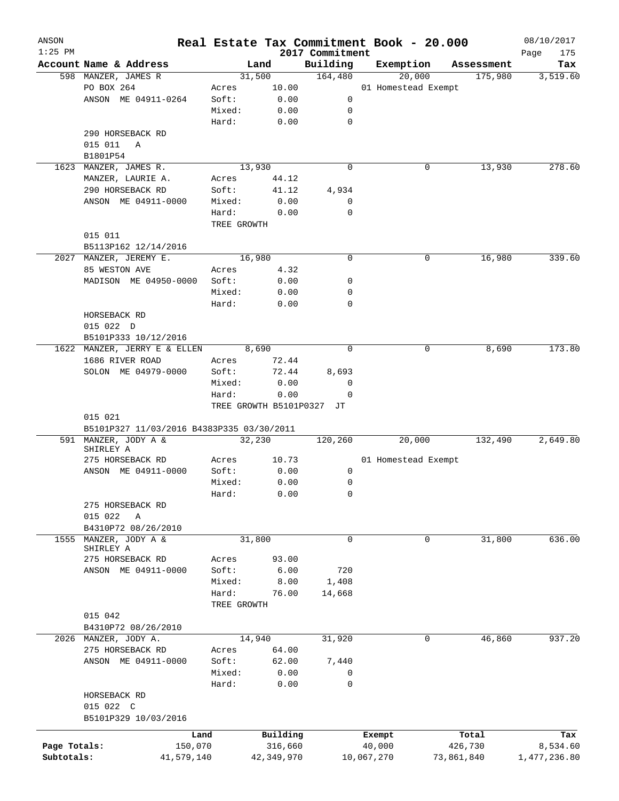| ANSON<br>$1:25$ PM |                                           |             |                           | 2017 Commitment | Real Estate Tax Commitment Book - 20.000 |            |            | 08/10/2017<br>Page<br>175 |
|--------------------|-------------------------------------------|-------------|---------------------------|-----------------|------------------------------------------|------------|------------|---------------------------|
|                    | Account Name & Address                    |             | Land                      | Building        | Exemption                                |            | Assessment | Tax                       |
|                    | 598 MANZER, JAMES R                       |             | 31,500                    | 164,480         | 20,000                                   |            | 175,980    | 3,519.60                  |
|                    | PO BOX 264                                | Acres       | 10.00                     |                 | 01 Homestead Exempt                      |            |            |                           |
|                    | ANSON ME 04911-0264                       | Soft:       | 0.00                      | 0               |                                          |            |            |                           |
|                    |                                           | Mixed:      | 0.00                      | 0               |                                          |            |            |                           |
|                    |                                           | Hard:       | 0.00                      | $\mathbf 0$     |                                          |            |            |                           |
|                    | 290 HORSEBACK RD                          |             |                           |                 |                                          |            |            |                           |
|                    | 015 011<br>Α                              |             |                           |                 |                                          |            |            |                           |
|                    | B1801P54                                  |             |                           |                 |                                          |            |            |                           |
|                    | MANZER, JAMES R.                          |             | 13,930                    | 0               |                                          |            | 13,930     | 278.60                    |
| 1623               |                                           |             |                           |                 |                                          | 0          |            |                           |
|                    | MANZER, LAURIE A.                         | Acres       | 44.12                     |                 |                                          |            |            |                           |
|                    | 290 HORSEBACK RD                          | Soft:       | 41.12                     | 4,934           |                                          |            |            |                           |
|                    | ANSON ME 04911-0000                       | Mixed:      | 0.00                      | 0               |                                          |            |            |                           |
|                    |                                           | Hard:       | 0.00                      | $\mathbf 0$     |                                          |            |            |                           |
|                    |                                           | TREE GROWTH |                           |                 |                                          |            |            |                           |
|                    | 015 011                                   |             |                           |                 |                                          |            |            |                           |
|                    | B5113P162 12/14/2016                      |             |                           |                 |                                          |            |            |                           |
|                    | 2027 MANZER, JEREMY E.                    |             | 16,980                    | 0               |                                          | 0          | 16,980     | 339.60                    |
|                    | 85 WESTON AVE                             | Acres       | 4.32                      |                 |                                          |            |            |                           |
|                    | MADISON ME 04950-0000                     | Soft:       | 0.00                      | 0               |                                          |            |            |                           |
|                    |                                           | Mixed:      | 0.00                      | 0               |                                          |            |            |                           |
|                    |                                           | Hard:       | 0.00                      | 0               |                                          |            |            |                           |
|                    | HORSEBACK RD                              |             |                           |                 |                                          |            |            |                           |
|                    | 015 022 D                                 |             |                           |                 |                                          |            |            |                           |
|                    | B5101P333 10/12/2016                      |             |                           |                 |                                          |            |            |                           |
|                    | 1622 MANZER, JERRY E & ELLEN              |             | 8,690                     | $\Omega$        |                                          | 0          | 8,690      | 173.80                    |
|                    | 1686 RIVER ROAD                           | Acres       | 72.44                     |                 |                                          |            |            |                           |
|                    | SOLON ME 04979-0000                       | Soft:       | 72.44                     | 8,693           |                                          |            |            |                           |
|                    |                                           | Mixed:      | 0.00                      | 0               |                                          |            |            |                           |
|                    |                                           | Hard:       |                           | $\mathbf 0$     |                                          |            |            |                           |
|                    |                                           |             | 0.00                      |                 |                                          |            |            |                           |
|                    |                                           |             | TREE GROWTH B5101P0327 JT |                 |                                          |            |            |                           |
|                    | 015 021                                   |             |                           |                 |                                          |            |            |                           |
|                    | B5101P327 11/03/2016 B4383P335 03/30/2011 |             |                           |                 |                                          |            |            |                           |
|                    | 591 MANZER, JODY A &<br>SHIRLEY A         |             | 32,230                    | 120,260         | 20,000                                   |            | 132,490    | 2,649.80                  |
|                    | 275 HORSEBACK RD                          | Acres       | 10.73                     |                 | 01 Homestead Exempt                      |            |            |                           |
|                    |                                           |             |                           | 0               |                                          |            |            |                           |
|                    | ANSON ME 04911-0000                       | Soft:       | 0.00                      |                 |                                          |            |            |                           |
|                    |                                           | Mixed:      | 0.00                      | 0               |                                          |            |            |                           |
|                    |                                           | Hard:       | 0.00                      | 0               |                                          |            |            |                           |
|                    | 275 HORSEBACK RD                          |             |                           |                 |                                          |            |            |                           |
|                    | 015 022<br>Α                              |             |                           |                 |                                          |            |            |                           |
|                    | B4310P72 08/26/2010                       |             |                           |                 |                                          |            |            |                           |
| 1555               | MANZER, JODY A &                          |             | 31,800                    | 0               |                                          | 0          | 31,800     | 636.00                    |
|                    | SHIRLEY A                                 |             |                           |                 |                                          |            |            |                           |
|                    | 275 HORSEBACK RD                          | Acres       | 93.00                     |                 |                                          |            |            |                           |
|                    | ANSON ME 04911-0000                       | Soft:       | 6.00                      | 720             |                                          |            |            |                           |
|                    |                                           | Mixed:      | 8.00                      | 1,408           |                                          |            |            |                           |
|                    |                                           | Hard:       | 76.00                     | 14,668          |                                          |            |            |                           |
|                    |                                           | TREE GROWTH |                           |                 |                                          |            |            |                           |
|                    | 015 042                                   |             |                           |                 |                                          |            |            |                           |
|                    | B4310P72 08/26/2010                       |             |                           |                 |                                          |            |            |                           |
|                    | 2026 MANZER, JODY A.                      |             | 14,940                    | 31,920          |                                          | 0          | 46,860     | 937.20                    |
|                    | 275 HORSEBACK RD                          | Acres       | 64.00                     |                 |                                          |            |            |                           |
|                    | ANSON ME 04911-0000                       | Soft:       | 62.00                     | 7,440           |                                          |            |            |                           |
|                    |                                           | Mixed:      | 0.00                      | 0               |                                          |            |            |                           |
|                    |                                           | Hard:       | 0.00                      | $\mathbf 0$     |                                          |            |            |                           |
|                    | HORSEBACK RD                              |             |                           |                 |                                          |            |            |                           |
|                    | 015 022 C                                 |             |                           |                 |                                          |            |            |                           |
|                    |                                           |             |                           |                 |                                          |            |            |                           |
|                    | B5101P329 10/03/2016                      |             |                           |                 |                                          |            |            |                           |
|                    | Land                                      |             | Building                  |                 | Exempt                                   |            | Total      | Tax                       |
| Page Totals:       | 150,070                                   |             | 316,660                   |                 | 40,000                                   |            | 426,730    | 8,534.60                  |
| Subtotals:         | 41,579,140                                |             | 42,349,970                |                 | 10,067,270                               | 73,861,840 |            | 1,477,236.80              |
|                    |                                           |             |                           |                 |                                          |            |            |                           |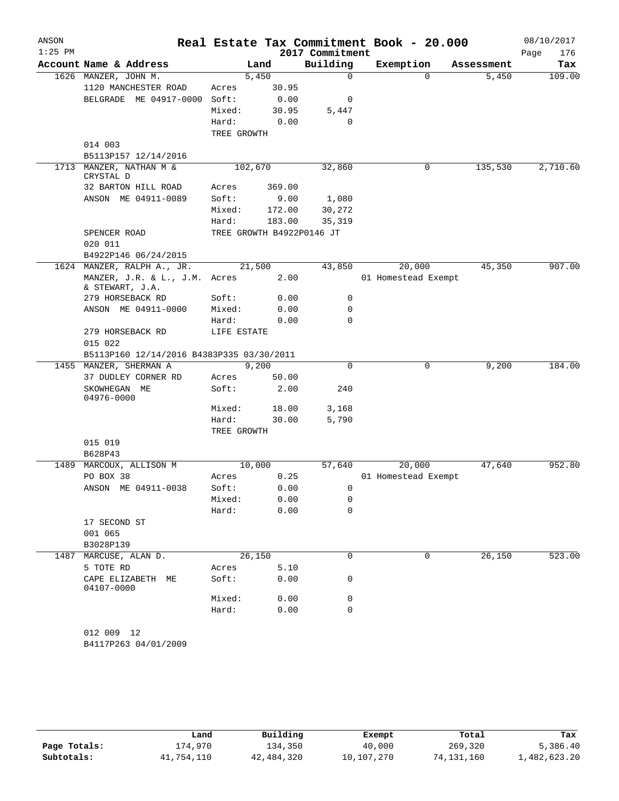| ANSON<br>$1:25$ PM |                                                  |             |        | 2017 Commitment           | Real Estate Tax Commitment Book - 20.000 |   |            | 08/10/2017<br>Page<br>176 |
|--------------------|--------------------------------------------------|-------------|--------|---------------------------|------------------------------------------|---|------------|---------------------------|
|                    | Account Name & Address                           |             | Land   | Building                  | Exemption                                |   | Assessment | Tax                       |
|                    | 1626 MANZER, JOHN M.                             |             | 5,450  | $\mathbf 0$               |                                          | 0 | 5,450      | 109.00                    |
|                    | 1120 MANCHESTER ROAD                             | Acres       | 30.95  |                           |                                          |   |            |                           |
|                    | BELGRADE ME 04917-0000                           | Soft:       | 0.00   | 0                         |                                          |   |            |                           |
|                    |                                                  | Mixed:      | 30.95  | 5,447                     |                                          |   |            |                           |
|                    |                                                  | Hard:       | 0.00   | 0                         |                                          |   |            |                           |
|                    |                                                  | TREE GROWTH |        |                           |                                          |   |            |                           |
|                    | 014 003                                          |             |        |                           |                                          |   |            |                           |
|                    | B5113P157 12/14/2016                             |             |        |                           |                                          |   |            |                           |
|                    | 1713 MANZER, NATHAN M &<br>CRYSTAL D             | 102,670     |        | 32,860                    |                                          | 0 | 135,530    | 2,710.60                  |
|                    | 32 BARTON HILL ROAD                              | Acres       | 369.00 |                           |                                          |   |            |                           |
|                    | ANSON ME 04911-0089                              | Soft:       | 9.00   | 1,080                     |                                          |   |            |                           |
|                    |                                                  | Mixed:      | 172.00 | 30,272                    |                                          |   |            |                           |
|                    |                                                  | Hard:       | 183.00 | 35,319                    |                                          |   |            |                           |
|                    | SPENCER ROAD                                     |             |        | TREE GROWTH B4922P0146 JT |                                          |   |            |                           |
|                    | 020 011                                          |             |        |                           |                                          |   |            |                           |
|                    | B4922P146 06/24/2015                             |             |        |                           |                                          |   |            |                           |
|                    | 1624 MANZER, RALPH A., JR.                       |             | 21,500 | 43,850                    | 20,000                                   |   | 45,350     | 907.00                    |
|                    | MANZER, J.R. & L., J.M. Acres<br>& STEWART, J.A. |             | 2.00   |                           | 01 Homestead Exempt                      |   |            |                           |
|                    | 279 HORSEBACK RD                                 | Soft:       | 0.00   | 0                         |                                          |   |            |                           |
|                    | ANSON ME 04911-0000                              | Mixed:      | 0.00   | 0                         |                                          |   |            |                           |
|                    |                                                  | Hard:       | 0.00   | $\Omega$                  |                                          |   |            |                           |
|                    | 279 HORSEBACK RD                                 | LIFE ESTATE |        |                           |                                          |   |            |                           |
|                    | 015 022                                          |             |        |                           |                                          |   |            |                           |
|                    | B5113P160 12/14/2016 B4383P335 03/30/2011        |             |        |                           |                                          |   |            |                           |
|                    | 1455 MANZER, SHERMAN A                           |             | 9,200  | $\mathbf 0$               |                                          | 0 | 9,200      | 184.00                    |
|                    | 37 DUDLEY CORNER RD                              | Acres       | 50.00  |                           |                                          |   |            |                           |
|                    | SKOWHEGAN ME<br>04976-0000                       | Soft:       | 2.00   | 240                       |                                          |   |            |                           |
|                    |                                                  | Mixed:      | 18.00  | 3,168                     |                                          |   |            |                           |
|                    |                                                  | Hard:       | 30.00  | 5,790                     |                                          |   |            |                           |
|                    |                                                  | TREE GROWTH |        |                           |                                          |   |            |                           |
|                    | 015 019                                          |             |        |                           |                                          |   |            |                           |
|                    | B628P43                                          |             |        |                           |                                          |   |            |                           |
| 1489               | MARCOUX, ALLISON M                               |             | 10,000 | 57,640                    | 20,000                                   |   | 47,640     | 952.80                    |
|                    | PO BOX 38                                        | Acres       | 0.25   |                           | 01 Homestead Exempt                      |   |            |                           |
|                    | ANSON ME 04911-0038                              | Soft:       | 0.00   | 0                         |                                          |   |            |                           |
|                    |                                                  | Mixed:      | 0.00   | 0                         |                                          |   |            |                           |
|                    |                                                  | Hard:       | 0.00   | 0                         |                                          |   |            |                           |
|                    | 17 SECOND ST                                     |             |        |                           |                                          |   |            |                           |
|                    | 001 065<br>B3028P139                             |             |        |                           |                                          |   |            |                           |
| 1487               | MARCUSE, ALAN D.                                 |             | 26,150 | 0                         |                                          | 0 | 26, 150    | 523.00                    |
|                    | 5 TOTE RD                                        | Acres       | 5.10   |                           |                                          |   |            |                           |
|                    | CAPE ELIZABETH ME<br>04107-0000                  | Soft:       | 0.00   | 0                         |                                          |   |            |                           |
|                    |                                                  | Mixed:      | 0.00   | 0                         |                                          |   |            |                           |
|                    |                                                  | Hard:       | 0.00   | 0                         |                                          |   |            |                           |
|                    |                                                  |             |        |                           |                                          |   |            |                           |
|                    | 012 009 12                                       |             |        |                           |                                          |   |            |                           |
|                    | B4117P263 04/01/2009                             |             |        |                           |                                          |   |            |                           |
|                    |                                                  |             |        |                           |                                          |   |            |                           |

|              | Land       | Building   | Exempt     | Total      | Tax          |
|--------------|------------|------------|------------|------------|--------------|
| Page Totals: | 174,970    | 134,350    | 40,000     | 269,320    | 5,386.40     |
| Subtotals:   | 41,754,110 | 42,484,320 | 10,107,270 | 74,131,160 | 1,482,623.20 |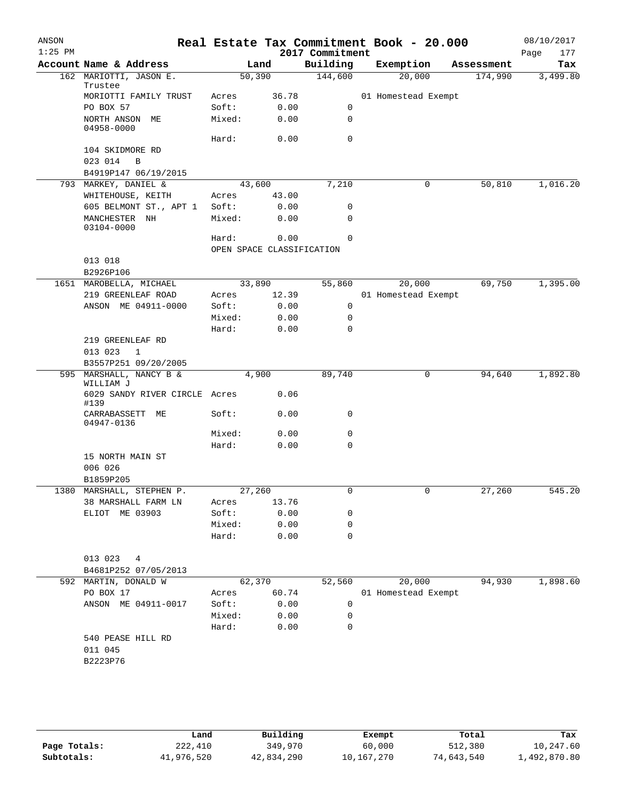| Building<br>Account Name & Address<br>Exemption<br>Land<br>Assessment<br>144,600<br>162 MARIOTTI, JASON E.<br>50,390<br>20,000<br>174,990<br>Trustee<br>MORIOTTI FAMILY TRUST<br>36.78<br>01 Homestead Exempt<br>Acres<br>Soft:<br>0.00<br>0<br>PO BOX 57<br>NORTH ANSON ME<br>Mixed:<br>0.00<br>0<br>04958-0000<br>$\mathbf 0$<br>Hard:<br>0.00<br>104 SKIDMORE RD<br>023 014<br>B<br>B4919P147 06/19/2015<br>793 MARKEY, DANIEL &<br>43,600<br>7,210<br>0<br>50,810<br>WHITEHOUSE, KEITH<br>43.00<br>Acres<br>605 BELMONT ST., APT 1<br>Soft:<br>0.00<br>0<br>Mixed:<br>0.00<br>0<br>MANCHESTER NH<br>03104-0000<br>Hard:<br>0.00<br>$\Omega$<br>OPEN SPACE CLASSIFICATION<br>013 018<br>B2926P106<br>69,750<br>1651 MAROBELLA, MICHAEL<br>33,890<br>55,860<br>20,000<br>219 GREENLEAF ROAD<br>12.39<br>01 Homestead Exempt<br>Acres<br>ANSON ME 04911-0000<br>Soft:<br>0.00<br>0<br>Mixed:<br>0.00<br>0<br>Hard:<br>0.00<br>0<br>219 GREENLEAF RD<br>013 023<br>$\mathbf{1}$<br>B3557P251 09/20/2005<br>89,740<br>1,892.80<br>MARSHALL, NANCY B &<br>4,900<br>0<br>94,640<br>595<br>WILLIAM J<br>0.06<br>6029 SANDY RIVER CIRCLE Acres<br>#139<br>CARRABASSETT<br>Soft:<br>0.00<br>0<br>МE<br>04947-0136<br>Mixed:<br>0.00<br>0<br>Hard:<br>0.00<br>0<br>15 NORTH MAIN ST<br>006 026<br>B1859P205<br>1380 MARSHALL, STEPHEN P.<br>27,260<br>27,260<br>0<br>0<br>38 MARSHALL FARM LN<br>13.76<br>Acres<br>ELIOT ME 03903<br>Soft:<br>0.00<br>0<br>Mixed:<br>0.00<br>0<br>Hard:<br>0.00<br>$\Omega$<br>013 023 4<br>B4681P252 07/05/2013<br>1,898.60<br>62,370<br>20,000<br>94,930<br>592 MARTIN, DONALD W<br>52,560<br>PO BOX 17<br>60.74<br>Acres<br>01 Homestead Exempt<br>0.00<br>ANSON ME 04911-0017<br>Soft:<br>0<br>Mixed:<br>0.00<br>0<br>Hard:<br>0.00<br>0<br>540 PEASE HILL RD<br>011 045<br>B2223P76 | ANSON<br>$1:25$ PM |  | Real Estate Tax Commitment Book - 20.000<br>2017 Commitment |  | 08/10/2017<br>Page<br>177 |
|-------------------------------------------------------------------------------------------------------------------------------------------------------------------------------------------------------------------------------------------------------------------------------------------------------------------------------------------------------------------------------------------------------------------------------------------------------------------------------------------------------------------------------------------------------------------------------------------------------------------------------------------------------------------------------------------------------------------------------------------------------------------------------------------------------------------------------------------------------------------------------------------------------------------------------------------------------------------------------------------------------------------------------------------------------------------------------------------------------------------------------------------------------------------------------------------------------------------------------------------------------------------------------------------------------------------------------------------------------------------------------------------------------------------------------------------------------------------------------------------------------------------------------------------------------------------------------------------------------------------------------------------------------------------------------------------------------------------------------------------------------------------------------------------------------------------|--------------------|--|-------------------------------------------------------------|--|---------------------------|
|                                                                                                                                                                                                                                                                                                                                                                                                                                                                                                                                                                                                                                                                                                                                                                                                                                                                                                                                                                                                                                                                                                                                                                                                                                                                                                                                                                                                                                                                                                                                                                                                                                                                                                                                                                                                                   |                    |  |                                                             |  | Tax                       |
|                                                                                                                                                                                                                                                                                                                                                                                                                                                                                                                                                                                                                                                                                                                                                                                                                                                                                                                                                                                                                                                                                                                                                                                                                                                                                                                                                                                                                                                                                                                                                                                                                                                                                                                                                                                                                   |                    |  |                                                             |  | 3,499.80                  |
|                                                                                                                                                                                                                                                                                                                                                                                                                                                                                                                                                                                                                                                                                                                                                                                                                                                                                                                                                                                                                                                                                                                                                                                                                                                                                                                                                                                                                                                                                                                                                                                                                                                                                                                                                                                                                   |                    |  |                                                             |  |                           |
|                                                                                                                                                                                                                                                                                                                                                                                                                                                                                                                                                                                                                                                                                                                                                                                                                                                                                                                                                                                                                                                                                                                                                                                                                                                                                                                                                                                                                                                                                                                                                                                                                                                                                                                                                                                                                   |                    |  |                                                             |  |                           |
|                                                                                                                                                                                                                                                                                                                                                                                                                                                                                                                                                                                                                                                                                                                                                                                                                                                                                                                                                                                                                                                                                                                                                                                                                                                                                                                                                                                                                                                                                                                                                                                                                                                                                                                                                                                                                   |                    |  |                                                             |  |                           |
|                                                                                                                                                                                                                                                                                                                                                                                                                                                                                                                                                                                                                                                                                                                                                                                                                                                                                                                                                                                                                                                                                                                                                                                                                                                                                                                                                                                                                                                                                                                                                                                                                                                                                                                                                                                                                   |                    |  |                                                             |  |                           |
|                                                                                                                                                                                                                                                                                                                                                                                                                                                                                                                                                                                                                                                                                                                                                                                                                                                                                                                                                                                                                                                                                                                                                                                                                                                                                                                                                                                                                                                                                                                                                                                                                                                                                                                                                                                                                   |                    |  |                                                             |  |                           |
|                                                                                                                                                                                                                                                                                                                                                                                                                                                                                                                                                                                                                                                                                                                                                                                                                                                                                                                                                                                                                                                                                                                                                                                                                                                                                                                                                                                                                                                                                                                                                                                                                                                                                                                                                                                                                   |                    |  |                                                             |  |                           |
|                                                                                                                                                                                                                                                                                                                                                                                                                                                                                                                                                                                                                                                                                                                                                                                                                                                                                                                                                                                                                                                                                                                                                                                                                                                                                                                                                                                                                                                                                                                                                                                                                                                                                                                                                                                                                   |                    |  |                                                             |  |                           |
|                                                                                                                                                                                                                                                                                                                                                                                                                                                                                                                                                                                                                                                                                                                                                                                                                                                                                                                                                                                                                                                                                                                                                                                                                                                                                                                                                                                                                                                                                                                                                                                                                                                                                                                                                                                                                   |                    |  |                                                             |  | 1,016.20                  |
|                                                                                                                                                                                                                                                                                                                                                                                                                                                                                                                                                                                                                                                                                                                                                                                                                                                                                                                                                                                                                                                                                                                                                                                                                                                                                                                                                                                                                                                                                                                                                                                                                                                                                                                                                                                                                   |                    |  |                                                             |  |                           |
|                                                                                                                                                                                                                                                                                                                                                                                                                                                                                                                                                                                                                                                                                                                                                                                                                                                                                                                                                                                                                                                                                                                                                                                                                                                                                                                                                                                                                                                                                                                                                                                                                                                                                                                                                                                                                   |                    |  |                                                             |  |                           |
|                                                                                                                                                                                                                                                                                                                                                                                                                                                                                                                                                                                                                                                                                                                                                                                                                                                                                                                                                                                                                                                                                                                                                                                                                                                                                                                                                                                                                                                                                                                                                                                                                                                                                                                                                                                                                   |                    |  |                                                             |  |                           |
|                                                                                                                                                                                                                                                                                                                                                                                                                                                                                                                                                                                                                                                                                                                                                                                                                                                                                                                                                                                                                                                                                                                                                                                                                                                                                                                                                                                                                                                                                                                                                                                                                                                                                                                                                                                                                   |                    |  |                                                             |  |                           |
|                                                                                                                                                                                                                                                                                                                                                                                                                                                                                                                                                                                                                                                                                                                                                                                                                                                                                                                                                                                                                                                                                                                                                                                                                                                                                                                                                                                                                                                                                                                                                                                                                                                                                                                                                                                                                   |                    |  |                                                             |  |                           |
|                                                                                                                                                                                                                                                                                                                                                                                                                                                                                                                                                                                                                                                                                                                                                                                                                                                                                                                                                                                                                                                                                                                                                                                                                                                                                                                                                                                                                                                                                                                                                                                                                                                                                                                                                                                                                   |                    |  |                                                             |  |                           |
|                                                                                                                                                                                                                                                                                                                                                                                                                                                                                                                                                                                                                                                                                                                                                                                                                                                                                                                                                                                                                                                                                                                                                                                                                                                                                                                                                                                                                                                                                                                                                                                                                                                                                                                                                                                                                   |                    |  |                                                             |  |                           |
|                                                                                                                                                                                                                                                                                                                                                                                                                                                                                                                                                                                                                                                                                                                                                                                                                                                                                                                                                                                                                                                                                                                                                                                                                                                                                                                                                                                                                                                                                                                                                                                                                                                                                                                                                                                                                   |                    |  |                                                             |  | 1,395.00                  |
|                                                                                                                                                                                                                                                                                                                                                                                                                                                                                                                                                                                                                                                                                                                                                                                                                                                                                                                                                                                                                                                                                                                                                                                                                                                                                                                                                                                                                                                                                                                                                                                                                                                                                                                                                                                                                   |                    |  |                                                             |  |                           |
|                                                                                                                                                                                                                                                                                                                                                                                                                                                                                                                                                                                                                                                                                                                                                                                                                                                                                                                                                                                                                                                                                                                                                                                                                                                                                                                                                                                                                                                                                                                                                                                                                                                                                                                                                                                                                   |                    |  |                                                             |  |                           |
|                                                                                                                                                                                                                                                                                                                                                                                                                                                                                                                                                                                                                                                                                                                                                                                                                                                                                                                                                                                                                                                                                                                                                                                                                                                                                                                                                                                                                                                                                                                                                                                                                                                                                                                                                                                                                   |                    |  |                                                             |  |                           |
|                                                                                                                                                                                                                                                                                                                                                                                                                                                                                                                                                                                                                                                                                                                                                                                                                                                                                                                                                                                                                                                                                                                                                                                                                                                                                                                                                                                                                                                                                                                                                                                                                                                                                                                                                                                                                   |                    |  |                                                             |  |                           |
|                                                                                                                                                                                                                                                                                                                                                                                                                                                                                                                                                                                                                                                                                                                                                                                                                                                                                                                                                                                                                                                                                                                                                                                                                                                                                                                                                                                                                                                                                                                                                                                                                                                                                                                                                                                                                   |                    |  |                                                             |  |                           |
|                                                                                                                                                                                                                                                                                                                                                                                                                                                                                                                                                                                                                                                                                                                                                                                                                                                                                                                                                                                                                                                                                                                                                                                                                                                                                                                                                                                                                                                                                                                                                                                                                                                                                                                                                                                                                   |                    |  |                                                             |  |                           |
|                                                                                                                                                                                                                                                                                                                                                                                                                                                                                                                                                                                                                                                                                                                                                                                                                                                                                                                                                                                                                                                                                                                                                                                                                                                                                                                                                                                                                                                                                                                                                                                                                                                                                                                                                                                                                   |                    |  |                                                             |  |                           |
|                                                                                                                                                                                                                                                                                                                                                                                                                                                                                                                                                                                                                                                                                                                                                                                                                                                                                                                                                                                                                                                                                                                                                                                                                                                                                                                                                                                                                                                                                                                                                                                                                                                                                                                                                                                                                   |                    |  |                                                             |  |                           |
|                                                                                                                                                                                                                                                                                                                                                                                                                                                                                                                                                                                                                                                                                                                                                                                                                                                                                                                                                                                                                                                                                                                                                                                                                                                                                                                                                                                                                                                                                                                                                                                                                                                                                                                                                                                                                   |                    |  |                                                             |  |                           |
|                                                                                                                                                                                                                                                                                                                                                                                                                                                                                                                                                                                                                                                                                                                                                                                                                                                                                                                                                                                                                                                                                                                                                                                                                                                                                                                                                                                                                                                                                                                                                                                                                                                                                                                                                                                                                   |                    |  |                                                             |  |                           |
|                                                                                                                                                                                                                                                                                                                                                                                                                                                                                                                                                                                                                                                                                                                                                                                                                                                                                                                                                                                                                                                                                                                                                                                                                                                                                                                                                                                                                                                                                                                                                                                                                                                                                                                                                                                                                   |                    |  |                                                             |  |                           |
|                                                                                                                                                                                                                                                                                                                                                                                                                                                                                                                                                                                                                                                                                                                                                                                                                                                                                                                                                                                                                                                                                                                                                                                                                                                                                                                                                                                                                                                                                                                                                                                                                                                                                                                                                                                                                   |                    |  |                                                             |  |                           |
|                                                                                                                                                                                                                                                                                                                                                                                                                                                                                                                                                                                                                                                                                                                                                                                                                                                                                                                                                                                                                                                                                                                                                                                                                                                                                                                                                                                                                                                                                                                                                                                                                                                                                                                                                                                                                   |                    |  |                                                             |  |                           |
|                                                                                                                                                                                                                                                                                                                                                                                                                                                                                                                                                                                                                                                                                                                                                                                                                                                                                                                                                                                                                                                                                                                                                                                                                                                                                                                                                                                                                                                                                                                                                                                                                                                                                                                                                                                                                   |                    |  |                                                             |  |                           |
|                                                                                                                                                                                                                                                                                                                                                                                                                                                                                                                                                                                                                                                                                                                                                                                                                                                                                                                                                                                                                                                                                                                                                                                                                                                                                                                                                                                                                                                                                                                                                                                                                                                                                                                                                                                                                   |                    |  |                                                             |  |                           |
|                                                                                                                                                                                                                                                                                                                                                                                                                                                                                                                                                                                                                                                                                                                                                                                                                                                                                                                                                                                                                                                                                                                                                                                                                                                                                                                                                                                                                                                                                                                                                                                                                                                                                                                                                                                                                   |                    |  |                                                             |  | 545.20                    |
|                                                                                                                                                                                                                                                                                                                                                                                                                                                                                                                                                                                                                                                                                                                                                                                                                                                                                                                                                                                                                                                                                                                                                                                                                                                                                                                                                                                                                                                                                                                                                                                                                                                                                                                                                                                                                   |                    |  |                                                             |  |                           |
|                                                                                                                                                                                                                                                                                                                                                                                                                                                                                                                                                                                                                                                                                                                                                                                                                                                                                                                                                                                                                                                                                                                                                                                                                                                                                                                                                                                                                                                                                                                                                                                                                                                                                                                                                                                                                   |                    |  |                                                             |  |                           |
|                                                                                                                                                                                                                                                                                                                                                                                                                                                                                                                                                                                                                                                                                                                                                                                                                                                                                                                                                                                                                                                                                                                                                                                                                                                                                                                                                                                                                                                                                                                                                                                                                                                                                                                                                                                                                   |                    |  |                                                             |  |                           |
|                                                                                                                                                                                                                                                                                                                                                                                                                                                                                                                                                                                                                                                                                                                                                                                                                                                                                                                                                                                                                                                                                                                                                                                                                                                                                                                                                                                                                                                                                                                                                                                                                                                                                                                                                                                                                   |                    |  |                                                             |  |                           |
|                                                                                                                                                                                                                                                                                                                                                                                                                                                                                                                                                                                                                                                                                                                                                                                                                                                                                                                                                                                                                                                                                                                                                                                                                                                                                                                                                                                                                                                                                                                                                                                                                                                                                                                                                                                                                   |                    |  |                                                             |  |                           |
|                                                                                                                                                                                                                                                                                                                                                                                                                                                                                                                                                                                                                                                                                                                                                                                                                                                                                                                                                                                                                                                                                                                                                                                                                                                                                                                                                                                                                                                                                                                                                                                                                                                                                                                                                                                                                   |                    |  |                                                             |  |                           |
|                                                                                                                                                                                                                                                                                                                                                                                                                                                                                                                                                                                                                                                                                                                                                                                                                                                                                                                                                                                                                                                                                                                                                                                                                                                                                                                                                                                                                                                                                                                                                                                                                                                                                                                                                                                                                   |                    |  |                                                             |  |                           |
|                                                                                                                                                                                                                                                                                                                                                                                                                                                                                                                                                                                                                                                                                                                                                                                                                                                                                                                                                                                                                                                                                                                                                                                                                                                                                                                                                                                                                                                                                                                                                                                                                                                                                                                                                                                                                   |                    |  |                                                             |  |                           |
|                                                                                                                                                                                                                                                                                                                                                                                                                                                                                                                                                                                                                                                                                                                                                                                                                                                                                                                                                                                                                                                                                                                                                                                                                                                                                                                                                                                                                                                                                                                                                                                                                                                                                                                                                                                                                   |                    |  |                                                             |  |                           |
|                                                                                                                                                                                                                                                                                                                                                                                                                                                                                                                                                                                                                                                                                                                                                                                                                                                                                                                                                                                                                                                                                                                                                                                                                                                                                                                                                                                                                                                                                                                                                                                                                                                                                                                                                                                                                   |                    |  |                                                             |  |                           |
|                                                                                                                                                                                                                                                                                                                                                                                                                                                                                                                                                                                                                                                                                                                                                                                                                                                                                                                                                                                                                                                                                                                                                                                                                                                                                                                                                                                                                                                                                                                                                                                                                                                                                                                                                                                                                   |                    |  |                                                             |  |                           |
|                                                                                                                                                                                                                                                                                                                                                                                                                                                                                                                                                                                                                                                                                                                                                                                                                                                                                                                                                                                                                                                                                                                                                                                                                                                                                                                                                                                                                                                                                                                                                                                                                                                                                                                                                                                                                   |                    |  |                                                             |  |                           |
|                                                                                                                                                                                                                                                                                                                                                                                                                                                                                                                                                                                                                                                                                                                                                                                                                                                                                                                                                                                                                                                                                                                                                                                                                                                                                                                                                                                                                                                                                                                                                                                                                                                                                                                                                                                                                   |                    |  |                                                             |  |                           |
|                                                                                                                                                                                                                                                                                                                                                                                                                                                                                                                                                                                                                                                                                                                                                                                                                                                                                                                                                                                                                                                                                                                                                                                                                                                                                                                                                                                                                                                                                                                                                                                                                                                                                                                                                                                                                   |                    |  |                                                             |  |                           |
|                                                                                                                                                                                                                                                                                                                                                                                                                                                                                                                                                                                                                                                                                                                                                                                                                                                                                                                                                                                                                                                                                                                                                                                                                                                                                                                                                                                                                                                                                                                                                                                                                                                                                                                                                                                                                   |                    |  |                                                             |  |                           |
|                                                                                                                                                                                                                                                                                                                                                                                                                                                                                                                                                                                                                                                                                                                                                                                                                                                                                                                                                                                                                                                                                                                                                                                                                                                                                                                                                                                                                                                                                                                                                                                                                                                                                                                                                                                                                   |                    |  |                                                             |  |                           |
|                                                                                                                                                                                                                                                                                                                                                                                                                                                                                                                                                                                                                                                                                                                                                                                                                                                                                                                                                                                                                                                                                                                                                                                                                                                                                                                                                                                                                                                                                                                                                                                                                                                                                                                                                                                                                   |                    |  |                                                             |  |                           |

|              | Land       | Building   | Exempt     | Total      | Tax          |
|--------------|------------|------------|------------|------------|--------------|
| Page Totals: | 222,410    | 349,970    | 60,000     | 512,380    | 10,247.60    |
| Subtotals:   | 41,976,520 | 42,834,290 | 10,167,270 | 74,643,540 | 1,492,870.80 |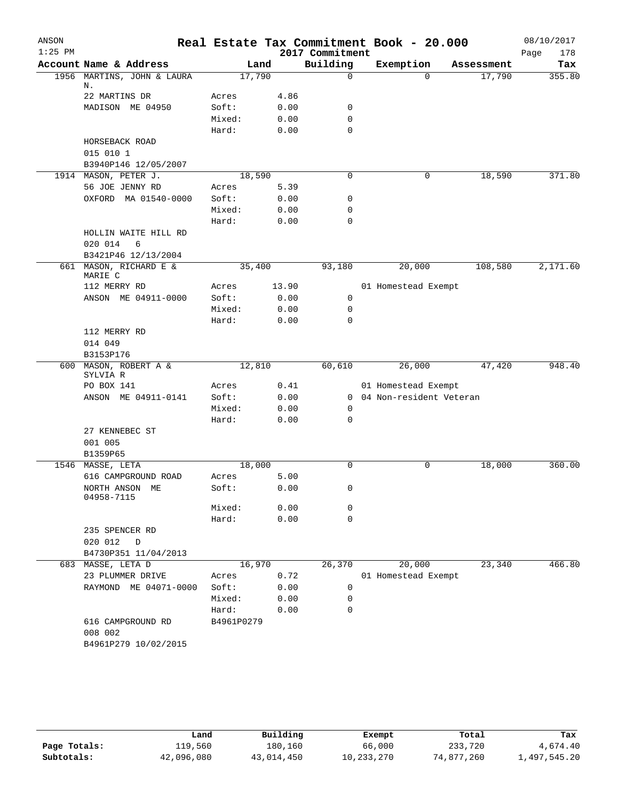| ANSON     |                                   |            |       |                 |             | Real Estate Tax Commitment Book - 20.000 |            | 08/10/2017  |
|-----------|-----------------------------------|------------|-------|-----------------|-------------|------------------------------------------|------------|-------------|
| $1:25$ PM |                                   |            |       | 2017 Commitment |             |                                          |            | Page<br>178 |
|           | Account Name & Address            |            | Land  | Building        |             | Exemption                                | Assessment | Tax         |
|           | 1956 MARTINS, JOHN & LAURA        | 17,790     |       |                 | $\Omega$    | 0                                        | 17,790     | 355.80      |
|           | Ν.<br>22 MARTINS DR               | Acres      | 4.86  |                 |             |                                          |            |             |
|           | MADISON ME 04950                  | Soft:      | 0.00  |                 | $\mathbf 0$ |                                          |            |             |
|           |                                   | Mixed:     | 0.00  |                 | $\mathbf 0$ |                                          |            |             |
|           |                                   | Hard:      | 0.00  |                 | $\mathbf 0$ |                                          |            |             |
|           | HORSEBACK ROAD                    |            |       |                 |             |                                          |            |             |
|           | 015 010 1                         |            |       |                 |             |                                          |            |             |
|           | B3940P146 12/05/2007              |            |       |                 |             |                                          |            |             |
|           | 1914 MASON, PETER J.              | 18,590     |       |                 | $\mathbf 0$ | 0                                        | 18,590     | 371.80      |
|           | 56 JOE JENNY RD                   | Acres      | 5.39  |                 |             |                                          |            |             |
|           | OXFORD MA 01540-0000              | Soft:      | 0.00  |                 | $\mathbf 0$ |                                          |            |             |
|           |                                   | Mixed:     | 0.00  |                 | $\mathbf 0$ |                                          |            |             |
|           |                                   | Hard:      | 0.00  |                 | $\mathbf 0$ |                                          |            |             |
|           | HOLLIN WAITE HILL RD              |            |       |                 |             |                                          |            |             |
|           | 020 014<br>6                      |            |       |                 |             |                                          |            |             |
|           | B3421P46 12/13/2004               |            |       |                 |             |                                          |            |             |
|           | 661 MASON, RICHARD E &            | 35,400     |       | 93,180          |             | 20,000                                   | 108,580    | 2,171.60    |
|           | MARIE C                           |            |       |                 |             |                                          |            |             |
|           | 112 MERRY RD                      | Acres      | 13.90 |                 |             | 01 Homestead Exempt                      |            |             |
|           | ANSON ME 04911-0000               | Soft:      | 0.00  |                 | 0           |                                          |            |             |
|           |                                   | Mixed:     | 0.00  |                 | 0           |                                          |            |             |
|           |                                   | Hard:      | 0.00  |                 | $\mathbf 0$ |                                          |            |             |
|           | 112 MERRY RD                      |            |       |                 |             |                                          |            |             |
|           | 014 049                           |            |       |                 |             |                                          |            |             |
|           | B3153P176                         |            |       |                 |             |                                          |            |             |
|           | 600 MASON, ROBERT A &<br>SYLVIA R | 12,810     |       | 60,610          |             | 26,000                                   | 47,420     | 948.40      |
|           | PO BOX 141                        | Acres      | 0.41  |                 |             | 01 Homestead Exempt                      |            |             |
|           | ANSON ME 04911-0141               | Soft:      | 0.00  |                 |             | 0 04 Non-resident Veteran                |            |             |
|           |                                   | Mixed:     | 0.00  |                 | 0           |                                          |            |             |
|           |                                   | Hard:      | 0.00  |                 | $\mathbf 0$ |                                          |            |             |
|           | 27 KENNEBEC ST                    |            |       |                 |             |                                          |            |             |
|           | 001 005                           |            |       |                 |             |                                          |            |             |
|           | B1359P65                          |            |       |                 |             |                                          |            |             |
|           | 1546 MASSE, LETA                  | 18,000     |       |                 | $\Omega$    | 0                                        | 18,000     | 360.00      |
|           | 616 CAMPGROUND ROAD               | Acres      | 5.00  |                 |             |                                          |            |             |
|           | NORTH ANSON ME                    | Soft:      |       | 0.00            | 0           |                                          |            |             |
|           | 04958-7115                        |            |       |                 |             |                                          |            |             |
|           |                                   | Mixed:     | 0.00  |                 | 0           |                                          |            |             |
|           |                                   | Hard:      | 0.00  |                 | $\mathbf 0$ |                                          |            |             |
|           | 235 SPENCER RD                    |            |       |                 |             |                                          |            |             |
|           | 020 012<br>$\mathbb D$            |            |       |                 |             |                                          |            |             |
|           | B4730P351 11/04/2013              |            |       |                 |             |                                          |            |             |
|           | 683 MASSE, LETA D                 | 16,970     |       | 26,370          |             | 20,000                                   | 23,340     | 466.80      |
|           | 23 PLUMMER DRIVE                  | Acres      | 0.72  |                 |             | 01 Homestead Exempt                      |            |             |
|           | RAYMOND ME 04071-0000             | Soft:      | 0.00  |                 | 0           |                                          |            |             |
|           |                                   | Mixed:     | 0.00  |                 | 0           |                                          |            |             |
|           |                                   | Hard:      | 0.00  |                 | $\mathbf 0$ |                                          |            |             |
|           | 616 CAMPGROUND RD                 | B4961P0279 |       |                 |             |                                          |            |             |
|           | 008 002                           |            |       |                 |             |                                          |            |             |
|           | B4961P279 10/02/2015              |            |       |                 |             |                                          |            |             |
|           |                                   |            |       |                 |             |                                          |            |             |

|              | Land       | Building   | Exempt     | Total      | Tax          |
|--------------|------------|------------|------------|------------|--------------|
| Page Totals: | 119,560    | 180.160    | 66,000     | 233,720    | 4,674.40     |
| Subtotals:   | 42,096,080 | 43,014,450 | 10,233,270 | 74,877,260 | 1,497,545.20 |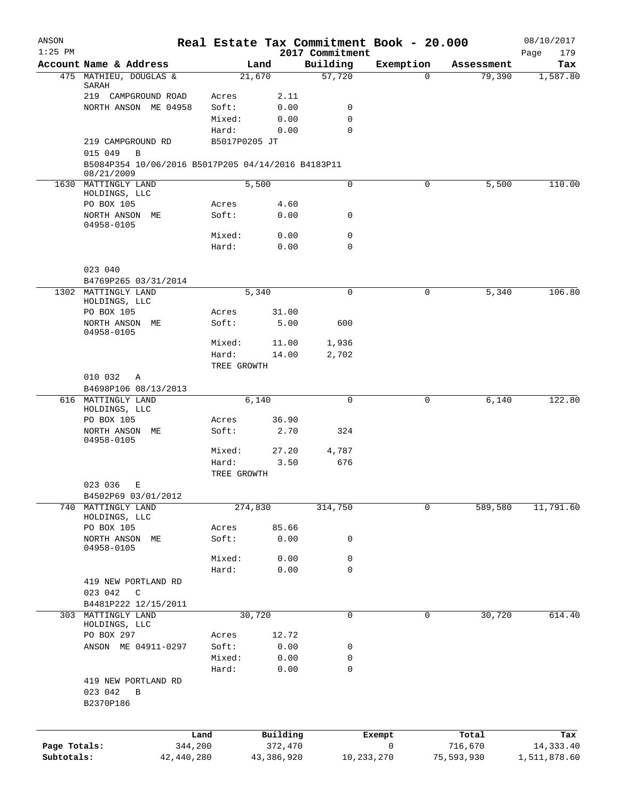| ANSON        |                                                                  |                | Real Estate Tax Commitment Book - 20.000 |                             |            |   |            | 08/10/2017         |
|--------------|------------------------------------------------------------------|----------------|------------------------------------------|-----------------------------|------------|---|------------|--------------------|
| $1:25$ PM    | Account Name & Address                                           |                | Land                                     | 2017 Commitment<br>Building | Exemption  |   | Assessment | Page<br>179<br>Tax |
|              | 475 MATHIEU, DOUGLAS &                                           |                | 21,670                                   | 57,720                      |            | 0 | 79,390     | 1,587.80           |
|              | SARAH<br>219 CAMPGROUND ROAD                                     | Acres          | 2.11                                     |                             |            |   |            |                    |
|              | NORTH ANSON ME 04958                                             | Soft:          | 0.00                                     | 0                           |            |   |            |                    |
|              |                                                                  | Mixed:         | 0.00                                     | 0                           |            |   |            |                    |
|              |                                                                  | Hard:          | 0.00                                     | 0                           |            |   |            |                    |
|              | 219 CAMPGROUND RD<br>015 049<br>$\mathbf B$                      | B5017P0205 JT  |                                          |                             |            |   |            |                    |
|              | B5084P354 10/06/2016 B5017P205 04/14/2016 B4183P11<br>08/21/2009 |                |                                          |                             |            |   |            |                    |
|              | 1630 MATTINGLY LAND<br>HOLDINGS, LLC                             |                | 5,500                                    | 0                           |            | 0 | 5,500      | 110.00             |
|              | PO BOX 105                                                       | Acres          | 4.60                                     |                             |            |   |            |                    |
|              | NORTH ANSON ME<br>04958-0105                                     | Soft:          | 0.00                                     | 0                           |            |   |            |                    |
|              |                                                                  | Mixed:         | 0.00                                     | $\mathbf 0$                 |            |   |            |                    |
|              |                                                                  | Hard:          | 0.00                                     | $\mathbf 0$                 |            |   |            |                    |
|              | 023 040                                                          |                |                                          |                             |            |   |            |                    |
|              | B4769P265 03/31/2014                                             |                |                                          |                             |            |   |            |                    |
|              | 1302 MATTINGLY LAND<br>HOLDINGS, LLC                             |                | 5,340                                    | 0                           |            | 0 | 5,340      | 106.80             |
|              | PO BOX 105                                                       | Acres          | 31.00                                    |                             |            |   |            |                    |
|              | NORTH ANSON ME<br>04958-0105                                     | Soft:          | 5.00                                     | 600                         |            |   |            |                    |
|              |                                                                  | Mixed:         | 11.00                                    | 1,936                       |            |   |            |                    |
|              |                                                                  | Hard:          | 14.00                                    | 2,702                       |            |   |            |                    |
|              |                                                                  | TREE GROWTH    |                                          |                             |            |   |            |                    |
|              | 010 032<br>Α                                                     |                |                                          |                             |            |   |            |                    |
|              | B4698P106 08/13/2013                                             |                |                                          |                             |            |   |            |                    |
| 616          | MATTINGLY LAND                                                   |                | 6,140                                    | 0                           |            | 0 | 6,140      | 122.80             |
|              | HOLDINGS, LLC                                                    |                |                                          |                             |            |   |            |                    |
|              | PO BOX 105                                                       | Acres<br>Soft: | 36.90<br>2.70                            | 324                         |            |   |            |                    |
|              | NORTH ANSON ME<br>04958-0105                                     |                |                                          |                             |            |   |            |                    |
|              |                                                                  | Mixed:         | 27.20                                    | 4,787                       |            |   |            |                    |
|              |                                                                  | Hard:          | 3.50                                     | 676                         |            |   |            |                    |
|              |                                                                  | TREE GROWTH    |                                          |                             |            |   |            |                    |
|              | 023 036<br>Ε                                                     |                |                                          |                             |            |   |            |                    |
| 740          | B4502P69 03/01/2012<br>MATTINGLY LAND                            |                | 274,830                                  | 314,750                     |            | 0 | 589,580    | 11,791.60          |
|              | HOLDINGS, LLC                                                    |                |                                          |                             |            |   |            |                    |
|              | PO BOX 105                                                       | Acres          | 85.66                                    |                             |            |   |            |                    |
|              | NORTH ANSON ME<br>04958-0105                                     | Soft:          | 0.00                                     | 0                           |            |   |            |                    |
|              |                                                                  | Mixed:         | 0.00                                     | 0                           |            |   |            |                    |
|              |                                                                  | Hard:          | 0.00                                     | $\mathbf 0$                 |            |   |            |                    |
|              | 419 NEW PORTLAND RD                                              |                |                                          |                             |            |   |            |                    |
|              | 023 042<br>C                                                     |                |                                          |                             |            |   |            |                    |
|              | B4481P222 12/15/2011                                             |                |                                          |                             |            |   |            |                    |
| 303          | MATTINGLY LAND<br>HOLDINGS, LLC                                  |                | 30,720                                   | 0                           |            | 0 | 30,720     | 614.40             |
|              | PO BOX 297                                                       | Acres          | 12.72                                    |                             |            |   |            |                    |
|              | ANSON ME 04911-0297                                              | Soft:          | 0.00                                     | 0                           |            |   |            |                    |
|              |                                                                  | Mixed:         | 0.00                                     | 0                           |            |   |            |                    |
|              |                                                                  | Hard:          | 0.00                                     | $\mathbf 0$                 |            |   |            |                    |
|              | 419 NEW PORTLAND RD                                              |                |                                          |                             |            |   |            |                    |
|              | 023 042<br>B                                                     |                |                                          |                             |            |   |            |                    |
|              | B2370P186                                                        |                |                                          |                             |            |   |            |                    |
|              |                                                                  | Land           | Building                                 |                             | Exempt     |   | Total      | Tax                |
| Page Totals: |                                                                  | 344,200        | 372,470                                  |                             | 0          |   | 716,670    | 14,333.40          |
| Subtotals:   | 42,440,280                                                       |                | 43,386,920                               |                             | 10,233,270 |   | 75,593,930 | 1,511,878.60       |
|              |                                                                  |                |                                          |                             |            |   |            |                    |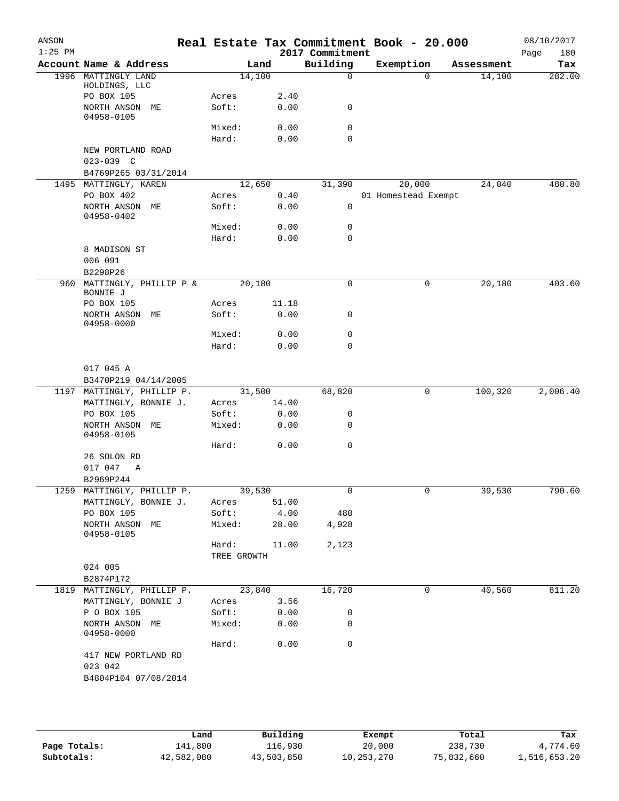| ANSON<br>$1:25$ PM |                                    |                    |        |       | 2017 Commitment | Real Estate Tax Commitment Book - 20.000 |                |            | 08/10/2017<br>Page<br>180 |
|--------------------|------------------------------------|--------------------|--------|-------|-----------------|------------------------------------------|----------------|------------|---------------------------|
|                    | Account Name & Address             |                    | Land   |       | Building        | Exemption                                |                | Assessment | Tax                       |
| 1996               | MATTINGLY LAND                     |                    | 14,100 |       | $\mathbf 0$     |                                          | 0              | 14,100     | 282.00                    |
|                    | HOLDINGS, LLC                      |                    |        |       |                 |                                          |                |            |                           |
|                    | PO BOX 105                         | Acres              |        | 2.40  |                 |                                          |                |            |                           |
|                    | NORTH ANSON ME<br>04958-0105       | Soft:              |        | 0.00  | 0               |                                          |                |            |                           |
|                    |                                    | Mixed:             |        | 0.00  | 0               |                                          |                |            |                           |
|                    |                                    | Hard:              |        | 0.00  | 0               |                                          |                |            |                           |
|                    | NEW PORTLAND ROAD<br>$023 - 039$ C |                    |        |       |                 |                                          |                |            |                           |
|                    | B4769P265 03/31/2014               |                    |        |       |                 |                                          |                |            |                           |
|                    | 1495 MATTINGLY, KAREN              |                    | 12,650 |       | 31,390          | 20,000                                   |                | 24,040     | 480.80                    |
|                    | PO BOX 402                         | Acres              |        | 0.40  |                 | 01 Homestead Exempt                      |                |            |                           |
|                    | NORTH ANSON ME<br>04958-0402       | Soft:              |        | 0.00  | 0               |                                          |                |            |                           |
|                    |                                    | Mixed:             |        | 0.00  | 0               |                                          |                |            |                           |
|                    |                                    | Hard:              |        | 0.00  | 0               |                                          |                |            |                           |
|                    | 8 MADISON ST                       |                    |        |       |                 |                                          |                |            |                           |
|                    | 006 091                            |                    |        |       |                 |                                          |                |            |                           |
|                    | B2298P26                           |                    |        |       |                 |                                          |                |            |                           |
| 960                | MATTINGLY, PHILLIP P &             |                    | 20,180 |       | 0               |                                          | 0              | 20,180     | 403.60                    |
|                    | BONNIE J                           |                    |        |       |                 |                                          |                |            |                           |
|                    | PO BOX 105                         | Acres              |        | 11.18 |                 |                                          |                |            |                           |
|                    | NORTH ANSON<br>MЕ                  | Soft:              |        | 0.00  | 0               |                                          |                |            |                           |
|                    | 04958-0000                         |                    |        |       |                 |                                          |                |            |                           |
|                    |                                    | Mixed:             |        | 0.00  | 0               |                                          |                |            |                           |
|                    |                                    | Hard:              |        | 0.00  | 0               |                                          |                |            |                           |
|                    |                                    |                    |        |       |                 |                                          |                |            |                           |
|                    | 017 045 A                          |                    |        |       |                 |                                          |                |            |                           |
|                    | B3470P219 04/14/2005               |                    |        |       |                 |                                          |                |            |                           |
|                    | 1197 MATTINGLY, PHILLIP P.         |                    | 31,500 |       | 68,820          |                                          | 0              | 100,320    | 2,006.40                  |
|                    | MATTINGLY, BONNIE J.               | Acres              |        | 14.00 |                 |                                          |                |            |                           |
|                    |                                    |                    |        |       |                 |                                          |                |            |                           |
|                    | PO BOX 105                         | Soft:              |        | 0.00  | 0               |                                          |                |            |                           |
|                    | NORTH ANSON ME<br>04958-0105       | Mixed:             |        | 0.00  | 0               |                                          |                |            |                           |
|                    |                                    | Hard:              |        | 0.00  | 0               |                                          |                |            |                           |
|                    | 26 SOLON RD                        |                    |        |       |                 |                                          |                |            |                           |
|                    | 017 047<br>Α                       |                    |        |       |                 |                                          |                |            |                           |
|                    | B2969P244                          |                    |        |       |                 |                                          |                |            |                           |
|                    | 1259 MATTINGLY, PHILLIP P.         | $\frac{1}{39,530}$ |        |       | 0               |                                          | $\overline{0}$ | 39,530     | 790.60                    |
|                    | MATTINGLY, BONNIE J.               | Acres              |        | 51.00 |                 |                                          |                |            |                           |
|                    | PO BOX 105                         | Soft:              |        | 4.00  | 480             |                                          |                |            |                           |
|                    | NORTH ANSON ME<br>04958-0105       | Mixed:             |        | 28.00 | 4,928           |                                          |                |            |                           |
|                    |                                    | Hard:              |        | 11.00 | 2,123           |                                          |                |            |                           |
|                    |                                    | TREE GROWTH        |        |       |                 |                                          |                |            |                           |
|                    | 024 005                            |                    |        |       |                 |                                          |                |            |                           |
|                    | B2874P172                          |                    |        |       |                 |                                          |                |            |                           |
|                    | 1819 MATTINGLY, PHILLIP P.         |                    | 23,840 |       | 16,720          |                                          | 0              | 40,560     | 811.20                    |
|                    | MATTINGLY, BONNIE J                | Acres              |        | 3.56  |                 |                                          |                |            |                           |
|                    | P O BOX 105                        | Soft:              |        | 0.00  | 0               |                                          |                |            |                           |
|                    | NORTH ANSON ME<br>04958-0000       | Mixed:             |        | 0.00  | 0               |                                          |                |            |                           |
|                    |                                    | Hard:              |        | 0.00  | 0               |                                          |                |            |                           |
|                    | 417 NEW PORTLAND RD                |                    |        |       |                 |                                          |                |            |                           |
|                    | 023 042                            |                    |        |       |                 |                                          |                |            |                           |
|                    | B4804P104 07/08/2014               |                    |        |       |                 |                                          |                |            |                           |
|                    |                                    |                    |        |       |                 |                                          |                |            |                           |
|                    |                                    |                    |        |       |                 |                                          |                |            |                           |
|                    |                                    |                    |        |       |                 |                                          |                |            |                           |

|              | Land       | Building   | Exempt     | Total      | Tax          |
|--------------|------------|------------|------------|------------|--------------|
| Page Totals: | 141,800    | 116,930    | 20,000     | 238,730    | 4,774.60     |
| Subtotals:   | 42,582,080 | 43,503,850 | 10,253,270 | 75,832,660 | 1,516,653.20 |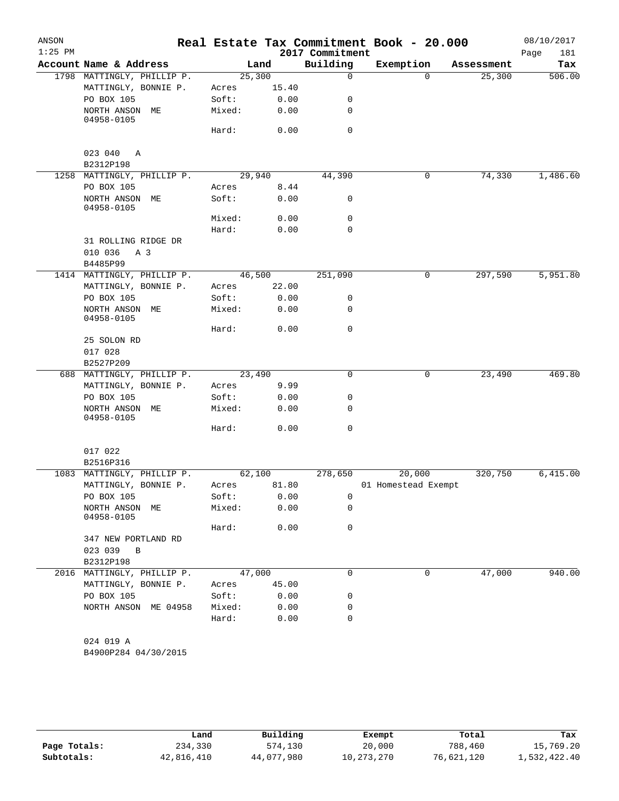| ANSON     |                              |       |        |       |                 | Real Estate Tax Commitment Book - 20.000 |            | 08/10/2017  |
|-----------|------------------------------|-------|--------|-------|-----------------|------------------------------------------|------------|-------------|
| $1:25$ PM |                              |       |        |       | 2017 Commitment |                                          |            | 181<br>Page |
|           | Account Name & Address       |       |        | Land  | Building        | Exemption                                | Assessment | Tax         |
|           | 1798 MATTINGLY, PHILLIP P.   |       | 25,300 |       | $\mathbf 0$     | $\Omega$                                 | 25,300     | 506.00      |
|           | MATTINGLY, BONNIE P.         | Acres |        | 15.40 |                 |                                          |            |             |
|           | PO BOX 105                   | Soft: |        | 0.00  | 0               |                                          |            |             |
|           | NORTH ANSON ME<br>04958-0105 |       | Mixed: | 0.00  | 0               |                                          |            |             |
|           |                              | Hard: |        | 0.00  | $\mathbf 0$     |                                          |            |             |
|           | 023 040 A                    |       |        |       |                 |                                          |            |             |
|           | B2312P198                    |       |        |       |                 |                                          |            |             |
|           | 1258 MATTINGLY, PHILLIP P.   |       | 29,940 |       | 44,390          | 0                                        | 74,330     | 1,486.60    |
|           | PO BOX 105                   | Acres |        | 8.44  |                 |                                          |            |             |
|           | NORTH ANSON ME<br>04958-0105 | Soft: |        | 0.00  | 0               |                                          |            |             |
|           |                              |       | Mixed: | 0.00  | 0               |                                          |            |             |
|           |                              | Hard: |        | 0.00  | $\mathbf 0$     |                                          |            |             |
|           | 31 ROLLING RIDGE DR          |       |        |       |                 |                                          |            |             |
|           | 010 036<br>A 3               |       |        |       |                 |                                          |            |             |
|           | B4485P99                     |       |        |       |                 |                                          |            |             |
|           | 1414 MATTINGLY, PHILLIP P.   |       | 46,500 |       | 251,090         | 0                                        | 297,590    | 5,951.80    |
|           | MATTINGLY, BONNIE P.         | Acres |        | 22.00 |                 |                                          |            |             |
|           | PO BOX 105                   | Soft: |        | 0.00  | 0               |                                          |            |             |
|           | NORTH ANSON ME<br>04958-0105 |       | Mixed: | 0.00  | 0               |                                          |            |             |
|           |                              | Hard: |        | 0.00  | 0               |                                          |            |             |
|           | 25 SOLON RD                  |       |        |       |                 |                                          |            |             |
|           | 017 028                      |       |        |       |                 |                                          |            |             |
|           | B2527P209                    |       |        |       |                 |                                          |            |             |
|           | 688 MATTINGLY, PHILLIP P.    |       | 23,490 |       | 0               | 0                                        | 23,490     | 469.80      |
|           | MATTINGLY, BONNIE P.         | Acres |        | 9.99  |                 |                                          |            |             |
|           | PO BOX 105                   | Soft: |        | 0.00  | 0               |                                          |            |             |
|           | NORTH ANSON ME<br>04958-0105 |       | Mixed: | 0.00  | 0               |                                          |            |             |
|           |                              | Hard: |        | 0.00  | $\mathbf 0$     |                                          |            |             |
|           | 017 022                      |       |        |       |                 |                                          |            |             |
|           | B2516P316                    |       |        |       |                 |                                          |            |             |
|           | 1083 MATTINGLY, PHILLIP P.   |       | 62,100 |       | 278,650         | 20,000                                   | 320,750    | 6,415.00    |
|           | MATTINGLY, BONNIE P.         | Acres |        | 81.80 |                 | 01 Homestead Exempt                      |            |             |
|           | PO BOX 105                   | Soft: |        | 0.00  | 0               |                                          |            |             |
|           | NORTH ANSON ME<br>04958-0105 |       | Mixed: | 0.00  | 0               |                                          |            |             |
|           |                              | Hard: |        | 0.00  | $\mathbf 0$     |                                          |            |             |
|           | 347 NEW PORTLAND RD          |       |        |       |                 |                                          |            |             |
|           | 023 039 B                    |       |        |       |                 |                                          |            |             |
|           | B2312P198                    |       |        |       |                 |                                          |            |             |
|           | 2016 MATTINGLY, PHILLIP P.   |       | 47,000 |       | $\mathbf 0$     | 0                                        | 47,000     | 940.00      |
|           | MATTINGLY, BONNIE P.         | Acres |        | 45.00 |                 |                                          |            |             |
|           | PO BOX 105                   | Soft: |        | 0.00  | 0               |                                          |            |             |
|           | NORTH ANSON ME 04958         |       | Mixed: | 0.00  | 0               |                                          |            |             |
|           |                              | Hard: |        | 0.00  | $\mathbf 0$     |                                          |            |             |
|           | 024 019 A                    |       |        |       |                 |                                          |            |             |
|           | B4900P284 04/30/2015         |       |        |       |                 |                                          |            |             |

|              | Land       | Building   | Exempt     | Total      | Tax          |
|--------------|------------|------------|------------|------------|--------------|
| Page Totals: | 234,330    | 574,130    | 20,000     | 788,460    | 15,769.20    |
| Subtotals:   | 42,816,410 | 44,077,980 | 10,273,270 | 76,621,120 | 1,532,422.40 |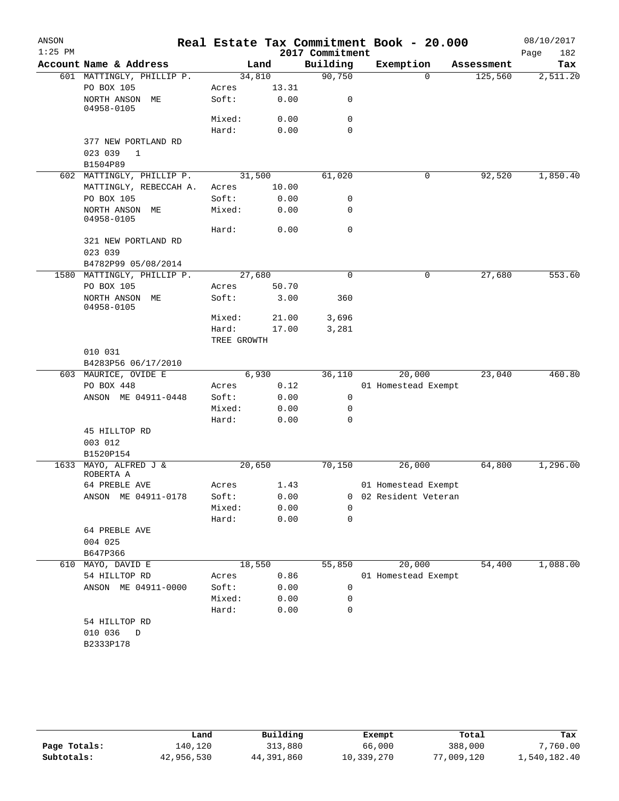| ANSON     |                                                |                |        |                 | Real Estate Tax Commitment Book - 20.000 |            | 08/10/2017  |
|-----------|------------------------------------------------|----------------|--------|-----------------|------------------------------------------|------------|-------------|
| $1:25$ PM | Account Name & Address                         |                |        | 2017 Commitment | Exemption                                |            | 182<br>Page |
|           |                                                |                | Land   | Building        | $\Omega$                                 | Assessment | Tax         |
|           | 601 MATTINGLY, PHILLIP P.<br>PO BOX 105        | 34,810         | 13.31  | 90,750          |                                          | 125,560    | 2,511.20    |
|           | NORTH ANSON ME                                 | Acres<br>Soft: | 0.00   | 0               |                                          |            |             |
|           | 04958-0105                                     |                |        |                 |                                          |            |             |
|           |                                                | Mixed:         | 0.00   | 0<br>$\Omega$   |                                          |            |             |
|           |                                                | Hard:          | 0.00   |                 |                                          |            |             |
|           | 377 NEW PORTLAND RD<br>023 039<br>$\mathbf{1}$ |                |        |                 |                                          |            |             |
|           | B1504P89                                       |                |        |                 |                                          |            |             |
|           | 602 MATTINGLY, PHILLIP P.                      |                | 31,500 | 61,020          | 0                                        | 92,520     | 1,850.40    |
|           | MATTINGLY, REBECCAH A.                         | Acres          | 10.00  |                 |                                          |            |             |
|           | PO BOX 105                                     | Soft:          | 0.00   | 0               |                                          |            |             |
|           | NORTH ANSON ME<br>04958-0105                   | Mixed:         | 0.00   | 0               |                                          |            |             |
|           |                                                | Hard:          | 0.00   | 0               |                                          |            |             |
|           | 321 NEW PORTLAND RD<br>023 039                 |                |        |                 |                                          |            |             |
|           | B4782P99 05/08/2014                            |                |        |                 |                                          |            |             |
|           | 1580 MATTINGLY, PHILLIP P.                     | 27,680         |        | $\mathbf 0$     | 0                                        | 27,680     | 553.60      |
|           | PO BOX 105                                     | Acres          | 50.70  |                 |                                          |            |             |
|           | NORTH ANSON ME<br>04958-0105                   | Soft:          | 3.00   | 360             |                                          |            |             |
|           |                                                | Mixed:         | 21.00  | 3,696           |                                          |            |             |
|           |                                                | Hard:          | 17.00  | 3,281           |                                          |            |             |
|           |                                                | TREE GROWTH    |        |                 |                                          |            |             |
|           | 010 031                                        |                |        |                 |                                          |            |             |
|           | B4283P56 06/17/2010                            |                |        |                 |                                          |            |             |
|           | 603 MAURICE, OVIDE E                           |                | 6,930  | 36,110          | 20,000                                   | 23,040     | 460.80      |
|           | PO BOX 448                                     | Acres          | 0.12   |                 | 01 Homestead Exempt                      |            |             |
|           | ANSON ME 04911-0448                            | Soft:          | 0.00   | 0               |                                          |            |             |
|           |                                                | Mixed:         | 0.00   | 0               |                                          |            |             |
|           |                                                | Hard:          | 0.00   | 0               |                                          |            |             |
|           | 45 HILLTOP RD                                  |                |        |                 |                                          |            |             |
|           | 003 012                                        |                |        |                 |                                          |            |             |
|           | B1520P154                                      |                |        |                 |                                          |            |             |
|           | 1633 MAYO, ALFRED J &<br>ROBERTA A             |                | 20,650 | 70,150          | 26,000                                   | 64,800     | 1,296.00    |
|           | 64 PREBLE AVE                                  | Acres          | 1.43   |                 | 01 Homestead Exempt                      |            |             |
|           | ANSON ME 04911-0178                            | Soft:          | 0.00   | 0               | 02 Resident Veteran                      |            |             |
|           |                                                | Mixed:         | 0.00   | $\Omega$        |                                          |            |             |
|           |                                                | Hard:          | 0.00   | 0               |                                          |            |             |
|           | 64 PREBLE AVE                                  |                |        |                 |                                          |            |             |
|           | 004 025                                        |                |        |                 |                                          |            |             |
|           | B647P366                                       |                |        |                 |                                          |            |             |
|           | 610 MAYO, DAVID E                              | 18,550         |        | 55,850          | 20,000                                   | 54,400     | 1,088.00    |
|           | 54 HILLTOP RD                                  | Acres          | 0.86   |                 | 01 Homestead Exempt                      |            |             |
|           | ANSON ME 04911-0000                            | Soft:          | 0.00   | 0               |                                          |            |             |
|           |                                                | Mixed:         | 0.00   | 0               |                                          |            |             |
|           |                                                | Hard:          | 0.00   | 0               |                                          |            |             |
|           | 54 HILLTOP RD                                  |                |        |                 |                                          |            |             |
|           | 010 036<br>$\mathbb D$                         |                |        |                 |                                          |            |             |
|           | B2333P178                                      |                |        |                 |                                          |            |             |
|           |                                                |                |        |                 |                                          |            |             |
|           |                                                |                |        |                 |                                          |            |             |

|              | Land       | Building   | Exempt     | Total      | Tax          |
|--------------|------------|------------|------------|------------|--------------|
| Page Totals: | 140.120    | 313,880    | 66,000     | 388,000    | 7,760.00     |
| Subtotals:   | 42,956,530 | 44,391,860 | 10,339,270 | 77,009,120 | 1,540,182.40 |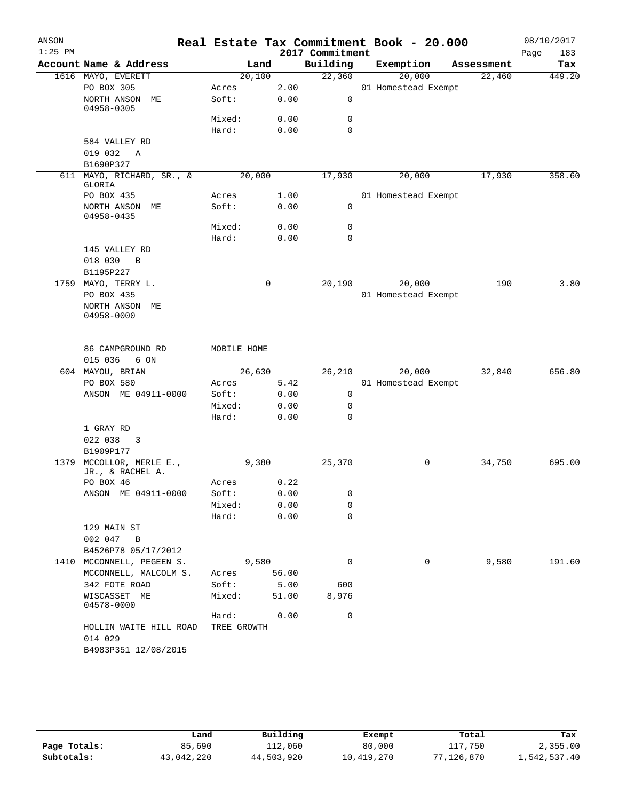| ANSON<br>$1:25$ PM |                                     |                 |        |              | 2017 Commitment  | Real Estate Tax Commitment Book - 20.000 |            | 08/10/2017<br>Page<br>183 |
|--------------------|-------------------------------------|-----------------|--------|--------------|------------------|------------------------------------------|------------|---------------------------|
|                    | Account Name & Address              |                 | Land   |              | Building         | Exemption                                | Assessment | Tax                       |
|                    | 1616 MAYO, EVERETT                  |                 | 20,100 |              | 22,360           | 20,000                                   | 22,460     | 449.20                    |
|                    | PO BOX 305                          | Acres           |        | 2.00         |                  | 01 Homestead Exempt                      |            |                           |
|                    | NORTH ANSON ME<br>04958-0305        | Soft:           |        | 0.00         | $\mathbf 0$      |                                          |            |                           |
|                    |                                     | Mixed:          |        | 0.00         | 0                |                                          |            |                           |
|                    |                                     | Hard:           |        | 0.00         | $\Omega$         |                                          |            |                           |
|                    | 584 VALLEY RD                       |                 |        |              |                  |                                          |            |                           |
|                    | 019 032<br>A                        |                 |        |              |                  |                                          |            |                           |
|                    | B1690P327                           |                 | 20,000 |              | 17,930           |                                          | 17,930     | 358.60                    |
|                    | 611 MAYO, RICHARD, SR., &<br>GLORIA |                 |        |              |                  | 20,000                                   |            |                           |
|                    | PO BOX 435                          | Acres           |        | 1.00         |                  | 01 Homestead Exempt                      |            |                           |
|                    | NORTH ANSON ME<br>04958-0435        | Soft:           |        | 0.00         | 0                |                                          |            |                           |
|                    |                                     | Mixed:          |        | 0.00         | 0                |                                          |            |                           |
|                    |                                     | Hard:           |        | 0.00         | $\mathbf 0$      |                                          |            |                           |
|                    | 145 VALLEY RD                       |                 |        |              |                  |                                          |            |                           |
|                    | 018 030<br>B                        |                 |        |              |                  |                                          |            |                           |
|                    | B1195P227                           |                 |        |              |                  |                                          |            |                           |
|                    | 1759 MAYO, TERRY L.                 |                 | 0      |              | 20,190           | 20,000                                   | 190        | 3.80                      |
|                    | PO BOX 435                          |                 |        |              |                  | 01 Homestead Exempt                      |            |                           |
|                    | NORTH ANSON ME<br>04958-0000        |                 |        |              |                  |                                          |            |                           |
|                    | 86 CAMPGROUND RD                    | MOBILE HOME     |        |              |                  |                                          |            |                           |
|                    | 015 036<br>6 ON                     |                 |        |              |                  |                                          |            |                           |
|                    | 604 MAYOU, BRIAN                    |                 | 26,630 |              | 26,210           | 20,000                                   | 32,840     | 656.80                    |
|                    | PO BOX 580                          | Acres           |        | 5.42         |                  | 01 Homestead Exempt                      |            |                           |
|                    | ANSON ME 04911-0000                 | Soft:           |        | 0.00         | 0                |                                          |            |                           |
|                    |                                     | Mixed:<br>Hard: |        | 0.00<br>0.00 | 0<br>$\mathbf 0$ |                                          |            |                           |
|                    | 1 GRAY RD                           |                 |        |              |                  |                                          |            |                           |
|                    | 022 038 3                           |                 |        |              |                  |                                          |            |                           |
|                    | B1909P177                           |                 |        |              |                  |                                          |            |                           |
| 1379               | MCCOLLOR, MERLE E.,                 |                 | 9,380  |              | 25,370           | 0                                        | 34,750     | 695.00                    |
|                    | JR., & RACHEL A.                    |                 |        |              |                  |                                          |            |                           |
|                    | PO BOX 46                           | Acres           |        | 0.22         |                  |                                          |            |                           |
|                    | ANSON ME 04911-0000                 | Soft:           |        | 0.00         | 0                |                                          |            |                           |
|                    |                                     | Mixed:          |        | 0.00         | $\mathbf 0$      |                                          |            |                           |
|                    |                                     | Hard:           |        | 0.00         | 0                |                                          |            |                           |
|                    | 129 MAIN ST<br>002 047              |                 |        |              |                  |                                          |            |                           |
|                    | B<br>B4526P78 05/17/2012            |                 |        |              |                  |                                          |            |                           |
|                    | 1410 MCCONNELL, PEGEEN S.           |                 | 9,580  |              | 0                | 0                                        | 9,580      | 191.60                    |
|                    | MCCONNELL, MALCOLM S.               | Acres           |        | 56.00        |                  |                                          |            |                           |
|                    | 342 FOTE ROAD                       | Soft:           |        | 5.00         | 600              |                                          |            |                           |
|                    | WISCASSET ME<br>04578-0000          | Mixed:          |        | 51.00        | 8,976            |                                          |            |                           |
|                    |                                     | Hard:           |        | 0.00         | $\mathbf 0$      |                                          |            |                           |
|                    | HOLLIN WAITE HILL ROAD              | TREE GROWTH     |        |              |                  |                                          |            |                           |
|                    | 014 029                             |                 |        |              |                  |                                          |            |                           |
|                    | B4983P351 12/08/2015                |                 |        |              |                  |                                          |            |                           |

|              | Land       | Building   | Exempt     | Total      | Tax          |
|--------------|------------|------------|------------|------------|--------------|
| Page Totals: | 85,690     | 112,060    | 80,000     | 117,750    | 2,355.00     |
| Subtotals:   | 43,042,220 | 44,503,920 | 10,419,270 | 77,126,870 | 1,542,537.40 |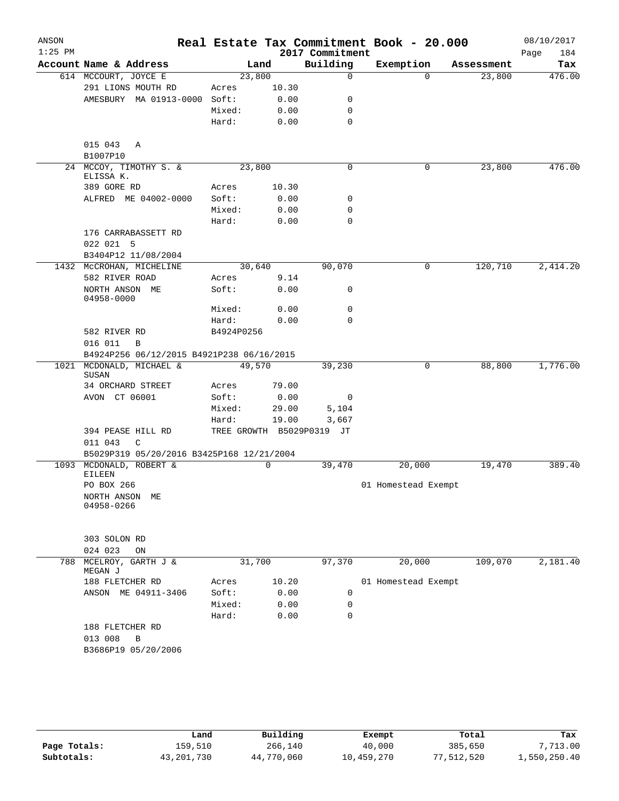| ANSON<br>$1:25$ PM |                                                         |            |             | 2017 Commitment           | Real Estate Tax Commitment Book - 20.000 |            | 08/10/2017<br>Page<br>184 |
|--------------------|---------------------------------------------------------|------------|-------------|---------------------------|------------------------------------------|------------|---------------------------|
|                    | Account Name & Address                                  |            | Land        | Building                  | Exemption                                | Assessment | Tax                       |
|                    | 614 MCCOURT, JOYCE E                                    | 23,800     |             | $\mathbf 0$               | $\Omega$                                 | 23,800     | 476.00                    |
|                    | 291 LIONS MOUTH RD                                      | Acres      | 10.30       |                           |                                          |            |                           |
|                    | AMESBURY MA 01913-0000 Soft:                            |            | 0.00        | 0                         |                                          |            |                           |
|                    |                                                         | Mixed:     | 0.00        | 0                         |                                          |            |                           |
|                    |                                                         | Hard:      | 0.00        | 0                         |                                          |            |                           |
|                    | 015 043<br>A<br>B1007P10                                |            |             |                           |                                          |            |                           |
|                    | 24 MCCOY, TIMOTHY S. &<br>ELISSA K.                     | 23,800     |             | 0                         | 0                                        | 23,800     | 476.00                    |
|                    | 389 GORE RD                                             | Acres      | 10.30       |                           |                                          |            |                           |
|                    | ALFRED ME 04002-0000                                    | Soft:      | 0.00        | 0                         |                                          |            |                           |
|                    |                                                         | Mixed:     | 0.00        | 0                         |                                          |            |                           |
|                    |                                                         | Hard:      | 0.00        | $\mathbf 0$               |                                          |            |                           |
|                    | 176 CARRABASSETT RD<br>022 021 5<br>B3404P12 11/08/2004 |            |             |                           |                                          |            |                           |
|                    | 1432 MCCROHAN, MICHELINE                                | 30,640     |             | 90,070                    | $\mathbf 0$                              | 120,710    | 2,414.20                  |
|                    | 582 RIVER ROAD                                          | Acres      | 9.14        |                           |                                          |            |                           |
|                    | NORTH ANSON ME                                          | Soft:      | 0.00        | 0                         |                                          |            |                           |
|                    | 04958-0000                                              |            |             |                           |                                          |            |                           |
|                    |                                                         | Mixed:     | 0.00        | 0                         |                                          |            |                           |
|                    |                                                         | Hard:      | 0.00        | 0                         |                                          |            |                           |
|                    | 582 RIVER RD                                            | B4924P0256 |             |                           |                                          |            |                           |
|                    | 016 011<br>B                                            |            |             |                           |                                          |            |                           |
|                    | B4924P256 06/12/2015 B4921P238 06/16/2015               |            |             |                           |                                          |            |                           |
| 1021               | MCDONALD, MICHAEL &<br>SUSAN                            | 49,570     |             | 39,230                    | 0                                        | 88,800     | 1,776.00                  |
|                    | 34 ORCHARD STREET                                       | Acres      | 79.00       |                           |                                          |            |                           |
|                    | AVON CT 06001                                           | Soft:      | 0.00        | 0                         |                                          |            |                           |
|                    |                                                         | Mixed:     | 29.00       | 5,104                     |                                          |            |                           |
|                    |                                                         | Hard:      | 19.00       | 3,667                     |                                          |            |                           |
|                    | 394 PEASE HILL RD<br>011 043<br>C                       |            |             | TREE GROWTH B5029P0319 JT |                                          |            |                           |
|                    | B5029P319 05/20/2016 B3425P168 12/21/2004               |            |             |                           |                                          |            |                           |
|                    | 1093 MCDONALD, ROBERT &<br><b>EILEEN</b>                |            | $\mathbf 0$ | 39,470                    | 20,000                                   | 19,470     | 389.40                    |
|                    | PO BOX 266                                              |            |             |                           | 01 Homestead Exempt                      |            |                           |
|                    | NORTH ANSON<br>MЕ<br>04958-0266                         |            |             |                           |                                          |            |                           |
|                    | 303 SOLON RD<br>024 023<br>ON                           |            |             |                           |                                          |            |                           |
| 788                | MCELROY, GARTH J &<br>MEGAN J                           | 31,700     |             | 97,370                    | 20,000                                   | 109,070    | 2,181.40                  |
|                    | 188 FLETCHER RD                                         | Acres      | 10.20       |                           | 01 Homestead Exempt                      |            |                           |
|                    | ANSON ME 04911-3406                                     | Soft:      | 0.00        | 0                         |                                          |            |                           |
|                    |                                                         | Mixed:     | 0.00        | 0                         |                                          |            |                           |
|                    |                                                         | Hard:      | 0.00        | $\mathbf 0$               |                                          |            |                           |
|                    | 188 FLETCHER RD                                         |            |             |                           |                                          |            |                           |
|                    | 013 008<br>В<br>B3686P19 05/20/2006                     |            |             |                           |                                          |            |                           |

|              | Land         | Building   | Exempt     | Total      | Tax          |
|--------------|--------------|------------|------------|------------|--------------|
| Page Totals: | 159,510      | 266,140    | 40,000     | 385,650    | 7,713.00     |
| Subtotals:   | 43, 201, 730 | 44,770,060 | 10,459,270 | 77,512,520 | 1,550,250.40 |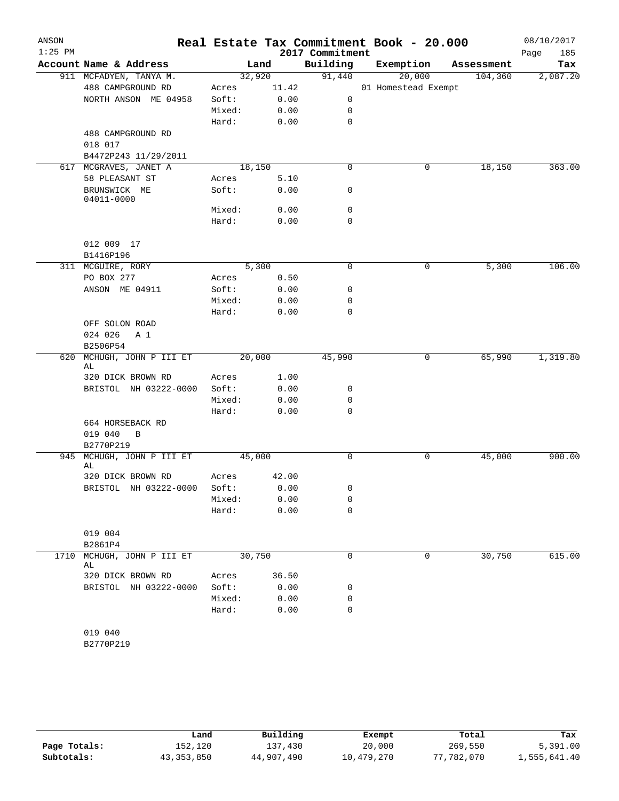| ANSON<br>$1:25$ PM |                             |        |        | 2017 Commitment  | Real Estate Tax Commitment Book - 20.000 |            | 08/10/2017<br>185<br>Page |
|--------------------|-----------------------------|--------|--------|------------------|------------------------------------------|------------|---------------------------|
|                    | Account Name & Address      |        | Land   | Building         | Exemption                                | Assessment | Tax                       |
|                    | 911 MCFADYEN, TANYA M.      | 32,920 |        | 91,440           | 20,000                                   | 104,360    | 2,087.20                  |
|                    | 488 CAMPGROUND RD           | Acres  | 11.42  |                  | 01 Homestead Exempt                      |            |                           |
|                    | NORTH ANSON ME 04958        | Soft:  | 0.00   | 0                |                                          |            |                           |
|                    |                             | Mixed: | 0.00   | 0                |                                          |            |                           |
|                    |                             | Hard:  | 0.00   | $\mathbf 0$      |                                          |            |                           |
|                    | 488 CAMPGROUND RD           |        |        |                  |                                          |            |                           |
|                    | 018 017                     |        |        |                  |                                          |            |                           |
|                    | B4472P243 11/29/2011        |        |        |                  |                                          |            |                           |
|                    | 617 MCGRAVES, JANET A       |        | 18,150 | $\mathbf 0$      | 0                                        | 18,150     | 363.00                    |
|                    | 58 PLEASANT ST              | Acres  | 5.10   |                  |                                          |            |                           |
|                    | BRUNSWICK ME<br>04011-0000  | Soft:  | 0.00   | 0                |                                          |            |                           |
|                    |                             | Mixed: | 0.00   | $\mathbf 0$      |                                          |            |                           |
|                    |                             | Hard:  | 0.00   | 0                |                                          |            |                           |
|                    |                             |        |        |                  |                                          |            |                           |
|                    | 012 009 17                  |        |        |                  |                                          |            |                           |
|                    | B1416P196                   |        |        |                  |                                          |            |                           |
|                    | 311 MCGUIRE, RORY           |        | 5,300  | $\mathbf 0$      | 0                                        | 5,300      | 106.00                    |
|                    | PO BOX 277                  | Acres  | 0.50   |                  |                                          |            |                           |
|                    | ANSON ME 04911              | Soft:  | 0.00   | 0                |                                          |            |                           |
|                    |                             | Mixed: | 0.00   | 0                |                                          |            |                           |
|                    |                             | Hard:  | 0.00   | 0                |                                          |            |                           |
|                    | OFF SOLON ROAD              |        |        |                  |                                          |            |                           |
|                    | 024 026<br>A 1              |        |        |                  |                                          |            |                           |
|                    | B2506P54                    |        |        |                  |                                          |            |                           |
| 620                | MCHUGH, JOHN P III ET       | 20,000 |        | 45,990           | 0                                        | 65,990     | 1,319.80                  |
|                    | AL                          |        |        |                  |                                          |            |                           |
|                    | 320 DICK BROWN RD           | Acres  | 1.00   |                  |                                          |            |                           |
|                    | BRISTOL NH 03222-0000       | Soft:  | 0.00   | 0                |                                          |            |                           |
|                    |                             | Mixed: | 0.00   | 0<br>$\mathbf 0$ |                                          |            |                           |
|                    |                             | Hard:  | 0.00   |                  |                                          |            |                           |
|                    | 664 HORSEBACK RD<br>019 040 |        |        |                  |                                          |            |                           |
|                    | B<br>B2770P219              |        |        |                  |                                          |            |                           |
| 945                | MCHUGH, JOHN P III ET       | 45,000 |        | 0                | 0                                        | 45,000     | 900.00                    |
|                    | AL                          |        |        |                  |                                          |            |                           |
|                    | 320 DICK BROWN RD           | Acres  | 42.00  |                  |                                          |            |                           |
|                    | BRISTOL NH 03222-0000       | Soft:  | 0.00   | 0                |                                          |            |                           |
|                    |                             | Mixed: | 0.00   | 0                |                                          |            |                           |
|                    |                             | Hard:  | 0.00   | 0                |                                          |            |                           |
|                    |                             |        |        |                  |                                          |            |                           |
|                    | 019 004                     |        |        |                  |                                          |            |                           |
|                    | B2861P4                     |        |        |                  |                                          |            |                           |
| 1710               | MCHUGH, JOHN P III ET<br>AL | 30,750 |        | 0                | 0                                        | 30,750     | 615.00                    |
|                    | 320 DICK BROWN RD           | Acres  | 36.50  |                  |                                          |            |                           |
|                    | BRISTOL NH 03222-0000       | Soft:  | 0.00   | 0                |                                          |            |                           |
|                    |                             | Mixed: | 0.00   | 0                |                                          |            |                           |
|                    |                             | Hard:  | 0.00   | 0                |                                          |            |                           |
|                    |                             |        |        |                  |                                          |            |                           |
|                    | 019 040                     |        |        |                  |                                          |            |                           |
|                    | B2770P219                   |        |        |                  |                                          |            |                           |

|              | Land         | Building   | Exempt     | Total      | Tax          |
|--------------|--------------|------------|------------|------------|--------------|
| Page Totals: | 152,120      | 137,430    | 20,000     | 269,550    | 5,391.00     |
| Subtotals:   | 43, 353, 850 | 44,907,490 | 10,479,270 | 77,782,070 | 1,555,641.40 |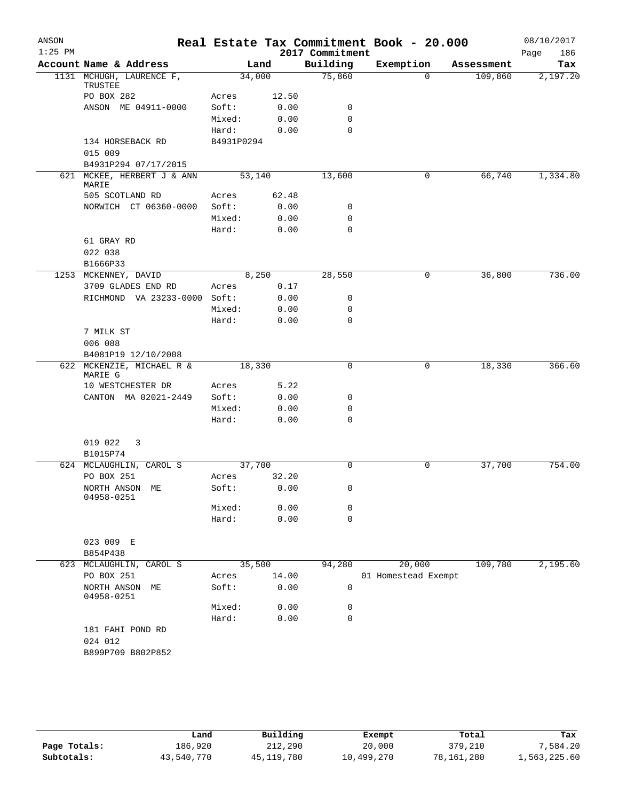| ANSON<br>$1:25$ PM |                                     |            |       |                             | Real Estate Tax Commitment Book - 20.000 |            | 08/10/2017         |
|--------------------|-------------------------------------|------------|-------|-----------------------------|------------------------------------------|------------|--------------------|
|                    | Account Name & Address              | Land       |       | 2017 Commitment<br>Building | Exemption                                | Assessment | Page<br>186<br>Tax |
|                    | 1131 MCHUGH, LAURENCE F,            | 34,000     |       | 75,860                      | $\Omega$                                 | 109,860    | 2,197.20           |
|                    | TRUSTEE                             |            |       |                             |                                          |            |                    |
|                    | PO BOX 282                          | Acres      | 12.50 |                             |                                          |            |                    |
|                    | ANSON ME 04911-0000                 | Soft:      | 0.00  | 0                           |                                          |            |                    |
|                    |                                     | Mixed:     | 0.00  | $\mathbf 0$                 |                                          |            |                    |
|                    |                                     | Hard:      | 0.00  | $\Omega$                    |                                          |            |                    |
|                    | 134 HORSEBACK RD                    | B4931P0294 |       |                             |                                          |            |                    |
|                    | 015 009                             |            |       |                             |                                          |            |                    |
|                    | B4931P294 07/17/2015                |            |       |                             |                                          |            |                    |
|                    | 621 MCKEE, HERBERT J & ANN<br>MARIE | 53,140     |       | 13,600                      | 0                                        | 66,740     | 1,334.80           |
|                    | 505 SCOTLAND RD                     | Acres      | 62.48 |                             |                                          |            |                    |
|                    | NORWICH CT 06360-0000               | Soft:      | 0.00  | 0                           |                                          |            |                    |
|                    |                                     | Mixed:     | 0.00  | $\mathbf 0$                 |                                          |            |                    |
|                    |                                     | Hard:      | 0.00  | $\mathbf 0$                 |                                          |            |                    |
|                    | 61 GRAY RD                          |            |       |                             |                                          |            |                    |
|                    | 022 038                             |            |       |                             |                                          |            |                    |
|                    | B1666P33                            |            |       |                             |                                          |            |                    |
|                    | 1253 MCKENNEY, DAVID                | 8,250      |       | 28,550                      | 0                                        | 36,800     | 736.00             |
|                    | 3709 GLADES END RD                  | Acres      | 0.17  |                             |                                          |            |                    |
|                    | RICHMOND VA 23233-0000 Soft:        |            | 0.00  | 0                           |                                          |            |                    |
|                    |                                     | Mixed:     | 0.00  | 0                           |                                          |            |                    |
|                    |                                     | Hard:      | 0.00  | $\mathbf 0$                 |                                          |            |                    |
|                    | 7 MILK ST                           |            |       |                             |                                          |            |                    |
|                    | 006 088                             |            |       |                             |                                          |            |                    |
|                    | B4081P19 12/10/2008                 |            |       |                             |                                          |            |                    |
|                    | 622 MCKENZIE, MICHAEL R &           | 18,330     |       | 0                           | 0                                        | 18,330     | 366.60             |
|                    | MARIE G<br>10 WESTCHESTER DR        | Acres      | 5.22  |                             |                                          |            |                    |
|                    | CANTON MA 02021-2449                | Soft:      | 0.00  | 0                           |                                          |            |                    |
|                    |                                     | Mixed:     | 0.00  | 0                           |                                          |            |                    |
|                    |                                     | Hard:      | 0.00  | $\mathbf 0$                 |                                          |            |                    |
|                    |                                     |            |       |                             |                                          |            |                    |
|                    | 019 022<br>3                        |            |       |                             |                                          |            |                    |
|                    | B1015P74                            |            |       |                             |                                          |            |                    |
|                    | 624 MCLAUGHLIN, CAROL S             | 37,700     |       | $\Omega$                    | 0                                        | 37,700     | 754.00             |
|                    | PO BOX 251                          | Acres      | 32.20 |                             |                                          |            |                    |
|                    | NORTH ANSON ME                      | Soft: 0.00 |       | 0                           |                                          |            |                    |
|                    | 04958-0251                          |            |       |                             |                                          |            |                    |
|                    |                                     | Mixed:     | 0.00  | 0                           |                                          |            |                    |
|                    |                                     | Hard:      | 0.00  | $\mathbf 0$                 |                                          |            |                    |
|                    |                                     |            |       |                             |                                          |            |                    |
|                    | 023 009 E                           |            |       |                             |                                          |            |                    |
|                    | B854P438<br>623 MCLAUGHLIN, CAROL S | 35,500     |       | 94,280                      | 20,000                                   | 109,780    | 2,195.60           |
|                    | PO BOX 251                          | Acres      | 14.00 |                             | 01 Homestead Exempt                      |            |                    |
|                    | NORTH ANSON ME                      | Soft:      | 0.00  | 0                           |                                          |            |                    |
|                    | 04958-0251                          |            |       |                             |                                          |            |                    |
|                    |                                     | Mixed:     | 0.00  | 0                           |                                          |            |                    |
|                    |                                     | Hard:      | 0.00  | $\mathbf 0$                 |                                          |            |                    |
|                    | 181 FAHI POND RD                    |            |       |                             |                                          |            |                    |
|                    | 024 012                             |            |       |                             |                                          |            |                    |
|                    | B899P709 B802P852                   |            |       |                             |                                          |            |                    |
|                    |                                     |            |       |                             |                                          |            |                    |
|                    |                                     |            |       |                             |                                          |            |                    |

|              | Land       | Building   | Exempt     | Total      | Tax          |
|--------------|------------|------------|------------|------------|--------------|
| Page Totals: | 186.920    | 212,290    | 20,000     | 379,210    | 7,584.20     |
| Subtotals:   | 43,540,770 | 45,119,780 | 10,499,270 | 78,161,280 | 1,563,225.60 |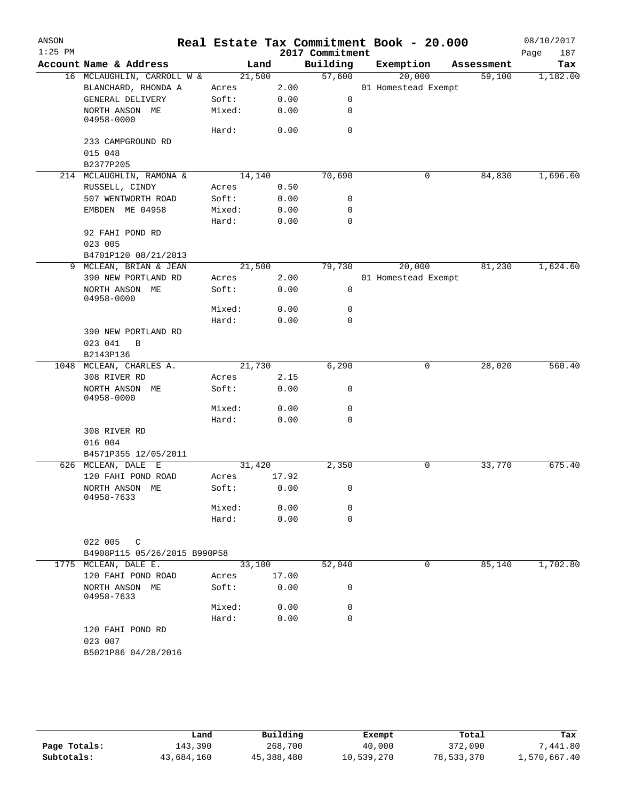| ANSON<br>$1:25$ PM |                              |            |       | 2017 Commitment | Real Estate Tax Commitment Book - 20.000 |            | 08/10/2017<br>Page<br>187 |
|--------------------|------------------------------|------------|-------|-----------------|------------------------------------------|------------|---------------------------|
|                    | Account Name & Address       | Land       |       | Building        | Exemption                                | Assessment | Tax                       |
|                    | 16 MCLAUGHLIN, CARROLL W &   | 21,500     |       | 57,600          | 20,000                                   | 59,100     | 1,182.00                  |
|                    | BLANCHARD, RHONDA A          | Acres      | 2.00  |                 | 01 Homestead Exempt                      |            |                           |
|                    | GENERAL DELIVERY             | Soft:      | 0.00  | 0               |                                          |            |                           |
|                    | NORTH ANSON ME<br>04958-0000 | Mixed:     | 0.00  | 0               |                                          |            |                           |
|                    |                              | Hard:      | 0.00  | $\mathbf 0$     |                                          |            |                           |
|                    | 233 CAMPGROUND RD            |            |       |                 |                                          |            |                           |
|                    | 015 048                      |            |       |                 |                                          |            |                           |
|                    | B2377P205                    |            |       |                 |                                          |            |                           |
|                    | 214 MCLAUGHLIN, RAMONA &     | 14,140     |       | 70,690          | 0                                        | 84,830     | 1,696.60                  |
|                    | RUSSELL, CINDY               | Acres      | 0.50  |                 |                                          |            |                           |
|                    | 507 WENTWORTH ROAD           | Soft:      | 0.00  | 0               |                                          |            |                           |
|                    | EMBDEN ME 04958              | Mixed:     | 0.00  | 0               |                                          |            |                           |
|                    |                              | Hard:      | 0.00  | $\mathbf 0$     |                                          |            |                           |
|                    | 92 FAHI POND RD              |            |       |                 |                                          |            |                           |
|                    | 023 005                      |            |       |                 |                                          |            |                           |
|                    | B4701P120 08/21/2013         |            |       |                 |                                          |            |                           |
|                    | 9 MCLEAN, BRIAN & JEAN       | 21,500     |       | 79,730          | 20,000                                   | 81,230     | 1,624.60                  |
|                    | 390 NEW PORTLAND RD          | Acres      | 2.00  |                 | 01 Homestead Exempt                      |            |                           |
|                    | NORTH ANSON ME<br>04958-0000 | Soft:      | 0.00  | 0               |                                          |            |                           |
|                    |                              | Mixed:     | 0.00  | 0               |                                          |            |                           |
|                    |                              | Hard:      | 0.00  | $\mathbf 0$     |                                          |            |                           |
|                    | 390 NEW PORTLAND RD          |            |       |                 |                                          |            |                           |
|                    | 023 041 B                    |            |       |                 |                                          |            |                           |
|                    | B2143P136                    |            |       |                 |                                          |            |                           |
| 1048               | MCLEAN, CHARLES A.           | 21,730     |       | 6,290           | 0                                        | 28,020     | 560.40                    |
|                    | 308 RIVER RD                 | Acres      | 2.15  |                 |                                          |            |                           |
|                    | NORTH ANSON ME<br>04958-0000 | Soft:      | 0.00  | 0               |                                          |            |                           |
|                    |                              | Mixed:     | 0.00  | 0               |                                          |            |                           |
|                    |                              | Hard:      | 0.00  | $\mathbf 0$     |                                          |            |                           |
|                    | 308 RIVER RD                 |            |       |                 |                                          |            |                           |
|                    | 016 004                      |            |       |                 |                                          |            |                           |
|                    | B4571P355 12/05/2011         |            |       |                 |                                          |            |                           |
|                    | 626 MCLEAN, DALE E           | 31,420     |       | 2,350           | 0                                        | 33,770     | 675.40                    |
|                    | 120 FAHI POND ROAD           | Acres      | 17.92 |                 |                                          |            |                           |
|                    | NORTH ANSON ME<br>04958-7633 | Soft: 0.00 |       | 0               |                                          |            |                           |
|                    |                              | Mixed:     | 0.00  | 0               |                                          |            |                           |
|                    |                              | Hard:      | 0.00  | $\mathbf 0$     |                                          |            |                           |
|                    |                              |            |       |                 |                                          |            |                           |
|                    | 022 005 C                    |            |       |                 |                                          |            |                           |
|                    | B4908P115 05/26/2015 B990P58 |            |       |                 |                                          |            |                           |
|                    | 1775 MCLEAN, DALE E.         | 33,100     |       | 52,040          | 0                                        | 85,140     | 1,702.80                  |
|                    | 120 FAHI POND ROAD           | Acres      | 17.00 |                 |                                          |            |                           |
|                    | NORTH ANSON ME<br>04958-7633 | Soft:      | 0.00  | 0               |                                          |            |                           |
|                    |                              | Mixed:     | 0.00  | 0               |                                          |            |                           |
|                    |                              | Hard:      | 0.00  | $\mathbf 0$     |                                          |            |                           |
|                    | 120 FAHI POND RD             |            |       |                 |                                          |            |                           |
|                    | 023 007                      |            |       |                 |                                          |            |                           |
|                    | B5021P86 04/28/2016          |            |       |                 |                                          |            |                           |
|                    |                              |            |       |                 |                                          |            |                           |
|                    |                              |            |       |                 |                                          |            |                           |

|              | Land       | Building   | Exempt     | Total      | Tax          |
|--------------|------------|------------|------------|------------|--------------|
| Page Totals: | 143.390    | 268,700    | 40,000     | 372,090    | 7,441.80     |
| Subtotals:   | 43,684,160 | 45,388,480 | 10,539,270 | 78,533,370 | 1,570,667.40 |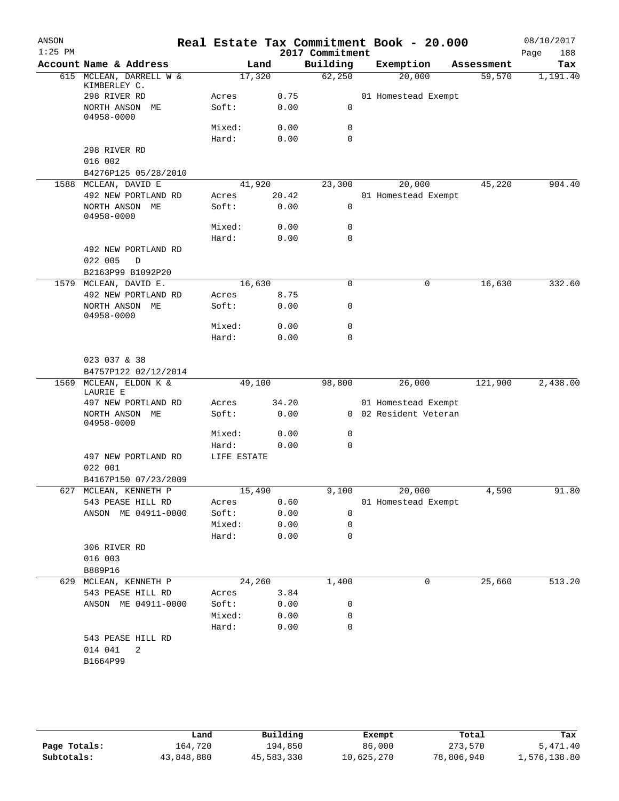|                              |                                                                                                                                                                                                                                                                                                                                                                                                                                                                                  |                                                                                                    |                                                                                                |                                                                                                                                                                                                                                                                                      |                                          | 08/10/2017<br>Page<br>188                                                                                                                                                                                             |
|------------------------------|----------------------------------------------------------------------------------------------------------------------------------------------------------------------------------------------------------------------------------------------------------------------------------------------------------------------------------------------------------------------------------------------------------------------------------------------------------------------------------|----------------------------------------------------------------------------------------------------|------------------------------------------------------------------------------------------------|--------------------------------------------------------------------------------------------------------------------------------------------------------------------------------------------------------------------------------------------------------------------------------------|------------------------------------------|-----------------------------------------------------------------------------------------------------------------------------------------------------------------------------------------------------------------------|
|                              |                                                                                                                                                                                                                                                                                                                                                                                                                                                                                  |                                                                                                    | Building                                                                                       | Exemption                                                                                                                                                                                                                                                                            | Assessment                               | Tax                                                                                                                                                                                                                   |
| KIMBERLEY C.                 |                                                                                                                                                                                                                                                                                                                                                                                                                                                                                  |                                                                                                    | 62,250                                                                                         | 20,000                                                                                                                                                                                                                                                                               | 59,570                                   | 1,191.40                                                                                                                                                                                                              |
| 298 RIVER RD                 | Acres                                                                                                                                                                                                                                                                                                                                                                                                                                                                            |                                                                                                    |                                                                                                |                                                                                                                                                                                                                                                                                      |                                          |                                                                                                                                                                                                                       |
| NORTH ANSON ME<br>04958-0000 | Soft:                                                                                                                                                                                                                                                                                                                                                                                                                                                                            |                                                                                                    | 0                                                                                              |                                                                                                                                                                                                                                                                                      |                                          |                                                                                                                                                                                                                       |
|                              | Mixed:                                                                                                                                                                                                                                                                                                                                                                                                                                                                           | 0.00                                                                                               | 0                                                                                              |                                                                                                                                                                                                                                                                                      |                                          |                                                                                                                                                                                                                       |
|                              | Hard:                                                                                                                                                                                                                                                                                                                                                                                                                                                                            |                                                                                                    | 0                                                                                              |                                                                                                                                                                                                                                                                                      |                                          |                                                                                                                                                                                                                       |
| 298 RIVER RD                 |                                                                                                                                                                                                                                                                                                                                                                                                                                                                                  |                                                                                                    |                                                                                                |                                                                                                                                                                                                                                                                                      |                                          |                                                                                                                                                                                                                       |
| 016 002                      |                                                                                                                                                                                                                                                                                                                                                                                                                                                                                  |                                                                                                    |                                                                                                |                                                                                                                                                                                                                                                                                      |                                          |                                                                                                                                                                                                                       |
| B4276P125 05/28/2010         |                                                                                                                                                                                                                                                                                                                                                                                                                                                                                  |                                                                                                    |                                                                                                |                                                                                                                                                                                                                                                                                      |                                          |                                                                                                                                                                                                                       |
|                              |                                                                                                                                                                                                                                                                                                                                                                                                                                                                                  |                                                                                                    |                                                                                                |                                                                                                                                                                                                                                                                                      |                                          | 904.40                                                                                                                                                                                                                |
|                              | Acres                                                                                                                                                                                                                                                                                                                                                                                                                                                                            |                                                                                                    |                                                                                                |                                                                                                                                                                                                                                                                                      |                                          |                                                                                                                                                                                                                       |
| 04958-0000                   |                                                                                                                                                                                                                                                                                                                                                                                                                                                                                  |                                                                                                    |                                                                                                |                                                                                                                                                                                                                                                                                      |                                          |                                                                                                                                                                                                                       |
|                              |                                                                                                                                                                                                                                                                                                                                                                                                                                                                                  |                                                                                                    |                                                                                                |                                                                                                                                                                                                                                                                                      |                                          |                                                                                                                                                                                                                       |
|                              |                                                                                                                                                                                                                                                                                                                                                                                                                                                                                  |                                                                                                    |                                                                                                |                                                                                                                                                                                                                                                                                      |                                          |                                                                                                                                                                                                                       |
|                              |                                                                                                                                                                                                                                                                                                                                                                                                                                                                                  |                                                                                                    |                                                                                                |                                                                                                                                                                                                                                                                                      |                                          |                                                                                                                                                                                                                       |
|                              |                                                                                                                                                                                                                                                                                                                                                                                                                                                                                  |                                                                                                    |                                                                                                |                                                                                                                                                                                                                                                                                      |                                          |                                                                                                                                                                                                                       |
|                              |                                                                                                                                                                                                                                                                                                                                                                                                                                                                                  |                                                                                                    |                                                                                                |                                                                                                                                                                                                                                                                                      |                                          | 332.60                                                                                                                                                                                                                |
|                              |                                                                                                                                                                                                                                                                                                                                                                                                                                                                                  |                                                                                                    |                                                                                                |                                                                                                                                                                                                                                                                                      |                                          |                                                                                                                                                                                                                       |
|                              |                                                                                                                                                                                                                                                                                                                                                                                                                                                                                  |                                                                                                    |                                                                                                |                                                                                                                                                                                                                                                                                      |                                          |                                                                                                                                                                                                                       |
| 04958-0000                   |                                                                                                                                                                                                                                                                                                                                                                                                                                                                                  |                                                                                                    |                                                                                                |                                                                                                                                                                                                                                                                                      |                                          |                                                                                                                                                                                                                       |
|                              |                                                                                                                                                                                                                                                                                                                                                                                                                                                                                  |                                                                                                    |                                                                                                |                                                                                                                                                                                                                                                                                      |                                          |                                                                                                                                                                                                                       |
|                              |                                                                                                                                                                                                                                                                                                                                                                                                                                                                                  |                                                                                                    |                                                                                                |                                                                                                                                                                                                                                                                                      |                                          |                                                                                                                                                                                                                       |
| 023 037 & 38                 |                                                                                                                                                                                                                                                                                                                                                                                                                                                                                  |                                                                                                    |                                                                                                |                                                                                                                                                                                                                                                                                      |                                          |                                                                                                                                                                                                                       |
|                              |                                                                                                                                                                                                                                                                                                                                                                                                                                                                                  |                                                                                                    |                                                                                                |                                                                                                                                                                                                                                                                                      |                                          | 2,438.00                                                                                                                                                                                                              |
| LAURIE E                     |                                                                                                                                                                                                                                                                                                                                                                                                                                                                                  |                                                                                                    |                                                                                                |                                                                                                                                                                                                                                                                                      |                                          |                                                                                                                                                                                                                       |
| 497 NEW PORTLAND RD          | Acres                                                                                                                                                                                                                                                                                                                                                                                                                                                                            |                                                                                                    |                                                                                                |                                                                                                                                                                                                                                                                                      |                                          |                                                                                                                                                                                                                       |
| NORTH ANSON ME<br>04958-0000 | Soft:                                                                                                                                                                                                                                                                                                                                                                                                                                                                            |                                                                                                    |                                                                                                |                                                                                                                                                                                                                                                                                      |                                          |                                                                                                                                                                                                                       |
|                              | Mixed:                                                                                                                                                                                                                                                                                                                                                                                                                                                                           |                                                                                                    | 0                                                                                              |                                                                                                                                                                                                                                                                                      |                                          |                                                                                                                                                                                                                       |
|                              | Hard:                                                                                                                                                                                                                                                                                                                                                                                                                                                                            |                                                                                                    | 0                                                                                              |                                                                                                                                                                                                                                                                                      |                                          |                                                                                                                                                                                                                       |
|                              |                                                                                                                                                                                                                                                                                                                                                                                                                                                                                  |                                                                                                    |                                                                                                |                                                                                                                                                                                                                                                                                      |                                          |                                                                                                                                                                                                                       |
|                              |                                                                                                                                                                                                                                                                                                                                                                                                                                                                                  |                                                                                                    |                                                                                                |                                                                                                                                                                                                                                                                                      |                                          |                                                                                                                                                                                                                       |
|                              |                                                                                                                                                                                                                                                                                                                                                                                                                                                                                  |                                                                                                    |                                                                                                |                                                                                                                                                                                                                                                                                      |                                          |                                                                                                                                                                                                                       |
|                              |                                                                                                                                                                                                                                                                                                                                                                                                                                                                                  |                                                                                                    |                                                                                                |                                                                                                                                                                                                                                                                                      |                                          | 91.80                                                                                                                                                                                                                 |
|                              |                                                                                                                                                                                                                                                                                                                                                                                                                                                                                  |                                                                                                    |                                                                                                |                                                                                                                                                                                                                                                                                      |                                          |                                                                                                                                                                                                                       |
|                              |                                                                                                                                                                                                                                                                                                                                                                                                                                                                                  |                                                                                                    |                                                                                                |                                                                                                                                                                                                                                                                                      |                                          |                                                                                                                                                                                                                       |
|                              |                                                                                                                                                                                                                                                                                                                                                                                                                                                                                  |                                                                                                    |                                                                                                |                                                                                                                                                                                                                                                                                      |                                          |                                                                                                                                                                                                                       |
|                              |                                                                                                                                                                                                                                                                                                                                                                                                                                                                                  |                                                                                                    |                                                                                                |                                                                                                                                                                                                                                                                                      |                                          |                                                                                                                                                                                                                       |
|                              |                                                                                                                                                                                                                                                                                                                                                                                                                                                                                  |                                                                                                    |                                                                                                |                                                                                                                                                                                                                                                                                      |                                          |                                                                                                                                                                                                                       |
| B889P16                      |                                                                                                                                                                                                                                                                                                                                                                                                                                                                                  |                                                                                                    |                                                                                                |                                                                                                                                                                                                                                                                                      |                                          |                                                                                                                                                                                                                       |
|                              |                                                                                                                                                                                                                                                                                                                                                                                                                                                                                  |                                                                                                    | 1,400                                                                                          | 0                                                                                                                                                                                                                                                                                    | 25,660                                   | 513.20                                                                                                                                                                                                                |
| 543 PEASE HILL RD            |                                                                                                                                                                                                                                                                                                                                                                                                                                                                                  |                                                                                                    |                                                                                                |                                                                                                                                                                                                                                                                                      |                                          |                                                                                                                                                                                                                       |
| ANSON ME 04911-0000          | Soft:                                                                                                                                                                                                                                                                                                                                                                                                                                                                            |                                                                                                    | 0                                                                                              |                                                                                                                                                                                                                                                                                      |                                          |                                                                                                                                                                                                                       |
|                              | Mixed:                                                                                                                                                                                                                                                                                                                                                                                                                                                                           |                                                                                                    | $\mathbf 0$                                                                                    |                                                                                                                                                                                                                                                                                      |                                          |                                                                                                                                                                                                                       |
|                              | Hard:                                                                                                                                                                                                                                                                                                                                                                                                                                                                            |                                                                                                    | $\mathbf 0$                                                                                    |                                                                                                                                                                                                                                                                                      |                                          |                                                                                                                                                                                                                       |
| 543 PEASE HILL RD            |                                                                                                                                                                                                                                                                                                                                                                                                                                                                                  |                                                                                                    |                                                                                                |                                                                                                                                                                                                                                                                                      |                                          |                                                                                                                                                                                                                       |
|                              |                                                                                                                                                                                                                                                                                                                                                                                                                                                                                  |                                                                                                    |                                                                                                |                                                                                                                                                                                                                                                                                      |                                          |                                                                                                                                                                                                                       |
| 014 041<br>2<br>B1664P99     |                                                                                                                                                                                                                                                                                                                                                                                                                                                                                  |                                                                                                    |                                                                                                |                                                                                                                                                                                                                                                                                      |                                          |                                                                                                                                                                                                                       |
|                              | Account Name & Address<br>615 MCLEAN, DARRELL W &<br>1588 MCLEAN, DAVID E<br>492 NEW PORTLAND RD<br>NORTH ANSON ME<br>492 NEW PORTLAND RD<br>022 005<br>D<br>B2163P99 B1092P20<br>1579 MCLEAN, DAVID E.<br>492 NEW PORTLAND RD<br>NORTH ANSON ME<br>B4757P122 02/12/2014<br>MCLEAN, ELDON K &<br>497 NEW PORTLAND RD<br>022 001<br>B4167P150 07/23/2009<br>627 MCLEAN, KENNETH P<br>543 PEASE HILL RD<br>ANSON ME 04911-0000<br>306 RIVER RD<br>016 003<br>629 MCLEAN, KENNETH P | Soft:<br>Mixed:<br>Hard:<br>Acres<br>Soft:<br>Mixed:<br>Hard:<br>Acres<br>Soft:<br>Mixed:<br>Hard: | Land<br>17,320<br>41,920<br>0.00<br>16,630<br>0.00<br>49,100<br>LIFE ESTATE<br>24,260<br>Acres | 0.75<br>0.00<br>0.00<br>23,300<br>20.42<br>0.00<br>0<br>0.00<br>0<br>0<br>0<br>8.75<br>0.00<br>0<br>0<br>0.00<br>0<br>98,800<br>34.20<br>0.00<br>0.00<br>0.00<br>15,490<br>0.60<br>0.00<br>$\mathbf 0$<br>0.00<br>$\mathbf 0$<br>0.00<br>$\mathbf 0$<br>3.84<br>0.00<br>0.00<br>0.00 | 2017 Commitment<br>20,000<br>0<br>26,000 | Real Estate Tax Commitment Book - 20.000<br>01 Homestead Exempt<br>45,220<br>01 Homestead Exempt<br>16,630<br>121,900<br>01 Homestead Exempt<br>0 02 Resident Veteran<br>9,100 20,000<br>4,590<br>01 Homestead Exempt |

|              | Land       | Building   | Exempt     | Total      | Tax          |
|--------------|------------|------------|------------|------------|--------------|
| Page Totals: | 164,720    | 194,850    | 86,000     | 273,570    | 5,471.40     |
| Subtotals:   | 43,848,880 | 45,583,330 | 10,625,270 | 78,806,940 | 1,576,138.80 |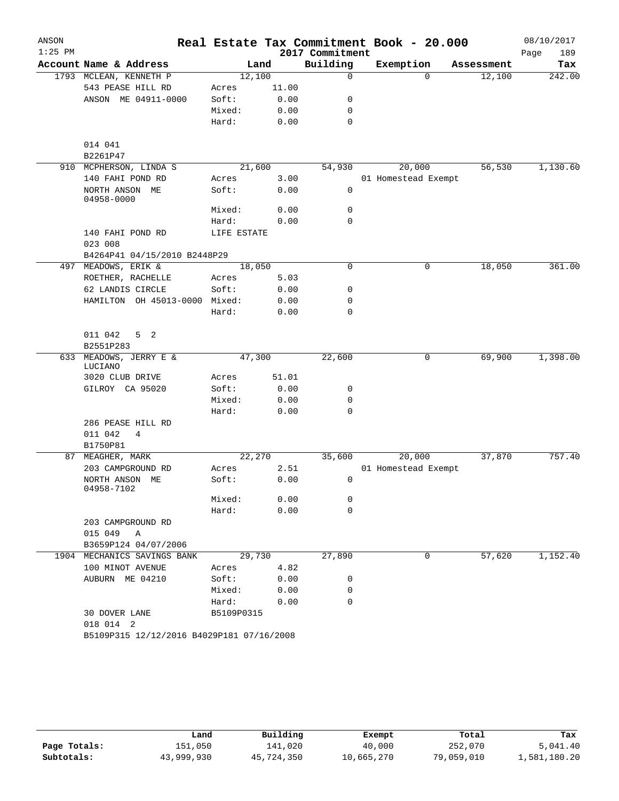| ANSON     |                                                  |                |              |                 | Real Estate Tax Commitment Book - 20.000 |            | 08/10/2017  |
|-----------|--------------------------------------------------|----------------|--------------|-----------------|------------------------------------------|------------|-------------|
| $1:25$ PM |                                                  |                |              | 2017 Commitment |                                          |            | 189<br>Page |
|           | Account Name & Address                           |                | Land         | Building        | Exemption                                | Assessment | Tax         |
|           | 1793 MCLEAN, KENNETH P                           | 12,100         |              | $\mathbf 0$     | $\Omega$                                 | 12,100     | 242.00      |
|           | 543 PEASE HILL RD                                | Acres          | 11.00        |                 |                                          |            |             |
|           | ANSON ME 04911-0000                              | Soft:          | 0.00         | 0               |                                          |            |             |
|           |                                                  | Mixed:         | 0.00         | $\mathbf 0$     |                                          |            |             |
|           |                                                  | Hard:          | 0.00         | $\mathbf 0$     |                                          |            |             |
|           | 014 041                                          |                |              |                 |                                          |            |             |
|           | B2261P47                                         |                |              |                 |                                          |            |             |
|           | 910 MCPHERSON, LINDA S                           | 21,600         |              | 54,930          | 20,000                                   | 56,530     | 1,130.60    |
|           | 140 FAHI POND RD<br>NORTH ANSON ME<br>04958-0000 | Acres<br>Soft: | 3.00<br>0.00 | $\mathbf 0$     | 01 Homestead Exempt                      |            |             |
|           |                                                  | Mixed:         | 0.00         | $\mathbf 0$     |                                          |            |             |
|           |                                                  | Hard:          | 0.00         | $\mathbf 0$     |                                          |            |             |
|           | 140 FAHI POND RD<br>023 008                      | LIFE ESTATE    |              |                 |                                          |            |             |
|           | B4264P41 04/15/2010 B2448P29                     |                |              |                 |                                          |            |             |
|           | 497 MEADOWS, ERIK &                              | 18,050         |              | 0               | 0                                        | 18,050     | 361.00      |
|           | ROETHER, RACHELLE                                | Acres          | 5.03         |                 |                                          |            |             |
|           | 62 LANDIS CIRCLE                                 | Soft:          | 0.00         | 0               |                                          |            |             |
|           | HAMILTON OH 45013-0000 Mixed:                    |                | 0.00         | $\mathbf 0$     |                                          |            |             |
|           |                                                  | Hard:          | 0.00         | 0               |                                          |            |             |
|           |                                                  |                |              |                 |                                          |            |             |
|           | 011 042<br>5 <sub>2</sub><br>B2551P283           |                |              |                 |                                          |            |             |
|           | 633 MEADOWS, JERRY E &                           | 47,300         |              | 22,600          | 0                                        | 69,900     | 1,398.00    |
|           | LUCIANO                                          |                |              |                 |                                          |            |             |
|           | 3020 CLUB DRIVE                                  | Acres          | 51.01        |                 |                                          |            |             |
|           | GILROY CA 95020                                  | Soft:          | 0.00         | 0               |                                          |            |             |
|           |                                                  | Mixed:         | 0.00         | $\mathbf 0$     |                                          |            |             |
|           |                                                  | Hard:          | 0.00         | $\mathbf 0$     |                                          |            |             |
|           | 286 PEASE HILL RD                                |                |              |                 |                                          |            |             |
|           | 011 042<br>4                                     |                |              |                 |                                          |            |             |
|           | B1750P81                                         |                |              |                 |                                          |            |             |
| 87        | MEAGHER, MARK                                    | 22,270         |              | 35,600          | 20,000                                   | 37,870     | 757.40      |
|           | 203 CAMPGROUND RD                                | Acres          | 2.51         |                 | 01 Homestead Exempt                      |            |             |
|           | NORTH ANSON ME<br>04958-7102                     | Soft:          | 0.00         | 0               |                                          |            |             |
|           |                                                  | Mixed:         | 0.00         | 0               |                                          |            |             |
|           |                                                  | Hard:          | 0.00         | 0               |                                          |            |             |
|           | 203 CAMPGROUND RD                                |                |              |                 |                                          |            |             |
|           | 015 049 A                                        |                |              |                 |                                          |            |             |
|           | B3659P124 04/07/2006                             |                |              |                 |                                          |            |             |
|           | 1904 MECHANICS SAVINGS BANK                      | 29,730         |              | 27,890          | 0                                        | 57,620     | 1,152.40    |
|           | 100 MINOT AVENUE                                 | Acres          | 4.82         |                 |                                          |            |             |
|           | AUBURN ME 04210                                  | Soft:          | 0.00         | 0               |                                          |            |             |
|           |                                                  | Mixed:         | 0.00         | 0               |                                          |            |             |
|           |                                                  | Hard:          | 0.00         | $\mathbf 0$     |                                          |            |             |
|           | 30 DOVER LANE<br>018 014 2                       | B5109P0315     |              |                 |                                          |            |             |
|           | B5109P315 12/12/2016 B4029P181 07/16/2008        |                |              |                 |                                          |            |             |

|              | Land       | Building   | Exempt     | Total      | Tax          |
|--------------|------------|------------|------------|------------|--------------|
| Page Totals: | 151,050    | 141,020    | 40,000     | 252,070    | 5,041.40     |
| Subtotals:   | 43,999,930 | 45,724,350 | 10,665,270 | 79,059,010 | 1,581,180.20 |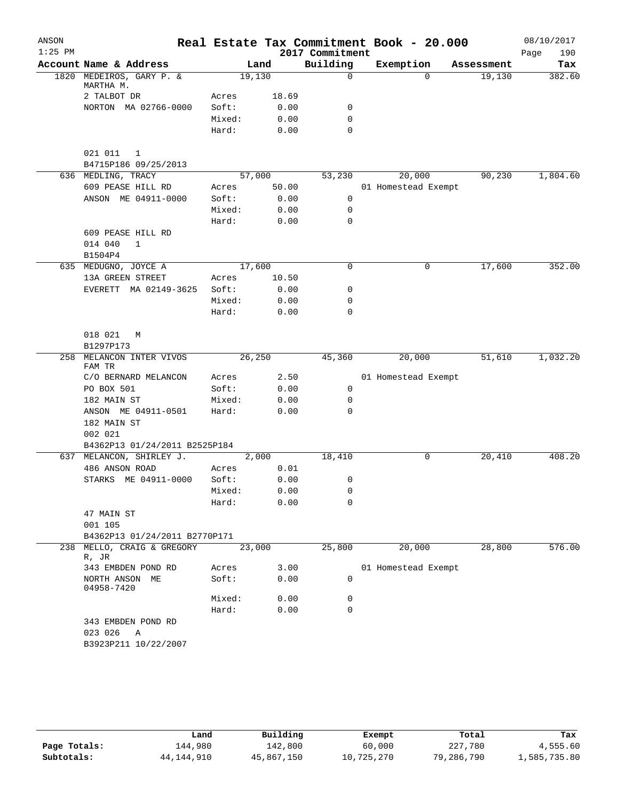| ANSON     |                                                           |        |        |                 | Real Estate Tax Commitment Book - 20.000 |            | 08/10/2017  |
|-----------|-----------------------------------------------------------|--------|--------|-----------------|------------------------------------------|------------|-------------|
| $1:25$ PM |                                                           |        |        | 2017 Commitment |                                          |            | Page<br>190 |
|           | Account Name & Address                                    |        | Land   | Building        | Exemption                                | Assessment | Tax         |
|           | 1820 MEDEIROS, GARY P. &<br>MARTHA M.                     | 19,130 |        | 0               | $\Omega$                                 | 19,130     | 382.60      |
|           | 2 TALBOT DR                                               | Acres  | 18.69  |                 |                                          |            |             |
|           | NORTON MA 02766-0000                                      | Soft:  | 0.00   | 0               |                                          |            |             |
|           |                                                           | Mixed: | 0.00   | 0               |                                          |            |             |
|           |                                                           | Hard:  | 0.00   | 0               |                                          |            |             |
|           | 021 011<br>1<br>B4715P186 09/25/2013                      |        |        |                 |                                          |            |             |
|           | 636 MEDLING, TRACY                                        |        | 57,000 | 53,230          | 20,000                                   | 90,230     | 1,804.60    |
|           | 609 PEASE HILL RD                                         | Acres  | 50.00  |                 | 01 Homestead Exempt                      |            |             |
|           | ANSON ME 04911-0000                                       | Soft:  | 0.00   | $\mathsf{O}$    |                                          |            |             |
|           |                                                           | Mixed: | 0.00   | $\mathbf 0$     |                                          |            |             |
|           |                                                           | Hard:  | 0.00   | 0               |                                          |            |             |
|           | 609 PEASE HILL RD                                         |        |        |                 |                                          |            |             |
|           | 014 040<br>$\mathbf{1}$                                   |        |        |                 |                                          |            |             |
|           | B1504P4<br>635 MEDUGNO, JOYCE A                           | 17,600 |        | 0               | 0                                        | 17,600     | 352.00      |
|           | 13A GREEN STREET                                          | Acres  | 10.50  |                 |                                          |            |             |
|           | EVERETT MA 02149-3625                                     | Soft:  | 0.00   | 0               |                                          |            |             |
|           |                                                           | Mixed: | 0.00   | 0               |                                          |            |             |
|           |                                                           | Hard:  | 0.00   | 0               |                                          |            |             |
|           |                                                           |        |        |                 |                                          |            |             |
|           | 018 021<br>M                                              |        |        |                 |                                          |            |             |
|           | B1297P173                                                 |        |        |                 |                                          |            |             |
| 258       | MELANCON INTER VIVOS                                      |        | 26,250 | 45,360          | 20,000                                   | 51,610     | 1,032.20    |
|           | FAM TR                                                    |        |        |                 |                                          |            |             |
|           | C/O BERNARD MELANCON                                      | Acres  | 2.50   |                 | 01 Homestead Exempt                      |            |             |
|           | PO BOX 501                                                | Soft:  | 0.00   | 0               |                                          |            |             |
|           | 182 MAIN ST                                               | Mixed: | 0.00   | 0               |                                          |            |             |
|           | ANSON ME 04911-0501                                       | Hard:  | 0.00   | 0               |                                          |            |             |
|           | 182 MAIN ST                                               |        |        |                 |                                          |            |             |
|           | 002 021                                                   |        |        |                 |                                          |            |             |
|           | B4362P13 01/24/2011 B2525P184<br>637 MELANCON, SHIRLEY J. |        | 2,000  | 18,410          | 0                                        | 20,410     | 408.20      |
|           | 486 ANSON ROAD                                            | Acres  | 0.01   |                 |                                          |            |             |
|           | STARKS ME 04911-0000                                      | Soft:  | 0.00   | 0               |                                          |            |             |
|           |                                                           | Mixed: | 0.00   | 0               |                                          |            |             |
|           |                                                           | Hard:  | 0.00   | 0               |                                          |            |             |
|           | 47 MAIN ST                                                |        |        |                 |                                          |            |             |
|           | 001 105                                                   |        |        |                 |                                          |            |             |
|           | B4362P13 01/24/2011 B2770P171                             |        |        |                 |                                          |            |             |
| 238       | MELLO, CRAIG & GREGORY                                    | 23,000 |        | 25,800          | 20,000                                   | 28,800     | 576.00      |
|           | R, JR                                                     |        |        |                 |                                          |            |             |
|           | 343 EMBDEN POND RD                                        | Acres  | 3.00   |                 | 01 Homestead Exempt                      |            |             |
|           | NORTH ANSON ME<br>04958-7420                              | Soft:  | 0.00   | 0               |                                          |            |             |
|           |                                                           | Mixed: | 0.00   | 0               |                                          |            |             |
|           |                                                           | Hard:  | 0.00   | 0               |                                          |            |             |
|           | 343 EMBDEN POND RD                                        |        |        |                 |                                          |            |             |
|           | 023 026<br>Α                                              |        |        |                 |                                          |            |             |
|           | B3923P211 10/22/2007                                      |        |        |                 |                                          |            |             |
|           |                                                           |        |        |                 |                                          |            |             |

|              | Land         | Building   | Exempt     | Total      | Tax          |
|--------------|--------------|------------|------------|------------|--------------|
| Page Totals: | 144,980      | 142,800    | 60,000     | 227,780    | 4,555.60     |
| Subtotals:   | 44, 144, 910 | 45,867,150 | 10,725,270 | 79,286,790 | 1,585,735.80 |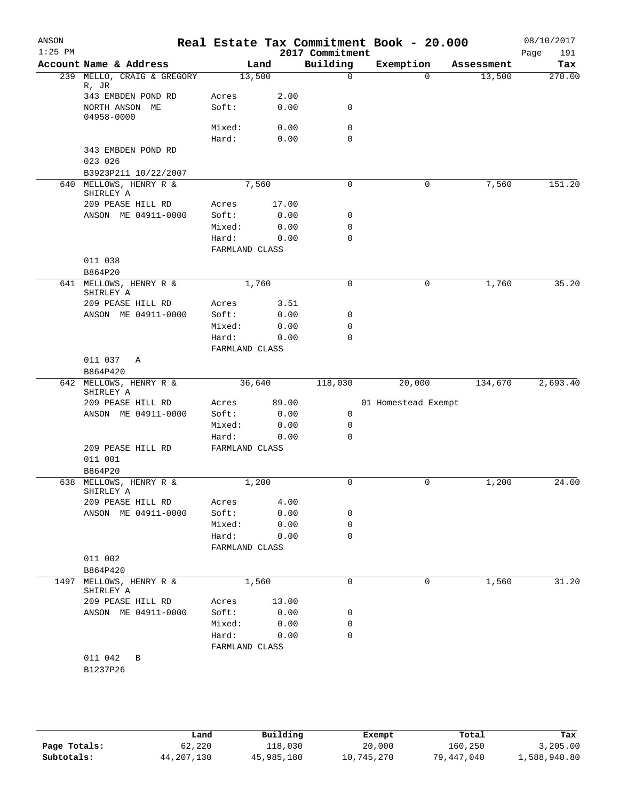| ANSON<br>$1:25$ PM |                                     |                         |       | 2017 Commitment | Real Estate Tax Commitment Book - 20.000 |            | 08/10/2017<br>Page<br>191 |
|--------------------|-------------------------------------|-------------------------|-------|-----------------|------------------------------------------|------------|---------------------------|
|                    | Account Name & Address              |                         | Land  | Building        | Exemption                                | Assessment | Tax                       |
|                    | 239 MELLO, CRAIG & GREGORY<br>R, JR | 13,500                  |       | $\mathbf 0$     | $\Omega$                                 | 13,500     | 270.00                    |
|                    | 343 EMBDEN POND RD                  | Acres                   | 2.00  |                 |                                          |            |                           |
|                    | NORTH ANSON ME<br>04958-0000        | Soft:                   | 0.00  | 0               |                                          |            |                           |
|                    |                                     | Mixed:                  | 0.00  | 0               |                                          |            |                           |
|                    |                                     | Hard:                   | 0.00  | $\mathbf 0$     |                                          |            |                           |
|                    | 343 EMBDEN POND RD                  |                         |       |                 |                                          |            |                           |
|                    | 023 026                             |                         |       |                 |                                          |            |                           |
|                    | B3923P211 10/22/2007                |                         |       |                 |                                          |            |                           |
| 640                | MELLOWS, HENRY R &<br>SHIRLEY A     |                         | 7,560 | $\mathbf 0$     | 0                                        | 7,560      | 151.20                    |
|                    | 209 PEASE HILL RD                   | Acres                   | 17.00 |                 |                                          |            |                           |
|                    | ANSON ME 04911-0000                 | Soft:                   | 0.00  | 0               |                                          |            |                           |
|                    |                                     | Mixed:                  | 0.00  | 0               |                                          |            |                           |
|                    |                                     | Hard:                   | 0.00  | 0               |                                          |            |                           |
|                    |                                     | FARMLAND CLASS          |       |                 |                                          |            |                           |
|                    | 011 038<br>B864P20                  |                         |       |                 |                                          |            |                           |
|                    | 641 MELLOWS, HENRY R &              |                         | 1,760 | $\mathbf 0$     | 0                                        | 1,760      | 35.20                     |
|                    | SHIRLEY A                           |                         |       |                 |                                          |            |                           |
|                    | 209 PEASE HILL RD                   | Acres                   | 3.51  |                 |                                          |            |                           |
|                    | ANSON ME 04911-0000                 | Soft:                   | 0.00  | 0               |                                          |            |                           |
|                    |                                     | Mixed:                  | 0.00  | $\mathbf 0$     |                                          |            |                           |
|                    |                                     | Hard:                   | 0.00  | $\mathbf 0$     |                                          |            |                           |
|                    |                                     | FARMLAND CLASS          |       |                 |                                          |            |                           |
|                    | 011 037<br>Α                        |                         |       |                 |                                          |            |                           |
|                    | B864P420                            |                         |       |                 |                                          |            |                           |
|                    | 642 MELLOWS, HENRY R &<br>SHIRLEY A | 36,640                  |       | 118,030         | 20,000                                   | 134,670    | 2,693.40                  |
|                    | 209 PEASE HILL RD                   | Acres                   | 89.00 |                 | 01 Homestead Exempt                      |            |                           |
|                    | ANSON ME 04911-0000                 | Soft:                   | 0.00  | 0               |                                          |            |                           |
|                    |                                     | Mixed:                  | 0.00  | 0               |                                          |            |                           |
|                    |                                     | Hard:                   | 0.00  | $\mathbf 0$     |                                          |            |                           |
|                    | 209 PEASE HILL RD                   | FARMLAND CLASS          |       |                 |                                          |            |                           |
|                    | 011 001<br>B864P20                  |                         |       |                 |                                          |            |                           |
|                    | 638 MELLOWS, HENRY R &              |                         | 1,200 | 0               | 0                                        | 1,200      | 24.00                     |
|                    | SHIRLEY A                           |                         |       |                 |                                          |            |                           |
|                    | 209 PEASE HILL RD                   | Acres                   | 4.00  |                 |                                          |            |                           |
|                    | ANSON ME 04911-0000                 | Soft:                   | 0.00  | 0               |                                          |            |                           |
|                    |                                     | Mixed:                  | 0.00  | 0<br>0          |                                          |            |                           |
|                    |                                     | Hard:<br>FARMLAND CLASS | 0.00  |                 |                                          |            |                           |
|                    | 011 002                             |                         |       |                 |                                          |            |                           |
|                    | B864P420                            |                         |       |                 |                                          |            |                           |
| 1497               | MELLOWS, HENRY R &                  |                         | 1,560 | 0               | 0                                        | 1,560      | 31.20                     |
|                    | SHIRLEY A                           |                         |       |                 |                                          |            |                           |
|                    | 209 PEASE HILL RD                   | Acres                   | 13.00 |                 |                                          |            |                           |
|                    | ANSON ME 04911-0000                 | Soft:                   | 0.00  | 0               |                                          |            |                           |
|                    |                                     | Mixed:                  | 0.00  | 0               |                                          |            |                           |
|                    |                                     | Hard:                   | 0.00  | 0               |                                          |            |                           |
|                    |                                     | FARMLAND CLASS          |       |                 |                                          |            |                           |
|                    | 011 042<br>B                        |                         |       |                 |                                          |            |                           |
|                    | B1237P26                            |                         |       |                 |                                          |            |                           |

|              | Land       | Building   | Exempt     | Total      | Tax          |
|--------------|------------|------------|------------|------------|--------------|
| Page Totals: | 62,220     | 118,030    | 20,000     | 160,250    | 3,205.00     |
| Subtotals:   | 44,207,130 | 45,985,180 | 10,745,270 | 79,447,040 | 1,588,940.80 |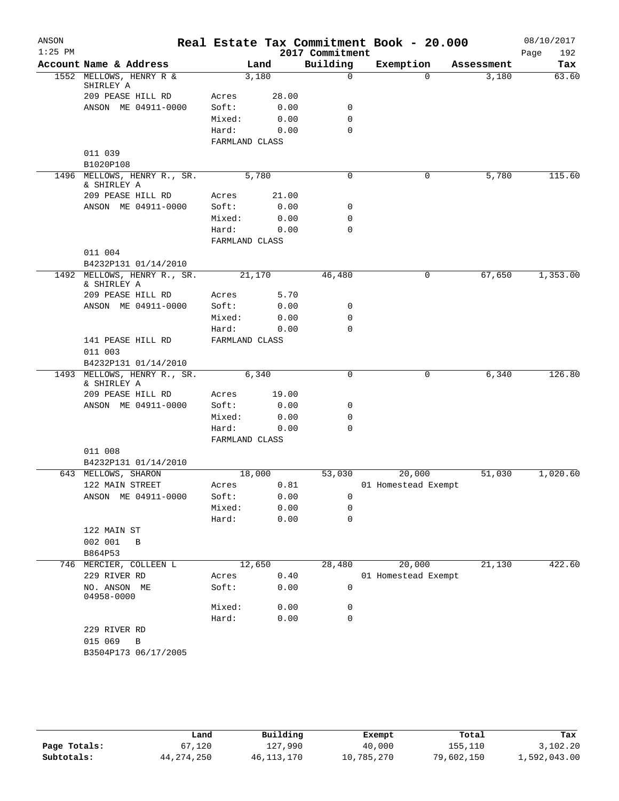| ANSON     |                                                |                |       |                  | Real Estate Tax Commitment Book - 20.000 |            | 08/10/2017  |
|-----------|------------------------------------------------|----------------|-------|------------------|------------------------------------------|------------|-------------|
| $1:25$ PM |                                                |                |       | 2017 Commitment  |                                          |            | Page<br>192 |
|           | Account Name & Address                         |                | Land  | Building         | Exemption                                | Assessment | Tax         |
|           | 1552 MELLOWS, HENRY R &<br>SHIRLEY A           | 3,180          |       | $\mathbf 0$      | $\Omega$                                 | 3,180      | 63.60       |
|           | 209 PEASE HILL RD                              | Acres          | 28.00 |                  |                                          |            |             |
|           | ANSON ME 04911-0000                            | Soft:          | 0.00  | 0                |                                          |            |             |
|           |                                                | Mixed:         | 0.00  | 0                |                                          |            |             |
|           |                                                | Hard:          | 0.00  | $\Omega$         |                                          |            |             |
|           |                                                | FARMLAND CLASS |       |                  |                                          |            |             |
|           | 011 039                                        |                |       |                  |                                          |            |             |
|           | B1020P108                                      |                |       |                  |                                          |            |             |
|           | 1496 MELLOWS, HENRY R., SR.<br>& SHIRLEY A     | 5,780          |       | 0                | 0                                        | 5,780      | 115.60      |
|           | 209 PEASE HILL RD                              | Acres          | 21.00 |                  |                                          |            |             |
|           | ANSON ME 04911-0000                            | Soft:          | 0.00  | 0                |                                          |            |             |
|           |                                                | Mixed:         | 0.00  | 0                |                                          |            |             |
|           |                                                | Hard:          | 0.00  | $\mathbf 0$      |                                          |            |             |
|           |                                                | FARMLAND CLASS |       |                  |                                          |            |             |
|           | 011 004                                        |                |       |                  |                                          |            |             |
| 1492      | B4232P131 01/14/2010<br>MELLOWS, HENRY R., SR. | 21,170         |       | 46,480           | 0                                        | 67,650     | 1,353.00    |
|           | & SHIRLEY A                                    |                |       |                  |                                          |            |             |
|           | 209 PEASE HILL RD                              | Acres          | 5.70  |                  |                                          |            |             |
|           | ANSON ME 04911-0000                            | Soft:          | 0.00  | 0<br>$\mathbf 0$ |                                          |            |             |
|           |                                                | Mixed:         | 0.00  | 0                |                                          |            |             |
|           | 141 PEASE HILL RD                              | Hard:          | 0.00  |                  |                                          |            |             |
|           | 011 003                                        | FARMLAND CLASS |       |                  |                                          |            |             |
|           | B4232P131 01/14/2010                           |                |       |                  |                                          |            |             |
| 1493      | MELLOWS, HENRY R., SR.                         | 6,340          |       | $\mathbf 0$      | 0                                        | 6,340      | 126.80      |
|           | & SHIRLEY A<br>209 PEASE HILL RD               | Acres          | 19.00 |                  |                                          |            |             |
|           | ANSON ME 04911-0000                            | Soft:          | 0.00  | 0                |                                          |            |             |
|           |                                                | Mixed:         | 0.00  | $\mathbf 0$      |                                          |            |             |
|           |                                                | Hard:          | 0.00  | $\Omega$         |                                          |            |             |
|           |                                                | FARMLAND CLASS |       |                  |                                          |            |             |
|           | 011 008                                        |                |       |                  |                                          |            |             |
|           | B4232P131 01/14/2010                           |                |       |                  |                                          |            |             |
|           | 643 MELLOWS, SHARON                            | 18,000         |       | 53,030           | 20,000                                   | 51,030     | 1,020.60    |
|           | 122 MAIN STREET                                | Acres          | 0.81  |                  | 01 Homestead Exempt                      |            |             |
|           | ANSON ME 04911-0000                            | Soft:          | 0.00  | 0                |                                          |            |             |
|           |                                                | Mixed:         | 0.00  | 0                |                                          |            |             |
|           |                                                | Hard:          | 0.00  | 0                |                                          |            |             |
|           | 122 MAIN ST                                    |                |       |                  |                                          |            |             |
|           | 002 001<br>B                                   |                |       |                  |                                          |            |             |
|           | B864P53                                        |                |       |                  |                                          |            |             |
|           | 746 MERCIER, COLLEEN L                         | 12,650         |       | 28,480           | 20,000                                   | 21,130     | 422.60      |
|           | 229 RIVER RD                                   | Acres          | 0.40  |                  | 01 Homestead Exempt                      |            |             |
|           | NO. ANSON ME<br>04958-0000                     | Soft:          | 0.00  | 0                |                                          |            |             |
|           |                                                | Mixed:         | 0.00  | 0                |                                          |            |             |
|           |                                                | Hard:          | 0.00  | 0                |                                          |            |             |
|           | 229 RIVER RD                                   |                |       |                  |                                          |            |             |
|           | 015 069<br>$\, {\bf B}$                        |                |       |                  |                                          |            |             |
|           | B3504P173 06/17/2005                           |                |       |                  |                                          |            |             |
|           |                                                |                |       |                  |                                          |            |             |

|              | Land         | Building     | Exempt     | Total      | Tax          |
|--------------|--------------|--------------|------------|------------|--------------|
| Page Totals: | 67,120       | 127,990      | 40,000     | 155,110    | 3,102.20     |
| Subtotals:   | 44, 274, 250 | 46, 113, 170 | 10,785,270 | 79,602,150 | 1,592,043.00 |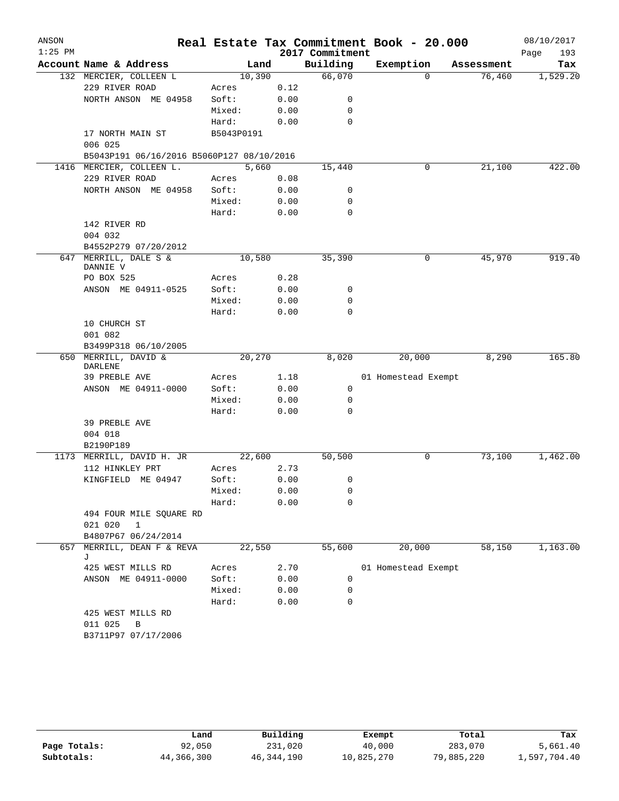| ANSON     |                                            |                |              |                 | Real Estate Tax Commitment Book - 20.000 |            | 08/10/2017  |
|-----------|--------------------------------------------|----------------|--------------|-----------------|------------------------------------------|------------|-------------|
| $1:25$ PM |                                            |                |              | 2017 Commitment |                                          |            | Page<br>193 |
|           | Account Name & Address                     |                | Land         | Building        | Exemption                                | Assessment | Tax         |
|           | 132 MERCIER, COLLEEN L                     |                | 10,390       | 66,070          | $\Omega$                                 | 76,460     | 1,529.20    |
|           | 229 RIVER ROAD                             | Acres          | 0.12         |                 |                                          |            |             |
|           | NORTH ANSON ME 04958                       | Soft:          | 0.00         | $\mathbf 0$     |                                          |            |             |
|           |                                            | Mixed:         | 0.00         | $\mathbf 0$     |                                          |            |             |
|           |                                            | Hard:          | 0.00         | $\mathbf 0$     |                                          |            |             |
|           | 17 NORTH MAIN ST                           | B5043P0191     |              |                 |                                          |            |             |
|           | 006 025                                    |                |              |                 |                                          |            |             |
|           | B5043P191 06/16/2016 B5060P127 08/10/2016  |                |              |                 |                                          |            |             |
|           | 1416 MERCIER, COLLEEN L.<br>229 RIVER ROAD |                | 5,660        | 15,440          | 0                                        | 21,100     | 422.00      |
|           | NORTH ANSON ME 04958                       | Acres<br>Soft: | 0.08<br>0.00 | 0               |                                          |            |             |
|           |                                            | Mixed:         | 0.00         | 0               |                                          |            |             |
|           |                                            | Hard:          | 0.00         | 0               |                                          |            |             |
|           | 142 RIVER RD                               |                |              |                 |                                          |            |             |
|           | 004 032                                    |                |              |                 |                                          |            |             |
|           | B4552P279 07/20/2012                       |                |              |                 |                                          |            |             |
| 647       | MERRILL, DALE S &                          |                | 10,580       | 35,390          | 0                                        | 45,970     | 919.40      |
|           | DANNIE V                                   |                |              |                 |                                          |            |             |
|           | PO BOX 525                                 | Acres          | 0.28         |                 |                                          |            |             |
|           | ANSON ME 04911-0525                        | Soft:          | 0.00         | 0               |                                          |            |             |
|           |                                            | Mixed:         | 0.00         | 0               |                                          |            |             |
|           |                                            | Hard:          | 0.00         | 0               |                                          |            |             |
|           | 10 CHURCH ST                               |                |              |                 |                                          |            |             |
|           | 001 082                                    |                |              |                 |                                          |            |             |
|           | B3499P318 06/10/2005                       |                |              |                 |                                          |            |             |
|           | 650 MERRILL, DAVID &<br>DARLENE            |                | 20,270       | 8,020           | 20,000                                   | 8,290      | 165.80      |
|           | 39 PREBLE AVE                              | Acres          | 1.18         |                 | 01 Homestead Exempt                      |            |             |
|           | ANSON ME 04911-0000                        | Soft:          | 0.00         | 0               |                                          |            |             |
|           |                                            | Mixed:         | 0.00         | 0               |                                          |            |             |
|           |                                            | Hard:          | 0.00         | $\mathbf 0$     |                                          |            |             |
|           | 39 PREBLE AVE                              |                |              |                 |                                          |            |             |
|           | 004 018                                    |                |              |                 |                                          |            |             |
|           | B2190P189                                  |                |              |                 |                                          |            |             |
|           | 1173 MERRILL, DAVID H. JR                  |                | 22,600       | 50,500          | 0                                        | 73,100     | 1,462.00    |
|           | 112 HINKLEY PRT                            | Acres          | 2.73         |                 |                                          |            |             |
|           | KINGFIELD ME 04947                         | Soft:          | 0.00         | 0               |                                          |            |             |
|           |                                            | Mixed:         | 0.00         | 0               |                                          |            |             |
|           |                                            | Hard:          | 0.00         | 0               |                                          |            |             |
|           | 494 FOUR MILE SQUARE RD                    |                |              |                 |                                          |            |             |
|           | 021 020<br>$\mathbf 1$                     |                |              |                 |                                          |            |             |
|           | B4807P67 06/24/2014                        |                |              |                 |                                          |            |             |
| 657       | MERRILL, DEAN F & REVA                     |                | 22,550       | 55,600          | 20,000                                   | 58,150     | 1,163.00    |
|           | J<br>425 WEST MILLS RD                     | Acres          | 2.70         |                 | 01 Homestead Exempt                      |            |             |
|           | ANSON ME 04911-0000                        | Soft:          | 0.00         | $\mathbf 0$     |                                          |            |             |
|           |                                            | Mixed:         | 0.00         | 0               |                                          |            |             |
|           |                                            | Hard:          | 0.00         | $\mathbf 0$     |                                          |            |             |
|           | 425 WEST MILLS RD                          |                |              |                 |                                          |            |             |
|           | 011 025<br>$\overline{B}$                  |                |              |                 |                                          |            |             |
|           | B3711P97 07/17/2006                        |                |              |                 |                                          |            |             |
|           |                                            |                |              |                 |                                          |            |             |

|              | ⊥and       | Building     | Exempt     | Total      | Tax          |
|--------------|------------|--------------|------------|------------|--------------|
| Page Totals: | 92,050     | 231,020      | 40,000     | 283,070    | 5,661.40     |
| Subtotals:   | 44,366,300 | 46, 344, 190 | 10,825,270 | 79,885,220 | 1,597,704.40 |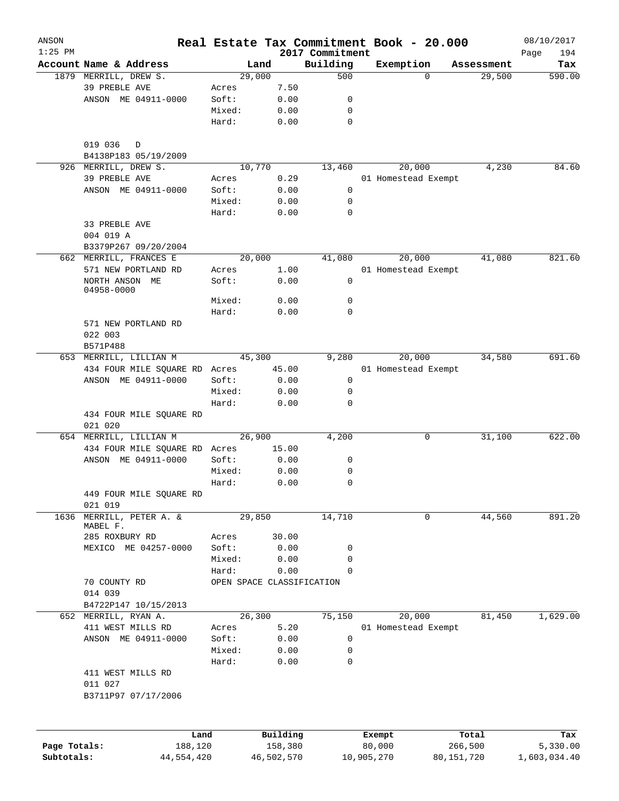| ANSON<br>$1:25$ PM |                               |        | Real Estate Tax Commitment Book - 20.000 | 2017 Commitment |                  |                     |            |                  | 08/10/2017<br>194<br>Page |
|--------------------|-------------------------------|--------|------------------------------------------|-----------------|------------------|---------------------|------------|------------------|---------------------------|
|                    | Account Name & Address        |        | Land                                     | Building        |                  | Exemption           |            | Assessment       | Tax                       |
|                    | 1879 MERRILL, DREW S.         | 29,000 |                                          | 500             |                  |                     | $\Omega$   | 29,500           | 590.00                    |
|                    | 39 PREBLE AVE                 | Acres  | 7.50                                     |                 |                  |                     |            |                  |                           |
|                    | ANSON ME 04911-0000           | Soft:  | 0.00                                     | 0               |                  |                     |            |                  |                           |
|                    |                               | Mixed: | 0.00                                     | 0               |                  |                     |            |                  |                           |
|                    |                               | Hard:  | 0.00                                     | $\mathbf 0$     |                  |                     |            |                  |                           |
|                    |                               |        |                                          |                 |                  |                     |            |                  |                           |
|                    | 019 036<br>D                  |        |                                          |                 |                  |                     |            |                  |                           |
|                    | B4138P183 05/19/2009          |        |                                          |                 |                  |                     |            |                  |                           |
|                    | 926 MERRILL, DREW S.          | 10,770 |                                          | 13,460          |                  | 20,000              |            | 4,230            | 84.60                     |
|                    |                               |        |                                          |                 |                  |                     |            |                  |                           |
|                    | 39 PREBLE AVE                 | Acres  | 0.29                                     |                 |                  | 01 Homestead Exempt |            |                  |                           |
|                    | ANSON ME 04911-0000           | Soft:  | 0.00                                     | 0               |                  |                     |            |                  |                           |
|                    |                               | Mixed: | 0.00                                     | 0               |                  |                     |            |                  |                           |
|                    |                               | Hard:  | 0.00                                     | 0               |                  |                     |            |                  |                           |
|                    | 33 PREBLE AVE                 |        |                                          |                 |                  |                     |            |                  |                           |
|                    | 004 019 A                     |        |                                          |                 |                  |                     |            |                  |                           |
|                    | B3379P267 09/20/2004          |        |                                          |                 |                  |                     |            |                  |                           |
|                    | 662 MERRILL, FRANCES E        | 20,000 |                                          | 41,080          |                  | 20,000              |            | 41,080           | 821.60                    |
|                    | 571 NEW PORTLAND RD           | Acres  | 1.00                                     |                 |                  | 01 Homestead Exempt |            |                  |                           |
|                    | NORTH ANSON ME<br>04958-0000  | Soft:  | 0.00                                     | 0               |                  |                     |            |                  |                           |
|                    |                               | Mixed: | 0.00                                     | 0               |                  |                     |            |                  |                           |
|                    |                               | Hard:  | 0.00                                     | $\mathbf 0$     |                  |                     |            |                  |                           |
|                    | 571 NEW PORTLAND RD           |        |                                          |                 |                  |                     |            |                  |                           |
|                    | 022 003                       |        |                                          |                 |                  |                     |            |                  |                           |
|                    | B571P488                      |        |                                          |                 |                  |                     |            |                  |                           |
|                    | 653 MERRILL, LILLIAN M        | 45,300 |                                          | 9,280           |                  | 20,000              |            | 34,580           | 691.60                    |
|                    | 434 FOUR MILE SQUARE RD Acres |        | 45.00                                    |                 |                  | 01 Homestead Exempt |            |                  |                           |
|                    | ANSON ME 04911-0000           | Soft:  | 0.00                                     | 0               |                  |                     |            |                  |                           |
|                    |                               | Mixed: | 0.00                                     | 0               |                  |                     |            |                  |                           |
|                    |                               | Hard:  | 0.00                                     | 0               |                  |                     |            |                  |                           |
|                    |                               |        |                                          |                 |                  |                     |            |                  |                           |
|                    | 434 FOUR MILE SQUARE RD       |        |                                          |                 |                  |                     |            |                  |                           |
|                    | 021 020                       | 26,900 |                                          |                 |                  |                     |            |                  | 622.00                    |
|                    | 654 MERRILL, LILLIAN M        |        |                                          | 4,200           |                  |                     | 0          | 31,100           |                           |
|                    | 434 FOUR MILE SQUARE RD Acres |        | 15.00                                    |                 |                  |                     |            |                  |                           |
|                    | ANSON ME 04911-0000           | Soft:  | 0.00                                     | 0               |                  |                     |            |                  |                           |
|                    |                               | Mixed: | 0.00                                     | 0               |                  |                     |            |                  |                           |
|                    |                               | Hard:  | 0.00                                     | 0               |                  |                     |            |                  |                           |
|                    | 449 FOUR MILE SQUARE RD       |        |                                          |                 |                  |                     |            |                  |                           |
|                    | 021 019                       |        |                                          |                 |                  |                     |            |                  |                           |
| 1636               | MERRILL, PETER A. &           | 29,850 |                                          | 14,710          |                  |                     | 0          | 44,560           | 891.20                    |
|                    | MABEL F.                      |        |                                          |                 |                  |                     |            |                  |                           |
|                    | 285 ROXBURY RD                | Acres  | 30.00                                    |                 |                  |                     |            |                  |                           |
|                    | MEXICO ME 04257-0000          | Soft:  | 0.00                                     | 0               |                  |                     |            |                  |                           |
|                    |                               | Mixed: | 0.00                                     | 0               |                  |                     |            |                  |                           |
|                    |                               | Hard:  | 0.00                                     | $\mathbf 0$     |                  |                     |            |                  |                           |
|                    | 70 COUNTY RD                  |        | OPEN SPACE CLASSIFICATION                |                 |                  |                     |            |                  |                           |
|                    | 014 039                       |        |                                          |                 |                  |                     |            |                  |                           |
|                    | B4722P147 10/15/2013          |        |                                          |                 |                  |                     |            |                  |                           |
|                    | 652 MERRILL, RYAN A.          | 26,300 |                                          | 75,150          |                  | 20,000              |            | 81,450           | 1,629.00                  |
|                    | 411 WEST MILLS RD             | Acres  | 5.20                                     |                 |                  | 01 Homestead Exempt |            |                  |                           |
|                    | ANSON ME 04911-0000           | Soft:  | 0.00                                     | 0               |                  |                     |            |                  |                           |
|                    |                               | Mixed: | 0.00                                     | 0               |                  |                     |            |                  |                           |
|                    |                               | Hard:  | 0.00                                     | 0               |                  |                     |            |                  |                           |
|                    | 411 WEST MILLS RD             |        |                                          |                 |                  |                     |            |                  |                           |
|                    | 011 027                       |        |                                          |                 |                  |                     |            |                  |                           |
|                    | B3711P97 07/17/2006           |        |                                          |                 |                  |                     |            |                  |                           |
|                    |                               |        |                                          |                 |                  |                     |            |                  |                           |
|                    |                               |        |                                          |                 |                  |                     |            |                  |                           |
| Page Totals:       | Land<br>188,120               |        | Building<br>158,380                      |                 | Exempt<br>80,000 |                     |            | Total<br>266,500 | Tax<br>5,330.00           |
|                    |                               |        |                                          |                 |                  |                     |            |                  |                           |
| Subtotals:         | 44,554,420                    |        | 46,502,570                               |                 | 10,905,270       |                     | 80,151,720 |                  | 1,603,034.40              |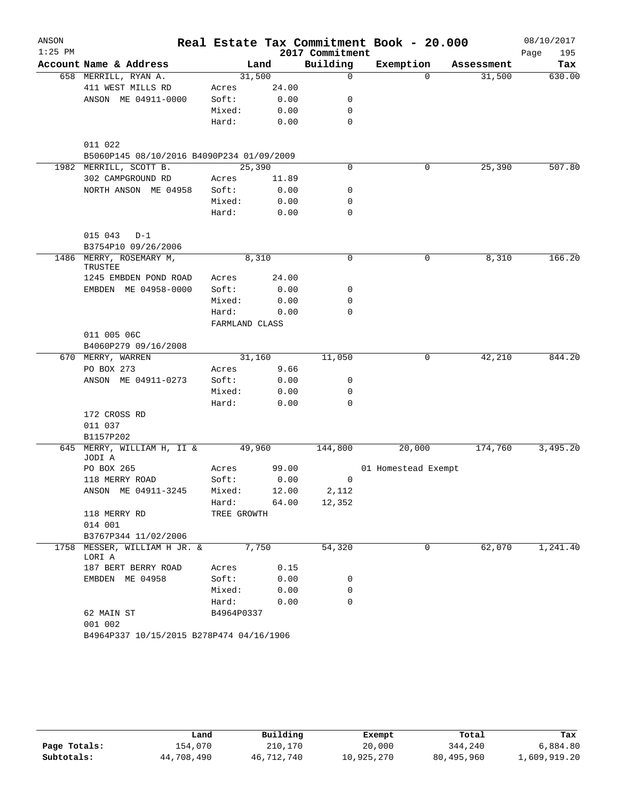| ANSON     |                                             |                |        |                 | Real Estate Tax Commitment Book - 20.000 |            | 08/10/2017  |
|-----------|---------------------------------------------|----------------|--------|-----------------|------------------------------------------|------------|-------------|
| $1:25$ PM |                                             |                |        | 2017 Commitment |                                          |            | 195<br>Page |
|           | Account Name & Address                      |                | Land   | Building        | Exemption                                | Assessment | Tax         |
|           | 658 MERRILL, RYAN A.                        | 31,500         |        | $\mathbf 0$     | $\Omega$                                 | 31,500     | 630.00      |
|           | 411 WEST MILLS RD                           | Acres          | 24.00  |                 |                                          |            |             |
|           | ANSON ME 04911-0000                         | Soft:          | 0.00   | 0               |                                          |            |             |
|           |                                             | Mixed:         | 0.00   | 0               |                                          |            |             |
|           |                                             | Hard:          | 0.00   | $\mathbf 0$     |                                          |            |             |
|           | 011 022                                     |                |        |                 |                                          |            |             |
|           | B5060P145 08/10/2016 B4090P234 01/09/2009   |                |        |                 |                                          |            |             |
|           | 1982 MERRILL, SCOTT B.                      | 25,390         |        | 0               | 0                                        | 25,390     | 507.80      |
|           | 302 CAMPGROUND RD                           | Acres          | 11.89  |                 |                                          |            |             |
|           | NORTH ANSON ME 04958                        | Soft:          | 0.00   | 0               |                                          |            |             |
|           |                                             | Mixed:         | 0.00   | 0               |                                          |            |             |
|           |                                             | Hard:          | 0.00   | 0               |                                          |            |             |
|           | $015 043  D-1$                              |                |        |                 |                                          |            |             |
|           | B3754P10 09/26/2006                         |                |        |                 |                                          |            |             |
|           | 1486 MERRY, ROSEMARY M,<br>TRUSTEE          | 8,310          |        | 0               | 0                                        | 8,310      | 166.20      |
|           | 1245 EMBDEN POND ROAD                       | Acres          | 24.00  |                 |                                          |            |             |
|           | EMBDEN ME 04958-0000                        | Soft:          | 0.00   | 0               |                                          |            |             |
|           |                                             | Mixed:         | 0.00   | 0               |                                          |            |             |
|           |                                             | Hard:          | 0.00   | $\Omega$        |                                          |            |             |
|           |                                             | FARMLAND CLASS |        |                 |                                          |            |             |
|           | 011 005 06C                                 |                |        |                 |                                          |            |             |
|           | B4060P279 09/16/2008                        |                |        |                 |                                          |            |             |
|           | 670 MERRY, WARREN                           |                | 31,160 | 11,050          | 0                                        | 42,210     | 844.20      |
|           | PO BOX 273                                  | Acres          | 9.66   |                 |                                          |            |             |
|           | ANSON ME 04911-0273                         | Soft:          | 0.00   | 0               |                                          |            |             |
|           |                                             | Mixed:         | 0.00   | $\mathbf 0$     |                                          |            |             |
|           |                                             | Hard:          | 0.00   | $\mathbf 0$     |                                          |            |             |
|           | 172 CROSS RD                                |                |        |                 |                                          |            |             |
|           | 011 037                                     |                |        |                 |                                          |            |             |
|           | B1157P202                                   |                |        |                 |                                          |            |             |
|           | 645 MERRY, WILLIAM H, II & 49,960<br>JODI A |                |        | 144,800         | 20,000                                   | 174,760    | 3,495.20    |
|           | PO BOX 265                                  | Acres          | 99.00  |                 | 01 Homestead Exempt                      |            |             |
|           | 118 MERRY ROAD                              | Soft:          | 0.00   | 0               |                                          |            |             |
|           | ANSON ME 04911-3245                         | Mixed:         | 12.00  | 2,112           |                                          |            |             |
|           |                                             | Hard:          | 64.00  | 12,352          |                                          |            |             |
|           | 118 MERRY RD                                | TREE GROWTH    |        |                 |                                          |            |             |
|           | 014 001                                     |                |        |                 |                                          |            |             |
|           | B3767P344 11/02/2006                        |                |        |                 |                                          |            |             |
|           | 1758 MESSER, WILLIAM H JR. &<br>LORI A      | 7,750          |        | 54,320          | 0                                        | 62,070     | 1,241.40    |
|           | 187 BERT BERRY ROAD                         | Acres          | 0.15   |                 |                                          |            |             |
|           | EMBDEN ME 04958                             | Soft:          | 0.00   | 0               |                                          |            |             |
|           |                                             | Mixed:         | 0.00   | 0               |                                          |            |             |
|           |                                             | Hard:          | 0.00   | 0               |                                          |            |             |
|           | 62 MAIN ST<br>001 002                       | B4964P0337     |        |                 |                                          |            |             |
|           | B4964P337 10/15/2015 B278P474 04/16/1906    |                |        |                 |                                          |            |             |

|              | ⊥and       | Building   | Exempt     | Total      | Tax          |
|--------------|------------|------------|------------|------------|--------------|
| Page Totals: | 154,070    | 210,170    | 20,000     | 344,240    | 6,884.80     |
| Subtotals:   | 44,708,490 | 46,712,740 | 10,925,270 | 80,495,960 | 1,609,919.20 |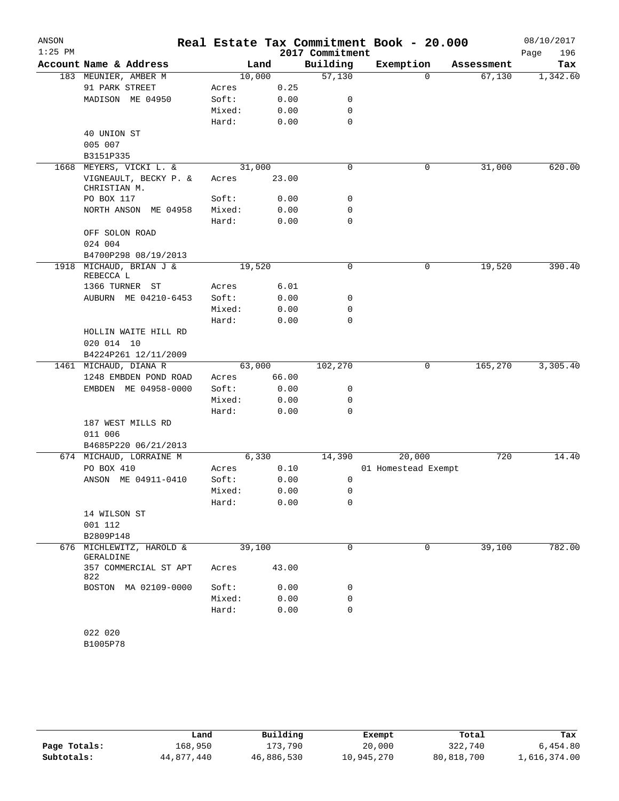| ANSON     |                                       |        |       |                 | Real Estate Tax Commitment Book - 20.000 |            | 08/10/2017  |
|-----------|---------------------------------------|--------|-------|-----------------|------------------------------------------|------------|-------------|
| $1:25$ PM |                                       |        |       | 2017 Commitment |                                          |            | Page<br>196 |
|           | Account Name & Address                |        | Land  | Building        | Exemption                                | Assessment | Tax         |
|           | 183 MEUNIER, AMBER M                  | 10,000 |       | 57,130          | $\mathbf 0$                              | 67,130     | 1,342.60    |
|           | 91 PARK STREET                        | Acres  | 0.25  |                 |                                          |            |             |
|           | MADISON ME 04950                      | Soft:  | 0.00  | 0               |                                          |            |             |
|           |                                       | Mixed: | 0.00  | 0               |                                          |            |             |
|           |                                       | Hard:  | 0.00  | $\mathbf 0$     |                                          |            |             |
|           | 40 UNION ST<br>005 007                |        |       |                 |                                          |            |             |
|           | B3151P335                             |        |       |                 |                                          |            |             |
| 1668      | MEYERS, VICKI L. &                    | 31,000 |       | $\mathbf 0$     | 0                                        | 31,000     | 620.00      |
|           | VIGNEAULT, BECKY P. &<br>CHRISTIAN M. | Acres  | 23.00 |                 |                                          |            |             |
|           | PO BOX 117                            | Soft:  | 0.00  | 0               |                                          |            |             |
|           | NORTH ANSON ME 04958                  | Mixed: | 0.00  | 0               |                                          |            |             |
|           |                                       | Hard:  | 0.00  | 0               |                                          |            |             |
|           | OFF SOLON ROAD                        |        |       |                 |                                          |            |             |
|           | 024 004                               |        |       |                 |                                          |            |             |
|           | B4700P298 08/19/2013                  |        |       |                 |                                          |            |             |
|           | 1918 MICHAUD, BRIAN J &               | 19,520 |       | 0               | 0                                        | 19,520     | 390.40      |
|           | REBECCA L                             |        |       |                 |                                          |            |             |
|           | 1366 TURNER ST                        | Acres  | 6.01  |                 |                                          |            |             |
|           | AUBURN ME 04210-6453                  | Soft:  | 0.00  | 0               |                                          |            |             |
|           |                                       | Mixed: | 0.00  | 0               |                                          |            |             |
|           |                                       | Hard:  | 0.00  | $\Omega$        |                                          |            |             |
|           | HOLLIN WAITE HILL RD<br>020 014 10    |        |       |                 |                                          |            |             |
|           | B4224P261 12/11/2009                  |        |       |                 |                                          |            |             |
|           | 1461 MICHAUD, DIANA R                 | 63,000 |       | 102,270         | 0                                        | 165,270    | 3,305.40    |
|           | 1248 EMBDEN POND ROAD                 | Acres  | 66.00 |                 |                                          |            |             |
|           | EMBDEN ME 04958-0000                  | Soft:  | 0.00  | 0               |                                          |            |             |
|           |                                       | Mixed: | 0.00  | 0               |                                          |            |             |
|           |                                       | Hard:  | 0.00  | 0               |                                          |            |             |
|           | 187 WEST MILLS RD                     |        |       |                 |                                          |            |             |
|           | 011 006                               |        |       |                 |                                          |            |             |
|           | B4685P220 06/21/2013                  |        |       |                 |                                          |            |             |
|           | 674 MICHAUD, LORRAINE M               |        | 6,330 | 14,390          | 20,000                                   | 720        | 14.40       |
|           | PO BOX 410                            | Acres  | 0.10  |                 | 01 Homestead Exempt                      |            |             |
|           | ANSON ME 04911-0410                   | Soft:  | 0.00  | 0               |                                          |            |             |
|           |                                       | Mixed: | 0.00  | 0               |                                          |            |             |
|           |                                       | Hard:  | 0.00  | 0               |                                          |            |             |
|           | 14 WILSON ST                          |        |       |                 |                                          |            |             |
|           | 001 112                               |        |       |                 |                                          |            |             |
|           | B2809P148                             |        |       |                 |                                          |            |             |
|           | 676 MICHLEWITZ, HAROLD &<br>GERALDINE | 39,100 |       | 0               | 0                                        | 39,100     | 782.00      |
|           | 357 COMMERCIAL ST APT<br>822          | Acres  | 43.00 |                 |                                          |            |             |
|           | BOSTON MA 02109-0000                  | Soft:  | 0.00  | 0               |                                          |            |             |
|           |                                       | Mixed: | 0.00  | 0               |                                          |            |             |
|           |                                       | Hard:  | 0.00  | 0               |                                          |            |             |
|           | 022 020                               |        |       |                 |                                          |            |             |
|           |                                       |        |       |                 |                                          |            |             |

B1005P78

|              | Land       | Building   | Exempt     | Total      | Tax          |
|--------------|------------|------------|------------|------------|--------------|
| Page Totals: | 168,950    | 173,790    | 20,000     | 322,740    | 6,454.80     |
| Subtotals:   | 44,877,440 | 46,886,530 | 10,945,270 | 80,818,700 | 1,616,374.00 |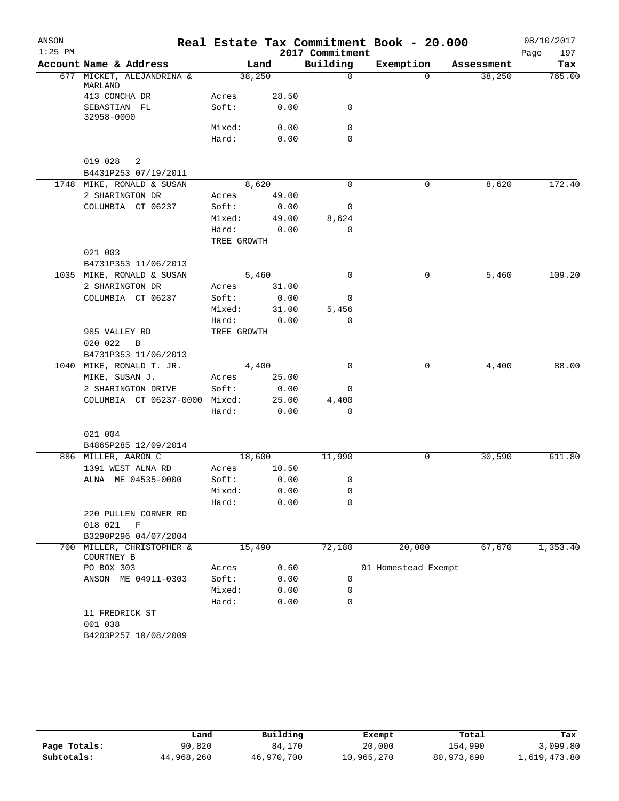| ANSON     |                                         |             |        |                         | Real Estate Tax Commitment Book - 20.000 |            | 08/10/2017  |
|-----------|-----------------------------------------|-------------|--------|-------------------------|------------------------------------------|------------|-------------|
| $1:25$ PM | Account Name & Address                  |             |        | 2017 Commitment         |                                          |            | Page<br>197 |
|           |                                         |             | Land   | Building<br>$\mathbf 0$ | Exemption<br>$\Omega$                    | Assessment | Tax         |
|           | 677 MICKET, ALEJANDRINA &<br>MARLAND    |             | 38,250 |                         |                                          | 38,250     | 765.00      |
|           | 413 CONCHA DR                           | Acres       | 28.50  |                         |                                          |            |             |
|           | SEBASTIAN FL<br>32958-0000              | Soft:       | 0.00   | 0                       |                                          |            |             |
|           |                                         | Mixed:      | 0.00   | 0                       |                                          |            |             |
|           |                                         | Hard:       | 0.00   | 0                       |                                          |            |             |
|           | 019 028<br>2                            |             |        |                         |                                          |            |             |
|           | B4431P253 07/19/2011                    |             |        |                         |                                          |            |             |
|           | 1748 MIKE, RONALD & SUSAN               |             | 8,620  | 0                       | 0                                        | 8,620      | 172.40      |
|           | 2 SHARINGTON DR                         | Acres       | 49.00  |                         |                                          |            |             |
|           | COLUMBIA CT 06237                       | Soft:       | 0.00   | 0                       |                                          |            |             |
|           |                                         | Mixed:      | 49.00  | 8,624                   |                                          |            |             |
|           |                                         | Hard:       | 0.00   | 0                       |                                          |            |             |
|           |                                         | TREE GROWTH |        |                         |                                          |            |             |
|           | 021 003                                 |             |        |                         |                                          |            |             |
|           | B4731P353 11/06/2013                    |             |        |                         |                                          |            |             |
|           | 1035 MIKE, RONALD & SUSAN               |             | 5,460  | $\Omega$                | 0                                        | 5,460      | 109.20      |
|           | 2 SHARINGTON DR                         | Acres       | 31.00  |                         |                                          |            |             |
|           | COLUMBIA CT 06237                       | Soft:       | 0.00   | 0                       |                                          |            |             |
|           |                                         | Mixed:      | 31.00  | 5,456                   |                                          |            |             |
|           |                                         | Hard:       | 0.00   | 0                       |                                          |            |             |
|           | 985 VALLEY RD                           | TREE GROWTH |        |                         |                                          |            |             |
|           | 020 022<br>B                            |             |        |                         |                                          |            |             |
|           | B4731P353 11/06/2013                    |             |        |                         |                                          |            |             |
| 1040      | MIKE, RONALD T. JR.                     |             | 4,400  | 0                       | 0                                        | 4,400      | 88.00       |
|           | MIKE, SUSAN J.                          | Acres       | 25.00  |                         |                                          |            |             |
|           | 2 SHARINGTON DRIVE                      | Soft:       | 0.00   | 0                       |                                          |            |             |
|           | COLUMBIA CT 06237-0000 Mixed:           |             | 25.00  | 4,400                   |                                          |            |             |
|           |                                         | Hard:       | 0.00   | 0                       |                                          |            |             |
|           | 021 004                                 |             |        |                         |                                          |            |             |
|           | B4865P285 12/09/2014                    |             |        |                         |                                          |            |             |
|           | 886 MILLER, AARON C                     |             | 18,600 | 11,990                  | 0                                        | 30,590     | 611.80      |
|           | 1391 WEST ALNA RD                       | Acres       | 10.50  |                         |                                          |            |             |
|           | ALNA ME 04535-0000                      | Soft:       | 0.00   | 0                       |                                          |            |             |
|           |                                         | Mixed:      | 0.00   | 0                       |                                          |            |             |
|           |                                         | Hard:       | 0.00   | 0                       |                                          |            |             |
|           | 220 PULLEN CORNER RD                    |             |        |                         |                                          |            |             |
|           | 018 021<br>F                            |             |        |                         |                                          |            |             |
|           | B3290P296 04/07/2004                    |             |        |                         |                                          |            |             |
|           | 700 MILLER, CHRISTOPHER &<br>COURTNEY B |             | 15,490 | 72,180                  | 20,000                                   | 67,670     | 1,353.40    |
|           | PO BOX 303                              | Acres       | 0.60   |                         | 01 Homestead Exempt                      |            |             |
|           | ANSON ME 04911-0303                     | Soft:       | 0.00   | 0                       |                                          |            |             |
|           |                                         | Mixed:      | 0.00   | 0                       |                                          |            |             |
|           |                                         | Hard:       | 0.00   | 0                       |                                          |            |             |
|           | 11 FREDRICK ST<br>001 038               |             |        |                         |                                          |            |             |
|           | B4203P257 10/08/2009                    |             |        |                         |                                          |            |             |
|           |                                         |             |        |                         |                                          |            |             |

|              | Land       | Building   | Exempt     | Total      | Tax          |
|--------------|------------|------------|------------|------------|--------------|
| Page Totals: | 90,820     | 84,170     | 20,000     | 154,990    | 3,099.80     |
| Subtotals:   | 44,968,260 | 46,970,700 | 10,965,270 | 80,973,690 | 1,619,473.80 |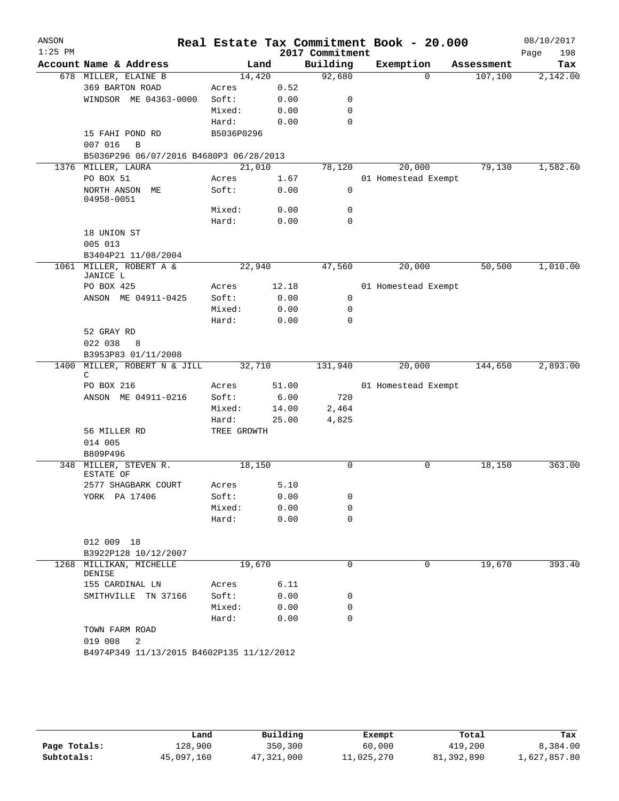| ANSON     |                                           |             |       |                 | Real Estate Tax Commitment Book - 20.000 |            | 08/10/2017  |
|-----------|-------------------------------------------|-------------|-------|-----------------|------------------------------------------|------------|-------------|
| $1:25$ PM |                                           |             |       | 2017 Commitment |                                          |            | Page<br>198 |
|           | Account Name & Address                    | Land        |       | Building        | Exemption                                | Assessment | Tax         |
|           | 678 MILLER, ELAINE B                      | 14,420      |       | 92,680          | $\Omega$                                 | 107,100    | 2,142.00    |
|           | 369 BARTON ROAD                           | Acres       | 0.52  |                 |                                          |            |             |
|           | WINDSOR ME 04363-0000                     | Soft:       | 0.00  | 0               |                                          |            |             |
|           |                                           | Mixed:      | 0.00  | 0               |                                          |            |             |
|           |                                           | Hard:       | 0.00  | 0               |                                          |            |             |
|           | 15 FAHI POND RD                           | B5036P0296  |       |                 |                                          |            |             |
|           | 007 016<br>B                              |             |       |                 |                                          |            |             |
|           | B5036P296 06/07/2016 B4680P3 06/28/2013   |             |       |                 |                                          |            |             |
|           | 1376 MILLER, LAURA                        | 21,010      |       | 78,120          | 20,000                                   | 79,130     | 1,582.60    |
|           | PO BOX 51                                 | Acres       | 1.67  |                 | 01 Homestead Exempt                      |            |             |
|           | NORTH ANSON ME<br>04958-0051              | Soft:       | 0.00  | 0               |                                          |            |             |
|           |                                           | Mixed:      | 0.00  | 0               |                                          |            |             |
|           |                                           | Hard:       | 0.00  | $\mathbf 0$     |                                          |            |             |
|           | 18 UNION ST                               |             |       |                 |                                          |            |             |
|           | 005 013                                   |             |       |                 |                                          |            |             |
|           | B3404P21 11/08/2004                       |             |       |                 |                                          |            |             |
|           | 1061 MILLER, ROBERT A &<br>JANICE L       | 22,940      |       | 47,560          | 20,000                                   | 50,500     | 1,010.00    |
|           | PO BOX 425                                | Acres       | 12.18 |                 | 01 Homestead Exempt                      |            |             |
|           | ANSON ME 04911-0425                       | Soft:       | 0.00  | 0               |                                          |            |             |
|           |                                           | Mixed:      | 0.00  | 0               |                                          |            |             |
|           |                                           | Hard:       | 0.00  | 0               |                                          |            |             |
|           | 52 GRAY RD<br>022 038<br>8                |             |       |                 |                                          |            |             |
|           | B3953P83 01/11/2008                       |             |       |                 |                                          |            |             |
| 1400      | MILLER, ROBERT N & JILL<br>C              | 32,710      |       | 131,940         | 20,000                                   | 144,650    | 2,893.00    |
|           | PO BOX 216                                | Acres       | 51.00 |                 | 01 Homestead Exempt                      |            |             |
|           | ANSON ME 04911-0216                       | Soft:       | 6.00  | 720             |                                          |            |             |
|           |                                           | Mixed:      | 14.00 | 2,464           |                                          |            |             |
|           |                                           | Hard:       | 25.00 | 4,825           |                                          |            |             |
|           | 56 MILLER RD                              | TREE GROWTH |       |                 |                                          |            |             |
|           | 014 005                                   |             |       |                 |                                          |            |             |
|           | B809P496                                  |             |       |                 |                                          |            |             |
|           | 348 MILLER, STEVEN R.<br>ESTATE OF        | 18,150      |       | $\Omega$        | 0                                        | 18,150     | 363.00      |
|           | 2577 SHAGBARK COURT                       | Acres       | 5.10  |                 |                                          |            |             |
|           | YORK PA 17406                             | Soft:       | 0.00  | 0               |                                          |            |             |
|           |                                           | Mixed:      | 0.00  | 0               |                                          |            |             |
|           |                                           | Hard:       | 0.00  | 0               |                                          |            |             |
|           | 012 009 18                                |             |       |                 |                                          |            |             |
|           | B3922P128 10/12/2007                      |             |       |                 |                                          |            |             |
| 1268      | MILLIKAN, MICHELLE<br>DENISE              | 19,670      |       | 0               | 0                                        | 19,670     | 393.40      |
|           | 155 CARDINAL LN                           | Acres       | 6.11  |                 |                                          |            |             |
|           | SMITHVILLE TN 37166                       | Soft:       | 0.00  | 0               |                                          |            |             |
|           |                                           | Mixed:      | 0.00  | 0               |                                          |            |             |
|           |                                           | Hard:       | 0.00  | 0               |                                          |            |             |
|           | TOWN FARM ROAD                            |             |       |                 |                                          |            |             |
|           | 019 008<br>2                              |             |       |                 |                                          |            |             |
|           | B4974P349 11/13/2015 B4602P135 11/12/2012 |             |       |                 |                                          |            |             |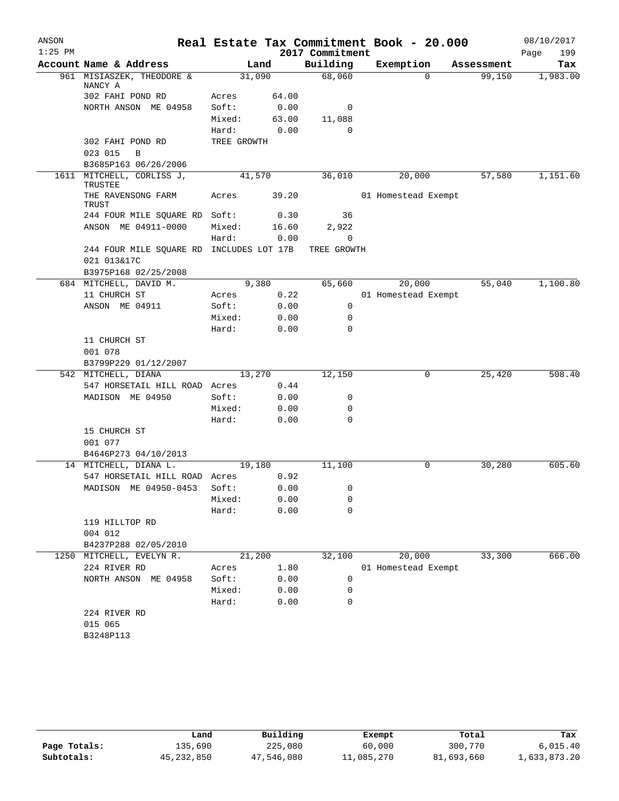| ANSON     |                                                         |             |        |                 | Real Estate Tax Commitment Book - 20.000 |            | 08/10/2017  |
|-----------|---------------------------------------------------------|-------------|--------|-----------------|------------------------------------------|------------|-------------|
| $1:25$ PM |                                                         |             |        | 2017 Commitment |                                          |            | 199<br>Page |
|           | Account Name & Address                                  |             | Land   | Building        | Exemption                                | Assessment | Tax         |
|           | 961 MISIASZEK, THEODORE &<br>NANCY A                    |             | 31,090 | 68,060          | $\Omega$                                 | 99,150     | 1,983.00    |
|           | 302 FAHI POND RD                                        | Acres       | 64.00  |                 |                                          |            |             |
|           | NORTH ANSON ME 04958                                    | Soft:       | 0.00   | 0               |                                          |            |             |
|           |                                                         | Mixed:      | 63.00  | 11,088          |                                          |            |             |
|           |                                                         | Hard:       | 0.00   | $\Omega$        |                                          |            |             |
|           | 302 FAHI POND RD                                        | TREE GROWTH |        |                 |                                          |            |             |
|           | 023 015<br>B                                            |             |        |                 |                                          |            |             |
|           | B3685P163 06/26/2006                                    |             |        |                 |                                          |            |             |
|           | 1611 MITCHELL, CORLISS J,<br>TRUSTEE                    |             | 41,570 | 36,010          | 20,000                                   | 57,580     | 1,151.60    |
|           | THE RAVENSONG FARM<br>TRUST                             | Acres       | 39.20  |                 | 01 Homestead Exempt                      |            |             |
|           | 244 FOUR MILE SQUARE RD Soft:                           |             | 0.30   | 36              |                                          |            |             |
|           | ANSON ME 04911-0000                                     | Mixed:      | 16.60  | 2,922           |                                          |            |             |
|           |                                                         | Hard:       | 0.00   | 0               |                                          |            |             |
|           | 244 FOUR MILE SQUARE RD INCLUDES LOT 17B<br>021 013&17C |             |        | TREE GROWTH     |                                          |            |             |
|           | B3975P168 02/25/2008                                    |             |        |                 |                                          |            |             |
|           | 684 MITCHELL, DAVID M.                                  |             | 9,380  | 65,660          | 20,000                                   | 55,040     | 1,100.80    |
|           | 11 CHURCH ST                                            | Acres       | 0.22   |                 | 01 Homestead Exempt                      |            |             |
|           | ANSON ME 04911                                          | Soft:       | 0.00   | $\mathbf 0$     |                                          |            |             |
|           |                                                         | Mixed:      | 0.00   | 0<br>0          |                                          |            |             |
|           |                                                         | Hard:       | 0.00   |                 |                                          |            |             |
|           | 11 CHURCH ST<br>001 078                                 |             |        |                 |                                          |            |             |
|           | B3799P229 01/12/2007                                    |             |        |                 |                                          |            |             |
|           | 542 MITCHELL, DIANA                                     |             | 13,270 | 12,150          | 0                                        | 25,420     | 508.40      |
|           | 547 HORSETAIL HILL ROAD Acres                           |             | 0.44   |                 |                                          |            |             |
|           | MADISON ME 04950                                        | Soft:       | 0.00   | 0               |                                          |            |             |
|           |                                                         | Mixed:      | 0.00   | 0               |                                          |            |             |
|           |                                                         | Hard:       | 0.00   | $\Omega$        |                                          |            |             |
|           | 15 CHURCH ST                                            |             |        |                 |                                          |            |             |
|           | 001 077                                                 |             |        |                 |                                          |            |             |
|           | B4646P273 04/10/2013                                    |             |        |                 |                                          |            |             |
|           | 14 MITCHELL, DIANA L.                                   |             | 19,180 | 11,100          | 0                                        | 30,280     | 605.60      |
|           | 547 HORSETAIL HILL ROAD Acres                           |             | 0.92   |                 |                                          |            |             |
|           | MADISON ME 04950-0453                                   | Soft:       | 0.00   | $\mathbf 0$     |                                          |            |             |
|           |                                                         | Mixed:      | 0.00   | 0               |                                          |            |             |
|           |                                                         | Hard:       | 0.00   | 0               |                                          |            |             |
|           | 119 HILLTOP RD<br>004 012                               |             |        |                 |                                          |            |             |
|           | B4237P288 02/05/2010                                    |             |        |                 |                                          |            |             |
|           | 1250 MITCHELL, EVELYN R.                                |             | 21,200 | 32,100          | 20,000                                   | 33,300     | 666.00      |
|           | 224 RIVER RD                                            | Acres       | 1.80   |                 | 01 Homestead Exempt                      |            |             |
|           | NORTH ANSON ME 04958                                    | Soft:       | 0.00   | 0               |                                          |            |             |
|           |                                                         | Mixed:      | 0.00   | 0               |                                          |            |             |
|           |                                                         | Hard:       | 0.00   | 0               |                                          |            |             |
|           | 224 RIVER RD                                            |             |        |                 |                                          |            |             |
|           | 015 065                                                 |             |        |                 |                                          |            |             |
|           | B3248P113                                               |             |        |                 |                                          |            |             |
|           |                                                         |             |        |                 |                                          |            |             |

|              | Land         | Building   | Exempt     | Total      | Tax          |
|--------------|--------------|------------|------------|------------|--------------|
| Page Totals: | 135,690      | 225,080    | 60,000     | 300,770    | 6.015.40     |
| Subtotals:   | 45, 232, 850 | 47,546,080 | 11,085,270 | 81,693,660 | 1,633,873.20 |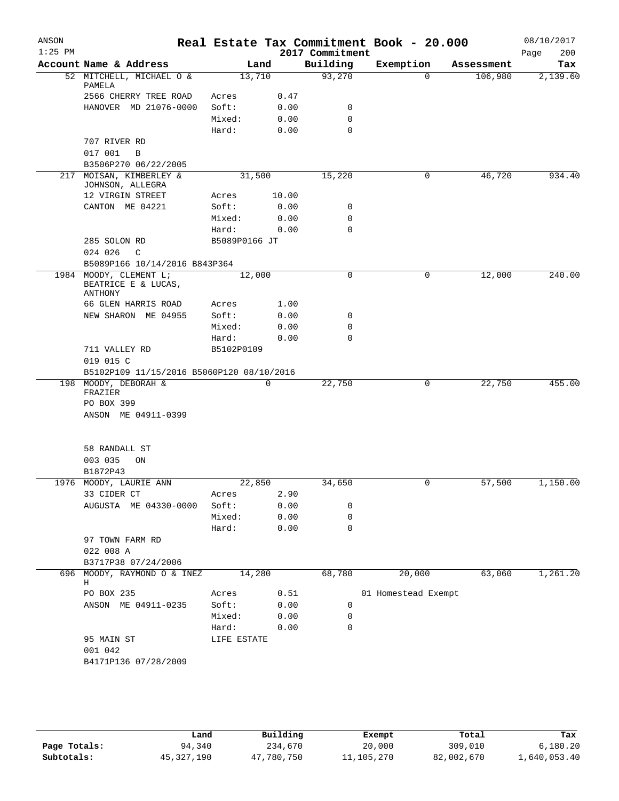| $1:25$ PM<br>2017 Commitment<br>Page<br>200<br>Account Name & Address<br>Building<br>Exemption<br>Land<br>Assessment<br>93,270<br>52 MITCHELL, MICHAEL O &<br>13,710<br>$\Omega$<br>106,980<br>2,139.60<br>PAMELA<br>2566 CHERRY TREE ROAD<br>0.47<br>Acres<br>HANOVER MD 21076-0000<br>Soft:<br>0<br>0.00<br>$\mathbf 0$<br>Mixed:<br>0.00<br>$\mathbf 0$<br>Hard:<br>0.00<br>707 RIVER RD<br>017 001<br>B<br>B3506P270 06/22/2005<br>46,720<br>217 MOISAN, KIMBERLEY &<br>31,500<br>15,220<br>934.40<br>$\mathbf{0}$<br>JOHNSON, ALLEGRA<br>10.00<br>12 VIRGIN STREET<br>Acres<br>CANTON ME 04221<br>Soft:<br>0.00<br>0<br>Mixed:<br>0.00<br>0<br>$\mathbf 0$<br>0.00<br>Hard:<br>285 SOLON RD<br>B5089P0166 JT<br>024 026<br>C<br>B5089P166 10/14/2016 B843P364<br>1984 MOODY, CLEMENT L;<br>12,000<br>0<br>12,000<br>240.00<br>0<br>BEATRICE E & LUCAS,<br>ANTHONY<br>66 GLEN HARRIS ROAD<br>Acres<br>1.00<br>Soft:<br>NEW SHARON ME 04955<br>0.00<br>0<br>Mixed:<br>0.00<br>0<br>$\mathbf 0$<br>0.00<br>Hard:<br>711 VALLEY RD<br>B5102P0109<br>019 015 C<br>B5102P109 11/15/2016 B5060P120 08/10/2016<br>0<br>22,750<br>22,750<br>198 MOODY, DEBORAH &<br>0<br>FRAZIER<br>PO BOX 399<br>ANSON ME 04911-0399<br>58 RANDALL ST<br>003 035<br>ON<br>B1872P43<br>1976 MOODY, LAURIE ANN<br>22,850<br>1,150.00<br>34,650<br>0<br>57,500<br>33 CIDER CT<br>2.90<br>Acres<br>AUGUSTA ME 04330-0000<br>Soft:<br>0.00<br>0<br>Mixed:<br>0.00<br>0<br>Hard:<br>0.00<br>0<br>97 TOWN FARM RD<br>022 008 A<br>B3717P38 07/24/2006<br>14,280<br>68,780<br>20,000<br>63,060<br>696 MOODY, RAYMOND O & INEZ<br>Н<br>PO BOX 235<br>0.51<br>01 Homestead Exempt<br>Acres<br>ANSON ME 04911-0235<br>Soft:<br>0.00<br>0<br>Mixed:<br>0.00<br>0<br>$\mathbf 0$<br>Hard:<br>0.00<br>95 MAIN ST<br>LIFE ESTATE<br>001 042<br>B4171P136 07/28/2009 | ANSON |  |  | Real Estate Tax Commitment Book - 20.000 | 08/10/2017 |
|-----------------------------------------------------------------------------------------------------------------------------------------------------------------------------------------------------------------------------------------------------------------------------------------------------------------------------------------------------------------------------------------------------------------------------------------------------------------------------------------------------------------------------------------------------------------------------------------------------------------------------------------------------------------------------------------------------------------------------------------------------------------------------------------------------------------------------------------------------------------------------------------------------------------------------------------------------------------------------------------------------------------------------------------------------------------------------------------------------------------------------------------------------------------------------------------------------------------------------------------------------------------------------------------------------------------------------------------------------------------------------------------------------------------------------------------------------------------------------------------------------------------------------------------------------------------------------------------------------------------------------------------------------------------------------------------------------------------------------------------------------------------------------------------------------------------------------------|-------|--|--|------------------------------------------|------------|
|                                                                                                                                                                                                                                                                                                                                                                                                                                                                                                                                                                                                                                                                                                                                                                                                                                                                                                                                                                                                                                                                                                                                                                                                                                                                                                                                                                                                                                                                                                                                                                                                                                                                                                                                                                                                                                   |       |  |  |                                          |            |
|                                                                                                                                                                                                                                                                                                                                                                                                                                                                                                                                                                                                                                                                                                                                                                                                                                                                                                                                                                                                                                                                                                                                                                                                                                                                                                                                                                                                                                                                                                                                                                                                                                                                                                                                                                                                                                   |       |  |  |                                          | Tax        |
|                                                                                                                                                                                                                                                                                                                                                                                                                                                                                                                                                                                                                                                                                                                                                                                                                                                                                                                                                                                                                                                                                                                                                                                                                                                                                                                                                                                                                                                                                                                                                                                                                                                                                                                                                                                                                                   |       |  |  |                                          |            |
|                                                                                                                                                                                                                                                                                                                                                                                                                                                                                                                                                                                                                                                                                                                                                                                                                                                                                                                                                                                                                                                                                                                                                                                                                                                                                                                                                                                                                                                                                                                                                                                                                                                                                                                                                                                                                                   |       |  |  |                                          |            |
|                                                                                                                                                                                                                                                                                                                                                                                                                                                                                                                                                                                                                                                                                                                                                                                                                                                                                                                                                                                                                                                                                                                                                                                                                                                                                                                                                                                                                                                                                                                                                                                                                                                                                                                                                                                                                                   |       |  |  |                                          |            |
|                                                                                                                                                                                                                                                                                                                                                                                                                                                                                                                                                                                                                                                                                                                                                                                                                                                                                                                                                                                                                                                                                                                                                                                                                                                                                                                                                                                                                                                                                                                                                                                                                                                                                                                                                                                                                                   |       |  |  |                                          |            |
|                                                                                                                                                                                                                                                                                                                                                                                                                                                                                                                                                                                                                                                                                                                                                                                                                                                                                                                                                                                                                                                                                                                                                                                                                                                                                                                                                                                                                                                                                                                                                                                                                                                                                                                                                                                                                                   |       |  |  |                                          |            |
|                                                                                                                                                                                                                                                                                                                                                                                                                                                                                                                                                                                                                                                                                                                                                                                                                                                                                                                                                                                                                                                                                                                                                                                                                                                                                                                                                                                                                                                                                                                                                                                                                                                                                                                                                                                                                                   |       |  |  |                                          |            |
|                                                                                                                                                                                                                                                                                                                                                                                                                                                                                                                                                                                                                                                                                                                                                                                                                                                                                                                                                                                                                                                                                                                                                                                                                                                                                                                                                                                                                                                                                                                                                                                                                                                                                                                                                                                                                                   |       |  |  |                                          |            |
|                                                                                                                                                                                                                                                                                                                                                                                                                                                                                                                                                                                                                                                                                                                                                                                                                                                                                                                                                                                                                                                                                                                                                                                                                                                                                                                                                                                                                                                                                                                                                                                                                                                                                                                                                                                                                                   |       |  |  |                                          |            |
|                                                                                                                                                                                                                                                                                                                                                                                                                                                                                                                                                                                                                                                                                                                                                                                                                                                                                                                                                                                                                                                                                                                                                                                                                                                                                                                                                                                                                                                                                                                                                                                                                                                                                                                                                                                                                                   |       |  |  |                                          |            |
|                                                                                                                                                                                                                                                                                                                                                                                                                                                                                                                                                                                                                                                                                                                                                                                                                                                                                                                                                                                                                                                                                                                                                                                                                                                                                                                                                                                                                                                                                                                                                                                                                                                                                                                                                                                                                                   |       |  |  |                                          |            |
|                                                                                                                                                                                                                                                                                                                                                                                                                                                                                                                                                                                                                                                                                                                                                                                                                                                                                                                                                                                                                                                                                                                                                                                                                                                                                                                                                                                                                                                                                                                                                                                                                                                                                                                                                                                                                                   |       |  |  |                                          |            |
|                                                                                                                                                                                                                                                                                                                                                                                                                                                                                                                                                                                                                                                                                                                                                                                                                                                                                                                                                                                                                                                                                                                                                                                                                                                                                                                                                                                                                                                                                                                                                                                                                                                                                                                                                                                                                                   |       |  |  |                                          |            |
|                                                                                                                                                                                                                                                                                                                                                                                                                                                                                                                                                                                                                                                                                                                                                                                                                                                                                                                                                                                                                                                                                                                                                                                                                                                                                                                                                                                                                                                                                                                                                                                                                                                                                                                                                                                                                                   |       |  |  |                                          |            |
|                                                                                                                                                                                                                                                                                                                                                                                                                                                                                                                                                                                                                                                                                                                                                                                                                                                                                                                                                                                                                                                                                                                                                                                                                                                                                                                                                                                                                                                                                                                                                                                                                                                                                                                                                                                                                                   |       |  |  |                                          |            |
|                                                                                                                                                                                                                                                                                                                                                                                                                                                                                                                                                                                                                                                                                                                                                                                                                                                                                                                                                                                                                                                                                                                                                                                                                                                                                                                                                                                                                                                                                                                                                                                                                                                                                                                                                                                                                                   |       |  |  |                                          |            |
|                                                                                                                                                                                                                                                                                                                                                                                                                                                                                                                                                                                                                                                                                                                                                                                                                                                                                                                                                                                                                                                                                                                                                                                                                                                                                                                                                                                                                                                                                                                                                                                                                                                                                                                                                                                                                                   |       |  |  |                                          |            |
|                                                                                                                                                                                                                                                                                                                                                                                                                                                                                                                                                                                                                                                                                                                                                                                                                                                                                                                                                                                                                                                                                                                                                                                                                                                                                                                                                                                                                                                                                                                                                                                                                                                                                                                                                                                                                                   |       |  |  |                                          |            |
|                                                                                                                                                                                                                                                                                                                                                                                                                                                                                                                                                                                                                                                                                                                                                                                                                                                                                                                                                                                                                                                                                                                                                                                                                                                                                                                                                                                                                                                                                                                                                                                                                                                                                                                                                                                                                                   |       |  |  |                                          |            |
|                                                                                                                                                                                                                                                                                                                                                                                                                                                                                                                                                                                                                                                                                                                                                                                                                                                                                                                                                                                                                                                                                                                                                                                                                                                                                                                                                                                                                                                                                                                                                                                                                                                                                                                                                                                                                                   |       |  |  |                                          |            |
|                                                                                                                                                                                                                                                                                                                                                                                                                                                                                                                                                                                                                                                                                                                                                                                                                                                                                                                                                                                                                                                                                                                                                                                                                                                                                                                                                                                                                                                                                                                                                                                                                                                                                                                                                                                                                                   |       |  |  |                                          |            |
|                                                                                                                                                                                                                                                                                                                                                                                                                                                                                                                                                                                                                                                                                                                                                                                                                                                                                                                                                                                                                                                                                                                                                                                                                                                                                                                                                                                                                                                                                                                                                                                                                                                                                                                                                                                                                                   |       |  |  |                                          |            |
|                                                                                                                                                                                                                                                                                                                                                                                                                                                                                                                                                                                                                                                                                                                                                                                                                                                                                                                                                                                                                                                                                                                                                                                                                                                                                                                                                                                                                                                                                                                                                                                                                                                                                                                                                                                                                                   |       |  |  |                                          |            |
|                                                                                                                                                                                                                                                                                                                                                                                                                                                                                                                                                                                                                                                                                                                                                                                                                                                                                                                                                                                                                                                                                                                                                                                                                                                                                                                                                                                                                                                                                                                                                                                                                                                                                                                                                                                                                                   |       |  |  |                                          |            |
|                                                                                                                                                                                                                                                                                                                                                                                                                                                                                                                                                                                                                                                                                                                                                                                                                                                                                                                                                                                                                                                                                                                                                                                                                                                                                                                                                                                                                                                                                                                                                                                                                                                                                                                                                                                                                                   |       |  |  |                                          |            |
|                                                                                                                                                                                                                                                                                                                                                                                                                                                                                                                                                                                                                                                                                                                                                                                                                                                                                                                                                                                                                                                                                                                                                                                                                                                                                                                                                                                                                                                                                                                                                                                                                                                                                                                                                                                                                                   |       |  |  |                                          | 455.00     |
|                                                                                                                                                                                                                                                                                                                                                                                                                                                                                                                                                                                                                                                                                                                                                                                                                                                                                                                                                                                                                                                                                                                                                                                                                                                                                                                                                                                                                                                                                                                                                                                                                                                                                                                                                                                                                                   |       |  |  |                                          |            |
|                                                                                                                                                                                                                                                                                                                                                                                                                                                                                                                                                                                                                                                                                                                                                                                                                                                                                                                                                                                                                                                                                                                                                                                                                                                                                                                                                                                                                                                                                                                                                                                                                                                                                                                                                                                                                                   |       |  |  |                                          |            |
|                                                                                                                                                                                                                                                                                                                                                                                                                                                                                                                                                                                                                                                                                                                                                                                                                                                                                                                                                                                                                                                                                                                                                                                                                                                                                                                                                                                                                                                                                                                                                                                                                                                                                                                                                                                                                                   |       |  |  |                                          |            |
|                                                                                                                                                                                                                                                                                                                                                                                                                                                                                                                                                                                                                                                                                                                                                                                                                                                                                                                                                                                                                                                                                                                                                                                                                                                                                                                                                                                                                                                                                                                                                                                                                                                                                                                                                                                                                                   |       |  |  |                                          |            |
|                                                                                                                                                                                                                                                                                                                                                                                                                                                                                                                                                                                                                                                                                                                                                                                                                                                                                                                                                                                                                                                                                                                                                                                                                                                                                                                                                                                                                                                                                                                                                                                                                                                                                                                                                                                                                                   |       |  |  |                                          |            |
|                                                                                                                                                                                                                                                                                                                                                                                                                                                                                                                                                                                                                                                                                                                                                                                                                                                                                                                                                                                                                                                                                                                                                                                                                                                                                                                                                                                                                                                                                                                                                                                                                                                                                                                                                                                                                                   |       |  |  |                                          |            |
|                                                                                                                                                                                                                                                                                                                                                                                                                                                                                                                                                                                                                                                                                                                                                                                                                                                                                                                                                                                                                                                                                                                                                                                                                                                                                                                                                                                                                                                                                                                                                                                                                                                                                                                                                                                                                                   |       |  |  |                                          |            |
|                                                                                                                                                                                                                                                                                                                                                                                                                                                                                                                                                                                                                                                                                                                                                                                                                                                                                                                                                                                                                                                                                                                                                                                                                                                                                                                                                                                                                                                                                                                                                                                                                                                                                                                                                                                                                                   |       |  |  |                                          |            |
|                                                                                                                                                                                                                                                                                                                                                                                                                                                                                                                                                                                                                                                                                                                                                                                                                                                                                                                                                                                                                                                                                                                                                                                                                                                                                                                                                                                                                                                                                                                                                                                                                                                                                                                                                                                                                                   |       |  |  |                                          |            |
|                                                                                                                                                                                                                                                                                                                                                                                                                                                                                                                                                                                                                                                                                                                                                                                                                                                                                                                                                                                                                                                                                                                                                                                                                                                                                                                                                                                                                                                                                                                                                                                                                                                                                                                                                                                                                                   |       |  |  |                                          |            |
|                                                                                                                                                                                                                                                                                                                                                                                                                                                                                                                                                                                                                                                                                                                                                                                                                                                                                                                                                                                                                                                                                                                                                                                                                                                                                                                                                                                                                                                                                                                                                                                                                                                                                                                                                                                                                                   |       |  |  |                                          |            |
|                                                                                                                                                                                                                                                                                                                                                                                                                                                                                                                                                                                                                                                                                                                                                                                                                                                                                                                                                                                                                                                                                                                                                                                                                                                                                                                                                                                                                                                                                                                                                                                                                                                                                                                                                                                                                                   |       |  |  |                                          |            |
|                                                                                                                                                                                                                                                                                                                                                                                                                                                                                                                                                                                                                                                                                                                                                                                                                                                                                                                                                                                                                                                                                                                                                                                                                                                                                                                                                                                                                                                                                                                                                                                                                                                                                                                                                                                                                                   |       |  |  |                                          | 1,261.20   |
|                                                                                                                                                                                                                                                                                                                                                                                                                                                                                                                                                                                                                                                                                                                                                                                                                                                                                                                                                                                                                                                                                                                                                                                                                                                                                                                                                                                                                                                                                                                                                                                                                                                                                                                                                                                                                                   |       |  |  |                                          |            |
|                                                                                                                                                                                                                                                                                                                                                                                                                                                                                                                                                                                                                                                                                                                                                                                                                                                                                                                                                                                                                                                                                                                                                                                                                                                                                                                                                                                                                                                                                                                                                                                                                                                                                                                                                                                                                                   |       |  |  |                                          |            |
|                                                                                                                                                                                                                                                                                                                                                                                                                                                                                                                                                                                                                                                                                                                                                                                                                                                                                                                                                                                                                                                                                                                                                                                                                                                                                                                                                                                                                                                                                                                                                                                                                                                                                                                                                                                                                                   |       |  |  |                                          |            |
|                                                                                                                                                                                                                                                                                                                                                                                                                                                                                                                                                                                                                                                                                                                                                                                                                                                                                                                                                                                                                                                                                                                                                                                                                                                                                                                                                                                                                                                                                                                                                                                                                                                                                                                                                                                                                                   |       |  |  |                                          |            |
|                                                                                                                                                                                                                                                                                                                                                                                                                                                                                                                                                                                                                                                                                                                                                                                                                                                                                                                                                                                                                                                                                                                                                                                                                                                                                                                                                                                                                                                                                                                                                                                                                                                                                                                                                                                                                                   |       |  |  |                                          |            |
|                                                                                                                                                                                                                                                                                                                                                                                                                                                                                                                                                                                                                                                                                                                                                                                                                                                                                                                                                                                                                                                                                                                                                                                                                                                                                                                                                                                                                                                                                                                                                                                                                                                                                                                                                                                                                                   |       |  |  |                                          |            |
|                                                                                                                                                                                                                                                                                                                                                                                                                                                                                                                                                                                                                                                                                                                                                                                                                                                                                                                                                                                                                                                                                                                                                                                                                                                                                                                                                                                                                                                                                                                                                                                                                                                                                                                                                                                                                                   |       |  |  |                                          |            |
|                                                                                                                                                                                                                                                                                                                                                                                                                                                                                                                                                                                                                                                                                                                                                                                                                                                                                                                                                                                                                                                                                                                                                                                                                                                                                                                                                                                                                                                                                                                                                                                                                                                                                                                                                                                                                                   |       |  |  |                                          |            |
|                                                                                                                                                                                                                                                                                                                                                                                                                                                                                                                                                                                                                                                                                                                                                                                                                                                                                                                                                                                                                                                                                                                                                                                                                                                                                                                                                                                                                                                                                                                                                                                                                                                                                                                                                                                                                                   |       |  |  |                                          |            |
|                                                                                                                                                                                                                                                                                                                                                                                                                                                                                                                                                                                                                                                                                                                                                                                                                                                                                                                                                                                                                                                                                                                                                                                                                                                                                                                                                                                                                                                                                                                                                                                                                                                                                                                                                                                                                                   |       |  |  |                                          |            |

|              | Land       | Building   | Exempt     | Total      | Tax          |
|--------------|------------|------------|------------|------------|--------------|
| Page Totals: | 94,340     | 234,670    | 20,000     | 309,010    | 6.180.20     |
| Subtotals:   | 45,327,190 | 47,780,750 | 11,105,270 | 82,002,670 | 1,640,053.40 |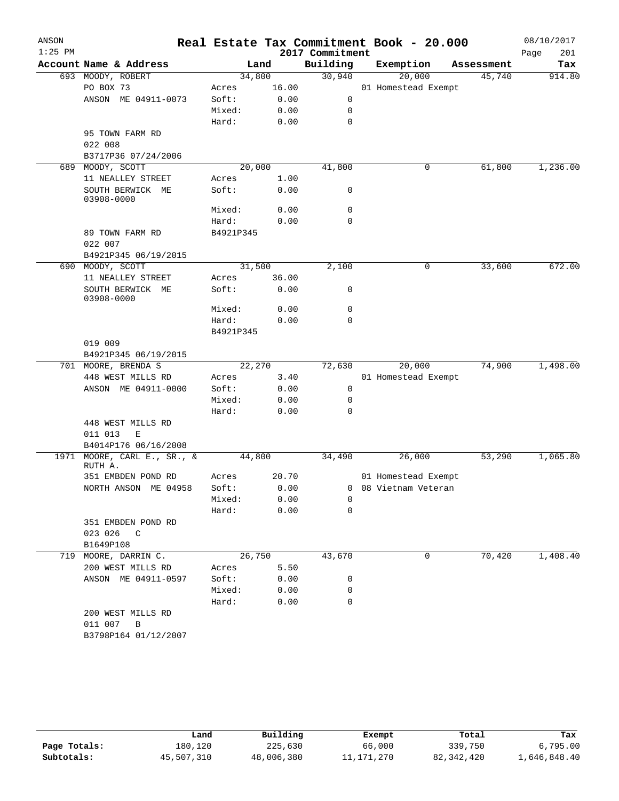| ANSON<br>$1:25$ PM |                                   |           |       | 2017 Commitment | Real Estate Tax Commitment Book - 20.000 |            | 08/10/2017<br>Page<br>201 |
|--------------------|-----------------------------------|-----------|-------|-----------------|------------------------------------------|------------|---------------------------|
|                    | Account Name & Address            |           | Land  | Building        | Exemption                                | Assessment | Tax                       |
|                    | 693 MOODY, ROBERT                 | 34,800    |       | 30,940          | 20,000                                   | 45,740     | 914.80                    |
|                    | PO BOX 73                         | Acres     | 16.00 |                 | 01 Homestead Exempt                      |            |                           |
|                    | ANSON ME 04911-0073               | Soft:     | 0.00  | 0               |                                          |            |                           |
|                    |                                   | Mixed:    | 0.00  | 0               |                                          |            |                           |
|                    |                                   | Hard:     | 0.00  | 0               |                                          |            |                           |
|                    | 95 TOWN FARM RD                   |           |       |                 |                                          |            |                           |
|                    | 022 008                           |           |       |                 |                                          |            |                           |
|                    | B3717P36 07/24/2006               |           |       |                 |                                          |            |                           |
| 689                | MOODY, SCOTT                      | 20,000    |       | 41,800          | 0                                        | 61,800     | 1,236.00                  |
|                    | 11 NEALLEY STREET                 | Acres     | 1.00  |                 |                                          |            |                           |
|                    | SOUTH BERWICK ME<br>03908-0000    | Soft:     | 0.00  | 0               |                                          |            |                           |
|                    |                                   | Mixed:    | 0.00  | 0               |                                          |            |                           |
|                    |                                   | Hard:     | 0.00  | 0               |                                          |            |                           |
|                    | 89 TOWN FARM RD                   | B4921P345 |       |                 |                                          |            |                           |
|                    | 022 007                           |           |       |                 |                                          |            |                           |
|                    | B4921P345 06/19/2015              |           |       |                 |                                          |            |                           |
| 690                | MOODY, SCOTT                      | 31,500    |       | 2,100           | 0                                        | 33,600     | 672.00                    |
|                    | 11 NEALLEY STREET                 | Acres     | 36.00 |                 |                                          |            |                           |
|                    | SOUTH BERWICK ME<br>03908-0000    | Soft:     | 0.00  | 0               |                                          |            |                           |
|                    |                                   | Mixed:    | 0.00  | 0               |                                          |            |                           |
|                    |                                   | Hard:     | 0.00  | 0               |                                          |            |                           |
|                    |                                   | B4921P345 |       |                 |                                          |            |                           |
|                    | 019 009                           |           |       |                 |                                          |            |                           |
|                    | B4921P345 06/19/2015              |           |       |                 |                                          |            |                           |
|                    | 701 MOORE, BRENDA S               | 22,270    |       | 72,630          | 20,000                                   | 74,900     | 1,498.00                  |
|                    | 448 WEST MILLS RD                 | Acres     | 3.40  |                 | 01 Homestead Exempt                      |            |                           |
|                    | ANSON ME 04911-0000               | Soft:     | 0.00  | 0               |                                          |            |                           |
|                    |                                   | Mixed:    | 0.00  | 0               |                                          |            |                           |
|                    |                                   | Hard:     | 0.00  | 0               |                                          |            |                           |
|                    | 448 WEST MILLS RD                 |           |       |                 |                                          |            |                           |
|                    | 011 013<br>E                      |           |       |                 |                                          |            |                           |
|                    | B4014P176 06/16/2008              |           |       |                 |                                          |            |                           |
| 1971               | MOORE, CARL E., SR., &<br>RUTH A. | 44,800    |       | 34,490          | 26,000                                   | 53,290     | 1,065.80                  |
|                    | 351 EMBDEN POND RD                | Acres     | 20.70 |                 | 01 Homestead Exempt                      |            |                           |
|                    | NORTH ANSON ME 04958              | Soft:     | 0.00  |                 | 0 08 Vietnam Veteran                     |            |                           |
|                    |                                   | Mixed:    | 0.00  | 0               |                                          |            |                           |
|                    |                                   | Hard:     | 0.00  | 0               |                                          |            |                           |
|                    | 351 EMBDEN POND RD                |           |       |                 |                                          |            |                           |
|                    | 023 026 C                         |           |       |                 |                                          |            |                           |
|                    | B1649P108                         |           |       |                 |                                          |            |                           |
| 719                | MOORE, DARRIN C.                  | 26,750    |       | 43,670          | 0                                        | 70,420     | 1,408.40                  |
|                    | 200 WEST MILLS RD                 | Acres     | 5.50  |                 |                                          |            |                           |
|                    | ANSON ME 04911-0597               | Soft:     | 0.00  | 0               |                                          |            |                           |
|                    |                                   | Mixed:    | 0.00  | 0               |                                          |            |                           |
|                    |                                   | Hard:     | 0.00  | $\mathbf 0$     |                                          |            |                           |
|                    | 200 WEST MILLS RD                 |           |       |                 |                                          |            |                           |
|                    | 011 007<br>B                      |           |       |                 |                                          |            |                           |
|                    | B3798P164 01/12/2007              |           |       |                 |                                          |            |                           |

|              | Land       | Building   | Exempt       | Total        | Tax          |
|--------------|------------|------------|--------------|--------------|--------------|
| Page Totals: | 180,120    | 225,630    | 66,000       | 339,750      | 6,795.00     |
| Subtotals:   | 45,507,310 | 48,006,380 | 11, 171, 270 | 82, 342, 420 | 1,646,848.40 |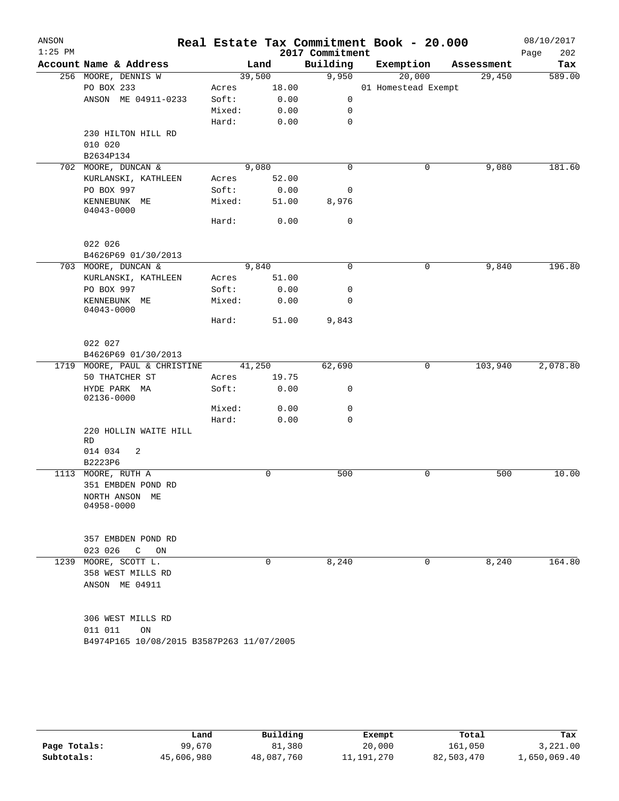| ANSON<br>$1:25$ PM |                                            |                |               | 2017 Commitment | Real Estate Tax Commitment Book - 20.000 |            | 08/10/2017<br>202<br>Page |
|--------------------|--------------------------------------------|----------------|---------------|-----------------|------------------------------------------|------------|---------------------------|
|                    | Account Name & Address                     |                | Land          | Building        | Exemption                                | Assessment | Tax                       |
|                    | 256 MOORE, DENNIS W                        | 39,500         |               | 9,950           | 20,000                                   | 29,450     | 589.00                    |
|                    | PO BOX 233                                 | Acres          | 18.00         |                 | 01 Homestead Exempt                      |            |                           |
|                    | ANSON ME 04911-0233                        | Soft:          | 0.00          | 0               |                                          |            |                           |
|                    |                                            | Mixed:         | 0.00          | 0               |                                          |            |                           |
|                    |                                            | Hard:          | 0.00          | 0               |                                          |            |                           |
|                    | 230 HILTON HILL RD                         |                |               |                 |                                          |            |                           |
|                    | 010 020                                    |                |               |                 |                                          |            |                           |
|                    | B2634P134                                  |                |               |                 |                                          |            |                           |
|                    | 702 MOORE, DUNCAN &<br>KURLANSKI, KATHLEEN |                | 9,080         | $\mathbf 0$     | 0                                        | 9,080      | 181.60                    |
|                    | PO BOX 997                                 | Acres<br>Soft: | 52.00         | 0               |                                          |            |                           |
|                    |                                            | Mixed:         | 0.00<br>51.00 | 8,976           |                                          |            |                           |
|                    | KENNEBUNK ME<br>04043-0000                 | Hard:          | 0.00          | 0               |                                          |            |                           |
|                    |                                            |                |               |                 |                                          |            |                           |
|                    | 022 026                                    |                |               |                 |                                          |            |                           |
|                    | B4626P69 01/30/2013                        |                |               |                 |                                          |            |                           |
|                    | 703 MOORE, DUNCAN &                        |                | 9,840         | 0               | 0                                        | 9,840      | 196.80                    |
|                    | KURLANSKI, KATHLEEN                        | Acres          | 51.00         |                 |                                          |            |                           |
|                    | PO BOX 997                                 | Soft:          | 0.00          | 0               |                                          |            |                           |
|                    | KENNEBUNK ME<br>04043-0000                 | Mixed:         | 0.00          | 0               |                                          |            |                           |
|                    |                                            | Hard:          | 51.00         | 9,843           |                                          |            |                           |
|                    | 022 027                                    |                |               |                 |                                          |            |                           |
|                    | B4626P69 01/30/2013                        |                |               |                 |                                          |            |                           |
| 1719               | MOORE, PAUL & CHRISTINE                    | 41,250         |               | 62,690          | 0                                        | 103,940    | 2,078.80                  |
|                    | 50 THATCHER ST                             | Acres          | 19.75         |                 |                                          |            |                           |
|                    | HYDE PARK MA<br>02136-0000                 | Soft:          | 0.00          | 0               |                                          |            |                           |
|                    |                                            | Mixed:         | 0.00          | 0               |                                          |            |                           |
|                    |                                            | Hard:          | 0.00          | 0               |                                          |            |                           |
|                    | 220 HOLLIN WAITE HILL                      |                |               |                 |                                          |            |                           |
|                    | RD<br>014 034<br>2                         |                |               |                 |                                          |            |                           |
|                    | B2223P6                                    |                |               |                 |                                          |            |                           |
|                    | 1113 MOORE, RUTH A                         |                | 0             | 500             | $\mathbf 0$                              | 500        | 10.00                     |
|                    | 351 EMBDEN POND RD                         |                |               |                 |                                          |            |                           |
|                    | NORTH ANSON ME                             |                |               |                 |                                          |            |                           |
|                    | 04958-0000                                 |                |               |                 |                                          |            |                           |
|                    |                                            |                |               |                 |                                          |            |                           |
|                    | 357 EMBDEN POND RD                         |                |               |                 |                                          |            |                           |
|                    | 023 026<br>C<br>ON                         |                |               |                 |                                          |            |                           |
| 1239               | MOORE, SCOTT L.                            |                | 0             | 8,240           | 0                                        | 8,240      | 164.80                    |
|                    | 358 WEST MILLS RD<br>ANSON ME 04911        |                |               |                 |                                          |            |                           |
|                    |                                            |                |               |                 |                                          |            |                           |
|                    | 306 WEST MILLS RD                          |                |               |                 |                                          |            |                           |
|                    | 011 011<br>ON                              |                |               |                 |                                          |            |                           |
|                    | B4974P165 10/08/2015 B3587P263 11/07/2005  |                |               |                 |                                          |            |                           |
|                    |                                            |                |               |                 |                                          |            |                           |

|              | Land       | Building   | Exempt       | Total      | Tax          |
|--------------|------------|------------|--------------|------------|--------------|
| Page Totals: | 99,670     | 81,380     | 20,000       | 161,050    | 3,221.00     |
| Subtotals:   | 45,606,980 | 48,087,760 | 11, 191, 270 | 82,503,470 | 1,650,069.40 |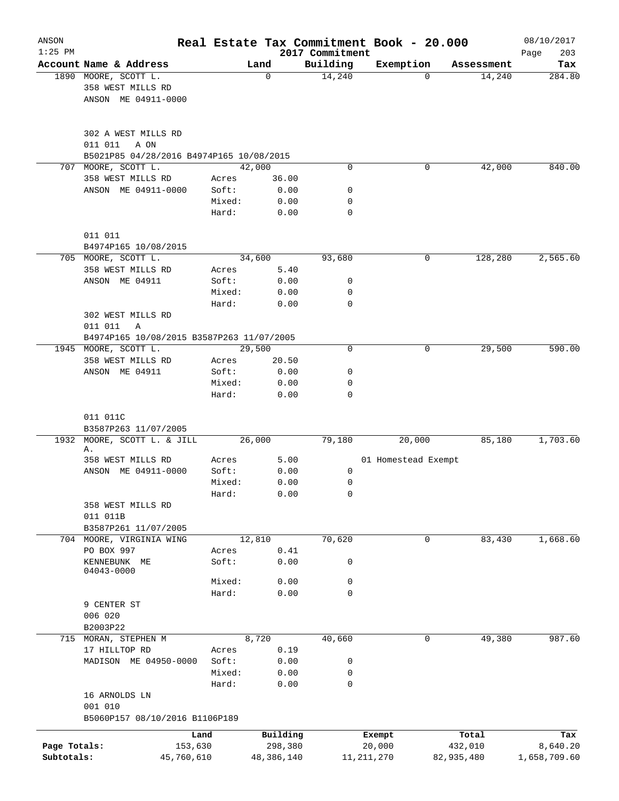| ANSON<br>$1:25$ PM |                                                                   |                |               | 2017 Commitment | Real Estate Tax Commitment Book - 20.000 |            | 08/10/2017<br>203<br>Page |
|--------------------|-------------------------------------------------------------------|----------------|---------------|-----------------|------------------------------------------|------------|---------------------------|
|                    | Account Name & Address                                            |                | Land          | Building        | Exemption                                | Assessment | Tax                       |
|                    | 1890 MOORE, SCOTT L.<br>358 WEST MILLS RD<br>ANSON ME 04911-0000  |                | 0             | 14,240          | $\Omega$                                 | 14,240     | 284.80                    |
|                    | 302 A WEST MILLS RD<br>011 011<br>A ON                            |                |               |                 |                                          |            |                           |
| 707                | B5021P85 04/28/2016 B4974P165 10/08/2015<br>MOORE, SCOTT L.       |                | 42,000        | 0               | 0                                        | 42,000     | 840.00                    |
|                    | 358 WEST MILLS RD                                                 | Acres          | 36.00         |                 |                                          |            |                           |
|                    | ANSON ME 04911-0000                                               | Soft:          | 0.00          | 0               |                                          |            |                           |
|                    |                                                                   | Mixed:         | 0.00          | 0               |                                          |            |                           |
|                    |                                                                   | Hard:          | 0.00          | 0               |                                          |            |                           |
|                    | 011 011                                                           |                |               |                 |                                          |            |                           |
|                    | B4974P165 10/08/2015                                              |                |               |                 |                                          |            |                           |
|                    | 705 MOORE, SCOTT L.                                               |                | 34,600        | 93,680          | 0                                        | 128,280    | 2,565.60                  |
|                    | 358 WEST MILLS RD                                                 | Acres          | 5.40          |                 |                                          |            |                           |
|                    | ANSON ME 04911                                                    | Soft:          | 0.00          | 0               |                                          |            |                           |
|                    |                                                                   | Mixed:         | 0.00          | 0               |                                          |            |                           |
|                    |                                                                   | Hard:          | 0.00          | $\mathbf 0$     |                                          |            |                           |
|                    | 302 WEST MILLS RD                                                 |                |               |                 |                                          |            |                           |
|                    | 011 011<br>Α                                                      |                |               |                 |                                          |            |                           |
|                    | B4974P165 10/08/2015 B3587P263 11/07/2005<br>1945 MOORE, SCOTT L. |                | 29,500        | 0               | 0                                        | 29,500     | 590.00                    |
|                    | 358 WEST MILLS RD                                                 | Acres          |               |                 |                                          |            |                           |
|                    | ANSON ME 04911                                                    | Soft:          | 20.50<br>0.00 | 0               |                                          |            |                           |
|                    |                                                                   | Mixed:         | 0.00          | 0               |                                          |            |                           |
|                    |                                                                   | Hard:          | 0.00          | $\Omega$        |                                          |            |                           |
|                    | 011 011C                                                          |                |               |                 |                                          |            |                           |
| 1932               | B3587P263 11/07/2005<br>MOORE, SCOTT L. & JILL                    |                | 26,000        | 79,180          | 20,000                                   | 85,180     | 1,703.60                  |
|                    | Α.                                                                |                |               |                 |                                          |            |                           |
|                    | 358 WEST MILLS RD<br>ANSON ME 04911-0000                          | Acres<br>Soft: | 5.00<br>0.00  | 0               | 01 Homestead Exempt                      |            |                           |
|                    |                                                                   | Mixed:         | 0.00          | 0               |                                          |            |                           |
|                    |                                                                   | Hard:          | 0.00          | 0               |                                          |            |                           |
|                    | 358 WEST MILLS RD                                                 |                |               |                 |                                          |            |                           |
|                    | 011 011B                                                          |                |               |                 |                                          |            |                           |
|                    | B3587P261 11/07/2005                                              |                |               |                 |                                          |            |                           |
|                    | 704 MOORE, VIRGINIA WING                                          |                | 12,810        | 70,620          | 0                                        | 83,430     | 1,668.60                  |
|                    | PO BOX 997                                                        | Acres          | 0.41          |                 |                                          |            |                           |
|                    | KENNEBUNK ME                                                      | Soft:          | 0.00          | 0               |                                          |            |                           |
|                    | 04043-0000                                                        |                |               |                 |                                          |            |                           |
|                    |                                                                   | Mixed:         | 0.00          | 0               |                                          |            |                           |
|                    |                                                                   | Hard:          | 0.00          | 0               |                                          |            |                           |
|                    | 9 CENTER ST                                                       |                |               |                 |                                          |            |                           |
|                    | 006 020                                                           |                |               |                 |                                          |            |                           |
|                    | B2003P22                                                          |                |               |                 |                                          |            |                           |
|                    | 715 MORAN, STEPHEN M                                              |                | 8,720         | 40,660          | 0                                        | 49,380     | 987.60                    |
|                    | 17 HILLTOP RD                                                     | Acres          | 0.19          |                 |                                          |            |                           |
|                    | MADISON ME 04950-0000                                             | Soft:          | 0.00          | 0               |                                          |            |                           |
|                    |                                                                   | Mixed:         | 0.00          | 0<br>0          |                                          |            |                           |
|                    | 16 ARNOLDS LN<br>001 010                                          | Hard:          | 0.00          |                 |                                          |            |                           |
|                    | B5060P157 08/10/2016 B1106P189                                    |                |               |                 |                                          |            |                           |
|                    |                                                                   | Land           | Building      |                 | Exempt                                   | Total      | Tax                       |
| Page Totals:       | 153,630                                                           |                | 298,380       |                 | 20,000                                   | 432,010    | 8,640.20                  |
| Subtotals:         | 45,760,610                                                        |                | 48,386,140    |                 | 11, 211, 270                             | 82,935,480 | 1,658,709.60              |
|                    |                                                                   |                |               |                 |                                          |            |                           |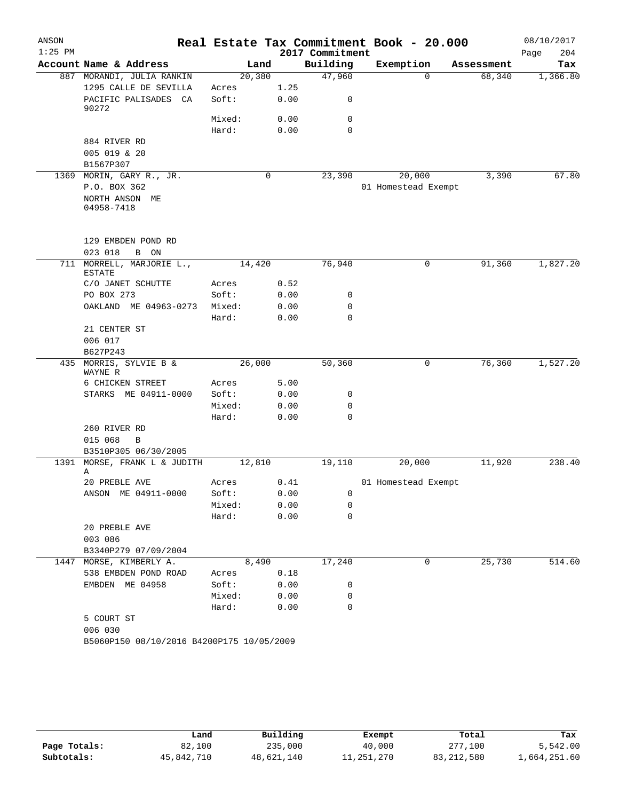| ANSON     |                                           |                |        |              |                 | Real Estate Tax Commitment Book - 20.000 |            | 08/10/2017  |
|-----------|-------------------------------------------|----------------|--------|--------------|-----------------|------------------------------------------|------------|-------------|
| $1:25$ PM |                                           |                |        |              | 2017 Commitment |                                          |            | 204<br>Page |
|           | Account Name & Address                    |                | Land   |              | Building        | Exemption                                | Assessment | Tax         |
|           | 887 MORANDI, JULIA RANKIN                 |                | 20,380 |              | 47,960          | $\Omega$                                 | 68,340     | 1,366.80    |
|           | 1295 CALLE DE SEVILLA                     | Acres<br>Soft: |        | 1.25         |                 |                                          |            |             |
|           | PACIFIC PALISADES CA<br>90272             |                |        | 0.00         | 0               |                                          |            |             |
|           |                                           | Mixed:         |        | 0.00         | 0               |                                          |            |             |
|           |                                           | Hard:          |        | 0.00         | $\mathbf 0$     |                                          |            |             |
|           | 884 RIVER RD                              |                |        |              |                 |                                          |            |             |
|           | 005 019 & 20<br>B1567P307                 |                |        |              |                 |                                          |            |             |
|           | 1369 MORIN, GARY R., JR.                  |                | 0      |              | 23,390          | 20,000                                   | 3,390      | 67.80       |
|           | P.O. BOX 362                              |                |        |              |                 | 01 Homestead Exempt                      |            |             |
|           | NORTH ANSON ME                            |                |        |              |                 |                                          |            |             |
|           | 04958-7418                                |                |        |              |                 |                                          |            |             |
|           | 129 EMBDEN POND RD                        |                |        |              |                 |                                          |            |             |
|           | 023 018<br>B ON                           |                |        |              |                 |                                          |            |             |
| 711       | MORRELL, MARJORIE L.,<br><b>ESTATE</b>    |                | 14,420 |              | 76,940          | 0                                        | 91,360     | 1,827.20    |
|           | C/O JANET SCHUTTE                         | Acres          |        | 0.52         |                 |                                          |            |             |
|           | PO BOX 273                                | Soft:          |        | 0.00         | 0               |                                          |            |             |
|           | OAKLAND ME 04963-0273                     | Mixed:         |        | 0.00         | 0               |                                          |            |             |
|           |                                           | Hard:          |        | 0.00         | $\mathbf 0$     |                                          |            |             |
|           | 21 CENTER ST                              |                |        |              |                 |                                          |            |             |
|           | 006 017                                   |                |        |              |                 |                                          |            |             |
|           | B627P243                                  |                |        |              |                 |                                          |            |             |
|           | 435 MORRIS, SYLVIE B &<br>WAYNE R         |                | 26,000 |              | 50,360          | 0                                        | 76,360     | 1,527.20    |
|           | 6 CHICKEN STREET                          | Acres          |        | 5.00         |                 |                                          |            |             |
|           | STARKS ME 04911-0000                      | Soft:          |        | 0.00         | 0               |                                          |            |             |
|           |                                           | Mixed:         |        | 0.00         | 0               |                                          |            |             |
|           |                                           | Hard:          |        | 0.00         | $\mathbf 0$     |                                          |            |             |
|           | 260 RIVER RD                              |                |        |              |                 |                                          |            |             |
|           | 015 068<br>$\, {\bf B}$                   |                |        |              |                 |                                          |            |             |
|           | B3510P305 06/30/2005                      |                |        |              |                 |                                          |            |             |
| 1391      | MORSE, FRANK L & JUDITH<br>Α              |                | 12,810 |              | 19,110          | 20,000                                   | 11,920     | 238.40      |
|           | 20 PREBLE AVE                             | Acres          |        | 0.41         |                 | 01 Homestead Exempt                      |            |             |
|           | ANSON ME 04911-0000                       | Soft:          |        | 0.00         | 0               |                                          |            |             |
|           |                                           | Mixed:         |        | 0.00         | 0               |                                          |            |             |
|           |                                           | Hard:          |        | 0.00         | 0               |                                          |            |             |
|           | 20 PREBLE AVE                             |                |        |              |                 |                                          |            |             |
|           | 003 086                                   |                |        |              |                 |                                          |            |             |
|           | B3340P279 07/09/2004                      |                |        |              |                 |                                          |            |             |
|           | 1447 MORSE, KIMBERLY A.                   |                | 8,490  |              | 17,240          | 0                                        | 25,730     | 514.60      |
|           | 538 EMBDEN POND ROAD<br>EMBDEN ME 04958   | Acres<br>Soft: |        | 0.18         | 0               |                                          |            |             |
|           |                                           | Mixed:         |        | 0.00<br>0.00 | 0               |                                          |            |             |
|           |                                           | Hard:          |        | 0.00         | 0               |                                          |            |             |
|           | 5 COURT ST                                |                |        |              |                 |                                          |            |             |
|           | 006 030                                   |                |        |              |                 |                                          |            |             |
|           | B5060P150 08/10/2016 B4200P175 10/05/2009 |                |        |              |                 |                                          |            |             |
|           |                                           |                |        |              |                 |                                          |            |             |

|              | Land       | Building   | Exempt     | Total        | Tax          |
|--------------|------------|------------|------------|--------------|--------------|
| Page Totals: | 82,100     | 235,000    | 40,000     | 277,100      | 5,542.00     |
| Subtotals:   | 45,842,710 | 48,621,140 | 11,251,270 | 83, 212, 580 | 1,664,251.60 |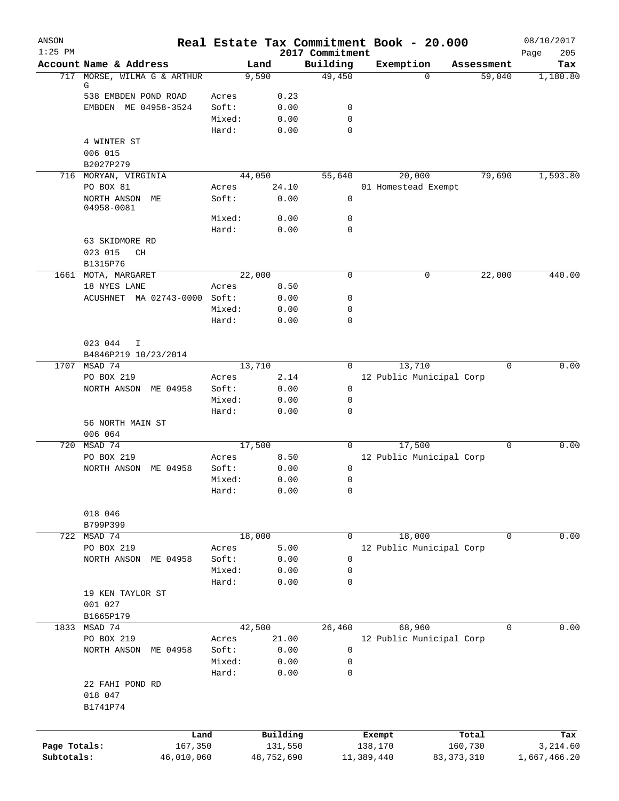| ANSON<br>$1:25$ PM |                                 |         |                                 | Real Estate Tax Commitment Book - 20.000<br>2017 Commitment |            |                          |              | 08/10/2017<br>205<br>Page |
|--------------------|---------------------------------|---------|---------------------------------|-------------------------------------------------------------|------------|--------------------------|--------------|---------------------------|
|                    | Account Name & Address          |         | Land                            | Building                                                    | Exemption  |                          | Assessment   | Tax                       |
| 717                | MORSE, WILMA G & ARTHUR         |         | 9,590                           | 49,450                                                      |            | $\Omega$                 | 59,040       | 1,180.80                  |
|                    | G                               |         |                                 |                                                             |            |                          |              |                           |
|                    | 538 EMBDEN POND ROAD            | Acres   | 0.23                            |                                                             |            |                          |              |                           |
|                    | EMBDEN ME 04958-3524            | Soft:   | 0.00                            | 0                                                           |            |                          |              |                           |
|                    |                                 | Mixed:  | 0.00                            | $\mathbf 0$                                                 |            |                          |              |                           |
|                    |                                 | Hard:   | 0.00                            | $\mathbf 0$                                                 |            |                          |              |                           |
|                    | 4 WINTER ST                     |         |                                 |                                                             |            |                          |              |                           |
|                    | 006 015                         |         |                                 |                                                             |            |                          |              |                           |
|                    | B2027P279                       |         |                                 |                                                             |            |                          |              |                           |
|                    | 716 MORYAN, VIRGINIA            |         | 44,050                          | 55,640                                                      |            | 20,000                   | 79,690       | 1,593.80                  |
|                    | PO BOX 81                       | Acres   | 24.10                           |                                                             |            | 01 Homestead Exempt      |              |                           |
|                    | NORTH ANSON<br>МE<br>04958-0081 | Soft:   | 0.00                            | $\mathbf 0$                                                 |            |                          |              |                           |
|                    |                                 | Mixed:  | 0.00                            | 0                                                           |            |                          |              |                           |
|                    |                                 | Hard:   | 0.00                            | $\mathbf 0$                                                 |            |                          |              |                           |
|                    | 63 SKIDMORE RD                  |         |                                 |                                                             |            |                          |              |                           |
|                    | 023 015<br>CH                   |         |                                 |                                                             |            |                          |              |                           |
|                    | B1315P76                        |         |                                 |                                                             |            |                          |              |                           |
|                    | 1661 MOTA, MARGARET             |         | 22,000                          | $\mathbf 0$                                                 |            | 0                        | 22,000       | 440.00                    |
|                    | 18 NYES LANE                    | Acres   | 8.50                            |                                                             |            |                          |              |                           |
|                    | ACUSHNET MA 02743-0000 Soft:    |         | 0.00                            | 0                                                           |            |                          |              |                           |
|                    |                                 | Mixed:  | 0.00                            | 0                                                           |            |                          |              |                           |
|                    |                                 | Hard:   | 0.00                            | $\mathbf 0$                                                 |            |                          |              |                           |
|                    |                                 |         |                                 |                                                             |            |                          |              |                           |
|                    | 023 044<br>I                    |         |                                 |                                                             |            |                          |              |                           |
|                    | B4846P219 10/23/2014            |         |                                 |                                                             |            |                          |              |                           |
| 1707               | MSAD 74                         |         | 13,710                          | 0                                                           |            | 13,710                   | 0            | 0.00                      |
|                    | PO BOX 219                      | Acres   | 2.14                            |                                                             |            | 12 Public Municipal Corp |              |                           |
|                    | NORTH ANSON<br>ME 04958         | Soft:   | 0.00                            | 0                                                           |            |                          |              |                           |
|                    |                                 | Mixed:  | 0.00                            | 0                                                           |            |                          |              |                           |
|                    |                                 | Hard:   | 0.00                            | $\mathbf 0$                                                 |            |                          |              |                           |
|                    | 56 NORTH MAIN ST                |         |                                 |                                                             |            |                          |              |                           |
|                    | 006 064                         |         |                                 |                                                             |            |                          |              |                           |
| 720                | MSAD 74                         |         | 17,500                          | 0                                                           |            | 17,500                   | 0            | 0.00                      |
|                    | PO BOX 219                      | Acres   | 8.50                            |                                                             |            | 12 Public Municipal Corp |              |                           |
|                    | NORTH ANSON<br>ME 04958         | Soft:   | 0.00                            | 0                                                           |            |                          |              |                           |
|                    |                                 | Mixed:  | 0.00                            | 0                                                           |            |                          |              |                           |
|                    |                                 | Hard:   | ${\bf 0}$ . ${\bf 0}$ ${\bf 0}$ | 0                                                           |            |                          |              |                           |
|                    |                                 |         |                                 |                                                             |            |                          |              |                           |
|                    | 018 046                         |         |                                 |                                                             |            |                          |              |                           |
|                    | B799P399                        |         |                                 |                                                             |            |                          |              |                           |
| 722                | MSAD 74                         |         | 18,000                          | $\mathbf 0$                                                 |            | 18,000                   | 0            | 0.00                      |
|                    | PO BOX 219                      | Acres   | 5.00                            |                                                             |            | 12 Public Municipal Corp |              |                           |
|                    | NORTH ANSON<br>ME 04958         | Soft:   | 0.00                            | 0                                                           |            |                          |              |                           |
|                    |                                 | Mixed:  | 0.00                            | 0                                                           |            |                          |              |                           |
|                    |                                 | Hard:   | 0.00                            | 0                                                           |            |                          |              |                           |
|                    | 19 KEN TAYLOR ST                |         |                                 |                                                             |            |                          |              |                           |
|                    | 001 027                         |         |                                 |                                                             |            |                          |              |                           |
|                    | B1665P179                       |         |                                 |                                                             |            |                          |              |                           |
| 1833               | MSAD 74                         |         | 42,500                          | 26,460                                                      |            | 68,960                   | 0            | 0.00                      |
|                    | PO BOX 219                      | Acres   | 21.00                           |                                                             |            | 12 Public Municipal Corp |              |                           |
|                    | NORTH ANSON<br>ME 04958         | Soft:   | 0.00                            | 0                                                           |            |                          |              |                           |
|                    |                                 | Mixed:  | 0.00                            | 0                                                           |            |                          |              |                           |
|                    |                                 | Hard:   | 0.00                            | 0                                                           |            |                          |              |                           |
|                    | 22 FAHI POND RD                 |         |                                 |                                                             |            |                          |              |                           |
|                    | 018 047                         |         |                                 |                                                             |            |                          |              |                           |
|                    | B1741P74                        |         |                                 |                                                             |            |                          |              |                           |
|                    |                                 |         |                                 |                                                             |            |                          |              |                           |
|                    |                                 | Land    | Building                        |                                                             | Exempt     |                          | Total        | Tax                       |
| Page Totals:       |                                 | 167,350 | 131,550                         |                                                             | 138,170    |                          | 160,730      | 3,214.60                  |
| Subtotals:         | 46,010,060                      |         | 48,752,690                      |                                                             | 11,389,440 |                          | 83, 373, 310 | 1,667,466.20              |
|                    |                                 |         |                                 |                                                             |            |                          |              |                           |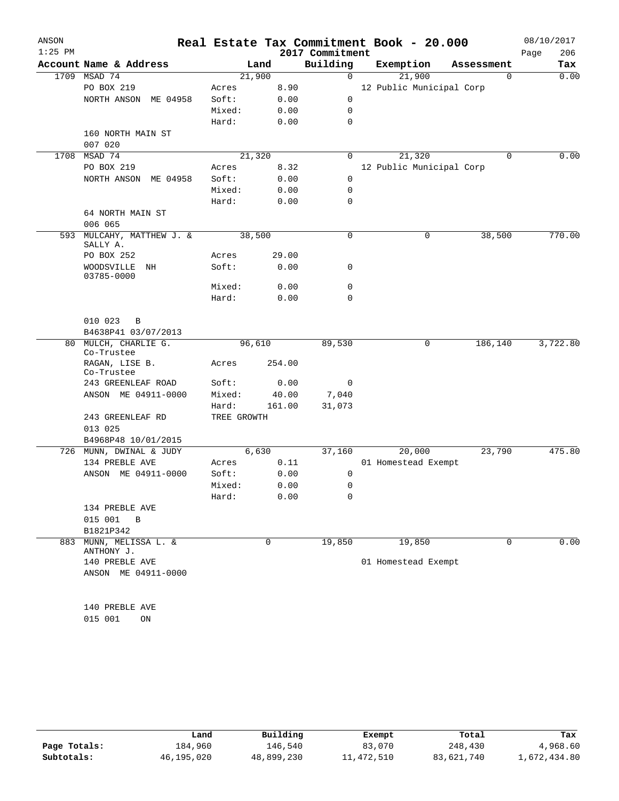| ANSON     |                                   |             |        |                 | Real Estate Tax Commitment Book - 20.000 |             | 08/10/2017  |
|-----------|-----------------------------------|-------------|--------|-----------------|------------------------------------------|-------------|-------------|
| $1:25$ PM |                                   |             |        | 2017 Commitment |                                          |             | 206<br>Page |
|           | Account Name & Address            |             | Land   | Building        | Exemption                                | Assessment  | Tax         |
| 1709      | MSAD 74                           | 21,900      |        | $\mathbf 0$     | 21,900                                   | $\mathbf 0$ | 0.00        |
|           | PO BOX 219                        | Acres       | 8.90   |                 | 12 Public Municipal Corp                 |             |             |
|           | NORTH ANSON ME 04958              | Soft:       | 0.00   | 0               |                                          |             |             |
|           |                                   | Mixed:      | 0.00   | 0               |                                          |             |             |
|           |                                   | Hard:       | 0.00   | 0               |                                          |             |             |
|           | 160 NORTH MAIN ST                 |             |        |                 |                                          |             |             |
| 1708      | 007 020<br>MSAD 74                | 21,320      |        | 0               | 21,320                                   | $\mathbf 0$ | 0.00        |
|           | PO BOX 219                        | Acres       | 8.32   |                 | 12 Public Municipal Corp                 |             |             |
|           | NORTH ANSON ME 04958              | Soft:       | 0.00   | $\mathbf 0$     |                                          |             |             |
|           |                                   | Mixed:      | 0.00   | 0               |                                          |             |             |
|           |                                   | Hard:       | 0.00   | 0               |                                          |             |             |
|           | 64 NORTH MAIN ST                  |             |        |                 |                                          |             |             |
|           | 006 065                           |             |        |                 |                                          |             |             |
| 593       | MULCAHY, MATTHEW J. &<br>SALLY A. | 38,500      |        | 0               | $\mathbf 0$                              | 38,500      | 770.00      |
|           | PO BOX 252                        | Acres       | 29.00  |                 |                                          |             |             |
|           | WOODSVILLE<br>ΝH<br>03785-0000    | Soft:       | 0.00   | 0               |                                          |             |             |
|           |                                   | Mixed:      | 0.00   | 0               |                                          |             |             |
|           |                                   | Hard:       | 0.00   | 0               |                                          |             |             |
|           |                                   |             |        |                 |                                          |             |             |
|           | 010 023<br>B                      |             |        |                 |                                          |             |             |
|           | B4638P41 03/07/2013               |             |        |                 |                                          |             |             |
| 80        | MULCH, CHARLIE G.<br>Co-Trustee   | 96,610      |        | 89,530          | 0                                        | 186,140     | 3,722.80    |
|           | RAGAN, LISE B.<br>Co-Trustee      | Acres       | 254.00 |                 |                                          |             |             |
|           | 243 GREENLEAF ROAD                | Soft:       | 0.00   | 0               |                                          |             |             |
|           | ANSON ME 04911-0000               | Mixed:      | 40.00  | 7,040           |                                          |             |             |
|           |                                   | Hard:       | 161.00 | 31,073          |                                          |             |             |
|           | 243 GREENLEAF RD<br>013 025       | TREE GROWTH |        |                 |                                          |             |             |
|           | B4968P48 10/01/2015               |             |        |                 |                                          |             |             |
| 726       | MUNN, DWINAL & JUDY               |             | 6,630  | 37,160          | 20,000                                   | 23,790      | 475.80      |
|           | 134 PREBLE AVE                    | Acres       | 0.11   |                 | 01 Homestead Exempt                      |             |             |
|           | ANSON ME 04911-0000               | Soft:       | 0.00   | 0               |                                          |             |             |
|           |                                   | Mixed:      | 0.00   | 0               |                                          |             |             |
|           |                                   | Hard:       | 0.00   | 0               |                                          |             |             |
|           | 134 PREBLE AVE                    |             |        |                 |                                          |             |             |
|           | 015 001<br>$\, {\bf B}$           |             |        |                 |                                          |             |             |
|           | B1821P342                         |             |        |                 |                                          |             |             |
| 883       | MUNN, MELISSA L. &<br>ANTHONY J.  |             | 0      | 19,850          | 19,850                                   | 0           | 0.00        |
|           | 140 PREBLE AVE                    |             |        |                 | 01 Homestead Exempt                      |             |             |
|           | ANSON ME 04911-0000               |             |        |                 |                                          |             |             |
|           |                                   |             |        |                 |                                          |             |             |
|           | 140 PREBLE AVE                    |             |        |                 |                                          |             |             |
|           | 015 001<br>ON                     |             |        |                 |                                          |             |             |
|           |                                   |             |        |                 |                                          |             |             |

|              | Land       | Building   | Exempt     | Total      | Tax          |
|--------------|------------|------------|------------|------------|--------------|
| Page Totals: | 184,960    | 146,540    | 83,070     | 248,430    | 4,968.60     |
| Subtotals:   | 46,195,020 | 48,899,230 | 11,472,510 | 83,621,740 | 1,672,434.80 |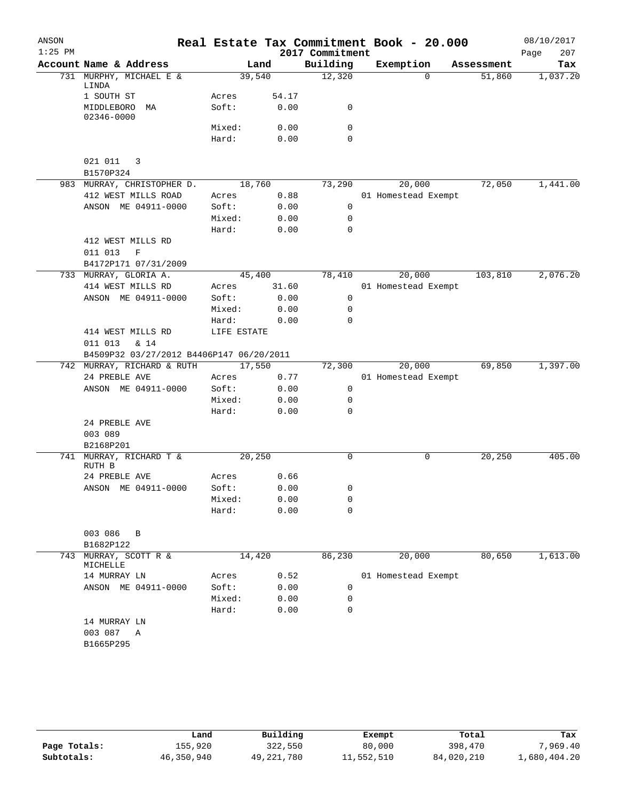| ANSON     |                                             |             |       |                             | Real Estate Tax Commitment Book - 20.000 |            | 08/10/2017         |
|-----------|---------------------------------------------|-------------|-------|-----------------------------|------------------------------------------|------------|--------------------|
| $1:25$ PM | Account Name & Address                      |             | Land  | 2017 Commitment<br>Building | Exemption                                | Assessment | 207<br>Page<br>Tax |
|           | 731 MURPHY, MICHAEL E &                     | 39,540      |       | 12,320                      | $\Omega$                                 | 51,860     | 1,037.20           |
|           | LINDA<br>1 SOUTH ST                         | Acres       | 54.17 |                             |                                          |            |                    |
|           | MIDDLEBORO<br>MA<br>02346-0000              | Soft:       | 0.00  | 0                           |                                          |            |                    |
|           |                                             | Mixed:      | 0.00  | 0                           |                                          |            |                    |
|           |                                             | Hard:       | 0.00  | 0                           |                                          |            |                    |
|           | 021 011<br>3<br>B1570P324                   |             |       |                             |                                          |            |                    |
|           | 983 MURRAY, CHRISTOPHER D.                  | 18,760      |       | 73,290                      | 20,000                                   | 72,050     | 1,441.00           |
|           | 412 WEST MILLS ROAD                         | Acres       | 0.88  |                             | 01 Homestead Exempt                      |            |                    |
|           | ANSON ME 04911-0000                         | Soft:       | 0.00  | 0                           |                                          |            |                    |
|           |                                             | Mixed:      | 0.00  | 0                           |                                          |            |                    |
|           |                                             | Hard:       | 0.00  | $\mathbf 0$                 |                                          |            |                    |
|           | 412 WEST MILLS RD<br>$\mathbf F$<br>011 013 |             |       |                             |                                          |            |                    |
|           | B4172P171 07/31/2009                        |             |       |                             |                                          |            |                    |
|           | 733 MURRAY, GLORIA A.                       | 45,400      |       | 78,410                      | 20,000                                   | 103,810    | 2,076.20           |
|           | 414 WEST MILLS RD                           | Acres       | 31.60 |                             | 01 Homestead Exempt                      |            |                    |
|           | ANSON ME 04911-0000                         | Soft:       | 0.00  | 0                           |                                          |            |                    |
|           |                                             | Mixed:      | 0.00  | 0                           |                                          |            |                    |
|           |                                             | Hard:       | 0.00  | 0                           |                                          |            |                    |
|           | 414 WEST MILLS RD                           | LIFE ESTATE |       |                             |                                          |            |                    |
|           | 011 013<br>$\&$ 14                          |             |       |                             |                                          |            |                    |
|           | B4509P32 03/27/2012 B4406P147 06/20/2011    |             |       |                             |                                          |            |                    |
|           | 742 MURRAY, RICHARD & RUTH                  | 17,550      |       | 72,300                      | 20,000                                   | 69,850     | 1,397.00           |
|           | 24 PREBLE AVE                               | Acres       | 0.77  |                             | 01 Homestead Exempt                      |            |                    |
|           | ANSON ME 04911-0000                         | Soft:       | 0.00  | 0                           |                                          |            |                    |
|           |                                             | Mixed:      | 0.00  | 0<br>0                      |                                          |            |                    |
|           |                                             | Hard:       | 0.00  |                             |                                          |            |                    |
|           | 24 PREBLE AVE                               |             |       |                             |                                          |            |                    |
|           | 003 089<br>B2168P201                        |             |       |                             |                                          |            |                    |
| 741       | MURRAY, RICHARD T &                         | 20,250      |       | 0                           | 0                                        | 20, 250    | 405.00             |
|           | RUTH B                                      |             |       |                             |                                          |            |                    |
|           | 24 PREBLE AVE                               | Acres       | 0.66  |                             |                                          |            |                    |
|           | ANSON ME 04911-0000                         | Soft:       | 0.00  | 0                           |                                          |            |                    |
|           |                                             | Mixed:      | 0.00  | 0                           |                                          |            |                    |
|           |                                             | Hard:       | 0.00  | $\Omega$                    |                                          |            |                    |
|           | 003 086<br>B<br>B1682P122                   |             |       |                             |                                          |            |                    |
| 743       | MURRAY, SCOTT R &<br>MICHELLE               | 14,420      |       | 86,230                      | 20,000                                   | 80,650     | 1,613.00           |
|           | 14 MURRAY LN                                | Acres       | 0.52  |                             | 01 Homestead Exempt                      |            |                    |
|           | ANSON ME 04911-0000                         | Soft:       | 0.00  | 0                           |                                          |            |                    |
|           |                                             | Mixed:      | 0.00  | $\mathbf 0$                 |                                          |            |                    |
|           |                                             | Hard:       | 0.00  | 0                           |                                          |            |                    |
|           | 14 MURRAY LN                                |             |       |                             |                                          |            |                    |
|           | 003 087 A                                   |             |       |                             |                                          |            |                    |
|           | B1665P295                                   |             |       |                             |                                          |            |                    |
|           |                                             |             |       |                             |                                          |            |                    |
|           |                                             |             |       |                             |                                          |            |                    |

|              | Land       | Building     | Exempt     | Total      | Tax          |
|--------------|------------|--------------|------------|------------|--------------|
| Page Totals: | 155,920    | 322,550      | 80,000     | 398,470    | 7,969.40     |
| Subtotals:   | 46,350,940 | 49, 221, 780 | 11,552,510 | 84,020,210 | 1,680,404.20 |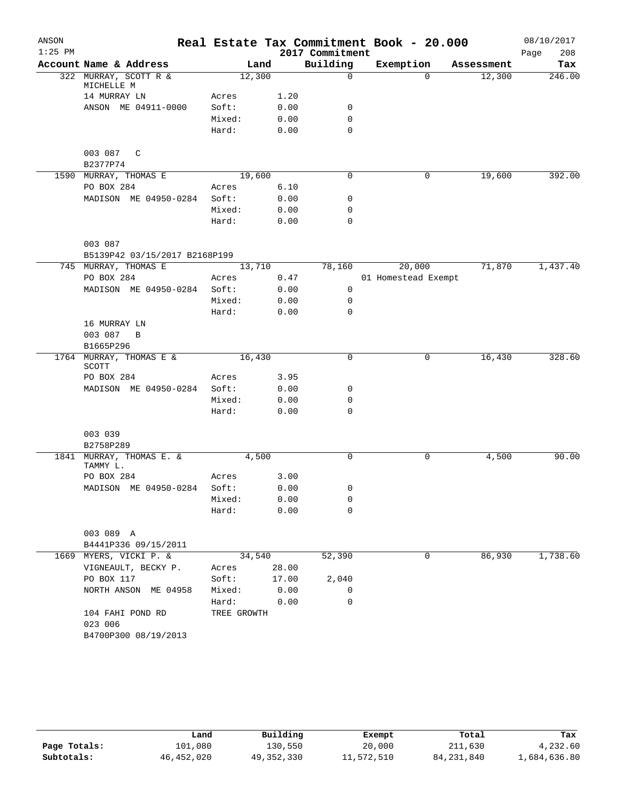| ANSON     |                                      |             |        |                 | Real Estate Tax Commitment Book - 20.000 |            | 08/10/2017  |
|-----------|--------------------------------------|-------------|--------|-----------------|------------------------------------------|------------|-------------|
| $1:25$ PM |                                      |             |        | 2017 Commitment |                                          |            | 208<br>Page |
|           | Account Name & Address               | Land        |        | Building        | Exemption                                | Assessment | Tax         |
|           | 322 MURRAY, SCOTT R &<br>MICHELLE M  | 12,300      |        | $\mathbf 0$     | $\Omega$                                 | 12,300     | 246.00      |
|           | 14 MURRAY LN                         | Acres       | 1.20   |                 |                                          |            |             |
|           | ANSON ME 04911-0000                  | Soft:       | 0.00   | 0               |                                          |            |             |
|           |                                      | Mixed:      | 0.00   | 0               |                                          |            |             |
|           |                                      | Hard:       | 0.00   | $\mathbf 0$     |                                          |            |             |
|           | 003 087 C                            |             |        |                 |                                          |            |             |
|           | B2377P74                             |             |        |                 |                                          |            |             |
|           | 1590 MURRAY, THOMAS E                | 19,600      |        | 0               | $\mathbf 0$                              | 19,600     | 392.00      |
|           | PO BOX 284                           | Acres       | 6.10   |                 |                                          |            |             |
|           | MADISON ME 04950-0284                | Soft:       | 0.00   | 0               |                                          |            |             |
|           |                                      | Mixed:      | 0.00   | $\mathbf 0$     |                                          |            |             |
|           |                                      | Hard:       | 0.00   | $\mathbf 0$     |                                          |            |             |
|           | 003 087                              |             |        |                 |                                          |            |             |
|           | B5139P42 03/15/2017 B2168P199        |             |        |                 |                                          |            |             |
|           | 745 MURRAY, THOMAS E                 | 13,710      |        | 78,160          | 20,000                                   | 71,870     | 1,437.40    |
|           | PO BOX 284                           | Acres       | 0.47   |                 | 01 Homestead Exempt                      |            |             |
|           | MADISON ME 04950-0284                | Soft:       | 0.00   | 0               |                                          |            |             |
|           |                                      | Mixed:      | 0.00   | 0               |                                          |            |             |
|           |                                      | Hard:       | 0.00   | $\mathbf 0$     |                                          |            |             |
|           | 16 MURRAY LN                         |             |        |                 |                                          |            |             |
|           | 003 087<br>B                         |             |        |                 |                                          |            |             |
|           | B1665P296                            |             |        |                 |                                          |            |             |
|           | 1764 MURRAY, THOMAS E &              | 16,430      |        | 0               | 0                                        | 16,430     | 328.60      |
|           | SCOTT                                |             |        |                 |                                          |            |             |
|           | PO BOX 284                           | Acres       | 3.95   |                 |                                          |            |             |
|           | MADISON ME 04950-0284                | Soft:       | 0.00   | 0               |                                          |            |             |
|           |                                      | Mixed:      | 0.00   | 0               |                                          |            |             |
|           |                                      | Hard:       | 0.00   | $\mathbf 0$     |                                          |            |             |
|           | 003 039                              |             |        |                 |                                          |            |             |
|           | B2758P289                            |             |        |                 |                                          |            |             |
|           | 1841 MURRAY, THOMAS E. &<br>TAMMY L. | 4,500       |        | $\mathbf 0$     | 0                                        | 4,500      | 90.00       |
|           | PO BOX 284                           | Acres       | 3.00   |                 |                                          |            |             |
|           | MADISON ME 04950-0284 Soft:          |             | 0.00   | 0               |                                          |            |             |
|           |                                      | Mixed:      | 0.00   | 0               |                                          |            |             |
|           |                                      | Hard:       | 0.00   | 0               |                                          |            |             |
|           | 003 089 A                            |             |        |                 |                                          |            |             |
|           | B4441P336 09/15/2011                 |             |        |                 |                                          |            |             |
|           | 1669 MYERS, VICKI P. &               |             | 34,540 | 52,390          | 0                                        | 86,930     | 1,738.60    |
|           | VIGNEAULT, BECKY P.                  | Acres 28.00 |        |                 |                                          |            |             |
|           | PO BOX 117                           | Soft: 17.00 |        | 2,040           |                                          |            |             |
|           | NORTH ANSON ME 04958                 | Mixed: 0.00 |        | 0               |                                          |            |             |
|           |                                      | Hard: 0.00  |        | 0               |                                          |            |             |
|           | 104 FAHI POND RD                     | TREE GROWTH |        |                 |                                          |            |             |
|           | 023 006                              |             |        |                 |                                          |            |             |
|           | B4700P300 08/19/2013                 |             |        |                 |                                          |            |             |

|              | Land         | Building     | Exempt     | Total        | Tax          |
|--------------|--------------|--------------|------------|--------------|--------------|
| Page Totals: | 101,080      | 130,550      | 20,000     | 211,630      | 4,232.60     |
| Subtotals:   | 46, 452, 020 | 49, 352, 330 | 11,572,510 | 84, 231, 840 | 1,684,636.80 |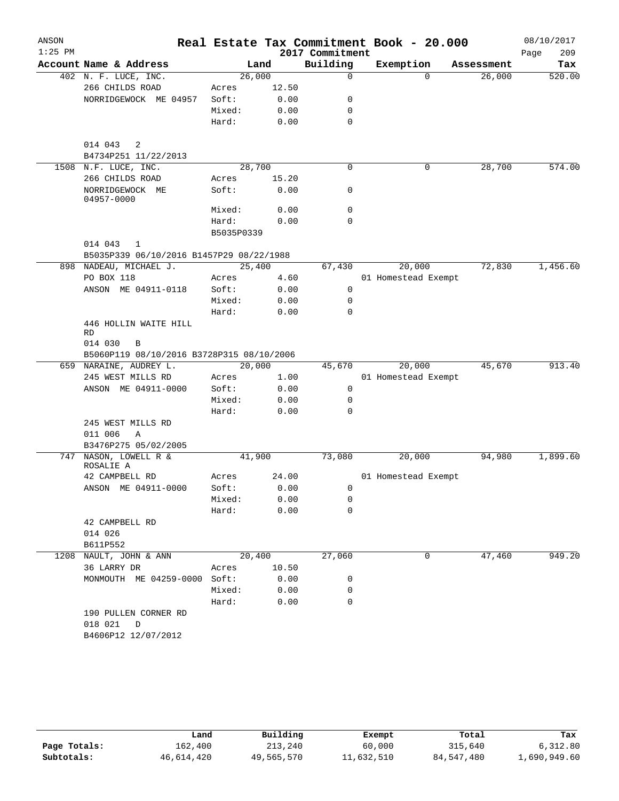| ANSON<br>$1:25$ PM |                                                 |            |       | 2017 Commitment | Real Estate Tax Commitment Book - 20.000 |            | 08/10/2017<br>209<br>Page |
|--------------------|-------------------------------------------------|------------|-------|-----------------|------------------------------------------|------------|---------------------------|
|                    | Account Name & Address                          | Land       |       | Building        | Exemption                                | Assessment | Tax                       |
|                    | 402 N. F. LUCE, INC.                            | 26,000     |       | $\mathbf 0$     | $\Omega$                                 | 26,000     | 520.00                    |
|                    | 266 CHILDS ROAD                                 | Acres      | 12.50 |                 |                                          |            |                           |
|                    | NORRIDGEWOCK ME 04957                           | Soft:      | 0.00  | 0               |                                          |            |                           |
|                    |                                                 | Mixed:     | 0.00  | 0               |                                          |            |                           |
|                    |                                                 | Hard:      | 0.00  | 0               |                                          |            |                           |
|                    | 014 043<br>2<br>B4734P251 11/22/2013            |            |       |                 |                                          |            |                           |
|                    | 1508 N.F. LUCE, INC.                            | 28,700     |       | $\mathbf 0$     | 0                                        | 28,700     | 574.00                    |
|                    | 266 CHILDS ROAD                                 | Acres      | 15.20 |                 |                                          |            |                           |
|                    | NORRIDGEWOCK ME<br>04957-0000                   | Soft:      | 0.00  | 0               |                                          |            |                           |
|                    |                                                 | Mixed:     | 0.00  | 0               |                                          |            |                           |
|                    |                                                 | Hard:      | 0.00  | $\mathbf 0$     |                                          |            |                           |
|                    |                                                 | B5035P0339 |       |                 |                                          |            |                           |
|                    | 014 043<br>1                                    |            |       |                 |                                          |            |                           |
|                    | B5035P339 06/10/2016 B1457P29 08/22/1988        |            |       |                 |                                          |            |                           |
|                    | 898 NADEAU, MICHAEL J.                          | 25,400     |       | 67,430          | 20,000                                   | 72,830     | 1,456.60                  |
|                    | PO BOX 118                                      | Acres      | 4.60  |                 | 01 Homestead Exempt                      |            |                           |
|                    | ANSON ME 04911-0118                             | Soft:      | 0.00  | 0               |                                          |            |                           |
|                    |                                                 | Mixed:     | 0.00  | 0               |                                          |            |                           |
|                    |                                                 | Hard:      | 0.00  | 0               |                                          |            |                           |
|                    | 446 HOLLIN WAITE HILL<br>RD                     |            |       |                 |                                          |            |                           |
|                    | 014 030<br>B                                    |            |       |                 |                                          |            |                           |
|                    | B5060P119 08/10/2016 B3728P315 08/10/2006       |            |       |                 |                                          |            |                           |
|                    | 659 NARAINE, AUDREY L.                          | 20,000     |       | 45,670          | 20,000                                   | 45,670     | 913.40                    |
|                    | 245 WEST MILLS RD                               | Acres      | 1.00  |                 | 01 Homestead Exempt                      |            |                           |
|                    | ANSON ME 04911-0000                             | Soft:      | 0.00  | 0               |                                          |            |                           |
|                    |                                                 | Mixed:     | 0.00  | 0               |                                          |            |                           |
|                    |                                                 | Hard:      | 0.00  | 0               |                                          |            |                           |
|                    | 245 WEST MILLS RD<br>011 006<br>$\mathbb{A}$    |            |       |                 |                                          |            |                           |
|                    | B3476P275 05/02/2005                            |            |       |                 |                                          |            |                           |
|                    | 747 NASON, LOWELL R &<br>ROSALIE A              | 41,900     |       | 73,080          | 20,000                                   | 94,980     | 1,899.60                  |
|                    | 42 CAMPBELL RD                                  | Acres      | 24.00 |                 | 01 Homestead Exempt                      |            |                           |
|                    | ANSON ME 04911-0000                             | Soft:      | 0.00  | 0               |                                          |            |                           |
|                    |                                                 | Mixed:     | 0.00  | 0               |                                          |            |                           |
|                    |                                                 | Hard:      | 0.00  | 0               |                                          |            |                           |
|                    | 42 CAMPBELL RD                                  |            |       |                 |                                          |            |                           |
|                    | 014 026                                         |            |       |                 |                                          |            |                           |
|                    | B611P552                                        |            |       |                 |                                          |            |                           |
| 1208               | NAULT, JOHN & ANN                               | 20,400     |       | 27,060          | 0                                        | 47,460     | 949.20                    |
|                    | 36 LARRY DR                                     | Acres      | 10.50 |                 |                                          |            |                           |
|                    | MONMOUTH ME 04259-0000                          | Soft:      | 0.00  | 0               |                                          |            |                           |
|                    |                                                 | Mixed:     | 0.00  | 0               |                                          |            |                           |
|                    |                                                 | Hard:      | 0.00  | 0               |                                          |            |                           |
|                    | 190 PULLEN CORNER RD<br>018 021<br>$\mathbb{D}$ |            |       |                 |                                          |            |                           |
|                    | B4606P12 12/07/2012                             |            |       |                 |                                          |            |                           |

|              | Land       | Building   | Exempt     | Total      | Tax          |
|--------------|------------|------------|------------|------------|--------------|
| Page Totals: | 162,400    | 213,240    | 60,000     | 315,640    | 6.312.80     |
| Subtotals:   | 46,614,420 | 49,565,570 | 11,632,510 | 84,547,480 | 1,690,949.60 |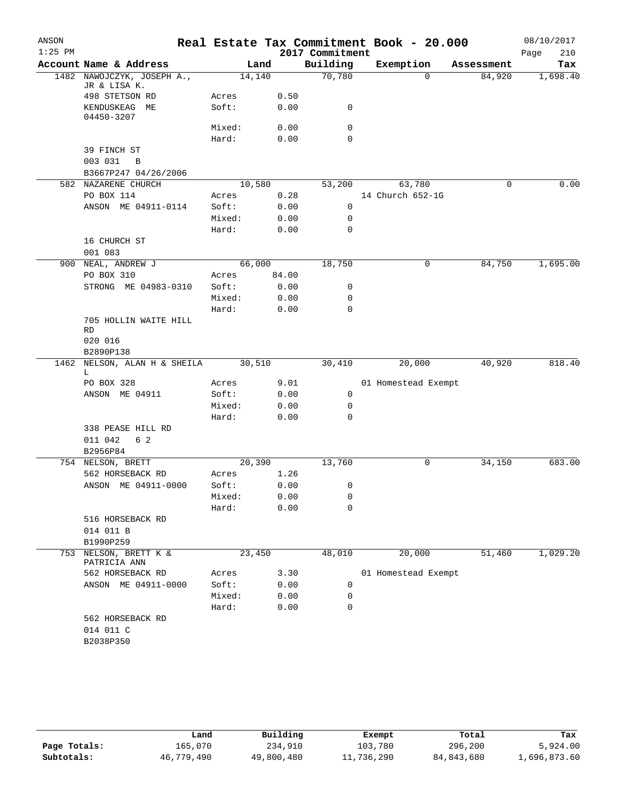| ANSON     |                                            |        |        |                 | Real Estate Tax Commitment Book - 20.000 |            | 08/10/2017  |
|-----------|--------------------------------------------|--------|--------|-----------------|------------------------------------------|------------|-------------|
| $1:25$ PM |                                            |        |        | 2017 Commitment |                                          |            | 210<br>Page |
|           | Account Name & Address                     |        | Land   | Building        | Exemption                                | Assessment | Tax         |
|           | 1482 NAWOJCZYK, JOSEPH A.,<br>JR & LISA K. |        | 14,140 | 70,780          | $\Omega$                                 | 84,920     | 1,698.40    |
|           | 498 STETSON RD                             | Acres  | 0.50   |                 |                                          |            |             |
|           | KENDUSKEAG ME<br>04450-3207                | Soft:  | 0.00   | 0               |                                          |            |             |
|           |                                            | Mixed: | 0.00   | 0               |                                          |            |             |
|           |                                            | Hard:  | 0.00   | $\mathbf 0$     |                                          |            |             |
|           | 39 FINCH ST                                |        |        |                 |                                          |            |             |
|           | 003 031<br>B                               |        |        |                 |                                          |            |             |
|           | B3667P247 04/26/2006                       |        |        |                 |                                          |            |             |
|           | 582 NAZARENE CHURCH                        |        | 10,580 | 53,200          | 63,780                                   | 0          | 0.00        |
|           | PO BOX 114                                 | Acres  | 0.28   |                 | 14 Church 652-1G                         |            |             |
|           | ANSON ME 04911-0114                        | Soft:  | 0.00   | 0               |                                          |            |             |
|           |                                            | Mixed: | 0.00   | 0               |                                          |            |             |
|           |                                            | Hard:  | 0.00   | $\mathbf 0$     |                                          |            |             |
|           | 16 CHURCH ST<br>001 083                    |        |        |                 |                                          |            |             |
| 900       | NEAL, ANDREW J                             |        | 66,000 | 18,750          | 0                                        | 84,750     | 1,695.00    |
|           | PO BOX 310                                 | Acres  | 84.00  |                 |                                          |            |             |
|           | STRONG ME 04983-0310                       | Soft:  | 0.00   | 0               |                                          |            |             |
|           |                                            | Mixed: | 0.00   | 0               |                                          |            |             |
|           |                                            | Hard:  | 0.00   | $\mathbf 0$     |                                          |            |             |
|           | 705 HOLLIN WAITE HILL<br>RD                |        |        |                 |                                          |            |             |
|           | 020 016                                    |        |        |                 |                                          |            |             |
|           | B2890P138                                  |        |        |                 |                                          |            |             |
| 1462      | NELSON, ALAN H & SHEILA<br>L               |        | 30,510 | 30,410          | 20,000                                   | 40,920     | 818.40      |
|           | PO BOX 328                                 | Acres  | 9.01   |                 | 01 Homestead Exempt                      |            |             |
|           | ANSON ME 04911                             | Soft:  | 0.00   | 0               |                                          |            |             |
|           |                                            | Mixed: | 0.00   | 0               |                                          |            |             |
|           |                                            | Hard:  | 0.00   | $\mathbf 0$     |                                          |            |             |
|           | 338 PEASE HILL RD                          |        |        |                 |                                          |            |             |
|           | 011 042<br>6 2                             |        |        |                 |                                          |            |             |
|           | B2956P84<br>754 NELSON, BRETT              |        | 20,390 | 13,760          | 0                                        | 34,150     | 683.00      |
|           | 562 HORSEBACK RD                           | Acres  | 1.26   |                 |                                          |            |             |
|           | ANSON ME 04911-0000                        | Soft:  | 0.00   | 0               |                                          |            |             |
|           |                                            | Mixed: | 0.00   | 0               |                                          |            |             |
|           |                                            | Hard:  | 0.00   | $\mathbf 0$     |                                          |            |             |
|           | 516 HORSEBACK RD                           |        |        |                 |                                          |            |             |
|           | 014 011 B                                  |        |        |                 |                                          |            |             |
|           | B1990P259                                  |        |        |                 |                                          |            |             |
| 753       | NELSON, BRETT K &<br>PATRICIA ANN          |        | 23,450 | 48,010          | 20,000                                   | 51,460     | 1,029.20    |
|           | 562 HORSEBACK RD                           | Acres  | 3.30   |                 | 01 Homestead Exempt                      |            |             |
|           | ANSON ME 04911-0000                        | Soft:  | 0.00   | 0               |                                          |            |             |
|           |                                            | Mixed: | 0.00   | 0               |                                          |            |             |
|           |                                            | Hard:  | 0.00   | $\mathbf 0$     |                                          |            |             |
|           | 562 HORSEBACK RD                           |        |        |                 |                                          |            |             |
|           | 014 011 C                                  |        |        |                 |                                          |            |             |
|           | B2038P350                                  |        |        |                 |                                          |            |             |
|           |                                            |        |        |                 |                                          |            |             |

|              | Land       | Building   | Exempt     | Total      | Tax          |
|--------------|------------|------------|------------|------------|--------------|
| Page Totals: | 165,070    | 234,910    | 103,780    | 296,200    | 5,924.00     |
| Subtotals:   | 46,779,490 | 49,800,480 | 11,736,290 | 84,843,680 | 1,696,873.60 |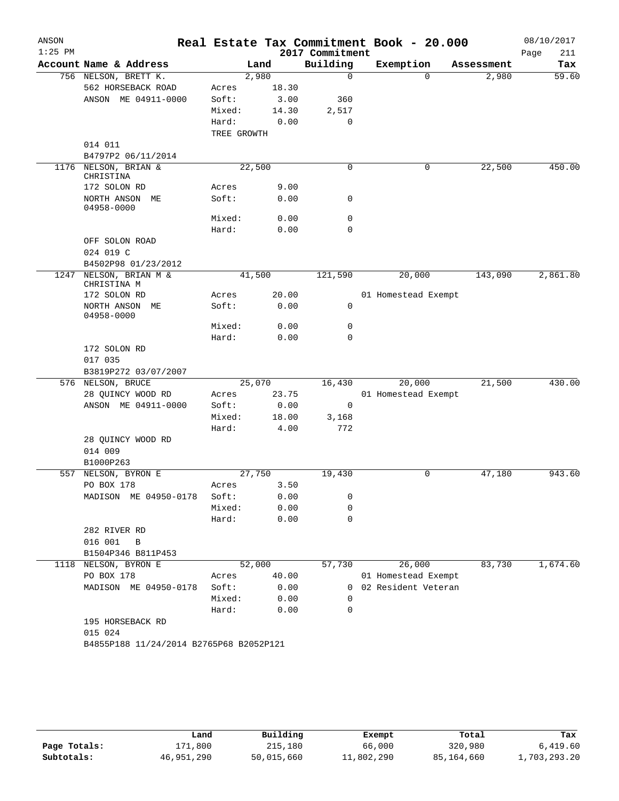| ANSON<br>$1:25$ PM |                                         |             |        | 2017 Commitment | Real Estate Tax Commitment Book - 20.000 |            | 08/10/2017<br>Page<br>211 |
|--------------------|-----------------------------------------|-------------|--------|-----------------|------------------------------------------|------------|---------------------------|
|                    | Account Name & Address                  |             | Land   | Building        | Exemption                                | Assessment | Tax                       |
|                    | 756 NELSON, BRETT K.                    |             | 2,980  | $\mathbf 0$     | $\Omega$                                 | 2,980      | 59.60                     |
|                    | 562 HORSEBACK ROAD                      | Acres       | 18.30  |                 |                                          |            |                           |
|                    | ANSON ME 04911-0000                     | Soft:       | 3.00   | 360             |                                          |            |                           |
|                    |                                         | Mixed:      | 14.30  | 2,517           |                                          |            |                           |
|                    |                                         | Hard:       | 0.00   | 0               |                                          |            |                           |
|                    |                                         | TREE GROWTH |        |                 |                                          |            |                           |
|                    | 014 011                                 |             |        |                 |                                          |            |                           |
|                    | B4797P2 06/11/2014                      |             |        |                 |                                          |            |                           |
| 1176               | NELSON, BRIAN &<br>CHRISTINA            |             | 22,500 | $\mathbf 0$     | 0                                        | 22,500     | 450.00                    |
|                    | 172 SOLON RD                            | Acres       | 9.00   |                 |                                          |            |                           |
|                    | NORTH ANSON ME                          | Soft:       | 0.00   | 0               |                                          |            |                           |
|                    | 04958-0000                              |             |        |                 |                                          |            |                           |
|                    |                                         | Mixed:      | 0.00   | 0               |                                          |            |                           |
|                    |                                         | Hard:       | 0.00   | $\mathbf 0$     |                                          |            |                           |
|                    | OFF SOLON ROAD                          |             |        |                 |                                          |            |                           |
|                    | 024 019 C                               |             |        |                 |                                          |            |                           |
|                    | B4502P98 01/23/2012                     |             |        |                 |                                          |            |                           |
| 1247               | NELSON, BRIAN M &<br>CHRISTINA M        |             | 41,500 | 121,590         | 20,000                                   | 143,090    | 2,861.80                  |
|                    | 172 SOLON RD                            | Acres       | 20.00  |                 | 01 Homestead Exempt                      |            |                           |
|                    | NORTH ANSON ME<br>04958-0000            | Soft:       | 0.00   | $\mathbf 0$     |                                          |            |                           |
|                    |                                         | Mixed:      | 0.00   | 0               |                                          |            |                           |
|                    |                                         | Hard:       | 0.00   | $\mathbf 0$     |                                          |            |                           |
|                    | 172 SOLON RD                            |             |        |                 |                                          |            |                           |
|                    | 017 035                                 |             |        |                 |                                          |            |                           |
|                    | B3819P272 03/07/2007                    |             |        |                 |                                          |            |                           |
|                    | 576 NELSON, BRUCE                       |             | 25,070 | 16,430          | 20,000                                   | 21,500     | 430.00                    |
|                    | 28 QUINCY WOOD RD                       | Acres       | 23.75  |                 | 01 Homestead Exempt                      |            |                           |
|                    | ANSON ME 04911-0000                     | Soft:       | 0.00   | $\mathbf 0$     |                                          |            |                           |
|                    |                                         | Mixed:      | 18.00  | 3,168           |                                          |            |                           |
|                    |                                         | Hard:       | 4.00   | 772             |                                          |            |                           |
|                    | 28 QUINCY WOOD RD                       |             |        |                 |                                          |            |                           |
|                    | 014 009                                 |             |        |                 |                                          |            |                           |
|                    | B1000P263                               |             |        |                 |                                          |            |                           |
|                    | 557 NELSON, BYRON E                     |             | 27,750 | 19,430          | 0                                        | 47,180     | 943.60                    |
|                    | PO BOX 178                              | Acres       | 3.50   |                 |                                          |            |                           |
|                    | MADISON ME 04950-0178                   | Soft:       | 0.00   | 0               |                                          |            |                           |
|                    |                                         | Mixed:      | 0.00   | $\mathbf 0$     |                                          |            |                           |
|                    |                                         | Hard:       | 0.00   | $\mathbf 0$     |                                          |            |                           |
|                    | 282 RIVER RD                            |             |        |                 |                                          |            |                           |
|                    | 016 001<br>B                            |             |        |                 |                                          |            |                           |
|                    | B1504P346 B811P453                      |             |        |                 |                                          |            |                           |
|                    | 1118 NELSON, BYRON E                    |             | 52,000 | 57,730          | 26,000                                   | 83,730     | 1,674.60                  |
|                    | PO BOX 178                              | Acres       | 40.00  |                 | 01 Homestead Exempt                      |            |                           |
|                    | MADISON ME 04950-0178                   | Soft:       | 0.00   | $\Omega$        | 02 Resident Veteran                      |            |                           |
|                    |                                         | Mixed:      | 0.00   | $\Omega$        |                                          |            |                           |
|                    |                                         | Hard:       | 0.00   | 0               |                                          |            |                           |
|                    | 195 HORSEBACK RD                        |             |        |                 |                                          |            |                           |
|                    | 015 024                                 |             |        |                 |                                          |            |                           |
|                    | B4855P188 11/24/2014 B2765P68 B2052P121 |             |        |                 |                                          |            |                           |

|              | ⊥and       | Building   | Exempt     | Total      | Tax          |
|--------------|------------|------------|------------|------------|--------------|
| Page Totals: | 171,800    | 215,180    | 66,000     | 320,980    | 6,419.60     |
| Subtotals:   | 46,951,290 | 50,015,660 | 11,802,290 | 85,164,660 | 1,703,293.20 |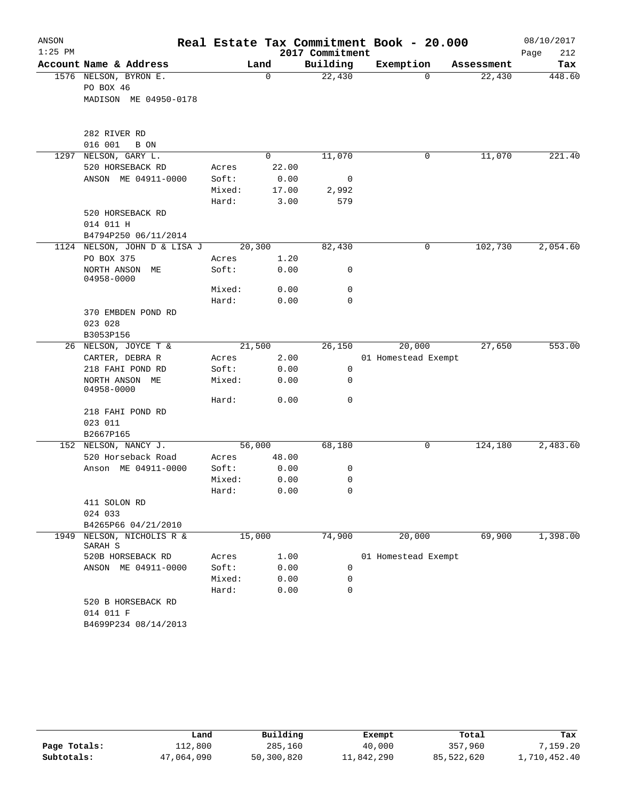| ANSON     |                                 |        |             |                 | Real Estate Tax Commitment Book - 20.000 |            | 08/10/2017  |
|-----------|---------------------------------|--------|-------------|-----------------|------------------------------------------|------------|-------------|
| $1:25$ PM |                                 |        |             | 2017 Commitment |                                          |            | Page<br>212 |
|           | Account Name & Address          |        | Land        | Building        | Exemption                                | Assessment | Tax         |
|           | 1576 NELSON, BYRON E.           |        | $\mathbf 0$ | 22,430          | $\Omega$                                 | 22,430     | 448.60      |
|           | PO BOX 46                       |        |             |                 |                                          |            |             |
|           | MADISON ME 04950-0178           |        |             |                 |                                          |            |             |
|           | 282 RIVER RD                    |        |             |                 |                                          |            |             |
|           | 016 001<br>B ON                 |        |             |                 |                                          |            |             |
| 1297      | NELSON, GARY L.                 |        | $\Omega$    | 11,070          | 0                                        | 11,070     | 221.40      |
|           | 520 HORSEBACK RD                | Acres  | 22.00       |                 |                                          |            |             |
|           | ANSON ME 04911-0000             | Soft:  | 0.00        | 0               |                                          |            |             |
|           |                                 | Mixed: | 17.00       | 2,992           |                                          |            |             |
|           |                                 | Hard:  | 3.00        | 579             |                                          |            |             |
|           | 520 HORSEBACK RD                |        |             |                 |                                          |            |             |
|           | 014 011 H                       |        |             |                 |                                          |            |             |
|           | B4794P250 06/11/2014            |        |             |                 |                                          |            |             |
|           | 1124 NELSON, JOHN D & LISA J    |        | 20,300      | 82,430          | 0                                        | 102,730    | 2,054.60    |
|           | PO BOX 375                      | Acres  | 1.20        |                 |                                          |            |             |
|           | NORTH ANSON ME<br>04958-0000    | Soft:  | 0.00        | 0               |                                          |            |             |
|           |                                 | Mixed: | 0.00        | 0               |                                          |            |             |
|           |                                 | Hard:  | 0.00        | 0               |                                          |            |             |
|           | 370 EMBDEN POND RD              |        |             |                 |                                          |            |             |
|           | 023 028                         |        |             |                 |                                          |            |             |
|           | B3053P156                       |        |             |                 |                                          |            |             |
|           | 26 NELSON, JOYCE T &            |        | 21,500      | 26,150          | 20,000                                   | 27,650     | 553.00      |
|           | CARTER, DEBRA R                 | Acres  | 2.00        |                 | 01 Homestead Exempt                      |            |             |
|           | 218 FAHI POND RD                | Soft:  | 0.00        | 0               |                                          |            |             |
|           | NORTH ANSON ME<br>04958-0000    | Mixed: | 0.00        | $\Omega$        |                                          |            |             |
|           |                                 | Hard:  | 0.00        | 0               |                                          |            |             |
|           | 218 FAHI POND RD                |        |             |                 |                                          |            |             |
|           | 023 011                         |        |             |                 |                                          |            |             |
|           | B2667P165                       |        |             |                 |                                          |            |             |
|           | 152 NELSON, NANCY J.            |        | 56,000      | 68,180          | 0                                        | 124,180    | 2,483.60    |
|           | 520 Horseback Road              | Acres  | 48.00       |                 |                                          |            |             |
|           | Anson ME 04911-0000             | Soft:  | 0.00        | 0               |                                          |            |             |
|           |                                 | Mixed: | 0.00        | 0               |                                          |            |             |
|           |                                 | Hard:  | 0.00        | $\mathbf 0$     |                                          |            |             |
|           | 411 SOLON RD                    |        |             |                 |                                          |            |             |
|           | 024 033                         |        |             |                 |                                          |            |             |
|           | B4265P66 04/21/2010             |        |             |                 |                                          |            |             |
| 1949      | NELSON, NICHOLIS R &<br>SARAH S |        | 15,000      | 74,900          | 20,000                                   | 69,900     | 1,398.00    |
|           | 520B HORSEBACK RD               | Acres  | 1.00        |                 | 01 Homestead Exempt                      |            |             |
|           | ANSON ME 04911-0000             | Soft:  | 0.00        | 0               |                                          |            |             |
|           |                                 | Mixed: | 0.00        | 0               |                                          |            |             |
|           |                                 | Hard:  | 0.00        | 0               |                                          |            |             |
|           | 520 B HORSEBACK RD<br>014 011 F |        |             |                 |                                          |            |             |
|           | B4699P234 08/14/2013            |        |             |                 |                                          |            |             |

|              | úand       | Building   | Exempt     | Total      | Tax          |
|--------------|------------|------------|------------|------------|--------------|
| Page Totals: | 112,800    | 285,160    | 40,000     | 357,960    | ,159.20      |
| Subtotals:   | 47,064,090 | 50,300,820 | 11,842,290 | 85,522,620 | 1,710,452.40 |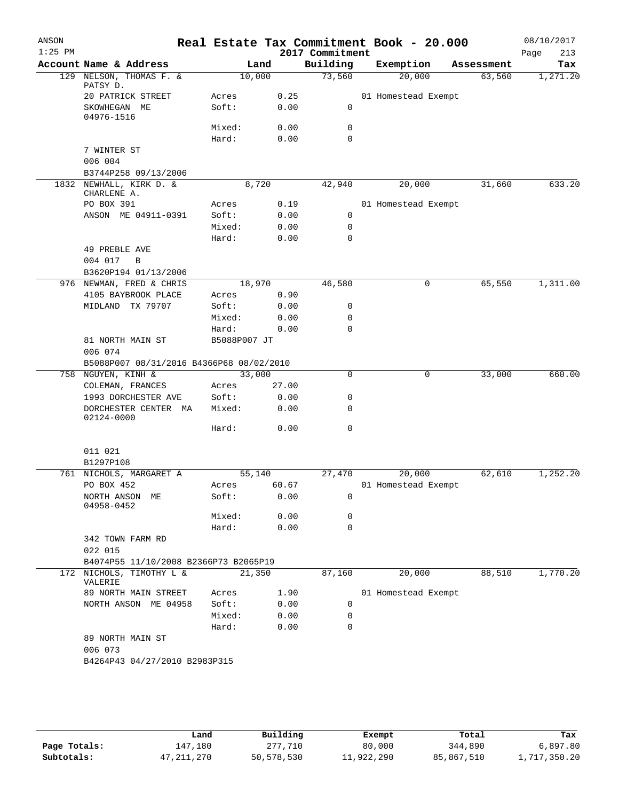| Account Name & Address<br>Building<br>Land<br>Exemption<br>Assessment<br>NELSON, THOMAS F. &<br>10,000<br>73,560<br>20,000<br>63,560<br>129<br>PATSY D.<br>0.25<br>20 PATRICK STREET<br>Acres<br>01 Homestead Exempt<br>Soft:<br>0.00<br>0<br>SKOWHEGAN ME<br>04976-1516<br>Mixed:<br>0<br>0.00<br>Hard:<br>0.00<br>$\mathbf 0$<br>7 WINTER ST<br>006 004<br>B3744P258 09/13/2006<br>NEWHALL, KIRK D. &<br>8,720<br>42,940<br>20,000<br>1832<br>31,660<br>CHARLENE A.<br>PO BOX 391<br>0.19<br>Acres<br>01 Homestead Exempt<br>ANSON ME 04911-0391<br>Soft:<br>0.00<br>0<br>$\mathbf 0$<br>Mixed:<br>0.00<br>Hard:<br>0.00<br>0<br>49 PREBLE AVE<br>004 017<br>$\overline{B}$<br>B3620P194 01/13/2006<br>18,970<br>65,550<br>976 NEWMAN, FRED & CHRIS<br>46,580<br>0<br>4105 BAYBROOK PLACE<br>0.90<br>Acres<br>0.00<br>MIDLAND TX 79707<br>Soft:<br>0<br>Mixed:<br>0.00<br>0<br>0<br>Hard:<br>0.00<br>81 NORTH MAIN ST<br>B5088P007 JT<br>006 074<br>B5088P007 08/31/2016 B4366P68 08/02/2010<br>758 NGUYEN, KINH &<br>33,000<br>0<br>0<br>33,000<br>COLEMAN, FRANCES<br>27.00<br>Acres<br>1993 DORCHESTER AVE<br>Soft:<br>0.00<br>0<br>DORCHESTER CENTER MA<br>Mixed:<br>0.00<br>0<br>02124-0000<br>0<br>Hard:<br>0.00<br>011 021<br>B1297P108<br>761 NICHOLS, MARGARET A<br>55,140<br>27,470<br>20,000<br>62,610 | Tax      |
|---------------------------------------------------------------------------------------------------------------------------------------------------------------------------------------------------------------------------------------------------------------------------------------------------------------------------------------------------------------------------------------------------------------------------------------------------------------------------------------------------------------------------------------------------------------------------------------------------------------------------------------------------------------------------------------------------------------------------------------------------------------------------------------------------------------------------------------------------------------------------------------------------------------------------------------------------------------------------------------------------------------------------------------------------------------------------------------------------------------------------------------------------------------------------------------------------------------------------------------------------------------------------------------------------------------------|----------|
|                                                                                                                                                                                                                                                                                                                                                                                                                                                                                                                                                                                                                                                                                                                                                                                                                                                                                                                                                                                                                                                                                                                                                                                                                                                                                                                     | 1,271.20 |
|                                                                                                                                                                                                                                                                                                                                                                                                                                                                                                                                                                                                                                                                                                                                                                                                                                                                                                                                                                                                                                                                                                                                                                                                                                                                                                                     |          |
|                                                                                                                                                                                                                                                                                                                                                                                                                                                                                                                                                                                                                                                                                                                                                                                                                                                                                                                                                                                                                                                                                                                                                                                                                                                                                                                     | 633.20   |
|                                                                                                                                                                                                                                                                                                                                                                                                                                                                                                                                                                                                                                                                                                                                                                                                                                                                                                                                                                                                                                                                                                                                                                                                                                                                                                                     |          |
|                                                                                                                                                                                                                                                                                                                                                                                                                                                                                                                                                                                                                                                                                                                                                                                                                                                                                                                                                                                                                                                                                                                                                                                                                                                                                                                     |          |
|                                                                                                                                                                                                                                                                                                                                                                                                                                                                                                                                                                                                                                                                                                                                                                                                                                                                                                                                                                                                                                                                                                                                                                                                                                                                                                                     |          |
|                                                                                                                                                                                                                                                                                                                                                                                                                                                                                                                                                                                                                                                                                                                                                                                                                                                                                                                                                                                                                                                                                                                                                                                                                                                                                                                     |          |
|                                                                                                                                                                                                                                                                                                                                                                                                                                                                                                                                                                                                                                                                                                                                                                                                                                                                                                                                                                                                                                                                                                                                                                                                                                                                                                                     |          |
|                                                                                                                                                                                                                                                                                                                                                                                                                                                                                                                                                                                                                                                                                                                                                                                                                                                                                                                                                                                                                                                                                                                                                                                                                                                                                                                     |          |
|                                                                                                                                                                                                                                                                                                                                                                                                                                                                                                                                                                                                                                                                                                                                                                                                                                                                                                                                                                                                                                                                                                                                                                                                                                                                                                                     |          |
|                                                                                                                                                                                                                                                                                                                                                                                                                                                                                                                                                                                                                                                                                                                                                                                                                                                                                                                                                                                                                                                                                                                                                                                                                                                                                                                     |          |
|                                                                                                                                                                                                                                                                                                                                                                                                                                                                                                                                                                                                                                                                                                                                                                                                                                                                                                                                                                                                                                                                                                                                                                                                                                                                                                                     |          |
|                                                                                                                                                                                                                                                                                                                                                                                                                                                                                                                                                                                                                                                                                                                                                                                                                                                                                                                                                                                                                                                                                                                                                                                                                                                                                                                     |          |
|                                                                                                                                                                                                                                                                                                                                                                                                                                                                                                                                                                                                                                                                                                                                                                                                                                                                                                                                                                                                                                                                                                                                                                                                                                                                                                                     |          |
|                                                                                                                                                                                                                                                                                                                                                                                                                                                                                                                                                                                                                                                                                                                                                                                                                                                                                                                                                                                                                                                                                                                                                                                                                                                                                                                     |          |
|                                                                                                                                                                                                                                                                                                                                                                                                                                                                                                                                                                                                                                                                                                                                                                                                                                                                                                                                                                                                                                                                                                                                                                                                                                                                                                                     |          |
|                                                                                                                                                                                                                                                                                                                                                                                                                                                                                                                                                                                                                                                                                                                                                                                                                                                                                                                                                                                                                                                                                                                                                                                                                                                                                                                     | 1,311.00 |
|                                                                                                                                                                                                                                                                                                                                                                                                                                                                                                                                                                                                                                                                                                                                                                                                                                                                                                                                                                                                                                                                                                                                                                                                                                                                                                                     |          |
|                                                                                                                                                                                                                                                                                                                                                                                                                                                                                                                                                                                                                                                                                                                                                                                                                                                                                                                                                                                                                                                                                                                                                                                                                                                                                                                     |          |
|                                                                                                                                                                                                                                                                                                                                                                                                                                                                                                                                                                                                                                                                                                                                                                                                                                                                                                                                                                                                                                                                                                                                                                                                                                                                                                                     |          |
|                                                                                                                                                                                                                                                                                                                                                                                                                                                                                                                                                                                                                                                                                                                                                                                                                                                                                                                                                                                                                                                                                                                                                                                                                                                                                                                     |          |
|                                                                                                                                                                                                                                                                                                                                                                                                                                                                                                                                                                                                                                                                                                                                                                                                                                                                                                                                                                                                                                                                                                                                                                                                                                                                                                                     |          |
|                                                                                                                                                                                                                                                                                                                                                                                                                                                                                                                                                                                                                                                                                                                                                                                                                                                                                                                                                                                                                                                                                                                                                                                                                                                                                                                     | 660.00   |
|                                                                                                                                                                                                                                                                                                                                                                                                                                                                                                                                                                                                                                                                                                                                                                                                                                                                                                                                                                                                                                                                                                                                                                                                                                                                                                                     |          |
|                                                                                                                                                                                                                                                                                                                                                                                                                                                                                                                                                                                                                                                                                                                                                                                                                                                                                                                                                                                                                                                                                                                                                                                                                                                                                                                     |          |
|                                                                                                                                                                                                                                                                                                                                                                                                                                                                                                                                                                                                                                                                                                                                                                                                                                                                                                                                                                                                                                                                                                                                                                                                                                                                                                                     |          |
|                                                                                                                                                                                                                                                                                                                                                                                                                                                                                                                                                                                                                                                                                                                                                                                                                                                                                                                                                                                                                                                                                                                                                                                                                                                                                                                     |          |
|                                                                                                                                                                                                                                                                                                                                                                                                                                                                                                                                                                                                                                                                                                                                                                                                                                                                                                                                                                                                                                                                                                                                                                                                                                                                                                                     |          |
|                                                                                                                                                                                                                                                                                                                                                                                                                                                                                                                                                                                                                                                                                                                                                                                                                                                                                                                                                                                                                                                                                                                                                                                                                                                                                                                     | 1,252.20 |
| PO BOX 452<br>60.67<br>01 Homestead Exempt<br>Acres                                                                                                                                                                                                                                                                                                                                                                                                                                                                                                                                                                                                                                                                                                                                                                                                                                                                                                                                                                                                                                                                                                                                                                                                                                                                 |          |
| Soft:<br>0.00<br>0<br>NORTH ANSON ME<br>04958-0452                                                                                                                                                                                                                                                                                                                                                                                                                                                                                                                                                                                                                                                                                                                                                                                                                                                                                                                                                                                                                                                                                                                                                                                                                                                                  |          |
| Mixed:<br>0.00<br>0                                                                                                                                                                                                                                                                                                                                                                                                                                                                                                                                                                                                                                                                                                                                                                                                                                                                                                                                                                                                                                                                                                                                                                                                                                                                                                 |          |
| 0.00<br>0<br>Hard:                                                                                                                                                                                                                                                                                                                                                                                                                                                                                                                                                                                                                                                                                                                                                                                                                                                                                                                                                                                                                                                                                                                                                                                                                                                                                                  |          |
| 342 TOWN FARM RD<br>022 015                                                                                                                                                                                                                                                                                                                                                                                                                                                                                                                                                                                                                                                                                                                                                                                                                                                                                                                                                                                                                                                                                                                                                                                                                                                                                         |          |
| B4074P55 11/10/2008 B2366P73 B2065P19                                                                                                                                                                                                                                                                                                                                                                                                                                                                                                                                                                                                                                                                                                                                                                                                                                                                                                                                                                                                                                                                                                                                                                                                                                                                               |          |
| 20,000<br>88,510<br>172 NICHOLS, TIMOTHY L &<br>87,160<br>21,350<br>VALERIE                                                                                                                                                                                                                                                                                                                                                                                                                                                                                                                                                                                                                                                                                                                                                                                                                                                                                                                                                                                                                                                                                                                                                                                                                                         | 1,770.20 |
| 89 NORTH MAIN STREET<br>1.90<br>01 Homestead Exempt<br>Acres                                                                                                                                                                                                                                                                                                                                                                                                                                                                                                                                                                                                                                                                                                                                                                                                                                                                                                                                                                                                                                                                                                                                                                                                                                                        |          |
| NORTH ANSON ME 04958<br>Soft:<br>0.00<br>$\mathbf 0$                                                                                                                                                                                                                                                                                                                                                                                                                                                                                                                                                                                                                                                                                                                                                                                                                                                                                                                                                                                                                                                                                                                                                                                                                                                                |          |
| 0.00<br>Mixed:<br>0                                                                                                                                                                                                                                                                                                                                                                                                                                                                                                                                                                                                                                                                                                                                                                                                                                                                                                                                                                                                                                                                                                                                                                                                                                                                                                 |          |
| Hard:<br>0.00<br>0                                                                                                                                                                                                                                                                                                                                                                                                                                                                                                                                                                                                                                                                                                                                                                                                                                                                                                                                                                                                                                                                                                                                                                                                                                                                                                  |          |
| 89 NORTH MAIN ST<br>006 073                                                                                                                                                                                                                                                                                                                                                                                                                                                                                                                                                                                                                                                                                                                                                                                                                                                                                                                                                                                                                                                                                                                                                                                                                                                                                         |          |
| B4264P43 04/27/2010 B2983P315                                                                                                                                                                                                                                                                                                                                                                                                                                                                                                                                                                                                                                                                                                                                                                                                                                                                                                                                                                                                                                                                                                                                                                                                                                                                                       |          |
|                                                                                                                                                                                                                                                                                                                                                                                                                                                                                                                                                                                                                                                                                                                                                                                                                                                                                                                                                                                                                                                                                                                                                                                                                                                                                                                     |          |

|              | Land         | Building   | Exempt     | Total      | Tax          |
|--------------|--------------|------------|------------|------------|--------------|
| Page Totals: | 147,180      | 277,710    | 80,000     | 344,890    | 6,897.80     |
| Subtotals:   | 47, 211, 270 | 50,578,530 | 11,922,290 | 85,867,510 | 1,717,350.20 |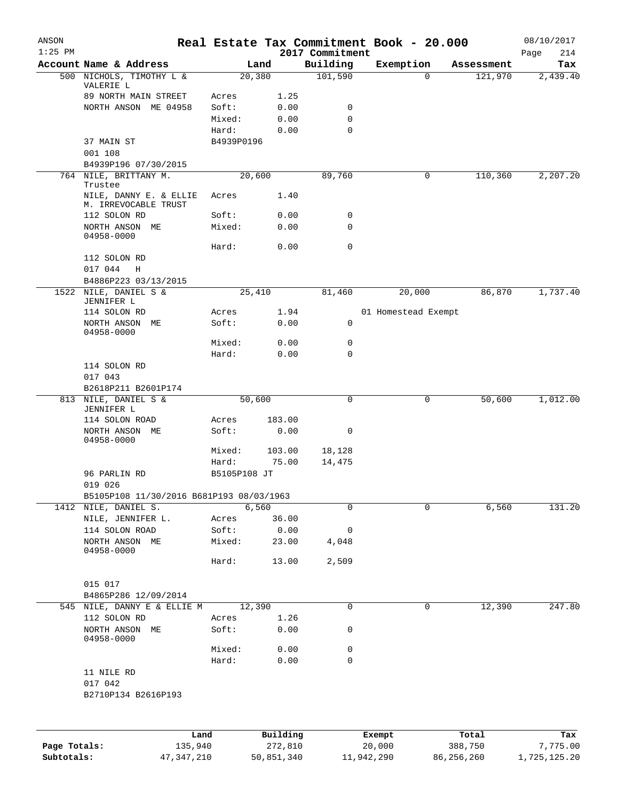| ANSON        |                                                     |              |          |                             | Real Estate Tax Commitment Book - 20.000 |              | 08/10/2017         |
|--------------|-----------------------------------------------------|--------------|----------|-----------------------------|------------------------------------------|--------------|--------------------|
| $1:25$ PM    | Account Name & Address                              | Land         |          | 2017 Commitment<br>Building | Exemption                                | Assessment   | Page<br>214<br>Tax |
|              | 500 NICHOLS, TIMOTHY L &                            | 20,380       |          | 101,590                     | 0                                        | 121,970      | 2,439.40           |
|              | VALERIE L                                           |              |          |                             |                                          |              |                    |
|              | 89 NORTH MAIN STREET                                | Acres        | 1.25     |                             |                                          |              |                    |
|              | NORTH ANSON ME 04958                                | Soft:        | 0.00     | 0                           |                                          |              |                    |
|              |                                                     | Mixed:       | 0.00     | 0                           |                                          |              |                    |
|              |                                                     | Hard:        | 0.00     | $\mathbf 0$                 |                                          |              |                    |
|              | 37 MAIN ST                                          | B4939P0196   |          |                             |                                          |              |                    |
|              | 001 108<br>B4939P196 07/30/2015                     |              |          |                             |                                          |              |                    |
|              | 764 NILE, BRITTANY M.                               | 20,600       |          | 89,760                      |                                          | 0<br>110,360 | 2,207.20           |
|              | Trustee                                             |              |          |                             |                                          |              |                    |
|              | NILE, DANNY E. & ELLIE                              | Acres        | 1.40     |                             |                                          |              |                    |
|              | M. IRREVOCABLE TRUST                                |              |          |                             |                                          |              |                    |
|              | 112 SOLON RD                                        | Soft:        | 0.00     | 0                           |                                          |              |                    |
|              | NORTH ANSON ME<br>04958-0000                        | Mixed:       | 0.00     | $\mathbf 0$                 |                                          |              |                    |
|              |                                                     | Hard:        | 0.00     | $\mathbf 0$                 |                                          |              |                    |
|              | 112 SOLON RD                                        |              |          |                             |                                          |              |                    |
|              | 017 044<br>H                                        |              |          |                             |                                          |              |                    |
|              | B4886P223 03/13/2015                                |              |          |                             |                                          |              |                    |
|              | 1522 NILE, DANIEL S &                               | 25,410       |          | 81,460                      | 20,000                                   | 86,870       | 1,737.40           |
|              | JENNIFER L                                          |              |          |                             |                                          |              |                    |
|              | 114 SOLON RD                                        | Acres        | 1.94     |                             | 01 Homestead Exempt                      |              |                    |
|              | NORTH ANSON ME                                      | Soft:        | 0.00     | 0                           |                                          |              |                    |
|              | 04958-0000                                          | Mixed:       | 0.00     | $\mathbf 0$                 |                                          |              |                    |
|              |                                                     | Hard:        | 0.00     | $\mathbf 0$                 |                                          |              |                    |
|              | 114 SOLON RD                                        |              |          |                             |                                          |              |                    |
|              | 017 043                                             |              |          |                             |                                          |              |                    |
|              | B2618P211 B2601P174                                 |              |          |                             |                                          |              |                    |
|              | 813 NILE, DANIEL S &                                | 50,600       |          | $\mathbf 0$                 | 0                                        | 50,600       | 1,012.00           |
|              | JENNIFER L                                          |              |          |                             |                                          |              |                    |
|              | 114 SOLON ROAD                                      | Acres        | 183.00   |                             |                                          |              |                    |
|              | NORTH ANSON ME                                      | Soft:        | 0.00     | 0                           |                                          |              |                    |
|              | 04958-0000                                          |              |          |                             |                                          |              |                    |
|              |                                                     | Mixed:       | 103.00   | 18,128                      |                                          |              |                    |
|              |                                                     | Hard:        | 75.00    | 14,475                      |                                          |              |                    |
|              | 96 PARLIN RD                                        | B5105P108 JT |          |                             |                                          |              |                    |
|              | 019 026<br>B5105P108 11/30/2016 B681P193 08/03/1963 |              |          |                             |                                          |              |                    |
|              | 1412 NILE, DANIEL S.                                | 6,560        |          | $\mathbf 0$                 | $\mathbf 0$                              | 6,560        | 131.20             |
|              | NILE, JENNIFER L.                                   | Acres        | 36.00    |                             |                                          |              |                    |
|              | 114 SOLON ROAD                                      | Soft:        | 0.00     | 0                           |                                          |              |                    |
|              | NORTH ANSON ME                                      | Mixed:       | 23.00    | 4,048                       |                                          |              |                    |
|              | 04958-0000                                          |              |          |                             |                                          |              |                    |
|              |                                                     | Hard:        | 13.00    | 2,509                       |                                          |              |                    |
|              |                                                     |              |          |                             |                                          |              |                    |
|              | 015 017                                             |              |          |                             |                                          |              |                    |
|              | B4865P286 12/09/2014                                |              |          |                             |                                          |              |                    |
|              | 545 NILE, DANNY E & ELLIE M                         | 12,390       |          | $\mathbf 0$                 | 0                                        | 12,390       | 247.80             |
|              | 112 SOLON RD                                        | Acres        | 1.26     |                             |                                          |              |                    |
|              | NORTH ANSON ME<br>04958-0000                        | Soft:        | 0.00     | 0                           |                                          |              |                    |
|              |                                                     | Mixed:       | 0.00     | 0                           |                                          |              |                    |
|              |                                                     | Hard:        | 0.00     | $\mathbf 0$                 |                                          |              |                    |
|              | 11 NILE RD                                          |              |          |                             |                                          |              |                    |
|              | 017 042                                             |              |          |                             |                                          |              |                    |
|              | B2710P134 B2616P193                                 |              |          |                             |                                          |              |                    |
|              |                                                     |              |          |                             |                                          |              |                    |
|              |                                                     |              |          |                             |                                          |              |                    |
|              | Land                                                |              | Building |                             | Exempt                                   | Total        | Tax                |
| Page Totals: | 135,940                                             |              | 272,810  |                             | 20,000                                   | 388,750      | 7,775.00           |
|              |                                                     |              |          |                             |                                          |              |                    |

**Subtotals:** 47,347,210 50,851,340 11,942,290 86,256,260 1,725,125.20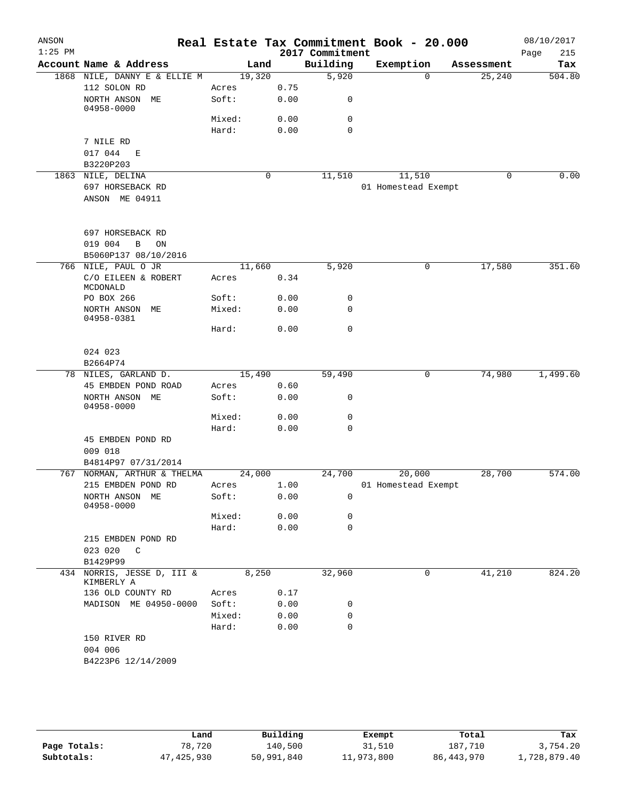|                                               |                |      | 2017 Commitment | Real Estate Tax Commitment Book - 20.000 |            | 08/10/2017<br>Page<br>215 |
|-----------------------------------------------|----------------|------|-----------------|------------------------------------------|------------|---------------------------|
| Account Name & Address                        | Land           |      | Building        | Exemption                                | Assessment | Tax                       |
| 1868 NILE, DANNY E & ELLIE M                  | 19,320         |      | 5,920           | $\Omega$                                 | 25,240     | 504.80                    |
| 112 SOLON RD                                  | Acres          | 0.75 |                 |                                          |            |                           |
| NORTH ANSON ME<br>04958-0000                  | Soft:          | 0.00 | 0               |                                          |            |                           |
|                                               | Mixed:         | 0.00 | 0               |                                          |            |                           |
|                                               | Hard:          | 0.00 | $\mathbf 0$     |                                          |            |                           |
| 7 NILE RD                                     |                |      |                 |                                          |            |                           |
| 017 044 E                                     |                |      |                 |                                          |            |                           |
| B3220P203                                     |                |      |                 |                                          |            |                           |
| 1863 NILE, DELINA                             |                | 0    | 11,510          | 11,510                                   | 0          | 0.00                      |
| 697 HORSEBACK RD                              |                |      |                 | 01 Homestead Exempt                      |            |                           |
| ANSON ME 04911                                |                |      |                 |                                          |            |                           |
| 697 HORSEBACK RD                              |                |      |                 |                                          |            |                           |
| 019 004<br>B<br>ON                            |                |      |                 |                                          |            |                           |
| B5060P137 08/10/2016                          |                |      |                 |                                          |            |                           |
| 766 NILE, PAUL O JR                           | 11,660         |      | 5,920           | 0                                        | 17,580     | 351.60                    |
| C/O EILEEN & ROBERT<br>MCDONALD               | Acres          | 0.34 |                 |                                          |            |                           |
| PO BOX 266                                    | Soft:          | 0.00 | 0               |                                          |            |                           |
| NORTH ANSON ME<br>04958-0381                  | Mixed:         | 0.00 | 0               |                                          |            |                           |
|                                               | Hard:          | 0.00 | $\mathbf 0$     |                                          |            |                           |
| 024 023                                       |                |      |                 |                                          |            |                           |
| B2664P74                                      |                |      |                 |                                          |            |                           |
| 78 NILES, GARLAND D.<br>45 EMBDEN POND ROAD   | 15,490         | 0.60 | 59,490          | 0                                        | 74,980     | 1,499.60                  |
| NORTH ANSON ME                                | Acres<br>Soft: | 0.00 | 0               |                                          |            |                           |
| 04958-0000                                    | Mixed:         | 0.00 | 0               |                                          |            |                           |
|                                               | Hard:          | 0.00 | $\Omega$        |                                          |            |                           |
| 45 EMBDEN POND RD                             |                |      |                 |                                          |            |                           |
| 009 018                                       |                |      |                 |                                          |            |                           |
| B4814P97 07/31/2014                           |                |      |                 |                                          |            |                           |
| 767 NORMAN, ARTHUR & THELMA                   | 24,000         |      | 24,700          | 20,000                                   | 28,700     | 574.00                    |
| 215 EMBDEN POND RD                            | Acres          | 1.00 |                 | 01 Homestead Exempt                      |            |                           |
| NORTH ANSON ME<br>04958-0000                  | Soft:          | 0.00 | 0               |                                          |            |                           |
|                                               | Mixed:         | 0.00 | 0               |                                          |            |                           |
|                                               | Hard:          | 0.00 | 0               |                                          |            |                           |
| 215 EMBDEN POND RD<br>023 020<br>$\mathbb{C}$ |                |      |                 |                                          |            |                           |
| B1429P99                                      |                |      |                 |                                          |            |                           |
| 434 NORRIS, JESSE D, III &<br>KIMBERLY A      |                |      | 32,960          |                                          | 41,210     | 824.20                    |
| 136 OLD COUNTY RD                             | Acres          |      |                 |                                          |            |                           |
| MADISON ME 04950-0000                         | Soft:          |      | 0               |                                          |            |                           |
|                                               | Mixed:         |      | 0               |                                          |            |                           |
|                                               | Hard:          |      | 0               |                                          |            |                           |
| 150 RIVER RD                                  |                |      |                 |                                          |            |                           |
|                                               |                |      |                 |                                          |            |                           |
| B4223P6 12/14/2009                            |                |      |                 |                                          |            |                           |
| 004 006                                       |                |      | 8,250           | 0.17<br>0.00<br>0.00<br>0.00             |            | 0                         |

|              | Land         | Building   | Exempt     | Total        | Tax          |
|--------------|--------------|------------|------------|--------------|--------------|
| Page Totals: | 78,720       | 140,500    | 31,510     | 187,710      | 3,754.20     |
| Subtotals:   | 47, 425, 930 | 50,991,840 | 11,973,800 | 86, 443, 970 | 1,728,879.40 |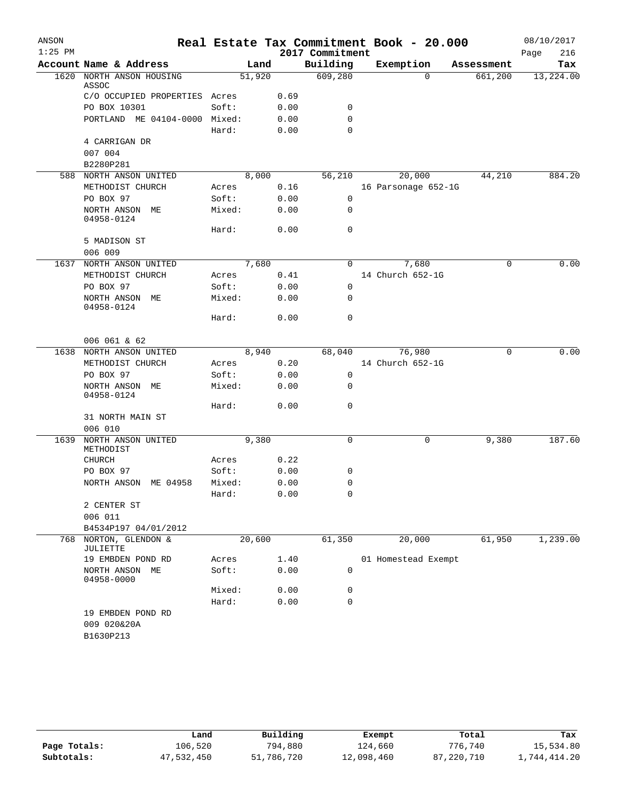| ANSON     |                                  |                 |              |                 | Real Estate Tax Commitment Book - 20.000 |             | 08/10/2017  |
|-----------|----------------------------------|-----------------|--------------|-----------------|------------------------------------------|-------------|-------------|
| $1:25$ PM |                                  |                 |              | 2017 Commitment |                                          |             | Page<br>216 |
|           | Account Name & Address           | Land            |              | Building        | Exemption                                | Assessment  | Tax         |
| 1620      | NORTH ANSON HOUSING<br>ASSOC     | 51,920          |              | 609,280         | $\Omega$                                 | 661,200     | 13,224.00   |
|           | C/O OCCUPIED PROPERTIES Acres    |                 | 0.69         |                 |                                          |             |             |
|           | PO BOX 10301                     | Soft:           | 0.00         | 0               |                                          |             |             |
|           | PORTLAND ME 04104-0000 Mixed:    |                 | 0.00         | 0               |                                          |             |             |
|           |                                  | Hard:           | 0.00         | 0               |                                          |             |             |
|           | 4 CARRIGAN DR                    |                 |              |                 |                                          |             |             |
|           | 007 004                          |                 |              |                 |                                          |             |             |
|           | B2280P281                        |                 |              |                 |                                          |             |             |
| 588       | NORTH ANSON UNITED               | 8,000           |              | 56,210          | 20,000                                   | 44,210      | 884.20      |
|           | METHODIST CHURCH                 | Acres           | 0.16         |                 | 16 Parsonage 652-1G                      |             |             |
|           | PO BOX 97                        | Soft:           | 0.00         | 0               |                                          |             |             |
|           | NORTH ANSON<br>МE<br>04958-0124  | Mixed:          | 0.00         | 0               |                                          |             |             |
|           |                                  | Hard:           | 0.00         | 0               |                                          |             |             |
|           | 5 MADISON ST                     |                 |              |                 |                                          |             |             |
|           | 006 009                          |                 |              |                 |                                          |             |             |
| 1637      | NORTH ANSON UNITED               | 7,680           |              | 0               | 7,680                                    | 0           | 0.00        |
|           | METHODIST CHURCH                 | Acres           | 0.41         |                 | 14 Church 652-1G                         |             |             |
|           | PO BOX 97                        | Soft:           | 0.00         | 0               |                                          |             |             |
|           | NORTH ANSON<br>МE<br>04958-0124  | Mixed:          | 0.00         | 0               |                                          |             |             |
|           |                                  | Hard:           | 0.00         | 0               |                                          |             |             |
|           | 006 061 & 62                     |                 |              |                 |                                          |             |             |
| 1638      | NORTH ANSON UNITED               | 8,940           |              | 68,040          | 76,980                                   | $\mathbf 0$ | 0.00        |
|           | METHODIST CHURCH                 | Acres           | 0.20         |                 | 14 Church 652-1G                         |             |             |
|           | PO BOX 97                        | Soft:           | 0.00         | 0               |                                          |             |             |
|           | NORTH ANSON ME<br>04958-0124     | Mixed:          | 0.00         | 0               |                                          |             |             |
|           |                                  | Hard:           | 0.00         | 0               |                                          |             |             |
|           | 31 NORTH MAIN ST                 |                 |              |                 |                                          |             |             |
|           | 006 010                          |                 |              |                 |                                          |             |             |
| 1639      | NORTH ANSON UNITED<br>METHODIST  | 9,380           |              | $\mathbf 0$     | 0                                        | 9,380       | 187.60      |
|           | <b>CHURCH</b>                    | Acres           | 0.22         |                 |                                          |             |             |
|           | PO BOX 97                        | Soft:           | 0.00         | 0               |                                          |             |             |
|           | ME 04958<br>NORTH ANSON          | Mixed:<br>Hard: | 0.00<br>0.00 | 0<br>0          |                                          |             |             |
|           | 2 CENTER ST                      |                 |              |                 |                                          |             |             |
|           | 006 011                          |                 |              |                 |                                          |             |             |
|           | B4534P197 04/01/2012             |                 |              |                 |                                          |             |             |
| 768       | NORTON, GLENDON &<br>JULIETTE    | 20,600          |              | 61,350          | 20,000                                   | 61,950      | 1,239.00    |
|           | 19 EMBDEN POND RD                | Acres           | 1.40         |                 | 01 Homestead Exempt                      |             |             |
|           | NORTH ANSON ME<br>04958-0000     | Soft:           | 0.00         | 0               |                                          |             |             |
|           |                                  | Mixed:          | 0.00         | 0               |                                          |             |             |
|           |                                  | Hard:           | 0.00         | 0               |                                          |             |             |
|           | 19 EMBDEN POND RD<br>009 020&20A |                 |              |                 |                                          |             |             |
|           | B1630P213                        |                 |              |                 |                                          |             |             |

|              | Land       | Building   | Exempt     | Total        | Tax          |
|--------------|------------|------------|------------|--------------|--------------|
| Page Totals: | 106,520    | 794,880    | 124,660    | 776,740      | 15,534.80    |
| Subtotals:   | 47,532,450 | 51,786,720 | 12,098,460 | 87, 220, 710 | 1,744,414.20 |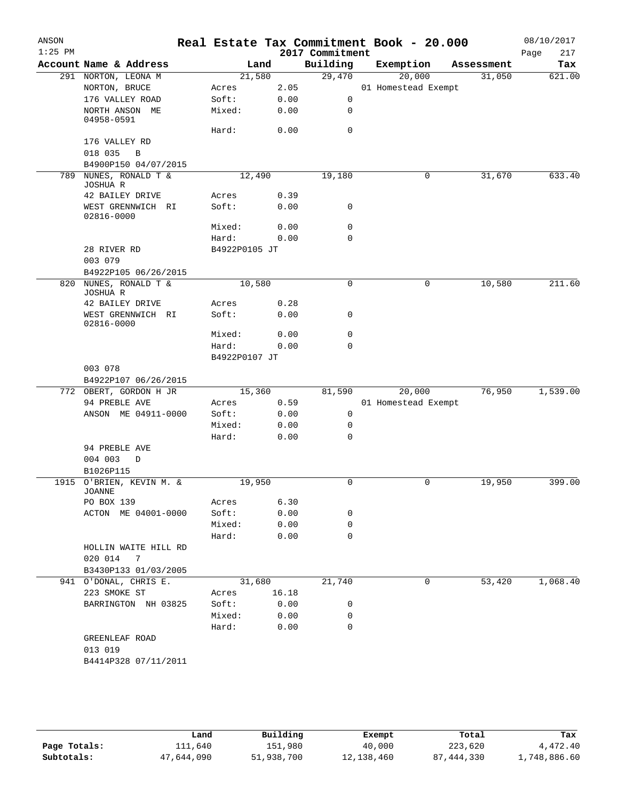| ANSON<br>$1:25$ PM |                                 |               |       | 2017 Commitment | Real Estate Tax Commitment Book - 20.000 |            | 08/10/2017<br>Page<br>217 |
|--------------------|---------------------------------|---------------|-------|-----------------|------------------------------------------|------------|---------------------------|
|                    | Account Name & Address          |               | Land  | Building        | Exemption                                | Assessment | Tax                       |
|                    | 291 NORTON, LEONA M             | 21,580        |       | 29,470          | 20,000                                   | 31,050     | 621.00                    |
|                    | NORTON, BRUCE                   | Acres         | 2.05  |                 | 01 Homestead Exempt                      |            |                           |
|                    | 176 VALLEY ROAD                 | Soft:         | 0.00  | 0               |                                          |            |                           |
|                    | NORTH ANSON ME<br>04958-0591    | Mixed:        | 0.00  | 0               |                                          |            |                           |
|                    |                                 | Hard:         | 0.00  | 0               |                                          |            |                           |
|                    | 176 VALLEY RD                   |               |       |                 |                                          |            |                           |
|                    | 018 035<br>$\, {\bf B}$         |               |       |                 |                                          |            |                           |
|                    | B4900P150 04/07/2015            |               |       |                 |                                          |            |                           |
| 789                | NUNES, RONALD T &<br>JOSHUA R   | 12,490        |       | 19,180          | 0                                        | 31,670     | 633.40                    |
|                    | 42 BAILEY DRIVE                 | Acres         | 0.39  |                 |                                          |            |                           |
|                    | WEST GRENNWICH RI               | Soft:         | 0.00  | 0               |                                          |            |                           |
|                    | 02816-0000                      | Mixed:        | 0.00  | 0               |                                          |            |                           |
|                    |                                 | Hard:         | 0.00  | 0               |                                          |            |                           |
|                    | 28 RIVER RD                     | B4922P0105 JT |       |                 |                                          |            |                           |
|                    | 003 079                         |               |       |                 |                                          |            |                           |
|                    | B4922P105 06/26/2015            |               |       |                 |                                          |            |                           |
| 820                | NUNES, RONALD T &               | 10,580        |       | 0               | 0                                        | 10,580     | 211.60                    |
|                    | JOSHUA R                        |               |       |                 |                                          |            |                           |
|                    | 42 BAILEY DRIVE                 | Acres         | 0.28  |                 |                                          |            |                           |
|                    | WEST GRENNWICH RI<br>02816-0000 | Soft:         | 0.00  | 0               |                                          |            |                           |
|                    |                                 | Mixed:        | 0.00  | 0               |                                          |            |                           |
|                    |                                 | Hard:         | 0.00  | 0               |                                          |            |                           |
|                    |                                 | B4922P0107 JT |       |                 |                                          |            |                           |
|                    | 003 078                         |               |       |                 |                                          |            |                           |
|                    | B4922P107 06/26/2015            |               |       |                 |                                          |            |                           |
|                    | 772 OBERT, GORDON H JR          | 15,360        |       | 81,590          | 20,000                                   | 76,950     | 1,539.00                  |
|                    | 94 PREBLE AVE                   | Acres         | 0.59  |                 | 01 Homestead Exempt                      |            |                           |
|                    | ANSON ME 04911-0000             | Soft:         | 0.00  | 0               |                                          |            |                           |
|                    |                                 | Mixed:        | 0.00  | 0               |                                          |            |                           |
|                    |                                 | Hard:         | 0.00  | 0               |                                          |            |                           |
|                    | 94 PREBLE AVE                   |               |       |                 |                                          |            |                           |
|                    | 004 003<br>D                    |               |       |                 |                                          |            |                           |
|                    | B1026P115                       |               |       |                 |                                          |            |                           |
|                    | 1915 O'BRIEN, KEVIN M. &        | 19,950        |       | 0               | 0                                        | 19,950     | 399.00                    |
|                    | <b>JOANNE</b><br>PO BOX 139     | Acres         | 6.30  |                 |                                          |            |                           |
|                    | ACTON ME 04001-0000             | Soft:         | 0.00  | 0               |                                          |            |                           |
|                    |                                 | Mixed:        | 0.00  | 0               |                                          |            |                           |
|                    |                                 | Hard:         | 0.00  | $\Omega$        |                                          |            |                           |
|                    | HOLLIN WAITE HILL RD            |               |       |                 |                                          |            |                           |
|                    | 020 014 7                       |               |       |                 |                                          |            |                           |
|                    | B3430P133 01/03/2005            |               |       |                 |                                          |            |                           |
|                    | 941 O'DONAL, CHRIS E.           | 31,680        |       | 21,740          | 0                                        | 53,420     | 1,068.40                  |
|                    | 223 SMOKE ST                    | Acres         | 16.18 |                 |                                          |            |                           |
|                    | BARRINGTON NH 03825             | Soft:         | 0.00  | 0               |                                          |            |                           |
|                    |                                 | Mixed:        | 0.00  | 0               |                                          |            |                           |
|                    |                                 | Hard:         | 0.00  | 0               |                                          |            |                           |
|                    | GREENLEAF ROAD                  |               |       |                 |                                          |            |                           |
|                    | 013 019                         |               |       |                 |                                          |            |                           |
|                    | B4414P328 07/11/2011            |               |       |                 |                                          |            |                           |
|                    |                                 |               |       |                 |                                          |            |                           |

|              | Land       | Building   | Exempt     | Total        | Tax          |
|--------------|------------|------------|------------|--------------|--------------|
| Page Totals: | ⊥11,640    | 151,980    | 40,000     | 223,620      | 4,472.40     |
| Subtotals:   | 47,644,090 | 51,938,700 | 12,138,460 | 87, 444, 330 | 1,748,886.60 |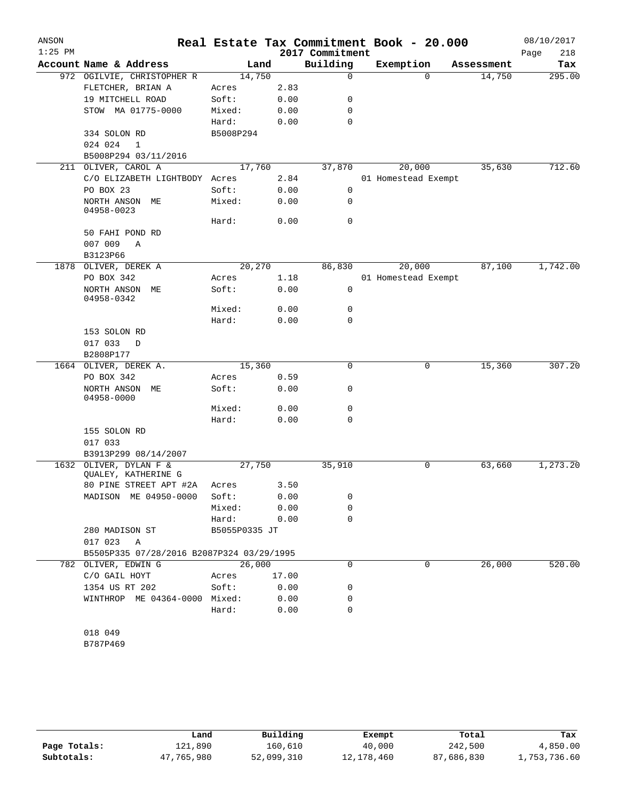| ANSON<br>$1:25$ PM |                                           |               |       | 2017 Commitment | Real Estate Tax Commitment Book - 20.000 |            | 08/10/2017  |
|--------------------|-------------------------------------------|---------------|-------|-----------------|------------------------------------------|------------|-------------|
|                    |                                           |               |       | Building        |                                          |            | Page<br>218 |
|                    | Account Name & Address                    |               | Land  |                 | Exemption                                | Assessment | Tax         |
|                    | 972 OGILVIE, CHRISTOPHER R                | 14,750        |       | $\mathbf 0$     | $\Omega$                                 | 14,750     | 295.00      |
|                    | FLETCHER, BRIAN A                         | Acres         | 2.83  |                 |                                          |            |             |
|                    | 19 MITCHELL ROAD                          | Soft:         | 0.00  | 0               |                                          |            |             |
|                    | STOW MA 01775-0000                        | Mixed:        | 0.00  | 0               |                                          |            |             |
|                    |                                           | Hard:         | 0.00  | 0               |                                          |            |             |
|                    | 334 SOLON RD                              | B5008P294     |       |                 |                                          |            |             |
|                    | 024 024<br>1                              |               |       |                 |                                          |            |             |
|                    | B5008P294 03/11/2016                      |               |       |                 |                                          |            |             |
| 211                | OLIVER, CAROL A                           | 17,760        |       | 37,870          | 20,000                                   | 35,630     | 712.60      |
|                    | C/O ELIZABETH LIGHTBODY Acres             |               | 2.84  |                 | 01 Homestead Exempt                      |            |             |
|                    | PO BOX 23                                 | Soft:         | 0.00  | 0               |                                          |            |             |
|                    | NORTH ANSON ME<br>04958-0023              | Mixed:        | 0.00  | 0               |                                          |            |             |
|                    |                                           | Hard:         | 0.00  | 0               |                                          |            |             |
|                    | 50 FAHI POND RD                           |               |       |                 |                                          |            |             |
|                    | 007 009<br>Α                              |               |       |                 |                                          |            |             |
|                    | B3123P66                                  |               |       |                 |                                          |            |             |
|                    | 1878 OLIVER, DEREK A                      | 20,270        |       | 86,830          | 20,000                                   | 87,100     | 1,742.00    |
|                    | PO BOX 342                                | Acres         | 1.18  |                 | 01 Homestead Exempt                      |            |             |
|                    | NORTH ANSON ME<br>04958-0342              | Soft:         | 0.00  | $\mathbf 0$     |                                          |            |             |
|                    |                                           | Mixed:        | 0.00  | 0               |                                          |            |             |
|                    |                                           | Hard:         | 0.00  | 0               |                                          |            |             |
|                    | 153 SOLON RD                              |               |       |                 |                                          |            |             |
|                    | 017 033<br>D                              |               |       |                 |                                          |            |             |
|                    | B2808P177                                 |               |       |                 |                                          |            |             |
|                    | 1664 OLIVER, DEREK A.                     | 15,360        |       | 0               | 0                                        | 15,360     | 307.20      |
|                    | PO BOX 342                                | Acres         | 0.59  |                 |                                          |            |             |
|                    | NORTH ANSON ME<br>04958-0000              | Soft:         | 0.00  | 0               |                                          |            |             |
|                    |                                           | Mixed:        | 0.00  | 0               |                                          |            |             |
|                    |                                           | Hard:         | 0.00  | 0               |                                          |            |             |
|                    | 155 SOLON RD                              |               |       |                 |                                          |            |             |
|                    | 017 033                                   |               |       |                 |                                          |            |             |
|                    | B3913P299 08/14/2007                      |               |       |                 |                                          |            |             |
| 1632               | OLIVER, DYLAN F &<br>QUALEY, KATHERINE G  | 27,750        |       | 35,910          | 0                                        | 63,660     | 1,273.20    |
|                    | 80 PINE STREET APT #2A                    | Acres         | 3.50  |                 |                                          |            |             |
|                    | MADISON ME 04950-0000                     | Soft:         | 0.00  | 0               |                                          |            |             |
|                    |                                           | Mixed:        | 0.00  | 0               |                                          |            |             |
|                    |                                           | Hard:         | 0.00  | 0               |                                          |            |             |
|                    | 280 MADISON ST                            | B5055P0335 JT |       |                 |                                          |            |             |
|                    | 017 023<br>A                              |               |       |                 |                                          |            |             |
|                    | B5505P335 07/28/2016 B2087P324 03/29/1995 |               |       |                 |                                          |            |             |
|                    | 782 OLIVER, EDWIN G                       | 26,000        |       | 0               | 0                                        | 26,000     | 520.00      |
|                    | C/O GAIL HOYT                             | Acres         | 17.00 |                 |                                          |            |             |
|                    | 1354 US RT 202                            | Soft:         | 0.00  | 0               |                                          |            |             |
|                    | WINTHROP ME 04364-0000 Mixed:             |               | 0.00  | 0               |                                          |            |             |
|                    |                                           | Hard:         | 0.00  | 0               |                                          |            |             |
|                    |                                           |               |       |                 |                                          |            |             |
|                    | 018 049                                   |               |       |                 |                                          |            |             |
|                    |                                           |               |       |                 |                                          |            |             |

B787P469

|              | Land       | Building   | Exempt     | Total      | Tax          |
|--------------|------------|------------|------------|------------|--------------|
| Page Totals: | 121,890    | 160,610    | 40,000     | 242,500    | 4,850.00     |
| Subtotals:   | 47,765,980 | 52,099,310 | 12,178,460 | 87,686,830 | l,753,736.60 |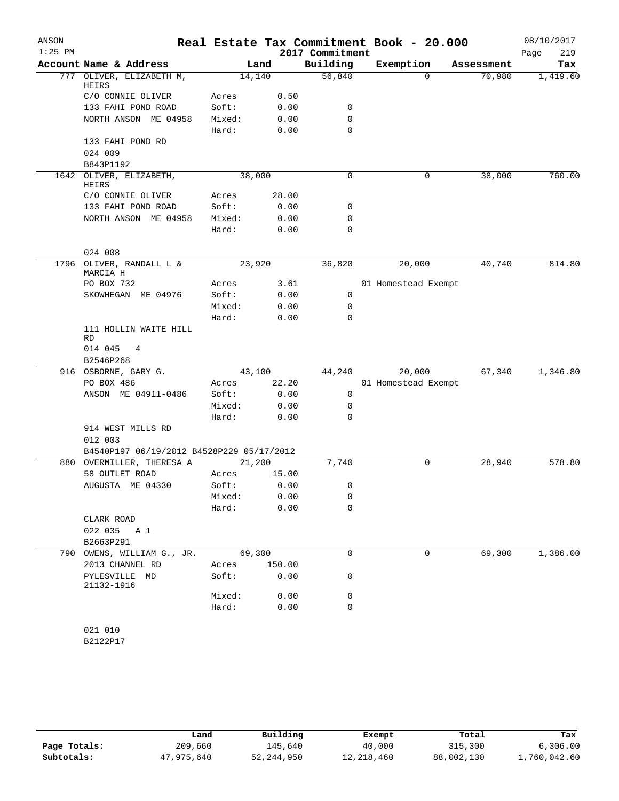| ANSON     |                                                      |        |        |                 | Real Estate Tax Commitment Book - 20.000 |            | 08/10/2017  |
|-----------|------------------------------------------------------|--------|--------|-----------------|------------------------------------------|------------|-------------|
| $1:25$ PM |                                                      |        |        | 2017 Commitment |                                          |            | 219<br>Page |
|           | Account Name & Address                               |        | Land   | Building        | Exemption                                | Assessment | Tax         |
| 777       | OLIVER, ELIZABETH M,<br>HEIRS                        | 14,140 |        | 56,840          | $\Omega$                                 | 70,980     | 1,419.60    |
|           | C/O CONNIE OLIVER                                    | Acres  | 0.50   |                 |                                          |            |             |
|           | 133 FAHI POND ROAD                                   | Soft:  | 0.00   | 0               |                                          |            |             |
|           | NORTH ANSON ME 04958                                 | Mixed: | 0.00   | 0               |                                          |            |             |
|           |                                                      | Hard:  | 0.00   | 0               |                                          |            |             |
|           | 133 FAHI POND RD                                     |        |        |                 |                                          |            |             |
|           | 024 009                                              |        |        |                 |                                          |            |             |
|           | B843P1192                                            |        |        |                 |                                          |            |             |
|           | 1642 OLIVER, ELIZABETH,<br>HEIRS                     | 38,000 |        | 0               | 0                                        | 38,000     | 760.00      |
|           | C/O CONNIE OLIVER                                    | Acres  | 28.00  |                 |                                          |            |             |
|           | 133 FAHI POND ROAD                                   | Soft:  | 0.00   | 0               |                                          |            |             |
|           | NORTH ANSON ME 04958                                 | Mixed: | 0.00   | 0               |                                          |            |             |
|           |                                                      | Hard:  | 0.00   | 0               |                                          |            |             |
|           | 024 008                                              |        |        |                 |                                          |            |             |
| 1796      | OLIVER, RANDALL L &<br>MARCIA H                      | 23,920 |        | 36,820          | 20,000                                   | 40,740     | 814.80      |
|           | PO BOX 732                                           | Acres  | 3.61   |                 | 01 Homestead Exempt                      |            |             |
|           | SKOWHEGAN ME 04976                                   | Soft:  | 0.00   | $\mathbf 0$     |                                          |            |             |
|           |                                                      | Mixed: | 0.00   | 0               |                                          |            |             |
|           |                                                      | Hard:  | 0.00   | $\Omega$        |                                          |            |             |
|           | 111 HOLLIN WAITE HILL<br>RD                          |        |        |                 |                                          |            |             |
|           | 014 045<br>4<br>B2546P268                            |        |        |                 |                                          |            |             |
|           | 916 OSBORNE, GARY G.                                 | 43,100 |        | 44,240          | 20,000                                   | 67,340     | 1,346.80    |
|           | PO BOX 486                                           | Acres  | 22.20  |                 | 01 Homestead Exempt                      |            |             |
|           | ANSON ME 04911-0486                                  | Soft:  | 0.00   | 0               |                                          |            |             |
|           |                                                      | Mixed: | 0.00   | 0               |                                          |            |             |
|           |                                                      | Hard:  | 0.00   | $\Omega$        |                                          |            |             |
|           | 914 WEST MILLS RD                                    |        |        |                 |                                          |            |             |
|           | 012 003<br>B4540P197 06/19/2012 B4528P229 05/17/2012 |        |        |                 |                                          |            |             |
|           | 880 OVERMILLER, THERESA A                            | 21,200 |        | 7,740           | 0                                        | 28,940     | 578.80      |
|           | 58 OUTLET ROAD                                       | Acres  | 15.00  |                 |                                          |            |             |
|           | AUGUSTA ME 04330                                     | Soft:  | 0.00   | 0               |                                          |            |             |
|           |                                                      | Mixed: | 0.00   | 0               |                                          |            |             |
|           |                                                      | Hard:  | 0.00   | 0               |                                          |            |             |
|           | CLARK ROAD                                           |        |        |                 |                                          |            |             |
|           | 022 035<br>A 1                                       |        |        |                 |                                          |            |             |
|           | B2663P291                                            |        |        |                 |                                          |            |             |
| 790       | OWENS, WILLIAM G., JR.                               | 69,300 |        | 0               | 0                                        | 69,300     | 1,386.00    |
|           | 2013 CHANNEL RD                                      | Acres  | 150.00 |                 |                                          |            |             |
|           | PYLESVILLE MD<br>21132-1916                          | Soft:  | 0.00   | 0               |                                          |            |             |
|           |                                                      | Mixed: | 0.00   | 0               |                                          |            |             |
|           |                                                      | Hard:  | 0.00   | 0               |                                          |            |             |
|           |                                                      |        |        |                 |                                          |            |             |
|           | 021 010                                              |        |        |                 |                                          |            |             |
|           | B2122P17                                             |        |        |                 |                                          |            |             |

|              | Land       | Building   | Exempt     | Total      | Tax          |
|--------------|------------|------------|------------|------------|--------------|
| Page Totals: | 209,660    | 145,640    | 40,000     | 315,300    | 6, 306.00    |
| Subtotals:   | 47,975,640 | 52,244,950 | 12,218,460 | 88,002,130 | 1,760,042.60 |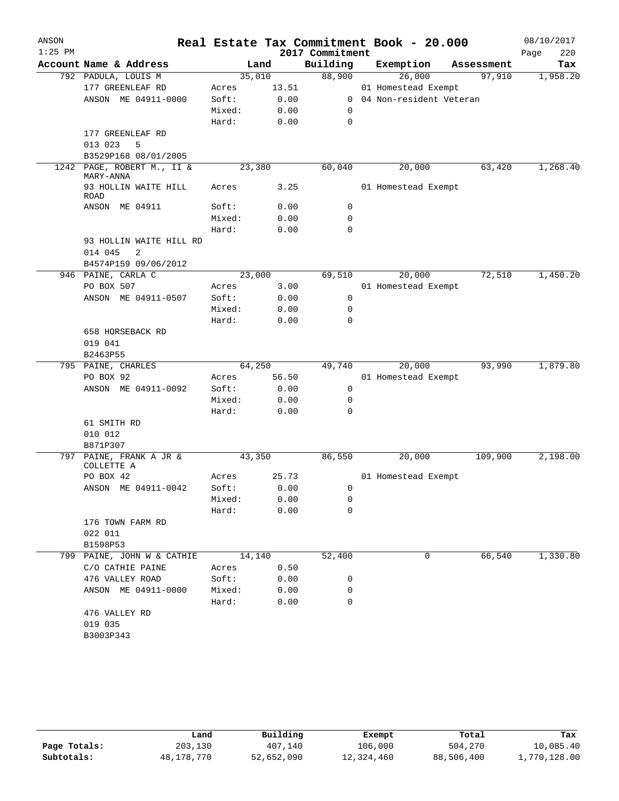| ANSON<br>$1:25$ PM |                                         |                |              | 2017 Commitment | Real Estate Tax Commitment Book - 20.000 |            | 08/10/2017<br>220<br>Page |
|--------------------|-----------------------------------------|----------------|--------------|-----------------|------------------------------------------|------------|---------------------------|
|                    | Account Name & Address                  |                | Land         | Building        | Exemption                                | Assessment | Tax                       |
|                    | 792 PADULA, LOUIS M                     | 35,010         |              | 88,900          | 26,000                                   | 97,910     | 1,958.20                  |
|                    | 177 GREENLEAF RD                        | Acres          | 13.51        |                 | 01 Homestead Exempt                      |            |                           |
|                    | ANSON ME 04911-0000                     | Soft:          | 0.00         | $\mathbf{0}$    | 04 Non-resident Veteran                  |            |                           |
|                    |                                         | Mixed:         | 0.00         | 0               |                                          |            |                           |
|                    |                                         | Hard:          | 0.00         | 0               |                                          |            |                           |
|                    | 177 GREENLEAF RD                        |                |              |                 |                                          |            |                           |
|                    | 5<br>013 023                            |                |              |                 |                                          |            |                           |
|                    | B3529P168 08/01/2005                    |                |              |                 |                                          |            |                           |
| 1242               | PAGE, ROBERT M., II &<br>MARY-ANNA      | 23,380         |              | 60,040          | 20,000                                   | 63,420     | 1,268.40                  |
|                    | 93 HOLLIN WAITE HILL<br><b>ROAD</b>     | Acres          | 3.25         |                 | 01 Homestead Exempt                      |            |                           |
|                    | ANSON ME 04911                          | Soft:          | 0.00         | 0               |                                          |            |                           |
|                    |                                         | Mixed:         | 0.00         | 0               |                                          |            |                           |
|                    |                                         | Hard:          | 0.00         | 0               |                                          |            |                           |
|                    | 93 HOLLIN WAITE HILL RD<br>2<br>014 045 |                |              |                 |                                          |            |                           |
|                    | B4574P159 09/06/2012                    |                |              |                 |                                          |            |                           |
|                    | 946 PAINE, CARLA C                      | 23,000         |              | 69,510          | 20,000                                   | 72,510     | 1,450.20                  |
|                    | PO BOX 507                              | Acres          | 3.00         |                 | 01 Homestead Exempt                      |            |                           |
|                    | ANSON ME 04911-0507                     | Soft:          | 0.00         | 0               |                                          |            |                           |
|                    |                                         | Mixed:         | 0.00         | 0               |                                          |            |                           |
|                    |                                         | Hard:          | 0.00         | $\Omega$        |                                          |            |                           |
|                    | 658 HORSEBACK RD                        |                |              |                 |                                          |            |                           |
|                    | 019 041                                 |                |              |                 |                                          |            |                           |
|                    | B2463P55                                |                |              |                 |                                          |            |                           |
|                    | 795 PAINE, CHARLES                      | 64,250         |              | 49,740          | 20,000                                   | 93,990     | 1,879.80                  |
|                    | PO BOX 92                               | Acres          | 56.50        |                 | 01 Homestead Exempt                      |            |                           |
|                    | ANSON ME 04911-0092                     | Soft:          | 0.00         | 0               |                                          |            |                           |
|                    |                                         | Mixed:         | 0.00         | 0               |                                          |            |                           |
|                    |                                         | Hard:          | 0.00         | 0               |                                          |            |                           |
|                    | 61 SMITH RD                             |                |              |                 |                                          |            |                           |
|                    | 010 012                                 |                |              |                 |                                          |            |                           |
|                    | B871P307                                |                |              |                 |                                          |            |                           |
| 797                | PAINE, FRANK A JR &<br>COLLETTE A       | 43,350         |              | 86,550          | 20,000                                   | 109,900    | 2,198.00                  |
|                    | PO BOX 42                               | Acres          | 25.73        |                 | 01 Homestead Exempt                      |            |                           |
|                    | ANSON ME 04911-0042                     | Soft:          | 0.00         | 0               |                                          |            |                           |
|                    |                                         | Mixed:         | 0.00         | 0               |                                          |            |                           |
|                    |                                         | Hard:          | 0.00         | 0               |                                          |            |                           |
|                    | 176 TOWN FARM RD                        |                |              |                 |                                          |            |                           |
|                    | 022 011                                 |                |              |                 |                                          |            |                           |
|                    | B1598P53<br>799 PAINE, JOHN W & CATHIE  |                |              |                 | 0                                        | 66,540     | 1,330.80                  |
|                    |                                         | 14,140         |              | 52,400          |                                          |            |                           |
|                    | C/O CATHIE PAINE<br>476 VALLEY ROAD     | Acres<br>Soft: | 0.50<br>0.00 | 0               |                                          |            |                           |
|                    | ANSON ME 04911-0000                     | Mixed:         |              | 0               |                                          |            |                           |
|                    |                                         | Hard:          | 0.00<br>0.00 | 0               |                                          |            |                           |
|                    | 476 VALLEY RD                           |                |              |                 |                                          |            |                           |
|                    | 019 035                                 |                |              |                 |                                          |            |                           |
|                    | B3003P343                               |                |              |                 |                                          |            |                           |
|                    |                                         |                |              |                 |                                          |            |                           |

|              | Land       | Building   | Exempt     | Total      | Tax          |
|--------------|------------|------------|------------|------------|--------------|
| Page Totals: | 203,130    | 407,140    | 106,000    | 504,270    | 10,085.40    |
| Subtotals:   | 48,178,770 | 52,652,090 | 12,324,460 | 88,506,400 | 1,770,128.00 |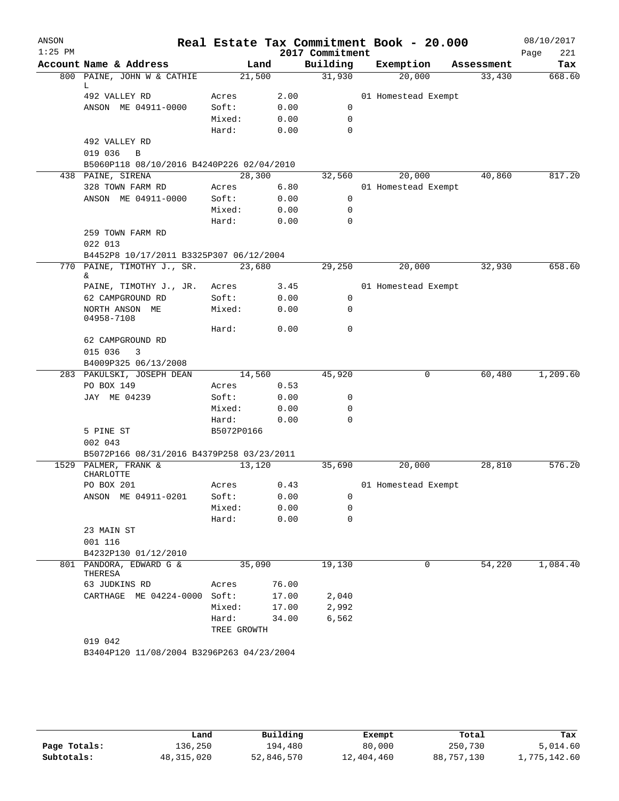| ANSON<br>$1:25$ PM |                                                                |             |       | 2017 Commitment | Real Estate Tax Commitment Book - 20.000 |            | 08/10/2017<br>221<br>Page |
|--------------------|----------------------------------------------------------------|-------------|-------|-----------------|------------------------------------------|------------|---------------------------|
|                    | Account Name & Address                                         |             | Land  | Building        | Exemption                                | Assessment | Tax                       |
|                    | 800 PAINE, JOHN W & CATHIE                                     | 21,500      |       | 31,930          | 20,000                                   | 33,430     | 668.60                    |
|                    | L.                                                             |             |       |                 |                                          |            |                           |
|                    | 492 VALLEY RD                                                  | Acres       | 2.00  |                 | 01 Homestead Exempt                      |            |                           |
|                    | ANSON ME 04911-0000                                            | Soft:       | 0.00  | 0               |                                          |            |                           |
|                    |                                                                | Mixed:      | 0.00  | 0               |                                          |            |                           |
|                    |                                                                | Hard:       | 0.00  | 0               |                                          |            |                           |
|                    | 492 VALLEY RD                                                  |             |       |                 |                                          |            |                           |
|                    | 019 036<br>B                                                   |             |       |                 |                                          |            |                           |
|                    | B5060P118 08/10/2016 B4240P226 02/04/2010<br>438 PAINE, SIRENA | 28,300      |       | 32,560          | 20,000                                   | 40,860     | 817.20                    |
|                    | 328 TOWN FARM RD                                               | Acres       | 6.80  |                 | 01 Homestead Exempt                      |            |                           |
|                    | ANSON ME 04911-0000                                            | Soft:       | 0.00  | 0               |                                          |            |                           |
|                    |                                                                | Mixed:      | 0.00  | $\mathbf 0$     |                                          |            |                           |
|                    |                                                                | Hard:       | 0.00  | $\mathbf 0$     |                                          |            |                           |
|                    | 259 TOWN FARM RD                                               |             |       |                 |                                          |            |                           |
|                    | 022 013                                                        |             |       |                 |                                          |            |                           |
|                    | B4452P8 10/17/2011 B3325P307 06/12/2004                        |             |       |                 |                                          |            |                           |
|                    | 770 PAINE, TIMOTHY J., SR.                                     | 23,680      |       | 29,250          | 20,000                                   | 32,930     | 658.60                    |
|                    | &.                                                             |             |       |                 |                                          |            |                           |
|                    | PAINE, TIMOTHY J., JR.                                         | Acres       | 3.45  |                 | 01 Homestead Exempt                      |            |                           |
|                    | 62 CAMPGROUND RD                                               | Soft:       | 0.00  | 0               |                                          |            |                           |
|                    | NORTH ANSON ME<br>04958-7108                                   | Mixed:      | 0.00  | 0               |                                          |            |                           |
|                    |                                                                | Hard:       | 0.00  | 0               |                                          |            |                           |
|                    | 62 CAMPGROUND RD                                               |             |       |                 |                                          |            |                           |
|                    | 015 036<br>3                                                   |             |       |                 |                                          |            |                           |
|                    | B4009P325 06/13/2008                                           |             |       |                 |                                          |            |                           |
|                    | 283 PAKULSKI, JOSEPH DEAN                                      | 14,560      |       | 45,920          | 0                                        | 60,480     | 1,209.60                  |
|                    | PO BOX 149                                                     | Acres       | 0.53  |                 |                                          |            |                           |
|                    | JAY ME 04239                                                   | Soft:       | 0.00  | 0               |                                          |            |                           |
|                    |                                                                | Mixed:      | 0.00  | 0               |                                          |            |                           |
|                    |                                                                | Hard:       | 0.00  | $\Omega$        |                                          |            |                           |
|                    | 5 PINE ST                                                      | B5072P0166  |       |                 |                                          |            |                           |
|                    | 002 043                                                        |             |       |                 |                                          |            |                           |
|                    | B5072P166 08/31/2016 B4379P258 03/23/2011                      |             |       |                 |                                          |            |                           |
|                    | 1529 PALMER, FRANK &<br>CHARLOTTE                              | 13,120      |       | 35,690          | 20,000                                   | 28,810     | 576.20                    |
|                    | PO BOX 201                                                     | Acres       | 0.43  |                 | 01 Homestead Exempt                      |            |                           |
|                    | ANSON ME 04911-0201                                            | Soft:       | 0.00  | 0               |                                          |            |                           |
|                    |                                                                | Mixed:      | 0.00  | 0               |                                          |            |                           |
|                    |                                                                | Hard:       | 0.00  | $\mathbf 0$     |                                          |            |                           |
|                    | 23 MAIN ST                                                     |             |       |                 |                                          |            |                           |
|                    | 001 116                                                        |             |       |                 |                                          |            |                           |
|                    | B4232P130 01/12/2010                                           |             |       |                 |                                          |            |                           |
|                    | 801 PANDORA, EDWARD G &<br>THERESA                             | 35,090      |       | 19,130          | 0                                        | 54,220     | 1,084.40                  |
|                    | 63 JUDKINS RD                                                  | Acres       | 76.00 |                 |                                          |            |                           |
|                    | CARTHAGE ME 04224-0000                                         | Soft:       | 17.00 | 2,040           |                                          |            |                           |
|                    |                                                                | Mixed:      | 17.00 | 2,992           |                                          |            |                           |
|                    |                                                                | Hard:       | 34.00 | 6,562           |                                          |            |                           |
|                    |                                                                | TREE GROWTH |       |                 |                                          |            |                           |
|                    | 019 042                                                        |             |       |                 |                                          |            |                           |
|                    | B3404P120 11/08/2004 B3296P263 04/23/2004                      |             |       |                 |                                          |            |                           |
|                    |                                                                |             |       |                 |                                          |            |                           |

|              | Land         | Building   | Exempt     | Total      | Tax          |
|--------------|--------------|------------|------------|------------|--------------|
| Page Totals: | 136,250      | 194,480    | 80,000     | 250,730    | 5,014.60     |
| Subtotals:   | 48, 315, 020 | 52,846,570 | 12,404,460 | 88,757,130 | 1,775,142.60 |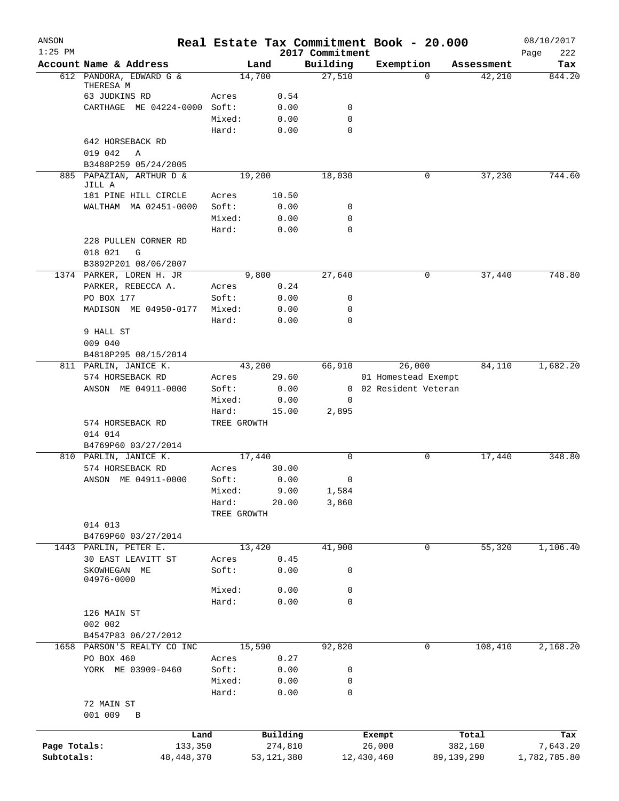| ANSON<br>$1:25$ PM |                                              |             |              | 2017 Commitment | Real Estate Tax Commitment Book - 20.000 |          |            | 08/10/2017<br>Page<br>222 |
|--------------------|----------------------------------------------|-------------|--------------|-----------------|------------------------------------------|----------|------------|---------------------------|
|                    | Account Name & Address                       |             | Land         | Building        | Exemption                                |          | Assessment | Tax                       |
|                    | 612 PANDORA, EDWARD G &                      |             | 14,700       | 27,510          |                                          | $\Omega$ | 42,210     | 844.20                    |
|                    | THERESA M<br>63 JUDKINS RD                   | Acres       | 0.54         |                 |                                          |          |            |                           |
|                    | CARTHAGE ME 04224-0000 Soft:                 |             | 0.00         | 0               |                                          |          |            |                           |
|                    |                                              | Mixed:      | 0.00         | $\mathbf 0$     |                                          |          |            |                           |
|                    |                                              | Hard:       | 0.00         | 0               |                                          |          |            |                           |
|                    | 642 HORSEBACK RD                             |             |              |                 |                                          |          |            |                           |
|                    | 019 042<br>Α                                 |             |              |                 |                                          |          |            |                           |
|                    | B3488P259 05/24/2005                         |             |              |                 |                                          |          |            |                           |
|                    | 885 PAPAZIAN, ARTHUR D &<br>JILL A           |             | 19,200       | 18,030          |                                          | 0        | 37,230     | 744.60                    |
|                    | 181 PINE HILL CIRCLE                         | Acres       | 10.50        |                 |                                          |          |            |                           |
|                    | WALTHAM MA 02451-0000                        | Soft:       | 0.00         | 0               |                                          |          |            |                           |
|                    |                                              | Mixed:      | 0.00         | 0               |                                          |          |            |                           |
|                    |                                              | Hard:       | 0.00         | $\mathbf 0$     |                                          |          |            |                           |
|                    | 228 PULLEN CORNER RD                         |             |              |                 |                                          |          |            |                           |
|                    | 018 021<br>G<br>B3892P201 08/06/2007         |             |              |                 |                                          |          |            |                           |
|                    | 1374 PARKER, LOREN H. JR                     |             | 9,800        | 27,640          |                                          | 0        | 37,440     | 748.80                    |
|                    | PARKER, REBECCA A.                           | Acres       | 0.24         |                 |                                          |          |            |                           |
|                    | PO BOX 177                                   | Soft:       | 0.00         | 0               |                                          |          |            |                           |
|                    | MADISON ME 04950-0177                        | Mixed:      | 0.00         | 0               |                                          |          |            |                           |
|                    |                                              | Hard:       | 0.00         | $\mathbf 0$     |                                          |          |            |                           |
|                    | 9 HALL ST                                    |             |              |                 |                                          |          |            |                           |
|                    | 009 040                                      |             |              |                 |                                          |          |            |                           |
|                    | B4818P295 08/15/2014                         |             |              |                 |                                          |          |            |                           |
|                    | 811 PARLIN, JANICE K.                        |             | 43,200       | 66,910          | 26,000                                   |          | 84,110     | 1,682.20                  |
|                    | 574 HORSEBACK RD                             | Acres       | 29.60        |                 | 01 Homestead Exempt                      |          |            |                           |
|                    | ANSON ME 04911-0000                          | Soft:       | 0.00         |                 | 0 02 Resident Veteran                    |          |            |                           |
|                    |                                              | Mixed:      | 0.00         | 0               |                                          |          |            |                           |
|                    |                                              | Hard:       | 15.00        | 2,895           |                                          |          |            |                           |
|                    | 574 HORSEBACK RD                             | TREE GROWTH |              |                 |                                          |          |            |                           |
|                    | 014 014                                      |             |              |                 |                                          |          |            |                           |
|                    | B4769P60 03/27/2014<br>810 PARLIN, JANICE K. |             | 17,440       | 0               |                                          | 0        | 17,440     | 348.80                    |
|                    | 574 HORSEBACK RD                             | Acres       | 30.00        |                 |                                          |          |            |                           |
|                    | ANSON ME 04911-0000                          | Soft:       | 0.00         | 0               |                                          |          |            |                           |
|                    |                                              | Mixed:      | 9.00         | 1,584           |                                          |          |            |                           |
|                    |                                              | Hard:       | 20.00        | 3,860           |                                          |          |            |                           |
|                    |                                              | TREE GROWTH |              |                 |                                          |          |            |                           |
|                    | 014 013                                      |             |              |                 |                                          |          |            |                           |
|                    | B4769P60 03/27/2014                          |             |              |                 |                                          |          |            |                           |
| 1443               | PARLIN, PETER E.                             |             | 13,420       | 41,900          |                                          | 0        | 55,320     | 1,106.40                  |
|                    | 30 EAST LEAVITT ST                           | Acres       | 0.45         |                 |                                          |          |            |                           |
|                    | SKOWHEGAN ME<br>04976-0000                   | Soft:       | 0.00         | 0               |                                          |          |            |                           |
|                    |                                              | Mixed:      | 0.00         | 0               |                                          |          |            |                           |
|                    |                                              | Hard:       | 0.00         | 0               |                                          |          |            |                           |
|                    | 126 MAIN ST                                  |             |              |                 |                                          |          |            |                           |
|                    | 002 002                                      |             |              |                 |                                          |          |            |                           |
|                    | B4547P83 06/27/2012                          |             |              |                 |                                          |          |            |                           |
| 1658               | PARSON'S REALTY CO INC                       |             | 15,590       | 92,820          |                                          | 0        | 108,410    | 2,168.20                  |
|                    | PO BOX 460                                   | Acres       | 0.27         |                 |                                          |          |            |                           |
|                    | YORK ME 03909-0460                           | Soft:       | 0.00         | 0               |                                          |          |            |                           |
|                    |                                              | Mixed:      | 0.00         | 0               |                                          |          |            |                           |
|                    |                                              | Hard:       | 0.00         | $\mathbf 0$     |                                          |          |            |                           |
|                    | 72 MAIN ST                                   |             |              |                 |                                          |          |            |                           |
|                    | 001 009<br>B                                 |             |              |                 |                                          |          |            |                           |
|                    |                                              | Land        | Building     |                 | Exempt                                   |          | Total      | Tax                       |
| Page Totals:       | 133,350                                      |             | 274,810      |                 | 26,000                                   |          | 382,160    | 7,643.20                  |
| Subtotals:         | 48, 448, 370                                 |             | 53, 121, 380 |                 | 12,430,460                               |          | 89,139,290 | 1,782,785.80              |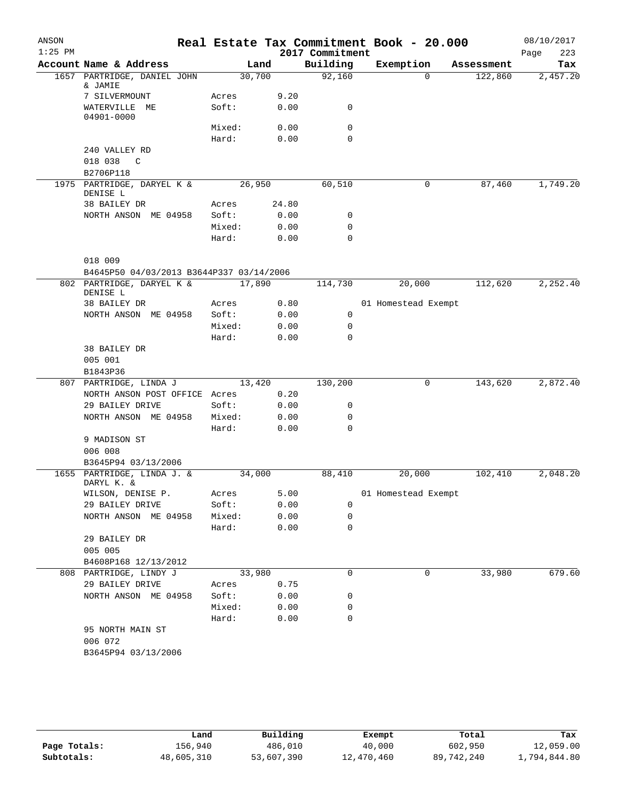| ANSON     |                                           |                |       |                 | Real Estate Tax Commitment Book - 20.000 |            | 08/10/2017  |
|-----------|-------------------------------------------|----------------|-------|-----------------|------------------------------------------|------------|-------------|
| $1:25$ PM |                                           |                |       | 2017 Commitment |                                          |            | 223<br>Page |
|           | Account Name & Address                    |                | Land  | Building        | Exemption                                | Assessment | Tax         |
|           | 1657 PARTRIDGE, DANIEL JOHN<br>& JAMIE    | 30,700         |       | 92,160          | $\Omega$                                 | 122,860    | 2,457.20    |
|           | 7 SILVERMOUNT                             | Acres          | 9.20  |                 |                                          |            |             |
|           | WATERVILLE ME                             | Soft:          | 0.00  | 0               |                                          |            |             |
|           | 04901-0000                                |                |       |                 |                                          |            |             |
|           |                                           | Mixed:         | 0.00  | 0               |                                          |            |             |
|           |                                           | Hard:          | 0.00  | 0               |                                          |            |             |
|           | 240 VALLEY RD                             |                |       |                 |                                          |            |             |
|           | 018 038<br>$\mathbb{C}$                   |                |       |                 |                                          |            |             |
|           | B2706P118                                 |                |       |                 |                                          |            |             |
| 1975      | PARTRIDGE, DARYEL K &<br>DENISE L         | 26,950         |       | 60,510          | 0                                        | 87,460     | 1,749.20    |
|           | 38 BAILEY DR                              | Acres          | 24.80 |                 |                                          |            |             |
|           | NORTH ANSON ME 04958                      | Soft:          | 0.00  | 0               |                                          |            |             |
|           |                                           | Mixed:         | 0.00  | $\mathbf 0$     |                                          |            |             |
|           |                                           | Hard:          | 0.00  | $\Omega$        |                                          |            |             |
|           |                                           |                |       |                 |                                          |            |             |
|           | 018 009                                   |                |       |                 |                                          |            |             |
|           | B4645P50 04/03/2013 B3644P337 03/14/2006  |                |       |                 |                                          |            |             |
|           | 802 PARTRIDGE, DARYEL K &<br>DENISE L     | 17,890         |       | 114,730         | 20,000                                   | 112,620    | 2,252.40    |
|           | 38 BAILEY DR                              | Acres          | 0.80  |                 | 01 Homestead Exempt                      |            |             |
|           | NORTH ANSON ME 04958                      | Soft:          | 0.00  | 0               |                                          |            |             |
|           |                                           | Mixed:         | 0.00  | 0               |                                          |            |             |
|           |                                           | Hard:          | 0.00  | $\Omega$        |                                          |            |             |
|           | 38 BAILEY DR                              |                |       |                 |                                          |            |             |
|           | 005 001                                   |                |       |                 |                                          |            |             |
|           | B1843P36                                  |                |       |                 |                                          |            |             |
|           | 807 PARTRIDGE, LINDA J                    | 13,420         |       | 130,200         | 0                                        | 143,620    | 2,872.40    |
|           | NORTH ANSON POST OFFICE Acres             |                | 0.20  |                 |                                          |            |             |
|           | 29 BAILEY DRIVE                           | Soft:          | 0.00  | 0               |                                          |            |             |
|           | NORTH ANSON ME 04958                      | Mixed:         | 0.00  | 0               |                                          |            |             |
|           |                                           | Hard:          | 0.00  | $\Omega$        |                                          |            |             |
|           | 9 MADISON ST<br>006 008                   |                |       |                 |                                          |            |             |
|           | B3645P94 03/13/2006                       |                |       |                 |                                          |            |             |
| 1655      | PARTRIDGE, LINDA J. &                     | 34,000         |       | 88,410          | 20,000                                   | 102,410    | 2,048.20    |
|           | DARYL K. &                                |                |       |                 |                                          |            |             |
|           | WILSON, DENISE P.                         | Acres          | 5.00  |                 | 01 Homestead Exempt                      |            |             |
|           | 29 BAILEY DRIVE                           | Soft:          | 0.00  | 0               |                                          |            |             |
|           | NORTH ANSON ME 04958                      | Mixed:         | 0.00  | 0               |                                          |            |             |
|           |                                           | Hard:          | 0.00  | $\mathbf 0$     |                                          |            |             |
|           | 29 BAILEY DR                              |                |       |                 |                                          |            |             |
|           | 005 005                                   |                |       |                 |                                          |            |             |
|           | B4608P168 12/13/2012                      |                |       |                 |                                          |            | 679.60      |
|           | 808 PARTRIDGE, LINDY J<br>29 BAILEY DRIVE | 33,980         | 0.75  | 0               | 0                                        | 33,980     |             |
|           | NORTH ANSON ME 04958                      | Acres<br>Soft: | 0.00  | 0               |                                          |            |             |
|           |                                           | Mixed:         | 0.00  | 0               |                                          |            |             |
|           |                                           | Hard:          | 0.00  | $\mathbf 0$     |                                          |            |             |
|           | 95 NORTH MAIN ST                          |                |       |                 |                                          |            |             |
|           | 006 072                                   |                |       |                 |                                          |            |             |
|           | B3645P94 03/13/2006                       |                |       |                 |                                          |            |             |
|           |                                           |                |       |                 |                                          |            |             |

|              | Land       | Building   | Exempt     | Total      | Tax          |
|--------------|------------|------------|------------|------------|--------------|
| Page Totals: | 156.940    | 486,010    | 40,000     | 602,950    | 12,059.00    |
| Subtotals:   | 48,605,310 | 53,607,390 | 12,470,460 | 89,742,240 | 1,794,844.80 |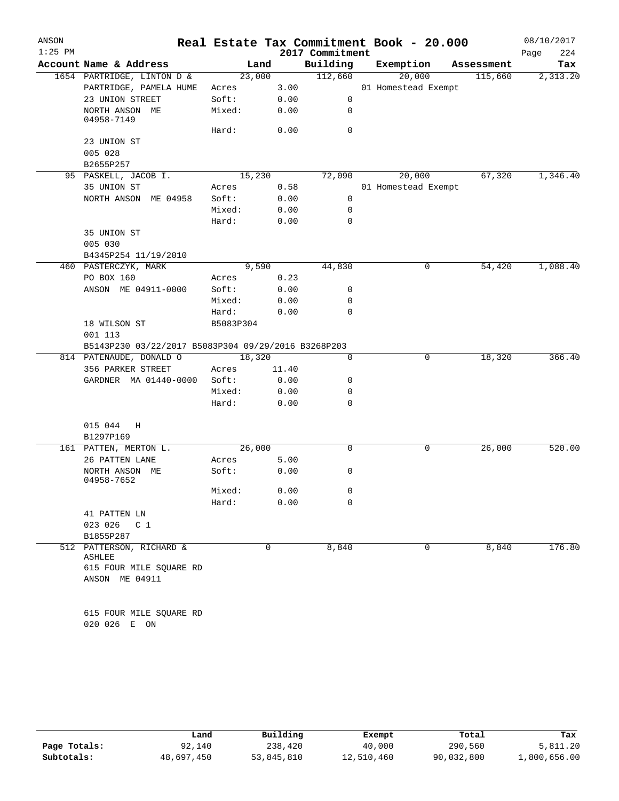| ANSON     |                                                     | Real Estate Tax Commitment Book - 20.000 |       |                 |                     |            | 08/10/2017 |     |
|-----------|-----------------------------------------------------|------------------------------------------|-------|-----------------|---------------------|------------|------------|-----|
| $1:25$ PM |                                                     |                                          |       | 2017 Commitment |                     |            | Page       | 224 |
|           | Account Name & Address                              | Land                                     |       | Building        | Exemption           | Assessment |            | Tax |
|           | 1654 PARTRIDGE, LINTON D &                          | 23,000                                   |       | 112,660         | 20,000              | 115,660    | 2,313.20   |     |
|           | PARTRIDGE, PAMELA HUME                              | Acres                                    | 3.00  |                 | 01 Homestead Exempt |            |            |     |
|           | 23 UNION STREET                                     | Soft:                                    | 0.00  | 0               |                     |            |            |     |
|           | NORTH ANSON ME<br>04958-7149                        | Mixed:                                   | 0.00  | 0               |                     |            |            |     |
|           |                                                     | Hard:                                    | 0.00  | $\mathbf 0$     |                     |            |            |     |
|           | 23 UNION ST<br>005 028                              |                                          |       |                 |                     |            |            |     |
|           | B2655P257                                           |                                          |       |                 |                     |            |            |     |
|           | 95 PASKELL, JACOB I.                                | 15,230                                   |       | 72,090          | 20,000              | 67,320     | 1,346.40   |     |
|           | 35 UNION ST                                         | Acres                                    | 0.58  |                 | 01 Homestead Exempt |            |            |     |
|           | NORTH ANSON ME 04958                                | Soft:                                    | 0.00  | 0               |                     |            |            |     |
|           |                                                     | Mixed:                                   | 0.00  | 0               |                     |            |            |     |
|           |                                                     | Hard:                                    | 0.00  | $\mathbf 0$     |                     |            |            |     |
|           | 35 UNION ST                                         |                                          |       |                 |                     |            |            |     |
|           | 005 030                                             |                                          |       |                 |                     |            |            |     |
|           | B4345P254 11/19/2010                                |                                          |       |                 |                     |            |            |     |
|           | 460 PASTERCZYK, MARK                                | 9,590                                    |       | 44,830          | 0                   | 54,420     | 1,088.40   |     |
|           | PO BOX 160                                          | Acres                                    | 0.23  |                 |                     |            |            |     |
|           | ANSON ME 04911-0000                                 | Soft:                                    | 0.00  | 0               |                     |            |            |     |
|           |                                                     | Mixed:                                   | 0.00  | 0               |                     |            |            |     |
|           |                                                     | Hard:                                    | 0.00  | 0               |                     |            |            |     |
|           | 18 WILSON ST                                        | B5083P304                                |       |                 |                     |            |            |     |
|           | 001 113                                             |                                          |       |                 |                     |            |            |     |
|           | B5143P230 03/22/2017 B5083P304 09/29/2016 B3268P203 |                                          |       |                 |                     |            |            |     |
|           | 814 PATENAUDE, DONALD O                             | 18,320                                   |       | $\mathbf 0$     | 0                   | 18,320     | 366.40     |     |
|           | 356 PARKER STREET                                   | Acres                                    | 11.40 |                 |                     |            |            |     |
|           | GARDNER MA 01440-0000                               | Soft:                                    | 0.00  | 0               |                     |            |            |     |
|           |                                                     | Mixed:                                   | 0.00  | 0<br>0          |                     |            |            |     |
|           |                                                     | Hard:                                    | 0.00  |                 |                     |            |            |     |
|           | 015 044<br>Η                                        |                                          |       |                 |                     |            |            |     |
|           | B1297P169                                           |                                          |       |                 |                     |            |            |     |
|           | 161 PATTEN, MERTON L.                               | 26,000                                   |       | 0               | 0                   | 26,000     | 520.00     |     |
|           | 26 PATTEN LANE                                      | Acres                                    | 5.00  |                 |                     |            |            |     |
|           | NORTH ANSON ME<br>04958-7652                        | Soft:                                    | 0.00  | 0               |                     |            |            |     |
|           |                                                     | Mixed:                                   | 0.00  | 0               |                     |            |            |     |
|           |                                                     | Hard:                                    | 0.00  | 0               |                     |            |            |     |
|           | 41 PATTEN LN                                        |                                          |       |                 |                     |            |            |     |
|           | 023 026<br>C <sub>1</sub>                           |                                          |       |                 |                     |            |            |     |
|           | B1855P287                                           |                                          |       |                 |                     |            |            |     |
|           | 512 PATTERSON, RICHARD &<br><b>ASHLEE</b>           | 0                                        |       | 8,840           | 0                   | 8,840      | 176.80     |     |
|           | 615 FOUR MILE SQUARE RD<br>ANSON ME 04911           |                                          |       |                 |                     |            |            |     |
|           |                                                     |                                          |       |                 |                     |            |            |     |
|           | 615 FOUR MILE SQUARE RD<br>020 026 E ON             |                                          |       |                 |                     |            |            |     |

|              | Land       | Building   | Exempt     | Total      | Tax          |
|--------------|------------|------------|------------|------------|--------------|
| Page Totals: | 92,140     | 238,420    | 40,000     | 290,560    | 5,811.20     |
| Subtotals:   | 48,697,450 | 53,845,810 | 12,510,460 | 90,032,800 | 1,800,656.00 |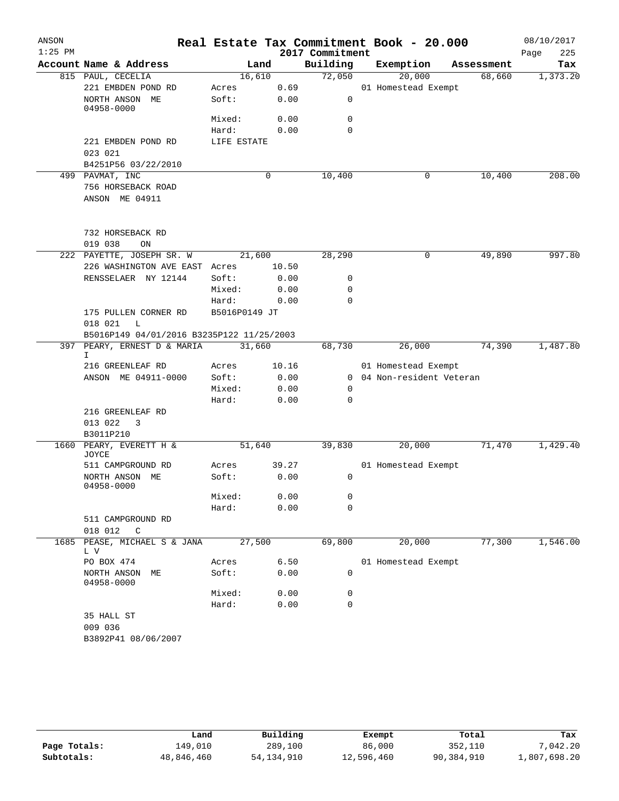| ANSON     |                                           |               |       |                 | Real Estate Tax Commitment Book - 20.000 |            | 08/10/2017  |
|-----------|-------------------------------------------|---------------|-------|-----------------|------------------------------------------|------------|-------------|
| $1:25$ PM |                                           |               |       | 2017 Commitment |                                          |            | 225<br>Page |
|           | Account Name & Address                    | Land          |       | Building        | Exemption                                | Assessment | Tax         |
|           | 815 PAUL, CECELIA                         | 16,610        |       | 72,050          | 20,000                                   | 68,660     | 1,373.20    |
|           | 221 EMBDEN POND RD                        | Acres         | 0.69  |                 | 01 Homestead Exempt                      |            |             |
|           | NORTH ANSON ME<br>04958-0000              | Soft:         | 0.00  | 0               |                                          |            |             |
|           |                                           | Mixed:        | 0.00  | 0               |                                          |            |             |
|           |                                           | Hard:         | 0.00  | $\mathbf 0$     |                                          |            |             |
|           | 221 EMBDEN POND RD                        | LIFE ESTATE   |       |                 |                                          |            |             |
|           | 023 021                                   |               |       |                 |                                          |            |             |
|           | B4251P56 03/22/2010                       |               |       |                 |                                          |            |             |
|           | 499 PAVMAT, INC                           |               | 0     | 10,400          | 0                                        | 10,400     | 208.00      |
|           | 756 HORSEBACK ROAD<br>ANSON ME 04911      |               |       |                 |                                          |            |             |
|           |                                           |               |       |                 |                                          |            |             |
|           | 732 HORSEBACK RD                          |               |       |                 |                                          |            |             |
|           | 019 038<br>ON                             |               |       |                 |                                          |            |             |
|           | 222 PAYETTE, JOSEPH SR. W                 | 21,600        |       | 28,290          | 0                                        | 49,890     | 997.80      |
|           | 226 WASHINGTON AVE EAST Acres             |               | 10.50 |                 |                                          |            |             |
|           | RENSSELAER NY 12144                       | Soft:         | 0.00  | 0               |                                          |            |             |
|           |                                           | Mixed:        | 0.00  | 0               |                                          |            |             |
|           |                                           | Hard:         | 0.00  | $\Omega$        |                                          |            |             |
|           | 175 PULLEN CORNER RD                      | B5016P0149 JT |       |                 |                                          |            |             |
|           | 018 021<br>L                              |               |       |                 |                                          |            |             |
|           | B5016P149 04/01/2016 B3235P122 11/25/2003 |               |       |                 |                                          |            |             |
|           | 397 PEARY, ERNEST D & MARIA<br>I.         | 31,660        |       | 68,730          | 26,000                                   | 74,390     | 1,487.80    |
|           | 216 GREENLEAF RD                          | Acres         | 10.16 |                 | 01 Homestead Exempt                      |            |             |
|           | ANSON ME 04911-0000                       | Soft:         | 0.00  |                 | 0 04 Non-resident Veteran                |            |             |
|           |                                           | Mixed:        | 0.00  | 0               |                                          |            |             |
|           |                                           | Hard:         | 0.00  | 0               |                                          |            |             |
|           | 216 GREENLEAF RD                          |               |       |                 |                                          |            |             |
|           | 013 022<br>3                              |               |       |                 |                                          |            |             |
|           | B3011P210                                 |               |       |                 |                                          |            |             |
| 1660      | PEARY, EVERETT H &<br>JOYCE               | 51,640        |       | 39,830          | 20,000                                   | 71,470     | 1,429.40    |
|           | 511 CAMPGROUND RD                         | Acres         | 39.27 |                 | 01 Homestead Exempt                      |            |             |
|           | NORTH ANSON ME<br>04958-0000              | Soft:         | 0.00  | $\mathbf 0$     |                                          |            |             |
|           |                                           | Mixed:        | 0.00  | 0               |                                          |            |             |
|           |                                           | Hard:         | 0.00  | 0               |                                          |            |             |
|           | 511 CAMPGROUND RD                         |               |       |                 |                                          |            |             |
|           | 018 012<br>C                              |               |       |                 |                                          |            |             |
| 1685      | PEASE, MICHAEL S & JANA<br>L V            | 27,500        |       | 69,800          | 20,000                                   | 77,300     | 1,546.00    |
|           | PO BOX 474                                | Acres         | 6.50  |                 | 01 Homestead Exempt                      |            |             |
|           | NORTH ANSON<br>MЕ<br>04958-0000           | Soft:         | 0.00  | 0               |                                          |            |             |
|           |                                           | Mixed:        | 0.00  | 0               |                                          |            |             |
|           |                                           | Hard:         | 0.00  | $\mathbf 0$     |                                          |            |             |
|           | 35 HALL ST                                |               |       |                 |                                          |            |             |
|           | 009 036                                   |               |       |                 |                                          |            |             |
|           | B3892P41 08/06/2007                       |               |       |                 |                                          |            |             |

|              | Land       | Building     | Exempt     | Total      | Tax          |
|--------------|------------|--------------|------------|------------|--------------|
| Page Totals: | 149,010    | 289,100      | 86,000     | 352,110    | 7,042.20     |
| Subtotals:   | 48,846,460 | 54, 134, 910 | 12,596,460 | 90,384,910 | 1,807,698.20 |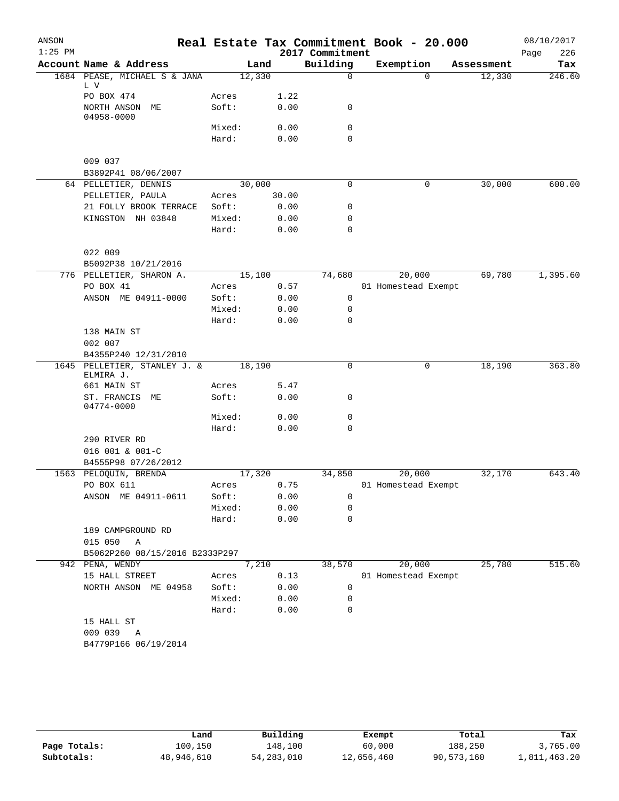| ANSON     |                                                        |                |       |                      | Real Estate Tax Commitment Book - 20.000 |                      | 08/10/2017    |
|-----------|--------------------------------------------------------|----------------|-------|----------------------|------------------------------------------|----------------------|---------------|
| $1:25$ PM |                                                        |                |       | 2017 Commitment      |                                          |                      | 226<br>Page   |
|           | Account Name & Address<br>1684 PEASE, MICHAEL S & JANA | Land<br>12,330 |       | Building<br>$\Omega$ | Exemption<br>$\Omega$                    | Assessment<br>12,330 | Tax<br>246.60 |
|           | L V                                                    |                |       |                      |                                          |                      |               |
|           | PO BOX 474                                             | Acres          | 1.22  |                      |                                          |                      |               |
|           | NORTH ANSON ME<br>04958-0000                           | Soft:          | 0.00  | $\mathbf 0$          |                                          |                      |               |
|           |                                                        | Mixed:         | 0.00  | $\mathbf 0$          |                                          |                      |               |
|           |                                                        | Hard:          | 0.00  | $\mathbf 0$          |                                          |                      |               |
|           | 009 037                                                |                |       |                      |                                          |                      |               |
|           | B3892P41 08/06/2007                                    |                |       |                      |                                          |                      |               |
|           | 64 PELLETIER, DENNIS                                   | 30,000         |       | $\mathbf 0$          | 0                                        | 30,000               | 600.00        |
|           | PELLETIER, PAULA                                       | Acres          | 30.00 |                      |                                          |                      |               |
|           | 21 FOLLY BROOK TERRACE                                 | Soft:          | 0.00  | 0                    |                                          |                      |               |
|           | KINGSTON NH 03848                                      | Mixed:         | 0.00  | 0                    |                                          |                      |               |
|           |                                                        | Hard:          | 0.00  | $\mathbf 0$          |                                          |                      |               |
|           | 022 009                                                |                |       |                      |                                          |                      |               |
|           | B5092P38 10/21/2016                                    |                |       |                      |                                          |                      |               |
|           | 776 PELLETIER, SHARON A.                               | 15,100         |       | 74,680               | 20,000                                   | 69,780               | 1,395.60      |
|           | PO BOX 41                                              | Acres          | 0.57  |                      | 01 Homestead Exempt                      |                      |               |
|           | ANSON ME 04911-0000                                    | Soft:          | 0.00  | 0                    |                                          |                      |               |
|           |                                                        | Mixed:         | 0.00  | 0                    |                                          |                      |               |
|           |                                                        | Hard:          | 0.00  | $\mathbf 0$          |                                          |                      |               |
|           | 138 MAIN ST<br>002 007                                 |                |       |                      |                                          |                      |               |
|           | B4355P240 12/31/2010                                   |                |       |                      |                                          |                      |               |
|           | 1645 PELLETIER, STANLEY J. &<br>ELMIRA J.              | 18,190         |       | $\mathbf 0$          | 0                                        | 18,190               | 363.80        |
|           | 661 MAIN ST                                            | Acres          | 5.47  |                      |                                          |                      |               |
|           | ST. FRANCIS<br>MЕ                                      | Soft:          | 0.00  | 0                    |                                          |                      |               |
|           | 04774-0000                                             |                |       |                      |                                          |                      |               |
|           |                                                        | Mixed:         | 0.00  | 0                    |                                          |                      |               |
|           |                                                        | Hard:          | 0.00  | $\mathbf 0$          |                                          |                      |               |
|           | 290 RIVER RD                                           |                |       |                      |                                          |                      |               |
|           | 016 001 & 001-C                                        |                |       |                      |                                          |                      |               |
|           | B4555P98 07/26/2012                                    |                |       |                      |                                          |                      |               |
| 1563      | PELOQUIN, BRENDA                                       | 17,320         |       | 34,850               | 20,000                                   | 32,170               | 643.40        |
|           | PO BOX 611                                             | Acres          | 0.75  |                      | 01 Homestead Exempt                      |                      |               |
|           | ANSON ME 04911-0611                                    | Soft:          | 0.00  | 0                    |                                          |                      |               |
|           |                                                        | Mixed:         | 0.00  | 0                    |                                          |                      |               |
|           |                                                        | Hard:          | 0.00  | $\mathbf 0$          |                                          |                      |               |
|           | 189 CAMPGROUND RD                                      |                |       |                      |                                          |                      |               |
|           | 015 050<br>Α                                           |                |       |                      |                                          |                      |               |
|           | B5062P260 08/15/2016 B2333P297                         |                |       |                      |                                          |                      |               |
|           | 942 PENA, WENDY                                        | 7,210          |       | 38,570               | 20,000                                   | 25,780               | 515.60        |
|           | 15 HALL STREET                                         | Acres          | 0.13  |                      | 01 Homestead Exempt                      |                      |               |
|           | NORTH ANSON ME 04958                                   | Soft:          | 0.00  | 0                    |                                          |                      |               |
|           |                                                        | Mixed:         | 0.00  | 0                    |                                          |                      |               |
|           |                                                        | Hard:          | 0.00  | $\mathbf 0$          |                                          |                      |               |
|           | 15 HALL ST                                             |                |       |                      |                                          |                      |               |
|           | 009 039<br>A                                           |                |       |                      |                                          |                      |               |
|           | B4779P166 06/19/2014                                   |                |       |                      |                                          |                      |               |
|           |                                                        |                |       |                      |                                          |                      |               |
|           |                                                        |                |       |                      |                                          |                      |               |

|              | Land       | Building   | Exempt     | Total      | Tax          |
|--------------|------------|------------|------------|------------|--------------|
| Page Totals: | 100,150    | 148,100    | 60,000     | 188,250    | 3,765.00     |
| Subtotals:   | 48,946,610 | 54,283,010 | 12,656,460 | 90,573,160 | 1,811,463.20 |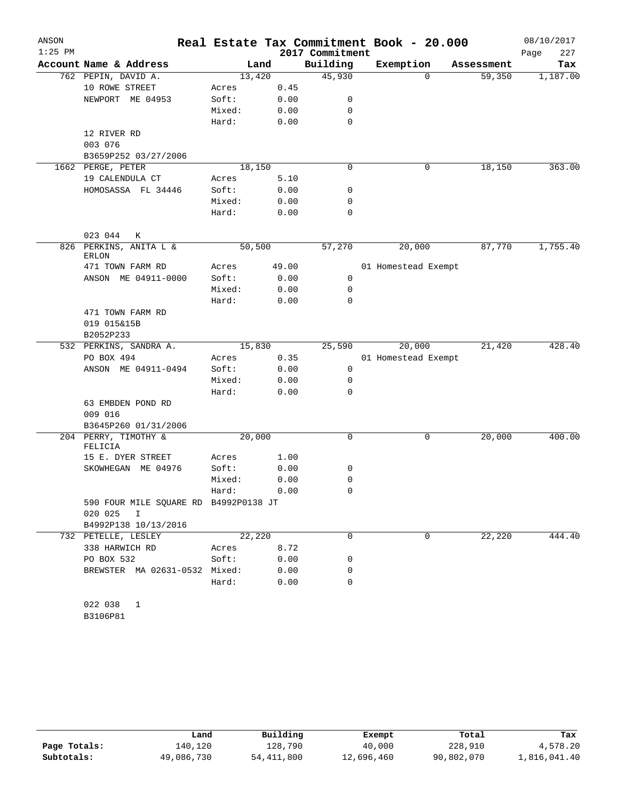| ANSON     |                                        |        |        |                 | Real Estate Tax Commitment Book - 20.000 |            | 08/10/2017  |
|-----------|----------------------------------------|--------|--------|-----------------|------------------------------------------|------------|-------------|
| $1:25$ PM |                                        |        |        | 2017 Commitment |                                          |            | 227<br>Page |
|           | Account Name & Address                 |        | Land   | Building        | Exemption                                | Assessment | Tax         |
|           | 762 PEPIN, DAVID A.                    |        | 13,420 | 45,930          | $\Omega$                                 | 59,350     | 1,187.00    |
|           | 10 ROWE STREET                         | Acres  | 0.45   |                 |                                          |            |             |
|           | NEWPORT ME 04953                       | Soft:  | 0.00   | 0               |                                          |            |             |
|           |                                        | Mixed: | 0.00   | 0               |                                          |            |             |
|           |                                        | Hard:  | 0.00   | 0               |                                          |            |             |
|           | 12 RIVER RD                            |        |        |                 |                                          |            |             |
|           | 003 076                                |        |        |                 |                                          |            |             |
|           | B3659P252 03/27/2006                   |        |        |                 |                                          |            |             |
|           | 1662 PERGE, PETER                      |        | 18,150 | 0               | 0                                        | 18,150     | 363.00      |
|           | 19 CALENDULA CT                        | Acres  | 5.10   |                 |                                          |            |             |
|           | HOMOSASSA FL 34446                     | Soft:  | 0.00   | 0               |                                          |            |             |
|           |                                        | Mixed: | 0.00   | 0               |                                          |            |             |
|           |                                        | Hard:  | 0.00   | 0               |                                          |            |             |
|           | 023 044<br>К                           |        |        |                 |                                          |            |             |
|           | 826 PERKINS, ANITA L &<br><b>ERLON</b> |        | 50,500 | 57,270          | 20,000                                   | 87,770     | 1,755.40    |
|           | 471 TOWN FARM RD                       | Acres  | 49.00  |                 | 01 Homestead Exempt                      |            |             |
|           | ANSON ME 04911-0000                    | Soft:  | 0.00   | 0               |                                          |            |             |
|           |                                        | Mixed: | 0.00   | 0               |                                          |            |             |
|           |                                        | Hard:  | 0.00   | $\Omega$        |                                          |            |             |
|           | 471 TOWN FARM RD                       |        |        |                 |                                          |            |             |
|           | 019 015&15B                            |        |        |                 |                                          |            |             |
|           | B2052P233                              |        |        |                 |                                          |            |             |
|           | 532 PERKINS, SANDRA A.                 |        | 15,830 | 25,590          | 20,000                                   | 21,420     | 428.40      |
|           | PO BOX 494                             | Acres  | 0.35   |                 | 01 Homestead Exempt                      |            |             |
|           | ANSON ME 04911-0494                    | Soft:  | 0.00   | 0               |                                          |            |             |
|           |                                        | Mixed: | 0.00   | $\mathbf 0$     |                                          |            |             |
|           |                                        | Hard:  | 0.00   | $\Omega$        |                                          |            |             |
|           | 63 EMBDEN POND RD                      |        |        |                 |                                          |            |             |
|           | 009 016                                |        |        |                 |                                          |            |             |
|           | B3645P260 01/31/2006                   |        |        |                 |                                          |            |             |
|           | 204 PERRY, TIMOTHY &<br>FELICIA        |        | 20,000 | 0               | 0                                        | 20,000     | 400.00      |
|           | 15 E. DYER STREET                      | Acres  | 1.00   |                 |                                          |            |             |
|           | SKOWHEGAN ME 04976                     | Soft:  | 0.00   | 0               |                                          |            |             |
|           |                                        | Mixed: | 0.00   | 0               |                                          |            |             |
|           |                                        | Hard:  | 0.00   | 0               |                                          |            |             |
|           | 590 FOUR MILE SQUARE RD B4992P0138 JT  |        |        |                 |                                          |            |             |
|           | 020 025 I                              |        |        |                 |                                          |            |             |
|           | B4992P138 10/13/2016                   |        |        |                 |                                          |            |             |
|           | 732 PETELLE, LESLEY                    |        | 22,220 | $\Omega$        | 0                                        | 22,220     | 444.40      |
|           | 338 HARWICH RD                         | Acres  | 8.72   |                 |                                          |            |             |
|           | PO BOX 532                             | Soft:  | 0.00   | 0               |                                          |            |             |
|           | BREWSTER MA 02631-0532 Mixed:          |        | 0.00   | 0               |                                          |            |             |
|           |                                        | Hard:  | 0.00   | $\mathbf 0$     |                                          |            |             |
|           |                                        |        |        |                 |                                          |            |             |
|           | 022 038 1                              |        |        |                 |                                          |            |             |
|           | B3106P81                               |        |        |                 |                                          |            |             |

|              | Land       | Building   | Exempt     | Total      | Tax          |
|--------------|------------|------------|------------|------------|--------------|
| Page Totals: | 140.120    | 128,790    | 40,000     | 228,910    | 4,578.20     |
| Subtotals:   | 49,086,730 | 54,411,800 | 12,696,460 | 90,802,070 | 1,816,041.40 |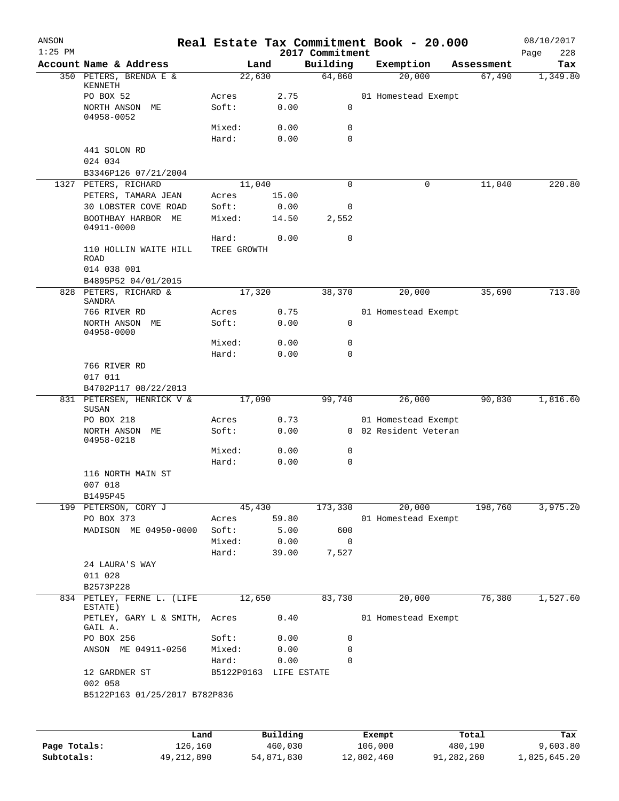| ANSON<br>$1:25$ PM |                                                     |                        |               | 2017 Commitment | Real Estate Tax Commitment Book - 20.000 |            | 08/10/2017         |
|--------------------|-----------------------------------------------------|------------------------|---------------|-----------------|------------------------------------------|------------|--------------------|
|                    | Account Name & Address                              | Land                   |               | Building        | Exemption                                | Assessment | Page<br>228<br>Tax |
|                    | 350 PETERS, BRENDA E &                              | 22,630                 |               | 64,860          | 20,000                                   | 67,490     | 1,349.80           |
|                    | KENNETH                                             |                        |               |                 |                                          |            |                    |
|                    | PO BOX 52<br>NORTH ANSON ME                         | Acres<br>Soft:         | 2.75<br>0.00  | 0               | 01 Homestead Exempt                      |            |                    |
|                    | 04958-0052                                          |                        |               |                 |                                          |            |                    |
|                    |                                                     | Mixed:                 | 0.00          | 0               |                                          |            |                    |
|                    |                                                     | Hard:                  | 0.00          | $\mathbf 0$     |                                          |            |                    |
|                    | 441 SOLON RD<br>024 034                             |                        |               |                 |                                          |            |                    |
|                    | B3346P126 07/21/2004                                |                        |               |                 |                                          |            |                    |
|                    | 1327 PETERS, RICHARD                                | 11,040                 |               | 0               | 0                                        | 11,040     | 220.80             |
|                    | PETERS, TAMARA JEAN                                 | Acres                  | 15.00         |                 |                                          |            |                    |
|                    | 30 LOBSTER COVE ROAD                                | Soft:                  | 0.00          | 0               |                                          |            |                    |
|                    | BOOTHBAY HARBOR ME<br>04911-0000                    | Mixed:                 | 14.50         | 2,552           |                                          |            |                    |
|                    |                                                     | Hard:<br>TREE GROWTH   | 0.00          | 0               |                                          |            |                    |
|                    | 110 HOLLIN WAITE HILL<br><b>ROAD</b><br>014 038 001 |                        |               |                 |                                          |            |                    |
|                    | B4895P52 04/01/2015                                 |                        |               |                 |                                          |            |                    |
|                    | 828 PETERS, RICHARD &                               | 17,320                 |               | 38,370          | 20,000                                   | 35,690     | 713.80             |
|                    | SANDRA<br>766 RIVER RD                              | Acres                  |               |                 |                                          |            |                    |
|                    | NORTH ANSON ME                                      | Soft:                  | 0.75<br>0.00  | 0               | 01 Homestead Exempt                      |            |                    |
|                    | 04958-0000                                          |                        |               |                 |                                          |            |                    |
|                    |                                                     | Mixed:                 | 0.00          | 0               |                                          |            |                    |
|                    |                                                     | Hard:                  | 0.00          | 0               |                                          |            |                    |
|                    | 766 RIVER RD<br>017 011                             |                        |               |                 |                                          |            |                    |
|                    | B4702P117 08/22/2013                                |                        |               |                 |                                          |            |                    |
|                    | 831 PETERSEN, HENRICK V &<br>SUSAN                  | 17,090                 |               | 99,740          | 26,000                                   | 90,830     | 1,816.60           |
|                    | PO BOX 218                                          | Acres                  | 0.73          |                 | 01 Homestead Exempt                      |            |                    |
|                    | NORTH ANSON ME<br>04958-0218                        | Soft:                  | 0.00          |                 | 0 02 Resident Veteran                    |            |                    |
|                    |                                                     | Mixed:                 | 0.00          | 0               |                                          |            |                    |
|                    |                                                     | Hard:                  | 0.00          | 0               |                                          |            |                    |
|                    | 116 NORTH MAIN ST<br>007 018                        |                        |               |                 |                                          |            |                    |
|                    | B1495P45                                            |                        |               |                 |                                          |            |                    |
|                    | 199 PETERSON, CORY J                                | 45,430                 |               | 173,330         | 20,000                                   | 198,760    | 3,975.20           |
|                    | PO BOX 373                                          | Acres                  | 59.80         |                 | 01 Homestead Exempt                      |            |                    |
|                    | MADISON ME 04950-0000                               | Soft:                  | 5.00          | 600             |                                          |            |                    |
|                    |                                                     | Mixed:<br>Hard:        | 0.00<br>39.00 | 0<br>7,527      |                                          |            |                    |
|                    | 24 LAURA'S WAY<br>011 028                           |                        |               |                 |                                          |            |                    |
|                    | B2573P228                                           |                        |               |                 |                                          |            |                    |
|                    | 834 PETLEY, FERNE L. (LIFE                          | 12,650                 |               | 83,730          | 20,000                                   | 76,380     | 1,527.60           |
|                    | ESTATE)<br>PETLEY, GARY L & SMITH,                  | Acres                  | 0.40          |                 | 01 Homestead Exempt                      |            |                    |
|                    | GAIL A.<br>PO BOX 256                               | Soft:                  | 0.00          | 0               |                                          |            |                    |
|                    | ANSON ME 04911-0256                                 | Mixed:                 | 0.00          | 0               |                                          |            |                    |
|                    |                                                     | Hard:                  | 0.00          | $\mathbf 0$     |                                          |            |                    |
|                    | 12 GARDNER ST<br>002 058                            | B5122P0163 LIFE ESTATE |               |                 |                                          |            |                    |
|                    | B5122P163 01/25/2017 B782P836                       |                        |               |                 |                                          |            |                    |
|                    |                                                     |                        |               |                 |                                          |            |                    |
|                    | Land                                                |                        | Building      |                 | Exempt                                   | Total      | Tax                |

|              | Land       | Building   | Exempt     | Total      | Tax          |
|--------------|------------|------------|------------|------------|--------------|
| Page Totals: | 126,160    | 460,030    | 106,000    | 480,190    | 9,603.80     |
| Subtotals:   | 49,212,890 | 54,871,830 | 12,802,460 | 91,282,260 | 1,825,645.20 |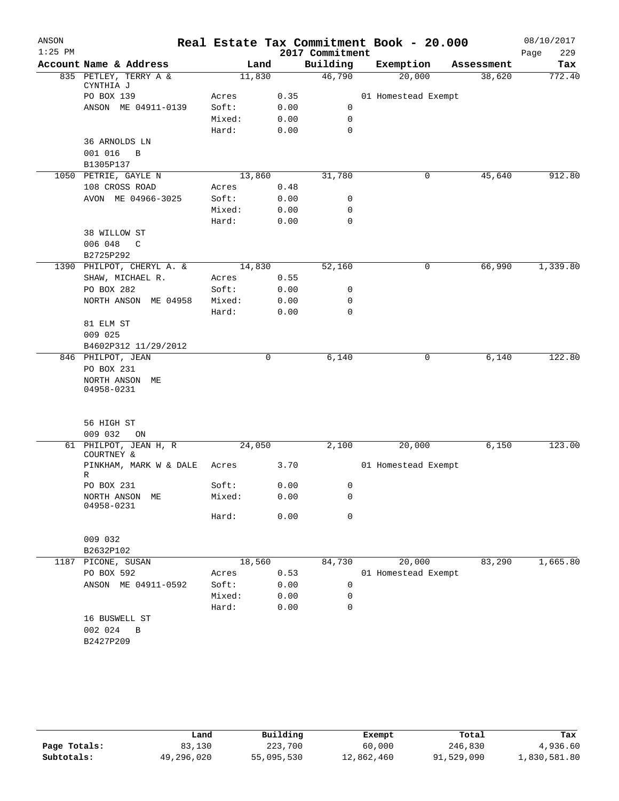| ANSON<br>$1:25$ PM |                             |        |      | 2017 Commitment  | Real Estate Tax Commitment Book - 20.000 |            | 08/10/2017<br>229 |
|--------------------|-----------------------------|--------|------|------------------|------------------------------------------|------------|-------------------|
|                    | Account Name & Address      |        | Land | Building         | Exemption                                | Assessment | Page<br>Tax       |
|                    | 835 PETLEY, TERRY A &       | 11,830 |      | 46,790           | 20,000                                   | 38,620     | 772.40            |
|                    | CYNTHIA J                   |        |      |                  |                                          |            |                   |
|                    | PO BOX 139                  | Acres  | 0.35 |                  | 01 Homestead Exempt                      |            |                   |
|                    | ANSON ME 04911-0139         | Soft:  | 0.00 | 0                |                                          |            |                   |
|                    |                             | Mixed: | 0.00 | $\mathbf 0$      |                                          |            |                   |
|                    |                             | Hard:  | 0.00 | $\mathbf 0$      |                                          |            |                   |
|                    | 36 ARNOLDS LN               |        |      |                  |                                          |            |                   |
|                    | 001 016<br>B                |        |      |                  |                                          |            |                   |
|                    | B1305P137                   |        |      |                  |                                          |            |                   |
|                    | 1050 PETRIE, GAYLE N        | 13,860 |      | 31,780           | 0                                        | 45,640     | 912.80            |
|                    | 108 CROSS ROAD              | Acres  | 0.48 |                  |                                          |            |                   |
|                    | AVON ME 04966-3025          | Soft:  | 0.00 | 0                |                                          |            |                   |
|                    |                             | Mixed: | 0.00 | 0                |                                          |            |                   |
|                    |                             | Hard:  | 0.00 | $\mathbf 0$      |                                          |            |                   |
|                    | 38 WILLOW ST                |        |      |                  |                                          |            |                   |
|                    | 006 048<br>$\mathsf{C}$     |        |      |                  |                                          |            |                   |
|                    | B2725P292                   |        |      |                  |                                          |            |                   |
|                    | 1390 PHILPOT, CHERYL A. &   | 14,830 |      | 52,160           | 0                                        | 66,990     | 1,339.80          |
|                    | SHAW, MICHAEL R.            | Acres  | 0.55 |                  |                                          |            |                   |
|                    | PO BOX 282                  | Soft:  | 0.00 | 0                |                                          |            |                   |
|                    | NORTH ANSON ME 04958        | Mixed: | 0.00 | 0<br>$\mathbf 0$ |                                          |            |                   |
|                    |                             | Hard:  | 0.00 |                  |                                          |            |                   |
|                    | 81 ELM ST<br>009 025        |        |      |                  |                                          |            |                   |
|                    | B4602P312 11/29/2012        |        |      |                  |                                          |            |                   |
|                    | 846 PHILPOT, JEAN           |        | 0    | 6,140            | 0                                        | 6,140      | 122.80            |
|                    | PO BOX 231                  |        |      |                  |                                          |            |                   |
|                    | NORTH ANSON ME              |        |      |                  |                                          |            |                   |
|                    | 04958-0231                  |        |      |                  |                                          |            |                   |
|                    |                             |        |      |                  |                                          |            |                   |
|                    |                             |        |      |                  |                                          |            |                   |
|                    | 56 HIGH ST                  |        |      |                  |                                          |            |                   |
|                    | 009 032<br>ON               |        |      |                  |                                          |            |                   |
|                    | 61 PHILPOT, JEAN H, R       | 24,050 |      | 2,100            | 20,000                                   | 6,150      | 123.00            |
|                    | COURTNEY &                  |        |      |                  |                                          |            |                   |
|                    | PINKHAM, MARK W & DALE<br>R | Acres  | 3.70 |                  | 01 Homestead Exempt                      |            |                   |
|                    | PO BOX 231                  | Soft:  | 0.00 | $\mathbf 0$      |                                          |            |                   |
|                    | NORTH ANSON ME              | Mixed: | 0.00 | $\mathbf 0$      |                                          |            |                   |
|                    | 04958-0231                  |        |      |                  |                                          |            |                   |
|                    |                             | Hard:  | 0.00 | $\mathbf 0$      |                                          |            |                   |
|                    |                             |        |      |                  |                                          |            |                   |
|                    | 009 032                     |        |      |                  |                                          |            |                   |
|                    | B2632P102                   |        |      |                  |                                          |            |                   |
| 1187               | PICONE, SUSAN               | 18,560 |      | 84,730           | 20,000                                   | 83,290     | 1,665.80          |
|                    | PO BOX 592                  | Acres  | 0.53 |                  | 01 Homestead Exempt                      |            |                   |
|                    | ANSON ME 04911-0592         | Soft:  | 0.00 | 0                |                                          |            |                   |
|                    |                             | Mixed: | 0.00 | 0                |                                          |            |                   |
|                    |                             | Hard:  | 0.00 | 0                |                                          |            |                   |
|                    | 16 BUSWELL ST               |        |      |                  |                                          |            |                   |
|                    | 002 024<br>B                |        |      |                  |                                          |            |                   |
|                    | B2427P209                   |        |      |                  |                                          |            |                   |
|                    |                             |        |      |                  |                                          |            |                   |
|                    |                             |        |      |                  |                                          |            |                   |

|              | Land       | Building   | Exempt     | Total      | Tax          |
|--------------|------------|------------|------------|------------|--------------|
| Page Totals: | 83,130     | 223,700    | 60,000     | 246,830    | 4,936.60     |
| Subtotals:   | 49,296,020 | 55,095,530 | 12,862,460 | 91,529,090 | 1,830,581.80 |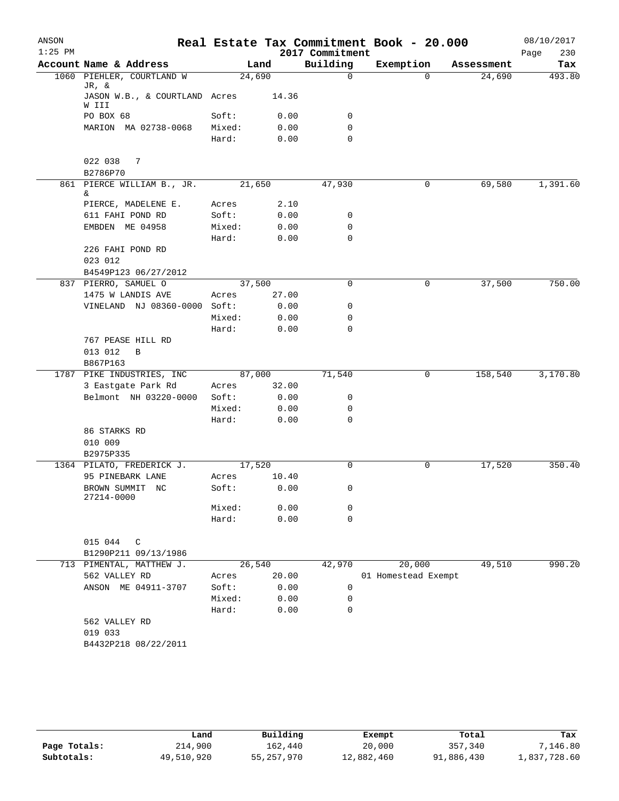| ANSON<br>$1:25$ PM |                                        |        |       | 2017 Commitment | Real Estate Tax Commitment Book - 20.000 |            | 08/10/2017<br>Page<br>230 |
|--------------------|----------------------------------------|--------|-------|-----------------|------------------------------------------|------------|---------------------------|
|                    | Account Name & Address                 |        | Land  | Building        | Exemption                                | Assessment | Tax                       |
|                    | 1060 PIEHLER, COURTLAND W              | 24,690 |       | $\Omega$        | $\Omega$                                 | 24,690     | 493.80                    |
|                    | JR, &<br>JASON W.B., & COURTLAND Acres |        | 14.36 |                 |                                          |            |                           |
|                    | W III<br>PO BOX 68                     | Soft:  | 0.00  | $\mathbf 0$     |                                          |            |                           |
|                    | MARION MA 02738-0068                   | Mixed: | 0.00  | $\mathbf 0$     |                                          |            |                           |
|                    |                                        | Hard:  | 0.00  | $\mathbf 0$     |                                          |            |                           |
|                    | 022 038<br>7<br>B2786P70               |        |       |                 |                                          |            |                           |
|                    | 861 PIERCE WILLIAM B., JR.<br>&        | 21,650 |       | 47,930          | 0                                        | 69,580     | 1,391.60                  |
|                    | PIERCE, MADELENE E.                    | Acres  | 2.10  |                 |                                          |            |                           |
|                    | 611 FAHI POND RD                       | Soft:  | 0.00  | 0               |                                          |            |                           |
|                    | EMBDEN ME 04958                        | Mixed: | 0.00  | $\mathbf 0$     |                                          |            |                           |
|                    |                                        | Hard:  | 0.00  | $\mathbf 0$     |                                          |            |                           |
|                    | 226 FAHI POND RD<br>023 012            |        |       |                 |                                          |            |                           |
|                    | B4549P123 06/27/2012                   |        |       |                 |                                          |            |                           |
|                    | 837 PIERRO, SAMUEL O                   | 37,500 |       | 0               | 0                                        | 37,500     | 750.00                    |
|                    | 1475 W LANDIS AVE                      | Acres  | 27.00 |                 |                                          |            |                           |
|                    | VINELAND NJ 08360-0000 Soft:           |        | 0.00  | 0               |                                          |            |                           |
|                    |                                        | Mixed: | 0.00  | $\mathbf 0$     |                                          |            |                           |
|                    |                                        | Hard:  | 0.00  | $\mathbf 0$     |                                          |            |                           |
|                    | 767 PEASE HILL RD                      |        |       |                 |                                          |            |                           |
|                    | 013 012<br>B                           |        |       |                 |                                          |            |                           |
|                    | B867P163                               |        |       |                 |                                          |            |                           |
|                    | 1787 PIKE INDUSTRIES, INC              | 87,000 |       | 71,540          | 0                                        | 158,540    | 3,170.80                  |
|                    | 3 Eastgate Park Rd                     | Acres  | 32.00 |                 |                                          |            |                           |
|                    | Belmont NH 03220-0000                  | Soft:  | 0.00  | 0               |                                          |            |                           |
|                    |                                        | Mixed: | 0.00  | $\mathbf 0$     |                                          |            |                           |
|                    |                                        | Hard:  | 0.00  | $\mathbf 0$     |                                          |            |                           |
|                    | 86 STARKS RD                           |        |       |                 |                                          |            |                           |
|                    | 010 009                                |        |       |                 |                                          |            |                           |
|                    | B2975P335                              |        |       |                 |                                          |            |                           |
|                    | 1364 PILATO, FREDERICK J.              | 17,520 |       | $\Omega$        | 0                                        | 17,520     | 350.40                    |
|                    | 95 PINEBARK LANE                       | Acres  | 10.40 |                 |                                          |            |                           |
|                    | BROWN SUMMIT NC<br>27214-0000          | Soft:  | 0.00  | $\mathbf{0}$    |                                          |            |                           |
|                    |                                        | Mixed: | 0.00  | 0               |                                          |            |                           |
|                    |                                        | Hard:  | 0.00  | $\mathbf 0$     |                                          |            |                           |
|                    | 015 044<br>C                           |        |       |                 |                                          |            |                           |
|                    | B1290P211 09/13/1986                   |        |       |                 |                                          |            |                           |
|                    | 713 PIMENTAL, MATTHEW J.               | 26,540 |       | 42,970          | 20,000                                   | 49,510     | 990.20                    |
|                    | 562 VALLEY RD                          | Acres  | 20.00 |                 | 01 Homestead Exempt                      |            |                           |
|                    | ANSON ME 04911-3707                    | Soft:  | 0.00  | 0               |                                          |            |                           |
|                    |                                        | Mixed: | 0.00  | 0               |                                          |            |                           |
|                    |                                        | Hard:  | 0.00  | $\mathbf 0$     |                                          |            |                           |
|                    | 562 VALLEY RD<br>019 033               |        |       |                 |                                          |            |                           |
|                    | B4432P218 08/22/2011                   |        |       |                 |                                          |            |                           |
|                    |                                        |        |       |                 |                                          |            |                           |

|              | Land       | Building     | Exempt     | Total      | Tax          |
|--------------|------------|--------------|------------|------------|--------------|
| Page Totals: | 214,900    | 162.440      | 20,000     | 357,340    | ,146.80      |
| Subtotals:   | 49,510,920 | 55, 257, 970 | 12,882,460 | 91,886,430 | 1,837,728.60 |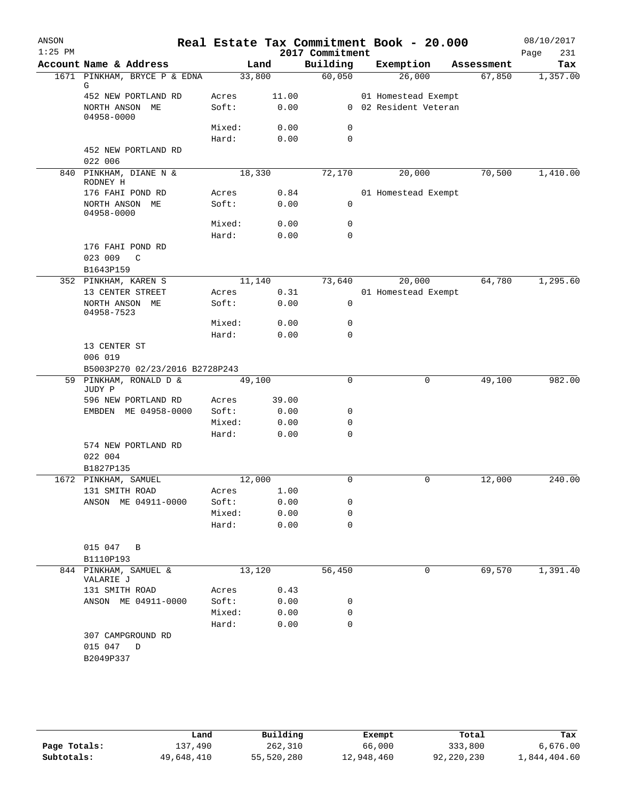| Account Name & Address<br>Building<br>Exemption<br>Land<br>Assessment<br>33,800<br>60,050<br>26,000<br>1,357.00<br>1671 PINKHAM, BRYCE P & EDNA<br>67,850<br>G<br>452 NEW PORTLAND RD<br>Acres<br>11.00<br>01 Homestead Exempt<br>0 02 Resident Veteran<br>Soft:<br>0.00<br>NORTH ANSON ME<br>04958-0000<br>Mixed:<br>0<br>0.00<br>Hard:<br>0.00<br>0<br>452 NEW PORTLAND RD<br>022 006<br>1,410.00<br>PINKHAM, DIANE N &<br>18,330<br>72,170<br>20,000<br>70,500<br>840<br>RODNEY H<br>176 FAHI POND RD<br>0.84<br>01 Homestead Exempt<br>Acres<br>NORTH ANSON ME<br>Soft:<br>0.00<br>0<br>04958-0000<br>Mixed:<br>0<br>0.00<br>Hard:<br>0.00<br>0<br>176 FAHI POND RD<br>023 009<br>C<br>B1643P159<br>1,295.60<br>352 PINKHAM, KAREN S<br>11,140<br>73,640<br>64,780<br>20,000<br>13 CENTER STREET<br>0.31<br>01 Homestead Exempt<br>Acres<br>NORTH ANSON ME<br>Soft:<br>0.00<br>0<br>04958-7523<br>Mixed:<br>0.00<br>0<br>Hard:<br>0.00<br>0<br>13 CENTER ST<br>006 019<br>B5003P270 02/23/2016 B2728P243<br>59 PINKHAM, RONALD D &<br>49,100<br>49,100<br>0<br>0<br>JUDY P<br>596 NEW PORTLAND RD<br>39.00<br>Acres<br>EMBDEN ME 04958-0000<br>Soft:<br>0.00<br>0<br>Mixed:<br>0.00<br>0<br>$\mathbf 0$<br>Hard:<br>0.00<br>574 NEW PORTLAND RD<br>022 004<br>B1827P135<br>1672 PINKHAM, SAMUEL<br>12,000<br>12,000<br>240.00<br>0<br>0<br>131 SMITH ROAD<br>1.00<br>Acres<br>ANSON ME 04911-0000<br>Soft:<br>0.00<br>0<br>Mixed:<br>0.00<br>0<br>0.00<br>Hard:<br>0<br>015 047 B<br>B1110P193<br>69,570<br>844 PINKHAM, SAMUEL &<br>13,120<br>56,450<br>0<br>VALARIE J<br>131 SMITH ROAD<br>0.43<br>Acres<br>ANSON ME 04911-0000<br>Soft:<br>0.00<br>0<br>Mixed:<br>0.00<br>0<br>$\mathbf 0$<br>Hard:<br>0.00<br>307 CAMPGROUND RD<br>015 047 D<br>B2049P337 | ANSON<br>$1:25$ PM |  |  | 2017 Commitment | Real Estate Tax Commitment Book - 20.000 | 08/10/2017<br>231<br>Page |
|-------------------------------------------------------------------------------------------------------------------------------------------------------------------------------------------------------------------------------------------------------------------------------------------------------------------------------------------------------------------------------------------------------------------------------------------------------------------------------------------------------------------------------------------------------------------------------------------------------------------------------------------------------------------------------------------------------------------------------------------------------------------------------------------------------------------------------------------------------------------------------------------------------------------------------------------------------------------------------------------------------------------------------------------------------------------------------------------------------------------------------------------------------------------------------------------------------------------------------------------------------------------------------------------------------------------------------------------------------------------------------------------------------------------------------------------------------------------------------------------------------------------------------------------------------------------------------------------------------------------------------------------------------------------------------------------------------------------------------------------------------------------|--------------------|--|--|-----------------|------------------------------------------|---------------------------|
|                                                                                                                                                                                                                                                                                                                                                                                                                                                                                                                                                                                                                                                                                                                                                                                                                                                                                                                                                                                                                                                                                                                                                                                                                                                                                                                                                                                                                                                                                                                                                                                                                                                                                                                                                                   |                    |  |  |                 |                                          | Tax                       |
|                                                                                                                                                                                                                                                                                                                                                                                                                                                                                                                                                                                                                                                                                                                                                                                                                                                                                                                                                                                                                                                                                                                                                                                                                                                                                                                                                                                                                                                                                                                                                                                                                                                                                                                                                                   |                    |  |  |                 |                                          |                           |
|                                                                                                                                                                                                                                                                                                                                                                                                                                                                                                                                                                                                                                                                                                                                                                                                                                                                                                                                                                                                                                                                                                                                                                                                                                                                                                                                                                                                                                                                                                                                                                                                                                                                                                                                                                   |                    |  |  |                 |                                          |                           |
|                                                                                                                                                                                                                                                                                                                                                                                                                                                                                                                                                                                                                                                                                                                                                                                                                                                                                                                                                                                                                                                                                                                                                                                                                                                                                                                                                                                                                                                                                                                                                                                                                                                                                                                                                                   |                    |  |  |                 |                                          |                           |
|                                                                                                                                                                                                                                                                                                                                                                                                                                                                                                                                                                                                                                                                                                                                                                                                                                                                                                                                                                                                                                                                                                                                                                                                                                                                                                                                                                                                                                                                                                                                                                                                                                                                                                                                                                   |                    |  |  |                 |                                          |                           |
|                                                                                                                                                                                                                                                                                                                                                                                                                                                                                                                                                                                                                                                                                                                                                                                                                                                                                                                                                                                                                                                                                                                                                                                                                                                                                                                                                                                                                                                                                                                                                                                                                                                                                                                                                                   |                    |  |  |                 |                                          |                           |
|                                                                                                                                                                                                                                                                                                                                                                                                                                                                                                                                                                                                                                                                                                                                                                                                                                                                                                                                                                                                                                                                                                                                                                                                                                                                                                                                                                                                                                                                                                                                                                                                                                                                                                                                                                   |                    |  |  |                 |                                          |                           |
|                                                                                                                                                                                                                                                                                                                                                                                                                                                                                                                                                                                                                                                                                                                                                                                                                                                                                                                                                                                                                                                                                                                                                                                                                                                                                                                                                                                                                                                                                                                                                                                                                                                                                                                                                                   |                    |  |  |                 |                                          |                           |
|                                                                                                                                                                                                                                                                                                                                                                                                                                                                                                                                                                                                                                                                                                                                                                                                                                                                                                                                                                                                                                                                                                                                                                                                                                                                                                                                                                                                                                                                                                                                                                                                                                                                                                                                                                   |                    |  |  |                 |                                          |                           |
|                                                                                                                                                                                                                                                                                                                                                                                                                                                                                                                                                                                                                                                                                                                                                                                                                                                                                                                                                                                                                                                                                                                                                                                                                                                                                                                                                                                                                                                                                                                                                                                                                                                                                                                                                                   |                    |  |  |                 |                                          |                           |
|                                                                                                                                                                                                                                                                                                                                                                                                                                                                                                                                                                                                                                                                                                                                                                                                                                                                                                                                                                                                                                                                                                                                                                                                                                                                                                                                                                                                                                                                                                                                                                                                                                                                                                                                                                   |                    |  |  |                 |                                          |                           |
|                                                                                                                                                                                                                                                                                                                                                                                                                                                                                                                                                                                                                                                                                                                                                                                                                                                                                                                                                                                                                                                                                                                                                                                                                                                                                                                                                                                                                                                                                                                                                                                                                                                                                                                                                                   |                    |  |  |                 |                                          |                           |
|                                                                                                                                                                                                                                                                                                                                                                                                                                                                                                                                                                                                                                                                                                                                                                                                                                                                                                                                                                                                                                                                                                                                                                                                                                                                                                                                                                                                                                                                                                                                                                                                                                                                                                                                                                   |                    |  |  |                 |                                          |                           |
|                                                                                                                                                                                                                                                                                                                                                                                                                                                                                                                                                                                                                                                                                                                                                                                                                                                                                                                                                                                                                                                                                                                                                                                                                                                                                                                                                                                                                                                                                                                                                                                                                                                                                                                                                                   |                    |  |  |                 |                                          |                           |
|                                                                                                                                                                                                                                                                                                                                                                                                                                                                                                                                                                                                                                                                                                                                                                                                                                                                                                                                                                                                                                                                                                                                                                                                                                                                                                                                                                                                                                                                                                                                                                                                                                                                                                                                                                   |                    |  |  |                 |                                          |                           |
|                                                                                                                                                                                                                                                                                                                                                                                                                                                                                                                                                                                                                                                                                                                                                                                                                                                                                                                                                                                                                                                                                                                                                                                                                                                                                                                                                                                                                                                                                                                                                                                                                                                                                                                                                                   |                    |  |  |                 |                                          |                           |
|                                                                                                                                                                                                                                                                                                                                                                                                                                                                                                                                                                                                                                                                                                                                                                                                                                                                                                                                                                                                                                                                                                                                                                                                                                                                                                                                                                                                                                                                                                                                                                                                                                                                                                                                                                   |                    |  |  |                 |                                          |                           |
|                                                                                                                                                                                                                                                                                                                                                                                                                                                                                                                                                                                                                                                                                                                                                                                                                                                                                                                                                                                                                                                                                                                                                                                                                                                                                                                                                                                                                                                                                                                                                                                                                                                                                                                                                                   |                    |  |  |                 |                                          |                           |
|                                                                                                                                                                                                                                                                                                                                                                                                                                                                                                                                                                                                                                                                                                                                                                                                                                                                                                                                                                                                                                                                                                                                                                                                                                                                                                                                                                                                                                                                                                                                                                                                                                                                                                                                                                   |                    |  |  |                 |                                          |                           |
|                                                                                                                                                                                                                                                                                                                                                                                                                                                                                                                                                                                                                                                                                                                                                                                                                                                                                                                                                                                                                                                                                                                                                                                                                                                                                                                                                                                                                                                                                                                                                                                                                                                                                                                                                                   |                    |  |  |                 |                                          |                           |
|                                                                                                                                                                                                                                                                                                                                                                                                                                                                                                                                                                                                                                                                                                                                                                                                                                                                                                                                                                                                                                                                                                                                                                                                                                                                                                                                                                                                                                                                                                                                                                                                                                                                                                                                                                   |                    |  |  |                 |                                          |                           |
|                                                                                                                                                                                                                                                                                                                                                                                                                                                                                                                                                                                                                                                                                                                                                                                                                                                                                                                                                                                                                                                                                                                                                                                                                                                                                                                                                                                                                                                                                                                                                                                                                                                                                                                                                                   |                    |  |  |                 |                                          |                           |
|                                                                                                                                                                                                                                                                                                                                                                                                                                                                                                                                                                                                                                                                                                                                                                                                                                                                                                                                                                                                                                                                                                                                                                                                                                                                                                                                                                                                                                                                                                                                                                                                                                                                                                                                                                   |                    |  |  |                 |                                          | 982.00                    |
|                                                                                                                                                                                                                                                                                                                                                                                                                                                                                                                                                                                                                                                                                                                                                                                                                                                                                                                                                                                                                                                                                                                                                                                                                                                                                                                                                                                                                                                                                                                                                                                                                                                                                                                                                                   |                    |  |  |                 |                                          |                           |
|                                                                                                                                                                                                                                                                                                                                                                                                                                                                                                                                                                                                                                                                                                                                                                                                                                                                                                                                                                                                                                                                                                                                                                                                                                                                                                                                                                                                                                                                                                                                                                                                                                                                                                                                                                   |                    |  |  |                 |                                          |                           |
|                                                                                                                                                                                                                                                                                                                                                                                                                                                                                                                                                                                                                                                                                                                                                                                                                                                                                                                                                                                                                                                                                                                                                                                                                                                                                                                                                                                                                                                                                                                                                                                                                                                                                                                                                                   |                    |  |  |                 |                                          |                           |
|                                                                                                                                                                                                                                                                                                                                                                                                                                                                                                                                                                                                                                                                                                                                                                                                                                                                                                                                                                                                                                                                                                                                                                                                                                                                                                                                                                                                                                                                                                                                                                                                                                                                                                                                                                   |                    |  |  |                 |                                          |                           |
|                                                                                                                                                                                                                                                                                                                                                                                                                                                                                                                                                                                                                                                                                                                                                                                                                                                                                                                                                                                                                                                                                                                                                                                                                                                                                                                                                                                                                                                                                                                                                                                                                                                                                                                                                                   |                    |  |  |                 |                                          |                           |
|                                                                                                                                                                                                                                                                                                                                                                                                                                                                                                                                                                                                                                                                                                                                                                                                                                                                                                                                                                                                                                                                                                                                                                                                                                                                                                                                                                                                                                                                                                                                                                                                                                                                                                                                                                   |                    |  |  |                 |                                          |                           |
|                                                                                                                                                                                                                                                                                                                                                                                                                                                                                                                                                                                                                                                                                                                                                                                                                                                                                                                                                                                                                                                                                                                                                                                                                                                                                                                                                                                                                                                                                                                                                                                                                                                                                                                                                                   |                    |  |  |                 |                                          |                           |
|                                                                                                                                                                                                                                                                                                                                                                                                                                                                                                                                                                                                                                                                                                                                                                                                                                                                                                                                                                                                                                                                                                                                                                                                                                                                                                                                                                                                                                                                                                                                                                                                                                                                                                                                                                   |                    |  |  |                 |                                          |                           |
|                                                                                                                                                                                                                                                                                                                                                                                                                                                                                                                                                                                                                                                                                                                                                                                                                                                                                                                                                                                                                                                                                                                                                                                                                                                                                                                                                                                                                                                                                                                                                                                                                                                                                                                                                                   |                    |  |  |                 |                                          |                           |
|                                                                                                                                                                                                                                                                                                                                                                                                                                                                                                                                                                                                                                                                                                                                                                                                                                                                                                                                                                                                                                                                                                                                                                                                                                                                                                                                                                                                                                                                                                                                                                                                                                                                                                                                                                   |                    |  |  |                 |                                          |                           |
|                                                                                                                                                                                                                                                                                                                                                                                                                                                                                                                                                                                                                                                                                                                                                                                                                                                                                                                                                                                                                                                                                                                                                                                                                                                                                                                                                                                                                                                                                                                                                                                                                                                                                                                                                                   |                    |  |  |                 |                                          |                           |
|                                                                                                                                                                                                                                                                                                                                                                                                                                                                                                                                                                                                                                                                                                                                                                                                                                                                                                                                                                                                                                                                                                                                                                                                                                                                                                                                                                                                                                                                                                                                                                                                                                                                                                                                                                   |                    |  |  |                 |                                          |                           |
|                                                                                                                                                                                                                                                                                                                                                                                                                                                                                                                                                                                                                                                                                                                                                                                                                                                                                                                                                                                                                                                                                                                                                                                                                                                                                                                                                                                                                                                                                                                                                                                                                                                                                                                                                                   |                    |  |  |                 |                                          | 1,391.40                  |
|                                                                                                                                                                                                                                                                                                                                                                                                                                                                                                                                                                                                                                                                                                                                                                                                                                                                                                                                                                                                                                                                                                                                                                                                                                                                                                                                                                                                                                                                                                                                                                                                                                                                                                                                                                   |                    |  |  |                 |                                          |                           |
|                                                                                                                                                                                                                                                                                                                                                                                                                                                                                                                                                                                                                                                                                                                                                                                                                                                                                                                                                                                                                                                                                                                                                                                                                                                                                                                                                                                                                                                                                                                                                                                                                                                                                                                                                                   |                    |  |  |                 |                                          |                           |
|                                                                                                                                                                                                                                                                                                                                                                                                                                                                                                                                                                                                                                                                                                                                                                                                                                                                                                                                                                                                                                                                                                                                                                                                                                                                                                                                                                                                                                                                                                                                                                                                                                                                                                                                                                   |                    |  |  |                 |                                          |                           |
|                                                                                                                                                                                                                                                                                                                                                                                                                                                                                                                                                                                                                                                                                                                                                                                                                                                                                                                                                                                                                                                                                                                                                                                                                                                                                                                                                                                                                                                                                                                                                                                                                                                                                                                                                                   |                    |  |  |                 |                                          |                           |
|                                                                                                                                                                                                                                                                                                                                                                                                                                                                                                                                                                                                                                                                                                                                                                                                                                                                                                                                                                                                                                                                                                                                                                                                                                                                                                                                                                                                                                                                                                                                                                                                                                                                                                                                                                   |                    |  |  |                 |                                          |                           |
|                                                                                                                                                                                                                                                                                                                                                                                                                                                                                                                                                                                                                                                                                                                                                                                                                                                                                                                                                                                                                                                                                                                                                                                                                                                                                                                                                                                                                                                                                                                                                                                                                                                                                                                                                                   |                    |  |  |                 |                                          |                           |
|                                                                                                                                                                                                                                                                                                                                                                                                                                                                                                                                                                                                                                                                                                                                                                                                                                                                                                                                                                                                                                                                                                                                                                                                                                                                                                                                                                                                                                                                                                                                                                                                                                                                                                                                                                   |                    |  |  |                 |                                          |                           |
|                                                                                                                                                                                                                                                                                                                                                                                                                                                                                                                                                                                                                                                                                                                                                                                                                                                                                                                                                                                                                                                                                                                                                                                                                                                                                                                                                                                                                                                                                                                                                                                                                                                                                                                                                                   |                    |  |  |                 |                                          |                           |
|                                                                                                                                                                                                                                                                                                                                                                                                                                                                                                                                                                                                                                                                                                                                                                                                                                                                                                                                                                                                                                                                                                                                                                                                                                                                                                                                                                                                                                                                                                                                                                                                                                                                                                                                                                   |                    |  |  |                 |                                          |                           |

|              | Land       | Building   | Exempt     | Total      | Tax          |
|--------------|------------|------------|------------|------------|--------------|
| Page Totals: | 137,490    | 262,310    | 66,000     | 333,800    | 6.676.00     |
| Subtotals:   | 49,648,410 | 55,520,280 | 12,948,460 | 92,220,230 | 1,844,404.60 |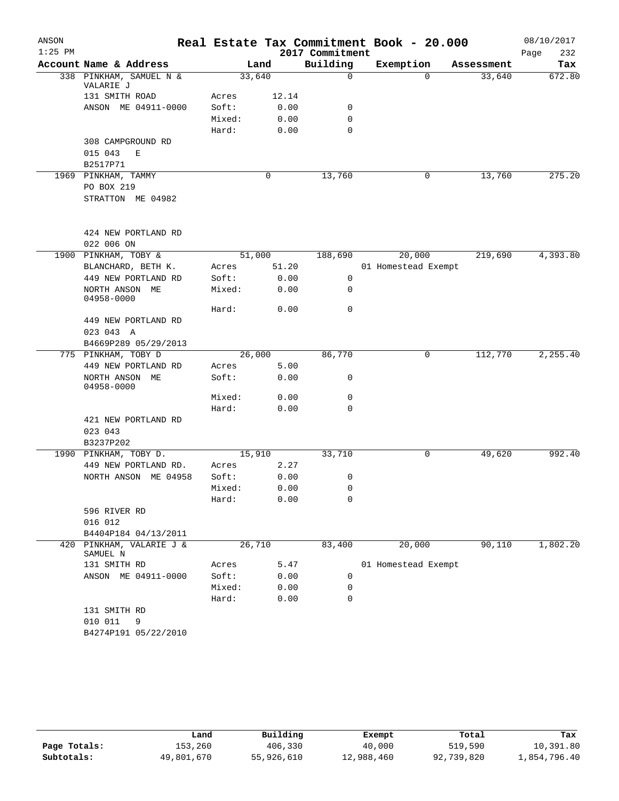| ANSON     |                                      |        |       |                 | Real Estate Tax Commitment Book - 20.000 |            | 08/10/2017  |
|-----------|--------------------------------------|--------|-------|-----------------|------------------------------------------|------------|-------------|
| $1:25$ PM |                                      |        |       | 2017 Commitment |                                          |            | Page<br>232 |
|           | Account Name & Address               |        | Land  | Building        | Exemption                                | Assessment | Tax         |
|           | 338 PINKHAM, SAMUEL N &<br>VALARIE J | 33,640 |       | $\mathbf 0$     | $\Omega$                                 | 33,640     | 672.80      |
|           | 131 SMITH ROAD                       | Acres  | 12.14 |                 |                                          |            |             |
|           | ANSON ME 04911-0000                  | Soft:  | 0.00  | 0               |                                          |            |             |
|           |                                      | Mixed: | 0.00  | 0               |                                          |            |             |
|           |                                      | Hard:  | 0.00  | 0               |                                          |            |             |
|           | 308 CAMPGROUND RD                    |        |       |                 |                                          |            |             |
|           | 015 043<br>E                         |        |       |                 |                                          |            |             |
|           | B2517P71                             |        |       |                 |                                          |            |             |
|           | 1969 PINKHAM, TAMMY                  |        | 0     | 13,760          | 0                                        | 13,760     | 275.20      |
|           | PO BOX 219                           |        |       |                 |                                          |            |             |
|           | STRATTON ME 04982                    |        |       |                 |                                          |            |             |
|           | 424 NEW PORTLAND RD                  |        |       |                 |                                          |            |             |
|           | 022 006 ON                           |        |       |                 |                                          |            |             |
| 1900      | PINKHAM, TOBY &                      | 51,000 |       | 188,690         | 20,000                                   | 219,690    | 4,393.80    |
|           | BLANCHARD, BETH K.                   | Acres  | 51.20 |                 | 01 Homestead Exempt                      |            |             |
|           | 449 NEW PORTLAND RD                  | Soft:  | 0.00  | 0               |                                          |            |             |
|           | NORTH ANSON ME<br>04958-0000         | Mixed: | 0.00  | 0               |                                          |            |             |
|           |                                      | Hard:  | 0.00  | 0               |                                          |            |             |
|           | 449 NEW PORTLAND RD                  |        |       |                 |                                          |            |             |
|           | 023 043 A                            |        |       |                 |                                          |            |             |
|           | B4669P289 05/29/2013                 |        |       |                 |                                          |            |             |
|           | 775 PINKHAM, TOBY D                  | 26,000 |       | 86,770          | $\mathbf 0$                              | 112,770    | 2,255.40    |
|           | 449 NEW PORTLAND RD                  | Acres  | 5.00  |                 |                                          |            |             |
|           | NORTH ANSON ME<br>04958-0000         | Soft:  | 0.00  | 0               |                                          |            |             |
|           |                                      | Mixed: | 0.00  | 0               |                                          |            |             |
|           |                                      | Hard:  | 0.00  | 0               |                                          |            |             |
|           | 421 NEW PORTLAND RD                  |        |       |                 |                                          |            |             |
|           | 023 043                              |        |       |                 |                                          |            |             |
|           | B3237P202                            |        |       |                 |                                          |            |             |
|           | 1990 PINKHAM, TOBY D.                | 15,910 |       | 33,710          | 0                                        | 49,620     | 992.40      |
|           | 449 NEW PORTLAND RD.                 | Acres  | 2.27  |                 |                                          |            |             |
|           | NORTH ANSON ME 04958                 | Soft:  | 0.00  | 0               |                                          |            |             |
|           |                                      | Mixed: | 0.00  | 0               |                                          |            |             |
|           |                                      | Hard:  | 0.00  | 0               |                                          |            |             |
|           | 596 RIVER RD                         |        |       |                 |                                          |            |             |
|           | 016 012                              |        |       |                 |                                          |            |             |
|           | B4404P184 04/13/2011                 |        |       |                 |                                          |            |             |
|           | 420 PINKHAM, VALARIE J &<br>SAMUEL N | 26,710 |       | 83,400          | 20,000                                   | 90,110     | 1,802.20    |
|           | 131 SMITH RD                         | Acres  | 5.47  |                 | 01 Homestead Exempt                      |            |             |
|           | ANSON ME 04911-0000                  | Soft:  | 0.00  | 0               |                                          |            |             |
|           |                                      | Mixed: | 0.00  | 0               |                                          |            |             |
|           |                                      | Hard:  | 0.00  | $\mathbf 0$     |                                          |            |             |
|           | 131 SMITH RD<br>010 011              |        |       |                 |                                          |            |             |
|           | 9                                    |        |       |                 |                                          |            |             |
|           | B4274P191 05/22/2010                 |        |       |                 |                                          |            |             |

|              | Land       | Building   | Exempt     | Total      | Tax          |
|--------------|------------|------------|------------|------------|--------------|
| Page Totals: | 153,260    | 406,330    | 40,000     | 519,590    | 10,391.80    |
| Subtotals:   | 49,801,670 | 55,926,610 | 12,988,460 | 92,739,820 | 1,854,796.40 |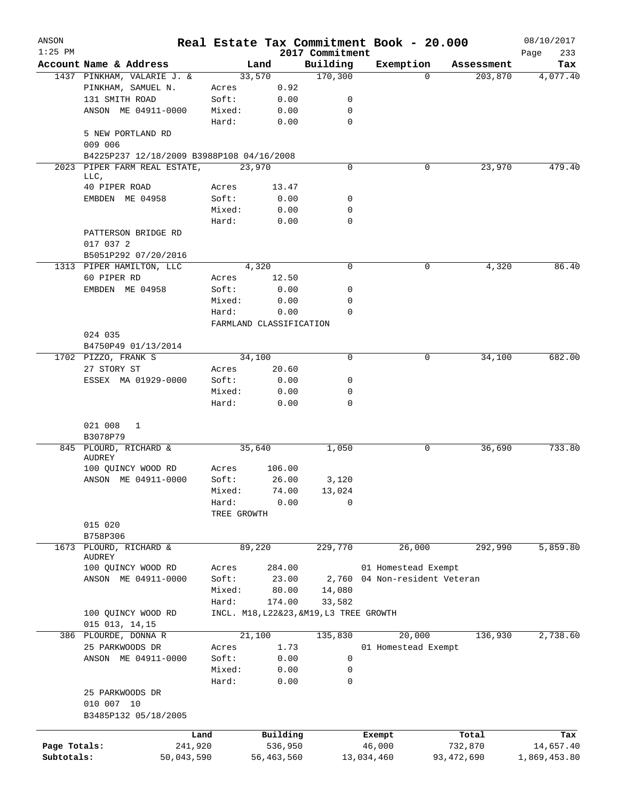| ANSON<br>$1:25$ PM |                                           |                         |                     |                                         |                      | Real Estate Tax Commitment Book - 20.000 |              | 08/10/2017         |
|--------------------|-------------------------------------------|-------------------------|---------------------|-----------------------------------------|----------------------|------------------------------------------|--------------|--------------------|
|                    | Account Name & Address                    | Land                    |                     | 2017 Commitment<br>Building             |                      | Exemption                                | Assessment   | Page<br>233<br>Tax |
|                    | 1437 PINKHAM, VALARIE J. &                | 33,570                  |                     | 170,300                                 |                      | $\Omega$                                 | 203,870      | 4,077.40           |
|                    | PINKHAM, SAMUEL N.                        | Acres                   | 0.92                |                                         |                      |                                          |              |                    |
|                    | 131 SMITH ROAD                            | Soft:                   | 0.00                | 0                                       |                      |                                          |              |                    |
|                    | ANSON ME 04911-0000                       | Mixed:                  | 0.00                | 0                                       |                      |                                          |              |                    |
|                    |                                           | Hard:                   | 0.00                | $\mathbf 0$                             |                      |                                          |              |                    |
|                    | 5 NEW PORTLAND RD<br>009 006              |                         |                     |                                         |                      |                                          |              |                    |
|                    | B4225P237 12/18/2009 B3988P108 04/16/2008 |                         |                     |                                         |                      |                                          |              |                    |
|                    | 2023 PIPER FARM REAL ESTATE,              | 23,970                  |                     | 0                                       |                      | 0                                        | 23,970       | 479.40             |
|                    | LLC,                                      |                         |                     |                                         |                      |                                          |              |                    |
|                    | 40 PIPER ROAD                             | Acres                   | 13.47               |                                         |                      |                                          |              |                    |
|                    | EMBDEN ME 04958                           | Soft:                   | 0.00                | 0                                       |                      |                                          |              |                    |
|                    |                                           | Mixed:                  | 0.00                | 0                                       |                      |                                          |              |                    |
|                    |                                           | Hard:                   | 0.00                | 0                                       |                      |                                          |              |                    |
|                    | PATTERSON BRIDGE RD<br>017 037 2          |                         |                     |                                         |                      |                                          |              |                    |
|                    | B5051P292 07/20/2016                      |                         |                     |                                         |                      |                                          |              |                    |
|                    | 1313 PIPER HAMILTON, LLC                  | 4,320                   |                     | 0                                       |                      | 0                                        | 4,320        | 86.40              |
|                    | 60 PIPER RD                               | Acres                   | 12.50               |                                         |                      |                                          |              |                    |
|                    | EMBDEN ME 04958                           | Soft:                   | 0.00                | 0                                       |                      |                                          |              |                    |
|                    |                                           | Mixed:                  | 0.00                | 0                                       |                      |                                          |              |                    |
|                    |                                           | Hard:                   | 0.00                | $\Omega$                                |                      |                                          |              |                    |
|                    |                                           | FARMLAND CLASSIFICATION |                     |                                         |                      |                                          |              |                    |
|                    | 024 035                                   |                         |                     |                                         |                      |                                          |              |                    |
|                    | B4750P49 01/13/2014                       |                         |                     |                                         |                      |                                          |              |                    |
|                    | 1702 PIZZO, FRANK S                       | 34,100                  |                     | $\Omega$                                |                      | 0                                        | 34,100       | 682.00             |
|                    | 27 STORY ST                               | Acres                   | 20.60               |                                         |                      |                                          |              |                    |
|                    | ESSEX MA 01929-0000                       | Soft:                   | 0.00                | 0                                       |                      |                                          |              |                    |
|                    |                                           | Mixed:                  | 0.00                | 0                                       |                      |                                          |              |                    |
|                    |                                           | Hard:                   | 0.00                | 0                                       |                      |                                          |              |                    |
|                    |                                           |                         |                     |                                         |                      |                                          |              |                    |
|                    | 021 008<br>1<br>B3078P79                  |                         |                     |                                         |                      |                                          |              |                    |
|                    | 845 PLOURD, RICHARD &                     | 35,640                  |                     | 1,050                                   |                      | 0                                        | 36,690       | 733.80             |
|                    | AUDREY                                    |                         |                     |                                         |                      |                                          |              |                    |
|                    | 100 QUINCY WOOD RD                        | Acres                   | 106.00              |                                         |                      |                                          |              |                    |
|                    | ANSON ME 04911-0000                       | Soft:                   | 26.00               | 3,120                                   |                      |                                          |              |                    |
|                    |                                           | Mixed:                  | 74.00               | 13,024                                  |                      |                                          |              |                    |
|                    |                                           | Hard:                   | 0.00                | 0                                       |                      |                                          |              |                    |
|                    |                                           | TREE GROWTH             |                     |                                         |                      |                                          |              |                    |
|                    | 015 020                                   |                         |                     |                                         |                      |                                          |              |                    |
|                    | B758P306                                  |                         |                     |                                         |                      |                                          |              |                    |
|                    | 1673 PLOURD, RICHARD &                    | 89,220                  |                     | 229,770                                 |                      | 26,000                                   | 292,990      | 5,859.80           |
|                    | AUDREY                                    |                         |                     |                                         |                      |                                          |              |                    |
|                    | 100 QUINCY WOOD RD                        | Acres                   | 284.00              |                                         |                      | 01 Homestead Exempt                      |              |                    |
|                    | ANSON ME 04911-0000                       | Soft:                   | 23.00               | 2,760                                   |                      | 04 Non-resident Veteran                  |              |                    |
|                    |                                           | Mixed:                  | 80.00               | 14,080                                  |                      |                                          |              |                    |
|                    |                                           | Hard:                   | 174.00              | 33,582                                  |                      |                                          |              |                    |
|                    | 100 QUINCY WOOD RD                        |                         |                     | INCL. M18, L22&23, &M19, L3 TREE GROWTH |                      |                                          |              |                    |
|                    | 015 013, 14, 15                           |                         |                     |                                         |                      |                                          |              |                    |
|                    | 386 PLOURDE, DONNA R                      | 21,100                  |                     | 135,830                                 |                      | 20,000                                   | 136,930      | 2,738.60           |
|                    | 25 PARKWOODS DR                           | Acres                   | 1.73                |                                         |                      | 01 Homestead Exempt                      |              |                    |
|                    | ANSON ME 04911-0000                       | Soft:                   | 0.00                | 0                                       |                      |                                          |              |                    |
|                    |                                           | Mixed:                  | 0.00                | 0                                       |                      |                                          |              |                    |
|                    |                                           | Hard:                   | 0.00                | 0                                       |                      |                                          |              |                    |
|                    | 25 PARKWOODS DR                           |                         |                     |                                         |                      |                                          |              |                    |
|                    | 010 007 10                                |                         |                     |                                         |                      |                                          |              |                    |
|                    | B3485P132 05/18/2005                      |                         |                     |                                         |                      |                                          |              |                    |
|                    |                                           |                         |                     |                                         |                      |                                          |              |                    |
|                    | Land                                      |                         | Building<br>536,950 |                                         | Exempt               |                                          | Total        | Tax                |
| Page Totals:       | 241,920                                   |                         |                     |                                         | 46,000<br>13,034,460 |                                          | 732,870      | 14,657.40          |
| Subtotals:         | 50,043,590                                |                         | 56, 463, 560        |                                         |                      |                                          | 93, 472, 690 | 1,869,453.80       |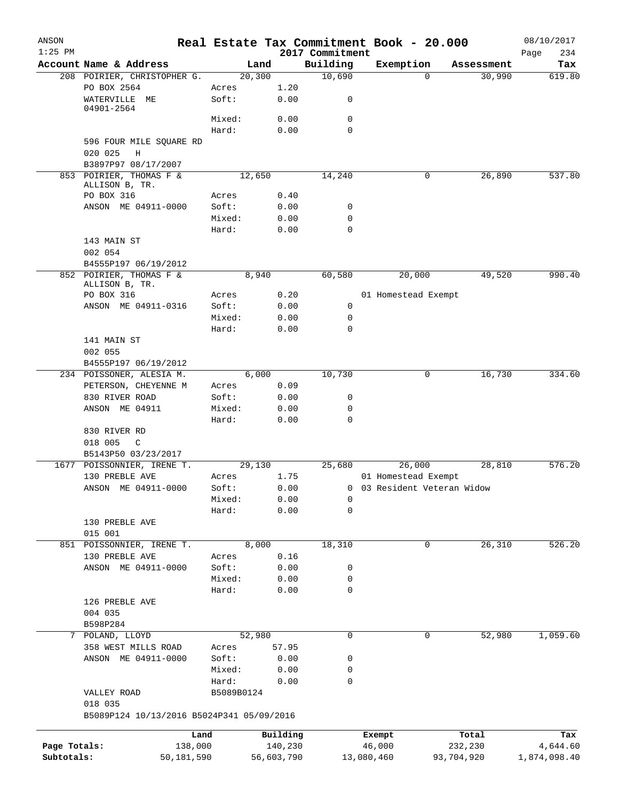| ANSON<br>$1:25$ PM |                                                      | Real Estate Tax Commitment Book - 20.000 |            | 2017 Commitment |                             |             |            | 08/10/2017         |
|--------------------|------------------------------------------------------|------------------------------------------|------------|-----------------|-----------------------------|-------------|------------|--------------------|
|                    | Account Name & Address                               | Land                                     |            | Building        | Exemption                   |             | Assessment | Page<br>234<br>Tax |
|                    | 208 POIRIER, CHRISTOPHER G.                          | 20,300                                   |            | 10,690          |                             | 0           | 30,990     | 619.80             |
|                    | PO BOX 2564                                          | Acres                                    | 1.20       |                 |                             |             |            |                    |
|                    | WATERVILLE ME<br>04901-2564                          | Soft:                                    | 0.00       | 0               |                             |             |            |                    |
|                    |                                                      | Mixed:                                   | 0.00       | $\mathbf 0$     |                             |             |            |                    |
|                    |                                                      | Hard:                                    | 0.00       | $\mathbf 0$     |                             |             |            |                    |
|                    | 596 FOUR MILE SQUARE RD                              |                                          |            |                 |                             |             |            |                    |
|                    | 020 025<br>Η                                         |                                          |            |                 |                             |             |            |                    |
|                    | B3897P97 08/17/2007<br>853 POIRIER, THOMAS F &       | 12,650                                   |            | 14,240          |                             | 0           | 26,890     | 537.80             |
|                    | ALLISON B, TR.                                       |                                          |            |                 |                             |             |            |                    |
|                    | PO BOX 316                                           | Acres                                    | 0.40       |                 |                             |             |            |                    |
|                    | ANSON ME 04911-0000                                  | Soft:                                    | 0.00       | 0               |                             |             |            |                    |
|                    |                                                      | Mixed:                                   | 0.00       | 0               |                             |             |            |                    |
|                    |                                                      | Hard:                                    | 0.00       | $\mathbf 0$     |                             |             |            |                    |
|                    | 143 MAIN ST                                          |                                          |            |                 |                             |             |            |                    |
|                    | 002 054                                              |                                          |            |                 |                             |             |            |                    |
|                    | B4555P197 06/19/2012                                 |                                          |            |                 |                             |             |            |                    |
|                    | 852 POIRIER, THOMAS F &<br>ALLISON B, TR.            | 8,940                                    |            | 60,580          |                             | 20,000      | 49,520     | 990.40             |
|                    | PO BOX 316                                           | Acres                                    | 0.20       |                 | 01 Homestead Exempt         |             |            |                    |
|                    | ANSON ME 04911-0316                                  | Soft:                                    | 0.00       | 0               |                             |             |            |                    |
|                    |                                                      | Mixed:                                   | 0.00       | 0               |                             |             |            |                    |
|                    |                                                      | Hard:                                    | 0.00       | $\mathbf 0$     |                             |             |            |                    |
|                    | 141 MAIN ST                                          |                                          |            |                 |                             |             |            |                    |
|                    | 002 055                                              |                                          |            |                 |                             |             |            |                    |
|                    | B4555P197 06/19/2012                                 |                                          |            |                 |                             |             |            |                    |
|                    | 234 POISSONER, ALESIA M.                             | 6,000                                    |            | 10,730          |                             | 0           | 16,730     | 334.60             |
|                    | PETERSON, CHEYENNE M                                 | Acres                                    | 0.09       |                 |                             |             |            |                    |
|                    | 830 RIVER ROAD                                       | Soft:                                    | 0.00       | 0               |                             |             |            |                    |
|                    | ANSON ME 04911                                       | Mixed:                                   | 0.00       | 0               |                             |             |            |                    |
|                    |                                                      | Hard:                                    | 0.00       | $\mathbf 0$     |                             |             |            |                    |
|                    | 830 RIVER RD                                         |                                          |            |                 |                             |             |            |                    |
|                    | 018 005<br>$\mathbb{C}$                              |                                          |            |                 |                             |             |            |                    |
|                    | B5143P50 03/23/2017                                  |                                          |            |                 |                             |             |            |                    |
| 1677               | POISSONNIER, IRENE T.                                | 29,130                                   |            | 25,680          |                             | 26,000      | 28,810     | 576.20             |
|                    | 130 PREBLE AVE                                       | Acres                                    | 1.75       |                 | 01 Homestead Exempt         |             |            |                    |
|                    | ANSON ME 04911-0000                                  | Soft:                                    | 0.00       |                 | 0 03 Resident Veteran Widow |             |            |                    |
|                    |                                                      | Mixed:                                   | 0.00       | 0               |                             |             |            |                    |
|                    |                                                      | Hard:                                    | 0.00       | $\mathbf 0$     |                             |             |            |                    |
|                    | 130 PREBLE AVE                                       |                                          |            |                 |                             |             |            |                    |
|                    | 015 001<br>851 POISSONNIER, IRENE T.                 | 8,000                                    |            | 18,310          |                             | $\mathbf 0$ | 26,310     | 526.20             |
|                    | 130 PREBLE AVE                                       | Acres                                    | 0.16       |                 |                             |             |            |                    |
|                    | ANSON ME 04911-0000                                  | Soft:                                    | 0.00       | 0               |                             |             |            |                    |
|                    |                                                      | Mixed:                                   | 0.00       | 0               |                             |             |            |                    |
|                    |                                                      | Hard:                                    | 0.00       | 0               |                             |             |            |                    |
|                    | 126 PREBLE AVE                                       |                                          |            |                 |                             |             |            |                    |
|                    | 004 035                                              |                                          |            |                 |                             |             |            |                    |
|                    | B598P284                                             |                                          |            |                 |                             |             |            |                    |
|                    | 7 POLAND, LLOYD                                      | 52,980                                   |            | $\mathsf{O}$    |                             | 0           | 52,980     | 1,059.60           |
|                    | 358 WEST MILLS ROAD                                  | Acres                                    | 57.95      |                 |                             |             |            |                    |
|                    | ANSON ME 04911-0000                                  | Soft:                                    | 0.00       | 0               |                             |             |            |                    |
|                    |                                                      | Mixed:                                   | 0.00       | 0               |                             |             |            |                    |
|                    |                                                      | Hard:                                    | 0.00       | 0               |                             |             |            |                    |
|                    | VALLEY ROAD                                          | B5089B0124                               |            |                 |                             |             |            |                    |
|                    | 018 035<br>B5089P124 10/13/2016 B5024P341 05/09/2016 |                                          |            |                 |                             |             |            |                    |
|                    | Land                                                 |                                          | Building   |                 |                             |             | Total      | Tax                |
| Page Totals:       | 138,000                                              |                                          | 140,230    |                 | Exempt<br>46,000            |             | 232,230    | 4,644.60           |
| Subtotals:         | 50,181,590                                           |                                          | 56,603,790 |                 | 13,080,460                  |             | 93,704,920 | 1,874,098.40       |
|                    |                                                      |                                          |            |                 |                             |             |            |                    |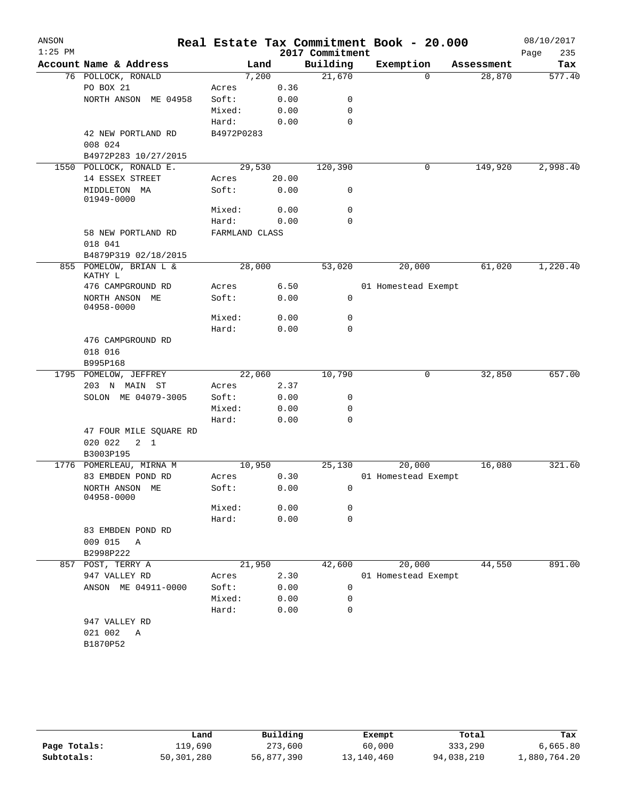| ANSON     |                                   |                |       |                             | Real Estate Tax Commitment Book - 20.000 |            | 08/10/2017         |
|-----------|-----------------------------------|----------------|-------|-----------------------------|------------------------------------------|------------|--------------------|
| $1:25$ PM | Account Name & Address            |                | Land  | 2017 Commitment<br>Building | Exemption                                | Assessment | 235<br>Page<br>Tax |
|           | 76 POLLOCK, RONALD                |                | 7,200 | 21,670                      | $\Omega$                                 | 28,870     | 577.40             |
|           | PO BOX 21                         | Acres          | 0.36  |                             |                                          |            |                    |
|           | NORTH ANSON ME 04958              | Soft:          | 0.00  | 0                           |                                          |            |                    |
|           |                                   | Mixed:         | 0.00  | 0                           |                                          |            |                    |
|           |                                   | Hard:          | 0.00  | $\mathbf 0$                 |                                          |            |                    |
|           | 42 NEW PORTLAND RD                | B4972P0283     |       |                             |                                          |            |                    |
|           | 008 024                           |                |       |                             |                                          |            |                    |
|           | B4972P283 10/27/2015              |                |       |                             |                                          |            |                    |
|           | 1550 POLLOCK, RONALD E.           | 29,530         |       | 120,390                     | 0                                        | 149,920    | 2,998.40           |
|           | 14 ESSEX STREET                   | Acres          | 20.00 |                             |                                          |            |                    |
|           | MIDDLETON MA<br>01949-0000        | Soft:          | 0.00  | 0                           |                                          |            |                    |
|           |                                   | Mixed:         | 0.00  | $\mathbf 0$                 |                                          |            |                    |
|           |                                   | Hard:          | 0.00  | $\mathbf 0$                 |                                          |            |                    |
|           | 58 NEW PORTLAND RD<br>018 041     | FARMLAND CLASS |       |                             |                                          |            |                    |
|           | B4879P319 02/18/2015              |                |       |                             |                                          |            |                    |
|           | 855 POMELOW, BRIAN L &<br>KATHY L | 28,000         |       | 53,020                      | 20,000                                   | 61,020     | 1,220.40           |
|           | 476 CAMPGROUND RD                 | Acres          | 6.50  |                             | 01 Homestead Exempt                      |            |                    |
|           | NORTH ANSON ME<br>04958-0000      | Soft:          | 0.00  | 0                           |                                          |            |                    |
|           |                                   | Mixed:         | 0.00  | 0                           |                                          |            |                    |
|           |                                   | Hard:          | 0.00  | 0                           |                                          |            |                    |
|           | 476 CAMPGROUND RD                 |                |       |                             |                                          |            |                    |
|           | 018 016                           |                |       |                             |                                          |            |                    |
|           | B995P168                          |                |       |                             |                                          |            |                    |
| 1795      | POMELOW, JEFFREY                  | 22,060         |       | 10,790                      | 0                                        | 32,850     | 657.00             |
|           | 203 N MAIN ST                     | Acres          | 2.37  |                             |                                          |            |                    |
|           | SOLON ME 04079-3005               | Soft:          | 0.00  | 0                           |                                          |            |                    |
|           |                                   | Mixed:         | 0.00  | 0                           |                                          |            |                    |
|           |                                   | Hard:          | 0.00  | 0                           |                                          |            |                    |
|           | 47 FOUR MILE SQUARE RD            |                |       |                             |                                          |            |                    |
|           | 020 022<br>$2 \quad 1$            |                |       |                             |                                          |            |                    |
|           | B3003P195                         |                |       |                             |                                          |            |                    |
|           | 1776 POMERLEAU, MIRNA M           | 10,950         |       | 25,130                      | 20,000                                   | 16,080     | 321.60             |
|           | 83 EMBDEN POND RD                 | Acres          | 0.30  |                             | 01 Homestead Exempt                      |            |                    |
|           | NORTH ANSON ME<br>04958-0000      | Soft:          | 0.00  | 0                           |                                          |            |                    |
|           |                                   | Mixed:         | 0.00  | 0                           |                                          |            |                    |
|           |                                   | Hard:          | 0.00  | $\mathbf 0$                 |                                          |            |                    |
|           | 83 EMBDEN POND RD                 |                |       |                             |                                          |            |                    |
|           | 009 015<br>A                      |                |       |                             |                                          |            |                    |
|           | B2998P222                         |                |       |                             |                                          |            |                    |
|           | 857 POST, TERRY A                 | 21,950         |       | 42,600                      | 20,000                                   | 44,550     | 891.00             |
|           | 947 VALLEY RD                     | Acres          | 2.30  |                             | 01 Homestead Exempt                      |            |                    |
|           | ANSON ME 04911-0000               | Soft:          | 0.00  | 0                           |                                          |            |                    |
|           |                                   | Mixed:         | 0.00  | 0                           |                                          |            |                    |
|           |                                   | Hard:          | 0.00  | 0                           |                                          |            |                    |
|           | 947 VALLEY RD                     |                |       |                             |                                          |            |                    |
|           | 021 002<br>A                      |                |       |                             |                                          |            |                    |
|           | B1870P52                          |                |       |                             |                                          |            |                    |
|           |                                   |                |       |                             |                                          |            |                    |

|              | Land       | Building   | Exempt     | Total      | Tax          |
|--------------|------------|------------|------------|------------|--------------|
| Page Totals: | 119,690    | 273,600    | 60,000     | 333,290    | 6,665.80     |
| Subtotals:   | 50,301,280 | 56,877,390 | 13,140,460 | 94,038,210 | 1,880,764.20 |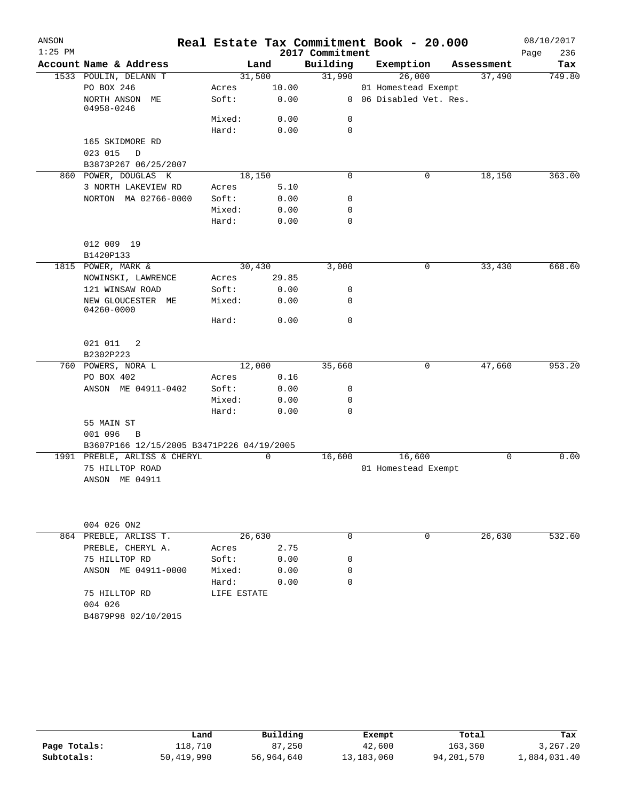| ANSON     |                                           |                 |              |                 | Real Estate Tax Commitment Book - 20.000 |            | 08/10/2017  |
|-----------|-------------------------------------------|-----------------|--------------|-----------------|------------------------------------------|------------|-------------|
| $1:25$ PM |                                           |                 |              | 2017 Commitment |                                          |            | 236<br>Page |
|           | Account Name & Address                    |                 | Land         | Building        | Exemption                                | Assessment | Tax         |
|           | 1533 POULIN, DELANN T                     |                 | 31,500       | 31,990          | 26,000                                   | 37,490     | 749.80      |
|           | PO BOX 246<br>NORTH ANSON ME              | Acres           | 10.00        |                 | 01 Homestead Exempt                      |            |             |
|           | 04958-0246                                | Soft:           | 0.00         |                 | 0 06 Disabled Vet. Res.                  |            |             |
|           |                                           | Mixed:          | 0.00         | 0               |                                          |            |             |
|           |                                           | Hard:           | 0.00         | $\mathbf 0$     |                                          |            |             |
|           | 165 SKIDMORE RD                           |                 |              |                 |                                          |            |             |
|           | 023 015<br>D                              |                 |              |                 |                                          |            |             |
|           | B3873P267 06/25/2007                      |                 |              |                 |                                          |            |             |
|           | 860 POWER, DOUGLAS K                      |                 | 18,150       | $\mathbf 0$     | 0                                        | 18,150     | 363.00      |
|           | 3 NORTH LAKEVIEW RD                       | Acres           | 5.10         |                 |                                          |            |             |
|           | NORTON MA 02766-0000                      | Soft:           | 0.00         | 0               |                                          |            |             |
|           |                                           | Mixed:          | 0.00         | 0               |                                          |            |             |
|           |                                           | Hard:           | 0.00         | $\mathbf 0$     |                                          |            |             |
|           |                                           |                 |              |                 |                                          |            |             |
|           | 012 009 19                                |                 |              |                 |                                          |            |             |
|           | B1420P133<br>1815 POWER, MARK &           |                 | 30,430       | 3,000           | 0                                        | 33,430     | 668.60      |
|           | NOWINSKI, LAWRENCE                        | Acres           | 29.85        |                 |                                          |            |             |
|           | 121 WINSAW ROAD                           | Soft:           | 0.00         | 0               |                                          |            |             |
|           | NEW GLOUCESTER ME                         | Mixed:          | 0.00         | 0               |                                          |            |             |
|           | 04260-0000                                |                 |              |                 |                                          |            |             |
|           |                                           | Hard:           | 0.00         | $\mathbf 0$     |                                          |            |             |
|           |                                           |                 |              |                 |                                          |            |             |
|           | 021 011 2                                 |                 |              |                 |                                          |            |             |
|           | B2302P223                                 |                 |              |                 |                                          |            |             |
|           | 760 POWERS, NORA L                        |                 | 12,000       | 35,660          | 0                                        | 47,660     | 953.20      |
|           | PO BOX 402                                | Acres           | 0.16         |                 |                                          |            |             |
|           | ANSON ME 04911-0402                       | Soft:           | 0.00         | 0               |                                          |            |             |
|           |                                           | Mixed:<br>Hard: | 0.00<br>0.00 | 0<br>0          |                                          |            |             |
|           | 55 MAIN ST                                |                 |              |                 |                                          |            |             |
|           | 001 096<br>B                              |                 |              |                 |                                          |            |             |
|           | B3607P166 12/15/2005 B3471P226 04/19/2005 |                 |              |                 |                                          |            |             |
|           | 1991 PREBLE, ARLISS & CHERYL              |                 | 0            | 16,600          | 16,600                                   | 0          | 0.00        |
|           | 75 HILLTOP ROAD                           |                 |              |                 | 01 Homestead Exempt                      |            |             |
|           | ANSON ME 04911                            |                 |              |                 |                                          |            |             |
|           |                                           |                 |              |                 |                                          |            |             |
|           |                                           |                 |              |                 |                                          |            |             |
|           |                                           |                 |              |                 |                                          |            |             |
|           | 004 026 ON2                               |                 |              |                 |                                          |            |             |
|           | 864 PREBLE, ARLISS T.                     |                 | 26,630       | 0               | 0                                        | 26,630     | 532.60      |
|           | PREBLE, CHERYL A.                         | Acres           | 2.75         |                 |                                          |            |             |
|           | 75 HILLTOP RD                             | Soft:           | 0.00         | 0               |                                          |            |             |
|           | ANSON ME 04911-0000                       | Mixed:          | 0.00         | 0               |                                          |            |             |
|           |                                           | Hard:           | 0.00         | $\mathbf 0$     |                                          |            |             |
|           | 75 HILLTOP RD<br>004 026                  |                 | LIFE ESTATE  |                 |                                          |            |             |
|           | B4879P98 02/10/2015                       |                 |              |                 |                                          |            |             |
|           |                                           |                 |              |                 |                                          |            |             |

|              | Land       | Building   | Exempt     | Total      | Tax          |
|--------------|------------|------------|------------|------------|--------------|
| Page Totals: | 118,710    | 87,250     | 42,600     | 163,360    | 3,267.20     |
| Subtotals:   | 50,419,990 | 56,964,640 | 13,183,060 | 94,201,570 | 1,884,031.40 |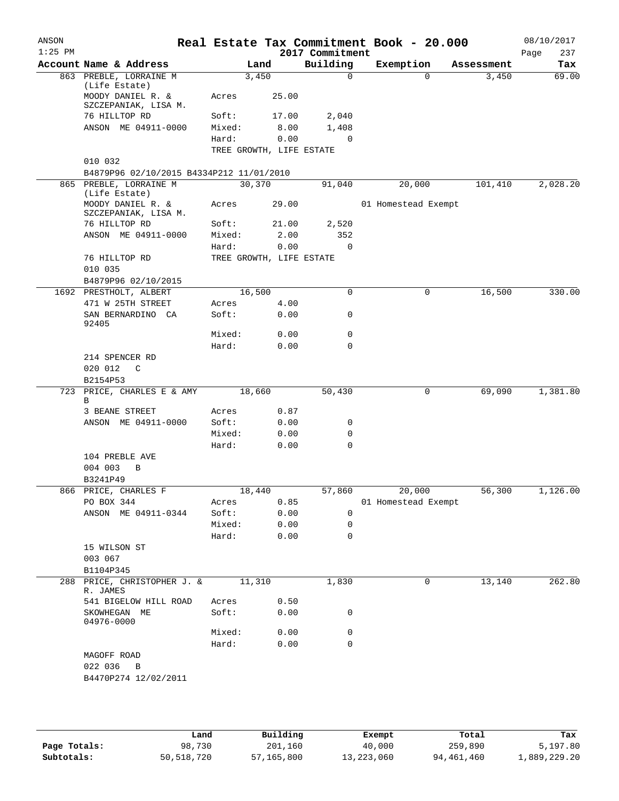| ANSON     |                                                  |                          |              |                         | Real Estate Tax Commitment Book - 20.000 |                     | 08/10/2017   |
|-----------|--------------------------------------------------|--------------------------|--------------|-------------------------|------------------------------------------|---------------------|--------------|
| $1:25$ PM |                                                  |                          |              | 2017 Commitment         |                                          |                     | 237<br>Page  |
|           | Account Name & Address<br>863 PREBLE, LORRAINE M | 3,450                    | Land         | Building<br>$\mathbf 0$ | Exemption<br>$\Omega$                    | Assessment<br>3,450 | Tax<br>69.00 |
|           | (Life Estate)                                    |                          |              |                         |                                          |                     |              |
|           | MOODY DANIEL R. &<br>SZCZEPANIAK, LISA M.        | Acres                    | 25.00        |                         |                                          |                     |              |
|           | 76 HILLTOP RD                                    | Soft:                    | 17.00        | 2,040                   |                                          |                     |              |
|           | ANSON ME 04911-0000                              | Mixed:                   | 8.00         | 1,408                   |                                          |                     |              |
|           |                                                  | Hard:                    | 0.00         | $\mathbf 0$             |                                          |                     |              |
|           |                                                  | TREE GROWTH, LIFE ESTATE |              |                         |                                          |                     |              |
|           | 010 032                                          |                          |              |                         |                                          |                     |              |
|           | B4879P96 02/10/2015 B4334P212 11/01/2010         |                          |              |                         |                                          |                     |              |
|           | 865 PREBLE, LORRAINE M<br>(Life Estate)          | 30,370                   |              | 91,040                  | 20,000                                   | 101,410             | 2,028.20     |
|           | MOODY DANIEL R. &<br>SZCZEPANIAK, LISA M.        | Acres                    | 29.00        |                         | 01 Homestead Exempt                      |                     |              |
|           | 76 HILLTOP RD                                    | Soft:                    | 21.00        | 2,520                   |                                          |                     |              |
|           | ANSON ME 04911-0000                              | Mixed:                   | 2.00         | 352                     |                                          |                     |              |
|           |                                                  | Hard:                    | 0.00         | $\mathbf 0$             |                                          |                     |              |
|           | 76 HILLTOP RD<br>010 035                         | TREE GROWTH, LIFE ESTATE |              |                         |                                          |                     |              |
|           | B4879P96 02/10/2015                              |                          |              |                         |                                          |                     |              |
|           | 1692 PRESTHOLT, ALBERT                           | 16,500                   |              | 0                       | 0                                        | 16,500              | 330.00       |
|           | 471 W 25TH STREET                                | Acres                    | 4.00         |                         |                                          |                     |              |
|           | SAN BERNARDINO CA<br>92405                       | Soft:                    | 0.00         | 0                       |                                          |                     |              |
|           |                                                  | Mixed:                   | 0.00         | 0                       |                                          |                     |              |
|           |                                                  | Hard:                    | 0.00         | 0                       |                                          |                     |              |
|           | 214 SPENCER RD                                   |                          |              |                         |                                          |                     |              |
|           | 020 012<br>$\mathsf{C}$                          |                          |              |                         |                                          |                     |              |
|           | B2154P53<br>723 PRICE, CHARLES E & AMY           | 18,660                   |              | 50,430                  | 0                                        | 69,090              | 1,381.80     |
|           | B                                                |                          |              |                         |                                          |                     |              |
|           | 3 BEANE STREET                                   | Acres                    | 0.87         |                         |                                          |                     |              |
|           | ANSON ME 04911-0000                              | Soft:                    | 0.00         | 0                       |                                          |                     |              |
|           |                                                  | Mixed:                   | 0.00         | 0                       |                                          |                     |              |
|           |                                                  | Hard:                    | 0.00         | 0                       |                                          |                     |              |
|           | 104 PREBLE AVE                                   |                          |              |                         |                                          |                     |              |
|           | 004 003<br>B                                     |                          |              |                         |                                          |                     |              |
|           | B3241P49                                         |                          |              |                         |                                          |                     |              |
|           | 866 PRICE, CHARLES F<br>PO BOX 344               | 18,440<br>Acres          |              |                         | 57,860 20,000<br>01 Homestead Exempt     | 56,300              | 1,126.00     |
|           | ANSON ME 04911-0344                              | Soft:                    | 0.85<br>0.00 | $\mathbf 0$             |                                          |                     |              |
|           |                                                  | Mixed:                   | 0.00         | 0                       |                                          |                     |              |
|           |                                                  | Hard:                    | 0.00         | 0                       |                                          |                     |              |
|           | 15 WILSON ST                                     |                          |              |                         |                                          |                     |              |
|           | 003 067                                          |                          |              |                         |                                          |                     |              |
|           | B1104P345                                        |                          |              |                         |                                          |                     |              |
|           | 288 PRICE, CHRISTOPHER J. & 11,310<br>R. JAMES   |                          |              | 1,830                   | 0                                        | 13,140              | 262.80       |
|           | 541 BIGELOW HILL ROAD                            | Acres                    | 0.50         |                         |                                          |                     |              |
|           | SKOWHEGAN ME<br>04976-0000                       | Soft:                    | 0.00         | 0                       |                                          |                     |              |
|           |                                                  | Mixed:                   | 0.00         | 0                       |                                          |                     |              |
|           |                                                  | Hard:                    | 0.00         | 0                       |                                          |                     |              |
|           |                                                  |                          |              |                         |                                          |                     |              |
|           | MAGOFF ROAD                                      |                          |              |                         |                                          |                     |              |
|           | 022 036 B<br>B4470P274 12/02/2011                |                          |              |                         |                                          |                     |              |

|              | Land       | Building   | Exempt     | Total      | Tax          |
|--------------|------------|------------|------------|------------|--------------|
| Page Totals: | 98,730     | 201,160    | 40,000     | 259,890    | 5,197.80     |
| Subtotals:   | 50,518,720 | 57,165,800 | 13,223,060 | 94,461,460 | 1,889,229.20 |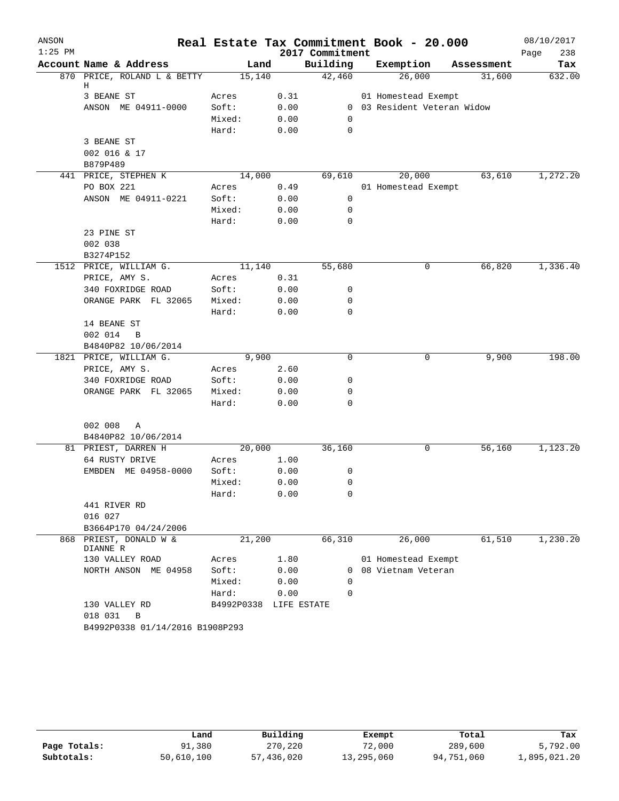| ANSON     |                                               |                        |      |                 | Real Estate Tax Commitment Book - 20.000 |            | 08/10/2017  |
|-----------|-----------------------------------------------|------------------------|------|-----------------|------------------------------------------|------------|-------------|
| $1:25$ PM |                                               |                        |      | 2017 Commitment |                                          |            | 238<br>Page |
|           | Account Name & Address                        | Land                   |      | Building        | Exemption                                | Assessment | Tax         |
|           | 870 PRICE, ROLAND L & BETTY<br>Η              | 15,140                 |      | 42,460          | 26,000                                   | 31,600     | 632.00      |
|           | 3 BEANE ST                                    | Acres                  | 0.31 |                 | 01 Homestead Exempt                      |            |             |
|           | ANSON ME 04911-0000                           | Soft:                  | 0.00 |                 | 0 03 Resident Veteran Widow              |            |             |
|           |                                               | Mixed:                 | 0.00 | $\mathbf 0$     |                                          |            |             |
|           |                                               | Hard:                  | 0.00 | 0               |                                          |            |             |
|           | 3 BEANE ST                                    |                        |      |                 |                                          |            |             |
|           | 002 016 & 17                                  |                        |      |                 |                                          |            |             |
|           | B879P489                                      |                        |      |                 |                                          |            |             |
|           | 441 PRICE, STEPHEN K                          | 14,000                 |      | 69,610          | 20,000                                   | 63,610     | 1,272.20    |
|           | PO BOX 221                                    | Acres                  | 0.49 |                 | 01 Homestead Exempt                      |            |             |
|           | ANSON ME 04911-0221                           | Soft:                  | 0.00 | 0               |                                          |            |             |
|           |                                               | Mixed:                 | 0.00 | 0               |                                          |            |             |
|           |                                               | Hard:                  | 0.00 | $\mathbf 0$     |                                          |            |             |
|           | 23 PINE ST                                    |                        |      |                 |                                          |            |             |
|           | 002 038                                       |                        |      |                 |                                          |            |             |
|           | B3274P152                                     |                        |      |                 |                                          |            |             |
|           | 1512 PRICE, WILLIAM G.                        | 11,140                 |      | 55,680          | 0                                        | 66,820     | 1,336.40    |
|           | PRICE, AMY S.                                 | Acres                  | 0.31 |                 |                                          |            |             |
|           | 340 FOXRIDGE ROAD                             | Soft:                  | 0.00 | 0               |                                          |            |             |
|           | ORANGE PARK FL 32065                          | Mixed:                 | 0.00 | 0               |                                          |            |             |
|           |                                               | Hard:                  | 0.00 | 0               |                                          |            |             |
|           | 14 BEANE ST                                   |                        |      |                 |                                          |            |             |
|           | 002 014<br>B                                  |                        |      |                 |                                          |            |             |
|           | B4840P82 10/06/2014<br>1821 PRICE, WILLIAM G. | 9,900                  |      | $\Omega$        | 0                                        | 9,900      | 198.00      |
|           | PRICE, AMY S.                                 | Acres                  | 2.60 |                 |                                          |            |             |
|           | 340 FOXRIDGE ROAD                             | Soft:                  | 0.00 | 0               |                                          |            |             |
|           | ORANGE PARK FL 32065                          | Mixed:                 | 0.00 | 0               |                                          |            |             |
|           |                                               | Hard:                  | 0.00 | 0               |                                          |            |             |
|           |                                               |                        |      |                 |                                          |            |             |
|           | 002 008<br>Α                                  |                        |      |                 |                                          |            |             |
|           | B4840P82 10/06/2014                           |                        |      |                 |                                          |            |             |
|           | 81 PRIEST, DARREN H                           | 20,000                 |      | 36,160          | 0                                        | 56,160     | 1,123.20    |
|           | 64 RUSTY DRIVE                                | Acres                  | 1.00 |                 |                                          |            |             |
|           | EMBDEN ME 04958-0000                          | Soft:                  | 0.00 | 0               |                                          |            |             |
|           |                                               | Mixed:                 | 0.00 | 0               |                                          |            |             |
|           |                                               | Hard:                  | 0.00 | 0               |                                          |            |             |
|           | 441 RIVER RD                                  |                        |      |                 |                                          |            |             |
|           | 016 027                                       |                        |      |                 |                                          |            |             |
|           | B3664P170 04/24/2006                          |                        |      |                 |                                          |            |             |
|           | 868 PRIEST, DONALD W &<br>DIANNE R            | 21,200                 |      | 66,310          | 26,000                                   | 61,510     | 1,230.20    |
|           | 130 VALLEY ROAD                               | Acres                  | 1.80 |                 | 01 Homestead Exempt                      |            |             |
|           | NORTH ANSON ME 04958                          | Soft:                  | 0.00 | $\Omega$        | 08 Vietnam Veteran                       |            |             |
|           |                                               | Mixed:                 | 0.00 | 0               |                                          |            |             |
|           |                                               | Hard:                  | 0.00 | $\Omega$        |                                          |            |             |
|           | 130 VALLEY RD                                 | B4992P0338 LIFE ESTATE |      |                 |                                          |            |             |
|           | 018 031<br>B                                  |                        |      |                 |                                          |            |             |
|           | B4992P0338 01/14/2016 B1908P293               |                        |      |                 |                                          |            |             |

|              | Land       | Building   | Exempt     | Total      | Tax          |
|--------------|------------|------------|------------|------------|--------------|
| Page Totals: | 91,380     | 270,220    | 72,000     | 289,600    | 5,792.00     |
| Subtotals:   | 50,610,100 | 57,436,020 | 13,295,060 | 94,751,060 | 1,895,021.20 |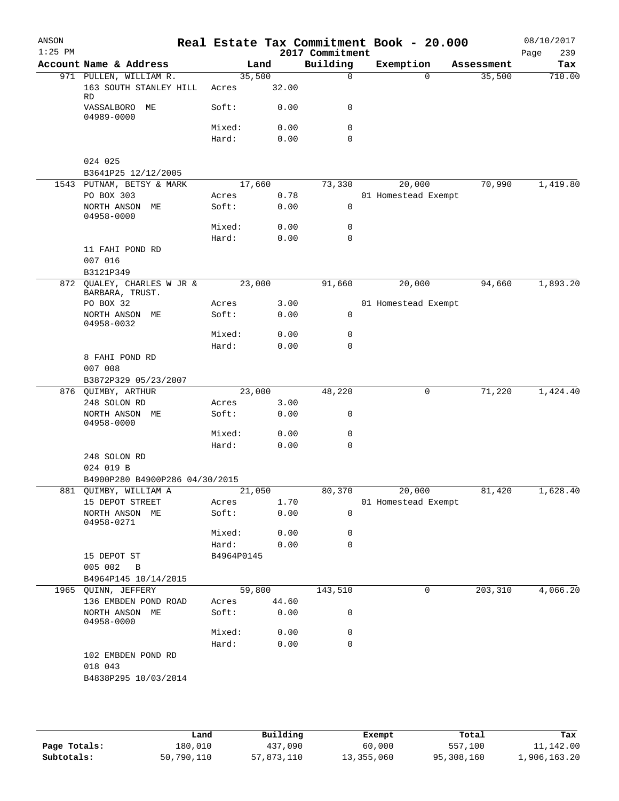| ANSON<br>$1:25$ PM |                                               |                 |               | 2017 Commitment | Real Estate Tax Commitment Book - 20.000 |            | 08/10/2017<br>239 |
|--------------------|-----------------------------------------------|-----------------|---------------|-----------------|------------------------------------------|------------|-------------------|
|                    | Account Name & Address                        |                 | Land          | Building        | Exemption                                | Assessment | Page<br>Tax       |
|                    | 971 PULLEN, WILLIAM R.                        | 35,500          |               | $\mathbf 0$     | $\Omega$                                 | 35,500     | 710.00            |
|                    | 163 SOUTH STANLEY HILL<br>RD                  | Acres           | 32.00         |                 |                                          |            |                   |
|                    | VASSALBORO ME<br>04989-0000                   | Soft:           | 0.00          | 0               |                                          |            |                   |
|                    |                                               | Mixed:          | 0.00          | 0               |                                          |            |                   |
|                    |                                               | Hard:           | 0.00          | 0               |                                          |            |                   |
|                    | 024 025<br>B3641P25 12/12/2005                |                 |               |                 |                                          |            |                   |
|                    | 1543 PUTNAM, BETSY & MARK                     | 17,660          |               | 73,330          | 20,000                                   | 70,990     | 1,419.80          |
|                    | PO BOX 303                                    | Acres           | 0.78          |                 | 01 Homestead Exempt                      |            |                   |
|                    | NORTH ANSON ME<br>04958-0000                  | Soft:           | 0.00          | 0               |                                          |            |                   |
|                    |                                               | Mixed:          | 0.00          | 0               |                                          |            |                   |
|                    |                                               | Hard:           | 0.00          | 0               |                                          |            |                   |
|                    | 11 FAHI POND RD<br>007 016                    |                 |               |                 |                                          |            |                   |
|                    | B3121P349                                     |                 |               |                 |                                          |            |                   |
|                    | 872 QUALEY, CHARLES W JR &<br>BARBARA, TRUST. | 23,000          |               | 91,660          | 20,000                                   | 94,660     | 1,893.20          |
|                    | PO BOX 32                                     | Acres           | 3.00          |                 | 01 Homestead Exempt                      |            |                   |
|                    | NORTH ANSON ME<br>04958-0032                  | Soft:           | 0.00          | 0               |                                          |            |                   |
|                    |                                               | Mixed:          | 0.00          | 0               |                                          |            |                   |
|                    |                                               | Hard:           | 0.00          | 0               |                                          |            |                   |
|                    | 8 FAHI POND RD                                |                 |               |                 |                                          |            |                   |
|                    | 007 008                                       |                 |               |                 |                                          |            |                   |
|                    | B3872P329 05/23/2007                          |                 |               |                 |                                          |            |                   |
|                    | 876 QUIMBY, ARTHUR<br>248 SOLON RD            | 23,000<br>Acres | 3.00          | 48,220          | 0                                        | 71,220     | 1,424.40          |
|                    | NORTH ANSON ME<br>04958-0000                  | Soft:           | 0.00          | 0               |                                          |            |                   |
|                    |                                               | Mixed:          | 0.00          | 0               |                                          |            |                   |
|                    |                                               | Hard:           | 0.00          | $\mathbf 0$     |                                          |            |                   |
|                    | 248 SOLON RD<br>024 019 B                     |                 |               |                 |                                          |            |                   |
|                    | B4900P280 B4900P286 04/30/2015                |                 |               |                 |                                          |            |                   |
|                    | 881 QUIMBY, WILLIAM A                         |                 | 21,050        |                 | 80,370 20,000                            | 81,420     | 1,628.40          |
|                    | 15 DEPOT STREET                               | Acres           | 1.70          |                 | 01 Homestead Exempt                      |            |                   |
|                    | NORTH ANSON ME<br>04958-0271                  | Soft:           | 0.00          | $\mathbf 0$     |                                          |            |                   |
|                    |                                               | Mixed:          | 0.00          | 0               |                                          |            |                   |
|                    |                                               | Hard:           | 0.00          | 0               |                                          |            |                   |
|                    | 15 DEPOT ST                                   | B4964P0145      |               |                 |                                          |            |                   |
|                    | 005 002 B                                     |                 |               |                 |                                          |            |                   |
|                    | B4964P145 10/14/2015                          |                 |               |                 |                                          |            |                   |
|                    | 1965 QUINN, JEFFERY                           | 59,800          |               | 143,510         | 0                                        | 203,310    | 4,066.20          |
|                    | 136 EMBDEN POND ROAD<br>NORTH ANSON ME        | Acres<br>Soft:  | 44.60<br>0.00 | 0               |                                          |            |                   |
|                    | 04958-0000                                    | Mixed:          | 0.00          | 0               |                                          |            |                   |
|                    |                                               |                 |               | 0               |                                          |            |                   |
|                    | 102 EMBDEN POND RD                            | Hard:           | 0.00          |                 |                                          |            |                   |
|                    | 018 043                                       |                 |               |                 |                                          |            |                   |
|                    | B4838P295 10/03/2014                          |                 |               |                 |                                          |            |                   |
|                    |                                               |                 |               |                 |                                          |            |                   |
|                    |                                               |                 |               |                 |                                          |            |                   |

|              | Land       | Building   | Exempt     | Total      | Tax          |
|--------------|------------|------------|------------|------------|--------------|
| Page Totals: | 180,010    | 437,090    | 60,000     | 557,100    | 11,142.00    |
| Subtotals:   | 50,790,110 | 57,873,110 | 13,355,060 | 95,308,160 | 1,906,163.20 |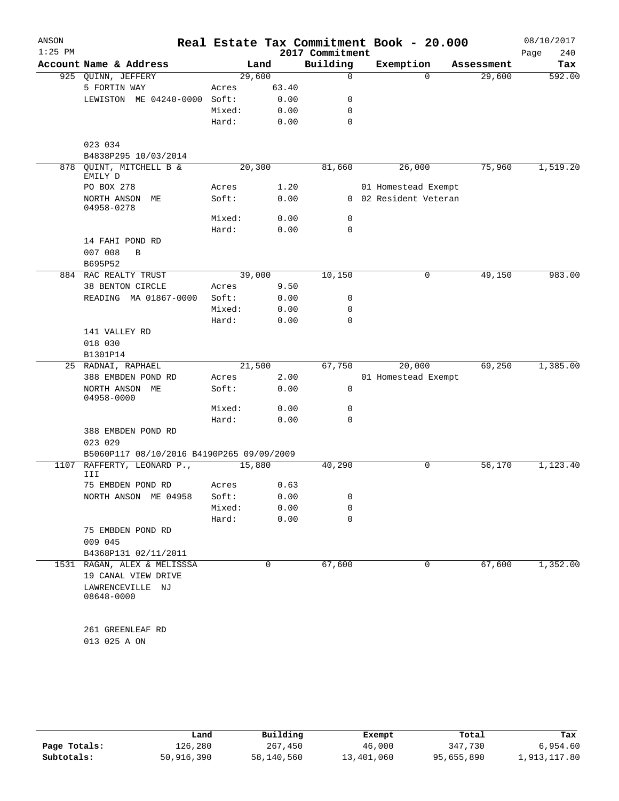| ANSON     |                                                    |         |       |                 | Real Estate Tax Commitment Book - 20.000 |            | 08/10/2017  |
|-----------|----------------------------------------------------|---------|-------|-----------------|------------------------------------------|------------|-------------|
| $1:25$ PM | Account Name & Address                             |         |       | 2017 Commitment |                                          |            | 240<br>Page |
|           |                                                    |         | Land  | Building        | Exemption                                | Assessment | Tax         |
|           | 925 QUINN, JEFFERY                                 | 29,600  |       | 0               | $\Omega$                                 | 29,600     | 592.00      |
|           | 5 FORTIN WAY                                       | Acres   | 63.40 |                 |                                          |            |             |
|           | LEWISTON ME 04240-0000                             | Soft:   | 0.00  | 0               |                                          |            |             |
|           |                                                    | Mixed:  | 0.00  | 0               |                                          |            |             |
|           |                                                    | Hard:   | 0.00  | 0               |                                          |            |             |
|           | 023 034                                            |         |       |                 |                                          |            |             |
|           | B4838P295 10/03/2014                               |         |       |                 |                                          |            |             |
| 878       | OUINT, MITCHELL B &<br>EMILY D                     | 20, 300 |       | 81,660          | 26,000                                   | 75,960     | 1,519.20    |
|           | PO BOX 278                                         | Acres   | 1.20  |                 | 01 Homestead Exempt                      |            |             |
|           | NORTH ANSON ME<br>04958-0278                       | Soft:   | 0.00  |                 | 0 02 Resident Veteran                    |            |             |
|           |                                                    | Mixed:  | 0.00  | 0               |                                          |            |             |
|           |                                                    | Hard:   | 0.00  | $\mathbf 0$     |                                          |            |             |
|           | 14 FAHI POND RD<br>007 008<br>B                    |         |       |                 |                                          |            |             |
|           | B695P52                                            |         |       |                 |                                          |            |             |
|           | 884 RAC REALTY TRUST                               | 39,000  |       | 10,150          | 0                                        | 49,150     | 983.00      |
|           | <b>38 BENTON CIRCLE</b>                            | Acres   | 9.50  |                 |                                          |            |             |
|           | READING MA 01867-0000                              | Soft:   | 0.00  | 0               |                                          |            |             |
|           |                                                    | Mixed:  | 0.00  | 0               |                                          |            |             |
|           |                                                    | Hard:   | 0.00  | 0               |                                          |            |             |
|           | 141 VALLEY RD                                      |         |       |                 |                                          |            |             |
|           | 018 030                                            |         |       |                 |                                          |            |             |
|           | B1301P14                                           |         |       |                 |                                          |            |             |
|           | 25 RADNAI, RAPHAEL                                 | 21,500  |       | 67,750          | 20,000                                   | 69,250     | 1,385.00    |
|           | 388 EMBDEN POND RD                                 | Acres   | 2.00  |                 | 01 Homestead Exempt                      |            |             |
|           | NORTH ANSON ME<br>04958-0000                       | Soft:   | 0.00  | 0               |                                          |            |             |
|           |                                                    | Mixed:  | 0.00  | 0               |                                          |            |             |
|           |                                                    | Hard:   | 0.00  | 0               |                                          |            |             |
|           | 388 EMBDEN POND RD<br>023 029                      |         |       |                 |                                          |            |             |
|           | B5060P117 08/10/2016 B4190P265 09/09/2009          |         |       |                 |                                          |            |             |
| 1107      | RAFFERTY, LEONARD P.,<br>III                       | 15,880  |       | 40,290          | 0                                        | 56,170     | 1,123.40    |
|           | 75 EMBDEN POND RD                                  | Acres   | 0.63  |                 |                                          |            |             |
|           | NORTH ANSON ME 04958                               | Soft:   | 0.00  | 0               |                                          |            |             |
|           |                                                    | Mixed:  | 0.00  | 0               |                                          |            |             |
|           |                                                    | Hard:   | 0.00  | 0               |                                          |            |             |
|           | 75 EMBDEN POND RD<br>009 045                       |         |       |                 |                                          |            |             |
|           | B4368P131 02/11/2011                               |         |       |                 |                                          |            |             |
|           | 1531 RAGAN, ALEX & MELISSSA<br>19 CANAL VIEW DRIVE |         | 0     | 67,600          | 0                                        | 67,600     | 1,352.00    |
|           | LAWRENCEVILLE NJ<br>08648-0000                     |         |       |                 |                                          |            |             |
|           | 261 GREENLEAF RD                                   |         |       |                 |                                          |            |             |
|           | 013 025 A ON                                       |         |       |                 |                                          |            |             |

|              | Land       | Building   | Exempt     | Total      | Tax          |
|--------------|------------|------------|------------|------------|--------------|
| Page Totals: | 126,280    | 267,450    | 46,000     | 347,730    | 6,954.60     |
| Subtotals:   | 50,916,390 | 58,140,560 | 13,401,060 | 95,655,890 | 1,913,117.80 |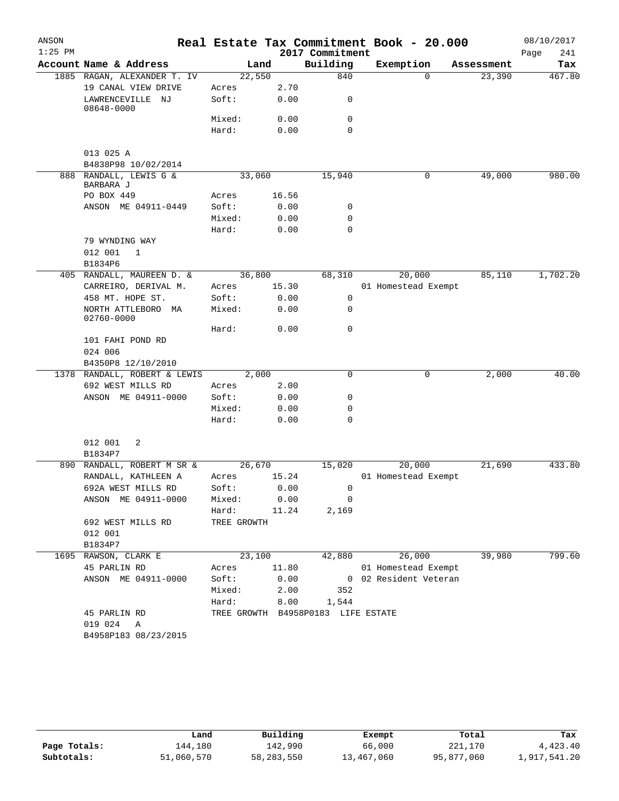| ANSON     |                                     |             |        |                                    | Real Estate Tax Commitment Book - 20.000 |            | 08/10/2017  |
|-----------|-------------------------------------|-------------|--------|------------------------------------|------------------------------------------|------------|-------------|
| $1:25$ PM |                                     |             |        | 2017 Commitment                    |                                          |            | Page<br>241 |
|           | Account Name & Address              |             | Land   | Building                           | Exemption                                | Assessment | Tax         |
|           | 1885 RAGAN, ALEXANDER T. IV         | 22,550      |        | 840                                | $\Omega$                                 | 23,390     | 467.80      |
|           | 19 CANAL VIEW DRIVE                 | Acres       | 2.70   |                                    |                                          |            |             |
|           | LAWRENCEVILLE NJ<br>08648-0000      | Soft:       | 0.00   | 0                                  |                                          |            |             |
|           |                                     | Mixed:      | 0.00   | $\mathbf 0$                        |                                          |            |             |
|           |                                     | Hard:       | 0.00   | $\Omega$                           |                                          |            |             |
|           | 013 025 A                           |             |        |                                    |                                          |            |             |
|           | B4838P98 10/02/2014                 |             |        |                                    |                                          |            |             |
|           | 888 RANDALL, LEWIS G &<br>BARBARA J | 33,060      |        | 15,940                             | 0                                        | 49,000     | 980.00      |
|           | PO BOX 449                          | Acres       | 16.56  |                                    |                                          |            |             |
|           | ANSON ME 04911-0449                 | Soft:       | 0.00   | 0                                  |                                          |            |             |
|           |                                     | Mixed:      | 0.00   | $\mathbf 0$                        |                                          |            |             |
|           |                                     | Hard:       | 0.00   | $\mathbf 0$                        |                                          |            |             |
|           | 79 WYNDING WAY                      |             |        |                                    |                                          |            |             |
|           | 012 001<br>$\mathbf 1$              |             |        |                                    |                                          |            |             |
|           | B1834P6                             |             |        |                                    |                                          |            |             |
|           | 405 RANDALL, MAUREEN D. &           | 36,800      |        | 68,310                             | 20,000                                   | 85,110     | 1,702.20    |
|           | CARREIRO, DERIVAL M.                | Acres       | 15.30  |                                    | 01 Homestead Exempt                      |            |             |
|           | 458 MT. HOPE ST.                    | Soft:       | 0.00   | 0                                  |                                          |            |             |
|           | NORTH ATTLEBORO MA<br>02760-0000    | Mixed:      | 0.00   | $\mathbf 0$                        |                                          |            |             |
|           |                                     | Hard:       | 0.00   | $\mathbf 0$                        |                                          |            |             |
|           | 101 FAHI POND RD<br>024 006         |             |        |                                    |                                          |            |             |
|           | B4350P8 12/10/2010                  |             |        |                                    |                                          |            |             |
|           | 1378 RANDALL, ROBERT & LEWIS        |             | 2,000  | $\mathbf 0$                        | 0                                        | 2,000      | 40.00       |
|           | 692 WEST MILLS RD                   | Acres       | 2.00   |                                    |                                          |            |             |
|           | ANSON ME 04911-0000                 | Soft:       | 0.00   | $\mathbf 0$                        |                                          |            |             |
|           |                                     | Mixed:      | 0.00   | $\mathbf 0$                        |                                          |            |             |
|           |                                     | Hard:       | 0.00   | $\mathbf 0$                        |                                          |            |             |
|           | 012 001<br>2                        |             |        |                                    |                                          |            |             |
|           | B1834P7                             |             |        |                                    |                                          |            |             |
|           | 890 RANDALL, ROBERT M SR &          | 26,670      |        | 15,020                             | 20,000                                   | 21,690     | 433.80      |
|           | RANDALL, KATHLEEN A                 | Acres       | 15.24  |                                    | 01 Homestead Exempt                      |            |             |
|           | 692A WEST MILLS RD                  | Soft: 0.00  |        | $\mathbf 0$                        |                                          |            |             |
|           | ANSON ME 04911-0000                 | Mixed: 0.00 |        | $\overline{0}$                     |                                          |            |             |
|           |                                     | Hard: 11.24 |        | 2,169                              |                                          |            |             |
|           | 692 WEST MILLS RD                   | TREE GROWTH |        |                                    |                                          |            |             |
|           | 012 001                             |             |        |                                    |                                          |            |             |
|           | B1834P7                             |             |        |                                    |                                          |            |             |
|           | 1695 RAWSON, CLARK E                |             | 23,100 |                                    | 42,880 26,000                            | 39,980     | 799.60      |
|           | 45 PARLIN RD                        | Acres 11.80 |        |                                    | 01 Homestead Exempt                      |            |             |
|           | ANSON ME 04911-0000                 |             |        |                                    | Soft: 0.00 02 Resident Veteran           |            |             |
|           |                                     |             |        | Mixed: 2.00 352                    |                                          |            |             |
|           |                                     |             |        | Hard: 8.00 1,544                   |                                          |            |             |
|           | 45 PARLIN RD                        |             |        | TREE GROWTH B4958P0183 LIFE ESTATE |                                          |            |             |
|           | 019 024 A                           |             |        |                                    |                                          |            |             |
|           | B4958P183 08/23/2015                |             |        |                                    |                                          |            |             |

|              | Land       | Building     | Exempt     | Total      | Tax          |
|--------------|------------|--------------|------------|------------|--------------|
| Page Totals: | 144,180    | 142,990      | 66,000     | 221,170    | 4,423.40     |
| Subtotals:   | 51,060,570 | 58, 283, 550 | 13,467,060 | 95,877,060 | 1,917,541.20 |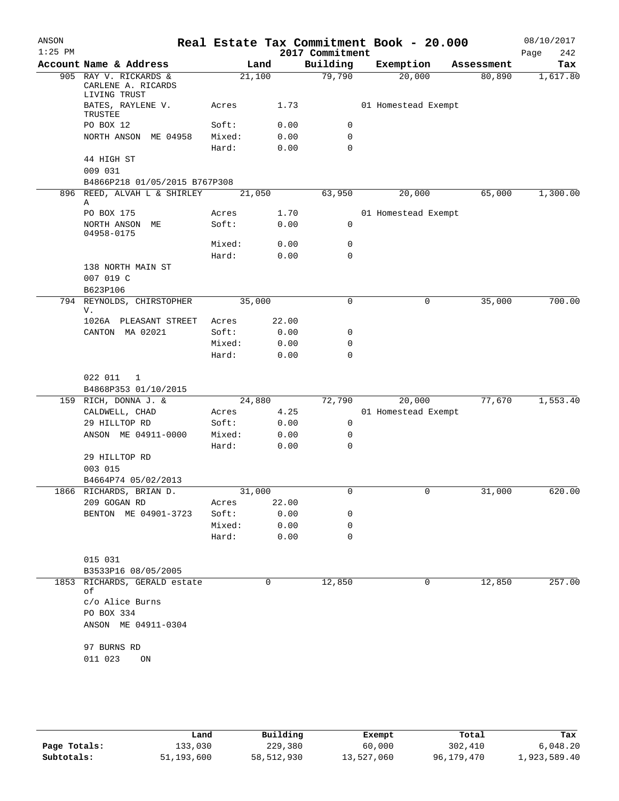| ANSON     |                                                         |        |       | Real Estate Tax Commitment Book - 20.000 |                     |           |            | 08/10/2017         |
|-----------|---------------------------------------------------------|--------|-------|------------------------------------------|---------------------|-----------|------------|--------------------|
| $1:25$ PM | Account Name & Address                                  |        | Land  | 2017 Commitment<br>Building              |                     | Exemption | Assessment | Page<br>242<br>Tax |
|           | 905 RAY V. RICKARDS &                                   | 21,100 |       | 79,790                                   |                     | 20,000    | 80,890     | 1,617.80           |
|           | CARLENE A. RICARDS<br>LIVING TRUST<br>BATES, RAYLENE V. | Acres  |       |                                          |                     |           |            |                    |
|           | TRUSTEE                                                 |        | 1.73  |                                          | 01 Homestead Exempt |           |            |                    |
|           | PO BOX 12                                               | Soft:  | 0.00  | 0                                        |                     |           |            |                    |
|           | NORTH ANSON ME 04958                                    | Mixed: | 0.00  | $\mathbf 0$                              |                     |           |            |                    |
|           |                                                         | Hard:  | 0.00  | $\mathbf 0$                              |                     |           |            |                    |
|           | 44 HIGH ST                                              |        |       |                                          |                     |           |            |                    |
|           | 009 031                                                 |        |       |                                          |                     |           |            |                    |
|           | B4866P218 01/05/2015 B767P308                           |        |       |                                          |                     |           |            |                    |
|           | 896 REED, ALVAH L & SHIRLEY 21,050<br>Α                 |        |       | 63,950                                   |                     | 20,000    | 65,000     | 1,300.00           |
|           | PO BOX 175                                              | Acres  | 1.70  |                                          | 01 Homestead Exempt |           |            |                    |
|           | NORTH ANSON ME<br>04958-0175                            | Soft:  | 0.00  | 0                                        |                     |           |            |                    |
|           |                                                         | Mixed: | 0.00  | 0                                        |                     |           |            |                    |
|           |                                                         | Hard:  | 0.00  | 0                                        |                     |           |            |                    |
|           | 138 NORTH MAIN ST                                       |        |       |                                          |                     |           |            |                    |
|           | 007 019 C                                               |        |       |                                          |                     |           |            |                    |
|           | B623P106                                                |        |       |                                          |                     |           |            |                    |
|           | 794 REYNOLDS, CHIRSTOPHER                               | 35,000 |       | 0                                        |                     | 0         | 35,000     | 700.00             |
|           | V.                                                      |        |       |                                          |                     |           |            |                    |
|           | 1026A PLEASANT STREET                                   | Acres  | 22.00 |                                          |                     |           |            |                    |
|           | CANTON MA 02021                                         | Soft:  | 0.00  | 0                                        |                     |           |            |                    |
|           |                                                         | Mixed: | 0.00  | 0                                        |                     |           |            |                    |
|           |                                                         | Hard:  | 0.00  | $\mathbf 0$                              |                     |           |            |                    |
|           | 022 011<br>$\mathbf{1}$                                 |        |       |                                          |                     |           |            |                    |
|           | B4868P353 01/10/2015                                    |        |       |                                          |                     |           |            |                    |
|           | 159 RICH, DONNA J. &                                    | 24,880 |       | 72,790                                   |                     | 20,000    | 77,670     | 1,553.40           |
|           | CALDWELL, CHAD                                          | Acres  | 4.25  |                                          | 01 Homestead Exempt |           |            |                    |
|           | 29 HILLTOP RD                                           | Soft:  | 0.00  | $\mathsf{O}$                             |                     |           |            |                    |
|           | ANSON ME 04911-0000                                     | Mixed: | 0.00  | 0                                        |                     |           |            |                    |
|           |                                                         | Hard:  | 0.00  | $\mathbf 0$                              |                     |           |            |                    |
|           | 29 HILLTOP RD                                           |        |       |                                          |                     |           |            |                    |
|           | 003 015                                                 |        |       |                                          |                     |           |            |                    |
|           | B4664P74 05/02/2013                                     |        |       |                                          |                     |           |            |                    |
|           | 1866 RICHARDS, BRIAN D.                                 | 31,000 |       | U                                        |                     | $\cup$    | 31,000     | 620.00             |
|           | 209 GOGAN RD                                            | Acres  | 22.00 |                                          |                     |           |            |                    |
|           | BENTON ME 04901-3723                                    | Soft:  | 0.00  | 0                                        |                     |           |            |                    |
|           |                                                         | Mixed: | 0.00  | 0                                        |                     |           |            |                    |
|           |                                                         | Hard:  | 0.00  | $\Omega$                                 |                     |           |            |                    |
|           | 015 031                                                 |        |       |                                          |                     |           |            |                    |
|           | B3533P16 08/05/2005                                     |        |       |                                          |                     |           |            |                    |
|           | 1853 RICHARDS, GERALD estate                            |        | 0     | 12,850                                   |                     | 0         | 12,850     | 257.00             |
|           | оf                                                      |        |       |                                          |                     |           |            |                    |
|           | c/o Alice Burns                                         |        |       |                                          |                     |           |            |                    |
|           | PO BOX 334                                              |        |       |                                          |                     |           |            |                    |
|           | ANSON ME 04911-0304                                     |        |       |                                          |                     |           |            |                    |
|           | 97 BURNS RD                                             |        |       |                                          |                     |           |            |                    |
|           | 011 023<br>ON                                           |        |       |                                          |                     |           |            |                    |
|           |                                                         |        |       |                                          |                     |           |            |                    |
|           |                                                         |        |       |                                          |                     |           |            |                    |

|              | Land         | Building   | Exempt     | Total      | Tax          |
|--------------|--------------|------------|------------|------------|--------------|
| Page Totals: | 133,030      | 229,380    | 60,000     | 302,410    | 6,048.20     |
| Subtotals:   | 51, 193, 600 | 58,512,930 | 13,527,060 | 96,179,470 | 1,923,589.40 |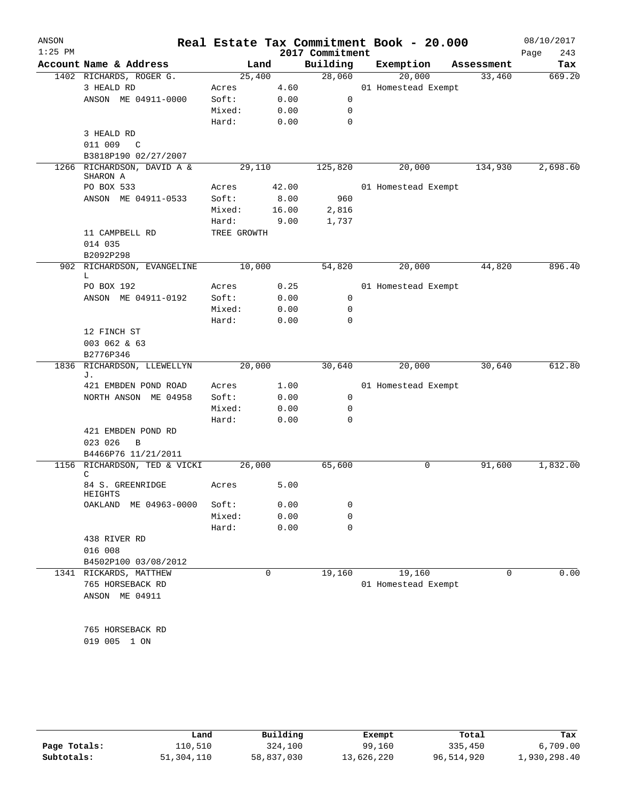| ANSON     |                                        |                 |              |                 | Real Estate Tax Commitment Book - 20.000 |            | 08/10/2017  |
|-----------|----------------------------------------|-----------------|--------------|-----------------|------------------------------------------|------------|-------------|
| $1:25$ PM |                                        |                 |              | 2017 Commitment |                                          |            | 243<br>Page |
|           | Account Name & Address                 |                 | Land         | Building        | Exemption                                | Assessment | Tax         |
|           | 1402 RICHARDS, ROGER G.                | 25,400          |              | 28,060          | 20,000                                   | 33,460     | 669.20      |
|           | 3 HEALD RD                             | Acres           | 4.60         |                 | 01 Homestead Exempt                      |            |             |
|           | ANSON ME 04911-0000                    | Soft:           | 0.00         | $\mathbf 0$     |                                          |            |             |
|           |                                        | Mixed:          | 0.00         | 0               |                                          |            |             |
|           |                                        | Hard:           | 0.00         | $\mathbf 0$     |                                          |            |             |
|           | 3 HEALD RD<br>011 009                  |                 |              |                 |                                          |            |             |
|           | $\overline{C}$<br>B3818P190 02/27/2007 |                 |              |                 |                                          |            |             |
|           | 1266 RICHARDSON, DAVID A &             | 29,110          |              | 125,820         | 20,000                                   | 134,930    | 2,698.60    |
|           | SHARON A                               |                 |              |                 |                                          |            |             |
|           | PO BOX 533                             | Acres           | 42.00        |                 | 01 Homestead Exempt                      |            |             |
|           | ANSON ME 04911-0533                    | Soft:           | 8.00         | 960             |                                          |            |             |
|           |                                        | Mixed:          | 16.00        | 2,816           |                                          |            |             |
|           |                                        | Hard:           | 9.00         | 1,737           |                                          |            |             |
|           | 11 CAMPBELL RD                         | TREE GROWTH     |              |                 |                                          |            |             |
|           | 014 035                                |                 |              |                 |                                          |            |             |
|           | B2092P298                              |                 |              |                 |                                          |            |             |
|           | 902 RICHARDSON, EVANGELINE<br>L        | 10,000          |              | 54,820          | 20,000                                   | 44,820     | 896.40      |
|           | PO BOX 192                             | Acres           | 0.25         |                 | 01 Homestead Exempt                      |            |             |
|           | ANSON ME 04911-0192                    | Soft:           | 0.00         | 0               |                                          |            |             |
|           |                                        | Mixed:          | 0.00         | 0               |                                          |            |             |
|           |                                        | Hard:           | 0.00         | $\mathbf 0$     |                                          |            |             |
|           | 12 FINCH ST                            |                 |              |                 |                                          |            |             |
|           | 003 062 & 63                           |                 |              |                 |                                          |            |             |
|           | B2776P346                              |                 |              |                 |                                          |            |             |
| 1836      | RICHARDSON, LLEWELLYN                  | 20,000          |              | 30,640          | 20,000                                   | 30,640     | 612.80      |
|           | J.                                     |                 |              |                 |                                          |            |             |
|           | 421 EMBDEN POND ROAD                   | Acres           | 1.00         |                 | 01 Homestead Exempt                      |            |             |
|           | NORTH ANSON ME 04958                   | Soft:           | 0.00         | 0               |                                          |            |             |
|           |                                        | Mixed:          | 0.00         | 0<br>$\Omega$   |                                          |            |             |
|           |                                        | Hard:           | 0.00         |                 |                                          |            |             |
|           | 421 EMBDEN POND RD<br>023 026<br>B     |                 |              |                 |                                          |            |             |
|           | B4466P76 11/21/2011                    |                 |              |                 |                                          |            |             |
|           | 1156 RICHARDSON, TED & VICKI           | 26,000          |              | 65,600          | 0                                        | 91,600     | 1,832.00    |
|           | C                                      |                 |              |                 |                                          |            |             |
|           | 84 S. GREENRIDGE                       | Acres           | 5.00         |                 |                                          |            |             |
|           | HEIGHTS<br>OAKLAND                     |                 |              |                 |                                          |            |             |
|           | ME 04963-0000                          | Soft:<br>Mixed: | 0.00<br>0.00 | 0<br>0          |                                          |            |             |
|           |                                        | Hard:           | 0.00         | 0               |                                          |            |             |
|           | 438 RIVER RD                           |                 |              |                 |                                          |            |             |
|           | 016 008                                |                 |              |                 |                                          |            |             |
|           | B4502P100 03/08/2012                   |                 |              |                 |                                          |            |             |
|           | 1341 RICKARDS, MATTHEW                 |                 | $\mathbf 0$  | 19,160          | 19,160                                   | $\Omega$   | 0.00        |
|           | 765 HORSEBACK RD                       |                 |              |                 | 01 Homestead Exempt                      |            |             |
|           | ANSON ME 04911                         |                 |              |                 |                                          |            |             |
|           |                                        |                 |              |                 |                                          |            |             |
|           |                                        |                 |              |                 |                                          |            |             |
|           | 765 HORSEBACK RD                       |                 |              |                 |                                          |            |             |
|           | 019 005 1 ON                           |                 |              |                 |                                          |            |             |
|           |                                        |                 |              |                 |                                          |            |             |

|              | Land       | Building   | Exempt     | Total      | Tax          |
|--------------|------------|------------|------------|------------|--------------|
| Page Totals: | 110,510    | 324,100    | 99,160     | 335,450    | 6,709.00     |
| Subtotals:   | 51,304,110 | 58,837,030 | 13,626,220 | 96,514,920 | 1,930,298.40 |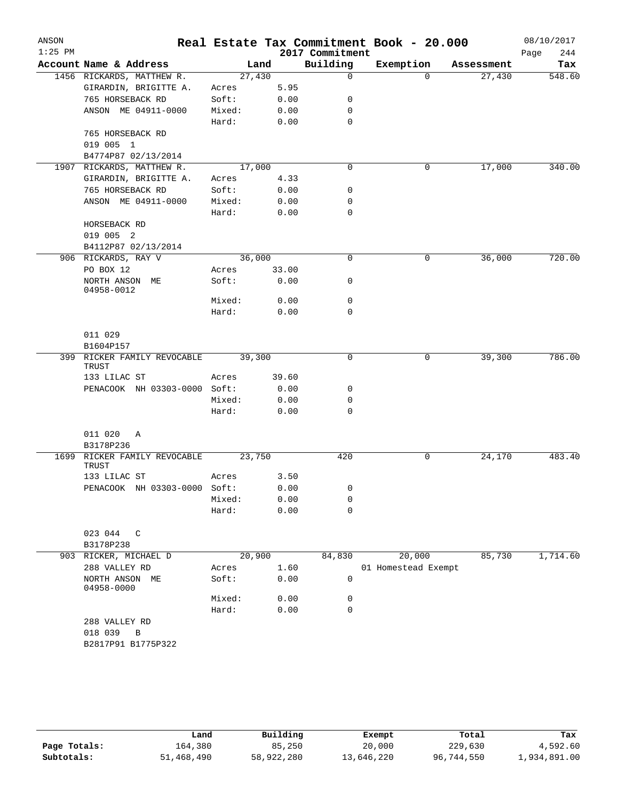| ANSON<br>$1:25$ PM |                                             |        |       | 2017 Commitment | Real Estate Tax Commitment Book - 20.000 |            | 08/10/2017<br>244<br>Page |
|--------------------|---------------------------------------------|--------|-------|-----------------|------------------------------------------|------------|---------------------------|
|                    | Account Name & Address                      | Land   |       | Building        | Exemption                                | Assessment | Tax                       |
|                    | 1456 RICKARDS, MATTHEW R.                   | 27,430 |       | $\mathsf{O}$    | $\Omega$                                 | 27,430     | 548.60                    |
|                    | GIRARDIN, BRIGITTE A.                       | Acres  | 5.95  |                 |                                          |            |                           |
|                    | 765 HORSEBACK RD                            | Soft:  | 0.00  | 0               |                                          |            |                           |
|                    | ANSON ME 04911-0000                         | Mixed: | 0.00  | 0               |                                          |            |                           |
|                    |                                             | Hard:  | 0.00  | 0               |                                          |            |                           |
|                    | 765 HORSEBACK RD                            |        |       |                 |                                          |            |                           |
|                    | 019 005 1                                   |        |       |                 |                                          |            |                           |
|                    | B4774P87 02/13/2014                         |        |       |                 |                                          |            |                           |
| 1907               | RICKARDS, MATTHEW R.                        | 17,000 |       | $\mathbf 0$     | 0                                        | 17,000     | 340.00                    |
|                    | GIRARDIN, BRIGITTE A.                       | Acres  | 4.33  |                 |                                          |            |                           |
|                    | 765 HORSEBACK RD                            | Soft:  | 0.00  | 0               |                                          |            |                           |
|                    | ANSON ME 04911-0000                         | Mixed: | 0.00  | 0               |                                          |            |                           |
|                    |                                             | Hard:  | 0.00  | 0               |                                          |            |                           |
|                    | HORSEBACK RD                                |        |       |                 |                                          |            |                           |
|                    | 019 005 2                                   |        |       |                 |                                          |            |                           |
|                    | B4112P87 02/13/2014                         |        |       |                 |                                          |            |                           |
|                    | 906 RICKARDS, RAY V                         | 36,000 |       | $\mathbf 0$     | 0                                        | 36,000     | 720.00                    |
|                    | PO BOX 12                                   | Acres  | 33.00 |                 |                                          |            |                           |
|                    | NORTH ANSON ME                              | Soft:  | 0.00  | 0               |                                          |            |                           |
|                    | 04958-0012                                  |        |       |                 |                                          |            |                           |
|                    |                                             | Mixed: | 0.00  | 0               |                                          |            |                           |
|                    |                                             | Hard:  | 0.00  | 0               |                                          |            |                           |
|                    |                                             |        |       |                 |                                          |            |                           |
|                    | 011 029                                     |        |       |                 |                                          |            |                           |
|                    | B1604P157                                   |        |       |                 |                                          |            |                           |
|                    | 399 RICKER FAMILY REVOCABLE<br><b>TRUST</b> | 39,300 |       | 0               | 0                                        | 39,300     | 786.00                    |
|                    | 133 LILAC ST                                | Acres  | 39.60 |                 |                                          |            |                           |
|                    | PENACOOK NH 03303-0000 Soft:                |        | 0.00  | 0               |                                          |            |                           |
|                    |                                             | Mixed: | 0.00  | 0               |                                          |            |                           |
|                    |                                             | Hard:  | 0.00  | 0               |                                          |            |                           |
|                    |                                             |        |       |                 |                                          |            |                           |
|                    | 011 020<br>Α                                |        |       |                 |                                          |            |                           |
|                    | B3178P236                                   |        |       |                 |                                          |            |                           |
| 1699               | RICKER FAMILY REVOCABLE                     | 23,750 |       | 420             | 0                                        | 24,170     | 483.40                    |
|                    | TRUST                                       |        |       |                 |                                          |            |                           |
|                    | 133 LILAC ST                                | Acres  | 3.50  |                 |                                          |            |                           |
|                    | PENACOOK NH 03303-0000 Soft:                |        | 0.00  | 0               |                                          |            |                           |
|                    |                                             | Mixed: | 0.00  | 0               |                                          |            |                           |
|                    |                                             | Hard:  | 0.00  | $\mathbf 0$     |                                          |            |                           |
|                    |                                             |        |       |                 |                                          |            |                           |
|                    | 023 044<br>$\mathbb{C}$                     |        |       |                 |                                          |            |                           |
|                    | B3178P238                                   |        |       |                 |                                          |            |                           |
|                    | 903 RICKER, MICHAEL D                       | 20,900 |       | 84,830          | 20,000                                   | 85,730     | 1,714.60                  |
|                    | 288 VALLEY RD                               | Acres  | 1.60  |                 | 01 Homestead Exempt                      |            |                           |
|                    | NORTH ANSON ME<br>04958-0000                | Soft:  | 0.00  | 0               |                                          |            |                           |
|                    |                                             | Mixed: | 0.00  | 0               |                                          |            |                           |
|                    |                                             | Hard:  | 0.00  | $\mathbf 0$     |                                          |            |                           |
|                    | 288 VALLEY RD                               |        |       |                 |                                          |            |                           |
|                    | 018 039<br>В                                |        |       |                 |                                          |            |                           |
|                    | B2817P91 B1775P322                          |        |       |                 |                                          |            |                           |
|                    |                                             |        |       |                 |                                          |            |                           |
|                    |                                             |        |       |                 |                                          |            |                           |

|              | Land       | Building   | Exempt     | Total      | Tax          |
|--------------|------------|------------|------------|------------|--------------|
| Page Totals: | 164,380    | 85,250     | 20,000     | 229,630    | 4,592.60     |
| Subtotals:   | 51,468,490 | 58,922,280 | 13,646,220 | 96,744,550 | 1,934,891.00 |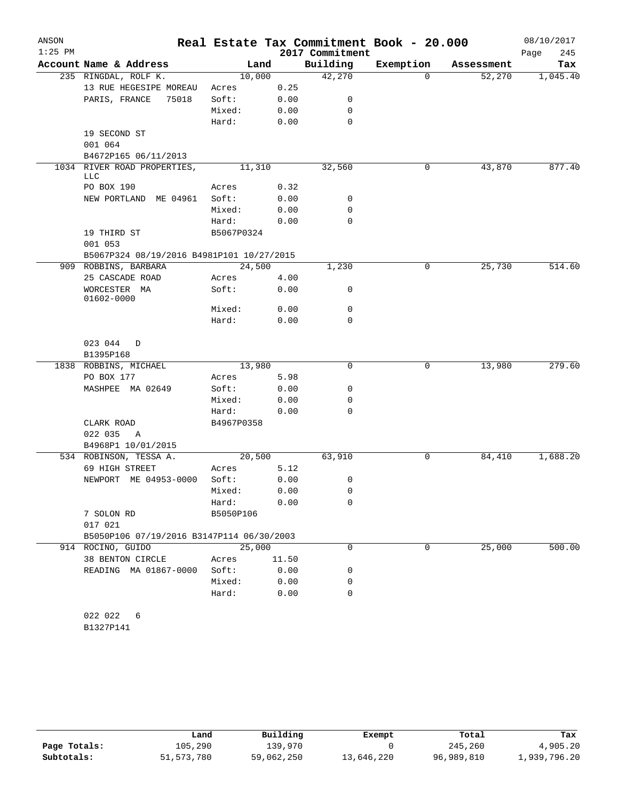| ANSON     |                                           |            |        |                 | Real Estate Tax Commitment Book - 20.000 |            | 08/10/2017  |
|-----------|-------------------------------------------|------------|--------|-----------------|------------------------------------------|------------|-------------|
| $1:25$ PM |                                           |            |        | 2017 Commitment |                                          |            | Page<br>245 |
|           | Account Name & Address                    |            | Land   | Building        | Exemption                                | Assessment | Tax         |
|           | 235 RINGDAL, ROLF K.                      | 10,000     |        | 42,270          | 0                                        | 52,270     | 1,045.40    |
|           | 13 RUE HEGESIPE MOREAU                    | Acres      | 0.25   |                 |                                          |            |             |
|           | PARIS, FRANCE<br>75018                    | Soft:      | 0.00   | 0               |                                          |            |             |
|           |                                           | Mixed:     | 0.00   | 0               |                                          |            |             |
|           |                                           | Hard:      | 0.00   | 0               |                                          |            |             |
|           | 19 SECOND ST                              |            |        |                 |                                          |            |             |
|           | 001 064<br>B4672P165 06/11/2013           |            |        |                 |                                          |            |             |
|           | 1034 RIVER ROAD PROPERTIES,               | 11,310     |        | 32,560          | 0                                        | 43,870     | 877.40      |
|           | LLC                                       |            |        |                 |                                          |            |             |
|           | PO BOX 190                                | Acres      | 0.32   |                 |                                          |            |             |
|           | NEW PORTLAND ME 04961                     | Soft:      | 0.00   | 0               |                                          |            |             |
|           |                                           | Mixed:     | 0.00   | 0               |                                          |            |             |
|           |                                           | Hard:      | 0.00   | 0               |                                          |            |             |
|           | 19 THIRD ST                               | B5067P0324 |        |                 |                                          |            |             |
|           | 001 053                                   |            |        |                 |                                          |            |             |
|           | B5067P324 08/19/2016 B4981P101 10/27/2015 |            |        |                 |                                          |            |             |
|           | 909 ROBBINS, BARBARA                      | 24,500     |        | 1,230           | $\mathsf{O}$                             | 25,730     | 514.60      |
|           | 25 CASCADE ROAD                           | Acres      | 4.00   |                 |                                          |            |             |
|           | WORCESTER MA                              | Soft:      | 0.00   | 0               |                                          |            |             |
|           | 01602-0000                                |            |        |                 |                                          |            |             |
|           |                                           | Mixed:     | 0.00   | 0               |                                          |            |             |
|           |                                           | Hard:      | 0.00   | 0               |                                          |            |             |
|           | 023 044<br>D                              |            |        |                 |                                          |            |             |
|           | B1395P168                                 |            |        |                 |                                          |            |             |
|           | 1838 ROBBINS, MICHAEL                     | 13,980     |        | 0               | 0                                        | 13,980     | 279.60      |
|           | PO BOX 177                                | Acres      | 5.98   |                 |                                          |            |             |
|           | MASHPEE MA 02649                          | Soft:      | 0.00   | 0               |                                          |            |             |
|           |                                           | Mixed:     | 0.00   | 0               |                                          |            |             |
|           |                                           | Hard:      | 0.00   | 0               |                                          |            |             |
|           | CLARK ROAD                                | B4967P0358 |        |                 |                                          |            |             |
|           | 022 035<br>Α                              |            |        |                 |                                          |            |             |
|           | B4968P1 10/01/2015                        |            |        |                 |                                          |            |             |
|           | 534 ROBINSON, TESSA A.                    |            | 20,500 | 63,910          | 0                                        | 84,410     | 1,688.20    |
|           | 69 HIGH STREET                            | Acres      | 5.12   |                 |                                          |            |             |
|           | NEWPORT ME 04953-0000                     | Soft:      | 0.00   | 0               |                                          |            |             |
|           |                                           | Mixed:     | 0.00   | 0               |                                          |            |             |
|           |                                           | Hard:      | 0.00   | 0               |                                          |            |             |
|           | 7 SOLON RD                                | B5050P106  |        |                 |                                          |            |             |
|           | 017 021                                   |            |        |                 |                                          |            |             |
|           | B5050P106 07/19/2016 B3147P114 06/30/2003 |            |        |                 |                                          |            |             |
|           | 914 ROCINO, GUIDO                         | 25,000     |        | 0               | $\Omega$                                 | 25,000     | 500.00      |
|           | 38 BENTON CIRCLE                          | Acres      | 11.50  |                 |                                          |            |             |
|           | READING MA 01867-0000                     | Soft:      | 0.00   | 0               |                                          |            |             |
|           |                                           | Mixed:     | 0.00   | 0               |                                          |            |             |
|           |                                           | Hard:      | 0.00   | 0               |                                          |            |             |
|           |                                           |            |        |                 |                                          |            |             |
|           | 022 022<br>6                              |            |        |                 |                                          |            |             |

|  | 1327P1 |  | 41 |  |
|--|--------|--|----|--|
|--|--------|--|----|--|

|              | Land       | Building   | Exempt     | Total      | Tax          |
|--------------|------------|------------|------------|------------|--------------|
| Page Totals: | 105,290    | 139,970    |            | 245,260    | 4,905.20     |
| Subtotals:   | 51,573,780 | 59,062,250 | 13,646,220 | 96,989,810 | 1,939,796.20 |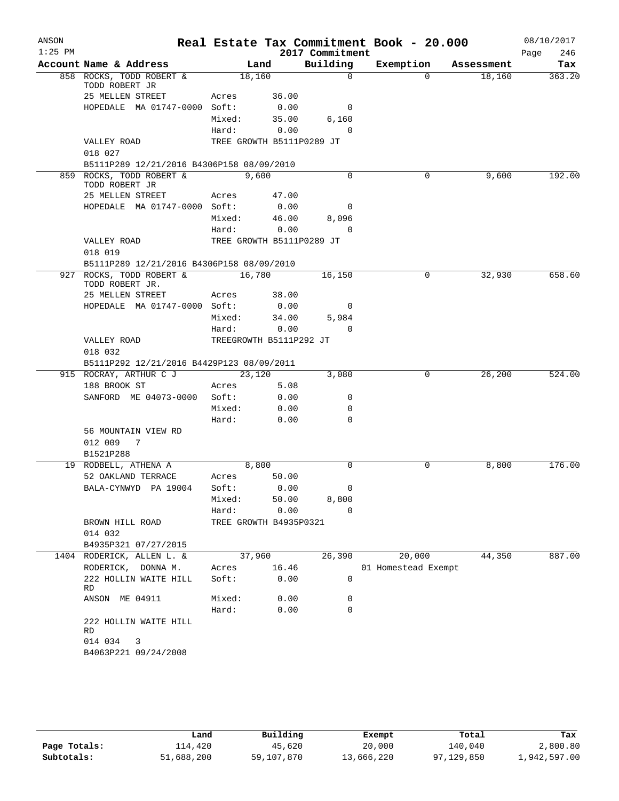| ANSON<br>$1:25$ PM |                                            |                           |              | 2017 Commitment          | Real Estate Tax Commitment Book - 20.000 |            | 08/10/2017         |
|--------------------|--------------------------------------------|---------------------------|--------------|--------------------------|------------------------------------------|------------|--------------------|
|                    | Account Name & Address                     |                           | Land         | Building                 | Exemption                                | Assessment | Page<br>246<br>Tax |
|                    | 858 ROCKS, TODD ROBERT &                   | 18,160                    |              | $\Omega$                 | $\Omega$                                 | 18,160     | 363.20             |
|                    | TODD ROBERT JR                             |                           |              |                          |                                          |            |                    |
|                    | 25 MELLEN STREET                           | Acres                     | 36.00        |                          |                                          |            |                    |
|                    | HOPEDALE MA 01747-0000 Soft:               |                           | 0.00         | 0                        |                                          |            |                    |
|                    |                                            | Mixed:                    | 35.00        | 6,160                    |                                          |            |                    |
|                    |                                            | Hard:                     | 0.00         | $\Omega$                 |                                          |            |                    |
|                    | VALLEY ROAD                                | TREE GROWTH B5111P0289 JT |              |                          |                                          |            |                    |
|                    | 018 027                                    |                           |              |                          |                                          |            |                    |
|                    | B5111P289 12/21/2016 B4306P158 08/09/2010  |                           |              |                          |                                          |            |                    |
|                    | 859 ROCKS, TODD ROBERT &<br>TODD ROBERT JR | 9,600                     |              | $\Omega$                 | $\Omega$                                 | 9,600      | 192.00             |
|                    | 25 MELLEN STREET                           | Acres 47.00               |              |                          |                                          |            |                    |
|                    | HOPEDALE MA 01747-0000 Soft:               |                           | 0.00         | 0                        |                                          |            |                    |
|                    |                                            | Mixed:                    | 46.00        | 8,096                    |                                          |            |                    |
|                    |                                            | Hard:                     | 0.00         | $\Omega$                 |                                          |            |                    |
|                    | VALLEY ROAD                                | TREE GROWTH B5111P0289 JT |              |                          |                                          |            |                    |
|                    | 018 019                                    |                           |              |                          |                                          |            |                    |
|                    | B5111P289 12/21/2016 B4306P158 08/09/2010  |                           |              |                          |                                          |            |                    |
| 927                | ROCKS, TODD ROBERT &<br>TODD ROBERT JR.    | $\overline{16,780}$       |              | 16,150                   | 0                                        | 32,930     | 658.60             |
|                    | 25 MELLEN STREET                           | Acres                     | 38.00        |                          |                                          |            |                    |
|                    | HOPEDALE MA 01747-0000 Soft:               |                           | 0.00         | $\overline{\phantom{0}}$ |                                          |            |                    |
|                    |                                            | Mixed:                    | 34.00        | 5,984                    |                                          |            |                    |
|                    |                                            | Hard:                     | 0.00         | $\Omega$                 |                                          |            |                    |
|                    | VALLEY ROAD                                | TREEGROWTH B5111P292 JT   |              |                          |                                          |            |                    |
|                    | 018 032                                    |                           |              |                          |                                          |            |                    |
|                    | B5111P292 12/21/2016 B4429P123 08/09/2011  |                           |              |                          |                                          |            |                    |
|                    | 915 ROCRAY, ARTHUR C J                     | 23,120                    |              | 3,080                    | $\overline{0}$                           | 26,200     | 524.00             |
|                    | 188 BROOK ST                               | Acres                     | 5.08         |                          |                                          |            |                    |
|                    | SANFORD ME 04073-0000                      | Soft:                     | 0.00         | 0<br>0                   |                                          |            |                    |
|                    |                                            | Mixed:<br>Hard:           | 0.00<br>0.00 | $\Omega$                 |                                          |            |                    |
|                    | 56 MOUNTAIN VIEW RD                        |                           |              |                          |                                          |            |                    |
|                    | 012 009<br>7                               |                           |              |                          |                                          |            |                    |
|                    | B1521P288                                  |                           |              |                          |                                          |            |                    |
|                    | 19 RODBELL, ATHENA A                       | 8,800                     |              | $\Omega$                 | 0                                        | 8,800      | 176.00             |
|                    | 52 OAKLAND TERRACE                         | Acres                     | 50.00        |                          |                                          |            |                    |
|                    | BALA-CYNWYD PA 19004                       | Soft: 0.00                |              | $\mathbf{0}$             |                                          |            |                    |
|                    |                                            |                           |              | Mixed: 50.00 8,800       |                                          |            |                    |
|                    |                                            | Hard: 0.00                |              | $\Omega$                 |                                          |            |                    |
|                    | BROWN HILL ROAD                            | TREE GROWTH B4935P0321    |              |                          |                                          |            |                    |
|                    | 014 032                                    |                           |              |                          |                                          |            |                    |
|                    | B4935P321 07/27/2015                       |                           |              |                          |                                          |            |                    |
|                    | 1404 RODERICK, ALLEN L. &                  | 37,960                    |              |                          | 26,390 20,000                            | 44,350     | 887.00             |
|                    | RODERICK, DONNA M.                         | Acres 16.46               |              |                          | 01 Homestead Exempt                      |            |                    |
|                    | 222 HOLLIN WAITE HILL<br>RD                | Soft: 0.00                |              | 0                        |                                          |            |                    |
|                    | ANSON ME 04911                             | Mixed: 0.00               |              | 0                        |                                          |            |                    |
|                    |                                            | Hard:                     | 0.00         | $\mathbf 0$              |                                          |            |                    |
|                    | 222 HOLLIN WAITE HILL<br>RD                |                           |              |                          |                                          |            |                    |
|                    | 014 034 3                                  |                           |              |                          |                                          |            |                    |
|                    | B4063P221 09/24/2008                       |                           |              |                          |                                          |            |                    |
|                    |                                            |                           |              |                          |                                          |            |                    |

|              | Land       | Building   | Exempt     | Total      | Tax          |
|--------------|------------|------------|------------|------------|--------------|
| Page Totals: | ⊥14,420    | 45,620     | 20,000     | 140,040    | 2,800.80     |
| Subtotals:   | 51,688,200 | 59,107,870 | 13,666,220 | 97,129,850 | 1,942,597.00 |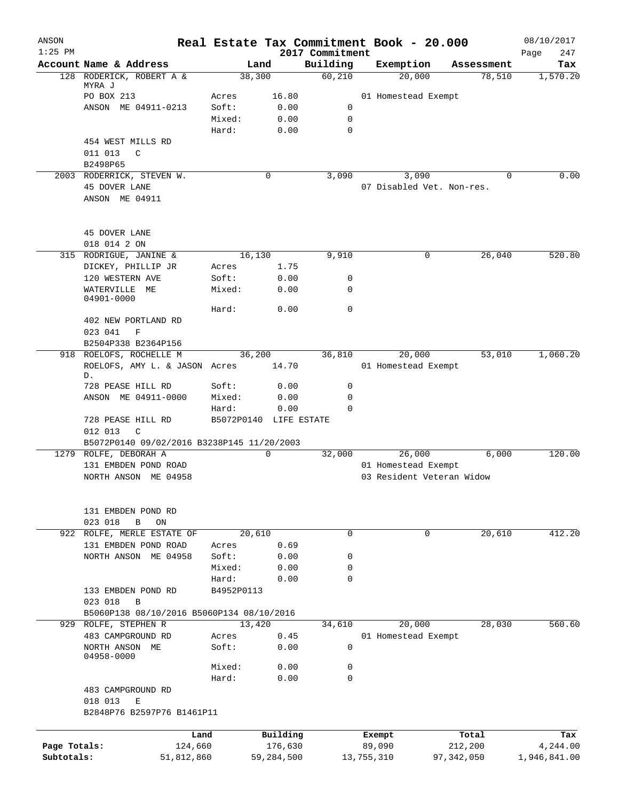| ANSON<br>$1:25$ PM |                                            |            |                        | 2017 Commitment | Real Estate Tax Commitment Book - 20.000 |            | 08/10/2017<br>247<br>Page |
|--------------------|--------------------------------------------|------------|------------------------|-----------------|------------------------------------------|------------|---------------------------|
|                    | Account Name & Address                     |            | Land                   | Building        | Exemption                                | Assessment | Tax                       |
|                    | 128 RODERICK, ROBERT A &                   |            | 38,300                 | 60,210          | 20,000                                   | 78,510     | 1,570.20                  |
|                    | MYRA J                                     |            |                        |                 |                                          |            |                           |
|                    | PO BOX 213                                 | Acres      | 16.80                  |                 | 01 Homestead Exempt                      |            |                           |
|                    | ANSON ME 04911-0213                        | Soft:      | 0.00                   | 0               |                                          |            |                           |
|                    |                                            | Mixed:     | 0.00                   | 0               |                                          |            |                           |
|                    |                                            | Hard:      | 0.00                   | 0               |                                          |            |                           |
|                    | 454 WEST MILLS RD                          |            |                        |                 |                                          |            |                           |
|                    | 011 013<br>$\mathcal{C}$                   |            |                        |                 |                                          |            |                           |
|                    | B2498P65                                   |            |                        |                 |                                          |            |                           |
|                    | 2003 RODERRICK, STEVEN W.                  |            | 0                      | 3,090           | 3,090                                    | $\Omega$   | 0.00                      |
|                    | 45 DOVER LANE                              |            |                        |                 | 07 Disabled Vet. Non-res.                |            |                           |
|                    | ANSON ME 04911                             |            |                        |                 |                                          |            |                           |
|                    | 45 DOVER LANE                              |            |                        |                 |                                          |            |                           |
|                    | 018 014 2 ON                               |            |                        |                 |                                          |            |                           |
|                    | 315 RODRIGUE, JANINE &                     |            | 16,130                 | 9,910           | 0                                        | 26,040     | 520.80                    |
|                    | DICKEY, PHILLIP JR                         | Acres      | 1.75                   |                 |                                          |            |                           |
|                    | 120 WESTERN AVE                            | Soft:      | 0.00                   | 0               |                                          |            |                           |
|                    | WATERVILLE ME                              | Mixed:     | 0.00                   | 0               |                                          |            |                           |
|                    | 04901-0000                                 |            |                        |                 |                                          |            |                           |
|                    |                                            | Hard:      | 0.00                   | 0               |                                          |            |                           |
|                    | 402 NEW PORTLAND RD                        |            |                        |                 |                                          |            |                           |
|                    | 023 041<br>$\mathbf F$                     |            |                        |                 |                                          |            |                           |
|                    | B2504P338 B2364P156                        |            |                        |                 |                                          |            |                           |
|                    | 918 ROELOFS, ROCHELLE M                    |            | 36,200                 | 36,810          | 20,000                                   | 53,010     | 1,060.20                  |
|                    | ROELOFS, AMY L. & JASON Acres<br>D.        |            | 14.70                  |                 | 01 Homestead Exempt                      |            |                           |
|                    | 728 PEASE HILL RD                          | Soft:      | 0.00                   | 0               |                                          |            |                           |
|                    | ANSON ME 04911-0000                        | Mixed:     | 0.00                   | 0               |                                          |            |                           |
|                    |                                            | Hard:      | 0.00                   | $\Omega$        |                                          |            |                           |
|                    | 728 PEASE HILL RD<br>012 013<br>C          |            | B5072P0140 LIFE ESTATE |                 |                                          |            |                           |
|                    | B5072P0140 09/02/2016 B3238P145 11/20/2003 |            |                        |                 |                                          |            |                           |
|                    | 1279 ROLFE, DEBORAH A                      |            | 0                      | 32,000          | 26,000                                   | 6,000      | 120.00                    |
|                    | 131 EMBDEN POND ROAD                       |            |                        |                 | 01 Homestead Exempt                      |            |                           |
|                    | NORTH ANSON ME 04958                       |            |                        |                 | 03 Resident Veteran Widow                |            |                           |
|                    |                                            |            |                        |                 |                                          |            |                           |
|                    | 131 EMBDEN POND RD                         |            |                        |                 |                                          |            |                           |
|                    | 023 018<br>ON<br>В                         |            |                        |                 |                                          |            |                           |
|                    | 922 ROLFE, MERLE ESTATE OF                 |            | 20,610                 | $\mathbf 0$     | 0                                        | 20,610     | 412.20                    |
|                    | 131 EMBDEN POND ROAD                       | Acres      | 0.69                   |                 |                                          |            |                           |
|                    | NORTH ANSON ME 04958                       | Soft:      | 0.00                   | 0               |                                          |            |                           |
|                    |                                            | Mixed:     | 0.00                   | 0               |                                          |            |                           |
|                    |                                            | Hard:      | 0.00                   | 0               |                                          |            |                           |
|                    | 133 EMBDEN POND RD                         | B4952P0113 |                        |                 |                                          |            |                           |
|                    | 023 018<br>B                               |            |                        |                 |                                          |            |                           |
|                    | B5060P138 08/10/2016 B5060P134 08/10/2016  |            |                        |                 |                                          |            |                           |
|                    | 929 ROLFE, STEPHEN R                       |            | 13,420                 | 34,610          | 20,000                                   | 28,030     | 560.60                    |
|                    | 483 CAMPGROUND RD                          | Acres      | 0.45                   |                 | 01 Homestead Exempt                      |            |                           |
|                    | NORTH ANSON ME<br>04958-0000               | Soft:      | 0.00                   | 0               |                                          |            |                           |
|                    |                                            | Mixed:     | 0.00                   | 0               |                                          |            |                           |
|                    |                                            | Hard:      | 0.00                   | 0               |                                          |            |                           |
|                    | 483 CAMPGROUND RD                          |            |                        |                 |                                          |            |                           |
|                    | 018 013<br>Ε                               |            |                        |                 |                                          |            |                           |
|                    | B2848P76 B2597P76 B1461P11                 |            |                        |                 |                                          |            |                           |
|                    |                                            |            |                        |                 |                                          |            |                           |
|                    | Land                                       |            | Building               |                 | Exempt                                   | Total      | Tax                       |
| Page Totals:       | 124,660                                    |            | 176,630                |                 | 89,090                                   | 212,200    | 4,244.00                  |
| Subtotals:         | 51,812,860                                 |            | 59,284,500             |                 | 97,342,050<br>13,755,310                 |            | 1,946,841.00              |
|                    |                                            |            |                        |                 |                                          |            |                           |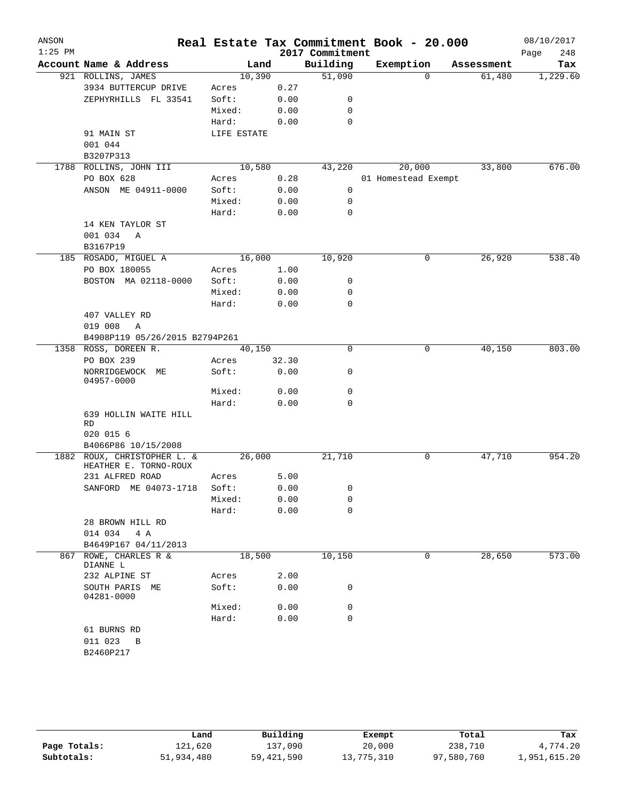| ANSON     |                                  |                 |              |                 | Real Estate Tax Commitment Book - 20.000 |            | 08/10/2017  |
|-----------|----------------------------------|-----------------|--------------|-----------------|------------------------------------------|------------|-------------|
| $1:25$ PM |                                  |                 |              | 2017 Commitment |                                          |            | Page<br>248 |
|           | Account Name & Address           | Land            |              | Building        | Exemption                                | Assessment | Tax         |
|           | 921 ROLLINS, JAMES               | 10,390          |              | 51,090          | $\mathbf 0$                              | 61,480     | 1,229.60    |
|           | 3934 BUTTERCUP DRIVE             | Acres           | 0.27         |                 |                                          |            |             |
|           | ZEPHYRHILLS FL 33541             | Soft:           | 0.00         | 0<br>0          |                                          |            |             |
|           |                                  | Mixed:<br>Hard: | 0.00<br>0.00 | $\mathbf 0$     |                                          |            |             |
|           | 91 MAIN ST                       | LIFE ESTATE     |              |                 |                                          |            |             |
|           | 001 044                          |                 |              |                 |                                          |            |             |
|           | B3207P313                        |                 |              |                 |                                          |            |             |
| 1788      | ROLLINS, JOHN III                | 10,580          |              | 43,220          | 20,000                                   | 33,800     | 676.00      |
|           | PO BOX 628                       | Acres           | 0.28         |                 | 01 Homestead Exempt                      |            |             |
|           | ANSON ME 04911-0000              | Soft:           | 0.00         | 0               |                                          |            |             |
|           |                                  | Mixed:          | 0.00         | 0               |                                          |            |             |
|           |                                  | Hard:           | 0.00         | 0               |                                          |            |             |
|           | 14 KEN TAYLOR ST                 |                 |              |                 |                                          |            |             |
|           | 001 034<br>$\mathbb{A}$          |                 |              |                 |                                          |            |             |
|           | B3167P19                         |                 |              |                 |                                          |            |             |
|           | 185 ROSADO, MIGUEL A             | 16,000          |              | 10,920          | 0                                        | 26,920     | 538.40      |
|           | PO BOX 180055                    | Acres           | 1.00         |                 |                                          |            |             |
|           | BOSTON MA 02118-0000             | Soft:           | 0.00         | 0               |                                          |            |             |
|           |                                  | Mixed:          | 0.00         | 0               |                                          |            |             |
|           |                                  | Hard:           | 0.00         | 0               |                                          |            |             |
|           | 407 VALLEY RD                    |                 |              |                 |                                          |            |             |
|           | 019 008<br>Α                     |                 |              |                 |                                          |            |             |
|           | B4908P119 05/26/2015 B2794P261   |                 |              |                 |                                          |            |             |
| 1358      | ROSS, DOREEN R.                  | 40,150          |              | 0               | 0                                        | 40,150     | 803.00      |
|           | PO BOX 239                       | Acres           | 32.30        |                 |                                          |            |             |
|           | NORRIDGEWOCK ME<br>04957-0000    | Soft:           | 0.00         | 0               |                                          |            |             |
|           |                                  | Mixed:          | 0.00         | 0               |                                          |            |             |
|           |                                  | Hard:           | 0.00         | 0               |                                          |            |             |
|           | 639 HOLLIN WAITE HILL<br>RD      |                 |              |                 |                                          |            |             |
|           | 020 015 6<br>B4066P86 10/15/2008 |                 |              |                 |                                          |            |             |
| 1882      | ROUX, CHRISTOPHER L. &           | 26,000          |              | 21,710          | 0                                        | 47,710     | 954.20      |
|           | HEATHER E. TORNO-ROUX            |                 |              |                 |                                          |            |             |
|           | 231 ALFRED ROAD                  | Acres           | 5.00         |                 |                                          |            |             |
|           | SANFORD ME 04073-1718            | Soft:           | 0.00         | 0               |                                          |            |             |
|           |                                  | Mixed:          | 0.00         | 0               |                                          |            |             |
|           |                                  | Hard:           | 0.00         | 0               |                                          |            |             |
|           | 28 BROWN HILL RD                 |                 |              |                 |                                          |            |             |
|           | 014 034<br>4 A                   |                 |              |                 |                                          |            |             |
|           | B4649P167 04/11/2013             |                 |              |                 |                                          |            |             |
| 867       | ROWE, CHARLES R &<br>DIANNE L    | 18,500          |              | 10,150          | $\mathbf 0$                              | 28,650     | 573.00      |
|           | 232 ALPINE ST                    | Acres           | 2.00         |                 |                                          |            |             |
|           | SOUTH PARIS ME<br>04281-0000     | Soft:           | 0.00         | 0               |                                          |            |             |
|           |                                  | Mixed:          | 0.00         | 0               |                                          |            |             |
|           |                                  | Hard:           | 0.00         | 0               |                                          |            |             |
|           | 61 BURNS RD                      |                 |              |                 |                                          |            |             |
|           | 011 023<br>B                     |                 |              |                 |                                          |            |             |
|           | B2460P217                        |                 |              |                 |                                          |            |             |

|              | Land       | Building   | Exempt     | Total      | Tax          |
|--------------|------------|------------|------------|------------|--------------|
| Page Totals: | 121,620    | 137,090    | 20,000     | 238,710    | 4,774.20     |
| Subtotals:   | 51,934,480 | 59,421,590 | 13,775,310 | 97,580,760 | 1,951,615.20 |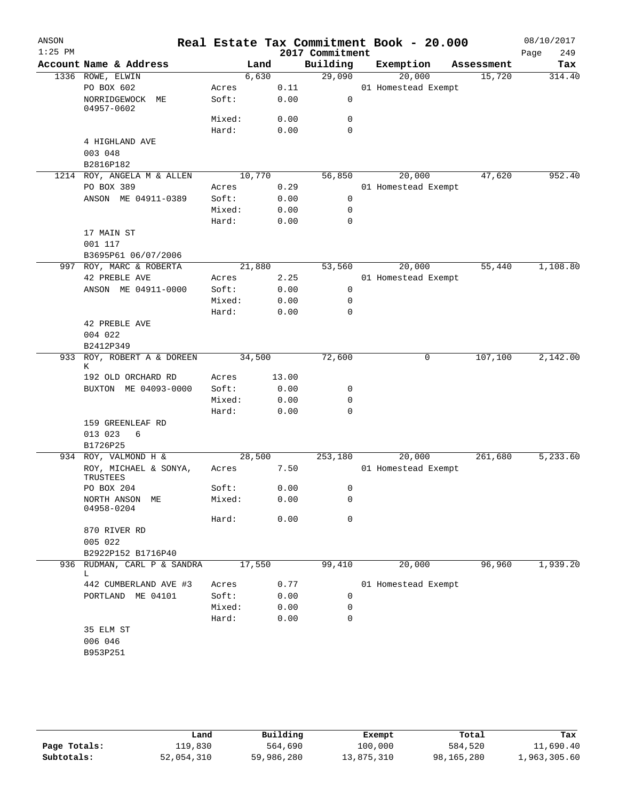| ANSON<br>$1:25$ PM |                                   |        |        | 2017 Commitment | Real Estate Tax Commitment Book - 20.000 |            | 08/10/2017<br>249<br>Page |
|--------------------|-----------------------------------|--------|--------|-----------------|------------------------------------------|------------|---------------------------|
|                    | Account Name & Address            |        | Land   | Building        | Exemption                                | Assessment | Tax                       |
|                    | 1336 ROWE, ELWIN                  | 6,630  |        | 29,090          | 20,000                                   | 15,720     | 314.40                    |
|                    | PO BOX 602                        | Acres  | 0.11   |                 | 01 Homestead Exempt                      |            |                           |
|                    | NORRIDGEWOCK<br>MЕ<br>04957-0602  | Soft:  | 0.00   | $\mathsf{O}$    |                                          |            |                           |
|                    |                                   | Mixed: | 0.00   | 0               |                                          |            |                           |
|                    |                                   | Hard:  | 0.00   | $\mathbf 0$     |                                          |            |                           |
|                    | 4 HIGHLAND AVE<br>003 048         |        |        |                 |                                          |            |                           |
|                    | B2816P182                         |        |        |                 |                                          |            |                           |
|                    | 1214 ROY, ANGELA M & ALLEN        |        | 10,770 | 56,850          | 20,000                                   | 47,620     | 952.40                    |
|                    | PO BOX 389                        | Acres  | 0.29   |                 | 01 Homestead Exempt                      |            |                           |
|                    | ANSON ME 04911-0389               | Soft:  | 0.00   | $\mathsf{O}$    |                                          |            |                           |
|                    |                                   | Mixed: | 0.00   | 0               |                                          |            |                           |
|                    |                                   | Hard:  | 0.00   | $\mathbf 0$     |                                          |            |                           |
|                    | 17 MAIN ST<br>001 117             |        |        |                 |                                          |            |                           |
|                    | B3695P61 06/07/2006               |        |        |                 |                                          |            |                           |
|                    | 997 ROY, MARC & ROBERTA           | 21,880 |        | 53,560          | 20,000                                   | 55,440     | 1,108.80                  |
|                    | 42 PREBLE AVE                     | Acres  | 2.25   |                 | 01 Homestead Exempt                      |            |                           |
|                    | ANSON ME 04911-0000               | Soft:  | 0.00   | 0               |                                          |            |                           |
|                    |                                   | Mixed: | 0.00   | 0               |                                          |            |                           |
|                    |                                   | Hard:  | 0.00   | 0               |                                          |            |                           |
|                    | 42 PREBLE AVE                     |        |        |                 |                                          |            |                           |
|                    | 004 022                           |        |        |                 |                                          |            |                           |
|                    | B2412P349                         |        |        |                 |                                          |            |                           |
|                    | 933 ROY, ROBERT A & DOREEN<br>К   | 34,500 |        | 72,600          | 0                                        | 107,100    | 2,142.00                  |
|                    | 192 OLD ORCHARD RD                | Acres  | 13.00  |                 |                                          |            |                           |
|                    | BUXTON ME 04093-0000              | Soft:  | 0.00   | 0               |                                          |            |                           |
|                    |                                   | Mixed: | 0.00   | 0               |                                          |            |                           |
|                    |                                   | Hard:  | 0.00   | $\mathbf 0$     |                                          |            |                           |
|                    | 159 GREENLEAF RD                  |        |        |                 |                                          |            |                           |
|                    | 013 023<br>6                      |        |        |                 |                                          |            |                           |
|                    | B1726P25                          |        |        |                 |                                          |            |                           |
|                    | 934 ROY, VALMOND H &              | 28,500 |        | 253,180         | 20,000                                   | 261,680    | 5,233.60                  |
|                    | ROY, MICHAEL & SONYA,<br>TRUSTEES | Acres  | 7.50   |                 | 01 Homestead Exempt                      |            |                           |
|                    | PO BOX 204                        | Soft:  | 0.00   | 0               |                                          |            |                           |
|                    | NORTH ANSON ME<br>04958-0204      | Mixed: | 0.00   | 0               |                                          |            |                           |
|                    |                                   | Hard:  | 0.00   | 0               |                                          |            |                           |
|                    | 870 RIVER RD                      |        |        |                 |                                          |            |                           |
|                    | 005 022                           |        |        |                 |                                          |            |                           |
|                    | B2922P152 B1716P40                |        |        |                 |                                          |            |                           |
|                    | 936 RUDMAN, CARL P & SANDRA<br>L. | 17,550 |        | 99,410          | 20,000                                   | 96,960     | 1,939.20                  |
|                    | 442 CUMBERLAND AVE #3             | Acres  | 0.77   |                 | 01 Homestead Exempt                      |            |                           |
|                    | PORTLAND ME 04101                 | Soft:  | 0.00   | 0               |                                          |            |                           |
|                    |                                   | Mixed: | 0.00   | 0               |                                          |            |                           |
|                    |                                   | Hard:  | 0.00   | 0               |                                          |            |                           |
|                    | 35 ELM ST                         |        |        |                 |                                          |            |                           |
|                    | 006 046                           |        |        |                 |                                          |            |                           |
|                    | B953P251                          |        |        |                 |                                          |            |                           |
|                    |                                   |        |        |                 |                                          |            |                           |
|                    |                                   |        |        |                 |                                          |            |                           |

|              | Land       | Building   | Exempt     | Total      | Tax          |
|--------------|------------|------------|------------|------------|--------------|
| Page Totals: | 119,830    | 564,690    | 100,000    | 584,520    | 11,690.40    |
| Subtotals:   | 52,054,310 | 59,986,280 | 13,875,310 | 98,165,280 | 1,963,305.60 |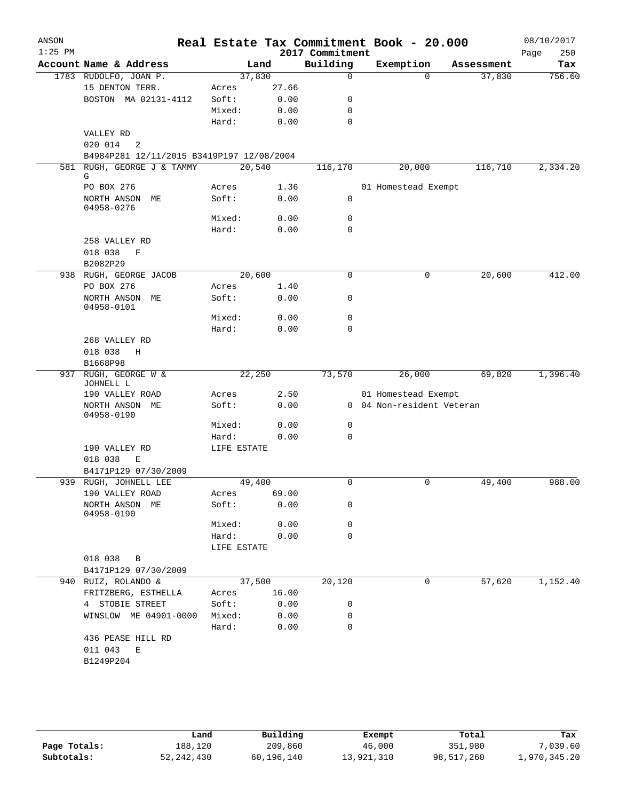|                                      |                                                                                                    |      | 2017 Commitment                                                                        |                                                                                                                                                                                                                                                        |            | 250<br>Page                                                                                 |
|--------------------------------------|----------------------------------------------------------------------------------------------------|------|----------------------------------------------------------------------------------------|--------------------------------------------------------------------------------------------------------------------------------------------------------------------------------------------------------------------------------------------------------|------------|---------------------------------------------------------------------------------------------|
| Account Name & Address               |                                                                                                    | Land | Building                                                                               | Exemption                                                                                                                                                                                                                                              | Assessment | Tax                                                                                         |
|                                      |                                                                                                    |      | $\mathbf 0$                                                                            | $\Omega$                                                                                                                                                                                                                                               |            | 756.60                                                                                      |
| 15 DENTON TERR.                      | Acres                                                                                              |      |                                                                                        |                                                                                                                                                                                                                                                        |            |                                                                                             |
| BOSTON MA 02131-4112                 | Soft:                                                                                              |      | 0                                                                                      |                                                                                                                                                                                                                                                        |            |                                                                                             |
|                                      | Mixed:                                                                                             |      | $\mathbf 0$                                                                            |                                                                                                                                                                                                                                                        |            |                                                                                             |
|                                      | Hard:                                                                                              |      | $\mathbf 0$                                                                            |                                                                                                                                                                                                                                                        |            |                                                                                             |
| VALLEY RD                            |                                                                                                    |      |                                                                                        |                                                                                                                                                                                                                                                        |            |                                                                                             |
| 020 014<br>2                         |                                                                                                    |      |                                                                                        |                                                                                                                                                                                                                                                        |            |                                                                                             |
|                                      |                                                                                                    |      |                                                                                        |                                                                                                                                                                                                                                                        |            |                                                                                             |
| 581 RUGH, GEORGE J & TAMMY<br>G      |                                                                                                    |      | 116,170                                                                                | 20,000                                                                                                                                                                                                                                                 | 116,710    | 2,334.20                                                                                    |
| PO BOX 276                           | Acres                                                                                              |      |                                                                                        |                                                                                                                                                                                                                                                        |            |                                                                                             |
| NORTH ANSON ME<br>04958-0276         | Soft:                                                                                              |      | 0                                                                                      |                                                                                                                                                                                                                                                        |            |                                                                                             |
|                                      | Mixed:                                                                                             |      | 0                                                                                      |                                                                                                                                                                                                                                                        |            |                                                                                             |
|                                      | Hard:                                                                                              |      | $\mathbf 0$                                                                            |                                                                                                                                                                                                                                                        |            |                                                                                             |
| 258 VALLEY RD                        |                                                                                                    |      |                                                                                        |                                                                                                                                                                                                                                                        |            |                                                                                             |
| 018 038<br>$\mathbf F$               |                                                                                                    |      |                                                                                        |                                                                                                                                                                                                                                                        |            |                                                                                             |
| B2082P29                             |                                                                                                    |      |                                                                                        |                                                                                                                                                                                                                                                        |            |                                                                                             |
| 938 RUGH, GEORGE JACOB               |                                                                                                    |      | $\mathbf 0$                                                                            | 0                                                                                                                                                                                                                                                      | 20,600     | 412.00                                                                                      |
| PO BOX 276                           | Acres                                                                                              |      |                                                                                        |                                                                                                                                                                                                                                                        |            |                                                                                             |
| NORTH ANSON ME<br>04958-0101         | Soft:                                                                                              |      | $\mathbf 0$                                                                            |                                                                                                                                                                                                                                                        |            |                                                                                             |
|                                      | Mixed:                                                                                             |      | $\mathbf 0$                                                                            |                                                                                                                                                                                                                                                        |            |                                                                                             |
|                                      | Hard:                                                                                              |      | $\mathbf 0$                                                                            |                                                                                                                                                                                                                                                        |            |                                                                                             |
| 268 VALLEY RD                        |                                                                                                    |      |                                                                                        |                                                                                                                                                                                                                                                        |            |                                                                                             |
|                                      |                                                                                                    |      |                                                                                        |                                                                                                                                                                                                                                                        |            |                                                                                             |
|                                      |                                                                                                    |      |                                                                                        |                                                                                                                                                                                                                                                        |            |                                                                                             |
| JOHNELL L                            |                                                                                                    |      |                                                                                        |                                                                                                                                                                                                                                                        |            | 1,396.40                                                                                    |
| 190 VALLEY ROAD                      | Acres                                                                                              |      |                                                                                        |                                                                                                                                                                                                                                                        |            |                                                                                             |
| NORTH ANSON ME<br>04958-0190         | Soft:                                                                                              |      |                                                                                        |                                                                                                                                                                                                                                                        |            |                                                                                             |
|                                      | Mixed:                                                                                             |      | 0                                                                                      |                                                                                                                                                                                                                                                        |            |                                                                                             |
|                                      | Hard:                                                                                              |      | $\mathbf 0$                                                                            |                                                                                                                                                                                                                                                        |            |                                                                                             |
| 190 VALLEY RD                        |                                                                                                    |      |                                                                                        |                                                                                                                                                                                                                                                        |            |                                                                                             |
| 018 038<br>E<br>B4171P129 07/30/2009 |                                                                                                    |      |                                                                                        |                                                                                                                                                                                                                                                        |            |                                                                                             |
| 939 RUGH, JOHNELL LEE                |                                                                                                    |      | $\mathbf 0$                                                                            | 0                                                                                                                                                                                                                                                      | 49,400     | 988.00                                                                                      |
| 190 VALLEY ROAD                      | Acres                                                                                              |      |                                                                                        |                                                                                                                                                                                                                                                        |            |                                                                                             |
| NORTH ANSON ME<br>04958-0190         | Soft:                                                                                              |      | 0                                                                                      |                                                                                                                                                                                                                                                        |            |                                                                                             |
|                                      | Mixed:                                                                                             |      | 0                                                                                      |                                                                                                                                                                                                                                                        |            |                                                                                             |
|                                      | Hard:                                                                                              |      | 0                                                                                      |                                                                                                                                                                                                                                                        |            |                                                                                             |
|                                      |                                                                                                    |      |                                                                                        |                                                                                                                                                                                                                                                        |            |                                                                                             |
| 018 038<br>B                         |                                                                                                    |      |                                                                                        |                                                                                                                                                                                                                                                        |            |                                                                                             |
| B4171P129 07/30/2009                 |                                                                                                    |      |                                                                                        |                                                                                                                                                                                                                                                        |            |                                                                                             |
| 940 RUIZ, ROLANDO &                  |                                                                                                    |      | 20,120                                                                                 | 0                                                                                                                                                                                                                                                      | 57,620     | 1,152.40                                                                                    |
| FRITZBERG, ESTHELLA                  | Acres                                                                                              |      |                                                                                        |                                                                                                                                                                                                                                                        |            |                                                                                             |
| 4 STOBIE STREET                      | Soft:                                                                                              |      | 0                                                                                      |                                                                                                                                                                                                                                                        |            |                                                                                             |
| WINSLOW ME 04901-0000                | Mixed:                                                                                             |      | 0                                                                                      |                                                                                                                                                                                                                                                        |            |                                                                                             |
|                                      | Hard:                                                                                              |      | 0                                                                                      |                                                                                                                                                                                                                                                        |            |                                                                                             |
| 436 PEASE HILL RD                    |                                                                                                    |      |                                                                                        |                                                                                                                                                                                                                                                        |            |                                                                                             |
|                                      |                                                                                                    |      |                                                                                        |                                                                                                                                                                                                                                                        |            |                                                                                             |
|                                      |                                                                                                    |      |                                                                                        |                                                                                                                                                                                                                                                        |            |                                                                                             |
| 937                                  | 1783 RUDOLFO, JOAN P.<br>018 038<br>H<br>B1668P98<br>RUGH, GEORGE W &<br>011 043<br>Ε<br>B1249P204 |      | 37,830<br>20,540<br>20,600<br>22,250<br>LIFE ESTATE<br>49,400<br>LIFE ESTATE<br>37,500 | 27.66<br>0.00<br>0.00<br>0.00<br>B4984P281 12/11/2015 B3419P197 12/08/2004<br>1.36<br>0.00<br>0.00<br>0.00<br>1.40<br>0.00<br>0.00<br>0.00<br>73,570<br>2.50<br>0.00<br>0.00<br>0.00<br>69.00<br>0.00<br>0.00<br>0.00<br>16.00<br>0.00<br>0.00<br>0.00 | 26,000     | 37,830<br>01 Homestead Exempt<br>69,820<br>01 Homestead Exempt<br>0 04 Non-resident Veteran |

|              | Land         | Building   | Exempt     | Total      | Tax          |
|--------------|--------------|------------|------------|------------|--------------|
| Page Totals: | 188,120      | 209,860    | 46,000     | 351,980    | .039.60      |
| Subtotals:   | 52, 242, 430 | 60,196,140 | 13,921,310 | 98,517,260 | 1,970,345.20 |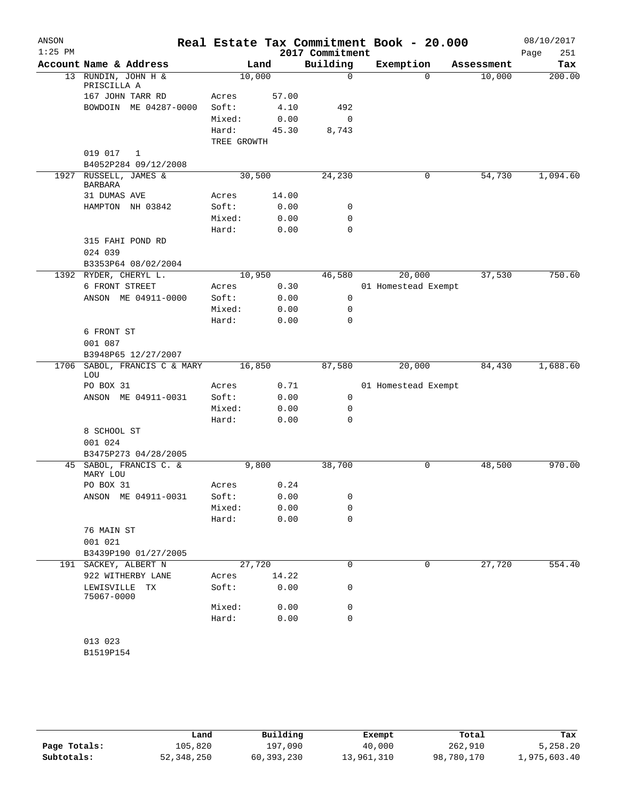| ANSON<br>$1:25$ PM |                                         |             |       | 2017 Commitment | Real Estate Tax Commitment Book - 20.000 |          |            | 08/10/2017<br>251<br>Page |
|--------------------|-----------------------------------------|-------------|-------|-----------------|------------------------------------------|----------|------------|---------------------------|
|                    | Account Name & Address                  |             | Land  | Building        | Exemption                                |          | Assessment | Tax                       |
|                    | 13 RUNDIN, JOHN H &<br>PRISCILLA A      | 10,000      |       | $\mathbf 0$     |                                          | $\Omega$ | 10,000     | 200.00                    |
|                    | 167 JOHN TARR RD                        | Acres       | 57.00 |                 |                                          |          |            |                           |
|                    | BOWDOIN ME 04287-0000                   | Soft:       | 4.10  | 492             |                                          |          |            |                           |
|                    |                                         | Mixed:      | 0.00  | 0               |                                          |          |            |                           |
|                    |                                         | Hard:       | 45.30 | 8,743           |                                          |          |            |                           |
|                    |                                         | TREE GROWTH |       |                 |                                          |          |            |                           |
|                    | 019 017<br>1                            |             |       |                 |                                          |          |            |                           |
|                    | B4052P284 09/12/2008                    |             |       |                 |                                          |          |            |                           |
|                    | 1927 RUSSELL, JAMES &<br><b>BARBARA</b> | 30,500      |       | 24,230          |                                          | 0        | 54,730     | 1,094.60                  |
|                    | 31 DUMAS AVE                            | Acres       | 14.00 |                 |                                          |          |            |                           |
|                    | HAMPTON NH 03842                        | Soft:       | 0.00  | 0               |                                          |          |            |                           |
|                    |                                         | Mixed:      | 0.00  | 0               |                                          |          |            |                           |
|                    |                                         | Hard:       | 0.00  | $\mathbf 0$     |                                          |          |            |                           |
|                    | 315 FAHI POND RD                        |             |       |                 |                                          |          |            |                           |
|                    | 024 039                                 |             |       |                 |                                          |          |            |                           |
|                    | B3353P64 08/02/2004                     |             |       |                 |                                          |          |            |                           |
|                    | 1392 RYDER, CHERYL L.                   | 10,950      |       | 46,580          | 20,000                                   |          | 37,530     | 750.60                    |
|                    | 6 FRONT STREET                          | Acres       | 0.30  |                 | 01 Homestead Exempt                      |          |            |                           |
|                    | ANSON ME 04911-0000                     | Soft:       | 0.00  | 0               |                                          |          |            |                           |
|                    |                                         | Mixed:      | 0.00  | 0               |                                          |          |            |                           |
|                    |                                         | Hard:       | 0.00  | 0               |                                          |          |            |                           |
|                    | 6 FRONT ST                              |             |       |                 |                                          |          |            |                           |
|                    | 001 087                                 |             |       |                 |                                          |          |            |                           |
|                    | B3948P65 12/27/2007                     |             |       |                 |                                          |          |            |                           |
| 1706               | SABOL, FRANCIS C & MARY<br>LOU          | 16,850      |       | 87,580          | 20,000                                   |          | 84,430     | 1,688.60                  |
|                    | PO BOX 31                               | Acres       | 0.71  |                 | 01 Homestead Exempt                      |          |            |                           |
|                    | ANSON ME 04911-0031                     | Soft:       | 0.00  | 0               |                                          |          |            |                           |
|                    |                                         | Mixed:      | 0.00  | 0               |                                          |          |            |                           |
|                    |                                         | Hard:       | 0.00  | 0               |                                          |          |            |                           |
|                    | 8 SCHOOL ST                             |             |       |                 |                                          |          |            |                           |
|                    | 001 024                                 |             |       |                 |                                          |          |            |                           |
|                    | B3475P273 04/28/2005                    |             |       |                 |                                          |          |            |                           |
|                    | 45 SABOL, FRANCIS C. &<br>MARY LOU      | 9,800       |       | 38,700          |                                          | 0        | 48,500     | 970.00                    |
|                    | PO BOX 31                               | Acres       | 0.24  |                 |                                          |          |            |                           |
|                    | ANSON ME 04911-0031                     | Soft:       | 0.00  | 0               |                                          |          |            |                           |
|                    |                                         | Mixed:      | 0.00  | 0               |                                          |          |            |                           |
|                    |                                         | Hard:       | 0.00  | 0               |                                          |          |            |                           |
|                    | 76 MAIN ST                              |             |       |                 |                                          |          |            |                           |
|                    | 001 021                                 |             |       |                 |                                          |          |            |                           |
|                    | B3439P190 01/27/2005                    |             |       |                 |                                          |          |            |                           |
|                    | 191 SACKEY, ALBERT N                    | 27,720      |       | 0               |                                          | 0        | 27,720     | 554.40                    |
|                    | 922 WITHERBY LANE                       | Acres       | 14.22 |                 |                                          |          |            |                           |
|                    | LEWISVILLE<br>ТX<br>75067-0000          | Soft:       | 0.00  | 0               |                                          |          |            |                           |
|                    |                                         | Mixed:      | 0.00  | 0               |                                          |          |            |                           |
|                    |                                         | Hard:       | 0.00  | 0               |                                          |          |            |                           |
|                    |                                         |             |       |                 |                                          |          |            |                           |
|                    | 013 023                                 |             |       |                 |                                          |          |            |                           |
|                    | B1519P154                               |             |       |                 |                                          |          |            |                           |
|                    |                                         |             |       |                 |                                          |          |            |                           |

|              | Land         | Building   | Exempt     | Total      | Tax          |
|--------------|--------------|------------|------------|------------|--------------|
| Page Totals: | 105,820      | 197,090    | 40,000     | 262,910    | 5,258.20     |
| Subtotals:   | 52, 348, 250 | 60,393,230 | 13,961,310 | 98,780,170 | 1,975,603.40 |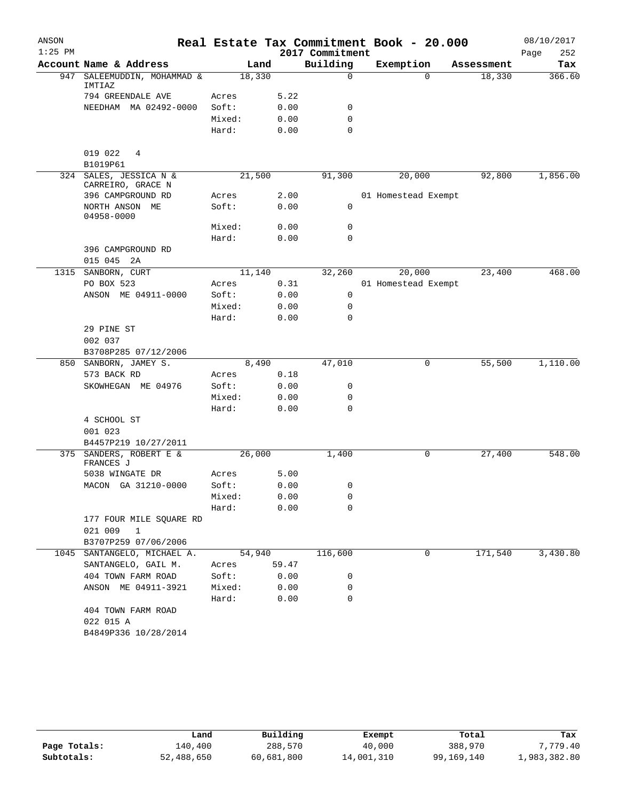| ANSON     |                                             |        |       |                 | Real Estate Tax Commitment Book - 20.000 |            | 08/10/2017  |
|-----------|---------------------------------------------|--------|-------|-----------------|------------------------------------------|------------|-------------|
| $1:25$ PM |                                             |        |       | 2017 Commitment |                                          |            | Page<br>252 |
|           | Account Name & Address                      |        | Land  | Building        | Exemption                                | Assessment | Tax         |
| 947       | SALEEMUDDIN, MOHAMMAD &<br>IMTIAZ           | 18,330 |       | 0               | $\Omega$                                 | 18,330     | 366.60      |
|           | 794 GREENDALE AVE                           | Acres  | 5.22  |                 |                                          |            |             |
|           | NEEDHAM MA 02492-0000                       | Soft:  | 0.00  | 0               |                                          |            |             |
|           |                                             | Mixed: | 0.00  | 0               |                                          |            |             |
|           |                                             | Hard:  | 0.00  | 0               |                                          |            |             |
|           | 019 022<br>4                                |        |       |                 |                                          |            |             |
|           | B1019P61                                    |        |       |                 |                                          |            |             |
|           | 324 SALES, JESSICA N &<br>CARREIRO, GRACE N | 21,500 |       | 91,300          | 20,000                                   | 92,800     | 1,856.00    |
|           | 396 CAMPGROUND RD                           | Acres  | 2.00  |                 | 01 Homestead Exempt                      |            |             |
|           | NORTH ANSON ME<br>04958-0000                | Soft:  | 0.00  | 0               |                                          |            |             |
|           |                                             | Mixed: | 0.00  | $\mathbf 0$     |                                          |            |             |
|           |                                             | Hard:  | 0.00  | $\mathbf 0$     |                                          |            |             |
|           | 396 CAMPGROUND RD                           |        |       |                 |                                          |            |             |
|           | 015 045 2A                                  |        |       |                 |                                          |            |             |
|           | 1315 SANBORN, CURT                          | 11,140 |       | 32,260          | 20,000                                   | 23,400     | 468.00      |
|           | PO BOX 523                                  | Acres  | 0.31  |                 | 01 Homestead Exempt                      |            |             |
|           | ANSON ME 04911-0000                         | Soft:  | 0.00  | 0               |                                          |            |             |
|           |                                             | Mixed: | 0.00  | 0               |                                          |            |             |
|           |                                             | Hard:  | 0.00  | 0               |                                          |            |             |
|           | 29 PINE ST                                  |        |       |                 |                                          |            |             |
|           | 002 037                                     |        |       |                 |                                          |            |             |
|           | B3708P285 07/12/2006                        |        |       |                 |                                          |            |             |
|           | 850 SANBORN, JAMEY S.                       |        | 8,490 | 47,010          | 0                                        | 55,500     | 1,110.00    |
|           | 573 BACK RD                                 | Acres  | 0.18  |                 |                                          |            |             |
|           | SKOWHEGAN ME 04976                          | Soft:  | 0.00  | 0               |                                          |            |             |
|           |                                             | Mixed: | 0.00  | 0               |                                          |            |             |
|           |                                             | Hard:  | 0.00  | 0               |                                          |            |             |
|           | 4 SCHOOL ST                                 |        |       |                 |                                          |            |             |
|           | 001 023                                     |        |       |                 |                                          |            |             |
|           | B4457P219 10/27/2011                        |        |       |                 |                                          |            |             |
|           | 375 SANDERS, ROBERT E &<br>FRANCES J        | 26,000 |       | 1,400           | 0                                        | 27,400     | 548.00      |
|           | 5038 WINGATE DR                             | Acres  | 5.00  |                 |                                          |            |             |
|           | MACON GA 31210-0000                         | Soft:  | 0.00  | 0               |                                          |            |             |
|           |                                             | Mixed: | 0.00  | 0               |                                          |            |             |
|           |                                             | Hard:  | 0.00  | 0               |                                          |            |             |
|           | 177 FOUR MILE SQUARE RD                     |        |       |                 |                                          |            |             |
|           | 021 009<br>1                                |        |       |                 |                                          |            |             |
|           | B3707P259 07/06/2006                        |        |       |                 |                                          |            |             |
|           | 1045 SANTANGELO, MICHAEL A.                 | 54,940 |       | 116,600         | 0                                        | 171,540    | 3,430.80    |
|           | SANTANGELO, GAIL M.                         | Acres  | 59.47 |                 |                                          |            |             |
|           | 404 TOWN FARM ROAD                          | Soft:  | 0.00  | 0               |                                          |            |             |
|           | ANSON ME 04911-3921                         | Mixed: | 0.00  | 0               |                                          |            |             |
|           |                                             | Hard:  | 0.00  | $\mathbf 0$     |                                          |            |             |
|           | 404 TOWN FARM ROAD                          |        |       |                 |                                          |            |             |
|           | 022 015 A                                   |        |       |                 |                                          |            |             |
|           | B4849P336 10/28/2014                        |        |       |                 |                                          |            |             |

|              | Land       | Building   | Exempt     | Total      | Tax          |
|--------------|------------|------------|------------|------------|--------------|
| Page Totals: | 140,400    | 288,570    | 40,000     | 388,970    | 7,779.40     |
| Subtotals:   | 52,488,650 | 60,681,800 | 14,001,310 | 99,169,140 | 1,983,382.80 |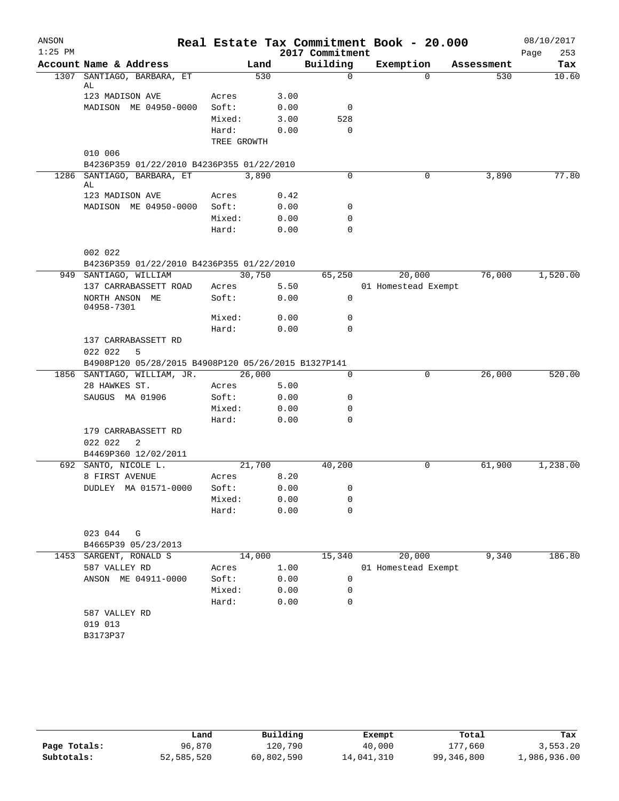| ANSON     |                                                     |             |        |      |                 | Real Estate Tax Commitment Book - 20.000 |            | 08/10/2017  |
|-----------|-----------------------------------------------------|-------------|--------|------|-----------------|------------------------------------------|------------|-------------|
| $1:25$ PM |                                                     |             |        |      | 2017 Commitment |                                          |            | 253<br>Page |
|           | Account Name & Address                              |             | Land   |      | Building        | Exemption                                | Assessment | Tax         |
|           | 1307 SANTIAGO, BARBARA, ET<br>AL                    |             | 530    |      | $\Omega$        | $\Omega$                                 | 530        | 10.60       |
|           | 123 MADISON AVE                                     | Acres       |        | 3.00 |                 |                                          |            |             |
|           | MADISON ME 04950-0000                               | Soft:       |        | 0.00 | 0               |                                          |            |             |
|           |                                                     | Mixed:      |        | 3.00 | 528             |                                          |            |             |
|           |                                                     | Hard:       |        | 0.00 | $\mathbf 0$     |                                          |            |             |
|           |                                                     | TREE GROWTH |        |      |                 |                                          |            |             |
|           | 010 006                                             |             |        |      |                 |                                          |            |             |
|           | B4236P359 01/22/2010 B4236P355 01/22/2010           |             |        |      |                 |                                          |            |             |
|           | 1286 SANTIAGO, BARBARA, ET<br>AL                    |             | 3,890  |      | $\Omega$        | 0                                        | 3,890      | 77.80       |
|           | 123 MADISON AVE                                     | Acres       |        | 0.42 |                 |                                          |            |             |
|           | MADISON ME 04950-0000                               | Soft:       |        | 0.00 | 0               |                                          |            |             |
|           |                                                     | Mixed:      |        | 0.00 | 0               |                                          |            |             |
|           |                                                     | Hard:       |        | 0.00 | 0               |                                          |            |             |
|           | 002 022                                             |             |        |      |                 |                                          |            |             |
|           | B4236P359 01/22/2010 B4236P355 01/22/2010           |             |        |      |                 |                                          |            |             |
|           | 949 SANTIAGO, WILLIAM                               |             | 30,750 |      | 65,250          | 20,000                                   | 76,000     | 1,520.00    |
|           | 137 CARRABASSETT ROAD                               | Acres       |        | 5.50 |                 | 01 Homestead Exempt                      |            |             |
|           | NORTH ANSON ME<br>04958-7301                        | Soft:       |        | 0.00 | 0               |                                          |            |             |
|           |                                                     | Mixed:      |        | 0.00 | 0               |                                          |            |             |
|           |                                                     | Hard:       |        | 0.00 | $\Omega$        |                                          |            |             |
|           | 137 CARRABASSETT RD                                 |             |        |      |                 |                                          |            |             |
|           | 022 022<br>5                                        |             |        |      |                 |                                          |            |             |
|           | B4908P120 05/28/2015 B4908P120 05/26/2015 B1327P141 |             |        |      |                 |                                          |            |             |
|           | 1856 SANTIAGO, WILLIAM, JR.                         |             | 26,000 |      | 0               | 0                                        | 26,000     | 520.00      |
|           | 28 HAWKES ST.                                       | Acres       |        | 5.00 |                 |                                          |            |             |
|           | SAUGUS MA 01906                                     | Soft:       |        | 0.00 | 0               |                                          |            |             |
|           |                                                     | Mixed:      |        | 0.00 | 0               |                                          |            |             |
|           |                                                     | Hard:       |        | 0.00 | 0               |                                          |            |             |
|           | 179 CARRABASSETT RD<br>022 022<br>2                 |             |        |      |                 |                                          |            |             |
|           | B4469P360 12/02/2011                                |             |        |      |                 |                                          |            |             |
|           | 692 SANTO, NICOLE L.                                |             | 21,700 |      | 40,200          | 0                                        | 61,900     | 1,238.00    |
|           | 8 FIRST AVENUE                                      | Acres       |        | 8.20 |                 |                                          |            |             |
|           | DUDLEY MA 01571-0000                                | Soft:       |        |      | 0.00<br>0       |                                          |            |             |
|           |                                                     | Mixed:      |        | 0.00 | 0               |                                          |            |             |
|           |                                                     | Hard:       |        | 0.00 | $\Omega$        |                                          |            |             |
|           | 023 044 G                                           |             |        |      |                 |                                          |            |             |
|           | B4665P39 05/23/2013                                 |             |        |      |                 |                                          |            |             |
|           | 1453 SARGENT, RONALD S                              |             | 14,000 |      | 15,340          | 20,000                                   | 9,340      | 186.80      |
|           | 587 VALLEY RD                                       | Acres       |        | 1.00 |                 | 01 Homestead Exempt                      |            |             |
|           | ANSON ME 04911-0000                                 | Soft:       |        | 0.00 | 0               |                                          |            |             |
|           |                                                     | Mixed:      |        | 0.00 | 0               |                                          |            |             |
|           |                                                     | Hard:       |        | 0.00 | 0               |                                          |            |             |
|           | 587 VALLEY RD                                       |             |        |      |                 |                                          |            |             |
|           | 019 013                                             |             |        |      |                 |                                          |            |             |
|           | B3173P37                                            |             |        |      |                 |                                          |            |             |
|           |                                                     |             |        |      |                 |                                          |            |             |
|           |                                                     |             |        |      |                 |                                          |            |             |

|              | Land       | Building   | Exempt     | Total      | Tax          |
|--------------|------------|------------|------------|------------|--------------|
| Page Totals: | 96,870     | 120,790    | 40,000     | 177,660    | 3,553.20     |
| Subtotals:   | 52,585,520 | 60,802,590 | 14,041,310 | 99,346,800 | 1,986,936.00 |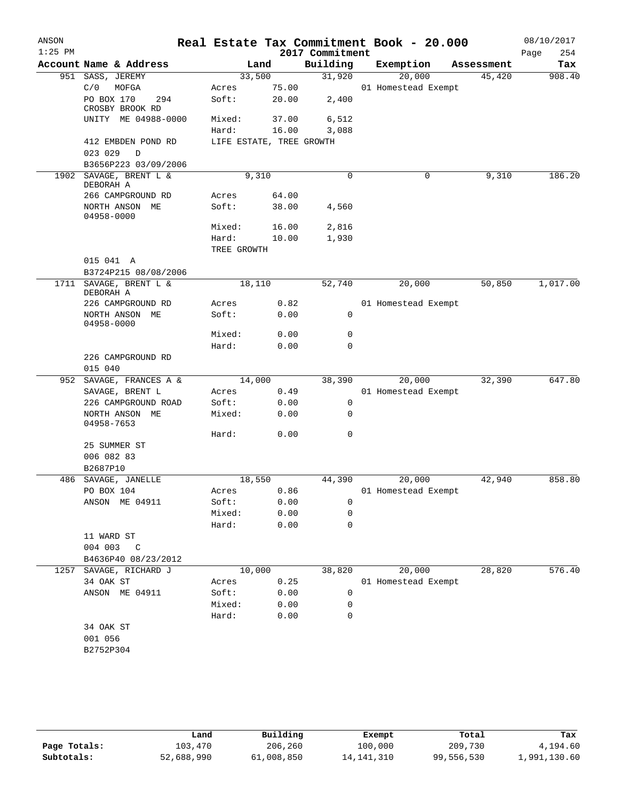| ANSON<br>$1:25$ PM |                                               |                          |        | 2017 Commitment | Real Estate Tax Commitment Book - 20.000 |            | 08/10/2017<br>254<br>Page |
|--------------------|-----------------------------------------------|--------------------------|--------|-----------------|------------------------------------------|------------|---------------------------|
|                    | Account Name & Address                        |                          | Land   | Building        | Exemption                                | Assessment | Tax                       |
|                    | 951 SASS, JEREMY                              |                          | 33,500 | 31,920          | 20,000                                   | 45,420     | 908.40                    |
|                    | C/0<br>MOFGA                                  | Acres                    | 75.00  |                 | 01 Homestead Exempt                      |            |                           |
|                    | PO BOX 170<br>294<br>CROSBY BROOK RD          | Soft:                    | 20.00  | 2,400           |                                          |            |                           |
|                    | UNITY ME 04988-0000                           | Mixed:                   | 37.00  | 6,512           |                                          |            |                           |
|                    |                                               | Hard:                    | 16.00  | 3,088           |                                          |            |                           |
|                    | 412 EMBDEN POND RD<br>023 029<br>$\mathbb{D}$ | LIFE ESTATE, TREE GROWTH |        |                 |                                          |            |                           |
|                    | B3656P223 03/09/2006                          |                          |        |                 |                                          |            |                           |
|                    | 1902 SAVAGE, BRENT L &<br>DEBORAH A           |                          | 9,310  | $\Omega$        | $\mathbf 0$                              | 9,310      | 186.20                    |
|                    | 266 CAMPGROUND RD                             | Acres                    | 64.00  |                 |                                          |            |                           |
|                    | NORTH ANSON ME<br>04958-0000                  | Soft:                    | 38.00  | 4,560           |                                          |            |                           |
|                    |                                               | Mixed:                   | 16.00  | 2,816           |                                          |            |                           |
|                    |                                               | Hard:                    | 10.00  | 1,930           |                                          |            |                           |
|                    |                                               | TREE GROWTH              |        |                 |                                          |            |                           |
|                    | 015 041 A                                     |                          |        |                 |                                          |            |                           |
|                    | B3724P215 08/08/2006                          |                          |        |                 |                                          |            |                           |
| 1711               | SAVAGE, BRENT L &<br>DEBORAH A                | 18,110                   |        | 52,740          | 20,000                                   | 50,850     | 1,017.00                  |
|                    | 226 CAMPGROUND RD                             | Acres                    | 0.82   |                 | 01 Homestead Exempt                      |            |                           |
|                    | NORTH ANSON ME<br>04958-0000                  | Soft:                    | 0.00   | 0               |                                          |            |                           |
|                    |                                               | Mixed:                   | 0.00   | 0               |                                          |            |                           |
|                    |                                               | Hard:                    | 0.00   | 0               |                                          |            |                           |
|                    | 226 CAMPGROUND RD<br>015 040                  |                          |        |                 |                                          |            |                           |
| 952                | SAVAGE, FRANCES A &                           | 14,000                   |        | 38,390          | 20,000                                   | 32,390     | 647.80                    |
|                    | SAVAGE, BRENT L                               | Acres                    | 0.49   |                 | 01 Homestead Exempt                      |            |                           |
|                    | 226 CAMPGROUND ROAD                           | Soft:                    | 0.00   | 0               |                                          |            |                           |
|                    | NORTH ANSON ME<br>04958-7653                  | Mixed:                   | 0.00   | 0               |                                          |            |                           |
|                    |                                               | Hard:                    | 0.00   | 0               |                                          |            |                           |
|                    | 25 SUMMER ST                                  |                          |        |                 |                                          |            |                           |
|                    | 006 082 83                                    |                          |        |                 |                                          |            |                           |
|                    | B2687P10<br>486 SAVAGE, JANELLE               | 18,550                   |        | 44,390          |                                          |            | 858.80                    |
|                    |                                               |                          |        |                 | 20,000                                   | 42,940     |                           |
|                    | PO BOX 104<br>ANSON ME 04911                  | Acres 0.86<br>Soft:      | 0.00   |                 | 01 Homestead Exempt                      |            |                           |
|                    |                                               | Mixed:                   | 0.00   | 0<br>0          |                                          |            |                           |
|                    |                                               | Hard:                    | 0.00   | 0               |                                          |            |                           |
|                    | 11 WARD ST                                    |                          |        |                 |                                          |            |                           |
|                    | 004 003 C                                     |                          |        |                 |                                          |            |                           |
|                    | B4636P40 08/23/2012                           |                          |        |                 |                                          |            |                           |
|                    | 1257 SAVAGE, RICHARD J                        |                          | 10,000 | 38,820          | 20,000                                   | 28,820     | 576.40                    |
|                    | 34 OAK ST                                     | Acres                    | 0.25   |                 | 01 Homestead Exempt                      |            |                           |
|                    | ANSON ME 04911                                | Soft:                    | 0.00   | 0               |                                          |            |                           |
|                    |                                               | Mixed:                   | 0.00   | 0               |                                          |            |                           |
|                    |                                               | Hard:                    | 0.00   | 0               |                                          |            |                           |
|                    | 34 OAK ST                                     |                          |        |                 |                                          |            |                           |
|                    | 001 056                                       |                          |        |                 |                                          |            |                           |
|                    | B2752P304                                     |                          |        |                 |                                          |            |                           |
|                    |                                               |                          |        |                 |                                          |            |                           |

|              | Land       | Building   | Exempt       | Total      | Tax          |
|--------------|------------|------------|--------------|------------|--------------|
| Page Totals: | 103,470    | 206,260    | 100,000      | 209,730    | 4,194.60     |
| Subtotals:   | 52,688,990 | 61,008,850 | 14, 141, 310 | 99,556,530 | 1,991,130.60 |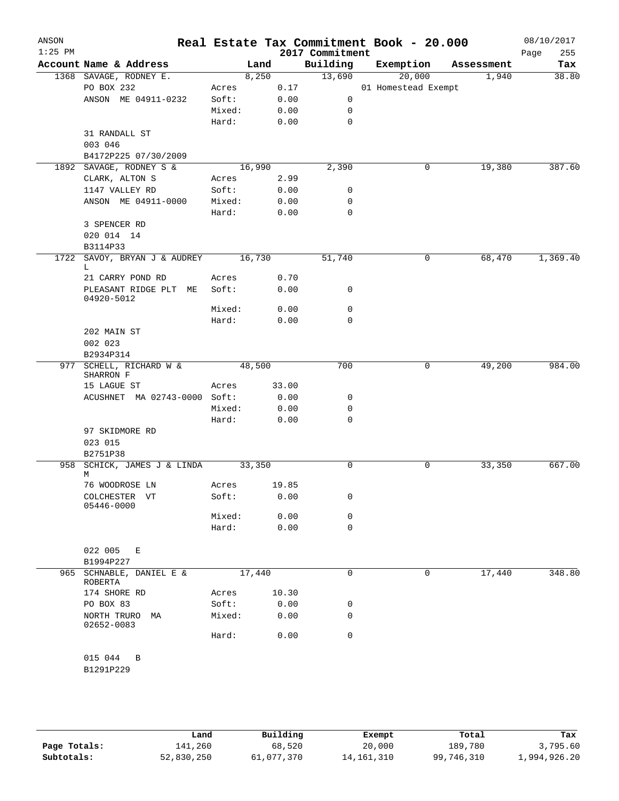| ANSON     |                                              |                |        |              |                             | Real Estate Tax Commitment Book - 20.000 |            | 08/10/2017         |
|-----------|----------------------------------------------|----------------|--------|--------------|-----------------------------|------------------------------------------|------------|--------------------|
| $1:25$ PM | Account Name & Address                       |                | Land   |              | 2017 Commitment<br>Building | Exemption                                | Assessment | 255<br>Page<br>Tax |
|           | 1368 SAVAGE, RODNEY E.                       |                | 8,250  |              | 13,690                      | 20,000                                   | 1,940      | 38.80              |
|           | PO BOX 232                                   | Acres          |        | 0.17         |                             | 01 Homestead Exempt                      |            |                    |
|           | ANSON ME 04911-0232                          | Soft:          |        | 0.00         | $\mathsf{O}$                |                                          |            |                    |
|           |                                              | Mixed:         |        | 0.00         | 0                           |                                          |            |                    |
|           |                                              | Hard:          |        | 0.00         | $\mathbf 0$                 |                                          |            |                    |
|           | 31 RANDALL ST                                |                |        |              |                             |                                          |            |                    |
|           | 003 046                                      |                |        |              |                             |                                          |            |                    |
|           | B4172P225 07/30/2009                         |                |        |              |                             |                                          |            |                    |
|           | 1892 SAVAGE, RODNEY S &                      |                | 16,990 |              | 2,390                       | 0                                        | 19,380     | 387.60             |
|           | CLARK, ALTON S                               | Acres          |        | 2.99         |                             |                                          |            |                    |
|           | 1147 VALLEY RD                               | Soft:          |        | 0.00         | 0                           |                                          |            |                    |
|           | ANSON ME 04911-0000                          | Mixed:         |        | 0.00         | 0                           |                                          |            |                    |
|           |                                              | Hard:          |        | 0.00         | 0                           |                                          |            |                    |
|           | 3 SPENCER RD                                 |                |        |              |                             |                                          |            |                    |
|           | 020 014 14                                   |                |        |              |                             |                                          |            |                    |
|           | B3114P33                                     |                |        |              |                             |                                          |            |                    |
| 1722      | SAVOY, BRYAN J & AUDREY                      |                | 16,730 |              | 51,740                      | 0                                        | 68,470     | 1,369.40           |
|           | L                                            |                |        |              |                             |                                          |            |                    |
|           | 21 CARRY POND RD<br>PLEASANT RIDGE PLT<br>ME | Acres<br>Soft: |        | 0.70<br>0.00 | 0                           |                                          |            |                    |
|           | 04920-5012                                   |                |        |              |                             |                                          |            |                    |
|           |                                              | Mixed:         |        | 0.00         | 0                           |                                          |            |                    |
|           |                                              | Hard:          |        | 0.00         | $\mathbf 0$                 |                                          |            |                    |
|           | 202 MAIN ST                                  |                |        |              |                             |                                          |            |                    |
|           | 002 023                                      |                |        |              |                             |                                          |            |                    |
|           | B2934P314                                    |                |        |              |                             |                                          |            |                    |
|           | 977 SCHELL, RICHARD W &                      |                | 48,500 |              | 700                         | 0                                        | 49,200     | 984.00             |
|           | SHARRON F                                    |                |        |              |                             |                                          |            |                    |
|           | 15 LAGUE ST                                  | Acres          |        | 33.00        |                             |                                          |            |                    |
|           | ACUSHNET MA 02743-0000 Soft:                 | Mixed:         |        | 0.00         | 0<br>0                      |                                          |            |                    |
|           |                                              | Hard:          |        | 0.00<br>0.00 | 0                           |                                          |            |                    |
|           | 97 SKIDMORE RD                               |                |        |              |                             |                                          |            |                    |
|           | 023 015                                      |                |        |              |                             |                                          |            |                    |
|           | B2751P38                                     |                |        |              |                             |                                          |            |                    |
| 958       | SCHICK, JAMES J & LINDA                      |                | 33,350 |              | 0                           | 0                                        | 33,350     | 667.00             |
|           | М                                            |                |        |              |                             |                                          |            |                    |
|           | 76 WOODROSE LN                               | Acres          |        | 19.85        |                             |                                          |            |                    |
|           | COLCHESTER VT                                | Soft:          |        | 0.00         | 0                           |                                          |            |                    |
|           | 05446-0000                                   |                |        |              |                             |                                          |            |                    |
|           |                                              | Mixed:         |        | 0.00         | 0<br>$\mathbf 0$            |                                          |            |                    |
|           |                                              | Hard:          |        | 0.00         |                             |                                          |            |                    |
|           | 022 005<br>Е                                 |                |        |              |                             |                                          |            |                    |
|           | B1994P227                                    |                |        |              |                             |                                          |            |                    |
|           | 965 SCHNABLE, DANIEL E &                     |                | 17,440 |              | $\mathbf 0$                 | 0                                        | 17,440     | 348.80             |
|           | ROBERTA                                      |                |        |              |                             |                                          |            |                    |
|           | 174 SHORE RD                                 | Acres          |        | 10.30        |                             |                                          |            |                    |
|           | PO BOX 83                                    | Soft:          |        | 0.00         | 0                           |                                          |            |                    |
|           | NORTH TRURO<br>МA                            | Mixed:         |        | 0.00         | 0                           |                                          |            |                    |
|           | 02652-0083                                   |                |        |              | $\mathbf 0$                 |                                          |            |                    |
|           |                                              | Hard:          |        | 0.00         |                             |                                          |            |                    |
|           | 015 044<br>B                                 |                |        |              |                             |                                          |            |                    |
|           | B1291P229                                    |                |        |              |                             |                                          |            |                    |
|           |                                              |                |        |              |                             |                                          |            |                    |
|           |                                              |                |        |              |                             |                                          |            |                    |

**Page Totals:** 141,260 68,520 20,000 189,780 3,795.60<br>**Subtotals:** 52,830,250 61,077,370 14,161,310 99,746,310 1,994,926.20 **Subtotals:** 52,830,250 61,077,370 14,161,310 99,746,310 1,994,926.20 **Land Building Exempt Total Tax**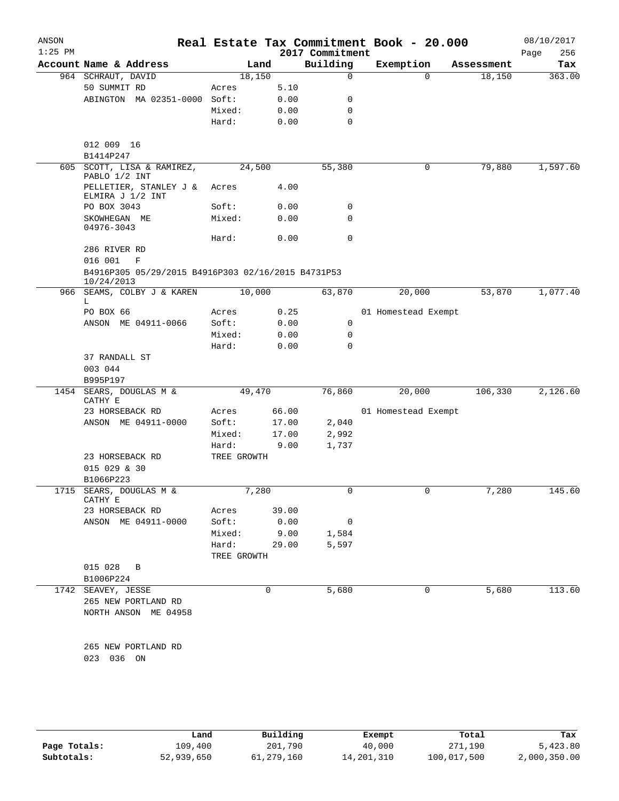| ANSON<br>$1:25$ PM |                                                                    |             |       | 2017 Commitment          | Real Estate Tax Commitment Book - 20.000 |            | 08/10/2017<br>256<br>Page |
|--------------------|--------------------------------------------------------------------|-------------|-------|--------------------------|------------------------------------------|------------|---------------------------|
|                    | Account Name & Address                                             | Land        |       | Building                 | Exemption                                | Assessment | Tax                       |
|                    | 964 SCHRAUT, DAVID                                                 | 18,150      |       | $\mathbf 0$              | $\Omega$                                 | 18,150     | 363.00                    |
|                    | 50 SUMMIT RD                                                       | Acres       | 5.10  |                          |                                          |            |                           |
|                    | ABINGTON MA 02351-0000 Soft:                                       |             | 0.00  | 0                        |                                          |            |                           |
|                    |                                                                    | Mixed:      | 0.00  | 0                        |                                          |            |                           |
|                    |                                                                    | Hard:       | 0.00  | 0                        |                                          |            |                           |
|                    |                                                                    |             |       |                          |                                          |            |                           |
|                    | 012 009 16                                                         |             |       |                          |                                          |            |                           |
|                    | B1414P247                                                          |             |       |                          |                                          |            |                           |
|                    | 605 SCOTT, LISA & RAMIREZ,<br>PABLO 1/2 INT                        | 24,500      |       | 55,380                   | 0                                        | 79,880     | 1,597.60                  |
|                    | PELLETIER, STANLEY J &<br>ELMIRA J 1/2 INT                         | Acres       | 4.00  |                          |                                          |            |                           |
|                    | PO BOX 3043                                                        | Soft:       | 0.00  | 0                        |                                          |            |                           |
|                    | SKOWHEGAN ME<br>04976-3043                                         | Mixed:      | 0.00  | 0                        |                                          |            |                           |
|                    |                                                                    | Hard:       | 0.00  | $\mathbf 0$              |                                          |            |                           |
|                    | 286 RIVER RD                                                       |             |       |                          |                                          |            |                           |
|                    | 016 001<br>F<br>B4916P305 05/29/2015 B4916P303 02/16/2015 B4731P53 |             |       |                          |                                          |            |                           |
|                    | 10/24/2013<br>966 SEAMS, COLBY J & KAREN                           | 10,000      |       | 63,870                   | 20,000                                   | 53,870     | 1,077.40                  |
|                    | L                                                                  |             |       |                          |                                          |            |                           |
|                    | PO BOX 66                                                          | Acres       | 0.25  |                          | 01 Homestead Exempt                      |            |                           |
|                    | ANSON ME 04911-0066                                                | Soft:       | 0.00  | 0                        |                                          |            |                           |
|                    |                                                                    | Mixed:      | 0.00  | 0                        |                                          |            |                           |
|                    |                                                                    | Hard:       | 0.00  | $\Omega$                 |                                          |            |                           |
|                    | 37 RANDALL ST                                                      |             |       |                          |                                          |            |                           |
|                    | 003 044<br>B995P197                                                |             |       |                          |                                          |            |                           |
|                    | 1454 SEARS, DOUGLAS M &                                            | 49,470      |       | 76,860                   | 20,000                                   | 106,330    | 2,126.60                  |
|                    | CATHY E                                                            |             |       |                          |                                          |            |                           |
|                    | 23 HORSEBACK RD                                                    | Acres       | 66.00 |                          | 01 Homestead Exempt                      |            |                           |
|                    | ANSON ME 04911-0000                                                | Soft:       | 17.00 | 2,040                    |                                          |            |                           |
|                    |                                                                    | Mixed:      | 17.00 | 2,992                    |                                          |            |                           |
|                    |                                                                    | Hard:       | 9.00  | 1,737                    |                                          |            |                           |
|                    | 23 HORSEBACK RD<br>015 029 & 30                                    | TREE GROWTH |       |                          |                                          |            |                           |
|                    | B1066P223                                                          |             |       |                          |                                          |            |                           |
|                    | 1715 SEARS, DOUGLAS M &<br>CATHY E                                 | 7,280       |       | $\overline{\mathbf{0}}$  | U                                        | 7,280      | 145.60                    |
|                    | 23 HORSEBACK RD                                                    | Acres       | 39.00 |                          |                                          |            |                           |
|                    | ANSON ME 04911-0000                                                | Soft:       | 0.00  | $\overline{\phantom{0}}$ |                                          |            |                           |
|                    |                                                                    | Mixed:      | 9.00  | 1,584                    |                                          |            |                           |
|                    |                                                                    | Hard:       | 29.00 | 5,597                    |                                          |            |                           |
|                    |                                                                    | TREE GROWTH |       |                          |                                          |            |                           |
|                    | 015 028 B                                                          |             |       |                          |                                          |            |                           |
|                    | B1006P224                                                          |             |       |                          |                                          |            |                           |
|                    | 1742 SEAVEY, JESSE                                                 |             | 0     | 5,680                    | 0                                        | 5,680      | 113.60                    |
|                    | 265 NEW PORTLAND RD                                                |             |       |                          |                                          |            |                           |
|                    | NORTH ANSON ME 04958                                               |             |       |                          |                                          |            |                           |
|                    |                                                                    |             |       |                          |                                          |            |                           |
|                    | 265 NEW PORTLAND RD<br>023 036 ON                                  |             |       |                          |                                          |            |                           |
|                    |                                                                    |             |       |                          |                                          |            |                           |
|                    |                                                                    |             |       |                          |                                          |            |                           |
|                    |                                                                    |             |       |                          |                                          |            |                           |
|                    |                                                                    |             |       |                          |                                          |            |                           |

|              | Land       | Building   | Exempt       | Total       | Tax          |
|--------------|------------|------------|--------------|-------------|--------------|
| Page Totals: | 109,400    | 201,790    | 40,000       | 271,190     | 5,423.80     |
| Subtotals:   | 52,939,650 | 61,279,160 | 14, 201, 310 | 100,017,500 | 2,000,350.00 |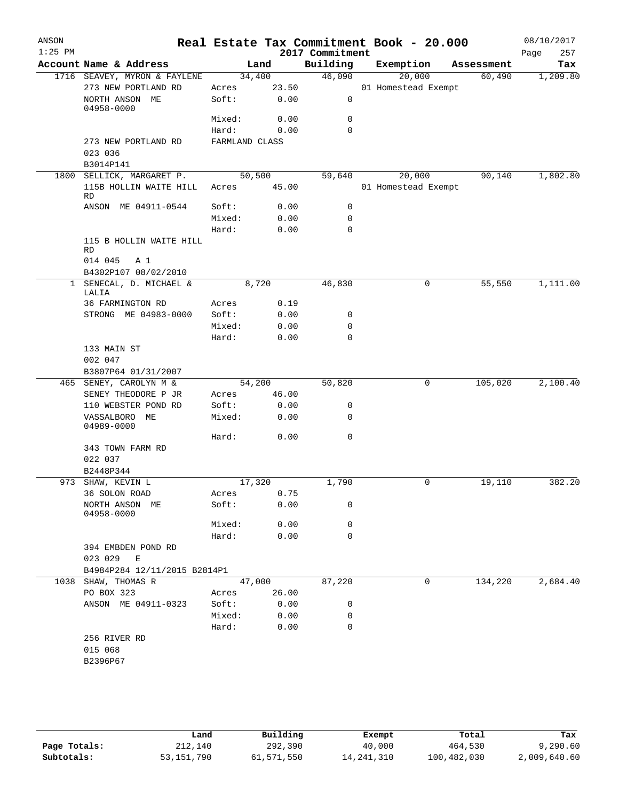| ANSON<br>$1:25$ PM |                              |                                                 |                |        | 2017 Commitment | Real Estate Tax Commitment Book - 20.000 |            | Page | 08/10/2017<br>257 |
|--------------------|------------------------------|-------------------------------------------------|----------------|--------|-----------------|------------------------------------------|------------|------|-------------------|
|                    | Account Name & Address       |                                                 |                | Land   | Building        | Exemption                                | Assessment |      | Tax               |
|                    |                              | 1716 SEAVEY, MYRON & FAYLENE                    |                | 34,400 | 46,090          | 20,000                                   | 60,490     |      | 1,209.80          |
|                    |                              | 273 NEW PORTLAND RD                             | Acres          | 23.50  |                 | 01 Homestead Exempt                      |            |      |                   |
|                    | NORTH ANSON ME<br>04958-0000 |                                                 | Soft:          | 0.00   | $\mathsf{O}$    |                                          |            |      |                   |
|                    |                              |                                                 | Mixed:         | 0.00   | $\mathbf 0$     |                                          |            |      |                   |
|                    |                              |                                                 | Hard:          | 0.00   | $\Omega$        |                                          |            |      |                   |
|                    | 023 036                      | 273 NEW PORTLAND RD                             | FARMLAND CLASS |        |                 |                                          |            |      |                   |
|                    | B3014P141                    |                                                 |                |        |                 |                                          |            |      |                   |
|                    |                              | 1800 SELLICK, MARGARET P.                       |                | 50,500 | 59,640          | 20,000                                   | 90,140     |      | 1,802.80          |
|                    | <b>RD</b>                    | 115B HOLLIN WAITE HILL                          | Acres          | 45.00  |                 | 01 Homestead Exempt                      |            |      |                   |
|                    |                              | ANSON ME 04911-0544                             | Soft:          | 0.00   | 0               |                                          |            |      |                   |
|                    |                              |                                                 | Mixed:         | 0.00   | 0               |                                          |            |      |                   |
|                    |                              |                                                 | Hard:          | 0.00   | $\mathbf 0$     |                                          |            |      |                   |
|                    | RD                           | 115 B HOLLIN WAITE HILL                         |                |        |                 |                                          |            |      |                   |
|                    | 014 045                      | A 1                                             |                |        |                 |                                          |            |      |                   |
|                    |                              | B4302P107 08/02/2010<br>1 SENECAL, D. MICHAEL & |                | 8,720  | 46,830          | 0                                        | 55,550     |      | 1,111.00          |
|                    | LALIA                        |                                                 |                |        |                 |                                          |            |      |                   |
|                    | 36 FARMINGTON RD             |                                                 | Acres          | 0.19   |                 |                                          |            |      |                   |
|                    |                              | STRONG ME 04983-0000                            | Soft:          | 0.00   | 0               |                                          |            |      |                   |
|                    |                              |                                                 | Mixed:         | 0.00   | $\mathbf 0$     |                                          |            |      |                   |
|                    |                              |                                                 | Hard:          | 0.00   | $\mathbf 0$     |                                          |            |      |                   |
|                    | 133 MAIN ST                  |                                                 |                |        |                 |                                          |            |      |                   |
|                    | 002 047                      |                                                 |                |        |                 |                                          |            |      |                   |
|                    |                              | B3807P64 01/31/2007                             |                |        |                 |                                          |            |      |                   |
|                    | 465 SENEY, CAROLYN M &       |                                                 |                | 54,200 | 50,820          | 0                                        | 105,020    |      | 2,100.40          |
|                    |                              | SENEY THEODORE P JR                             | Acres          | 46.00  |                 |                                          |            |      |                   |
|                    |                              | 110 WEBSTER POND RD                             | Soft:          | 0.00   | 0<br>0          |                                          |            |      |                   |
|                    | VASSALBORO ME<br>04989-0000  |                                                 | Mixed:         | 0.00   |                 |                                          |            |      |                   |
|                    |                              |                                                 | Hard:          | 0.00   | $\mathbf 0$     |                                          |            |      |                   |
|                    | 343 TOWN FARM RD             |                                                 |                |        |                 |                                          |            |      |                   |
|                    | 022 037<br>B2448P344         |                                                 |                |        |                 |                                          |            |      |                   |
|                    | 973 SHAW, KEVIN L            |                                                 |                | 17,320 | 1,790           | 0                                        | 19,110     |      | 382.20            |
|                    | 36 SOLON ROAD                |                                                 | Acres          | 0.75   |                 |                                          |            |      |                   |
|                    | NORTH ANSON ME               |                                                 | Soft:          | 0.00   | 0               |                                          |            |      |                   |
|                    | 04958-0000                   |                                                 |                |        |                 |                                          |            |      |                   |
|                    |                              |                                                 | Mixed:         | 0.00   | 0               |                                          |            |      |                   |
|                    |                              |                                                 | Hard:          | 0.00   | 0               |                                          |            |      |                   |
|                    | 394 EMBDEN POND RD           |                                                 |                |        |                 |                                          |            |      |                   |
|                    | 023 029                      | E                                               |                |        |                 |                                          |            |      |                   |
|                    |                              | B4984P284 12/11/2015 B2814P1                    |                |        |                 |                                          |            |      |                   |
|                    | 1038 SHAW, THOMAS R          |                                                 |                | 47,000 | 87,220          | 0                                        | 134,220    |      | 2,684.40          |
|                    | PO BOX 323                   |                                                 | Acres          | 26.00  |                 |                                          |            |      |                   |
|                    |                              | ANSON ME 04911-0323                             | Soft:          | 0.00   | 0               |                                          |            |      |                   |
|                    |                              |                                                 | Mixed:         | 0.00   | 0<br>0          |                                          |            |      |                   |
|                    | 256 RIVER RD                 |                                                 | Hard:          | 0.00   |                 |                                          |            |      |                   |
|                    | 015 068                      |                                                 |                |        |                 |                                          |            |      |                   |
|                    | B2396P67                     |                                                 |                |        |                 |                                          |            |      |                   |
|                    |                              |                                                 |                |        |                 |                                          |            |      |                   |
|                    |                              |                                                 |                |        |                 |                                          |            |      |                   |
|                    |                              |                                                 |                |        |                 |                                          |            |      |                   |
|                    |                              |                                                 |                |        |                 |                                          |            |      |                   |

|              | Land       | Building   | Exempt       | Total       | Tax          |
|--------------|------------|------------|--------------|-------------|--------------|
| Page Totals: | 212,140    | 292,390    | 40,000       | 464,530     | 9,290.60     |
| Subtotals:   | 53,151,790 | 61,571,550 | 14, 241, 310 | 100,482,030 | 2,009,640.60 |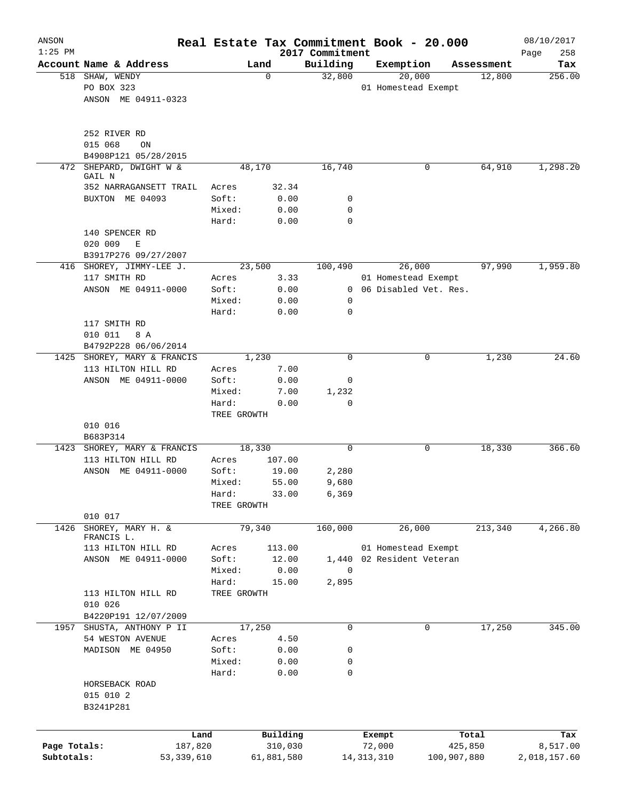| ANSON        |                                              |                 |              |                             | Real Estate Tax Commitment Book - 20.000 |             | 08/10/2017         |
|--------------|----------------------------------------------|-----------------|--------------|-----------------------------|------------------------------------------|-------------|--------------------|
| $1:25$ PM    | Account Name & Address                       |                 | Land         | 2017 Commitment<br>Building | Exemption                                | Assessment  | 258<br>Page<br>Tax |
|              | 518 SHAW, WENDY                              |                 | $\mathbf 0$  | 32,800                      | 20,000                                   | 12,800      | 256.00             |
|              | PO BOX 323                                   |                 |              |                             | 01 Homestead Exempt                      |             |                    |
|              | ANSON ME 04911-0323                          |                 |              |                             |                                          |             |                    |
|              |                                              |                 |              |                             |                                          |             |                    |
|              |                                              |                 |              |                             |                                          |             |                    |
|              | 252 RIVER RD                                 |                 |              |                             |                                          |             |                    |
|              | 015 068<br>ON                                |                 |              |                             |                                          |             |                    |
| 472          | B4908P121 05/28/2015<br>SHEPARD, DWIGHT W &  |                 | 48,170       | 16,740                      | 0                                        | 64,910      | 1,298.20           |
|              | GAIL N                                       |                 |              |                             |                                          |             |                    |
|              | 352 NARRAGANSETT TRAIL                       | Acres           | 32.34        |                             |                                          |             |                    |
|              | BUXTON ME 04093                              | Soft:           | 0.00         | 0                           |                                          |             |                    |
|              |                                              | Mixed:          | 0.00         | 0                           |                                          |             |                    |
|              |                                              | Hard:           | 0.00         | 0                           |                                          |             |                    |
|              | 140 SPENCER RD                               |                 |              |                             |                                          |             |                    |
|              | 020 009<br>Ε                                 |                 |              |                             |                                          |             |                    |
| 416          | B3917P276 09/27/2007<br>SHOREY, JIMMY-LEE J. |                 | 23,500       | 100,490                     | 26,000                                   | 97,990      | 1,959.80           |
|              | 117 SMITH RD                                 | Acres           | 3.33         |                             | 01 Homestead Exempt                      |             |                    |
|              | ANSON ME 04911-0000                          | Soft:           | 0.00         |                             | 0 06 Disabled Vet. Res.                  |             |                    |
|              |                                              | Mixed:          | 0.00         | 0                           |                                          |             |                    |
|              |                                              | Hard:           | 0.00         | 0                           |                                          |             |                    |
|              | 117 SMITH RD                                 |                 |              |                             |                                          |             |                    |
|              | 010 011<br>8 A                               |                 |              |                             |                                          |             |                    |
|              | B4792P228 06/06/2014                         |                 |              |                             |                                          |             |                    |
|              | 1425 SHOREY, MARY & FRANCIS                  |                 | 1,230        | 0                           | 0                                        | 1,230       | 24.60              |
|              | 113 HILTON HILL RD                           | Acres           | 7.00         |                             |                                          |             |                    |
|              | ANSON ME 04911-0000                          | Soft:           | 0.00         | 0                           |                                          |             |                    |
|              |                                              | Mixed:          | 7.00         | 1,232                       |                                          |             |                    |
|              |                                              | Hard:           | 0.00         | 0                           |                                          |             |                    |
|              | 010 016                                      | TREE GROWTH     |              |                             |                                          |             |                    |
|              | B683P314                                     |                 |              |                             |                                          |             |                    |
| 1423         | SHOREY, MARY & FRANCIS                       |                 | 18,330       | 0                           | 0                                        | 18,330      | 366.60             |
|              | 113 HILTON HILL RD                           | Acres           | 107.00       |                             |                                          |             |                    |
|              | ANSON ME 04911-0000                          | Soft:           | 19.00        | 2,280                       |                                          |             |                    |
|              |                                              | Mixed:          | 55.00        | 9,680                       |                                          |             |                    |
|              |                                              | Hard:           | 33.00        | 6,369                       |                                          |             |                    |
|              |                                              | TREE GROWTH     |              |                             |                                          |             |                    |
|              | 010 017                                      |                 |              |                             |                                          |             |                    |
| 1426         | SHOREY, MARY H. &<br>FRANCIS L.              |                 | 79,340       | 160,000                     | 26,000                                   | 213,340     | 4,266.80           |
|              | 113 HILTON HILL RD                           | Acres           | 113.00       |                             | 01 Homestead Exempt                      |             |                    |
|              | ANSON ME 04911-0000                          | Soft:           | 12.00        |                             | 1,440 02 Resident Veteran                |             |                    |
|              |                                              | Mixed:          | 0.00         | $\mathbf 0$                 |                                          |             |                    |
|              |                                              | Hard:           | 15.00        | 2,895                       |                                          |             |                    |
|              | 113 HILTON HILL RD                           | TREE GROWTH     |              |                             |                                          |             |                    |
|              | 010 026                                      |                 |              |                             |                                          |             |                    |
|              | B4220P191 12/07/2009                         |                 |              |                             |                                          |             |                    |
| 1957         | SHUSTA, ANTHONY P II                         |                 | 17,250       | 0                           | 0                                        | 17,250      | 345.00             |
|              | 54 WESTON AVENUE                             | Acres           | 4.50         |                             |                                          |             |                    |
|              | MADISON ME 04950                             | Soft:           | 0.00         | 0                           |                                          |             |                    |
|              |                                              | Mixed:<br>Hard: | 0.00<br>0.00 | 0<br>0                      |                                          |             |                    |
|              | HORSEBACK ROAD                               |                 |              |                             |                                          |             |                    |
|              | 015 010 2                                    |                 |              |                             |                                          |             |                    |
|              | B3241P281                                    |                 |              |                             |                                          |             |                    |
|              |                                              |                 |              |                             |                                          |             |                    |
|              | Land                                         |                 | Building     |                             | Exempt                                   | Total       | Tax                |
| Page Totals: | 187,820                                      |                 | 310,030      |                             | 72,000                                   | 425,850     | 8,517.00           |
| Subtotals:   | 53,339,610                                   |                 | 61,881,580   |                             | 14, 313, 310                             | 100,907,880 | 2,018,157.60       |
|              |                                              |                 |              |                             |                                          |             |                    |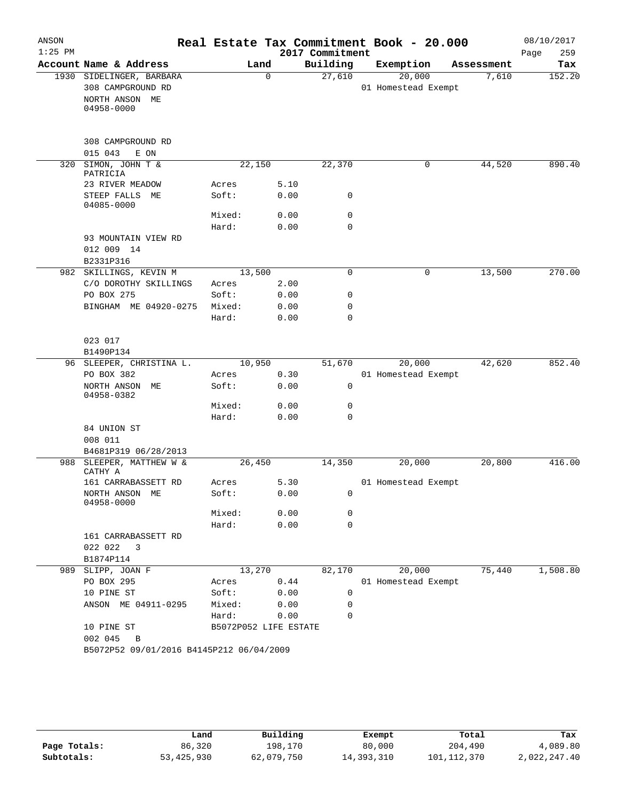| ANSON<br>$1:25$ PM |                                          | Real Estate Tax Commitment Book - 20.000 |              | 2017 Commitment |                     |            | 08/10/2017<br>Page<br>259 |
|--------------------|------------------------------------------|------------------------------------------|--------------|-----------------|---------------------|------------|---------------------------|
|                    | Account Name & Address                   | Land                                     |              | Building        | Exemption           | Assessment | Tax                       |
|                    | 1930 SIDELINGER, BARBARA                 |                                          | $\Omega$     | 27,610          | 20,000              | 7,610      | 152.20                    |
|                    | 308 CAMPGROUND RD                        |                                          |              |                 | 01 Homestead Exempt |            |                           |
|                    | NORTH ANSON ME<br>04958-0000             |                                          |              |                 |                     |            |                           |
|                    | 308 CAMPGROUND RD<br>015 043<br>E ON     |                                          |              |                 |                     |            |                           |
|                    | 320 SIMON, JOHN T &                      | 22,150                                   |              | 22,370          | 0                   | 44,520     | 890.40                    |
|                    | PATRICIA                                 |                                          |              |                 |                     |            |                           |
|                    | 23 RIVER MEADOW                          | Acres                                    | 5.10         |                 |                     |            |                           |
|                    | STEEP FALLS ME<br>04085-0000             | Soft:                                    | 0.00         | 0               |                     |            |                           |
|                    |                                          | Mixed:                                   | 0.00         | $\mathbf 0$     |                     |            |                           |
|                    |                                          | Hard:                                    | 0.00         | $\mathbf 0$     |                     |            |                           |
|                    | 93 MOUNTAIN VIEW RD                      |                                          |              |                 |                     |            |                           |
|                    | 012 009 14                               |                                          |              |                 |                     |            |                           |
|                    | B2331P316<br>982 SKILLINGS, KEVIN M      | 13,500                                   |              | $\mathbf 0$     | 0                   | 13,500     | 270.00                    |
|                    | C/O DOROTHY SKILLINGS                    | Acres                                    | 2.00         |                 |                     |            |                           |
|                    | PO BOX 275                               | Soft:                                    | 0.00         | $\mathbf 0$     |                     |            |                           |
|                    | BINGHAM ME 04920-0275                    | Mixed:                                   | 0.00         | $\mathbf 0$     |                     |            |                           |
|                    |                                          | Hard:                                    | 0.00         | $\mathbf 0$     |                     |            |                           |
|                    | 023 017                                  |                                          |              |                 |                     |            |                           |
|                    | B1490P134                                |                                          |              |                 |                     |            |                           |
|                    | 96 SLEEPER, CHRISTINA L.                 | 10,950                                   |              | 51,670          | 20,000              | 42,620     | 852.40                    |
|                    | PO BOX 382                               | Acres                                    | 0.30         |                 | 01 Homestead Exempt |            |                           |
|                    | NORTH ANSON ME<br>04958-0382             | Soft:                                    | 0.00         | $\mathbf 0$     |                     |            |                           |
|                    |                                          | Mixed:                                   | 0.00         | 0               |                     |            |                           |
|                    |                                          | Hard:                                    | 0.00         | $\mathbf 0$     |                     |            |                           |
|                    | 84 UNION ST                              |                                          |              |                 |                     |            |                           |
|                    | 008 011<br>B4681P319 06/28/2013          |                                          |              |                 |                     |            |                           |
| 988                | SLEEPER, MATTHEW W &                     | 26,450                                   |              | 14,350          | 20,000              | 20,800     | 416.00                    |
|                    | CATHY A                                  |                                          |              |                 |                     |            |                           |
|                    | 161 CARRABASSETT RD                      | Acres                                    | 5.30         |                 | 01 Homestead Exempt |            |                           |
|                    | NORTH ANSON ME<br>04958-0000             | Soft:                                    | 0.00         | 0               |                     |            |                           |
|                    |                                          | Mixed:                                   | 0.00         | 0               |                     |            |                           |
|                    |                                          | Hard:                                    | 0.00         | $\mathbf 0$     |                     |            |                           |
|                    | 161 CARRABASSETT RD                      |                                          |              |                 |                     |            |                           |
|                    | 022 022<br>3                             |                                          |              |                 |                     |            |                           |
|                    | B1874P114                                |                                          |              |                 |                     |            |                           |
| 989                | SLIPP, JOAN F                            | 13,270                                   |              | 82,170          | 20,000              | 75,440     | 1,508.80                  |
|                    | PO BOX 295                               | Acres                                    | 0.44         |                 | 01 Homestead Exempt |            |                           |
|                    | 10 PINE ST                               | Soft:                                    | 0.00         | 0               |                     |            |                           |
|                    | ANSON ME 04911-0295                      | Mixed:<br>Hard:                          | 0.00<br>0.00 | 0<br>$\Omega$   |                     |            |                           |
|                    | 10 PINE ST                               | B5072P052 LIFE ESTATE                    |              |                 |                     |            |                           |
|                    | 002 045<br>B                             |                                          |              |                 |                     |            |                           |
|                    | B5072P52 09/01/2016 B4145P212 06/04/2009 |                                          |              |                 |                     |            |                           |

|              | Land       | Building   | Exempt     | Total       | Tax          |
|--------------|------------|------------|------------|-------------|--------------|
| Page Totals: | 86,320     | 198.170    | 80,000     | 204,490     | 4,089.80     |
| Subtotals:   | 53,425,930 | 62,079,750 | 14,393,310 | 101,112,370 | 2,022,247.40 |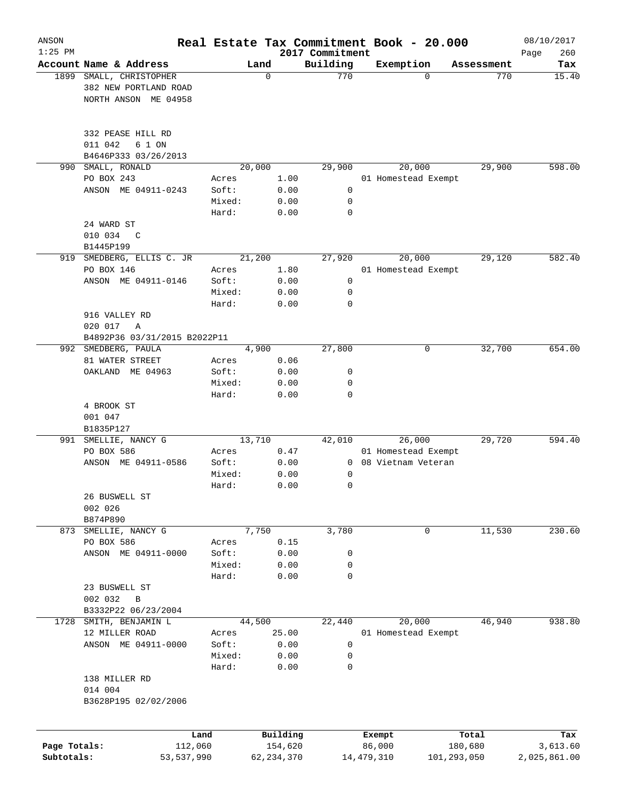| ANSON<br>$1:25$ PM |                                                                     |                |        |              | 2017 Commitment |              | Real Estate Tax Commitment Book - 20.000 |             | 08/10/2017<br>Page<br>260 |
|--------------------|---------------------------------------------------------------------|----------------|--------|--------------|-----------------|--------------|------------------------------------------|-------------|---------------------------|
|                    | Account Name & Address                                              |                | Land   |              | Building        |              | Exemption                                | Assessment  | Tax                       |
| 1899               | SMALL, CHRISTOPHER<br>382 NEW PORTLAND ROAD<br>NORTH ANSON ME 04958 |                | 0      |              | 770             |              | $\Omega$                                 | 770         | 15.40                     |
|                    | 332 PEASE HILL RD<br>011 042<br>6 1 ON<br>B4646P333 03/26/2013      |                |        |              |                 |              |                                          |             |                           |
| 990                | SMALL, RONALD                                                       |                | 20,000 |              | 29,900          |              | 20,000                                   | 29,900      | 598.00                    |
|                    | PO BOX 243                                                          | Acres          |        | 1.00         |                 |              | 01 Homestead Exempt                      |             |                           |
|                    | ANSON ME 04911-0243                                                 | Soft:          |        | 0.00         | 0               |              |                                          |             |                           |
|                    |                                                                     | Mixed:         |        | 0.00         | 0               |              |                                          |             |                           |
|                    |                                                                     | Hard:          |        | 0.00         | $\mathbf 0$     |              |                                          |             |                           |
|                    | 24 WARD ST                                                          |                |        |              |                 |              |                                          |             |                           |
|                    | 010 034<br>$\mathsf{C}$                                             |                |        |              |                 |              |                                          |             |                           |
|                    | B1445P199                                                           |                |        |              |                 |              |                                          |             |                           |
| 919                | SMEDBERG, ELLIS C. JR<br>PO BOX 146                                 |                | 21,200 |              | 27,920          |              | 20,000                                   | 29,120      | 582.40                    |
|                    | ANSON ME 04911-0146                                                 | Acres<br>Soft: |        | 1.80<br>0.00 | 0               |              | 01 Homestead Exempt                      |             |                           |
|                    |                                                                     | Mixed:         |        | 0.00         | 0               |              |                                          |             |                           |
|                    |                                                                     | Hard:          |        | 0.00         | 0               |              |                                          |             |                           |
|                    | 916 VALLEY RD                                                       |                |        |              |                 |              |                                          |             |                           |
|                    | 020 017<br>Α                                                        |                |        |              |                 |              |                                          |             |                           |
|                    | B4892P36 03/31/2015 B2022P11                                        |                |        |              |                 |              |                                          |             |                           |
| 992                | SMEDBERG, PAULA                                                     |                | 4,900  |              | 27,800          |              | 0                                        | 32,700      | 654.00                    |
|                    | 81 WATER STREET                                                     | Acres          |        | 0.06         |                 |              |                                          |             |                           |
|                    | OAKLAND ME 04963                                                    | Soft:          |        | 0.00         | 0               |              |                                          |             |                           |
|                    |                                                                     | Mixed:         |        | 0.00         | 0               |              |                                          |             |                           |
|                    | 4 BROOK ST<br>001 047<br>B1835P127                                  | Hard:          |        | 0.00         | $\Omega$        |              |                                          |             |                           |
| 991                | SMELLIE, NANCY G                                                    |                | 13,710 |              | 42,010          |              | 26,000                                   | 29,720      | 594.40                    |
|                    | PO BOX 586                                                          | Acres          |        | 0.47         |                 |              | 01 Homestead Exempt                      |             |                           |
|                    | ANSON ME 04911-0586                                                 | Soft:          |        | 0.00         | 0               |              | 08 Vietnam Veteran                       |             |                           |
|                    |                                                                     | Mixed:         |        | 0.00         | 0               |              |                                          |             |                           |
|                    | 26 BUSWELL ST<br>002 026                                            | Hard:          |        | 0.00         | 0               |              |                                          |             |                           |
|                    | B874P890                                                            |                |        |              |                 |              |                                          |             |                           |
| 873                | SMELLIE, NANCY G                                                    |                | 7,750  |              | 3,780           |              | 0                                        | 11,530      | 230.60                    |
|                    | PO BOX 586                                                          | Acres          |        | 0.15         |                 |              |                                          |             |                           |
|                    | ANSON ME 04911-0000                                                 | Soft:          |        | 0.00         | 0               |              |                                          |             |                           |
|                    |                                                                     | Mixed:         |        | 0.00         | 0               |              |                                          |             |                           |
|                    | 23 BUSWELL ST<br>002 032<br>$\, {\bf B}$                            | Hard:          |        | 0.00         | 0               |              |                                          |             |                           |
|                    | B3332P22 06/23/2004                                                 |                |        |              |                 |              |                                          |             |                           |
| 1728               | SMITH, BENJAMIN L                                                   |                | 44,500 |              | 22, 440         |              | 20,000                                   | 46,940      | 938.80                    |
|                    | 12 MILLER ROAD                                                      | Acres          |        | 25.00        |                 |              | 01 Homestead Exempt                      |             |                           |
|                    | ANSON ME 04911-0000                                                 | Soft:          |        | 0.00         | 0               |              |                                          |             |                           |
|                    |                                                                     | Mixed:         |        | 0.00         | 0               |              |                                          |             |                           |
|                    | 138 MILLER RD                                                       | Hard:          |        | 0.00         | 0               |              |                                          |             |                           |
|                    | 014 004                                                             |                |        |              |                 |              |                                          |             |                           |
|                    | B3628P195 02/02/2006                                                |                |        |              |                 |              |                                          |             |                           |
|                    |                                                                     | Land           |        | Building     |                 | Exempt       |                                          | Total       | Tax                       |
| Page Totals:       | 112,060                                                             |                |        | 154,620      |                 | 86,000       |                                          | 180,680     | 3,613.60                  |
| Subtotals:         | 53, 537, 990                                                        |                |        | 62, 234, 370 |                 | 14, 479, 310 |                                          | 101,293,050 | 2,025,861.00              |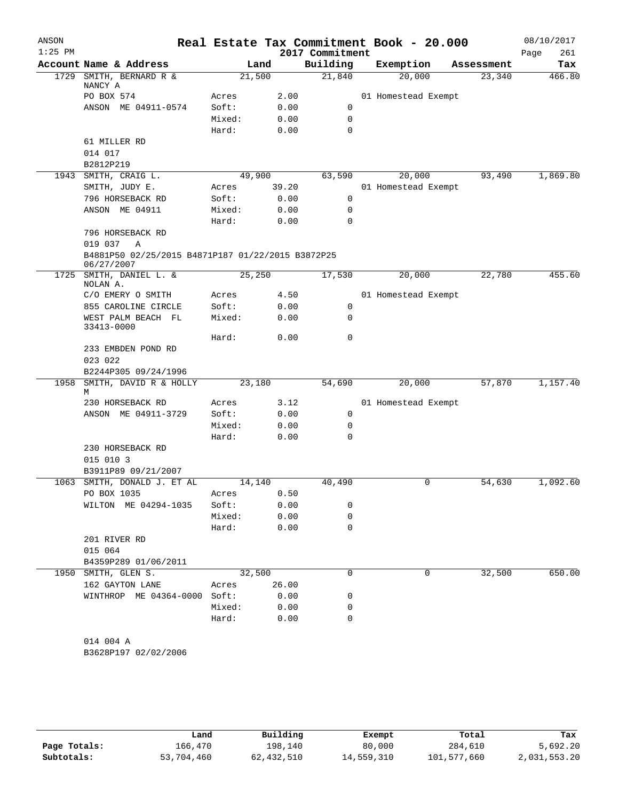| ANSON<br>$1:25$ PM |                                                                 |        |        | Real Estate Tax Commitment Book - 20.000<br>2017 Commitment |                     |            | 08/10/2017<br>Page<br>261 |
|--------------------|-----------------------------------------------------------------|--------|--------|-------------------------------------------------------------|---------------------|------------|---------------------------|
|                    | Account Name & Address                                          |        | Land   | Building                                                    | Exemption           | Assessment | Tax                       |
| 1729               | SMITH, BERNARD R &                                              |        | 21,500 | 21,840                                                      | 20,000              | 23,340     | 466.80                    |
|                    | NANCY A<br>PO BOX 574                                           | Acres  | 2.00   |                                                             | 01 Homestead Exempt |            |                           |
|                    | ANSON ME 04911-0574                                             | Soft:  | 0.00   | $\mathbf 0$                                                 |                     |            |                           |
|                    |                                                                 | Mixed: | 0.00   | 0                                                           |                     |            |                           |
|                    |                                                                 | Hard:  | 0.00   | 0                                                           |                     |            |                           |
|                    | 61 MILLER RD                                                    |        |        |                                                             |                     |            |                           |
|                    | 014 017                                                         |        |        |                                                             |                     |            |                           |
|                    | B2812P219                                                       |        |        |                                                             |                     |            |                           |
|                    | 1943 SMITH, CRAIG L.                                            |        | 49,900 | 63,590                                                      | 20,000              | 93,490     | 1,869.80                  |
|                    | SMITH, JUDY E.                                                  | Acres  | 39.20  |                                                             | 01 Homestead Exempt |            |                           |
|                    | 796 HORSEBACK RD                                                |        |        | $\mathbf 0$                                                 |                     |            |                           |
|                    |                                                                 | Soft:  | 0.00   |                                                             |                     |            |                           |
|                    | ANSON ME 04911                                                  | Mixed: | 0.00   | 0                                                           |                     |            |                           |
|                    |                                                                 | Hard:  | 0.00   | 0                                                           |                     |            |                           |
|                    | 796 HORSEBACK RD                                                |        |        |                                                             |                     |            |                           |
|                    | 019 037<br>Α                                                    |        |        |                                                             |                     |            |                           |
|                    | B4881P50 02/25/2015 B4871P187 01/22/2015 B3872P25<br>06/27/2007 |        |        |                                                             |                     |            |                           |
| 1725               | SMITH, DANIEL L. &<br>NOLAN A.                                  |        | 25,250 | 17,530                                                      | 20,000              | 22,780     | 455.60                    |
|                    | C/O EMERY O SMITH                                               | Acres  | 4.50   |                                                             | 01 Homestead Exempt |            |                           |
|                    | 855 CAROLINE CIRCLE                                             | Soft:  | 0.00   | $\mathbf 0$                                                 |                     |            |                           |
|                    | WEST PALM BEACH FL<br>33413-0000                                | Mixed: | 0.00   | 0                                                           |                     |            |                           |
|                    |                                                                 | Hard:  | 0.00   | 0                                                           |                     |            |                           |
|                    | 233 EMBDEN POND RD<br>023 022                                   |        |        |                                                             |                     |            |                           |
|                    | B2244P305 09/24/1996                                            |        |        |                                                             |                     |            |                           |
| 1958               | SMITH, DAVID R & HOLLY<br>М                                     |        | 23,180 | 54,690                                                      | 20,000              | 57,870     | 1,157.40                  |
|                    | 230 HORSEBACK RD                                                | Acres  | 3.12   |                                                             | 01 Homestead Exempt |            |                           |
|                    | ANSON ME 04911-3729                                             | Soft:  | 0.00   | 0                                                           |                     |            |                           |
|                    |                                                                 | Mixed: | 0.00   | 0                                                           |                     |            |                           |
|                    |                                                                 | Hard:  | 0.00   | 0                                                           |                     |            |                           |
|                    | 230 HORSEBACK RD                                                |        |        |                                                             |                     |            |                           |
|                    | 015 010 3                                                       |        |        |                                                             |                     |            |                           |
|                    | B3911P89 09/21/2007                                             |        |        |                                                             |                     |            |                           |
| 1063               | SMITH, DONALD J. ET AL                                          |        | 14,140 | 40,490                                                      | 0                   | 54,630     | 1,092.60                  |
|                    | PO BOX 1035                                                     | Acres  | 0.50   |                                                             |                     |            |                           |
|                    | WILTON ME 04294-1035                                            | Soft:  | 0.00   | 0                                                           |                     |            |                           |
|                    |                                                                 | Mixed: | 0.00   | 0                                                           |                     |            |                           |
|                    |                                                                 | Hard:  | 0.00   | $\mathbf 0$                                                 |                     |            |                           |
|                    | 201 RIVER RD                                                    |        |        |                                                             |                     |            |                           |
|                    | 015 064                                                         |        |        |                                                             |                     |            |                           |
|                    | B4359P289 01/06/2011                                            |        |        |                                                             |                     |            |                           |
|                    | 1950 SMITH, GLEN S.                                             |        | 32,500 | $\Omega$                                                    | 0                   | 32,500     | 650.00                    |
|                    | 162 GAYTON LANE                                                 | Acres  | 26.00  |                                                             |                     |            |                           |
|                    | WINTHROP ME 04364-0000 Soft:                                    |        | 0.00   | 0                                                           |                     |            |                           |
|                    |                                                                 | Mixed: | 0.00   | 0                                                           |                     |            |                           |
|                    |                                                                 | Hard:  | 0.00   | $\mathbf 0$                                                 |                     |            |                           |
|                    |                                                                 |        |        |                                                             |                     |            |                           |
|                    | 014 004 A                                                       |        |        |                                                             |                     |            |                           |

B3628P197 02/02/2006

|              | Land       | Building   | Exempt     | Total       | Tax          |
|--------------|------------|------------|------------|-------------|--------------|
| Page Totals: | 166,470    | 198,140    | 80,000     | 284,610     | 5,692.20     |
| Subtotals:   | 53,704,460 | 62,432,510 | 14,559,310 | 101,577,660 | 2,031,553.20 |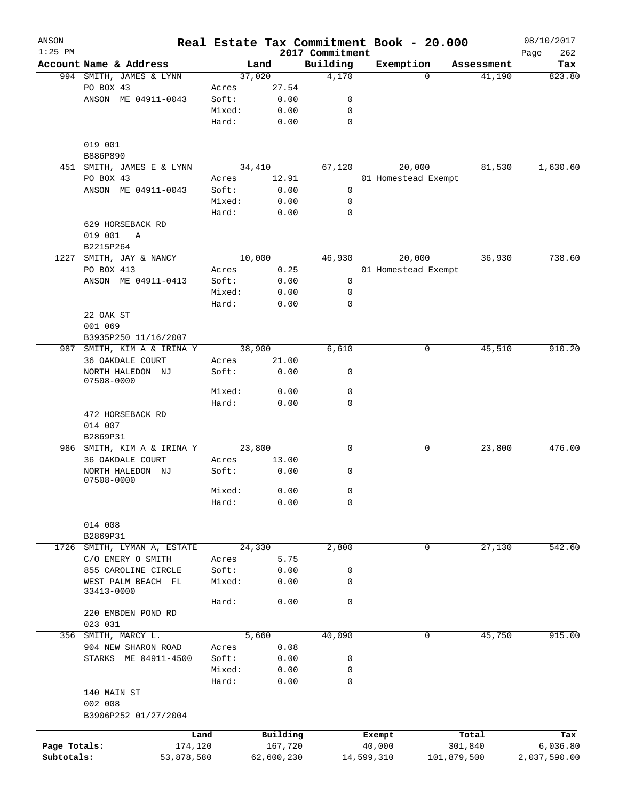| ANSON        |                                  |        |            |                             | Real Estate Tax Commitment Book - 20.000 |             |            | 08/10/2017         |
|--------------|----------------------------------|--------|------------|-----------------------------|------------------------------------------|-------------|------------|--------------------|
| $1:25$ PM    | Account Name & Address           |        | Land       | 2017 Commitment<br>Building | Exemption                                |             | Assessment | 262<br>Page<br>Tax |
|              | 994 SMITH, JAMES & LYNN          |        | 37,020     | 4,170                       |                                          | $\Omega$    | 41,190     | 823.80             |
|              | PO BOX 43                        | Acres  | 27.54      |                             |                                          |             |            |                    |
|              | ANSON ME 04911-0043              | Soft:  | 0.00       | 0                           |                                          |             |            |                    |
|              |                                  | Mixed: | 0.00       | 0                           |                                          |             |            |                    |
|              |                                  | Hard:  | 0.00       | 0                           |                                          |             |            |                    |
|              | 019 001                          |        |            |                             |                                          |             |            |                    |
|              | B886P890                         |        |            |                             |                                          |             |            |                    |
|              | 451 SMITH, JAMES E & LYNN        |        | 34,410     | 67, 120                     | 20,000                                   |             | 81,530     | 1,630.60           |
|              | PO BOX 43                        | Acres  | 12.91      |                             | 01 Homestead Exempt                      |             |            |                    |
|              | ANSON ME 04911-0043              | Soft:  | 0.00       | $\mathsf{O}$                |                                          |             |            |                    |
|              |                                  | Mixed: | 0.00       | 0                           |                                          |             |            |                    |
|              |                                  | Hard:  | 0.00       | 0                           |                                          |             |            |                    |
|              | 629 HORSEBACK RD                 |        |            |                             |                                          |             |            |                    |
|              | 019 001<br>A                     |        |            |                             |                                          |             |            |                    |
|              | B2215P264                        |        |            |                             |                                          |             |            |                    |
| 1227         | SMITH, JAY & NANCY               |        | 10,000     | 46,930                      | 20,000                                   |             | 36,930     | 738.60             |
|              | PO BOX 413                       | Acres  | 0.25       |                             | 01 Homestead Exempt                      |             |            |                    |
|              | ANSON ME 04911-0413              | Soft:  | 0.00       | 0                           |                                          |             |            |                    |
|              |                                  | Mixed: | 0.00       | 0                           |                                          |             |            |                    |
|              |                                  | Hard:  | 0.00       | 0                           |                                          |             |            |                    |
|              | 22 OAK ST                        |        |            |                             |                                          |             |            |                    |
|              | 001 069                          |        |            |                             |                                          |             |            |                    |
|              | B3935P250 11/16/2007             |        |            |                             |                                          |             |            |                    |
| 987          | SMITH, KIM A & IRINA Y           |        | 38,900     | 6,610                       |                                          | 0           | 45,510     | 910.20             |
|              | 36 OAKDALE COURT                 | Acres  | 21.00      |                             |                                          |             |            |                    |
|              | NORTH HALEDON NJ<br>07508-0000   | Soft:  | 0.00       | 0                           |                                          |             |            |                    |
|              |                                  | Mixed: | 0.00       | $\mathbf 0$                 |                                          |             |            |                    |
|              |                                  | Hard:  | 0.00       | $\mathbf 0$                 |                                          |             |            |                    |
|              | 472 HORSEBACK RD                 |        |            |                             |                                          |             |            |                    |
|              | 014 007<br>B2869P31              |        |            |                             |                                          |             |            |                    |
|              | 986 SMITH, KIM A & IRINA Y       |        | 23,800     | 0                           |                                          | 0           | 23,800     | 476.00             |
|              | 36 OAKDALE COURT                 | Acres  | 13.00      |                             |                                          |             |            |                    |
|              |                                  | Soft:  |            | 0                           |                                          |             |            |                    |
|              | NORTH HALEDON NJ<br>07508-0000   |        | 0.00       |                             |                                          |             |            |                    |
|              |                                  | Mixed: | 0.00       | 0                           |                                          |             |            |                    |
|              |                                  | Hard:  | 0.00       | 0                           |                                          |             |            |                    |
|              | 014 008                          |        |            |                             |                                          |             |            |                    |
|              | B2869P31                         |        |            |                             |                                          |             |            |                    |
| 1726         | SMITH, LYMAN A, ESTATE           |        | 24,330     | 2,800                       |                                          | 0           | 27,130     | 542.60             |
|              | C/O EMERY O SMITH                | Acres  | 5.75       |                             |                                          |             |            |                    |
|              | 855 CAROLINE CIRCLE              | Soft:  | 0.00       | 0                           |                                          |             |            |                    |
|              | WEST PALM BEACH FL<br>33413-0000 | Mixed: | 0.00       | 0                           |                                          |             |            |                    |
|              |                                  | Hard:  | 0.00       | 0                           |                                          |             |            |                    |
|              | 220 EMBDEN POND RD               |        |            |                             |                                          |             |            |                    |
|              | 023 031                          |        |            |                             |                                          |             |            |                    |
|              | 356 SMITH, MARCY L.              |        | 5,660      | 40,090                      |                                          | 0           | 45,750     | 915.00             |
|              | 904 NEW SHARON ROAD              | Acres  | 0.08       |                             |                                          |             |            |                    |
|              | STARKS ME 04911-4500             | Soft:  | 0.00       | 0                           |                                          |             |            |                    |
|              |                                  | Mixed: | 0.00       | 0                           |                                          |             |            |                    |
|              |                                  | Hard:  | 0.00       | 0                           |                                          |             |            |                    |
|              | 140 MAIN ST<br>002 008           |        |            |                             |                                          |             |            |                    |
|              | B3906P252 01/27/2004             |        |            |                             |                                          |             |            |                    |
|              |                                  | Land   | Building   |                             | Exempt                                   |             | Total      | Tax                |
| Page Totals: | 174,120                          |        | 167,720    |                             | 40,000                                   |             | 301,840    | 6,036.80           |
| Subtotals:   | 53,878,580                       |        | 62,600,230 |                             | 14,599,310                               | 101,879,500 |            | 2,037,590.00       |
|              |                                  |        |            |                             |                                          |             |            |                    |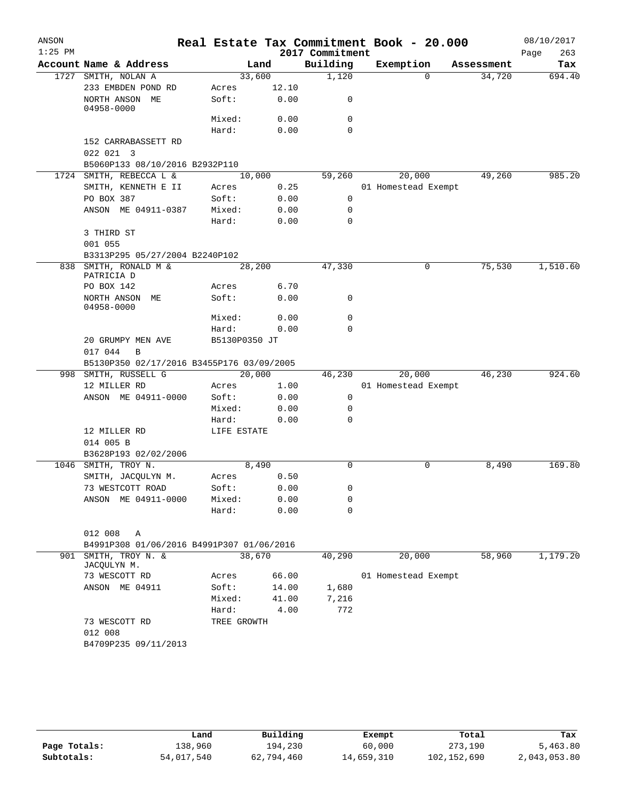| ANSON<br>$1:25$ PM |                                           |                 |              | 2017 Commitment | Real Estate Tax Commitment Book - 20.000 |          |            | 08/10/2017<br>263<br>Page |
|--------------------|-------------------------------------------|-----------------|--------------|-----------------|------------------------------------------|----------|------------|---------------------------|
|                    | Account Name & Address                    |                 | Land         | Building        | Exemption                                |          | Assessment | Tax                       |
|                    | 1727 SMITH, NOLAN A                       | 33,600          |              | 1,120           |                                          | $\Omega$ | 34,720     | 694.40                    |
|                    | 233 EMBDEN POND RD                        | Acres           | 12.10        |                 |                                          |          |            |                           |
|                    | NORTH ANSON ME<br>$04958 - 0000$          | Soft:           | 0.00         | 0               |                                          |          |            |                           |
|                    |                                           | Mixed:          | 0.00         | 0               |                                          |          |            |                           |
|                    |                                           | Hard:           | 0.00         | $\Omega$        |                                          |          |            |                           |
|                    | 152 CARRABASSETT RD                       |                 |              |                 |                                          |          |            |                           |
|                    | 022 021 3                                 |                 |              |                 |                                          |          |            |                           |
|                    | B5060P133 08/10/2016 B2932P110            |                 |              |                 |                                          |          |            |                           |
|                    | 1724 SMITH, REBECCA L &                   | 10,000          |              | 59,260          | 20,000                                   |          | 49,260     | 985.20                    |
|                    | SMITH, KENNETH E II                       | Acres           | 0.25         |                 | 01 Homestead Exempt                      |          |            |                           |
|                    | PO BOX 387                                | Soft:           | 0.00         | $\mathbf 0$     |                                          |          |            |                           |
|                    | ANSON ME 04911-0387                       | Mixed:          | 0.00         | 0               |                                          |          |            |                           |
|                    |                                           | Hard:           | 0.00         | $\Omega$        |                                          |          |            |                           |
|                    | 3 THIRD ST                                |                 |              |                 |                                          |          |            |                           |
|                    | 001 055                                   |                 |              |                 |                                          |          |            |                           |
|                    | B3313P295 05/27/2004 B2240P102            |                 |              |                 |                                          |          |            |                           |
|                    | 838 SMITH, RONALD M &<br>PATRICIA D       | 28,200          |              | 47,330          |                                          | 0        | 75,530     | 1,510.60                  |
|                    | PO BOX 142                                | Acres           | 6.70         |                 |                                          |          |            |                           |
|                    | NORTH ANSON ME                            | Soft:           | 0.00         | 0               |                                          |          |            |                           |
|                    | 04958-0000                                |                 |              |                 |                                          |          |            |                           |
|                    |                                           | Mixed:          | 0.00         | 0               |                                          |          |            |                           |
|                    |                                           | Hard:           | 0.00         | $\Omega$        |                                          |          |            |                           |
|                    | 20 GRUMPY MEN AVE                         | B5130P0350 JT   |              |                 |                                          |          |            |                           |
|                    | 017 044<br>B                              |                 |              |                 |                                          |          |            |                           |
|                    | B5130P350 02/17/2016 B3455P176 03/09/2005 |                 |              |                 |                                          |          |            |                           |
|                    | 998 SMITH, RUSSELL G                      | 20,000          |              | 46,230          | 20,000                                   |          | 46,230     | 924.60                    |
|                    | 12 MILLER RD                              | Acres           | 1.00         |                 | 01 Homestead Exempt                      |          |            |                           |
|                    | ANSON ME 04911-0000                       | Soft:           | 0.00         | 0               |                                          |          |            |                           |
|                    |                                           | Mixed:          | 0.00         | 0               |                                          |          |            |                           |
|                    |                                           | Hard:           | 0.00         | $\Omega$        |                                          |          |            |                           |
|                    | 12 MILLER RD                              | LIFE ESTATE     |              |                 |                                          |          |            |                           |
|                    | 014 005 B                                 |                 |              |                 |                                          |          |            |                           |
|                    | B3628P193 02/02/2006                      |                 |              |                 |                                          |          |            |                           |
|                    | 1046 SMITH, TROY N.                       | 8,490           |              | $\Omega$        |                                          | 0        | 8,490      | 169.80                    |
|                    | SMITH, JACQULYN M.                        | Acres           | 0.50         |                 |                                          |          |            |                           |
|                    | 73 WESTCOTT ROAD                          | Soft:<br>Mixed: | 0.00         | 0               |                                          |          |            |                           |
|                    | ANSON ME 04911-0000                       | Hard:           | 0.00<br>0.00 | 0<br>0          |                                          |          |            |                           |
|                    |                                           |                 |              |                 |                                          |          |            |                           |
|                    | 012 008<br>A                              |                 |              |                 |                                          |          |            |                           |
|                    | B4991P308 01/06/2016 B4991P307 01/06/2016 |                 |              |                 |                                          |          |            |                           |
| 901                | SMITH, TROY N. &                          | 38,670          |              | 40,290          | 20,000                                   |          | 58,960     | 1,179.20                  |
|                    | JACQULYN M.                               |                 |              |                 |                                          |          |            |                           |
|                    | 73 WESCOTT RD                             | Acres           | 66.00        |                 | 01 Homestead Exempt                      |          |            |                           |
|                    | ANSON ME 04911                            | Soft:           | 14.00        | 1,680           |                                          |          |            |                           |
|                    |                                           | Mixed:          | 41.00        | 7,216           |                                          |          |            |                           |
|                    |                                           | Hard:           | 4.00         | 772             |                                          |          |            |                           |
|                    | 73 WESCOTT RD                             | TREE GROWTH     |              |                 |                                          |          |            |                           |
|                    | 012 008                                   |                 |              |                 |                                          |          |            |                           |
|                    | B4709P235 09/11/2013                      |                 |              |                 |                                          |          |            |                           |
|                    |                                           |                 |              |                 |                                          |          |            |                           |
|                    |                                           |                 |              |                 |                                          |          |            |                           |

|              | Land       | Building   | Exempt     | Total       | Tax          |
|--------------|------------|------------|------------|-------------|--------------|
| Page Totals: | 138,960    | 194,230    | 60,000     | 273,190     | 5,463.80     |
| Subtotals:   | 54,017,540 | 62,794,460 | 14,659,310 | 102,152,690 | 2,043,053.80 |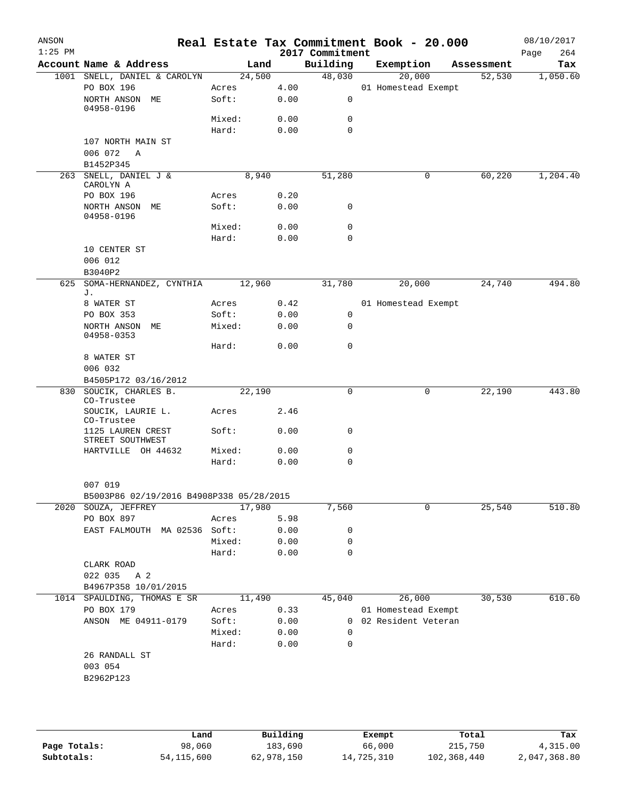| ANSON<br>$1:25$ PM |                                                                 |        |      | 2017 Commitment | Real Estate Tax Commitment Book - 20.000 |            | 08/10/2017<br>264<br>Page |
|--------------------|-----------------------------------------------------------------|--------|------|-----------------|------------------------------------------|------------|---------------------------|
|                    | Account Name & Address                                          | Land   |      | Building        | Exemption                                | Assessment | Tax                       |
|                    | 1001 SNELL, DANIEL & CAROLYN                                    | 24,500 |      | 48,030          | 20,000                                   | 52,530     | 1,050.60                  |
|                    | PO BOX 196                                                      | Acres  | 4.00 |                 | 01 Homestead Exempt                      |            |                           |
|                    | NORTH ANSON ME<br>04958-0196                                    | Soft:  | 0.00 | 0               |                                          |            |                           |
|                    |                                                                 | Mixed: | 0.00 | 0               |                                          |            |                           |
|                    |                                                                 | Hard:  | 0.00 | $\mathbf 0$     |                                          |            |                           |
|                    | 107 NORTH MAIN ST<br>006 072<br>Α                               |        |      |                 |                                          |            |                           |
|                    | B1452P345                                                       |        |      |                 |                                          |            |                           |
|                    | 263 SNELL, DANIEL J &<br>CAROLYN A                              | 8,940  |      | 51,280          | 0                                        | 60,220     | 1,204.40                  |
|                    | PO BOX 196                                                      | Acres  | 0.20 |                 |                                          |            |                           |
|                    | NORTH ANSON ME<br>04958-0196                                    | Soft:  | 0.00 | 0               |                                          |            |                           |
|                    |                                                                 | Mixed: | 0.00 | 0               |                                          |            |                           |
|                    |                                                                 | Hard:  | 0.00 | 0               |                                          |            |                           |
|                    | 10 CENTER ST                                                    |        |      |                 |                                          |            |                           |
|                    | 006 012                                                         |        |      |                 |                                          |            |                           |
|                    | B3040P2                                                         |        |      |                 |                                          |            |                           |
| 625                | SOMA-HERNANDEZ, CYNTHIA<br>J.                                   | 12,960 |      | 31,780          | 20,000                                   | 24,740     | 494.80                    |
|                    | 8 WATER ST                                                      | Acres  | 0.42 |                 | 01 Homestead Exempt                      |            |                           |
|                    | PO BOX 353                                                      | Soft:  | 0.00 | 0               |                                          |            |                           |
|                    | NORTH ANSON ME<br>04958-0353                                    | Mixed: | 0.00 | 0               |                                          |            |                           |
|                    |                                                                 | Hard:  | 0.00 | 0               |                                          |            |                           |
|                    | 8 WATER ST<br>006 032                                           |        |      |                 |                                          |            |                           |
|                    | B4505P172 03/16/2012                                            |        |      |                 |                                          |            |                           |
| 830                | SOUCIK, CHARLES B.                                              | 22,190 |      | $\mathbf 0$     | 0                                        | 22,190     | 443.80                    |
|                    | CO-Trustee                                                      |        |      |                 |                                          |            |                           |
|                    | SOUCIK, LAURIE L.<br>CO-Trustee                                 | Acres  | 2.46 |                 |                                          |            |                           |
|                    | 1125 LAUREN CREST<br>STREET SOUTHWEST                           | Soft:  | 0.00 | 0               |                                          |            |                           |
|                    | HARTVILLE OH 44632                                              | Mixed: | 0.00 | 0               |                                          |            |                           |
|                    |                                                                 | Hard:  | 0.00 | 0               |                                          |            |                           |
|                    | 007 019                                                         |        |      |                 |                                          |            |                           |
|                    | B5003P86 02/19/2016 B4908P338 05/28/2015<br>2020 SOUZA, JEFFREY | 17,980 |      | 7,560           | 0                                        | 25,540     | 510.80                    |
|                    | PO BOX 897                                                      | Acres  | 5.98 |                 |                                          |            |                           |
|                    | EAST FALMOUTH MA 02536 Soft:                                    |        | 0.00 | 0               |                                          |            |                           |
|                    |                                                                 | Mixed: | 0.00 | 0               |                                          |            |                           |
|                    |                                                                 | Hard:  | 0.00 | 0               |                                          |            |                           |
|                    | CLARK ROAD                                                      |        |      |                 |                                          |            |                           |
|                    | 022 035<br>A 2                                                  |        |      |                 |                                          |            |                           |
|                    | B4967P358 10/01/2015                                            |        |      |                 |                                          |            |                           |
|                    | 1014 SPAULDING, THOMAS E SR                                     | 11,490 |      | 45,040          | 26,000                                   | 30,530     | 610.60                    |
|                    | PO BOX 179                                                      | Acres  | 0.33 |                 | 01 Homestead Exempt                      |            |                           |
|                    | ANSON ME 04911-0179                                             | Soft:  | 0.00 |                 | 0 02 Resident Veteran                    |            |                           |
|                    |                                                                 | Mixed: | 0.00 | 0               |                                          |            |                           |
|                    |                                                                 | Hard:  | 0.00 | 0               |                                          |            |                           |
|                    | 26 RANDALL ST                                                   |        |      |                 |                                          |            |                           |
|                    | 003 054                                                         |        |      |                 |                                          |            |                           |
|                    | B2962P123                                                       |        |      |                 |                                          |            |                           |
|                    |                                                                 |        |      |                 |                                          |            |                           |
|                    |                                                                 |        |      |                 |                                          |            |                           |

|              | Land         | Building   | Exempt     | Total       | Tax          |
|--------------|--------------|------------|------------|-------------|--------------|
| Page Totals: | 98,060       | 183,690    | 66,000     | 215,750     | 4,315.00     |
| Subtotals:   | 54, 115, 600 | 62,978,150 | 14,725,310 | 102,368,440 | 2,047,368.80 |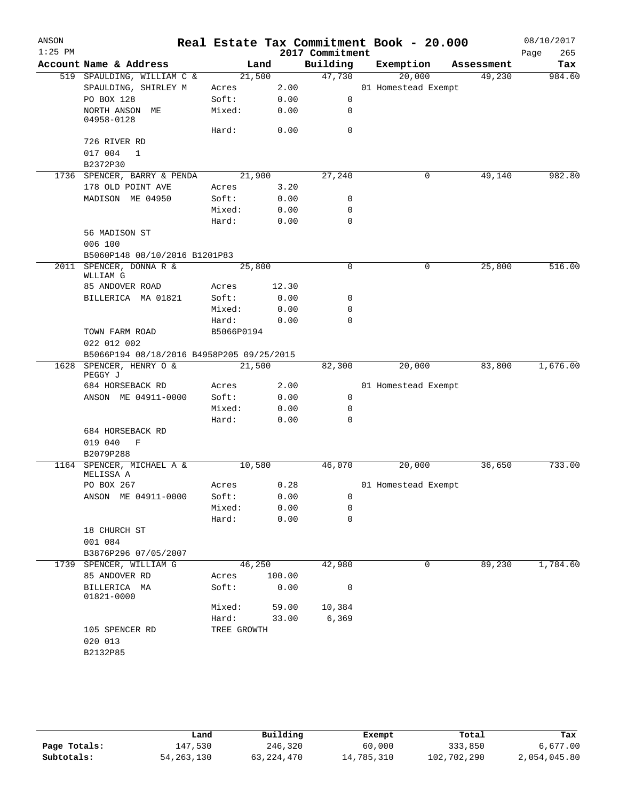| ANSON<br>$1:25$ PM |                                           |                 |        | 2017 Commitment | Real Estate Tax Commitment Book - 20.000 |            | 08/10/2017         |
|--------------------|-------------------------------------------|-----------------|--------|-----------------|------------------------------------------|------------|--------------------|
|                    | Account Name & Address                    |                 | Land   | Building        | Exemption                                | Assessment | 265<br>Page<br>Tax |
|                    | 519 SPAULDING, WILLIAM C &                |                 | 21,500 | 47,730          | 20,000                                   | 49,230     | 984.60             |
|                    | SPAULDING, SHIRLEY M                      |                 | 2.00   |                 | 01 Homestead Exempt                      |            |                    |
|                    |                                           | Acres           |        | $\mathbf 0$     |                                          |            |                    |
|                    | PO BOX 128                                | Soft:<br>Mixed: | 0.00   |                 |                                          |            |                    |
|                    | NORTH ANSON ME<br>04958-0128              |                 | 0.00   | 0               |                                          |            |                    |
|                    |                                           | Hard:           | 0.00   | 0               |                                          |            |                    |
|                    | 726 RIVER RD                              |                 |        |                 |                                          |            |                    |
|                    | 017 004<br>$\mathbf{1}$                   |                 |        |                 |                                          |            |                    |
|                    | B2372P30                                  |                 |        |                 |                                          |            |                    |
|                    | 1736 SPENCER, BARRY & PENDA               | 21,900          |        | 27,240          | $\mathbf 0$                              | 49,140     | 982.80             |
|                    | 178 OLD POINT AVE                         | Acres           | 3.20   |                 |                                          |            |                    |
|                    | MADISON ME 04950                          | Soft:           | 0.00   | 0               |                                          |            |                    |
|                    |                                           | Mixed:          | 0.00   | 0               |                                          |            |                    |
|                    |                                           | Hard:           | 0.00   | $\mathbf 0$     |                                          |            |                    |
|                    | 56 MADISON ST                             |                 |        |                 |                                          |            |                    |
|                    | 006 100                                   |                 |        |                 |                                          |            |                    |
|                    | B5060P148 08/10/2016 B1201P83             |                 |        |                 |                                          |            |                    |
|                    | 2011 SPENCER, DONNA R &                   | 25,800          |        | 0               | 0                                        | 25,800     | 516.00             |
|                    | WLLIAM G                                  |                 |        |                 |                                          |            |                    |
|                    | 85 ANDOVER ROAD                           | Acres           | 12.30  |                 |                                          |            |                    |
|                    | BILLERICA MA 01821                        | Soft:           | 0.00   | 0               |                                          |            |                    |
|                    |                                           | Mixed:          | 0.00   | 0               |                                          |            |                    |
|                    |                                           | Hard:           | 0.00   | $\Omega$        |                                          |            |                    |
|                    | TOWN FARM ROAD                            | B5066P0194      |        |                 |                                          |            |                    |
|                    | 022 012 002                               |                 |        |                 |                                          |            |                    |
|                    | B5066P194 08/18/2016 B4958P205 09/25/2015 |                 |        |                 |                                          |            |                    |
|                    | 1628 SPENCER, HENRY O &                   |                 | 21,500 | 82,300          | 20,000                                   | 83,800     | 1,676.00           |
|                    | PEGGY J                                   |                 |        |                 |                                          |            |                    |
|                    | 684 HORSEBACK RD                          | Acres           | 2.00   |                 | 01 Homestead Exempt                      |            |                    |
|                    | ANSON ME 04911-0000                       | Soft:           | 0.00   | 0               |                                          |            |                    |
|                    |                                           | Mixed:          | 0.00   | 0               |                                          |            |                    |
|                    |                                           | Hard:           | 0.00   | $\Omega$        |                                          |            |                    |
|                    | 684 HORSEBACK RD                          |                 |        |                 |                                          |            |                    |
|                    | 019 040<br>F                              |                 |        |                 |                                          |            |                    |
|                    | B2079P288                                 |                 |        |                 |                                          |            |                    |
|                    | 1164 SPENCER, MICHAEL A &                 |                 | 10,580 | 46,070          | 20,000                                   | 36,650     | 733.00             |
|                    | MELISSA A                                 |                 |        |                 |                                          |            |                    |
|                    | PO BOX 267                                | Acres           | 0.28   |                 | 01 Homestead Exempt                      |            |                    |
|                    | ANSON ME 04911-0000                       | Soft:           | 0.00   | 0               |                                          |            |                    |
|                    |                                           | Mixed:          | 0.00   | 0               |                                          |            |                    |
|                    |                                           | Hard:           | 0.00   | $\mathbf 0$     |                                          |            |                    |
|                    | 18 CHURCH ST                              |                 |        |                 |                                          |            |                    |
|                    | 001 084                                   |                 |        |                 |                                          |            |                    |
|                    | B3876P296 07/05/2007                      |                 |        |                 |                                          |            |                    |
|                    | 1739 SPENCER, WILLIAM G                   |                 | 46,250 | 42,980          | 0                                        | 89,230     | 1,784.60           |
|                    | 85 ANDOVER RD                             | Acres           | 100.00 |                 |                                          |            |                    |
|                    | BILLERICA MA<br>01821-0000                | Soft:           | 0.00   | 0               |                                          |            |                    |
|                    |                                           | Mixed:          | 59.00  | 10,384          |                                          |            |                    |
|                    |                                           | Hard:           | 33.00  | 6,369           |                                          |            |                    |
|                    | 105 SPENCER RD                            | TREE GROWTH     |        |                 |                                          |            |                    |
|                    | 020 013                                   |                 |        |                 |                                          |            |                    |
|                    | B2132P85                                  |                 |        |                 |                                          |            |                    |
|                    |                                           |                 |        |                 |                                          |            |                    |

|              | Land         | Building   | Exempt     | Total       | Tax          |
|--------------|--------------|------------|------------|-------------|--------------|
| Page Totals: | 147.530      | 246,320    | 60,000     | 333,850     | 6,677.00     |
| Subtotals:   | 54, 263, 130 | 63,224,470 | 14,785,310 | 102,702,290 | 2,054,045.80 |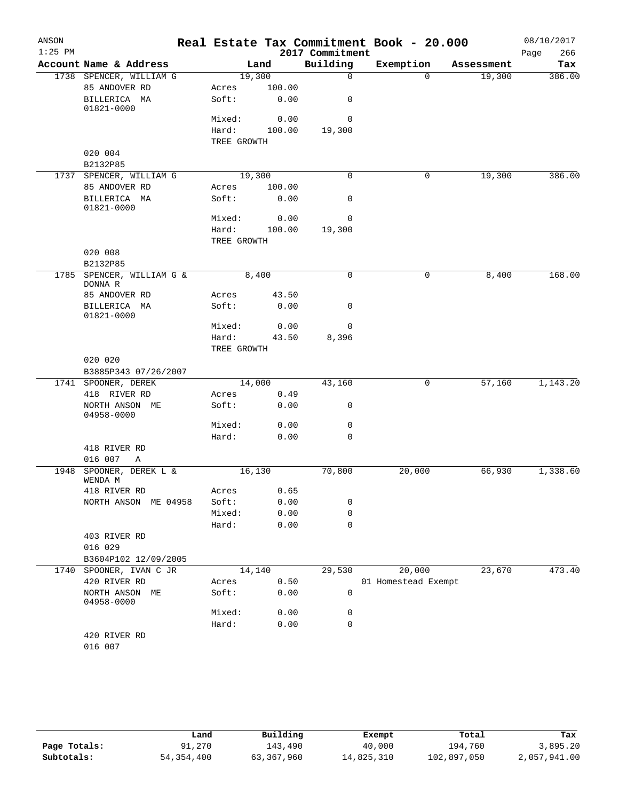| ANSON     |                                  |                      |                |                 | Real Estate Tax Commitment Book - 20.000 |            | 08/10/2017  |
|-----------|----------------------------------|----------------------|----------------|-----------------|------------------------------------------|------------|-------------|
| $1:25$ PM |                                  |                      |                | 2017 Commitment |                                          |            | 266<br>Page |
|           | Account Name & Address           |                      | Land           | Building        | Exemption                                | Assessment | Tax         |
|           | 1738 SPENCER, WILLIAM G          | 19,300               |                | $\mathbf 0$     | $\Omega$                                 | 19,300     | 386.00      |
|           | 85 ANDOVER RD<br>BILLERICA MA    | Acres<br>Soft:       | 100.00<br>0.00 | 0               |                                          |            |             |
|           | 01821-0000                       |                      |                |                 |                                          |            |             |
|           |                                  | Mixed:               | 0.00           | 0               |                                          |            |             |
|           |                                  | Hard:                | 100.00         | 19,300          |                                          |            |             |
|           |                                  | TREE GROWTH          |                |                 |                                          |            |             |
|           | 020 004<br>B2132P85              |                      |                |                 |                                          |            |             |
|           | 1737 SPENCER, WILLIAM G          | 19,300               |                | $\Omega$        | 0                                        | 19,300     | 386.00      |
|           | 85 ANDOVER RD                    | Acres                | 100.00         |                 |                                          |            |             |
|           | BILLERICA MA<br>01821-0000       | Soft:                | 0.00           | 0               |                                          |            |             |
|           |                                  | Mixed:               | 0.00           | 0               |                                          |            |             |
|           |                                  | Hard:                | 100.00         | 19,300          |                                          |            |             |
|           |                                  | TREE GROWTH          |                |                 |                                          |            |             |
|           | 020 008                          |                      |                |                 |                                          |            |             |
| 1785      | B2132P85<br>SPENCER, WILLIAM G & | 8,400                |                | 0               | 0                                        | 8,400      | 168.00      |
|           | DONNA R                          |                      |                |                 |                                          |            |             |
|           | 85 ANDOVER RD                    | Acres                | 43.50          |                 |                                          |            |             |
|           | BILLERICA MA<br>01821-0000       | Soft:                | 0.00           | 0               |                                          |            |             |
|           |                                  | Mixed:               | 0.00           | 0               |                                          |            |             |
|           |                                  | Hard:<br>TREE GROWTH | 43.50          | 8,396           |                                          |            |             |
|           | 020 020                          |                      |                |                 |                                          |            |             |
|           | B3885P343 07/26/2007             |                      |                |                 |                                          |            |             |
|           | 1741 SPOONER, DEREK              | 14,000               |                | 43,160          | 0                                        | 57,160     | 1,143.20    |
|           | 418 RIVER RD                     | Acres                | 0.49           |                 |                                          |            |             |
|           | NORTH ANSON ME<br>04958-0000     | Soft:                | 0.00           | 0               |                                          |            |             |
|           |                                  | Mixed:               | 0.00           | $\mathbf 0$     |                                          |            |             |
|           | 418 RIVER RD                     | Hard:                | 0.00           | $\mathbf 0$     |                                          |            |             |
|           | 016 007<br>Α                     |                      |                |                 |                                          |            |             |
| 1948      | SPOONER, DEREK L &               | 16, 130              |                | 70,800          | 20,000                                   | 66,930     | 1,338.60    |
|           | WENDA M                          |                      |                |                 |                                          |            |             |
|           | 418 RIVER RD                     | Acres 0.65           |                |                 |                                          |            |             |
|           | NORTH ANSON ME 04958             | Soft:                | 0.00           | 0               |                                          |            |             |
|           |                                  | Mixed:<br>Hard:      | 0.00<br>0.00   | 0<br>0          |                                          |            |             |
|           | 403 RIVER RD                     |                      |                |                 |                                          |            |             |
|           | 016 029                          |                      |                |                 |                                          |            |             |
|           | B3604P102 12/09/2005             |                      |                |                 |                                          |            |             |
|           | 1740 SPOONER, IVAN C JR          | 14,140               |                | 29,530          | 20,000                                   | 23,670     | 473.40      |
|           | 420 RIVER RD                     | Acres                | 0.50           |                 | 01 Homestead Exempt                      |            |             |
|           | NORTH ANSON ME<br>04958-0000     | Soft:                | 0.00           | $\mathbf 0$     |                                          |            |             |
|           |                                  | Mixed:               | 0.00           | 0               |                                          |            |             |
|           |                                  | Hard:                | 0.00           | 0               |                                          |            |             |
|           | 420 RIVER RD<br>016 007          |                      |                |                 |                                          |            |             |
|           |                                  |                      |                |                 |                                          |            |             |

|              | Land         | Building   | Exempt     | Total       | Tax          |
|--------------|--------------|------------|------------|-------------|--------------|
| Page Totals: | 91,270       | 143,490    | 40,000     | 194,760     | 3,895.20     |
| Subtotals:   | 54, 354, 400 | 63,367,960 | 14,825,310 | 102,897,050 | 2,057,941.00 |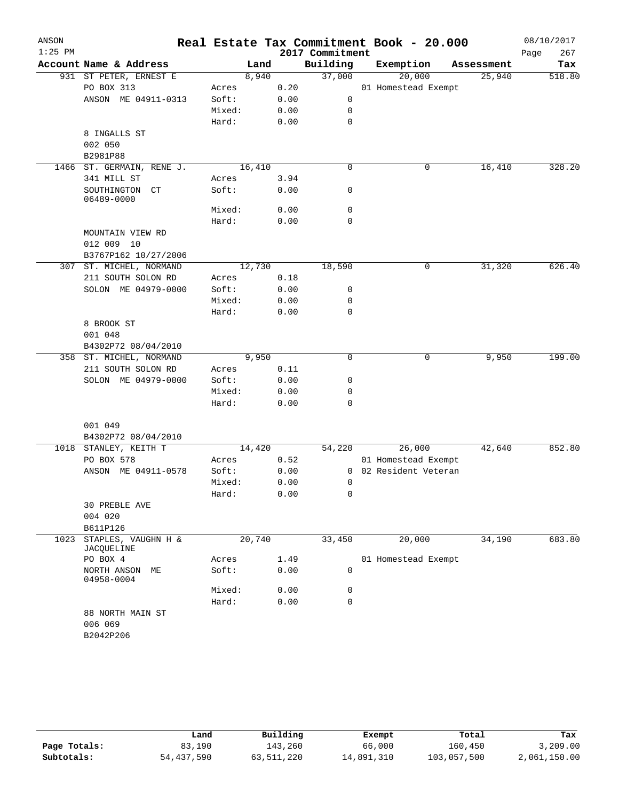|                                   |                                                                                                                                                                                  |                                                                                                                                                                                                                                                            |        |                                     |                                                                                                                                                                                                                                           | Real Estate Tax Commitment Book - 20.000 |            | 08/10/2017<br>267<br>Page                                                                                   |
|-----------------------------------|----------------------------------------------------------------------------------------------------------------------------------------------------------------------------------|------------------------------------------------------------------------------------------------------------------------------------------------------------------------------------------------------------------------------------------------------------|--------|-------------------------------------|-------------------------------------------------------------------------------------------------------------------------------------------------------------------------------------------------------------------------------------------|------------------------------------------|------------|-------------------------------------------------------------------------------------------------------------|
| Account Name & Address            |                                                                                                                                                                                  | Land                                                                                                                                                                                                                                                       |        | Building                            |                                                                                                                                                                                                                                           | Exemption                                | Assessment | Tax                                                                                                         |
| 931 ST PETER, ERNEST E            |                                                                                                                                                                                  | 8,940                                                                                                                                                                                                                                                      |        | 37,000                              |                                                                                                                                                                                                                                           | 20,000                                   | 25,940     | 518.80                                                                                                      |
| PO BOX 313                        | Acres                                                                                                                                                                            |                                                                                                                                                                                                                                                            |        |                                     |                                                                                                                                                                                                                                           |                                          |            |                                                                                                             |
|                                   | Soft:                                                                                                                                                                            |                                                                                                                                                                                                                                                            |        | 0                                   |                                                                                                                                                                                                                                           |                                          |            |                                                                                                             |
|                                   |                                                                                                                                                                                  |                                                                                                                                                                                                                                                            |        | 0                                   |                                                                                                                                                                                                                                           |                                          |            |                                                                                                             |
|                                   | Hard:                                                                                                                                                                            |                                                                                                                                                                                                                                                            |        | 0                                   |                                                                                                                                                                                                                                           |                                          |            |                                                                                                             |
| 8 INGALLS ST                      |                                                                                                                                                                                  |                                                                                                                                                                                                                                                            |        |                                     |                                                                                                                                                                                                                                           |                                          |            |                                                                                                             |
| 002 050                           |                                                                                                                                                                                  |                                                                                                                                                                                                                                                            |        |                                     |                                                                                                                                                                                                                                           |                                          |            |                                                                                                             |
| B2981P88                          |                                                                                                                                                                                  |                                                                                                                                                                                                                                                            |        |                                     |                                                                                                                                                                                                                                           |                                          |            |                                                                                                             |
|                                   |                                                                                                                                                                                  |                                                                                                                                                                                                                                                            |        | $\mathbf 0$                         |                                                                                                                                                                                                                                           | 0                                        | 16,410     | 328.20                                                                                                      |
| 341 MILL ST                       | Acres                                                                                                                                                                            |                                                                                                                                                                                                                                                            |        |                                     |                                                                                                                                                                                                                                           |                                          |            |                                                                                                             |
| SOUTHINGTON CT<br>06489-0000      | Soft:                                                                                                                                                                            |                                                                                                                                                                                                                                                            |        | 0                                   |                                                                                                                                                                                                                                           |                                          |            |                                                                                                             |
|                                   |                                                                                                                                                                                  |                                                                                                                                                                                                                                                            |        | 0                                   |                                                                                                                                                                                                                                           |                                          |            |                                                                                                             |
|                                   |                                                                                                                                                                                  |                                                                                                                                                                                                                                                            |        | $\mathbf 0$                         |                                                                                                                                                                                                                                           |                                          |            |                                                                                                             |
|                                   |                                                                                                                                                                                  |                                                                                                                                                                                                                                                            |        |                                     |                                                                                                                                                                                                                                           |                                          |            |                                                                                                             |
|                                   |                                                                                                                                                                                  |                                                                                                                                                                                                                                                            |        |                                     |                                                                                                                                                                                                                                           |                                          |            |                                                                                                             |
|                                   |                                                                                                                                                                                  |                                                                                                                                                                                                                                                            |        |                                     |                                                                                                                                                                                                                                           |                                          |            |                                                                                                             |
|                                   |                                                                                                                                                                                  |                                                                                                                                                                                                                                                            |        |                                     |                                                                                                                                                                                                                                           |                                          |            | 626.40                                                                                                      |
|                                   |                                                                                                                                                                                  |                                                                                                                                                                                                                                                            |        |                                     |                                                                                                                                                                                                                                           |                                          |            |                                                                                                             |
|                                   |                                                                                                                                                                                  |                                                                                                                                                                                                                                                            |        |                                     |                                                                                                                                                                                                                                           |                                          |            |                                                                                                             |
|                                   |                                                                                                                                                                                  |                                                                                                                                                                                                                                                            |        |                                     |                                                                                                                                                                                                                                           |                                          |            |                                                                                                             |
|                                   |                                                                                                                                                                                  |                                                                                                                                                                                                                                                            |        |                                     |                                                                                                                                                                                                                                           |                                          |            |                                                                                                             |
|                                   |                                                                                                                                                                                  |                                                                                                                                                                                                                                                            |        |                                     |                                                                                                                                                                                                                                           |                                          |            |                                                                                                             |
|                                   |                                                                                                                                                                                  |                                                                                                                                                                                                                                                            |        |                                     |                                                                                                                                                                                                                                           |                                          |            |                                                                                                             |
|                                   |                                                                                                                                                                                  |                                                                                                                                                                                                                                                            |        |                                     |                                                                                                                                                                                                                                           |                                          |            |                                                                                                             |
|                                   |                                                                                                                                                                                  |                                                                                                                                                                                                                                                            |        | $\Omega$                            |                                                                                                                                                                                                                                           | 0                                        |            | 199.00                                                                                                      |
|                                   |                                                                                                                                                                                  |                                                                                                                                                                                                                                                            |        |                                     |                                                                                                                                                                                                                                           |                                          |            |                                                                                                             |
|                                   |                                                                                                                                                                                  |                                                                                                                                                                                                                                                            |        |                                     |                                                                                                                                                                                                                                           |                                          |            |                                                                                                             |
|                                   |                                                                                                                                                                                  |                                                                                                                                                                                                                                                            |        |                                     |                                                                                                                                                                                                                                           |                                          |            |                                                                                                             |
|                                   | Hard:                                                                                                                                                                            |                                                                                                                                                                                                                                                            |        | 0                                   |                                                                                                                                                                                                                                           |                                          |            |                                                                                                             |
| 001 049                           |                                                                                                                                                                                  |                                                                                                                                                                                                                                                            |        |                                     |                                                                                                                                                                                                                                           |                                          |            |                                                                                                             |
| B4302P72 08/04/2010               |                                                                                                                                                                                  |                                                                                                                                                                                                                                                            |        |                                     |                                                                                                                                                                                                                                           |                                          |            |                                                                                                             |
| 1018 STANLEY, KEITH T             |                                                                                                                                                                                  |                                                                                                                                                                                                                                                            |        | 54,220                              |                                                                                                                                                                                                                                           | 26,000                                   | 42,640     | 852.80                                                                                                      |
| PO BOX 578                        | Acres                                                                                                                                                                            |                                                                                                                                                                                                                                                            |        |                                     |                                                                                                                                                                                                                                           |                                          |            |                                                                                                             |
|                                   | Soft:                                                                                                                                                                            |                                                                                                                                                                                                                                                            |        | $\mathbf{0}$                        |                                                                                                                                                                                                                                           |                                          |            |                                                                                                             |
|                                   |                                                                                                                                                                                  |                                                                                                                                                                                                                                                            |        | 0                                   |                                                                                                                                                                                                                                           |                                          |            |                                                                                                             |
|                                   | Hard:                                                                                                                                                                            |                                                                                                                                                                                                                                                            |        | 0                                   |                                                                                                                                                                                                                                           |                                          |            |                                                                                                             |
| <b>30 PREBLE AVE</b>              |                                                                                                                                                                                  |                                                                                                                                                                                                                                                            |        |                                     |                                                                                                                                                                                                                                           |                                          |            |                                                                                                             |
| 004 020                           |                                                                                                                                                                                  |                                                                                                                                                                                                                                                            |        |                                     |                                                                                                                                                                                                                                           |                                          |            |                                                                                                             |
| B611P126                          |                                                                                                                                                                                  |                                                                                                                                                                                                                                                            |        |                                     |                                                                                                                                                                                                                                           |                                          |            |                                                                                                             |
| STAPLES, VAUGHN H &<br>JACQUELINE |                                                                                                                                                                                  |                                                                                                                                                                                                                                                            |        | 33,450                              |                                                                                                                                                                                                                                           | 20,000                                   | 34,190     | 683.80                                                                                                      |
| PO BOX 4                          | Acres                                                                                                                                                                            |                                                                                                                                                                                                                                                            |        |                                     |                                                                                                                                                                                                                                           |                                          |            |                                                                                                             |
| NORTH ANSON<br>МE<br>04958-0004   | Soft:                                                                                                                                                                            |                                                                                                                                                                                                                                                            |        | 0                                   |                                                                                                                                                                                                                                           |                                          |            |                                                                                                             |
|                                   |                                                                                                                                                                                  |                                                                                                                                                                                                                                                            |        | 0                                   |                                                                                                                                                                                                                                           |                                          |            |                                                                                                             |
|                                   | Hard:                                                                                                                                                                            |                                                                                                                                                                                                                                                            |        | 0                                   |                                                                                                                                                                                                                                           |                                          |            |                                                                                                             |
| 88 NORTH MAIN ST                  |                                                                                                                                                                                  |                                                                                                                                                                                                                                                            |        |                                     |                                                                                                                                                                                                                                           |                                          |            |                                                                                                             |
| 006 069                           |                                                                                                                                                                                  |                                                                                                                                                                                                                                                            |        |                                     |                                                                                                                                                                                                                                           |                                          |            |                                                                                                             |
| B2042P206                         |                                                                                                                                                                                  |                                                                                                                                                                                                                                                            |        |                                     |                                                                                                                                                                                                                                           |                                          |            |                                                                                                             |
|                                   | MOUNTAIN VIEW RD<br>012 009 10<br>307 ST. MICHEL, NORMAND<br>211 SOUTH SOLON RD<br>8 BROOK ST<br>001 048<br>B4302P72 08/04/2010<br>358 ST. MICHEL, NORMAND<br>211 SOUTH SOLON RD | ANSON ME 04911-0313<br>Mixed:<br>ST. GERMAIN, RENE J.<br>Mixed:<br>Hard:<br>B3767P162 10/27/2006<br>Acres<br>SOLON ME 04979-0000<br>Soft:<br>Mixed:<br>Hard:<br>Acres<br>SOLON ME 04979-0000<br>Soft:<br>Mixed:<br>ANSON ME 04911-0578<br>Mixed:<br>Mixed: | 20,740 | 16,410<br>12,730<br>9,950<br>14,420 | 0.20<br>0.00<br>0.00<br>0.00<br>3.94<br>0.00<br>0.00<br>0.00<br>18,590<br>0.18<br>0.00<br>0<br>0.00<br>0<br>$\mathbf 0$<br>0.00<br>0.11<br>0.00<br>0<br>0.00<br>0<br>0.00<br>0.52<br>0.00<br>0.00<br>0.00<br>1.49<br>0.00<br>0.00<br>0.00 | 2017 Commitment                          | 0          | 01 Homestead Exempt<br>31,320<br>9,950<br>01 Homestead Exempt<br>02 Resident Veteran<br>01 Homestead Exempt |

|              | Land       | Building   | Exempt     | Total       | Tax          |
|--------------|------------|------------|------------|-------------|--------------|
| Page Totals: | 83,190     | 143,260    | 66,000     | 160,450     | 3,209.00     |
| Subtotals:   | 54,437,590 | 63,511,220 | 14,891,310 | 103,057,500 | 2,061,150.00 |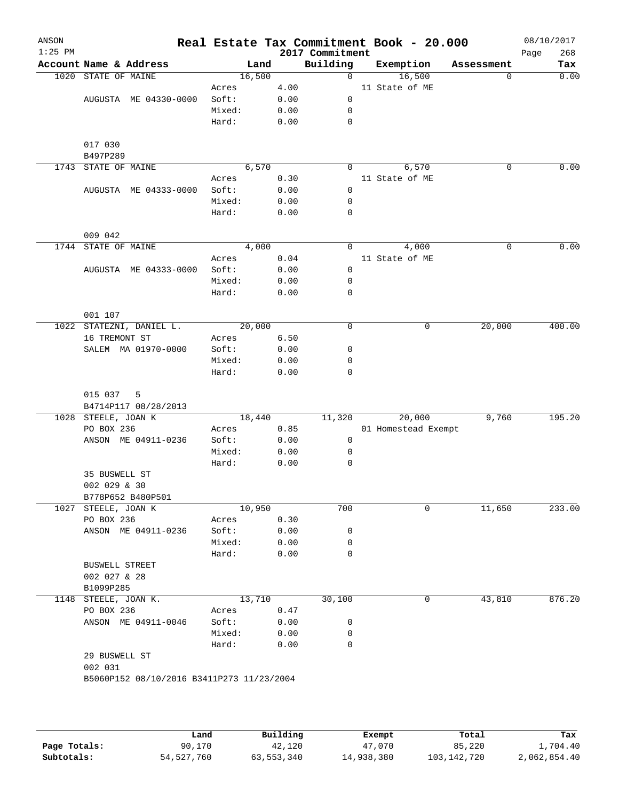| $1:25$ PM |                                   |                |              | 2017 Commitment | Real Estate Tax Commitment Book - 20.000 |            | 08/10/2017<br>268<br>Page |
|-----------|-----------------------------------|----------------|--------------|-----------------|------------------------------------------|------------|---------------------------|
|           | Account Name & Address            | Land           |              | Building        | Exemption                                | Assessment | Tax                       |
| 1020      | STATE OF MAINE                    | 16,500         |              | $\mathsf{O}$    | 16,500                                   | $\Omega$   | 0.00                      |
|           |                                   | Acres          | 4.00         |                 | 11 State of ME                           |            |                           |
|           | AUGUSTA ME 04330-0000             | Soft:          | 0.00         | $\mathbf 0$     |                                          |            |                           |
|           |                                   | Mixed:         | 0.00         | 0               |                                          |            |                           |
|           |                                   | Hard:          | 0.00         | $\mathbf 0$     |                                          |            |                           |
|           |                                   |                |              |                 |                                          |            |                           |
|           | 017 030                           |                |              |                 |                                          |            |                           |
|           | B497P289                          | 6,570          |              |                 |                                          |            | 0.00                      |
|           | 1743 STATE OF MAINE               |                |              | 0               | 6,570                                    | 0          |                           |
|           | AUGUSTA ME 04333-0000             | Acres<br>Soft: | 0.30<br>0.00 | $\mathbf 0$     | 11 State of ME                           |            |                           |
|           |                                   | Mixed:         |              | 0               |                                          |            |                           |
|           |                                   | Hard:          | 0.00<br>0.00 | $\mathbf 0$     |                                          |            |                           |
|           |                                   |                |              |                 |                                          |            |                           |
|           | 009 042                           |                |              |                 |                                          |            |                           |
|           | 1744 STATE OF MAINE               | 4,000          |              | $\Omega$        | 4,000                                    | $\Omega$   | 0.00                      |
|           |                                   | Acres          | 0.04         |                 | 11 State of ME                           |            |                           |
|           | AUGUSTA ME 04333-0000             | Soft:          | 0.00         | 0               |                                          |            |                           |
|           |                                   | Mixed:         | 0.00         | 0               |                                          |            |                           |
|           |                                   | Hard:          | 0.00         | $\mathbf 0$     |                                          |            |                           |
|           |                                   |                |              |                 |                                          |            |                           |
|           | 001 107                           |                |              |                 |                                          |            |                           |
|           | 1022 STATEZNI, DANIEL L.          | 20,000         |              | 0               | $\mathsf{O}$                             | 20,000     | 400.00                    |
|           | 16 TREMONT ST                     | Acres          | 6.50         |                 |                                          |            |                           |
|           | SALEM MA 01970-0000               | Soft:          | 0.00         | 0               |                                          |            |                           |
|           |                                   | Mixed:         | 0.00         | 0               |                                          |            |                           |
|           |                                   | Hard:          | 0.00         | 0               |                                          |            |                           |
|           |                                   |                |              |                 |                                          |            |                           |
|           | 015 037 5                         |                |              |                 |                                          |            |                           |
|           | B4714P117 08/28/2013              |                |              |                 |                                          |            |                           |
|           | 1028 STEELE, JOAN K               | 18,440         |              | 11,320          | 20,000                                   | 9,760      | 195.20                    |
|           | PO BOX 236<br>ANSON ME 04911-0236 | Acres<br>Soft: | 0.85<br>0.00 | 0               | 01 Homestead Exempt                      |            |                           |
|           |                                   | Mixed:         | 0.00         | 0               |                                          |            |                           |
|           |                                   | Hard:          | 0.00         | 0               |                                          |            |                           |
|           | 35 BUSWELL ST                     |                |              |                 |                                          |            |                           |
|           | 002 029 & 30                      |                |              |                 |                                          |            |                           |
|           | B778P652 B480P501                 |                |              |                 |                                          |            |                           |
|           | 1027 STEELE, JOAN K               | 10,950         |              | 700             | 0                                        | 11,650     | 233.00                    |
|           | PO BOX 236                        | Acres          | 0.30         |                 |                                          |            |                           |
|           | ANSON ME 04911-0236               | Soft:          | 0.00         | 0               |                                          |            |                           |
|           |                                   | Mixed:         | 0.00         | 0               |                                          |            |                           |
|           |                                   | Hard:          | 0.00         | 0               |                                          |            |                           |
|           | <b>BUSWELL STREET</b>             |                |              |                 |                                          |            |                           |
|           | 002 027 & 28                      |                |              |                 |                                          |            |                           |
|           | B1099P285                         |                |              |                 |                                          |            |                           |
|           | 1148 STEELE, JOAN K.              | 13,710         |              | 30,100          | 0                                        | 43,810     | 876.20                    |
|           | PO BOX 236                        | Acres          | 0.47         |                 |                                          |            |                           |
|           | ANSON ME 04911-0046               | Soft:          | 0.00         | 0               |                                          |            |                           |
|           |                                   | Mixed:         | 0.00         | 0               |                                          |            |                           |
|           |                                   | Hard:          | 0.00         | 0               |                                          |            |                           |
|           | 29 BUSWELL ST                     |                |              |                 |                                          |            |                           |
|           | 002 031                           |                |              |                 |                                          |            |                           |

**Page Totals:** 90,170 <br>**42,120** 47,070 85,220 1,704.40 **42,120** 47,070 85,220 1,704.40 **54**,527,760 63,553,340 14,938,380 103,142,720 2,062,854.40 **Subtotals:** 54,527,760 63,553,340 14,938,380 103,142,720 2,062,854.40 **Land Building Exempt Total Tax**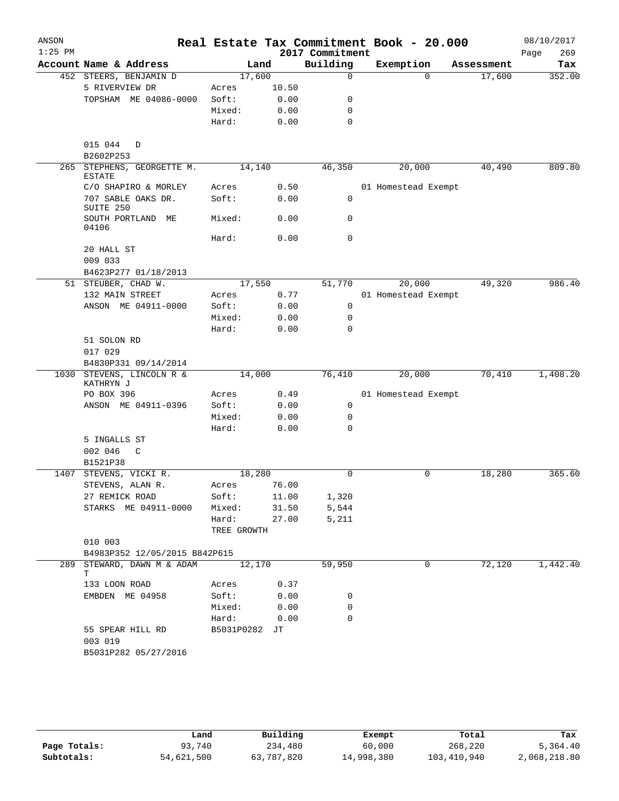| ANSON     |                                         |                 |              |                 | Real Estate Tax Commitment Book - 20.000 |            | 08/10/2017  |
|-----------|-----------------------------------------|-----------------|--------------|-----------------|------------------------------------------|------------|-------------|
| $1:25$ PM |                                         |                 |              | 2017 Commitment |                                          |            | 269<br>Page |
|           | Account Name & Address                  | Land            |              | Building        | Exemption                                | Assessment | Tax         |
|           | 452 STEERS, BENJAMIN D                  | 17,600          |              | $\Omega$        | $\Omega$                                 | 17,600     | 352.00      |
|           | 5 RIVERVIEW DR                          | Acres           | 10.50        |                 |                                          |            |             |
|           | TOPSHAM ME 04086-0000                   | Soft:           | 0.00         | 0               |                                          |            |             |
|           |                                         | Mixed:          | 0.00         | 0               |                                          |            |             |
|           |                                         | Hard:           | 0.00         | 0               |                                          |            |             |
|           |                                         |                 |              |                 |                                          |            |             |
|           | 015 044<br>D                            |                 |              |                 |                                          |            |             |
|           | B2602P253<br>265 STEPHENS, GEORGETTE M. | 14,140          |              |                 |                                          | 40,490     | 809.80      |
|           | <b>ESTATE</b>                           |                 |              | 46,350          | 20,000                                   |            |             |
|           | C/O SHAPIRO & MORLEY                    | Acres           | 0.50         |                 | 01 Homestead Exempt                      |            |             |
|           | 707 SABLE OAKS DR.                      | Soft:           | 0.00         | 0               |                                          |            |             |
|           | SUITE 250                               |                 |              |                 |                                          |            |             |
|           | SOUTH PORTLAND ME<br>04106              | Mixed:          | 0.00         | 0               |                                          |            |             |
|           |                                         | Hard:           | 0.00         | $\mathbf 0$     |                                          |            |             |
|           | 20 HALL ST                              |                 |              |                 |                                          |            |             |
|           | 009 033                                 |                 |              |                 |                                          |            |             |
|           | B4623P277 01/18/2013                    |                 |              |                 |                                          |            |             |
|           | 51 STEUBER, CHAD W.                     | 17,550          |              | 51,770          | 20,000                                   | 49,320     | 986.40      |
|           | 132 MAIN STREET                         | Acres           | 0.77         |                 | 01 Homestead Exempt                      |            |             |
|           | ANSON ME 04911-0000                     | Soft:           | 0.00         | 0               |                                          |            |             |
|           |                                         | Mixed:          | 0.00         | 0               |                                          |            |             |
|           |                                         | Hard:           | 0.00         | $\Omega$        |                                          |            |             |
|           | 51 SOLON RD                             |                 |              |                 |                                          |            |             |
|           | 017 029                                 |                 |              |                 |                                          |            |             |
|           | B4830P331 09/14/2014                    |                 |              |                 |                                          |            |             |
|           | 1030 STEVENS, LINCOLN R &               | 14,000          |              | 76,410          | 20,000                                   | 70,410     | 1,408.20    |
|           | KATHRYN J                               |                 |              |                 |                                          |            |             |
|           | PO BOX 396                              | Acres           | 0.49         |                 | 01 Homestead Exempt                      |            |             |
|           | ANSON ME 04911-0396                     | Soft:           | 0.00         | 0               |                                          |            |             |
|           |                                         | Mixed:          | 0.00         | 0               |                                          |            |             |
|           |                                         | Hard:           | 0.00         | $\mathbf 0$     |                                          |            |             |
|           | 5 INGALLS ST                            |                 |              |                 |                                          |            |             |
|           | 002 046<br>C                            |                 |              |                 |                                          |            |             |
|           | B1521P38                                |                 |              |                 |                                          |            |             |
| 1407      | STEVENS, VICKI R.                       | 18,280          |              | 0               | 0                                        | 18,280     | 365.60      |
|           | STEVENS, ALAN R.                        | Acres           | 76.00        |                 |                                          |            |             |
|           | 27 REMICK ROAD                          | Soft:           | 11.00        | 1,320           |                                          |            |             |
|           | STARKS ME 04911-0000                    | Mixed:          | 31.50        | 5,544           |                                          |            |             |
|           |                                         | Hard:           | 27.00        | 5,211           |                                          |            |             |
|           |                                         | TREE GROWTH     |              |                 |                                          |            |             |
|           | 010 003                                 |                 |              |                 |                                          |            |             |
|           | B4983P352 12/05/2015 B842P615           |                 |              |                 |                                          |            |             |
|           | 289 STEWARD, DAWN M & ADAM              | 12,170          |              | 59,950          | 0                                        | 72,120     | 1,442.40    |
|           | Т                                       |                 |              |                 |                                          |            |             |
|           | 133 LOON ROAD                           | Acres           | 0.37         |                 |                                          |            |             |
|           | EMBDEN ME 04958                         | Soft:<br>Mixed: | 0.00<br>0.00 | 0<br>0          |                                          |            |             |
|           |                                         |                 |              |                 |                                          |            |             |
|           |                                         | Hard:           | 0.00         | 0               |                                          |            |             |
|           | 55 SPEAR HILL RD                        | B5031P0282      | JT           |                 |                                          |            |             |
|           | 003 019                                 |                 |              |                 |                                          |            |             |
|           | B5031P282 05/27/2016                    |                 |              |                 |                                          |            |             |
|           |                                         |                 |              |                 |                                          |            |             |
|           |                                         |                 |              |                 |                                          |            |             |

|              | Land       | Building   | Exempt     | Total       | Tax          |
|--------------|------------|------------|------------|-------------|--------------|
| Page Totals: | 93,740     | 234,480    | 60,000     | 268,220     | 5,364.40     |
| Subtotals:   | 54,621,500 | 63,787,820 | 14,998,380 | 103,410,940 | 2,068,218.80 |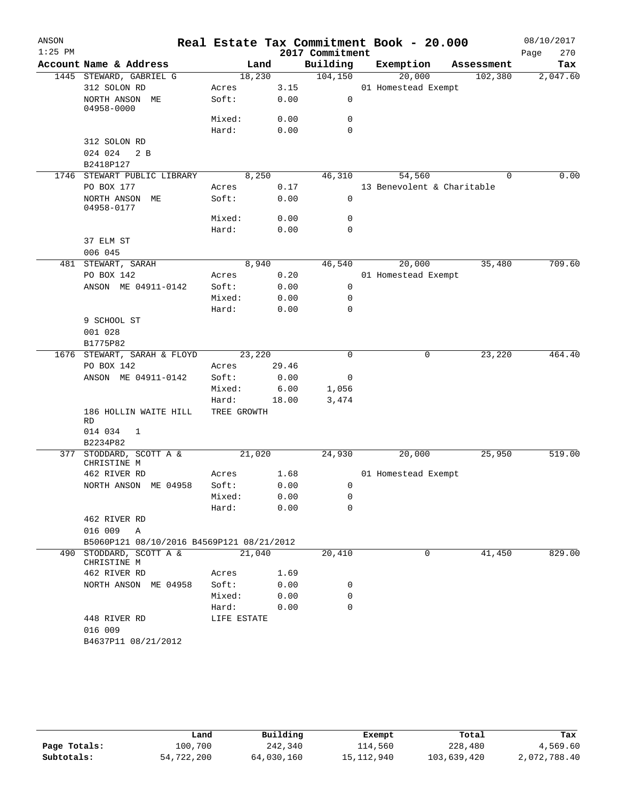| ANSON     |                                           |             |       |                 | Real Estate Tax Commitment Book - 20.000 |            | 08/10/2017  |
|-----------|-------------------------------------------|-------------|-------|-----------------|------------------------------------------|------------|-------------|
| $1:25$ PM |                                           |             |       | 2017 Commitment |                                          |            | 270<br>Page |
|           | Account Name & Address                    |             | Land  | Building        | Exemption                                | Assessment | Tax         |
|           | 1445 STEWARD, GABRIEL G                   | 18,230      |       | 104, 150        | 20,000                                   | 102,380    | 2,047.60    |
|           | 312 SOLON RD                              | Acres       | 3.15  |                 | 01 Homestead Exempt                      |            |             |
|           | NORTH ANSON ME<br>04958-0000              | Soft:       | 0.00  | 0               |                                          |            |             |
|           |                                           | Mixed:      | 0.00  | 0               |                                          |            |             |
|           |                                           | Hard:       | 0.00  | $\mathbf 0$     |                                          |            |             |
|           | 312 SOLON RD                              |             |       |                 |                                          |            |             |
|           | 024 024<br>2 B                            |             |       |                 |                                          |            |             |
|           | B2418P127                                 |             |       |                 |                                          |            |             |
|           | 1746 STEWART PUBLIC LIBRARY               |             | 8,250 | 46,310          | 54,560                                   | $\Omega$   | 0.00        |
|           | PO BOX 177                                | Acres       | 0.17  |                 | 13 Benevolent & Charitable               |            |             |
|           | NORTH ANSON ME<br>04958-0177              | Soft:       | 0.00  | $\mathbf 0$     |                                          |            |             |
|           |                                           | Mixed:      | 0.00  | 0               |                                          |            |             |
|           |                                           | Hard:       | 0.00  | $\mathbf 0$     |                                          |            |             |
|           | 37 ELM ST                                 |             |       |                 |                                          |            |             |
|           | 006 045                                   |             |       |                 |                                          |            |             |
|           | 481 STEWART, SARAH                        |             | 8,940 | 46,540          | 20,000                                   | 35,480     | 709.60      |
|           | PO BOX 142                                | Acres       | 0.20  |                 | 01 Homestead Exempt                      |            |             |
|           | ANSON ME 04911-0142                       | Soft:       | 0.00  | 0               |                                          |            |             |
|           |                                           | Mixed:      | 0.00  | 0               |                                          |            |             |
|           |                                           | Hard:       | 0.00  | $\mathbf 0$     |                                          |            |             |
|           | 9 SCHOOL ST                               |             |       |                 |                                          |            |             |
|           | 001 028                                   |             |       |                 |                                          |            |             |
|           | B1775P82                                  |             |       |                 |                                          |            |             |
|           | 1676 STEWART, SARAH & FLOYD               | 23,220      |       | 0               | 0                                        | 23,220     | 464.40      |
|           | PO BOX 142                                | Acres       | 29.46 |                 |                                          |            |             |
|           | ANSON ME 04911-0142                       | Soft:       | 0.00  | 0               |                                          |            |             |
|           |                                           | Mixed:      | 6.00  | 1,056           |                                          |            |             |
|           |                                           | Hard:       | 18.00 | 3,474           |                                          |            |             |
|           | 186 HOLLIN WAITE HILL<br>RD               | TREE GROWTH |       |                 |                                          |            |             |
|           | 014 034<br>1                              |             |       |                 |                                          |            |             |
|           | B2234P82                                  |             |       |                 |                                          |            |             |
|           | 377 STODDARD, SCOTT A &<br>CHRISTINE M    | 21,020      |       | 24,930          | 20,000                                   | 25,950     | 519.00      |
|           | 462 RIVER RD                              | Acres       | 1.68  |                 | 01 Homestead Exempt                      |            |             |
|           | NORTH ANSON ME 04958                      | Soft:       | 0.00  | 0               |                                          |            |             |
|           |                                           | Mixed:      | 0.00  | 0               |                                          |            |             |
|           |                                           | Hard:       | 0.00  | 0               |                                          |            |             |
|           | 462 RIVER RD                              |             |       |                 |                                          |            |             |
|           | 016 009 A                                 |             |       |                 |                                          |            |             |
|           | B5060P121 08/10/2016 B4569P121 08/21/2012 |             |       |                 | 0                                        |            | 829.00      |
|           | 490 STODDARD, SCOTT A &<br>CHRISTINE M    | 21,040      |       | 20,410          |                                          | 41,450     |             |
|           | 462 RIVER RD                              | Acres       | 1.69  |                 |                                          |            |             |
|           | NORTH ANSON ME 04958                      | Soft:       | 0.00  | 0               |                                          |            |             |
|           |                                           | Mixed:      | 0.00  | 0               |                                          |            |             |
|           |                                           | Hard:       | 0.00  | $\mathbf 0$     |                                          |            |             |
|           | 448 RIVER RD<br>016 009                   | LIFE ESTATE |       |                 |                                          |            |             |
|           | B4637P11 08/21/2012                       |             |       |                 |                                          |            |             |

|              | Land       | Building   | Exempt     | Total       | Tax          |
|--------------|------------|------------|------------|-------------|--------------|
| Page Totals: | 100,700    | 242,340    | 114,560    | 228,480     | 4,569.60     |
| Subtotals:   | 54,722,200 | 64,030,160 | 15,112,940 | 103,639,420 | 2,072,788.40 |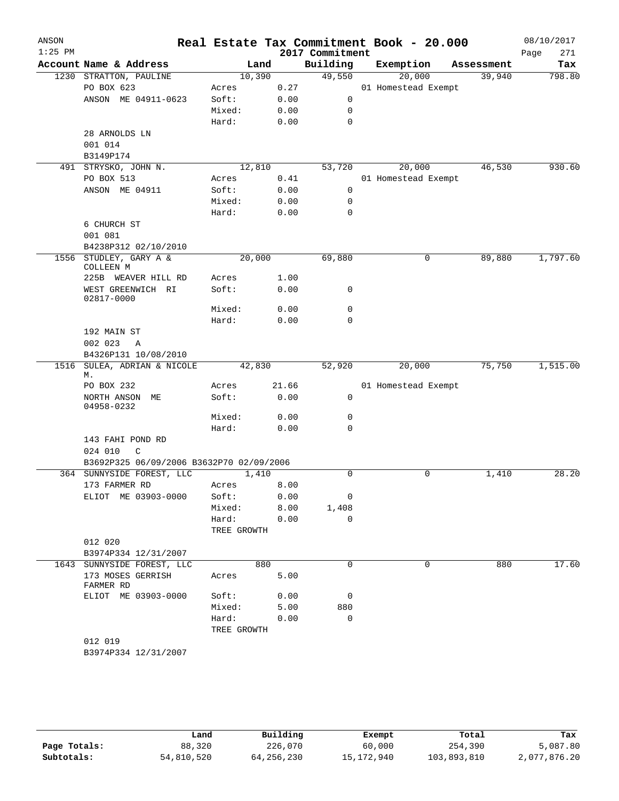| ANSON<br>$1:25$ PM |                                          |             |       | 2017 Commitment      | Real Estate Tax Commitment Book - 20.000 |            | 08/10/2017<br>271<br>Page |
|--------------------|------------------------------------------|-------------|-------|----------------------|------------------------------------------|------------|---------------------------|
|                    | Account Name & Address                   |             | Land  | Building             | Exemption                                | Assessment | Tax                       |
|                    | 1230 STRATTON, PAULINE                   | 10,390      |       | 49,550               | 20,000                                   | 39,940     | 798.80                    |
|                    | PO BOX 623                               | Acres       | 0.27  |                      | 01 Homestead Exempt                      |            |                           |
|                    | ANSON ME 04911-0623                      | Soft:       | 0.00  | $\mathbf 0$          |                                          |            |                           |
|                    |                                          | Mixed:      | 0.00  | 0                    |                                          |            |                           |
|                    |                                          | Hard:       | 0.00  | $\mathbf 0$          |                                          |            |                           |
|                    | 28 ARNOLDS LN                            |             |       |                      |                                          |            |                           |
|                    | 001 014                                  |             |       |                      |                                          |            |                           |
|                    | B3149P174                                |             |       |                      |                                          |            |                           |
|                    | 491 STRYSKO, JOHN N.                     | 12,810      |       | 53,720               | 20,000                                   | 46,530     | 930.60                    |
|                    | PO BOX 513                               | Acres       | 0.41  |                      | 01 Homestead Exempt                      |            |                           |
|                    | ANSON ME 04911                           | Soft:       | 0.00  | $\mathbf 0$          |                                          |            |                           |
|                    |                                          | Mixed:      | 0.00  | 0                    |                                          |            |                           |
|                    |                                          | Hard:       | 0.00  | $\mathbf 0$          |                                          |            |                           |
|                    | 6 CHURCH ST                              |             |       |                      |                                          |            |                           |
|                    | 001 081                                  |             |       |                      |                                          |            |                           |
|                    | B4238P312 02/10/2010                     |             |       |                      |                                          |            |                           |
| 1556               | STUDLEY, GARY A &<br>COLLEEN M           | 20,000      |       | 69,880               | 0                                        | 89,880     | 1,797.60                  |
|                    | 225B WEAVER HILL RD                      | Acres       | 1.00  |                      |                                          |            |                           |
|                    | WEST GREENWICH RI<br>02817-0000          | Soft:       | 0.00  | 0                    |                                          |            |                           |
|                    |                                          | Mixed:      | 0.00  | 0                    |                                          |            |                           |
|                    |                                          | Hard:       | 0.00  | $\mathbf 0$          |                                          |            |                           |
|                    | 192 MAIN ST                              |             |       |                      |                                          |            |                           |
|                    | 002 023<br>A                             |             |       |                      |                                          |            |                           |
|                    | B4326P131 10/08/2010                     |             |       |                      |                                          |            |                           |
| 1516               | SULEA, ADRIAN & NICOLE<br>М.             | 42,830      |       | 52,920               | 20,000                                   | 75,750     | 1,515.00                  |
|                    | PO BOX 232                               | Acres       | 21.66 |                      | 01 Homestead Exempt                      |            |                           |
|                    | NORTH ANSON ME<br>04958-0232             | Soft:       | 0.00  | 0                    |                                          |            |                           |
|                    |                                          | Mixed:      | 0.00  | 0                    |                                          |            |                           |
|                    |                                          | Hard:       | 0.00  | $\mathbf 0$          |                                          |            |                           |
|                    | 143 FAHI POND RD                         |             |       |                      |                                          |            |                           |
|                    | 024 010<br>C                             |             |       |                      |                                          |            |                           |
|                    | B3692P325 06/09/2006 B3632P70 02/09/2006 |             |       |                      |                                          |            |                           |
|                    | 364 SUNNYSIDE FOREST, LLC                | 1,410       |       | $\mathbf 0$          | 0                                        | 1,410      | 28.20                     |
|                    | 173 FARMER RD                            | Acres       | 8.00  |                      |                                          |            |                           |
|                    | ELIOT ME 03903-0000                      | Soft:       | 0.00  | 0                    |                                          |            |                           |
|                    |                                          | Mixed:      | 8.00  | 1,408<br>$\mathbf 0$ |                                          |            |                           |
|                    |                                          | Hard:       | 0.00  |                      |                                          |            |                           |
|                    | 012 020                                  | TREE GROWTH |       |                      |                                          |            |                           |
|                    | B3974P334 12/31/2007                     |             |       |                      |                                          |            |                           |
|                    | 1643 SUNNYSIDE FOREST, LLC               |             | 880   | 0                    | 0                                        | 880        | 17.60                     |
|                    | 173 MOSES GERRISH<br>FARMER RD           | Acres       | 5.00  |                      |                                          |            |                           |
|                    | ELIOT ME 03903-0000                      | Soft:       | 0.00  | 0                    |                                          |            |                           |
|                    |                                          | Mixed:      | 5.00  | 880                  |                                          |            |                           |
|                    |                                          | Hard:       | 0.00  | $\mathbf 0$          |                                          |            |                           |
|                    |                                          | TREE GROWTH |       |                      |                                          |            |                           |
|                    | 012 019                                  |             |       |                      |                                          |            |                           |
|                    | B3974P334 12/31/2007                     |             |       |                      |                                          |            |                           |
|                    |                                          |             |       |                      |                                          |            |                           |

|              | Land       | Building   | Exempt     | Total       | Tax          |
|--------------|------------|------------|------------|-------------|--------------|
| Page Totals: | 88,320     | 226,070    | 60,000     | 254,390     | 5,087.80     |
| Subtotals:   | 54,810,520 | 64,256,230 | 15,172,940 | 103,893,810 | 2,077,876.20 |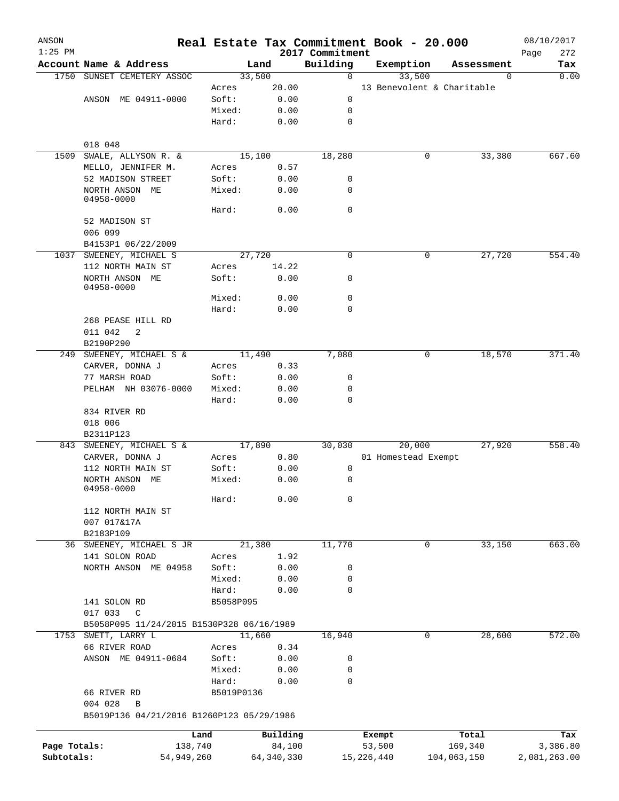| ANSON<br>$1:25$ PM |                                           |            |                 |              | 2017 Commitment |              | Real Estate Tax Commitment Book - 20.000 |                            | 08/10/2017<br>Page<br>272 |
|--------------------|-------------------------------------------|------------|-----------------|--------------|-----------------|--------------|------------------------------------------|----------------------------|---------------------------|
|                    | Account Name & Address                    |            |                 | Land         | Building        |              | Exemption                                | Assessment                 | Tax                       |
| 1750               | SUNSET CEMETERY ASSOC                     |            |                 | 33,500       | $\mathbf 0$     |              | 33,500                                   | 0                          | 0.00                      |
|                    |                                           |            | Acres           | 20.00        |                 |              |                                          | 13 Benevolent & Charitable |                           |
|                    | ANSON ME 04911-0000                       |            | Soft:           | 0.00         | 0               |              |                                          |                            |                           |
|                    |                                           |            | Mixed:          | 0.00         | 0               |              |                                          |                            |                           |
|                    |                                           |            | Hard:           | 0.00         | 0               |              |                                          |                            |                           |
|                    | 018 048                                   |            |                 |              |                 |              |                                          |                            |                           |
| 1509               | SWALE, ALLYSON R. &                       |            |                 | 15,100       | 18,280          |              | 0                                        | 33,380                     | 667.60                    |
|                    | MELLO, JENNIFER M.                        |            | Acres           | 0.57         |                 |              |                                          |                            |                           |
|                    | 52 MADISON STREET                         |            | Soft:           | 0.00         | 0               |              |                                          |                            |                           |
|                    | NORTH ANSON ME<br>04958-0000              |            | Mixed:          | 0.00         | 0               |              |                                          |                            |                           |
|                    |                                           |            | Hard:           | 0.00         | 0               |              |                                          |                            |                           |
|                    | 52 MADISON ST<br>006 099                  |            |                 |              |                 |              |                                          |                            |                           |
|                    | B4153P1 06/22/2009                        |            |                 |              |                 |              |                                          |                            |                           |
|                    | 1037 SWEENEY, MICHAEL S                   |            |                 | 27,720       | 0               |              | 0                                        | 27,720                     | 554.40                    |
|                    | 112 NORTH MAIN ST                         |            | Acres           | 14.22        |                 |              |                                          |                            |                           |
|                    | NORTH ANSON ME<br>04958-0000              |            | Soft:           | 0.00         | 0               |              |                                          |                            |                           |
|                    |                                           |            | Mixed:          | 0.00         | 0               |              |                                          |                            |                           |
|                    |                                           |            | Hard:           | 0.00         | 0               |              |                                          |                            |                           |
|                    | 268 PEASE HILL RD                         |            |                 |              |                 |              |                                          |                            |                           |
|                    | 011 042<br>2                              |            |                 |              |                 |              |                                          |                            |                           |
|                    | B2190P290                                 |            |                 |              |                 |              |                                          |                            | 371.40                    |
| 249                | SWEENEY, MICHAEL S &                      |            |                 | 11,490       | 7,080           |              | 0                                        | 18,570                     |                           |
|                    | CARVER, DONNA J                           |            | Acres           | 0.33         |                 |              |                                          |                            |                           |
|                    | 77 MARSH ROAD                             |            | Soft:           | 0.00         | 0               |              |                                          |                            |                           |
|                    | PELHAM NH 03076-0000                      |            | Mixed:<br>Hard: | 0.00<br>0.00 | 0<br>0          |              |                                          |                            |                           |
|                    | 834 RIVER RD                              |            |                 |              |                 |              |                                          |                            |                           |
|                    | 018 006                                   |            |                 |              |                 |              |                                          |                            |                           |
|                    | B2311P123                                 |            |                 |              |                 |              |                                          |                            |                           |
| 843                | SWEENEY, MICHAEL S &                      |            |                 | 17,890       | 30,030          |              | 20,000                                   | 27,920                     | 558.40                    |
|                    | CARVER, DONNA J                           |            | Acres           | 0.80         |                 |              | 01 Homestead Exempt                      |                            |                           |
|                    | 112 NORTH MAIN ST                         |            | Soft:           | 0.00         | 0               |              |                                          |                            |                           |
|                    | NORTH ANSON ME<br>04958-0000              |            | Mixed:          | 0.00         | 0               |              |                                          |                            |                           |
|                    |                                           |            | Hard:           | 0.00         | 0               |              |                                          |                            |                           |
|                    | 112 NORTH MAIN ST                         |            |                 |              |                 |              |                                          |                            |                           |
|                    | 007 017&17A                               |            |                 |              |                 |              |                                          |                            |                           |
|                    | B2183P109                                 |            |                 |              |                 |              |                                          |                            |                           |
|                    | 36 SWEENEY, MICHAEL S JR                  |            |                 | 21,380       | 11,770          |              | 0                                        | 33,150                     | 663.00                    |
|                    | 141 SOLON ROAD                            |            | Acres           | 1.92         |                 |              |                                          |                            |                           |
|                    | NORTH ANSON ME 04958                      |            | Soft:           | 0.00         | 0               |              |                                          |                            |                           |
|                    |                                           |            | Mixed:          | 0.00         | 0               |              |                                          |                            |                           |
|                    |                                           |            | Hard:           | 0.00         | 0               |              |                                          |                            |                           |
|                    | 141 SOLON RD<br>017 033<br>$\mathbb{C}$   |            | B5058P095       |              |                 |              |                                          |                            |                           |
|                    | B5058P095 11/24/2015 B1530P328 06/16/1989 |            |                 |              |                 |              |                                          |                            |                           |
|                    | 1753 SWETT, LARRY L                       |            |                 | 11,660       | 16,940          |              | 0                                        | 28,600                     | 572.00                    |
|                    | 66 RIVER ROAD                             |            | Acres           | 0.34         |                 |              |                                          |                            |                           |
|                    | ANSON ME 04911-0684                       |            | Soft:           | 0.00         | 0               |              |                                          |                            |                           |
|                    |                                           |            | Mixed:          | 0.00         | 0               |              |                                          |                            |                           |
|                    |                                           |            | Hard:           | 0.00         | 0               |              |                                          |                            |                           |
|                    | 66 RIVER RD<br>004 028<br>B               |            | B5019P0136      |              |                 |              |                                          |                            |                           |
|                    | B5019P136 04/21/2016 B1260P123 05/29/1986 |            |                 |              |                 |              |                                          |                            |                           |
|                    |                                           | Land       |                 | Building     |                 | Exempt       |                                          | Total                      | Tax                       |
| Page Totals:       |                                           | 138,740    |                 | 84,100       |                 | 53,500       |                                          | 169,340                    | 3,386.80                  |
| Subtotals:         |                                           | 54,949,260 |                 | 64, 340, 330 |                 | 15, 226, 440 |                                          | 104,063,150                | 2,081,263.00              |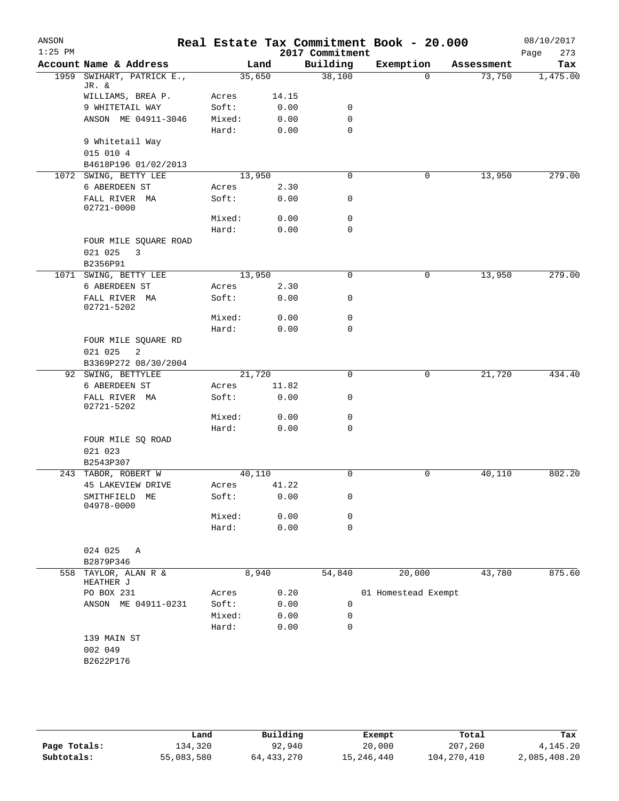| ANSON<br>$1:25$ PM |                                |        |        | 2017 Commitment | Real Estate Tax Commitment Book - 20.000 |            | 08/10/2017<br>273<br>Page |
|--------------------|--------------------------------|--------|--------|-----------------|------------------------------------------|------------|---------------------------|
|                    | Account Name & Address         |        | Land   | Building        | Exemption                                | Assessment | Tax                       |
| 1959               | SWIHART, PATRICK E.,           |        | 35,650 | 38,100          | $\Omega$                                 | 73,750     | 1,475.00                  |
|                    | JR. &<br>WILLIAMS, BREA P.     | Acres  | 14.15  |                 |                                          |            |                           |
|                    | 9 WHITETAIL WAY                | Soft:  | 0.00   | 0               |                                          |            |                           |
|                    | ANSON ME 04911-3046            |        |        | $\mathbf 0$     |                                          |            |                           |
|                    |                                | Mixed: | 0.00   | $\mathbf 0$     |                                          |            |                           |
|                    |                                | Hard:  | 0.00   |                 |                                          |            |                           |
|                    | 9 Whitetail Way<br>015 010 4   |        |        |                 |                                          |            |                           |
|                    | B4618P196 01/02/2013           |        |        |                 |                                          |            |                           |
|                    | 1072 SWING, BETTY LEE          |        | 13,950 | 0               | 0                                        | 13,950     | 279.00                    |
|                    | 6 ABERDEEN ST                  | Acres  | 2.30   |                 |                                          |            |                           |
|                    | FALL RIVER MA                  | Soft:  | 0.00   | 0               |                                          |            |                           |
|                    | 02721-0000                     |        |        |                 |                                          |            |                           |
|                    |                                | Mixed: | 0.00   | 0               |                                          |            |                           |
|                    |                                | Hard:  | 0.00   | $\mathbf 0$     |                                          |            |                           |
|                    | FOUR MILE SQUARE ROAD          |        |        |                 |                                          |            |                           |
|                    | 021 025<br>3                   |        |        |                 |                                          |            |                           |
|                    | B2356P91                       |        |        |                 |                                          |            |                           |
| 1071               | SWING, BETTY LEE               |        | 13,950 | $\mathbf 0$     | $\mathbf 0$                              | 13,950     | 279.00                    |
|                    | 6 ABERDEEN ST                  | Acres  | 2.30   |                 |                                          |            |                           |
|                    | FALL RIVER MA                  | Soft:  | 0.00   | 0               |                                          |            |                           |
|                    | 02721-5202                     |        |        |                 |                                          |            |                           |
|                    |                                | Mixed: | 0.00   | $\mathbf 0$     |                                          |            |                           |
|                    |                                | Hard:  | 0.00   | 0               |                                          |            |                           |
|                    | FOUR MILE SQUARE RD            |        |        |                 |                                          |            |                           |
|                    | 021 025<br>2                   |        |        |                 |                                          |            |                           |
|                    | B3369P272 08/30/2004           |        |        |                 |                                          |            |                           |
|                    | 92 SWING, BETTYLEE             |        | 21,720 | $\mathbf 0$     | 0                                        | 21,720     | 434.40                    |
|                    | 6 ABERDEEN ST                  | Acres  | 11.82  |                 |                                          |            |                           |
|                    | FALL RIVER MA<br>02721-5202    | Soft:  | 0.00   | 0               |                                          |            |                           |
|                    |                                | Mixed: | 0.00   | 0               |                                          |            |                           |
|                    |                                | Hard:  | 0.00   | $\mathbf 0$     |                                          |            |                           |
|                    | FOUR MILE SQ ROAD<br>021 023   |        |        |                 |                                          |            |                           |
|                    | B2543P307                      |        |        |                 |                                          |            |                           |
|                    | 243 TABOR, ROBERT W            |        | 40,110 | 0               | 0                                        | 40,110     | 802.20                    |
|                    | 45 LAKEVIEW DRIVE              | Acres  | 41.22  |                 |                                          |            |                           |
|                    | SMITHFIELD<br>МE<br>04978-0000 | Soft:  | 0.00   | 0               |                                          |            |                           |
|                    |                                | Mixed: | 0.00   | 0               |                                          |            |                           |
|                    |                                | Hard:  | 0.00   | 0               |                                          |            |                           |
|                    | 024 025<br>Α                   |        |        |                 |                                          |            |                           |
|                    | B2879P346                      |        |        |                 |                                          |            |                           |
| 558                | TAYLOR, ALAN R &<br>HEATHER J  |        | 8,940  | 54,840          | 20,000                                   | 43,780     | 875.60                    |
|                    | PO BOX 231                     | Acres  | 0.20   |                 | 01 Homestead Exempt                      |            |                           |
|                    | ANSON ME 04911-0231            | Soft:  | 0.00   | 0               |                                          |            |                           |
|                    |                                | Mixed: | 0.00   | 0               |                                          |            |                           |
|                    |                                | Hard:  | 0.00   | 0               |                                          |            |                           |
|                    | 139 MAIN ST                    |        |        |                 |                                          |            |                           |
|                    | 002 049                        |        |        |                 |                                          |            |                           |
|                    | B2622P176                      |        |        |                 |                                          |            |                           |
|                    |                                |        |        |                 |                                          |            |                           |
|                    |                                |        |        |                 |                                          |            |                           |
|                    |                                |        |        |                 |                                          |            |                           |
|                    |                                |        |        |                 |                                          |            |                           |

|              | Land       | Building   | Exempt     | Total         | Tax          |
|--------------|------------|------------|------------|---------------|--------------|
| Page Totals: | 134,320    | 92,940     | 20,000     | 207,260       | 4, 145, 20   |
| Subtotals:   | 55,083,580 | 64,433,270 | 15,246,440 | 104, 270, 410 | 2,085,408.20 |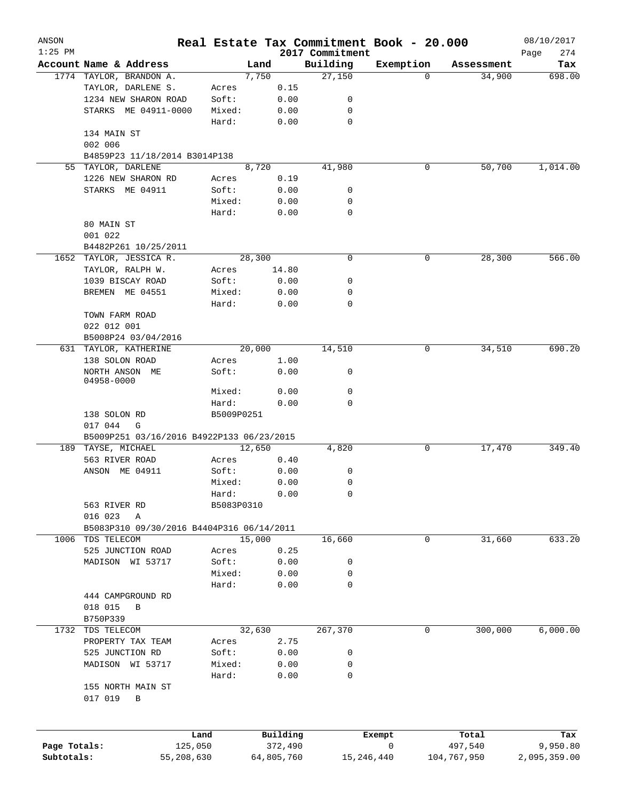| ANSON                      |                                           |            |                       |                             | Real Estate Tax Commitment Book - 20.000 |                        | 08/10/2017               |
|----------------------------|-------------------------------------------|------------|-----------------------|-----------------------------|------------------------------------------|------------------------|--------------------------|
| $1:25$ PM                  | Account Name & Address                    | Land       |                       | 2017 Commitment<br>Building | Exemption                                | Assessment             | Page<br>274<br>Tax       |
|                            | 1774 TAYLOR, BRANDON A.                   | 7,750      |                       | 27,150                      | 0                                        | 34,900                 | 698.00                   |
|                            | TAYLOR, DARLENE S.                        | Acres      | 0.15                  |                             |                                          |                        |                          |
|                            | 1234 NEW SHARON ROAD                      | Soft:      | 0.00                  | 0                           |                                          |                        |                          |
|                            |                                           |            |                       |                             |                                          |                        |                          |
|                            | STARKS ME 04911-0000                      | Mixed:     | 0.00                  | 0                           |                                          |                        |                          |
|                            |                                           | Hard:      | 0.00                  | 0                           |                                          |                        |                          |
|                            | 134 MAIN ST                               |            |                       |                             |                                          |                        |                          |
|                            | 002 006                                   |            |                       |                             |                                          |                        |                          |
|                            | B4859P23 11/18/2014 B3014P138             |            |                       |                             |                                          |                        |                          |
| 55                         | TAYLOR, DARLENE                           | 8,720      |                       | 41,980                      | 0                                        | 50,700                 | 1,014.00                 |
|                            | 1226 NEW SHARON RD                        | Acres      | 0.19                  |                             |                                          |                        |                          |
|                            | STARKS ME 04911                           | Soft:      | 0.00                  | 0                           |                                          |                        |                          |
|                            |                                           | Mixed:     | 0.00                  | 0                           |                                          |                        |                          |
|                            |                                           | Hard:      | 0.00                  | 0                           |                                          |                        |                          |
|                            | 80 MAIN ST                                |            |                       |                             |                                          |                        |                          |
|                            |                                           |            |                       |                             |                                          |                        |                          |
|                            | 001 022                                   |            |                       |                             |                                          |                        |                          |
|                            | B4482P261 10/25/2011                      |            |                       |                             |                                          |                        |                          |
|                            | 1652 TAYLOR, JESSICA R.                   | 28,300     |                       | $\mathbf 0$                 | 0                                        | 28,300                 | 566.00                   |
|                            | TAYLOR, RALPH W.                          | Acres      | 14.80                 |                             |                                          |                        |                          |
|                            | 1039 BISCAY ROAD                          | Soft:      | 0.00                  | 0                           |                                          |                        |                          |
|                            | BREMEN ME 04551                           | Mixed:     | 0.00                  | 0                           |                                          |                        |                          |
|                            |                                           | Hard:      | 0.00                  | 0                           |                                          |                        |                          |
|                            | TOWN FARM ROAD                            |            |                       |                             |                                          |                        |                          |
|                            | 022 012 001                               |            |                       |                             |                                          |                        |                          |
|                            |                                           |            |                       |                             |                                          |                        |                          |
|                            | B5008P24 03/04/2016                       |            |                       |                             |                                          |                        |                          |
|                            | 631 TAYLOR, KATHERINE                     | 20,000     |                       | 14,510                      | 0                                        | 34,510                 | 690.20                   |
|                            | 138 SOLON ROAD                            | Acres      | 1.00                  |                             |                                          |                        |                          |
|                            | NORTH ANSON ME                            | Soft:      | 0.00                  | 0                           |                                          |                        |                          |
|                            | 04958-0000                                |            |                       |                             |                                          |                        |                          |
|                            |                                           | Mixed:     | 0.00                  | $\mathbf 0$                 |                                          |                        |                          |
|                            |                                           | Hard:      | 0.00                  | 0                           |                                          |                        |                          |
|                            | 138 SOLON RD                              | B5009P0251 |                       |                             |                                          |                        |                          |
|                            | 017 044<br>G                              |            |                       |                             |                                          |                        |                          |
|                            | B5009P251 03/16/2016 B4922P133 06/23/2015 |            |                       |                             |                                          |                        |                          |
|                            | 189 TAYSE, MICHAEL                        | 12,650     |                       | 4,820                       | 0                                        | 17,470                 | 349.40                   |
|                            | 563 RIVER ROAD                            | Acres      | 0.40                  |                             |                                          |                        |                          |
|                            | ANSON ME 04911                            | Soft:      | 0.00                  | 0                           |                                          |                        |                          |
|                            |                                           |            |                       |                             |                                          |                        |                          |
|                            |                                           | Mixed:     | 0.00                  | 0                           |                                          |                        |                          |
|                            |                                           | Hard:      | 0.00                  | 0                           |                                          |                        |                          |
|                            | 563 RIVER RD                              | B5083P0310 |                       |                             |                                          |                        |                          |
|                            | 016 023<br>Α                              |            |                       |                             |                                          |                        |                          |
|                            | B5083P310 09/30/2016 B4404P316 06/14/2011 |            |                       |                             |                                          |                        |                          |
|                            | 1006 TDS TELECOM                          | 15,000     |                       | 16,660                      | 0                                        | 31,660                 | 633.20                   |
|                            | 525 JUNCTION ROAD                         | Acres      | 0.25                  |                             |                                          |                        |                          |
|                            | MADISON WI 53717                          | Soft:      | 0.00                  | 0                           |                                          |                        |                          |
|                            |                                           | Mixed:     | 0.00                  | 0                           |                                          |                        |                          |
|                            |                                           |            |                       |                             |                                          |                        |                          |
|                            |                                           | Hard:      | 0.00                  | 0                           |                                          |                        |                          |
|                            | 444 CAMPGROUND RD                         |            |                       |                             |                                          |                        |                          |
|                            | 018 015<br>B                              |            |                       |                             |                                          |                        |                          |
|                            | B750P339                                  |            |                       |                             |                                          |                        |                          |
|                            | 1732 TDS TELECOM                          | 32,630     |                       | 267,370                     | 0                                        | 300,000                | 6,000.00                 |
|                            | PROPERTY TAX TEAM                         | Acres      | 2.75                  |                             |                                          |                        |                          |
|                            | 525 JUNCTION RD                           | Soft:      | 0.00                  | 0                           |                                          |                        |                          |
|                            | MADISON WI 53717                          | Mixed:     | 0.00                  | 0                           |                                          |                        |                          |
|                            |                                           |            |                       | 0                           |                                          |                        |                          |
|                            |                                           | Hard:      | 0.00                  |                             |                                          |                        |                          |
|                            | 155 NORTH MAIN ST                         |            |                       |                             |                                          |                        |                          |
|                            | 017 019<br>В                              |            |                       |                             |                                          |                        |                          |
|                            |                                           |            |                       |                             |                                          |                        |                          |
|                            |                                           |            |                       |                             |                                          |                        |                          |
|                            | Land                                      |            | Building              |                             | Exempt                                   | Total                  | Tax                      |
| Page Totals:<br>Subtotals: | 125,050<br>55,208,630                     |            | 372,490<br>64,805,760 | 15, 246, 440                | 0                                        | 497,540<br>104,767,950 | 9,950.80<br>2,095,359.00 |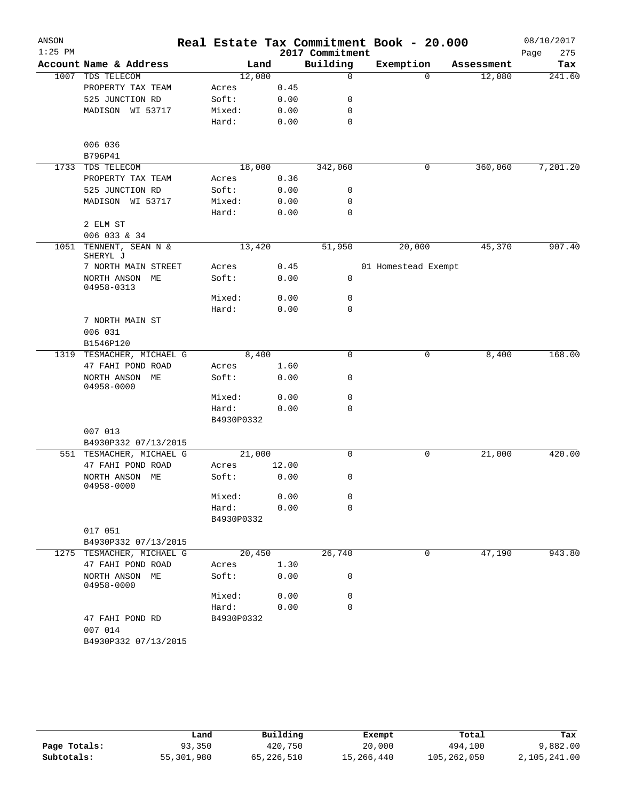| ANSON     |                                    |            |       |       | Real Estate Tax Commitment Book - 20.000 |                     |          |            |      | 08/10/2017 |
|-----------|------------------------------------|------------|-------|-------|------------------------------------------|---------------------|----------|------------|------|------------|
| $1:25$ PM |                                    |            |       |       | 2017 Commitment                          |                     |          |            | Page | 275        |
|           | Account Name & Address             |            | Land  |       | Building                                 | Exemption           |          | Assessment |      | Tax        |
| 1007      | TDS TELECOM                        | 12,080     |       |       | $\mathbf 0$                              |                     | $\Omega$ | 12,080     |      | 241.60     |
|           | PROPERTY TAX TEAM                  | Acres      |       | 0.45  |                                          |                     |          |            |      |            |
|           | 525 JUNCTION RD                    | Soft:      |       | 0.00  | 0                                        |                     |          |            |      |            |
|           | MADISON WI 53717                   | Mixed:     |       | 0.00  | 0                                        |                     |          |            |      |            |
|           |                                    | Hard:      |       | 0.00  | 0                                        |                     |          |            |      |            |
|           | 006 036                            |            |       |       |                                          |                     |          |            |      |            |
|           | B796P41                            |            |       |       |                                          |                     |          |            |      |            |
| 1733      | TDS TELECOM                        | 18,000     |       |       | 342,060                                  |                     | 0        | 360,060    |      | 7,201.20   |
|           | PROPERTY TAX TEAM                  | Acres      |       | 0.36  |                                          |                     |          |            |      |            |
|           | 525 JUNCTION RD                    | Soft:      |       | 0.00  | 0                                        |                     |          |            |      |            |
|           | MADISON WI 53717                   | Mixed:     |       | 0.00  | 0                                        |                     |          |            |      |            |
|           |                                    | Hard:      |       | 0.00  | 0                                        |                     |          |            |      |            |
|           | 2 ELM ST                           |            |       |       |                                          |                     |          |            |      |            |
|           | 006 033 & 34                       |            |       |       |                                          |                     |          |            |      |            |
|           | 1051 TENNENT, SEAN N &<br>SHERYL J | 13,420     |       |       | 51,950                                   | 20,000              |          | 45,370     |      | 907.40     |
|           | 7 NORTH MAIN STREET                | Acres      |       | 0.45  |                                          | 01 Homestead Exempt |          |            |      |            |
|           | NORTH ANSON ME<br>04958-0313       | Soft:      |       | 0.00  | 0                                        |                     |          |            |      |            |
|           |                                    | Mixed:     |       | 0.00  | 0                                        |                     |          |            |      |            |
|           |                                    | Hard:      |       | 0.00  | 0                                        |                     |          |            |      |            |
|           | 7 NORTH MAIN ST                    |            |       |       |                                          |                     |          |            |      |            |
|           | 006 031                            |            |       |       |                                          |                     |          |            |      |            |
|           | B1546P120                          |            |       |       |                                          |                     |          |            |      | 168.00     |
| 1319      | TESMACHER, MICHAEL G               |            | 8,400 |       | 0                                        |                     | 0        | 8,400      |      |            |
|           | 47 FAHI POND ROAD                  | Acres      |       | 1.60  |                                          |                     |          |            |      |            |
|           | NORTH ANSON ME<br>04958-0000       | Soft:      |       | 0.00  | 0                                        |                     |          |            |      |            |
|           |                                    | Mixed:     |       | 0.00  | 0                                        |                     |          |            |      |            |
|           |                                    | Hard:      |       | 0.00  | 0                                        |                     |          |            |      |            |
|           |                                    | B4930P0332 |       |       |                                          |                     |          |            |      |            |
|           | 007 013                            |            |       |       |                                          |                     |          |            |      |            |
|           | B4930P332 07/13/2015               |            |       |       |                                          |                     |          |            |      |            |
|           | 551 TESMACHER, MICHAEL G           | 21,000     |       |       | 0                                        |                     | 0        | 21,000     |      | 420.00     |
|           | 47 FAHI POND ROAD                  | Acres      |       | 12.00 |                                          |                     |          |            |      |            |
|           | NORTH ANSON ME<br>04958-0000       | Soft:      |       | 0.00  | 0                                        |                     |          |            |      |            |
|           |                                    | Mixed:     |       | 0.00  | 0                                        |                     |          |            |      |            |
|           |                                    | Hard:      |       | 0.00  | 0                                        |                     |          |            |      |            |
|           |                                    | B4930P0332 |       |       |                                          |                     |          |            |      |            |
|           | 017 051                            |            |       |       |                                          |                     |          |            |      |            |
|           | B4930P332 07/13/2015               |            |       |       |                                          |                     |          |            |      |            |
|           | 1275 TESMACHER, MICHAEL G          | 20,450     |       |       | 26,740                                   |                     | 0        | 47,190     |      | 943.80     |
|           | 47 FAHI POND ROAD                  | Acres      |       | 1.30  |                                          |                     |          |            |      |            |
|           | NORTH ANSON ME<br>04958-0000       | Soft:      |       | 0.00  | 0                                        |                     |          |            |      |            |
|           |                                    | Mixed:     |       | 0.00  | 0                                        |                     |          |            |      |            |
|           |                                    | Hard:      |       | 0.00  | $\Omega$                                 |                     |          |            |      |            |
|           | 47 FAHI POND RD<br>007 014         | B4930P0332 |       |       |                                          |                     |          |            |      |            |
|           | B4930P332 07/13/2015               |            |       |       |                                          |                     |          |            |      |            |

|              | Land       | Building   | Exempt     | Total       | Tax          |
|--------------|------------|------------|------------|-------------|--------------|
| Page Totals: | 93,350     | 420,750    | 20,000     | 494,100     | 9,882.00     |
| Subtotals:   | 55,301,980 | 65,226,510 | 15,266,440 | 105,262,050 | 2,105,241.00 |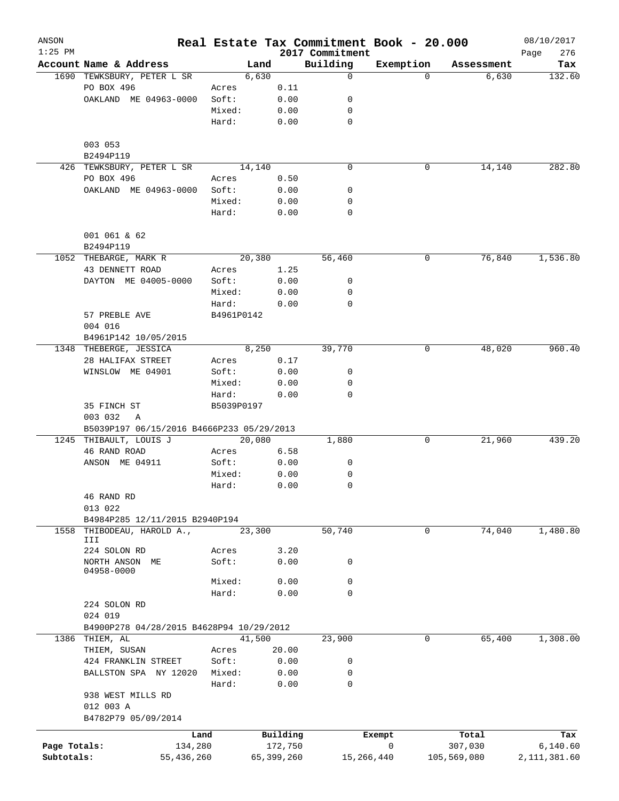| ANSON        |                                           |                 |        |                     | Real Estate Tax Commitment Book - 20.000 |             |                  | 08/10/2017         |
|--------------|-------------------------------------------|-----------------|--------|---------------------|------------------------------------------|-------------|------------------|--------------------|
| $1:25$ PM    | Account Name & Address                    |                 | Land   |                     | 2017 Commitment<br>Building              | Exemption   | Assessment       | 276<br>Page<br>Tax |
|              | 1690 TEWKSBURY, PETER L SR                |                 | 6,630  |                     | $\Omega$                                 | $\Omega$    | 6,630            | 132.60             |
|              | PO BOX 496                                | Acres           |        | 0.11                |                                          |             |                  |                    |
|              | OAKLAND ME 04963-0000                     | Soft:           |        | 0.00                | 0                                        |             |                  |                    |
|              |                                           | Mixed:          |        | 0.00                | 0                                        |             |                  |                    |
|              |                                           | Hard:           |        | 0.00                | 0                                        |             |                  |                    |
|              | 003 053                                   |                 |        |                     |                                          |             |                  |                    |
|              | B2494P119                                 |                 |        |                     |                                          |             |                  |                    |
|              | 426 TEWKSBURY, PETER L SR                 |                 | 14,140 |                     | 0                                        | 0           | 14,140           | 282.80             |
|              | PO BOX 496                                | Acres           |        | 0.50                |                                          |             |                  |                    |
|              | OAKLAND ME 04963-0000                     | Soft:           |        | 0.00                | 0                                        |             |                  |                    |
|              |                                           | Mixed:<br>Hard: |        | 0.00<br>0.00        | 0<br>0                                   |             |                  |                    |
|              |                                           |                 |        |                     |                                          |             |                  |                    |
|              | 001 061 & 62<br>B2494P119                 |                 |        |                     |                                          |             |                  |                    |
|              | 1052 THEBARGE, MARK R                     |                 | 20,380 |                     | 56,460                                   | $\mathbf 0$ | 76,840           | 1,536.80           |
|              | 43 DENNETT ROAD                           | Acres           |        | 1.25                |                                          |             |                  |                    |
|              | DAYTON ME 04005-0000                      | Soft:           |        | 0.00                | 0                                        |             |                  |                    |
|              |                                           | Mixed:          |        | 0.00                | 0                                        |             |                  |                    |
|              |                                           | Hard:           |        | 0.00                | 0                                        |             |                  |                    |
|              | 57 PREBLE AVE                             | B4961P0142      |        |                     |                                          |             |                  |                    |
|              | 004 016                                   |                 |        |                     |                                          |             |                  |                    |
|              | B4961P142 10/05/2015                      |                 |        |                     |                                          |             |                  |                    |
|              | 1348 THEBERGE, JESSICA                    |                 | 8,250  |                     | 39,770                                   | 0           | 48,020           | 960.40             |
|              | 28 HALIFAX STREET                         | Acres           |        | 0.17                |                                          |             |                  |                    |
|              | WINSLOW ME 04901                          | Soft:           |        | 0.00                | 0                                        |             |                  |                    |
|              |                                           | Mixed:          |        | 0.00                | 0                                        |             |                  |                    |
|              |                                           | Hard:           |        | 0.00                | 0                                        |             |                  |                    |
|              | 35 FINCH ST                               | B5039P0197      |        |                     |                                          |             |                  |                    |
|              | 003 032<br>A                              |                 |        |                     |                                          |             |                  |                    |
|              | B5039P197 06/15/2016 B4666P233 05/29/2013 |                 |        |                     |                                          |             |                  |                    |
|              | 1245 THIBAULT, LOUIS J                    |                 | 20,080 |                     | 1,880                                    | 0           | 21,960           | 439.20             |
|              | 46 RAND ROAD                              | Acres           |        | 6.58                |                                          |             |                  |                    |
|              | ANSON ME 04911                            | Soft:           |        | 0.00                | 0                                        |             |                  |                    |
|              |                                           | Mixed:<br>Hard: |        | 0.00                | 0<br>0                                   |             |                  |                    |
|              |                                           |                 |        | 0.00                |                                          |             |                  |                    |
|              | 46 RAND RD<br>013 022                     |                 |        |                     |                                          |             |                  |                    |
|              | B4984P285 12/11/2015 B2940P194            |                 |        |                     |                                          |             |                  |                    |
| 1558         | THIBODEAU, HAROLD A.,                     |                 | 23,300 |                     | 50,740                                   | $\mathbf 0$ | 74,040           | 1,480.80           |
|              | III                                       |                 |        |                     |                                          |             |                  |                    |
|              | 224 SOLON RD                              | Acres           |        | 3.20                |                                          |             |                  |                    |
|              | NORTH ANSON ME                            | Soft:           |        | 0.00                | 0                                        |             |                  |                    |
|              | 04958-0000                                |                 |        |                     |                                          |             |                  |                    |
|              |                                           | Mixed:          |        | 0.00                | 0                                        |             |                  |                    |
|              |                                           | Hard:           |        | 0.00                | 0                                        |             |                  |                    |
|              | 224 SOLON RD                              |                 |        |                     |                                          |             |                  |                    |
|              | 024 019                                   |                 |        |                     |                                          |             |                  |                    |
|              | B4900P278 04/28/2015 B4628P94 10/29/2012  |                 |        |                     |                                          |             |                  |                    |
|              | 1386 THIEM, AL                            |                 | 41,500 |                     | 23,900                                   | 0           | 65,400           | 1,308.00           |
|              | THIEM, SUSAN                              | Acres           |        | 20.00               |                                          |             |                  |                    |
|              | 424 FRANKLIN STREET                       | Soft:           |        | 0.00                | 0                                        |             |                  |                    |
|              | BALLSTON SPA NY 12020                     | Mixed:          |        | 0.00                | 0                                        |             |                  |                    |
|              |                                           | Hard:           |        | 0.00                | $\mathbf 0$                              |             |                  |                    |
|              | 938 WEST MILLS RD                         |                 |        |                     |                                          |             |                  |                    |
|              | 012 003 A                                 |                 |        |                     |                                          |             |                  |                    |
|              | B4782P79 05/09/2014                       |                 |        |                     |                                          |             |                  |                    |
| Page Totals: |                                           | Land<br>134,280 |        | Building<br>172,750 |                                          | Exempt<br>0 | Total<br>307,030 | Tax<br>6, 140.60   |
| Subtotals:   | 55,436,260                                |                 |        | 65,399,260          | 15,266,440                               |             | 105,569,080      | 2, 111, 381.60     |
|              |                                           |                 |        |                     |                                          |             |                  |                    |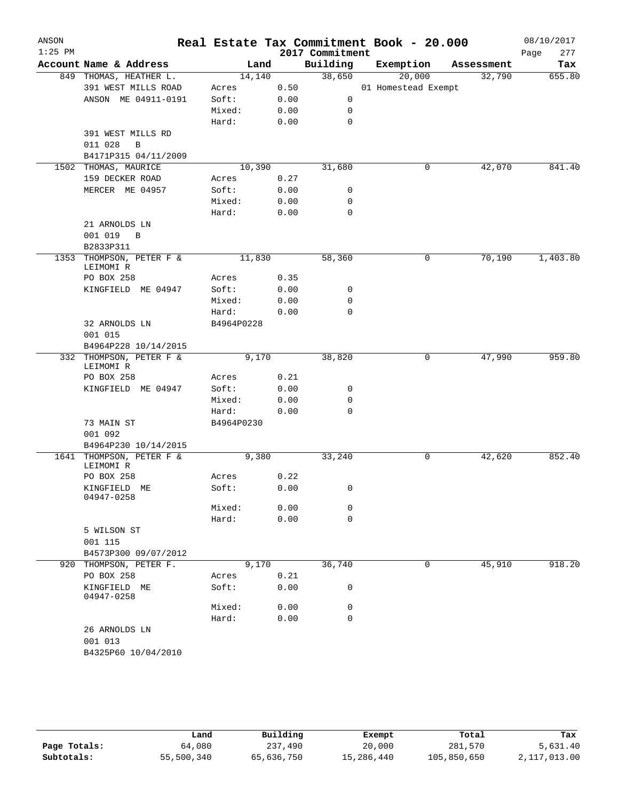| ANSON<br>$1:25$ PM |                                       |            |      | 2017 Commitment | Real Estate Tax Commitment Book - 20.000 |            | 08/10/2017<br>277<br>Page |
|--------------------|---------------------------------------|------------|------|-----------------|------------------------------------------|------------|---------------------------|
|                    | Account Name & Address                | Land       |      | Building        | Exemption                                | Assessment | Tax                       |
|                    | 849 THOMAS, HEATHER L.                | 14,140     |      | 38,650          | 20,000                                   | 32,790     | 655.80                    |
|                    | 391 WEST MILLS ROAD                   | Acres      | 0.50 |                 | 01 Homestead Exempt                      |            |                           |
|                    | ANSON ME 04911-0191                   | Soft:      | 0.00 | 0               |                                          |            |                           |
|                    |                                       | Mixed:     | 0.00 | 0               |                                          |            |                           |
|                    |                                       | Hard:      | 0.00 | $\mathbf 0$     |                                          |            |                           |
|                    | 391 WEST MILLS RD                     |            |      |                 |                                          |            |                           |
|                    | 011 028<br>B                          |            |      |                 |                                          |            |                           |
|                    | B4171P315 04/11/2009                  |            |      |                 |                                          |            |                           |
|                    | 1502 THOMAS, MAURICE                  | 10,390     |      | 31,680          | 0                                        | 42,070     | 841.40                    |
|                    | 159 DECKER ROAD                       | Acres      | 0.27 |                 |                                          |            |                           |
|                    | MERCER ME 04957                       | Soft:      | 0.00 | 0               |                                          |            |                           |
|                    |                                       | Mixed:     | 0.00 | 0               |                                          |            |                           |
|                    |                                       | Hard:      | 0.00 | 0               |                                          |            |                           |
|                    | 21 ARNOLDS LN                         |            |      |                 |                                          |            |                           |
|                    | 001 019<br>B                          |            |      |                 |                                          |            |                           |
|                    | B2833P311                             |            |      |                 |                                          |            |                           |
| 1353               | THOMPSON, PETER F &<br>LEIMOMI R      | 11,830     |      | 58,360          | 0                                        | 70,190     | 1,403.80                  |
|                    | PO BOX 258                            | Acres      | 0.35 |                 |                                          |            |                           |
|                    | KINGFIELD ME 04947                    | Soft:      | 0.00 | 0               |                                          |            |                           |
|                    |                                       | Mixed:     | 0.00 | 0               |                                          |            |                           |
|                    |                                       | Hard:      | 0.00 | $\mathbf 0$     |                                          |            |                           |
|                    | 32 ARNOLDS LN                         | B4964P0228 |      |                 |                                          |            |                           |
|                    | 001 015                               |            |      |                 |                                          |            |                           |
|                    | B4964P228 10/14/2015                  |            |      |                 |                                          |            |                           |
|                    | 332 THOMPSON, PETER F &               | 9,170      |      | 38,820          | 0                                        | 47,990     | 959.80                    |
|                    | LEIMOMI R                             |            |      |                 |                                          |            |                           |
|                    | PO BOX 258                            | Acres      | 0.21 |                 |                                          |            |                           |
|                    | KINGFIELD ME 04947                    | Soft:      | 0.00 | 0               |                                          |            |                           |
|                    |                                       | Mixed:     | 0.00 | 0               |                                          |            |                           |
|                    |                                       | Hard:      | 0.00 | 0               |                                          |            |                           |
|                    | 73 MAIN ST                            | B4964P0230 |      |                 |                                          |            |                           |
|                    | 001 092                               |            |      |                 |                                          |            |                           |
|                    | B4964P230 10/14/2015                  |            |      |                 |                                          |            |                           |
|                    | 1641 THOMPSON, PETER F &<br>LEIMOMI R | 9,380      |      | 33,240          | 0                                        | 42,620     | 852.40                    |
|                    | PO BOX 258                            | Acres      | 0.22 |                 |                                          |            |                           |
|                    | KINGFIELD ME<br>04947-0258            | Soft:      | 0.00 | 0               |                                          |            |                           |
|                    |                                       | Mixed:     | 0.00 | 0               |                                          |            |                           |
|                    |                                       | Hard:      | 0.00 | $\mathbf 0$     |                                          |            |                           |
|                    | 5 WILSON ST<br>001 115                |            |      |                 |                                          |            |                           |
|                    | B4573P300 09/07/2012                  |            |      |                 |                                          |            |                           |
|                    | 920 THOMPSON, PETER F.                | 9,170      |      | 36,740          | 0                                        | 45,910     | 918.20                    |
|                    | PO BOX 258                            | Acres      | 0.21 |                 |                                          |            |                           |
|                    | KINGFIELD ME<br>04947-0258            | Soft:      | 0.00 | 0               |                                          |            |                           |
|                    |                                       | Mixed:     | 0.00 | 0               |                                          |            |                           |
|                    |                                       | Hard:      | 0.00 | $\mathbf 0$     |                                          |            |                           |
|                    | 26 ARNOLDS LN                         |            |      |                 |                                          |            |                           |
|                    | 001 013                               |            |      |                 |                                          |            |                           |
|                    | B4325P60 10/04/2010                   |            |      |                 |                                          |            |                           |

|              | ⊥and       | Building   | Exempt     | Total       | Tax          |
|--------------|------------|------------|------------|-------------|--------------|
| Page Totals: | 64,080     | 237,490    | 20,000     | 281,570     | 5,631.40     |
| Subtotals:   | 55,500,340 | 65,636,750 | 15,286,440 | 105,850,650 | 2,117,013.00 |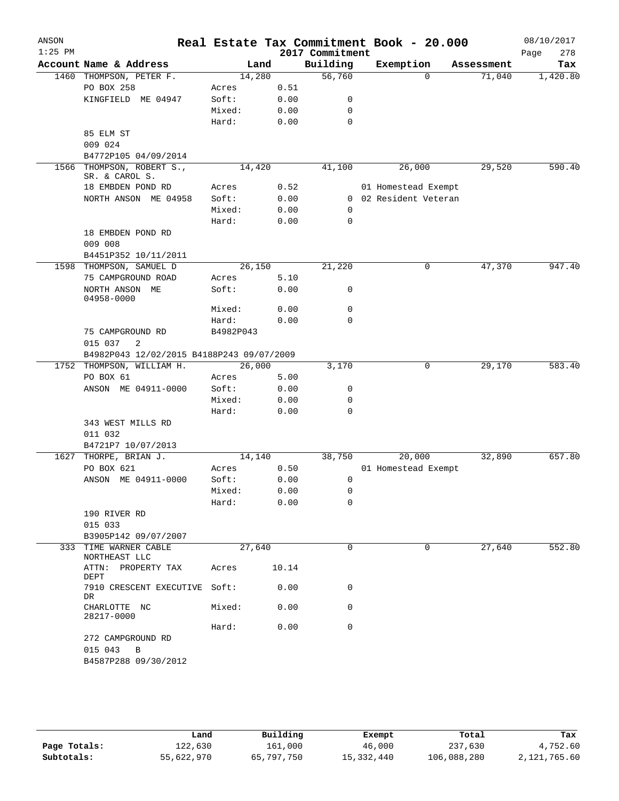| ANSON<br>$1:25$ PM |                                           |           |       | Real Estate Tax Commitment Book - 20.000<br>2017 Commitment |                       |            | 08/10/2017<br>Page<br>278 |
|--------------------|-------------------------------------------|-----------|-------|-------------------------------------------------------------|-----------------------|------------|---------------------------|
|                    | Account Name & Address                    | Land      |       | Building                                                    | Exemption             | Assessment | Tax                       |
|                    | 1460 THOMPSON, PETER F.                   | 14,280    |       | 56,760                                                      | 0                     | 71,040     | 1,420.80                  |
|                    | PO BOX 258                                | Acres     | 0.51  |                                                             |                       |            |                           |
|                    | KINGFIELD ME 04947                        | Soft:     | 0.00  | 0                                                           |                       |            |                           |
|                    |                                           | Mixed:    | 0.00  | 0                                                           |                       |            |                           |
|                    |                                           | Hard:     | 0.00  | 0                                                           |                       |            |                           |
|                    | 85 ELM ST                                 |           |       |                                                             |                       |            |                           |
|                    | 009 024                                   |           |       |                                                             |                       |            |                           |
|                    |                                           |           |       |                                                             |                       |            |                           |
| 1566               | B4772P105 04/09/2014                      |           |       | 41,100                                                      | 26,000                |            | 590.40                    |
|                    | THOMPSON, ROBERT S.,<br>SR. & CAROL S.    | 14,420    |       |                                                             |                       | 29,520     |                           |
|                    | 18 EMBDEN POND RD                         | Acres     | 0.52  |                                                             | 01 Homestead Exempt   |            |                           |
|                    | NORTH ANSON ME 04958                      | Soft:     | 0.00  |                                                             | 0 02 Resident Veteran |            |                           |
|                    |                                           | Mixed:    | 0.00  | 0                                                           |                       |            |                           |
|                    |                                           | Hard:     | 0.00  | 0                                                           |                       |            |                           |
|                    | 18 EMBDEN POND RD                         |           |       |                                                             |                       |            |                           |
|                    | 009 008                                   |           |       |                                                             |                       |            |                           |
|                    |                                           |           |       |                                                             |                       |            |                           |
|                    | B4451P352 10/11/2011                      |           |       |                                                             |                       |            |                           |
|                    | 1598 THOMPSON, SAMUEL D                   | 26,150    |       | 21,220                                                      | 0                     | 47,370     | 947.40                    |
|                    | 75 CAMPGROUND ROAD                        | Acres     | 5.10  |                                                             |                       |            |                           |
|                    | NORTH ANSON ME                            | Soft:     | 0.00  | 0                                                           |                       |            |                           |
|                    | 04958-0000                                |           |       | 0                                                           |                       |            |                           |
|                    |                                           | Mixed:    | 0.00  |                                                             |                       |            |                           |
|                    |                                           | Hard:     | 0.00  | 0                                                           |                       |            |                           |
|                    | 75 CAMPGROUND RD                          | B4982P043 |       |                                                             |                       |            |                           |
|                    | 015 037<br>2                              |           |       |                                                             |                       |            |                           |
|                    | B4982P043 12/02/2015 B4188P243 09/07/2009 |           |       |                                                             |                       |            |                           |
|                    | 1752 THOMPSON, WILLIAM H.                 | 26,000    |       | 3,170                                                       | 0                     | 29,170     | 583.40                    |
|                    | PO BOX 61                                 | Acres     | 5.00  |                                                             |                       |            |                           |
|                    | ANSON ME 04911-0000                       | Soft:     | 0.00  | 0                                                           |                       |            |                           |
|                    |                                           | Mixed:    | 0.00  | 0                                                           |                       |            |                           |
|                    |                                           | Hard:     | 0.00  | 0                                                           |                       |            |                           |
|                    | 343 WEST MILLS RD                         |           |       |                                                             |                       |            |                           |
|                    | 011 032                                   |           |       |                                                             |                       |            |                           |
|                    | B4721P7 10/07/2013                        |           |       |                                                             |                       |            |                           |
| 1627               | THORPE, BRIAN J.                          | 14,140    |       | 38,750                                                      | 20,000                | 32,890     | 657.80                    |
|                    | PO BOX 621                                | Acres     | 0.50  |                                                             | 01 Homestead Exempt   |            |                           |
|                    | ANSON ME 04911-0000                       | Soft:     | 0.00  | 0                                                           |                       |            |                           |
|                    |                                           | Mixed:    | 0.00  | 0                                                           |                       |            |                           |
|                    |                                           | Hard:     | 0.00  | 0                                                           |                       |            |                           |
|                    | 190 RIVER RD                              |           |       |                                                             |                       |            |                           |
|                    | 015 033                                   |           |       |                                                             |                       |            |                           |
|                    | B3905P142 09/07/2007                      |           |       |                                                             |                       |            |                           |
|                    | 333 TIME WARNER CABLE<br>NORTHEAST LLC    | 27,640    |       | $\Omega$                                                    | 0                     | 27,640     | 552.80                    |
|                    | ATTN: PROPERTY TAX<br>DEPT                | Acres     | 10.14 |                                                             |                       |            |                           |
|                    | 7910 CRESCENT EXECUTIVE Soft:<br>DR       |           | 0.00  | 0                                                           |                       |            |                           |
|                    | CHARLOTTE NC<br>28217-0000                | Mixed:    | 0.00  | 0                                                           |                       |            |                           |
|                    |                                           | Hard:     | 0.00  | 0                                                           |                       |            |                           |
|                    | 272 CAMPGROUND RD                         |           |       |                                                             |                       |            |                           |
|                    | 015 043 B                                 |           |       |                                                             |                       |            |                           |
|                    | B4587P288 09/30/2012                      |           |       |                                                             |                       |            |                           |
|                    |                                           |           |       |                                                             |                       |            |                           |

|              | Land       | Building   | Exempt     | Total       | Tax          |
|--------------|------------|------------|------------|-------------|--------------|
| Page Totals: | 122,630    | 161,000    | 46,000     | 237,630     | 4,752.60     |
| Subtotals:   | 55,622,970 | 65,797,750 | 15,332,440 | 106,088,280 | 2,121,765.60 |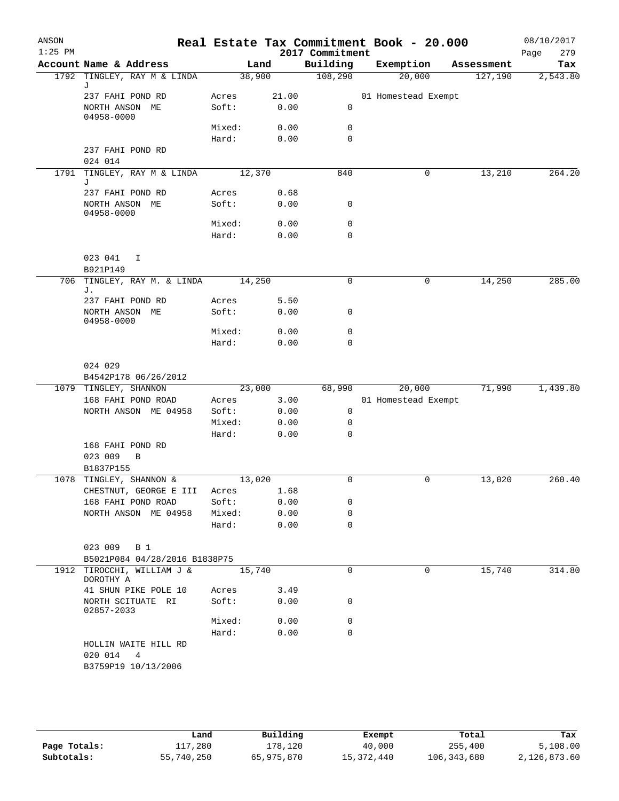| ANSON<br>$1:25$ PM |                                               |   |        |        |       | 2017 Commitment | Real Estate Tax Commitment Book - 20.000 |            | Page | 08/10/2017<br>279 |
|--------------------|-----------------------------------------------|---|--------|--------|-------|-----------------|------------------------------------------|------------|------|-------------------|
|                    | Account Name & Address                        |   |        | Land   |       | Building        | Exemption                                | Assessment |      | Tax               |
|                    | 1792 TINGLEY, RAY M & LINDA                   |   |        | 38,900 |       | 108,290         | 20,000                                   | 127,190    |      | 2,543.80          |
|                    | J                                             |   |        |        |       |                 |                                          |            |      |                   |
|                    | 237 FAHI POND RD                              |   | Acres  |        | 21.00 |                 | 01 Homestead Exempt                      |            |      |                   |
|                    | NORTH ANSON ME<br>04958-0000                  |   | Soft:  |        | 0.00  | 0               |                                          |            |      |                   |
|                    |                                               |   | Mixed: |        | 0.00  | 0               |                                          |            |      |                   |
|                    |                                               |   | Hard:  |        | 0.00  | $\mathbf 0$     |                                          |            |      |                   |
|                    | 237 FAHI POND RD                              |   |        |        |       |                 |                                          |            |      |                   |
|                    | 024 014                                       |   |        |        |       |                 |                                          |            |      |                   |
| 1791               | TINGLEY, RAY M & LINDA<br>J                   |   |        | 12,370 |       | 840             | 0                                        | 13,210     |      | 264.20            |
|                    | 237 FAHI POND RD                              |   | Acres  |        | 0.68  |                 |                                          |            |      |                   |
|                    | NORTH ANSON ME<br>04958-0000                  |   | Soft:  |        | 0.00  | 0               |                                          |            |      |                   |
|                    |                                               |   | Mixed: |        | 0.00  | 0               |                                          |            |      |                   |
|                    |                                               |   | Hard:  |        | 0.00  | $\Omega$        |                                          |            |      |                   |
|                    |                                               |   |        |        |       |                 |                                          |            |      |                   |
|                    | 023 041                                       | I |        |        |       |                 |                                          |            |      |                   |
| 706                | B921P149<br>TINGLEY, RAY M. & LINDA           |   |        | 14,250 |       | 0               | 0                                        | 14,250     |      | 285.00            |
|                    | J.                                            |   |        |        |       |                 |                                          |            |      |                   |
|                    | 237 FAHI POND RD                              |   | Acres  |        | 5.50  |                 |                                          |            |      |                   |
|                    | NORTH ANSON ME<br>04958-0000                  |   | Soft:  |        | 0.00  | 0               |                                          |            |      |                   |
|                    |                                               |   | Mixed: |        | 0.00  | $\mathbf 0$     |                                          |            |      |                   |
|                    |                                               |   | Hard:  |        | 0.00  | 0               |                                          |            |      |                   |
|                    |                                               |   |        |        |       |                 |                                          |            |      |                   |
|                    | 024 029                                       |   |        |        |       |                 |                                          |            |      |                   |
|                    | B4542P178 06/26/2012<br>1079 TINGLEY, SHANNON |   |        | 23,000 |       | 68,990          | 20,000                                   | 71,990     |      | 1,439.80          |
|                    | 168 FAHI POND ROAD                            |   | Acres  |        | 3.00  |                 | 01 Homestead Exempt                      |            |      |                   |
|                    | NORTH ANSON ME 04958                          |   | Soft:  |        | 0.00  | 0               |                                          |            |      |                   |
|                    |                                               |   | Mixed: |        | 0.00  | 0               |                                          |            |      |                   |
|                    |                                               |   | Hard:  |        | 0.00  | 0               |                                          |            |      |                   |
|                    | 168 FAHI POND RD<br>023 009<br>B1837P155      | B |        |        |       |                 |                                          |            |      |                   |
|                    | 1078 TINGLEY, SHANNON &                       |   |        | 13,020 |       | 0               | $\mathbf 0$                              | 13,020     |      | 260.40            |
|                    | CHESTNUT, GEORGE E III Acres 1.68             |   |        |        |       |                 |                                          |            |      |                   |
|                    | 168 FAHI POND ROAD                            |   | Soft:  |        | 0.00  | 0               |                                          |            |      |                   |
|                    | NORTH ANSON ME 04958                          |   | Mixed: |        | 0.00  | 0               |                                          |            |      |                   |
|                    |                                               |   | Hard:  |        | 0.00  | $\Omega$        |                                          |            |      |                   |
|                    | 023 009 B 1                                   |   |        |        |       |                 |                                          |            |      |                   |
|                    | B5021P084 04/28/2016 B1838P75                 |   |        |        |       |                 |                                          |            |      |                   |
|                    | 1912 TIROCCHI, WILLIAM J &<br>DOROTHY A       |   |        | 15,740 |       | 0               | 0                                        | 15,740     |      | 314.80            |
|                    | 41 SHUN PIKE POLE 10                          |   | Acres  |        | 3.49  |                 |                                          |            |      |                   |
|                    | NORTH SCITUATE RI<br>02857-2033               |   | Soft:  |        | 0.00  | 0               |                                          |            |      |                   |
|                    |                                               |   | Mixed: |        | 0.00  | 0               |                                          |            |      |                   |
|                    | HOLLIN WAITE HILL RD<br>020 014 4             |   | Hard:  |        | 0.00  | $\Omega$        |                                          |            |      |                   |

|              | Land       | Building   | Exempt     | Total         | Tax          |
|--------------|------------|------------|------------|---------------|--------------|
| Page Totals: | ⊥17,280    | 178.120    | 40,000     | 255,400       | 5,108.00     |
| Subtotals:   | 55,740,250 | 65,975,870 | 15,372,440 | 106, 343, 680 | 2,126,873.60 |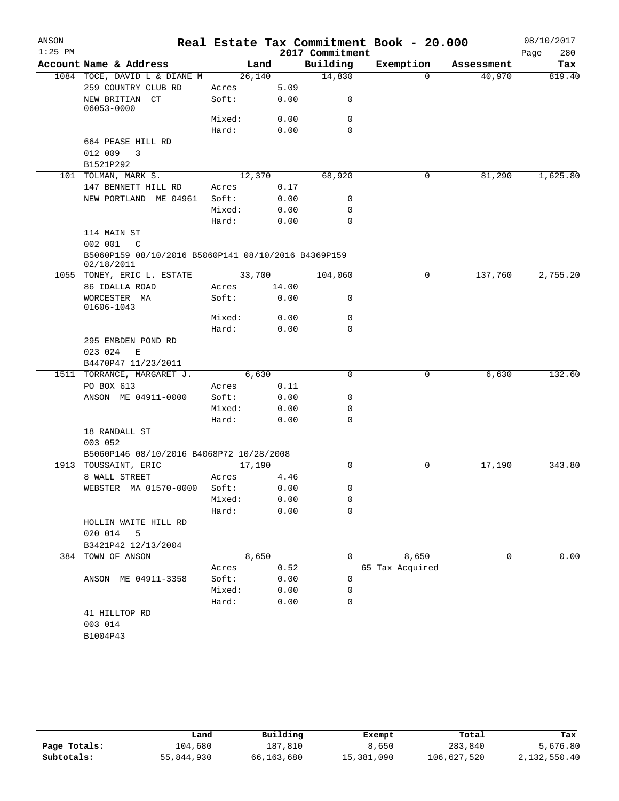| $1:25$ PM<br>2017 Commitment<br>280<br>Page<br>Account Name & Address<br>Building<br>Exemption<br>Land<br>Assessment<br>26,140<br>14,830<br>40,970<br>1084 TOCE, DAVID L & DIANE M<br>$\Omega$<br>259 COUNTRY CLUB RD<br>5.09<br>Acres<br>NEW BRITIAN CT<br>Soft:<br>0.00<br>0<br>06053-0000<br>0<br>Mixed:<br>0.00<br>Hard:<br>0.00<br>$\Omega$<br>664 PEASE HILL RD<br>012 009<br>3<br>B1521P292<br>101 TOLMAN, MARK S.<br>12,370<br>68,920<br>0<br>81,290<br>147 BENNETT HILL RD<br>0.17<br>Acres<br>NEW PORTLAND ME 04961<br>Soft:<br>0.00<br>0<br>Mixed:<br>0.00<br>0<br>Hard:<br>0.00<br>0<br>114 MAIN ST<br>002 001<br>C<br>B5060P159 08/10/2016 B5060P141 08/10/2016 B4369P159<br>02/18/2011<br>33,700<br>137,760<br>2,755.20<br>1055 TONEY, ERIC L. ESTATE<br>104,060<br>0<br>86 IDALLA ROAD<br>14.00<br>Acres<br>WORCESTER MA<br>Soft:<br>0.00<br>0<br>01606-1043<br>$\mathbf 0$<br>Mixed:<br>0.00<br>Hard:<br>0.00<br>0<br>295 EMBDEN POND RD<br>023 024<br>Е<br>B4470P47 11/23/2011<br>1511 TORRANCE, MARGARET J.<br>6,630<br>6,630<br>0<br>0<br>PO BOX 613<br>0.11<br>Acres<br>ANSON ME 04911-0000<br>Soft:<br>0.00<br>0<br>Mixed:<br>0.00<br>0<br>Hard:<br>0.00<br>$\Omega$<br>18 RANDALL ST<br>003 052<br>B5060P146 08/10/2016 B4068P72 10/28/2008<br>17,190<br>343.80<br>1913 TOUSSAINT, ERIC<br>17,190<br>$\Omega$<br>0<br>8 WALL STREET<br>Acres<br>4.46<br>WEBSTER MA 01570-0000 Soft:<br>0.00<br>0<br>0.00<br>Mixed:<br>0<br>Hard:<br>0.00<br>0<br>HOLLIN WAITE HILL RD<br>020 014 5<br>B3421P42 12/13/2004<br>0.00<br>384 TOWN OF ANSON<br>8,650<br>$\mathbf 0$<br>8,650<br>0<br>0.52<br>65 Tax Acquired<br>Acres<br>Soft:<br>0.00<br>ANSON ME 04911-3358<br>0<br>Mixed:<br>0.00<br>0<br>Hard:<br>0.00<br>0<br>41 HILLTOP RD<br>003 014<br>B1004P43 | ANSON |  |  | Real Estate Tax Commitment Book - 20.000 | 08/10/2017 |
|--------------------------------------------------------------------------------------------------------------------------------------------------------------------------------------------------------------------------------------------------------------------------------------------------------------------------------------------------------------------------------------------------------------------------------------------------------------------------------------------------------------------------------------------------------------------------------------------------------------------------------------------------------------------------------------------------------------------------------------------------------------------------------------------------------------------------------------------------------------------------------------------------------------------------------------------------------------------------------------------------------------------------------------------------------------------------------------------------------------------------------------------------------------------------------------------------------------------------------------------------------------------------------------------------------------------------------------------------------------------------------------------------------------------------------------------------------------------------------------------------------------------------------------------------------------------------------------------------------------------------------------------------------------------------------------------------------------------------------------------------------------------------|-------|--|--|------------------------------------------|------------|
|                                                                                                                                                                                                                                                                                                                                                                                                                                                                                                                                                                                                                                                                                                                                                                                                                                                                                                                                                                                                                                                                                                                                                                                                                                                                                                                                                                                                                                                                                                                                                                                                                                                                                                                                                                          |       |  |  |                                          |            |
|                                                                                                                                                                                                                                                                                                                                                                                                                                                                                                                                                                                                                                                                                                                                                                                                                                                                                                                                                                                                                                                                                                                                                                                                                                                                                                                                                                                                                                                                                                                                                                                                                                                                                                                                                                          |       |  |  |                                          | Tax        |
|                                                                                                                                                                                                                                                                                                                                                                                                                                                                                                                                                                                                                                                                                                                                                                                                                                                                                                                                                                                                                                                                                                                                                                                                                                                                                                                                                                                                                                                                                                                                                                                                                                                                                                                                                                          |       |  |  |                                          | 819.40     |
|                                                                                                                                                                                                                                                                                                                                                                                                                                                                                                                                                                                                                                                                                                                                                                                                                                                                                                                                                                                                                                                                                                                                                                                                                                                                                                                                                                                                                                                                                                                                                                                                                                                                                                                                                                          |       |  |  |                                          |            |
|                                                                                                                                                                                                                                                                                                                                                                                                                                                                                                                                                                                                                                                                                                                                                                                                                                                                                                                                                                                                                                                                                                                                                                                                                                                                                                                                                                                                                                                                                                                                                                                                                                                                                                                                                                          |       |  |  |                                          |            |
|                                                                                                                                                                                                                                                                                                                                                                                                                                                                                                                                                                                                                                                                                                                                                                                                                                                                                                                                                                                                                                                                                                                                                                                                                                                                                                                                                                                                                                                                                                                                                                                                                                                                                                                                                                          |       |  |  |                                          |            |
|                                                                                                                                                                                                                                                                                                                                                                                                                                                                                                                                                                                                                                                                                                                                                                                                                                                                                                                                                                                                                                                                                                                                                                                                                                                                                                                                                                                                                                                                                                                                                                                                                                                                                                                                                                          |       |  |  |                                          |            |
|                                                                                                                                                                                                                                                                                                                                                                                                                                                                                                                                                                                                                                                                                                                                                                                                                                                                                                                                                                                                                                                                                                                                                                                                                                                                                                                                                                                                                                                                                                                                                                                                                                                                                                                                                                          |       |  |  |                                          |            |
|                                                                                                                                                                                                                                                                                                                                                                                                                                                                                                                                                                                                                                                                                                                                                                                                                                                                                                                                                                                                                                                                                                                                                                                                                                                                                                                                                                                                                                                                                                                                                                                                                                                                                                                                                                          |       |  |  |                                          |            |
|                                                                                                                                                                                                                                                                                                                                                                                                                                                                                                                                                                                                                                                                                                                                                                                                                                                                                                                                                                                                                                                                                                                                                                                                                                                                                                                                                                                                                                                                                                                                                                                                                                                                                                                                                                          |       |  |  |                                          |            |
|                                                                                                                                                                                                                                                                                                                                                                                                                                                                                                                                                                                                                                                                                                                                                                                                                                                                                                                                                                                                                                                                                                                                                                                                                                                                                                                                                                                                                                                                                                                                                                                                                                                                                                                                                                          |       |  |  |                                          | 1,625.80   |
|                                                                                                                                                                                                                                                                                                                                                                                                                                                                                                                                                                                                                                                                                                                                                                                                                                                                                                                                                                                                                                                                                                                                                                                                                                                                                                                                                                                                                                                                                                                                                                                                                                                                                                                                                                          |       |  |  |                                          |            |
|                                                                                                                                                                                                                                                                                                                                                                                                                                                                                                                                                                                                                                                                                                                                                                                                                                                                                                                                                                                                                                                                                                                                                                                                                                                                                                                                                                                                                                                                                                                                                                                                                                                                                                                                                                          |       |  |  |                                          |            |
|                                                                                                                                                                                                                                                                                                                                                                                                                                                                                                                                                                                                                                                                                                                                                                                                                                                                                                                                                                                                                                                                                                                                                                                                                                                                                                                                                                                                                                                                                                                                                                                                                                                                                                                                                                          |       |  |  |                                          |            |
|                                                                                                                                                                                                                                                                                                                                                                                                                                                                                                                                                                                                                                                                                                                                                                                                                                                                                                                                                                                                                                                                                                                                                                                                                                                                                                                                                                                                                                                                                                                                                                                                                                                                                                                                                                          |       |  |  |                                          |            |
|                                                                                                                                                                                                                                                                                                                                                                                                                                                                                                                                                                                                                                                                                                                                                                                                                                                                                                                                                                                                                                                                                                                                                                                                                                                                                                                                                                                                                                                                                                                                                                                                                                                                                                                                                                          |       |  |  |                                          |            |
|                                                                                                                                                                                                                                                                                                                                                                                                                                                                                                                                                                                                                                                                                                                                                                                                                                                                                                                                                                                                                                                                                                                                                                                                                                                                                                                                                                                                                                                                                                                                                                                                                                                                                                                                                                          |       |  |  |                                          |            |
|                                                                                                                                                                                                                                                                                                                                                                                                                                                                                                                                                                                                                                                                                                                                                                                                                                                                                                                                                                                                                                                                                                                                                                                                                                                                                                                                                                                                                                                                                                                                                                                                                                                                                                                                                                          |       |  |  |                                          |            |
|                                                                                                                                                                                                                                                                                                                                                                                                                                                                                                                                                                                                                                                                                                                                                                                                                                                                                                                                                                                                                                                                                                                                                                                                                                                                                                                                                                                                                                                                                                                                                                                                                                                                                                                                                                          |       |  |  |                                          |            |
|                                                                                                                                                                                                                                                                                                                                                                                                                                                                                                                                                                                                                                                                                                                                                                                                                                                                                                                                                                                                                                                                                                                                                                                                                                                                                                                                                                                                                                                                                                                                                                                                                                                                                                                                                                          |       |  |  |                                          |            |
|                                                                                                                                                                                                                                                                                                                                                                                                                                                                                                                                                                                                                                                                                                                                                                                                                                                                                                                                                                                                                                                                                                                                                                                                                                                                                                                                                                                                                                                                                                                                                                                                                                                                                                                                                                          |       |  |  |                                          |            |
|                                                                                                                                                                                                                                                                                                                                                                                                                                                                                                                                                                                                                                                                                                                                                                                                                                                                                                                                                                                                                                                                                                                                                                                                                                                                                                                                                                                                                                                                                                                                                                                                                                                                                                                                                                          |       |  |  |                                          |            |
|                                                                                                                                                                                                                                                                                                                                                                                                                                                                                                                                                                                                                                                                                                                                                                                                                                                                                                                                                                                                                                                                                                                                                                                                                                                                                                                                                                                                                                                                                                                                                                                                                                                                                                                                                                          |       |  |  |                                          |            |
|                                                                                                                                                                                                                                                                                                                                                                                                                                                                                                                                                                                                                                                                                                                                                                                                                                                                                                                                                                                                                                                                                                                                                                                                                                                                                                                                                                                                                                                                                                                                                                                                                                                                                                                                                                          |       |  |  |                                          |            |
|                                                                                                                                                                                                                                                                                                                                                                                                                                                                                                                                                                                                                                                                                                                                                                                                                                                                                                                                                                                                                                                                                                                                                                                                                                                                                                                                                                                                                                                                                                                                                                                                                                                                                                                                                                          |       |  |  |                                          |            |
|                                                                                                                                                                                                                                                                                                                                                                                                                                                                                                                                                                                                                                                                                                                                                                                                                                                                                                                                                                                                                                                                                                                                                                                                                                                                                                                                                                                                                                                                                                                                                                                                                                                                                                                                                                          |       |  |  |                                          |            |
|                                                                                                                                                                                                                                                                                                                                                                                                                                                                                                                                                                                                                                                                                                                                                                                                                                                                                                                                                                                                                                                                                                                                                                                                                                                                                                                                                                                                                                                                                                                                                                                                                                                                                                                                                                          |       |  |  |                                          |            |
|                                                                                                                                                                                                                                                                                                                                                                                                                                                                                                                                                                                                                                                                                                                                                                                                                                                                                                                                                                                                                                                                                                                                                                                                                                                                                                                                                                                                                                                                                                                                                                                                                                                                                                                                                                          |       |  |  |                                          | 132.60     |
|                                                                                                                                                                                                                                                                                                                                                                                                                                                                                                                                                                                                                                                                                                                                                                                                                                                                                                                                                                                                                                                                                                                                                                                                                                                                                                                                                                                                                                                                                                                                                                                                                                                                                                                                                                          |       |  |  |                                          |            |
|                                                                                                                                                                                                                                                                                                                                                                                                                                                                                                                                                                                                                                                                                                                                                                                                                                                                                                                                                                                                                                                                                                                                                                                                                                                                                                                                                                                                                                                                                                                                                                                                                                                                                                                                                                          |       |  |  |                                          |            |
|                                                                                                                                                                                                                                                                                                                                                                                                                                                                                                                                                                                                                                                                                                                                                                                                                                                                                                                                                                                                                                                                                                                                                                                                                                                                                                                                                                                                                                                                                                                                                                                                                                                                                                                                                                          |       |  |  |                                          |            |
|                                                                                                                                                                                                                                                                                                                                                                                                                                                                                                                                                                                                                                                                                                                                                                                                                                                                                                                                                                                                                                                                                                                                                                                                                                                                                                                                                                                                                                                                                                                                                                                                                                                                                                                                                                          |       |  |  |                                          |            |
|                                                                                                                                                                                                                                                                                                                                                                                                                                                                                                                                                                                                                                                                                                                                                                                                                                                                                                                                                                                                                                                                                                                                                                                                                                                                                                                                                                                                                                                                                                                                                                                                                                                                                                                                                                          |       |  |  |                                          |            |
|                                                                                                                                                                                                                                                                                                                                                                                                                                                                                                                                                                                                                                                                                                                                                                                                                                                                                                                                                                                                                                                                                                                                                                                                                                                                                                                                                                                                                                                                                                                                                                                                                                                                                                                                                                          |       |  |  |                                          |            |
|                                                                                                                                                                                                                                                                                                                                                                                                                                                                                                                                                                                                                                                                                                                                                                                                                                                                                                                                                                                                                                                                                                                                                                                                                                                                                                                                                                                                                                                                                                                                                                                                                                                                                                                                                                          |       |  |  |                                          |            |
|                                                                                                                                                                                                                                                                                                                                                                                                                                                                                                                                                                                                                                                                                                                                                                                                                                                                                                                                                                                                                                                                                                                                                                                                                                                                                                                                                                                                                                                                                                                                                                                                                                                                                                                                                                          |       |  |  |                                          |            |
|                                                                                                                                                                                                                                                                                                                                                                                                                                                                                                                                                                                                                                                                                                                                                                                                                                                                                                                                                                                                                                                                                                                                                                                                                                                                                                                                                                                                                                                                                                                                                                                                                                                                                                                                                                          |       |  |  |                                          |            |
|                                                                                                                                                                                                                                                                                                                                                                                                                                                                                                                                                                                                                                                                                                                                                                                                                                                                                                                                                                                                                                                                                                                                                                                                                                                                                                                                                                                                                                                                                                                                                                                                                                                                                                                                                                          |       |  |  |                                          |            |
|                                                                                                                                                                                                                                                                                                                                                                                                                                                                                                                                                                                                                                                                                                                                                                                                                                                                                                                                                                                                                                                                                                                                                                                                                                                                                                                                                                                                                                                                                                                                                                                                                                                                                                                                                                          |       |  |  |                                          |            |
|                                                                                                                                                                                                                                                                                                                                                                                                                                                                                                                                                                                                                                                                                                                                                                                                                                                                                                                                                                                                                                                                                                                                                                                                                                                                                                                                                                                                                                                                                                                                                                                                                                                                                                                                                                          |       |  |  |                                          |            |
|                                                                                                                                                                                                                                                                                                                                                                                                                                                                                                                                                                                                                                                                                                                                                                                                                                                                                                                                                                                                                                                                                                                                                                                                                                                                                                                                                                                                                                                                                                                                                                                                                                                                                                                                                                          |       |  |  |                                          |            |
|                                                                                                                                                                                                                                                                                                                                                                                                                                                                                                                                                                                                                                                                                                                                                                                                                                                                                                                                                                                                                                                                                                                                                                                                                                                                                                                                                                                                                                                                                                                                                                                                                                                                                                                                                                          |       |  |  |                                          |            |
|                                                                                                                                                                                                                                                                                                                                                                                                                                                                                                                                                                                                                                                                                                                                                                                                                                                                                                                                                                                                                                                                                                                                                                                                                                                                                                                                                                                                                                                                                                                                                                                                                                                                                                                                                                          |       |  |  |                                          |            |
|                                                                                                                                                                                                                                                                                                                                                                                                                                                                                                                                                                                                                                                                                                                                                                                                                                                                                                                                                                                                                                                                                                                                                                                                                                                                                                                                                                                                                                                                                                                                                                                                                                                                                                                                                                          |       |  |  |                                          |            |
|                                                                                                                                                                                                                                                                                                                                                                                                                                                                                                                                                                                                                                                                                                                                                                                                                                                                                                                                                                                                                                                                                                                                                                                                                                                                                                                                                                                                                                                                                                                                                                                                                                                                                                                                                                          |       |  |  |                                          |            |
|                                                                                                                                                                                                                                                                                                                                                                                                                                                                                                                                                                                                                                                                                                                                                                                                                                                                                                                                                                                                                                                                                                                                                                                                                                                                                                                                                                                                                                                                                                                                                                                                                                                                                                                                                                          |       |  |  |                                          |            |
|                                                                                                                                                                                                                                                                                                                                                                                                                                                                                                                                                                                                                                                                                                                                                                                                                                                                                                                                                                                                                                                                                                                                                                                                                                                                                                                                                                                                                                                                                                                                                                                                                                                                                                                                                                          |       |  |  |                                          |            |
|                                                                                                                                                                                                                                                                                                                                                                                                                                                                                                                                                                                                                                                                                                                                                                                                                                                                                                                                                                                                                                                                                                                                                                                                                                                                                                                                                                                                                                                                                                                                                                                                                                                                                                                                                                          |       |  |  |                                          |            |
|                                                                                                                                                                                                                                                                                                                                                                                                                                                                                                                                                                                                                                                                                                                                                                                                                                                                                                                                                                                                                                                                                                                                                                                                                                                                                                                                                                                                                                                                                                                                                                                                                                                                                                                                                                          |       |  |  |                                          |            |
|                                                                                                                                                                                                                                                                                                                                                                                                                                                                                                                                                                                                                                                                                                                                                                                                                                                                                                                                                                                                                                                                                                                                                                                                                                                                                                                                                                                                                                                                                                                                                                                                                                                                                                                                                                          |       |  |  |                                          |            |
|                                                                                                                                                                                                                                                                                                                                                                                                                                                                                                                                                                                                                                                                                                                                                                                                                                                                                                                                                                                                                                                                                                                                                                                                                                                                                                                                                                                                                                                                                                                                                                                                                                                                                                                                                                          |       |  |  |                                          |            |

|              | Land       | Building   | Exempt     | Total       | Tax          |
|--------------|------------|------------|------------|-------------|--------------|
| Page Totals: | 104,680    | 187.810    | 8,650      | 283,840     | 5,676.80     |
| Subtotals:   | 55,844,930 | 66,163,680 | 15,381,090 | 106,627,520 | 2,132,550.40 |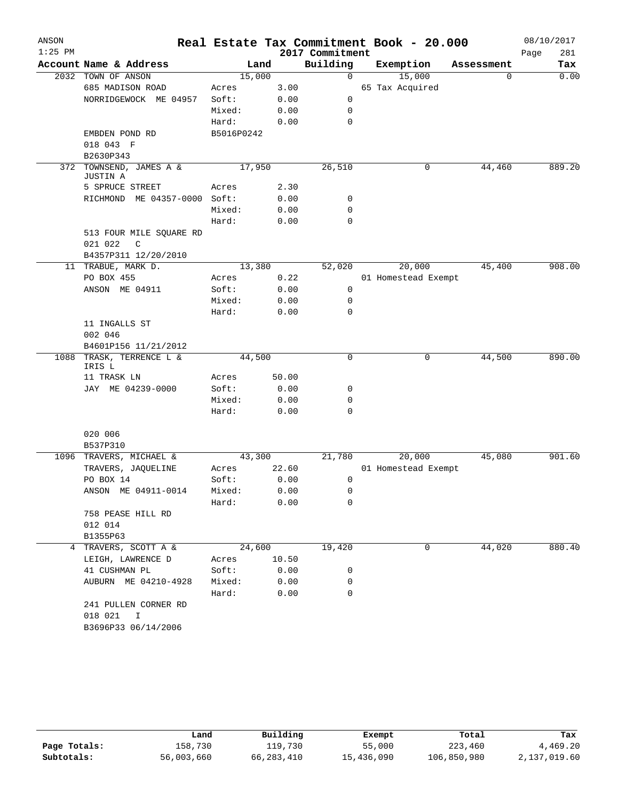| ANSON     |                                        |            |        |                 | Real Estate Tax Commitment Book - 20.000 |             | 08/10/2017  |
|-----------|----------------------------------------|------------|--------|-----------------|------------------------------------------|-------------|-------------|
| $1:25$ PM |                                        |            |        | 2017 Commitment |                                          |             | Page<br>281 |
|           | Account Name & Address                 | Land       |        | Building        | Exemption                                | Assessment  | Tax         |
|           | 2032 TOWN OF ANSON                     | 15,000     |        | $\mathbf 0$     | 15,000                                   | $\mathbf 0$ | 0.00        |
|           | 685 MADISON ROAD                       | Acres      | 3.00   |                 | 65 Tax Acquired                          |             |             |
|           | NORRIDGEWOCK ME 04957                  | Soft:      | 0.00   | 0               |                                          |             |             |
|           |                                        | Mixed:     | 0.00   | 0               |                                          |             |             |
|           |                                        | Hard:      | 0.00   | $\mathbf 0$     |                                          |             |             |
|           | EMBDEN POND RD                         | B5016P0242 |        |                 |                                          |             |             |
|           | 018 043 F                              |            |        |                 |                                          |             |             |
|           | B2630P343                              |            |        |                 |                                          |             |             |
| 372       | TOWNSEND, JAMES A &<br><b>JUSTIN A</b> | 17,950     |        | 26,510          | 0                                        | 44,460      | 889.20      |
|           | 5 SPRUCE STREET                        | Acres      | 2.30   |                 |                                          |             |             |
|           | RICHMOND ME 04357-0000 Soft:           |            | 0.00   | 0               |                                          |             |             |
|           |                                        | Mixed:     | 0.00   | 0               |                                          |             |             |
|           |                                        | Hard:      | 0.00   | $\mathbf 0$     |                                          |             |             |
|           | 513 FOUR MILE SQUARE RD                |            |        |                 |                                          |             |             |
|           | 021 022<br>C                           |            |        |                 |                                          |             |             |
|           | B4357P311 12/20/2010                   |            |        |                 |                                          |             |             |
|           | 11 TRABUE, MARK D.                     | 13,380     |        | 52,020          | 20,000                                   | 45,400      | 908.00      |
|           | PO BOX 455                             | Acres      | 0.22   |                 | 01 Homestead Exempt                      |             |             |
|           | ANSON ME 04911                         | Soft:      | 0.00   | 0               |                                          |             |             |
|           |                                        | Mixed:     | 0.00   | $\mathbf 0$     |                                          |             |             |
|           |                                        | Hard:      | 0.00   | 0               |                                          |             |             |
|           | 11 INGALLS ST                          |            |        |                 |                                          |             |             |
|           | 002 046                                |            |        |                 |                                          |             |             |
|           | B4601P156 11/21/2012                   |            |        |                 |                                          |             |             |
|           | 1088 TRASK, TERRENCE L &<br>IRIS L     | 44,500     |        | 0               | 0                                        | 44,500      | 890.00      |
|           | 11 TRASK LN                            | Acres      | 50.00  |                 |                                          |             |             |
|           | JAY ME 04239-0000                      | Soft:      | 0.00   | 0               |                                          |             |             |
|           |                                        | Mixed:     | 0.00   | 0               |                                          |             |             |
|           |                                        | Hard:      | 0.00   | 0               |                                          |             |             |
|           |                                        |            |        |                 |                                          |             |             |
|           | 020 006<br>B537P310                    |            |        |                 |                                          |             |             |
|           | 1096 TRAVERS, MICHAEL &                | 43,300     |        | 21,780          | 20,000                                   | 45,080      | 901.60      |
|           | TRAVERS, JAQUELINE                     | Acres      | 22.60  |                 | 01 Homestead Exempt                      |             |             |
|           | PO BOX 14                              | Soft:      | 0.00   | 0               |                                          |             |             |
|           | ANSON ME 04911-0014                    | Mixed:     | 0.00   | $\mathsf 0$     |                                          |             |             |
|           |                                        | Hard:      | 0.00   | 0               |                                          |             |             |
|           | 758 PEASE HILL RD                      |            |        |                 |                                          |             |             |
|           | 012 014                                |            |        |                 |                                          |             |             |
|           | B1355P63                               |            |        |                 |                                          |             |             |
|           | 4 TRAVERS, SCOTT A &                   |            | 24,600 | 19,420          | 0                                        | 44,020      | 880.40      |
|           | LEIGH, LAWRENCE D                      | Acres      | 10.50  |                 |                                          |             |             |
|           | 41 CUSHMAN PL                          | Soft:      | 0.00   | 0               |                                          |             |             |
|           | AUBURN ME 04210-4928                   | Mixed:     | 0.00   | 0               |                                          |             |             |
|           |                                        | Hard:      | 0.00   | $\Omega$        |                                          |             |             |
|           | 241 PULLEN CORNER RD                   |            |        |                 |                                          |             |             |
|           | 018 021 I                              |            |        |                 |                                          |             |             |
|           | B3696P33 06/14/2006                    |            |        |                 |                                          |             |             |
|           |                                        |            |        |                 |                                          |             |             |

|              | úand       | Building   | Exempt     | Total       | Tax          |
|--------------|------------|------------|------------|-------------|--------------|
| Page Totals: | 158,730    | 119,730    | 55,000     | 223,460     | 4,469.20     |
| Subtotals:   | 56,003,660 | 66,283,410 | 15,436,090 | 106,850,980 | 2,137,019.60 |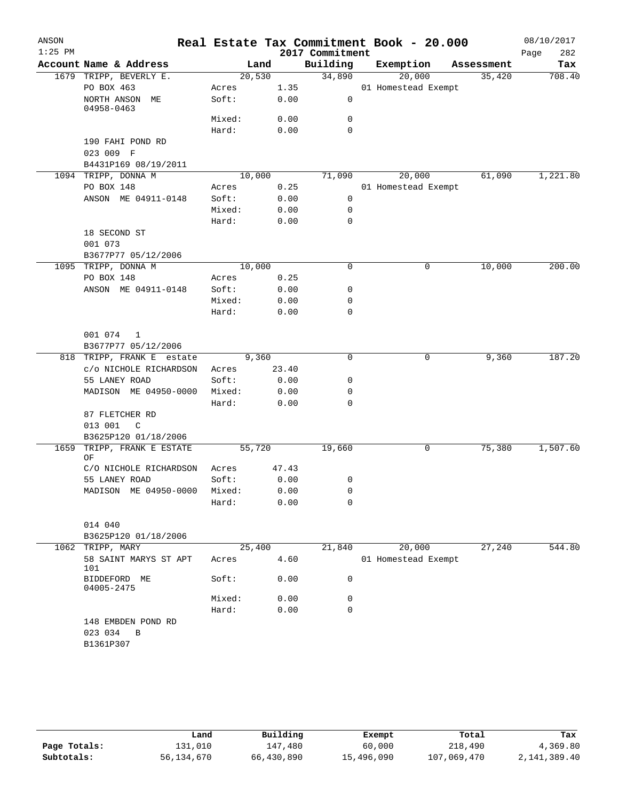| ANSON<br>$1:25$ PM |                                    |        |        | 2017 Commitment | Real Estate Tax Commitment Book - 20.000 |            | 08/10/2017<br>282<br>Page |
|--------------------|------------------------------------|--------|--------|-----------------|------------------------------------------|------------|---------------------------|
|                    | Account Name & Address             |        | Land   | Building        | Exemption                                | Assessment | Tax                       |
|                    | 1679 TRIPP, BEVERLY E.             |        | 20,530 | 34,890          | 20,000                                   | 35,420     | 708.40                    |
|                    | PO BOX 463                         | Acres  | 1.35   |                 | 01 Homestead Exempt                      |            |                           |
|                    | NORTH ANSON ME<br>04958-0463       | Soft:  | 0.00   | 0               |                                          |            |                           |
|                    |                                    | Mixed: | 0.00   | 0               |                                          |            |                           |
|                    |                                    | Hard:  | 0.00   | 0               |                                          |            |                           |
|                    | 190 FAHI POND RD<br>023 009 F      |        |        |                 |                                          |            |                           |
|                    | B4431P169 08/19/2011               |        |        |                 |                                          |            |                           |
|                    | 1094 TRIPP, DONNA M                |        | 10,000 | 71,090          | 20,000                                   | 61,090     | 1,221.80                  |
|                    | PO BOX 148                         | Acres  | 0.25   |                 | 01 Homestead Exempt                      |            |                           |
|                    | ANSON ME 04911-0148                | Soft:  | 0.00   | 0               |                                          |            |                           |
|                    |                                    | Mixed: | 0.00   | $\mathbf 0$     |                                          |            |                           |
|                    |                                    | Hard:  | 0.00   | 0               |                                          |            |                           |
|                    | 18 SECOND ST                       |        |        |                 |                                          |            |                           |
|                    | 001 073                            |        |        |                 |                                          |            |                           |
|                    | B3677P77 05/12/2006                |        |        |                 |                                          |            |                           |
|                    | 1095 TRIPP, DONNA M                | 10,000 |        | 0               | 0                                        | 10,000     | 200.00                    |
|                    | PO BOX 148                         | Acres  | 0.25   |                 |                                          |            |                           |
|                    | ANSON ME 04911-0148                | Soft:  | 0.00   | 0               |                                          |            |                           |
|                    |                                    | Mixed: | 0.00   | 0               |                                          |            |                           |
|                    |                                    | Hard:  | 0.00   | 0               |                                          |            |                           |
|                    | 001 074 1<br>B3677P77 05/12/2006   |        |        |                 |                                          |            |                           |
|                    | 818 TRIPP, FRANK E estate          | 9,360  |        | $\Omega$        | 0                                        | 9,360      | 187.20                    |
|                    | c/o NICHOLE RICHARDSON             | Acres  | 23.40  |                 |                                          |            |                           |
|                    | 55 LANEY ROAD                      | Soft:  | 0.00   | 0               |                                          |            |                           |
|                    | MADISON ME 04950-0000              | Mixed: | 0.00   | 0               |                                          |            |                           |
|                    |                                    | Hard:  | 0.00   | 0               |                                          |            |                           |
|                    | 87 FLETCHER RD                     |        |        |                 |                                          |            |                           |
|                    | 013 001<br>$\mathbb{C}$            |        |        |                 |                                          |            |                           |
|                    | B3625P120 01/18/2006               |        |        |                 | 0                                        |            | 1,507.60                  |
| 1659               | TRIPP, FRANK E ESTATE<br>ΟF        |        | 55,720 | 19,660          |                                          | 75,380     |                           |
|                    | C/O NICHOLE RICHARDSON             | Acres  | 47.43  |                 |                                          |            |                           |
|                    | 55 LANEY ROAD                      | Soft:  | 0.00   | 0               |                                          |            |                           |
|                    | MADISON ME 04950-0000 Mixed:       |        | 0.00   | 0               |                                          |            |                           |
|                    |                                    | Hard:  | 0.00   | 0               |                                          |            |                           |
|                    | 014 040                            |        |        |                 |                                          |            |                           |
|                    | B3625P120 01/18/2006               |        |        |                 |                                          |            |                           |
|                    | 1062 TRIPP, MARY                   | 25,400 |        | 21,840          | 20,000                                   | 27,240     | 544.80                    |
|                    | 58 SAINT MARYS ST APT<br>101       | Acres  | 4.60   |                 | 01 Homestead Exempt                      |            |                           |
|                    | BIDDEFORD ME<br>04005-2475         | Soft:  | 0.00   | 0               |                                          |            |                           |
|                    |                                    | Mixed: | 0.00   | 0               |                                          |            |                           |
|                    |                                    | Hard:  | 0.00   | 0               |                                          |            |                           |
|                    | 148 EMBDEN POND RD<br>023 034<br>B |        |        |                 |                                          |            |                           |
|                    | B1361P307                          |        |        |                 |                                          |            |                           |

|              | Land       | Building   | Exempt     | Total       | Tax          |
|--------------|------------|------------|------------|-------------|--------------|
| Page Totals: | 131,010    | 147.480    | 60,000     | 218,490     | 4,369.80     |
| Subtotals:   | 56,134,670 | 66,430,890 | 15,496,090 | 107,069,470 | 2,141,389.40 |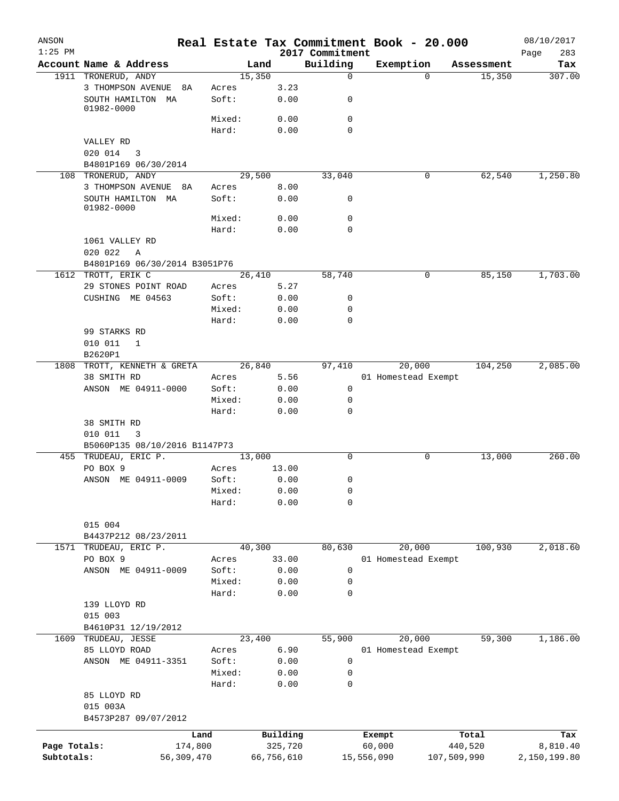| ANSON<br>$1:25$ PM |                                 |                |        |            | 2017 Commitment | Real Estate Tax Commitment Book - 20.000 |             |            | 08/10/2017<br>283<br>Page |
|--------------------|---------------------------------|----------------|--------|------------|-----------------|------------------------------------------|-------------|------------|---------------------------|
|                    | Account Name & Address          |                | Land   |            | Building        | Exemption                                |             | Assessment | Tax                       |
|                    | 1911 TRONERUD, ANDY             |                | 15,350 |            | $\mathbf 0$     |                                          | $\Omega$    | 15,350     | 307.00                    |
|                    | 3 THOMPSON AVENUE<br>8A         | Acres          |        | 3.23       |                 |                                          |             |            |                           |
|                    | SOUTH HAMILTON MA<br>01982-0000 | Soft:          |        | 0.00       | 0               |                                          |             |            |                           |
|                    |                                 | Mixed:         |        | 0.00       | $\mathbf 0$     |                                          |             |            |                           |
|                    |                                 | Hard:          |        | 0.00       | $\mathbf 0$     |                                          |             |            |                           |
|                    | VALLEY RD                       |                |        |            |                 |                                          |             |            |                           |
|                    | 020 014<br>3                    |                |        |            |                 |                                          |             |            |                           |
|                    | B4801P169 06/30/2014            |                |        |            |                 |                                          |             |            |                           |
|                    | 108 TRONERUD, ANDY              |                | 29,500 |            | 33,040          |                                          | 0           | 62,540     | 1,250.80                  |
|                    | 3 THOMPSON AVENUE 8A            | Acres          |        | 8.00       |                 |                                          |             |            |                           |
|                    | SOUTH HAMILTON MA               | Soft:          |        | 0.00       | 0               |                                          |             |            |                           |
|                    | 01982-0000                      |                |        |            |                 |                                          |             |            |                           |
|                    |                                 | Mixed:         |        | 0.00       | $\mathbf 0$     |                                          |             |            |                           |
|                    |                                 | Hard:          |        | 0.00       | $\mathbf 0$     |                                          |             |            |                           |
|                    | 1061 VALLEY RD                  |                |        |            |                 |                                          |             |            |                           |
|                    | 020 022<br>Α                    |                |        |            |                 |                                          |             |            |                           |
|                    | B4801P169 06/30/2014 B3051P76   |                |        |            |                 |                                          |             |            |                           |
| 1612               | TROTT, ERIK C                   |                | 26,410 |            | 58,740          |                                          | 0           | 85,150     | 1,703.00                  |
|                    | 29 STONES POINT ROAD            | Acres          |        | 5.27       |                 |                                          |             |            |                           |
|                    | CUSHING ME 04563                | Soft:          |        | 0.00       | 0               |                                          |             |            |                           |
|                    |                                 | Mixed:         |        | 0.00       | 0               |                                          |             |            |                           |
|                    |                                 | Hard:          |        | 0.00       | $\mathbf 0$     |                                          |             |            |                           |
|                    | 99 STARKS RD                    |                |        |            |                 |                                          |             |            |                           |
|                    | 010 011<br>1                    |                |        |            |                 |                                          |             |            |                           |
|                    | B2620P1                         |                |        |            |                 |                                          |             |            |                           |
| 1808               | TROTT, KENNETH & GRETA          |                | 26,840 |            | 97,410          | 20,000                                   |             | 104,250    | 2,085.00                  |
|                    | 38 SMITH RD                     | Acres          |        | 5.56       |                 | 01 Homestead Exempt                      |             |            |                           |
|                    | ANSON ME 04911-0000             | Soft:          |        | 0.00       | 0               |                                          |             |            |                           |
|                    |                                 | Mixed:         |        | 0.00       | 0               |                                          |             |            |                           |
|                    |                                 | Hard:          |        | 0.00       | $\mathbf 0$     |                                          |             |            |                           |
|                    | 38 SMITH RD                     |                |        |            |                 |                                          |             |            |                           |
|                    | 010 011<br>3                    |                |        |            |                 |                                          |             |            |                           |
|                    | B5060P135 08/10/2016 B1147P73   |                |        |            |                 |                                          |             |            |                           |
|                    | 455 TRUDEAU, ERIC P.            |                | 13,000 |            | $\mathbf 0$     |                                          | 0           | 13,000     | 260.00                    |
|                    | PO BOX 9                        | Acres          |        | 13.00      |                 |                                          |             |            |                           |
|                    | ANSON ME 04911-0009             | Soft:          |        | 0.00       | 0               |                                          |             |            |                           |
|                    |                                 | Mixed:         |        | 0.00       | 0               |                                          |             |            |                           |
|                    |                                 | Hard:          |        | 0.00       | 0               |                                          |             |            |                           |
|                    |                                 |                |        |            |                 |                                          |             |            |                           |
|                    | 015 004                         |                |        |            |                 |                                          |             |            |                           |
|                    | B4437P212 08/23/2011            |                |        |            |                 |                                          |             |            |                           |
| 1571               | TRUDEAU, ERIC P.                |                | 40,300 |            | 80,630          | 20,000                                   |             | 100,930    | 2,018.60                  |
|                    | PO BOX 9                        | Acres          |        | 33.00      |                 | 01 Homestead Exempt                      |             |            |                           |
|                    | ANSON ME 04911-0009             | Soft:          |        | 0.00       | 0               |                                          |             |            |                           |
|                    |                                 | Mixed:         |        | 0.00       | 0               |                                          |             |            |                           |
|                    |                                 | Hard:          |        | 0.00       | $\mathbf 0$     |                                          |             |            |                           |
|                    | 139 LLOYD RD                    |                |        |            |                 |                                          |             |            |                           |
|                    | 015 003                         |                |        |            |                 |                                          |             |            |                           |
|                    | B4610P31 12/19/2012             |                |        |            |                 |                                          |             |            |                           |
| 1609               | TRUDEAU, JESSE                  |                | 23,400 |            | 55,900          | 20,000                                   |             | 59,300     | 1,186.00                  |
|                    | 85 LLOYD ROAD                   |                |        | 6.90       |                 | 01 Homestead Exempt                      |             |            |                           |
|                    | ANSON ME 04911-3351             | Acres<br>Soft: |        | 0.00       | 0               |                                          |             |            |                           |
|                    |                                 | Mixed:         |        | 0.00       | 0               |                                          |             |            |                           |
|                    |                                 |                |        |            |                 |                                          |             |            |                           |
|                    |                                 | Hard:          |        | 0.00       | 0               |                                          |             |            |                           |
|                    | 85 LLOYD RD                     |                |        |            |                 |                                          |             |            |                           |
|                    | 015 003A                        |                |        |            |                 |                                          |             |            |                           |
|                    | B4573P287 09/07/2012            |                |        |            |                 |                                          |             |            |                           |
|                    |                                 | Land           |        | Building   |                 | Exempt                                   |             | Total      | Tax                       |
| Page Totals:       | 174,800                         |                |        | 325,720    |                 | 60,000                                   |             | 440,520    | 8,810.40                  |
| Subtotals:         | 56,309,470                      |                |        | 66,756,610 |                 | 15,556,090                               | 107,509,990 |            | 2,150,199.80              |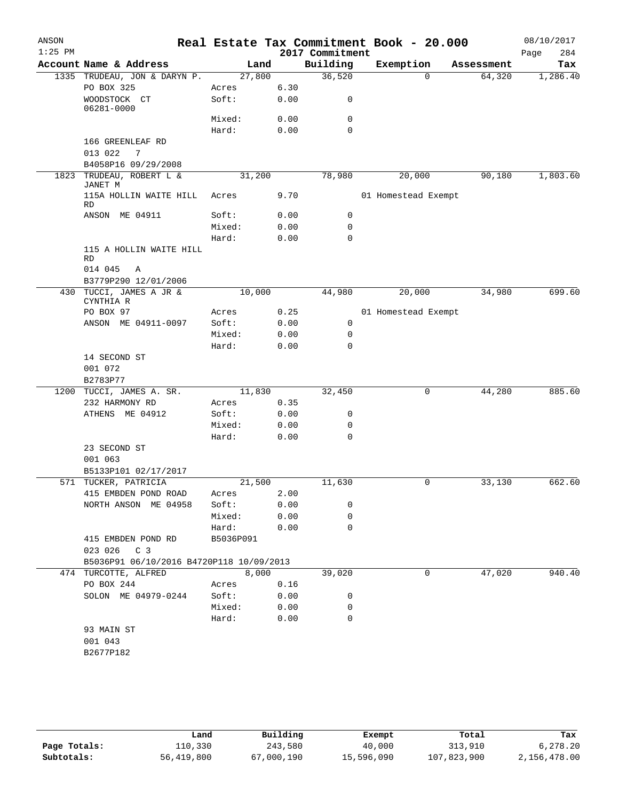| ANSON     |                                          |           |      |                 | Real Estate Tax Commitment Book - 20.000 |            | 08/10/2017  |
|-----------|------------------------------------------|-----------|------|-----------------|------------------------------------------|------------|-------------|
| $1:25$ PM |                                          |           |      | 2017 Commitment |                                          |            | 284<br>Page |
|           | Account Name & Address                   | Land      |      | Building        | Exemption                                | Assessment | Tax         |
|           | 1335 TRUDEAU, JON & DARYN P.             | 27,800    |      | 36,520          | $\Omega$                                 | 64,320     | 1,286.40    |
|           | PO BOX 325                               | Acres     | 6.30 |                 |                                          |            |             |
|           | WOODSTOCK CT<br>06281-0000               | Soft:     | 0.00 | 0               |                                          |            |             |
|           |                                          | Mixed:    | 0.00 | 0               |                                          |            |             |
|           |                                          | Hard:     | 0.00 | $\mathbf 0$     |                                          |            |             |
|           | 166 GREENLEAF RD                         |           |      |                 |                                          |            |             |
|           | 013 022<br>7                             |           |      |                 |                                          |            |             |
|           | B4058P16 09/29/2008                      |           |      |                 |                                          |            |             |
| 1823      | TRUDEAU, ROBERT L &                      | 31,200    |      | 78,980          | 20,000                                   | 90,180     | 1,803.60    |
|           | JANET M<br>115A HOLLIN WAITE HILL<br>RD  | Acres     | 9.70 |                 | 01 Homestead Exempt                      |            |             |
|           | ANSON ME 04911                           | Soft:     | 0.00 | 0               |                                          |            |             |
|           |                                          | Mixed:    | 0.00 | 0               |                                          |            |             |
|           |                                          | Hard:     | 0.00 | 0               |                                          |            |             |
|           | 115 A HOLLIN WAITE HILL                  |           |      |                 |                                          |            |             |
|           | <b>RD</b>                                |           |      |                 |                                          |            |             |
|           | 014 045<br>Α                             |           |      |                 |                                          |            |             |
|           | B3779P290 12/01/2006                     |           |      |                 |                                          |            |             |
|           | 430 TUCCI, JAMES A JR &                  | 10,000    |      | 44,980          | 20,000                                   | 34,980     | 699.60      |
|           | CYNTHIA R                                |           |      |                 |                                          |            |             |
|           | PO BOX 97                                | Acres     | 0.25 |                 | 01 Homestead Exempt                      |            |             |
|           | ANSON ME 04911-0097                      | Soft:     | 0.00 | 0               |                                          |            |             |
|           |                                          | Mixed:    | 0.00 | 0               |                                          |            |             |
|           |                                          | Hard:     | 0.00 | 0               |                                          |            |             |
|           | 14 SECOND ST<br>001 072                  |           |      |                 |                                          |            |             |
|           | B2783P77                                 |           |      |                 |                                          |            |             |
| 1200      | TUCCI, JAMES A. SR.                      | 11,830    |      | 32,450          | 0                                        | 44,280     | 885.60      |
|           | 232 HARMONY RD                           | Acres     | 0.35 |                 |                                          |            |             |
|           | ATHENS ME 04912                          | Soft:     | 0.00 | 0               |                                          |            |             |
|           |                                          | Mixed:    | 0.00 | 0               |                                          |            |             |
|           |                                          | Hard:     | 0.00 | 0               |                                          |            |             |
|           | 23 SECOND ST                             |           |      |                 |                                          |            |             |
|           | 001 063                                  |           |      |                 |                                          |            |             |
|           | B5133P101 02/17/2017                     |           |      |                 |                                          |            |             |
|           | 571 TUCKER, PATRICIA                     | 21,500    |      | 11,630          | 0                                        | 33,130     | 662.60      |
|           | 415 EMBDEN POND ROAD                     | Acres     | 2.00 |                 |                                          |            |             |
|           | NORTH ANSON ME 04958                     | Soft:     | 0.00 | 0               |                                          |            |             |
|           |                                          | Mixed:    | 0.00 | 0               |                                          |            |             |
|           |                                          | Hard:     | 0.00 | 0               |                                          |            |             |
|           | 415 EMBDEN POND RD                       | B5036P091 |      |                 |                                          |            |             |
|           | C <sub>3</sub><br>023 026                |           |      |                 |                                          |            |             |
|           | B5036P91 06/10/2016 B4720P118 10/09/2013 |           |      |                 |                                          |            |             |
|           | 474 TURCOTTE, ALFRED                     | 8,000     |      | 39,020          | 0                                        | 47,020     | 940.40      |
|           | PO BOX 244                               | Acres     | 0.16 |                 |                                          |            |             |
|           | SOLON ME 04979-0244                      | Soft:     | 0.00 | 0               |                                          |            |             |
|           |                                          | Mixed:    | 0.00 | 0               |                                          |            |             |
|           |                                          | Hard:     | 0.00 | $\mathbf 0$     |                                          |            |             |
|           | 93 MAIN ST                               |           |      |                 |                                          |            |             |
|           | 001 043                                  |           |      |                 |                                          |            |             |
|           | B2677P182                                |           |      |                 |                                          |            |             |

|              | Land       | Building   | Exempt     | Total       | Tax          |
|--------------|------------|------------|------------|-------------|--------------|
| Page Totals: | 110,330    | 243,580    | 40,000     | 313,910     | 6,278.20     |
| Subtotals:   | 56,419,800 | 67,000,190 | 15,596,090 | 107,823,900 | 2,156,478.00 |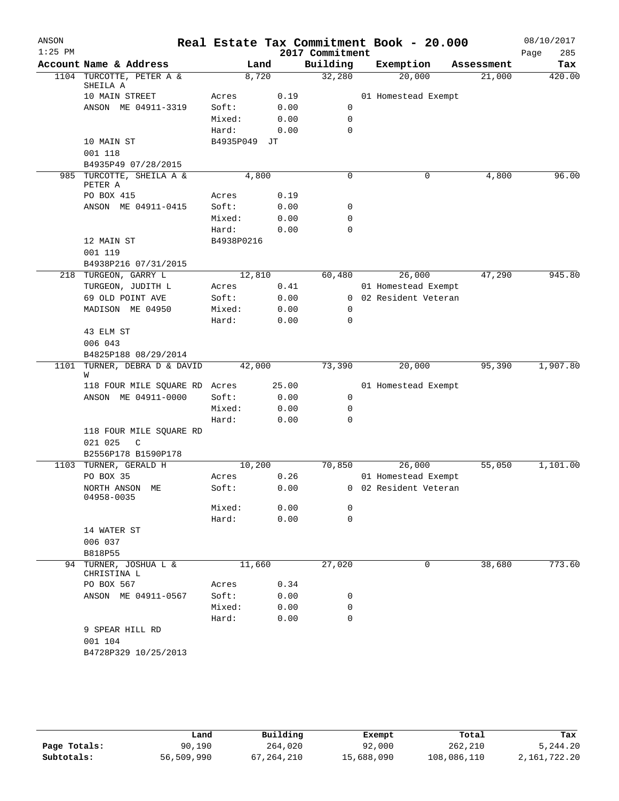| ANSON<br>$1:25$ PM |                                      |              |        |       | 2017 Commitment | Real Estate Tax Commitment Book - 20.000 |            | 08/10/2017<br>Page | 285    |
|--------------------|--------------------------------------|--------------|--------|-------|-----------------|------------------------------------------|------------|--------------------|--------|
|                    | Account Name & Address               |              | Land   |       | Building        | Exemption                                | Assessment |                    | Tax    |
|                    | 1104 TURCOTTE, PETER A &             |              | 8,720  |       | 32,280          | 20,000                                   | 21,000     |                    | 420.00 |
|                    | SHEILA A<br>10 MAIN STREET           | Acres        |        | 0.19  |                 | 01 Homestead Exempt                      |            |                    |        |
|                    | ANSON ME 04911-3319                  | Soft:        |        | 0.00  | 0               |                                          |            |                    |        |
|                    |                                      | Mixed:       |        | 0.00  | 0               |                                          |            |                    |        |
|                    |                                      | Hard:        |        | 0.00  | $\Omega$        |                                          |            |                    |        |
|                    | 10 MAIN ST                           | B4935P049 JT |        |       |                 |                                          |            |                    |        |
|                    | 001 118                              |              |        |       |                 |                                          |            |                    |        |
|                    | B4935P49 07/28/2015                  |              |        |       |                 |                                          |            |                    |        |
|                    | 985 TURCOTTE, SHEILA A &<br>PETER A  |              | 4,800  |       | 0               | 0                                        | 4,800      |                    | 96.00  |
|                    | PO BOX 415                           | Acres        |        | 0.19  |                 |                                          |            |                    |        |
|                    | ANSON ME 04911-0415                  | Soft:        |        | 0.00  | 0               |                                          |            |                    |        |
|                    |                                      | Mixed:       |        | 0.00  | 0               |                                          |            |                    |        |
|                    |                                      | Hard:        |        | 0.00  | 0               |                                          |            |                    |        |
|                    | 12 MAIN ST                           | B4938P0216   |        |       |                 |                                          |            |                    |        |
|                    | 001 119                              |              |        |       |                 |                                          |            |                    |        |
|                    | B4938P216 07/31/2015                 |              |        |       |                 |                                          |            |                    |        |
|                    | 218 TURGEON, GARRY L                 |              | 12,810 |       | 60,480          | 26,000                                   | 47,290     |                    | 945.80 |
|                    | TURGEON, JUDITH L                    | Acres        |        | 0.41  |                 | 01 Homestead Exempt                      |            |                    |        |
|                    | 69 OLD POINT AVE                     | Soft:        |        | 0.00  |                 | 0 02 Resident Veteran                    |            |                    |        |
|                    | MADISON ME 04950                     | Mixed:       |        | 0.00  | 0               |                                          |            |                    |        |
|                    |                                      | Hard:        |        | 0.00  | 0               |                                          |            |                    |        |
|                    | 43 ELM ST                            |              |        |       |                 |                                          |            |                    |        |
|                    | 006 043                              |              |        |       |                 |                                          |            |                    |        |
|                    | B4825P188 08/29/2014                 |              |        |       |                 |                                          |            |                    |        |
| 1101               | TURNER, DEBRA D & DAVID<br>W         |              | 42,000 |       | 73,390          | 20,000                                   | 95,390     | 1,907.80           |        |
|                    | 118 FOUR MILE SQUARE RD Acres        |              |        | 25.00 |                 | 01 Homestead Exempt                      |            |                    |        |
|                    | ANSON ME 04911-0000                  | Soft:        |        | 0.00  | 0               |                                          |            |                    |        |
|                    |                                      | Mixed:       |        | 0.00  | 0               |                                          |            |                    |        |
|                    |                                      | Hard:        |        | 0.00  | 0               |                                          |            |                    |        |
|                    | 118 FOUR MILE SQUARE RD              |              |        |       |                 |                                          |            |                    |        |
|                    | 021 025<br>C                         |              |        |       |                 |                                          |            |                    |        |
|                    | B2556P178 B1590P178                  |              |        |       |                 |                                          |            |                    |        |
|                    | 1103 TURNER, GERALD H                |              | 10,200 |       | 70,850          | 26,000                                   | 55,050     | 1,101.00           |        |
|                    | PO BOX 35                            | Acres        |        | 0.26  |                 | 01 Homestead Exempt                      |            |                    |        |
|                    | NORTH ANSON ME<br>04958-0035         | Soft:        |        | 0.00  |                 | 0 02 Resident Veteran                    |            |                    |        |
|                    |                                      | Mixed:       |        | 0.00  | 0               |                                          |            |                    |        |
|                    |                                      | Hard:        |        | 0.00  | 0               |                                          |            |                    |        |
|                    | 14 WATER ST                          |              |        |       |                 |                                          |            |                    |        |
|                    | 006 037                              |              |        |       |                 |                                          |            |                    |        |
|                    | B818P55                              |              |        |       |                 |                                          |            |                    |        |
|                    | 94 TURNER, JOSHUA L &<br>CHRISTINA L |              | 11,660 |       | 27,020          | 0                                        | 38,680     |                    | 773.60 |
|                    | PO BOX 567                           | Acres        |        | 0.34  |                 |                                          |            |                    |        |
|                    | ANSON ME 04911-0567                  | Soft:        |        | 0.00  | 0               |                                          |            |                    |        |
|                    |                                      | Mixed:       |        | 0.00  | 0               |                                          |            |                    |        |
|                    |                                      | Hard:        |        | 0.00  | 0               |                                          |            |                    |        |
|                    | 9 SPEAR HILL RD                      |              |        |       |                 |                                          |            |                    |        |
|                    | 001 104                              |              |        |       |                 |                                          |            |                    |        |
|                    | B4728P329 10/25/2013                 |              |        |       |                 |                                          |            |                    |        |
|                    |                                      |              |        |       |                 |                                          |            |                    |        |

**Page Totals:** 90,190 264,020 92,000 262,210 5,244.20<br>**Subtotals:** 56,509,990 67,264,210 15,688,090 108,086,110 2,161,722.20 **Subtotals:** 56,509,990 67,264,210 15,688,090 108,086,110 2,161,722.20 **Land Building Exempt Total Tax**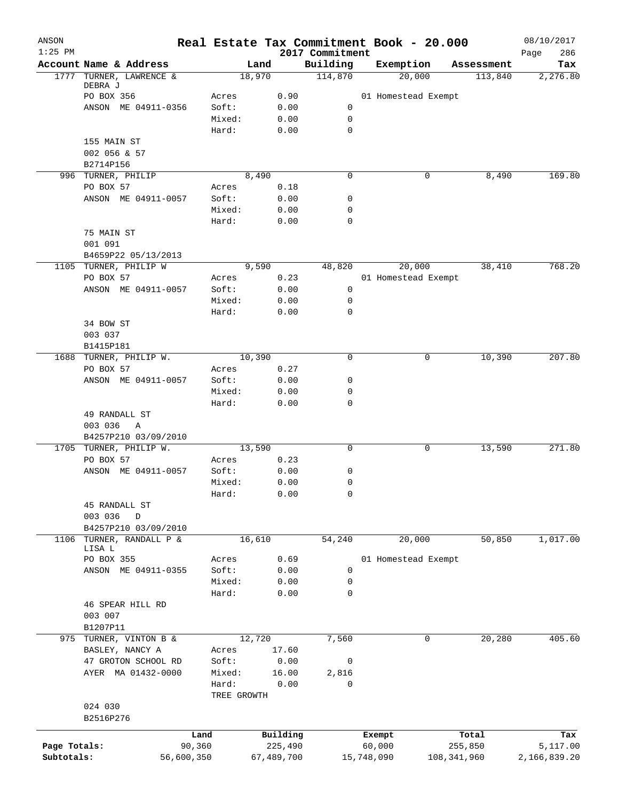| ANSON<br>$1:25$ PM |                                     |            |                 |            |         | 2017 Commitment | Real Estate Tax Commitment Book - 20.000 |               | 08/10/2017<br>286<br>Page |
|--------------------|-------------------------------------|------------|-----------------|------------|---------|-----------------|------------------------------------------|---------------|---------------------------|
|                    | Account Name & Address              |            |                 | Land       |         | Building        | Exemption                                | Assessment    | Tax                       |
| 1777               | TURNER, LAWRENCE &                  |            |                 | 18,970     |         | 114,870         | 20,000                                   | 113,840       | 2,276.80                  |
|                    | DEBRA J                             |            |                 |            |         |                 |                                          |               |                           |
|                    | PO BOX 356                          |            | Acres           |            | 0.90    |                 | 01 Homestead Exempt                      |               |                           |
|                    | ANSON ME 04911-0356                 |            | Soft:           |            | 0.00    | 0               |                                          |               |                           |
|                    |                                     |            | Mixed:          |            | 0.00    | 0               |                                          |               |                           |
|                    |                                     |            | Hard:           |            | 0.00    | $\mathbf 0$     |                                          |               |                           |
|                    | 155 MAIN ST                         |            |                 |            |         |                 |                                          |               |                           |
|                    | 002 056 & 57                        |            |                 |            |         |                 |                                          |               |                           |
|                    | B2714P156                           |            |                 |            |         |                 |                                          |               |                           |
|                    | 996 TURNER, PHILIP                  |            |                 | 8,490      |         | $\mathbf 0$     | 0                                        | 8,490         | 169.80                    |
|                    | PO BOX 57                           |            | Acres           |            | 0.18    |                 |                                          |               |                           |
|                    | ANSON ME 04911-0057                 |            | Soft:<br>Mixed: |            | 0.00    | 0<br>0          |                                          |               |                           |
|                    |                                     |            |                 |            | 0.00    | 0               |                                          |               |                           |
|                    |                                     |            | Hard:           |            | 0.00    |                 |                                          |               |                           |
|                    | 75 MAIN ST<br>001 091               |            |                 |            |         |                 |                                          |               |                           |
|                    | B4659P22 05/13/2013                 |            |                 |            |         |                 |                                          |               |                           |
|                    |                                     |            |                 | 9,590      |         |                 |                                          |               | 768.20                    |
|                    | 1105 TURNER, PHILIP W<br>PO BOX 57  |            |                 |            |         | 48,820          | 20,000                                   | 38,410        |                           |
|                    |                                     |            | Acres           |            | 0.23    |                 | 01 Homestead Exempt                      |               |                           |
|                    | ANSON ME 04911-0057                 |            | Soft:           |            | 0.00    | 0               |                                          |               |                           |
|                    |                                     |            | Mixed:          |            | 0.00    | 0<br>0          |                                          |               |                           |
|                    |                                     |            | Hard:           |            | 0.00    |                 |                                          |               |                           |
|                    | 34 BOW ST<br>003 037                |            |                 |            |         |                 |                                          |               |                           |
|                    |                                     |            |                 |            |         |                 |                                          |               |                           |
|                    | B1415P181<br>1688 TURNER, PHILIP W. |            |                 | 10,390     |         | 0               | 0                                        | 10,390        | 207.80                    |
|                    | PO BOX 57                           |            | Acres           |            | 0.27    |                 |                                          |               |                           |
|                    | ANSON ME 04911-0057                 |            | Soft:           |            | 0.00    | 0               |                                          |               |                           |
|                    |                                     |            | Mixed:          |            | 0.00    | 0               |                                          |               |                           |
|                    |                                     |            | Hard:           |            | 0.00    | 0               |                                          |               |                           |
|                    | 49 RANDALL ST                       |            |                 |            |         |                 |                                          |               |                           |
|                    | 003 036<br>Α                        |            |                 |            |         |                 |                                          |               |                           |
|                    | B4257P210 03/09/2010                |            |                 |            |         |                 |                                          |               |                           |
|                    | 1705 TURNER, PHILIP W.              |            |                 | 13,590     |         | 0               | 0                                        | 13,590        | 271.80                    |
|                    | PO BOX 57                           |            | Acres           |            | 0.23    |                 |                                          |               |                           |
|                    | ANSON ME 04911-0057                 |            | Soft:           |            | 0.00    | 0               |                                          |               |                           |
|                    |                                     |            | Mixed:          |            | 0.00    | 0               |                                          |               |                           |
|                    |                                     |            | Hard:           |            | 0.00    | 0               |                                          |               |                           |
|                    | 45 RANDALL ST                       |            |                 |            |         |                 |                                          |               |                           |
|                    | 003 036<br>D                        |            |                 |            |         |                 |                                          |               |                           |
|                    | B4257P210 03/09/2010                |            |                 |            |         |                 |                                          |               |                           |
| 1106               | TURNER, RANDALL P &                 |            |                 | 16,610     |         | 54,240          | 20,000                                   | 50,850        | 1,017.00                  |
|                    | LISA L                              |            |                 |            |         |                 |                                          |               |                           |
|                    | PO BOX 355                          |            | Acres           |            | 0.69    |                 | 01 Homestead Exempt                      |               |                           |
|                    | ANSON ME 04911-0355                 |            | Soft:           |            | 0.00    | 0               |                                          |               |                           |
|                    |                                     |            | Mixed:          |            | 0.00    | 0               |                                          |               |                           |
|                    |                                     |            | Hard:           |            | 0.00    | 0               |                                          |               |                           |
|                    | 46 SPEAR HILL RD                    |            |                 |            |         |                 |                                          |               |                           |
|                    | 003 007                             |            |                 |            |         |                 |                                          |               |                           |
|                    | B1207P11                            |            |                 |            |         |                 |                                          |               |                           |
| 975                | TURNER, VINTON B &                  |            |                 | 12,720     |         | 7,560           | 0                                        | 20,280        | 405.60                    |
|                    | BASLEY, NANCY A                     |            | Acres           |            | 17.60   |                 |                                          |               |                           |
|                    | 47 GROTON SCHOOL RD                 |            | Soft:           |            | 0.00    | 0               |                                          |               |                           |
|                    | AYER MA 01432-0000                  |            | Mixed:          |            | 16.00   | 2,816           |                                          |               |                           |
|                    |                                     |            | Hard:           |            | 0.00    | 0               |                                          |               |                           |
|                    |                                     |            | TREE GROWTH     |            |         |                 |                                          |               |                           |
|                    | 024 030                             |            |                 |            |         |                 |                                          |               |                           |
|                    | B2516P276                           |            |                 |            |         |                 |                                          |               |                           |
|                    |                                     | Land       |                 | Building   |         |                 | Exempt                                   | Total         | Tax                       |
| Page Totals:       |                                     | 90,360     |                 |            | 225,490 |                 | 60,000                                   | 255,850       | 5,117.00                  |
| Subtotals:         |                                     | 56,600,350 |                 | 67,489,700 |         |                 | 15,748,090                               | 108, 341, 960 | 2,166,839.20              |
|                    |                                     |            |                 |            |         |                 |                                          |               |                           |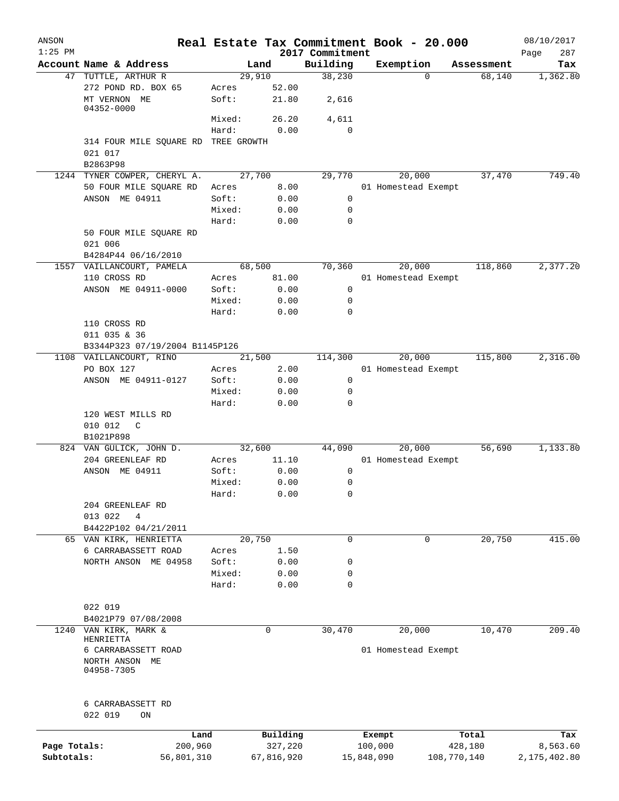| ANSON        |                                                     |                 |                     |                    | Real Estate Tax Commitment Book - 20.000 |                      | 08/10/2017               |
|--------------|-----------------------------------------------------|-----------------|---------------------|--------------------|------------------------------------------|----------------------|--------------------------|
| $1:25$ PM    | Account Name & Address                              |                 |                     | 2017 Commitment    |                                          |                      | 287<br>Page              |
| 47           | TUTTLE, ARTHUR R                                    |                 | Land<br>29,910      | Building<br>38,230 | Exemption<br>$\Omega$                    | Assessment<br>68,140 | Tax<br>1,362.80          |
|              | 272 POND RD. BOX 65                                 | Acres           | 52.00               |                    |                                          |                      |                          |
|              | MT VERNON ME<br>04352-0000                          | Soft:           | 21.80               | 2,616              |                                          |                      |                          |
|              |                                                     | Mixed:          | 26.20               | 4,611              |                                          |                      |                          |
|              |                                                     | Hard:           | 0.00                | 0                  |                                          |                      |                          |
|              | 314 FOUR MILE SQUARE RD TREE GROWTH<br>021 017      |                 |                     |                    |                                          |                      |                          |
|              | B2863P98                                            |                 |                     |                    |                                          |                      |                          |
|              | 1244 TYNER COWPER, CHERYL A.                        |                 | 27,700              | 29,770             | 20,000                                   | 37,470               | 749.40                   |
|              | 50 FOUR MILE SQUARE RD                              | Acres           | 8.00                |                    | 01 Homestead Exempt                      |                      |                          |
|              | ANSON ME 04911                                      | Soft:           | 0.00                | 0<br>0             |                                          |                      |                          |
|              |                                                     | Mixed:<br>Hard: | 0.00<br>0.00        | 0                  |                                          |                      |                          |
|              | 50 FOUR MILE SQUARE RD                              |                 |                     |                    |                                          |                      |                          |
|              | 021 006<br>B4284P44 06/16/2010                      |                 |                     |                    |                                          |                      |                          |
|              | 1557 VAILLANCOURT, PAMELA                           |                 | 68,500              | 70,360             | 20,000                                   | 118,860              | 2,377.20                 |
|              | 110 CROSS RD                                        | Acres           | 81.00               |                    | 01 Homestead Exempt                      |                      |                          |
|              | ANSON ME 04911-0000                                 | Soft:           | 0.00                | 0                  |                                          |                      |                          |
|              |                                                     | Mixed:          | 0.00                | 0                  |                                          |                      |                          |
|              |                                                     | Hard:           | 0.00                | 0                  |                                          |                      |                          |
|              | 110 CROSS RD                                        |                 |                     |                    |                                          |                      |                          |
|              | 011 035 & 36                                        |                 |                     |                    |                                          |                      |                          |
|              | B3344P323 07/19/2004 B1145P126                      |                 |                     |                    |                                          |                      |                          |
|              | 1108 VAILLANCOURT, RINO                             |                 | 21,500              | 114,300            | 20,000                                   | 115,800              | 2,316.00                 |
|              | PO BOX 127                                          | Acres           | 2.00                |                    | 01 Homestead Exempt                      |                      |                          |
|              | ANSON ME 04911-0127                                 | Soft:           | 0.00                | 0                  |                                          |                      |                          |
|              |                                                     | Mixed:          | 0.00                | 0                  |                                          |                      |                          |
|              |                                                     | Hard:           | 0.00                | 0                  |                                          |                      |                          |
|              | 120 WEST MILLS RD<br>010 012<br>C<br>B1021P898      |                 |                     |                    |                                          |                      |                          |
|              | 824 VAN GULICK, JOHN D.                             |                 | 32,600              | 44,090             | 20,000                                   | 56,690               | 1,133.80                 |
|              | 204 GREENLEAF RD                                    | Acres           | 11.10               |                    | 01 Homestead Exempt                      |                      |                          |
|              | ANSON ME 04911                                      | Soft:           | 0.00                | 0                  |                                          |                      |                          |
|              |                                                     | Mixed:          | 0.00                | 0                  |                                          |                      |                          |
|              |                                                     | Hard:           | 0.00                | 0                  |                                          |                      |                          |
|              | 204 GREENLEAF RD<br>013 022<br>4                    |                 |                     |                    |                                          |                      |                          |
|              | B4422P102 04/21/2011                                |                 |                     |                    |                                          |                      |                          |
| 65           | VAN KIRK, HENRIETTA                                 |                 | 20,750              | $\mathbf 0$        | 0                                        | 20,750               | 415.00                   |
|              | 6 CARRABASSETT ROAD                                 | Acres           | 1.50                |                    |                                          |                      |                          |
|              | NORTH ANSON ME 04958                                | Soft:<br>Mixed: | 0.00                | 0                  |                                          |                      |                          |
|              |                                                     | Hard:           | 0.00<br>0.00        | 0<br>0             |                                          |                      |                          |
|              | 022 019                                             |                 |                     |                    |                                          |                      |                          |
|              | B4021P79 07/08/2008                                 |                 |                     |                    |                                          |                      |                          |
| 1240         | VAN KIRK, MARK &<br>HENRIETTA                       |                 | $\mathbf 0$         | 30,470             | 20,000                                   | 10,470               | 209.40                   |
|              | 6 CARRABASSETT ROAD<br>NORTH ANSON ME<br>04958-7305 |                 |                     |                    | 01 Homestead Exempt                      |                      |                          |
|              | 6 CARRABASSETT RD<br>022 019<br>ON                  |                 |                     |                    |                                          |                      |                          |
|              |                                                     |                 |                     |                    |                                          |                      |                          |
| Page Totals: | Land<br>200,960                                     |                 | Building<br>327,220 |                    | Exempt                                   | Total<br>428,180     | Tax                      |
| Subtotals:   | 56,801,310                                          |                 | 67,816,920          |                    | 100,000<br>15,848,090                    | 108,770,140          | 8,563.60<br>2,175,402.80 |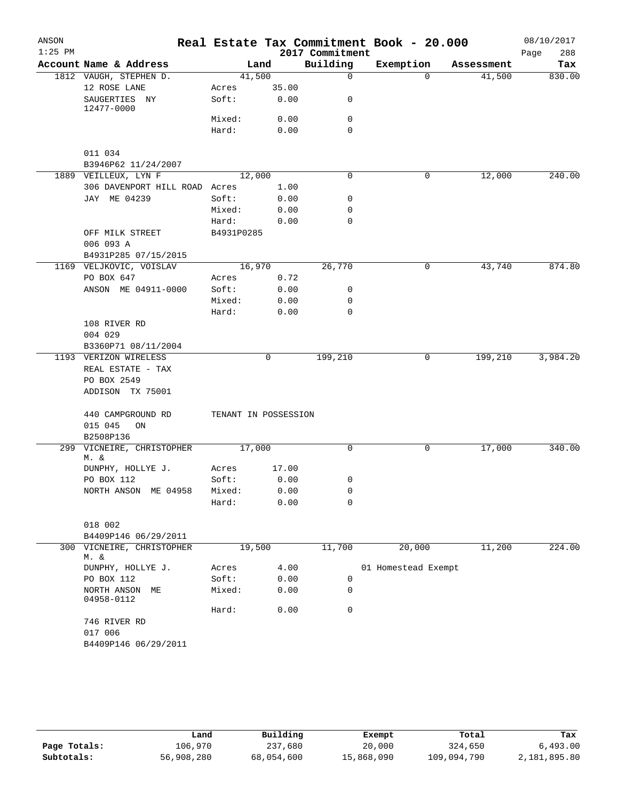| ANSON     |                                |            |                      |                 | Real Estate Tax Commitment Book - 20.000 |            | 08/10/2017  |
|-----------|--------------------------------|------------|----------------------|-----------------|------------------------------------------|------------|-------------|
| $1:25$ PM |                                |            |                      | 2017 Commitment |                                          |            | 288<br>Page |
|           | Account Name & Address         |            | Land                 | Building        | Exemption                                | Assessment | Tax         |
|           | 1812 VAUGH, STEPHEN D.         |            | 41,500               | $\Omega$        | $\Omega$                                 | 41,500     | 830.00      |
|           | 12 ROSE LANE                   | Acres      | 35.00                |                 |                                          |            |             |
|           | SAUGERTIES NY<br>12477-0000    | Soft:      | 0.00                 | 0               |                                          |            |             |
|           |                                | Mixed:     | 0.00                 | $\mathbf 0$     |                                          |            |             |
|           |                                | Hard:      | 0.00                 | $\Omega$        |                                          |            |             |
|           | 011 034<br>B3946P62 11/24/2007 |            |                      |                 |                                          |            |             |
|           | 1889 VEILLEUX, LYN F           |            | 12,000               | 0               | 0                                        | 12,000     | 240.00      |
|           | 306 DAVENPORT HILL ROAD Acres  |            | 1.00                 |                 |                                          |            |             |
|           | JAY ME 04239                   | Soft:      | 0.00                 | $\mathbf 0$     |                                          |            |             |
|           |                                | Mixed:     | 0.00                 | 0               |                                          |            |             |
|           |                                | Hard:      | 0.00                 | 0               |                                          |            |             |
|           | OFF MILK STREET                | B4931P0285 |                      |                 |                                          |            |             |
|           | 006 093 A                      |            |                      |                 |                                          |            |             |
|           | B4931P285 07/15/2015           |            |                      |                 |                                          |            |             |
|           | 1169 VELJKOVIC, VOISLAV        |            | 16,970               | 26,770          | 0                                        | 43,740     | 874.80      |
|           | PO BOX 647                     | Acres      | 0.72                 |                 |                                          |            |             |
|           | ANSON ME 04911-0000            | Soft:      | 0.00                 | 0               |                                          |            |             |
|           |                                | Mixed:     | 0.00                 | $\mathbf 0$     |                                          |            |             |
|           |                                | Hard:      | 0.00                 | $\mathbf 0$     |                                          |            |             |
|           | 108 RIVER RD                   |            |                      |                 |                                          |            |             |
|           | 004 029                        |            |                      |                 |                                          |            |             |
|           | B3360P71 08/11/2004            |            |                      |                 |                                          |            |             |
|           | 1193 VERIZON WIRELESS          |            | $\mathbf 0$          | 199,210         | 0                                        | 199,210    | 3,984.20    |
|           | REAL ESTATE - TAX              |            |                      |                 |                                          |            |             |
|           | PO BOX 2549                    |            |                      |                 |                                          |            |             |
|           | ADDISON TX 75001               |            |                      |                 |                                          |            |             |
|           |                                |            |                      |                 |                                          |            |             |
|           | 440 CAMPGROUND RD              |            | TENANT IN POSSESSION |                 |                                          |            |             |
|           | 015 045<br>ON                  |            |                      |                 |                                          |            |             |
|           | B2508P136                      |            |                      |                 |                                          |            |             |
| 299       | VICNEIRE, CHRISTOPHER          | 17,000     |                      | 0               | 0                                        | 17,000     | 340.00      |
|           | M. &                           |            |                      |                 |                                          |            |             |
|           | DUNPHY, HOLLYE J.              | Acres      | 17.00                |                 |                                          |            |             |
|           | PO BOX 112                     | Soft:      | 0.00                 | 0               |                                          |            |             |
|           | NORTH ANSON ME 04958           | Mixed:     | 0.00                 | 0               |                                          |            |             |
|           |                                | Hard:      | 0.00                 | 0               |                                          |            |             |
|           | 018 002                        |            |                      |                 |                                          |            |             |
|           | B4409P146 06/29/2011           |            |                      |                 |                                          |            |             |
|           | 300 VICNEIRE, CHRISTOPHER      |            | 19,500               | 11,700          | 20,000                                   | 11,200     | 224.00      |
|           | M. &                           |            |                      |                 |                                          |            |             |
|           | DUNPHY, HOLLYE J.              | Acres      | 4.00                 |                 | 01 Homestead Exempt                      |            |             |
|           | PO BOX 112                     | Soft:      | 0.00                 | $\mathbf 0$     |                                          |            |             |
|           | NORTH ANSON ME                 | Mixed:     | 0.00                 | 0               |                                          |            |             |
|           | 04958-0112                     |            |                      |                 |                                          |            |             |
|           |                                | Hard:      | 0.00                 | 0               |                                          |            |             |
|           | 746 RIVER RD                   |            |                      |                 |                                          |            |             |
|           | 017 006                        |            |                      |                 |                                          |            |             |
|           | B4409P146 06/29/2011           |            |                      |                 |                                          |            |             |
|           |                                |            |                      |                 |                                          |            |             |

|              | úand       | Building   | Exempt     | Total       | Tax          |
|--------------|------------|------------|------------|-------------|--------------|
| Page Totals: | 106,970    | 237,680    | 20,000     | 324,650     | 6,493.00     |
| Subtotals:   | 56,908,280 | 68,054,600 | 15,868,090 | 109,094,790 | 2,181,895.80 |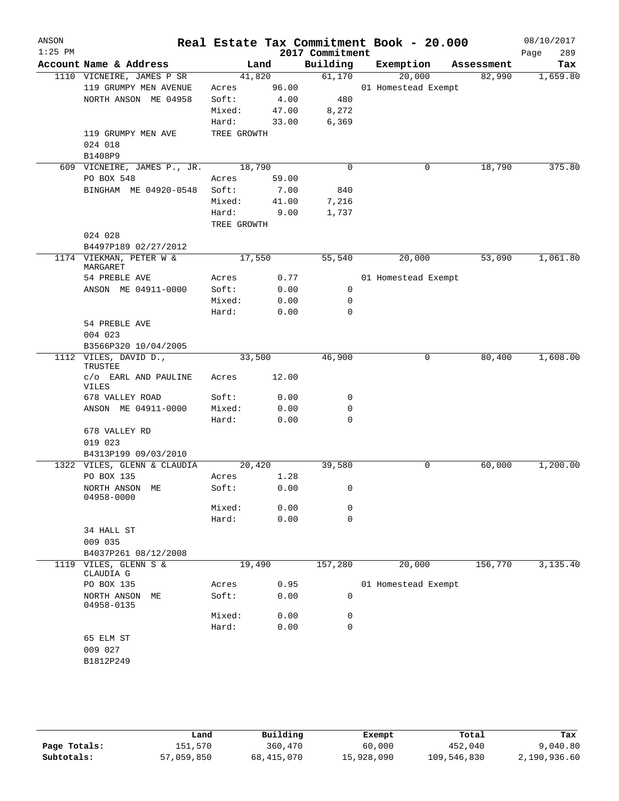| ANSON<br>$1:25$ PM |                                     |             |       | 2017 Commitment | Real Estate Tax Commitment Book - 20.000 |            | 08/10/2017<br>289<br>Page |
|--------------------|-------------------------------------|-------------|-------|-----------------|------------------------------------------|------------|---------------------------|
|                    | Account Name & Address              | Land        |       | Building        | Exemption                                | Assessment | Tax                       |
|                    | 1110 VICNEIRE, JAMES P SR           | 41,820      |       | 61,170          | 20,000                                   | 82,990     | 1,659.80                  |
|                    | 119 GRUMPY MEN AVENUE               | Acres       | 96.00 |                 | 01 Homestead Exempt                      |            |                           |
|                    | NORTH ANSON ME 04958                | Soft:       | 4.00  | 480             |                                          |            |                           |
|                    |                                     | Mixed:      | 47.00 | 8,272           |                                          |            |                           |
|                    |                                     | Hard:       | 33.00 | 6,369           |                                          |            |                           |
|                    | 119 GRUMPY MEN AVE                  | TREE GROWTH |       |                 |                                          |            |                           |
|                    | 024 018                             |             |       |                 |                                          |            |                           |
|                    | B1408P9                             |             |       |                 |                                          |            |                           |
|                    | 609 VICNEIRE, JAMES P., JR.         | 18,790      |       | $\mathbf 0$     | 0                                        | 18,790     | 375.80                    |
|                    | PO BOX 548                          | Acres       | 59.00 |                 |                                          |            |                           |
|                    | BINGHAM ME 04920-0548               | Soft:       | 7.00  | 840             |                                          |            |                           |
|                    |                                     | Mixed:      | 41.00 | 7,216           |                                          |            |                           |
|                    |                                     | Hard:       | 9.00  | 1,737           |                                          |            |                           |
|                    |                                     | TREE GROWTH |       |                 |                                          |            |                           |
|                    | 024 028                             |             |       |                 |                                          |            |                           |
|                    | B4497P189 02/27/2012                |             |       |                 |                                          |            |                           |
|                    | 1174 VIEKMAN, PETER W &<br>MARGARET | 17,550      |       | 55,540          | 20,000                                   | 53,090     | 1,061.80                  |
|                    | 54 PREBLE AVE                       | Acres       | 0.77  |                 | 01 Homestead Exempt                      |            |                           |
|                    | ANSON ME 04911-0000                 | Soft:       | 0.00  | 0               |                                          |            |                           |
|                    |                                     | Mixed:      | 0.00  | 0               |                                          |            |                           |
|                    |                                     | Hard:       | 0.00  | $\mathbf 0$     |                                          |            |                           |
|                    | 54 PREBLE AVE                       |             |       |                 |                                          |            |                           |
|                    | 004 023                             |             |       |                 |                                          |            |                           |
|                    | B3566P320 10/04/2005                |             |       |                 |                                          |            |                           |
|                    | 1112 VILES, DAVID D.,<br>TRUSTEE    | 33,500      |       | 46,900          | 0                                        | 80,400     | 1,608.00                  |
|                    | c/o EARL AND PAULINE<br>VILES       | Acres       | 12.00 |                 |                                          |            |                           |
|                    | 678 VALLEY ROAD                     | Soft:       | 0.00  | 0               |                                          |            |                           |
|                    | ANSON ME 04911-0000                 | Mixed:      | 0.00  | 0               |                                          |            |                           |
|                    |                                     | Hard:       | 0.00  | $\mathbf 0$     |                                          |            |                           |
|                    | 678 VALLEY RD                       |             |       |                 |                                          |            |                           |
|                    | 019 023                             |             |       |                 |                                          |            |                           |
|                    | B4313P199 09/03/2010                |             |       |                 |                                          |            |                           |
|                    | 1322 VILES, GLENN & CLAUDIA         | 20,420      |       | 39,580          | 0                                        | 60,000     | 1,200.00                  |
|                    | PO BOX 135                          | Acres       | 1.28  |                 |                                          |            |                           |
|                    | NORTH ANSON ME<br>04958-0000        | Soft:       | 0.00  | 0               |                                          |            |                           |
|                    |                                     | Mixed:      | 0.00  | 0               |                                          |            |                           |
|                    |                                     | Hard:       | 0.00  | $\mathbf 0$     |                                          |            |                           |
|                    | 34 HALL ST                          |             |       |                 |                                          |            |                           |
|                    | 009 035                             |             |       |                 |                                          |            |                           |
|                    | B4037P261 08/12/2008                |             |       |                 |                                          |            |                           |
|                    | 1119 VILES, GLENN S &<br>CLAUDIA G  | 19,490      |       | 157,280         | 20,000                                   | 156,770    | 3,135.40                  |
|                    | PO BOX 135                          | Acres       | 0.95  |                 | 01 Homestead Exempt                      |            |                           |
|                    | NORTH ANSON<br>МE<br>04958-0135     | Soft:       | 0.00  | 0               |                                          |            |                           |
|                    |                                     | Mixed:      | 0.00  | 0               |                                          |            |                           |
|                    |                                     | Hard:       | 0.00  | 0               |                                          |            |                           |
|                    | 65 ELM ST                           |             |       |                 |                                          |            |                           |
|                    | 009 027                             |             |       |                 |                                          |            |                           |
|                    | B1812P249                           |             |       |                 |                                          |            |                           |
|                    |                                     |             |       |                 |                                          |            |                           |
|                    |                                     |             |       |                 |                                          |            |                           |
|                    |                                     |             |       |                 |                                          |            |                           |

|              | Land       | Building   | Exempt     | Total       | Tax          |
|--------------|------------|------------|------------|-------------|--------------|
| Page Totals: | 151,570    | 360,470    | 60,000     | 452,040     | 9,040.80     |
| Subtotals:   | 57,059,850 | 68,415,070 | 15,928,090 | 109,546,830 | 2,190,936.60 |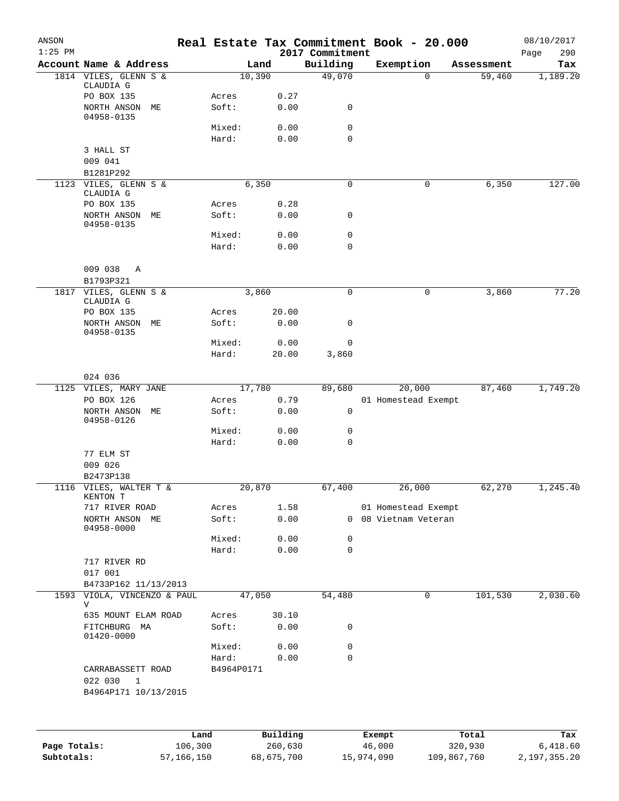| ANSON<br>$1:25$ PM |                                     |                 |                | 2017 Commitment  | Real Estate Tax Commitment Book - 20.000 |              | 08/10/2017<br>Page<br>290 |
|--------------------|-------------------------------------|-----------------|----------------|------------------|------------------------------------------|--------------|---------------------------|
|                    | Account Name & Address              |                 | Land           | Building         | Exemption                                | Assessment   | Tax                       |
|                    | 1814 VILES, GLENN S &               |                 | 10,390         | 49,070           |                                          | 59,460<br>0  | 1,189.20                  |
|                    | CLAUDIA G<br>PO BOX 135             | Acres           | 0.27           |                  |                                          |              |                           |
|                    | NORTH ANSON<br>MЕ                   | Soft:           | 0.00           | 0                |                                          |              |                           |
|                    | 04958-0135                          | Mixed:          | 0.00           | 0                |                                          |              |                           |
|                    |                                     | Hard:           | 0.00           | $\mathbf 0$      |                                          |              |                           |
|                    | 3 HALL ST                           |                 |                |                  |                                          |              |                           |
|                    | 009 041                             |                 |                |                  |                                          |              |                           |
|                    | B1281P292                           |                 |                |                  |                                          |              |                           |
|                    | 1123 VILES, GLENN S &<br>CLAUDIA G  |                 | 6,350          | 0                | 0                                        | 6,350        | 127.00                    |
|                    | PO BOX 135                          | Acres           | 0.28           |                  |                                          |              |                           |
|                    | NORTH ANSON<br>MЕ                   | Soft:           | 0.00           | 0                |                                          |              |                           |
|                    | 04958-0135                          | Mixed:          | 0.00           | 0                |                                          |              |                           |
|                    |                                     | Hard:           | 0.00           | $\mathbf 0$      |                                          |              |                           |
|                    |                                     |                 |                |                  |                                          |              |                           |
|                    | 009 038<br>Α                        |                 |                |                  |                                          |              |                           |
|                    | B1793P321<br>1817 VILES, GLENN S &  |                 | 3,860          | 0                |                                          | 0            | 77.20                     |
|                    | CLAUDIA G                           |                 |                |                  |                                          | 3,860        |                           |
|                    | PO BOX 135                          | Acres           | 20.00          |                  |                                          |              |                           |
|                    | NORTH ANSON<br>MЕ                   | Soft:           | 0.00           | 0                |                                          |              |                           |
|                    | 04958-0135                          | Mixed:          | 0.00           | 0                |                                          |              |                           |
|                    |                                     | Hard:           | 20.00          | 3,860            |                                          |              |                           |
|                    |                                     |                 |                |                  |                                          |              |                           |
|                    | 024 036                             |                 |                |                  |                                          |              |                           |
|                    | 1125 VILES, MARY JANE<br>PO BOX 126 | Acres           | 17,780<br>0.79 | 89,680           | 20,000<br>01 Homestead Exempt            | 87,460       | 1,749.20                  |
|                    | NORTH ANSON<br>MЕ                   | Soft:           | 0.00           | 0                |                                          |              |                           |
|                    | 04958-0126                          |                 |                |                  |                                          |              |                           |
|                    |                                     | Mixed:          | 0.00           | 0                |                                          |              |                           |
|                    | 77 ELM ST                           | Hard:           | 0.00           | 0                |                                          |              |                           |
|                    | 009 026                             |                 |                |                  |                                          |              |                           |
|                    | B2473P138                           |                 |                |                  |                                          |              |                           |
| 1116               | VILES, WALTER T &                   |                 | 20,870         | 67,400           | 26,000                                   | 62,270       | 1,245.40                  |
|                    | KENTON T<br>717 RIVER ROAD          | Acres           | 1.58           |                  | 01 Homestead Exempt                      |              |                           |
|                    | NORTH ANSON ME                      | Soft:           | 0.00           |                  | 0 08 Vietnam Veteran                     |              |                           |
|                    | 04958-0000                          |                 |                |                  |                                          |              |                           |
|                    |                                     | Mixed:<br>Hard: | 0.00<br>0.00   | 0<br>$\mathbf 0$ |                                          |              |                           |
|                    | 717 RIVER RD                        |                 |                |                  |                                          |              |                           |
|                    | 017 001                             |                 |                |                  |                                          |              |                           |
|                    | B4733P162 11/13/2013                |                 |                |                  |                                          |              |                           |
| 1593               | VIOLA, VINCENZO & PAUL<br>V         |                 | 47,050         | 54,480           |                                          | 101,530<br>0 | 2,030.60                  |
|                    | 635 MOUNT ELAM ROAD                 | Acres           | 30.10          |                  |                                          |              |                           |
|                    | FITCHBURG MA                        | Soft:           | 0.00           | 0                |                                          |              |                           |
|                    | 01420-0000                          |                 |                |                  |                                          |              |                           |
|                    |                                     | Mixed:<br>Hard: | 0.00<br>0.00   | 0<br>$\mathbf 0$ |                                          |              |                           |
|                    | CARRABASSETT ROAD                   | B4964P0171      |                |                  |                                          |              |                           |
|                    | 022 030<br>$\mathbf{1}$             |                 |                |                  |                                          |              |                           |
|                    | B4964P171 10/13/2015                |                 |                |                  |                                          |              |                           |
|                    |                                     |                 |                |                  |                                          |              |                           |
|                    |                                     | Land            | Building       |                  | Exempt                                   | Total        | Tax                       |
| Page Totals:       |                                     | 106,300         | 260,630        |                  | 46,000                                   | 320,930      | 6,418.60                  |
| Subtotals:         |                                     | 57,166,150      | 68,675,700     |                  | 15,974,090                               | 109,867,760  | 2, 197, 355. 20           |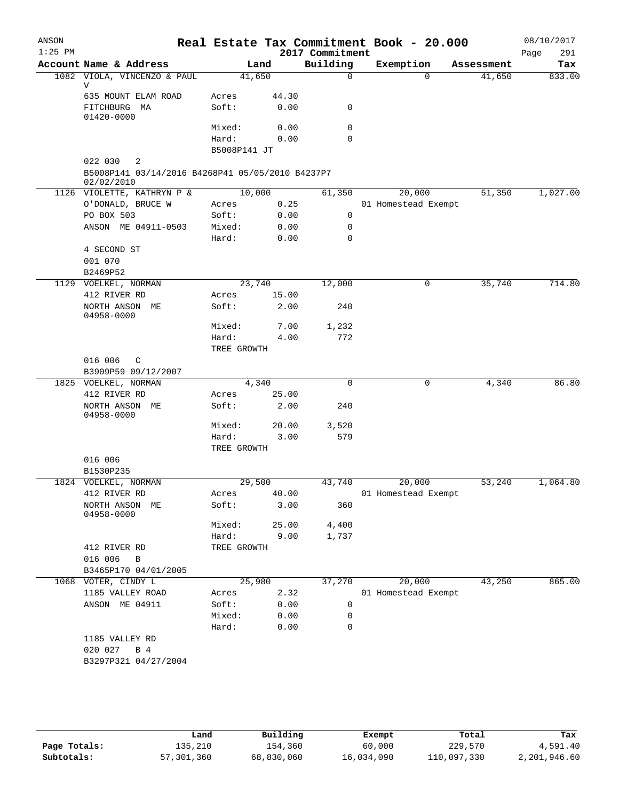| ANSON<br>$1:25$ PM |                                                                |                       |               | 2017 Commitment | Real Estate Tax Commitment Book - 20.000 |            | 08/10/2017<br>291<br>Page |
|--------------------|----------------------------------------------------------------|-----------------------|---------------|-----------------|------------------------------------------|------------|---------------------------|
|                    | Account Name & Address                                         |                       | Land          | Building        | Exemption                                | Assessment | Tax                       |
|                    | 1082 VIOLA, VINCENZO & PAUL<br>V                               |                       | 41,650        | $\mathbf 0$     | $\Omega$                                 | 41,650     | 833.00                    |
|                    | 635 MOUNT ELAM ROAD<br>FITCHBURG MA                            | Acres<br>Soft:        | 44.30<br>0.00 | $\mathbf 0$     |                                          |            |                           |
|                    | 01420-0000                                                     |                       |               |                 |                                          |            |                           |
|                    |                                                                | Mixed:                | 0.00          | $\mathbf 0$     |                                          |            |                           |
|                    |                                                                | Hard:<br>B5008P141 JT | 0.00          | $\mathbf 0$     |                                          |            |                           |
|                    | 022 030<br>2                                                   |                       |               |                 |                                          |            |                           |
|                    | B5008P141 03/14/2016 B4268P41 05/05/2010 B4237P7<br>02/02/2010 |                       |               |                 |                                          |            |                           |
|                    | 1126 VIOLETTE, KATHRYN P &                                     |                       | 10,000        | 61,350          | 20,000                                   | 51,350     | 1,027.00                  |
|                    | O'DONALD, BRUCE W                                              | Acres                 | 0.25          |                 | 01 Homestead Exempt                      |            |                           |
|                    | PO BOX 503                                                     | Soft:                 | 0.00          | 0               |                                          |            |                           |
|                    | ANSON ME 04911-0503                                            | Mixed:                | 0.00          | 0               |                                          |            |                           |
|                    |                                                                | Hard:                 | 0.00          | $\mathbf 0$     |                                          |            |                           |
|                    | 4 SECOND ST                                                    |                       |               |                 |                                          |            |                           |
|                    | 001 070                                                        |                       |               |                 |                                          |            |                           |
|                    | B2469P52                                                       |                       |               |                 |                                          |            |                           |
|                    | 1129 VOELKEL, NORMAN                                           |                       | 23,740        | 12,000          | 0                                        | 35,740     | 714.80                    |
|                    | 412 RIVER RD                                                   | Acres                 | 15.00         |                 |                                          |            |                           |
|                    | NORTH ANSON ME<br>04958-0000                                   | Soft:                 | 2.00          | 240             |                                          |            |                           |
|                    |                                                                | Mixed:                | 7.00          | 1,232           |                                          |            |                           |
|                    |                                                                | Hard:                 | 4.00          | 772             |                                          |            |                           |
|                    |                                                                | TREE GROWTH           |               |                 |                                          |            |                           |
|                    | 016 006<br>C                                                   |                       |               |                 |                                          |            |                           |
|                    | B3909P59 09/12/2007<br>1825 VOELKEL, NORMAN                    |                       | 4,340         | $\Omega$        | $\mathbf 0$                              | 4,340      | 86.80                     |
|                    | 412 RIVER RD                                                   | Acres                 | 25.00         |                 |                                          |            |                           |
|                    | NORTH ANSON ME<br>04958-0000                                   | Soft:                 | 2.00          | 240             |                                          |            |                           |
|                    |                                                                | Mixed:                | 20.00         | 3,520           |                                          |            |                           |
|                    |                                                                | Hard:                 | 3.00          | 579             |                                          |            |                           |
|                    |                                                                | TREE GROWTH           |               |                 |                                          |            |                           |
|                    | 016 006                                                        |                       |               |                 |                                          |            |                           |
|                    | B1530P235                                                      |                       |               |                 |                                          |            |                           |
|                    | 1824 VOELKEL, NORMAN                                           |                       | 29,500        | 43,740          | 20,000                                   | 53,240     | 1,064.80                  |
|                    | 412 RIVER RD                                                   | Acres                 | 40.00         |                 | 01 Homestead Exempt                      |            |                           |
|                    | NORTH ANSON ME<br>04958-0000                                   | Soft:                 | 3.00          | 360             |                                          |            |                           |
|                    |                                                                | Mixed:                | 25.00         | 4,400           |                                          |            |                           |
|                    |                                                                | Hard:                 | 9.00          | 1,737           |                                          |            |                           |
|                    | 412 RIVER RD                                                   | TREE GROWTH           |               |                 |                                          |            |                           |
|                    | 016 006<br>B                                                   |                       |               |                 |                                          |            |                           |
|                    | B3465P170 04/01/2005                                           |                       |               |                 |                                          |            |                           |
|                    | 1068 VOTER, CINDY L                                            |                       | 25,980        | 37,270          | 20,000                                   | 43,250     | 865.00                    |
|                    | 1185 VALLEY ROAD                                               | Acres                 | 2.32          |                 | 01 Homestead Exempt                      |            |                           |
|                    | ANSON ME 04911                                                 | Soft:                 | 0.00          | 0               |                                          |            |                           |
|                    |                                                                | Mixed:                | 0.00          | 0               |                                          |            |                           |
|                    |                                                                | Hard:                 | 0.00          | 0               |                                          |            |                           |
|                    | 1185 VALLEY RD<br>020 027<br>B 4                               |                       |               |                 |                                          |            |                           |
|                    | B3297P321 04/27/2004                                           |                       |               |                 |                                          |            |                           |

|              | Land       | Building   | Exempt     | Total       | Tax          |
|--------------|------------|------------|------------|-------------|--------------|
| Page Totals: | 135,210    | 154,360    | 60,000     | 229,570     | 4,591.40     |
| Subtotals:   | 57,301,360 | 68,830,060 | 16,034,090 | 110,097,330 | 2,201,946.60 |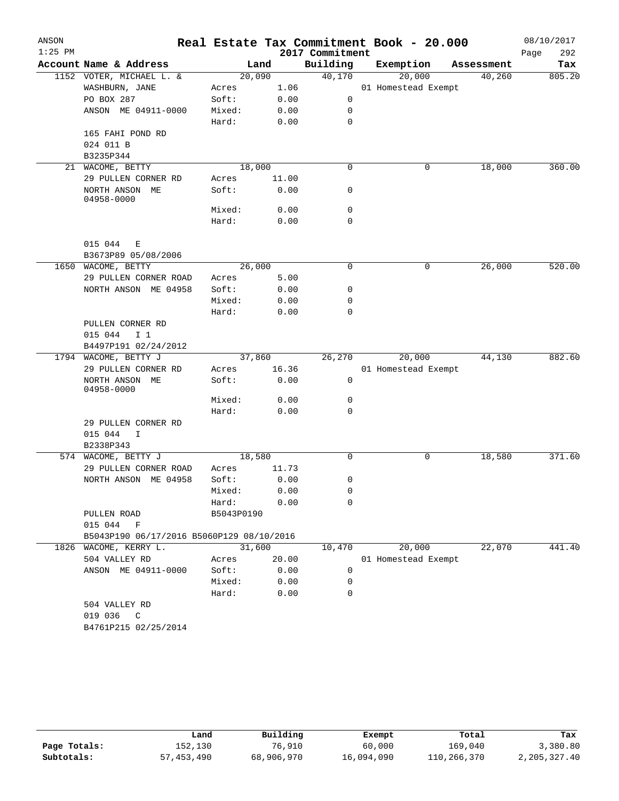| ANSON<br>$1:25$ PM |                                           |            |       | 2017 Commitment | Real Estate Tax Commitment Book - 20.000 |            | 08/10/2017<br>292<br>Page |
|--------------------|-------------------------------------------|------------|-------|-----------------|------------------------------------------|------------|---------------------------|
|                    | Account Name & Address                    |            | Land  | Building        | Exemption                                | Assessment | Tax                       |
|                    | 1152 VOTER, MICHAEL L. &                  | 20,090     |       | 40,170          | 20,000                                   | 40,260     | 805.20                    |
|                    | WASHBURN, JANE                            | Acres      | 1.06  |                 | 01 Homestead Exempt                      |            |                           |
|                    | PO BOX 287                                | Soft:      | 0.00  | 0               |                                          |            |                           |
|                    | ANSON ME 04911-0000                       | Mixed:     | 0.00  | 0               |                                          |            |                           |
|                    |                                           | Hard:      | 0.00  | 0               |                                          |            |                           |
|                    | 165 FAHI POND RD                          |            |       |                 |                                          |            |                           |
|                    | 024 011 B                                 |            |       |                 |                                          |            |                           |
|                    | B3235P344                                 |            |       |                 |                                          |            |                           |
| 21                 | WACOME, BETTY                             | 18,000     |       | $\mathbf 0$     | 0                                        | 18,000     | 360.00                    |
|                    | 29 PULLEN CORNER RD                       | Acres      | 11.00 |                 |                                          |            |                           |
|                    | NORTH ANSON ME<br>04958-0000              | Soft:      | 0.00  | 0               |                                          |            |                           |
|                    |                                           | Mixed:     | 0.00  | 0               |                                          |            |                           |
|                    |                                           | Hard:      | 0.00  | 0               |                                          |            |                           |
|                    | 015 044<br>E<br>B3673P89 05/08/2006       |            |       |                 |                                          |            |                           |
|                    | 1650 WACOME, BETTY                        | 26,000     |       | 0               | 0                                        | 26,000     | 520.00                    |
|                    | 29 PULLEN CORNER ROAD                     | Acres      | 5.00  |                 |                                          |            |                           |
|                    | NORTH ANSON ME 04958                      | Soft:      | 0.00  | 0               |                                          |            |                           |
|                    |                                           | Mixed:     | 0.00  | 0               |                                          |            |                           |
|                    |                                           | Hard:      | 0.00  | 0               |                                          |            |                           |
|                    | PULLEN CORNER RD                          |            |       |                 |                                          |            |                           |
|                    | 015 044<br>I <sub>1</sub>                 |            |       |                 |                                          |            |                           |
|                    | B4497P191 02/24/2012                      |            |       |                 |                                          |            |                           |
|                    | 1794 WACOME, BETTY J                      | 37,860     |       | 26,270          | 20,000                                   | 44,130     | 882.60                    |
|                    | 29 PULLEN CORNER RD                       | Acres      | 16.36 |                 | 01 Homestead Exempt                      |            |                           |
|                    | NORTH ANSON ME<br>04958-0000              | Soft:      | 0.00  | 0               |                                          |            |                           |
|                    |                                           | Mixed:     | 0.00  | 0               |                                          |            |                           |
|                    |                                           | Hard:      | 0.00  | 0               |                                          |            |                           |
|                    | 29 PULLEN CORNER RD                       |            |       |                 |                                          |            |                           |
|                    | 015 044<br>I.                             |            |       |                 |                                          |            |                           |
|                    | B2338P343                                 |            |       |                 |                                          |            |                           |
|                    | 574 WACOME, BETTY J                       | 18,580     |       | 0               | 0                                        | 18,580     | 371.60                    |
|                    | 29 PULLEN CORNER ROAD                     | Acres      | 11.73 |                 |                                          |            |                           |
|                    | NORTH ANSON ME 04958                      | Soft:      | 0.00  | 0               |                                          |            |                           |
|                    |                                           | Mixed:     | 0.00  | 0               |                                          |            |                           |
|                    |                                           | Hard:      | 0.00  | 0               |                                          |            |                           |
|                    | PULLEN ROAD                               | B5043P0190 |       |                 |                                          |            |                           |
|                    | 015 044 F                                 |            |       |                 |                                          |            |                           |
|                    | B5043P190 06/17/2016 B5060P129 08/10/2016 |            |       |                 |                                          |            |                           |
|                    | 1826 WACOME, KERRY L.                     | 31,600     |       | 10,470          | 20,000                                   | 22,070     | 441.40                    |
|                    | 504 VALLEY RD                             | Acres      | 20.00 |                 | 01 Homestead Exempt                      |            |                           |
|                    | ANSON ME 04911-0000                       | Soft:      | 0.00  | 0               |                                          |            |                           |
|                    |                                           | Mixed:     | 0.00  | $\Omega$        |                                          |            |                           |
|                    |                                           | Hard:      | 0.00  | $\Omega$        |                                          |            |                           |
|                    | 504 VALLEY RD                             |            |       |                 |                                          |            |                           |
|                    | 019 036 C                                 |            |       |                 |                                          |            |                           |
|                    | B4761P215 02/25/2014                      |            |       |                 |                                          |            |                           |

|              | Land       | Building   | Exempt     | Total       | Tax          |
|--------------|------------|------------|------------|-------------|--------------|
| Page Totals: | 152,130    | 76,910     | 60,000     | 169,040     | 3,380.80     |
| Subtotals:   | 57,453,490 | 68,906,970 | 16,094,090 | 110,266,370 | 2,205,327.40 |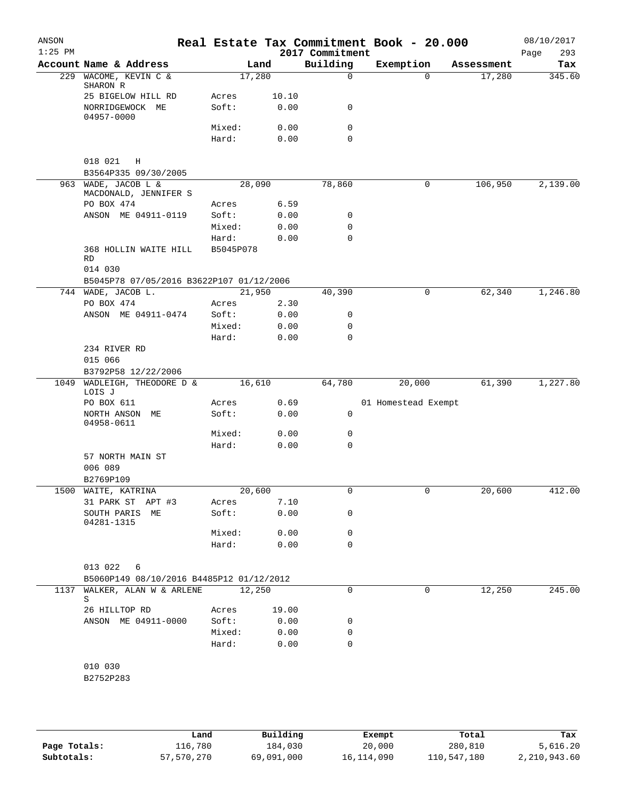| ANSON<br>$1:25$ PM |                                                          |                 |              | 2017 Commitment  | Real Estate Tax Commitment Book - 20.000 |            | 08/10/2017<br>293<br>Page |
|--------------------|----------------------------------------------------------|-----------------|--------------|------------------|------------------------------------------|------------|---------------------------|
|                    | Account Name & Address                                   |                 | Land         | Building         | Exemption                                | Assessment | Tax                       |
|                    | 229 WACOME, KEVIN C &<br>SHARON R                        |                 | 17,280       | $\mathbf 0$      | $\Omega$                                 | 17,280     | 345.60                    |
|                    | 25 BIGELOW HILL RD                                       | Acres           | 10.10        |                  |                                          |            |                           |
|                    | NORRIDGEWOCK ME<br>04957-0000                            | Soft:           | 0.00         | 0                |                                          |            |                           |
|                    |                                                          | Mixed:          | 0.00         | 0                |                                          |            |                           |
|                    |                                                          | Hard:           | 0.00         | 0                |                                          |            |                           |
|                    | 018 021<br>Η<br>B3564P335 09/30/2005                     |                 |              |                  |                                          |            |                           |
|                    | 963 WADE, JACOB L &<br>MACDONALD, JENNIFER S             |                 | 28,090       | 78,860           | 0                                        | 106,950    | 2,139.00                  |
|                    | PO BOX 474                                               | Acres           | 6.59         |                  |                                          |            |                           |
|                    | ANSON ME 04911-0119                                      | Soft:           | 0.00         | 0<br>$\mathbf 0$ |                                          |            |                           |
|                    |                                                          | Mixed:<br>Hard: | 0.00<br>0.00 | 0                |                                          |            |                           |
|                    | 368 HOLLIN WAITE HILL<br>RD<br>014 030                   | B5045P078       |              |                  |                                          |            |                           |
|                    | B5045P78 07/05/2016 B3622P107 01/12/2006                 |                 |              |                  |                                          |            |                           |
|                    | 744 WADE, JACOB L.                                       |                 | 21,950       | 40,390           | 0                                        | 62,340     | 1,246.80                  |
|                    | PO BOX 474                                               | Acres           | 2.30         |                  |                                          |            |                           |
|                    | ANSON ME 04911-0474                                      | Soft:           | 0.00         | 0                |                                          |            |                           |
|                    |                                                          | Mixed:          | 0.00         | 0                |                                          |            |                           |
|                    |                                                          | Hard:           | 0.00         | 0                |                                          |            |                           |
|                    | 234 RIVER RD<br>015 066                                  |                 |              |                  |                                          |            |                           |
|                    | B3792P58 12/22/2006                                      |                 |              |                  |                                          |            |                           |
| 1049               | WADLEIGH, THEODORE D &<br>LOIS J                         |                 | 16,610       | 64,780           | 20,000                                   | 61,390     | 1,227.80                  |
|                    | PO BOX 611                                               | Acres           | 0.69         |                  | 01 Homestead Exempt                      |            |                           |
|                    | NORTH ANSON ME<br>04958-0611                             | Soft:           | 0.00         | 0                |                                          |            |                           |
|                    |                                                          | Mixed:          | 0.00         | 0                |                                          |            |                           |
|                    |                                                          | Hard:           | 0.00         | 0                |                                          |            |                           |
|                    | 57 NORTH MAIN ST<br>006 089                              |                 |              |                  |                                          |            |                           |
|                    | B2769P109                                                |                 |              |                  |                                          |            |                           |
|                    | 1500 WAITE, KATRINA                                      |                 | 20,600       | 0                |                                          | 20,600     | 412.00                    |
|                    | 31 PARK ST APT #3                                        | Acres           | 7.10         |                  |                                          |            |                           |
|                    | SOUTH PARIS ME<br>04281-1315                             | Soft:           | 0.00         | 0                |                                          |            |                           |
|                    |                                                          | Mixed:          | 0.00         | 0                |                                          |            |                           |
|                    |                                                          | Hard:           | 0.00         | 0                |                                          |            |                           |
|                    | 013 022<br>6<br>B5060P149 08/10/2016 B4485P12 01/12/2012 |                 |              |                  |                                          |            |                           |
| 1137               | WALKER, ALAN W & ARLENE                                  |                 | 12,250       | 0                | 0                                        | 12,250     | 245.00                    |
|                    | S                                                        |                 |              |                  |                                          |            |                           |
|                    | 26 HILLTOP RD                                            | Acres           | 19.00        |                  |                                          |            |                           |
|                    | ANSON ME 04911-0000                                      | Soft:           | 0.00         | 0                |                                          |            |                           |
|                    |                                                          | Mixed:          | 0.00         | 0                |                                          |            |                           |
|                    |                                                          | Hard:           | 0.00         | $\mathbf 0$      |                                          |            |                           |
|                    | 010 030                                                  |                 |              |                  |                                          |            |                           |
|                    | B2752P283                                                |                 |              |                  |                                          |            |                           |
|                    |                                                          |                 |              |                  |                                          |            |                           |

|              | Land       | Building   | Exempt     | Total       | Tax          |
|--------------|------------|------------|------------|-------------|--------------|
| Page Totals: | 116,780    | 184,030    | 20,000     | 280,810     | 5,616.20     |
| Subtotals:   | 57,570,270 | 69,091,000 | 16,114,090 | 110,547,180 | 2,210,943.60 |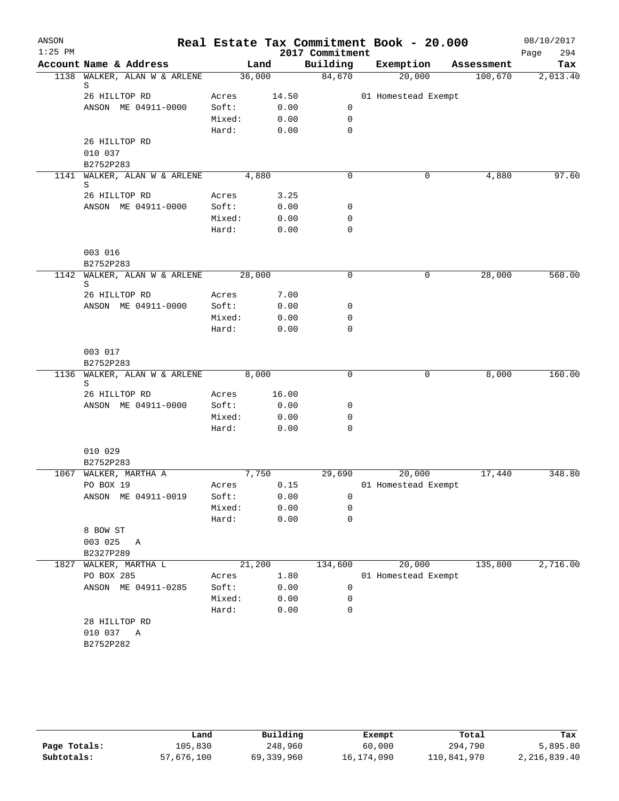| ANSON     |                                         |        |       |                             | Real Estate Tax Commitment Book - 20.000 |                       | 08/10/2017      |
|-----------|-----------------------------------------|--------|-------|-----------------------------|------------------------------------------|-----------------------|-----------------|
| $1:25$ PM | Account Name & Address                  |        | Land  | 2017 Commitment<br>Building | Exemption                                |                       | 294<br>Page     |
|           | 1138 WALKER, ALAN W & ARLENE            | 36,000 |       | 84,670                      | 20,000                                   | Assessment<br>100,670 | Tax<br>2,013.40 |
|           | S                                       |        |       |                             |                                          |                       |                 |
|           | 26 HILLTOP RD                           | Acres  | 14.50 |                             | 01 Homestead Exempt                      |                       |                 |
|           | ANSON ME 04911-0000                     | Soft:  | 0.00  | 0                           |                                          |                       |                 |
|           |                                         | Mixed: | 0.00  | $\mathbf 0$                 |                                          |                       |                 |
|           |                                         | Hard:  | 0.00  | 0                           |                                          |                       |                 |
|           | 26 HILLTOP RD<br>010 037                |        |       |                             |                                          |                       |                 |
|           | B2752P283                               |        |       |                             |                                          |                       |                 |
| 1141      | WALKER, ALAN W & ARLENE<br>S            | 4,880  |       | 0                           | 0                                        | 4,880                 | 97.60           |
|           | 26 HILLTOP RD                           | Acres  | 3.25  |                             |                                          |                       |                 |
|           | ANSON ME 04911-0000                     | Soft:  | 0.00  | 0                           |                                          |                       |                 |
|           |                                         | Mixed: | 0.00  | 0                           |                                          |                       |                 |
|           |                                         | Hard:  | 0.00  | 0                           |                                          |                       |                 |
|           | 003 016                                 |        |       |                             |                                          |                       |                 |
|           | B2752P283                               |        |       |                             |                                          |                       |                 |
| 1142      | WALKER, ALAN W & ARLENE<br>S            | 28,000 |       | $\mathbf 0$                 | 0                                        | 28,000                | 560.00          |
|           | 26 HILLTOP RD                           | Acres  | 7.00  |                             |                                          |                       |                 |
|           | ANSON ME 04911-0000                     | Soft:  | 0.00  | 0                           |                                          |                       |                 |
|           |                                         | Mixed: | 0.00  | 0                           |                                          |                       |                 |
|           |                                         | Hard:  | 0.00  | 0                           |                                          |                       |                 |
|           | 003 017                                 |        |       |                             |                                          |                       |                 |
|           | B2752P283                               |        |       |                             |                                          |                       |                 |
|           | 1136 WALKER, ALAN W & ARLENE 8,000<br>S |        |       | $\mathbf 0$                 | 0                                        | 8,000                 | 160.00          |
|           | 26 HILLTOP RD                           | Acres  | 16.00 |                             |                                          |                       |                 |
|           | ANSON ME 04911-0000                     | Soft:  | 0.00  | 0                           |                                          |                       |                 |
|           |                                         | Mixed: | 0.00  | 0                           |                                          |                       |                 |
|           |                                         | Hard:  | 0.00  | $\Omega$                    |                                          |                       |                 |
|           | 010 029                                 |        |       |                             |                                          |                       |                 |
|           | B2752P283<br>1067 WALKER, MARTHA A      | 7,750  |       | 29,690                      | 20,000                                   | 17,440                | 348.80          |
|           | PO BOX 19                               | Acres  | 0.15  |                             | 01 Homestead Exempt                      |                       |                 |
|           | ANSON ME 04911-0019                     | Soft:  | 0.00  | 0                           |                                          |                       |                 |
|           |                                         | Mixed: | 0.00  | 0                           |                                          |                       |                 |
|           |                                         | Hard:  | 0.00  | 0                           |                                          |                       |                 |
|           | 8 BOW ST                                |        |       |                             |                                          |                       |                 |
|           | 003 025<br>Α                            |        |       |                             |                                          |                       |                 |
|           | B2327P289                               |        |       |                             |                                          |                       |                 |
| 1827      | WALKER, MARTHA L                        | 21,200 |       | 134,600                     | 20,000                                   | 135,800               | 2,716.00        |
|           | PO BOX 285                              | Acres  | 1.80  |                             | 01 Homestead Exempt                      |                       |                 |
|           | ANSON ME 04911-0285                     | Soft:  | 0.00  | 0                           |                                          |                       |                 |
|           |                                         | Mixed: | 0.00  | 0                           |                                          |                       |                 |
|           |                                         | Hard:  | 0.00  | 0                           |                                          |                       |                 |
|           | 28 HILLTOP RD<br>010 037 A<br>B2752P282 |        |       |                             |                                          |                       |                 |

|              | Land       | Building     | Exempt     | Total       | Tax          |
|--------------|------------|--------------|------------|-------------|--------------|
| Page Totals: | 105,830    | 248,960      | 60,000     | 294,790     | 5,895.80     |
| Subtotals:   | 57,676,100 | 69, 339, 960 | 16,174,090 | 110,841,970 | 2,216,839.40 |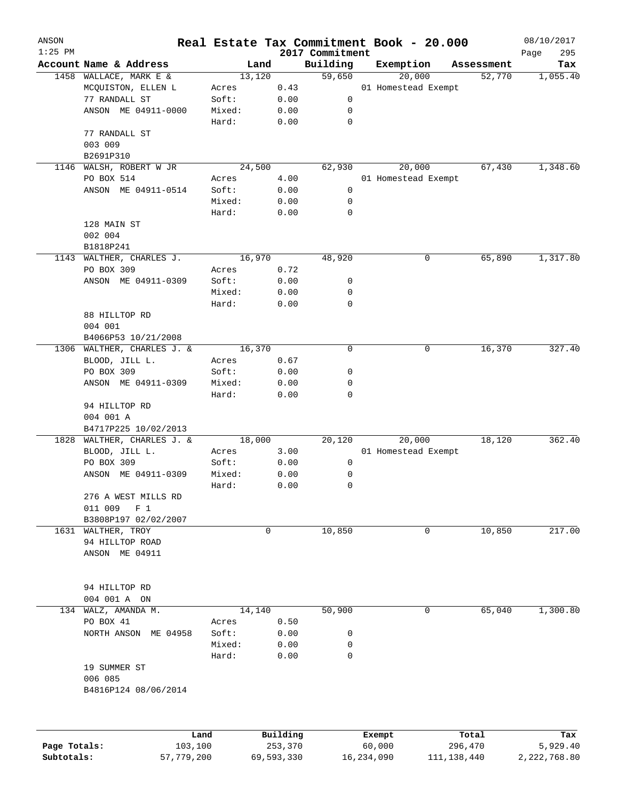| ANSON<br>$1:25$ PM |                                                    |        |            |                             | Real Estate Tax Commitment Book - 20.000 |             | 08/10/2017         |
|--------------------|----------------------------------------------------|--------|------------|-----------------------------|------------------------------------------|-------------|--------------------|
|                    | Account Name & Address                             | Land   |            | 2017 Commitment<br>Building | Exemption                                | Assessment  | Page<br>295<br>Tax |
|                    | 1458 WALLACE, MARK E &                             | 13,120 |            | 59,650                      | 20,000                                   | 52,770      | 1,055.40           |
|                    | MCQUISTON, ELLEN L                                 | Acres  | 0.43       |                             | 01 Homestead Exempt                      |             |                    |
|                    | 77 RANDALL ST                                      | Soft:  | 0.00       | 0                           |                                          |             |                    |
|                    | ANSON ME 04911-0000                                | Mixed: | 0.00       | 0                           |                                          |             |                    |
|                    |                                                    | Hard:  | 0.00       | 0                           |                                          |             |                    |
|                    | 77 RANDALL ST                                      |        |            |                             |                                          |             |                    |
|                    | 003 009                                            |        |            |                             |                                          |             |                    |
|                    | B2691P310                                          |        |            |                             |                                          |             |                    |
| 1146               | WALSH, ROBERT W JR                                 | 24,500 |            | 62,930                      | 20,000                                   | 67,430      | 1,348.60           |
|                    | PO BOX 514                                         | Acres  | 4.00       |                             | 01 Homestead Exempt                      |             |                    |
|                    | ANSON ME 04911-0514                                | Soft:  | 0.00       | 0                           |                                          |             |                    |
|                    |                                                    | Mixed: | 0.00       | 0                           |                                          |             |                    |
|                    |                                                    | Hard:  | 0.00       | 0                           |                                          |             |                    |
|                    | 128 MAIN ST                                        |        |            |                             |                                          |             |                    |
|                    | 002 004                                            |        |            |                             |                                          |             |                    |
|                    | B1818P241                                          |        |            |                             |                                          |             |                    |
| 1143               | WALTHER, CHARLES J.                                | 16,970 |            | 48,920                      | 0                                        | 65,890      | 1,317.80           |
|                    | PO BOX 309                                         | Acres  | 0.72       |                             |                                          |             |                    |
|                    | ANSON ME 04911-0309                                | Soft:  | 0.00       | 0                           |                                          |             |                    |
|                    |                                                    | Mixed: |            | 0                           |                                          |             |                    |
|                    |                                                    |        | 0.00       | 0                           |                                          |             |                    |
|                    | 88 HILLTOP RD                                      | Hard:  | 0.00       |                             |                                          |             |                    |
|                    | 004 001                                            |        |            |                             |                                          |             |                    |
|                    |                                                    |        |            |                             |                                          |             |                    |
|                    | B4066P53 10/21/2008<br>1306 WALTHER, CHARLES J. &  |        |            | 0                           |                                          |             |                    |
|                    |                                                    | 16,370 |            |                             | 0                                        | 16,370      | 327.40             |
|                    | BLOOD, JILL L.                                     | Acres  | 0.67       |                             |                                          |             |                    |
|                    | PO BOX 309                                         | Soft:  | 0.00       | 0                           |                                          |             |                    |
|                    | ANSON ME 04911-0309                                | Mixed: | 0.00       | 0<br>0                      |                                          |             |                    |
|                    |                                                    | Hard:  | 0.00       |                             |                                          |             |                    |
|                    | 94 HILLTOP RD                                      |        |            |                             |                                          |             |                    |
|                    | 004 001 A                                          |        |            |                             |                                          |             |                    |
|                    | B4717P225 10/02/2013<br>1828 WALTHER, CHARLES J. & | 18,000 |            | 20,120                      | 20,000                                   | 18,120      | 362.40             |
|                    | BLOOD, JILL L.                                     | Acres  | 3.00       |                             | 01 Homestead Exempt                      |             |                    |
|                    | PO BOX 309                                         | Soft:  | 0.00       | 0                           |                                          |             |                    |
|                    | ANSON ME 04911-0309                                | Mixed: | 0.00       | 0                           |                                          |             |                    |
|                    |                                                    | Hard:  | 0.00       | 0                           |                                          |             |                    |
|                    |                                                    |        |            |                             |                                          |             |                    |
|                    | 276 A WEST MILLS RD<br>011 009<br>$F_1$            |        |            |                             |                                          |             |                    |
|                    |                                                    |        |            |                             |                                          |             |                    |
|                    | B3808P197 02/02/2007<br>1631 WALTHER, TROY         |        |            |                             |                                          |             | 217.00             |
|                    | 94 HILLTOP ROAD                                    | 0      |            | 10,850                      | 0                                        | 10,850      |                    |
|                    | ANSON ME 04911                                     |        |            |                             |                                          |             |                    |
|                    |                                                    |        |            |                             |                                          |             |                    |
|                    |                                                    |        |            |                             |                                          |             |                    |
|                    | 94 HILLTOP RD                                      |        |            |                             |                                          |             |                    |
|                    | 004 001 A ON                                       |        |            |                             |                                          |             |                    |
| 134                | WALZ, AMANDA M.                                    | 14,140 |            | 50,900                      | 0                                        | 65,040      | 1,300.80           |
|                    | PO BOX 41                                          | Acres  | 0.50       |                             |                                          |             |                    |
|                    | NORTH ANSON<br>ME 04958                            | Soft:  | 0.00       | 0                           |                                          |             |                    |
|                    |                                                    | Mixed: | 0.00       | 0                           |                                          |             |                    |
|                    |                                                    | Hard:  | 0.00       | 0                           |                                          |             |                    |
|                    | 19 SUMMER ST                                       |        |            |                             |                                          |             |                    |
|                    | 006 085                                            |        |            |                             |                                          |             |                    |
|                    |                                                    |        |            |                             |                                          |             |                    |
|                    | B4816P124 08/06/2014                               |        |            |                             |                                          |             |                    |
|                    |                                                    |        |            |                             |                                          |             |                    |
|                    | Land                                               |        | Building   |                             | Exempt                                   | Total       | Tax                |
| Page Totals:       | 103,100                                            |        | 253,370    |                             | 60,000                                   | 296,470     | 5,929.40           |
| Subtotals:         | 57,779,200                                         |        | 69,593,330 |                             | 16,234,090                               | 111,138,440 | 2,222,768.80       |
|                    |                                                    |        |            |                             |                                          |             |                    |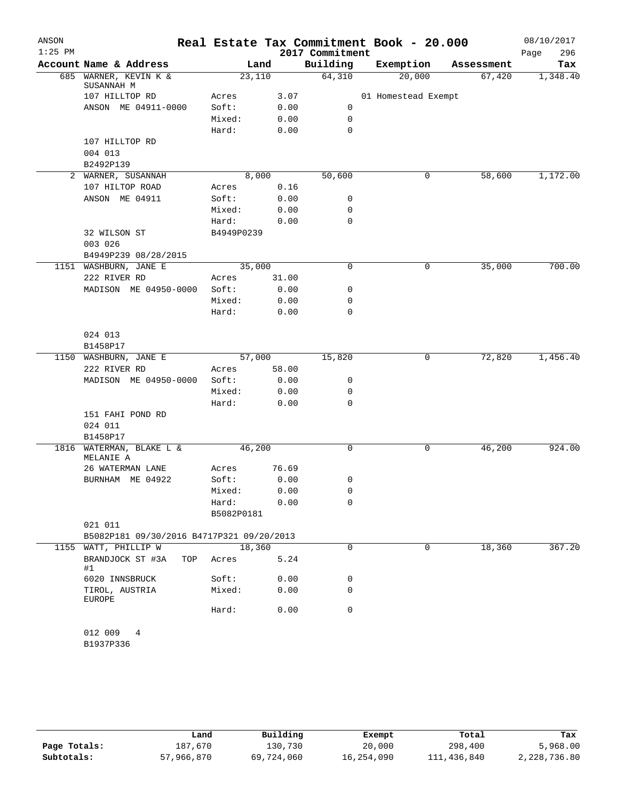| ANSON     |                                           |            |        |       | Real Estate Tax Commitment Book - 20.000 |                     |            | 08/10/2017  |
|-----------|-------------------------------------------|------------|--------|-------|------------------------------------------|---------------------|------------|-------------|
| $1:25$ PM |                                           |            |        |       | 2017 Commitment                          |                     |            | 296<br>Page |
|           | Account Name & Address                    |            | Land   |       | Building                                 | Exemption           | Assessment | Tax         |
|           | 685 WARNER, KEVIN K &<br>SUSANNAH M       |            | 23,110 |       | 64,310                                   | 20,000              | 67,420     | 1,348.40    |
|           | 107 HILLTOP RD                            | Acres      |        | 3.07  |                                          | 01 Homestead Exempt |            |             |
|           | ANSON ME 04911-0000                       | Soft:      |        | 0.00  | 0                                        |                     |            |             |
|           |                                           | Mixed:     |        | 0.00  | 0                                        |                     |            |             |
|           |                                           | Hard:      |        | 0.00  | 0                                        |                     |            |             |
|           | 107 HILLTOP RD                            |            |        |       |                                          |                     |            |             |
|           | 004 013                                   |            |        |       |                                          |                     |            |             |
|           | B2492P139                                 |            |        |       |                                          |                     |            |             |
|           | 2 WARNER, SUSANNAH                        |            | 8,000  |       | 50,600                                   | 0                   | 58,600     | 1,172.00    |
|           | 107 HILTOP ROAD                           | Acres      |        | 0.16  |                                          |                     |            |             |
|           | ANSON ME 04911                            | Soft:      |        | 0.00  | 0                                        |                     |            |             |
|           |                                           | Mixed:     |        | 0.00  | 0                                        |                     |            |             |
|           |                                           | Hard:      |        | 0.00  | $\mathbf 0$                              |                     |            |             |
|           | 32 WILSON ST                              | B4949P0239 |        |       |                                          |                     |            |             |
|           | 003 026                                   |            |        |       |                                          |                     |            |             |
|           | B4949P239 08/28/2015                      |            |        |       |                                          |                     |            |             |
|           | 1151 WASHBURN, JANE E                     |            | 35,000 |       | 0                                        | 0                   | 35,000     | 700.00      |
|           | 222 RIVER RD                              | Acres      |        | 31.00 |                                          |                     |            |             |
|           | MADISON ME 04950-0000                     | Soft:      |        | 0.00  | 0                                        |                     |            |             |
|           |                                           | Mixed:     |        | 0.00  | 0                                        |                     |            |             |
|           |                                           | Hard:      |        | 0.00  | 0                                        |                     |            |             |
|           |                                           |            |        |       |                                          |                     |            |             |
|           | 024 013                                   |            |        |       |                                          |                     |            |             |
|           | B1458P17                                  |            |        |       |                                          |                     |            |             |
|           | 1150 WASHBURN, JANE E                     |            | 57,000 |       | 15,820                                   | 0                   | 72,820     | 1,456.40    |
|           | 222 RIVER RD                              | Acres      |        | 58.00 |                                          |                     |            |             |
|           | MADISON ME 04950-0000                     | Soft:      |        | 0.00  | 0                                        |                     |            |             |
|           |                                           | Mixed:     |        | 0.00  | 0                                        |                     |            |             |
|           |                                           | Hard:      |        | 0.00  | 0                                        |                     |            |             |
|           | 151 FAHI POND RD                          |            |        |       |                                          |                     |            |             |
|           | 024 011                                   |            |        |       |                                          |                     |            |             |
|           | B1458P17                                  |            |        |       |                                          |                     |            |             |
| 1816      | WATERMAN, BLAKE L &                       |            | 46,200 |       | 0                                        | 0                   | 46,200     | 924.00      |
|           | MELANIE A                                 |            |        |       |                                          |                     |            |             |
|           | 26 WATERMAN LANE                          | Acres      |        | 76.69 |                                          |                     |            |             |
|           | BURNHAM ME 04922                          | Soft:      |        | 0.00  | 0                                        |                     |            |             |
|           |                                           | Mixed:     |        | 0.00  | 0                                        |                     |            |             |
|           |                                           | Hard:      |        | 0.00  | 0                                        |                     |            |             |
|           |                                           | B5082P0181 |        |       |                                          |                     |            |             |
|           | 021 011                                   |            |        |       |                                          |                     |            |             |
|           | B5082P181 09/30/2016 B4717P321 09/20/2013 |            |        |       |                                          |                     |            |             |
| 1155      | WATT, PHILLIP W                           |            | 18,360 |       | 0                                        | 0                   | 18,360     | 367.20      |
|           | BRANDJOCK ST #3A<br>TOP                   | Acres      |        | 5.24  |                                          |                     |            |             |
|           | #1                                        |            |        |       |                                          |                     |            |             |
|           | 6020 INNSBRUCK                            | Soft:      |        | 0.00  | 0                                        |                     |            |             |
|           | TIROL, AUSTRIA                            | Mixed:     |        | 0.00  | 0                                        |                     |            |             |
|           | <b>EUROPE</b>                             |            |        |       |                                          |                     |            |             |
|           |                                           | Hard:      |        | 0.00  | 0                                        |                     |            |             |
|           |                                           |            |        |       |                                          |                     |            |             |
|           | 012 009<br>4                              |            |        |       |                                          |                     |            |             |
|           | B1937P336                                 |            |        |       |                                          |                     |            |             |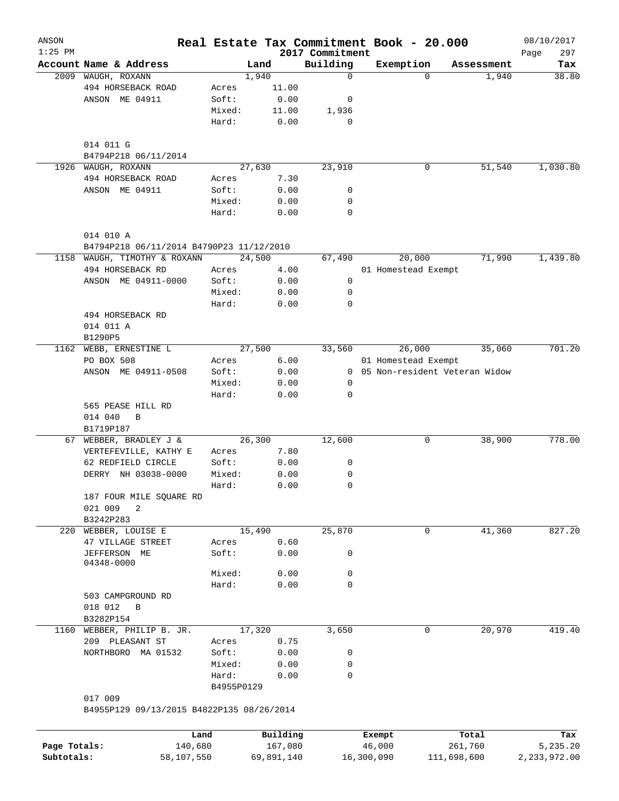| ANSON        |                                                      |            |            |                             | Real Estate Tax Commitment Book - 20.000 |                               | 08/10/2017         |
|--------------|------------------------------------------------------|------------|------------|-----------------------------|------------------------------------------|-------------------------------|--------------------|
| $1:25$ PM    | Account Name & Address                               |            | Land       | 2017 Commitment<br>Building | Exemption                                | Assessment                    | 297<br>Page<br>Tax |
| 2009         | WAUGH, ROXANN                                        |            | 1,940      | $\mathbf 0$                 | $\Omega$                                 | 1,940                         | 38.80              |
|              | 494 HORSEBACK ROAD                                   | Acres      | 11.00      |                             |                                          |                               |                    |
|              | ANSON ME 04911                                       | Soft:      | 0.00       | 0                           |                                          |                               |                    |
|              |                                                      | Mixed:     | 11.00      | 1,936                       |                                          |                               |                    |
|              |                                                      | Hard:      | 0.00       | $\mathbf 0$                 |                                          |                               |                    |
|              | 014 011 G<br>B4794P218 06/11/2014                    |            |            |                             |                                          |                               |                    |
| 1926         | WAUGH, ROXANN                                        |            | 27,630     | 23,910                      | 0                                        | 51,540                        | 1,030.80           |
|              | 494 HORSEBACK ROAD                                   | Acres      | 7.30       |                             |                                          |                               |                    |
|              | ANSON ME 04911                                       | Soft:      | 0.00       | 0                           |                                          |                               |                    |
|              |                                                      | Mixed:     | 0.00       | 0                           |                                          |                               |                    |
|              |                                                      | Hard:      | 0.00       | $\mathbf 0$                 |                                          |                               |                    |
|              | 014 010 A                                            |            |            |                             |                                          |                               |                    |
|              | B4794P218 06/11/2014 B4790P23 11/12/2010             |            |            |                             |                                          |                               |                    |
| 1158         | WAUGH, TIMOTHY & ROXANN                              |            | 24,500     | 67,490                      | 20,000                                   | 71,990                        | 1,439.80           |
|              | 494 HORSEBACK RD                                     | Acres      | 4.00       |                             | 01 Homestead Exempt                      |                               |                    |
|              | ANSON ME 04911-0000                                  | Soft:      | 0.00       | 0                           |                                          |                               |                    |
|              |                                                      | Mixed:     | 0.00       | 0                           |                                          |                               |                    |
|              |                                                      | Hard:      | 0.00       | 0                           |                                          |                               |                    |
|              | 494 HORSEBACK RD                                     |            |            |                             |                                          |                               |                    |
|              | 014 011 A                                            |            |            |                             |                                          |                               |                    |
|              | B1290P5                                              |            |            |                             |                                          |                               |                    |
| 1162         | WEBB, ERNESTINE L                                    |            | 27,500     | 33,560                      | 26,000                                   | 35,060                        | 701.20             |
|              | PO BOX 508                                           | Acres      | 6.00       |                             | 01 Homestead Exempt                      |                               |                    |
|              | ANSON ME 04911-0508                                  | Soft:      | 0.00       | $\mathbf{0}$                |                                          | 05 Non-resident Veteran Widow |                    |
|              |                                                      | Mixed:     | 0.00       | 0                           |                                          |                               |                    |
|              |                                                      | Hard:      | 0.00       | 0                           |                                          |                               |                    |
|              | 565 PEASE HILL RD                                    |            |            |                             |                                          |                               |                    |
|              | 014 040<br>B                                         |            |            |                             |                                          |                               |                    |
|              | B1719P187                                            |            |            |                             |                                          |                               |                    |
| 67           | WEBBER, BRADLEY J &                                  |            | 26,300     | 12,600                      | 0                                        | 38,900                        | 778.00             |
|              | VERTEFEVILLE, KATHY E                                | Acres      | 7.80       |                             |                                          |                               |                    |
|              | 62 REDFIELD CIRCLE                                   | Soft:      | 0.00       | 0                           |                                          |                               |                    |
|              | DERRY NH 03038-0000                                  | Mixed:     | 0.00       | 0                           |                                          |                               |                    |
|              |                                                      | Hard:      | 0.00       | $\mathbf 0$                 |                                          |                               |                    |
|              | 187 FOUR MILE SQUARE RD                              |            |            |                             |                                          |                               |                    |
|              | 021 009<br>2                                         |            |            |                             |                                          |                               |                    |
|              | B3242P283                                            |            |            |                             |                                          |                               |                    |
| 220          | WEBBER, LOUISE E                                     |            | 15,490     | 25,870                      | 0                                        | 41,360                        | 827.20             |
|              | 47 VILLAGE STREET                                    | Acres      | 0.60       |                             |                                          |                               |                    |
|              | JEFFERSON ME<br>04348-0000                           | Soft:      | 0.00       | 0                           |                                          |                               |                    |
|              |                                                      | Mixed:     | 0.00       | 0                           |                                          |                               |                    |
|              |                                                      | Hard:      | 0.00       | 0                           |                                          |                               |                    |
|              | 503 CAMPGROUND RD                                    |            |            |                             |                                          |                               |                    |
|              | 018 012<br>$\overline{B}$                            |            |            |                             |                                          |                               |                    |
|              | B3282P154                                            |            |            |                             |                                          |                               |                    |
| 1160         | WEBBER, PHILIP B. JR.                                |            | 17,320     | 3,650                       | $\mathbf 0$                              | 20,970                        | 419.40             |
|              | 209 PLEASANT ST                                      | Acres      | 0.75       |                             |                                          |                               |                    |
|              | NORTHBORO MA 01532                                   | Soft:      | 0.00       | 0                           |                                          |                               |                    |
|              |                                                      | Mixed:     | 0.00       | 0                           |                                          |                               |                    |
|              |                                                      | Hard:      | 0.00       | 0                           |                                          |                               |                    |
|              |                                                      | B4955P0129 |            |                             |                                          |                               |                    |
|              | 017 009<br>B4955P129 09/13/2015 B4822P135 08/26/2014 |            |            |                             |                                          |                               |                    |
|              |                                                      |            |            |                             |                                          |                               |                    |
|              | Land                                                 |            | Building   |                             | Exempt                                   | Total                         | Tax                |
| Page Totals: | 140,680                                              |            | 167,080    |                             | 46,000                                   | 261,760                       | 5,235.20           |
| Subtotals:   | 58,107,550                                           |            | 69,891,140 |                             | 16,300,090                               | 111,698,600                   | 2,233,972.00       |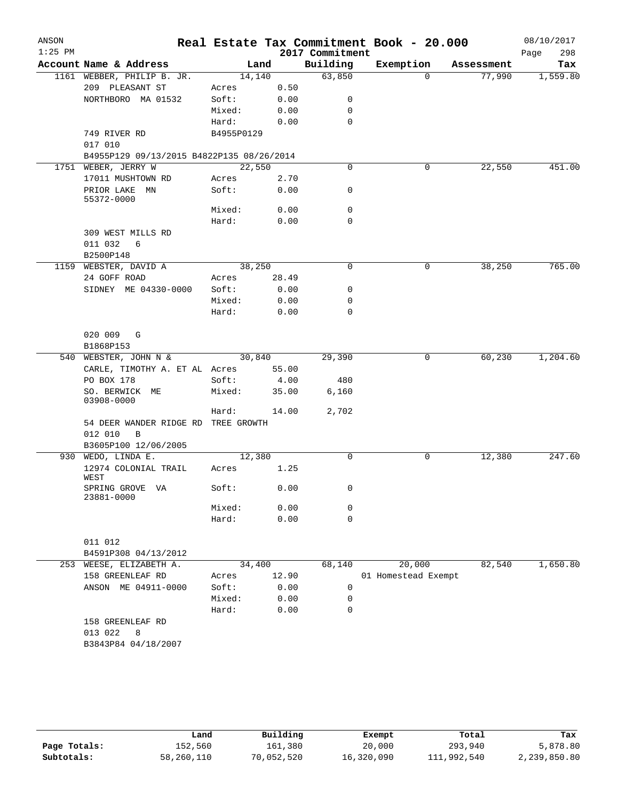| ANSON     |                                                         |            |       |                             | Real Estate Tax Commitment Book - 20.000 |            | 08/10/2017         |
|-----------|---------------------------------------------------------|------------|-------|-----------------------------|------------------------------------------|------------|--------------------|
| $1:25$ PM | Account Name & Address                                  | Land       |       | 2017 Commitment<br>Building | Exemption                                | Assessment | Page<br>298<br>Tax |
|           | 1161 WEBBER, PHILIP B. JR.                              | 14,140     |       | 63,850                      | $\Omega$                                 | 77,990     | 1,559.80           |
|           | 209 PLEASANT ST                                         | Acres      | 0.50  |                             |                                          |            |                    |
|           | NORTHBORO MA 01532                                      | Soft:      | 0.00  | 0                           |                                          |            |                    |
|           |                                                         | Mixed:     | 0.00  | 0                           |                                          |            |                    |
|           |                                                         | Hard:      | 0.00  | 0                           |                                          |            |                    |
|           | 749 RIVER RD                                            | B4955P0129 |       |                             |                                          |            |                    |
|           | 017 010                                                 |            |       |                             |                                          |            |                    |
|           | B4955P129 09/13/2015 B4822P135 08/26/2014               |            |       |                             |                                          |            |                    |
|           | 1751 WEBER, JERRY W                                     | 22,550     |       | 0                           | 0                                        | 22,550     | 451.00             |
|           | 17011 MUSHTOWN RD                                       | Acres      | 2.70  |                             |                                          |            |                    |
|           | PRIOR LAKE<br>MN<br>55372-0000                          | Soft:      | 0.00  | 0                           |                                          |            |                    |
|           |                                                         | Mixed:     | 0.00  | 0                           |                                          |            |                    |
|           |                                                         | Hard:      | 0.00  | 0                           |                                          |            |                    |
|           | 309 WEST MILLS RD<br>011 032<br>6                       |            |       |                             |                                          |            |                    |
|           | B2500P148                                               |            |       |                             |                                          |            |                    |
|           | 1159 WEBSTER, DAVID A                                   | 38,250     |       | $\mathbf 0$                 | 0                                        | 38,250     | 765.00             |
|           | 24 GOFF ROAD                                            | Acres      | 28.49 |                             |                                          |            |                    |
|           | SIDNEY ME 04330-0000                                    | Soft:      | 0.00  | 0                           |                                          |            |                    |
|           |                                                         | Mixed:     | 0.00  | 0                           |                                          |            |                    |
|           |                                                         | Hard:      | 0.00  | 0                           |                                          |            |                    |
|           | 020 009 G                                               |            |       |                             |                                          |            |                    |
|           | B1868P153                                               |            |       |                             |                                          |            |                    |
|           | 540 WEBSTER, JOHN N &                                   | 30,840     |       | 29,390                      | 0                                        | 60,230     | 1,204.60           |
|           | CARLE, TIMOTHY A. ET AL Acres                           |            | 55.00 |                             |                                          |            |                    |
|           | PO BOX 178                                              | Soft:      | 4.00  | 480                         |                                          |            |                    |
|           | SO. BERWICK ME<br>03908-0000                            | Mixed:     | 35.00 | 6,160                       |                                          |            |                    |
|           |                                                         | Hard:      | 14.00 | 2,702                       |                                          |            |                    |
|           | 54 DEER WANDER RIDGE RD TREE GROWTH<br>012 010<br>B     |            |       |                             |                                          |            |                    |
|           | B3605P100 12/06/2005                                    |            |       |                             |                                          |            |                    |
|           | 930 WEDO, LINDA E.                                      | 12,380     |       | $\mathbf 0$                 | 0                                        | 12,380     | 247.60             |
|           | 12974 COLONIAL TRAIL<br>WEST                            | Acres      | 1.25  |                             |                                          |            |                    |
|           | SPRING GROVE VA<br>23881-0000                           | Soft:      | 0.00  | $\sigma$                    |                                          |            |                    |
|           |                                                         | Mixed:     | 0.00  | 0                           |                                          |            |                    |
|           |                                                         | Hard:      | 0.00  | $\mathbf 0$                 |                                          |            |                    |
|           | 011 012                                                 |            |       |                             |                                          |            |                    |
|           | B4591P308 04/13/2012                                    |            |       |                             |                                          |            |                    |
|           | 253 WEESE, ELIZABETH A.                                 | 34,400     |       | 68,140                      | 20,000                                   | 82,540     | 1,650.80           |
|           | 158 GREENLEAF RD                                        | Acres      | 12.90 |                             | 01 Homestead Exempt                      |            |                    |
|           | ANSON ME 04911-0000                                     | Soft:      | 0.00  | 0                           |                                          |            |                    |
|           |                                                         | Mixed:     | 0.00  | 0                           |                                          |            |                    |
|           |                                                         | Hard:      | 0.00  | 0                           |                                          |            |                    |
|           | 158 GREENLEAF RD<br>013 022<br>8<br>B3843P84 04/18/2007 |            |       |                             |                                          |            |                    |

|              | Land       | Building   | Exempt     | Total       | Tax          |
|--------------|------------|------------|------------|-------------|--------------|
| Page Totals: | 152,560    | 161,380    | 20,000     | 293,940     | 5,878.80     |
| Subtotals:   | 58,260,110 | 70,052,520 | 16,320,090 | 111,992,540 | 2,239,850.80 |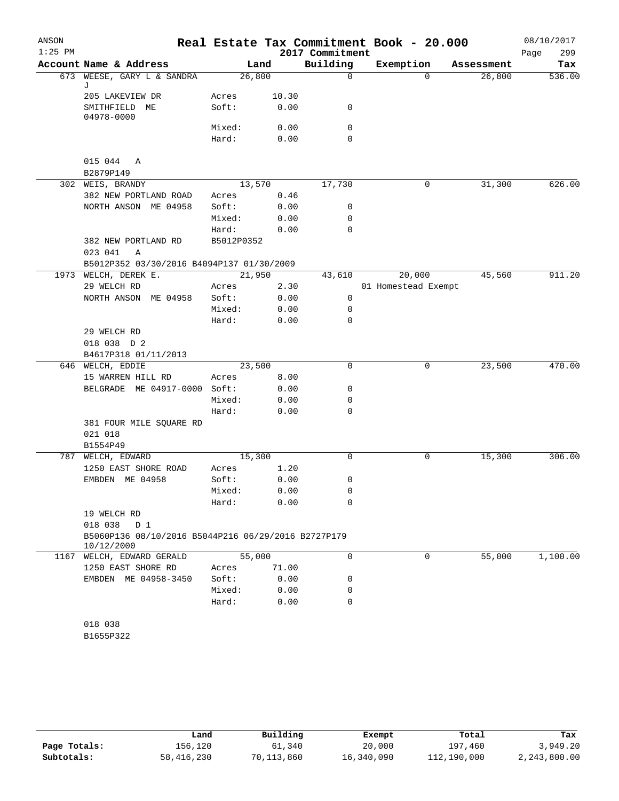| ANSON<br>$1:25$ PM |                                                                   |            |       | 2017 Commitment | Real Estate Tax Commitment Book - 20.000 |            | 08/10/2017<br>299<br>Page |
|--------------------|-------------------------------------------------------------------|------------|-------|-----------------|------------------------------------------|------------|---------------------------|
|                    | Account Name & Address                                            |            | Land  | Building        | Exemption                                | Assessment | Tax                       |
| 673                | WEESE, GARY L & SANDRA                                            | 26,800     |       | $\mathsf{O}$    | $\Omega$                                 | 26,800     | 536.00                    |
|                    | J<br>205 LAKEVIEW DR                                              | Acres      | 10.30 |                 |                                          |            |                           |
|                    | SMITHFIELD ME                                                     | Soft:      | 0.00  | 0               |                                          |            |                           |
|                    | 04978-0000                                                        |            |       |                 |                                          |            |                           |
|                    |                                                                   | Mixed:     | 0.00  | 0               |                                          |            |                           |
|                    |                                                                   | Hard:      | 0.00  | 0               |                                          |            |                           |
|                    | 015 044<br>Α                                                      |            |       |                 |                                          |            |                           |
|                    | B2879P149                                                         |            |       |                 |                                          |            |                           |
|                    | 302 WEIS, BRANDY                                                  | 13,570     |       | 17,730          | 0                                        | 31,300     | 626.00                    |
|                    | 382 NEW PORTLAND ROAD                                             | Acres      | 0.46  |                 |                                          |            |                           |
|                    | NORTH ANSON ME 04958                                              | Soft:      | 0.00  | 0               |                                          |            |                           |
|                    |                                                                   | Mixed:     | 0.00  | 0               |                                          |            |                           |
|                    |                                                                   | Hard:      | 0.00  | $\mathbf 0$     |                                          |            |                           |
|                    | 382 NEW PORTLAND RD                                               | B5012P0352 |       |                 |                                          |            |                           |
|                    | 023 041<br>Α                                                      |            |       |                 |                                          |            |                           |
|                    | B5012P352 03/30/2016 B4094P137 01/30/2009                         |            |       |                 |                                          |            |                           |
| 1973               | WELCH, DEREK E.                                                   | 21,950     |       | 43,610          | 20,000                                   | 45,560     | 911.20                    |
|                    | 29 WELCH RD                                                       | Acres      | 2.30  |                 | 01 Homestead Exempt                      |            |                           |
|                    | NORTH ANSON ME 04958                                              | Soft:      | 0.00  | 0               |                                          |            |                           |
|                    |                                                                   | Mixed:     | 0.00  | 0               |                                          |            |                           |
|                    |                                                                   | Hard:      | 0.00  | 0               |                                          |            |                           |
|                    | 29 WELCH RD<br>018 038 D 2                                        |            |       |                 |                                          |            |                           |
|                    | B4617P318 01/11/2013                                              |            |       |                 |                                          |            |                           |
|                    | 646 WELCH, EDDIE                                                  | 23,500     |       | 0               | 0                                        | 23,500     | 470.00                    |
|                    | 15 WARREN HILL RD                                                 | Acres      | 8.00  |                 |                                          |            |                           |
|                    | BELGRADE ME 04917-0000 Soft:                                      |            | 0.00  | 0               |                                          |            |                           |
|                    |                                                                   | Mixed:     | 0.00  | 0               |                                          |            |                           |
|                    |                                                                   | Hard:      | 0.00  | 0               |                                          |            |                           |
|                    | 381 FOUR MILE SQUARE RD                                           |            |       |                 |                                          |            |                           |
|                    | 021 018                                                           |            |       |                 |                                          |            |                           |
|                    | B1554P49                                                          |            |       |                 |                                          |            |                           |
| 787                | WELCH, EDWARD                                                     | 15,300     |       | 0               | 0                                        | 15,300     | 306.00                    |
|                    | 1250 EAST SHORE ROAD                                              | Acres      | 1.20  |                 |                                          |            |                           |
|                    | EMBDEN ME 04958                                                   | Soft:      | 0.00  | 0               |                                          |            |                           |
|                    |                                                                   | Mixed:     | 0.00  | 0               |                                          |            |                           |
|                    | 19 WELCH RD                                                       | Hard:      | 0.00  | 0               |                                          |            |                           |
|                    | 018 038<br>D 1                                                    |            |       |                 |                                          |            |                           |
|                    | B5060P136 08/10/2016 B5044P216 06/29/2016 B2727P179<br>10/12/2000 |            |       |                 |                                          |            |                           |
|                    | 1167 WELCH, EDWARD GERALD                                         | 55,000     |       | $\mathbf 0$     | $\mathbf 0$                              | 55,000     | 1,100.00                  |
|                    | 1250 EAST SHORE RD                                                | Acres      | 71.00 |                 |                                          |            |                           |
|                    | EMBDEN ME 04958-3450                                              | Soft:      | 0.00  | 0               |                                          |            |                           |
|                    |                                                                   | Mixed:     | 0.00  | 0               |                                          |            |                           |
|                    |                                                                   | Hard:      | 0.00  | $\mathbf 0$     |                                          |            |                           |
|                    | 018 038                                                           |            |       |                 |                                          |            |                           |
|                    | B1655P322                                                         |            |       |                 |                                          |            |                           |
|                    |                                                                   |            |       |                 |                                          |            |                           |
|                    |                                                                   |            |       |                 |                                          |            |                           |

|              | Land       | Building   | Exempt     | Total       | Tax          |
|--------------|------------|------------|------------|-------------|--------------|
| Page Totals: | 156.120    | 61,340     | 20,000     | 197,460     | 3,949.20     |
| Subtotals:   | 58,416,230 | 70,113,860 | 16,340,090 | 112,190,000 | 2,243,800.00 |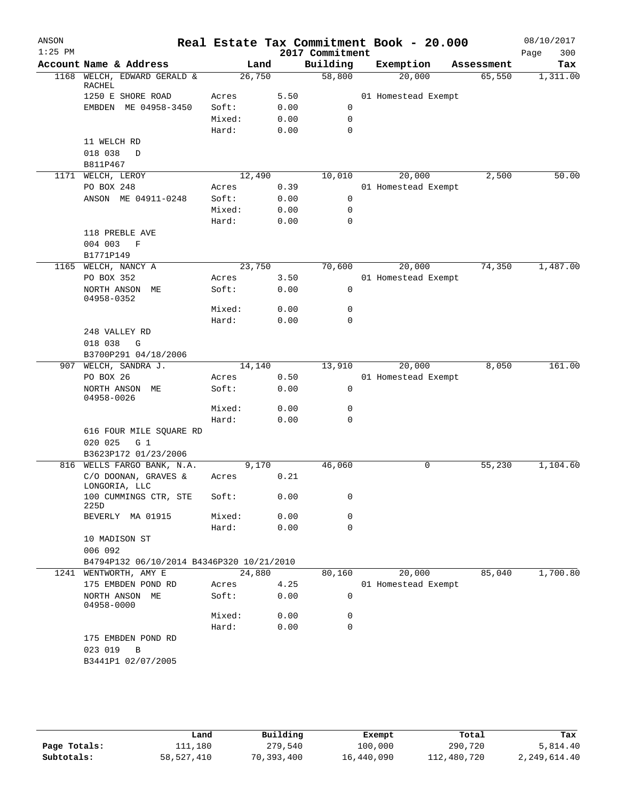| ANSON     |                                                      |        |       |                             | Real Estate Tax Commitment Book - 20.000 |            | 08/10/2017         |
|-----------|------------------------------------------------------|--------|-------|-----------------------------|------------------------------------------|------------|--------------------|
| $1:25$ PM | Account Name & Address                               |        | Land  | 2017 Commitment<br>Building | Exemption                                | Assessment | 300<br>Page<br>Tax |
| 1168      | WELCH, EDWARD GERALD &                               | 26,750 |       | 58,800                      | 20,000                                   | 65,550     | 1,311.00           |
|           | RACHEL<br>1250 E SHORE ROAD                          | Acres  | 5.50  |                             | 01 Homestead Exempt                      |            |                    |
|           | EMBDEN ME 04958-3450                                 | Soft:  | 0.00  | 0                           |                                          |            |                    |
|           |                                                      | Mixed: | 0.00  | 0                           |                                          |            |                    |
|           |                                                      | Hard:  | 0.00  | 0                           |                                          |            |                    |
|           | 11 WELCH RD                                          |        |       |                             |                                          |            |                    |
|           | 018 038<br>$\mathbb D$                               |        |       |                             |                                          |            |                    |
|           | B811P467                                             |        |       |                             |                                          |            |                    |
|           | 1171 WELCH, LEROY                                    | 12,490 |       | 10,010                      | 20,000                                   | 2,500      | 50.00              |
|           | PO BOX 248                                           | Acres  | 0.39  |                             | 01 Homestead Exempt                      |            |                    |
|           | ANSON ME 04911-0248                                  | Soft:  | 0.00  | 0                           |                                          |            |                    |
|           |                                                      | Mixed: | 0.00  | 0                           |                                          |            |                    |
|           |                                                      | Hard:  | 0.00  | $\mathbf 0$                 |                                          |            |                    |
|           | 118 PREBLE AVE                                       |        |       |                             |                                          |            |                    |
|           | 004 003<br>F                                         |        |       |                             |                                          |            |                    |
|           | B1771P149                                            |        |       |                             |                                          |            |                    |
| 1165      | WELCH, NANCY A                                       | 23,750 |       | 70,600                      | 20,000                                   | 74,350     | 1,487.00           |
|           | PO BOX 352                                           | Acres  | 3.50  |                             | 01 Homestead Exempt                      |            |                    |
|           | NORTH ANSON ME                                       | Soft:  | 0.00  | 0                           |                                          |            |                    |
|           | 04958-0352                                           |        |       |                             |                                          |            |                    |
|           |                                                      | Mixed: | 0.00  | 0                           |                                          |            |                    |
|           |                                                      | Hard:  | 0.00  | 0                           |                                          |            |                    |
|           | 248 VALLEY RD                                        |        |       |                             |                                          |            |                    |
|           | 018 038<br>G                                         |        |       |                             |                                          |            |                    |
|           | B3700P291 04/18/2006                                 |        |       |                             |                                          |            |                    |
| 907       | WELCH, SANDRA J.                                     | 14,140 |       | 13,910                      | 20,000                                   | 8,050      | 161.00             |
|           | PO BOX 26                                            | Acres  | 0.50  |                             | 01 Homestead Exempt                      |            |                    |
|           | NORTH ANSON ME<br>04958-0026                         | Soft:  | 0.00  | 0                           |                                          |            |                    |
|           |                                                      | Mixed: | 0.00  | 0                           |                                          |            |                    |
|           |                                                      | Hard:  | 0.00  | 0                           |                                          |            |                    |
|           | 616 FOUR MILE SQUARE RD<br>020 025<br>G <sub>1</sub> |        |       |                             |                                          |            |                    |
|           | B3623P172 01/23/2006                                 |        |       |                             |                                          |            |                    |
| 816       | WELLS FARGO BANK, N.A.                               |        | 9,170 | 46,060                      | 0                                        | 55,230     | 1,104.60           |
|           | C/O DOONAN, GRAVES &<br>LONGORIA, LLC                | Acres  | 0.21  |                             |                                          |            |                    |
|           | 100 CUMMINGS CTR, STE<br>225D                        | Soft:  | 0.00  | 0                           |                                          |            |                    |
|           | BEVERLY MA 01915                                     | Mixed: | 0.00  | 0                           |                                          |            |                    |
|           |                                                      | Hard:  | 0.00  | $\mathbf 0$                 |                                          |            |                    |
|           | 10 MADISON ST<br>006 092                             |        |       |                             |                                          |            |                    |
|           | B4794P132 06/10/2014 B4346P320 10/21/2010            |        |       |                             |                                          |            |                    |
| 1241      | WENTWORTH, AMY E                                     | 24,880 |       | 80,160                      | 20,000                                   | 85,040     | 1,700.80           |
|           | 175 EMBDEN POND RD                                   | Acres  | 4.25  |                             | 01 Homestead Exempt                      |            |                    |
|           | NORTH ANSON ME<br>04958-0000                         | Soft:  | 0.00  | 0                           |                                          |            |                    |
|           |                                                      | Mixed: | 0.00  | 0                           |                                          |            |                    |
|           |                                                      | Hard:  | 0.00  | $\mathbf 0$                 |                                          |            |                    |
|           | 175 EMBDEN POND RD<br>023 019<br>В                   |        |       |                             |                                          |            |                    |
|           | B3441P1 02/07/2005                                   |        |       |                             |                                          |            |                    |

|              | Land       | Building   | Exempt     | Total       | Tax          |
|--------------|------------|------------|------------|-------------|--------------|
| Page Totals: | 111,180    | 279,540    | 100,000    | 290,720     | 5,814.40     |
| Subtotals:   | 58,527,410 | 70,393,400 | 16,440,090 | 112,480,720 | 2,249,614.40 |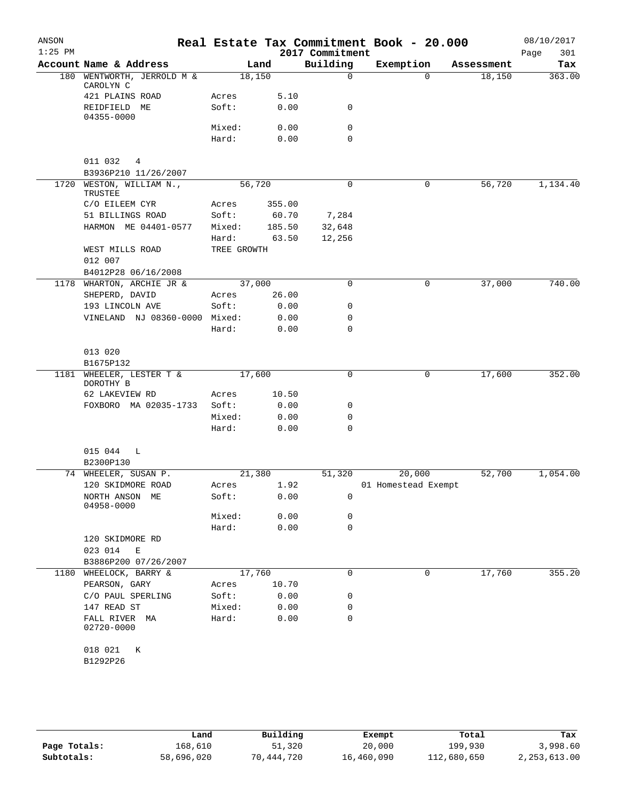| ANSON<br>$1:25$ PM |                                       |                |               |                             | Real Estate Tax Commitment Book - 20.000 |            | 08/10/2017         |
|--------------------|---------------------------------------|----------------|---------------|-----------------------------|------------------------------------------|------------|--------------------|
|                    | Account Name & Address                |                | Land          | 2017 Commitment<br>Building | Exemption                                | Assessment | 301<br>Page<br>Tax |
| 180                | WENTWORTH, JERROLD M &                | 18,150         |               | $\Omega$                    | $\Omega$                                 | 18,150     | 363.00             |
|                    | CAROLYN C<br>421 PLAINS ROAD          | Acres          | 5.10          |                             |                                          |            |                    |
|                    | REIDFIELD ME<br>04355-0000            | Soft:          | 0.00          | 0                           |                                          |            |                    |
|                    |                                       | Mixed:         | 0.00          | 0                           |                                          |            |                    |
|                    |                                       | Hard:          | 0.00          | 0                           |                                          |            |                    |
|                    | 011 032<br>4                          |                |               |                             |                                          |            |                    |
|                    | B3936P210 11/26/2007                  |                |               |                             |                                          |            |                    |
| 1720               | WESTON, WILLIAM N.,<br>TRUSTEE        | 56,720         |               | $\mathsf{O}$                | 0                                        | 56,720     | 1,134.40           |
|                    | C/O EILEEM CYR                        | Acres          | 355.00        |                             |                                          |            |                    |
|                    | 51 BILLINGS ROAD                      | Soft:          | 60.70         | 7,284                       |                                          |            |                    |
|                    | HARMON ME 04401-0577                  | Mixed:         | 185.50        | 32,648                      |                                          |            |                    |
|                    |                                       | Hard:          | 63.50         | 12,256                      |                                          |            |                    |
|                    | WEST MILLS ROAD                       | TREE GROWTH    |               |                             |                                          |            |                    |
|                    | 012 007                               |                |               |                             |                                          |            |                    |
|                    | B4012P28 06/16/2008                   |                |               |                             |                                          |            |                    |
|                    | 1178 WHARTON, ARCHIE JR &             | 37,000         |               | $\Omega$                    | 0                                        | 37,000     | 740.00             |
|                    | SHEPERD, DAVID<br>193 LINCOLN AVE     | Acres<br>Soft: | 26.00<br>0.00 | 0                           |                                          |            |                    |
|                    | VINELAND NJ 08360-0000 Mixed:         |                | 0.00          | 0                           |                                          |            |                    |
|                    |                                       | Hard:          | 0.00          | 0                           |                                          |            |                    |
|                    | 013 020                               |                |               |                             |                                          |            |                    |
|                    | B1675P132                             |                |               |                             |                                          |            |                    |
|                    | 1181 WHEELER, LESTER T &<br>DOROTHY B | 17,600         |               | 0                           | 0                                        | 17,600     | 352.00             |
|                    | 62 LAKEVIEW RD                        | Acres          | 10.50         |                             |                                          |            |                    |
|                    | FOXBORO MA 02035-1733                 | Soft:          | 0.00          | 0                           |                                          |            |                    |
|                    |                                       | Mixed:         | 0.00          | $\mathbf 0$                 |                                          |            |                    |
|                    |                                       | Hard:          | 0.00          | $\Omega$                    |                                          |            |                    |
|                    | 015 044<br>L<br>B2300P130             |                |               |                             |                                          |            |                    |
|                    | 74 WHEELER, SUSAN P.                  | 21,380         |               | 51,320                      | 20,000                                   | 52,700     | 1,054.00           |
|                    | 120 SKIDMORE ROAD                     | Acres          | 1.92          |                             | 01 Homestead Exempt                      |            |                    |
|                    | NORTH ANSON ME<br>04958-0000          | Soft:          | 0.00          | 0                           |                                          |            |                    |
|                    |                                       | Mixed:         | 0.00          | 0                           |                                          |            |                    |
|                    |                                       | Hard:          | 0.00          | $\mathbf 0$                 |                                          |            |                    |
|                    | 120 SKIDMORE RD<br>023 014<br>Е       |                |               |                             |                                          |            |                    |
|                    | B3886P200 07/26/2007                  |                |               |                             |                                          |            |                    |
| 1180               | WHEELOCK, BARRY &                     | 17,760         |               | 0                           | 0                                        | 17,760     | 355.20             |
|                    | PEARSON, GARY                         | Acres          | 10.70         |                             |                                          |            |                    |
|                    | C/O PAUL SPERLING                     | Soft:          | 0.00          | 0                           |                                          |            |                    |
|                    | 147 READ ST                           | Mixed:         | 0.00          | 0                           |                                          |            |                    |
|                    | FALL RIVER MA<br>02720-0000           | Hard:          | 0.00          | 0                           |                                          |            |                    |
|                    | 018 021<br>К<br>B1292P26              |                |               |                             |                                          |            |                    |
|                    |                                       |                |               |                             |                                          |            |                    |

|              | Land       | Building   | Exempt     | Total       | Tax            |
|--------------|------------|------------|------------|-------------|----------------|
| Page Totals: | 168,610    | 51,320     | 20,000     | 199,930     | 3,998.60       |
| Subtotals:   | 58,696,020 | 70,444,720 | 16,460,090 | 112,680,650 | 2, 253, 613.00 |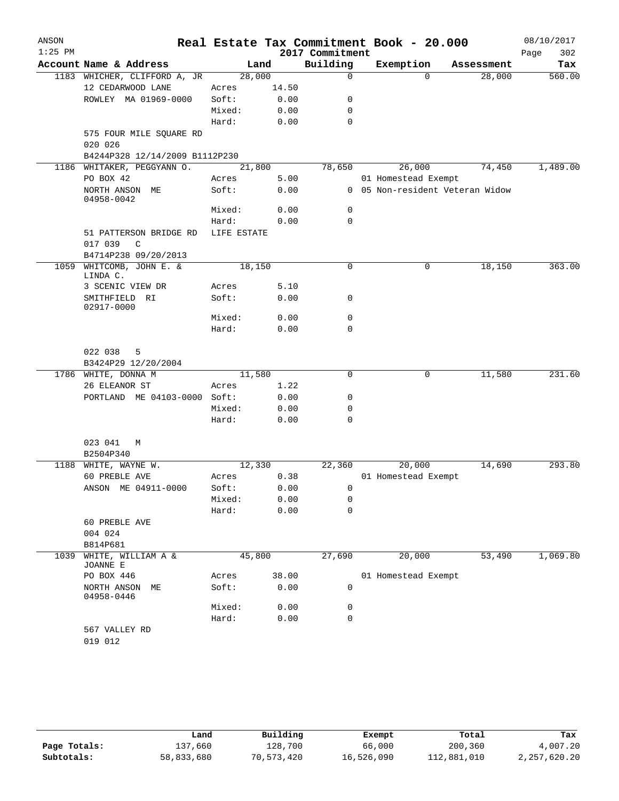| ANSON     |                                        |             |              |                 | Real Estate Tax Commitment Book - 20.000 |            | 08/10/2017  |
|-----------|----------------------------------------|-------------|--------------|-----------------|------------------------------------------|------------|-------------|
| $1:25$ PM |                                        |             |              | 2017 Commitment |                                          |            | 302<br>Page |
|           | Account Name & Address                 |             | Land         | Building        | Exemption                                | Assessment | Tax         |
|           | 1183 WHICHER, CLIFFORD A, JR           | 28,000      |              | $\mathbf 0$     | $\Omega$                                 | 28,000     | 560.00      |
|           | 12 CEDARWOOD LANE                      | Acres       | 14.50        |                 |                                          |            |             |
|           | ROWLEY MA 01969-0000                   | Soft:       | 0.00         | 0               |                                          |            |             |
|           |                                        | Mixed:      | 0.00         | 0               |                                          |            |             |
|           |                                        | Hard:       | 0.00         | $\mathbf 0$     |                                          |            |             |
|           | 575 FOUR MILE SQUARE RD<br>020 026     |             |              |                 |                                          |            |             |
|           | B4244P328 12/14/2009 B1112P230         |             |              |                 |                                          |            |             |
|           | 1186 WHITAKER, PEGGYANN O.             | 21,800      |              | 78,650          | 26,000                                   | 74,450     | 1,489.00    |
|           | PO BOX 42                              | Acres       | 5.00         |                 | 01 Homestead Exempt                      |            |             |
|           | NORTH ANSON ME<br>04958-0042           | Soft:       | 0.00         |                 | 0 05 Non-resident Veteran Widow          |            |             |
|           |                                        | Mixed:      | 0.00         | $\mathsf{O}$    |                                          |            |             |
|           |                                        | Hard:       | 0.00         | $\mathbf 0$     |                                          |            |             |
|           | 51 PATTERSON BRIDGE RD<br>017 039<br>C | LIFE ESTATE |              |                 |                                          |            |             |
|           | B4714P238 09/20/2013                   |             |              |                 |                                          |            |             |
| 1059      | WHITCOMB, JOHN E. &<br>LINDA C.        | 18,150      |              | 0               | 0                                        | 18,150     | 363.00      |
|           | 3 SCENIC VIEW DR                       | Acres       | 5.10         |                 |                                          |            |             |
|           | SMITHFIELD RI<br>02917-0000            | Soft:       | 0.00         | 0               |                                          |            |             |
|           |                                        | Mixed:      | 0.00         | $\mathbf 0$     |                                          |            |             |
|           |                                        | Hard:       | 0.00         | 0               |                                          |            |             |
|           | 022 038<br>5<br>B3424P29 12/20/2004    |             |              |                 |                                          |            |             |
|           | 1786 WHITE, DONNA M                    | 11,580      |              | 0               | 0                                        | 11,580     | 231.60      |
|           | 26 ELEANOR ST                          | Acres       | 1.22         |                 |                                          |            |             |
|           | PORTLAND ME 04103-0000 Soft:           |             | 0.00         | 0               |                                          |            |             |
|           |                                        | Mixed:      | 0.00         | 0               |                                          |            |             |
|           |                                        | Hard:       | 0.00         | 0               |                                          |            |             |
|           | 023 041<br>M                           |             |              |                 |                                          |            |             |
|           | B2504P340                              |             |              |                 |                                          |            |             |
|           | 1188 WHITE, WAYNE W.                   | 12,330      |              | 22,360          | 20,000                                   | 14,690     | 293.80      |
|           | 60 PREBLE AVE                          | Acres       | 0.38         |                 | 01 Homestead Exempt                      |            |             |
|           | ANSON ME 04911-0000                    | Soft:       | 0.00         | $\mathbf{0}$    |                                          |            |             |
|           |                                        | Mixed:      | 0.00         | 0               |                                          |            |             |
|           |                                        | Hard:       | 0.00         | 0               |                                          |            |             |
|           | 60 PREBLE AVE                          |             |              |                 |                                          |            |             |
|           | 004 024                                |             |              |                 |                                          |            |             |
|           | B814P681                               |             |              |                 |                                          |            |             |
| 1039      | WHITE, WILLIAM A &<br>JOANNE E         | 45,800      |              | 27,690          | 20,000                                   | 53,490     | 1,069.80    |
|           | PO BOX 446                             | Acres       | 38.00        |                 | 01 Homestead Exempt                      |            |             |
|           | NORTH ANSON ME<br>04958-0446           | Soft:       | 0.00<br>0.00 | 0<br>0          |                                          |            |             |
|           |                                        | Mixed:      |              | 0               |                                          |            |             |
|           | 567 VALLEY RD                          | Hard:       | 0.00         |                 |                                          |            |             |
|           | 019 012                                |             |              |                 |                                          |            |             |
|           |                                        |             |              |                 |                                          |            |             |

|              | Land       | Building   | Exempt     | Total       | Tax          |
|--------------|------------|------------|------------|-------------|--------------|
| Page Totals: | L37,660    | 128,700    | 66,000     | 200,360     | 4,007.20     |
| Subtotals:   | 58,833,680 | 70,573,420 | 16,526,090 | 112,881,010 | 2,257,620.20 |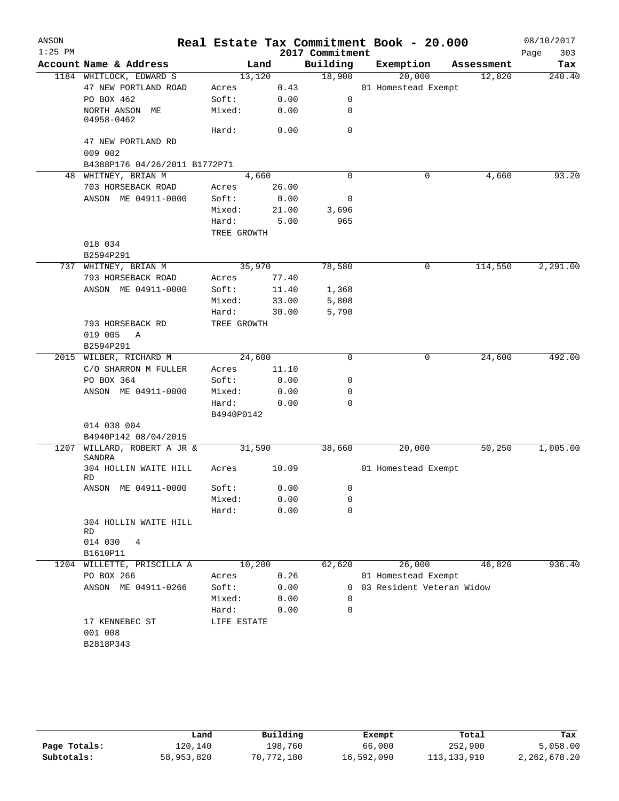| ANSON<br>$1:25$ PM |                                    |             |       | 2017 Commitment | Real Estate Tax Commitment Book - 20.000 |            | 08/10/2017<br>303<br>Page |
|--------------------|------------------------------------|-------------|-------|-----------------|------------------------------------------|------------|---------------------------|
|                    | Account Name & Address             |             | Land  | Building        | Exemption                                | Assessment | Tax                       |
|                    | 1184 WHITLOCK, EDWARD S            | 13,120      |       | 18,900          | 20,000                                   | 12,020     | 240.40                    |
|                    | 47 NEW PORTLAND ROAD               | Acres       | 0.43  |                 | 01 Homestead Exempt                      |            |                           |
|                    | PO BOX 462                         | Soft:       | 0.00  | 0               |                                          |            |                           |
|                    | NORTH ANSON ME<br>04958-0462       | Mixed:      | 0.00  | 0               |                                          |            |                           |
|                    |                                    | Hard:       | 0.00  | $\mathbf 0$     |                                          |            |                           |
|                    | 47 NEW PORTLAND RD<br>009 002      |             |       |                 |                                          |            |                           |
|                    | B4388P176 04/26/2011 B1772P71      |             |       | $\Omega$        |                                          |            |                           |
|                    | 48 WHITNEY, BRIAN M                | 4,660       |       |                 | 0                                        | 4,660      | 93.20                     |
|                    | 703 HORSEBACK ROAD                 | Acres       | 26.00 |                 |                                          |            |                           |
|                    | ANSON ME 04911-0000                | Soft:       | 0.00  | 0               |                                          |            |                           |
|                    |                                    | Mixed:      | 21.00 | 3,696           |                                          |            |                           |
|                    |                                    | Hard:       | 5.00  | 965             |                                          |            |                           |
|                    |                                    | TREE GROWTH |       |                 |                                          |            |                           |
|                    | 018 034                            |             |       |                 |                                          |            |                           |
|                    | B2594P291                          |             |       |                 |                                          |            |                           |
|                    | 737 WHITNEY, BRIAN M               | 35,970      |       | 78,580          | 0                                        | 114,550    | 2,291.00                  |
|                    | 793 HORSEBACK ROAD                 | Acres       | 77.40 |                 |                                          |            |                           |
|                    | ANSON ME 04911-0000                | Soft:       | 11.40 | 1,368           |                                          |            |                           |
|                    |                                    | Mixed:      | 33.00 | 5,808           |                                          |            |                           |
|                    |                                    | Hard:       | 30.00 | 5,790           |                                          |            |                           |
|                    | 793 HORSEBACK RD                   | TREE GROWTH |       |                 |                                          |            |                           |
|                    | 019 005<br>A<br>B2594P291          |             |       |                 |                                          |            |                           |
|                    | 2015 WILBER, RICHARD M             | 24,600      |       | $\Omega$        | 0                                        | 24,600     | 492.00                    |
|                    | C/O SHARRON M FULLER               | Acres       | 11.10 |                 |                                          |            |                           |
|                    | PO BOX 364                         | Soft:       | 0.00  | 0               |                                          |            |                           |
|                    | ANSON ME 04911-0000                | Mixed:      | 0.00  | 0               |                                          |            |                           |
|                    |                                    | Hard:       | 0.00  | 0               |                                          |            |                           |
|                    | 014 038 004                        | B4940P0142  |       |                 |                                          |            |                           |
|                    | B4940P142 08/04/2015               |             |       |                 |                                          |            |                           |
| 1207               | WILLARD, ROBERT A JR &<br>SANDRA   | 31,590      |       | 38,660          | 20,000                                   | 50, 250    | 1,005.00                  |
|                    | 304 HOLLIN WAITE HILL<br><b>RD</b> | Acres       | 10.09 |                 | 01 Homestead Exempt                      |            |                           |
|                    | ANSON ME 04911-0000                | Soft:       | 0.00  | 0               |                                          |            |                           |
|                    |                                    | Mixed:      | 0.00  | 0               |                                          |            |                           |
|                    |                                    | Hard:       | 0.00  | $\mathbf 0$     |                                          |            |                           |
|                    | 304 HOLLIN WAITE HILL<br>RD        |             |       |                 |                                          |            |                           |
|                    | 014 030<br>4                       |             |       |                 |                                          |            |                           |
|                    | B1610P11                           |             |       |                 |                                          |            |                           |
|                    | 1204 WILLETTE, PRISCILLA A         | 10,200      |       | 62,620          | 26,000                                   | 46,820     | 936.40                    |
|                    | PO BOX 266                         | Acres       | 0.26  |                 | 01 Homestead Exempt                      |            |                           |
|                    | ANSON ME 04911-0266                | Soft:       | 0.00  |                 | 0 03 Resident Veteran Widow              |            |                           |
|                    |                                    | Mixed:      | 0.00  | $\Omega$        |                                          |            |                           |
|                    |                                    | Hard:       | 0.00  | 0               |                                          |            |                           |
|                    | 17 KENNEBEC ST<br>001 008          | LIFE ESTATE |       |                 |                                          |            |                           |
|                    | B2818P343                          |             |       |                 |                                          |            |                           |
|                    |                                    |             |       |                 |                                          |            |                           |

|              | Land       | Building   | Exempt     | Total       | Tax          |
|--------------|------------|------------|------------|-------------|--------------|
| Page Totals: | 120,140    | 198,760    | 66,000     | 252,900     | 5,058.00     |
| Subtotals:   | 58,953,820 | 70,772,180 | 16,592,090 | 113,133,910 | 2,262,678.20 |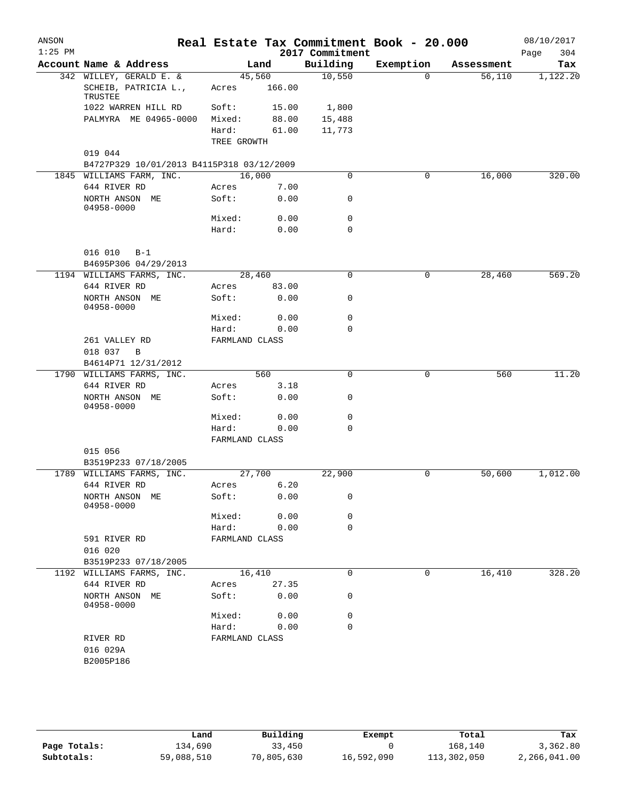| ANSON<br>$1:25$ PM |                                           |                         |        | 2017 Commitment | Real Estate Tax Commitment Book - 20.000 |            | 08/10/2017<br>304<br>Page |
|--------------------|-------------------------------------------|-------------------------|--------|-----------------|------------------------------------------|------------|---------------------------|
|                    | Account Name & Address                    |                         | Land   | Building        | Exemption                                | Assessment | Tax                       |
|                    | 342 WILLEY, GERALD E. &                   | 45,560                  |        | 10,550          | $\mathbf 0$                              | 56,110     | 1,122.20                  |
|                    | SCHEIB, PATRICIA L.,<br>TRUSTEE           | Acres                   | 166.00 |                 |                                          |            |                           |
|                    | 1022 WARREN HILL RD                       | Soft:                   | 15.00  | 1,800           |                                          |            |                           |
|                    | PALMYRA ME 04965-0000                     | Mixed:                  | 88.00  | 15,488          |                                          |            |                           |
|                    |                                           | Hard:                   | 61.00  | 11,773          |                                          |            |                           |
|                    |                                           | TREE GROWTH             |        |                 |                                          |            |                           |
|                    | 019 044                                   |                         |        |                 |                                          |            |                           |
|                    | B4727P329 10/01/2013 B4115P318 03/12/2009 |                         |        |                 |                                          |            |                           |
|                    | 1845 WILLIAMS FARM, INC.                  | 16,000                  |        | $\mathbf 0$     | 0                                        | 16,000     | 320.00                    |
|                    | 644 RIVER RD                              | Acres                   | 7.00   |                 |                                          |            |                           |
|                    | NORTH ANSON ME<br>04958-0000              | Soft:                   | 0.00   | 0               |                                          |            |                           |
|                    |                                           | Mixed:                  | 0.00   | $\mathbf 0$     |                                          |            |                           |
|                    |                                           | Hard:                   | 0.00   | $\mathbf 0$     |                                          |            |                           |
|                    | 016 010<br>$B-1$                          |                         |        |                 |                                          |            |                           |
|                    | B4695P306 04/29/2013                      |                         |        |                 |                                          |            |                           |
|                    | 1194 WILLIAMS FARMS, INC.                 | 28,460                  |        | 0               | 0                                        | 28,460     | 569.20                    |
|                    | 644 RIVER RD                              | Acres                   | 83.00  |                 |                                          |            |                           |
|                    | NORTH ANSON ME<br>04958-0000              | Soft:                   | 0.00   | 0               |                                          |            |                           |
|                    |                                           | Mixed:                  | 0.00   | $\mathbf 0$     |                                          |            |                           |
|                    |                                           | Hard:                   | 0.00   | $\mathbf 0$     |                                          |            |                           |
|                    | 261 VALLEY RD                             | FARMLAND CLASS          |        |                 |                                          |            |                           |
|                    | 018 037<br>B                              |                         |        |                 |                                          |            |                           |
|                    | B4614P71 12/31/2012                       |                         |        |                 |                                          |            |                           |
|                    | 1790 WILLIAMS FARMS, INC.                 |                         | 560    | $\mathbf 0$     | $\mathbf 0$                              | 560        | 11.20                     |
|                    | 644 RIVER RD                              | Acres                   | 3.18   |                 |                                          |            |                           |
|                    | NORTH ANSON ME<br>04958-0000              | Soft:                   | 0.00   | 0               |                                          |            |                           |
|                    |                                           | Mixed:                  | 0.00   | $\mathsf{O}$    |                                          |            |                           |
|                    |                                           | Hard:<br>FARMLAND CLASS | 0.00   | $\mathbf 0$     |                                          |            |                           |
|                    | 015 056                                   |                         |        |                 |                                          |            |                           |
|                    | B3519P233 07/18/2005                      |                         |        |                 |                                          |            |                           |
|                    | 1789 WILLIAMS FARMS, INC.                 | 27,700                  |        | 22,900          | 0                                        | 50,600     | 1,012.00                  |
|                    | 644 RIVER RD                              | Acres                   | 6.20   |                 |                                          |            |                           |
|                    | NORTH ANSON ME<br>04958-0000              | Soft:                   | 0.00   | 0               |                                          |            |                           |
|                    |                                           | Mixed:                  | 0.00   | 0               |                                          |            |                           |
|                    |                                           | Hard:                   | 0.00   | $\mathbf 0$     |                                          |            |                           |
|                    | 591 RIVER RD                              | FARMLAND CLASS          |        |                 |                                          |            |                           |
|                    | 016 020                                   |                         |        |                 |                                          |            |                           |
|                    | B3519P233 07/18/2005                      |                         |        |                 |                                          |            |                           |
|                    | 1192 WILLIAMS FARMS, INC.                 | 16,410                  |        | 0               | 0                                        | 16,410     | 328.20                    |
|                    | 644 RIVER RD                              | Acres                   | 27.35  |                 |                                          |            |                           |
|                    | NORTH ANSON ME<br>04958-0000              | Soft:                   | 0.00   | 0               |                                          |            |                           |
|                    |                                           | Mixed:                  | 0.00   | 0               |                                          |            |                           |
|                    |                                           | Hard:                   | 0.00   | 0               |                                          |            |                           |
|                    | RIVER RD                                  | FARMLAND CLASS          |        |                 |                                          |            |                           |
|                    | 016 029A                                  |                         |        |                 |                                          |            |                           |
|                    | B2005P186                                 |                         |        |                 |                                          |            |                           |
|                    |                                           |                         |        |                 |                                          |            |                           |

|              | Land       | Building   | Exempt     | Total       | Tax          |
|--------------|------------|------------|------------|-------------|--------------|
| Page Totals: | 134,690    | 33,450     |            | 168,140     | 3,362.80     |
| Subtotals:   | 59,088,510 | 70,805,630 | 16,592,090 | 113,302,050 | 2,266,041.00 |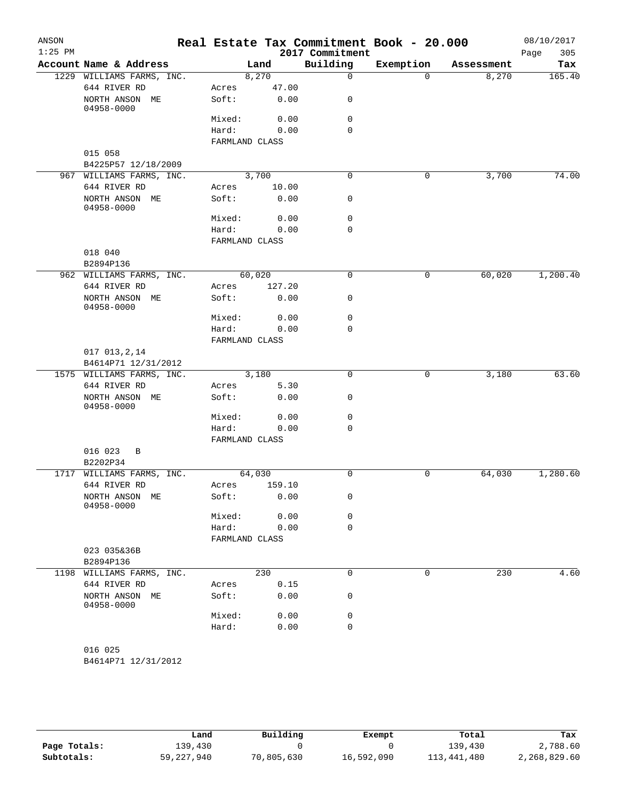| ANSON<br>$1:25$ PM |                                |                         |        | 2017 Commitment | Real Estate Tax Commitment Book - 20.000 |            | 08/10/2017<br>305<br>Page |
|--------------------|--------------------------------|-------------------------|--------|-----------------|------------------------------------------|------------|---------------------------|
|                    | Account Name & Address         |                         | Land   | Building        | Exemption                                | Assessment | Tax                       |
|                    | 1229 WILLIAMS FARMS, INC.      |                         | 8,270  | $\mathbf 0$     | $\Omega$                                 | 8,270      | 165.40                    |
|                    | 644 RIVER RD                   | Acres                   | 47.00  |                 |                                          |            |                           |
|                    | NORTH ANSON ME<br>04958-0000   | Soft:                   | 0.00   | 0               |                                          |            |                           |
|                    |                                | Mixed:                  | 0.00   | $\mathbf 0$     |                                          |            |                           |
|                    |                                | Hard:<br>FARMLAND CLASS | 0.00   | $\Omega$        |                                          |            |                           |
|                    | 015 058                        |                         |        |                 |                                          |            |                           |
|                    | B4225P57 12/18/2009            |                         |        |                 |                                          |            |                           |
|                    | 967 WILLIAMS FARMS, INC.       |                         | 3,700  | $\mathbf 0$     | 0                                        | 3,700      | 74.00                     |
|                    | 644 RIVER RD                   | Acres                   | 10.00  |                 |                                          |            |                           |
|                    | NORTH ANSON ME<br>04958-0000   | Soft:                   | 0.00   | $\mathbf 0$     |                                          |            |                           |
|                    |                                | Mixed:                  | 0.00   | $\mathbf 0$     |                                          |            |                           |
|                    |                                | Hard:                   | 0.00   | $\mathbf 0$     |                                          |            |                           |
|                    |                                | FARMLAND CLASS          |        |                 |                                          |            |                           |
|                    | 018 040                        |                         |        |                 |                                          |            |                           |
|                    | B2894P136                      |                         |        |                 |                                          |            |                           |
|                    | 962 WILLIAMS FARMS, INC.       |                         | 60,020 | 0               | 0                                        | 60,020     | 1,200.40                  |
|                    | 644 RIVER RD                   | Acres                   | 127.20 |                 |                                          |            |                           |
|                    | NORTH ANSON ME<br>04958-0000   | Soft:                   | 0.00   | 0               |                                          |            |                           |
|                    |                                | Mixed:                  | 0.00   | $\mathbf 0$     |                                          |            |                           |
|                    |                                | Hard:                   | 0.00   | $\mathbf 0$     |                                          |            |                           |
|                    |                                | FARMLAND CLASS          |        |                 |                                          |            |                           |
|                    | 017 013, 2, 14                 |                         |        |                 |                                          |            |                           |
|                    | B4614P71 12/31/2012            |                         |        |                 |                                          |            |                           |
|                    | 1575 WILLIAMS FARMS, INC.      |                         | 3,180  | $\overline{0}$  | 0                                        | 3,180      | 63.60                     |
|                    | 644 RIVER RD                   | Acres<br>Soft:          | 5.30   | $\mathbf 0$     |                                          |            |                           |
|                    | NORTH ANSON ME<br>04958-0000   |                         | 0.00   | $\mathbf 0$     |                                          |            |                           |
|                    |                                | Mixed:                  | 0.00   | $\mathbf 0$     |                                          |            |                           |
|                    |                                | Hard:                   | 0.00   |                 |                                          |            |                           |
|                    | 016 023<br>B                   | FARMLAND CLASS          |        |                 |                                          |            |                           |
|                    | B2202P34                       |                         |        |                 |                                          |            |                           |
|                    | 1717 WILLIAMS FARMS, INC.      |                         | 64,030 | $\mathsf{O}$    | 0                                        | 64,030     | 1,280.60                  |
|                    | 644 RIVER RD                   | Acres                   | 159.10 |                 |                                          |            |                           |
|                    | NORTH ANSON ME<br>04958-0000   | Soft:                   | 0.00   | 0               |                                          |            |                           |
|                    |                                | Mixed:                  | 0.00   | 0               |                                          |            |                           |
|                    |                                | Hard:                   | 0.00   | $\mathbf 0$     |                                          |            |                           |
|                    |                                | FARMLAND CLASS          |        |                 |                                          |            |                           |
|                    | 023 035&36B                    |                         |        |                 |                                          |            |                           |
|                    | B2894P136                      |                         |        |                 |                                          |            |                           |
|                    | 1198 WILLIAMS FARMS, INC.      |                         | 230    | $\mathbf 0$     | 0                                        | 230        | 4.60                      |
|                    | 644 RIVER RD                   | Acres                   | 0.15   |                 |                                          |            |                           |
|                    | NORTH ANSON ME<br>04958-0000   | Soft:                   | 0.00   | 0               |                                          |            |                           |
|                    |                                | Mixed:                  | 0.00   | $\mathbf 0$     |                                          |            |                           |
|                    |                                | Hard:                   | 0.00   | $\mathbf 0$     |                                          |            |                           |
|                    | 016 025<br>B4614P71 12/31/2012 |                         |        |                 |                                          |            |                           |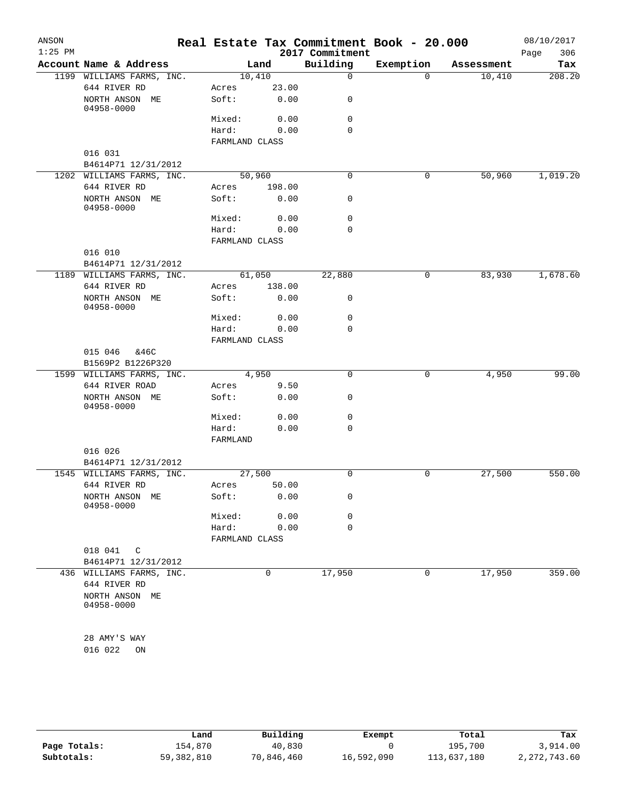| ANSON<br>$1:25$ PM |                                          |                         |        | 2017 Commitment | Real Estate Tax Commitment Book - 20.000 |            | 08/10/2017<br>306<br>Page |
|--------------------|------------------------------------------|-------------------------|--------|-----------------|------------------------------------------|------------|---------------------------|
|                    | Account Name & Address                   |                         | Land   | Building        | Exemption                                | Assessment | Tax                       |
|                    | 1199 WILLIAMS FARMS, INC.                | 10,410                  |        | $\mathbf 0$     | $\Omega$                                 | 10,410     | 208.20                    |
|                    | 644 RIVER RD                             | Acres                   | 23.00  |                 |                                          |            |                           |
|                    | NORTH ANSON ME<br>04958-0000             | Soft:                   | 0.00   | 0               |                                          |            |                           |
|                    |                                          | Mixed:                  | 0.00   | $\mathbf 0$     |                                          |            |                           |
|                    |                                          | Hard:                   | 0.00   | $\Omega$        |                                          |            |                           |
|                    |                                          | FARMLAND CLASS          |        |                 |                                          |            |                           |
|                    | 016 031                                  |                         |        |                 |                                          |            |                           |
|                    | B4614P71 12/31/2012                      |                         |        |                 |                                          |            |                           |
|                    | 1202 WILLIAMS FARMS, INC.                | 50,960                  |        | $\mathbf 0$     | 0                                        | 50,960     | 1,019.20                  |
|                    | 644 RIVER RD                             | Acres                   | 198.00 |                 |                                          |            |                           |
|                    | NORTH ANSON ME<br>04958-0000             | Soft:                   | 0.00   | 0               |                                          |            |                           |
|                    |                                          | Mixed:                  | 0.00   | 0               |                                          |            |                           |
|                    |                                          | Hard:                   | 0.00   | 0               |                                          |            |                           |
|                    |                                          | FARMLAND CLASS          |        |                 |                                          |            |                           |
|                    | 016 010                                  |                         |        |                 |                                          |            |                           |
|                    | B4614P71 12/31/2012                      |                         |        |                 |                                          |            |                           |
|                    | 1189 WILLIAMS FARMS, INC.                | 61,050                  |        | 22,880          | 0                                        | 83,930     | 1,678.60                  |
|                    | 644 RIVER RD                             | Acres                   | 138.00 |                 |                                          |            |                           |
|                    | NORTH ANSON ME<br>04958-0000             | Soft:                   | 0.00   | 0               |                                          |            |                           |
|                    |                                          | Mixed:                  | 0.00   | 0               |                                          |            |                           |
|                    |                                          | Hard:                   | 0.00   | $\mathbf 0$     |                                          |            |                           |
|                    |                                          | FARMLAND CLASS          |        |                 |                                          |            |                           |
|                    | 015 046<br>&46C<br>B1569P2 B1226P320     |                         |        |                 |                                          |            |                           |
|                    | 1599 WILLIAMS FARMS, INC.                |                         | 4,950  | $\mathbf 0$     | $\mathbf 0$                              | 4,950      | 99.00                     |
|                    | 644 RIVER ROAD                           | Acres                   | 9.50   |                 |                                          |            |                           |
|                    | NORTH ANSON ME                           | Soft:                   | 0.00   | 0               |                                          |            |                           |
|                    | 04958-0000                               |                         |        |                 |                                          |            |                           |
|                    |                                          | Mixed:                  | 0.00   | 0               |                                          |            |                           |
|                    |                                          | Hard:                   | 0.00   | $\mathbf 0$     |                                          |            |                           |
|                    |                                          | FARMLAND                |        |                 |                                          |            |                           |
|                    | 016 026                                  |                         |        |                 |                                          |            |                           |
|                    | B4614P71 12/31/2012                      |                         |        |                 |                                          |            |                           |
|                    | 1545 WILLIAMS FARMS, INC.                | 27,500                  |        | 0               | 0                                        | 27,500     | 550.00                    |
|                    | 644 RIVER RD                             | Acres                   | 50.00  |                 |                                          |            |                           |
|                    | NORTH ANSON ME<br>04958-0000             | Soft:                   | 0.00   | 0               |                                          |            |                           |
|                    |                                          | Mixed:                  | 0.00   | 0               |                                          |            |                           |
|                    |                                          | Hard:<br>FARMLAND CLASS | 0.00   | $\mathbf 0$     |                                          |            |                           |
|                    | 018 041<br>$\mathsf{C}$                  |                         |        |                 |                                          |            |                           |
|                    | B4614P71 12/31/2012                      |                         |        |                 |                                          |            |                           |
|                    | 436 WILLIAMS FARMS, INC.<br>644 RIVER RD |                         | 0      | 17,950          | 0                                        | 17,950     | 359.00                    |
|                    | NORTH ANSON ME                           |                         |        |                 |                                          |            |                           |
|                    | 04958-0000                               |                         |        |                 |                                          |            |                           |
|                    | 28 AMY'S WAY                             |                         |        |                 |                                          |            |                           |
|                    | 016 022<br>ON                            |                         |        |                 |                                          |            |                           |
|                    |                                          |                         |        |                 |                                          |            |                           |

|              | Land       | Building   | Exempt     | Total       | Tax          |
|--------------|------------|------------|------------|-------------|--------------|
| Page Totals: | 154,870    | 40,830     |            | 195,700     | 3,914.00     |
| Subtotals:   | 59,382,810 | 70,846,460 | 16,592,090 | 113,637,180 | 2,272,743.60 |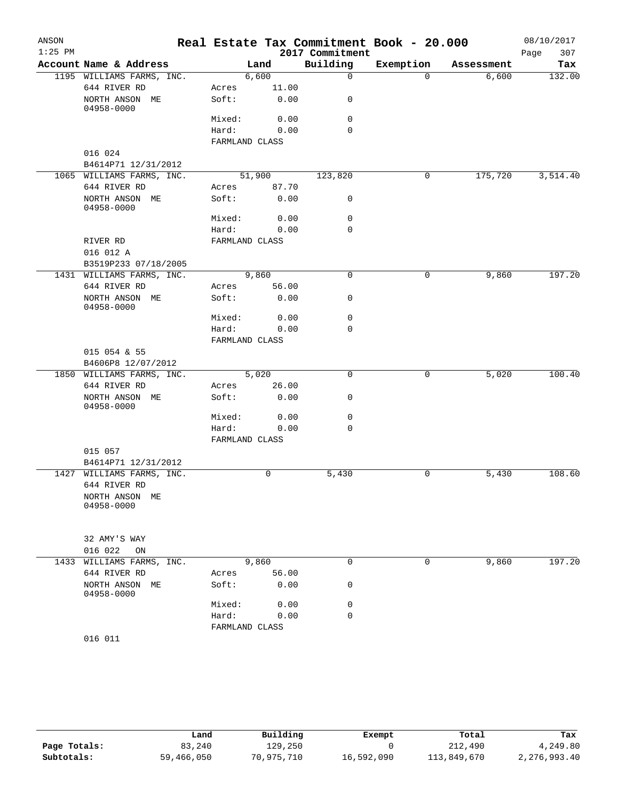| ANSON<br>$1:25$ PM |                              |                |        |                             | Real Estate Tax Commitment Book - 20.000 |            | 08/10/2017  |
|--------------------|------------------------------|----------------|--------|-----------------------------|------------------------------------------|------------|-------------|
|                    | Account Name & Address       |                |        | 2017 Commitment<br>Building | Exemption                                |            | 307<br>Page |
|                    |                              |                | Land   |                             |                                          | Assessment | Tax         |
|                    | 1195 WILLIAMS FARMS, INC.    |                | 6,600  | $\mathbf 0$                 | $\Omega$                                 | 6,600      | 132.00      |
|                    | 644 RIVER RD                 | Acres          | 11.00  |                             |                                          |            |             |
|                    | NORTH ANSON ME<br>04958-0000 | Soft:          | 0.00   | 0                           |                                          |            |             |
|                    |                              | Mixed:         | 0.00   | 0                           |                                          |            |             |
|                    |                              | Hard:          | 0.00   | $\Omega$                    |                                          |            |             |
|                    |                              | FARMLAND CLASS |        |                             |                                          |            |             |
|                    | 016 024                      |                |        |                             |                                          |            |             |
|                    | B4614P71 12/31/2012          |                |        |                             |                                          |            |             |
|                    | 1065 WILLIAMS FARMS, INC.    |                | 51,900 | 123,820                     | 0                                        | 175,720    | 3,514.40    |
|                    | 644 RIVER RD                 | Acres          | 87.70  |                             |                                          |            |             |
|                    | NORTH ANSON ME<br>04958-0000 | Soft:          | 0.00   | 0                           |                                          |            |             |
|                    |                              | Mixed:         | 0.00   | $\mathbf 0$                 |                                          |            |             |
|                    |                              | Hard:          | 0.00   | $\mathbf 0$                 |                                          |            |             |
|                    | RIVER RD                     | FARMLAND CLASS |        |                             |                                          |            |             |
|                    | 016 012 A                    |                |        |                             |                                          |            |             |
|                    | B3519P233 07/18/2005         |                |        |                             |                                          |            |             |
|                    | 1431 WILLIAMS FARMS, INC.    |                | 9,860  | $\mathbf 0$                 | $\mathbf 0$                              | 9,860      | 197.20      |
|                    | 644 RIVER RD                 | Acres          | 56.00  |                             |                                          |            |             |
|                    | NORTH ANSON ME<br>04958-0000 | Soft:          | 0.00   | 0                           |                                          |            |             |
|                    |                              | Mixed:         | 0.00   | $\mathbf 0$                 |                                          |            |             |
|                    |                              | Hard:          | 0.00   | 0                           |                                          |            |             |
|                    |                              | FARMLAND CLASS |        |                             |                                          |            |             |
|                    | 015 054 & 55                 |                |        |                             |                                          |            |             |
|                    | B4606P8 12/07/2012           |                |        |                             |                                          |            |             |
|                    | 1850 WILLIAMS FARMS, INC.    |                | 5,020  | $\mathbf 0$                 | 0                                        | 5,020      | 100.40      |
|                    | 644 RIVER RD                 | Acres          | 26.00  |                             |                                          |            |             |
|                    | NORTH ANSON ME<br>04958-0000 | Soft:          | 0.00   | 0                           |                                          |            |             |
|                    |                              | Mixed:         | 0.00   | 0                           |                                          |            |             |
|                    |                              | Hard:          | 0.00   | $\Omega$                    |                                          |            |             |
|                    |                              | FARMLAND CLASS |        |                             |                                          |            |             |
|                    | 015 057                      |                |        |                             |                                          |            |             |
|                    | B4614P71 12/31/2012          |                |        |                             |                                          |            |             |
|                    | 1427 WILLIAMS FARMS, INC.    |                | 0      | 5,430                       | $\mathbf 0$                              | 5,430      | 108.60      |
|                    | 644 RIVER RD                 |                |        |                             |                                          |            |             |
|                    | NORTH ANSON ME<br>04958-0000 |                |        |                             |                                          |            |             |
|                    |                              |                |        |                             |                                          |            |             |
|                    | 32 AMY'S WAY                 |                |        |                             |                                          |            |             |
|                    | 016 022<br>ON                |                |        |                             |                                          |            |             |
| 1433               | WILLIAMS FARMS, INC.         |                | 9,860  | $\mathbf 0$                 | 0                                        | 9,860      | 197.20      |
|                    | 644 RIVER RD                 | Acres          | 56.00  |                             |                                          |            |             |
|                    | NORTH ANSON ME               | Soft:          | 0.00   | 0                           |                                          |            |             |
|                    | 04958-0000                   | Mixed:         | 0.00   | 0                           |                                          |            |             |
|                    |                              |                |        | $\mathbf 0$                 |                                          |            |             |
|                    |                              | Hard:          | 0.00   |                             |                                          |            |             |
|                    |                              | FARMLAND CLASS |        |                             |                                          |            |             |
|                    | 016 011                      |                |        |                             |                                          |            |             |

|              | Land       | Building   | Exempt     | Total       | Tax          |
|--------------|------------|------------|------------|-------------|--------------|
| Page Totals: | 83,240     | 129,250    |            | 212,490     | 4,249.80     |
| Subtotals:   | 59,466,050 | 70,975,710 | 16,592,090 | 113,849,670 | 2,276,993.40 |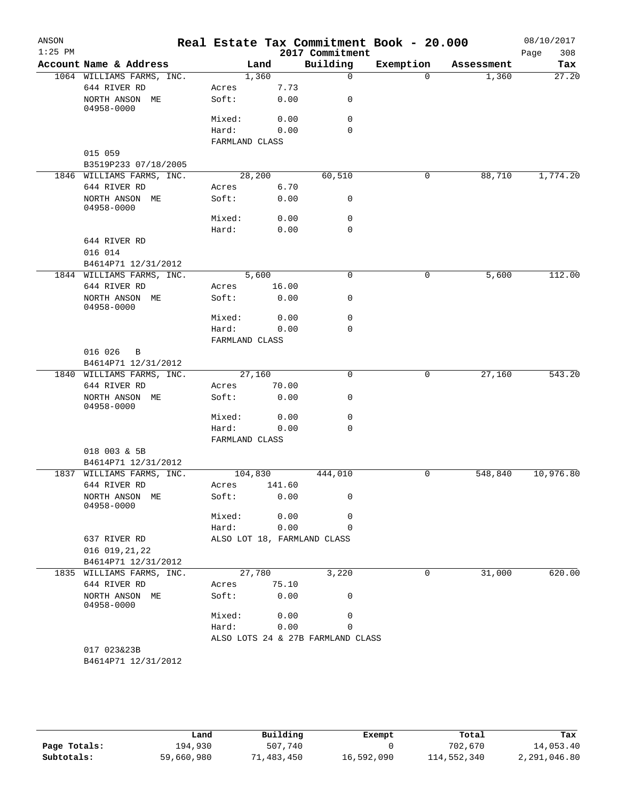| ANSON     |                                           |                  |               | Real Estate Tax Commitment Book - 20.000 |                       |                     | 08/10/2017   |
|-----------|-------------------------------------------|------------------|---------------|------------------------------------------|-----------------------|---------------------|--------------|
| $1:25$ PM | Account Name & Address                    |                  |               | 2017 Commitment<br>Building              |                       |                     | 308<br>Page  |
|           | 1064 WILLIAMS FARMS, INC.                 |                  | Land<br>1,360 | $\mathbf 0$                              | Exemption<br>$\Omega$ | Assessment<br>1,360 | Tax<br>27.20 |
|           | 644 RIVER RD                              | Acres            | 7.73          |                                          |                       |                     |              |
|           | NORTH ANSON ME                            | Soft:            | 0.00          | 0                                        |                       |                     |              |
|           | 04958-0000                                |                  |               |                                          |                       |                     |              |
|           |                                           | Mixed:           | 0.00          | $\mathbf 0$                              |                       |                     |              |
|           |                                           | Hard:            | 0.00          | $\Omega$                                 |                       |                     |              |
|           |                                           | FARMLAND CLASS   |               |                                          |                       |                     |              |
|           | 015 059                                   |                  |               |                                          |                       |                     |              |
|           | B3519P233 07/18/2005                      |                  |               |                                          |                       |                     |              |
|           | 1846 WILLIAMS FARMS, INC.                 |                  | 28,200        | 60,510                                   | $\mathbf 0$           | 88,710              | 1,774.20     |
|           | 644 RIVER RD                              | Acres            | 6.70          |                                          |                       |                     |              |
|           | NORTH ANSON ME<br>04958-0000              | Soft:            | 0.00          | 0                                        |                       |                     |              |
|           |                                           | Mixed:           | 0.00          | 0                                        |                       |                     |              |
|           |                                           | Hard:            | 0.00          | $\mathbf 0$                              |                       |                     |              |
|           | 644 RIVER RD<br>016 014                   |                  |               |                                          |                       |                     |              |
|           | B4614P71 12/31/2012                       |                  |               |                                          |                       |                     |              |
|           | 1844 WILLIAMS FARMS, INC.                 |                  | 5,600         | $\mathbf 0$                              | 0                     | 5,600               | 112.00       |
|           | 644 RIVER RD                              | Acres            | 16.00         |                                          |                       |                     |              |
|           | NORTH ANSON ME<br>04958-0000              | Soft:            | 0.00          | 0                                        |                       |                     |              |
|           |                                           | Mixed:           | 0.00          | $\mathbf 0$                              |                       |                     |              |
|           |                                           | Hard:            | 0.00          | 0                                        |                       |                     |              |
|           |                                           | FARMLAND CLASS   |               |                                          |                       |                     |              |
|           | 016 026<br>B                              |                  |               |                                          |                       |                     |              |
|           | B4614P71 12/31/2012                       |                  |               |                                          |                       |                     |              |
|           | 1840 WILLIAMS FARMS, INC.                 |                  | 27,160        | $\mathbf 0$                              | 0                     | 27,160              | 543.20       |
|           | 644 RIVER RD                              | Acres            | 70.00         |                                          |                       |                     |              |
|           | NORTH ANSON ME<br>04958-0000              | Soft:            | 0.00          | 0                                        |                       |                     |              |
|           |                                           | Mixed:           | 0.00          | 0                                        |                       |                     |              |
|           |                                           | Hard:            | 0.00          | $\mathbf 0$                              |                       |                     |              |
|           |                                           | FARMLAND CLASS   |               |                                          |                       |                     |              |
|           | 018 003 & 5B                              |                  |               |                                          |                       |                     |              |
|           | B4614P71 12/31/2012                       |                  |               |                                          |                       |                     | 10,976.80    |
|           | 1837 WILLIAMS FARMS, INC.<br>644 RIVER RD | 104,830<br>Acres | 141.60        | 444,010                                  | 0                     | 548,840             |              |
|           | NORTH ANSON ME                            | Soft:            | 0.00          | 0                                        |                       |                     |              |
|           | 04958-0000                                |                  |               |                                          |                       |                     |              |
|           |                                           | Mixed:           | 0.00          | 0                                        |                       |                     |              |
|           |                                           | Hard:            | 0.00          | 0                                        |                       |                     |              |
|           | 637 RIVER RD                              |                  |               | ALSO LOT 18, FARMLAND CLASS              |                       |                     |              |
|           | 016 019, 21, 22                           |                  |               |                                          |                       |                     |              |
|           | B4614P71 12/31/2012                       |                  |               |                                          |                       |                     |              |
|           | 1835 WILLIAMS FARMS, INC.                 |                  | 27,780        | 3,220                                    | 0                     | 31,000              | 620.00       |
|           | 644 RIVER RD                              | Acres            | 75.10         |                                          |                       |                     |              |
|           | NORTH ANSON ME<br>04958-0000              | Soft:            | 0.00          | 0                                        |                       |                     |              |
|           |                                           | Mixed:           | 0.00          | 0                                        |                       |                     |              |
|           |                                           | Hard:            | 0.00          | 0                                        |                       |                     |              |
|           |                                           |                  |               | ALSO LOTS 24 & 27B FARMLAND CLASS        |                       |                     |              |
|           | 017 023&23B                               |                  |               |                                          |                       |                     |              |
|           | B4614P71 12/31/2012                       |                  |               |                                          |                       |                     |              |

|              | Land       | Building   | Exempt     | Total       | Tax          |  |
|--------------|------------|------------|------------|-------------|--------------|--|
| Page Totals: | 194,930    | 507,740    |            | 702,670     | 14,053.40    |  |
| Subtotals:   | 59,660,980 | 71,483,450 | 16,592,090 | 114,552,340 | 2,291,046.80 |  |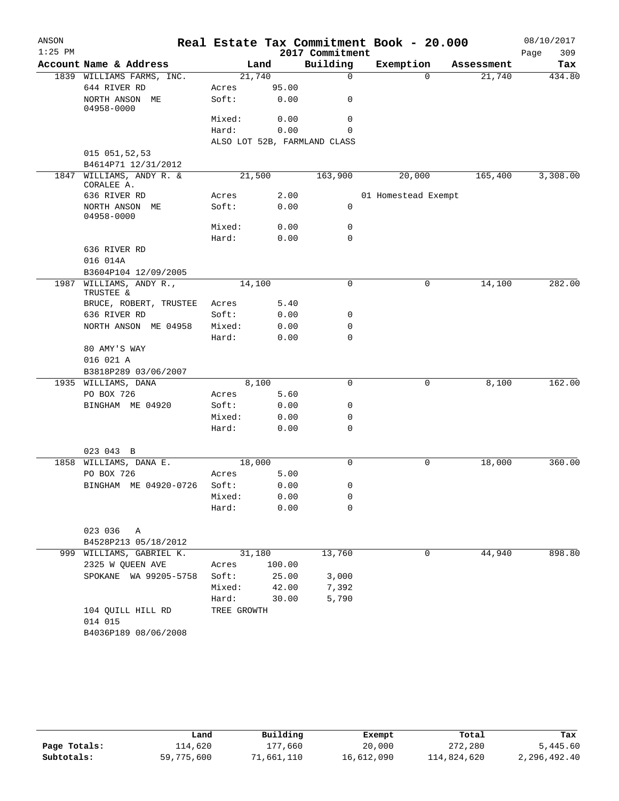| ANSON     |                                        |             |        |                              | Real Estate Tax Commitment Book - 20.000 |            | 08/10/2017  |
|-----------|----------------------------------------|-------------|--------|------------------------------|------------------------------------------|------------|-------------|
| $1:25$ PM |                                        |             |        | 2017 Commitment              |                                          |            | 309<br>Page |
|           | Account Name & Address                 |             | Land   | Building                     | Exemption                                | Assessment | Tax         |
|           | 1839 WILLIAMS FARMS, INC.              |             | 21,740 | $\mathbf 0$                  | $\Omega$                                 | 21,740     | 434.80      |
|           | 644 RIVER RD                           | Acres       | 95.00  |                              |                                          |            |             |
|           | NORTH ANSON ME<br>04958-0000           | Soft:       | 0.00   | 0                            |                                          |            |             |
|           |                                        | Mixed:      |        | 0<br>0.00                    |                                          |            |             |
|           |                                        | Hard:       | 0.00   | 0                            |                                          |            |             |
|           |                                        |             |        | ALSO LOT 52B, FARMLAND CLASS |                                          |            |             |
|           | 015 051,52,53                          |             |        |                              |                                          |            |             |
|           | B4614P71 12/31/2012                    |             |        |                              |                                          |            |             |
|           | 1847 WILLIAMS, ANDY R. &<br>CORALEE A. |             | 21,500 | 163,900                      | 20,000                                   | 165,400    | 3,308.00    |
|           | 636 RIVER RD                           | Acres       |        | 2.00                         | 01 Homestead Exempt                      |            |             |
|           | NORTH ANSON ME<br>04958-0000           | Soft:       |        | 0.00<br>0                    |                                          |            |             |
|           |                                        | Mixed:      |        | 0<br>0.00                    |                                          |            |             |
|           |                                        | Hard:       | 0.00   | 0                            |                                          |            |             |
|           | 636 RIVER RD                           |             |        |                              |                                          |            |             |
|           | 016 014A                               |             |        |                              |                                          |            |             |
|           | B3604P104 12/09/2005                   |             |        |                              |                                          |            |             |
| 1987      | WILLIAMS, ANDY R.,<br>TRUSTEE &        |             | 14,100 | 0                            | 0                                        | 14,100     | 282.00      |
|           | BRUCE, ROBERT, TRUSTEE                 | Acres       |        | 5.40                         |                                          |            |             |
|           | 636 RIVER RD                           | Soft:       | 0.00   | 0                            |                                          |            |             |
|           | NORTH ANSON ME 04958                   | Mixed:      | 0.00   | 0                            |                                          |            |             |
|           |                                        | Hard:       |        | $\mathbf 0$<br>0.00          |                                          |            |             |
|           | 80 AMY'S WAY                           |             |        |                              |                                          |            |             |
|           | 016 021 A                              |             |        |                              |                                          |            |             |
|           | B3818P289 03/06/2007                   |             |        |                              |                                          |            |             |
|           | 1935 WILLIAMS, DANA                    |             | 8,100  | 0                            | 0                                        | 8,100      | 162.00      |
|           | PO BOX 726                             | Acres       |        | 5.60                         |                                          |            |             |
|           | BINGHAM ME 04920                       | Soft:       | 0.00   | 0                            |                                          |            |             |
|           |                                        | Mixed:      | 0.00   | 0                            |                                          |            |             |
|           |                                        | Hard:       |        | 0.00<br>0                    |                                          |            |             |
|           |                                        |             |        |                              |                                          |            |             |
|           | 023 043 B                              |             |        |                              |                                          |            |             |
| 1858      | WILLIAMS, DANA E.                      |             | 18,000 | 0                            | 0                                        | 18,000     | 360.00      |
|           | PO BOX 726                             | Acres       | 5.00   |                              |                                          |            |             |
|           | BINGHAM ME 04920-0726                  | Soft:       |        | 0.00<br>0                    |                                          |            |             |
|           |                                        | Mixed:      |        | 0<br>0.00                    |                                          |            |             |
|           |                                        | Hard:       |        | $\mathbf 0$<br>0.00          |                                          |            |             |
|           | 023 036<br>Α                           |             |        |                              |                                          |            |             |
|           | B4528P213 05/18/2012                   |             |        |                              |                                          |            |             |
|           | 999 WILLIAMS, GABRIEL K.               |             | 31,180 | 13,760                       | 0                                        | 44,940     | 898.80      |
|           | 2325 W QUEEN AVE                       | Acres       | 100.00 |                              |                                          |            |             |
|           | SPOKANE WA 99205-5758                  | Soft:       | 25.00  | 3,000                        |                                          |            |             |
|           |                                        | Mixed:      | 42.00  | 7,392                        |                                          |            |             |
|           |                                        | Hard:       | 30.00  | 5,790                        |                                          |            |             |
|           | 104 QUILL HILL RD                      | TREE GROWTH |        |                              |                                          |            |             |
|           | 014 015                                |             |        |                              |                                          |            |             |
|           | B4036P189 08/06/2008                   |             |        |                              |                                          |            |             |
|           |                                        |             |        |                              |                                          |            |             |

|              | Land       | Building   | Exempt     | Total       | Tax          |
|--------------|------------|------------|------------|-------------|--------------|
| Page Totals: | 114,620    | 177,660    | 20,000     | 272,280     | 5,445.60     |
| Subtotals:   | 59,775,600 | 71,661,110 | 16,612,090 | 114,824,620 | 2,296,492.40 |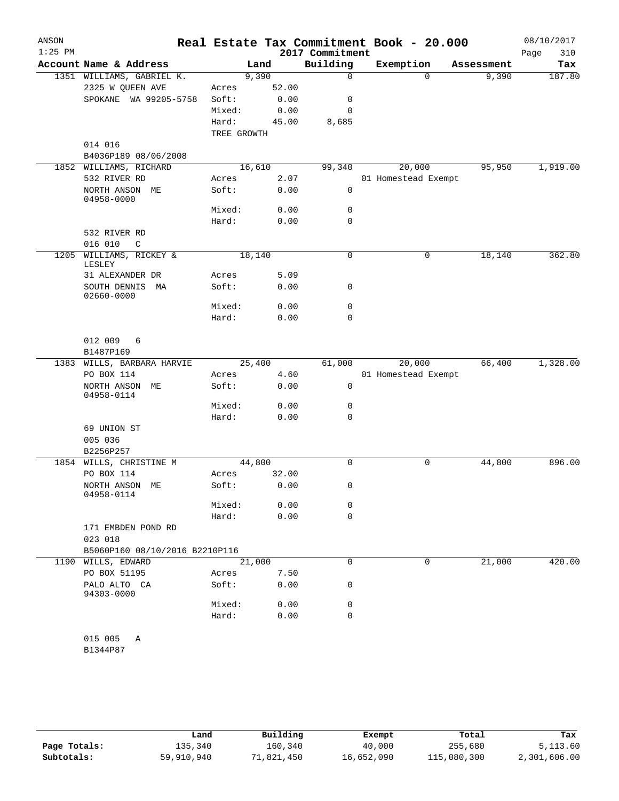| ANSON<br>$1:25$ PM |                                     |             |        | 2017 Commitment |             | Real Estate Tax Commitment Book - 20.000 |            | 08/10/2017<br>310<br>Page |
|--------------------|-------------------------------------|-------------|--------|-----------------|-------------|------------------------------------------|------------|---------------------------|
|                    | Account Name & Address              |             | Land   | Building        |             | Exemption                                | Assessment | Tax                       |
|                    | 1351 WILLIAMS, GABRIEL K.           |             | 9,390  |                 | $\mathbf 0$ | $\mathbf 0$                              | 9,390      | 187.80                    |
|                    | 2325 W QUEEN AVE                    | Acres       | 52.00  |                 |             |                                          |            |                           |
|                    | SPOKANE WA 99205-5758               | Soft:       |        | 0.00            | 0           |                                          |            |                           |
|                    |                                     | Mixed:      | 0.00   |                 | 0           |                                          |            |                           |
|                    |                                     | Hard:       | 45.00  | 8,685           |             |                                          |            |                           |
|                    |                                     | TREE GROWTH |        |                 |             |                                          |            |                           |
|                    | 014 016                             |             |        |                 |             |                                          |            |                           |
|                    | B4036P189 08/06/2008                |             |        |                 |             |                                          |            |                           |
|                    | 1852 WILLIAMS, RICHARD              |             | 16,610 | 99,340          |             | 20,000                                   | 95,950     | 1,919.00                  |
|                    | 532 RIVER RD                        | Acres       |        | 2.07            |             | 01 Homestead Exempt                      |            |                           |
|                    | NORTH ANSON ME<br>04958-0000        | Soft:       |        | 0.00            | 0           |                                          |            |                           |
|                    |                                     | Mixed:      |        | 0.00            | 0           |                                          |            |                           |
|                    |                                     | Hard:       |        | 0.00            | $\mathbf 0$ |                                          |            |                           |
|                    | 532 RIVER RD                        |             |        |                 |             |                                          |            |                           |
|                    | 016 010<br>$\mathcal{C}$            |             |        |                 |             |                                          |            |                           |
| 1205               | WILLIAMS, RICKEY &<br>LESLEY        |             | 18,140 |                 | $\mathbf 0$ | 0                                        | 18,140     | 362.80                    |
|                    | 31 ALEXANDER DR                     | Acres       | 5.09   |                 |             |                                          |            |                           |
|                    | SOUTH DENNIS<br>МA<br>02660-0000    | Soft:       |        | 0.00            | 0           |                                          |            |                           |
|                    |                                     | Mixed:      |        | 0.00            | $\mathbf 0$ |                                          |            |                           |
|                    |                                     | Hard:       |        | 0.00            | $\mathbf 0$ |                                          |            |                           |
|                    | 012 009<br>6                        |             |        |                 |             |                                          |            |                           |
|                    | B1487P169                           |             |        |                 |             |                                          |            |                           |
|                    | 1383 WILLS, BARBARA HARVIE          |             | 25,400 | 61,000          |             | 20,000                                   | 66,400     | 1,328.00                  |
|                    | PO BOX 114                          | Acres       |        | 4.60            |             | 01 Homestead Exempt                      |            |                           |
|                    | NORTH ANSON ME<br>04958-0114        | Soft:       |        | 0.00            | $\mathbf 0$ |                                          |            |                           |
|                    |                                     | Mixed:      |        | 0.00            | $\mathbf 0$ |                                          |            |                           |
|                    |                                     | Hard:       |        | 0.00            | $\Omega$    |                                          |            |                           |
|                    | 69 UNION ST<br>005 036<br>B2256P257 |             |        |                 |             |                                          |            |                           |
| 1854               | WILLS, CHRISTINE M                  |             | 44,800 |                 | 0           | 0                                        | 44,800     | 896.00                    |
|                    | PO BOX 114                          | Acres       | 32.00  |                 |             |                                          |            |                           |
|                    | NORTH ANSON ME<br>04958-0114        | Soft:       |        | 0.00            | 0           |                                          |            |                           |
|                    |                                     | Mixed:      | 0.00   |                 | 0           |                                          |            |                           |
|                    |                                     | Hard:       |        | 0.00            | $\mathbf 0$ |                                          |            |                           |
|                    | 171 EMBDEN POND RD                  |             |        |                 |             |                                          |            |                           |
|                    | 023 018                             |             |        |                 |             |                                          |            |                           |
|                    | B5060P160 08/10/2016 B2210P116      |             |        |                 |             |                                          |            |                           |
| 1190               | WILLS, EDWARD                       |             | 21,000 |                 | $\mathbf 0$ | 0                                        | 21,000     | 420.00                    |
|                    | PO BOX 51195                        | Acres       |        | 7.50            |             |                                          |            |                           |
|                    | PALO ALTO CA<br>94303-0000          | Soft:       |        | 0.00            | 0           |                                          |            |                           |
|                    |                                     | Mixed:      |        | 0.00            | 0           |                                          |            |                           |
|                    |                                     | Hard:       |        | 0.00            | $\mathbf 0$ |                                          |            |                           |
|                    | 015 005<br>Α<br>B1344P87            |             |        |                 |             |                                          |            |                           |
|                    |                                     |             |        |                 |             |                                          |            |                           |

|              | Land       | Building   | Exempt     | Total       | Tax          |
|--------------|------------|------------|------------|-------------|--------------|
| Page Totals: | 135,340    | 160,340    | 40,000     | 255,680     | 5,113.60     |
| Subtotals:   | 59,910,940 | 71,821,450 | 16,652,090 | 115,080,300 | 2,301,606.00 |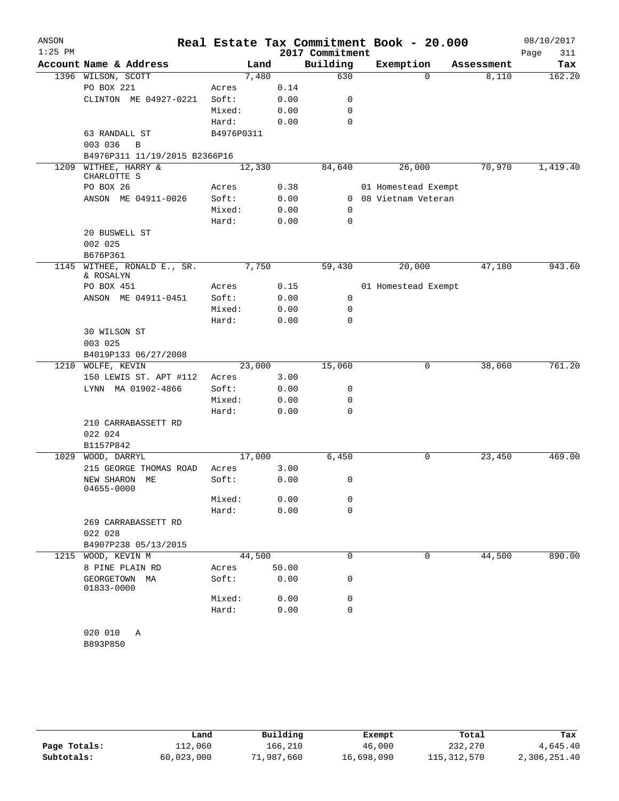| ANSON     |                                     |            |       |       |                 | Real Estate Tax Commitment Book - 20.000 |            | 08/10/2017  |
|-----------|-------------------------------------|------------|-------|-------|-----------------|------------------------------------------|------------|-------------|
| $1:25$ PM |                                     |            |       |       | 2017 Commitment |                                          |            | Page<br>311 |
|           | Account Name & Address              |            | Land  |       | Building        | Exemption                                | Assessment | Tax         |
|           | 1396 WILSON, SCOTT                  |            | 7,480 |       | 630             | $\Omega$                                 | 8,110      | 162.20      |
|           | PO BOX 221                          | Acres      |       | 0.14  |                 |                                          |            |             |
|           | CLINTON ME 04927-0221               | Soft:      |       | 0.00  | 0               |                                          |            |             |
|           |                                     | Mixed:     |       | 0.00  | 0               |                                          |            |             |
|           |                                     | Hard:      |       | 0.00  | $\mathbf 0$     |                                          |            |             |
|           | 63 RANDALL ST                       | B4976P0311 |       |       |                 |                                          |            |             |
|           | 003 036<br>B                        |            |       |       |                 |                                          |            |             |
|           | B4976P311 11/19/2015 B2366P16       |            |       |       |                 |                                          |            |             |
| 1209      | WITHEE, HARRY &                     | 12,330     |       |       | 84,640          | 26,000                                   | 70,970     | 1,419.40    |
|           | CHARLOTTE S                         |            |       |       |                 |                                          |            |             |
|           | PO BOX 26                           | Acres      |       | 0.38  |                 | 01 Homestead Exempt                      |            |             |
|           | ANSON ME 04911-0026                 | Soft:      |       | 0.00  | $\mathbf{0}$    | 08 Vietnam Veteran                       |            |             |
|           |                                     | Mixed:     |       | 0.00  | $\mathbf 0$     |                                          |            |             |
|           |                                     | Hard:      |       | 0.00  | 0               |                                          |            |             |
|           | 20 BUSWELL ST                       |            |       |       |                 |                                          |            |             |
|           | 002 025                             |            |       |       |                 |                                          |            |             |
|           | B676P361                            |            |       |       |                 |                                          |            |             |
| 1145      | WITHEE, RONALD E., SR.<br>& ROSALYN |            | 7,750 |       | 59,430          | 20,000                                   | 47,180     | 943.60      |
|           | PO BOX 451                          | Acres      |       | 0.15  |                 | 01 Homestead Exempt                      |            |             |
|           | ANSON ME 04911-0451                 | Soft:      |       | 0.00  | 0               |                                          |            |             |
|           |                                     | Mixed:     |       | 0.00  | 0               |                                          |            |             |
|           |                                     | Hard:      |       | 0.00  | $\mathbf 0$     |                                          |            |             |
|           | 30 WILSON ST                        |            |       |       |                 |                                          |            |             |
|           | 003 025                             |            |       |       |                 |                                          |            |             |
|           | B4019P133 06/27/2008                |            |       |       |                 |                                          |            |             |
| 1210      | WOLFE, KEVIN                        | 23,000     |       |       | 15,060          | 0                                        | 38,060     | 761.20      |
|           | 150 LEWIS ST. APT #112              | Acres      |       | 3.00  |                 |                                          |            |             |
|           | LYNN MA 01902-4866                  | Soft:      |       | 0.00  | 0               |                                          |            |             |
|           |                                     | Mixed:     |       | 0.00  | 0               |                                          |            |             |
|           |                                     | Hard:      |       | 0.00  | $\mathbf 0$     |                                          |            |             |
|           | 210 CARRABASSETT RD                 |            |       |       |                 |                                          |            |             |
|           | 022 024                             |            |       |       |                 |                                          |            |             |
|           | B1157P842                           |            |       |       |                 |                                          |            |             |
| 1029      | WOOD, DARRYL                        | 17,000     |       |       | 6,450           | 0                                        | 23,450     | 469.00      |
|           | 215 GEORGE THOMAS ROAD              | Acres      |       | 3.00  |                 |                                          |            |             |
|           | NEW SHARON<br>МE<br>04655-0000      | Soft:      |       | 0.00  | 0               |                                          |            |             |
|           |                                     | Mixed:     |       | 0.00  | 0               |                                          |            |             |
|           |                                     | Hard:      |       | 0.00  | 0               |                                          |            |             |
|           | 269 CARRABASSETT RD                 |            |       |       |                 |                                          |            |             |
|           | 022 028                             |            |       |       |                 |                                          |            |             |
|           | B4907P238 05/13/2015                |            |       |       |                 |                                          |            |             |
|           | 1215 WOOD, KEVIN M                  | 44,500     |       |       | 0               | 0                                        | 44,500     | 890.00      |
|           | 8 PINE PLAIN RD                     | Acres      |       | 50.00 |                 |                                          |            |             |
|           | GEORGETOWN MA<br>01833-0000         | Soft:      |       | 0.00  | 0               |                                          |            |             |
|           |                                     | Mixed:     |       | 0.00  | 0               |                                          |            |             |
|           |                                     | Hard:      |       | 0.00  | 0               |                                          |            |             |
|           |                                     |            |       |       |                 |                                          |            |             |
|           | 020 010<br>Α                        |            |       |       |                 |                                          |            |             |
|           | B893P850                            |            |       |       |                 |                                          |            |             |

|              | Land       | Building   | Exempt     | Total         | Tax          |
|--------------|------------|------------|------------|---------------|--------------|
| Page Totals: | 112,060    | 166,210    | 46,000     | 232,270       | 4,645.40     |
| Subtotals:   | 60,023,000 | 71,987,660 | 16,698,090 | 115, 312, 570 | 2,306,251.40 |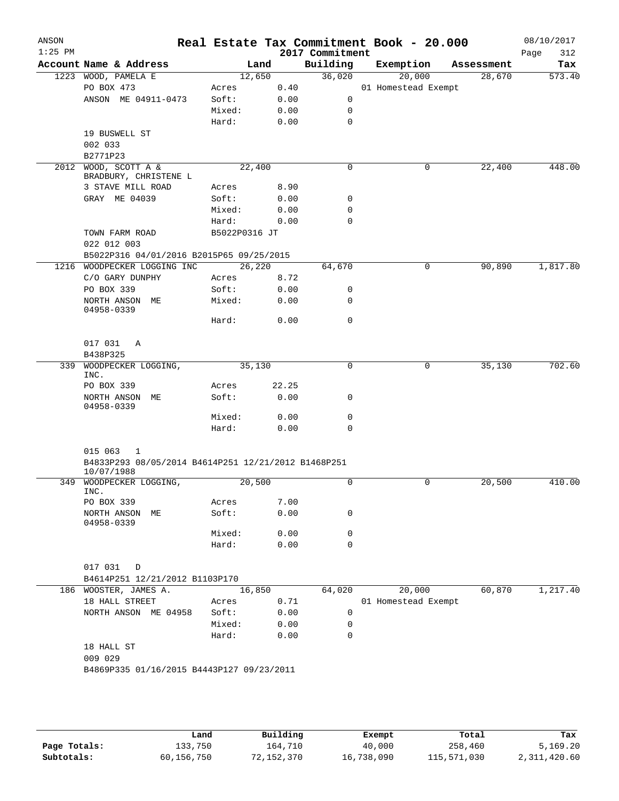|                                                     |               |       | 2017 Commitment                           | Real Estate Tax Commitment Book - 20.000 |            | 08/10/2017<br>Page<br>312 |
|-----------------------------------------------------|---------------|-------|-------------------------------------------|------------------------------------------|------------|---------------------------|
| Account Name & Address                              |               | Land  | Building                                  | Exemption                                | Assessment | Tax                       |
| WOOD, PAMELA E                                      | 12,650        |       | 36,020                                    | 20,000                                   | 28,670     | 573.40                    |
| PO BOX 473                                          | Acres         | 0.40  |                                           | 01 Homestead Exempt                      |            |                           |
| ANSON ME 04911-0473                                 | Soft:         | 0.00  | 0                                         |                                          |            |                           |
|                                                     | Mixed:        | 0.00  | 0                                         |                                          |            |                           |
|                                                     | Hard:         | 0.00  | 0                                         |                                          |            |                           |
| 19 BUSWELL ST                                       |               |       |                                           |                                          |            |                           |
| 002 033                                             |               |       |                                           |                                          |            |                           |
| B2771P23                                            |               |       |                                           |                                          |            |                           |
| WOOD, SCOTT A &<br>BRADBURY, CHRISTENE L            | 22,400        |       | $\mathbf 0$                               | 0                                        | 22,400     | 448.00                    |
| 3 STAVE MILL ROAD                                   | Acres         | 8.90  |                                           |                                          |            |                           |
| GRAY ME 04039                                       | Soft:         | 0.00  | 0                                         |                                          |            |                           |
|                                                     | Mixed:        | 0.00  | 0                                         |                                          |            |                           |
|                                                     | Hard:         | 0.00  | 0                                         |                                          |            |                           |
| TOWN FARM ROAD                                      | B5022P0316 JT |       |                                           |                                          |            |                           |
| 022 012 003                                         |               |       |                                           |                                          |            |                           |
| B5022P316 04/01/2016 B2015P65 09/25/2015            |               |       |                                           |                                          |            |                           |
| 1216 WOODPECKER LOGGING INC                         | 26,220        |       | 64,670                                    | $\mathbf 0$                              | 90,890     | 1,817.80                  |
| C/O GARY DUNPHY                                     | Acres         | 8.72  |                                           |                                          |            |                           |
| PO BOX 339                                          | Soft:         | 0.00  | 0                                         |                                          |            |                           |
| NORTH ANSON ME                                      | Mixed:        | 0.00  | 0                                         |                                          |            |                           |
| 04958-0339                                          |               |       |                                           |                                          |            |                           |
|                                                     | Hard:         | 0.00  | $\mathbf 0$                               |                                          |            |                           |
|                                                     |               |       |                                           |                                          |            |                           |
| 017 031<br>Α                                        |               |       |                                           |                                          |            |                           |
| B438P325                                            |               |       |                                           |                                          |            |                           |
| WOODPECKER LOGGING,                                 | 35,130        |       | 0                                         | 0                                        | 35,130     | 702.60                    |
| INC.                                                |               |       |                                           |                                          |            |                           |
| PO BOX 339                                          | Acres         | 22.25 | 0                                         |                                          |            |                           |
| NORTH ANSON ME<br>04958-0339                        | Soft:         | 0.00  |                                           |                                          |            |                           |
|                                                     | Mixed:        | 0.00  | 0                                         |                                          |            |                           |
|                                                     | Hard:         | 0.00  | 0                                         |                                          |            |                           |
|                                                     |               |       |                                           |                                          |            |                           |
| 015 063<br>1                                        |               |       |                                           |                                          |            |                           |
| B4833P293 08/05/2014 B4614P251 12/21/2012 B1468P251 |               |       |                                           |                                          |            |                           |
| 10/07/1988                                          |               |       |                                           |                                          |            |                           |
| WOODPECKER LOGGING,                                 | 20,500        |       | 0                                         | 0                                        | 20,500     | 410.00                    |
| INC.<br>PO BOX 339                                  | Acres         | 7.00  |                                           |                                          |            |                           |
| NORTH ANSON ME                                      | Soft:         | 0.00  | 0                                         |                                          |            |                           |
| 04958-0339                                          |               |       |                                           |                                          |            |                           |
|                                                     | Mixed:        | 0.00  | 0                                         |                                          |            |                           |
|                                                     | Hard:         | 0.00  | 0                                         |                                          |            |                           |
|                                                     |               |       |                                           |                                          |            |                           |
| 017 031<br>D                                        |               |       |                                           |                                          |            |                           |
| B4614P251 12/21/2012 B1103P170                      |               |       |                                           |                                          |            |                           |
| 186 WOOSTER, JAMES A.                               | 16,850        |       | 64,020                                    | 20,000                                   | 60,870     | 1,217.40                  |
| 18 HALL STREET                                      | Acres         | 0.71  |                                           | 01 Homestead Exempt                      |            |                           |
| NORTH ANSON ME 04958                                | Soft:         | 0.00  | 0                                         |                                          |            |                           |
|                                                     | Mixed:        | 0.00  | 0                                         |                                          |            |                           |
|                                                     | Hard:         | 0.00  | 0                                         |                                          |            |                           |
| 18 HALL ST                                          |               |       |                                           |                                          |            |                           |
| 009 029                                             |               |       |                                           |                                          |            |                           |
|                                                     |               |       |                                           |                                          |            |                           |
|                                                     |               |       |                                           |                                          |            |                           |
|                                                     |               |       |                                           |                                          |            |                           |
|                                                     |               |       |                                           |                                          |            |                           |
|                                                     |               |       | B4869P335 01/16/2015 B4443P127 09/23/2011 |                                          |            |                           |

|              | Land       | Building   | Exempt     | Total       | Tax          |
|--------------|------------|------------|------------|-------------|--------------|
| Page Totals: | 133,750    | 164,710    | 40,000     | 258,460     | 5,169.20     |
| Subtotals:   | 60,156,750 | 72,152,370 | 16,738,090 | 115,571,030 | 2,311,420.60 |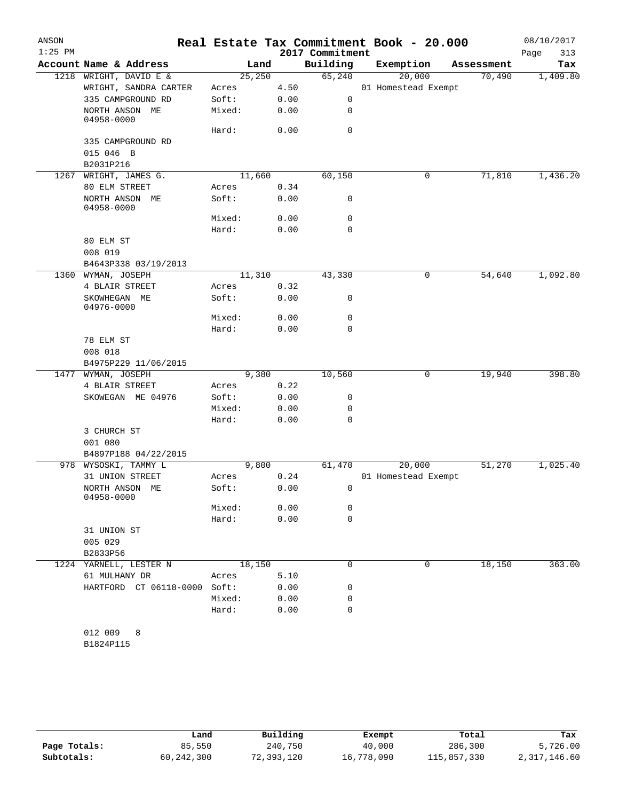| ANSON<br>$1:25$ PM |                              |         |        | 2017 Commitment | Real Estate Tax Commitment Book - 20.000 |            | 08/10/2017<br>Page<br>313 |
|--------------------|------------------------------|---------|--------|-----------------|------------------------------------------|------------|---------------------------|
|                    | Account Name & Address       |         | Land   | Building        | Exemption                                | Assessment | Tax                       |
| 1218               | WRIGHT, DAVID E &            | 25, 250 |        | 65,240          | 20,000                                   | 70,490     | 1,409.80                  |
|                    | WRIGHT, SANDRA CARTER        | Acres   | 4.50   |                 | 01 Homestead Exempt                      |            |                           |
|                    | 335 CAMPGROUND RD            | Soft:   | 0.00   | 0               |                                          |            |                           |
|                    | NORTH ANSON ME<br>04958-0000 | Mixed:  | 0.00   | 0               |                                          |            |                           |
|                    |                              | Hard:   | 0.00   | $\mathbf 0$     |                                          |            |                           |
|                    | 335 CAMPGROUND RD            |         |        |                 |                                          |            |                           |
|                    | 015 046 B                    |         |        |                 |                                          |            |                           |
|                    | B2031P216                    |         |        |                 |                                          |            |                           |
| 1267               | WRIGHT, JAMES G.             |         | 11,660 | 60,150          | 0                                        | 71,810     | 1,436.20                  |
|                    | 80 ELM STREET                | Acres   | 0.34   |                 |                                          |            |                           |
|                    | NORTH ANSON ME<br>04958-0000 | Soft:   | 0.00   | 0               |                                          |            |                           |
|                    |                              | Mixed:  | 0.00   | 0               |                                          |            |                           |
|                    |                              | Hard:   | 0.00   | 0               |                                          |            |                           |
|                    | 80 ELM ST                    |         |        |                 |                                          |            |                           |
|                    | 008 019                      |         |        |                 |                                          |            |                           |
|                    | B4643P338 03/19/2013         |         |        |                 |                                          |            |                           |
| 1360               | WYMAN, JOSEPH                |         | 11,310 | 43,330          | 0                                        | 54,640     | 1,092.80                  |
|                    | 4 BLAIR STREET               | Acres   | 0.32   |                 |                                          |            |                           |
|                    | SKOWHEGAN ME<br>04976-0000   | Soft:   | 0.00   | 0               |                                          |            |                           |
|                    |                              | Mixed:  | 0.00   | 0               |                                          |            |                           |
|                    |                              | Hard:   | 0.00   | 0               |                                          |            |                           |
|                    | 78 ELM ST                    |         |        |                 |                                          |            |                           |
|                    | 008 018                      |         |        |                 |                                          |            |                           |
|                    | B4975P229 11/06/2015         |         |        |                 |                                          |            |                           |
| 1477               | WYMAN, JOSEPH                |         | 9,380  | 10,560          | 0                                        | 19,940     | 398.80                    |
|                    | 4 BLAIR STREET               | Acres   | 0.22   |                 |                                          |            |                           |
|                    | SKOWEGAN ME 04976            | Soft:   | 0.00   | 0               |                                          |            |                           |
|                    |                              | Mixed:  | 0.00   | 0               |                                          |            |                           |
|                    |                              | Hard:   | 0.00   | 0               |                                          |            |                           |
|                    | 3 CHURCH ST<br>001 080       |         |        |                 |                                          |            |                           |
|                    | B4897P188 04/22/2015         |         |        |                 |                                          |            |                           |
| 978                | WYSOSKI, TAMMY L             |         | 9,800  | 61,470          | 20,000                                   | 51,270     | 1,025.40                  |
|                    | 31 UNION STREET              | Acres   | 0.24   |                 | 01 Homestead Exempt                      |            |                           |
|                    | NORTH ANSON ME<br>04958-0000 | Soft:   | 0.00   | 0               |                                          |            |                           |
|                    |                              | Mixed:  | 0.00   | 0               |                                          |            |                           |
|                    |                              | Hard:   | 0.00   | $\mathbf 0$     |                                          |            |                           |
|                    | 31 UNION ST                  |         |        |                 |                                          |            |                           |
|                    | 005 029                      |         |        |                 |                                          |            |                           |
|                    | B2833P56                     |         |        |                 |                                          |            |                           |
|                    | 1224 YARNELL, LESTER N       | 18,150  |        | 0               | 0                                        | 18,150     | 363.00                    |
|                    | 61 MULHANY DR                | Acres   | 5.10   |                 |                                          |            |                           |
|                    | HARTFORD CT 06118-0000 Soft: |         | 0.00   | 0               |                                          |            |                           |
|                    |                              | Mixed:  | 0.00   | 0               |                                          |            |                           |
|                    |                              | Hard:   | 0.00   | $\mathbf 0$     |                                          |            |                           |
|                    |                              |         |        |                 |                                          |            |                           |
|                    | 012 009<br>8                 |         |        |                 |                                          |            |                           |
|                    | B1824P115                    |         |        |                 |                                          |            |                           |
|                    |                              |         |        |                 |                                          |            |                           |

|              | Land         | Building   | Exempt     | Total       | Tax          |
|--------------|--------------|------------|------------|-------------|--------------|
| Page Totals: | 85,550       | 240,750    | 40,000     | 286,300     | 5,726.00     |
| Subtotals:   | 60, 242, 300 | 72,393,120 | 16,778,090 | 115,857,330 | 2,317,146.60 |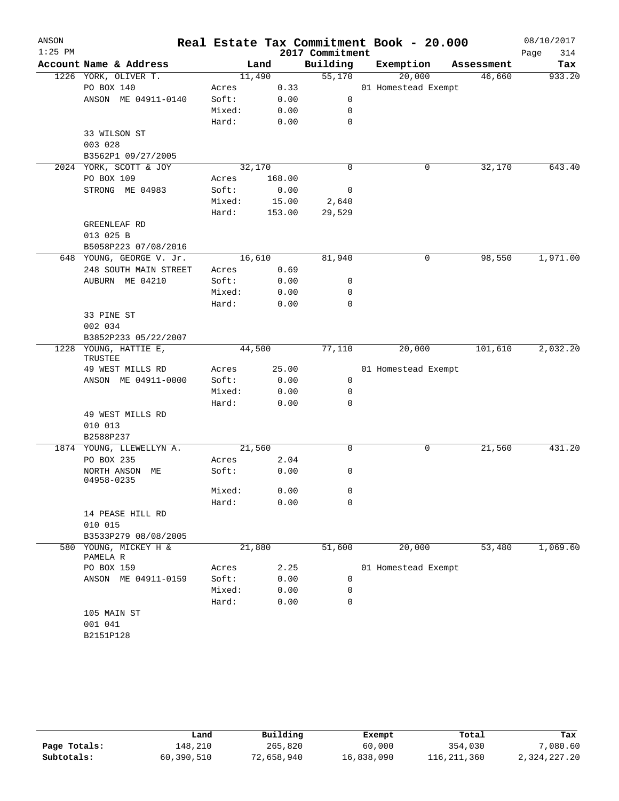| ANSON<br>$1:25$ PM |                                   |        |        | 2017 Commitment | Real Estate Tax Commitment Book - 20.000 |            | 08/10/2017<br>Page<br>314 |
|--------------------|-----------------------------------|--------|--------|-----------------|------------------------------------------|------------|---------------------------|
|                    | Account Name & Address            |        | Land   | Building        | Exemption                                | Assessment | Tax                       |
|                    | 1226 YORK, OLIVER T.              | 11,490 |        | 55,170          | 20,000                                   | 46,660     | 933.20                    |
|                    | PO BOX 140                        | Acres  | 0.33   |                 | 01 Homestead Exempt                      |            |                           |
|                    | ANSON ME 04911-0140               | Soft:  | 0.00   | 0               |                                          |            |                           |
|                    |                                   | Mixed: | 0.00   | 0               |                                          |            |                           |
|                    |                                   | Hard:  | 0.00   | 0               |                                          |            |                           |
|                    | 33 WILSON ST                      |        |        |                 |                                          |            |                           |
|                    | 003 028                           |        |        |                 |                                          |            |                           |
|                    | B3562P1 09/27/2005                |        |        |                 |                                          |            |                           |
|                    | 2024 YORK, SCOTT & JOY            | 32,170 |        | 0               | 0                                        | 32,170     | 643.40                    |
|                    | PO BOX 109                        | Acres  | 168.00 |                 |                                          |            |                           |
|                    | STRONG ME 04983                   | Soft:  | 0.00   | 0               |                                          |            |                           |
|                    |                                   | Mixed: | 15.00  | 2,640           |                                          |            |                           |
|                    |                                   | Hard:  | 153.00 | 29,529          |                                          |            |                           |
|                    | GREENLEAF RD                      |        |        |                 |                                          |            |                           |
|                    | 013 025 B                         |        |        |                 |                                          |            |                           |
|                    | B5058P223 07/08/2016              |        |        |                 |                                          |            |                           |
|                    | 648 YOUNG, GEORGE V. Jr.          | 16,610 |        | 81,940          | 0                                        | 98,550     | 1,971.00                  |
|                    | 248 SOUTH MAIN STREET             | Acres  | 0.69   |                 |                                          |            |                           |
|                    | AUBURN ME 04210                   | Soft:  | 0.00   | 0               |                                          |            |                           |
|                    |                                   | Mixed: | 0.00   | 0               |                                          |            |                           |
|                    |                                   | Hard:  | 0.00   | 0               |                                          |            |                           |
|                    | 33 PINE ST                        |        |        |                 |                                          |            |                           |
|                    | 002 034                           |        |        |                 |                                          |            |                           |
|                    | B3852P233 05/22/2007              |        |        |                 |                                          |            |                           |
|                    | 1228 YOUNG, HATTIE E,             | 44,500 |        | 77,110          | 20,000                                   | 101,610    | 2,032.20                  |
|                    | TRUSTEE<br>49 WEST MILLS RD       | Acres  | 25.00  |                 | 01 Homestead Exempt                      |            |                           |
|                    | ANSON ME 04911-0000               | Soft:  | 0.00   | 0               |                                          |            |                           |
|                    |                                   | Mixed: | 0.00   | 0               |                                          |            |                           |
|                    |                                   | Hard:  | 0.00   | 0               |                                          |            |                           |
|                    | 49 WEST MILLS RD                  |        |        |                 |                                          |            |                           |
|                    | 010 013                           |        |        |                 |                                          |            |                           |
|                    | B2588P237                         |        |        |                 |                                          |            |                           |
|                    | 1874 YOUNG, LLEWELLYN A.          | 21,560 |        | $\mathbf 0$     | 0                                        | 21,560     | 431.20                    |
|                    | PO BOX 235                        | Acres  | 2.04   |                 |                                          |            |                           |
|                    | NORTH ANSON ME<br>04958-0235      | Soft:  | 0.00   | 0               |                                          |            |                           |
|                    |                                   | Mixed: | 0.00   | 0               |                                          |            |                           |
|                    |                                   | Hard:  | 0.00   | 0               |                                          |            |                           |
|                    | 14 PEASE HILL RD                  |        |        |                 |                                          |            |                           |
|                    | 010 015                           |        |        |                 |                                          |            |                           |
|                    | B3533P279 08/08/2005              |        |        |                 |                                          |            |                           |
|                    | 580 YOUNG, MICKEY H &<br>PAMELA R | 21,880 |        | 51,600          | 20,000                                   | 53,480     | 1,069.60                  |
|                    | PO BOX 159                        | Acres  | 2.25   |                 | 01 Homestead Exempt                      |            |                           |
|                    | ANSON ME 04911-0159               | Soft:  | 0.00   | 0               |                                          |            |                           |
|                    |                                   | Mixed: | 0.00   | 0               |                                          |            |                           |
|                    |                                   | Hard:  | 0.00   | 0               |                                          |            |                           |
|                    | 105 MAIN ST                       |        |        |                 |                                          |            |                           |
|                    | 001 041                           |        |        |                 |                                          |            |                           |
|                    | B2151P128                         |        |        |                 |                                          |            |                           |
|                    |                                   |        |        |                 |                                          |            |                           |

|              | Land       | Building   | Exempt     | Total       | Tax          |
|--------------|------------|------------|------------|-------------|--------------|
| Page Totals: | 148,210    | 265,820    | 60,000     | 354,030     | .080.60      |
| Subtotals:   | 60,390,510 | 72,658,940 | 16,838,090 | 116,211,360 | 2,324,227.20 |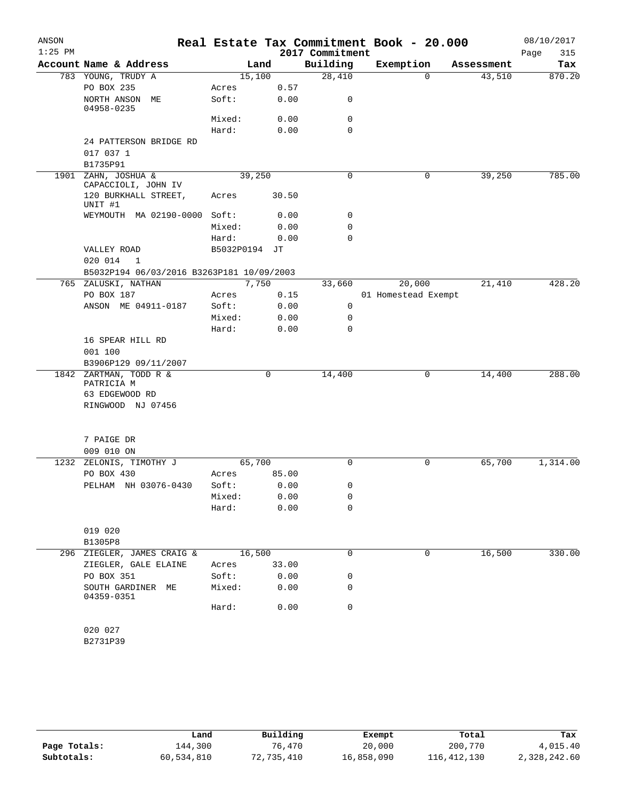| ANSON     |                                            |                 |        |              |                 | Real Estate Tax Commitment Book - 20.000 |            | 08/10/2017  |
|-----------|--------------------------------------------|-----------------|--------|--------------|-----------------|------------------------------------------|------------|-------------|
| $1:25$ PM |                                            |                 |        |              | 2017 Commitment |                                          |            | 315<br>Page |
|           | Account Name & Address                     |                 | Land   |              | Building        | Exemption                                | Assessment | Tax         |
|           | 783 YOUNG, TRUDY A                         |                 | 15,100 |              | 28,410          | $\Omega$                                 | 43,510     | 870.20      |
|           | PO BOX 235                                 | Acres           |        | 0.57         |                 |                                          |            |             |
|           | NORTH ANSON ME<br>04958-0235               | Soft:           |        | 0.00         | 0               |                                          |            |             |
|           |                                            | Mixed:          |        | 0.00         | 0               |                                          |            |             |
|           |                                            | Hard:           |        | 0.00         | $\mathbf 0$     |                                          |            |             |
|           | 24 PATTERSON BRIDGE RD                     |                 |        |              |                 |                                          |            |             |
|           | 017 037 1                                  |                 |        |              |                 |                                          |            |             |
|           | B1735P91                                   |                 |        |              |                 |                                          |            |             |
|           | 1901 ZAHN, JOSHUA &<br>CAPACCIOLI, JOHN IV |                 | 39,250 |              | 0               | $\mathbf 0$                              | 39,250     | 785.00      |
|           | 120 BURKHALL STREET,<br>UNIT #1            | Acres           |        | 30.50        |                 |                                          |            |             |
|           | WEYMOUTH MA 02190-0000 Soft:               |                 |        | 0.00         | 0               |                                          |            |             |
|           |                                            | Mixed:          |        | 0.00         | 0               |                                          |            |             |
|           |                                            | Hard:           |        | 0.00         | $\Omega$        |                                          |            |             |
|           | VALLEY ROAD                                | B5032P0194 JT   |        |              |                 |                                          |            |             |
|           | 020 014<br>- 1                             |                 |        |              |                 |                                          |            |             |
|           | B5032P194 06/03/2016 B3263P181 10/09/2003  |                 |        |              |                 |                                          |            |             |
|           | 765 ZALUSKI, NATHAN                        |                 | 7,750  |              | 33,660          | 20,000                                   | 21,410     | 428.20      |
|           | PO BOX 187<br>ANSON ME 04911-0187          | Acres           |        | 0.15<br>0.00 | $\mathbf 0$     | 01 Homestead Exempt                      |            |             |
|           |                                            | Soft:<br>Mixed: |        | 0.00         | 0               |                                          |            |             |
|           |                                            | Hard:           |        | 0.00         | 0               |                                          |            |             |
|           | 16 SPEAR HILL RD                           |                 |        |              |                 |                                          |            |             |
|           | 001 100                                    |                 |        |              |                 |                                          |            |             |
|           | B3906P129 09/11/2007                       |                 |        |              |                 |                                          |            |             |
|           | 1842 ZARTMAN, TODD R &                     |                 |        | 0            | 14,400          | 0                                        | 14,400     | 288.00      |
|           | PATRICIA M                                 |                 |        |              |                 |                                          |            |             |
|           | 63 EDGEWOOD RD                             |                 |        |              |                 |                                          |            |             |
|           | RINGWOOD NJ 07456                          |                 |        |              |                 |                                          |            |             |
|           |                                            |                 |        |              |                 |                                          |            |             |
|           | 7 PAIGE DR                                 |                 |        |              |                 |                                          |            |             |
|           | 009 010 ON                                 |                 |        |              |                 |                                          |            |             |
| 1232      | ZELONIS, TIMOTHY J                         |                 | 65,700 |              | 0               | 0                                        | 65,700     | 1,314.00    |
|           | PO BOX 430                                 | Acres           |        | 85.00        |                 |                                          |            |             |
|           | PELHAM NH 03076-0430                       | Soft:           |        | 0.00         | 0               |                                          |            |             |
|           |                                            | Mixed:          |        | 0.00         | 0               |                                          |            |             |
|           |                                            | Hard:           |        | 0.00         | 0               |                                          |            |             |
|           | 019 020                                    |                 |        |              |                 |                                          |            |             |
|           | B1305P8                                    |                 |        |              |                 |                                          |            |             |
|           | 296 ZIEGLER, JAMES CRAIG &                 |                 | 16,500 |              | 0               | 0                                        | 16,500     | 330.00      |
|           | ZIEGLER, GALE ELAINE                       | Acres           |        | 33.00        |                 |                                          |            |             |
|           | PO BOX 351                                 | Soft:           |        | 0.00         | 0               |                                          |            |             |
|           | SOUTH GARDINER ME<br>04359-0351            | Mixed:          |        | 0.00         | 0               |                                          |            |             |
|           |                                            | Hard:           |        | 0.00         | 0               |                                          |            |             |
|           | 020 027                                    |                 |        |              |                 |                                          |            |             |
|           | B2731P39                                   |                 |        |              |                 |                                          |            |             |
|           |                                            |                 |        |              |                 |                                          |            |             |

|              | Land       | Building   | Exempt     | Total         | Tax          |
|--------------|------------|------------|------------|---------------|--------------|
| Page Totals: | 144,300    | 76,470     | 20,000     | 200,770       | 4,015.40     |
| Subtotals:   | 60,534,810 | 72,735,410 | 16,858,090 | 116, 412, 130 | 2,328,242.60 |